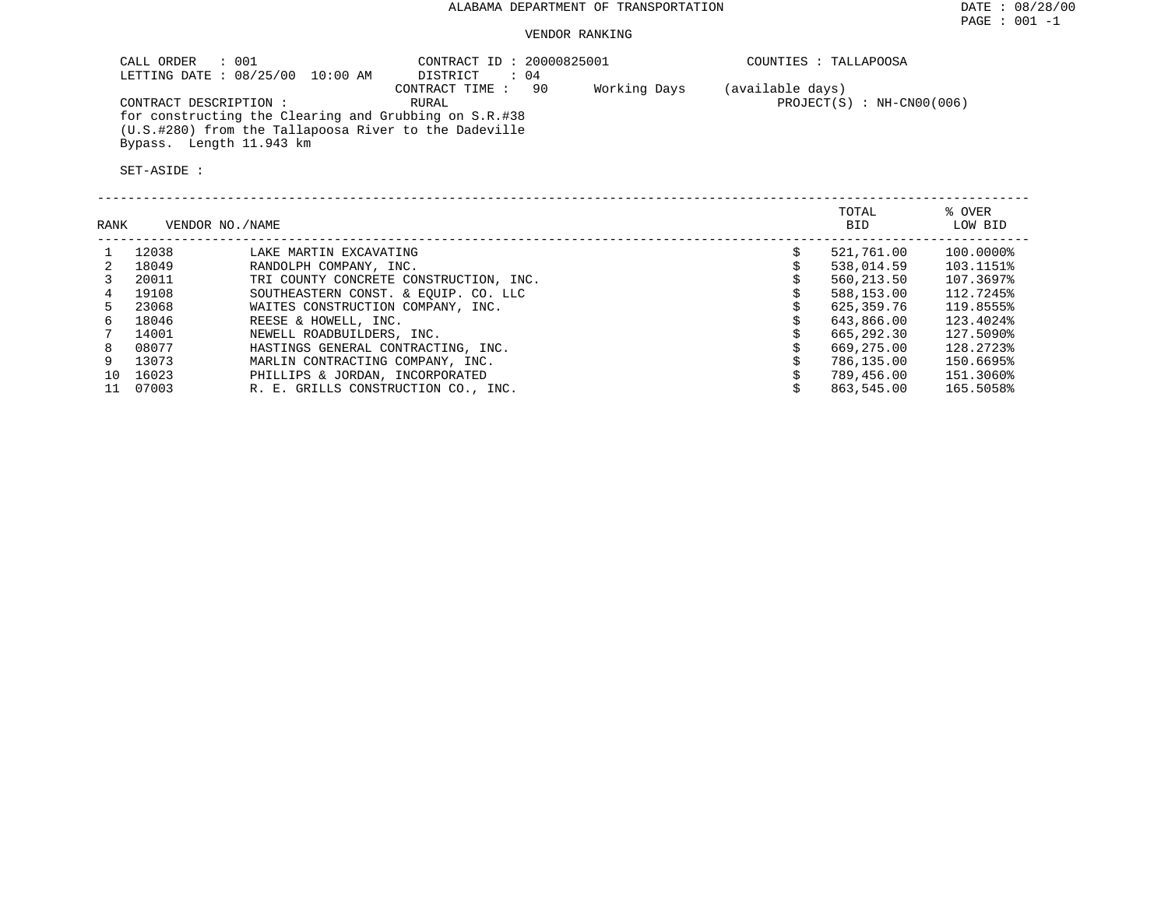### VENDOR RANKING

| : 001<br>CALL ORDER<br>LETTING DATE : 08/25/00 10:00 AM                                                                                                              | CONTRACT ID: 20000825001<br>$\therefore$ 04<br>DISTRICT |              | COUNTIES : TALLAPOOSA                           |
|----------------------------------------------------------------------------------------------------------------------------------------------------------------------|---------------------------------------------------------|--------------|-------------------------------------------------|
| CONTRACT DESCRIPTION :<br>for constructing the Clearing and Grubbing on S.R.#38<br>(U.S.#280) from the Tallapoosa River to the Dadeville<br>Bypass. Length 11.943 km | CONTRACT TIME :<br>- 90<br>RURAL                        | Working Days | (available days)<br>$PROJECT(S) : NH-CN00(006)$ |
| SET-ASIDE :                                                                                                                                                          |                                                         |              |                                                 |

| RANK |       | VENDOR NO./NAME                        | TOTAL<br><b>BID</b> | % OVER<br>LOW BID |
|------|-------|----------------------------------------|---------------------|-------------------|
|      | 12038 | LAKE MARTIN EXCAVATING                 | 521,761.00          | 100.0000%         |
| 2    | 18049 | RANDOLPH COMPANY, INC.                 | 538,014.59          | 103.1151%         |
|      | 20011 | TRI COUNTY CONCRETE CONSTRUCTION, INC. | 560,213.50          | 107.3697%         |
| 4    | 19108 | SOUTHEASTERN CONST. & EQUIP. CO. LLC   | 588,153.00          | 112.7245%         |
| 5.   | 23068 | WAITES CONSTRUCTION COMPANY, INC.      | 625,359.76          | 119.8555%         |
| б.   | 18046 | REESE & HOWELL, INC.                   | 643,866.00          | 123.4024%         |
|      | 14001 | NEWELL ROADBUILDERS, INC.              | 665,292.30          | 127.5090%         |
| 8    | 08077 | HASTINGS GENERAL CONTRACTING, INC.     | 669,275.00          | 128.2723%         |
|      | 13073 | MARLIN CONTRACTING COMPANY, INC.       | 786,135.00          | 150.6695%         |
| 10   | 16023 | PHILLIPS & JORDAN, INCORPORATED        | 789,456.00          | 151.3060%         |
|      | 07003 | R. E. GRILLS CONSTRUCTION CO., INC.    | 863,545.00          | 165.5058%         |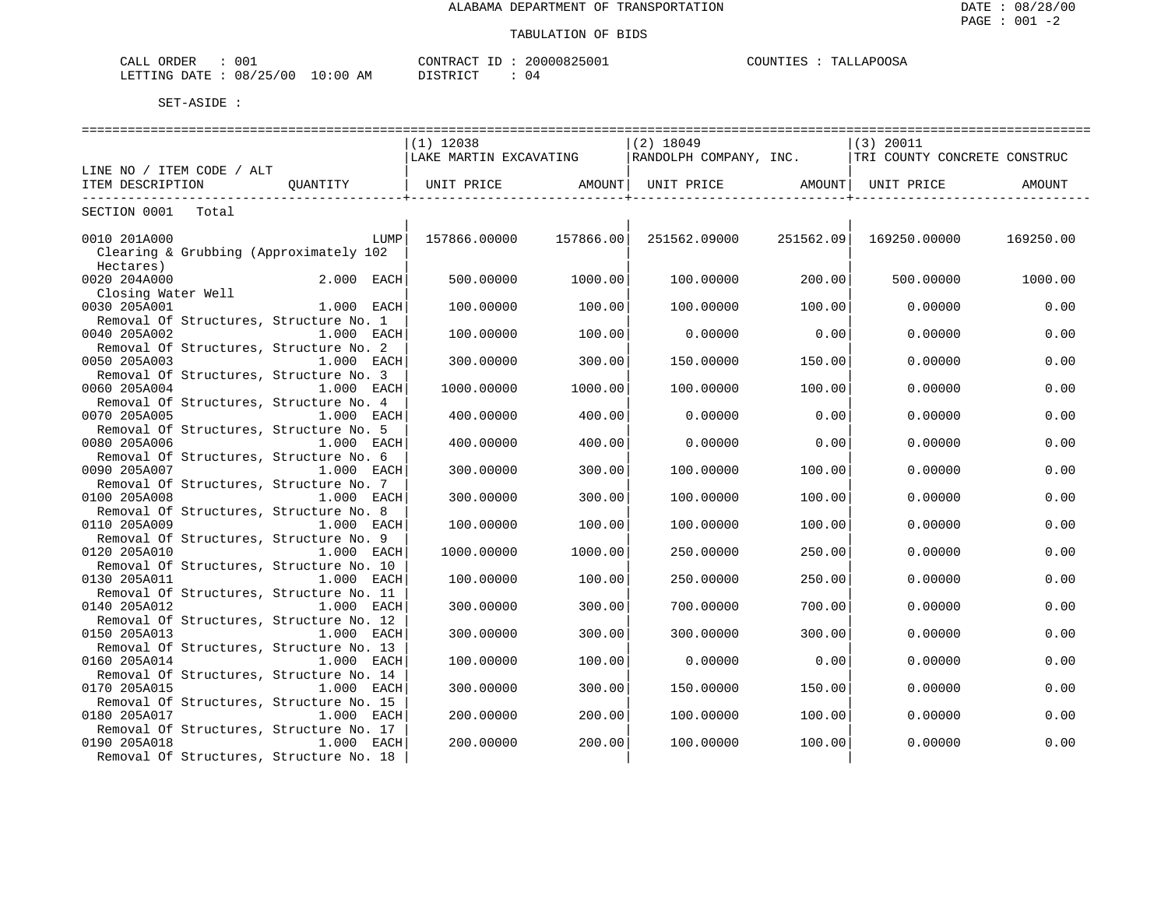| CALL ORDER                       | 001 | CONTRACT ID: | 20000825001 | COUNTIES : | TALLAPOOSA |
|----------------------------------|-----|--------------|-------------|------------|------------|
| LETTING DATE : 08/25/00 10:00 AM |     | DISTRICT     | 04          |            |            |

| ==============================<br>==================   |              |                        |           |                                                                                       |           |              |           |  |  |  |
|--------------------------------------------------------|--------------|------------------------|-----------|---------------------------------------------------------------------------------------|-----------|--------------|-----------|--|--|--|
|                                                        |              | $(1)$ 12038            |           | $(2)$ 18049                                                                           |           | $(3)$ 20011  |           |  |  |  |
|                                                        |              | LAKE MARTIN EXCAVATING |           | RANDOLPH COMPANY, INC.   TRI COUNTY CONCRETE CONSTRUC                                 |           |              |           |  |  |  |
| LINE NO / ITEM CODE / ALT                              |              |                        |           |                                                                                       |           |              |           |  |  |  |
| ITEM DESCRIPTION                                       | OUANTITY     |                        |           | UNIT PRICE                 AMOUNT    UNIT PRICE                  AMOUNT    UNIT PRICE |           |              | AMOUNT    |  |  |  |
|                                                        |              |                        |           |                                                                                       |           |              |           |  |  |  |
| SECTION 0001<br>Total                                  |              |                        |           |                                                                                       |           |              |           |  |  |  |
|                                                        |              |                        |           |                                                                                       |           |              |           |  |  |  |
| 0010 201A000                                           | LUMP         | 157866.00000           | 157866.00 | 251562.09000                                                                          | 251562.09 | 169250.00000 | 169250.00 |  |  |  |
| Clearing & Grubbing (Approximately 102                 |              |                        |           |                                                                                       |           |              |           |  |  |  |
| Hectares)                                              |              |                        |           |                                                                                       |           |              |           |  |  |  |
| 0020 204A000                                           | 2.000 EACH   | 500.00000              | 1000.00   | 100.00000                                                                             | 200.00    | 500.00000    | 1000.00   |  |  |  |
| Closing Water Well                                     |              |                        |           |                                                                                       |           |              |           |  |  |  |
| 0030 205A001                                           | $1.000$ EACH | 100,00000              | 100.00    | 100,00000                                                                             | 100.00    | 0.00000      | 0.00      |  |  |  |
| Removal Of Structures, Structure No. 1                 |              |                        |           |                                                                                       |           |              |           |  |  |  |
| 0040 205A002                                           | $1.000$ EACH | 100.00000              | 100.00    | 0.00000                                                                               | 0.00      | 0.00000      | 0.00      |  |  |  |
| Removal Of Structures, Structure No. 2                 |              |                        |           |                                                                                       |           |              |           |  |  |  |
| 0050 205A003                                           | 1.000 EACH   | 300,00000              | 300.00    | 150.00000                                                                             | 150.00    | 0.00000      | 0.00      |  |  |  |
| Removal Of Structures, Structure No. 3                 |              |                        |           |                                                                                       |           |              |           |  |  |  |
| 0060 205A004                                           | 1.000 EACH   | 1000.00000             | 1000.00   | 100.00000                                                                             | 100.00    | 0.00000      | 0.00      |  |  |  |
| Removal Of Structures, Structure No. 4                 |              |                        |           |                                                                                       |           |              |           |  |  |  |
| 0070 205A005                                           | $1.000$ EACH | 400.00000              | 400.00    | 0.00000                                                                               | 0.00      | 0.00000      | 0.00      |  |  |  |
|                                                        |              |                        |           |                                                                                       |           |              |           |  |  |  |
| Removal Of Structures, Structure No. 5<br>0080 205A006 | 1.000 EACH   |                        | 400.00    | 0.00000                                                                               | 0.00      |              | 0.00      |  |  |  |
|                                                        |              | 400.00000              |           |                                                                                       |           | 0.00000      |           |  |  |  |
| Removal Of Structures, Structure No. 6                 |              |                        |           |                                                                                       |           |              |           |  |  |  |
| 0090 205A007                                           | 1.000 EACH   | 300.00000              | 300.00    | 100.00000                                                                             | 100.00    | 0.00000      | 0.00      |  |  |  |
| Removal Of Structures, Structure No. 7                 |              |                        |           |                                                                                       |           |              |           |  |  |  |
| 0100 205A008                                           | $1.000$ EACH | 300.00000              | 300.00    | 100.00000                                                                             | 100.00    | 0.00000      | 0.00      |  |  |  |
| Removal Of Structures, Structure No. 8                 |              |                        |           |                                                                                       |           |              |           |  |  |  |
| 0110 205A009                                           | 1.000 EACH   | 100.00000              | 100.00    | 100,00000                                                                             | 100.00    | 0.00000      | 0.00      |  |  |  |
| Removal Of Structures, Structure No. 9                 |              |                        |           |                                                                                       |           |              |           |  |  |  |
| 0120 205A010                                           | 1.000 EACH   | 1000.00000             | 1000.00   | 250.00000                                                                             | 250.00    | 0.00000      | 0.00      |  |  |  |
| Removal Of Structures, Structure No. 10                |              |                        |           |                                                                                       |           |              |           |  |  |  |
| 0130 205A011                                           | $1.000$ EACH | 100.00000              | 100.00    | 250.00000                                                                             | 250.00    | 0.00000      | 0.00      |  |  |  |
| Removal Of Structures, Structure No. 11                |              |                        |           |                                                                                       |           |              |           |  |  |  |
| 0140 205A012                                           | $1.000$ EACH | 300.00000              | 300.00    | 700.00000                                                                             | 700.00    | 0.00000      | 0.00      |  |  |  |
| Removal Of Structures, Structure No. 12                |              |                        |           |                                                                                       |           |              |           |  |  |  |
| 0150 205A013                                           | 1.000 EACH   | 300.00000              | 300.00    | 300.00000                                                                             | 300.00    | 0.00000      | 0.00      |  |  |  |
| Removal Of Structures, Structure No. 13                |              |                        |           |                                                                                       |           |              |           |  |  |  |
| 0160 205A014                                           | 1.000 EACH   | 100.00000              | 100.00    | 0.00000                                                                               | 0.00      | 0.00000      | 0.00      |  |  |  |
| Removal Of Structures, Structure No. 14                |              |                        |           |                                                                                       |           |              |           |  |  |  |
| 0170 205A015                                           | $1.000$ EACH | 300.00000              | 300.00    | 150.00000                                                                             | 150.00    | 0.00000      | 0.00      |  |  |  |
| Removal Of Structures, Structure No. 15                |              |                        |           |                                                                                       |           |              |           |  |  |  |
| 0180 205A017                                           | 1.000 EACH   | 200.00000              | 200.00    | 100.00000                                                                             | 100.00    | 0.00000      | 0.00      |  |  |  |
| Removal Of Structures, Structure No. 17                |              |                        |           |                                                                                       |           |              |           |  |  |  |
| 0190 205A018                                           | 1.000 EACH   | 200.00000              | 200.00    | 100.00000                                                                             | 100.00    | 0.00000      | 0.00      |  |  |  |
| Removal Of Structures, Structure No. 18                |              |                        |           |                                                                                       |           |              |           |  |  |  |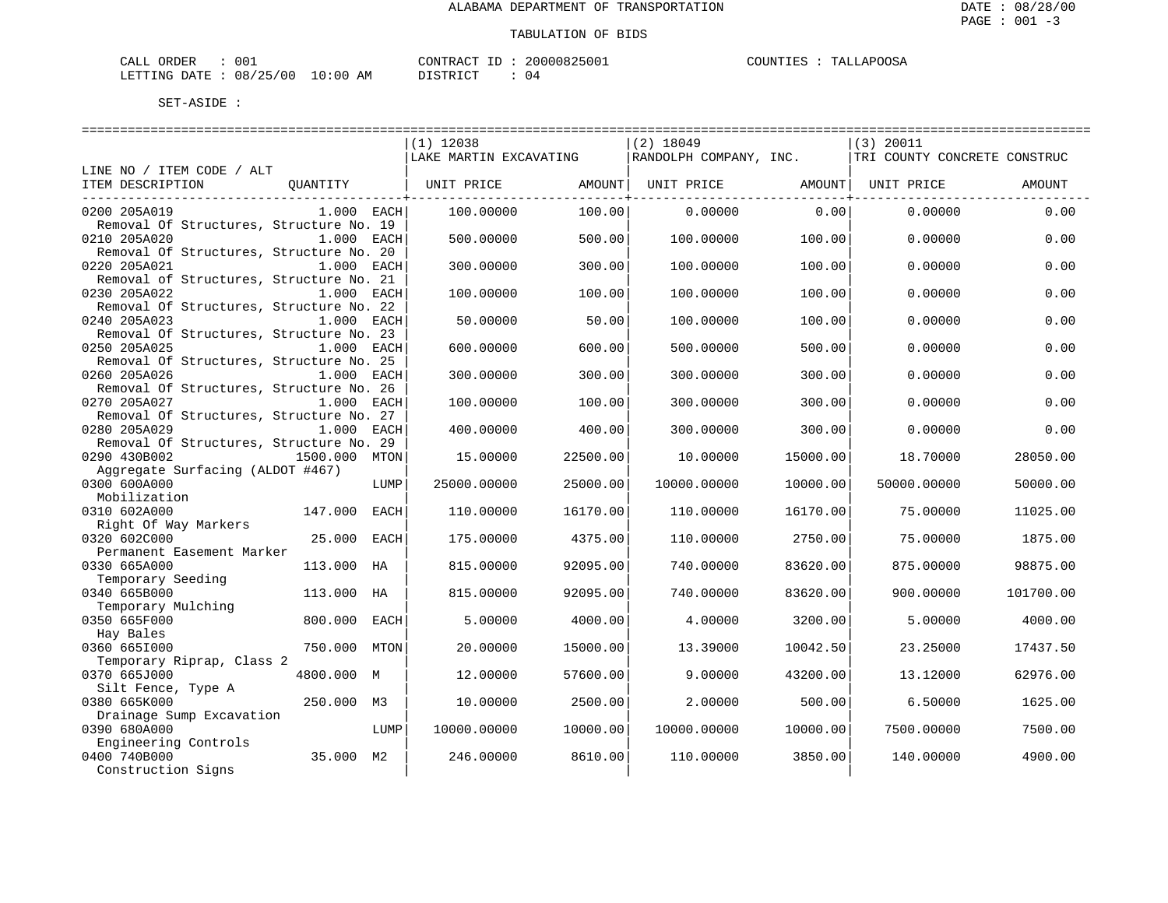| 001<br>ORDER<br>$\sim - -$<br>CALL |             | CONTRACT<br>TГ. | 30000825001 | <b>JAPOOSA</b><br>COUNTIES<br>TΔT |
|------------------------------------|-------------|-----------------|-------------|-----------------------------------|
| 08/25/00<br>DATE<br>LETTING        | 10:00<br>AΜ | DISTRICT        | ັບ ⊥        |                                   |

|                                                         |               |      | $(1)$ 12038            |          | $(2)$ 18049                  |          | $(3)$ 20011                  |           |
|---------------------------------------------------------|---------------|------|------------------------|----------|------------------------------|----------|------------------------------|-----------|
|                                                         |               |      | LAKE MARTIN EXCAVATING |          | RANDOLPH COMPANY, INC.       |          | TRI COUNTY CONCRETE CONSTRUC |           |
| LINE NO / ITEM CODE / ALT                               |               |      |                        |          |                              |          |                              |           |
| ITEM DESCRIPTION                                        | QUANTITY      |      | UNIT PRICE             | AMOUNT   | UNIT PRICE AMOUNT UNIT PRICE |          |                              | AMOUNT    |
|                                                         |               |      |                        |          |                              |          |                              |           |
| 0200 205A019                                            | $1.000$ EACH  |      | 100.00000              | 100.00   | 0.00000                      | 0.00     | 0.00000                      | 0.00      |
| Removal Of Structures, Structure No. 19                 |               |      |                        |          |                              |          |                              |           |
| 0210 205A020                                            | 1.000 EACH    |      | 500.00000              | 500.00   | 100.00000                    | 100.00   | 0.00000                      | 0.00      |
| Removal Of Structures, Structure No. 20<br>0220 205A021 | 1.000 EACH    |      | 300.00000              | 300.00   | 100.00000                    | 100.00   | 0.00000                      | 0.00      |
| Removal of Structures, Structure No. 21                 |               |      |                        |          |                              |          |                              |           |
| 0230 205A022                                            | 1.000 EACH    |      | 100.00000              | 100.00   | 100.00000                    | 100.00   | 0.00000                      | 0.00      |
| Removal Of Structures, Structure No. 22                 |               |      |                        |          |                              |          |                              |           |
| 0240 205A023                                            | 1.000 EACH    |      | 50.00000               | 50.00    | 100.00000                    | 100.00   | 0.00000                      | 0.00      |
| Removal Of Structures, Structure No. 23                 |               |      |                        |          |                              |          |                              |           |
| 0250 205A025                                            | 1.000 EACH    |      | 600.00000              | 600.00   | 500.00000                    | 500.00   | 0.00000                      | 0.00      |
| Removal Of Structures, Structure No. 25                 |               |      |                        |          |                              |          |                              |           |
| 0260 205A026                                            | 1.000 EACH    |      | 300.00000              | 300.00   | 300.00000                    | 300.00   | 0.00000                      | 0.00      |
| Removal Of Structures, Structure No. 26                 |               |      |                        |          |                              |          |                              |           |
| 0270 205A027                                            | 1.000 EACH    |      | 100.00000              | 100.00   | 300.00000                    | 300.00   | 0.00000                      | 0.00      |
| Removal Of Structures, Structure No. 27                 |               |      |                        |          |                              |          |                              |           |
| 0280 205A029                                            | 1.000 EACH    |      | 400.00000              | 400.00   | 300.00000                    | 300.00   | 0.00000                      | 0.00      |
| Removal Of Structures, Structure No. 29                 |               |      |                        |          |                              |          |                              |           |
| 0290 430B002                                            | 1500.000 MTON |      | 15,00000               | 22500.00 | 10.00000                     | 15000.00 | 18,70000                     | 28050.00  |
| Aggregate Surfacing (ALDOT #467)                        |               |      |                        |          |                              |          |                              |           |
| 0300 600A000                                            |               | LUMP | 25000.00000            | 25000.00 | 10000.00000                  | 10000.00 | 50000.00000                  | 50000.00  |
| Mobilization                                            |               |      |                        |          |                              |          |                              |           |
| 0310 602A000                                            | 147.000       | EACH | 110.00000              | 16170.00 | 110.00000                    | 16170.00 | 75.00000                     | 11025.00  |
| Right Of Way Markers                                    |               |      |                        |          |                              |          |                              |           |
| 0320 602C000                                            | 25.000 EACH   |      | 175.00000              | 4375.00  | 110.00000                    | 2750.00  | 75.00000                     | 1875.00   |
| Permanent Easement Marker                               |               |      |                        |          |                              |          |                              |           |
| 0330 665A000                                            | 113.000 HA    |      | 815,00000              | 92095.00 | 740.00000                    | 83620.00 | 875,00000                    | 98875.00  |
| Temporary Seeding                                       |               |      |                        |          |                              |          |                              |           |
| 0340 665B000                                            | 113.000       | НA   | 815.00000              | 92095.00 | 740.00000                    | 83620.00 | 900.00000                    | 101700.00 |
| Temporary Mulching                                      |               |      |                        |          |                              |          |                              |           |
| 0350 665F000                                            | 800,000       | EACH | 5.00000                | 4000.00  | 4.00000                      | 3200.00  | 5.00000                      | 4000.00   |
| Hay Bales                                               |               |      |                        |          |                              |          |                              |           |
| 0360 6651000                                            | 750.000       | MTON | 20,00000               | 15000.00 | 13.39000                     | 10042.50 | 23.25000                     | 17437.50  |
| Temporary Riprap, Class 2                               |               |      |                        |          |                              |          |                              |           |
| 0370 665J000                                            | 4800.000 M    |      | 12.00000               | 57600.00 | 9,00000                      | 43200.00 | 13.12000                     | 62976.00  |
| Silt Fence, Type A                                      |               |      |                        |          |                              |          |                              |           |
| 0380 665K000                                            | 250.000 M3    |      | 10.00000               | 2500.00  | 2.00000                      | 500.00   | 6.50000                      | 1625.00   |
| Drainage Sump Excavation                                |               |      |                        |          |                              |          |                              |           |
| 0390 680A000                                            |               | LUMP | 10000.00000            | 10000.00 | 10000.00000                  | 10000.00 | 7500.00000                   | 7500.00   |
| Engineering Controls                                    |               |      |                        |          |                              |          |                              |           |
| 0400 740B000                                            | 35.000 M2     |      | 246.00000              | 8610.00  | 110.00000                    | 3850.00  | 140.00000                    | 4900.00   |
| Construction Signs                                      |               |      |                        |          |                              |          |                              |           |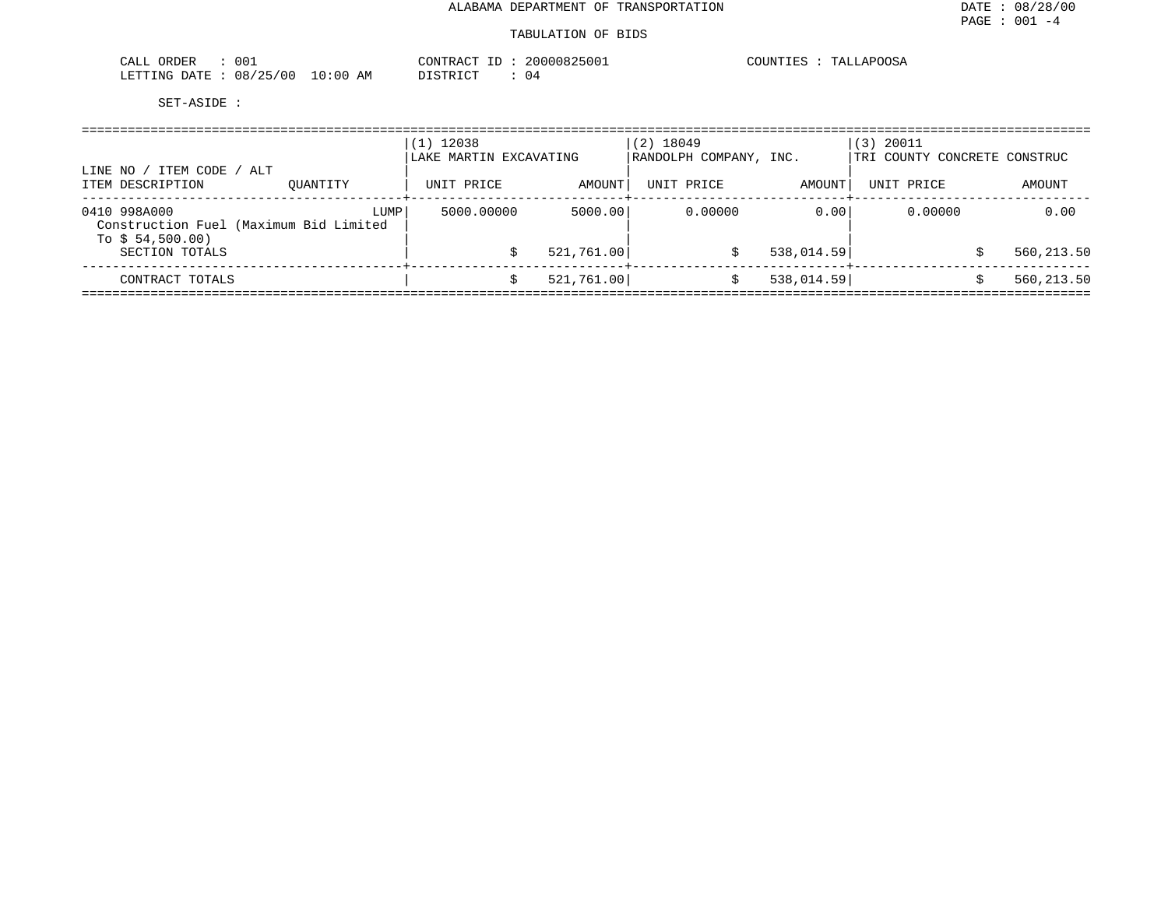#### TABULATION OF BIDS

| 00i<br>ORDER<br>CALL             |               | CONTRACT       | 20000825001 | <b>COUNTIES</b><br>TALLAPOOSA |
|----------------------------------|---------------|----------------|-------------|-------------------------------|
| 08/25<br>'00<br>LETTING<br>DATE. | LO : 00<br>ΑM | די הדי אידי את | 04          |                               |

| LINE NO / ITEM CODE / ALT                                                  |          | $(1)$ 12038<br>LAKE MARTIN EXCAVATING |            | $(2)$ 18049<br>RANDOLPH COMPANY, INC. |            | (3) 20011<br>TRI COUNTY CONCRETE CONSTRUC |            |
|----------------------------------------------------------------------------|----------|---------------------------------------|------------|---------------------------------------|------------|-------------------------------------------|------------|
| ITEM DESCRIPTION                                                           | OUANTITY | UNIT PRICE                            | AMOUNT     | UNIT PRICE                            | AMOUNT     | UNIT PRICE                                | AMOUNT     |
| 0410 998A000<br>Construction Fuel (Maximum Bid Limited<br>To $$54,500.00)$ | LUMP     | 5000.00000                            | 5000.00    | 0.00000                               | 0.00       | 0.00000                                   | 0.00       |
| SECTION TOTALS                                                             |          |                                       | 521,761.00 |                                       | 538,014.59 |                                           | 560,213.50 |
| CONTRACT TOTALS                                                            |          |                                       | 521,761.00 |                                       | 538,014.59 |                                           | 560,213.50 |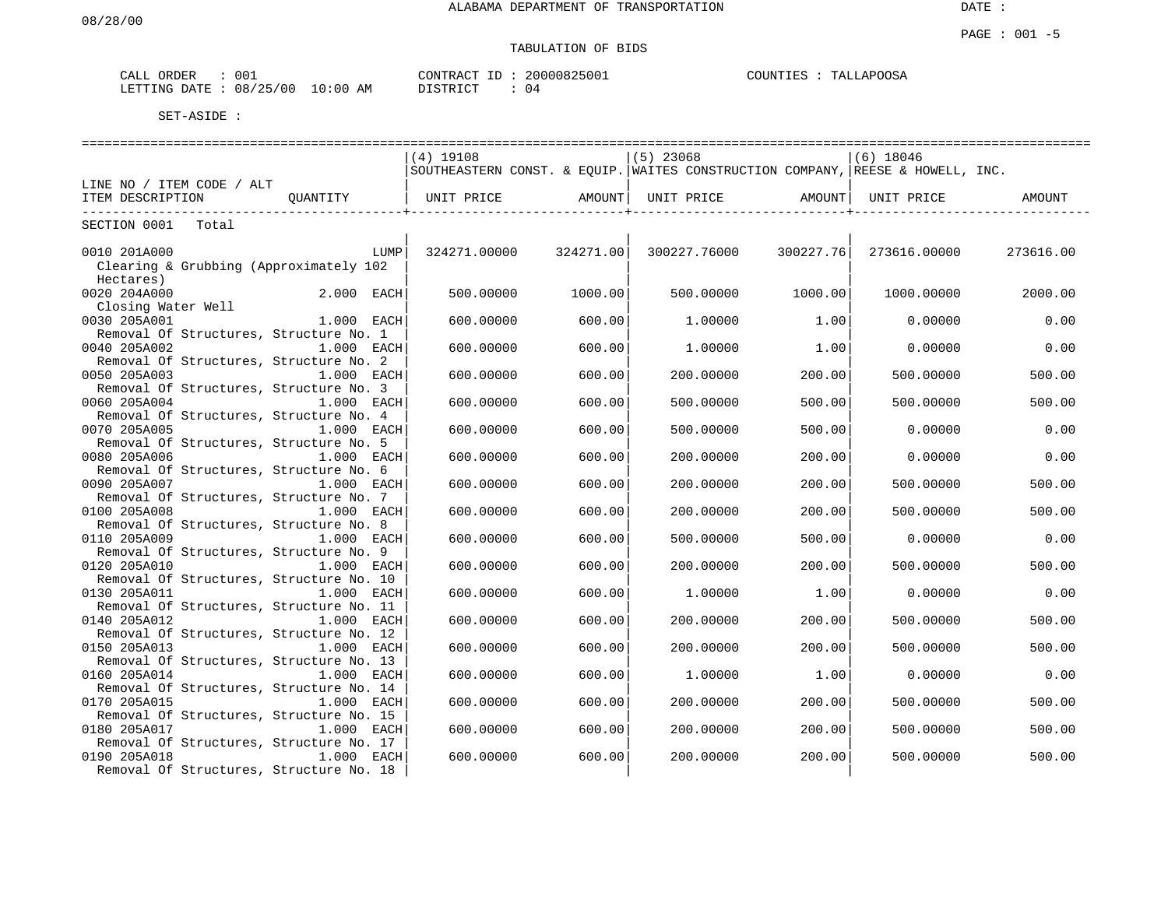# TABULATION OF BIDS

| CALL<br>ORDER   | 001               | CONTRACT                     | 20000825001<br>ID | COUNTIES | TALLAPOOSA |
|-----------------|-------------------|------------------------------|-------------------|----------|------------|
| LETTING<br>DATE | 08/25/00<br>10:00 | ידי איד פידי פורי<br>ΆM<br>. | 04                |          |            |

|                                                                         | ===========================                                                    |           | ------------------------ |           | ================ |           |
|-------------------------------------------------------------------------|--------------------------------------------------------------------------------|-----------|--------------------------|-----------|------------------|-----------|
|                                                                         | $(4)$ 19108                                                                    |           | $(5)$ 23068              |           | $(6)$ 18046      |           |
|                                                                         | SOUTHEASTERN CONST. & EOUIP. WAITES CONSTRUCTION COMPANY, REESE & HOWELL, INC. |           |                          |           |                  |           |
| LINE NO / ITEM CODE / ALT                                               |                                                                                |           |                          |           |                  |           |
| ITEM DESCRIPTION<br>OUANTITY   UNIT PRICE                               |                                                                                | AMOUNT    | UNIT PRICE               | AMOUNT    | UNIT PRICE       | AMOUNT    |
| SECTION 0001<br>Total                                                   |                                                                                |           |                          |           |                  |           |
|                                                                         |                                                                                |           |                          |           |                  |           |
| 0010 201A000<br>LUMP                                                    | 324271.00000                                                                   | 324271.00 | 300227.76000             | 300227.76 | 273616.00000     | 273616.00 |
| Clearing & Grubbing (Approximately 102                                  |                                                                                |           |                          |           |                  |           |
| Hectares)                                                               |                                                                                |           |                          |           |                  |           |
| 0020 204A000<br>$2.000$ EACH                                            | 500.00000                                                                      | 1000.00   | 500.00000                | 1000.00   | 1000.00000       | 2000.00   |
| Closing Water Well                                                      |                                                                                |           |                          |           |                  |           |
| 0030 205A001<br>1.000 EACH                                              | 600,00000                                                                      | 600.00    | 1,00000                  | 1.00      | 0.00000          | 0.00      |
| Removal Of Structures, Structure No. 1                                  |                                                                                |           |                          |           |                  |           |
| 0040 205A002<br>1.000 EACH                                              | 600,00000                                                                      | 600.00    | 1,00000                  | 1.00      | 0.00000          | 0.00      |
| Removal Of Structures, Structure No. 2                                  |                                                                                |           |                          |           |                  |           |
| 0050 205A003<br>$1.000$ EACH                                            | 600.00000                                                                      | 600.00    | 200.00000                | 200.00    | 500.00000        | 500.00    |
| Removal Of Structures, Structure No. 3<br>0060 205A004<br>$1.000$ EACH  | 600.00000                                                                      | 600.00    | 500.00000                | 500.00    | 500,00000        | 500.00    |
| Removal Of Structures, Structure No. 4                                  |                                                                                |           |                          |           |                  |           |
| 0070 205A005<br>$1.000$ EACH                                            | 600,00000                                                                      | 600.00    | 500.00000                | 500.00    | 0.00000          | 0.00      |
| Removal Of Structures, Structure No. 5                                  |                                                                                |           |                          |           |                  |           |
| 0080 205A006<br>1.000 EACH                                              | 600.00000                                                                      | 600.00    | 200.00000                | 200.00    | 0.00000          | 0.00      |
| Removal Of Structures, Structure No. 6                                  |                                                                                |           |                          |           |                  |           |
| 0090 205A007<br>1.000 EACH                                              | 600.00000                                                                      | 600.00    | 200.00000                | 200.00    | 500.00000        | 500.00    |
| Removal Of Structures, Structure No. 7                                  |                                                                                |           |                          |           |                  |           |
| 0100 205A008<br>1.000 EACH                                              | 600,00000                                                                      | 600.00    | 200.00000                | 200.00    | 500.00000        | 500.00    |
| Removal Of Structures, Structure No. 8                                  |                                                                                |           |                          |           |                  |           |
| 0110 205A009<br>1.000 EACH                                              | 600,00000                                                                      | 600.00    | 500.00000                | 500.00    | 0.00000          | 0.00      |
| Removal Of Structures, Structure No. 9                                  |                                                                                |           |                          |           |                  |           |
| 0120 205A010<br>1.000 EACH                                              | 600,00000                                                                      | 600.00    | 200.00000                | 200.00    | 500.00000        | 500.00    |
| Removal Of Structures, Structure No. 10<br>0130 205A011<br>$1.000$ EACH | 600.00000                                                                      | 600.00    | 1,00000                  | 1.00      | 0.00000          | 0.00      |
| Removal Of Structures, Structure No. 11                                 |                                                                                |           |                          |           |                  |           |
| 0140 205A012<br>1.000 EACH                                              | 600,00000                                                                      | 600.00    | 200.00000                | 200.00    | 500.00000        | 500.00    |
| Removal Of Structures, Structure No. 12                                 |                                                                                |           |                          |           |                  |           |
| 0150 205A013<br>1.000 EACH                                              | 600,00000                                                                      | 600.00    | 200,00000                | 200.00    | 500,00000        | 500.00    |
| Removal Of Structures, Structure No. 13                                 |                                                                                |           |                          |           |                  |           |
| 0160 205A014<br>1.000 EACH                                              | 600.00000                                                                      | 600.00    | 1,00000                  | 1.00      | 0.00000          | 0.00      |
| Removal Of Structures, Structure No. 14                                 |                                                                                |           |                          |           |                  |           |
| 0170 205A015<br>1.000 EACH                                              | 600,00000                                                                      | 600.00    | 200,00000                | 200.00    | 500,00000        | 500.00    |
| Removal Of Structures, Structure No. 15                                 |                                                                                |           |                          |           |                  |           |
| 0180 205A017<br>1.000 EACH                                              | 600,00000                                                                      | 600.00    | 200.00000                | 200.00    | 500.00000        | 500.00    |
| Removal Of Structures, Structure No. 17                                 |                                                                                |           |                          |           |                  |           |
| 0190 205A018<br>$1.000$ EACH                                            | 600,00000                                                                      | 600.00    | 200.00000                | 200.00    | 500.00000        | 500.00    |
| Removal Of Structures, Structure No. 18                                 |                                                                                |           |                          |           |                  |           |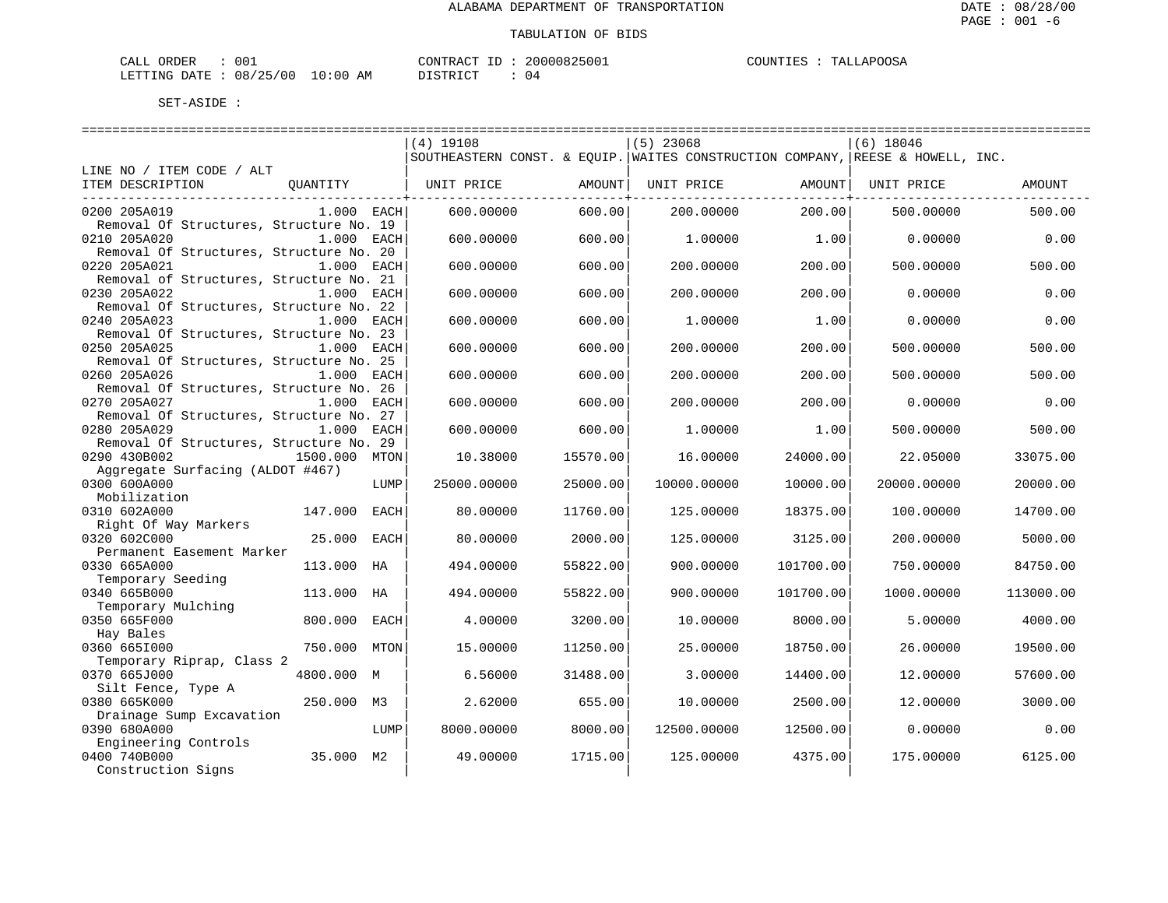| ORDER<br>CALL                   | 001 | CONTRACT ID: | 20000825001 | TALLAPOOSA<br>COUNTIES : |
|---------------------------------|-----|--------------|-------------|--------------------------|
| LETTING DATE: 08/25/00 10:00 AM |     | DISTRICT     |             |                          |

|                                         |               |             | ============================= |          | ----------------------------                                                   |           | ============================== |           |
|-----------------------------------------|---------------|-------------|-------------------------------|----------|--------------------------------------------------------------------------------|-----------|--------------------------------|-----------|
|                                         |               |             | $(4)$ 19108                   |          | $(5)$ 23068                                                                    |           | $(6)$ 18046                    |           |
|                                         |               |             |                               |          | SOUTHEASTERN CONST. & EOUIP. WAITES CONSTRUCTION COMPANY, REESE & HOWELL, INC. |           |                                |           |
| LINE NO / ITEM CODE / ALT               |               |             |                               |          |                                                                                |           |                                |           |
| ITEM DESCRIPTION                        | QUANTITY      |             | UNIT PRICE                    | AMOUNT   | UNIT PRICE                                                                     | AMOUNT    | UNIT PRICE                     | AMOUNT    |
|                                         |               |             |                               |          |                                                                                |           |                                |           |
| 0200 205A019                            | $1.000$ EACH  |             | 600,00000                     | 600.00   | 200.00000                                                                      | 200.00    | 500.00000                      | 500.00    |
| Removal Of Structures, Structure No. 19 |               |             |                               |          |                                                                                |           |                                |           |
| 0210 205A020                            | 1.000 EACH    |             | 600.00000                     | 600.00   | 1,00000                                                                        | 1.00      | 0.00000                        | 0.00      |
| Removal Of Structures, Structure No. 20 |               |             |                               |          |                                                                                |           |                                |           |
| 0220 205A021                            | $1.000$ EACH  |             | 600.00000                     | 600.00   | 200.00000                                                                      | 200.00    | 500,00000                      | 500.00    |
| Removal of Structures, Structure No. 21 |               |             |                               |          |                                                                                |           |                                |           |
| 0230 205A022                            | $1.000$ EACH  |             | 600.00000                     | 600.00   | 200.00000                                                                      | 200.00    | 0.00000                        | 0.00      |
| Removal Of Structures, Structure No. 22 |               |             |                               |          |                                                                                |           |                                |           |
| 0240 205A023                            | 1.000 EACH    |             | 600.00000                     | 600.00   | 1,00000                                                                        | 1.00      | 0.00000                        | 0.00      |
| Removal Of Structures, Structure No. 23 |               |             |                               |          |                                                                                |           |                                |           |
| 0250 205A025                            | 1.000 EACH    |             | 600.00000                     | 600.00   | 200.00000                                                                      | 200.00    | 500.00000                      | 500.00    |
| Removal Of Structures, Structure No. 25 |               |             |                               |          |                                                                                |           |                                |           |
| 0260 205A026                            | 1.000         | EACH        | 600.00000                     | 600.00   | 200.00000                                                                      | 200.00    | 500.00000                      | 500.00    |
| Removal Of Structures, Structure No. 26 |               |             |                               |          |                                                                                |           |                                |           |
| 0270 205A027                            | 1.000         | EACH        | 600.00000                     | 600.00   | 200.00000                                                                      | 200.00    | 0.00000                        | 0.00      |
| Removal Of Structures, Structure No. 27 |               |             |                               |          |                                                                                |           |                                |           |
| 0280 205A029                            | $1.000$ EACH  |             | 600.00000                     | 600.00   | 1,00000                                                                        | 1.00      | 500,00000                      | 500.00    |
| Removal Of Structures, Structure No. 29 |               |             |                               |          |                                                                                |           |                                |           |
| 0290 430B002                            | 1500.000      | MTON        | 10.38000                      | 15570.00 | 16.00000                                                                       | 24000.00  | 22.05000                       | 33075.00  |
| Aggregate Surfacing (ALDOT #467)        |               |             |                               |          |                                                                                |           |                                |           |
| 0300 600A000                            |               | LUMP        | 25000.00000                   | 25000.00 | 10000.00000                                                                    | 10000.00  | 20000.00000                    | 20000.00  |
| Mobilization                            |               |             |                               |          |                                                                                |           |                                |           |
| 0310 602A000                            | 147.000       | <b>EACH</b> | 80.00000                      | 11760.00 | 125.00000                                                                      | 18375.00  | 100.00000                      | 14700.00  |
| Right Of Way Markers                    |               |             |                               |          |                                                                                |           |                                |           |
| 0320 602C000                            | 25,000        | EACH        | 80.00000                      | 2000.00  | 125.00000                                                                      | 3125.00   | 200.00000                      | 5000.00   |
| Permanent Easement Marker               |               |             |                               |          |                                                                                |           |                                |           |
| 0330 665A000                            | 113.000<br>НA |             | 494.00000                     | 55822.00 | 900.00000                                                                      | 101700.00 | 750.00000                      | 84750.00  |
| Temporary Seeding                       |               |             |                               |          |                                                                                |           |                                |           |
| 0340 665B000                            | 113.000<br>HA |             | 494.00000                     | 55822.00 | 900.00000                                                                      | 101700.00 | 1000.00000                     | 113000.00 |
| Temporary Mulching                      |               |             |                               |          |                                                                                |           |                                |           |
| 0350 665F000                            | 800,000       | EACH        | 4.00000                       | 3200.00  | 10.00000                                                                       | 8000.00   | 5,00000                        | 4000.00   |
| Hay Bales                               |               |             |                               |          |                                                                                |           |                                |           |
| 0360 6651000                            | 750.000       | MTON        | 15.00000                      | 11250.00 | 25.00000                                                                       | 18750.00  | 26.00000                       | 19500.00  |
| Temporary Riprap, Class 2               |               |             |                               |          |                                                                                |           |                                |           |
| 0370 665J000                            | 4800.000 M    |             | 6.56000                       | 31488.00 | 3.00000                                                                        | 14400.00  | 12,00000                       | 57600.00  |
| Silt Fence, Type A                      |               |             |                               |          |                                                                                |           |                                |           |
| 0380 665K000                            | 250.000<br>M3 |             | 2.62000                       | 655.00   | 10.00000                                                                       | 2500.00   | 12.00000                       | 3000.00   |
| Drainage Sump Excavation                |               |             |                               |          |                                                                                |           |                                |           |
| 0390 680A000                            |               | LUMP        | 8000.00000                    | 8000.00  | 12500.00000                                                                    | 12500.00  | 0.00000                        | 0.00      |
| Engineering Controls                    |               |             |                               |          |                                                                                |           |                                |           |
| 0400 740B000                            | 35.000 M2     |             | 49.00000                      | 1715.00  | 125.00000                                                                      | 4375.00   | 175,00000                      | 6125.00   |
| Construction Signs                      |               |             |                               |          |                                                                                |           |                                |           |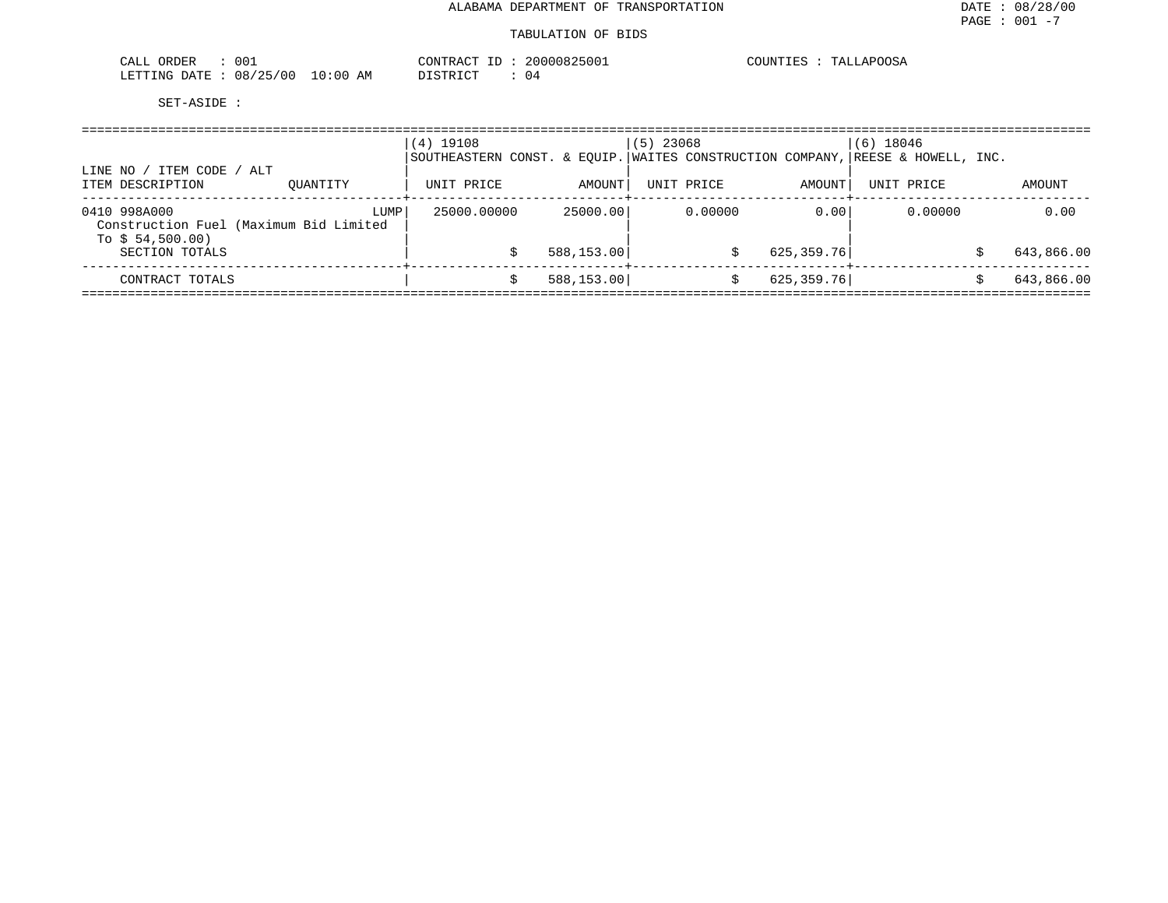#### TABULATION OF BIDS

| 001<br>ORDER<br>CALL                                                                                                                            | $\pi$ $\sim$<br>CONTE<br>:RAC     | 2000083<br>くらけけ工 | COUNTIES | TALLAPOOSA |
|-------------------------------------------------------------------------------------------------------------------------------------------------|-----------------------------------|------------------|----------|------------|
| 08/25/00<br>LETTING<br>DATE.<br>the contract of the contract of the contract of the contract of the contract of the contract of the contract of | :00<br>10<br>די הדי אידי את<br>AΜ | ,,,<br>. .       |          |            |

| ITEM CODE / ALT<br>LINE NO                                                 |          | $(4)$ 19108<br>SOUTHEASTERN CONST. & EOUIP. WAITES CONSTRUCTION COMPANY, REESE & HOWELL, INC. |            | $(5)$ 23068 |                             | $(6)$ 18046 |            |
|----------------------------------------------------------------------------|----------|-----------------------------------------------------------------------------------------------|------------|-------------|-----------------------------|-------------|------------|
| ITEM DESCRIPTION                                                           | OUANTITY | UNIT PRICE                                                                                    | AMOUNT     | UNIT PRICE  | AMOUNT<br>$- - - - - - + -$ | UNIT PRICE  | AMOUNT     |
| 0410 998A000<br>Construction Fuel (Maximum Bid Limited<br>To $$54,500.00)$ | LUMP     | 25000.00000                                                                                   | 25000.00   | 0.00000     | 0.00                        | 0.00000     | 0.00       |
| SECTION TOTALS                                                             |          |                                                                                               | 588,153.00 |             | 625,359.76                  |             | 643,866.00 |
| CONTRACT TOTALS                                                            |          |                                                                                               | 588,153.00 |             | 625,359.76                  |             | 643,866.00 |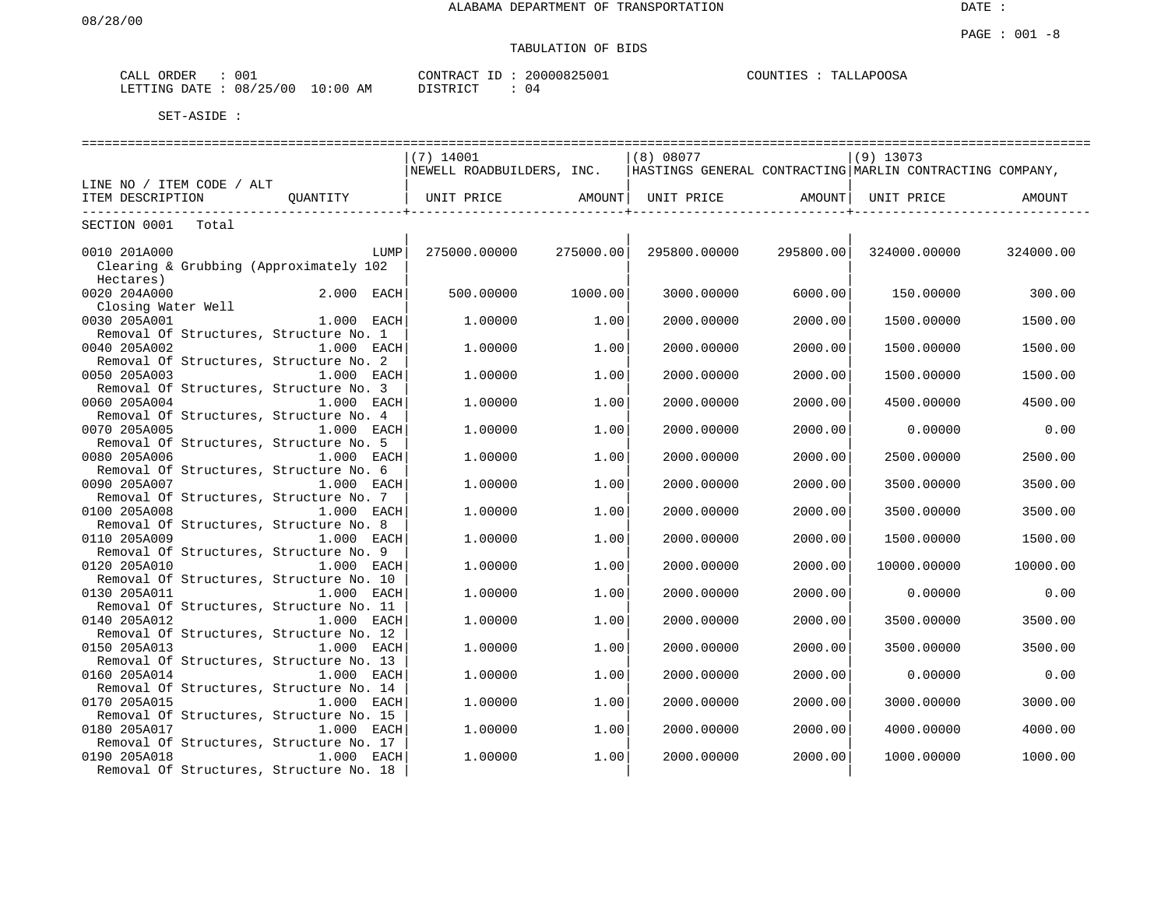# TABULATION OF BIDS

| ORDER<br>CALL | 001      |             | CONTRACT                          | 20000825001 | <b>TALLAPOOSA</b><br>COUNTIES |
|---------------|----------|-------------|-----------------------------------|-------------|-------------------------------|
| LETTING DATE  | 08/25/00 | 10:00<br>ΆM | חי היה די היה מיד<br>- יט דעד מדח | 04          |                               |

|                                                         |                       | $(7)$ 14001                                                                        |           | (8) 08077          |           | $(9)$ 13073         |           |  |  |  |  |
|---------------------------------------------------------|-----------------------|------------------------------------------------------------------------------------|-----------|--------------------|-----------|---------------------|-----------|--|--|--|--|
|                                                         |                       | NEWELL ROADBUILDERS, INC. HASTINGS GENERAL CONTRACTING MARLIN CONTRACTING COMPANY, |           |                    |           |                     |           |  |  |  |  |
| LINE NO / ITEM CODE / ALT                               |                       |                                                                                    |           |                    |           |                     |           |  |  |  |  |
| ITEM DESCRIPTION                                        | OUANTITY   UNIT PRICE |                                                                                    |           | AMOUNT  UNIT PRICE |           | AMOUNT   UNIT PRICE | AMOUNT    |  |  |  |  |
| SECTION 0001 Total                                      |                       |                                                                                    |           |                    |           |                     |           |  |  |  |  |
|                                                         |                       |                                                                                    |           |                    |           |                     |           |  |  |  |  |
| 0010 201A000                                            | LUMP                  | 275000.00000                                                                       | 275000.00 | 295800.00000       | 295800.00 | 324000.00000        | 324000.00 |  |  |  |  |
| Clearing & Grubbing (Approximately 102                  |                       |                                                                                    |           |                    |           |                     |           |  |  |  |  |
| Hectares)                                               |                       |                                                                                    |           |                    |           |                     |           |  |  |  |  |
| 0020 204A000                                            | 2.000 EACH            | 500,00000                                                                          | 1000.00   | 3000.00000         | 6000.001  | 150.00000           | 300.00    |  |  |  |  |
| Closing Water Well                                      |                       |                                                                                    |           |                    |           |                     |           |  |  |  |  |
| 0030 205A001                                            | $1.000$ EACH          | 1,00000                                                                            | 1.00      | 2000.00000         | 2000.00   | 1500.00000          | 1500.00   |  |  |  |  |
| Removal Of Structures, Structure No. 1                  |                       |                                                                                    |           |                    |           |                     |           |  |  |  |  |
| 0040 205A002                                            | 1.000 EACH            | 1,00000                                                                            | 1.00      | 2000.00000         | 2000.00   | 1500.00000          | 1500.00   |  |  |  |  |
| Removal Of Structures, Structure No. 2                  |                       |                                                                                    |           |                    |           |                     |           |  |  |  |  |
| 0050 205A003                                            | $1.000$ EACH          | 1,00000                                                                            | 1.00      | 2000.00000         | 2000.00   | 1500.00000          | 1500.00   |  |  |  |  |
| Removal Of Structures, Structure No. 3                  |                       |                                                                                    |           |                    |           |                     |           |  |  |  |  |
| 0060 205A004<br>Removal Of Structures, Structure No. 4  | $1.000$ EACH          | 1,00000                                                                            | 1.00      | 2000.00000         | 2000.001  | 4500.00000          | 4500.00   |  |  |  |  |
| 0070 205A005                                            | $1.000$ EACH          | 1,00000                                                                            | 1.00      | 2000.00000         | 2000.00   | 0.00000             | 0.00      |  |  |  |  |
| Removal Of Structures, Structure No. 5                  |                       |                                                                                    |           |                    |           |                     |           |  |  |  |  |
| 0080 205A006                                            | 1.000 EACH            | 1,00000                                                                            | 1.00      | 2000.00000         | 2000.00   | 2500.00000          | 2500.00   |  |  |  |  |
| Removal Of Structures, Structure No. 6                  |                       |                                                                                    |           |                    |           |                     |           |  |  |  |  |
| 0090 205A007                                            | $1.000$ EACH          | 1,00000                                                                            | 1.00      | 2000.00000         | 2000.00   | 3500.00000          | 3500.00   |  |  |  |  |
| Removal Of Structures, Structure No. 7                  |                       |                                                                                    |           |                    |           |                     |           |  |  |  |  |
| 0100 205A008                                            | $1.000$ EACH          | 1,00000                                                                            | 1.00      | 2000.00000         | 2000.001  | 3500.00000          | 3500.00   |  |  |  |  |
| Removal Of Structures, Structure No. 8                  |                       |                                                                                    |           |                    |           |                     |           |  |  |  |  |
| 0110 205A009                                            | $1.000$ EACH          | 1,00000                                                                            | 1.00      | 2000.00000         | 2000.00   | 1500.00000          | 1500.00   |  |  |  |  |
| Removal Of Structures, Structure No. 9                  |                       |                                                                                    |           |                    |           |                     |           |  |  |  |  |
| 0120 205A010                                            | 1.000 EACH            | 1,00000                                                                            | 1.00      | 2000.00000         | 2000.00   | 10000.00000         | 10000.00  |  |  |  |  |
| Removal Of Structures, Structure No. 10                 |                       |                                                                                    |           |                    |           |                     |           |  |  |  |  |
| 0130 205A011                                            | 1.000 EACH            | 1,00000                                                                            | 1.00      | 2000.00000         | 2000.00   | 0.00000             | 0.00      |  |  |  |  |
| Removal Of Structures, Structure No. 11                 |                       |                                                                                    |           |                    |           |                     |           |  |  |  |  |
| 0140 205A012                                            | $1.000$ EACH          | 1,00000                                                                            | 1.00      | 2000.00000         | 2000.00   | 3500.00000          | 3500.00   |  |  |  |  |
| Removal Of Structures, Structure No. 12<br>0150 205A013 | 1.000 EACH            | 1,00000                                                                            | 1.00      | 2000.00000         | 2000.00   | 3500.00000          | 3500.00   |  |  |  |  |
| Removal Of Structures, Structure No. 13                 |                       |                                                                                    |           |                    |           |                     |           |  |  |  |  |
| 0160 205A014                                            | 1.000 EACH            | 1,00000                                                                            | 1.00      | 2000.00000         | 2000.00   | 0.00000             | 0.00      |  |  |  |  |
| Removal Of Structures, Structure No. 14                 |                       |                                                                                    |           |                    |           |                     |           |  |  |  |  |
| 0170 205A015                                            | 1.000 EACH            | 1,00000                                                                            | 1.00      | 2000.00000         | 2000.00   | 3000.00000          | 3000.00   |  |  |  |  |
| Removal Of Structures, Structure No. 15                 |                       |                                                                                    |           |                    |           |                     |           |  |  |  |  |
| 0180 205A017                                            | 1.000 EACH            | 1,00000                                                                            | 1.00      | 2000.00000         | 2000.00   | 4000.00000          | 4000.00   |  |  |  |  |
| Removal Of Structures, Structure No. 17                 |                       |                                                                                    |           |                    |           |                     |           |  |  |  |  |
| 0190 205A018                                            | 1.000 EACH            | 1,00000                                                                            | 1.00      | 2000.00000         | 2000.00   | 1000.00000          | 1000.00   |  |  |  |  |
| Removal Of Structures, Structure No. 18                 |                       |                                                                                    |           |                    |           |                     |           |  |  |  |  |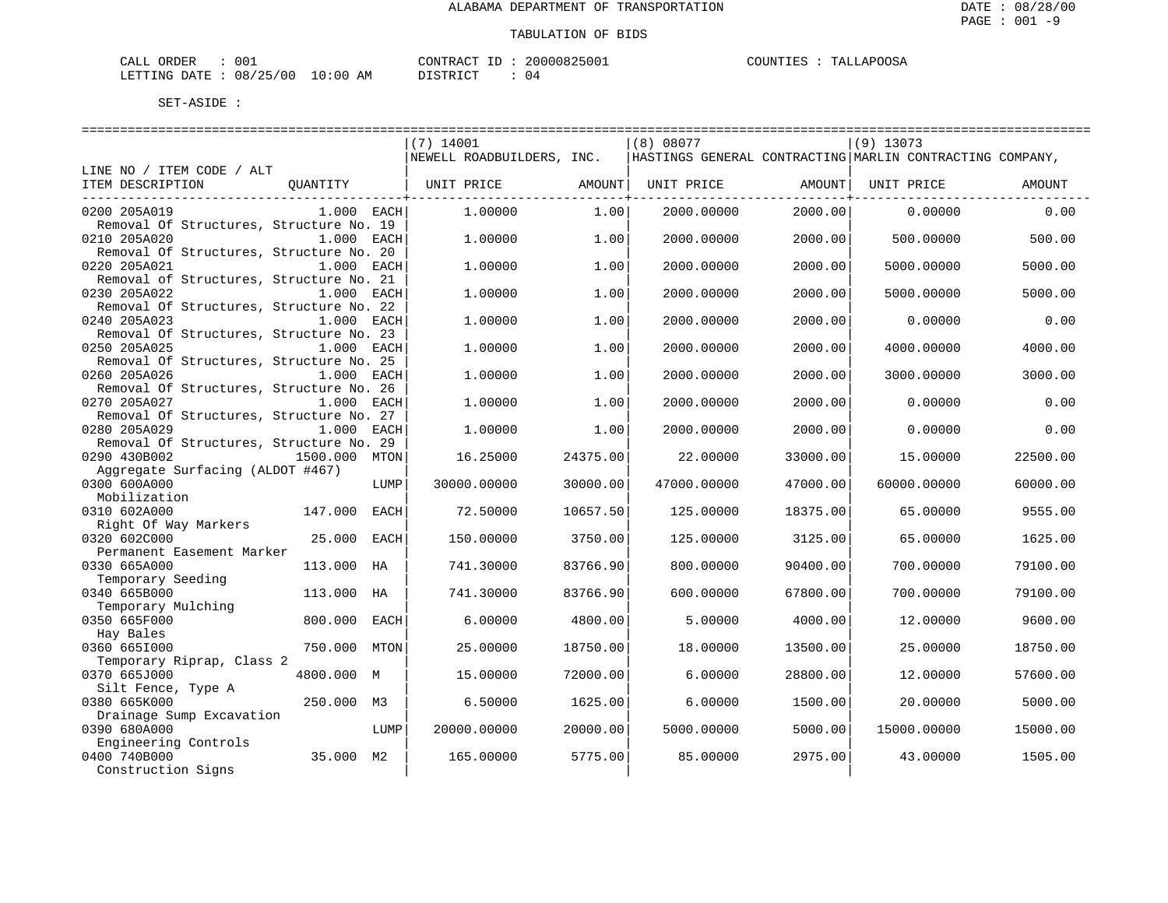| 001<br>CALL<br>ORDER<br>w |                                                       | <b>CONTRAL</b><br>$- -$ | 70000825001 | מ⊃∩∩<br>COUNT<br>$\mathbf{A} \mathbf{D} \mathbf{C}$<br>⊤בידי<br>ە شاھىل<br>. |
|---------------------------|-------------------------------------------------------|-------------------------|-------------|------------------------------------------------------------------------------|
| LETTING<br>DATE           | J:00<br>$\sim$ $\sim$ $\sim$<br>08/25/00<br>AΜ<br>. U | דים דמידי פרות          | $\cdot$     |                                                                              |

|                                                  |                 |           | ============================== |          |             |            | ------------------------------ |                                                          |          |
|--------------------------------------------------|-----------------|-----------|--------------------------------|----------|-------------|------------|--------------------------------|----------------------------------------------------------|----------|
|                                                  |                 | (7) 14001 |                                |          | (8) 08077   |            |                                | $(9)$ 13073                                              |          |
|                                                  |                 |           | NEWELL ROADBUILDERS, INC.      |          |             |            |                                | HASTINGS GENERAL CONTRACTING MARLIN CONTRACTING COMPANY, |          |
| LINE NO / ITEM CODE / ALT                        |                 |           |                                |          |             |            |                                |                                                          |          |
| ITEM DESCRIPTION                                 | QUANTITY        |           | UNIT PRICE AMOUNT              |          |             |            | UNIT PRICE AMOUNT              | UNIT PRICE                                               | AMOUNT   |
| ----------------------------                     |                 |           |                                |          |             |            |                                |                                                          |          |
| 0200 205A019                                     | $1.000$ EACH    |           | 1,00000                        | 1.00     |             | 2000.00000 | 2000.00                        | 0.00000                                                  | 0.00     |
| Removal Of Structures, Structure No. 19          |                 |           |                                |          |             |            |                                |                                                          |          |
| 0210 205A020                                     | 1.000 EACH      |           | 1,00000                        | 1.00     |             | 2000.00000 | 2000.00                        | 500.00000                                                | 500.00   |
| Removal Of Structures, Structure No. 20          |                 |           |                                |          |             |            |                                |                                                          |          |
| 0220 205A021                                     | $1.000$ EACH    |           | 1.00000                        | 1.00     |             | 2000.00000 | 2000.00                        | 5000.00000                                               | 5000.00  |
| Removal of Structures, Structure No. 21          |                 |           |                                |          |             |            |                                |                                                          |          |
| 0230 205A022                                     | $1.000$ EACH    |           | 1,00000                        | 1.00     |             | 2000.00000 | 2000.00                        | 5000.00000                                               | 5000.00  |
| Removal Of Structures, Structure No. 22          |                 |           |                                |          |             |            |                                |                                                          |          |
| 0240 205A023                                     | 1.000 EACH      |           | 1.00000                        | 1.00     |             | 2000.00000 | 2000.00                        | 0.00000                                                  | 0.00     |
| Removal Of Structures, Structure No. 23          |                 |           |                                |          |             |            |                                |                                                          |          |
| 0250 205A025                                     | 1.000 EACH      |           | 1.00000                        | 1.00     |             | 2000.00000 | 2000.00                        | 4000.00000                                               | 4000.00  |
| Removal Of Structures, Structure No. 25          |                 |           |                                |          |             |            |                                |                                                          |          |
| 0260 205A026                                     | 1.000 EACH      |           | 1.00000                        | 1.00     |             | 2000.00000 | 2000.00                        | 3000.00000                                               | 3000.00  |
| Removal Of Structures, Structure No. 26          |                 |           |                                |          |             |            |                                |                                                          |          |
| 0270 205A027                                     | 1.000 EACH      |           | 1,00000                        | 1.00     |             | 2000.00000 | 2000.00                        | 0.00000                                                  | 0.00     |
| Removal Of Structures, Structure No. 27          |                 |           |                                |          |             |            |                                |                                                          |          |
| 0280 205A029                                     | 1.000 EACH      |           | 1.00000                        | 1.00     |             | 2000.00000 | 2000.00                        | 0.00000                                                  | 0.00     |
| Removal Of Structures, Structure No. 29          |                 |           |                                |          |             |            |                                |                                                          |          |
| 0290 430B002                                     | 1500.000 MTON   |           | 16.25000                       | 24375.00 |             | 22.00000   | 33000.00                       | 15.00000                                                 | 22500.00 |
| Aggregate Surfacing (ALDOT #467)<br>0300 600A000 |                 |           |                                |          |             |            |                                |                                                          |          |
|                                                  | LUMP            |           | 30000.00000                    | 30000.00 | 47000.00000 |            | 47000.00                       | 60000.00000                                              | 60000.00 |
| Mobilization<br>0310 602A000                     |                 |           |                                | 10657.50 |             |            |                                |                                                          |          |
| Right Of Way Markers                             | 147.000<br>EACH |           | 72.50000                       |          |             | 125.00000  | 18375.00                       | 65.00000                                                 | 9555.00  |
| 0320 602C000                                     | 25.000 EACH     |           | 150.00000                      | 3750.00  |             |            | 3125.00                        |                                                          | 1625.00  |
| Permanent Easement Marker                        |                 |           |                                |          |             | 125.00000  |                                | 65.00000                                                 |          |
| 0330 665A000                                     | 113.000 HA      |           | 741.30000                      | 83766.90 |             | 800.00000  | 90400.00                       | 700.00000                                                | 79100.00 |
| Temporary Seeding                                |                 |           |                                |          |             |            |                                |                                                          |          |
| 0340 665B000                                     | 113.000<br>HA   |           | 741.30000                      | 83766.90 |             | 600.00000  | 67800.00                       | 700.00000                                                | 79100.00 |
| Temporary Mulching                               |                 |           |                                |          |             |            |                                |                                                          |          |
| 0350 665F000                                     | 800,000<br>EACH |           | 6.00000                        | 4800.00  |             | 5.00000    | 4000.00                        | 12,00000                                                 | 9600.00  |
| Hay Bales                                        |                 |           |                                |          |             |            |                                |                                                          |          |
| 0360 6651000                                     | 750.000<br>MTON |           | 25.00000                       | 18750.00 |             | 18,00000   | 13500.00                       | 25.00000                                                 | 18750.00 |
| Temporary Riprap, Class 2                        |                 |           |                                |          |             |            |                                |                                                          |          |
| 0370 665J000                                     | 4800.000 M      |           | 15.00000                       | 72000.00 |             | 6.00000    | 28800.00                       | 12,00000                                                 | 57600.00 |
| Silt Fence, Type A                               |                 |           |                                |          |             |            |                                |                                                          |          |
| 0380 665K000                                     | 250.000 M3      |           | 6.50000                        | 1625.00  |             | 6.00000    | 1500.00                        | 20.00000                                                 | 5000.00  |
| Drainage Sump Excavation                         |                 |           |                                |          |             |            |                                |                                                          |          |
| 0390 680A000                                     | LUMP            |           | 20000.00000                    | 20000.00 |             | 5000.00000 | 5000.00                        | 15000.00000                                              | 15000.00 |
| Engineering Controls                             |                 |           |                                |          |             |            |                                |                                                          |          |
| 0400 740B000                                     | 35.000 M2       |           | 165.00000                      | 5775.00  |             | 85.00000   | 2975.00                        | 43.00000                                                 | 1505.00  |
| Construction Signs                               |                 |           |                                |          |             |            |                                |                                                          |          |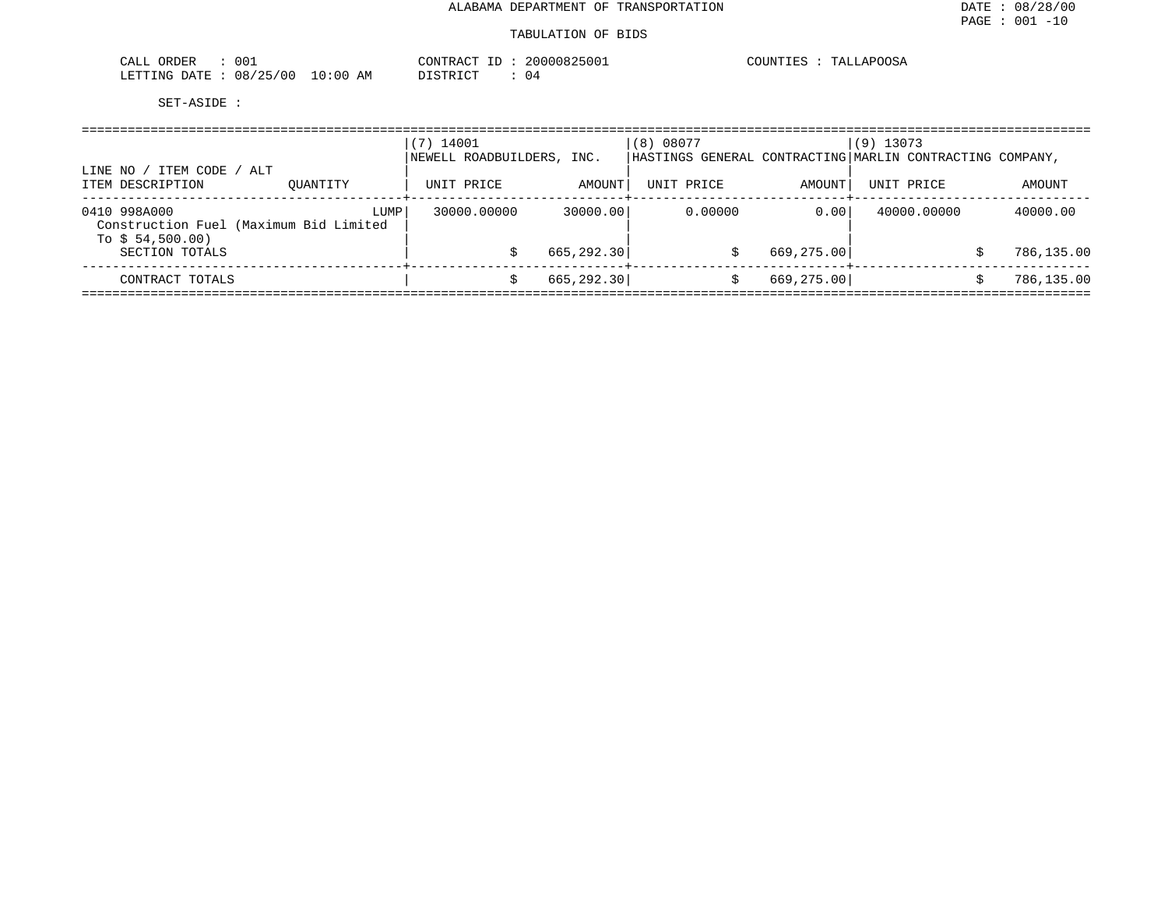| 00.<br>ORDER<br>CALL     | CONTRACT                    | 20000825001<br>ID | COUNTIES<br>TALLAPOOSA |
|--------------------------|-----------------------------|-------------------|------------------------|
| 08/25/00<br>LETTING DATE | $10:00$ AM<br>חימת דפידי את | 14                |                        |

| ITEM CODE /<br>LINE NO                                                     | ALT      | $(7)$ 14001<br>NEWELL ROADBUILDERS, INC. |             | (8) 08077  |            | $(9)$ 13073<br> HASTINGS GENERAL CONTRACTING MARLIN CONTRACTING COMPANY, |            |
|----------------------------------------------------------------------------|----------|------------------------------------------|-------------|------------|------------|--------------------------------------------------------------------------|------------|
| ITEM DESCRIPTION                                                           | OUANTITY | UNIT PRICE                               | AMOUNT      | UNIT PRICE | AMOUNT     | UNIT PRICE                                                               | AMOUNT     |
| 0410 998A000<br>Construction Fuel (Maximum Bid Limited<br>To $$54,500.00)$ | LUMP     | 30000.00000                              | 30000.00    | 0.00000    | 0.00       | 40000.00000                                                              | 40000.00   |
| SECTION TOTALS                                                             |          |                                          | 665, 292.30 |            | 669,275.00 |                                                                          | 786,135.00 |
| CONTRACT TOTALS                                                            |          |                                          | 665, 292.30 |            | 669,275.00 |                                                                          | 786,135.00 |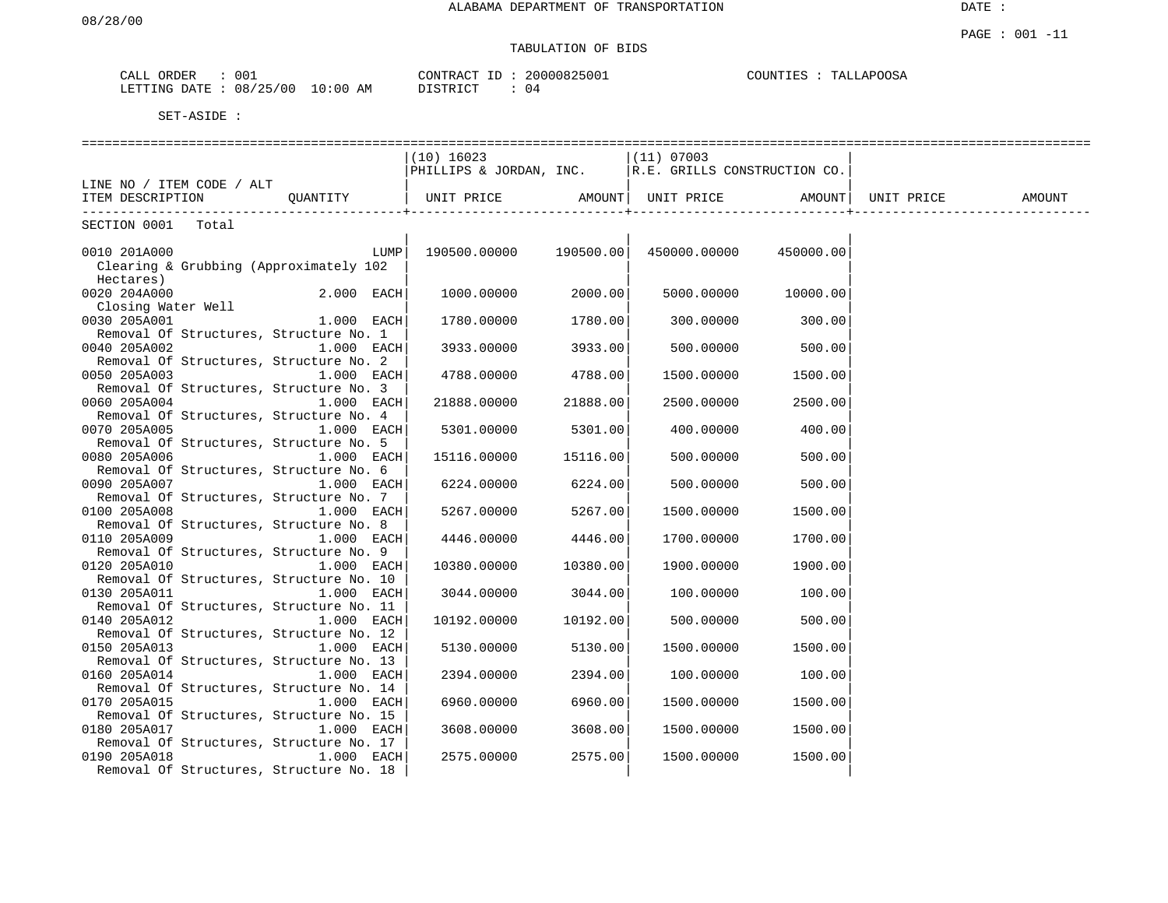## TABULATION OF BIDS

| ORDER<br>CALL | 001      |             | CONTRACT<br>⊥D. | 20000825001 | TALLAPOOSA<br>COUNTIES |
|---------------|----------|-------------|-----------------|-------------|------------------------|
| LETTING DATE  | 08/25/00 | 10:00<br>AM | DISTRICT        | (14         |                        |

|                                                                    |              | $(10)$ 16023                                                                                               |          | $(11)$ 07003      |           |            |        |
|--------------------------------------------------------------------|--------------|------------------------------------------------------------------------------------------------------------|----------|-------------------|-----------|------------|--------|
|                                                                    |              | $\begin{bmatrix} 110 & 16025 \\ \text{PHILLIPS & JORDAN, INC.} \end{bmatrix}$ R.E. GRILLS CONSTRUCTION CO. |          |                   |           |            |        |
| LINE NO / ITEM CODE / ALT                                          |              |                                                                                                            |          |                   |           |            |        |
| THE NO (TILI COLL)<br>TEM DESCRIPTION COANTITY   UNIT PRICE AMOUNT |              |                                                                                                            |          | UNIT PRICE AMOUNT |           | UNIT PRICE | AMOUNT |
| SECTION 0001<br>Total                                              |              |                                                                                                            |          |                   |           |            |        |
|                                                                    |              |                                                                                                            |          |                   |           |            |        |
| 0010 201A000                                                       | LUMP         | 190500.00000 190500.00                                                                                     |          | 450000.00000      | 450000.00 |            |        |
| Clearing & Grubbing (Approximately 102<br>Hectares)                |              |                                                                                                            |          |                   |           |            |        |
| 0020 204A000                                                       | 2.000 EACH   | 1000.00000                                                                                                 | 2000.00  | 5000.00000        | 10000.00  |            |        |
| Closing Water Well                                                 |              |                                                                                                            |          |                   |           |            |        |
| 0030 205A001                                                       | $1.000$ EACH | 1780.00000 1780.00                                                                                         |          | 300.00000         | 300.00    |            |        |
| Removal Of Structures, Structure No. 1                             |              |                                                                                                            |          |                   |           |            |        |
| 0040 205A002                                                       | $1.000$ EACH | 3933.00000                                                                                                 | 3933.00  | 500.00000         | 500.00    |            |        |
| Removal Of Structures, Structure No. 2                             |              |                                                                                                            |          |                   |           |            |        |
| 0050 205A003                                                       | $1.000$ EACH | 4788.00000 4788.00                                                                                         |          | 1500.00000        | 1500.001  |            |        |
| Removal Of Structures, Structure No. 3                             |              |                                                                                                            |          |                   |           |            |        |
| 0060 205A004                                                       | $1.000$ EACH | 21888.00000                                                                                                | 21888.00 | 2500.00000        | 2500.00   |            |        |
| Removal Of Structures, Structure No. 4                             |              |                                                                                                            |          |                   |           |            |        |
| 0070 205A005                                                       | $1.000$ EACH | 5301.00000                                                                                                 | 5301.00  | 400.00000         | 400.001   |            |        |
| Removal Of Structures, Structure No. 5                             |              |                                                                                                            |          |                   |           |            |        |
| 0080 205A006                                                       | $1.000$ EACH | 15116.00000                                                                                                | 15116.00 | 500.00000         | 500.00    |            |        |
| Removal Of Structures, Structure No. 6                             |              |                                                                                                            |          |                   |           |            |        |
| 0090 205A007                                                       | $1.000$ EACH | 6224.00000                                                                                                 | 6224.00  | 500,00000         | 500.00    |            |        |
| Removal Of Structures, Structure No. 7                             |              |                                                                                                            |          |                   |           |            |        |
| 0100 205A008                                                       | $1.000$ EACH | 5267.00000 5267.00                                                                                         |          | 1500.00000        | 1500.00   |            |        |
| Removal Of Structures, Structure No. 8                             |              |                                                                                                            |          |                   |           |            |        |
| 0110 205A009                                                       | $1.000$ EACH | 4446.00000                                                                                                 | 4446.00  | 1700.00000        | 1700.00   |            |        |
| Removal Of Structures, Structure No. 9                             |              |                                                                                                            |          |                   |           |            |        |
| 0120 205A010                                                       | 1.000 EACH   | 10380.00000                                                                                                | 10380.00 | 1900.00000        | 1900.00   |            |        |
| Removal Of Structures, Structure No. 10<br>0130 205A011            | 1.000 EACH   | 3044.00000 3044.00                                                                                         |          |                   | 100.00    |            |        |
| Removal Of Structures, Structure No. 11                            |              |                                                                                                            |          | 100.00000         |           |            |        |
| 0140 205A012                                                       | 1.000 EACH   | 10192.00000                                                                                                | 10192.00 | 500.00000         | 500.00    |            |        |
| Removal Of Structures, Structure No. 12                            |              |                                                                                                            |          |                   |           |            |        |
| 0150 205A013                                                       | 1.000 EACH   | 5130.00000                                                                                                 | 5130.00  | 1500.00000        | 1500.00   |            |        |
| Removal Of Structures, Structure No. 13                            |              |                                                                                                            |          |                   |           |            |        |
| 0160 205A014                                                       | 1.000 EACH   | 2394.00000                                                                                                 | 2394.00  | 100.00000         | 100.00    |            |        |
| Removal Of Structures, Structure No. 14                            |              |                                                                                                            |          |                   |           |            |        |
| 0170 205A015                                                       | 1.000 EACH   | 6960.00000                                                                                                 | 6960.00  | 1500.00000        | 1500.00   |            |        |
| Removal Of Structures, Structure No. 15                            |              |                                                                                                            |          |                   |           |            |        |
| 0180 205A017                                                       | 1.000 EACH   | 3608.00000                                                                                                 | 3608.00  | 1500.00000        | 1500.00   |            |        |
| Removal Of Structures, Structure No. 17                            |              |                                                                                                            |          |                   |           |            |        |
| 0190 205A018                                                       | 1.000 EACH   | 2575.00000                                                                                                 | 2575.00  | 1500.00000        | 1500.00   |            |        |
| Removal Of Structures, Structure No. 18                            |              |                                                                                                            |          |                   |           |            |        |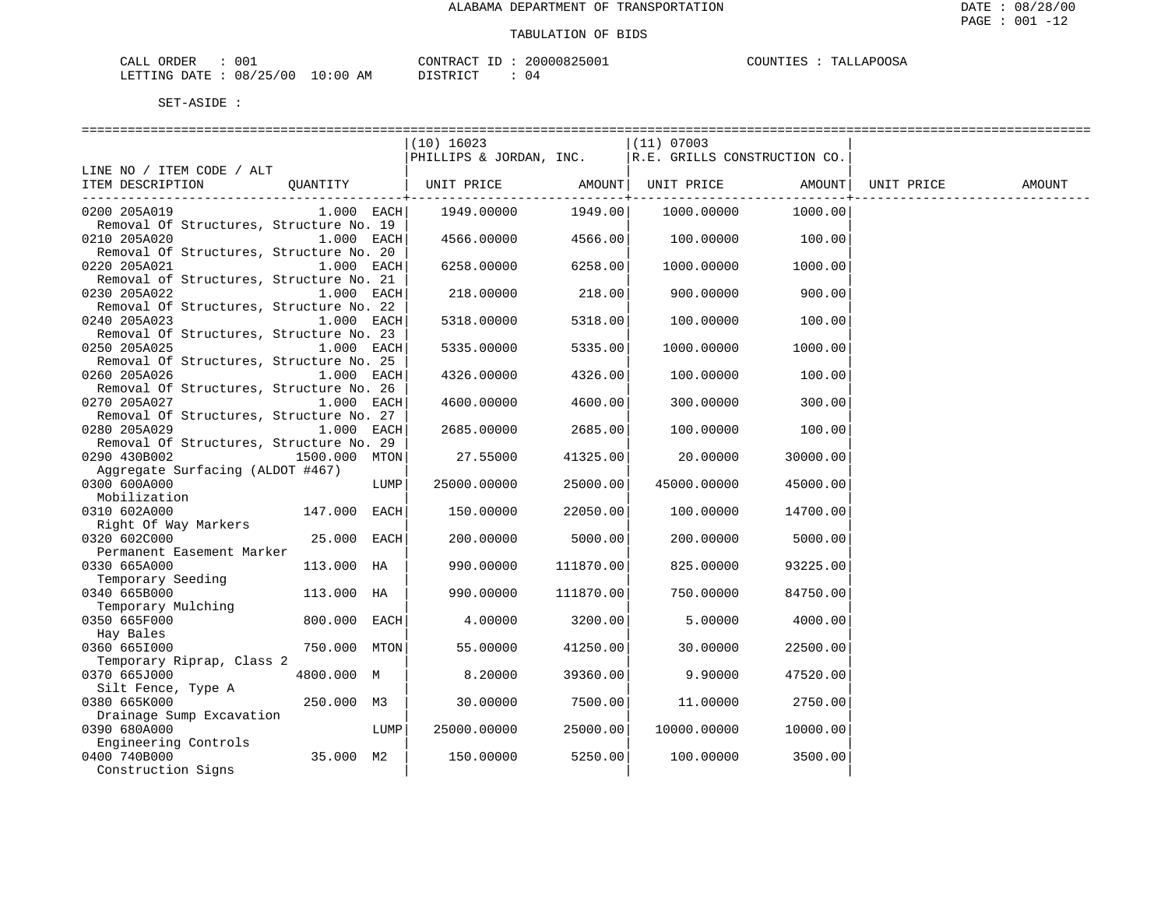| CALL ORDER                      | -001 |          | CONTRACT ID: 20000825001 | COUNTIES : TALLAPOOSA |
|---------------------------------|------|----------|--------------------------|-----------------------|
| LETTING DATE: 08/25/00 10:00 AM |      | DISTRICT |                          |                       |

|                                         |               |      | $(10)$ 16023                                           |                 | $(11)$ 07003 |                 |        |
|-----------------------------------------|---------------|------|--------------------------------------------------------|-----------------|--------------|-----------------|--------|
|                                         |               |      | PHILLIPS & JORDAN, INC.   R.E. GRILLS CONSTRUCTION CO. |                 |              |                 |        |
| LINE NO / ITEM CODE / ALT               |               |      |                                                        |                 |              |                 |        |
| ITEM DESCRIPTION                        |               |      |                                                        |                 |              |                 | AMOUNT |
|                                         |               |      |                                                        | --------------+ |              | --------------+ |        |
| 0200 205A019                            | $1.000$ EACH  |      | 1949.00000                                             | 1949.00         | 1000.00000   | 1000.00         |        |
| Removal Of Structures, Structure No. 19 |               |      |                                                        |                 |              |                 |        |
| 0210 205A020                            | 1.000 EACH    |      | 4566.00000                                             | 4566.00         | 100.00000    | 100.00          |        |
| Removal Of Structures, Structure No. 20 |               |      |                                                        |                 |              |                 |        |
| 0220 205A021                            | 1.000 EACH    |      | 6258.00000                                             | 6258.00         | 1000.00000   | 1000.00         |        |
| Removal of Structures, Structure No. 21 |               |      |                                                        |                 |              |                 |        |
| 0230 205A022                            | 1.000 EACH    |      | 218.00000                                              | 218.00          | 900.00000    | 900.00          |        |
| Removal Of Structures, Structure No. 22 |               |      |                                                        |                 |              |                 |        |
| 0240 205A023                            | 1.000 EACH    |      | 5318.00000                                             | 5318.00         | 100.00000    | 100.00          |        |
| Removal Of Structures, Structure No. 23 |               |      |                                                        |                 |              |                 |        |
| 0250 205A025                            | 1.000 EACH    |      | 5335.00000                                             | 5335.00         | 1000.00000   | 1000.00         |        |
| Removal Of Structures, Structure No. 25 |               |      |                                                        |                 |              |                 |        |
| 0260 205A026                            | 1.000 EACH    |      | 4326.00000                                             | 4326.00         | 100.00000    | 100.00          |        |
| Removal Of Structures, Structure No. 26 |               |      |                                                        |                 |              |                 |        |
| 0270 205A027                            | $1.000$ EACH  |      | 4600.00000                                             | 4600.00         | 300.00000    | 300.00          |        |
| Removal Of Structures, Structure No. 27 |               |      |                                                        |                 |              |                 |        |
| 0280 205A029                            | 1.000 EACH    |      | 2685.00000                                             | 2685.00         | 100.00000    | 100.00          |        |
| Removal Of Structures, Structure No. 29 |               |      |                                                        |                 |              |                 |        |
| 0290 430B002                            | 1500.000 MTON |      | 27.55000                                               | 41325.00        | 20.00000     | 30000.00        |        |
| Aggregate Surfacing (ALDOT #467)        |               |      |                                                        |                 |              |                 |        |
| 0300 600A000                            |               | LUMP | 25000.00000                                            | 25000.00        | 45000.00000  | 45000.00        |        |
| Mobilization                            |               |      |                                                        |                 |              |                 |        |
| 0310 602A000                            | 147.000 EACH  |      | 150.00000                                              | 22050.00        | 100.00000    | 14700.00        |        |
| Right Of Way Markers                    |               |      |                                                        |                 |              |                 |        |
| 0320 602C000                            | 25.000 EACH   |      | 200.00000                                              | 5000.00         | 200.00000    | 5000.00         |        |
| Permanent Easement Marker               |               |      |                                                        |                 |              |                 |        |
| 0330 665A000                            | 113.000 HA    |      | 990.00000                                              | 111870.00       | 825.00000    | 93225.00        |        |
| Temporary Seeding                       |               |      |                                                        |                 |              |                 |        |
| 0340 665B000                            | 113.000 HA    |      | 990.00000                                              | 111870.00       | 750.00000    | 84750.00        |        |
| Temporary Mulching                      |               |      |                                                        |                 |              |                 |        |
| 0350 665F000                            | 800.000 EACH  |      | 4.00000                                                | 3200.00         | 5.00000      | 4000.00         |        |
| Hay Bales                               |               |      |                                                        |                 |              |                 |        |
| 0360 6651000                            | 750.000 MTON  |      | 55.00000                                               | 41250.00        | 30.00000     | 22500.00        |        |
| Temporary Riprap, Class 2               |               |      |                                                        |                 |              |                 |        |
| 0370 665J000                            | 4800.000 M    |      | 8.20000                                                | 39360.00        | 9.90000      | 47520.00        |        |
| Silt Fence, Type A                      |               |      |                                                        |                 |              |                 |        |
| 0380 665K000                            | 250.000 M3    |      | 30.00000                                               | 7500.00         | 11.00000     | 2750.00         |        |
| Drainage Sump Excavation                |               |      |                                                        |                 |              |                 |        |
| 0390 680A000                            |               | LUMP | 25000.00000                                            | 25000.00        | 10000.00000  | 10000.00        |        |
| Engineering Controls                    |               |      |                                                        |                 |              |                 |        |
| 0400 740B000                            | 35.000 M2     |      | 150.00000                                              | 5250.00         | 100.00000    | 3500.00         |        |
| Construction Signs                      |               |      |                                                        |                 |              |                 |        |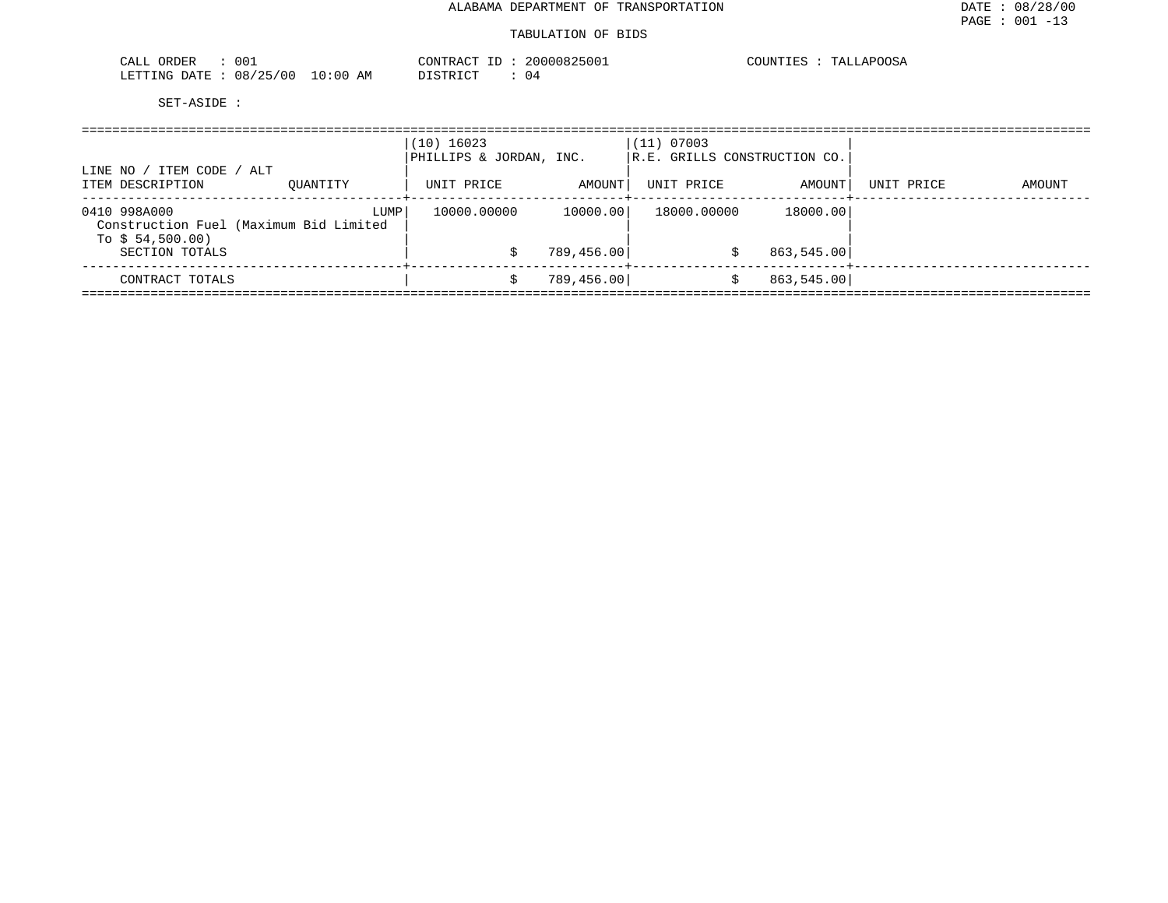#### TABULATION OF BIDS

| 001<br>ORDER<br>CALL             | CONTRACT ID                                         | 20000825001 | COUNTIES<br>TALLAPOOSA |
|----------------------------------|-----------------------------------------------------|-------------|------------------------|
| 08/25/00<br>LETTING DATE<br>____ | 10:00<br>ידי איד אידף דרו<br>AΜ<br><i>⊔</i> ⊥∟⊥⊥⊾∟⊥ | U 4         |                        |

| ITEM CODE / ALT<br>LINE NO                                                 |          | $(10)$ 16023<br>PHILLIPS & JORDAN, INC. |             | (11) 07003  | R.E. GRILLS CONSTRUCTION CO. |            |        |
|----------------------------------------------------------------------------|----------|-----------------------------------------|-------------|-------------|------------------------------|------------|--------|
| ITEM DESCRIPTION                                                           | OUANTITY | UNIT PRICE                              | AMOUNT      | UNIT PRICE  | AMOUNT                       | UNIT PRICE | AMOUNT |
| 0410 998A000<br>Construction Fuel (Maximum Bid Limited<br>To $$54,500.00)$ | LUMP     | 10000.00000                             | 10000.00    | 18000.00000 | 18000.00                     |            |        |
| SECTION TOTALS                                                             |          |                                         | 789,456.00  |             | 863,545.00                   |            |        |
| CONTRACT TOTALS                                                            |          |                                         | 789, 456.00 |             | 863,545.00                   |            |        |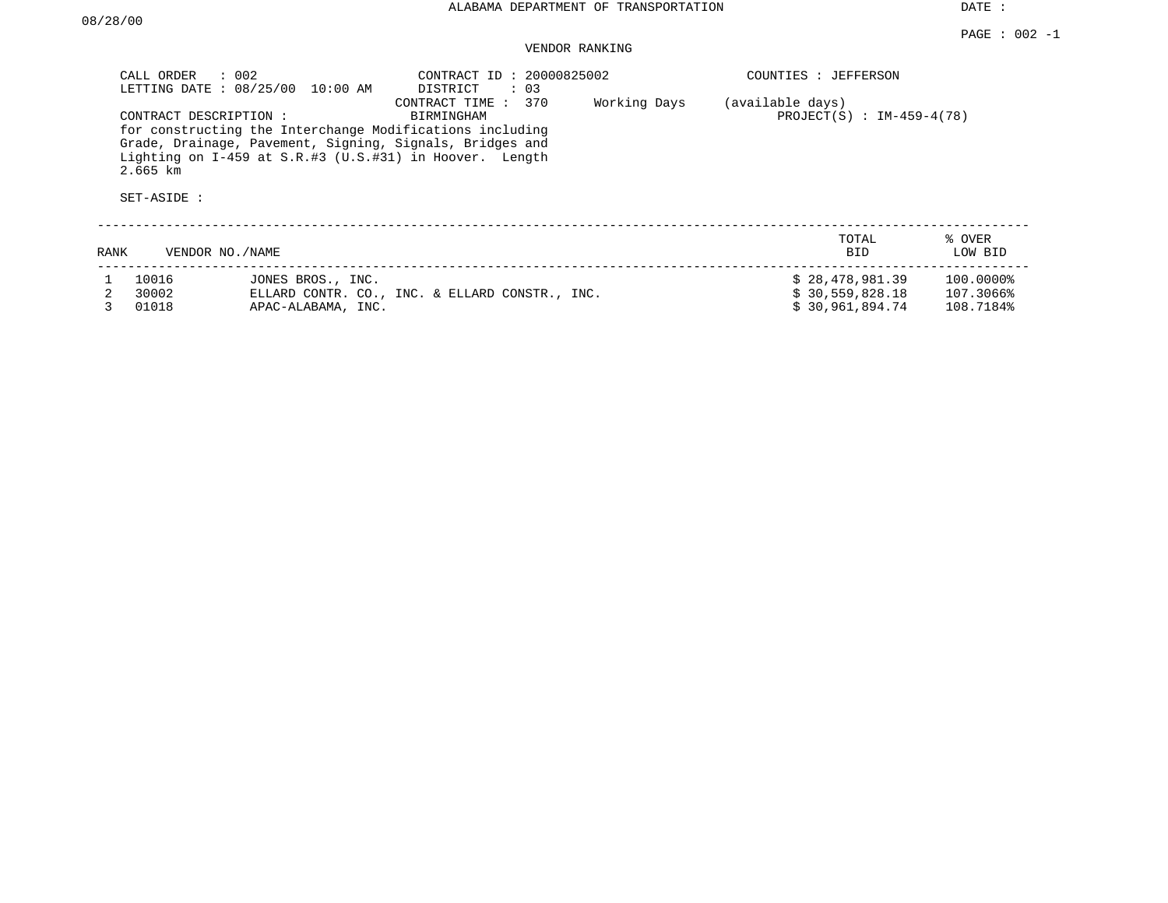DATE :

## VENDOR RANKING

|      | $\therefore$ 002<br>CALL ORDER                     | LETTING DATE : 08/25/00 10:00 AM | CONTRACT ID: 20000825002<br>DISTRICT<br>$\therefore$ 03                                                                                                                                                              |              | COUNTIES : JEFFERSON                            |                        |
|------|----------------------------------------------------|----------------------------------|----------------------------------------------------------------------------------------------------------------------------------------------------------------------------------------------------------------------|--------------|-------------------------------------------------|------------------------|
|      | CONTRACT DESCRIPTION:<br>$2.665$ km<br>SET-ASIDE : |                                  | CONTRACT TIME : 370<br>BIRMINGHAM<br>for constructing the Interchange Modifications including<br>Grade, Drainage, Pavement, Signing, Signals, Bridges and<br>Lighting on I-459 at S.R.#3 (U.S.#31) in Hoover. Length | Working Days | (available days)<br>PROJECT(S) : $IM-459-4(78)$ |                        |
| RANK | VENDOR NO./NAME                                    |                                  |                                                                                                                                                                                                                      |              | TOTAL<br><b>BID</b>                             | % OVER<br>LOW BID      |
|      | 10016<br>30002                                     | JONES BROS., INC.                | ELLARD CONTR. CO., INC. & ELLARD CONSTR., INC.                                                                                                                                                                       |              | \$28,478,981.39<br>\$30,559,828.18              | 100.0000%<br>107.3066% |
|      | 01018                                              | APAC-ALABAMA, INC.               |                                                                                                                                                                                                                      |              | \$30,961,894.74                                 | 108.7184%              |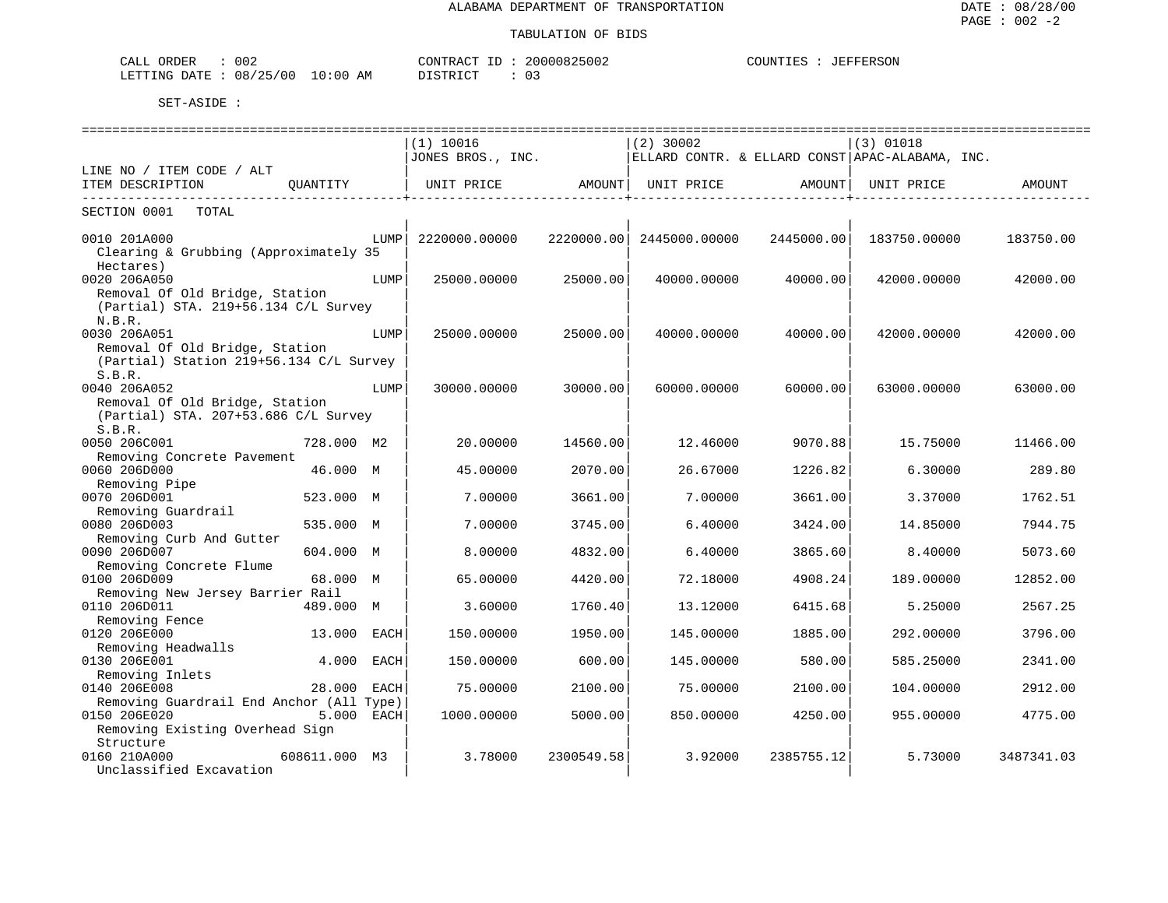| 002<br>ORDER<br>C <sub>AT.T</sub><br>، انتظاب |                                             | $C$ $\cap$ $\overline{N}$ $\overline{C}$ $\cap$ $\overline{C}$<br>. . UN<br>┚ | 2.000082<br>™ ∪U82500∠ | COUNTIES<br>TEEEEA CON<br>**FERSOF |
|-----------------------------------------------|---------------------------------------------|-------------------------------------------------------------------------------|------------------------|------------------------------------|
| LETTING<br>DATE.                              | 08/25<br>/00<br>:00<br>AΜ<br>ر ت<br>$\cdot$ | TRIOT TO THE                                                                  | 03                     |                                    |

|                                                                                                     |               |            | ========================<br>(1) 10016<br>JONES BROS., INC. |                              | $(2)$ 30002              |            | $(3)$ 01018<br>ELLARD CONTR. & ELLARD CONST APAC-ALABAMA, INC. |            |
|-----------------------------------------------------------------------------------------------------|---------------|------------|------------------------------------------------------------|------------------------------|--------------------------|------------|----------------------------------------------------------------|------------|
| LINE NO / ITEM CODE / ALT<br>ITEM DESCRIPTION                                                       | OUANTITY      |            | UNIT PRICE                                                 | AMOUNT  <br>---------------- | UNIT PRICE               | AMOUNT     | UNIT PRICE                                                     | AMOUNT     |
| SECTION 0001<br>TOTAL                                                                               |               |            |                                                            |                              |                          |            |                                                                |            |
| 0010 201A000<br>Clearing & Grubbing (Approximately 35                                               |               | LUMP       | 2220000.00000                                              |                              | 2220000.00 2445000.00000 | 2445000.00 | 183750.00000                                                   | 183750.00  |
| Hectares)<br>0020 206A050<br>Removal Of Old Bridge, Station<br>(Partial) STA. 219+56.134 C/L Survey |               | LUMP       | 25000.00000                                                | 25000.00                     | 40000.00000              | 40000.00   | 42000.00000                                                    | 42000.00   |
| N.B.R.<br>0030 206A051<br>Removal Of Old Bridge, Station<br>(Partial) Station 219+56.134 C/L Survey |               | LUMP       | 25000.00000                                                | 25000.00                     | 40000.00000              | 40000.00   | 42000.00000                                                    | 42000.00   |
| S.B.R.<br>0040 206A052<br>Removal Of Old Bridge, Station<br>(Partial) STA. 207+53.686 C/L Survey    |               | LUMP       | 30000.00000                                                | 30000.00                     | 60000.00000              | 60000.00   | 63000.00000                                                    | 63000.00   |
| S.B.R.<br>0050 206C001                                                                              | 728.000 M2    |            | 20.00000                                                   | 14560.00                     | 12.46000                 | 9070.88    | 15.75000                                                       | 11466.00   |
| Removing Concrete Pavement<br>0060 206D000<br>Removing Pipe                                         | 46.000 M      |            | 45.00000                                                   | 2070.00                      | 26.67000                 | 1226.82    | 6.30000                                                        | 289.80     |
| 0070 206D001<br>Removing Guardrail                                                                  | 523.000 M     |            | 7.00000                                                    | 3661.00                      | 7.00000                  | 3661.00    | 3.37000                                                        | 1762.51    |
| 0080 206D003                                                                                        | 535.000 M     |            | 7.00000                                                    | 3745.00                      | 6.40000                  | 3424.00    | 14.85000                                                       | 7944.75    |
| Removing Curb And Gutter<br>0090 206D007                                                            | 604.000 M     |            | 8.00000                                                    | 4832.00                      | 6.40000                  | 3865.60    | 8.40000                                                        | 5073.60    |
| Removing Concrete Flume<br>0100 206D009                                                             | 68.000 M      |            | 65.00000                                                   | 4420.00                      | 72.18000                 | 4908.24    | 189.00000                                                      | 12852.00   |
| Removing New Jersey Barrier Rail<br>0110 206D011                                                    | 489.000 M     |            | 3.60000                                                    | 1760.40                      | 13.12000                 | 6415.68    | 5.25000                                                        | 2567.25    |
| Removing Fence<br>0120 206E000                                                                      | 13.000 EACH   |            | 150.00000                                                  | 1950.00                      | 145.00000                | 1885.00    | 292.00000                                                      | 3796.00    |
| Removing Headwalls<br>0130 206E001                                                                  | 4.000 EACH    |            | 150.00000                                                  | 600.00                       | 145.00000                | 580.00     | 585.25000                                                      | 2341.00    |
| Removing Inlets<br>0140 206E008                                                                     | 28.000 EACH   |            | 75.00000                                                   | 2100.00                      | 75.00000                 | 2100.00    | 104.00000                                                      | 2912.00    |
| Removing Guardrail End Anchor (All Type)<br>0150 206E020<br>Removing Existing Overhead Sign         |               | 5.000 EACH | 1000.00000                                                 | 5000.00                      | 850.00000                | 4250.00    | 955.00000                                                      | 4775.00    |
| Structure<br>0160 210A000<br>Unclassified Excavation                                                | 608611.000 M3 |            | 3.78000                                                    | 2300549.58                   | 3.92000                  | 2385755.12 | 5.73000                                                        | 3487341.03 |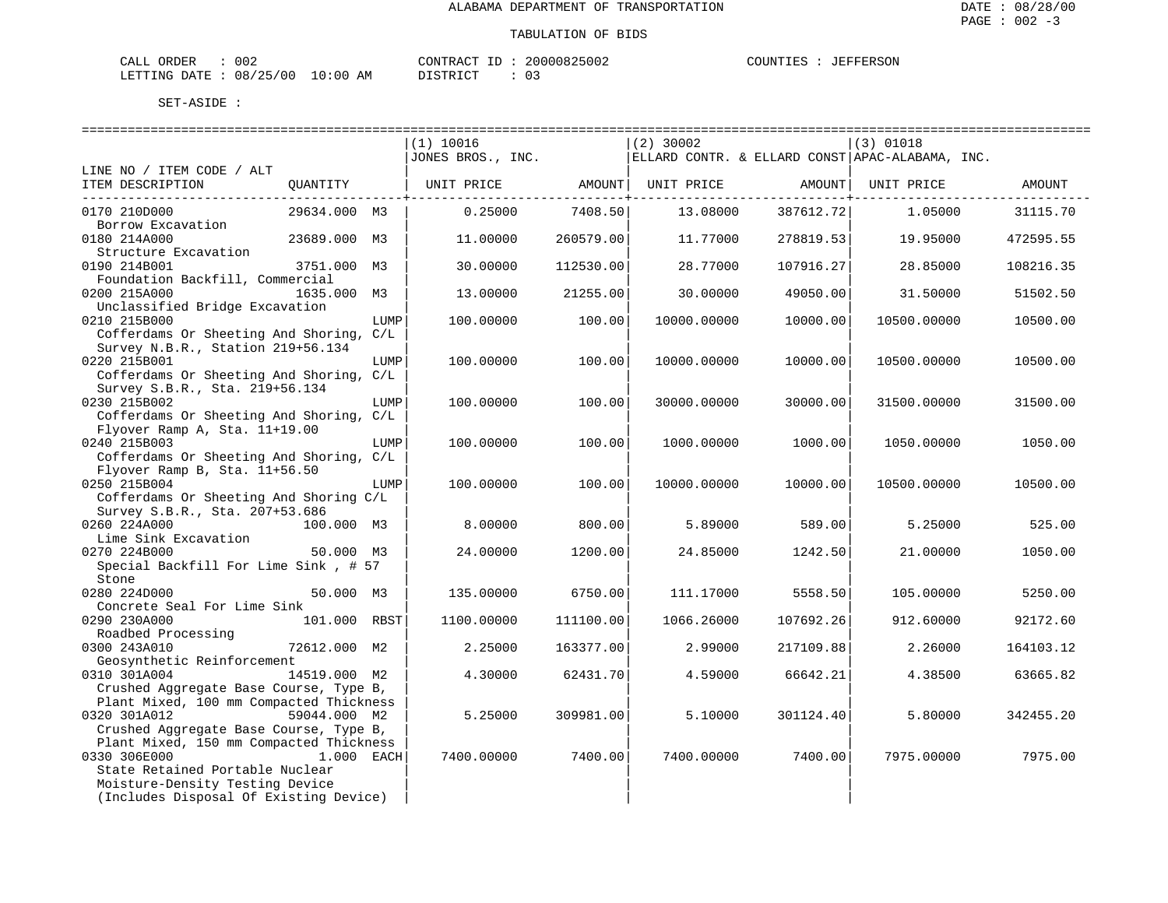| CALL ORDER                       | 002 | CONTRACT ID | 20000825002 | COUNTIES | JEFFERSON |
|----------------------------------|-----|-------------|-------------|----------|-----------|
| LETTING DATE : 08/25/00 10:00 AM |     | DISTRICT    |             |          |           |

|                                                                                                                               |              | =======================<br>(1) 10016<br>JONES BROS., INC. |           | =============<br>$(2)$ 30002 |                   | ========================<br>$(3)$ 01018<br>$ $ ELLARD CONTR. & ELLARD CONST APAC-ALABAMA, INC. |           |
|-------------------------------------------------------------------------------------------------------------------------------|--------------|-----------------------------------------------------------|-----------|------------------------------|-------------------|------------------------------------------------------------------------------------------------|-----------|
| LINE NO / ITEM CODE / ALT                                                                                                     |              |                                                           |           |                              |                   |                                                                                                |           |
| ITEM DESCRIPTION<br>-------------------------------------                                                                     | OUANTITY     | UNIT PRICE AMOUNT                                         |           |                              | UNIT PRICE AMOUNT | UNIT PRICE                                                                                     | AMOUNT    |
| 0170 210D000<br>Borrow Excavation                                                                                             | 29634.000 M3 | 0.25000                                                   | 7408.50   | 13.08000                     | 387612.72         | 1.05000                                                                                        | 31115.70  |
| 0180 214A000<br>Structure Excavation                                                                                          | 23689.000 M3 | 11,00000                                                  | 260579.00 | 11.77000                     | 278819.53         | 19.95000                                                                                       | 472595.55 |
| 0190 214B001<br>Foundation Backfill, Commercial                                                                               | 3751.000 M3  | 30.00000                                                  | 112530.00 | 28.77000                     | 107916.27         | 28.85000                                                                                       | 108216.35 |
| 0200 215A000<br>Unclassified Bridge Excavation                                                                                | 1635.000 M3  | 13.00000                                                  | 21255.00  | 30.00000                     | 49050.00          | 31.50000                                                                                       | 51502.50  |
| 0210 215B000<br>Cofferdams Or Sheeting And Shoring, C/L                                                                       | LUMP         | 100.00000                                                 | 100.00    | 10000.00000                  | 10000.00          | 10500.00000                                                                                    | 10500.00  |
| Survey N.B.R., Station 219+56.134<br>0220 215B001<br>Cofferdams Or Sheeting And Shoring, C/L                                  | LUMP         | 100.00000                                                 | 100.00    | 10000.00000                  | 10000.00          | 10500.00000                                                                                    | 10500.00  |
| Survey S.B.R., Sta. 219+56.134<br>0230 215B002<br>Cofferdams Or Sheeting And Shoring, C/L                                     | LUMP         | 100.00000                                                 | 100.00    | 30000.00000                  | 30000.00          | 31500.00000                                                                                    | 31500.00  |
| Flyover Ramp A, Sta. 11+19.00<br>0240 215B003<br>Cofferdams Or Sheeting And Shoring, C/L                                      | LUMP         | 100.00000                                                 | 100.00    | 1000.00000                   | 1000.00           | 1050.00000                                                                                     | 1050.00   |
| Flyover Ramp B, Sta. 11+56.50<br>0250 215B004<br>Cofferdams Or Sheeting And Shoring C/L                                       | LUMP         | 100.00000                                                 | 100.00    | 10000.00000                  | 10000.00          | 10500.00000                                                                                    | 10500.00  |
| Survey S.B.R., Sta. 207+53.686<br>0260 224A000<br>Lime Sink Excavation                                                        | 100.000 M3   | 8,00000                                                   | 800.00    | 5.89000                      | 589.00            | 5.25000                                                                                        | 525.00    |
| 0270 224B000<br>Special Backfill For Lime Sink, # 57                                                                          | 50.000 M3    | 24.00000                                                  | 1200.00   | 24.85000                     | 1242.50           | 21,00000                                                                                       | 1050.00   |
| Stone<br>0280 224D000<br>Concrete Seal For Lime Sink                                                                          | 50.000 M3    | 135.00000                                                 | 6750.00   | 111.17000                    | 5558.50           | 105.00000                                                                                      | 5250.00   |
| 0290 230A000<br>Roadbed Processing                                                                                            | 101.000 RBST | 1100.00000                                                | 111100.00 | 1066.26000                   | 107692.26         | 912,60000                                                                                      | 92172.60  |
| 0300 243A010<br>Geosynthetic Reinforcement                                                                                    | 72612.000 M2 | 2.25000                                                   | 163377.00 | 2.99000                      | 217109.88         | 2.26000                                                                                        | 164103.12 |
| 0310 301A004<br>Crushed Aggregate Base Course, Type B,                                                                        | 14519.000 M2 | 4.30000                                                   | 62431.70  | 4.59000                      | 66642.21          | 4.38500                                                                                        | 63665.82  |
| Plant Mixed, 100 mm Compacted Thickness<br>0320 301A012<br>Crushed Aggregate Base Course, Type B,                             | 59044.000 M2 | 5.25000                                                   | 309981.00 | 5.10000                      | 301124.40         | 5.80000                                                                                        | 342455.20 |
| Plant Mixed, 150 mm Compacted Thickness<br>0330 306E000<br>State Retained Portable Nuclear<br>Moisture-Density Testing Device | 1.000 EACH   | 7400.00000                                                | 7400.00   | 7400.00000                   | 7400.00           | 7975.00000                                                                                     | 7975.00   |
| (Includes Disposal Of Existing Device)                                                                                        |              |                                                           |           |                              |                   |                                                                                                |           |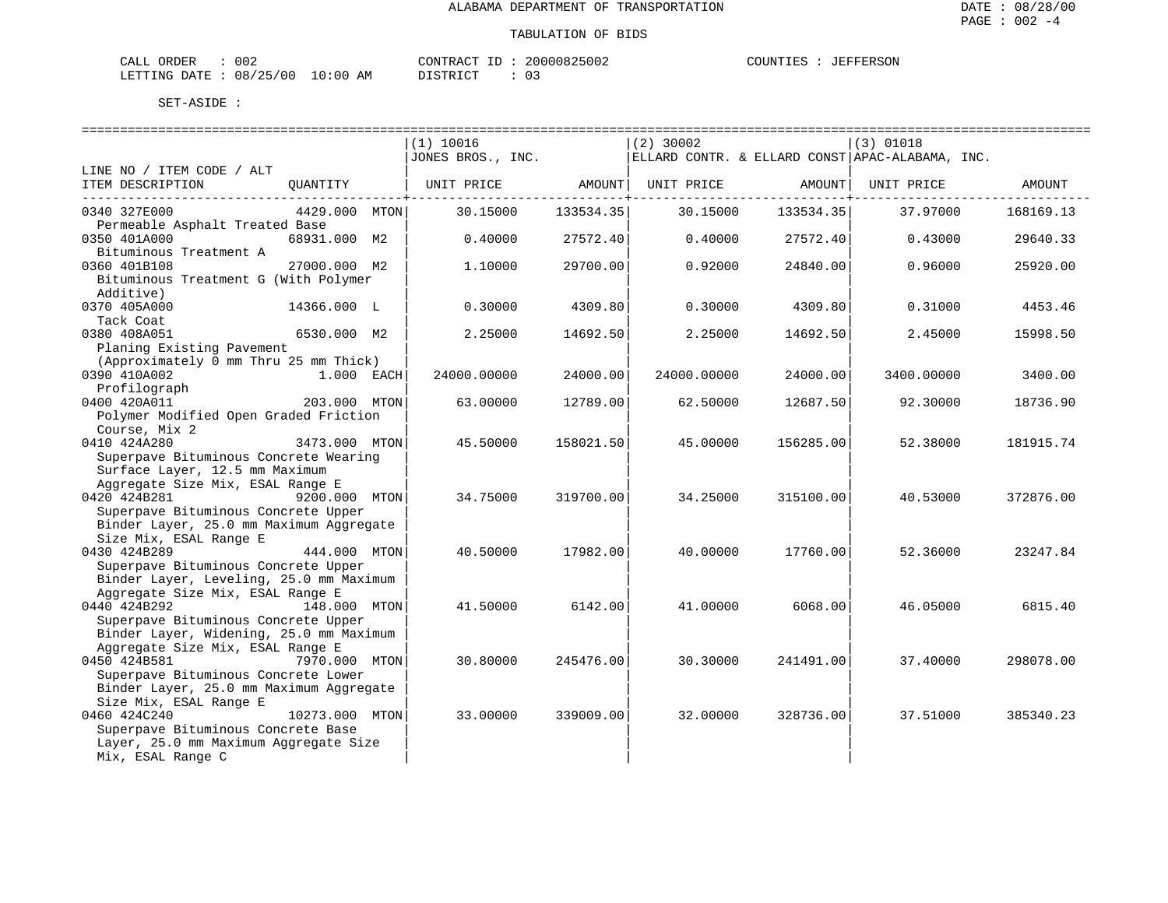| CALL ORDER                       | 002 |          | CONTRACT ID: 20000825002 | COUNTIES | : JEFFERSON |
|----------------------------------|-----|----------|--------------------------|----------|-------------|
| LETTING DATE : 08/25/00 10:00 AM |     | DISTRICT |                          |          |             |

|                                                   |                | $(1)$ 10016       |           | $(2)$ 30002 |           | $(3)$ 01018                                       |           |
|---------------------------------------------------|----------------|-------------------|-----------|-------------|-----------|---------------------------------------------------|-----------|
|                                                   |                | JONES BROS., INC. |           |             |           | ELLARD CONTR. & ELLARD CONST   APAC-ALABAMA, INC. |           |
| LINE NO / ITEM CODE / ALT                         |                |                   |           |             |           |                                                   |           |
| ITEM DESCRIPTION                                  | OUANTITY       | UNIT PRICE        | AMOUNT    | UNIT PRICE  | AMOUNT    | UNIT PRICE                                        | AMOUNT    |
| 0340 327E000                                      | 4429.000 MTON  | 30.15000          | 133534.35 | 30.15000    | 133534.35 | 37.97000                                          | 168169.13 |
| Permeable Asphalt Treated Base                    |                |                   |           |             |           |                                                   |           |
| 0350 401A000                                      | 68931.000 M2   | 0.40000           | 27572.40  | 0.40000     | 27572.40  | 0.43000                                           | 29640.33  |
| Bituminous Treatment A<br>0360 401B108            | 27000.000 M2   | 1,10000           | 29700.00  | 0.92000     | 24840.00  | 0.96000                                           | 25920.00  |
| Bituminous Treatment G (With Polymer<br>Additive) |                |                   |           |             |           |                                                   |           |
| 0370 405A000                                      | 14366.000 L    | 0.30000           | 4309.80   | 0.30000     | 4309.80   | 0.31000                                           | 4453.46   |
| Tack Coat                                         |                |                   |           |             |           |                                                   |           |
| 0380 408A051                                      | 6530.000 M2    | 2.25000           | 14692.50  | 2.25000     | 14692.50  | 2.45000                                           | 15998.50  |
| Planing Existing Pavement                         |                |                   |           |             |           |                                                   |           |
| (Approximately 0 mm Thru 25 mm Thick)             |                |                   |           |             |           |                                                   |           |
| 0390 410A002                                      | 1.000 EACH     | 24000.00000       | 24000.00  | 24000.00000 | 24000.00  | 3400.00000                                        | 3400.00   |
| Profilograph                                      |                |                   |           |             |           |                                                   |           |
| 0400 420A011                                      | 203.000 MTON   | 63.00000          | 12789.00  | 62.50000    | 12687.50  | 92.30000                                          | 18736.90  |
| Polymer Modified Open Graded Friction             |                |                   |           |             |           |                                                   |           |
| Course, Mix 2                                     |                |                   |           |             |           |                                                   |           |
| 0410 424A280                                      | 3473.000 MTON  | 45.50000          | 158021.50 | 45.00000    | 156285.00 | 52.38000                                          | 181915.74 |
| Superpave Bituminous Concrete Wearing             |                |                   |           |             |           |                                                   |           |
| Surface Layer, 12.5 mm Maximum                    |                |                   |           |             |           |                                                   |           |
| Aggregate Size Mix, ESAL Range E                  |                |                   |           |             |           |                                                   |           |
| 0420 424B281                                      | 9200.000 MTON  | 34.75000          | 319700.00 | 34.25000    | 315100.00 | 40.53000                                          | 372876.00 |
| Superpave Bituminous Concrete Upper               |                |                   |           |             |           |                                                   |           |
| Binder Layer, 25.0 mm Maximum Aggregate           |                |                   |           |             |           |                                                   |           |
| Size Mix, ESAL Range E                            |                |                   |           |             |           |                                                   |           |
| 0430 424B289                                      | 444.000 MTON   | 40.50000          | 17982.00  | 40.00000    | 17760.00  | 52.36000                                          | 23247.84  |
| Superpave Bituminous Concrete Upper               |                |                   |           |             |           |                                                   |           |
| Binder Layer, Leveling, 25.0 mm Maximum           |                |                   |           |             |           |                                                   |           |
| Aggregate Size Mix, ESAL Range E                  |                |                   |           |             |           |                                                   |           |
| 0440 424B292                                      | 148.000 MTON   | 41.50000          | 6142.00   | 41.00000    | 6068.00   | 46.05000                                          | 6815.40   |
| Superpave Bituminous Concrete Upper               |                |                   |           |             |           |                                                   |           |
| Binder Layer, Widening, 25.0 mm Maximum           |                |                   |           |             |           |                                                   |           |
| Aggregate Size Mix, ESAL Range E                  |                |                   |           |             |           |                                                   |           |
| 0450 424B581                                      | 7970.000 MTON  | 30.80000          | 245476.00 | 30.30000    | 241491.00 | 37.40000                                          | 298078.00 |
| Superpave Bituminous Concrete Lower               |                |                   |           |             |           |                                                   |           |
| Binder Layer, 25.0 mm Maximum Aggregate           |                |                   |           |             |           |                                                   |           |
| Size Mix, ESAL Range E                            |                |                   |           |             |           |                                                   |           |
| 0460 424C240                                      | 10273.000 MTON | 33.00000          | 339009.00 | 32.00000    | 328736.00 | 37.51000                                          | 385340.23 |
| Superpave Bituminous Concrete Base                |                |                   |           |             |           |                                                   |           |
|                                                   |                |                   |           |             |           |                                                   |           |
| Layer, 25.0 mm Maximum Aggregate Size             |                |                   |           |             |           |                                                   |           |
| Mix, ESAL Range C                                 |                |                   |           |             |           |                                                   |           |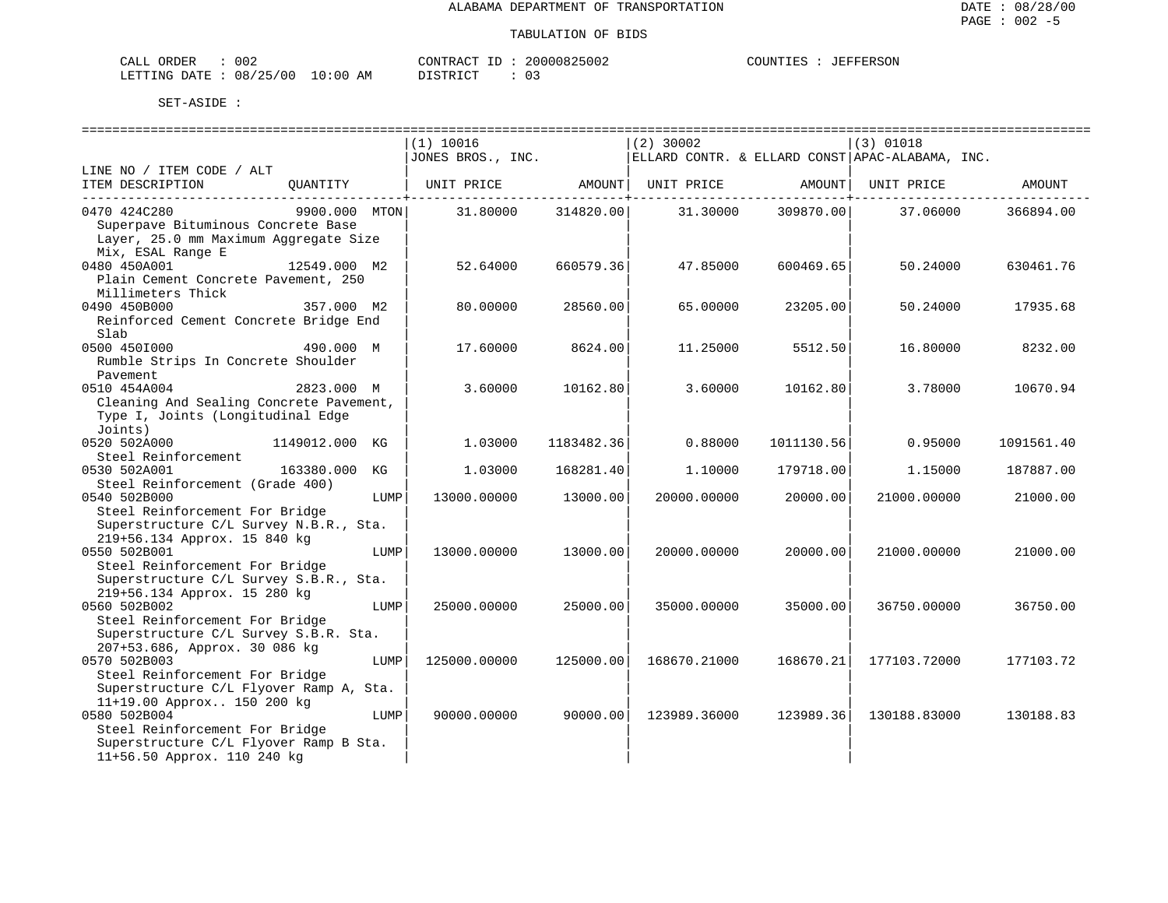| CALL ORDER                       | 002 | CONTRACT ID: | 20000825002 | COUNTIES | JEFFERSON |
|----------------------------------|-----|--------------|-------------|----------|-----------|
| LETTING DATE : 08/25/00 10:00 AM |     | DISTRICT     |             |          |           |

|                                                                                                                                                       |      | (1) 10016         |            | $(2)$ 30002  |                           | (3) 01018                                       |            |
|-------------------------------------------------------------------------------------------------------------------------------------------------------|------|-------------------|------------|--------------|---------------------------|-------------------------------------------------|------------|
| LINE NO / ITEM CODE / ALT                                                                                                                             |      | JONES BROS., INC. |            |              |                           | ELLARD CONTR. & ELLARD CONST APAC-ALABAMA, INC. |            |
| ITEM DESCRIPTION<br>OUANTITY                                                                                                                          |      | UNIT PRICE        | AMOUNT     | UNIT PRICE   | AMOUNT  <br>------------- | UNIT PRICE                                      | AMOUNT     |
| 0470 424C280<br>9900.000 MTON<br>Superpave Bituminous Concrete Base<br>Layer, 25.0 mm Maximum Aggregate Size<br>Mix, ESAL Range E                     |      | 31.80000          | 314820.00  | 31.30000     | 309870.00                 | 37.06000                                        | 366894.00  |
| 0480 450A001<br>12549.000 M2<br>Plain Cement Concrete Pavement, 250<br>Millimeters Thick                                                              |      | 52.64000          | 660579.36  | 47.85000     | 600469.65                 | 50.24000                                        | 630461.76  |
| 0490 450B000<br>357.000 M2<br>Reinforced Cement Concrete Bridge End<br>Slab                                                                           |      | 80.00000          | 28560.00   | 65.00000     | 23205.00                  | 50.24000                                        | 17935.68   |
| 0500 4501000<br>490.000 M<br>Rumble Strips In Concrete Shoulder<br>Pavement                                                                           |      | 17.60000          | 8624.00    | 11,25000     | 5512.50                   | 16.80000                                        | 8232.00    |
| 0510 454A004<br>2823.000 M<br>Cleaning And Sealing Concrete Pavement,<br>Type I, Joints (Longitudinal Edge<br>Joints)                                 |      | 3.60000           | 10162.80   | 3.60000      | 10162.80                  | 3.78000                                         | 10670.94   |
| 0520 502A000<br>1149012.000 KG<br>Steel Reinforcement                                                                                                 |      | 1,03000           | 1183482.36 | 0.88000      | 1011130.56                | 0.95000                                         | 1091561.40 |
| 0530 502A001<br>163380.000<br>Steel Reinforcement (Grade 400)                                                                                         | КG   | 1.03000           | 168281.40  | 1,10000      | 179718.00                 | 1.15000                                         | 187887.00  |
| 0540 502B000<br>Steel Reinforcement For Bridge<br>Superstructure C/L Survey N.B.R., Sta.                                                              | LUMP | 13000.00000       | 13000.00   | 20000.00000  | 20000.00                  | 21000.00000                                     | 21000.00   |
| 219+56.134 Approx. 15 840 kg<br>0550 502B001<br>Steel Reinforcement For Bridge<br>Superstructure C/L Survey S.B.R., Sta.                              | LUMP | 13000.00000       | 13000.00   | 20000.00000  | 20000.00                  | 21000.00000                                     | 21000.00   |
| 219+56.134 Approx. 15 280 kg<br>0560 502B002<br>Steel Reinforcement For Bridge<br>Superstructure C/L Survey S.B.R. Sta.                               | LUMP | 25000.00000       | 25000.00   | 35000.00000  | 35000.00                  | 36750.00000                                     | 36750.00   |
| 207+53.686, Approx. 30 086 kg<br>0570 502B003<br>Steel Reinforcement For Bridge<br>Superstructure C/L Flyover Ramp A, Sta.                            | LUMP | 125000.00000      | 125000.00  | 168670.21000 | 168670.21                 | 177103.72000                                    | 177103.72  |
| 11+19.00 Approx 150 200 kg<br>0580 502B004<br>Steel Reinforcement For Bridge<br>Superstructure C/L Flyover Ramp B Sta.<br>11+56.50 Approx. 110 240 kg | LUMP | 90000.00000       | 90000.00   | 123989.36000 | 123989.36                 | 130188.83000                                    | 130188.83  |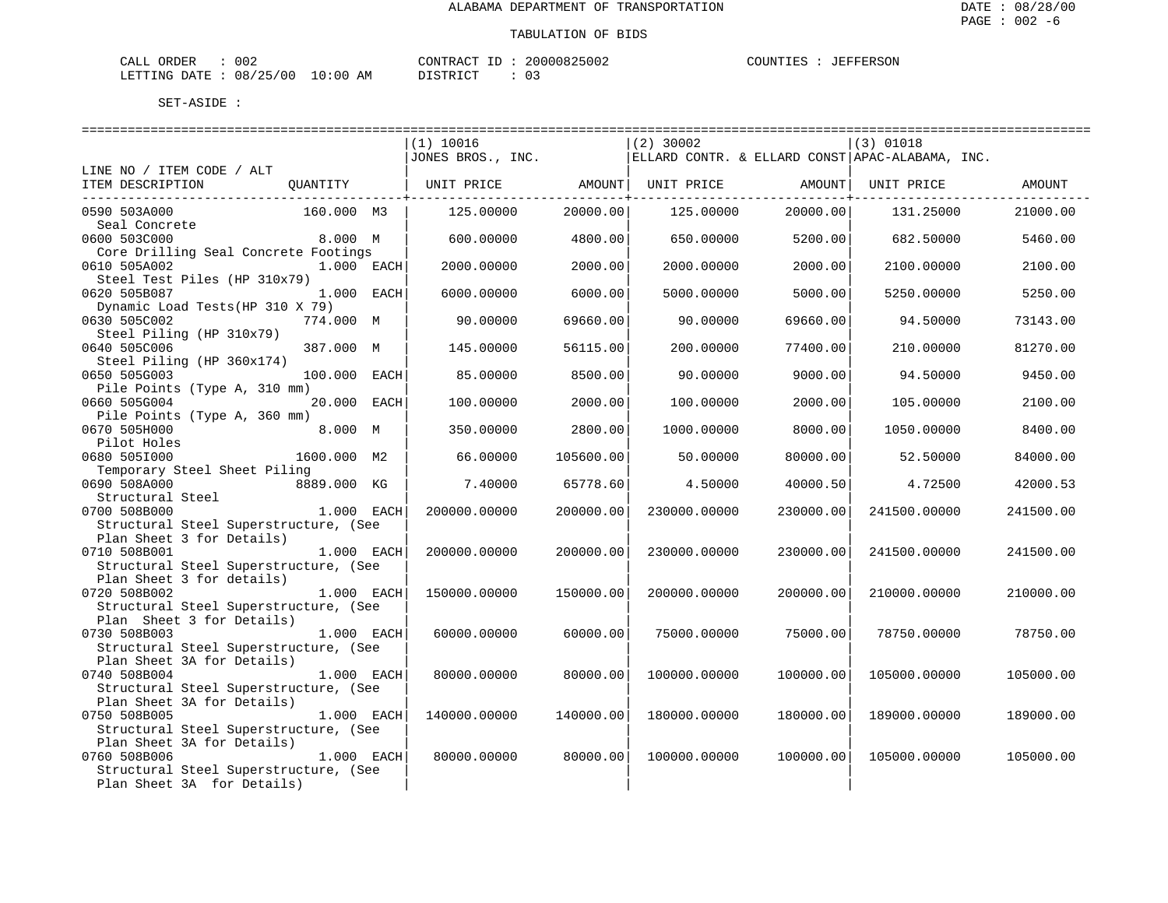| CALL ORDER                       | 002 |          | CONTRACT ID: 20000825002 | COUNTIES : JEFFERSON |  |
|----------------------------------|-----|----------|--------------------------|----------------------|--|
| LETTING DATE : 08/25/00 10:00 AM |     | DISTRICT |                          |                      |  |

|                                       |              |            | $(1)$ 10016       |           | $(2)$ 30002  |           | $(3)$ 01018                                     |           |
|---------------------------------------|--------------|------------|-------------------|-----------|--------------|-----------|-------------------------------------------------|-----------|
|                                       |              |            | JONES BROS., INC. |           |              |           | ELLARD CONTR. & ELLARD CONST APAC-ALABAMA, INC. |           |
| LINE NO / ITEM CODE / ALT             |              |            |                   |           |              |           |                                                 |           |
| ITEM DESCRIPTION                      | QUANTITY     |            |                   |           |              |           | UNIT PRICE                                      | AMOUNT    |
| ------------------------------        |              |            |                   |           |              |           |                                                 |           |
| 0590 503A000                          | 160.000 M3   |            | 125.00000         | 20000.00  | 125.00000    | 20000.00  | 131.25000                                       | 21000.00  |
| Seal Concrete                         |              |            |                   |           |              |           |                                                 |           |
| 0600 503C000                          | 8.000 M      |            | 600.00000         | 4800.00   | 650.00000    | 5200.00   | 682.50000                                       | 5460.00   |
| Core Drilling Seal Concrete Footings  |              |            |                   |           |              |           |                                                 |           |
| 0610 505A002                          | 1.000 EACH   |            | 2000.00000        | 2000.00   | 2000.00000   | 2000.00   | 2100.00000                                      | 2100.00   |
| Steel Test Piles (HP 310x79)          |              |            |                   |           |              |           |                                                 |           |
| 0620 505B087                          | 1.000 EACH   |            | 6000.00000        | 6000.00   | 5000.00000   | 5000.00   | 5250.00000                                      | 5250.00   |
| Dynamic Load Tests (HP 310 X 79)      |              |            |                   |           |              |           |                                                 |           |
| 0630 505C002                          | 774.000 M    |            | 90.00000          | 69660.00  | 90.00000     | 69660.00  | 94.50000                                        | 73143.00  |
| Steel Piling (HP 310x79)              |              |            |                   |           |              |           |                                                 |           |
| 0640 505C006                          | 387.000 M    |            | 145.00000         | 56115.00  | 200.00000    | 77400.00  | 210.00000                                       | 81270.00  |
| Steel Piling (HP 360x174)             |              |            |                   |           |              |           |                                                 |           |
| 0650 505G003                          | 100.000 EACH |            | 85.00000          | 8500.00   | 90.00000     | 9000.00   | 94.50000                                        | 9450.00   |
| Pile Points (Type A, 310 mm)          |              |            |                   |           |              |           |                                                 |           |
| 0660 505G004                          | 20.000 EACH  |            | 100.00000         | 2000.00   | 100.00000    | 2000.00   | 105.00000                                       | 2100.00   |
| Pile Points (Type A, 360 mm)          |              |            |                   |           |              |           |                                                 |           |
| 0670 505H000                          | 8.000 M      |            | 350.00000         | 2800.00   | 1000.00000   | 8000.00   | 1050.00000                                      | 8400.00   |
| Pilot Holes                           |              |            |                   |           |              |           |                                                 |           |
| 0680 5051000                          | 1600.000 M2  |            | 66.00000          | 105600.00 | 50.00000     | 80000.00  | 52.50000                                        | 84000.00  |
| Temporary Steel Sheet Piling          |              |            |                   |           |              |           |                                                 |           |
| 0690 508A000                          | 8889.000 KG  |            | 7.40000           | 65778.60  | 4.50000      | 40000.50  | 4.72500                                         | 42000.53  |
| Structural Steel                      |              |            |                   |           |              |           |                                                 |           |
| 0700 508B000                          | 1.000 EACH   |            | 200000.00000      | 200000.00 | 230000.00000 | 230000.00 | 241500.00000                                    | 241500.00 |
| Structural Steel Superstructure, (See |              |            |                   |           |              |           |                                                 |           |
| Plan Sheet 3 for Details)             |              |            |                   |           |              |           |                                                 |           |
| 0710 508B001                          | 1.000 EACH   |            | 200000.00000      | 200000.00 | 230000.00000 | 230000.00 | 241500.00000                                    | 241500.00 |
| Structural Steel Superstructure, (See |              |            |                   |           |              |           |                                                 |           |
| Plan Sheet 3 for details)             |              |            |                   |           |              |           |                                                 |           |
| 0720 508B002                          | 1.000 EACH   |            | 150000.00000      | 150000.00 | 200000.00000 | 200000.00 | 210000.00000                                    | 210000.00 |
| Structural Steel Superstructure, (See |              |            |                   |           |              |           |                                                 |           |
| Plan Sheet 3 for Details)             |              |            |                   |           |              |           |                                                 |           |
| 0730 508B003                          | 1.000 EACH   |            | 60000.00000       | 60000.00  | 75000.00000  | 75000.00  | 78750.00000                                     | 78750.00  |
| Structural Steel Superstructure, (See |              |            |                   |           |              |           |                                                 |           |
| Plan Sheet 3A for Details)            |              |            |                   |           |              |           |                                                 |           |
| 0740 508B004                          | 1.000 EACH   |            | 80000.00000       | 80000.00  | 100000.00000 | 100000.00 | 105000.00000                                    | 105000.00 |
| Structural Steel Superstructure, (See |              |            |                   |           |              |           |                                                 |           |
| Plan Sheet 3A for Details)            |              |            |                   |           |              |           |                                                 |           |
| 0750 508B005                          | 1.000 EACH   |            | 140000.00000      | 140000.00 | 180000.00000 | 180000.00 | 189000.00000                                    | 189000.00 |
| Structural Steel Superstructure, (See |              |            |                   |           |              |           |                                                 |           |
| Plan Sheet 3A for Details)            |              |            |                   |           |              |           |                                                 |           |
| 0760 508B006                          |              | 1.000 EACH | 80000.00000       | 80000.00  | 100000.00000 | 100000.00 | 105000.00000                                    | 105000.00 |
| Structural Steel Superstructure, (See |              |            |                   |           |              |           |                                                 |           |
| Plan Sheet 3A for Details)            |              |            |                   |           |              |           |                                                 |           |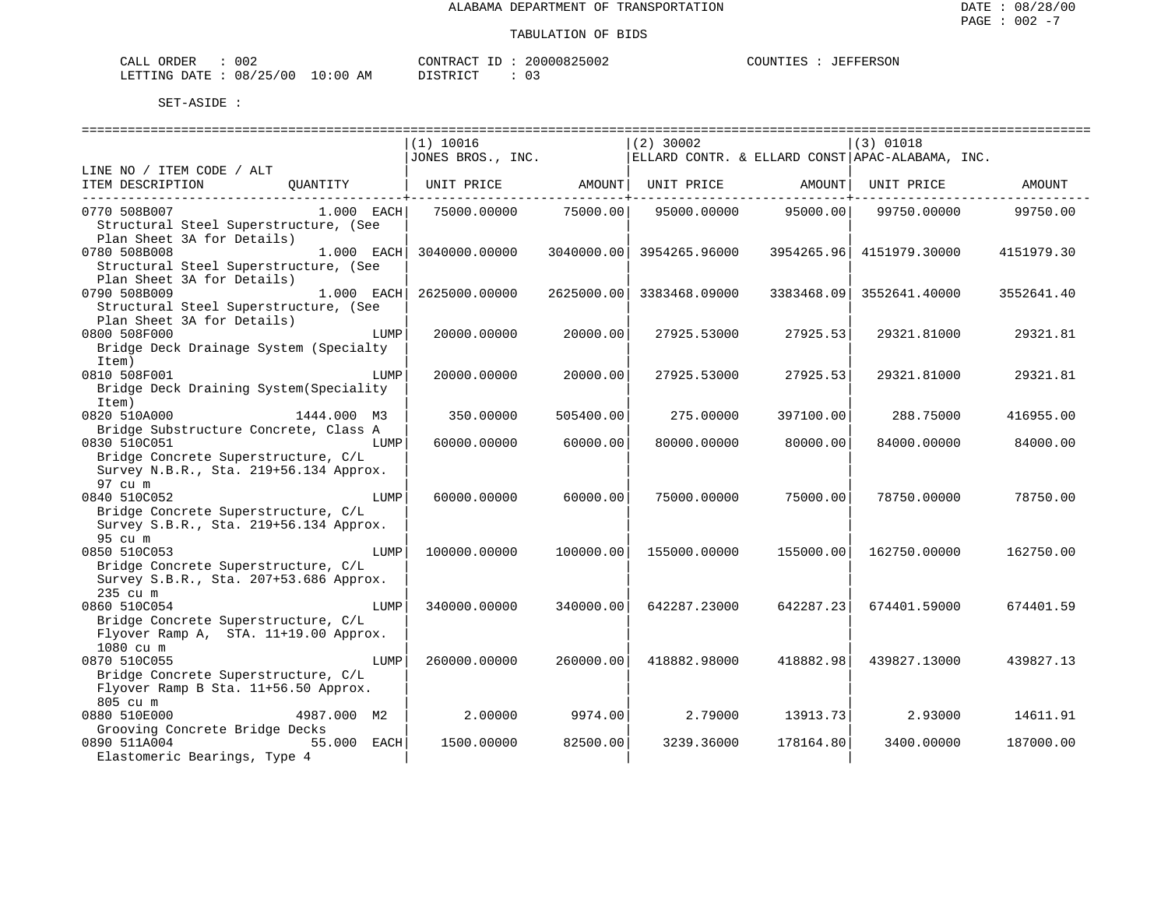| CALL<br>ORDER | 002      |             | CONTRACT      | 20000825002 | COUNTIES | JEFFERSON |
|---------------|----------|-------------|---------------|-------------|----------|-----------|
| LETTING DATE  | 08/25/00 | 10:00<br>AM | DISTRICT<br>. |             |          |           |

|                                                    | ============================== |            |               |            | . ____________________________                  |            |
|----------------------------------------------------|--------------------------------|------------|---------------|------------|-------------------------------------------------|------------|
|                                                    | (1) 10016                      |            | $(2)$ 30002   |            | $(3)$ 01018                                     |            |
|                                                    | JONES BROS., INC.              |            |               |            | ELLARD CONTR. & ELLARD CONST APAC-ALABAMA, INC. |            |
| LINE NO / ITEM CODE / ALT                          |                                |            |               |            |                                                 |            |
| ITEM DESCRIPTION<br>QUANTITY                       | UNIT PRICE                     | AMOUNT     | UNIT PRICE    | AMOUNT     | UNIT PRICE                                      | AMOUNT     |
| 0770 508B007<br>$1.000$ EACH                       | 75000.00000                    | 75000.00   | 95000.00000   | 95000.00   | 99750.00000                                     | 99750.00   |
| Structural Steel Superstructure, (See              |                                |            |               |            |                                                 |            |
| Plan Sheet 3A for Details)                         |                                |            |               |            |                                                 |            |
| 0780 508B008<br>$1.000$ EACH                       | 3040000.00000                  | 3040000.00 | 3954265.96000 |            | 3954265.96 4151979.30000                        | 4151979.30 |
| Structural Steel Superstructure, (See              |                                |            |               |            |                                                 |            |
| Plan Sheet 3A for Details)                         |                                |            |               |            |                                                 |            |
| 0790 508B009<br>$1.000$ EACH                       | 2625000.00000                  | 2625000.00 | 3383468.09000 | 3383468.09 | 3552641.40000                                   | 3552641.40 |
| Structural Steel Superstructure, (See              |                                |            |               |            |                                                 |            |
| Plan Sheet 3A for Details)                         |                                |            |               |            |                                                 |            |
| 0800 508F000<br>LUMP                               | 20000.00000                    | 20000.00   | 27925.53000   | 27925.53   | 29321.81000                                     | 29321.81   |
| Bridge Deck Drainage System (Specialty             |                                |            |               |            |                                                 |            |
| Item)                                              |                                |            |               |            |                                                 |            |
| 0810 508F001<br>LUMP                               | 20000.00000                    | 20000.00   | 27925.53000   | 27925.53   | 29321.81000                                     | 29321.81   |
| Bridge Deck Draining System (Speciality<br>Item)   |                                |            |               |            |                                                 |            |
| 0820 510A000<br>1444.000 M3                        | 350.00000                      | 505400.00  | 275.00000     | 397100.00  | 288.75000                                       | 416955.00  |
| Bridge Substructure Concrete, Class A              |                                |            |               |            |                                                 |            |
| 0830 510C051<br>LUMP                               | 60000.00000                    | 60000.00   | 80000.00000   | 80000.00   | 84000.00000                                     | 84000.00   |
| Bridge Concrete Superstructure, C/L                |                                |            |               |            |                                                 |            |
| Survey N.B.R., Sta. 219+56.134 Approx.             |                                |            |               |            |                                                 |            |
| 97 cu m                                            |                                |            |               |            |                                                 |            |
| 0840 510C052<br>LUMP                               | 60000.00000                    | 60000.00   | 75000.00000   | 75000.00   | 78750.00000                                     | 78750.00   |
| Bridge Concrete Superstructure, C/L                |                                |            |               |            |                                                 |            |
| Survey S.B.R., Sta. 219+56.134 Approx.             |                                |            |               |            |                                                 |            |
| 95 cu m                                            |                                |            |               |            |                                                 |            |
| 0850 510C053<br>LUMP                               | 100000.00000                   | 100000.00  | 155000.00000  | 155000.00  | 162750.00000                                    | 162750.00  |
| Bridge Concrete Superstructure, C/L                |                                |            |               |            |                                                 |            |
| Survey S.B.R., Sta. 207+53.686 Approx.<br>235 cu m |                                |            |               |            |                                                 |            |
| 0860 510C054<br>LUMP                               | 340000.00000                   | 340000.00  | 642287.23000  | 642287.23  | 674401.59000                                    | 674401.59  |
| Bridge Concrete Superstructure, C/L                |                                |            |               |            |                                                 |            |
| Flyover Ramp A, STA. 11+19.00 Approx.              |                                |            |               |            |                                                 |            |
| 1080 cu m                                          |                                |            |               |            |                                                 |            |
| 0870 510C055<br>LUMP                               | 260000.00000                   | 260000.00  | 418882.98000  | 418882.98  | 439827.13000                                    | 439827.13  |
| Bridge Concrete Superstructure, C/L                |                                |            |               |            |                                                 |            |
| Flyover Ramp B Sta. 11+56.50 Approx.               |                                |            |               |            |                                                 |            |
| 805 cu m                                           |                                |            |               |            |                                                 |            |
| 0880 510E000<br>4987.000 M2                        | 2,00000                        | 9974.00    | 2.79000       | 13913.73   | 2.93000                                         | 14611.91   |
| Grooving Concrete Bridge Decks                     |                                |            |               |            |                                                 |            |
| 55.000 EACH<br>0890 511A004                        | 1500.00000                     | 82500.00   | 3239.36000    | 178164.80  | 3400.00000                                      | 187000.00  |
| Elastomeric Bearings, Type 4                       |                                |            |               |            |                                                 |            |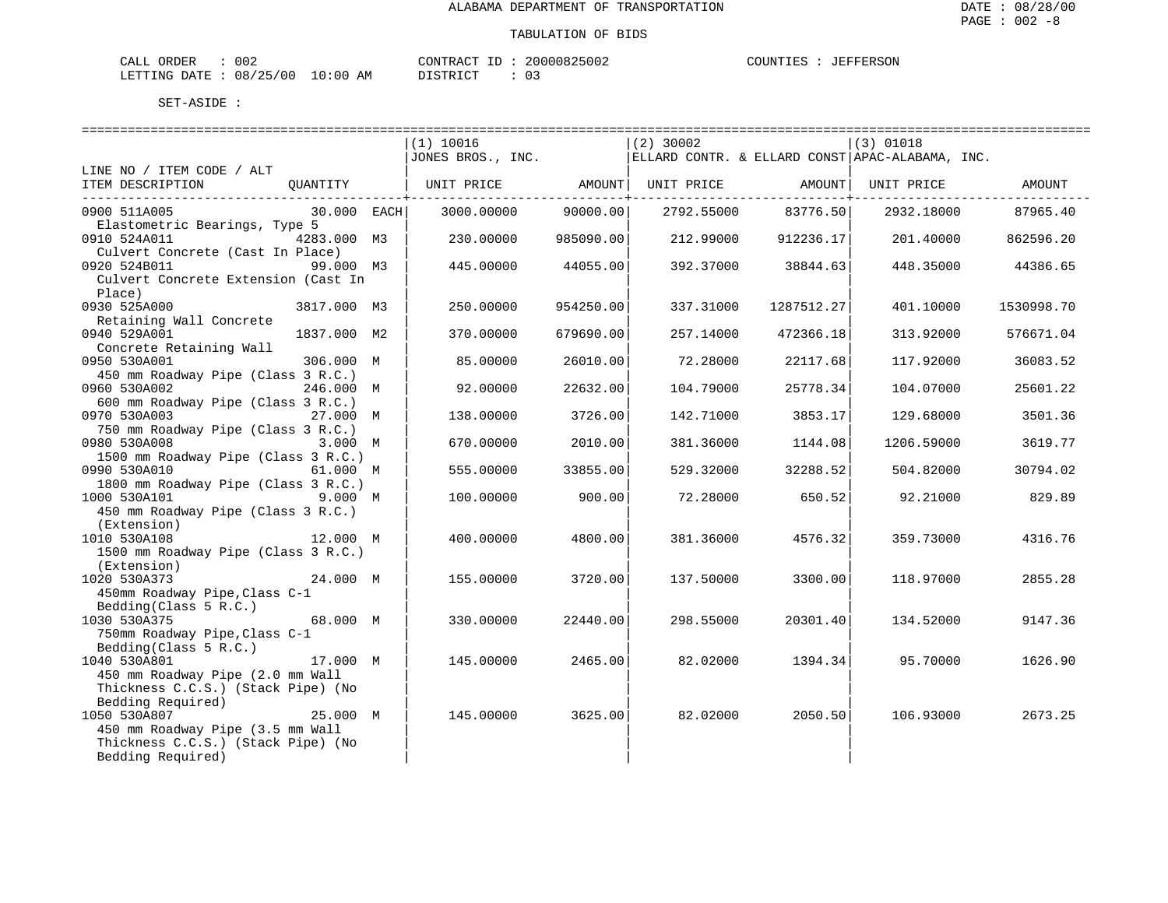| CALL ORDER                       | 002 |          | CONTRACT ID: 20000825002 | COUNTIES : JEFFERSON |  |
|----------------------------------|-----|----------|--------------------------|----------------------|--|
| LETTING DATE : 08/25/00 10:00 AM |     | DISTRICT |                          |                      |  |

|                                                                        |             | =======================<br>(1) 10016                                          |           | (2)30002  |                     | $(3)$ 01018                                     |                     |
|------------------------------------------------------------------------|-------------|-------------------------------------------------------------------------------|-----------|-----------|---------------------|-------------------------------------------------|---------------------|
|                                                                        |             | JONES BROS., INC.                                                             |           |           |                     | ELLARD CONTR. & ELLARD CONST APAC-ALABAMA, INC. |                     |
| LINE NO / ITEM CODE / ALT<br>ITEM DESCRIPTION                          |             | QUANTITY   UNIT PRICE         AMOUNT  UNIT PRICE           AMOUNT  UNIT PRICE |           |           |                     |                                                 | AMOUNT              |
| 0900 511A005<br>Elastometric Bearings, Type 5                          | 30.000 EACH | 3000.00000 90000.00                                                           |           |           | 2792.55000 83776.50 |                                                 | 2932.18000 87965.40 |
| 0910 524A011<br>4283.000 M3                                            |             | 230.00000                                                                     | 985090.00 |           | 212.99000 912236.17 |                                                 | 201.40000 862596.20 |
| Culvert Concrete (Cast In Place)<br>0920 524B011<br>99.000 M3          |             | 445.00000                                                                     | 44055.00  |           | 392.37000 38844.63  | 448.35000                                       | 44386.65            |
| Culvert Concrete Extension (Cast In<br>Place)                          |             |                                                                               |           |           |                     |                                                 |                     |
| 0930 525A000<br>3817.000 M3<br>Retaining Wall Concrete                 |             | 250.00000                                                                     | 954250.00 | 337.31000 | 1287512.27          | 401.10000                                       | 1530998.70          |
| 0940 529A001                                                           | 1837.000 M2 | 370.00000                                                                     | 679690.00 | 257.14000 | 472366.18           | 313.92000                                       | 576671.04           |
| Concrete Retaining Wall<br>306.000 M<br>0950 530A001                   |             | 85.00000                                                                      | 26010.00  | 72.28000  | 22117.68            | 117.92000                                       | 36083.52            |
| 450 mm Roadway Pipe (Class 3 R.C.)<br>246.000 M<br>0960 530A002        |             | 92.00000                                                                      | 22632.00  | 104.79000 | 25778.34            | 104.07000                                       | 25601.22            |
| 600 mm Roadway Pipe (Class 3 R.C.)                                     |             |                                                                               |           |           |                     |                                                 |                     |
| 0970 530A003 27.000 M<br>750 mm Roadway Pipe (Class 3 R.C.)            |             | 138.00000                                                                     | 3726.00   | 142.71000 | 3853.17             | 129.68000                                       | 3501.36             |
| 0980 530A008<br>1500 mm Roadway Pipe (Class 3 R.C.)                    | 3.000 M     | 670.00000                                                                     | 2010.00   | 381.36000 | 1144.08             | 1206.59000                                      | 3619.77             |
| 0990 530A010                                                           | 61.000 M    | 555.00000                                                                     | 33855.00  | 529.32000 | 32288.52            | 504.82000                                       | 30794.02            |
| 1800 mm Roadway Pipe (Class 3 R.C.)<br>1000 530A101 9.000 M            |             | 100.00000                                                                     | 900.00    |           | 72.28000 650.52     | 92.21000                                        | 829.89              |
| 450 mm Roadway Pipe (Class 3 R.C.)<br>(Extension)                      |             |                                                                               |           |           |                     |                                                 |                     |
| 1010 530A108 12.000 M                                                  |             | 400.00000                                                                     | 4800.00   | 381.36000 | 4576.32             | 359.73000                                       | 4316.76             |
| 1500 mm Roadway Pipe (Class 3 R.C.)<br>(Extension)                     |             |                                                                               |           |           |                     |                                                 |                     |
| 1020 530A373                                                           | 24.000 M    | 155.00000                                                                     | 3720.00   |           | 137.50000 3300.00   | 118.97000                                       | 2855.28             |
| 450mm Roadway Pipe, Class C-1<br>Bedding(Class $5 R.C.$ )              |             |                                                                               |           |           |                     |                                                 |                     |
| 68.000 M<br>1030 530A375<br>750mm Roadway Pipe, Class C-1              |             | 330.00000                                                                     | 22440.00  | 298.55000 | 20301.40            | 134.52000                                       | 9147.36             |
| Bedding(Class $5 R.C.$ )                                               |             |                                                                               |           |           |                     |                                                 |                     |
| 1040 530A801<br>450 mm Roadway Pipe (2.0 mm Wall                       |             | 145.00000 2465.00                                                             |           | 82.02000  | 1394.34             | 95.70000                                        | 1626.90             |
| Thickness C.C.S.) (Stack Pipe) (No<br>Bedding Required)                |             |                                                                               |           |           |                     |                                                 |                     |
| 1050 530A807                                                           | 25.000 M    | 145.00000                                                                     | 3625.00   |           | 82.02000 2050.50    | 106.93000                                       | 2673.25             |
| 450 mm Roadway Pipe (3.5 mm Wall<br>Thickness C.C.S.) (Stack Pipe) (No |             |                                                                               |           |           |                     |                                                 |                     |
| Bedding Required)                                                      |             |                                                                               |           |           |                     |                                                 |                     |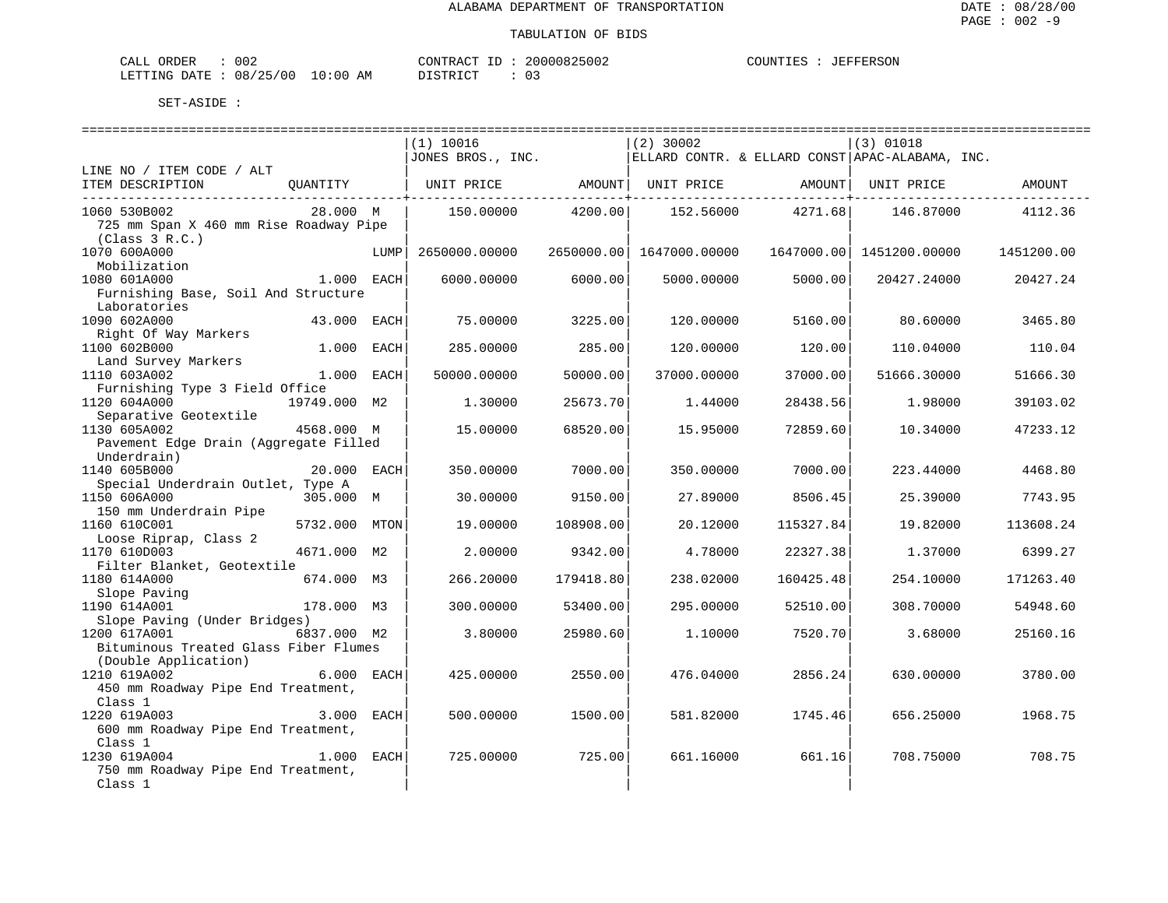| CALL ORDER                       | 002 | CONTRACT ID | 20000825002 | COUNTIES | JEFFERSON |
|----------------------------------|-----|-------------|-------------|----------|-----------|
| LETTING DATE : 08/25/00 10:00 AM |     | DISTRICT    |             |          |           |

|                                                        |               |      | (1) 10016                                                            |           | $(2)$ 30002              |           | $(3)$ 01018                 |            |
|--------------------------------------------------------|---------------|------|----------------------------------------------------------------------|-----------|--------------------------|-----------|-----------------------------|------------|
|                                                        |               |      | JONES BROS., INC. $ ELLARD$ CONTR. & ELLARD CONST APAC-ALABAMA, INC. |           |                          |           |                             |            |
| LINE NO / ITEM CODE / ALT                              |               |      |                                                                      |           |                          |           |                             |            |
| ITEM DESCRIPTION<br>---------------------------------- | QUANTITY      |      | UNIT PRICE AMOUNT   UNIT PRICE AMOUNT   UNIT PRICE                   |           |                          |           |                             | AMOUNT     |
| 1060 530B002                                           | 28.000 M      |      | 150.00000                                                            | 4200.00   |                          |           | 152.56000 4271.68 146.87000 | 4112.36    |
| 725 mm Span X 460 mm Rise Roadway Pipe                 |               |      |                                                                      |           |                          |           |                             |            |
| (Class 3 R.C.)                                         |               |      |                                                                      |           |                          |           |                             |            |
| 1070 600A000                                           |               | LUMP | 2650000.00000                                                        |           | 2650000.00 1647000.00000 |           | 1647000.00 1451200.00000    | 1451200.00 |
| Mobilization                                           |               |      |                                                                      |           |                          |           |                             |            |
| 1080 601A000                                           | 1.000 EACH    |      | 6000.00000                                                           | 6000.00   | 5000.00000               | 5000.00   | 20427.24000                 | 20427.24   |
| Furnishing Base, Soil And Structure                    |               |      |                                                                      |           |                          |           |                             |            |
| Laboratories                                           |               |      |                                                                      |           |                          |           |                             |            |
| 1090 602A000                                           | 43.000 EACH   |      | 75.00000                                                             | 3225.00   | 120.00000                | 5160.00   | 80.60000                    | 3465.80    |
| Right Of Way Markers                                   |               |      |                                                                      |           |                          |           |                             |            |
| 1100 602B000                                           | 1.000 EACH    |      | 285.00000                                                            | 285.00    | 120.00000                | 120.00    | 110.04000                   | 110.04     |
| Land Survey Markers                                    |               |      |                                                                      |           |                          |           |                             |            |
| 1110 603A002                                           | 1.000 EACH    |      | 50000.00000                                                          | 50000.00  | 37000.00000              | 37000.00  | 51666.30000                 | 51666.30   |
| Furnishing Type 3 Field Office                         |               |      |                                                                      |           |                          |           |                             |            |
| 1120 604A000                                           | 19749.000 M2  |      | 1.30000                                                              | 25673.70  | 1.44000                  | 28438.56  | 1.98000                     | 39103.02   |
| Separative Geotextile                                  |               |      |                                                                      |           |                          |           |                             |            |
| 1130 605A002                                           | 4568.000 M    |      | 15.00000                                                             | 68520.00  | 15.95000                 | 72859.60  | 10.34000                    | 47233.12   |
| Pavement Edge Drain (Aggregate Filled                  |               |      |                                                                      |           |                          |           |                             |            |
| Underdrain)                                            |               |      |                                                                      |           |                          |           |                             |            |
| 1140 605B000                                           | 20.000 EACH   |      | 350.00000                                                            | 7000.00   | 350.00000                | 7000.00   | 223.44000                   | 4468.80    |
| Special Underdrain Outlet, Type A                      |               |      |                                                                      |           |                          |           |                             |            |
| 1150 606A000                                           | 305.000 M     |      | 30.00000                                                             | 9150.00   | 27.89000                 | 8506.45   | 25.39000                    | 7743.95    |
| 150 mm Underdrain Pipe                                 |               |      |                                                                      |           |                          |           |                             |            |
| 1160 610C001                                           | 5732.000 MTON |      | 19.00000                                                             | 108908.00 | 20.12000                 | 115327.84 | 19.82000                    | 113608.24  |
| Loose Riprap, Class 2                                  |               |      |                                                                      |           |                          |           |                             |            |
| 1170 610D003                                           | 4671.000 M2   |      | 2.00000                                                              | 9342.00   | 4.78000                  | 22327.38  | 1.37000                     | 6399.27    |
| Filter Blanket, Geotextile                             |               |      |                                                                      |           |                          |           |                             |            |
| 1180 614A000                                           | 674.000 M3    |      | 266.20000                                                            | 179418.80 | 238.02000                | 160425.48 | 254.10000                   | 171263.40  |
| Slope Paving                                           |               |      |                                                                      |           |                          |           |                             |            |
| 1190 614A001                                           | 178.000 M3    |      | 300,00000                                                            | 53400.00  | 295.00000                | 52510.00  | 308,70000                   | 54948.60   |
| Slope Paving (Under Bridges)                           |               |      |                                                                      |           |                          |           |                             |            |
| 1200 617A001                                           | 6837.000 M2   |      | 3.80000                                                              | 25980.60  | 1,10000                  | 7520.70   | 3.68000                     | 25160.16   |
| Bituminous Treated Glass Fiber Flumes                  |               |      |                                                                      |           |                          |           |                             |            |
| (Double Application)                                   |               |      |                                                                      |           |                          |           |                             |            |
| 1210 619A002                                           | 6.000 EACH    |      | 425.00000                                                            | 2550.00   | 476.04000                | 2856.24   | 630.00000                   | 3780.00    |
| 450 mm Roadway Pipe End Treatment,                     |               |      |                                                                      |           |                          |           |                             |            |
| Class 1                                                |               |      |                                                                      |           |                          |           |                             |            |
| $3.000$ EACH<br>1220 619A003                           |               |      | 500.00000                                                            | 1500.00   | 581.82000                | 1745.46   | 656.25000                   | 1968.75    |
| 600 mm Roadway Pipe End Treatment,                     |               |      |                                                                      |           |                          |           |                             |            |
| Class 1                                                |               |      |                                                                      |           |                          |           |                             |            |
| 1.000 EACH<br>1230 619A004                             |               |      | 725.00000                                                            | 725.00    | 661.16000                | 661.16    | 708.75000                   | 708.75     |
| 750 mm Roadway Pipe End Treatment,                     |               |      |                                                                      |           |                          |           |                             |            |
| Class 1                                                |               |      |                                                                      |           |                          |           |                             |            |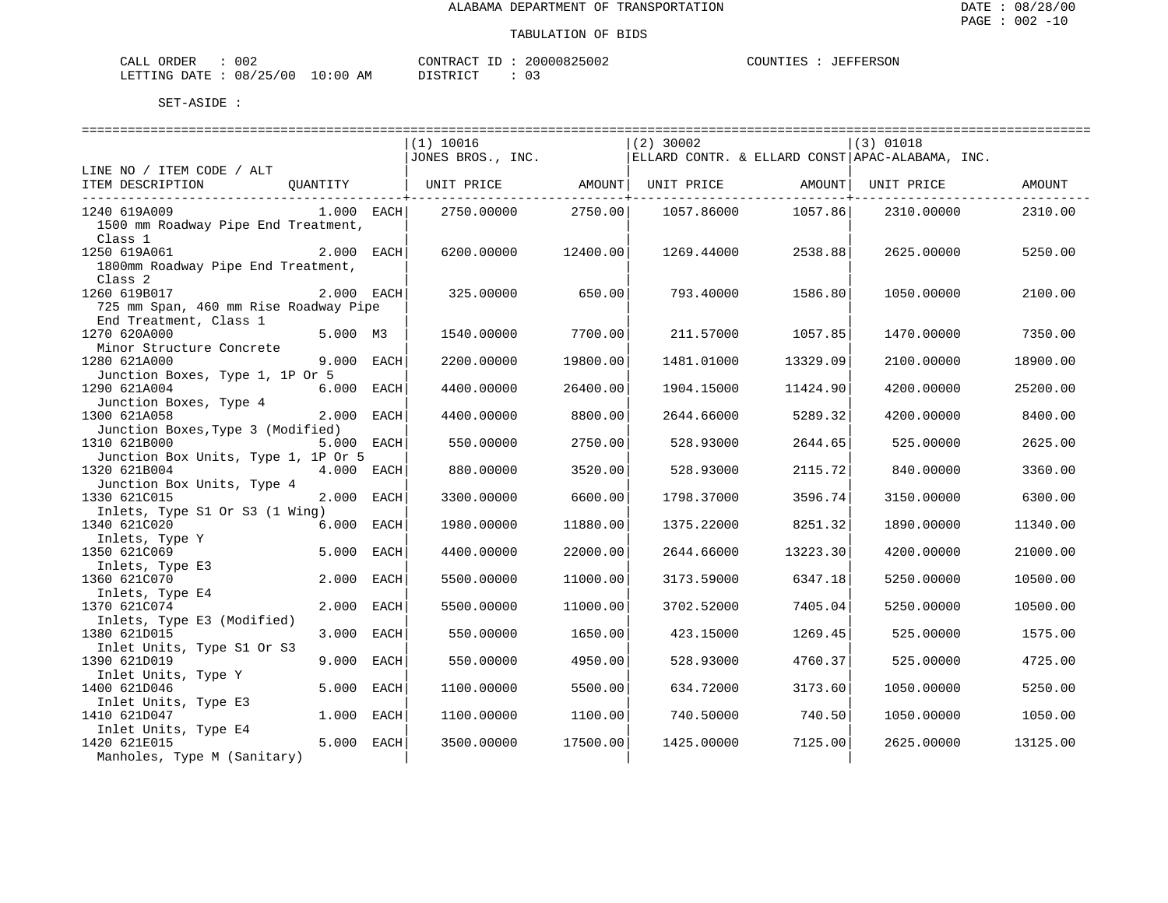| CALL ORDER                       | 002 |          | CONTRACT ID: 20000825002 | COUNTIES | : JEFFERSON |
|----------------------------------|-----|----------|--------------------------|----------|-------------|
| LETTING DATE : 08/25/00 10:00 AM |     | DISTRICT |                          |          |             |

|                                                |              | ================================                                                       |          | ============================== |          | =============================== |          |
|------------------------------------------------|--------------|----------------------------------------------------------------------------------------|----------|--------------------------------|----------|---------------------------------|----------|
|                                                |              | (1) 10016<br>$J$ JONES BROS., INC. $ $ ELLARD CONTR. & ELLARD CONST APAC-ALABAMA, INC. |          | $(2)$ 30002                    |          | (3) 01018                       |          |
| LINE NO / ITEM CODE / ALT                      |              |                                                                                        |          |                                |          |                                 |          |
| ITEM DESCRIPTION QUANTITY                      |              | UNIT PRICE $\qquad$ AMOUNT  UNIT PRICE $\qquad$ AMOUNT  UNIT PRICE                     |          |                                |          |                                 | AMOUNT   |
| 1240 619A009                                   | $1.000$ EACH | 2750.00000                                                                             | 2750.00  | 1057.86000                     | 1057.86  | 2310.00000                      | 2310.00  |
| 1500 mm Roadway Pipe End Treatment,            |              |                                                                                        |          |                                |          |                                 |          |
| Class 1<br>1250 619A061                        | 2.000 EACH   |                                                                                        | 12400.00 |                                |          |                                 |          |
| 1800mm Roadway Pipe End Treatment,             |              | 6200.00000                                                                             |          | 1269.44000                     | 2538.88  | 2625.00000                      | 5250.00  |
| Class <sub>2</sub>                             |              |                                                                                        |          |                                |          |                                 |          |
| 1260 619B017                                   | 2.000 EACH   | 325.00000                                                                              | 650.00   | 793.40000                      | 1586.80  | 1050.00000                      | 2100.00  |
| 725 mm Span, 460 mm Rise Roadway Pipe          |              |                                                                                        |          |                                |          |                                 |          |
| End Treatment, Class 1<br>1270 620A000         | 5.000 M3     | 1540.00000                                                                             | 7700.00  | 211.57000                      | 1057.85  | 1470.00000                      | 7350.00  |
| Minor Structure Concrete                       |              |                                                                                        |          |                                |          |                                 |          |
| 1280 621A000                                   | 9.000 EACH   | 2200.00000                                                                             | 19800.00 | 1481.01000                     | 13329.09 | 2100.00000                      | 18900.00 |
| Junction Boxes, Type 1, 1P Or 5                |              |                                                                                        |          |                                |          |                                 |          |
| 1290 621A004                                   | 6.000 EACH   | 4400.00000                                                                             | 26400.00 | 1904.15000                     | 11424.90 | 4200.00000                      | 25200.00 |
| Junction Boxes, Type 4<br>1300 621A058         | 2.000 EACH   | 4400.00000                                                                             | 8800.00  | 2644.66000                     | 5289.32  | 4200.00000                      | 8400.00  |
| Junction Boxes, Type 3 (Modified)              |              |                                                                                        |          |                                |          |                                 |          |
| 1310 621B000                                   | 5.000 EACH   | 550.00000                                                                              | 2750.00  | 528.93000                      | 2644.65  | 525.00000                       | 2625.00  |
| Junction Box Units, Type 1, 1P Or 5            |              |                                                                                        |          |                                |          |                                 |          |
| 1320 621B004                                   | 4.000 EACH   | 880,00000                                                                              | 3520.00  | 528.93000                      | 2115.72  | 840.00000                       | 3360.00  |
| Junction Box Units, Type 4                     |              |                                                                                        |          |                                |          |                                 |          |
| 1330 621C015<br>Inlets, Type S1 Or S3 (1 Wing) | 2.000 EACH   | 3300.00000                                                                             | 6600.00  | 1798.37000                     | 3596.74  | 3150.00000                      | 6300.00  |
| 1340 621C020                                   | 6.000 EACH   | 1980.00000                                                                             | 11880.00 | 1375.22000                     | 8251.32  | 1890.00000                      | 11340.00 |
| Inlets, Type Y                                 |              |                                                                                        |          |                                |          |                                 |          |
| 1350 621C069                                   | 5.000 EACH   | 4400.00000                                                                             | 22000.00 | 2644.66000                     | 13223.30 | 4200.00000                      | 21000.00 |
| Inlets, Type E3                                |              |                                                                                        |          |                                |          |                                 |          |
| 1360 621C070                                   | 2.000 EACH   | 5500.00000                                                                             | 11000.00 | 3173.59000                     | 6347.18  | 5250.00000                      | 10500.00 |
| Inlets, Type E4<br>1370 621C074                | 2.000 EACH   | 5500.00000                                                                             | 11000.00 | 3702.52000                     | 7405.04  | 5250.00000                      | 10500.00 |
| Inlets, Type E3 (Modified)                     |              |                                                                                        |          |                                |          |                                 |          |
| 1380 621D015                                   | 3.000 EACH   | 550.00000                                                                              | 1650.00  | 423.15000                      | 1269.45  | 525.00000                       | 1575.00  |
| Inlet Units, Type S1 Or S3                     |              |                                                                                        |          |                                |          |                                 |          |
| 1390 621D019                                   | 9.000 EACH   | 550.00000                                                                              | 4950.00  | 528.93000                      | 4760.37  | 525.00000                       | 4725.00  |
| Inlet Units, Type Y<br>1400 621D046            | 5.000 EACH   | 1100.00000                                                                             | 5500.00  | 634.72000                      | 3173.60  | 1050.00000                      | 5250.00  |
| Inlet Units, Type E3                           |              |                                                                                        |          |                                |          |                                 |          |
| 1410 621D047                                   | 1.000 EACH   | 1100.00000                                                                             | 1100.00  | 740.50000                      | 740.50   | 1050.00000                      | 1050.00  |
| Inlet Units, Type E4                           |              |                                                                                        |          |                                |          |                                 |          |
| 1420 621E015                                   | 5.000 EACH   | 3500.00000                                                                             | 17500.00 | 1425.00000                     | 7125.00  | 2625.00000                      | 13125.00 |
| Manholes, Type M (Sanitary)                    |              |                                                                                        |          |                                |          |                                 |          |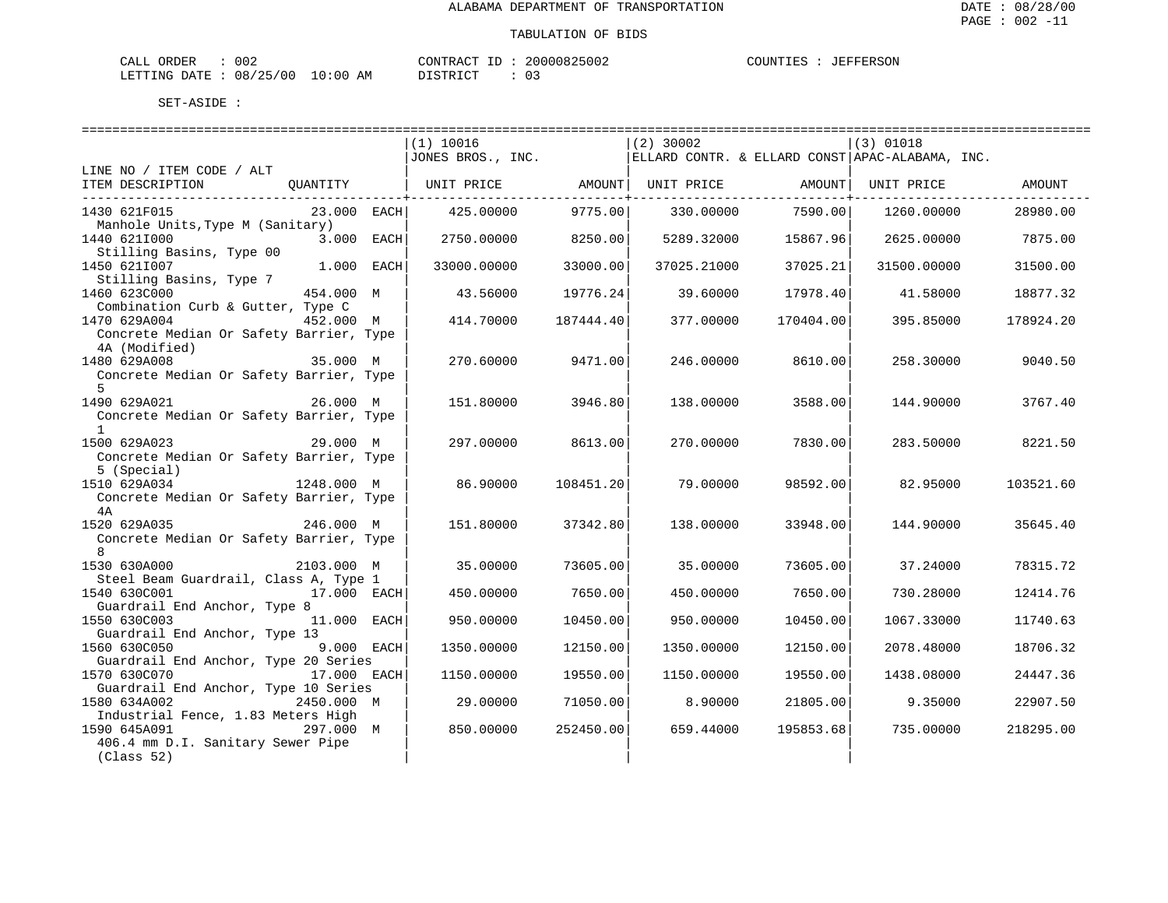| CALL ORDER                       | 002 |          | CONTRACT ID: 20000825002 |  | COUNTIES : JEFFERSON |
|----------------------------------|-----|----------|--------------------------|--|----------------------|
| LETTING DATE : 08/25/00 10:00 AM |     | DISTRICT |                          |  |                      |

|                                                                      | (1) 10016         |           | $(2)$ 30002         |           | $(3)$ 01018                                     |           |
|----------------------------------------------------------------------|-------------------|-----------|---------------------|-----------|-------------------------------------------------|-----------|
|                                                                      | JONES BROS., INC. |           |                     |           | ELLARD CONTR. & ELLARD CONST APAC-ALABAMA, INC. |           |
| LINE NO / ITEM CODE / ALT                                            |                   |           |                     |           |                                                 |           |
| ITEM DESCRIPTION<br>QUANTITY                                         | UNIT PRICE        |           | AMOUNT   UNIT PRICE |           | AMOUNT   UNIT PRICE                             | AMOUNT    |
|                                                                      |                   |           |                     |           |                                                 |           |
| 1430 621F015<br>$23.000$ EACH                                        | 425.00000         | 9775.00   | 330.00000           | 7590.00   | 1260.00000                                      | 28980.00  |
| Manhole Units, Type M (Sanitary)                                     |                   |           |                     |           |                                                 |           |
| 1440 6211000<br>3.000 EACH                                           | 2750.00000        | 8250.00   | 5289.32000          | 15867.96  | 2625.00000                                      | 7875.00   |
| Stilling Basins, Type 00                                             |                   |           |                     |           |                                                 |           |
| 1450 6211007<br>$1.000$ EACH                                         | 33000.00000       | 33000.00  | 37025.21000         | 37025.21  | 31500.00000                                     | 31500.00  |
| Stilling Basins, Type 7                                              |                   |           |                     |           |                                                 |           |
| 1460 623C000<br>454.000 M                                            | 43.56000          | 19776.24  | 39.60000            | 17978.40  | 41.58000                                        | 18877.32  |
| Combination Curb & Gutter, Type C                                    |                   |           |                     |           |                                                 |           |
| 1470 629A004<br>452.000 M<br>Concrete Median Or Safety Barrier, Type | 414.70000         | 187444.40 | 377.00000           | 170404.00 | 395.85000                                       | 178924.20 |
| 4A (Modified)                                                        |                   |           |                     |           |                                                 |           |
| 1480 629A008<br>35.000 M                                             | 270.60000         | 9471.00   | 246.00000           | 8610.00   | 258.30000                                       | 9040.50   |
| Concrete Median Or Safety Barrier, Type                              |                   |           |                     |           |                                                 |           |
| 5                                                                    |                   |           |                     |           |                                                 |           |
| 1490 629A021<br>26.000 M                                             | 151.80000         | 3946.80   | 138.00000           | 3588.00   | 144.90000                                       | 3767.40   |
| Concrete Median Or Safety Barrier, Type                              |                   |           |                     |           |                                                 |           |
| $\overline{1}$                                                       |                   |           |                     |           |                                                 |           |
| 1500 629A023<br>29.000 M                                             | 297.00000         | 8613.00   | 270.00000           | 7830.00   | 283.50000                                       | 8221.50   |
| Concrete Median Or Safety Barrier, Type                              |                   |           |                     |           |                                                 |           |
| 5 (Special)                                                          |                   |           |                     |           |                                                 |           |
| 1248.000 M<br>1510 629A034                                           | 86.90000          | 108451.20 | 79.00000            | 98592.00  | 82.95000                                        | 103521.60 |
| Concrete Median Or Safety Barrier, Type                              |                   |           |                     |           |                                                 |           |
| 4 A                                                                  |                   |           |                     |           |                                                 |           |
| 1520 629A035<br>246.000 M                                            | 151.80000         | 37342.80  | 138.00000           | 33948.00  | 144.90000                                       | 35645.40  |
| Concrete Median Or Safety Barrier, Type                              |                   |           |                     |           |                                                 |           |
| 8                                                                    |                   |           |                     |           |                                                 |           |
| 1530 630A000<br>2103.000 M                                           | 35,00000          | 73605.00  | 35,00000            | 73605.00  | 37.24000                                        | 78315.72  |
| Steel Beam Guardrail, Class A, Type 1                                |                   |           |                     |           |                                                 |           |
| 1540 630C001<br>17.000 EACH                                          | 450.00000         | 7650.00   | 450.00000           | 7650.00   | 730.28000                                       | 12414.76  |
| Guardrail End Anchor, Type 8                                         |                   |           |                     |           |                                                 |           |
| 1550 630C003<br>11.000 EACH                                          | 950.00000         | 10450.00  | 950.00000           | 10450.00  | 1067.33000                                      | 11740.63  |
| Guardrail End Anchor, Type 13                                        |                   |           |                     |           |                                                 |           |
| 1560 630C050<br>9.000 EACH                                           | 1350.00000        | 12150.00  | 1350.00000          | 12150.00  | 2078.48000                                      | 18706.32  |
| Guardrail End Anchor, Type 20 Series                                 |                   |           |                     |           |                                                 |           |
| 1570 630C070<br>17.000 EACH                                          | 1150.00000        | 19550.00  | 1150.00000          | 19550.00  | 1438.08000                                      | 24447.36  |
| Guardrail End Anchor, Type 10 Series                                 |                   |           |                     |           |                                                 |           |
| 1580 634A002<br>2450.000 M                                           | 29,00000          | 71050.00  | 8,90000             | 21805.00  | 9.35000                                         | 22907.50  |
| Industrial Fence, 1.83 Meters High<br>1590 645A091<br>297.000 M      | 850.00000         | 252450.00 | 659.44000           | 195853.68 | 735.00000                                       | 218295.00 |
| 406.4 mm D.I. Sanitary Sewer Pipe                                    |                   |           |                     |           |                                                 |           |
| (Class 52)                                                           |                   |           |                     |           |                                                 |           |
|                                                                      |                   |           |                     |           |                                                 |           |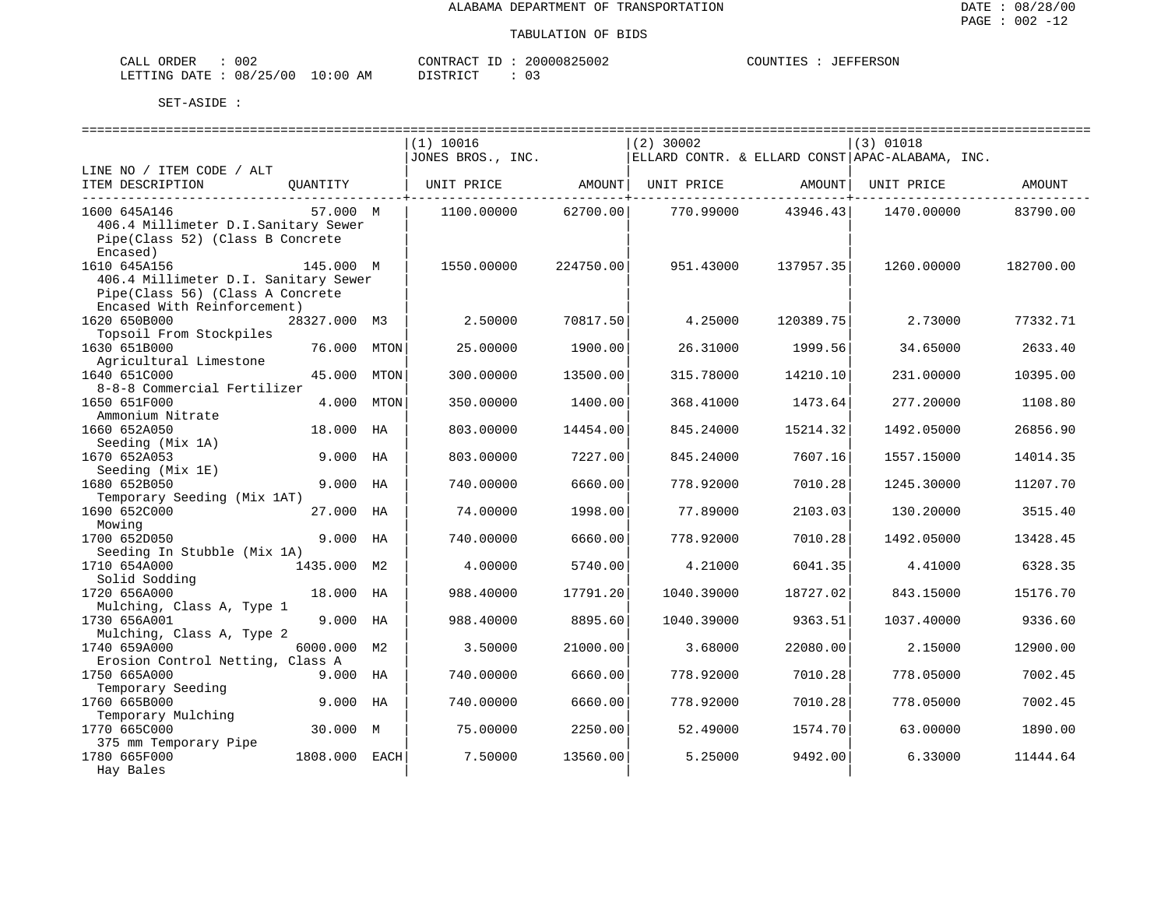| CALL ORDER                       | 002 | CONTRACT ID | 20000825002 | COUNTIES | JEFFERSON |
|----------------------------------|-----|-------------|-------------|----------|-----------|
| LETTING DATE : 08/25/00 10:00 AM |     | DISTRICT    |             |          |           |

|                                      |               |      | ============================== |           | ============================= |           | ====================================               |           |
|--------------------------------------|---------------|------|--------------------------------|-----------|-------------------------------|-----------|----------------------------------------------------|-----------|
|                                      |               |      | (1) 10016                      |           | $(2)$ 30002                   |           | (3) 01018                                          |           |
|                                      |               |      | JONES BROS., INC.              |           |                               |           | $ ELLARD$ CONTR. & ELLARD CONST APAC-ALABAMA, INC. |           |
| LINE NO / ITEM CODE / ALT            |               |      |                                |           |                               |           |                                                    |           |
| ITEM DESCRIPTION                     | OUANTITY      |      | UNIT PRICE                     | AMOUNT    | UNIT PRICE                    | AMOUNT    | UNIT PRICE                                         | AMOUNT    |
|                                      |               |      |                                |           |                               |           |                                                    |           |
| 1600 645A146                         | 57.000 M      |      | 1100.00000                     | 62700.00  | 770.99000                     | 43946.43  | 1470.00000                                         | 83790.00  |
| 406.4 Millimeter D.I.Sanitary Sewer  |               |      |                                |           |                               |           |                                                    |           |
| Pipe(Class 52) (Class B Concrete     |               |      |                                |           |                               |           |                                                    |           |
| Encased)                             |               |      |                                |           |                               |           |                                                    |           |
| 1610 645A156                         | 145.000 M     |      | 1550.00000                     | 224750.00 | 951.43000                     | 137957.35 | 1260.00000                                         | 182700.00 |
| 406.4 Millimeter D.I. Sanitary Sewer |               |      |                                |           |                               |           |                                                    |           |
| Pipe(Class 56) (Class A Concrete     |               |      |                                |           |                               |           |                                                    |           |
| Encased With Reinforcement)          |               |      |                                |           |                               |           |                                                    |           |
| 1620 650B000                         | 28327.000 M3  |      | 2.50000                        | 70817.50  | 4.25000                       | 120389.75 | 2.73000                                            | 77332.71  |
| Topsoil From Stockpiles              |               |      |                                |           |                               |           |                                                    |           |
| 1630 651B000                         | 76.000        | MTON | 25.00000                       | 1900.00   | 26.31000                      | 1999.56   | 34.65000                                           | 2633.40   |
| Agricultural Limestone               |               |      |                                |           |                               |           |                                                    |           |
| 1640 651C000                         | 45.000        | MTON | 300.00000                      | 13500.00  | 315.78000                     | 14210.10  | 231.00000                                          | 10395.00  |
| 8-8-8 Commercial Fertilizer          |               |      |                                |           |                               |           |                                                    |           |
| 1650 651F000                         | 4.000         | MTON | 350.00000                      | 1400.00   | 368.41000                     | 1473.64   | 277.20000                                          | 1108.80   |
| Ammonium Nitrate                     |               |      |                                |           |                               |           |                                                    |           |
| 1660 652A050                         | 18.000 HA     |      | 803.00000                      | 14454.00  | 845.24000                     | 15214.32  | 1492.05000                                         | 26856.90  |
| Seeding (Mix 1A)                     |               |      |                                |           |                               |           |                                                    |           |
| 1670 652A053                         | 9.000 HA      |      | 803.00000                      | 7227.00   | 845.24000                     | 7607.16   | 1557.15000                                         | 14014.35  |
| Seeding (Mix 1E)                     |               |      |                                |           |                               |           |                                                    |           |
| 1680 652B050                         | 9.000 HA      |      | 740.00000                      | 6660.00   | 778.92000                     | 7010.28   | 1245.30000                                         | 11207.70  |
| Temporary Seeding (Mix 1AT)          |               |      |                                |           |                               |           |                                                    |           |
| 1690 652C000                         | 27.000 HA     |      | 74.00000                       | 1998.00   | 77.89000                      | 2103.03   | 130.20000                                          | 3515.40   |
| Mowing                               |               |      |                                |           |                               |           |                                                    |           |
| 1700 652D050                         | 9.000 HA      |      | 740.00000                      | 6660.00   | 778.92000                     | 7010.28   | 1492.05000                                         | 13428.45  |
| Seeding In Stubble (Mix 1A)          |               |      |                                |           |                               |           |                                                    |           |
| 1710 654A000                         | 1435.000 M2   |      | 4.00000                        | 5740.00   | 4.21000                       | 6041.35   | 4.41000                                            | 6328.35   |
| Solid Sodding                        |               |      |                                |           |                               |           |                                                    |           |
| 1720 656A000                         | 18.000 HA     |      | 988.40000                      | 17791.20  | 1040.39000                    | 18727.02  | 843.15000                                          | 15176.70  |
| Mulching, Class A, Type 1            |               |      |                                |           |                               |           |                                                    |           |
| 1730 656A001                         | 9.000 HA      |      | 988.40000                      | 8895.60   | 1040.39000                    | 9363.51   | 1037.40000                                         | 9336.60   |
| Mulching, Class A, Type 2            |               |      |                                |           |                               |           |                                                    |           |
| 1740 659A000                         | 6000.000 M2   |      | 3.50000                        | 21000.00  | 3.68000                       | 22080.00  | 2.15000                                            | 12900.00  |
| Erosion Control Netting, Class A     |               |      |                                |           |                               |           |                                                    |           |
| 1750 665A000                         | 9.000 HA      |      | 740.00000                      | 6660.00   | 778.92000                     | 7010.28   | 778.05000                                          | 7002.45   |
| Temporary Seeding                    |               |      |                                |           |                               |           |                                                    |           |
| 1760 665B000                         | 9.000 HA      |      | 740.00000                      | 6660.00   | 778.92000                     | 7010.28   | 778.05000                                          | 7002.45   |
| Temporary Mulching                   |               |      |                                |           |                               |           |                                                    |           |
| 1770 665C000                         | 30.000 M      |      | 75.00000                       | 2250.00   | 52.49000                      | 1574.70   | 63.00000                                           | 1890.00   |
| 375 mm Temporary Pipe                |               |      |                                |           |                               |           |                                                    |           |
| 1780 665F000                         | 1808.000 EACH |      | 7.50000                        | 13560.00  | 5.25000                       | 9492.00   | 6.33000                                            | 11444.64  |
| Hay Bales                            |               |      |                                |           |                               |           |                                                    |           |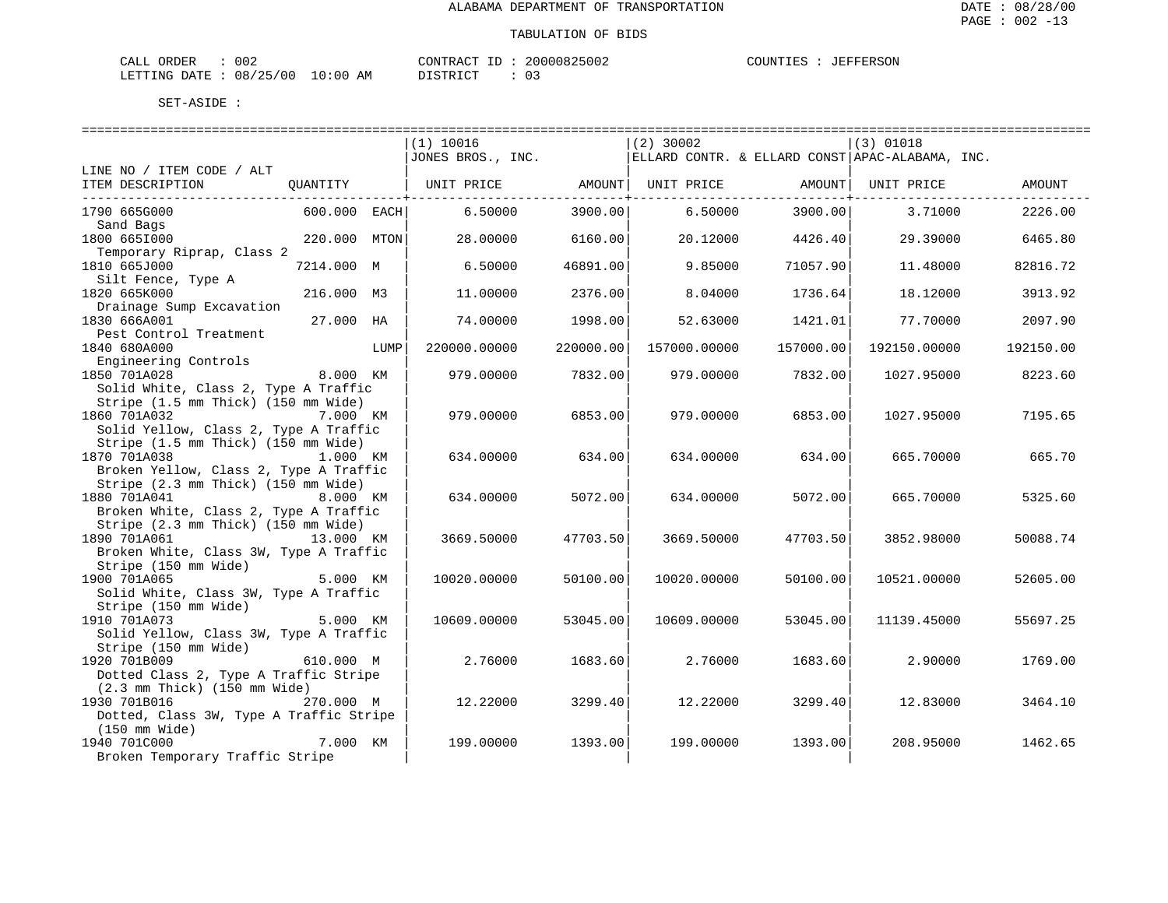| CALL ORDER                       | 002 | CONTRACT ID | 20000825002 | COUNTIES | JEFFERSON |
|----------------------------------|-----|-------------|-------------|----------|-----------|
| LETTING DATE : 08/25/00 10:00 AM |     | DISTRICT    |             |          |           |

|                                                                      | (1) 10016         |                   | $(2)$ 30002         |                                          | $(3)$ 01018                                     |           |
|----------------------------------------------------------------------|-------------------|-------------------|---------------------|------------------------------------------|-------------------------------------------------|-----------|
|                                                                      | JONES BROS., INC. |                   |                     |                                          | ELLARD CONTR. & ELLARD CONST APAC-ALABAMA, INC. |           |
| LINE NO / ITEM CODE / ALT                                            |                   |                   |                     |                                          |                                                 |           |
| ITEM DESCRIPTION<br>OUANTITY                                         | UNIT PRICE        | ----------------- | AMOUNT   UNIT PRICE | AMOUNT  UNIT PRICE<br>------------------ |                                                 | AMOUNT    |
| 1790 665G000<br>600.000 EACH                                         | 6.50000           | 3900.00           | 6.50000             | 3900.00                                  | 3.71000                                         | 2226.00   |
| Sand Bags                                                            |                   |                   |                     |                                          |                                                 |           |
| 1800 6651000<br>220.000 MTON                                         | 28.00000          | 6160.00           | 20.12000            | 4426.40                                  | 29.39000                                        | 6465.80   |
| Temporary Riprap, Class 2<br>1810 665J000<br>7214.000 M              | 6.50000           | 46891.00          | 9.85000             | 71057.90                                 | 11.48000                                        | 82816.72  |
| Silt Fence, Type A                                                   |                   |                   |                     |                                          |                                                 |           |
| 216.000 M3<br>1820 665K000                                           | 11.00000          | 2376.00           | 8.04000             | 1736.64                                  | 18.12000                                        | 3913.92   |
| Drainage Sump Excavation                                             |                   |                   |                     |                                          |                                                 |           |
| 1830 666A001<br>27.000 HA                                            | 74.00000          | 1998.00           | 52.63000            | 1421.01                                  | 77.70000                                        | 2097.90   |
| Pest Control Treatment                                               |                   |                   |                     |                                          |                                                 |           |
| 1840 680A000<br>LUMP<br>Engineering Controls                         | 220000.00000      | 220000.00         | 157000.00000        | 157000.00                                | 192150.00000                                    | 192150.00 |
| 8.000 KM<br>1850 701A028                                             | 979.00000         | 7832.00           | 979.00000           | 7832.00                                  | 1027.95000                                      | 8223.60   |
| Solid White, Class 2, Type A Traffic                                 |                   |                   |                     |                                          |                                                 |           |
| Stripe (1.5 mm Thick) (150 mm Wide)                                  |                   |                   |                     |                                          |                                                 |           |
| 1860 701A032<br>7.000 KM                                             | 979.00000         | 6853.00           | 979.00000           | 6853.00                                  | 1027.95000                                      | 7195.65   |
| Solid Yellow, Class 2, Type A Traffic                                |                   |                   |                     |                                          |                                                 |           |
| Stripe (1.5 mm Thick) (150 mm Wide)                                  |                   |                   |                     |                                          |                                                 |           |
| 1870 701A038<br>1.000 KM<br>Broken Yellow, Class 2, Type A Traffic   | 634.00000         | 634.00            | 634.00000           | 634.00                                   | 665.70000                                       | 665.70    |
| Stripe (2.3 mm Thick) (150 mm Wide)                                  |                   |                   |                     |                                          |                                                 |           |
| 1880 701A041<br>8.000 KM                                             | 634.00000         | 5072.00           | 634.00000           | 5072.00                                  | 665.70000                                       | 5325.60   |
| Broken White, Class 2, Type A Traffic                                |                   |                   |                     |                                          |                                                 |           |
| Stripe (2.3 mm Thick) (150 mm Wide)                                  |                   |                   |                     |                                          |                                                 |           |
| 1890 701A061<br>13.000 KM                                            | 3669.50000        | 47703.50          | 3669.50000          | 47703.50                                 | 3852.98000                                      | 50088.74  |
| Broken White, Class 3W, Type A Traffic                               |                   |                   |                     |                                          |                                                 |           |
| Stripe (150 mm Wide)                                                 |                   |                   |                     |                                          |                                                 |           |
| 1900 701A065<br>5.000 KM<br>Solid White, Class 3W, Type A Traffic    | 10020.00000       | 50100.00          | 10020.00000         | 50100.00                                 | 10521.00000                                     | 52605.00  |
| Stripe (150 mm Wide)                                                 |                   |                   |                     |                                          |                                                 |           |
| 1910 701A073<br>5.000 KM                                             | 10609.00000       | 53045.00          | 10609.00000         | 53045.00                                 | 11139.45000                                     | 55697.25  |
| Solid Yellow, Class 3W, Type A Traffic                               |                   |                   |                     |                                          |                                                 |           |
| Stripe (150 mm Wide)                                                 |                   |                   |                     |                                          |                                                 |           |
| 1920 701B009<br>610.000 M                                            | 2.76000           | 1683.60           | 2.76000             | 1683.60                                  | 2.90000                                         | 1769.00   |
| Dotted Class 2, Type A Traffic Stripe                                |                   |                   |                     |                                          |                                                 |           |
| $(2.3 \text{ mm}$ Thick) $(150 \text{ mm}$ Wide)                     |                   |                   |                     |                                          |                                                 |           |
| 1930 701B016<br>270.000 M<br>Dotted, Class 3W, Type A Traffic Stripe | 12.22000          | 3299.40           | 12.22000            | 3299.40                                  | 12.83000                                        | 3464.10   |
| (150 mm Wide)                                                        |                   |                   |                     |                                          |                                                 |           |
| 1940 701C000<br>7.000 KM                                             | 199.00000         | 1393.00           | 199.00000           | 1393.00                                  | 208,95000                                       | 1462.65   |
| Broken Temporary Traffic Stripe                                      |                   |                   |                     |                                          |                                                 |           |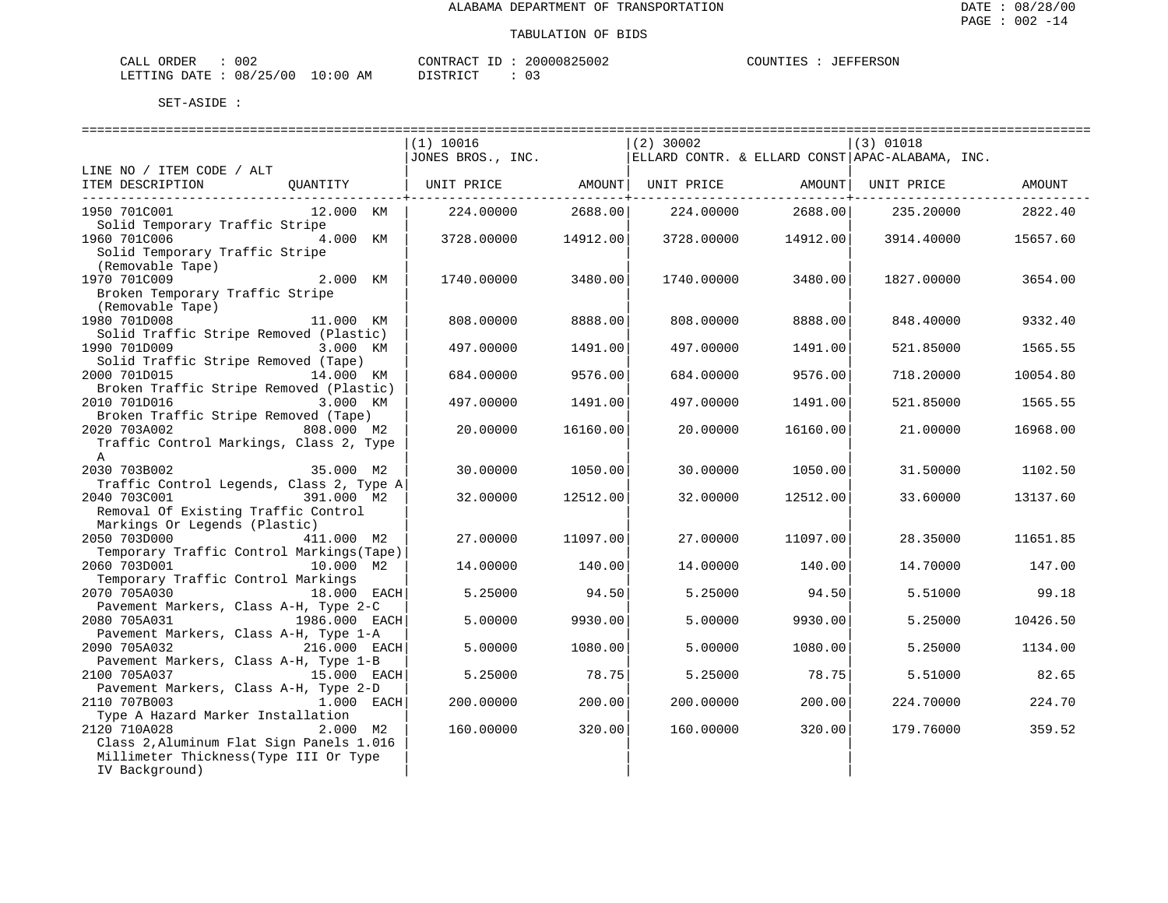| CALL ORDER                       | 002 |          | CONTRACT ID: 20000825002 | COUNTIES : JEFFERSON |  |
|----------------------------------|-----|----------|--------------------------|----------------------|--|
| LETTING DATE : 08/25/00 10:00 AM |     | DISTRICT |                          |                      |  |

|                                                                                                                                                | =========================<br>(1) 10016<br>JONES BROS., INC. |          | $(2)$ 30002 |          | $(3)$ 01018<br>ELLARD CONTR. & ELLARD CONST APAC-ALABAMA, INC. |          |
|------------------------------------------------------------------------------------------------------------------------------------------------|-------------------------------------------------------------|----------|-------------|----------|----------------------------------------------------------------|----------|
| LINE NO / ITEM CODE / ALT<br>ITEM DESCRIPTION<br>OUANTITY                                                                                      | UNIT PRICE AMOUNT                                           |          |             |          | UNIT PRICE AMOUNT UNIT PRICE                                   | AMOUNT   |
| 1950 701C001<br>12.000 KM<br>Solid Temporary Traffic Stripe                                                                                    | 224.00000                                                   | 2688.00  | 224.00000   | 2688.00  | 235.20000                                                      | 2822.40  |
| 1960 701C006<br>4.000 KM<br>Solid Temporary Traffic Stripe<br>(Removable Tape)                                                                 | 3728.00000 14912.00                                         |          | 3728.00000  | 14912.00 | 3914.40000                                                     | 15657.60 |
| 1970 701C009<br>2.000 KM<br>Broken Temporary Traffic Stripe<br>(Removable Tape)                                                                | 1740.00000                                                  | 3480.00  | 1740.00000  | 3480.00  | 1827.00000                                                     | 3654.00  |
| 1980 701D008<br>11.000 KM<br>Solid Traffic Stripe Removed (Plastic)                                                                            | 808,00000                                                   | 8888.00  | 808,00000   | 8888.00  | 848.40000                                                      | 9332.40  |
| 1990 701D009<br>3.000 KM<br>Solid Traffic Stripe Removed (Tape)                                                                                | 497.00000                                                   | 1491.00  | 497.00000   | 1491.00  | 521.85000                                                      | 1565.55  |
| 2000 701D015<br>14.000 KM                                                                                                                      | 684.00000                                                   | 9576.00  | 684.00000   | 9576.00  | 718.20000                                                      | 10054.80 |
| Broken Traffic Stripe Removed (Plastic)<br>2010 701D016<br>3.000 KM                                                                            | 497.00000                                                   | 1491.00  | 497.00000   | 1491.00  | 521.85000                                                      | 1565.55  |
| Broken Traffic Stripe Removed (Tape)<br>2020 703A002<br>808.000 M2<br>Traffic Control Markings, Class 2, Type<br>$\mathsf{A}$                  | 20,00000                                                    | 16160.00 | 20,00000    | 16160.00 | 21,00000                                                       | 16968.00 |
| 2030 703B002<br>35.000 M2                                                                                                                      | 30.00000                                                    | 1050.00  | 30.00000    | 1050.00  | 31.50000                                                       | 1102.50  |
| Traffic Control Legends, Class 2, Type A<br>2040 703C001<br>391.000 M2<br>Removal Of Existing Traffic Control<br>Markings Or Legends (Plastic) | 32.00000                                                    | 12512.00 | 32.00000    | 12512.00 | 33.60000                                                       | 13137.60 |
| 2050 703D000<br>411.000 M2                                                                                                                     | 27.00000                                                    | 11097.00 | 27.00000    | 11097.00 | 28.35000                                                       | 11651.85 |
| Temporary Traffic Control Markings (Tape)<br>2060 703D001<br>10.000 M2                                                                         | 14.00000                                                    | 140.00   | 14.00000    | 140.00   | 14.70000                                                       | 147.00   |
| Temporary Traffic Control Markings<br>2070 705A030<br>18.000 EACH                                                                              | 5.25000                                                     | 94.50    | 5.25000     | 94.50    | 5.51000                                                        | 99.18    |
| Pavement Markers, Class A-H, Type 2-C<br>2080 705A031<br>1986.000 EACH                                                                         | 5,00000                                                     | 9930.00  | 5.00000     | 9930.00  | 5.25000                                                        | 10426.50 |
| Pavement Markers, Class A-H, Type 1-A<br>216.000 EACH<br>2090 705A032                                                                          | 5.00000                                                     | 1080.00  | 5.00000     | 1080.00  | 5.25000                                                        | 1134.00  |
| Pavement Markers, Class A-H, Type 1-B<br>2100 705A037<br>15.000 EACH                                                                           | 5.25000                                                     | 78.75    | 5.25000     | 78.75    | 5.51000                                                        | 82.65    |
| Pavement Markers, Class A-H, Type 2-D<br>2110 707B003<br>ли 1.000 EACH                                                                         | 200.00000                                                   | 200.00   | 200.00000   | 200.00   | 224.70000                                                      | 224.70   |
| Type A Hazard Marker Installation<br>2120 710A028                                                                                              | 160.00000                                                   | 320.00   | 160.00000   |          | 179.76000                                                      | 359.52   |
| 2.000 M2<br>Class 2, Aluminum Flat Sign Panels 1.016<br>Millimeter Thickness (Type III Or Type<br>IV Background)                               |                                                             |          |             | 320.00   |                                                                |          |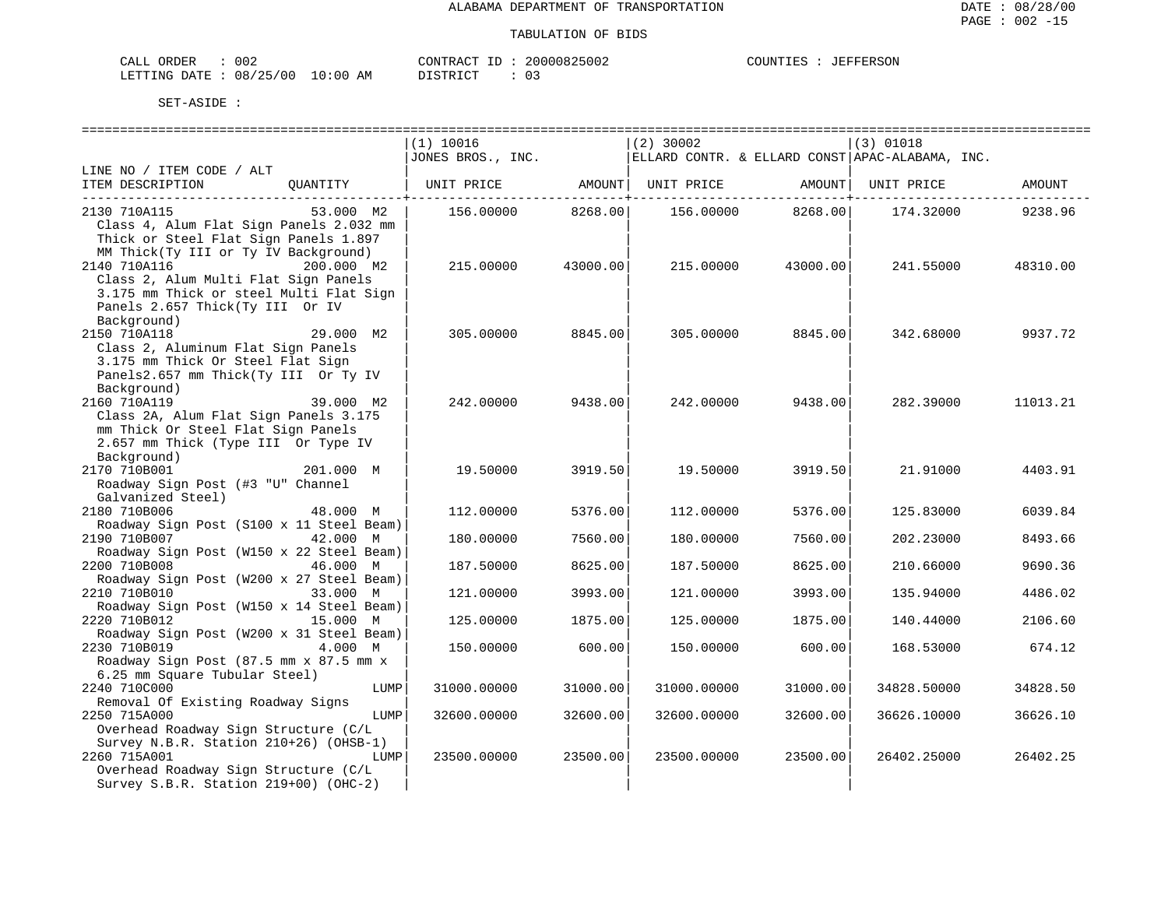| <b>ORDER</b><br>CALL | 002                     | CONTRACT<br>ID | 20000825002 | COUNTIES | JEFFERSON |
|----------------------|-------------------------|----------------|-------------|----------|-----------|
| LETTING DATE :       | 08/25/00<br>10:00<br>AΜ | חי חים דח      |             |          |           |

|                                          | (1) 10016         |                         | $(2)$ 30002       |                   | $(3)$ 01018                                     |          |
|------------------------------------------|-------------------|-------------------------|-------------------|-------------------|-------------------------------------------------|----------|
|                                          | JONES BROS., INC. |                         |                   |                   | ELLARD CONTR. & ELLARD CONST APAC-ALABAMA, INC. |          |
| LINE NO / ITEM CODE / ALT                |                   |                         |                   |                   |                                                 |          |
| ITEM DESCRIPTION<br>OUANTITY             | UNIT PRICE AMOUNT |                         | UNIT PRICE AMOUNT |                   | UNIT PRICE                                      | AMOUNT   |
| __________________________________       |                   | -------------+--------- |                   |                   |                                                 |          |
| 2130 710A115<br>53.000 M2                | 156.00000 8268.00 |                         |                   | 156.00000 8268.00 | 174.32000                                       | 9238.96  |
| Class 4, Alum Flat Sign Panels 2.032 mm  |                   |                         |                   |                   |                                                 |          |
| Thick or Steel Flat Sign Panels 1.897    |                   |                         |                   |                   |                                                 |          |
| MM Thick(Ty III or Ty IV Background)     |                   |                         |                   |                   |                                                 |          |
| 2140 710A116<br>200.000 M2               | 215,00000         | 43000.00                | 215,00000         | 43000.00          | 241.55000                                       | 48310.00 |
| Class 2, Alum Multi Flat Sign Panels     |                   |                         |                   |                   |                                                 |          |
| 3.175 mm Thick or steel Multi Flat Sign  |                   |                         |                   |                   |                                                 |          |
| Panels 2.657 Thick(Ty III Or IV          |                   |                         |                   |                   |                                                 |          |
| Background)                              |                   |                         |                   |                   |                                                 |          |
| 2150 710A118<br>29.000 M2                | 305.00000         | 8845.00                 | 305.00000         | 8845.00           | 342.68000                                       | 9937.72  |
| Class 2, Aluminum Flat Sign Panels       |                   |                         |                   |                   |                                                 |          |
| 3.175 mm Thick Or Steel Flat Sign        |                   |                         |                   |                   |                                                 |          |
| Panels2.657 mm Thick(Ty III Or Ty IV     |                   |                         |                   |                   |                                                 |          |
| Background)                              |                   |                         |                   |                   |                                                 |          |
| 39.000 M2<br>2160 710A119                | 242.00000         | 9438.00                 | 242.00000         | 9438.00           | 282.39000                                       | 11013.21 |
| Class 2A, Alum Flat Sign Panels 3.175    |                   |                         |                   |                   |                                                 |          |
| mm Thick Or Steel Flat Sign Panels       |                   |                         |                   |                   |                                                 |          |
| 2.657 mm Thick (Type III Or Type IV      |                   |                         |                   |                   |                                                 |          |
| Background)                              |                   |                         |                   |                   |                                                 |          |
| 2170 710B001<br>201.000 M                | 19.50000          | 3919.50                 | 19.50000          | 3919.50           | 21.91000                                        | 4403.91  |
| Roadway Sign Post (#3 "U" Channel        |                   |                         |                   |                   |                                                 |          |
| Galvanized Steel)                        |                   |                         |                   |                   |                                                 |          |
| 2180 710B006<br>48.000 M                 | 112,00000         | 5376.00                 | 112,00000         | 5376.00           | 125.83000                                       | 6039.84  |
| Roadway Sign Post (S100 x 11 Steel Beam) |                   |                         |                   |                   |                                                 |          |
| 2190 710B007<br>42.000 M                 | 180.00000         | 7560.00                 | 180.00000         | 7560.00           | 202.23000                                       | 8493.66  |
| Roadway Sign Post (W150 x 22 Steel Beam) |                   |                         |                   |                   |                                                 |          |
| 2200 710B008<br>46.000 M                 | 187.50000         | 8625.00                 | 187.50000         | 8625.00           | 210.66000                                       | 9690.36  |
| Roadway Sign Post (W200 x 27 Steel Beam) |                   |                         |                   |                   |                                                 |          |
| 2210 710B010<br>33.000 M                 | 121,00000         | 3993.00                 | 121,00000         | 3993.00           | 135.94000                                       | 4486.02  |
| Roadway Sign Post (W150 x 14 Steel Beam) |                   |                         |                   |                   |                                                 |          |
| 2220 710B012<br>15.000 M                 | 125.00000         | 1875.00                 | 125.00000         | 1875.00           | 140.44000                                       | 2106.60  |
| Roadway Sign Post (W200 x 31 Steel Beam) |                   |                         |                   |                   |                                                 |          |
| 2230 710B019<br>4.000 M                  | 150.00000         | 600.00                  | 150.00000         | 600.00            | 168.53000                                       | 674.12   |
| Roadway Sign Post (87.5 mm x 87.5 mm x   |                   |                         |                   |                   |                                                 |          |
| 6.25 mm Square Tubular Steel)            |                   |                         |                   |                   |                                                 |          |
| 2240 710C000<br>LUMP                     | 31000.00000       | 31000.00                | 31000.00000       | 31000.00          | 34828.50000                                     | 34828.50 |
| Removal Of Existing Roadway Signs        |                   |                         |                   |                   |                                                 |          |
| 2250 715A000<br>LUMP                     | 32600.00000       | 32600.00                | 32600.00000       | 32600.00          | 36626.10000                                     | 36626.10 |
| Overhead Roadway Sign Structure (C/L     |                   |                         |                   |                   |                                                 |          |
| Survey N.B.R. Station 210+26) (OHSB-1)   |                   |                         |                   |                   |                                                 |          |
| 2260 715A001<br>LUMP                     | 23500.00000       | 23500.00                | 23500.00000       | 23500.00          | 26402.25000                                     | 26402.25 |
| Overhead Roadway Sign Structure (C/L     |                   |                         |                   |                   |                                                 |          |
| Survey S.B.R. Station 219+00) (OHC-2)    |                   |                         |                   |                   |                                                 |          |
|                                          |                   |                         |                   |                   |                                                 |          |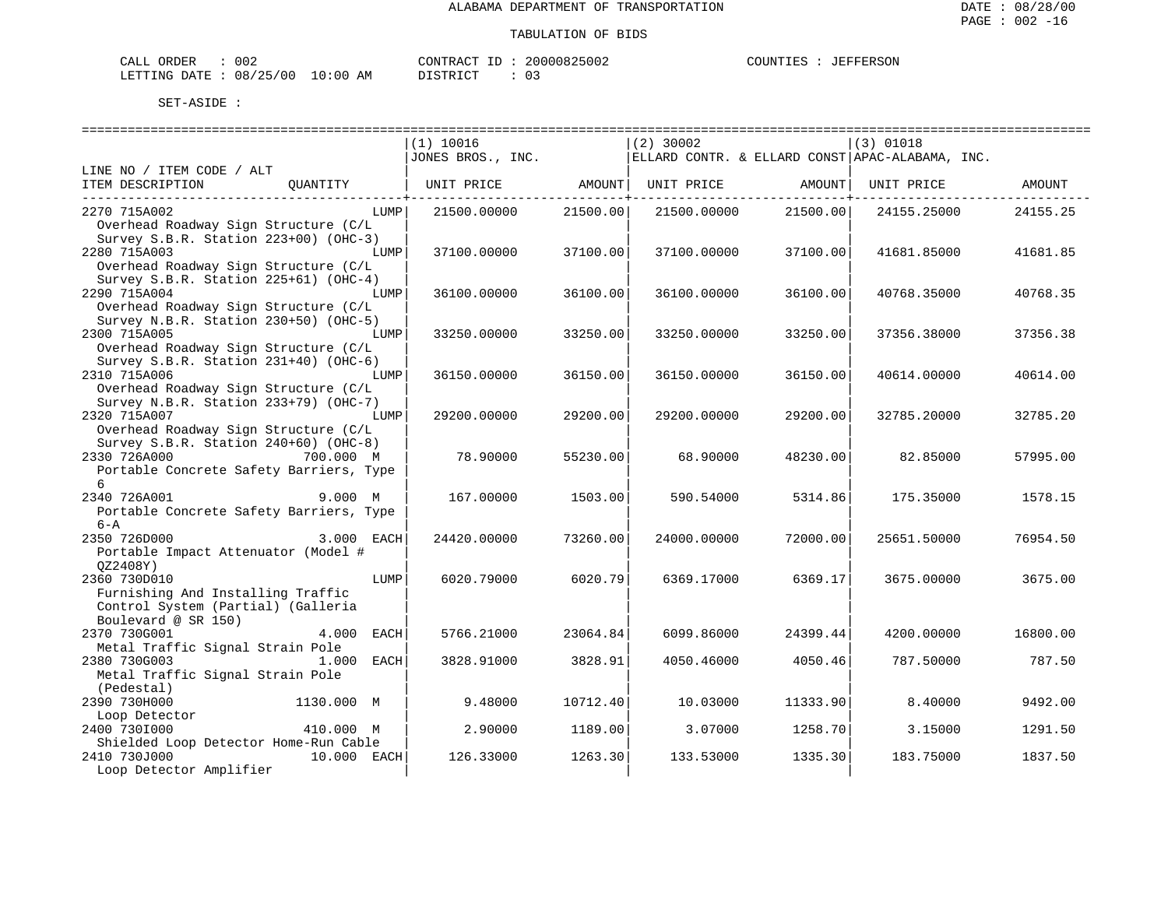| CALL ORDER                       | 002 | CONTRACT ID | 20000825002 | COUNTIES | JEFFERSON |
|----------------------------------|-----|-------------|-------------|----------|-----------|
| LETTING DATE : 08/25/00 10:00 AM |     | DISTRICT    |             |          |           |

|                                                                                                                        | =======================<br>(1) 10016<br>JONES BROS., INC. |          | $(2)$ 30002       |          | $(3)$ 01018<br>ELLARD CONTR. & ELLARD CONST APAC-ALABAMA, INC. |          |
|------------------------------------------------------------------------------------------------------------------------|-----------------------------------------------------------|----------|-------------------|----------|----------------------------------------------------------------|----------|
| LINE NO / ITEM CODE / ALT                                                                                              |                                                           |          |                   |          |                                                                |          |
| ITEM DESCRIPTION<br>OUANTITY                                                                                           | UNIT PRICE                                                | AMOUNT   | UNIT PRICE AMOUNT |          | UNIT PRICE                                                     | AMOUNT   |
| 2270 715A002<br>LUMP<br>Overhead Roadway Sign Structure (C/L<br>Survey S.B.R. Station 223+00) (OHC-3)                  | 21500.00000                                               | 21500.00 | 21500.00000       | 21500.00 | 24155.25000                                                    | 24155.25 |
| 2280 715A003<br>LUMP<br>Overhead Roadway Sign Structure (C/L<br>Survey S.B.R. Station 225+61) (OHC-4)                  | 37100.00000                                               | 37100.00 | 37100.00000       | 37100.00 | 41681.85000                                                    | 41681.85 |
| 2290 715A004<br>LUMP<br>Overhead Roadway Sign Structure (C/L<br>Survey N.B.R. Station 230+50) (OHC-5)                  | 36100.00000                                               | 36100.00 | 36100.00000       | 36100.00 | 40768.35000                                                    | 40768.35 |
| 2300 715A005<br>LUMP<br>Overhead Roadway Sign Structure (C/L<br>Survey S.B.R. Station 231+40) (OHC-6)                  | 33250.00000                                               | 33250.00 | 33250.00000       | 33250.00 | 37356.38000                                                    | 37356.38 |
| 2310 715A006<br>LUMP<br>Overhead Roadway Sign Structure (C/L<br>Survey N.B.R. Station 233+79) (OHC-7)                  | 36150.00000                                               | 36150.00 | 36150.00000       | 36150.00 | 40614.00000                                                    | 40614.00 |
| 2320 715A007<br>LUMP<br>Overhead Roadway Sign Structure (C/L<br>Survey S.B.R. Station 240+60) (OHC-8)                  | 29200.00000                                               | 29200.00 | 29200.00000       | 29200.00 | 32785.20000                                                    | 32785.20 |
| 2330 726A000 700.000 M<br>Portable Concrete Safety Barriers, Type<br>б.                                                | 78.90000                                                  | 55230.00 | 68.90000          | 48230.00 | 82.85000                                                       | 57995.00 |
| 2340 726A001<br>9.000 M<br>Portable Concrete Safety Barriers, Type<br>$6 - A$                                          | 167.00000                                                 | 1503.00  | 590.54000         | 5314.86  | 175.35000                                                      | 1578.15  |
| 2350 726D000<br>3.000 EACH<br>Portable Impact Attenuator (Model #<br>OZ2408Y)                                          | 24420.00000                                               | 73260.00 | 24000.00000       | 72000.00 | 25651.50000                                                    | 76954.50 |
| 2360 730D010<br>LUMP<br>Furnishing And Installing Traffic<br>Control System (Partial) (Galleria<br>Boulevard @ SR 150) | 6020.79000                                                | 6020.79  | 6369.17000        | 6369.17  | 3675.00000                                                     | 3675.00  |
| 2370 730G001<br>4.000 EACH<br>Metal Traffic Signal Strain Pole                                                         | 5766.21000                                                | 23064.84 | 6099.86000        | 24399.44 | 4200.00000                                                     | 16800.00 |
| 2380 730G003<br>$1.000$ EACH<br>Metal Traffic Signal Strain Pole<br>(Pedestal)                                         | 3828.91000                                                | 3828.91  | 4050.46000        | 4050.46  | 787.50000                                                      | 787.50   |
| 2390 730H000<br>1130.000 M<br>Loop Detector                                                                            | 9.48000                                                   | 10712.40 | 10.03000          | 11333.90 | 8.40000                                                        | 9492.00  |
| 2400 7301000<br>410.000 M<br>Shielded Loop Detector Home-Run Cable                                                     | 2.90000                                                   | 1189.00  | 3.07000           | 1258.70  | 3.15000                                                        | 1291.50  |
| 2410 730J000<br>10.000 EACH<br>Loop Detector Amplifier                                                                 | 126.33000                                                 | 1263.30  | 133.53000         | 1335.30  | 183.75000                                                      | 1837.50  |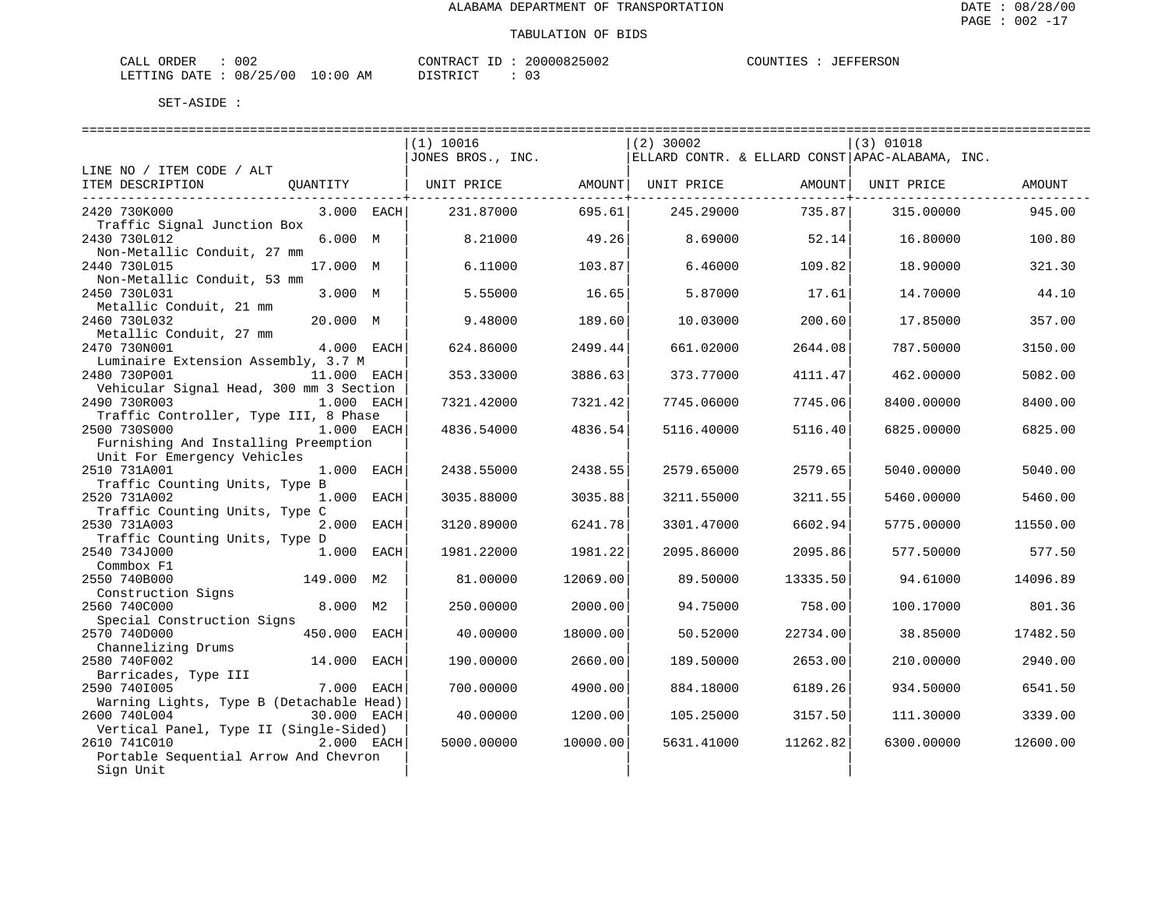| CALL ORDER                       | 002 |          | CONTRACT ID: 20000825002 | COUNTIES : JEFFERSON |  |
|----------------------------------|-----|----------|--------------------------|----------------------|--|
| LETTING DATE : 08/25/00 10:00 AM |     | DISTRICT |                          |                      |  |

|                                                                                     |              | ============================<br>(1) 10016<br>JONES BROS., INC. |          | $(2)$ 30002 | ============================ | $(3)$ 01018<br>  ELLARD CONTR. & ELLARD CONST   APAC-ALABAMA, INC. | ============================= |
|-------------------------------------------------------------------------------------|--------------|----------------------------------------------------------------|----------|-------------|------------------------------|--------------------------------------------------------------------|-------------------------------|
| LINE NO / ITEM CODE / ALT                                                           |              |                                                                |          |             |                              |                                                                    |                               |
| ITEM DESCRIPTION<br>OUANTITY                                                        |              | UNIT PRICE                                                     | AMOUNT   | UNIT PRICE  | AMOUNT                       | UNIT PRICE                                                         | AMOUNT                        |
| 2420 730K000<br>Traffic Signal Junction Box                                         | $3.000$ EACH | 231.87000                                                      | 695.61   | 245.29000   | 735.87                       | 315,00000                                                          | 945.00                        |
| 2430 730L012<br>Non-Metallic Conduit, 27 mm                                         | 6.000 M      | 8.21000                                                        | 49.26    | 8.69000     | 52.14                        | 16.80000                                                           | 100.80                        |
| 2440 730L015<br>Non-Metallic Conduit, 53 mm                                         | 17.000 M     | 6.11000                                                        | 103.87   | 6.46000     | 109.82                       | 18.90000                                                           | 321.30                        |
| 2450 730L031<br>Metallic Conduit, 21 mm                                             | 3.000 M      | 5.55000                                                        | 16.65    | 5.87000     | 17.61                        | 14.70000                                                           | 44.10                         |
| 2460 730L032<br>Metallic Conduit, 27 mm                                             | 20.000 M     | 9.48000                                                        | 189.60   | 10.03000    | 200.60                       | 17.85000                                                           | 357.00                        |
| 2470 730N001<br>Luminaire Extension Assembly, 3.7 M                                 | 4.000 EACH   | 624.86000                                                      | 2499.44  | 661.02000   | 2644.08                      | 787.50000                                                          | 3150.00                       |
| 2480 730P001<br>Vehicular Signal Head, 300 mm 3 Section                             | 11.000 EACH  | 353.33000                                                      | 3886.63  | 373.77000   | 4111.47                      | 462.00000                                                          | 5082.00                       |
| 2490 730R003<br>Traffic Controller, Type III, 8 Phase                               | 1.000 EACH   | 7321.42000                                                     | 7321.42  | 7745.06000  | 7745.06                      | 8400.00000                                                         | 8400.00                       |
| 2500 730S000<br>Furnishing And Installing Preemption<br>Unit For Emergency Vehicles | 1.000 EACH   | 4836.54000                                                     | 4836.54  | 5116.40000  | 5116.40                      | 6825.00000                                                         | 6825.00                       |
| 2510 731A001                                                                        | 1.000 EACH   | 2438.55000                                                     | 2438.55  | 2579.65000  | 2579.65                      | 5040.00000                                                         | 5040.00                       |
| Traffic Counting Units, Type B<br>2520 731A002                                      | 1.000 EACH   | 3035.88000                                                     | 3035.88  | 3211.55000  | 3211.55                      | 5460.00000                                                         | 5460.00                       |
| Traffic Counting Units, Type C<br>2530 731A003                                      | 2.000 EACH   | 3120.89000                                                     | 6241.78  | 3301.47000  | 6602.94                      | 5775.00000                                                         | 11550.00                      |
| Traffic Counting Units, Type D<br>2540 734J000                                      | $1.000$ EACH | 1981.22000                                                     | 1981.22  | 2095.86000  | 2095.86                      | 577.50000                                                          | 577.50                        |
| Commbox F1<br>2550 740B000                                                          | 149.000 M2   | 81.00000                                                       | 12069.00 | 89.50000    | 13335.50                     | 94.61000                                                           | 14096.89                      |
| Construction Signs                                                                  |              |                                                                |          |             |                              |                                                                    |                               |
| 2560 740C000<br>Special Construction Signs                                          | 8.000 M2     | 250.00000                                                      | 2000.00  | 94.75000    | 758.00                       | 100.17000                                                          | 801.36                        |
| 2570 740D000<br>Channelizing Drums                                                  | 450.000 EACH | 40.00000                                                       | 18000.00 | 50.52000    | 22734.00                     | 38.85000                                                           | 17482.50                      |
| 2580 740F002                                                                        | 14.000 EACH  | 190.00000                                                      | 2660.00  | 189.50000   | 2653.00                      | 210.00000                                                          | 2940.00                       |
| Barricades, Type III<br>2590 7401005                                                | 7.000 EACH   | 700.00000                                                      | 4900.00  | 884.18000   | 6189.26                      | 934.50000                                                          | 6541.50                       |
| Warning Lights, Type B (Detachable Head)<br>2600 740L004                            | 30.000 EACH  | 40.00000                                                       | 1200.00  | 105.25000   | 3157.50                      | 111,30000                                                          | 3339.00                       |
| Vertical Panel, Type II (Single-Sided)<br>2610 741C010                              | 2.000 EACH   | 5000.00000                                                     | 10000.00 |             | 11262.82                     |                                                                    | 12600.00                      |
| Portable Sequential Arrow And Chevron<br>Sign Unit                                  |              |                                                                |          | 5631.41000  |                              | 6300.00000                                                         |                               |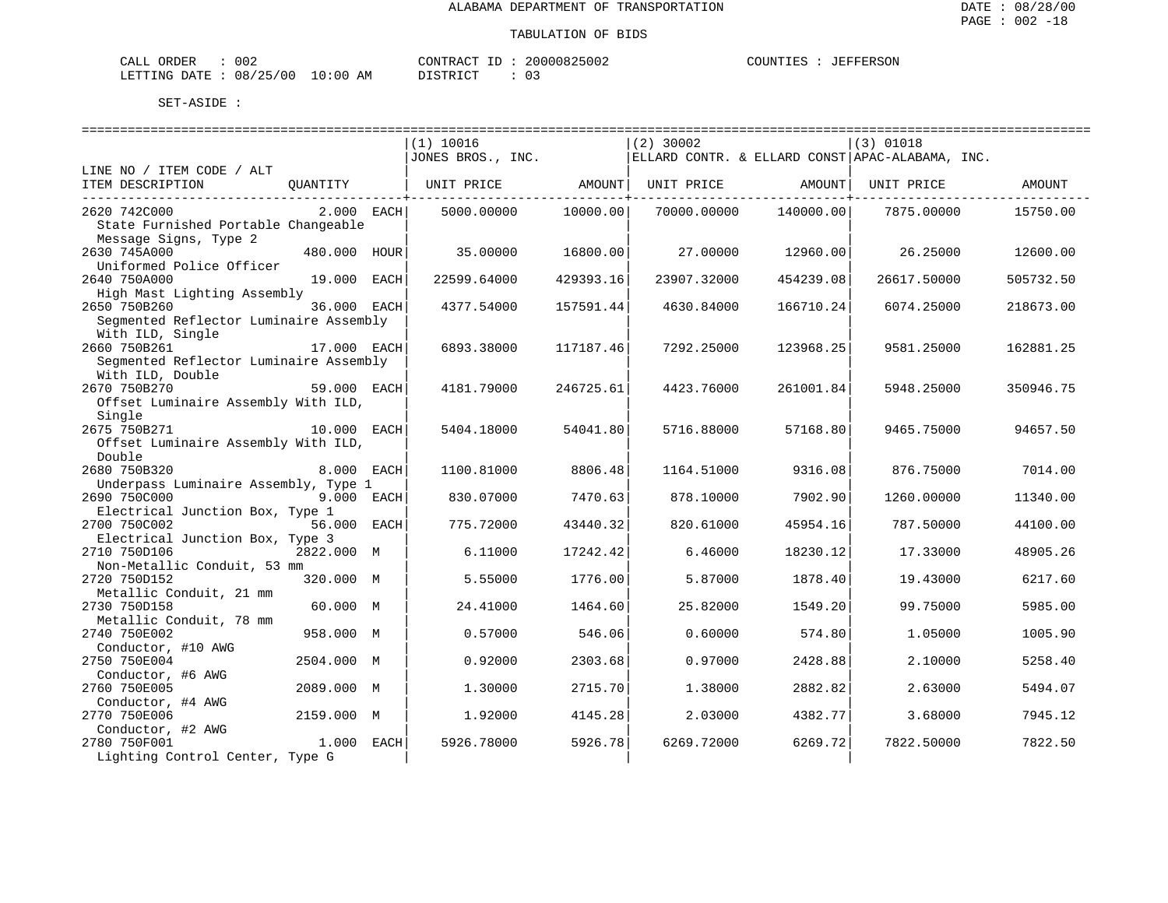| CALL ORDER                       | 002 | CONTRACT ID | 20000825002 | COUNTIES | JEFFERSON |
|----------------------------------|-----|-------------|-------------|----------|-----------|
| LETTING DATE : 08/25/00 10:00 AM |     | DISTRICT    |             |          |           |

|                                             |              | (1) 10016         |                                  | $(2)$ 30002 |               | (3) 01018                                       |           |
|---------------------------------------------|--------------|-------------------|----------------------------------|-------------|---------------|-------------------------------------------------|-----------|
|                                             |              | JONES BROS., INC. |                                  |             |               | ELLARD CONTR. & ELLARD CONST APAC-ALABAMA, INC. |           |
| LINE NO / ITEM CODE / ALT                   |              |                   |                                  |             |               |                                                 |           |
| ITEM DESCRIPTION                            | OUANTITY     | UNIT PRICE AMOUNT | . - - - - - - - - - <del>+</del> | UNIT PRICE  | <b>AMOUNT</b> | UNIT PRICE                                      | AMOUNT    |
| 2620 742C000                                | $2.000$ EACH | 5000.00000        | 10000.00                         | 70000.00000 | 140000.00     | 7875.00000                                      | 15750.00  |
| State Furnished Portable Changeable         |              |                   |                                  |             |               |                                                 |           |
| Message Signs, Type 2                       |              |                   |                                  |             |               |                                                 |           |
| 2630 745A000                                | 480.000 HOUR | 35.00000          | 16800.00                         | 27.00000    | 12960.00      | 26.25000                                        | 12600.00  |
| Uniformed Police Officer                    |              |                   |                                  |             |               |                                                 |           |
| 2640 750A000                                | 19.000 EACH  | 22599.64000       | 429393.16                        | 23907.32000 | 454239.08     | 26617.50000                                     | 505732.50 |
| High Mast Lighting Assembly                 |              |                   |                                  |             |               |                                                 |           |
| 2650 750B260                                | 36.000 EACH  | 4377.54000        | 157591.44                        | 4630.84000  | 166710.24     | 6074.25000                                      | 218673.00 |
| Seqmented Reflector Luminaire Assembly      |              |                   |                                  |             |               |                                                 |           |
| With ILD, Single                            |              |                   |                                  |             |               |                                                 |           |
| 2660 750B261                                | 17.000 EACH  | 6893.38000        | 117187.46                        | 7292.25000  | 123968.25     | 9581.25000                                      | 162881.25 |
| Seqmented Reflector Luminaire Assembly      |              |                   |                                  |             |               |                                                 |           |
| With ILD, Double                            |              |                   |                                  |             |               |                                                 |           |
| 2670 750B270                                | 59.000 EACH  | 4181.79000        | 246725.61                        | 4423.76000  | 261001.84     | 5948.25000                                      | 350946.75 |
| Offset Luminaire Assembly With ILD,         |              |                   |                                  |             |               |                                                 |           |
| Single                                      |              |                   |                                  |             |               |                                                 |           |
| 2675 750B271                                | 10.000 EACH  | 5404.18000        | 54041.80                         | 5716.88000  | 57168.80      | 9465.75000                                      | 94657.50  |
| Offset Luminaire Assembly With ILD,         |              |                   |                                  |             |               |                                                 |           |
| Double                                      |              |                   |                                  |             |               |                                                 |           |
| 2680 750B320                                | 8.000 EACH   | 1100.81000        | 8806.48                          | 1164.51000  | 9316.08       | 876.75000                                       | 7014.00   |
| Underpass Luminaire Assembly, Type 1        |              |                   |                                  |             |               |                                                 |           |
| 2690 750C000                                | 9.000 EACH   | 830.07000         | 7470.63                          | 878.10000   | 7902.90       | 1260.00000                                      | 11340.00  |
| Electrical Junction Box, Type 1             |              |                   |                                  |             |               |                                                 |           |
| 2700 750C002                                | 56.000 EACH  | 775.72000         | 43440.32                         | 820.61000   | 45954.16      | 787.50000                                       | 44100.00  |
| Electrical Junction Box, Type 3             |              |                   |                                  |             |               |                                                 |           |
| 2710 750D106                                | 2822.000 M   | 6.11000           | 17242.42                         | 6.46000     | 18230.12      | 17.33000                                        | 48905.26  |
| Non-Metallic Conduit, 53 mm<br>2720 750D152 | 320.000 M    | 5.55000           | 1776.00                          | 5.87000     | 1878.40       | 19.43000                                        | 6217.60   |
| Metallic Conduit, 21 mm                     |              |                   |                                  |             |               |                                                 |           |
| 2730 750D158                                | 60.000 M     | 24.41000          | 1464.60                          | 25.82000    | 1549.20       | 99.75000                                        | 5985.00   |
| Metallic Conduit, 78 mm                     |              |                   |                                  |             |               |                                                 |           |
| 2740 750E002                                | 958.000 M    | 0.57000           | 546.06                           | 0.60000     | 574.80        | 1.05000                                         | 1005.90   |
| Conductor, #10 AWG                          |              |                   |                                  |             |               |                                                 |           |
| 2750 750E004                                | 2504.000 M   | 0.92000           | 2303.68                          | 0.97000     | 2428.88       | 2.10000                                         | 5258.40   |
| Conductor, #6 AWG                           |              |                   |                                  |             |               |                                                 |           |
| 2760 750E005                                | 2089.000 M   | 1.30000           | 2715.70                          | 1.38000     | 2882.82       | 2.63000                                         | 5494.07   |
| Conductor, #4 AWG                           |              |                   |                                  |             |               |                                                 |           |
| 2770 750E006                                | 2159.000 M   | 1.92000           | 4145.28                          | 2.03000     | 4382.77       | 3.68000                                         | 7945.12   |
| Conductor, #2 AWG                           |              |                   |                                  |             |               |                                                 |           |
| 2780 750F001                                | 1.000 EACH   | 5926.78000        | 5926.78                          | 6269.72000  | 6269.72       | 7822.50000                                      | 7822.50   |
| Lighting Control Center, Type G             |              |                   |                                  |             |               |                                                 |           |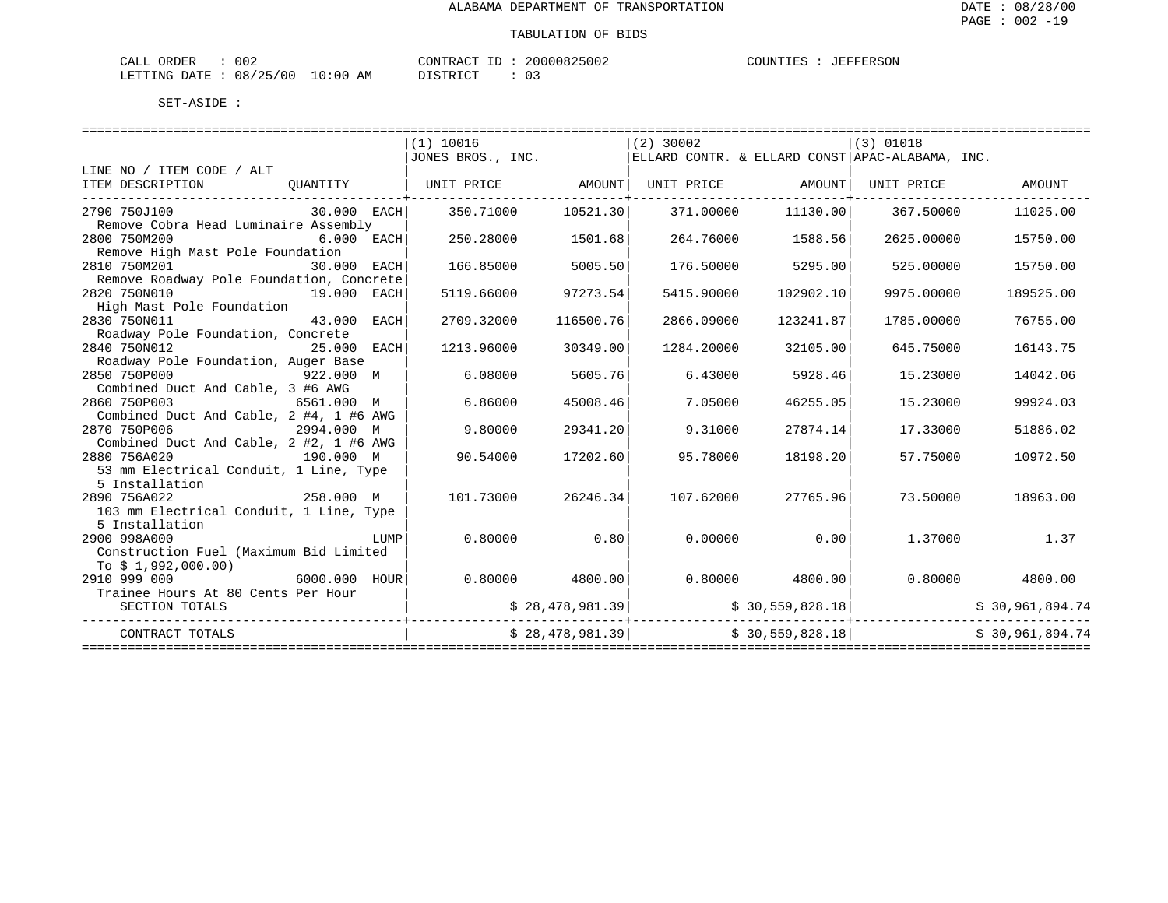| -----<br>ORDER<br>- لىلەت | 002           |                   | CONTT<br>$- -$<br>$\cap$<br>A | 20000825002<br>くつけけん | . $\pi$ TNTT $\Gamma$ $\Gamma$<br>$+EE^{\rm C}$ | TTT.<br>. |
|---------------------------|---------------|-------------------|-------------------------------|----------------------|-------------------------------------------------|-----------|
| LETTING<br>DATE.          | /25/00<br>08/ | ⊥0∶<br>AM<br>____ | $T$ $\cap$ $T$                | ັບ                   |                                                 |           |

|                                                                  |              |      | (1) 10016                                                                             |           | $(2)$ 30002 |                   | $(3)$ 01018                       |                                                                                                               |
|------------------------------------------------------------------|--------------|------|---------------------------------------------------------------------------------------|-----------|-------------|-------------------|-----------------------------------|---------------------------------------------------------------------------------------------------------------|
|                                                                  |              |      | $ J$ ONES BROS., INC. $ ELL$ ARD CONTR. & ELLARD CONST $ APAC - ALABAMA$ , INC.       |           |             |                   |                                   |                                                                                                               |
| LINE NO / ITEM CODE / ALT<br>ITEM DESCRIPTION                    |              |      | QUANTITY   UNIT PRICE             AMOUNT  UNIT PRICE               AMOUNT  UNIT PRICE |           |             |                   |                                   | AMOUNT                                                                                                        |
| $30.000$ EACH<br>2790 750J100                                    |              |      | 350.71000                                                                             | 10521.30  | 371.00000   |                   | 11130.00 367.50000                | 11025.00                                                                                                      |
| Remove Cobra Head Luminaire Assembly                             |              |      |                                                                                       |           |             |                   |                                   |                                                                                                               |
| 2800 750M200                                                     | $6.000$ EACH |      | 250.28000                                                                             | 1501.68   |             | 264.76000 1588.56 | 2625.00000                        | 15750.00                                                                                                      |
| Remove High Mast Pole Foundation                                 |              |      |                                                                                       |           |             |                   |                                   |                                                                                                               |
| 2810 750M201<br>30.000 EACH                                      |              |      | 166.85000                                                                             | 5005.50   | 176.50000   | 5295.00           | 525.00000                         | 15750.00                                                                                                      |
| Remove Roadway Pole Foundation, Concrete                         |              |      |                                                                                       |           |             |                   |                                   |                                                                                                               |
| 2820 750N010<br>19.000 EACH                                      |              |      | 5119.66000                                                                            | 97273.54  | 5415.90000  | 102902.10         | 9975.00000                        | 189525.00                                                                                                     |
| High Mast Pole Foundation<br>2830 750N011                        | 43.000 EACH  |      |                                                                                       |           |             |                   |                                   |                                                                                                               |
|                                                                  |              |      | 2709.32000                                                                            | 116500.76 | 2866.09000  | 123241.87         | 1785.00000                        | 76755.00                                                                                                      |
| Roadway Pole Foundation, Concrete<br>2840 750N012<br>25.000 EACH |              |      | 1213.96000                                                                            | 30349.00  | 1284.20000  | 32105.00          | 645.75000                         | 16143.75                                                                                                      |
| Roadway Pole Foundation, Auger Base                              |              |      |                                                                                       |           |             |                   |                                   |                                                                                                               |
| 2850 750P000<br>$922.000 \quad M$                                |              |      | 6.08000                                                                               | 5605.76   | 6.43000     | 5928.46           | 15.23000                          | 14042.06                                                                                                      |
| Combined Duct And Cable, 3 #6 AWG                                |              |      |                                                                                       |           |             |                   |                                   |                                                                                                               |
| 2860 750P003<br>6561.000 M                                       |              |      | 6.86000                                                                               | 45008.46  | 7.05000     | 46255.05          | 15.23000                          | 99924.03                                                                                                      |
| Combined Duct And Cable, 2 #4, 1 #6 AWG                          |              |      |                                                                                       |           |             |                   |                                   |                                                                                                               |
| 2870 750P006                                                     | 2994.000 M   |      | 9.80000                                                                               | 29341.20  | 9.31000     | 27874.14          | 17.33000                          | 51886.02                                                                                                      |
| Combined Duct And Cable, 2 #2, 1 #6 AWG                          |              |      |                                                                                       |           |             |                   |                                   |                                                                                                               |
| 2880 756A020                                                     | 190.000 M    |      | 90.54000                                                                              | 17202.60  | 95.78000    | 18198.20          | 57.75000                          | 10972.50                                                                                                      |
| 53 mm Electrical Conduit, 1 Line, Type                           |              |      |                                                                                       |           |             |                   |                                   |                                                                                                               |
| 5 Installation                                                   |              |      |                                                                                       |           |             |                   |                                   |                                                                                                               |
| 258.000 M<br>2890 756A022                                        |              |      | 101.73000 26246.34                                                                    |           | 107.62000   | 27765.96          | 73.50000                          | 18963.00                                                                                                      |
| 103 mm Electrical Conduit, 1 Line, Type                          |              |      |                                                                                       |           |             |                   |                                   |                                                                                                               |
| 5 Installation                                                   |              |      |                                                                                       |           |             |                   |                                   |                                                                                                               |
| 2900 998A000                                                     |              | LUMP | $0.80000$ 0.80                                                                        |           |             | $0.00000$ 0.00    |                                   | 1.37000 1.37                                                                                                  |
| Construction Fuel (Maximum Bid Limited                           |              |      |                                                                                       |           |             |                   |                                   |                                                                                                               |
| To \$ 1,992,000.00)                                              |              |      |                                                                                       |           |             |                   |                                   |                                                                                                               |
| $6000.000$ $HOUR$<br>2910 999 000                                |              |      | $0.80000$ 4800.00                                                                     |           |             |                   | $0.80000$ 4800.00 0.80000         | 4800.00                                                                                                       |
| Trainee Hours At 80 Cents Per Hour                               |              |      |                                                                                       |           |             |                   |                                   |                                                                                                               |
| SECTION TOTALS                                                   |              |      |                                                                                       |           |             |                   |                                   | $\frac{1}{2}$ \$ 28,478,981.39 $\left  \begin{array}{ccc} 30,559,828.18 \end{array} \right $ \$ 30,961,894.74 |
| CONTRACT TOTALS                                                  |              |      | $\frac{1}{2}$ 28,478,981.39 $\left  \frac{1}{2} \right $ $\frac{1}{2}$ 30,559,828.18  |           |             |                   | --------------------------------- | \$30,961,894.74                                                                                               |
|                                                                  |              |      |                                                                                       |           |             |                   |                                   |                                                                                                               |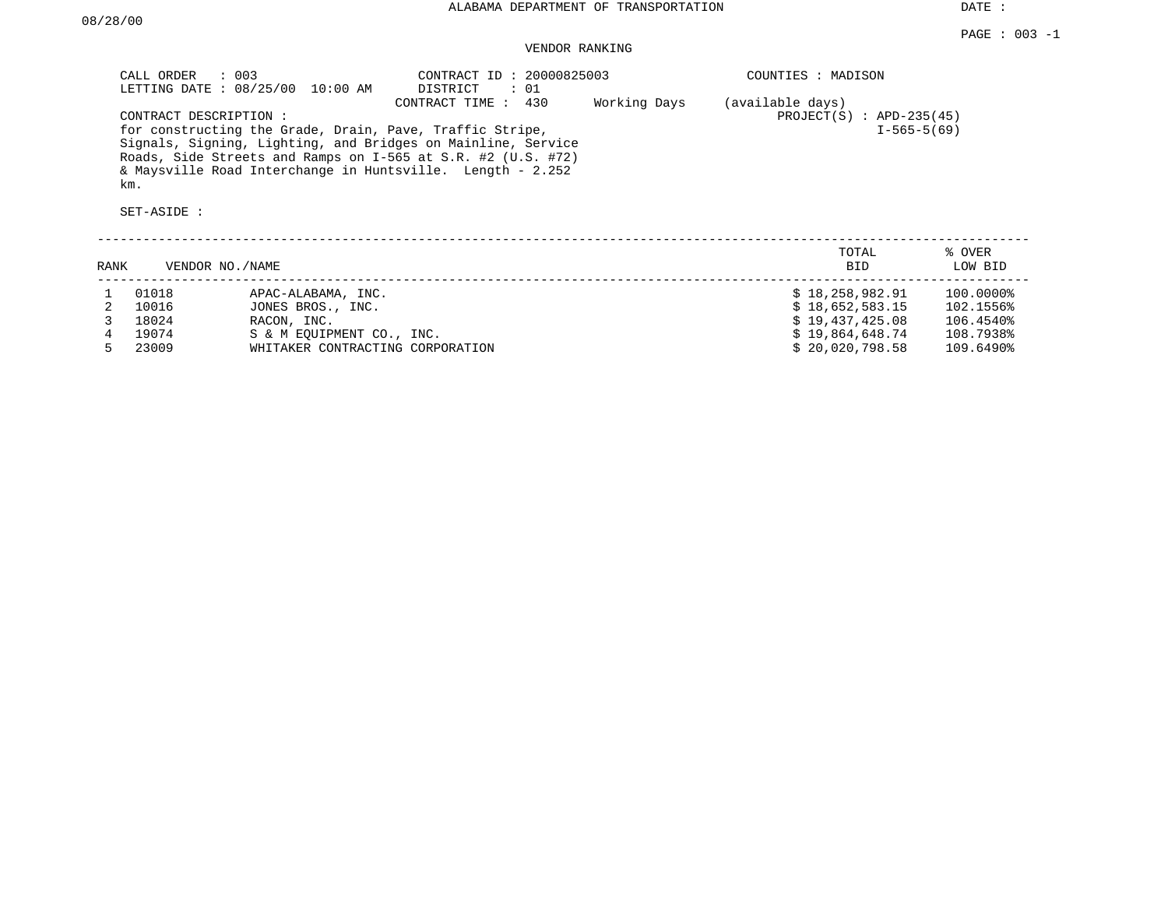DATE :

## VENDOR RANKING

|      | CALL ORDER<br>LETTING DATE: 08/25/00        | : 003<br>10:00 AM                | CONTRACT ID: 20000825003<br>DISTRICT<br>: 01                                                                                                                                                                                                                                  |              | COUNTIES : MADISON                             |                   |  |  |  |
|------|---------------------------------------------|----------------------------------|-------------------------------------------------------------------------------------------------------------------------------------------------------------------------------------------------------------------------------------------------------------------------------|--------------|------------------------------------------------|-------------------|--|--|--|
|      | CONTRACT DESCRIPTION:<br>km.<br>SET-ASIDE : |                                  | CONTRACT TIME : 430<br>for constructing the Grade, Drain, Pave, Traffic Stripe,<br>Signals, Signing, Lighting, and Bridges on Mainline, Service<br>Roads, Side Streets and Ramps on I-565 at S.R. #2 (U.S. #72)<br>& Maysville Road Interchange in Huntsville. Length - 2.252 | Working Days | (available days)<br>$PROJECT(S)$ : APD-235(45) | $I-565-5(69)$     |  |  |  |
| RANK | VENDOR NO./NAME                             |                                  |                                                                                                                                                                                                                                                                               |              | TOTAL<br><b>BID</b>                            | % OVER<br>LOW BID |  |  |  |
|      |                                             |                                  |                                                                                                                                                                                                                                                                               |              |                                                |                   |  |  |  |
|      | 01018                                       | APAC-ALABAMA, INC.               |                                                                                                                                                                                                                                                                               |              | \$18,258,982.91                                | 100.0000%         |  |  |  |
|      | 10016                                       | JONES BROS., INC.                |                                                                                                                                                                                                                                                                               |              | \$18,652,583.15                                | 102.1556%         |  |  |  |
|      | 18024                                       | RACON, INC.                      |                                                                                                                                                                                                                                                                               |              | \$19,437,425.08                                | 106.4540%         |  |  |  |
|      | 19074                                       | S & M EOUIPMENT CO., INC.        |                                                                                                                                                                                                                                                                               |              | \$19,864,648.74                                | 108.7938%         |  |  |  |
|      | 23009                                       | WHITAKER CONTRACTING CORPORATION |                                                                                                                                                                                                                                                                               |              | \$20,020,798.58                                | 109.6490%         |  |  |  |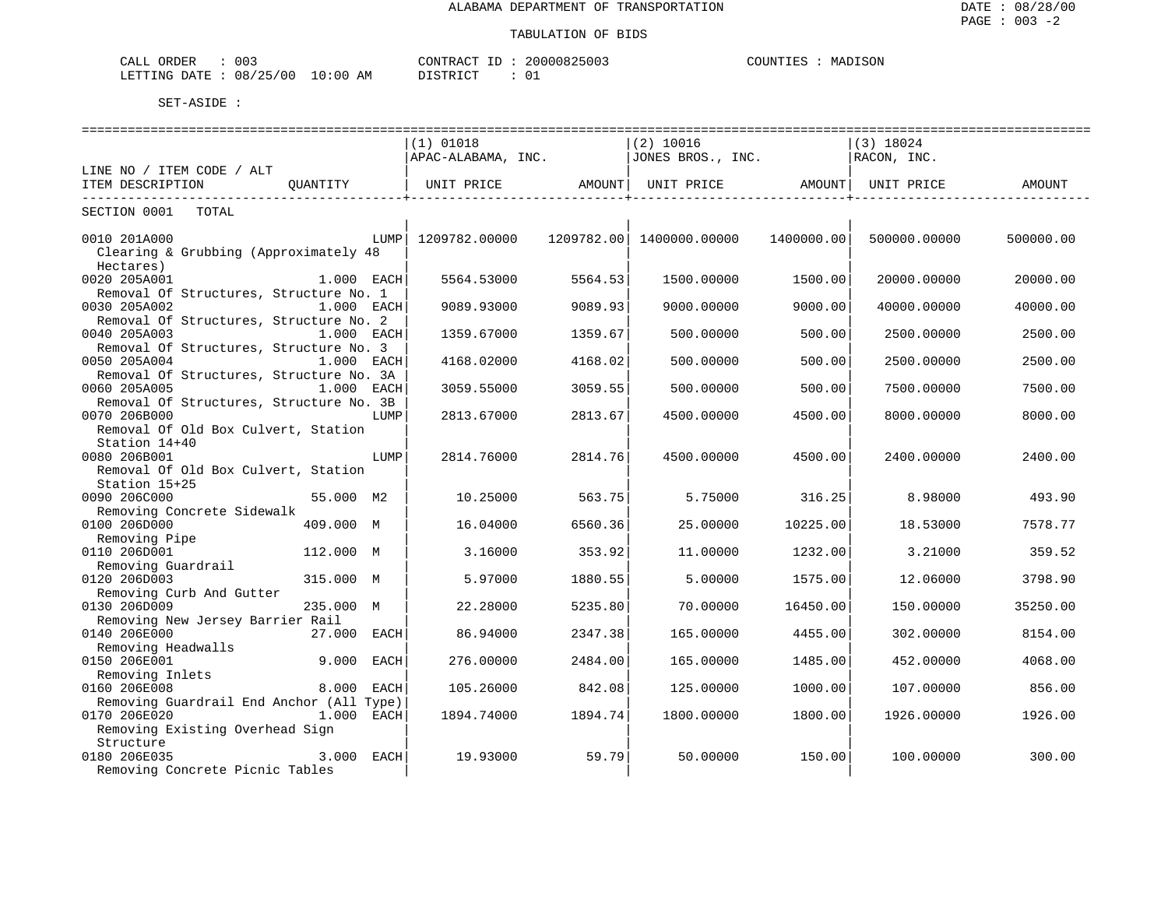| ORDER<br>$\cdot$ $\cap$ $\cdot$<br>' A I<br>UU.<br>للسلطات |                             | חיזור<br>۱۸<br>$\Delta$<br>300 J | SON<br>™™™<br>MA. |
|------------------------------------------------------------|-----------------------------|----------------------------------|-------------------|
| '∩∩<br>$\cdots$<br>ነ∆ ጥፔ<br>mmm<br>NG.<br>U O<br>__        | ΆM<br>∶∪≀<br>$\overline{1}$ | CDD<br>— ∪                       |                   |

|                                                                       | $(1)$ 01018<br>APAC-ALABAMA, INC. |         | $(2)$ 10016<br>JONES BROS., INC. |            | ===========================<br>$(3)$ 18024<br>RACON, INC. |           |
|-----------------------------------------------------------------------|-----------------------------------|---------|----------------------------------|------------|-----------------------------------------------------------|-----------|
| LINE NO / ITEM CODE / ALT<br>OUANTITY<br>ITEM DESCRIPTION             | UNIT PRICE AMOUNT                 |         | UNIT PRICE AMOUNT                |            | UNIT PRICE                                                | AMOUNT    |
| ----------------------------------<br>SECTION 0001 TOTAL              | ----------------------------      |         |                                  |            |                                                           |           |
| 0010 201A000<br>Clearing & Grubbing (Approximately 48<br>Hectares)    | LUMP   1209782.00000              |         | 1209782.00  1400000.00000        | 1400000.00 | 500000.00000                                              | 500000.00 |
| 0020 205A001<br>$1.000$ EACH                                          | 5564.53000                        | 5564.53 | 1500.00000                       | 1500.00    | 20000.00000                                               | 20000.00  |
| Removal Of Structures, Structure No. 1                                |                                   |         |                                  |            |                                                           |           |
| 0030 205A002<br>1.000 EACH                                            | 9089.93000                        | 9089.93 | 9000.00000                       | 9000.00    | 40000.00000                                               | 40000.00  |
| Removal Of Structures, Structure No. 2                                |                                   |         |                                  |            |                                                           |           |
| 0040 205A003<br>$1.000$ EACH                                          | 1359.67000                        | 1359.67 | 500.00000                        | 500.00     | 2500.00000                                                | 2500.00   |
| Removal Of Structures, Structure No. 3                                |                                   |         |                                  |            |                                                           |           |
| 0050 205A004<br>1.000 EACH                                            | 4168.02000                        | 4168.02 | 500,00000                        | 500.00     | 2500.00000                                                | 2500.00   |
| Removal Of Structures, Structure No. 3A<br>0060 205A005<br>1.000 EACH | 3059.55000                        | 3059.55 | 500.00000                        | 500.00     | 7500.00000                                                | 7500.00   |
| Removal Of Structures, Structure No. 3B                               |                                   |         |                                  |            |                                                           |           |
| 0070 206B000<br>LUMP                                                  | 2813.67000                        | 2813.67 | 4500.00000                       | 4500.00    | 8000.00000                                                | 8000.00   |
| Removal Of Old Box Culvert, Station                                   |                                   |         |                                  |            |                                                           |           |
| Station 14+40                                                         |                                   |         |                                  |            |                                                           |           |
| 0080 206B001<br>LUMP                                                  | 2814.76000                        | 2814.76 | 4500.00000                       | 4500.00    | 2400.00000                                                | 2400.00   |
| Removal Of Old Box Culvert, Station                                   |                                   |         |                                  |            |                                                           |           |
| Station 15+25                                                         |                                   |         |                                  |            |                                                           |           |
| 0090 206C000<br>55.000 M2                                             | 10.25000                          | 563.75  | 5.75000                          | 316.25     | 8.98000                                                   | 493.90    |
| Removing Concrete Sidewalk                                            |                                   |         |                                  |            |                                                           |           |
| 0100 206D000<br>409.000 M                                             | 16.04000                          | 6560.36 | 25.00000                         | 10225.00   | 18.53000                                                  | 7578.77   |
| Removing Pipe                                                         |                                   |         |                                  |            |                                                           |           |
| 0110 206D001<br>112.000 M<br>Removing Guardrail                       | 3.16000                           | 353.92  | 11,00000                         | 1232.00    | 3.21000                                                   | 359.52    |
| 0120 206D003<br>315.000 M                                             | 5.97000                           | 1880.55 | 5.00000                          | 1575.00    | 12.06000                                                  | 3798.90   |
| Removing Curb And Gutter                                              |                                   |         |                                  |            |                                                           |           |
| 0130 206D009<br>235.000 M                                             | 22.28000                          | 5235.80 | 70.00000                         | 16450.00   | 150.00000                                                 | 35250.00  |
| Removing New Jersey Barrier Rail                                      |                                   |         |                                  |            |                                                           |           |
| 0140 206E000<br>27.000 EACH                                           | 86.94000                          | 2347.38 | 165.00000                        | 4455.00    | 302.00000                                                 | 8154.00   |
| Removing Headwalls                                                    |                                   |         |                                  |            |                                                           |           |
| 0150 206E001<br>9.000 EACH                                            | 276.00000                         | 2484.00 | 165,00000                        | 1485.00    | 452.00000                                                 | 4068.00   |
| Removing Inlets                                                       |                                   |         |                                  |            |                                                           |           |
| 0160 206E008<br>8.000 EACH                                            | 105.26000                         | 842.08  | 125.00000                        | 1000.00    | 107.00000                                                 | 856.00    |
| Removing Guardrail End Anchor (All Type)                              |                                   |         |                                  |            |                                                           |           |
| $1.000$ EACH<br>0170 206E020                                          | 1894.74000                        | 1894.74 | 1800.00000                       | 1800.00    | 1926.00000                                                | 1926.00   |
| Removing Existing Overhead Sign<br>Structure                          |                                   |         |                                  |            |                                                           |           |
| 3.000 EACH<br>0180 206E035                                            | 19,93000                          | 59.79   | 50.00000                         | 150.00     | 100,00000                                                 | 300.00    |
| Removing Concrete Picnic Tables                                       |                                   |         |                                  |            |                                                           |           |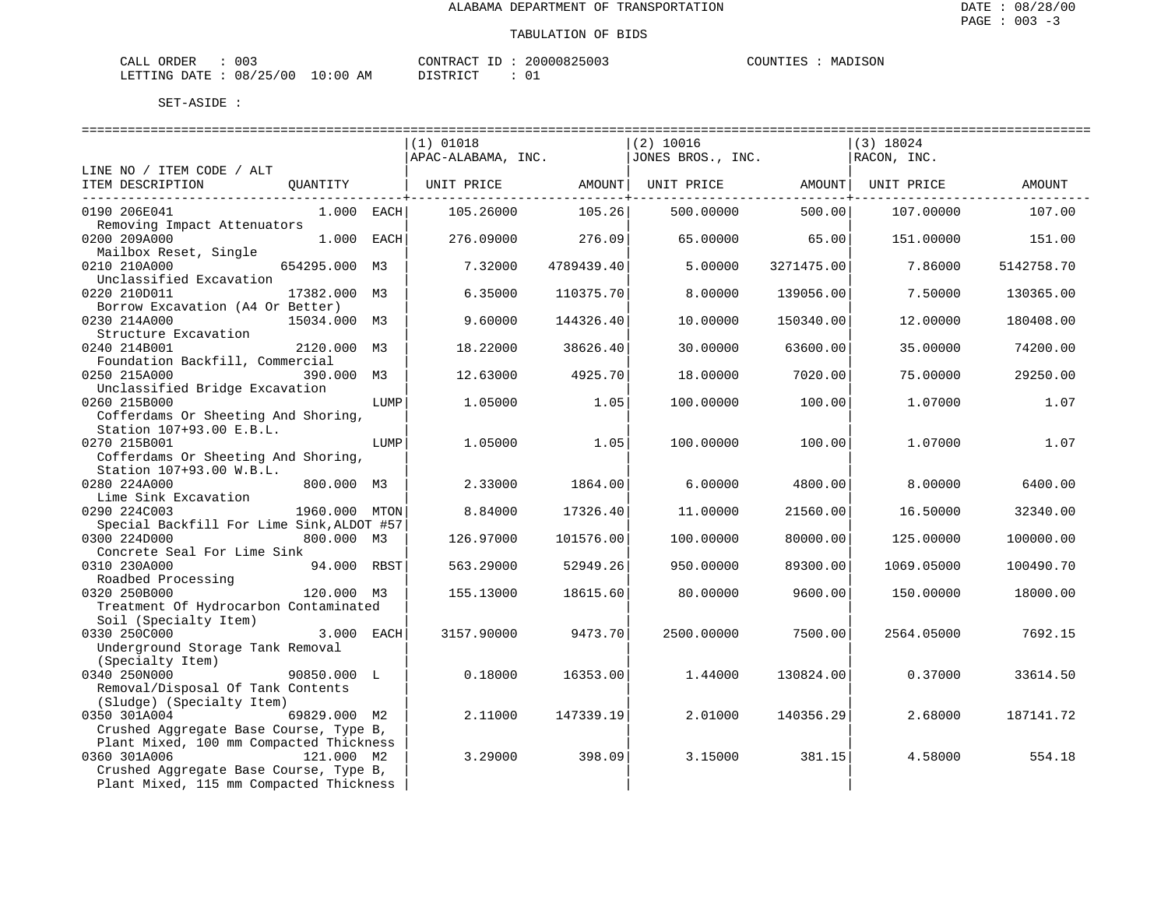| ORDER<br>CALL (                  | 003 | CONTRACT | ID | 20000825003 | COUNTIES | MADISON |
|----------------------------------|-----|----------|----|-------------|----------|---------|
| LETTING DATE : 08/25/00 10:00 AM |     | DISTRICT |    |             |          |         |

|                                                                                   |               |      | $(1)$ 01018                    |                     | (2) 10016         |                             | $(3)$ 18024 |            |
|-----------------------------------------------------------------------------------|---------------|------|--------------------------------|---------------------|-------------------|-----------------------------|-------------|------------|
|                                                                                   |               |      | APAC-ALABAMA, INC.             |                     | JONES BROS., INC. |                             | RACON, INC. |            |
| LINE NO / ITEM CODE / ALT                                                         |               |      |                                |                     |                   |                             |             |            |
| ITEM DESCRIPTION                                                                  | QUANTITY      |      | UNIT PRICE AMOUNT   UNIT PRICE | -------------+----- |                   | AMOUNT<br>--------------+-- | UNIT PRICE  | AMOUNT     |
| 0190 206E041                                                                      | $1.000$ EACH  |      | 105.26000                      | 105.26              | 500.00000         | 500.00                      | 107.00000   | 107.00     |
| Removing Impact Attenuators                                                       |               |      |                                |                     |                   |                             |             |            |
| 0200 209A000                                                                      | 1.000 EACH    |      | 276.09000                      | 276.09              | 65.00000          | 65.00                       | 151.00000   | 151.00     |
| Mailbox Reset, Single                                                             |               |      |                                |                     |                   |                             |             |            |
| 0210 210A000                                                                      | 654295.000 M3 |      | 7.32000                        | 4789439.40          | 5.00000           | 3271475.00                  | 7.86000     | 5142758.70 |
| Unclassified Excavation<br>0220 210D011                                           | 17382.000 M3  |      | 6.35000                        | 110375.70           | 8,00000           | 139056.00                   | 7.50000     | 130365.00  |
| Borrow Excavation (A4 Or Better)                                                  |               |      |                                |                     |                   |                             |             |            |
| 0230 214A000                                                                      | 15034.000 M3  |      | 9.60000                        | 144326.40           | 10.00000          | 150340.00                   | 12,00000    | 180408.00  |
| Structure Excavation                                                              |               |      |                                |                     |                   |                             |             |            |
| 0240 214B001                                                                      | 2120.000 M3   |      | 18,22000                       | 38626.40            | 30.00000          | 63600.00                    | 35.00000    | 74200.00   |
| Foundation Backfill, Commercial                                                   |               |      |                                |                     |                   |                             |             |            |
| 0250 215A000                                                                      | 390.000       | М3   | 12.63000                       | 4925.70             | 18.00000          | 7020.00                     | 75.00000    | 29250.00   |
| Unclassified Bridge Excavation                                                    |               |      |                                |                     |                   |                             |             |            |
| 0260 215B000                                                                      |               | LUMP | 1.05000                        | 1.05                | 100.00000         | 100.00                      | 1.07000     | 1.07       |
| Cofferdams Or Sheeting And Shoring,                                               |               |      |                                |                     |                   |                             |             |            |
| Station 107+93.00 E.B.L.                                                          |               |      |                                |                     |                   |                             |             |            |
| 0270 215B001                                                                      |               | LUMP | 1.05000                        | 1.05                | 100.00000         | 100.00                      | 1.07000     | 1.07       |
| Cofferdams Or Sheeting And Shoring,                                               |               |      |                                |                     |                   |                             |             |            |
| Station 107+93.00 W.B.L.<br>0280 224A000                                          | 800.000 M3    |      | 2.33000                        | 1864.00             | 6.00000           | 4800.00                     | 8.00000     | 6400.00    |
| Lime Sink Excavation                                                              |               |      |                                |                     |                   |                             |             |            |
| 0290 224C003                                                                      | 1960.000 MTON |      | 8.84000                        | 17326.40            | 11.00000          | 21560.00                    | 16.50000    | 32340.00   |
| Special Backfill For Lime Sink, ALDOT #57                                         |               |      |                                |                     |                   |                             |             |            |
| 0300 224D000                                                                      | 800.000 M3    |      | 126.97000                      | 101576.00           | 100.00000         | 80000.00                    | 125.00000   | 100000.00  |
| Concrete Seal For Lime Sink                                                       |               |      |                                |                     |                   |                             |             |            |
| 0310 230A000                                                                      | 94.000 RBST   |      | 563.29000                      | 52949.26            | 950.00000         | 89300.00                    | 1069.05000  | 100490.70  |
| Roadbed Processing                                                                |               |      |                                |                     |                   |                             |             |            |
| 0320 250B000                                                                      | 120.000 M3    |      | 155.13000                      | 18615.60            | 80.00000          | 9600.00                     | 150.00000   | 18000.00   |
| Treatment Of Hydrocarbon Contaminated                                             |               |      |                                |                     |                   |                             |             |            |
| Soil (Specialty Item)                                                             |               |      |                                |                     |                   |                             |             |            |
| 0330 250C000                                                                      | 3.000 EACH    |      | 3157.90000                     | 9473.70             | 2500.00000        | 7500.00                     | 2564.05000  | 7692.15    |
| Underground Storage Tank Removal                                                  |               |      |                                |                     |                   |                             |             |            |
| (Specialty Item)                                                                  |               |      |                                |                     |                   |                             |             |            |
| 0340 250N000                                                                      | 90850.000 L   |      | 0.18000                        | 16353.00            | 1,44000           | 130824.00                   | 0.37000     | 33614.50   |
| Removal/Disposal Of Tank Contents                                                 |               |      |                                |                     |                   |                             |             |            |
| (Sludge) (Specialty Item)                                                         |               |      |                                |                     |                   |                             |             |            |
| 0350 301A004                                                                      | 69829.000 M2  |      | 2.11000                        | 147339.19           | 2.01000           | 140356.29                   | 2.68000     | 187141.72  |
| Crushed Aggregate Base Course, Type B,<br>Plant Mixed, 100 mm Compacted Thickness |               |      |                                |                     |                   |                             |             |            |
| 0360 301A006                                                                      | 121.000 M2    |      | 3.29000                        | 398.09              | 3.15000           | 381.15                      | 4.58000     | 554.18     |
| Crushed Aggregate Base Course, Type B,                                            |               |      |                                |                     |                   |                             |             |            |
| Plant Mixed, 115 mm Compacted Thickness                                           |               |      |                                |                     |                   |                             |             |            |
|                                                                                   |               |      |                                |                     |                   |                             |             |            |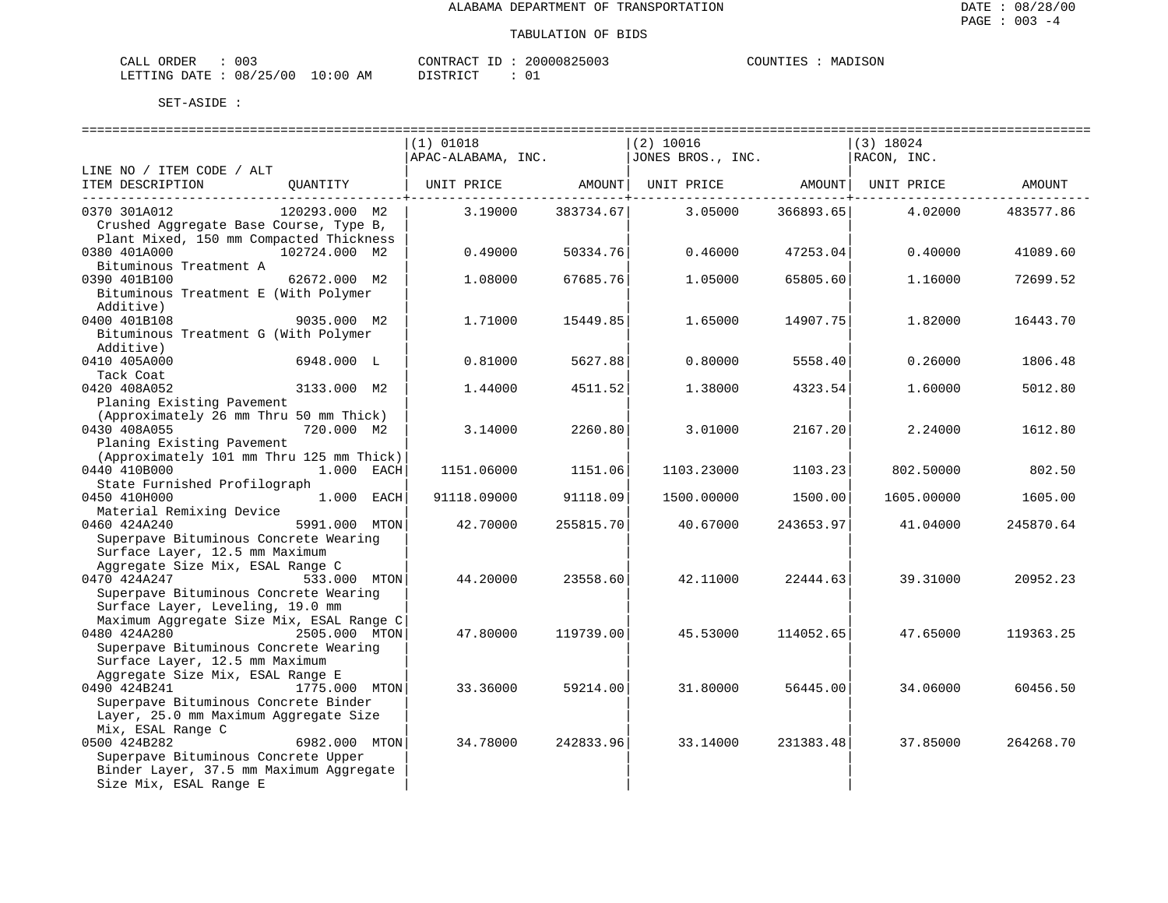| ORDER<br>CALI | ົ່<br>UU3 |               | CONTRACT   | TГ | 20000825003 | COUNTIES | MADISON |
|---------------|-----------|---------------|------------|----|-------------|----------|---------|
| LETTING DATE  | 08/25/00  | LO : 00<br>ΑM | DI STR TOT |    |             |          |         |

|                                                                                                                                                                                      | $(1)$ 01018        |                                        | $(2)$ 10016                                        |                                        | $(3)$ 18024 |           |
|--------------------------------------------------------------------------------------------------------------------------------------------------------------------------------------|--------------------|----------------------------------------|----------------------------------------------------|----------------------------------------|-------------|-----------|
|                                                                                                                                                                                      | APAC-ALABAMA, INC. |                                        | JONES BROS., INC.                                  |                                        | RACON, INC. |           |
| LINE NO / ITEM CODE / ALT                                                                                                                                                            |                    |                                        |                                                    |                                        |             |           |
| ITEM DESCRIPTION<br>QUANTITY                                                                                                                                                         |                    |                                        | UNIT PRICE AMOUNT   UNIT PRICE AMOUNT   UNIT PRICE |                                        |             | AMOUNT    |
| 120293.000 M2<br>0370 301A012<br>Crushed Aggregate Base Course, Type B,                                                                                                              | 3.19000            | . - - - - - - - - - + - -<br>383734.67 | 3.05000                                            | . - - - - - - - - - - - +<br>366893.65 | 4.02000     | 483577.86 |
| Plant Mixed, 150 mm Compacted Thickness<br>0380 401A000<br>102724.000 M2                                                                                                             | 0.49000            | 50334.76                               | 0.46000                                            | 47253.04                               | 0.40000     | 41089.60  |
| Bituminous Treatment A<br>0390 401B100<br>62672.000 M2<br>Bituminous Treatment E (With Polymer                                                                                       | 1.08000            | 67685.76                               | 1.05000                                            | 65805.60                               | 1.16000     | 72699.52  |
| Additive)<br>0400 401B108<br>9035.000 M2<br>Bituminous Treatment G (With Polymer                                                                                                     | 1.71000            | 15449.85                               | 1.65000                                            | 14907.75                               | 1.82000     | 16443.70  |
| Additive)<br>0410 405A000<br>6948.000 L<br>Tack Coat                                                                                                                                 | 0.81000            | 5627.88                                | 0.80000                                            | 5558.40                                | 0.26000     | 1806.48   |
| 0420 408A052<br>3133.000 M2<br>Planing Existing Pavement                                                                                                                             | 1.44000            | 4511.52                                | 1,38000                                            | 4323.54                                | 1.60000     | 5012.80   |
| (Approximately 26 mm Thru 50 mm Thick)<br>0430 408A055<br>720.000 M2<br>Planing Existing Pavement                                                                                    | 3.14000            | 2260.80                                | 3.01000                                            | 2167.20                                | 2.24000     | 1612.80   |
| (Approximately 101 mm Thru 125 mm Thick)<br>0440 410B000<br>1.000 EACH<br>State Furnished Profilograph                                                                               | 1151.06000         | 1151.06                                | 1103.23000                                         | 1103.23                                | 802.50000   | 802.50    |
| 1.000 EACH<br>0450 410H000<br>Material Remixing Device                                                                                                                               | 91118.09000        | 91118.09                               | 1500.00000                                         | 1500.00                                | 1605.00000  | 1605.00   |
| 0460 424A240<br>5991.000 MTON<br>Superpave Bituminous Concrete Wearing<br>Surface Layer, 12.5 mm Maximum                                                                             | 42.70000           | 255815.70                              | 40.67000                                           | 243653.97                              | 41.04000    | 245870.64 |
| Aggregate Size Mix, ESAL Range C<br>0470 424A247<br>533.000 MTON<br>Superpave Bituminous Concrete Wearing                                                                            | 44.20000           | 23558.60                               | 42.11000                                           | 22444.63                               | 39.31000    | 20952.23  |
| Surface Layer, Leveling, 19.0 mm<br>Maximum Aggregate Size Mix, ESAL Range C<br>0480 424A280<br>2505.000 MTON<br>Superpave Bituminous Concrete Wearing                               | 47.80000           | 119739.00                              | 45.53000                                           | 114052.65                              | 47.65000    | 119363.25 |
| Surface Layer, 12.5 mm Maximum<br>Aggregate Size Mix, ESAL Range E<br>0490 424B241<br>1775.000 MTON<br>Superpave Bituminous Concrete Binder<br>Layer, 25.0 mm Maximum Aggregate Size | 33.36000           | 59214.00                               | 31.80000                                           | 56445.00                               | 34.06000    | 60456.50  |
| Mix, ESAL Range C<br>0500 424B282<br>6982.000 MTON<br>Superpave Bituminous Concrete Upper<br>Binder Layer, 37.5 mm Maximum Aggregate<br>Size Mix, ESAL Range E                       | 34.78000           | 242833.96                              | 33.14000                                           | 231383.48                              | 37.85000    | 264268.70 |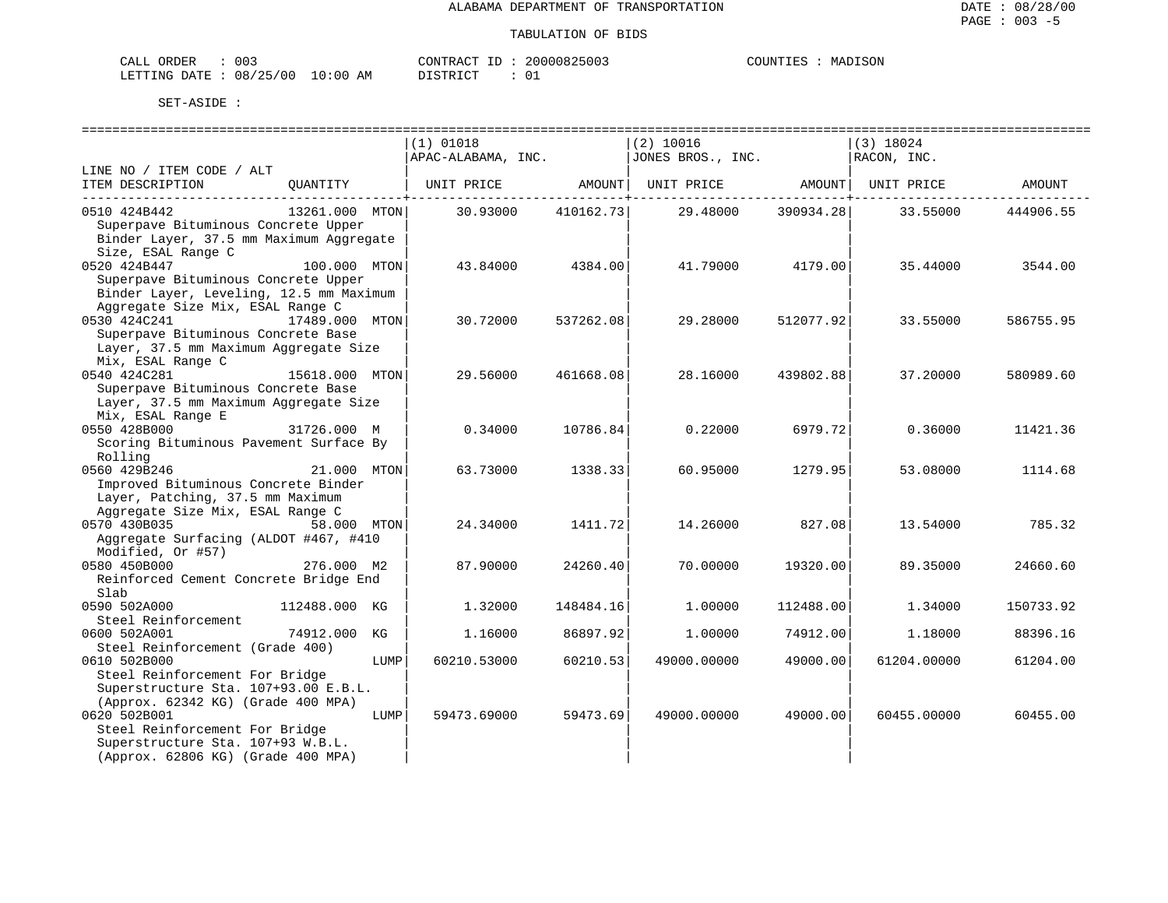| ORDER<br>CALI | ົ່<br>UU3 |               | CONTRACT   | TГ | 20000825003 | COUNTIES | MADISON |
|---------------|-----------|---------------|------------|----|-------------|----------|---------|
| LETTING DATE  | 08/25/00  | LO : 00<br>ΑM | DI STR TOT |    |             |          |         |

|                                                   |                |      | $(1)$ 01018<br>$APAC-ALABAMA$ , INC. $JONES BROS.$ , INC. |           | $(2)$ 10016 |           | (3) 18024<br>RACON, INC.     |           |
|---------------------------------------------------|----------------|------|-----------------------------------------------------------|-----------|-------------|-----------|------------------------------|-----------|
| LINE NO / ITEM CODE / ALT                         |                |      |                                                           |           |             |           |                              |           |
| ITEM DESCRIPTION QUANTITY                         |                |      | UNIT PRICE AMOUNT                                         |           |             |           | UNIT PRICE AMOUNT UNIT PRICE | AMOUNT    |
| 0510 424B442                                      | 13261.000 MTON |      | 30.93000                                                  | 410162.73 | 29.48000    | 390934.28 | 33.55000                     | 444906.55 |
| Superpave Bituminous Concrete Upper               |                |      |                                                           |           |             |           |                              |           |
| Binder Layer, 37.5 mm Maximum Aggregate           |                |      |                                                           |           |             |           |                              |           |
| Size, ESAL Range C                                |                |      |                                                           |           |             |           |                              |           |
| 0520 424B447                                      | 100.000 MTON   |      | 43.84000                                                  | 4384.00   | 41.79000    | 4179.00   | 35.44000                     | 3544.00   |
| Superpave Bituminous Concrete Upper               |                |      |                                                           |           |             |           |                              |           |
| Binder Layer, Leveling, 12.5 mm Maximum           |                |      |                                                           |           |             |           |                              |           |
| Aggregate Size Mix, ESAL Range C                  |                |      |                                                           |           |             |           |                              |           |
| 0530 424C241                                      | 17489.000 MTON |      | 30.72000                                                  | 537262.08 | 29.28000    | 512077.92 | 33.55000                     | 586755.95 |
| Superpave Bituminous Concrete Base                |                |      |                                                           |           |             |           |                              |           |
| Layer, 37.5 mm Maximum Aggregate Size             |                |      |                                                           |           |             |           |                              |           |
| Mix, ESAL Range C                                 |                |      |                                                           |           |             |           |                              |           |
| 0540 424C281                                      | 15618.000 MTON |      | 29.56000                                                  | 461668.08 | 28.16000    | 439802.88 | 37.20000                     | 580989.60 |
| Superpave Bituminous Concrete Base                |                |      |                                                           |           |             |           |                              |           |
| Layer, 37.5 mm Maximum Aggregate Size             |                |      |                                                           |           |             |           |                              |           |
| Mix, ESAL Range E                                 |                |      |                                                           |           |             |           |                              |           |
| 0550 428B000                                      | 31726.000 M    |      | 0.34000                                                   | 10786.84  | 0.22000     | 6979.72   | 0.36000                      | 11421.36  |
| Scoring Bituminous Pavement Surface By<br>Rolling |                |      |                                                           |           |             |           |                              |           |
| 0560 429B246                                      | 21.000 MTON    |      | 63.73000                                                  | 1338.33   | 60.95000    | 1279.95   | 53.08000                     | 1114.68   |
| Improved Bituminous Concrete Binder               |                |      |                                                           |           |             |           |                              |           |
| Layer, Patching, 37.5 mm Maximum                  |                |      |                                                           |           |             |           |                              |           |
| Aggregate Size Mix, ESAL Range C                  |                |      |                                                           |           |             |           |                              |           |
| 0570 430B035                                      | 58.000 MTON    |      | 24.34000                                                  | 1411.72   | 14.26000    | 827.08    | 13.54000                     | 785.32    |
| Aggregate Surfacing (ALDOT #467, #410             |                |      |                                                           |           |             |           |                              |           |
| Modified, Or #57)                                 |                |      |                                                           |           |             |           |                              |           |
| 0580 450B000                                      | 276.000 M2     |      | 87.90000                                                  | 24260.40  | 70.00000    | 19320.00  | 89.35000                     | 24660.60  |
| Reinforced Cement Concrete Bridge End             |                |      |                                                           |           |             |           |                              |           |
| Slab                                              |                |      |                                                           |           |             |           |                              |           |
| 0590 502A000                                      | 112488.000 KG  |      | 1.32000                                                   | 148484.16 | 1,00000     | 112488.00 | 1.34000                      | 150733.92 |
| Steel Reinforcement                               |                |      |                                                           |           |             |           |                              |           |
| 0600 502A001                                      | 74912.000 KG   |      | 1.16000                                                   | 86897.92  | 1.00000     | 74912.00  | 1.18000                      | 88396.16  |
| Steel Reinforcement (Grade 400)                   |                |      |                                                           |           |             |           |                              |           |
| 0610 502B000                                      |                | LUMP | 60210.53000                                               | 60210.53  | 49000.00000 | 49000.00  | 61204.00000                  | 61204.00  |
| Steel Reinforcement For Bridge                    |                |      |                                                           |           |             |           |                              |           |
| Superstructure Sta. 107+93.00 E.B.L.              |                |      |                                                           |           |             |           |                              |           |
| (Approx. 62342 KG) (Grade 400 MPA)                |                |      |                                                           |           |             |           |                              |           |
| 0620 502B001                                      |                | LUMP | 59473.69000                                               | 59473.69  | 49000.00000 | 49000.00  | 60455.00000                  | 60455.00  |
| Steel Reinforcement For Bridge                    |                |      |                                                           |           |             |           |                              |           |
| Superstructure Sta. 107+93 W.B.L.                 |                |      |                                                           |           |             |           |                              |           |
| (Approx. 62806 KG) (Grade 400 MPA)                |                |      |                                                           |           |             |           |                              |           |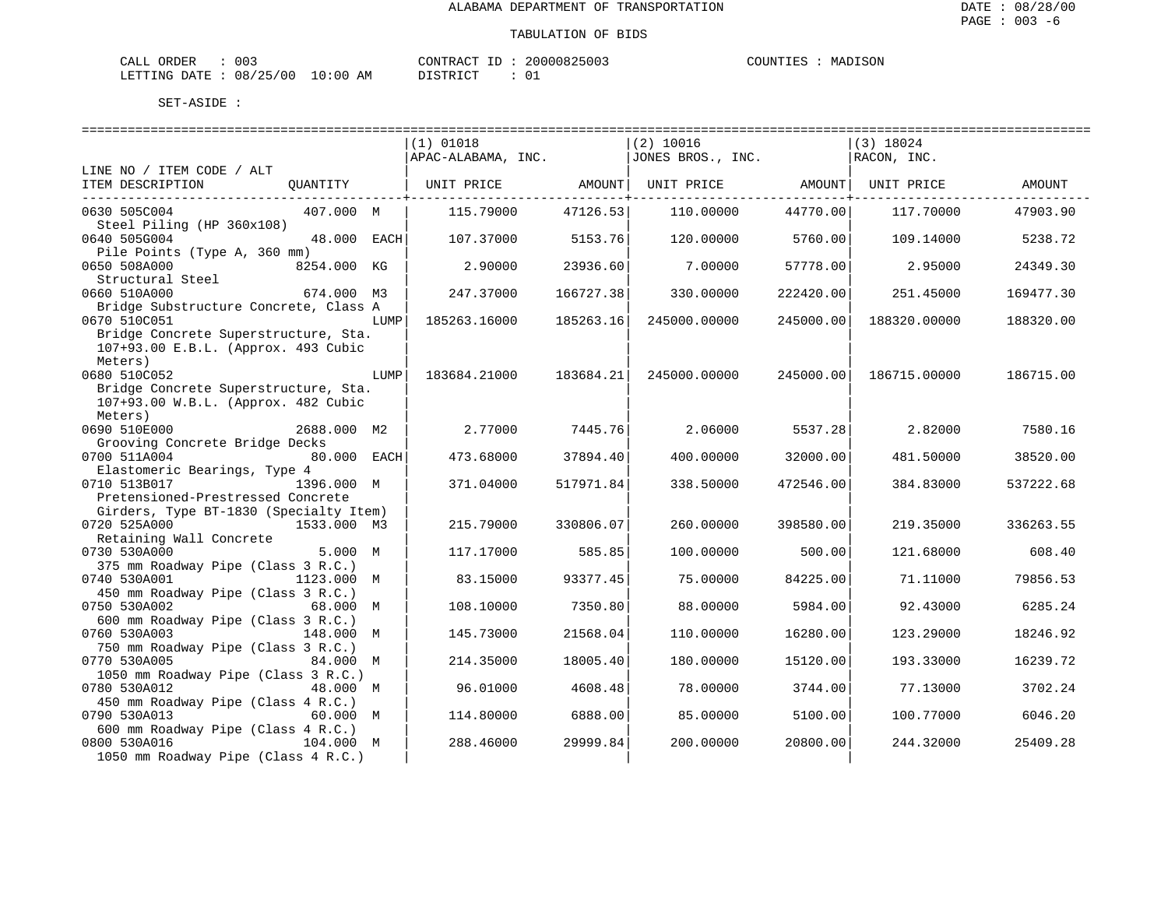| ORDER<br>CALI | ົ່<br>UU3 |               | CONTRACT   | TГ | 20000825003 | COUNTIES | MADISON |
|---------------|-----------|---------------|------------|----|-------------|----------|---------|
| LETTING DATE  | 08/25/00  | LO : 00<br>ΑM | DI STR TOT |    |             |          |         |

|                                                    |             |      | $(1)$ 01018        |           | $(2)$ 10016       |           | $(3)$ 18024  |           |
|----------------------------------------------------|-------------|------|--------------------|-----------|-------------------|-----------|--------------|-----------|
|                                                    |             |      | APAC-ALABAMA, INC. |           | JONES BROS., INC. |           | RACON, INC.  |           |
| LINE NO / ITEM CODE / ALT                          |             |      |                    |           |                   |           |              |           |
| ITEM DESCRIPTION                                   | QUANTITY    |      | UNIT PRICE         | AMOUNT    | UNIT PRICE        | AMOUNT    | UNIT PRICE   | AMOUNT    |
| 0630 505C004                                       | 407.000 M   |      | 115.79000          | 47126.53  | 110,00000         | 44770.00  | 117.70000    | 47903.90  |
| Steel Piling (HP 360x108)                          |             |      |                    |           |                   |           |              |           |
| 0640 505G004                                       | 48.000 EACH |      | 107.37000          | 5153.76   | 120.00000         | 5760.00   | 109.14000    | 5238.72   |
| Pile Points (Type A, 360 mm)<br>0650 508A000       | 8254.000 KG |      | 2.90000            | 23936.60  | 7.00000           | 57778.00  | 2.95000      | 24349.30  |
| Structural Steel                                   |             |      |                    |           |                   |           |              |           |
| 0660 510A000                                       | 674.000 M3  |      | 247.37000          | 166727.38 | 330.00000         | 222420.00 | 251.45000    | 169477.30 |
| Bridge Substructure Concrete, Class A              |             |      |                    |           |                   |           |              |           |
| 0670 510C051                                       |             | LUMP | 185263.16000       | 185263.16 | 245000.00000      | 245000.00 | 188320.00000 | 188320.00 |
| Bridge Concrete Superstructure, Sta.               |             |      |                    |           |                   |           |              |           |
| 107+93.00 E.B.L. (Approx. 493 Cubic                |             |      |                    |           |                   |           |              |           |
| Meters)                                            |             |      |                    |           |                   |           |              |           |
| 0680 510C052                                       |             | LUMP | 183684.21000       | 183684.21 | 245000.00000      | 245000.00 | 186715.00000 | 186715.00 |
| Bridge Concrete Superstructure, Sta.               |             |      |                    |           |                   |           |              |           |
| 107+93.00 W.B.L. (Approx. 482 Cubic<br>Meters)     |             |      |                    |           |                   |           |              |           |
| 0690 510E000                                       | 2688.000 M2 |      | 2.77000            | 7445.76   | 2.06000           | 5537.28   | 2.82000      | 7580.16   |
| Grooving Concrete Bridge Decks                     |             |      |                    |           |                   |           |              |           |
| 0700 511A004                                       | 80.000 EACH |      | 473.68000          | 37894.40  | 400.00000         | 32000.00  | 481.50000    | 38520.00  |
| Elastomeric Bearings, Type 4                       |             |      |                    |           |                   |           |              |           |
| 0710 513B017                                       | 1396.000 M  |      | 371.04000          | 517971.84 | 338.50000         | 472546.00 | 384.83000    | 537222.68 |
| Pretensioned-Prestressed Concrete                  |             |      |                    |           |                   |           |              |           |
| Girders, Type BT-1830 (Specialty Item)             |             |      |                    |           |                   |           |              |           |
| 0720 525A000                                       | 1533.000 M3 |      | 215.79000          | 330806.07 | 260.00000         | 398580.00 | 219.35000    | 336263.55 |
| Retaining Wall Concrete                            |             |      |                    |           |                   |           |              |           |
| 0730 530A000                                       | 5.000 M     |      | 117.17000          | 585.85    | 100.00000         | 500.00    | 121.68000    | 608.40    |
| 375 mm Roadway Pipe (Class 3 R.C.)                 |             |      |                    |           |                   |           |              |           |
| 0740 530A001<br>450 mm Roadway Pipe (Class 3 R.C.) | 1123.000 M  |      | 83.15000           | 93377.45  | 75.00000          | 84225.00  | 71.11000     | 79856.53  |
| 0750 530A002                                       | 68.000 M    |      | 108,10000          | 7350.80   | 88,00000          | 5984.00   | 92.43000     | 6285.24   |
| 600 mm Roadway Pipe (Class 3 R.C.)                 |             |      |                    |           |                   |           |              |           |
| 0760 530A003                                       | 148.000 M   |      | 145.73000          | 21568.04  | 110.00000         | 16280.00  | 123.29000    | 18246.92  |
| 750 mm Roadway Pipe (Class 3 R.C.)                 |             |      |                    |           |                   |           |              |           |
| 0770 530A005                                       | 84.000 M    |      | 214.35000          | 18005.40  | 180.00000         | 15120.00  | 193.33000    | 16239.72  |
| 1050 mm Roadway Pipe (Class 3 R.C.)                |             |      |                    |           |                   |           |              |           |
| 0780 530A012                                       | 48.000 M    |      | 96.01000           | 4608.48   | 78.00000          | 3744.00   | 77.13000     | 3702.24   |
| 450 mm Roadway Pipe (Class 4 R.C.)                 |             |      |                    |           |                   |           |              |           |
| 0790 530A013                                       | 60.000 M    |      | 114.80000          | 6888.00   | 85.00000          | 5100.00   | 100.77000    | 6046.20   |
| 600 mm Roadway Pipe (Class 4 R.C.)                 |             |      |                    |           |                   |           |              |           |
| 0800 530A016                                       | 104.000 M   |      | 288.46000          | 29999.84  | 200.00000         | 20800.00  | 244.32000    | 25409.28  |
| 1050 mm Roadway Pipe (Class 4 R.C.)                |             |      |                    |           |                   |           |              |           |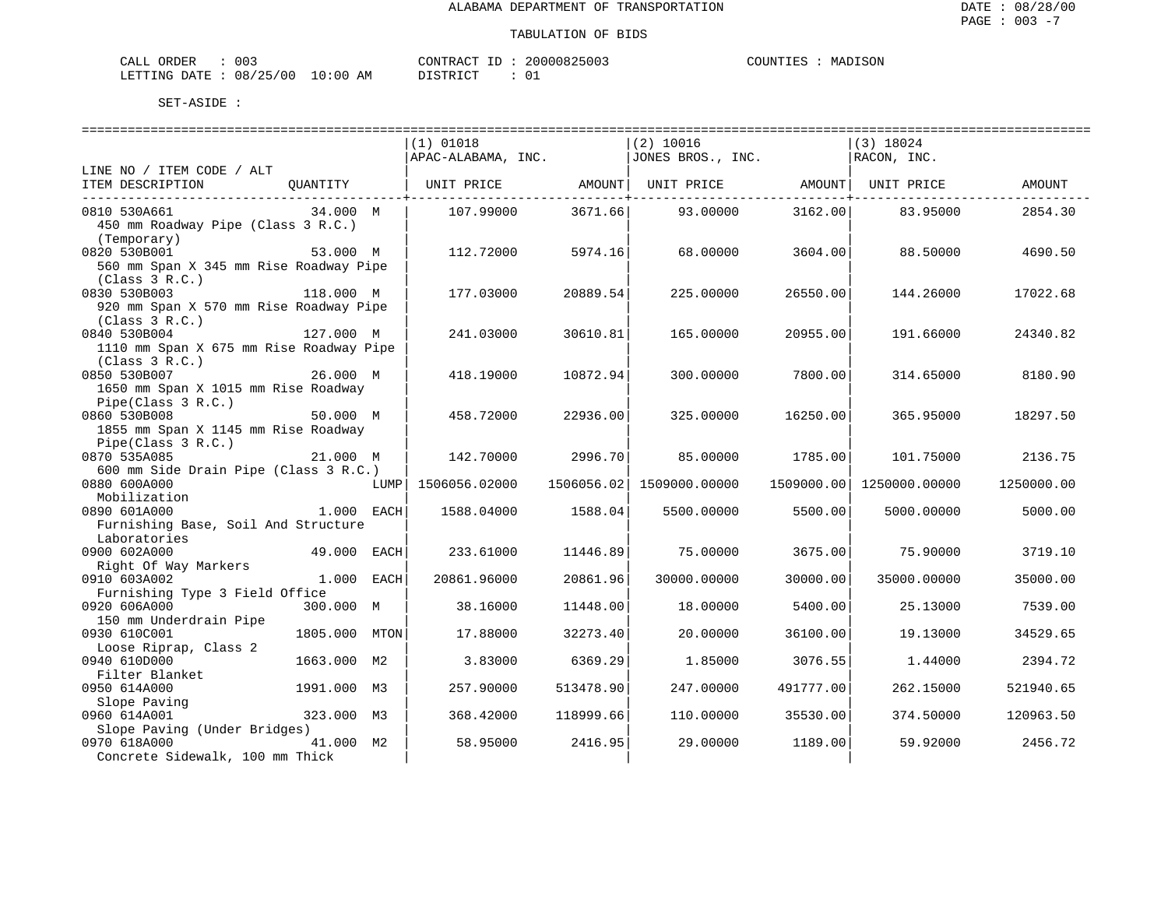| ORDER<br>CALI          | 003 |               | CONTRACT  | TD. | 20000825003   | COUNTIES | MADISON |
|------------------------|-----|---------------|-----------|-----|---------------|----------|---------|
| LETTING DATE: 08/25/00 |     | LO : 00<br>AM | T STR TOT |     | $\sim$ $\sim$ |          |         |

|                                                           |              | $(1)$ 01018<br>APAC-ALABAMA, INC. |                                            | $(2)$ 10016<br>JONES BROS., INC.                     |                              | (3) 18024<br>RACON, INC. |            |
|-----------------------------------------------------------|--------------|-----------------------------------|--------------------------------------------|------------------------------------------------------|------------------------------|--------------------------|------------|
| LINE NO / ITEM CODE / ALT                                 |              |                                   |                                            |                                                      |                              |                          |            |
| ITEM DESCRIPTION<br>QUANTITY                              |              |                                   |                                            | UNIT PRICE   AMOUNT  UNIT PRICE   AMOUNT  UNIT PRICE |                              |                          | AMOUNT     |
| 0810 530A661<br>34.000 M                                  |              | 107.99000                         | . _ _ _ _ _ _ _ _ _ + _ _ _ _ _<br>3671.66 | 93.00000                                             | ------------+----<br>3162.00 | 83.95000                 | 2854.30    |
| 450 mm Roadway Pipe (Class 3 R.C.)                        |              |                                   |                                            |                                                      |                              |                          |            |
| (Temporary)                                               |              |                                   |                                            |                                                      |                              |                          |            |
| 0820 530B001<br>53.000 M                                  |              | 112.72000                         | 5974.16                                    | 68.00000                                             | 3604.00                      | 88.50000                 | 4690.50    |
| 560 mm Span X 345 mm Rise Roadway Pipe                    |              |                                   |                                            |                                                      |                              |                          |            |
| (Class 3 R.C.)                                            |              |                                   |                                            |                                                      |                              |                          |            |
| 0830 530B003<br>118.000 M                                 |              | 177.03000                         | 20889.54                                   | 225.00000                                            | 26550.00                     | 144.26000                | 17022.68   |
| 920 mm Span X 570 mm Rise Roadway Pipe                    |              |                                   |                                            |                                                      |                              |                          |            |
| (Class 3 R.C.)<br>127.000 M                               |              |                                   |                                            |                                                      |                              |                          |            |
| 0840 530B004                                              |              | 241.03000                         | 30610.81                                   | 165.00000                                            | 20955.00                     | 191.66000                | 24340.82   |
| 1110 mm Span X 675 mm Rise Roadway Pipe<br>(Class 3 R.C.) |              |                                   |                                            |                                                      |                              |                          |            |
| 0850 530B007<br>26.000 M                                  |              | 418.19000                         | 10872.94                                   | 300.00000                                            | 7800.00                      | 314.65000                | 8180.90    |
| 1650 mm Span X 1015 mm Rise Roadway                       |              |                                   |                                            |                                                      |                              |                          |            |
| Pipe(Class 3 R.C.)                                        |              |                                   |                                            |                                                      |                              |                          |            |
| 0860 530B008<br>50.000 M                                  |              | 458.72000                         | 22936.00                                   | 325.00000                                            | 16250.00                     | 365.95000                | 18297.50   |
| 1855 mm Span X 1145 mm Rise Roadway                       |              |                                   |                                            |                                                      |                              |                          |            |
| Pipe(Class 3 R.C.)                                        |              |                                   |                                            |                                                      |                              |                          |            |
| 0870 535A085<br>21.000 M                                  |              | 142.70000                         | 2996.70                                    | 85.00000                                             | 1785.00                      | 101.75000                | 2136.75    |
| 600 mm Side Drain Pipe (Class 3 R.C.)                     |              |                                   |                                            |                                                      |                              |                          |            |
| 0880 600A000                                              |              | $LUMP$ 1506056.02000              |                                            | 1506056.02 1509000.00000                             | 1509000.00                   | 1250000.00000            | 1250000.00 |
| Mobilization                                              |              |                                   |                                            |                                                      |                              |                          |            |
| 0890 601A000<br>1.000 EACH                                |              | 1588.04000                        | 1588.04                                    | 5500.00000                                           | 5500.00                      | 5000.00000               | 5000.00    |
| Furnishing Base, Soil And Structure                       |              |                                   |                                            |                                                      |                              |                          |            |
| Laboratories                                              |              |                                   |                                            |                                                      |                              |                          |            |
| 0900 602A000<br>49.000 EACH                               |              | 233.61000                         | 11446.89                                   | 75.00000                                             | 3675.00                      | 75.90000                 | 3719.10    |
| Right Of Way Markers<br>0910 603A002                      | $1.000$ EACH | 20861.96000                       | 20861.96                                   | 30000.00000                                          | 30000.00                     | 35000.00000              | 35000.00   |
| Furnishing Type 3 Field Office                            |              |                                   |                                            |                                                      |                              |                          |            |
| 0920 606A000<br>300.000 M                                 |              | 38.16000                          | 11448.00                                   | 18.00000                                             | 5400.00                      | 25.13000                 | 7539.00    |
| 150 mm Underdrain Pipe                                    |              |                                   |                                            |                                                      |                              |                          |            |
| 0930 610C001<br>1805.000 MTON                             |              | 17.88000                          | 32273.40                                   | 20.00000                                             | 36100.00                     | 19.13000                 | 34529.65   |
| Loose Riprap, Class 2                                     |              |                                   |                                            |                                                      |                              |                          |            |
| 0940 610D000<br>1663.000 M2                               |              | 3.83000                           | 6369.29                                    | 1.85000                                              | 3076.55                      | 1.44000                  | 2394.72    |
| Filter Blanket                                            |              |                                   |                                            |                                                      |                              |                          |            |
| 0950 614A000<br>1991.000 M3                               |              | 257.90000                         | 513478.90                                  | 247.00000                                            | 491777.00                    | 262.15000                | 521940.65  |
| Slope Paving                                              |              |                                   |                                            |                                                      |                              |                          |            |
| 0960 614A001<br>323.000 M3                                |              | 368.42000                         | 118999.66                                  | 110.00000                                            | 35530.00                     | 374.50000                | 120963.50  |
| Slope Paving (Under Bridges)                              |              |                                   |                                            |                                                      |                              |                          |            |
| 41.000 M2<br>0970 618A000                                 |              | 58.95000                          | 2416.95                                    | 29.00000                                             | 1189.00                      | 59.92000                 | 2456.72    |
| Concrete Sidewalk, 100 mm Thick                           |              |                                   |                                            |                                                      |                              |                          |            |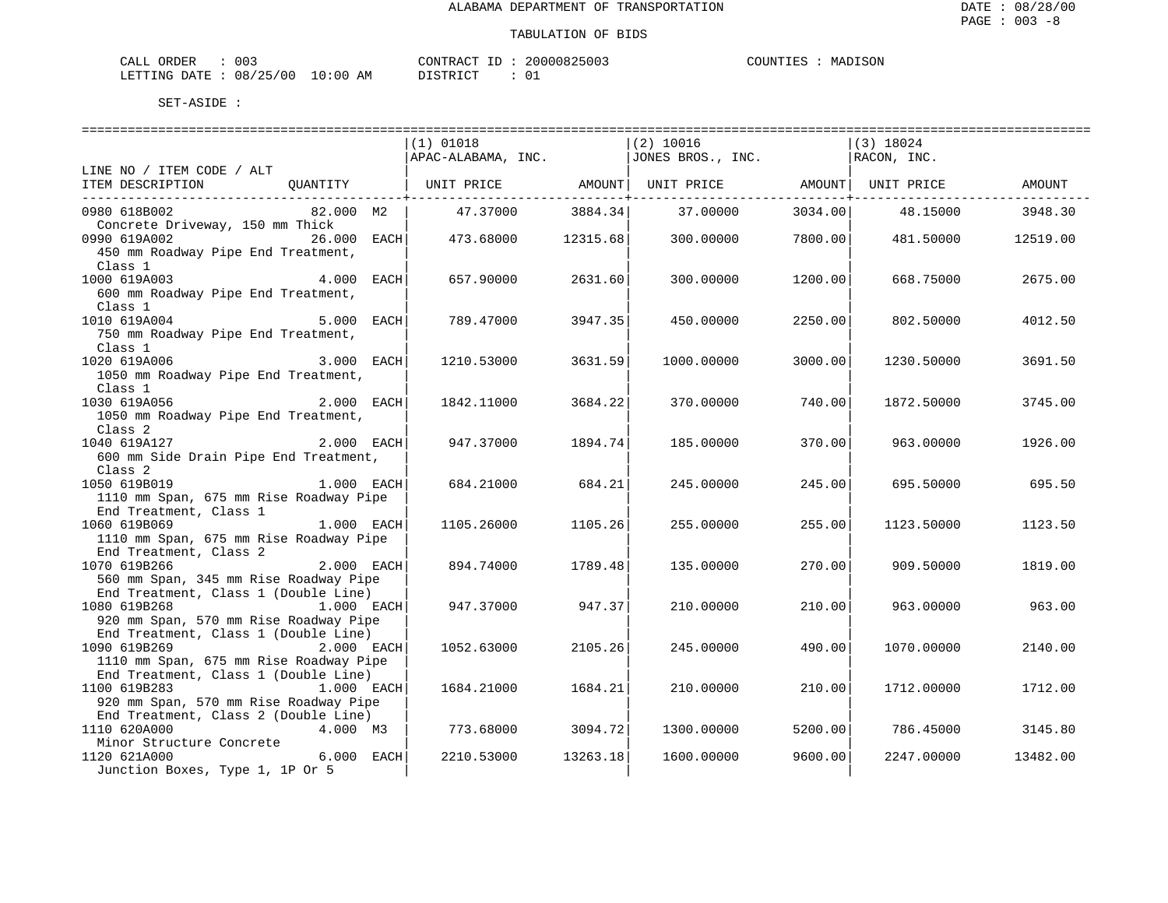| ORDER<br>CALI | ົ່<br>UU3 |               | CONTRACT   | TГ | 20000825003 | COUNTIES | MADISON |
|---------------|-----------|---------------|------------|----|-------------|----------|---------|
| LETTING DATE  | 08/25/00  | LO : 00<br>ΑM | DI STR TOT |    |             |          |         |

|                                                                                     | $(1)$ 01018        |          | (2) 10016         |                           | $(3)$ 18024      |          |
|-------------------------------------------------------------------------------------|--------------------|----------|-------------------|---------------------------|------------------|----------|
|                                                                                     | APAC-ALABAMA, INC. |          | JONES BROS., INC. |                           | RACON, INC.      |          |
| LINE NO / ITEM CODE / ALT                                                           |                    |          |                   |                           |                  |          |
| QUANTITY $\vert$ UNIT PRICE AMOUNT UNIT PRICE AMOUNT NUIT PRICE<br>ITEM DESCRIPTION |                    |          |                   |                           |                  | AMOUNT   |
|                                                                                     |                    |          |                   | ----------------+-------- |                  |          |
| 0980 618B002<br>82.000 M2                                                           | 47.37000           | 3884.34  | 37.00000          |                           | 3034.00 48.15000 | 3948.30  |
| Concrete Driveway, 150 mm Thick                                                     |                    |          |                   |                           |                  |          |
| 0990 619A002<br>$26.000$ EACH                                                       | 473.68000          | 12315.68 | 300.00000         | 7800.00                   | 481.50000        | 12519.00 |
| 450 mm Roadway Pipe End Treatment,                                                  |                    |          |                   |                           |                  |          |
| Class 1                                                                             |                    |          |                   |                           |                  |          |
| 1000 619A003<br>4.000 EACH                                                          | 657.90000          | 2631.60  | 300.00000         | 1200.00                   | 668.75000        | 2675.00  |
| 600 mm Roadway Pipe End Treatment,                                                  |                    |          |                   |                           |                  |          |
| Class 1                                                                             |                    |          |                   |                           |                  |          |
| 5.000 EACH<br>1010 619A004                                                          | 789.47000          | 3947.35  | 450.00000         | 2250.00                   | 802.50000        | 4012.50  |
| 750 mm Roadway Pipe End Treatment,                                                  |                    |          |                   |                           |                  |          |
| Class 1                                                                             |                    |          |                   |                           |                  |          |
| 1020 619A006<br>3.000 EACH                                                          | 1210.53000         | 3631.59  | 1000.00000        | 3000.00                   | 1230.50000       | 3691.50  |
| 1050 mm Roadway Pipe End Treatment,                                                 |                    |          |                   |                           |                  |          |
| Class 1                                                                             |                    |          |                   |                           |                  |          |
| 2.000 EACH<br>1030 619A056                                                          | 1842.11000         | 3684.22  | 370.00000         | 740.00                    | 1872.50000       | 3745.00  |
| 1050 mm Roadway Pipe End Treatment,                                                 |                    |          |                   |                           |                  |          |
| Class 2                                                                             |                    |          |                   |                           |                  |          |
| $2.000$ EACH<br>1040 619A127                                                        | 947.37000          | 1894.74  | 185.00000         | 370.00                    | 963.00000        | 1926.00  |
| 600 mm Side Drain Pipe End Treatment,                                               |                    |          |                   |                           |                  |          |
| Class <sub>2</sub>                                                                  |                    |          |                   |                           |                  |          |
| 1050 619B019<br>1.000 EACH                                                          | 684.21000          | 684.21   | 245.00000         | 245.00                    | 695.50000        | 695.50   |
| 1110 mm Span, 675 mm Rise Roadway Pipe                                              |                    |          |                   |                           |                  |          |
| End Treatment, Class 1                                                              |                    |          |                   |                           |                  |          |
| 1060 619B069<br>1.000 EACH                                                          | 1105.26000         | 1105.26  | 255.00000         | 255.00                    | 1123.50000       | 1123.50  |
| 1110 mm Span, 675 mm Rise Roadway Pipe                                              |                    |          |                   |                           |                  |          |
| End Treatment, Class 2                                                              |                    |          |                   |                           |                  |          |
| $2.000$ EACH<br>1070 619B266                                                        | 894.74000          | 1789.48  | 135.00000         | 270.00                    | 909.50000        | 1819.00  |
| 560 mm Span, 345 mm Rise Roadway Pipe                                               |                    |          |                   |                           |                  |          |
| End Treatment, Class 1 (Double Line)                                                |                    |          |                   |                           |                  |          |
| 1080 619B268<br>1.000 EACH                                                          | 947.37000          | 947.37   | 210.00000         | 210.00                    | 963.00000        | 963.00   |
| 920 mm Span, 570 mm Rise Roadway Pipe                                               |                    |          |                   |                           |                  |          |
| End Treatment, Class 1 (Double Line)                                                |                    |          |                   |                           |                  |          |
| 1090 619B269 2.000 EACH                                                             | 1052.63000         | 2105.26  | 245.00000         | 490.00                    | 1070.00000       | 2140.00  |
| 1110 mm Span, 675 mm Rise Roadway Pipe                                              |                    |          |                   |                           |                  |          |
| End Treatment, Class 1 (Double Line)                                                |                    |          |                   |                           |                  |          |
| 1100 619B283<br>1.000 EACH                                                          | 1684.21000         | 1684.21  | 210.00000         | 210.00                    | 1712.00000       | 1712.00  |
| 920 mm Span, 570 mm Rise Roadway Pipe                                               |                    |          |                   |                           |                  |          |
| End Treatment, Class 2 (Double Line)                                                |                    |          |                   |                           |                  |          |
| 1110 620A000<br>4.000 M3                                                            | 773.68000          | 3094.72  | 1300.00000        | 5200.00                   | 786.45000        | 3145.80  |
| Minor Structure Concrete                                                            |                    |          |                   |                           |                  |          |
| 6.000 EACH<br>1120 621A000                                                          | 2210.53000         | 13263.18 | 1600.00000        | 9600.00                   | 2247.00000       | 13482.00 |
| Junction Boxes, Type 1, 1P Or 5                                                     |                    |          |                   |                           |                  |          |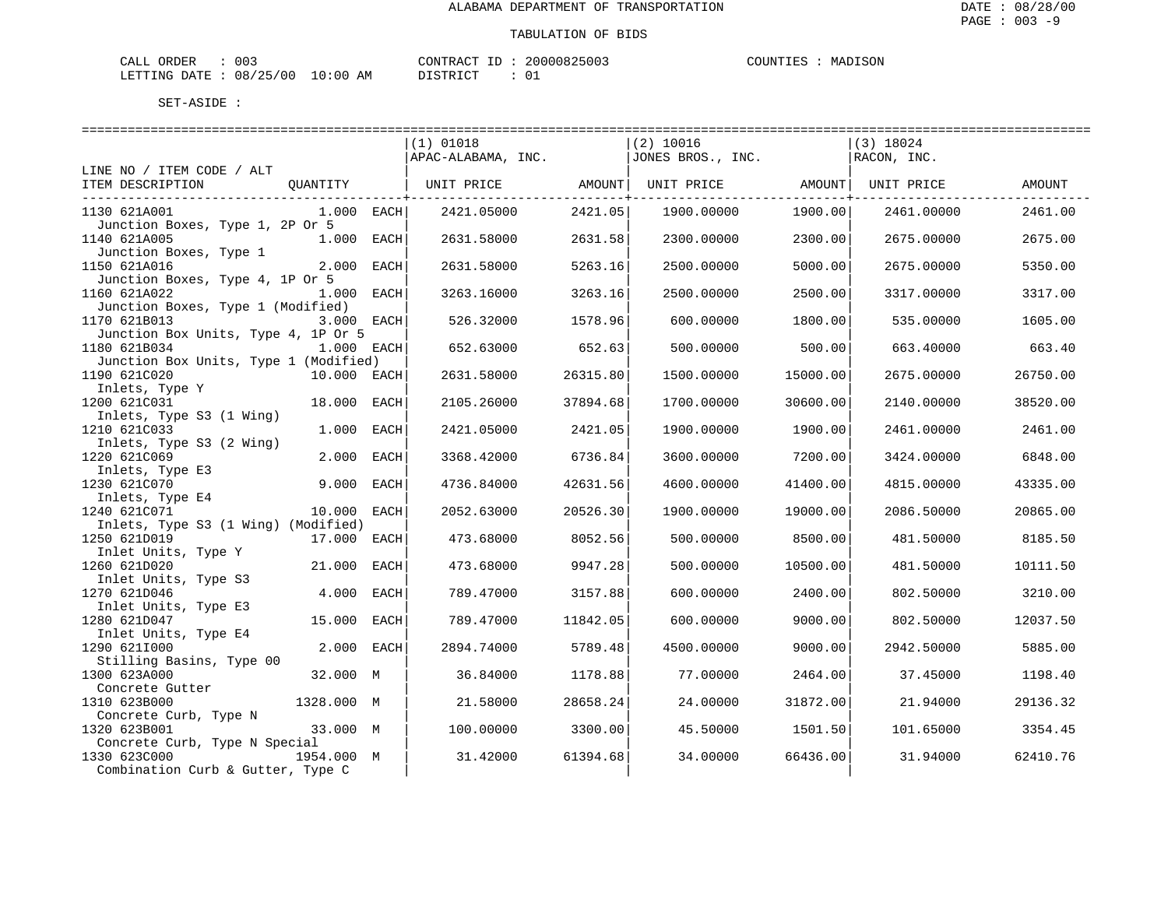| ORDER<br>CALL (                  | 003 | CONTRACT | ID | 20000825003 | COUNTIES | MADISON |
|----------------------------------|-----|----------|----|-------------|----------|---------|
| LETTING DATE : 08/25/00 10:00 AM |     | DISTRICT |    |             |          |         |

|                                                                                    |              | $(1)$ 01018<br>$APAC-ALABAMA, INC.$ $JONES BROS., INC.$ |          | $(2)$ 10016                    |          | $(3)$ 18024<br>RACON, INC. |          |
|------------------------------------------------------------------------------------|--------------|---------------------------------------------------------|----------|--------------------------------|----------|----------------------------|----------|
| LINE NO / ITEM CODE / ALT                                                          |              |                                                         |          |                                |          |                            |          |
| ITEM DESCRIPTION                                                                   | QUANTITY     | UNIT PRICE AMOUNT                                       |          | UNIT PRICE AMOUNT   UNIT PRICE |          |                            | AMOUNT   |
| 1130 621A001<br>Junction Boxes, Type 1, 2P Or 5                                    | $1.000$ EACH | 2421.05000                                              | 2421.05  | 1900.00000                     | 1900.00  | 2461.00000                 | 2461.00  |
| 1140 621A005<br>Junction Boxes, Type 1                                             | 1.000 EACH   | 2631.58000                                              | 2631.58  | 2300.00000                     | 2300.00  | 2675,00000                 | 2675.00  |
| 1150 621A016<br>Junction Boxes, Type 4, 1P Or 5                                    | 2.000 EACH   | 2631.58000                                              | 5263.16  | 2500.00000                     | 5000.00  | 2675.00000                 | 5350.00  |
| 1160 621A022<br>Junction Boxes, Type 1 (Modified)                                  | 1.000 EACH   | 3263.16000                                              | 3263.16  | 2500.00000                     | 2500.00  | 3317.00000                 | 3317.00  |
| 1170 621B013<br>Junction Box Units, Type 4, 1P Or 5                                | 3.000 EACH   | 526.32000                                               | 1578.96  | 600.00000                      | 1800.00  | 535.00000                  | 1605.00  |
| 1180 621B034<br>Junction Box Units, Type 1 (Modified)                              | 1.000 EACH   | 652.63000                                               | 652.63   | 500.00000                      | 500.00   | 663.40000                  | 663.40   |
| 1190 621C020<br>Inlets, Type Y                                                     | 10.000 EACH  | 2631.58000                                              | 26315.80 | 1500.00000                     | 15000.00 | 2675.00000                 | 26750.00 |
| 1200 621C031<br>Inlets, Type S3 (1 Wing)                                           | 18.000 EACH  | 2105.26000                                              | 37894.68 | 1700.00000                     | 30600.00 | 2140.00000                 | 38520.00 |
| 1210 621C033<br>Inlets, Type S3 (2 Wing)                                           | 1.000 EACH   | 2421.05000                                              | 2421.05  | 1900.00000                     | 1900.00  | 2461.00000                 | 2461.00  |
| 1220 621C069<br>Inlets, Type E3                                                    | 2.000 EACH   | 3368.42000                                              | 6736.84  | 3600.00000                     | 7200.00  | 3424.00000                 | 6848.00  |
| 1230 621C070<br>Inlets, Type E4                                                    | 9.000 EACH   | 4736.84000                                              | 42631.56 | 4600.00000                     | 41400.00 | 4815.00000                 | 43335.00 |
| 1240 621C071<br>Inlets, Type S3 (1 Wing) (Modified)                                | 10.000 EACH  | 2052.63000                                              | 20526.30 | 1900.00000                     | 19000.00 | 2086.50000                 | 20865.00 |
| 1250 621D019<br>Inlet Units, Type Y                                                | 17.000 EACH  | 473.68000                                               | 8052.56  | 500.00000                      | 8500.00  | 481.50000                  | 8185.50  |
| 1260 621D020<br>Inlet Units, Type S3                                               | 21.000 EACH  | 473.68000                                               | 9947.28  | 500.00000                      | 10500.00 | 481.50000                  | 10111.50 |
| 1270 621D046<br>Inlet Units, Type E3                                               | 4.000 EACH   | 789.47000                                               | 3157.88  | 600,00000                      | 2400.00  | 802.50000                  | 3210.00  |
| 1280 621D047                                                                       | 15.000 EACH  | 789.47000                                               | 11842.05 | 600.00000                      | 9000.00  | 802.50000                  | 12037.50 |
| Inlet Units, Type E4<br>1290 6211000                                               | 2.000 EACH   | 2894.74000                                              | 5789.48  | 4500.00000                     | 9000.00  | 2942.50000                 | 5885.00  |
| Stilling Basins, Type 00<br>1300 623A000                                           | 32.000 M     | 36.84000                                                | 1178.88  | 77.00000                       | 2464.00  | 37.45000                   | 1198.40  |
| Concrete Gutter<br>1310 623B000                                                    | 1328.000 M   | 21.58000                                                | 28658.24 | 24,00000                       | 31872.00 | 21.94000                   | 29136.32 |
| Concrete Curb, Type N<br>1320 623B001                                              | 33.000 M     | 100.00000                                               | 3300.00  | 45.50000                       | 1501.50  | 101.65000                  | 3354.45  |
| Concrete Curb, Type N Special<br>1330 623C000<br>Combination Curb & Gutter, Type C | 1954.000 M   | 31.42000                                                | 61394.68 | 34.00000                       | 66436.00 | 31.94000                   | 62410.76 |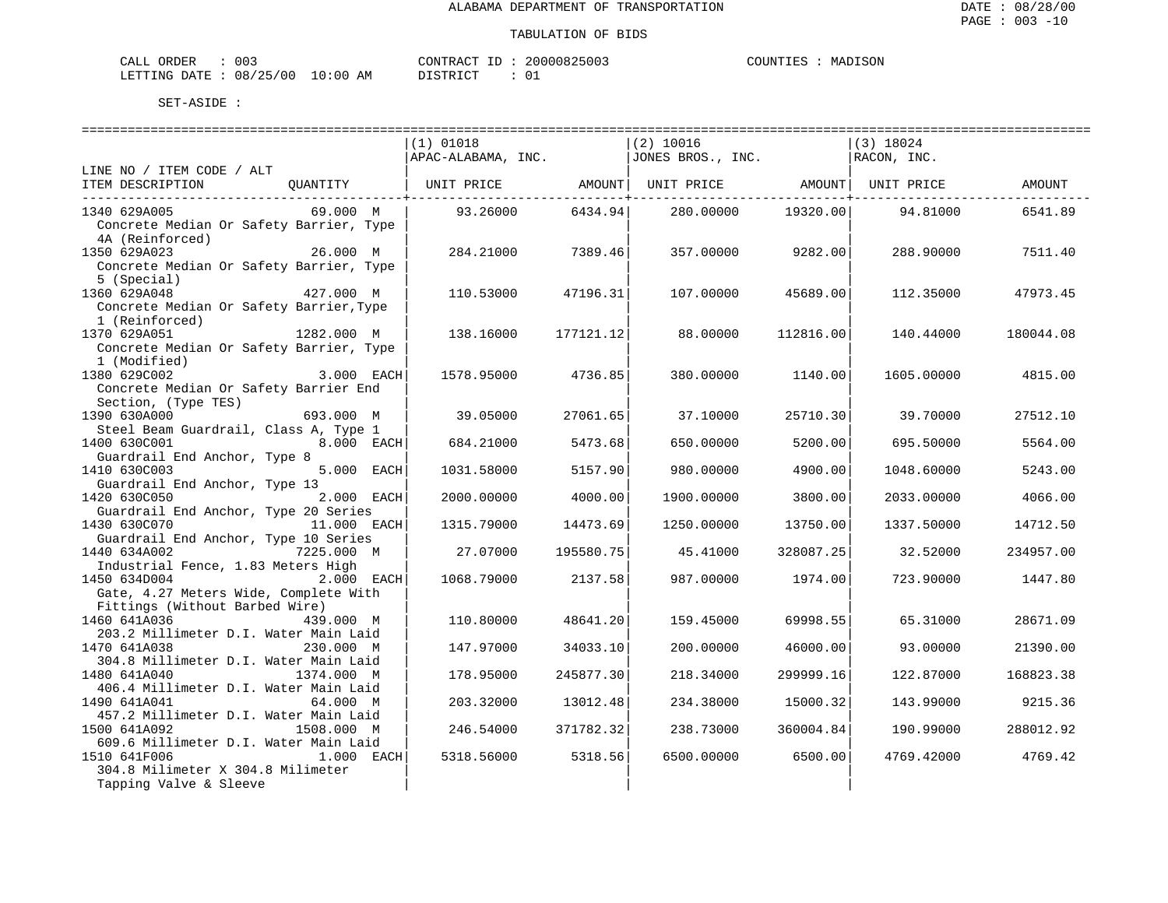| ORDER<br>CALI | ົ່<br>UU3 |               | CONTRACT   | TГ | 20000825003 | COUNTIES | MADISON |
|---------------|-----------|---------------|------------|----|-------------|----------|---------|
| LETTING DATE  | 08/25/00  | LO : 00<br>ΑM | DI STR TOT |    |             |          |         |

|                                                                   | ================================                                                                                          |               | ================================ |           |             |           |
|-------------------------------------------------------------------|---------------------------------------------------------------------------------------------------------------------------|---------------|----------------------------------|-----------|-------------|-----------|
|                                                                   | $(1)$ 01018                                                                                                               |               | $(2)$ 10016                      |           | $(3)$ 18024 |           |
|                                                                   | APAC-ALABAMA, INC.                                                                                                        |               | JONES BROS., INC.                |           | RACON, INC. |           |
| LINE NO / ITEM CODE / ALT                                         |                                                                                                                           |               |                                  |           |             |           |
| ITEM DESCRIPTION                                                  | $\hbox{\tt QUANTITY} \hspace{1.3cm}  $ UNIT PRICE $\hbox{\tt AMOUNT} \,  $ UNIT PRICE $\hbox{\tt AMOUNT} \,  $ UNIT PRICE |               |                                  |           |             | AMOUNT    |
|                                                                   |                                                                                                                           | ----------+-- |                                  |           |             |           |
| 69.000 M<br>1340 629A005                                          | 93.26000                                                                                                                  | 6434.94       | 280.00000                        | 19320.00  | 94.81000    | 6541.89   |
| Concrete Median Or Safety Barrier, Type                           |                                                                                                                           |               |                                  |           |             |           |
| 4A (Reinforced)                                                   |                                                                                                                           |               |                                  |           |             |           |
| 26.000 M<br>1350 629A023                                          | 284.21000                                                                                                                 | 7389.46       | 357.00000                        | 9282.00   | 288.90000   | 7511.40   |
| Concrete Median Or Safety Barrier, Type                           |                                                                                                                           |               |                                  |           |             |           |
| 5 (Special)                                                       |                                                                                                                           |               |                                  |           |             |           |
| 1360 629A048<br>427.000 M                                         | 110.53000                                                                                                                 | 47196.31      | 107.00000                        | 45689.00  | 112,35000   | 47973.45  |
| Concrete Median Or Safety Barrier, Type                           |                                                                                                                           |               |                                  |           |             |           |
| 1 (Reinforced)                                                    |                                                                                                                           |               |                                  |           |             |           |
| 1370 629A051<br>1282.000 M                                        | 138.16000                                                                                                                 | 177121.12     | 88.00000                         | 112816.00 | 140.44000   | 180044.08 |
| Concrete Median Or Safety Barrier, Type                           |                                                                                                                           |               |                                  |           |             |           |
| 1 (Modified)                                                      |                                                                                                                           |               |                                  |           |             |           |
| 1380 629C002<br>3.000 EACH                                        | 1578.95000                                                                                                                | 4736.85       | 380.00000                        | 1140.00   | 1605.00000  | 4815.00   |
| Concrete Median Or Safety Barrier End                             |                                                                                                                           |               |                                  |           |             |           |
| Section, (Type TES)<br>1390 630A000<br>693.000 M                  | 39.05000                                                                                                                  | 27061.65      | 37.10000                         | 25710.30  | 39.70000    | 27512.10  |
| Steel Beam Guardrail, Class A, Type 1                             |                                                                                                                           |               |                                  |           |             |           |
| <b>8.000 EACH</b><br>1400 630C001                                 | 684.21000                                                                                                                 | 5473.68       | 650.00000                        | 5200.00   | 695.50000   | 5564.00   |
| Guardrail End Anchor, Type 8                                      |                                                                                                                           |               |                                  |           |             |           |
| 5.000 EACH<br>1410 630C003                                        | 1031.58000                                                                                                                | 5157.90       | 980,00000                        | 4900.00   | 1048.60000  | 5243.00   |
| Guardrail End Anchor, Type 13                                     |                                                                                                                           |               |                                  |           |             |           |
| 1420 630C050<br>2.000 EACH                                        | 2000.00000                                                                                                                | 4000.00       | 1900.00000                       | 3800.00   | 2033.00000  | 4066.00   |
| Guardrail End Anchor, Type 20 Series                              |                                                                                                                           |               |                                  |           |             |           |
| 1430 630C070<br>11.000 EACH                                       | 1315.79000                                                                                                                | 14473.69      | 1250.00000                       | 13750.00  | 1337.50000  | 14712.50  |
| Guardrail End Anchor, Type 10 Series                              |                                                                                                                           |               |                                  |           |             |           |
| 7225.000 M<br>1440 634A002                                        | 27.07000                                                                                                                  | 195580.75     | 45.41000                         | 328087.25 | 32.52000    | 234957.00 |
| Industrial Fence, 1.83 Meters High                                |                                                                                                                           |               |                                  |           |             |           |
| 1450 634D004<br>2.000 EACH                                        | 1068.79000                                                                                                                | 2137.58       | 987.00000                        | 1974.00   | 723.90000   | 1447.80   |
| Gate, 4.27 Meters Wide, Complete With                             |                                                                                                                           |               |                                  |           |             |           |
| Fittings (Without Barbed Wire)                                    |                                                                                                                           |               |                                  |           |             |           |
| 1460 641A036<br>439,000 M                                         | 110.80000                                                                                                                 | 48641.20      | 159.45000                        | 69998.55  | 65.31000    | 28671.09  |
| 203.2 Millimeter D.I. Water Main Laid                             |                                                                                                                           |               |                                  |           |             |           |
| 1470 641A038<br>230.000 M                                         | 147.97000                                                                                                                 | 34033.10      | 200,00000                        | 46000.00  | 93.00000    | 21390.00  |
| 304.8 Millimeter D.I. Water Main Laid                             |                                                                                                                           |               |                                  |           |             |           |
| 1374.000 M<br>1480 641A040                                        | 178.95000                                                                                                                 | 245877.30     | 218.34000                        | 299999.16 | 122.87000   | 168823.38 |
| 406.4 Millimeter D.I. Water Main Laid                             |                                                                                                                           |               |                                  |           |             |           |
| 1490 641A041<br>64.000 M<br>457.2 Millimeter D.I. Water Main Laid | 203.32000                                                                                                                 | 13012.48      | 234.38000                        | 15000.32  | 143.99000   | 9215.36   |
| 1508.000 M<br>1500 641A092                                        | 246.54000                                                                                                                 | 371782.32     | 238.73000                        | 360004.84 | 190.99000   | 288012.92 |
| 609.6 Millimeter D.I. Water Main Laid                             |                                                                                                                           |               |                                  |           |             |           |
| 1510 641F006<br>1.000 EACH                                        | 5318.56000                                                                                                                | 5318.56       | 6500.00000                       | 6500.00   | 4769.42000  | 4769.42   |
| 304.8 Milimeter X 304.8 Milimeter                                 |                                                                                                                           |               |                                  |           |             |           |
| Tapping Valve & Sleeve                                            |                                                                                                                           |               |                                  |           |             |           |
|                                                                   |                                                                                                                           |               |                                  |           |             |           |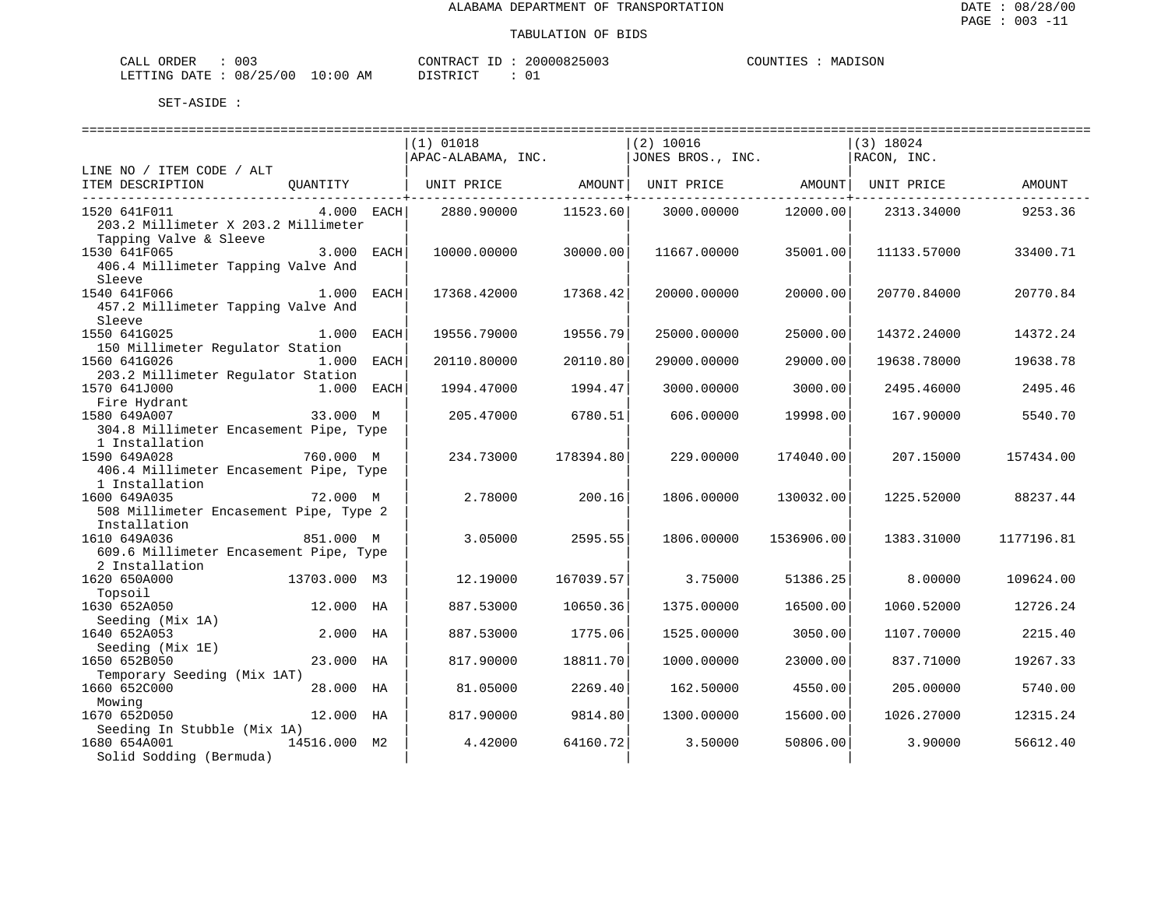| ORDER<br>CALI          | ົ່<br>UU3 |               | 'ONTRACT           | ТD | 20000825003 | COUNTIES | ISON<br>MADI: |
|------------------------|-----------|---------------|--------------------|----|-------------|----------|---------------|
| LETTING DATE: 08/25/00 |           | LO : 00<br>AM | I STR I<br>ᆂᇦᆂᅕᆂᇰᆂ |    |             |          |               |

|                                                        |                 | (1) 01018          |                    | $(2)$ 10016                                        |                     | $(3)$ 18024 |            |
|--------------------------------------------------------|-----------------|--------------------|--------------------|----------------------------------------------------|---------------------|-------------|------------|
|                                                        |                 | APAC-ALABAMA, INC. |                    | JONES BROS., INC.                                  |                     | RACON, INC. |            |
| LINE NO / ITEM CODE / ALT                              |                 |                    |                    |                                                    |                     |             |            |
| ITEM DESCRIPTION                                       | <b>QUANTITY</b> |                    | -----------+------ | UNIT PRICE AMOUNT   UNIT PRICE AMOUNT   UNIT PRICE | -----------+------- |             | AMOUNT     |
| 1520 641F011<br>203.2 Millimeter X 203.2 Millimeter    | $4.000$ EACH    | 2880.90000         | 11523.60           | 3000.00000                                         | 12000.00            | 2313.34000  | 9253.36    |
| Tapping Valve & Sleeve                                 |                 |                    |                    |                                                    |                     |             |            |
| 1530 641F065                                           | 3.000 EACH      | 10000.00000        | 30000.00           | 11667.00000                                        | 35001.00            | 11133.57000 | 33400.71   |
| 406.4 Millimeter Tapping Valve And<br>Sleeve           |                 |                    |                    |                                                    |                     |             |            |
| 1540 641F066                                           | 1.000 EACH      | 17368.42000        | 17368.42           | 20000.00000                                        | 20000.00            | 20770.84000 | 20770.84   |
| 457.2 Millimeter Tapping Valve And                     |                 |                    |                    |                                                    |                     |             |            |
| Sleeve                                                 |                 |                    |                    |                                                    |                     |             |            |
| 1550 641G025                                           | 1.000 EACH      | 19556.79000        | 19556.79           | 25000.00000                                        | 25000.00            | 14372.24000 | 14372.24   |
| 150 Millimeter Regulator Station<br>1560 641G026       | 1.000 EACH      | 20110.80000        | 20110.80           | 29000.00000                                        | 29000.00            | 19638.78000 | 19638.78   |
| 203.2 Millimeter Regulator Station                     |                 |                    |                    |                                                    |                     |             |            |
| 1570 641J000                                           | 1.000 EACH      | 1994.47000         | 1994.47            | 3000.00000                                         | 3000.00             | 2495.46000  | 2495.46    |
| Fire Hydrant                                           |                 |                    |                    |                                                    |                     |             |            |
| 1580 649A007                                           | 33.000 M        | 205.47000          | 6780.51            | 606,00000                                          | 19998.00            | 167.90000   | 5540.70    |
| 304.8 Millimeter Encasement Pipe, Type                 |                 |                    |                    |                                                    |                     |             |            |
| 1 Installation                                         |                 |                    |                    |                                                    |                     |             |            |
| 1590 649A028                                           | 760.000 M       | 234.73000          | 178394.80          | 229.00000                                          | 174040.00           | 207.15000   | 157434.00  |
| 406.4 Millimeter Encasement Pipe, Type                 |                 |                    |                    |                                                    |                     |             |            |
| 1 Installation                                         |                 |                    |                    |                                                    |                     |             |            |
| 1600 649A035<br>508 Millimeter Encasement Pipe, Type 2 | 72.000 M        | 2.78000            | 200.16             | 1806.00000                                         | 130032.00           | 1225.52000  | 88237.44   |
| Installation                                           |                 |                    |                    |                                                    |                     |             |            |
| 1610 649A036                                           | 851.000 M       | 3.05000            | 2595.55            | 1806.00000                                         | 1536906.00          | 1383.31000  | 1177196.81 |
| 609.6 Millimeter Encasement Pipe, Type                 |                 |                    |                    |                                                    |                     |             |            |
| 2 Installation                                         |                 |                    |                    |                                                    |                     |             |            |
| 1620 650A000                                           | 13703.000 M3    | 12.19000           | 167039.57          | 3.75000                                            | 51386.25            | 8.00000     | 109624.00  |
| Topsoil                                                |                 |                    |                    |                                                    |                     |             |            |
| 1630 652A050                                           | 12.000 HA       | 887.53000          | 10650.36           | 1375.00000                                         | 16500.00            | 1060.52000  | 12726.24   |
| Seeding (Mix 1A)                                       |                 |                    |                    |                                                    |                     |             |            |
| 1640 652A053                                           | $2.000$ HA      | 887.53000          | 1775.06            | 1525.00000                                         | 3050.00             | 1107.70000  | 2215.40    |
| Seeding (Mix 1E)<br>1650 652B050                       | 23.000 HA       |                    | 18811.70           |                                                    | 23000.00            |             | 19267.33   |
| Temporary Seeding (Mix 1AT)                            |                 | 817.90000          |                    | 1000.00000                                         |                     | 837.71000   |            |
| 1660 652C000                                           | 28.000 HA       | 81.05000           | 2269.40            | 162.50000                                          | 4550.00             | 205.00000   | 5740.00    |
| Mowing                                                 |                 |                    |                    |                                                    |                     |             |            |
| 1670 652D050                                           | 12.000 HA       | 817.90000          | 9814.80            | 1300.00000                                         | 15600.00            | 1026.27000  | 12315.24   |
| Seeding In Stubble (Mix 1A)                            |                 |                    |                    |                                                    |                     |             |            |
| 1680 654A001                                           | 14516.000 M2    | 4.42000            | 64160.72           | 3.50000                                            | 50806.00            | 3.90000     | 56612.40   |
| Solid Sodding (Bermuda)                                |                 |                    |                    |                                                    |                     |             |            |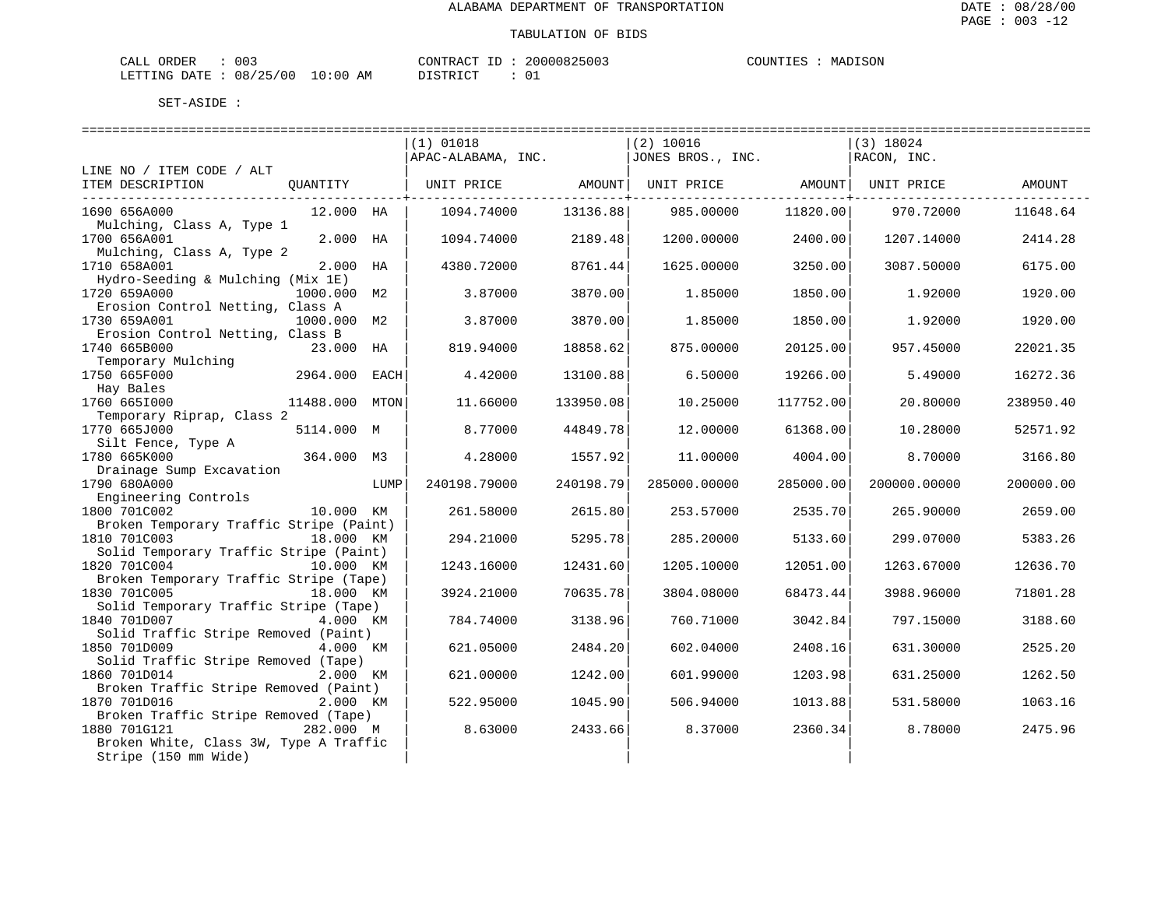| ORDER<br>CALL (                  | 003 | CONTRACT | ID | 20000825003 | COUNTIES | MADISON |
|----------------------------------|-----|----------|----|-------------|----------|---------|
| LETTING DATE : 08/25/00 10:00 AM |     | DISTRICT |    |             |          |         |

|                                                                  | $(1)$ 01018        |           | (2) 10016         |           | $(3)$ 18024        |           |
|------------------------------------------------------------------|--------------------|-----------|-------------------|-----------|--------------------|-----------|
|                                                                  | APAC-ALABAMA, INC. |           | JONES BROS., INC. |           | RACON, INC.        |           |
| LINE NO / ITEM CODE / ALT                                        |                    |           |                   |           |                    |           |
| ITEM DESCRIPTION<br>OUANTITY                                     | UNIT PRICE         | AMOUNT    | UNIT PRICE        |           | AMOUNT  UNIT PRICE | AMOUNT    |
|                                                                  |                    |           |                   |           |                    |           |
| 1690 656A000<br>12.000 HA                                        | 1094.74000         | 13136.88  | 985.00000         | 11820.00  | 970.72000          | 11648.64  |
| Mulching, Class A, Type 1                                        |                    |           |                   |           |                    |           |
| 1700 656A001<br>2.000 HA                                         | 1094.74000         | 2189.48   | 1200.00000        | 2400.00   | 1207.14000         | 2414.28   |
| Mulching, Class A, Type 2                                        |                    |           |                   |           |                    |           |
| 1710 658A001<br>2.000 HA                                         | 4380.72000         | 8761.44   | 1625.00000        | 3250.00   | 3087.50000         | 6175.00   |
| Hydro-Seeding & Mulching (Mix 1E)<br>1000.000 M2<br>1720 659A000 | 3.87000            | 3870.00   | 1.85000           | 1850.00   | 1.92000            | 1920.00   |
| Erosion Control Netting, Class A                                 |                    |           |                   |           |                    |           |
| 1730 659A001<br>1000.000 M2                                      | 3.87000            | 3870.00   | 1.85000           | 1850.00   | 1.92000            | 1920.00   |
| Erosion Control Netting, Class B                                 |                    |           |                   |           |                    |           |
| 1740 665B000<br>23.000 HA                                        | 819.94000          | 18858.62  | 875.00000         | 20125.00  | 957.45000          | 22021.35  |
| Temporary Mulching                                               |                    |           |                   |           |                    |           |
| 1750 665F000<br>2964.000<br>EACH                                 | 4.42000            | 13100.88  | 6.50000           | 19266.00  | 5.49000            | 16272.36  |
| Hay Bales                                                        |                    |           |                   |           |                    |           |
| 1760 665I000<br>11488.000 MTON                                   | 11.66000           | 133950.08 | 10.25000          | 117752.00 | 20.80000           | 238950.40 |
| Temporary Riprap, Class 2                                        |                    |           |                   |           |                    |           |
| 1770 665J000<br>5114.000 M                                       | 8.77000            | 44849.78  | 12.00000          | 61368.00  | 10.28000           | 52571.92  |
| Silt Fence, Type A                                               |                    |           |                   |           |                    |           |
| 1780 665K000<br>364.000 M3                                       | 4.28000            | 1557.92   | 11.00000          | 4004.00   | 8.70000            | 3166.80   |
| Drainage Sump Excavation<br>1790 680A000<br>LUMP                 | 240198.79000       | 240198.79 | 285000.00000      | 285000.00 | 200000.00000       | 200000.00 |
| Engineering Controls                                             |                    |           |                   |           |                    |           |
| 1800 701C002<br>10.000 KM                                        | 261.58000          | 2615.80   | 253.57000         | 2535.70   | 265.90000          | 2659.00   |
| Broken Temporary Traffic Stripe (Paint)                          |                    |           |                   |           |                    |           |
| 1810 701C003<br>18.000 KM                                        | 294.21000          | 5295.78   | 285.20000         | 5133.60   | 299.07000          | 5383.26   |
| Solid Temporary Traffic Stripe (Paint)                           |                    |           |                   |           |                    |           |
| 1820 701C004<br>10.000 KM                                        | 1243.16000         | 12431.60  | 1205.10000        | 12051.00  | 1263.67000         | 12636.70  |
| Broken Temporary Traffic Stripe (Tape)                           |                    |           |                   |           |                    |           |
| 1830 701C005<br>18.000 KM                                        | 3924.21000         | 70635.78  | 3804.08000        | 68473.44  | 3988.96000         | 71801.28  |
| Solid Temporary Traffic Stripe (Tape)                            |                    |           |                   |           |                    |           |
| 1840 701D007<br>4.000 KM                                         | 784.74000          | 3138.96   | 760.71000         | 3042.84   | 797.15000          | 3188.60   |
| Solid Traffic Stripe Removed (Paint)                             |                    |           |                   |           |                    |           |
| 1850 701D009<br>4.000 KM<br>Solid Traffic Stripe Removed (Tape)  | 621.05000          | 2484.20   | 602.04000         | 2408.16   | 631.30000          | 2525.20   |
| 1860 701D014<br>2.000 KM                                         | 621.00000          | 1242.00   | 601.99000         | 1203.98   | 631.25000          | 1262.50   |
| Broken Traffic Stripe Removed (Paint)                            |                    |           |                   |           |                    |           |
| 1870 701D016<br>2.000 KM                                         | 522.95000          | 1045.90   | 506.94000         | 1013.88   | 531.58000          | 1063.16   |
| Broken Traffic Stripe Removed (Tape)                             |                    |           |                   |           |                    |           |
| 1880 701G121<br>282.000 M                                        | 8.63000            | 2433.66   | 8.37000           | 2360.34   | 8.78000            | 2475.96   |
| Broken White, Class 3W, Type A Traffic                           |                    |           |                   |           |                    |           |
| Stripe (150 mm Wide)                                             |                    |           |                   |           |                    |           |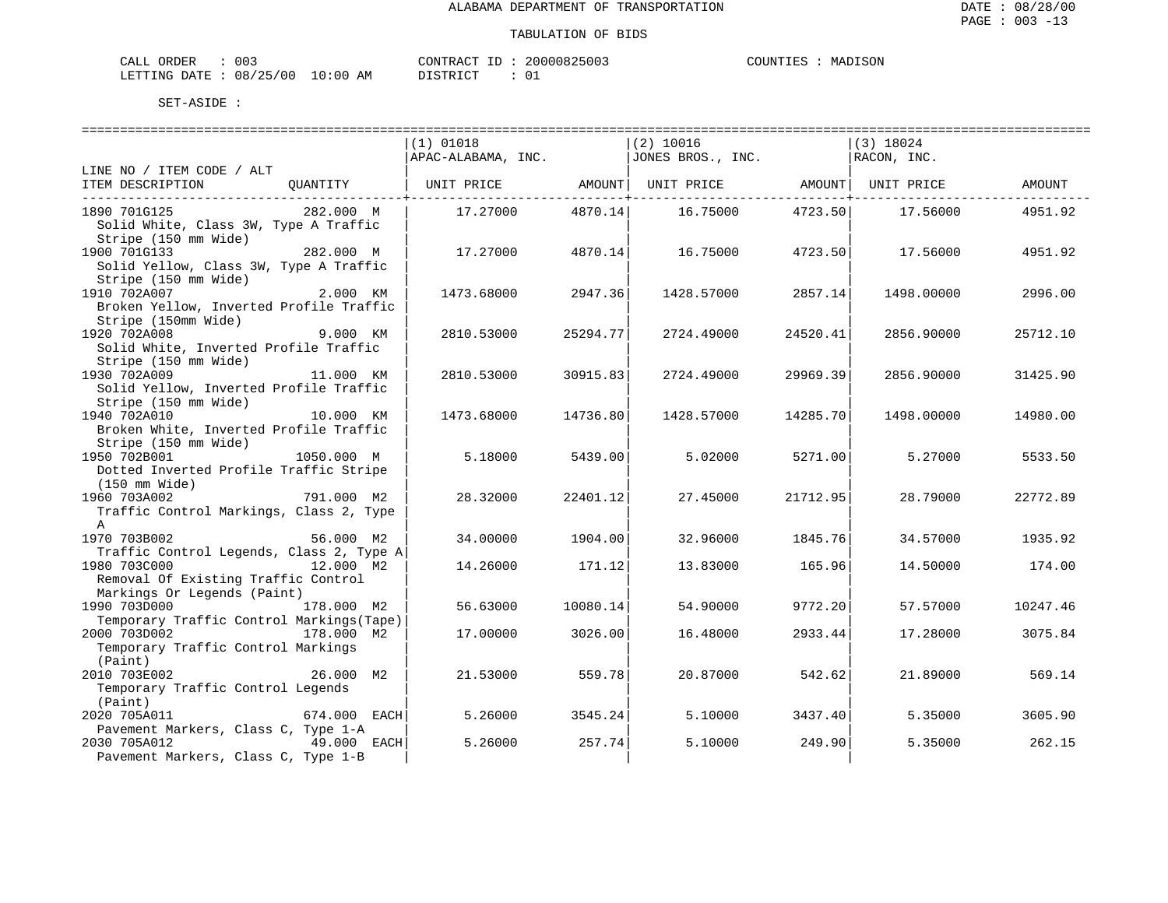| ORDER<br>CALI | ົ່<br>UU3 |               | CONTRACT   | TГ | 20000825003 | COUNTIES | MADISON |
|---------------|-----------|---------------|------------|----|-------------|----------|---------|
| LETTING DATE  | 08/25/00  | LO : 00<br>ΑM | DI STR TOT |    |             |          |         |

|                                           |              | $(1)$ 01018        |                 | $(2)$ 10016         |               | $(3)$ 18024        |          |
|-------------------------------------------|--------------|--------------------|-----------------|---------------------|---------------|--------------------|----------|
|                                           |              | APAC-ALABAMA, INC. |                 | JONES BROS., INC.   |               | RACON, INC.        |          |
| LINE NO / ITEM CODE / ALT                 |              |                    |                 |                     |               |                    |          |
| ITEM DESCRIPTION                          | OUANTITY     | UNIT PRICE         |                 | AMOUNT   UNIT PRICE |               | AMOUNT  UNIT PRICE | AMOUNT   |
|                                           |              |                    | ------------+-- |                     | ------------+ |                    |          |
| 1890 701G125                              | 282.000 M    | 17.27000           | 4870.14         | 16.75000            | 4723.50       | 17.56000           | 4951.92  |
| Solid White, Class 3W, Type A Traffic     |              |                    |                 |                     |               |                    |          |
| Stripe (150 mm Wide)                      |              |                    |                 |                     |               |                    |          |
| 1900 701G133                              | 282.000 M    | 17.27000           |                 |                     |               |                    |          |
|                                           |              |                    | 4870.14         | 16.75000            | 4723.50       | 17.56000           | 4951.92  |
| Solid Yellow, Class 3W, Type A Traffic    |              |                    |                 |                     |               |                    |          |
| Stripe (150 mm Wide)                      |              |                    |                 |                     |               |                    |          |
| 1910 702A007                              | 2.000 KM     | 1473.68000         | 2947.36         | 1428.57000          | 2857.14       | 1498.00000         | 2996.00  |
| Broken Yellow, Inverted Profile Traffic   |              |                    |                 |                     |               |                    |          |
| Stripe (150mm Wide)                       |              |                    |                 |                     |               |                    |          |
| 1920 702A008                              | 9.000 KM     | 2810.53000         | 25294.77        | 2724.49000          | 24520.41      | 2856.90000         | 25712.10 |
| Solid White, Inverted Profile Traffic     |              |                    |                 |                     |               |                    |          |
| Stripe (150 mm Wide)                      |              |                    |                 |                     |               |                    |          |
| 1930 702A009                              | 11.000 KM    | 2810.53000         | 30915.83        | 2724.49000          | 29969.39      | 2856.90000         | 31425.90 |
| Solid Yellow, Inverted Profile Traffic    |              |                    |                 |                     |               |                    |          |
| Stripe (150 mm Wide)                      |              |                    |                 |                     |               |                    |          |
| 1940 702A010                              | 10.000 KM    | 1473.68000         | 14736.80        | 1428.57000          | 14285.70      | 1498.00000         | 14980.00 |
| Broken White, Inverted Profile Traffic    |              |                    |                 |                     |               |                    |          |
| Stripe (150 mm Wide)                      |              |                    |                 |                     |               |                    |          |
| 1950 702B001                              | 1050.000 M   | 5.18000            | 5439.00         | 5.02000             | 5271.00       | 5.27000            | 5533.50  |
| Dotted Inverted Profile Traffic Stripe    |              |                    |                 |                     |               |                    |          |
|                                           |              |                    |                 |                     |               |                    |          |
| (150 mm Wide)                             |              |                    |                 |                     |               |                    |          |
| 1960 703A002                              | 791.000 M2   | 28.32000           | 22401.12        | 27.45000            | 21712.95      | 28.79000           | 22772.89 |
| Traffic Control Markings, Class 2, Type   |              |                    |                 |                     |               |                    |          |
| A                                         |              |                    |                 |                     |               |                    |          |
| 1970 703B002                              | 56.000 M2    | 34.00000           | 1904.00         | 32.96000            | 1845.76       | 34.57000           | 1935.92  |
| Traffic Control Legends, Class 2, Type A  |              |                    |                 |                     |               |                    |          |
| 1980 703C000                              | 12.000 M2    | 14.26000           | 171.12          | 13.83000            | 165.96        | 14.50000           | 174.00   |
| Removal Of Existing Traffic Control       |              |                    |                 |                     |               |                    |          |
| Markings Or Legends (Paint)               |              |                    |                 |                     |               |                    |          |
| 1990 703D000                              | 178.000 M2   | 56.63000           | 10080.14        | 54.90000            | 9772.20       | 57.57000           | 10247.46 |
| Temporary Traffic Control Markings (Tape) |              |                    |                 |                     |               |                    |          |
| 2000 703D002                              | 178.000 M2   | 17.00000           | 3026.00         | 16.48000            | 2933.44       | 17.28000           | 3075.84  |
| Temporary Traffic Control Markings        |              |                    |                 |                     |               |                    |          |
| (Paint)                                   |              |                    |                 |                     |               |                    |          |
| 2010 703E002                              | 26.000 M2    | 21.53000           | 559.78          | 20.87000            | 542.62        | 21.89000           | 569.14   |
| Temporary Traffic Control Legends         |              |                    |                 |                     |               |                    |          |
|                                           |              |                    |                 |                     |               |                    |          |
| (Paint)                                   |              |                    |                 |                     |               |                    |          |
| 2020 705A011                              | 674.000 EACH | 5.26000            | 3545.24         | 5.10000             | 3437.40       | 5.35000            | 3605.90  |
| Pavement Markers, Class C, Type 1-A       |              |                    |                 |                     |               |                    |          |
| 2030 705A012                              | 49.000 EACH  | 5.26000            | 257.74          | 5.10000             | 249.90        | 5.35000            | 262.15   |
| Pavement Markers, Class C, Type 1-B       |              |                    |                 |                     |               |                    |          |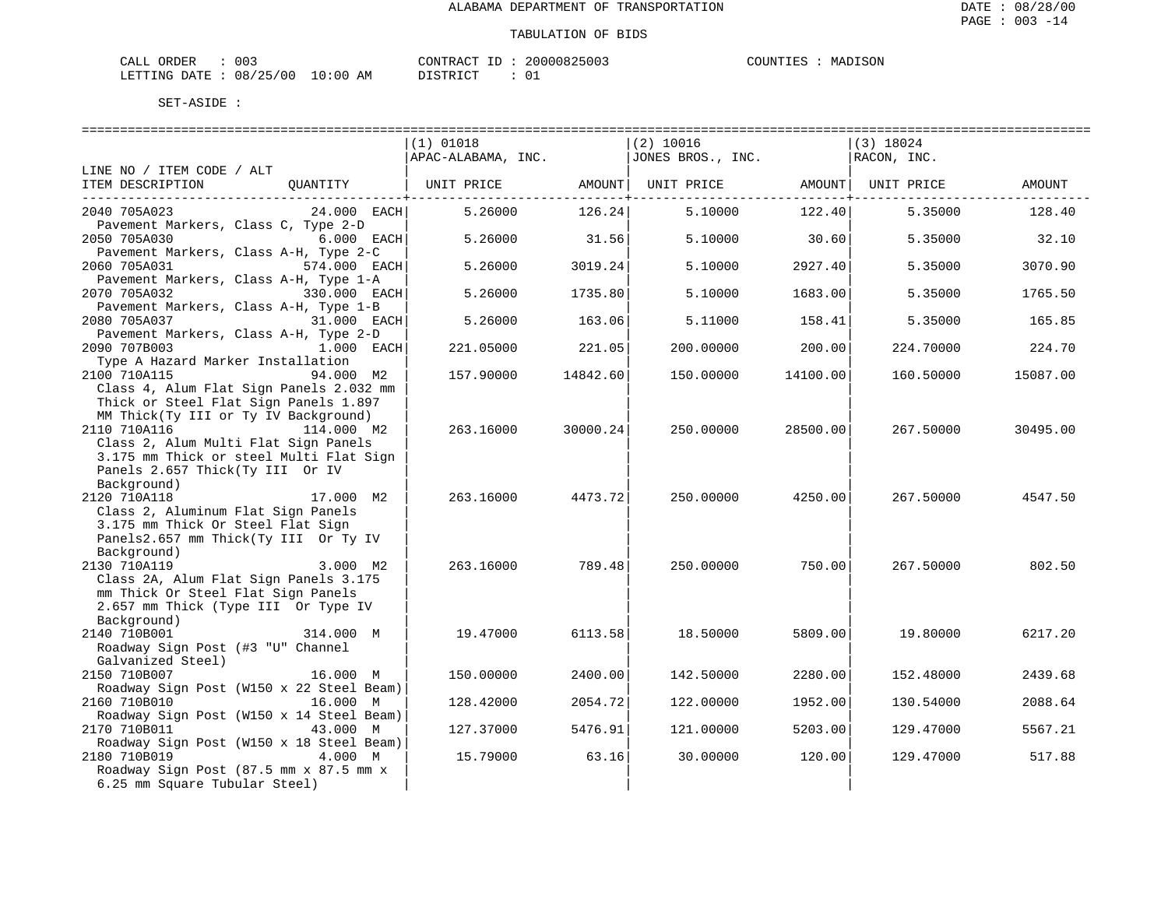| ORDER<br>CALI   | $\sim$ $\sim$ $\sim$<br>UU3 |            | CONTRACT<br>$-1$  | 20000825003 | COUNTIES | MADISON |
|-----------------|-----------------------------|------------|-------------------|-------------|----------|---------|
| DATE<br>LETTING | 08/25/00                    | 0:00<br>ΑM | T T C T T T T T T |             |          |         |

| SET-ASIDE |  |
|-----------|--|
|           |  |

| =====================================                                                                                                                           | ========================<br>$(1)$ 01018<br>APAC-ALABAMA, INC. |          | $(2)$ 10016<br>JONES BROS., INC. |          | (3) 18024<br>RACON, INC. | ============================ |
|-----------------------------------------------------------------------------------------------------------------------------------------------------------------|---------------------------------------------------------------|----------|----------------------------------|----------|--------------------------|------------------------------|
| LINE NO / ITEM CODE / ALT<br>ITEM DESCRIPTION<br>OUANTITY                                                                                                       | UNIT PRICE                                                    | AMOUNT   | UNIT PRICE                       | AMOUNT   | UNIT PRICE               | <b>AMOUNT</b>                |
| 2040 705A023<br>24.000 EACH                                                                                                                                     | 5.26000                                                       | 126.24   | 5.10000                          | 122.40   | 5.35000                  | 128.40                       |
| Pavement Markers, Class C, Type 2-D<br>2050 705A030<br>6.000 EACH                                                                                               | 5.26000                                                       | 31.56    | 5.10000                          | 30.60    | 5.35000                  | 32.10                        |
| Pavement Markers, Class A-H, Type 2-C<br>2060 705A031<br>574.000 EACH                                                                                           | 5.26000                                                       | 3019.24  | 5.10000                          | 2927.40  | 5.35000                  | 3070.90                      |
| Pavement Markers, Class A-H, Type 1-A<br>2070 705A032<br>330.000 EACH                                                                                           | 5.26000                                                       | 1735.80  | 5.10000                          | 1683.00  | 5.35000                  | 1765.50                      |
| Pavement Markers, Class A-H, Type 1-B<br>2080 705A037<br>31.000 EACH                                                                                            | 5.26000                                                       | 163.06   | 5.11000                          | 158.41   | 5.35000                  | 165.85                       |
| Pavement Markers, Class A-H, Type 2-D<br>2090 707B003<br>1.000 EACH                                                                                             | 221.05000                                                     | 221.05   | 200,00000                        | 200.00   | 224.70000                | 224.70                       |
| Type A Hazard Marker Installation<br>94.000 M2<br>2100 710A115                                                                                                  | 157.90000                                                     | 14842.60 | 150.00000                        | 14100.00 | 160.50000                | 15087.00                     |
| Class 4, Alum Flat Sign Panels 2.032 mm<br>Thick or Steel Flat Sign Panels 1.897<br>MM Thick(Ty III or Ty IV Background)                                        |                                                               |          |                                  |          |                          |                              |
| 2110 710A116<br>114.000 M2<br>Class 2, Alum Multi Flat Sign Panels<br>3.175 mm Thick or steel Multi Flat Sign<br>Panels 2.657 Thick(Ty III Or IV<br>Background) | 263.16000                                                     | 30000.24 | 250.00000                        | 28500.00 | 267.50000                | 30495.00                     |
| 2120 710A118<br>17.000 M2<br>Class 2, Aluminum Flat Sign Panels<br>3.175 mm Thick Or Steel Flat Sign<br>Panels2.657 mm Thick(Ty III Or Ty IV<br>Background)     | 263.16000                                                     | 4473.72  | 250.00000                        | 4250.00  | 267.50000                | 4547.50                      |
| 2130 710A119<br>3.000 M2<br>Class 2A, Alum Flat Sign Panels 3.175<br>mm Thick Or Steel Flat Sign Panels<br>2.657 mm Thick (Type III Or Type IV<br>Background)   | 263.16000                                                     | 789.48   | 250.00000                        | 750.00   | 267.50000                | 802.50                       |
| 2140 710B001<br>314.000 M<br>Roadway Sign Post (#3 "U" Channel<br>Galvanized Steel)                                                                             | 19.47000                                                      | 6113.58  | 18.50000                         | 5809.00  | 19.80000                 | 6217.20                      |
| 2150 710B007<br>16.000 M                                                                                                                                        | 150.00000                                                     | 2400.00  | 142.50000                        | 2280.00  | 152.48000                | 2439.68                      |
| Roadway Sign Post (W150 x 22 Steel Beam)<br>2160 710B010<br>16.000 M                                                                                            | 128.42000                                                     | 2054.72  | 122.00000                        | 1952.00  | 130.54000                | 2088.64                      |
| Roadway Sign Post (W150 x 14 Steel Beam)<br>2170 710B011<br>43.000 M                                                                                            | 127.37000                                                     | 5476.91  | 121.00000                        | 5203.00  | 129.47000                | 5567.21                      |
| Roadway Sign Post (W150 x 18 Steel Beam)<br>4.000 M<br>2180 710B019<br>Roadway Sign Post (87.5 mm x 87.5 mm x<br>6.25 mm Square Tubular Steel)                  | 15.79000                                                      | 63.16    | 30.00000                         | 120.00   | 129.47000                | 517.88                       |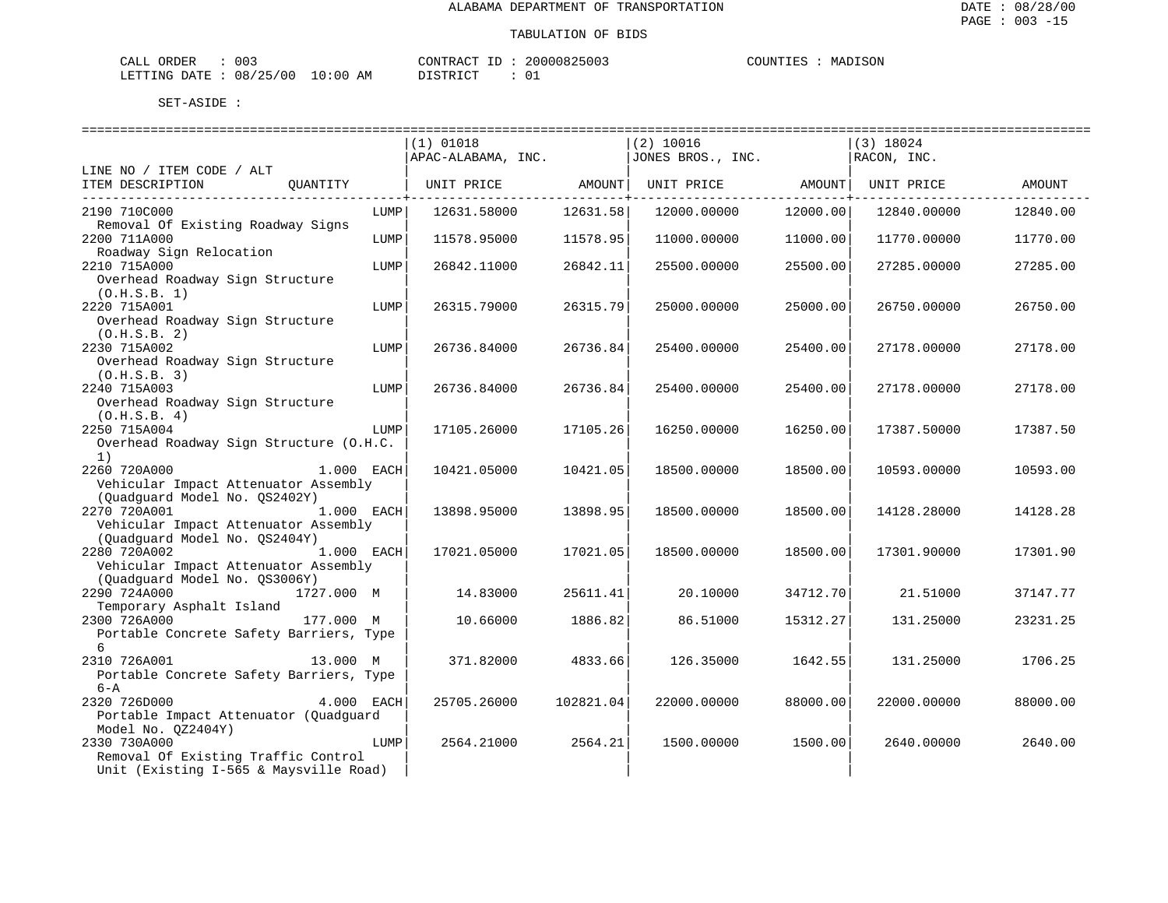| 003<br>CALL ORDER               | CONTRACT ID | 20000825003 | COUNTIES | MADISON |
|---------------------------------|-------------|-------------|----------|---------|
| LETTING DATE: 08/25/00 10:00 AM | DISTRICT    | ັບ          |          |         |

|                                         | (1) 01018          |            | $(2)$ 10016       |                                        | $(3)$ 18024 |          |
|-----------------------------------------|--------------------|------------|-------------------|----------------------------------------|-------------|----------|
|                                         | APAC-ALABAMA, INC. |            | JONES BROS., INC. |                                        | RACON, INC. |          |
| LINE NO / ITEM CODE / ALT               |                    |            |                   |                                        |             |          |
| ITEM DESCRIPTION<br>OUANTITY            | UNIT PRICE AMOUNT  |            | UNIT PRICE AMOUNT |                                        | UNIT PRICE  | AMOUNT   |
| ------------------------------          |                    | . <u>.</u> |                   | ----------------- <del>-</del> ------- |             |          |
| 2190 710C000<br>LUMP                    | 12631.58000        | 12631.58   | 12000.00000       | 12000.00                               | 12840.00000 | 12840.00 |
| Removal Of Existing Roadway Signs       |                    |            |                   |                                        |             |          |
| 2200 711A000<br>LUMP                    | 11578.95000        | 11578.95   | 11000.00000       | 11000.00                               | 11770.00000 | 11770.00 |
| Roadway Sign Relocation                 |                    |            |                   |                                        |             |          |
| 2210 715A000<br>LUMP                    | 26842.11000        | 26842.11   | 25500.00000       | 25500.00                               | 27285.00000 | 27285.00 |
| Overhead Roadway Sign Structure         |                    |            |                   |                                        |             |          |
| (0.H.S.B. 1)                            |                    |            |                   |                                        |             |          |
| 2220 715A001<br>LUMP                    | 26315.79000        | 26315.79   | 25000.00000       | 25000.00                               | 26750.00000 | 26750.00 |
| Overhead Roadway Sign Structure         |                    |            |                   |                                        |             |          |
| (0.H.S.B. 2)                            |                    |            |                   |                                        |             |          |
| 2230 715A002<br>LUMP                    | 26736.84000        | 26736.84   | 25400.00000       | 25400.00                               | 27178.00000 | 27178.00 |
| Overhead Roadway Sign Structure         |                    |            |                   |                                        |             |          |
| (0.H.S.B. 3)                            |                    |            |                   |                                        |             |          |
| 2240 715A003<br>LUMP                    | 26736.84000        | 26736.84   | 25400.00000       | 25400.00                               | 27178.00000 | 27178.00 |
| Overhead Roadway Sign Structure         |                    |            |                   |                                        |             |          |
| (0.H.S.B. 4)                            |                    |            |                   |                                        |             |          |
| 2250 715A004<br>LUMP                    | 17105.26000        | 17105.26   | 16250.00000       | 16250.00                               | 17387.50000 | 17387.50 |
| Overhead Roadway Sign Structure (O.H.C. |                    |            |                   |                                        |             |          |
| 1)                                      |                    |            |                   |                                        |             |          |
| $1.000$ EACH<br>2260 720A000            | 10421.05000        | 10421.05   | 18500.00000       | 18500.00                               | 10593.00000 | 10593.00 |
| Vehicular Impact Attenuator Assembly    |                    |            |                   |                                        |             |          |
| (Quadguard Model No. QS2402Y)           |                    |            |                   |                                        |             |          |
| 2270 720A001<br>1.000 EACH              | 13898.95000        | 13898.95   | 18500.00000       | 18500.00                               | 14128.28000 | 14128.28 |
| Vehicular Impact Attenuator Assembly    |                    |            |                   |                                        |             |          |
| (Quadguard Model No. QS2404Y)           |                    |            |                   |                                        |             |          |
| 2280 720A002<br>1.000 EACH              | 17021.05000        | 17021.05   | 18500.00000       | 18500.00                               | 17301.90000 | 17301.90 |
| Vehicular Impact Attenuator Assembly    |                    |            |                   |                                        |             |          |
| (Quadguard Model No. QS3006Y)           |                    |            |                   |                                        |             |          |
| 2290 724A000<br>1727.000 M              | 14.83000           | 25611.41   | 20.10000          | 34712.70                               | 21.51000    | 37147.77 |
| Temporary Asphalt Island                |                    |            |                   |                                        |             |          |
| 2300 726A000<br>177.000 M               | 10.66000           | 1886.82    | 86.51000          | 15312.27                               | 131.25000   | 23231.25 |
| Portable Concrete Safety Barriers, Type |                    |            |                   |                                        |             |          |
| 6                                       |                    |            |                   |                                        |             |          |
| 2310 726A001<br>13.000 M                | 371.82000          | 4833.66    | 126.35000         | 1642.55                                | 131.25000   | 1706.25  |
| Portable Concrete Safety Barriers, Type |                    |            |                   |                                        |             |          |
| $6 - A$                                 |                    |            |                   |                                        |             |          |
| 4.000 EACH<br>2320 726D000              | 25705.26000        | 102821.04  | 22000.00000       | 88000.00                               | 22000.00000 | 88000.00 |
| Portable Impact Attenuator (Quadguard   |                    |            |                   |                                        |             |          |
| Model No. 0Z2404Y)                      |                    |            |                   |                                        |             |          |
| 2330 730A000<br>LUMP                    | 2564.21000         | 2564.21    | 1500.00000        | 1500.00                                | 2640.00000  | 2640.00  |
| Removal Of Existing Traffic Control     |                    |            |                   |                                        |             |          |
| Unit (Existing I-565 & Maysville Road)  |                    |            |                   |                                        |             |          |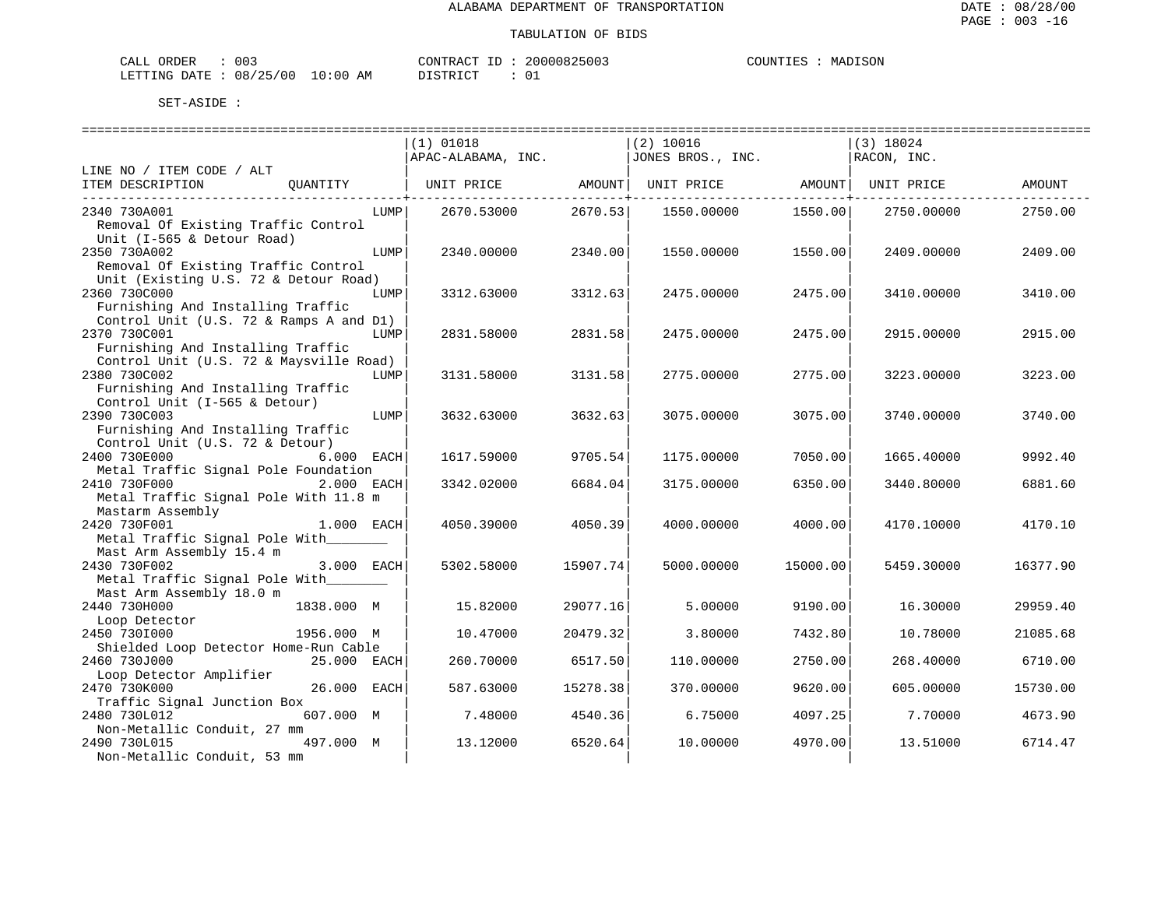| ORDER<br>CALI | ົ່<br>UU3 |               | CONTRACT   | TГ | 20000825003 | COUNTIES | MADISON |
|---------------|-----------|---------------|------------|----|-------------|----------|---------|
| LETTING DATE  | 08/25/00  | LO : 00<br>ΑM | DI STR TOT |    |             |          |         |

|                                         | ============================== |          | ============================= |          |             |          |
|-----------------------------------------|--------------------------------|----------|-------------------------------|----------|-------------|----------|
|                                         | $(1)$ 01018                    |          | $(2)$ 10016                   |          | $(3)$ 18024 |          |
|                                         | APAC-ALABAMA, INC.             |          | JONES BROS., INC.             |          | RACON, INC. |          |
| LINE NO / ITEM CODE / ALT               |                                |          |                               |          |             |          |
| ITEM DESCRIPTION<br>OUANTITY            | UNIT PRICE                     | AMOUNT   | UNIT PRICE                    | AMOUNT   | UNIT PRICE  | AMOUNT   |
|                                         |                                | -------+ |                               |          |             |          |
| 2340 730A001<br>LUMP                    | 2670.53000                     | 2670.53  | 1550.00000                    | 1550.00  | 2750.00000  | 2750.00  |
| Removal Of Existing Traffic Control     |                                |          |                               |          |             |          |
| Unit (I-565 & Detour Road)              |                                |          |                               |          |             |          |
| 2350 730A002<br>LUMP                    | 2340.00000                     | 2340.00  | 1550.00000                    | 1550.00  | 2409.00000  | 2409.00  |
| Removal Of Existing Traffic Control     |                                |          |                               |          |             |          |
| Unit (Existing U.S. 72 & Detour Road)   |                                |          |                               |          |             |          |
| 2360 730C000<br>LUMP                    | 3312.63000                     | 3312.63  | 2475.00000                    | 2475.00  | 3410.00000  | 3410.00  |
| Furnishing And Installing Traffic       |                                |          |                               |          |             |          |
|                                         |                                |          |                               |          |             |          |
| Control Unit (U.S. 72 & Ramps A and D1) |                                |          |                               |          |             |          |
| 2370 730C001<br>LUMP                    | 2831.58000                     | 2831.58  | 2475.00000                    | 2475.00  | 2915.00000  | 2915.00  |
| Furnishing And Installing Traffic       |                                |          |                               |          |             |          |
| Control Unit (U.S. 72 & Maysville Road) |                                |          |                               |          |             |          |
| 2380 730C002<br>LUMP                    | 3131.58000                     | 3131.58  | 2775.00000                    | 2775.00  | 3223.00000  | 3223.00  |
| Furnishing And Installing Traffic       |                                |          |                               |          |             |          |
| Control Unit (I-565 & Detour)           |                                |          |                               |          |             |          |
| 2390 730C003<br>LUMP                    | 3632.63000                     | 3632.63  | 3075.00000                    | 3075.00  | 3740.00000  | 3740.00  |
| Furnishing And Installing Traffic       |                                |          |                               |          |             |          |
| Control Unit (U.S. 72 & Detour)         |                                |          |                               |          |             |          |
| 2400 730E000<br>6.000 EACH              | 1617.59000                     | 9705.54  | 1175.00000                    | 7050.00  | 1665.40000  | 9992.40  |
| Metal Traffic Signal Pole Foundation    |                                |          |                               |          |             |          |
| 2410 730F000<br>2.000 EACH              | 3342.02000                     | 6684.04  | 3175.00000                    | 6350.00  | 3440.80000  | 6881.60  |
| Metal Traffic Signal Pole With 11.8 m   |                                |          |                               |          |             |          |
| Mastarm Assembly                        |                                |          |                               |          |             |          |
| 2420 730F001<br>$1.000$ EACH            | 4050.39000                     | 4050.39  | 4000.00000                    | 4000.00  | 4170.10000  | 4170.10  |
| Metal Traffic Signal Pole With          |                                |          |                               |          |             |          |
| Mast Arm Assembly 15.4 m                |                                |          |                               |          |             |          |
| 2430 730F002<br>3.000 EACH              | 5302.58000                     | 15907.74 | 5000.00000                    | 15000.00 | 5459.30000  | 16377.90 |
| Metal Traffic Signal Pole With          |                                |          |                               |          |             |          |
| Mast Arm Assembly 18.0 m                |                                |          |                               |          |             |          |
| 2440 730H000<br>1838.000 M              | 15.82000                       | 29077.16 | 5.00000                       | 9190.00  | 16.30000    | 29959.40 |
| Loop Detector                           |                                |          |                               |          |             |          |
| 2450 7301000<br>1956.000 M              | 10.47000                       | 20479.32 | 3.80000                       | 7432.80  | 10.78000    | 21085.68 |
| Shielded Loop Detector Home-Run Cable   |                                |          |                               |          |             |          |
| 2460 730J000<br>25.000 EACH             | 260.70000                      | 6517.50  | 110.00000                     | 2750.00  | 268.40000   | 6710.00  |
| Loop Detector Amplifier                 |                                |          |                               |          |             |          |
| 26.000 EACH                             | 587.63000                      | 15278.38 |                               |          |             |          |
| 2470 730K000                            |                                |          | 370.00000                     | 9620.00  | 605.00000   | 15730.00 |
| Traffic Signal Junction Box             |                                |          |                               |          |             |          |
| 2480 730L012<br>607.000 M               | 7.48000                        | 4540.36  | 6.75000                       | 4097.25  | 7.70000     | 4673.90  |
| Non-Metallic Conduit, 27 mm             |                                |          |                               |          |             |          |
| 497.000 M<br>2490 730L015               | 13.12000                       | 6520.64  | 10.00000                      | 4970.00  | 13.51000    | 6714.47  |
| Non-Metallic Conduit, 53 mm             |                                |          |                               |          |             |          |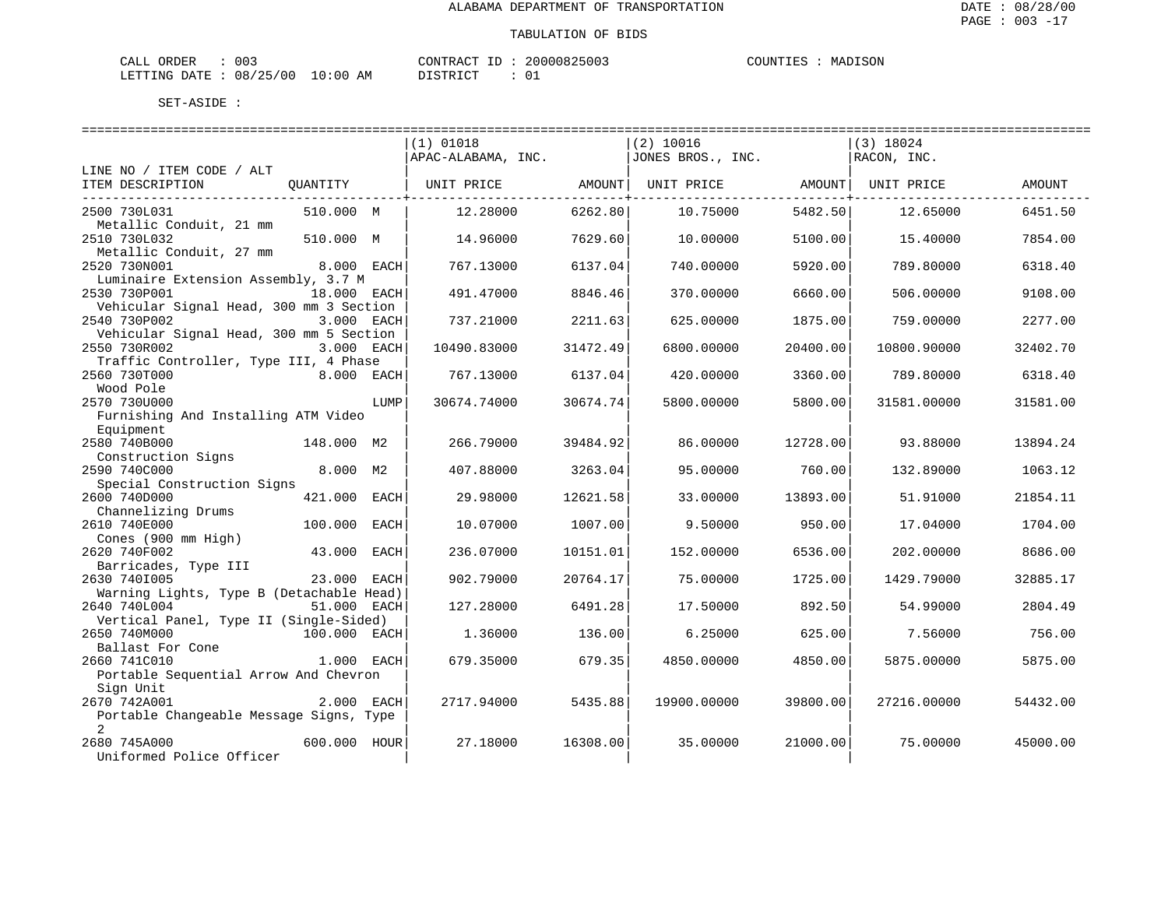| <b>ORDER</b><br>CALL | $\sim$ $\sim$ $\sim$<br>U U 3 |               | CONTRAC' | ΙD | 20000825003 | COUNTIES | MADISON |
|----------------------|-------------------------------|---------------|----------|----|-------------|----------|---------|
| LETTING DATE         | 08/25/00                      | LO : 00<br>ΑM | DISTRICT |    |             |          |         |

|                                                           |              |      | :=============================== |          | =============================== |          | =================================== |          |
|-----------------------------------------------------------|--------------|------|----------------------------------|----------|---------------------------------|----------|-------------------------------------|----------|
|                                                           |              |      | $(1)$ 01018                      |          | $(2)$ 10016                     |          | $(3)$ 18024                         |          |
|                                                           |              |      | APAC-ALABAMA, INC.               |          | JONES BROS., INC.               |          | RACON, INC.                         |          |
| LINE NO / ITEM CODE / ALT                                 |              |      |                                  |          |                                 |          |                                     |          |
| ITEM DESCRIPTION                                          | OUANTITY     |      | UNIT PRICE                       | AMOUNT   | UNIT PRICE                      | AMOUNT   | UNIT PRICE                          | AMOUNT   |
|                                                           |              |      |                                  |          |                                 |          |                                     |          |
| 2500 730L031<br>Metallic Conduit, 21 mm                   | 510.000 M    |      | 12,28000                         | 6262.80  | 10.75000                        | 5482.50  | 12.65000                            | 6451.50  |
| 2510 730L032                                              | 510.000 M    |      | 14.96000                         | 7629.60  | 10.00000                        | 5100.00  | 15.40000                            | 7854.00  |
| Metallic Conduit, 27 mm                                   |              |      |                                  |          |                                 |          |                                     |          |
| 2520 730N001                                              | 8.000 EACH   |      | 767.13000                        | 6137.04  | 740.00000                       | 5920.00  | 789.80000                           | 6318.40  |
| Luminaire Extension Assembly, 3.7 M                       |              |      |                                  |          |                                 |          |                                     |          |
| 2530 730P001                                              | 18.000 EACH  |      | 491.47000                        | 8846.46  | 370.00000                       | 6660.00  | 506.00000                           | 9108.00  |
| Vehicular Signal Head, 300 mm 3 Section                   |              |      |                                  |          |                                 |          |                                     |          |
| 2540 730P002                                              | 3.000 EACH   |      | 737.21000                        | 2211.63  | 625.00000                       | 1875.00  | 759.00000                           | 2277.00  |
| Vehicular Signal Head, 300 mm 5 Section                   |              |      |                                  |          |                                 |          |                                     |          |
| 2550 730R002                                              | 3.000 EACH   |      | 10490.83000                      | 31472.49 | 6800.00000                      | 20400.00 | 10800.90000                         | 32402.70 |
| Traffic Controller, Type III, 4 Phase                     |              |      |                                  |          |                                 |          |                                     |          |
| 2560 730T000<br>Wood Pole                                 | 8.000 EACH   |      | 767.13000                        | 6137.04  | 420.00000                       | 3360.00  | 789.80000                           | 6318.40  |
| 2570 730U000                                              |              | LUMP | 30674.74000                      | 30674.74 | 5800.00000                      | 5800.00  | 31581.00000                         | 31581.00 |
| Furnishing And Installing ATM Video                       |              |      |                                  |          |                                 |          |                                     |          |
| Equipment                                                 |              |      |                                  |          |                                 |          |                                     |          |
| 2580 740B000                                              | 148.000 M2   |      | 266.79000                        | 39484.92 | 86,00000                        | 12728.00 | 93.88000                            | 13894.24 |
| Construction Signs                                        |              |      |                                  |          |                                 |          |                                     |          |
| 2590 740C000                                              | 8.000 M2     |      | 407.88000                        | 3263.04  | 95.00000                        | 760.00   | 132.89000                           | 1063.12  |
| Special Construction Signs                                |              |      |                                  |          |                                 |          |                                     |          |
| 2600 740D000                                              | 421.000 EACH |      | 29.98000                         | 12621.58 | 33,00000                        | 13893.00 | 51.91000                            | 21854.11 |
| Channelizing Drums                                        |              |      |                                  |          |                                 |          |                                     |          |
| 2610 740E000                                              | 100.000      | EACH | 10.07000                         | 1007.00  | 9.50000                         | 950.00   | 17.04000                            | 1704.00  |
| Cones (900 mm High)                                       |              |      |                                  |          |                                 |          |                                     |          |
| 2620 740F002<br>Barricades, Type III                      | 43.000       | EACH | 236.07000                        | 10151.01 | 152.00000                       | 6536.00  | 202.00000                           | 8686.00  |
| 2630 7401005                                              | 23.000 EACH  |      | 902.79000                        | 20764.17 | 75.00000                        | 1725.00  | 1429.79000                          | 32885.17 |
| Warning Lights, Type B (Detachable Head)                  |              |      |                                  |          |                                 |          |                                     |          |
| 2640 740L004                                              | 51.000 EACH  |      | 127.28000                        | 6491.28  | 17.50000                        | 892.50   | 54.99000                            | 2804.49  |
| Vertical Panel, Type II (Single-Sided)                    |              |      |                                  |          |                                 |          |                                     |          |
| 2650 740M000                                              | 100.000 EACH |      | 1.36000                          | 136.00   | 6.25000                         | 625.00   | 7.56000                             | 756.00   |
| Ballast For Cone                                          |              |      |                                  |          |                                 |          |                                     |          |
| 2660 741C010                                              | 1.000 EACH   |      | 679.35000                        | 679.35   | 4850.00000                      | 4850.00  | 5875,00000                          | 5875.00  |
| Portable Sequential Arrow And Chevron                     |              |      |                                  |          |                                 |          |                                     |          |
| Sign Unit                                                 |              |      |                                  |          |                                 |          |                                     |          |
| 2670 742A001                                              | 2.000 EACH   |      | 2717.94000                       | 5435.88  | 19900.00000                     | 39800.00 | 27216.00000                         | 54432.00 |
| Portable Changeable Message Signs, Type<br>$\overline{2}$ |              |      |                                  |          |                                 |          |                                     |          |
| 2680 745A000                                              | 600.000 HOUR |      | 27.18000                         | 16308.00 | 35.00000                        | 21000.00 | 75.00000                            | 45000.00 |
| Uniformed Police Officer                                  |              |      |                                  |          |                                 |          |                                     |          |
|                                                           |              |      |                                  |          |                                 |          |                                     |          |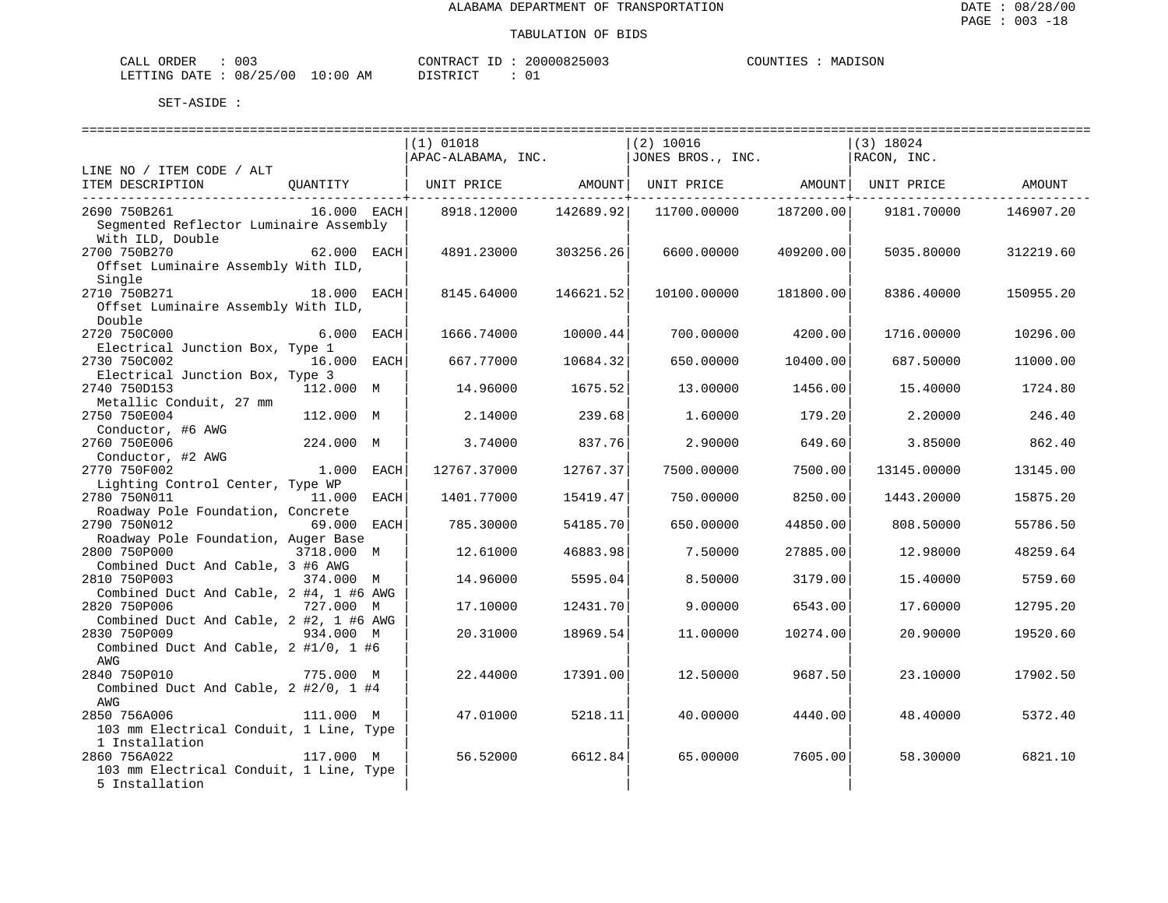| ORDER<br>CALI | ົ່<br>UU3 |               | CONTRACT   | TГ | 20000825003 | COUNTIES | MADISON |
|---------------|-----------|---------------|------------|----|-------------|----------|---------|
| LETTING DATE  | 08/25/00  | LO : 00<br>ΑM | DI STR TOT |    |             |          |         |

| $(1)$ 01018<br>$(2)$ 10016<br>(3) 18024<br>$ $ APAC-ALABAMA, INC. $ $ JONES BROS., INC.<br>RACON, INC.<br>LINE NO / ITEM CODE / ALT<br>UNIT PRICE AMOUNT<br>ITEM DESCRIPTION<br>QUANTITY  <br>UNIT PRICE AMOUNT   UNIT PRICE<br>AMOUNT<br>$16.000$ EACH<br>2690 750B261<br>8918.12000<br>142689.92<br>187200.00<br>9181.70000<br>11700.00000<br>146907.20<br>Segmented Reflector Luminaire Assembly<br>With ILD, Double<br>62.000 EACH<br>2700 750B270<br>4891.23000<br>303256.26<br>6600.00000<br>409200.00<br>5035.80000<br>312219.60<br>Offset Luminaire Assembly With ILD,<br>Single<br>2710 750B271<br>18.000 EACH<br>8145.64000<br>146621.52<br>10100.00000<br>181800.00<br>8386.40000<br>150955.20<br>Offset Luminaire Assembly With ILD,<br>Double<br>2720 750C000<br>6.000 EACH<br>1666.74000<br>10000.44<br>700.00000<br>4200.00<br>1716.00000<br>10296.00<br>Electrical Junction Box, Type 1<br>2730 750C002<br>16.000 EACH<br>10684.32<br>667.77000<br>650.00000<br>10400.00<br>687.50000<br>11000.00<br>Electrical Junction Box, Type 3<br>112.000 M<br>2740 750D153<br>14.96000<br>1675.52<br>1456.00<br>15.40000<br>1724.80<br>13.00000<br>Metallic Conduit, 27 mm<br>2750 750E004<br>112.000 M<br>2.14000<br>2,20000<br>246.40<br>239.68<br>1,60000<br>179.20<br>Conductor, #6 AWG<br>224.000 M<br>2760 750E006<br>3.74000<br>837.76<br>2.90000<br>649.60<br>3.85000<br>862.40<br>Conductor, #2 AWG<br>2770 750F002<br>1.000 EACH<br>12767.37000<br>12767.37<br>7500.00000<br>7500.00<br>13145.00000<br>13145.00<br>Lighting Control Center, Type WP<br>2780 750N011<br>11.000 EACH<br>1401.77000<br>15419.47<br>750.00000<br>8250.00<br>1443.20000<br>15875.20<br>Roadway Pole Foundation, Concrete<br>69.000 EACH<br>2790 750N012<br>785.30000<br>54185.70<br>650.00000<br>44850.00<br>808.50000<br>55786.50<br>Roadway Pole Foundation, Auger Base<br>3718.000 M<br>2800 750P000<br>46883.98<br>12.61000<br>7.50000<br>27885.00<br>12.98000<br>48259.64<br>Combined Duct And Cable, 3 #6 AWG<br>2810 750P003<br>374.000 M<br>14.96000<br>5595.04<br>8.50000<br>3179.00<br>15.40000<br>5759.60<br>Combined Duct And Cable, 2 #4, 1 #6 AWG<br>2820 750P006<br>727.000 M<br>12431.70<br>17.10000<br>9.00000<br>6543.00<br>17.60000<br>12795.20<br>Combined Duct And Cable, 2 #2, 1 #6 AWG<br>2830 750P009<br>934.000 M<br>20.31000<br>18969.54<br>11,00000<br>10274.00<br>20.90000<br>19520.60<br>Combined Duct And Cable, 2 #1/0, 1 #6<br>AWG<br>2840 750P010<br>22.44000<br>17391.00<br>12.50000<br>775.000 M<br>9687.50<br>23.10000<br>17902.50<br>Combined Duct And Cable, 2 #2/0, 1 #4<br>AWG<br>2850 756A006<br>5218.11<br>111.000 M<br>47.01000<br>40.00000<br>4440.00<br>48.40000<br>5372.40<br>103 mm Electrical Conduit, 1 Line, Type<br>1 Installation<br>117.000 M<br>2860 756A022<br>56.52000<br>6612.84<br>65.00000<br>6821.10<br>7605.00<br>58.30000<br>103 mm Electrical Conduit, 1 Line, Type |                |  |  |  |  |
|--------------------------------------------------------------------------------------------------------------------------------------------------------------------------------------------------------------------------------------------------------------------------------------------------------------------------------------------------------------------------------------------------------------------------------------------------------------------------------------------------------------------------------------------------------------------------------------------------------------------------------------------------------------------------------------------------------------------------------------------------------------------------------------------------------------------------------------------------------------------------------------------------------------------------------------------------------------------------------------------------------------------------------------------------------------------------------------------------------------------------------------------------------------------------------------------------------------------------------------------------------------------------------------------------------------------------------------------------------------------------------------------------------------------------------------------------------------------------------------------------------------------------------------------------------------------------------------------------------------------------------------------------------------------------------------------------------------------------------------------------------------------------------------------------------------------------------------------------------------------------------------------------------------------------------------------------------------------------------------------------------------------------------------------------------------------------------------------------------------------------------------------------------------------------------------------------------------------------------------------------------------------------------------------------------------------------------------------------------------------------------------------------------------------------------------------------------------------------------------------------------------------------------------------------------------------------------------------------------------------------------------------------------------------------------------------------------------------------------------------------------------------------------------------------------------------------------------------------------------------------------------------------------------------------------|----------------|--|--|--|--|
|                                                                                                                                                                                                                                                                                                                                                                                                                                                                                                                                                                                                                                                                                                                                                                                                                                                                                                                                                                                                                                                                                                                                                                                                                                                                                                                                                                                                                                                                                                                                                                                                                                                                                                                                                                                                                                                                                                                                                                                                                                                                                                                                                                                                                                                                                                                                                                                                                                                                                                                                                                                                                                                                                                                                                                                                                                                                                                                                |                |  |  |  |  |
|                                                                                                                                                                                                                                                                                                                                                                                                                                                                                                                                                                                                                                                                                                                                                                                                                                                                                                                                                                                                                                                                                                                                                                                                                                                                                                                                                                                                                                                                                                                                                                                                                                                                                                                                                                                                                                                                                                                                                                                                                                                                                                                                                                                                                                                                                                                                                                                                                                                                                                                                                                                                                                                                                                                                                                                                                                                                                                                                |                |  |  |  |  |
|                                                                                                                                                                                                                                                                                                                                                                                                                                                                                                                                                                                                                                                                                                                                                                                                                                                                                                                                                                                                                                                                                                                                                                                                                                                                                                                                                                                                                                                                                                                                                                                                                                                                                                                                                                                                                                                                                                                                                                                                                                                                                                                                                                                                                                                                                                                                                                                                                                                                                                                                                                                                                                                                                                                                                                                                                                                                                                                                |                |  |  |  |  |
|                                                                                                                                                                                                                                                                                                                                                                                                                                                                                                                                                                                                                                                                                                                                                                                                                                                                                                                                                                                                                                                                                                                                                                                                                                                                                                                                                                                                                                                                                                                                                                                                                                                                                                                                                                                                                                                                                                                                                                                                                                                                                                                                                                                                                                                                                                                                                                                                                                                                                                                                                                                                                                                                                                                                                                                                                                                                                                                                |                |  |  |  |  |
|                                                                                                                                                                                                                                                                                                                                                                                                                                                                                                                                                                                                                                                                                                                                                                                                                                                                                                                                                                                                                                                                                                                                                                                                                                                                                                                                                                                                                                                                                                                                                                                                                                                                                                                                                                                                                                                                                                                                                                                                                                                                                                                                                                                                                                                                                                                                                                                                                                                                                                                                                                                                                                                                                                                                                                                                                                                                                                                                |                |  |  |  |  |
|                                                                                                                                                                                                                                                                                                                                                                                                                                                                                                                                                                                                                                                                                                                                                                                                                                                                                                                                                                                                                                                                                                                                                                                                                                                                                                                                                                                                                                                                                                                                                                                                                                                                                                                                                                                                                                                                                                                                                                                                                                                                                                                                                                                                                                                                                                                                                                                                                                                                                                                                                                                                                                                                                                                                                                                                                                                                                                                                |                |  |  |  |  |
|                                                                                                                                                                                                                                                                                                                                                                                                                                                                                                                                                                                                                                                                                                                                                                                                                                                                                                                                                                                                                                                                                                                                                                                                                                                                                                                                                                                                                                                                                                                                                                                                                                                                                                                                                                                                                                                                                                                                                                                                                                                                                                                                                                                                                                                                                                                                                                                                                                                                                                                                                                                                                                                                                                                                                                                                                                                                                                                                |                |  |  |  |  |
|                                                                                                                                                                                                                                                                                                                                                                                                                                                                                                                                                                                                                                                                                                                                                                                                                                                                                                                                                                                                                                                                                                                                                                                                                                                                                                                                                                                                                                                                                                                                                                                                                                                                                                                                                                                                                                                                                                                                                                                                                                                                                                                                                                                                                                                                                                                                                                                                                                                                                                                                                                                                                                                                                                                                                                                                                                                                                                                                |                |  |  |  |  |
|                                                                                                                                                                                                                                                                                                                                                                                                                                                                                                                                                                                                                                                                                                                                                                                                                                                                                                                                                                                                                                                                                                                                                                                                                                                                                                                                                                                                                                                                                                                                                                                                                                                                                                                                                                                                                                                                                                                                                                                                                                                                                                                                                                                                                                                                                                                                                                                                                                                                                                                                                                                                                                                                                                                                                                                                                                                                                                                                |                |  |  |  |  |
|                                                                                                                                                                                                                                                                                                                                                                                                                                                                                                                                                                                                                                                                                                                                                                                                                                                                                                                                                                                                                                                                                                                                                                                                                                                                                                                                                                                                                                                                                                                                                                                                                                                                                                                                                                                                                                                                                                                                                                                                                                                                                                                                                                                                                                                                                                                                                                                                                                                                                                                                                                                                                                                                                                                                                                                                                                                                                                                                |                |  |  |  |  |
|                                                                                                                                                                                                                                                                                                                                                                                                                                                                                                                                                                                                                                                                                                                                                                                                                                                                                                                                                                                                                                                                                                                                                                                                                                                                                                                                                                                                                                                                                                                                                                                                                                                                                                                                                                                                                                                                                                                                                                                                                                                                                                                                                                                                                                                                                                                                                                                                                                                                                                                                                                                                                                                                                                                                                                                                                                                                                                                                |                |  |  |  |  |
|                                                                                                                                                                                                                                                                                                                                                                                                                                                                                                                                                                                                                                                                                                                                                                                                                                                                                                                                                                                                                                                                                                                                                                                                                                                                                                                                                                                                                                                                                                                                                                                                                                                                                                                                                                                                                                                                                                                                                                                                                                                                                                                                                                                                                                                                                                                                                                                                                                                                                                                                                                                                                                                                                                                                                                                                                                                                                                                                |                |  |  |  |  |
|                                                                                                                                                                                                                                                                                                                                                                                                                                                                                                                                                                                                                                                                                                                                                                                                                                                                                                                                                                                                                                                                                                                                                                                                                                                                                                                                                                                                                                                                                                                                                                                                                                                                                                                                                                                                                                                                                                                                                                                                                                                                                                                                                                                                                                                                                                                                                                                                                                                                                                                                                                                                                                                                                                                                                                                                                                                                                                                                |                |  |  |  |  |
|                                                                                                                                                                                                                                                                                                                                                                                                                                                                                                                                                                                                                                                                                                                                                                                                                                                                                                                                                                                                                                                                                                                                                                                                                                                                                                                                                                                                                                                                                                                                                                                                                                                                                                                                                                                                                                                                                                                                                                                                                                                                                                                                                                                                                                                                                                                                                                                                                                                                                                                                                                                                                                                                                                                                                                                                                                                                                                                                |                |  |  |  |  |
|                                                                                                                                                                                                                                                                                                                                                                                                                                                                                                                                                                                                                                                                                                                                                                                                                                                                                                                                                                                                                                                                                                                                                                                                                                                                                                                                                                                                                                                                                                                                                                                                                                                                                                                                                                                                                                                                                                                                                                                                                                                                                                                                                                                                                                                                                                                                                                                                                                                                                                                                                                                                                                                                                                                                                                                                                                                                                                                                |                |  |  |  |  |
|                                                                                                                                                                                                                                                                                                                                                                                                                                                                                                                                                                                                                                                                                                                                                                                                                                                                                                                                                                                                                                                                                                                                                                                                                                                                                                                                                                                                                                                                                                                                                                                                                                                                                                                                                                                                                                                                                                                                                                                                                                                                                                                                                                                                                                                                                                                                                                                                                                                                                                                                                                                                                                                                                                                                                                                                                                                                                                                                |                |  |  |  |  |
|                                                                                                                                                                                                                                                                                                                                                                                                                                                                                                                                                                                                                                                                                                                                                                                                                                                                                                                                                                                                                                                                                                                                                                                                                                                                                                                                                                                                                                                                                                                                                                                                                                                                                                                                                                                                                                                                                                                                                                                                                                                                                                                                                                                                                                                                                                                                                                                                                                                                                                                                                                                                                                                                                                                                                                                                                                                                                                                                |                |  |  |  |  |
|                                                                                                                                                                                                                                                                                                                                                                                                                                                                                                                                                                                                                                                                                                                                                                                                                                                                                                                                                                                                                                                                                                                                                                                                                                                                                                                                                                                                                                                                                                                                                                                                                                                                                                                                                                                                                                                                                                                                                                                                                                                                                                                                                                                                                                                                                                                                                                                                                                                                                                                                                                                                                                                                                                                                                                                                                                                                                                                                |                |  |  |  |  |
|                                                                                                                                                                                                                                                                                                                                                                                                                                                                                                                                                                                                                                                                                                                                                                                                                                                                                                                                                                                                                                                                                                                                                                                                                                                                                                                                                                                                                                                                                                                                                                                                                                                                                                                                                                                                                                                                                                                                                                                                                                                                                                                                                                                                                                                                                                                                                                                                                                                                                                                                                                                                                                                                                                                                                                                                                                                                                                                                |                |  |  |  |  |
|                                                                                                                                                                                                                                                                                                                                                                                                                                                                                                                                                                                                                                                                                                                                                                                                                                                                                                                                                                                                                                                                                                                                                                                                                                                                                                                                                                                                                                                                                                                                                                                                                                                                                                                                                                                                                                                                                                                                                                                                                                                                                                                                                                                                                                                                                                                                                                                                                                                                                                                                                                                                                                                                                                                                                                                                                                                                                                                                |                |  |  |  |  |
|                                                                                                                                                                                                                                                                                                                                                                                                                                                                                                                                                                                                                                                                                                                                                                                                                                                                                                                                                                                                                                                                                                                                                                                                                                                                                                                                                                                                                                                                                                                                                                                                                                                                                                                                                                                                                                                                                                                                                                                                                                                                                                                                                                                                                                                                                                                                                                                                                                                                                                                                                                                                                                                                                                                                                                                                                                                                                                                                |                |  |  |  |  |
|                                                                                                                                                                                                                                                                                                                                                                                                                                                                                                                                                                                                                                                                                                                                                                                                                                                                                                                                                                                                                                                                                                                                                                                                                                                                                                                                                                                                                                                                                                                                                                                                                                                                                                                                                                                                                                                                                                                                                                                                                                                                                                                                                                                                                                                                                                                                                                                                                                                                                                                                                                                                                                                                                                                                                                                                                                                                                                                                |                |  |  |  |  |
|                                                                                                                                                                                                                                                                                                                                                                                                                                                                                                                                                                                                                                                                                                                                                                                                                                                                                                                                                                                                                                                                                                                                                                                                                                                                                                                                                                                                                                                                                                                                                                                                                                                                                                                                                                                                                                                                                                                                                                                                                                                                                                                                                                                                                                                                                                                                                                                                                                                                                                                                                                                                                                                                                                                                                                                                                                                                                                                                |                |  |  |  |  |
|                                                                                                                                                                                                                                                                                                                                                                                                                                                                                                                                                                                                                                                                                                                                                                                                                                                                                                                                                                                                                                                                                                                                                                                                                                                                                                                                                                                                                                                                                                                                                                                                                                                                                                                                                                                                                                                                                                                                                                                                                                                                                                                                                                                                                                                                                                                                                                                                                                                                                                                                                                                                                                                                                                                                                                                                                                                                                                                                |                |  |  |  |  |
|                                                                                                                                                                                                                                                                                                                                                                                                                                                                                                                                                                                                                                                                                                                                                                                                                                                                                                                                                                                                                                                                                                                                                                                                                                                                                                                                                                                                                                                                                                                                                                                                                                                                                                                                                                                                                                                                                                                                                                                                                                                                                                                                                                                                                                                                                                                                                                                                                                                                                                                                                                                                                                                                                                                                                                                                                                                                                                                                |                |  |  |  |  |
|                                                                                                                                                                                                                                                                                                                                                                                                                                                                                                                                                                                                                                                                                                                                                                                                                                                                                                                                                                                                                                                                                                                                                                                                                                                                                                                                                                                                                                                                                                                                                                                                                                                                                                                                                                                                                                                                                                                                                                                                                                                                                                                                                                                                                                                                                                                                                                                                                                                                                                                                                                                                                                                                                                                                                                                                                                                                                                                                |                |  |  |  |  |
|                                                                                                                                                                                                                                                                                                                                                                                                                                                                                                                                                                                                                                                                                                                                                                                                                                                                                                                                                                                                                                                                                                                                                                                                                                                                                                                                                                                                                                                                                                                                                                                                                                                                                                                                                                                                                                                                                                                                                                                                                                                                                                                                                                                                                                                                                                                                                                                                                                                                                                                                                                                                                                                                                                                                                                                                                                                                                                                                |                |  |  |  |  |
|                                                                                                                                                                                                                                                                                                                                                                                                                                                                                                                                                                                                                                                                                                                                                                                                                                                                                                                                                                                                                                                                                                                                                                                                                                                                                                                                                                                                                                                                                                                                                                                                                                                                                                                                                                                                                                                                                                                                                                                                                                                                                                                                                                                                                                                                                                                                                                                                                                                                                                                                                                                                                                                                                                                                                                                                                                                                                                                                |                |  |  |  |  |
|                                                                                                                                                                                                                                                                                                                                                                                                                                                                                                                                                                                                                                                                                                                                                                                                                                                                                                                                                                                                                                                                                                                                                                                                                                                                                                                                                                                                                                                                                                                                                                                                                                                                                                                                                                                                                                                                                                                                                                                                                                                                                                                                                                                                                                                                                                                                                                                                                                                                                                                                                                                                                                                                                                                                                                                                                                                                                                                                |                |  |  |  |  |
|                                                                                                                                                                                                                                                                                                                                                                                                                                                                                                                                                                                                                                                                                                                                                                                                                                                                                                                                                                                                                                                                                                                                                                                                                                                                                                                                                                                                                                                                                                                                                                                                                                                                                                                                                                                                                                                                                                                                                                                                                                                                                                                                                                                                                                                                                                                                                                                                                                                                                                                                                                                                                                                                                                                                                                                                                                                                                                                                |                |  |  |  |  |
|                                                                                                                                                                                                                                                                                                                                                                                                                                                                                                                                                                                                                                                                                                                                                                                                                                                                                                                                                                                                                                                                                                                                                                                                                                                                                                                                                                                                                                                                                                                                                                                                                                                                                                                                                                                                                                                                                                                                                                                                                                                                                                                                                                                                                                                                                                                                                                                                                                                                                                                                                                                                                                                                                                                                                                                                                                                                                                                                |                |  |  |  |  |
|                                                                                                                                                                                                                                                                                                                                                                                                                                                                                                                                                                                                                                                                                                                                                                                                                                                                                                                                                                                                                                                                                                                                                                                                                                                                                                                                                                                                                                                                                                                                                                                                                                                                                                                                                                                                                                                                                                                                                                                                                                                                                                                                                                                                                                                                                                                                                                                                                                                                                                                                                                                                                                                                                                                                                                                                                                                                                                                                |                |  |  |  |  |
|                                                                                                                                                                                                                                                                                                                                                                                                                                                                                                                                                                                                                                                                                                                                                                                                                                                                                                                                                                                                                                                                                                                                                                                                                                                                                                                                                                                                                                                                                                                                                                                                                                                                                                                                                                                                                                                                                                                                                                                                                                                                                                                                                                                                                                                                                                                                                                                                                                                                                                                                                                                                                                                                                                                                                                                                                                                                                                                                |                |  |  |  |  |
|                                                                                                                                                                                                                                                                                                                                                                                                                                                                                                                                                                                                                                                                                                                                                                                                                                                                                                                                                                                                                                                                                                                                                                                                                                                                                                                                                                                                                                                                                                                                                                                                                                                                                                                                                                                                                                                                                                                                                                                                                                                                                                                                                                                                                                                                                                                                                                                                                                                                                                                                                                                                                                                                                                                                                                                                                                                                                                                                |                |  |  |  |  |
|                                                                                                                                                                                                                                                                                                                                                                                                                                                                                                                                                                                                                                                                                                                                                                                                                                                                                                                                                                                                                                                                                                                                                                                                                                                                                                                                                                                                                                                                                                                                                                                                                                                                                                                                                                                                                                                                                                                                                                                                                                                                                                                                                                                                                                                                                                                                                                                                                                                                                                                                                                                                                                                                                                                                                                                                                                                                                                                                |                |  |  |  |  |
|                                                                                                                                                                                                                                                                                                                                                                                                                                                                                                                                                                                                                                                                                                                                                                                                                                                                                                                                                                                                                                                                                                                                                                                                                                                                                                                                                                                                                                                                                                                                                                                                                                                                                                                                                                                                                                                                                                                                                                                                                                                                                                                                                                                                                                                                                                                                                                                                                                                                                                                                                                                                                                                                                                                                                                                                                                                                                                                                |                |  |  |  |  |
|                                                                                                                                                                                                                                                                                                                                                                                                                                                                                                                                                                                                                                                                                                                                                                                                                                                                                                                                                                                                                                                                                                                                                                                                                                                                                                                                                                                                                                                                                                                                                                                                                                                                                                                                                                                                                                                                                                                                                                                                                                                                                                                                                                                                                                                                                                                                                                                                                                                                                                                                                                                                                                                                                                                                                                                                                                                                                                                                |                |  |  |  |  |
|                                                                                                                                                                                                                                                                                                                                                                                                                                                                                                                                                                                                                                                                                                                                                                                                                                                                                                                                                                                                                                                                                                                                                                                                                                                                                                                                                                                                                                                                                                                                                                                                                                                                                                                                                                                                                                                                                                                                                                                                                                                                                                                                                                                                                                                                                                                                                                                                                                                                                                                                                                                                                                                                                                                                                                                                                                                                                                                                |                |  |  |  |  |
|                                                                                                                                                                                                                                                                                                                                                                                                                                                                                                                                                                                                                                                                                                                                                                                                                                                                                                                                                                                                                                                                                                                                                                                                                                                                                                                                                                                                                                                                                                                                                                                                                                                                                                                                                                                                                                                                                                                                                                                                                                                                                                                                                                                                                                                                                                                                                                                                                                                                                                                                                                                                                                                                                                                                                                                                                                                                                                                                |                |  |  |  |  |
|                                                                                                                                                                                                                                                                                                                                                                                                                                                                                                                                                                                                                                                                                                                                                                                                                                                                                                                                                                                                                                                                                                                                                                                                                                                                                                                                                                                                                                                                                                                                                                                                                                                                                                                                                                                                                                                                                                                                                                                                                                                                                                                                                                                                                                                                                                                                                                                                                                                                                                                                                                                                                                                                                                                                                                                                                                                                                                                                |                |  |  |  |  |
|                                                                                                                                                                                                                                                                                                                                                                                                                                                                                                                                                                                                                                                                                                                                                                                                                                                                                                                                                                                                                                                                                                                                                                                                                                                                                                                                                                                                                                                                                                                                                                                                                                                                                                                                                                                                                                                                                                                                                                                                                                                                                                                                                                                                                                                                                                                                                                                                                                                                                                                                                                                                                                                                                                                                                                                                                                                                                                                                |                |  |  |  |  |
|                                                                                                                                                                                                                                                                                                                                                                                                                                                                                                                                                                                                                                                                                                                                                                                                                                                                                                                                                                                                                                                                                                                                                                                                                                                                                                                                                                                                                                                                                                                                                                                                                                                                                                                                                                                                                                                                                                                                                                                                                                                                                                                                                                                                                                                                                                                                                                                                                                                                                                                                                                                                                                                                                                                                                                                                                                                                                                                                |                |  |  |  |  |
|                                                                                                                                                                                                                                                                                                                                                                                                                                                                                                                                                                                                                                                                                                                                                                                                                                                                                                                                                                                                                                                                                                                                                                                                                                                                                                                                                                                                                                                                                                                                                                                                                                                                                                                                                                                                                                                                                                                                                                                                                                                                                                                                                                                                                                                                                                                                                                                                                                                                                                                                                                                                                                                                                                                                                                                                                                                                                                                                | 5 Installation |  |  |  |  |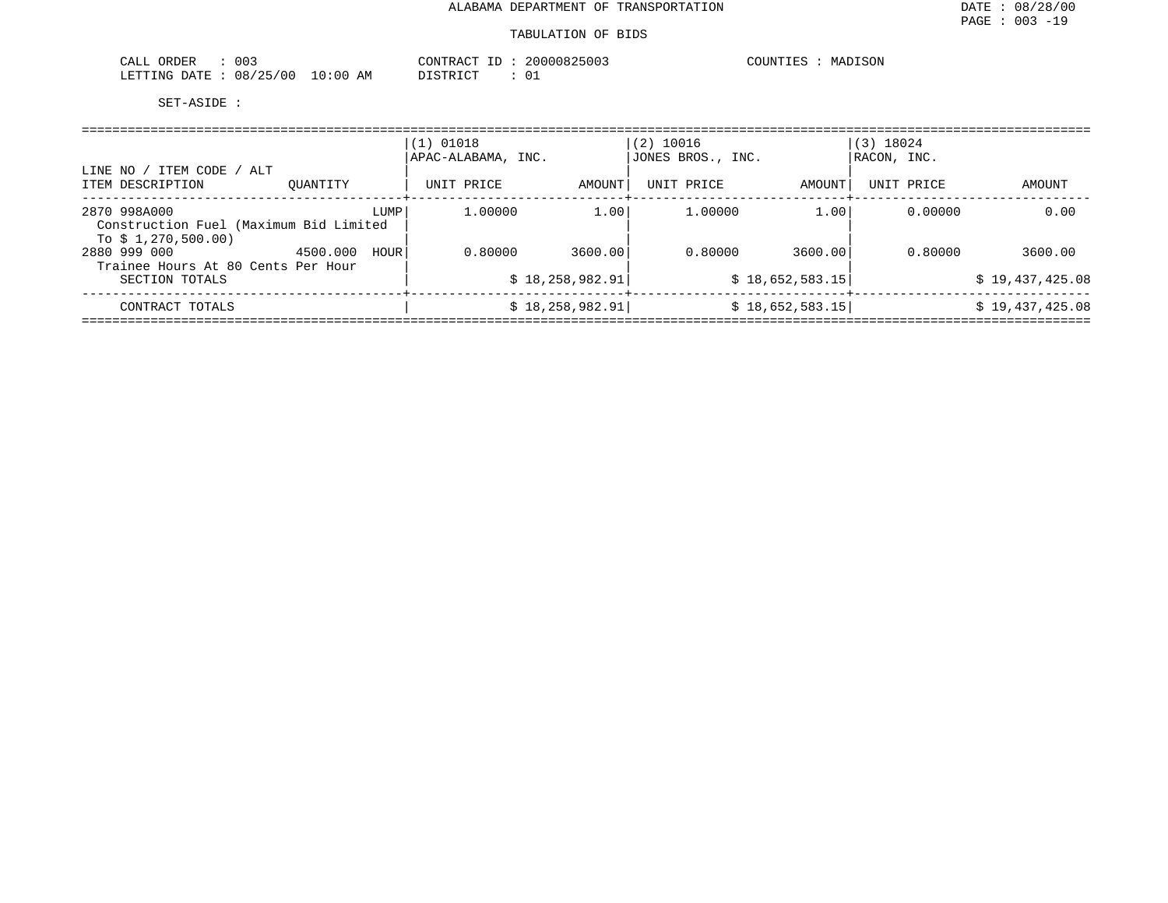| 003<br>ORDER<br>CALL     | CONTRACT                | 20000825003<br>$- -$ | MADISON<br>COUNTIES |
|--------------------------|-------------------------|----------------------|---------------------|
| 08/25/00<br>LETTING DATE | 10:00<br>DISTRICT<br>AΜ | ـ ب                  |                     |

| LINE NO / ITEM CODE / ALT<br>ITEM DESCRIPTION                                | OUANTITY |      | $(1)$ 01018<br>APAC-ALABAMA, INC.<br>UNIT PRICE | AMOUNT                     | $(2)$ 10016<br>JONES BROS., INC.<br>UNIT PRICE | AMOUNT                     | $(3)$ 18024<br> RACON, INC.<br>UNIT PRICE | AMOUNT                     |
|------------------------------------------------------------------------------|----------|------|-------------------------------------------------|----------------------------|------------------------------------------------|----------------------------|-------------------------------------------|----------------------------|
| 2870 998A000<br>Construction Fuel (Maximum Bid Limited<br>To \$1,270,500.00) |          | LUMP | 1,00000                                         | 1.00                       | 1,00000                                        | 1.00                       | 0.00000                                   | 0.00                       |
| 2880 999 000<br>Trainee Hours At 80 Cents Per Hour<br>SECTION TOTALS         | 4500.000 | HOUR | 0.80000                                         | 3600.00<br>\$18,258,982.91 | 0.80000                                        | 3600.00<br>\$18,652,583.15 | 0.80000                                   | 3600.00<br>\$19,437,425.08 |
| CONTRACT TOTALS                                                              |          |      |                                                 | \$18, 258, 982.91          |                                                | \$18,652,583.15            |                                           | \$19,437,425.08            |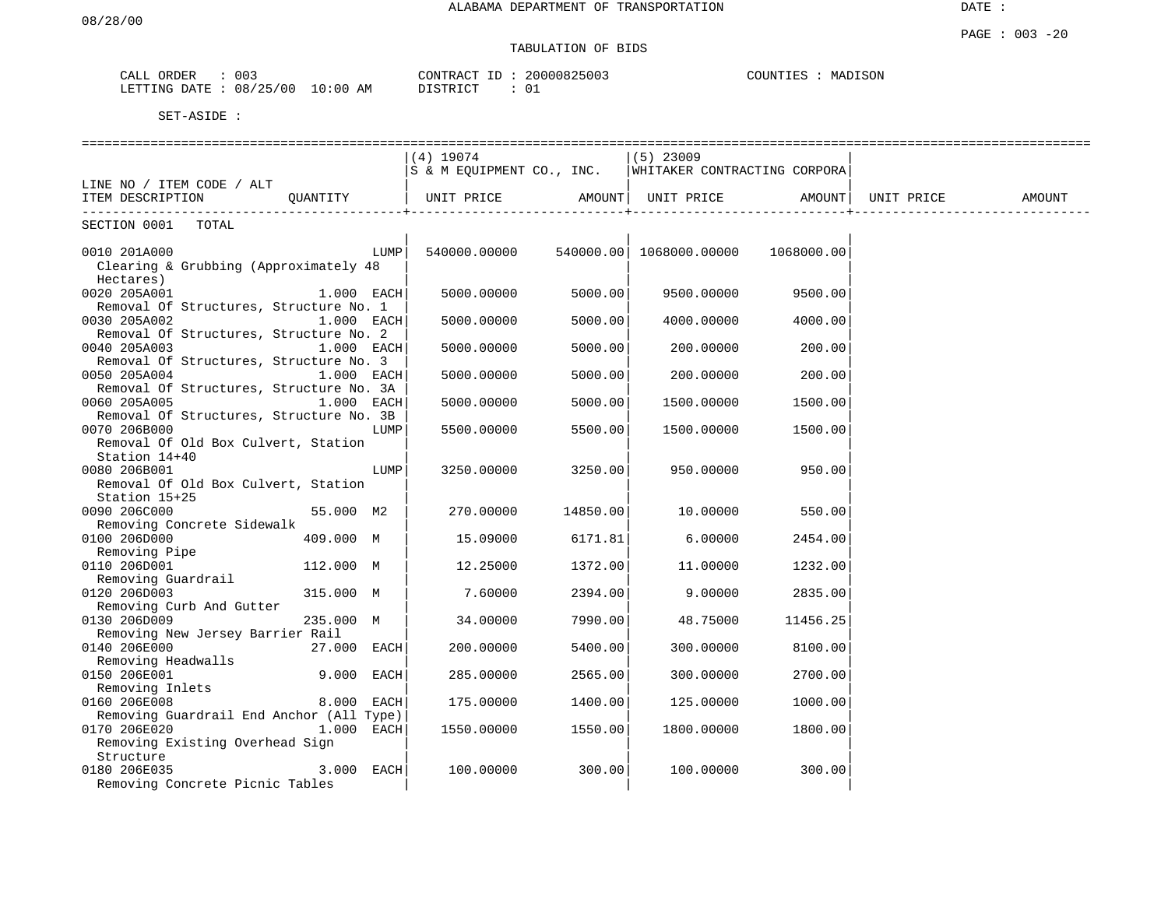# TABULATION OF BIDS

| ORDER<br>CALL | 003      |             | CONTRACT ID | 20000825003 | COUNTIES<br>MADISON |
|---------------|----------|-------------|-------------|-------------|---------------------|
| LETTING DATE  | 08/25/00 | 10:00<br>ΑM | DISTRICT    | 01          |                     |

|                                                    |              |            | $(4)$ 19074                                              |          | $(5)$ 23009       |                   |            |        |
|----------------------------------------------------|--------------|------------|----------------------------------------------------------|----------|-------------------|-------------------|------------|--------|
|                                                    |              |            | S & M EQUIPMENT CO., INC.   WHITAKER CONTRACTING CORPORA |          |                   |                   |            |        |
| LINE NO / ITEM CODE / ALT                          |              |            |                                                          |          |                   |                   |            |        |
| ITEM DESCRIPTION                                   | QUANTITY     |            | UNIT PRICE                                               | AMOUNT   | UNIT PRICE AMOUNT |                   | UNIT PRICE | AMOUNT |
| ____________________________<br>SECTION 0001 TOTAL |              |            |                                                          |          |                   | ----------------+ |            |        |
| 0010 201A000                                       |              | LUMP       |                                                          |          |                   |                   |            |        |
| Clearing & Grubbing (Approximately 48              |              |            |                                                          |          |                   |                   |            |        |
| Hectares)                                          |              |            |                                                          |          |                   |                   |            |        |
| 0020 205A001                                       | $1.000$ EACH |            | 5000.00000                                               | 5000.00  |                   |                   |            |        |
|                                                    |              |            |                                                          |          | 9500.00000        | 9500.00           |            |        |
| Removal Of Structures, Structure No. 1             |              |            |                                                          |          |                   |                   |            |        |
| 0030 205A002                                       | $1.000$ EACH |            | 5000.00000                                               | 5000.00  | 4000.00000        | 4000.00           |            |        |
| Removal Of Structures, Structure No. 2             |              |            |                                                          |          |                   |                   |            |        |
| 0040 205A003                                       | 1.000 EACH   |            | 5000.00000                                               | 5000.00  | 200.00000         | 200.00            |            |        |
| Removal Of Structures, Structure No. 3             |              |            |                                                          |          |                   |                   |            |        |
| 0050 205A004                                       | 1.000 EACH   |            | 5000.00000                                               | 5000.00  | 200.00000         | 200.00            |            |        |
| Removal Of Structures, Structure No. 3A            |              |            |                                                          |          |                   |                   |            |        |
| 0060 205A005                                       | $1.000$ EACH |            | 5000.00000                                               | 5000.00  | 1500.00000        | 1500.00           |            |        |
| Removal Of Structures, Structure No. 3B            |              |            |                                                          |          |                   |                   |            |        |
| 0070 206B000                                       |              | LUMP       | 5500.00000                                               | 5500.00  | 1500.00000        | 1500.00           |            |        |
| Removal Of Old Box Culvert, Station                |              |            |                                                          |          |                   |                   |            |        |
| Station 14+40                                      |              |            |                                                          |          |                   |                   |            |        |
| 0080 206B001                                       |              | LUMP       | 3250.00000                                               | 3250.00  | 950.00000         | 950.00            |            |        |
| Removal Of Old Box Culvert, Station                |              |            |                                                          |          |                   |                   |            |        |
| Station 15+25                                      |              |            |                                                          |          |                   |                   |            |        |
| 0090 206C000                                       | 55.000 M2    |            | 270.00000                                                | 14850.00 | 10.00000          | 550.00            |            |        |
| Removing Concrete Sidewalk                         |              |            |                                                          |          |                   |                   |            |        |
| 0100 206D000                                       | 409.000 M    |            | 15.09000                                                 | 6171.81  | 6.00000           | 2454.00           |            |        |
| Removing Pipe                                      |              |            |                                                          |          |                   |                   |            |        |
| 0110 206D001                                       | 112.000 M    |            | 12.25000                                                 | 1372.00  | 11,00000          | 1232.00           |            |        |
| Removing Guardrail                                 |              |            |                                                          |          |                   |                   |            |        |
| 0120 206D003                                       | 315.000 M    |            | 7.60000                                                  | 2394.00  | 9.00000           | 2835.00           |            |        |
| Removing Curb And Gutter                           |              |            |                                                          |          |                   |                   |            |        |
|                                                    |              |            |                                                          |          |                   |                   |            |        |
| 0130 206D009<br>Removing New Jersey Barrier Rail   | 235.000 M    |            | 34.00000                                                 | 7990.00  | 48.75000          | 11456.25          |            |        |
|                                                    |              |            |                                                          |          |                   |                   |            |        |
| 0140 206E000                                       | 27.000 EACH  |            | 200.00000                                                | 5400.00  | 300.00000         | 8100.00           |            |        |
| Removing Headwalls                                 |              |            |                                                          |          |                   |                   |            |        |
| 0150 206E001                                       | 9.000 EACH   |            | 285.00000                                                | 2565.00  | 300.00000         | 2700.00           |            |        |
| Removing Inlets                                    |              |            |                                                          |          |                   |                   |            |        |
| 0160 206E008                                       | 8.000 EACH   |            | 175.00000                                                | 1400.00  | 125.00000         | 1000.00           |            |        |
| Removing Guardrail End Anchor (All Type)           |              |            |                                                          |          |                   |                   |            |        |
| 0170 206E020                                       |              | 1.000 EACH | 1550.00000                                               | 1550.00  | 1800.00000        | 1800.00           |            |        |
| Removing Existing Overhead Sign                    |              |            |                                                          |          |                   |                   |            |        |
| Structure                                          |              |            |                                                          |          |                   |                   |            |        |
| 0180 206E035                                       |              | 3.000 EACH | 100.00000                                                | 300.00   | 100.00000         | 300.00            |            |        |
| Removing Concrete Picnic Tables                    |              |            |                                                          |          |                   |                   |            |        |
|                                                    |              |            |                                                          |          |                   |                   |            |        |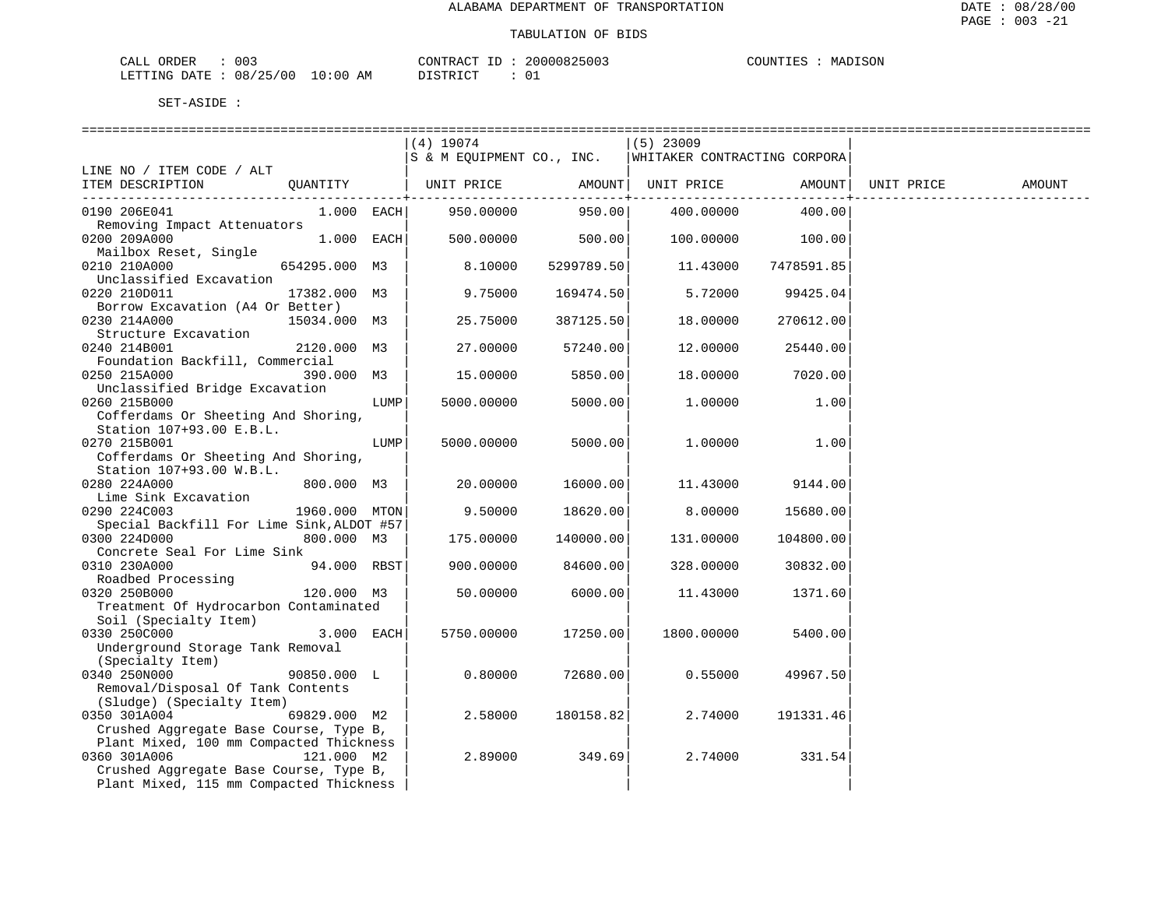| UB.<br>l) H∶l≂       | 003         |                        | $\bigcap$ NTR $\bigcap$<br>- አጣጥ | UU 5 | $T \cap T$<br>$\Lambda$ $\text{I} \text{I} \text{M} \text{I} \text{I}$<br>MA |  |
|----------------------|-------------|------------------------|----------------------------------|------|------------------------------------------------------------------------------|--|
| .ETTTIMG<br>$\Delta$ | 08<br>. U L | AM<br>ЛU<br>$^{\circ}$ | $T \cap T$<br>CFD                | ັັັ  |                                                                              |  |

|                                           |               |      | (4) 19074                 |            | $(5)$ 23009                  |            |            |        |
|-------------------------------------------|---------------|------|---------------------------|------------|------------------------------|------------|------------|--------|
|                                           |               |      | S & M EQUIPMENT CO., INC. |            | WHITAKER CONTRACTING CORPORA |            |            |        |
| LINE NO / ITEM CODE / ALT                 |               |      |                           |            |                              |            |            |        |
| ITEM DESCRIPTION                          | QUANTITY      |      | UNIT PRICE                | AMOUNT     | UNIT PRICE                   | AMOUNT     | UNIT PRICE | AMOUNT |
|                                           |               |      |                           |            |                              |            |            |        |
| 0190 206E041                              | $1.000$ EACH  |      | 950.00000                 | 950.00     | 400.00000                    | 400.00     |            |        |
| Removing Impact Attenuators               |               |      |                           |            |                              |            |            |        |
| 0200 209A000                              | $1.000$ EACH  |      | 500.00000                 | 500.00     | 100.00000                    | 100.00     |            |        |
| Mailbox Reset, Single                     |               |      |                           |            |                              |            |            |        |
| 0210 210A000                              | 654295.000 M3 |      | 8.10000                   | 5299789.50 | 11.43000                     | 7478591.85 |            |        |
| Unclassified Excavation                   |               |      |                           |            |                              |            |            |        |
| 0220 210D011                              | 17382.000 M3  |      | 9.75000                   | 169474.50  | 5.72000                      | 99425.04   |            |        |
| Borrow Excavation (A4 Or Better)          |               |      |                           |            |                              |            |            |        |
| 0230 214A000                              | 15034.000 M3  |      | 25.75000                  | 387125.50  | 18.00000                     | 270612.00  |            |        |
| Structure Excavation                      |               |      |                           |            |                              |            |            |        |
| 0240 214B001                              | 2120.000 M3   |      | 27,00000                  | 57240.00   | 12.00000                     | 25440.00   |            |        |
| Foundation Backfill, Commercial           |               |      |                           |            |                              |            |            |        |
| 0250 215A000                              | 390.000 M3    |      | 15.00000                  | 5850.00    | 18.00000                     | 7020.00    |            |        |
| Unclassified Bridge Excavation            |               |      |                           |            |                              |            |            |        |
| 0260 215B000                              |               | LUMP | 5000.00000                | 5000.00    | 1.00000                      | 1.00       |            |        |
| Cofferdams Or Sheeting And Shoring,       |               |      |                           |            |                              |            |            |        |
| Station 107+93.00 E.B.L.                  |               |      |                           |            |                              |            |            |        |
| 0270 215B001                              |               | LUMP | 5000.00000                | 5000.00    | 1,00000                      | 1.00       |            |        |
| Cofferdams Or Sheeting And Shoring,       |               |      |                           |            |                              |            |            |        |
| Station 107+93.00 W.B.L.                  |               |      |                           |            |                              |            |            |        |
| 0280 224A000                              | 800.000 M3    |      | 20.00000                  | 16000.00   | 11.43000                     | 9144.00    |            |        |
| Lime Sink Excavation                      |               |      |                           |            |                              |            |            |        |
| 0290 224C003                              | 1960.000 MTON |      | 9.50000                   | 18620.00   | 8.00000                      | 15680.00   |            |        |
| Special Backfill For Lime Sink, ALDOT #57 |               |      |                           |            |                              |            |            |        |
| 0300 224D000                              | 800.000 M3    |      | 175.00000                 | 140000.00  | 131.00000                    | 104800.00  |            |        |
| Concrete Seal For Lime Sink               |               |      |                           |            |                              |            |            |        |
| 0310 230A000                              | 94.000 RBST   |      | 900.00000                 | 84600.00   | 328.00000                    | 30832.00   |            |        |
| Roadbed Processing                        |               |      |                           |            |                              |            |            |        |
| 0320 250B000                              | 120.000 M3    |      | 50.00000                  | 6000.00    | 11.43000                     | 1371.60    |            |        |
| Treatment Of Hydrocarbon Contaminated     |               |      |                           |            |                              |            |            |        |
| Soil (Specialty Item)                     |               |      |                           |            |                              |            |            |        |
| 0330 250C000                              | 3.000 EACH    |      | 5750.00000                | 17250.00   | 1800.00000                   | 5400.00    |            |        |
| Underground Storage Tank Removal          |               |      |                           |            |                              |            |            |        |
| (Specialty Item)                          |               |      |                           |            |                              |            |            |        |
| 0340 250N000                              | 90850.000 L   |      | 0.80000                   | 72680.00   | 0.55000                      | 49967.50   |            |        |
| Removal/Disposal Of Tank Contents         |               |      |                           |            |                              |            |            |        |
| (Sludge) (Specialty Item)                 |               |      |                           |            |                              |            |            |        |
| 0350 301A004                              | 69829.000 M2  |      | 2.58000                   | 180158.82  | 2.74000                      | 191331.46  |            |        |
| Crushed Aggregate Base Course, Type B,    |               |      |                           |            |                              |            |            |        |
| Plant Mixed, 100 mm Compacted Thickness   |               |      |                           |            |                              |            |            |        |
| 0360 301A006                              | 121.000 M2    |      | 2.89000                   | 349.69     | 2.74000                      | 331.54     |            |        |
| Crushed Aggregate Base Course, Type B,    |               |      |                           |            |                              |            |            |        |
| Plant Mixed, 115 mm Compacted Thickness   |               |      |                           |            |                              |            |            |        |
|                                           |               |      |                           |            |                              |            |            |        |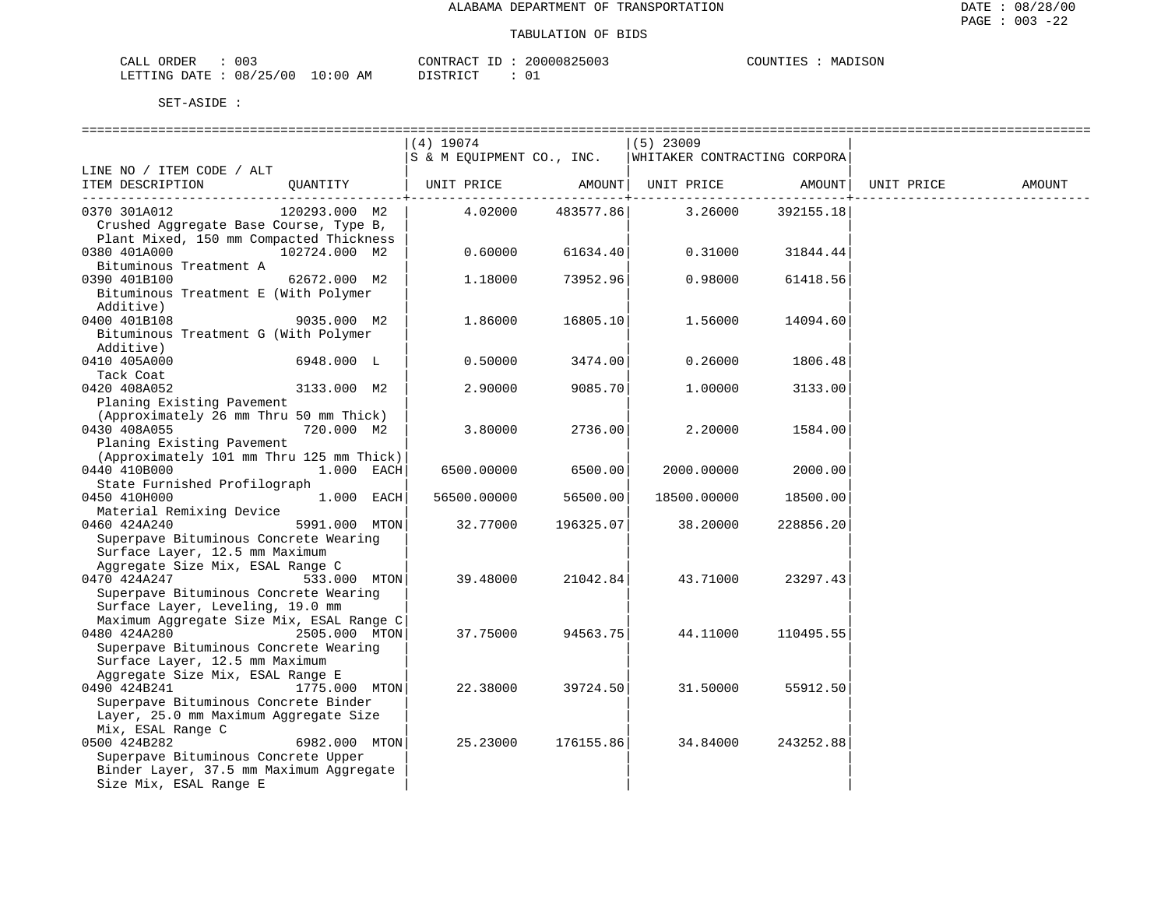| CALL ORDER                      | 003 |  | CONTRACT ID : | 20000825003 | COUNTIES | MADISON |
|---------------------------------|-----|--|---------------|-------------|----------|---------|
| LETTING DATE: 08/25/00 10:00 AM |     |  | DISTRICT      |             |          |         |

|                                                                               |               | $(4)$ 19074               |                 | $(5)$ 23009                  |                |            |        |
|-------------------------------------------------------------------------------|---------------|---------------------------|-----------------|------------------------------|----------------|------------|--------|
|                                                                               |               | S & M EQUIPMENT CO., INC. |                 | WHITAKER CONTRACTING CORPORA |                |            |        |
| LINE NO / ITEM CODE / ALT                                                     |               |                           |                 |                              |                |            |        |
| ITEM DESCRIPTION                                                              | OUANTITY      |                           |                 |                              |                | UNIT PRICE | AMOUNT |
|                                                                               |               |                           | ------------+-- |                              | -------------- |            |        |
| 0370 301A012<br>Crushed Aggregate Base Course, Type B,                        | 120293.000 M2 | 4.02000                   | 483577.86       | 3.26000                      | 392155.18      |            |        |
|                                                                               |               |                           |                 |                              |                |            |        |
| Plant Mixed, 150 mm Compacted Thickness                                       |               |                           |                 |                              |                |            |        |
| 0380 401A000                                                                  | 102724.000 M2 | 0.60000                   | 61634.40        | 0.31000                      | 31844.44       |            |        |
| Bituminous Treatment A                                                        |               |                           |                 |                              |                |            |        |
| 0390 401B100                                                                  | 62672.000 M2  | 1,18000                   | 73952.96        | 0.98000                      | 61418.56       |            |        |
| Bituminous Treatment E (With Polymer                                          |               |                           |                 |                              |                |            |        |
| Additive)                                                                     |               |                           |                 |                              |                |            |        |
| 0400 401B108                                                                  | 9035.000 M2   | 1.86000                   | 16805.10        | 1.56000                      | 14094.60       |            |        |
| Bituminous Treatment G (With Polymer                                          |               |                           |                 |                              |                |            |        |
| Additive)                                                                     |               |                           |                 |                              |                |            |        |
| 0410 405A000                                                                  | 6948.000 L    | 0.50000                   | 3474.00         | 0.26000                      | 1806.48        |            |        |
| Tack Coat                                                                     |               |                           |                 |                              |                |            |        |
| 0420 408A052                                                                  | 3133.000 M2   | 2.90000                   | 9085.70         | 1,00000                      | 3133.00        |            |        |
| Planing Existing Pavement                                                     |               |                           |                 |                              |                |            |        |
| (Approximately 26 mm Thru 50 mm Thick)                                        |               |                           |                 |                              |                |            |        |
| 0430 408A055                                                                  | 720.000 M2    | 3.80000                   | 2736.00         | 2.20000                      | 1584.00        |            |        |
| Planing Existing Pavement                                                     |               |                           |                 |                              |                |            |        |
| (Approximately 101 mm Thru 125 mm Thick)                                      |               |                           |                 |                              |                |            |        |
| 0440 410B000                                                                  | $1.000$ EACH  | 6500.00000                | 6500.00         | 2000.00000                   | 2000.00        |            |        |
| State Furnished Profilograph                                                  |               |                           |                 |                              |                |            |        |
| 0450 410H000                                                                  | $1.000$ EACH  | 56500.00000               | 56500.00        | 18500.00000                  | 18500.00       |            |        |
| Material Remixing Device                                                      |               |                           |                 |                              |                |            |        |
| 0460 424A240                                                                  | 5991.000 MTON | 32.77000                  | 196325.07       | 38.20000                     | 228856.20      |            |        |
| Superpave Bituminous Concrete Wearing                                         |               |                           |                 |                              |                |            |        |
| Surface Layer, 12.5 mm Maximum                                                |               |                           |                 |                              |                |            |        |
| Aggregate Size Mix, ESAL Range C                                              |               |                           |                 |                              |                |            |        |
| 0470 424A247                                                                  | 533.000 MTON  | 39.48000                  | 21042.84        | 43.71000                     | 23297.43       |            |        |
| Superpave Bituminous Concrete Wearing                                         |               |                           |                 |                              |                |            |        |
| Surface Layer, Leveling, 19.0 mm<br>Maximum Aggregate Size Mix, ESAL Range C  |               |                           |                 |                              |                |            |        |
|                                                                               |               |                           |                 |                              |                |            |        |
| 0480 424A280<br>Superpave Bituminous Concrete Wearing                         | 2505.000 MTON | 37.75000                  | 94563.75        | 44.11000                     | 110495.55      |            |        |
| Surface Layer, 12.5 mm Maximum                                                |               |                           |                 |                              |                |            |        |
| Aggregate Size Mix, ESAL Range E                                              |               |                           |                 |                              |                |            |        |
| 0490 424B241                                                                  | 1775.000 MTON | 22.38000                  |                 | 31.50000                     |                |            |        |
|                                                                               |               |                           | 39724.50        |                              | 55912.50       |            |        |
| Superpave Bituminous Concrete Binder<br>Layer, 25.0 mm Maximum Aggregate Size |               |                           |                 |                              |                |            |        |
| Mix, ESAL Range C                                                             |               |                           |                 |                              |                |            |        |
| 0500 424B282                                                                  | 6982.000 MTON | 25.23000                  |                 |                              |                |            |        |
| Superpave Bituminous Concrete Upper                                           |               |                           | 176155.86       | 34.84000                     | 243252.88      |            |        |
| Binder Layer, 37.5 mm Maximum Aggregate                                       |               |                           |                 |                              |                |            |        |
| Size Mix, ESAL Range E                                                        |               |                           |                 |                              |                |            |        |
|                                                                               |               |                           |                 |                              |                |            |        |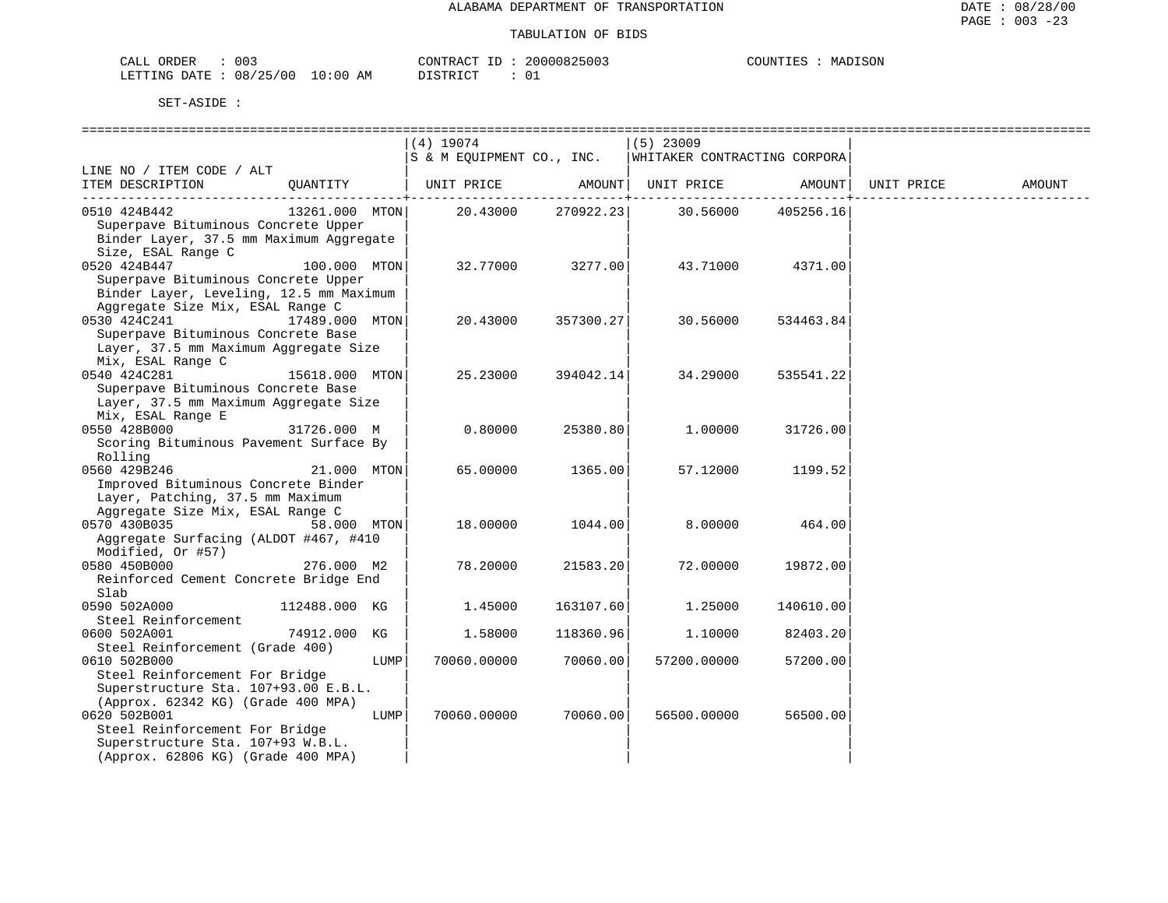| ORDER<br>$\cap$ $\cap$ $\cap$<br><u>'ΔΙ.</u><br>UU J<br>لمسلمہ               |             | ATTR'T<br>. ت        | $\bullet \bullet \bullet \bullet \bullet \bullet \bullet$<br>$\sim$<br>. <del>.</del> | SON<br>COUNTIL<br>$- - -$<br>MΔ |
|------------------------------------------------------------------------------|-------------|----------------------|---------------------------------------------------------------------------------------|---------------------------------|
| ノつに<br>ገA TF<br>100<br>LETT <sup>o</sup><br>n o<br>NG<br>Uŏ<br>.<br><u>_</u> | AΜ<br>`∶0 u | מדידים ה<br>'NN<br>. |                                                                                       |                                 |

|                                         |                |      | $(4)$ 19074               |           | $(5)$ 23009                  |                   |            |        |
|-----------------------------------------|----------------|------|---------------------------|-----------|------------------------------|-------------------|------------|--------|
|                                         |                |      | S & M EQUIPMENT CO., INC. |           | WHITAKER CONTRACTING CORPORA |                   |            |        |
| LINE NO / ITEM CODE / ALT               |                |      |                           |           |                              |                   |            |        |
| ITEM DESCRIPTION                        | QUANTITY       |      | UNIT PRICE                | AMOUNT    |                              | UNIT PRICE AMOUNT | UNIT PRICE | AMOUNT |
|                                         |                |      |                           |           |                              |                   |            |        |
| 0510 424B442                            | 13261.000 MTON |      | 20.43000                  | 270922.23 | 30.56000                     | 405256.16         |            |        |
| Superpave Bituminous Concrete Upper     |                |      |                           |           |                              |                   |            |        |
| Binder Layer, 37.5 mm Maximum Aggregate |                |      |                           |           |                              |                   |            |        |
| Size, ESAL Range C                      |                |      |                           |           |                              |                   |            |        |
| 0520 424B447                            | 100.000 MTON   |      | 32.77000                  | 3277.00   | 43.71000                     | 4371.00           |            |        |
| Superpave Bituminous Concrete Upper     |                |      |                           |           |                              |                   |            |        |
| Binder Layer, Leveling, 12.5 mm Maximum |                |      |                           |           |                              |                   |            |        |
| Aggregate Size Mix, ESAL Range C        |                |      |                           |           |                              |                   |            |        |
| 0530 424C241                            | 17489.000 MTON |      | 20.43000                  | 357300.27 | 30.56000                     | 534463.84         |            |        |
| Superpave Bituminous Concrete Base      |                |      |                           |           |                              |                   |            |        |
| Layer, 37.5 mm Maximum Aggregate Size   |                |      |                           |           |                              |                   |            |        |
| Mix, ESAL Range C                       |                |      |                           |           |                              |                   |            |        |
| 0540 424C281                            | 15618.000 MTON |      | 25.23000                  | 394042.14 | 34.29000                     | 535541.22         |            |        |
| Superpave Bituminous Concrete Base      |                |      |                           |           |                              |                   |            |        |
| Layer, 37.5 mm Maximum Aggregate Size   |                |      |                           |           |                              |                   |            |        |
| Mix, ESAL Range E                       |                |      |                           |           |                              |                   |            |        |
| 0550 428B000                            | 31726.000 M    |      | 0.80000                   | 25380.80  | 1,00000                      | 31726.00          |            |        |
| Scoring Bituminous Pavement Surface By  |                |      |                           |           |                              |                   |            |        |
| Rolling                                 |                |      |                           |           |                              |                   |            |        |
| 0560 429B246                            | 21.000 MTON    |      | 65.00000                  | 1365.00   | 57.12000                     | 1199.52           |            |        |
| Improved Bituminous Concrete Binder     |                |      |                           |           |                              |                   |            |        |
| Layer, Patching, 37.5 mm Maximum        |                |      |                           |           |                              |                   |            |        |
| Aggregate Size Mix, ESAL Range C        |                |      |                           |           |                              |                   |            |        |
| 0570 430B035                            | 58.000 MTON    |      | 18,00000                  | 1044.00   | 8,00000                      | 464.00            |            |        |
| Aggregate Surfacing (ALDOT #467, #410   |                |      |                           |           |                              |                   |            |        |
| Modified, Or #57)                       |                |      |                           |           |                              |                   |            |        |
| 0580 450B000                            | 276.000 M2     |      | 78.20000                  | 21583.20  | 72.00000                     | 19872.00          |            |        |
| Reinforced Cement Concrete Bridge End   |                |      |                           |           |                              |                   |            |        |
| Slab                                    |                |      |                           |           |                              |                   |            |        |
| 0590 502A000                            | 112488.000 KG  |      | 1.45000                   | 163107.60 | 1,25000                      | 140610.00         |            |        |
| Steel Reinforcement                     |                |      |                           |           |                              |                   |            |        |
| 0600 502A001                            | 74912.000 KG   |      | 1.58000                   | 118360.96 | 1,10000                      | 82403.20          |            |        |
| Steel Reinforcement (Grade 400)         |                |      |                           |           |                              |                   |            |        |
| 0610 502B000                            |                | LUMP | 70060.00000               | 70060.00  | 57200.00000                  | 57200.00          |            |        |
| Steel Reinforcement For Bridge          |                |      |                           |           |                              |                   |            |        |
| Superstructure Sta. 107+93.00 E.B.L.    |                |      |                           |           |                              |                   |            |        |
| (Approx. 62342 KG) (Grade 400 MPA)      |                |      |                           |           |                              |                   |            |        |
| 0620 502B001                            |                | LUMP | 70060.00000               | 70060.00  | 56500.00000                  | 56500.00          |            |        |
| Steel Reinforcement For Bridge          |                |      |                           |           |                              |                   |            |        |
| Superstructure Sta. 107+93 W.B.L.       |                |      |                           |           |                              |                   |            |        |
| (Approx. 62806 KG) (Grade 400 MPA)      |                |      |                           |           |                              |                   |            |        |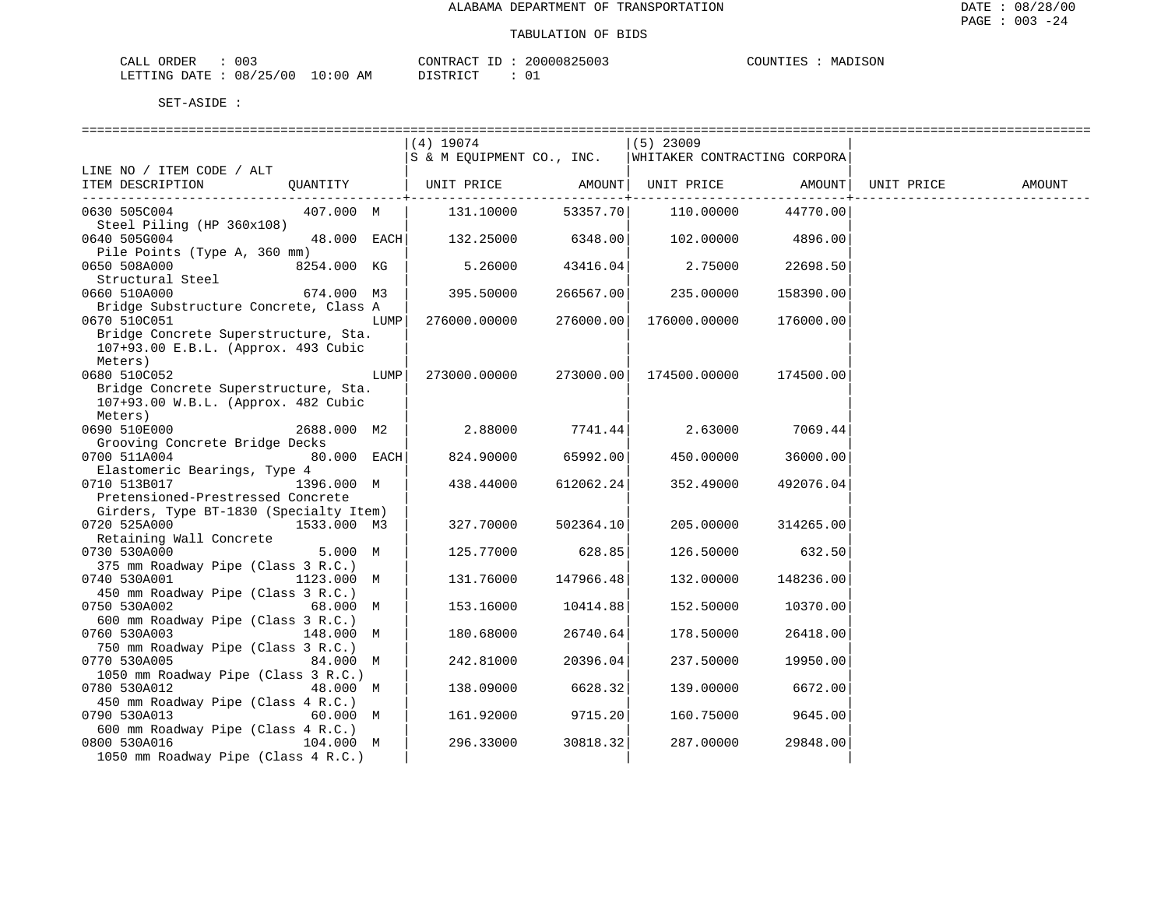| $\sim$<br>ORDER<br>U U J<br>Δ Ι<br>ىىسى      |                       | $ -$<br>$\gamma$ ארת | 200 | MADISON<br>COUNT.<br>--- |
|----------------------------------------------|-----------------------|----------------------|-----|--------------------------|
| 10T<br>$/ \cap f$<br>∆ר<br>یں ی<br>NIC.<br>. | AM<br>(11)<br>$\cdot$ | $-$                  |     |                          |

|                                                    |             |      | (4) 19074                            |                | $(5)$ 23009                                              |                   |            |        |
|----------------------------------------------------|-------------|------|--------------------------------------|----------------|----------------------------------------------------------|-------------------|------------|--------|
|                                                    |             |      |                                      |                | S & M EQUIPMENT CO., INC.   WHITAKER CONTRACTING CORPORA |                   |            |        |
| LINE NO / ITEM CODE / ALT                          |             |      |                                      |                |                                                          |                   |            |        |
| ITEM DESCRIPTION                                   | OUANTITY    |      | UNIT PRICE AMOUNT  UNIT PRICE AMOUNT |                |                                                          |                   | UNIT PRICE | AMOUNT |
|                                                    |             |      |                                      | -------------+ |                                                          |                   |            |        |
| 0630 505C004                                       | 407.000 M   |      | 131.10000                            | 53357.70       | 110.00000                                                | 44770.00          |            |        |
| Steel Piling (HP 360x108)                          |             |      |                                      |                |                                                          |                   |            |        |
| 0640 505G004                                       | 48.000 EACH |      | 132.25000                            | 6348.00        |                                                          | 102.00000 4896.00 |            |        |
| Pile Points (Type A, 360 mm)<br>0650 508A000       | 8254.000 KG |      | 5.26000                              | 43416.04       | 2.75000                                                  | 22698.50          |            |        |
| Structural Steel                                   |             |      |                                      |                |                                                          |                   |            |        |
| 0660 510A000                                       | 674.000 M3  |      | 395.50000                            | 266567.00      | 235.00000                                                | 158390.00         |            |        |
| Bridge Substructure Concrete, Class A              |             |      |                                      |                |                                                          |                   |            |        |
| 0670 510C051                                       |             | LUMP | 276000.00000                         | 276000.00      | 176000.00000                                             | 176000.00         |            |        |
| Bridge Concrete Superstructure, Sta.               |             |      |                                      |                |                                                          |                   |            |        |
| 107+93.00 E.B.L. (Approx. 493 Cubic                |             |      |                                      |                |                                                          |                   |            |        |
| Meters)                                            |             |      |                                      |                |                                                          |                   |            |        |
| 0680 510C052                                       |             | LUMP | 273000.00000                         | 273000.00      | 174500.00000                                             | 174500.00         |            |        |
| Bridge Concrete Superstructure, Sta.               |             |      |                                      |                |                                                          |                   |            |        |
| 107+93.00 W.B.L. (Approx. 482 Cubic                |             |      |                                      |                |                                                          |                   |            |        |
| Meters)                                            |             |      |                                      |                |                                                          |                   |            |        |
| 0690 510E000                                       | 2688.000 M2 |      | 2.88000                              | 7741.44        |                                                          | 2.63000 7069.44   |            |        |
| Grooving Concrete Bridge Decks                     |             |      |                                      |                |                                                          |                   |            |        |
| 0700 511A004                                       | 80.000 EACH |      | 824.90000                            | 65992.00       | 450.00000                                                | 36000.00          |            |        |
| Elastomeric Bearings, Type 4                       |             |      |                                      |                |                                                          |                   |            |        |
| 0710 513B017                                       | 1396.000 M  |      | 438.44000                            | 612062.24      | 352.49000                                                | 492076.04         |            |        |
| Pretensioned-Prestressed Concrete                  |             |      |                                      |                |                                                          |                   |            |        |
| Girders, Type BT-1830 (Specialty Item)             |             |      |                                      |                |                                                          |                   |            |        |
| 0720 525A000<br>1533.000 M3                        |             |      | 327.70000                            | 502364.10      | 205.00000                                                | 314265.00         |            |        |
| Retaining Wall Concrete                            |             |      |                                      |                |                                                          |                   |            |        |
| 0730 530A000                                       | 5.000 M     |      | 125.77000                            | 628.85         | 126.50000                                                | 632.50            |            |        |
| 375 mm Roadway Pipe (Class 3 R.C.)<br>0740 530A001 | 1123.000 M  |      |                                      |                |                                                          |                   |            |        |
| 450 mm Roadway Pipe (Class 3 R.C.)                 |             |      | 131.76000                            | 147966.48      | 132.00000                                                | 148236.00         |            |        |
| 0750 530A002<br>68.000 M                           |             |      | 153.16000                            | 10414.88       | 152.50000                                                | 10370.00          |            |        |
| 600 mm Roadway Pipe (Class 3 R.C.)                 |             |      |                                      |                |                                                          |                   |            |        |
| 0760 530A003                                       | 148.000 M   |      | 180.68000                            | 26740.64       | 178.50000                                                | 26418.00          |            |        |
| 750 mm Roadway Pipe (Class 3 R.C.)                 |             |      |                                      |                |                                                          |                   |            |        |
| 0770 530A005                                       | 84.000 M    |      | 242.81000                            | 20396.04       | 237.50000                                                | 19950.00          |            |        |
| 1050 mm Roadway Pipe (Class 3 R.C.)                |             |      |                                      |                |                                                          |                   |            |        |
| 0780 530A012                                       | 48.000 M    |      | 138.09000                            | 6628.32        | 139.00000                                                | 6672.00           |            |        |
| 450 mm Roadway Pipe (Class 4 R.C.)                 |             |      |                                      |                |                                                          |                   |            |        |
| 0790 530A013                                       | 60.000 M    |      | 161.92000                            | 9715.20        | 160.75000                                                | 9645.00           |            |        |
| 600 mm Roadway Pipe (Class 4 R.C.)                 |             |      |                                      |                |                                                          |                   |            |        |
| 0800 530A016<br>104.000 M                          |             |      | 296.33000                            | 30818.32       | 287.00000                                                | 29848.00          |            |        |
| 1050 mm Roadway Pipe (Class 4 R.C.)                |             |      |                                      |                |                                                          |                   |            |        |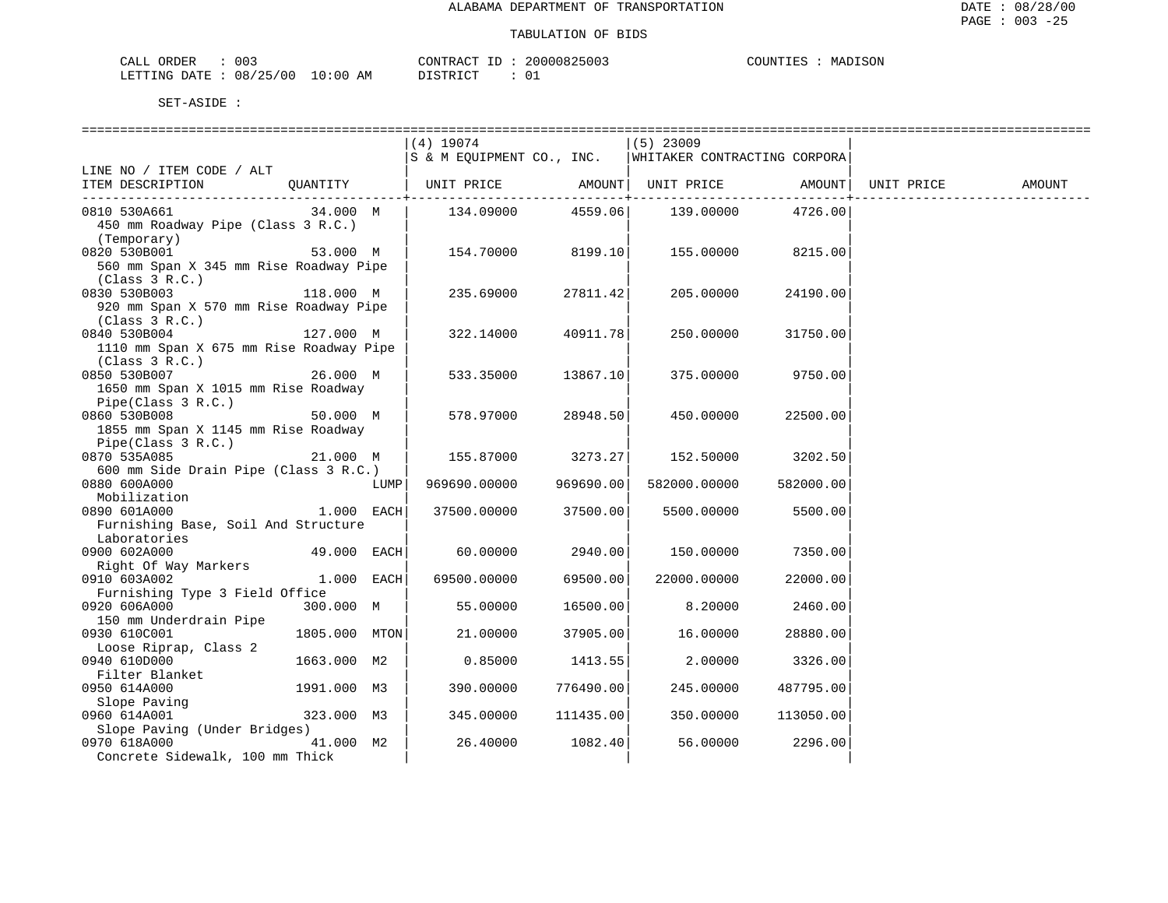| ORDER<br>CALL | 003      |            | CONTRACT ID                | 20000825003 | COUNTIES | MADISON |
|---------------|----------|------------|----------------------------|-------------|----------|---------|
| LETTING DATE  | 08/25/00 | $10:00$ AM | חי חי הרו פידי פור<br>---- |             |          |         |

|                                         |               |      | (4) 19074                                                |           | $(5)$ 23009        |           |            |        |
|-----------------------------------------|---------------|------|----------------------------------------------------------|-----------|--------------------|-----------|------------|--------|
|                                         |               |      | S & M EQUIPMENT CO., INC.   WHITAKER CONTRACTING CORPORA |           |                    |           |            |        |
| LINE NO / ITEM CODE / ALT               |               |      |                                                          |           |                    |           |            |        |
| ITEM DESCRIPTION                        | QUANTITY      |      | UNIT PRICE                                               |           | AMOUNT  UNIT PRICE | AMOUNT    | UNIT PRICE | AMOUNT |
|                                         |               |      |                                                          |           |                    |           |            |        |
| 0810 530A661                            | 34.000 M      |      | 134.09000                                                | 4559.06   | 139.00000          | 4726.00   |            |        |
| 450 mm Roadway Pipe (Class 3 R.C.)      |               |      |                                                          |           |                    |           |            |        |
|                                         |               |      |                                                          |           |                    |           |            |        |
| (Temporary)                             |               |      |                                                          |           |                    |           |            |        |
| 0820 530B001                            | 53.000 M      |      | 154.70000                                                | 8199.10   | 155.00000          | 8215.00   |            |        |
| 560 mm Span X 345 mm Rise Roadway Pipe  |               |      |                                                          |           |                    |           |            |        |
| (Class 3 R.C.)                          |               |      |                                                          |           |                    |           |            |        |
| 0830 530B003                            | 118.000 M     |      | 235.69000                                                | 27811.42  | 205.00000          | 24190.00  |            |        |
| 920 mm Span X 570 mm Rise Roadway Pipe  |               |      |                                                          |           |                    |           |            |        |
| (Class 3 R.C.)                          |               |      |                                                          |           |                    |           |            |        |
| 0840 530B004                            | 127.000 M     |      | 322.14000                                                | 40911.78  | 250.00000          | 31750.00  |            |        |
| 1110 mm Span X 675 mm Rise Roadway Pipe |               |      |                                                          |           |                    |           |            |        |
|                                         |               |      |                                                          |           |                    |           |            |        |
| (Class 3 R.C.)                          |               |      |                                                          |           |                    |           |            |        |
| 0850 530B007                            | 26.000 M      |      | 533.35000                                                | 13867.10  | 375.00000          | 9750.00   |            |        |
| 1650 mm Span X 1015 mm Rise Roadway     |               |      |                                                          |           |                    |           |            |        |
| Pipe(Class 3 R.C.)                      |               |      |                                                          |           |                    |           |            |        |
| 0860 530B008                            | 50.000 M      |      | 578.97000                                                | 28948.50  | 450.00000          | 22500.00  |            |        |
| 1855 mm Span X 1145 mm Rise Roadway     |               |      |                                                          |           |                    |           |            |        |
| Pipe(Class 3 R.C.)                      |               |      |                                                          |           |                    |           |            |        |
| 0870 535A085                            | 21.000 M      |      | 155.87000                                                | 3273.27   | 152.50000          | 3202.50   |            |        |
| 600 mm Side Drain Pipe (Class 3 R.C.)   |               |      |                                                          |           |                    |           |            |        |
| 0880 600A000                            |               | LUMP | 969690.00000                                             | 969690.00 | 582000.00000       | 582000.00 |            |        |
| Mobilization                            |               |      |                                                          |           |                    |           |            |        |
|                                         |               |      |                                                          |           |                    |           |            |        |
| 0890 601A000                            | 1.000 EACH    |      | 37500.00000                                              | 37500.00  | 5500.00000         | 5500.00   |            |        |
| Furnishing Base, Soil And Structure     |               |      |                                                          |           |                    |           |            |        |
| Laboratories                            |               |      |                                                          |           |                    |           |            |        |
| 0900 602A000                            | 49.000 EACH   |      | 60.00000                                                 | 2940.00   | 150.00000          | 7350.00   |            |        |
| Right Of Way Markers                    |               |      |                                                          |           |                    |           |            |        |
| 0910 603A002                            | $1.000$ EACH  |      | 69500.00000                                              | 69500.00  | 22000.00000        | 22000.00  |            |        |
| Furnishing Type 3 Field Office          |               |      |                                                          |           |                    |           |            |        |
| 0920 606A000                            | 300.000 M     |      | 55.00000                                                 | 16500.00  | 8.20000            | 2460.00   |            |        |
| 150 mm Underdrain Pipe                  |               |      |                                                          |           |                    |           |            |        |
| 0930 610C001                            | 1805.000 MTON |      | 21,00000                                                 | 37905.00  | 16.00000           | 28880.00  |            |        |
| Loose Riprap, Class 2                   |               |      |                                                          |           |                    |           |            |        |
| 0940 610D000                            | 1663.000 M2   |      |                                                          | 1413.55   | 2,00000            | 3326.00   |            |        |
|                                         |               |      | 0.85000                                                  |           |                    |           |            |        |
| Filter Blanket                          |               |      |                                                          |           |                    |           |            |        |
| 0950 614A000                            | 1991.000 M3   |      | 390.00000                                                | 776490.00 | 245.00000          | 487795.00 |            |        |
| Slope Paving<br>Slope Paving            |               |      |                                                          |           |                    |           |            |        |
| 0960 614A001                            | 323.000 M3    |      | 345.00000                                                | 111435.00 | 350.00000          | 113050.00 |            |        |
| Slope Paving (Under Bridges)            |               |      |                                                          |           |                    |           |            |        |
| 0970 618A000                            | 41.000 M2     |      | 26.40000                                                 | 1082.40   | 56.00000           | 2296.00   |            |        |
| Concrete Sidewalk, 100 mm Thick         |               |      |                                                          |           |                    |           |            |        |
|                                         |               |      |                                                          |           |                    |           |            |        |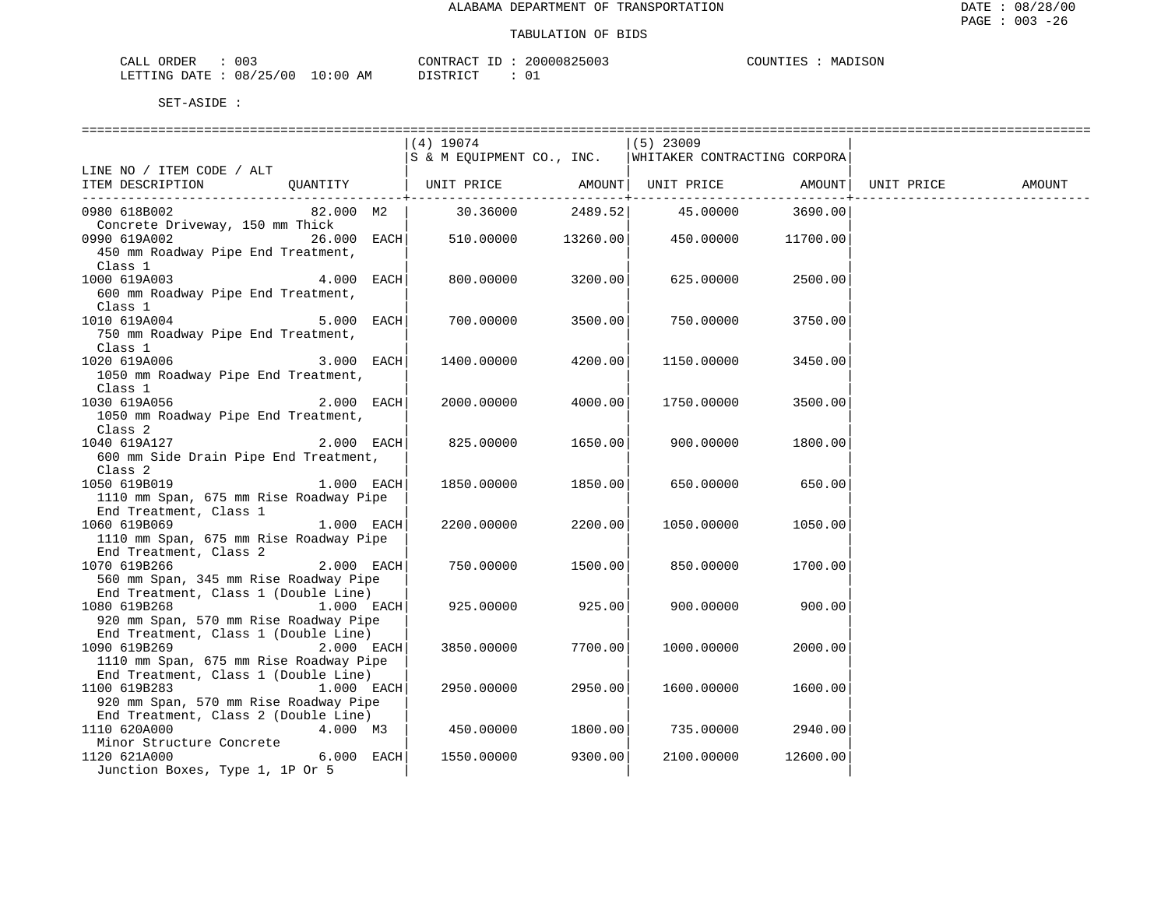| 003<br>ORDER<br>CALL     |            | CONTRACT ID   | 20000825003 | COUNTIES<br>MADISON |
|--------------------------|------------|---------------|-------------|---------------------|
| 08/25/00<br>LETTING DATE | $10:00$ AM | DISTRICT<br>. |             |                     |

|                                                                               |               | $(4)$ 19074               |                           | $(5)$ 23009                  |          |            |        |
|-------------------------------------------------------------------------------|---------------|---------------------------|---------------------------|------------------------------|----------|------------|--------|
|                                                                               |               | S & M EQUIPMENT CO., INC. |                           | WHITAKER CONTRACTING CORPORA |          |            |        |
| LINE NO / ITEM CODE / ALT                                                     |               |                           |                           |                              |          |            |        |
| ITEM DESCRIPTION                                                              |               | QUANTITY   UNIT PRICE     |                           | AMOUNT  UNIT PRICE AMOUNT    |          | UNIT PRICE | AMOUNT |
| 0980 618B002                                                                  | 82.000 M2     | 30.36000                  | -----------+--<br>2489.52 | 45.00000                     | 3690.00  |            |        |
| Concrete Driveway, 150 mm Thick                                               |               |                           |                           |                              |          |            |        |
| 0990 619A002                                                                  | $26.000$ EACH |                           | 510.00000 13260.00        | 450.00000                    | 11700.00 |            |        |
| 450 mm Roadway Pipe End Treatment,                                            |               |                           |                           |                              |          |            |        |
| Class 1                                                                       |               |                           |                           |                              |          |            |        |
| 1000 619A003                                                                  | 4.000 EACH    | 800,00000                 | 3200.00                   | 625.00000                    | 2500.00  |            |        |
| 600 mm Roadway Pipe End Treatment,                                            |               |                           |                           |                              |          |            |        |
| Class 1                                                                       |               |                           |                           |                              |          |            |        |
| 1010 619A004                                                                  | 5.000 EACH    | 700.00000                 | 3500.00                   | 750.00000                    | 3750.00  |            |        |
| 750 mm Roadway Pipe End Treatment,                                            |               |                           |                           |                              |          |            |        |
| Class 1                                                                       |               |                           |                           |                              |          |            |        |
| 1020 619A006                                                                  | 3.000 EACH    | 1400.00000                | 4200.00                   | 1150.00000                   | 3450.00  |            |        |
| 1050 mm Roadway Pipe End Treatment,                                           |               |                           |                           |                              |          |            |        |
| Class 1                                                                       |               |                           |                           |                              |          |            |        |
| 1030 619A056                                                                  | 2.000 EACH    | 2000.00000                | 4000.00                   | 1750.00000                   | 3500.00  |            |        |
| 1050 mm Roadway Pipe End Treatment,                                           |               |                           |                           |                              |          |            |        |
| Class 2                                                                       |               |                           |                           |                              |          |            |        |
| 1040 619A127                                                                  | 2.000 EACH    | 825.00000                 | 1650.00                   | 900.00000                    | 1800.00  |            |        |
| 600 mm Side Drain Pipe End Treatment,                                         |               |                           |                           |                              |          |            |        |
| Class 2                                                                       |               |                           |                           |                              |          |            |        |
| 1050 619B019                                                                  | 1.000 EACH    | 1850.00000                | 1850.00                   | 650.00000                    | 650.00   |            |        |
| 1110 mm Span, 675 mm Rise Roadway Pipe                                        |               |                           |                           |                              |          |            |        |
| End Treatment, Class 1                                                        |               |                           |                           |                              |          |            |        |
| 1060 619B069                                                                  | 1.000 EACH    | 2200.00000                | 2200.00                   | 1050.00000                   | 1050.00  |            |        |
| 1110 mm Span, 675 mm Rise Roadway Pipe                                        |               |                           |                           |                              |          |            |        |
| End Treatment, Class 2                                                        |               |                           |                           |                              |          |            |        |
| 1070 619B266                                                                  | 2.000 EACH    | 750.00000                 | 1500.00                   | 850.00000                    | 1700.00  |            |        |
| 560 mm Span, 345 mm Rise Roadway Pipe<br>End Treatment, Class 1 (Double Line) |               |                           |                           |                              |          |            |        |
| 1080 619B268                                                                  | 1.000 EACH    | 925.00000                 | 925.00                    | 900.00000                    | 900.00   |            |        |
| 920 mm Span, 570 mm Rise Roadway Pipe                                         |               |                           |                           |                              |          |            |        |
| End Treatment, Class 1 (Double Line)                                          |               |                           |                           |                              |          |            |        |
| 1090 619B269                                                                  | 2.000 EACH    | 3850.00000                | 7700.00                   | 1000.00000                   | 2000.00  |            |        |
| 1110 mm Span, 675 mm Rise Roadway Pipe                                        |               |                           |                           |                              |          |            |        |
| End Treatment, Class 1 (Double Line)                                          |               |                           |                           |                              |          |            |        |
| 1100 619B283                                                                  | 1.000 EACH    | 2950.00000                | 2950.00                   | 1600.00000                   | 1600.00  |            |        |
| 920 mm Span, 570 mm Rise Roadway Pipe                                         |               |                           |                           |                              |          |            |        |
| End Treatment, Class 2 (Double Line)                                          |               |                           |                           |                              |          |            |        |
| 1110 620A000                                                                  | 4.000 M3      | 450.00000                 | 1800.00                   | 735.00000                    | 2940.00  |            |        |
| Minor Structure Concrete                                                      |               |                           |                           |                              |          |            |        |
| 1120 621A000                                                                  | 6.000 EACH    | 1550.00000                | 9300.00                   | 2100.00000                   | 12600.00 |            |        |
| Junction Boxes, Type 1, 1P Or 5                                               |               |                           |                           |                              |          |            |        |
|                                                                               |               |                           |                           |                              |          |            |        |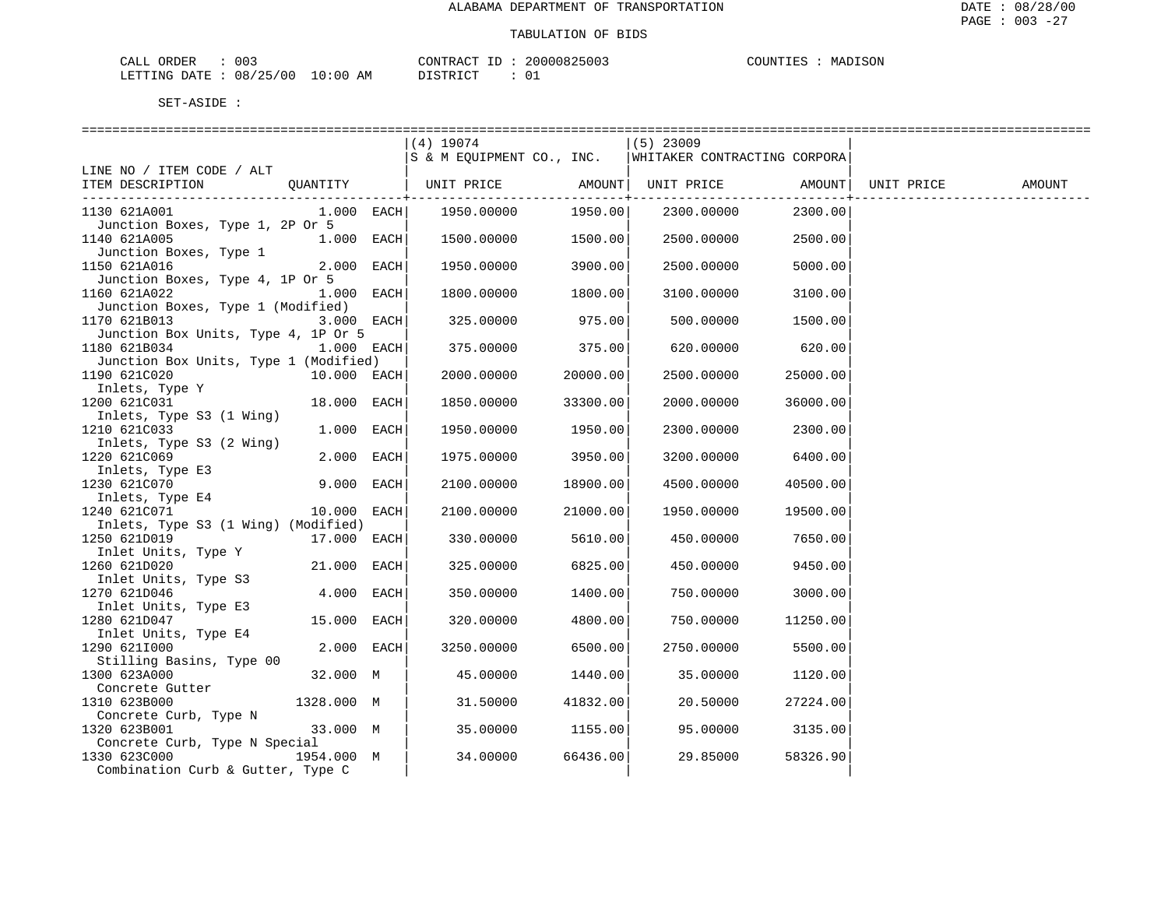| CALL ORDER                      | 003 | CONTRACT | ' ID | 20000825003 | COUNTIES | MADISON |
|---------------------------------|-----|----------|------|-------------|----------|---------|
| LETTING DATE: 08/25/00 10:00 AM |     | DISTRICT |      |             |          |         |

|                                                       |               | (4) 19074<br>S & M EOUIPMENT CO., INC. |          | $(5)$ 23009<br>WHITAKER CONTRACTING CORPORA |                                   |        |
|-------------------------------------------------------|---------------|----------------------------------------|----------|---------------------------------------------|-----------------------------------|--------|
| LINE NO / ITEM CODE / ALT                             |               |                                        |          |                                             |                                   |        |
| ITEM DESCRIPTION                                      |               |                                        |          | -------------+-------------                 | . _ _ _ _ _ _ _ _ _ _ _ _ _ _ _ _ | AMOUNT |
| 1130 621A001                                          | $1.000$ EACH  | 1950.00000                             | 1950.00  | 2300.00000                                  | 2300.00                           |        |
| Junction Boxes, Type 1, 2P Or 5<br>1140 621A005       | $1.000$ EACH  | 1500.00000                             | 1500.00  | 2500.00000                                  | 2500.00                           |        |
| Junction Boxes, Type 1<br>1150 621A016                | $2.000$ EACH  | 1950.00000                             | 3900.00  | 2500.00000                                  | 5000.00                           |        |
| Junction Boxes, Type 4, 1P Or 5<br>1160 621A022       | $1.000$ EACH  | 1800.00000                             | 1800.00  | 3100.00000                                  | 3100.00                           |        |
| Junction Boxes, Type 1 (Modified)<br>1170 621B013     | $3.000$ EACH  | 325.00000                              | 975.00   | 500.00000                                   | 1500.00                           |        |
| Junction Box Units, Type 4, 1P Or 5<br>1180 621B034   | $1.000$ EACH  | 375.00000                              | 375.00   | 620.00000                                   | 620.00                            |        |
| Junction Box Units, Type 1 (Modified)<br>1190 621C020 | $10.000$ EACH | 2000.00000                             | 20000.00 | 2500.00000                                  | 25000.00                          |        |
| Inlets, Type Y<br>1200 621C031                        | 18.000 EACH   | 1850.00000                             | 33300.00 | 2000.00000                                  | 36000.00                          |        |
| Inlets, Type S3 (1 Wing)<br>1210 621C033              | 1.000 EACH    | 1950.00000                             | 1950.00  | 2300.00000                                  | 2300.00                           |        |
| Inlets, Type S3 (2 Wing)<br>1220 621C069              | 2.000 EACH    | 1975.00000                             | 3950.00  | 3200.00000                                  | 6400.00                           |        |
| Inlets, Type E3<br>230 621C070<br>1230 621C070        | 9.000 EACH    | 2100.00000                             | 18900.00 | 4500.00000                                  | 40500.00                          |        |
| Inlets, Type E4<br>240 6210071<br>1240 621C071        | 10.000 EACH   | 2100.00000                             | 21000.00 | 1950.00000                                  | 19500.00                          |        |
| Inlets, Type S3 (1 Wing) (Modified)<br>1250 621D019   | 17.000 EACH   | 330.00000                              | 5610.00  | 450.00000                                   | 7650.00                           |        |
| Inlet Units, Type Y<br>1260 621D020                   | 21.000 EACH   | 325.00000                              | 6825.00  | 450.00000                                   | 9450.00                           |        |
| Inlet Units, Type S3<br>1270 621D046                  | $4.000$ EACH  | 350.00000                              | 1400.00  | 750.00000                                   | 3000.00                           |        |
| Inlet Units, Type E3<br>1280 621D047                  | 15.000 EACH   | 320.00000                              | 4800.00  | 750.00000                                   | 11250.00                          |        |
| Inlet Units, Type E4<br>1290 6211000                  | $2.000$ EACH  | 3250.00000                             | 6500.00  | 2750.00000                                  | 5500.00                           |        |
| Stilling Basins, Type 00                              |               |                                        |          |                                             |                                   |        |
| 1300 623A000<br>Concrete Gutter                       | 32.000 M      | 45.00000                               | 1440.00  | 35.00000                                    | 1120.00                           |        |
| 1310 623B000<br>Concrete Curb, Type N                 | 1328.000 M    | 31.50000                               | 41832.00 | 20.50000                                    | 27224.00                          |        |
| 1320 623B001<br>Concrete Curb, Type N Special         | 33.000 M      | 35.00000                               | 1155.00  | 95.00000                                    | 3135.00                           |        |
| 1330 623C000<br>Combination Curb & Gutter, Type C     | 1954.000 M    | 34.00000                               | 66436.00 | 29.85000                                    | 58326.90                          |        |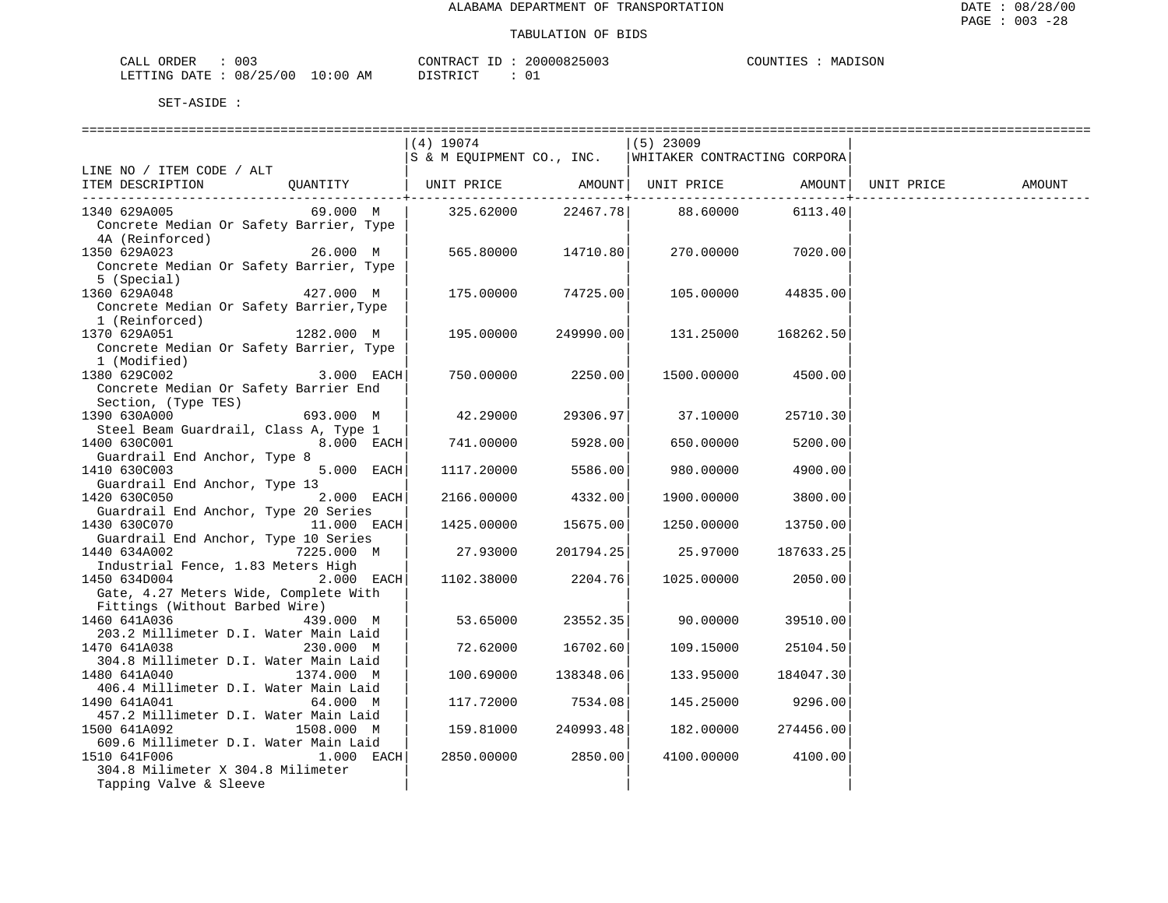| 003<br>CALL ORDER                | CONTRACT ID: | 20000825003 | MADISON<br>COUNTIES |
|----------------------------------|--------------|-------------|---------------------|
| LETTING DATE : 08/25/00 10:00 AM | DISTRICT     |             |                     |

| $(4)$ 19074<br>$(5)$ 23009<br>S & M EQUIPMENT CO., INC.<br>WHITAKER CONTRACTING CORPORA<br>LINE NO / ITEM CODE / ALT<br>UNIT PRICE<br>AMOUNT  <br>AMOUNT<br>UNIT PRICE<br>ITEM DESCRIPTION<br>OUANTITY<br>UNIT PRICE<br>AMOUNT<br>69.000 M<br>22467.78<br>1340 629A005<br>325.62000<br>88.60000<br>6113.40<br>Concrete Median Or Safety Barrier, Type<br>4A (Reinforced)<br>26.000 M<br>7020.00<br>565.80000<br>14710.80<br>270.00000<br>Concrete Median Or Safety Barrier, Type<br>5 (Special)<br>1360 629A048<br>427.000 M<br>175.00000<br>74725.00<br>105.00000<br>44835.00<br>Concrete Median Or Safety Barrier, Type<br>1 (Reinforced)<br>1370 629A051<br>1282.000 M<br>195.00000<br>249990.00<br>131.25000<br>168262.50<br>Concrete Median Or Safety Barrier, Type<br>1 (Modified)<br>$3.000$ EACH<br>2250.00<br>1380 629C002<br>750.00000<br>1500.00000<br>4500.00<br>Concrete Median Or Safety Barrier End<br>Section, (Type TES)<br>1390 630A000<br>42.29000<br>29306.97<br>693.000 M<br>37.10000<br>25710.30<br>Steel Beam Guardrail, Class A, Type 1<br>$8.000$ EACH<br>5928.00<br>1400 630C001<br>741.00000<br>650.00000<br>5200.00<br>Guardrail End Anchor, Type 8<br>1410 630C003<br>5.000 EACH<br>5586.00<br>1117.20000<br>980.00000<br>4900.00<br>Guardrail End Anchor, Type 13<br>2.000 EACH<br>1420 630C050<br>4332.00<br>2166.00000<br>1900.00000<br>3800.00<br>Guardrail End Anchor, Type 20 Series<br>1430 630C070<br>$11.000$ EACH<br>15675.00<br>1425.00000<br>1250.00000<br>13750.00<br>Guardrail End Anchor, Type 10 Series<br>1440 634A002<br>7225.000 M<br>27.93000<br>201794.25<br>25.97000<br>187633.25<br>Industrial Fence, 1.83 Meters High<br>1450 634D004<br>$2.000$ EACH<br>2204.76<br>1102.38000<br>1025.00000<br>2050.00<br>Gate, 4.27 Meters Wide, Complete With<br>Fittings (Without Barbed Wire)<br>1460 641A036<br>23552.35<br>439.000 M<br>90.00000<br>39510.00<br>53.65000<br>203.2 Millimeter D.I. Water Main Laid<br>16702.60<br>1470 641A038<br>230.000 M<br>72.62000<br>109.15000<br>25104.50<br>304.8 Millimeter D.I. Water Main Laid<br>1480 641A040<br>1374.000 M<br>138348.06<br>100.69000<br>133.95000<br>184047.30<br>406.4 Millimeter D.I. Water Main Laid<br>1490 641A041<br>64.000 M<br>117.72000<br>7534.08<br>145.25000<br>9296.00<br>457.2 Millimeter D.I. Water Main Laid<br>1500 641A092<br>240993.48<br>274456.00<br>1508.000 M<br>159.81000<br>182.00000<br>609.6 Millimeter D.I. Water Main Laid<br>2850.00<br>1510 641F006<br>$1.000$ EACH<br>2850.00000<br>4100.00000<br>4100.00<br>304.8 Milimeter X 304.8 Milimeter<br>Tapping Valve & Sleeve |              |  | ======================= |  |  |
|------------------------------------------------------------------------------------------------------------------------------------------------------------------------------------------------------------------------------------------------------------------------------------------------------------------------------------------------------------------------------------------------------------------------------------------------------------------------------------------------------------------------------------------------------------------------------------------------------------------------------------------------------------------------------------------------------------------------------------------------------------------------------------------------------------------------------------------------------------------------------------------------------------------------------------------------------------------------------------------------------------------------------------------------------------------------------------------------------------------------------------------------------------------------------------------------------------------------------------------------------------------------------------------------------------------------------------------------------------------------------------------------------------------------------------------------------------------------------------------------------------------------------------------------------------------------------------------------------------------------------------------------------------------------------------------------------------------------------------------------------------------------------------------------------------------------------------------------------------------------------------------------------------------------------------------------------------------------------------------------------------------------------------------------------------------------------------------------------------------------------------------------------------------------------------------------------------------------------------------------------------------------------------------------------------------------------------------------------------------------------------------------------------------------------------------------------------------------------------------------------------------------------------------------------------------------------------------------------------------|--------------|--|-------------------------|--|--|
|                                                                                                                                                                                                                                                                                                                                                                                                                                                                                                                                                                                                                                                                                                                                                                                                                                                                                                                                                                                                                                                                                                                                                                                                                                                                                                                                                                                                                                                                                                                                                                                                                                                                                                                                                                                                                                                                                                                                                                                                                                                                                                                                                                                                                                                                                                                                                                                                                                                                                                                                                                                                                  |              |  |                         |  |  |
|                                                                                                                                                                                                                                                                                                                                                                                                                                                                                                                                                                                                                                                                                                                                                                                                                                                                                                                                                                                                                                                                                                                                                                                                                                                                                                                                                                                                                                                                                                                                                                                                                                                                                                                                                                                                                                                                                                                                                                                                                                                                                                                                                                                                                                                                                                                                                                                                                                                                                                                                                                                                                  |              |  |                         |  |  |
|                                                                                                                                                                                                                                                                                                                                                                                                                                                                                                                                                                                                                                                                                                                                                                                                                                                                                                                                                                                                                                                                                                                                                                                                                                                                                                                                                                                                                                                                                                                                                                                                                                                                                                                                                                                                                                                                                                                                                                                                                                                                                                                                                                                                                                                                                                                                                                                                                                                                                                                                                                                                                  |              |  |                         |  |  |
|                                                                                                                                                                                                                                                                                                                                                                                                                                                                                                                                                                                                                                                                                                                                                                                                                                                                                                                                                                                                                                                                                                                                                                                                                                                                                                                                                                                                                                                                                                                                                                                                                                                                                                                                                                                                                                                                                                                                                                                                                                                                                                                                                                                                                                                                                                                                                                                                                                                                                                                                                                                                                  |              |  |                         |  |  |
|                                                                                                                                                                                                                                                                                                                                                                                                                                                                                                                                                                                                                                                                                                                                                                                                                                                                                                                                                                                                                                                                                                                                                                                                                                                                                                                                                                                                                                                                                                                                                                                                                                                                                                                                                                                                                                                                                                                                                                                                                                                                                                                                                                                                                                                                                                                                                                                                                                                                                                                                                                                                                  |              |  |                         |  |  |
|                                                                                                                                                                                                                                                                                                                                                                                                                                                                                                                                                                                                                                                                                                                                                                                                                                                                                                                                                                                                                                                                                                                                                                                                                                                                                                                                                                                                                                                                                                                                                                                                                                                                                                                                                                                                                                                                                                                                                                                                                                                                                                                                                                                                                                                                                                                                                                                                                                                                                                                                                                                                                  |              |  |                         |  |  |
|                                                                                                                                                                                                                                                                                                                                                                                                                                                                                                                                                                                                                                                                                                                                                                                                                                                                                                                                                                                                                                                                                                                                                                                                                                                                                                                                                                                                                                                                                                                                                                                                                                                                                                                                                                                                                                                                                                                                                                                                                                                                                                                                                                                                                                                                                                                                                                                                                                                                                                                                                                                                                  |              |  |                         |  |  |
|                                                                                                                                                                                                                                                                                                                                                                                                                                                                                                                                                                                                                                                                                                                                                                                                                                                                                                                                                                                                                                                                                                                                                                                                                                                                                                                                                                                                                                                                                                                                                                                                                                                                                                                                                                                                                                                                                                                                                                                                                                                                                                                                                                                                                                                                                                                                                                                                                                                                                                                                                                                                                  |              |  |                         |  |  |
|                                                                                                                                                                                                                                                                                                                                                                                                                                                                                                                                                                                                                                                                                                                                                                                                                                                                                                                                                                                                                                                                                                                                                                                                                                                                                                                                                                                                                                                                                                                                                                                                                                                                                                                                                                                                                                                                                                                                                                                                                                                                                                                                                                                                                                                                                                                                                                                                                                                                                                                                                                                                                  | 1350 629A023 |  |                         |  |  |
|                                                                                                                                                                                                                                                                                                                                                                                                                                                                                                                                                                                                                                                                                                                                                                                                                                                                                                                                                                                                                                                                                                                                                                                                                                                                                                                                                                                                                                                                                                                                                                                                                                                                                                                                                                                                                                                                                                                                                                                                                                                                                                                                                                                                                                                                                                                                                                                                                                                                                                                                                                                                                  |              |  |                         |  |  |
|                                                                                                                                                                                                                                                                                                                                                                                                                                                                                                                                                                                                                                                                                                                                                                                                                                                                                                                                                                                                                                                                                                                                                                                                                                                                                                                                                                                                                                                                                                                                                                                                                                                                                                                                                                                                                                                                                                                                                                                                                                                                                                                                                                                                                                                                                                                                                                                                                                                                                                                                                                                                                  |              |  |                         |  |  |
|                                                                                                                                                                                                                                                                                                                                                                                                                                                                                                                                                                                                                                                                                                                                                                                                                                                                                                                                                                                                                                                                                                                                                                                                                                                                                                                                                                                                                                                                                                                                                                                                                                                                                                                                                                                                                                                                                                                                                                                                                                                                                                                                                                                                                                                                                                                                                                                                                                                                                                                                                                                                                  |              |  |                         |  |  |
|                                                                                                                                                                                                                                                                                                                                                                                                                                                                                                                                                                                                                                                                                                                                                                                                                                                                                                                                                                                                                                                                                                                                                                                                                                                                                                                                                                                                                                                                                                                                                                                                                                                                                                                                                                                                                                                                                                                                                                                                                                                                                                                                                                                                                                                                                                                                                                                                                                                                                                                                                                                                                  |              |  |                         |  |  |
|                                                                                                                                                                                                                                                                                                                                                                                                                                                                                                                                                                                                                                                                                                                                                                                                                                                                                                                                                                                                                                                                                                                                                                                                                                                                                                                                                                                                                                                                                                                                                                                                                                                                                                                                                                                                                                                                                                                                                                                                                                                                                                                                                                                                                                                                                                                                                                                                                                                                                                                                                                                                                  |              |  |                         |  |  |
|                                                                                                                                                                                                                                                                                                                                                                                                                                                                                                                                                                                                                                                                                                                                                                                                                                                                                                                                                                                                                                                                                                                                                                                                                                                                                                                                                                                                                                                                                                                                                                                                                                                                                                                                                                                                                                                                                                                                                                                                                                                                                                                                                                                                                                                                                                                                                                                                                                                                                                                                                                                                                  |              |  |                         |  |  |
|                                                                                                                                                                                                                                                                                                                                                                                                                                                                                                                                                                                                                                                                                                                                                                                                                                                                                                                                                                                                                                                                                                                                                                                                                                                                                                                                                                                                                                                                                                                                                                                                                                                                                                                                                                                                                                                                                                                                                                                                                                                                                                                                                                                                                                                                                                                                                                                                                                                                                                                                                                                                                  |              |  |                         |  |  |
|                                                                                                                                                                                                                                                                                                                                                                                                                                                                                                                                                                                                                                                                                                                                                                                                                                                                                                                                                                                                                                                                                                                                                                                                                                                                                                                                                                                                                                                                                                                                                                                                                                                                                                                                                                                                                                                                                                                                                                                                                                                                                                                                                                                                                                                                                                                                                                                                                                                                                                                                                                                                                  |              |  |                         |  |  |
|                                                                                                                                                                                                                                                                                                                                                                                                                                                                                                                                                                                                                                                                                                                                                                                                                                                                                                                                                                                                                                                                                                                                                                                                                                                                                                                                                                                                                                                                                                                                                                                                                                                                                                                                                                                                                                                                                                                                                                                                                                                                                                                                                                                                                                                                                                                                                                                                                                                                                                                                                                                                                  |              |  |                         |  |  |
|                                                                                                                                                                                                                                                                                                                                                                                                                                                                                                                                                                                                                                                                                                                                                                                                                                                                                                                                                                                                                                                                                                                                                                                                                                                                                                                                                                                                                                                                                                                                                                                                                                                                                                                                                                                                                                                                                                                                                                                                                                                                                                                                                                                                                                                                                                                                                                                                                                                                                                                                                                                                                  |              |  |                         |  |  |
|                                                                                                                                                                                                                                                                                                                                                                                                                                                                                                                                                                                                                                                                                                                                                                                                                                                                                                                                                                                                                                                                                                                                                                                                                                                                                                                                                                                                                                                                                                                                                                                                                                                                                                                                                                                                                                                                                                                                                                                                                                                                                                                                                                                                                                                                                                                                                                                                                                                                                                                                                                                                                  |              |  |                         |  |  |
|                                                                                                                                                                                                                                                                                                                                                                                                                                                                                                                                                                                                                                                                                                                                                                                                                                                                                                                                                                                                                                                                                                                                                                                                                                                                                                                                                                                                                                                                                                                                                                                                                                                                                                                                                                                                                                                                                                                                                                                                                                                                                                                                                                                                                                                                                                                                                                                                                                                                                                                                                                                                                  |              |  |                         |  |  |
|                                                                                                                                                                                                                                                                                                                                                                                                                                                                                                                                                                                                                                                                                                                                                                                                                                                                                                                                                                                                                                                                                                                                                                                                                                                                                                                                                                                                                                                                                                                                                                                                                                                                                                                                                                                                                                                                                                                                                                                                                                                                                                                                                                                                                                                                                                                                                                                                                                                                                                                                                                                                                  |              |  |                         |  |  |
|                                                                                                                                                                                                                                                                                                                                                                                                                                                                                                                                                                                                                                                                                                                                                                                                                                                                                                                                                                                                                                                                                                                                                                                                                                                                                                                                                                                                                                                                                                                                                                                                                                                                                                                                                                                                                                                                                                                                                                                                                                                                                                                                                                                                                                                                                                                                                                                                                                                                                                                                                                                                                  |              |  |                         |  |  |
|                                                                                                                                                                                                                                                                                                                                                                                                                                                                                                                                                                                                                                                                                                                                                                                                                                                                                                                                                                                                                                                                                                                                                                                                                                                                                                                                                                                                                                                                                                                                                                                                                                                                                                                                                                                                                                                                                                                                                                                                                                                                                                                                                                                                                                                                                                                                                                                                                                                                                                                                                                                                                  |              |  |                         |  |  |
|                                                                                                                                                                                                                                                                                                                                                                                                                                                                                                                                                                                                                                                                                                                                                                                                                                                                                                                                                                                                                                                                                                                                                                                                                                                                                                                                                                                                                                                                                                                                                                                                                                                                                                                                                                                                                                                                                                                                                                                                                                                                                                                                                                                                                                                                                                                                                                                                                                                                                                                                                                                                                  |              |  |                         |  |  |
|                                                                                                                                                                                                                                                                                                                                                                                                                                                                                                                                                                                                                                                                                                                                                                                                                                                                                                                                                                                                                                                                                                                                                                                                                                                                                                                                                                                                                                                                                                                                                                                                                                                                                                                                                                                                                                                                                                                                                                                                                                                                                                                                                                                                                                                                                                                                                                                                                                                                                                                                                                                                                  |              |  |                         |  |  |
|                                                                                                                                                                                                                                                                                                                                                                                                                                                                                                                                                                                                                                                                                                                                                                                                                                                                                                                                                                                                                                                                                                                                                                                                                                                                                                                                                                                                                                                                                                                                                                                                                                                                                                                                                                                                                                                                                                                                                                                                                                                                                                                                                                                                                                                                                                                                                                                                                                                                                                                                                                                                                  |              |  |                         |  |  |
|                                                                                                                                                                                                                                                                                                                                                                                                                                                                                                                                                                                                                                                                                                                                                                                                                                                                                                                                                                                                                                                                                                                                                                                                                                                                                                                                                                                                                                                                                                                                                                                                                                                                                                                                                                                                                                                                                                                                                                                                                                                                                                                                                                                                                                                                                                                                                                                                                                                                                                                                                                                                                  |              |  |                         |  |  |
|                                                                                                                                                                                                                                                                                                                                                                                                                                                                                                                                                                                                                                                                                                                                                                                                                                                                                                                                                                                                                                                                                                                                                                                                                                                                                                                                                                                                                                                                                                                                                                                                                                                                                                                                                                                                                                                                                                                                                                                                                                                                                                                                                                                                                                                                                                                                                                                                                                                                                                                                                                                                                  |              |  |                         |  |  |
|                                                                                                                                                                                                                                                                                                                                                                                                                                                                                                                                                                                                                                                                                                                                                                                                                                                                                                                                                                                                                                                                                                                                                                                                                                                                                                                                                                                                                                                                                                                                                                                                                                                                                                                                                                                                                                                                                                                                                                                                                                                                                                                                                                                                                                                                                                                                                                                                                                                                                                                                                                                                                  |              |  |                         |  |  |
|                                                                                                                                                                                                                                                                                                                                                                                                                                                                                                                                                                                                                                                                                                                                                                                                                                                                                                                                                                                                                                                                                                                                                                                                                                                                                                                                                                                                                                                                                                                                                                                                                                                                                                                                                                                                                                                                                                                                                                                                                                                                                                                                                                                                                                                                                                                                                                                                                                                                                                                                                                                                                  |              |  |                         |  |  |
|                                                                                                                                                                                                                                                                                                                                                                                                                                                                                                                                                                                                                                                                                                                                                                                                                                                                                                                                                                                                                                                                                                                                                                                                                                                                                                                                                                                                                                                                                                                                                                                                                                                                                                                                                                                                                                                                                                                                                                                                                                                                                                                                                                                                                                                                                                                                                                                                                                                                                                                                                                                                                  |              |  |                         |  |  |
|                                                                                                                                                                                                                                                                                                                                                                                                                                                                                                                                                                                                                                                                                                                                                                                                                                                                                                                                                                                                                                                                                                                                                                                                                                                                                                                                                                                                                                                                                                                                                                                                                                                                                                                                                                                                                                                                                                                                                                                                                                                                                                                                                                                                                                                                                                                                                                                                                                                                                                                                                                                                                  |              |  |                         |  |  |
|                                                                                                                                                                                                                                                                                                                                                                                                                                                                                                                                                                                                                                                                                                                                                                                                                                                                                                                                                                                                                                                                                                                                                                                                                                                                                                                                                                                                                                                                                                                                                                                                                                                                                                                                                                                                                                                                                                                                                                                                                                                                                                                                                                                                                                                                                                                                                                                                                                                                                                                                                                                                                  |              |  |                         |  |  |
|                                                                                                                                                                                                                                                                                                                                                                                                                                                                                                                                                                                                                                                                                                                                                                                                                                                                                                                                                                                                                                                                                                                                                                                                                                                                                                                                                                                                                                                                                                                                                                                                                                                                                                                                                                                                                                                                                                                                                                                                                                                                                                                                                                                                                                                                                                                                                                                                                                                                                                                                                                                                                  |              |  |                         |  |  |
|                                                                                                                                                                                                                                                                                                                                                                                                                                                                                                                                                                                                                                                                                                                                                                                                                                                                                                                                                                                                                                                                                                                                                                                                                                                                                                                                                                                                                                                                                                                                                                                                                                                                                                                                                                                                                                                                                                                                                                                                                                                                                                                                                                                                                                                                                                                                                                                                                                                                                                                                                                                                                  |              |  |                         |  |  |
|                                                                                                                                                                                                                                                                                                                                                                                                                                                                                                                                                                                                                                                                                                                                                                                                                                                                                                                                                                                                                                                                                                                                                                                                                                                                                                                                                                                                                                                                                                                                                                                                                                                                                                                                                                                                                                                                                                                                                                                                                                                                                                                                                                                                                                                                                                                                                                                                                                                                                                                                                                                                                  |              |  |                         |  |  |
|                                                                                                                                                                                                                                                                                                                                                                                                                                                                                                                                                                                                                                                                                                                                                                                                                                                                                                                                                                                                                                                                                                                                                                                                                                                                                                                                                                                                                                                                                                                                                                                                                                                                                                                                                                                                                                                                                                                                                                                                                                                                                                                                                                                                                                                                                                                                                                                                                                                                                                                                                                                                                  |              |  |                         |  |  |
|                                                                                                                                                                                                                                                                                                                                                                                                                                                                                                                                                                                                                                                                                                                                                                                                                                                                                                                                                                                                                                                                                                                                                                                                                                                                                                                                                                                                                                                                                                                                                                                                                                                                                                                                                                                                                                                                                                                                                                                                                                                                                                                                                                                                                                                                                                                                                                                                                                                                                                                                                                                                                  |              |  |                         |  |  |
|                                                                                                                                                                                                                                                                                                                                                                                                                                                                                                                                                                                                                                                                                                                                                                                                                                                                                                                                                                                                                                                                                                                                                                                                                                                                                                                                                                                                                                                                                                                                                                                                                                                                                                                                                                                                                                                                                                                                                                                                                                                                                                                                                                                                                                                                                                                                                                                                                                                                                                                                                                                                                  |              |  |                         |  |  |
|                                                                                                                                                                                                                                                                                                                                                                                                                                                                                                                                                                                                                                                                                                                                                                                                                                                                                                                                                                                                                                                                                                                                                                                                                                                                                                                                                                                                                                                                                                                                                                                                                                                                                                                                                                                                                                                                                                                                                                                                                                                                                                                                                                                                                                                                                                                                                                                                                                                                                                                                                                                                                  |              |  |                         |  |  |
|                                                                                                                                                                                                                                                                                                                                                                                                                                                                                                                                                                                                                                                                                                                                                                                                                                                                                                                                                                                                                                                                                                                                                                                                                                                                                                                                                                                                                                                                                                                                                                                                                                                                                                                                                                                                                                                                                                                                                                                                                                                                                                                                                                                                                                                                                                                                                                                                                                                                                                                                                                                                                  |              |  |                         |  |  |
|                                                                                                                                                                                                                                                                                                                                                                                                                                                                                                                                                                                                                                                                                                                                                                                                                                                                                                                                                                                                                                                                                                                                                                                                                                                                                                                                                                                                                                                                                                                                                                                                                                                                                                                                                                                                                                                                                                                                                                                                                                                                                                                                                                                                                                                                                                                                                                                                                                                                                                                                                                                                                  |              |  |                         |  |  |
|                                                                                                                                                                                                                                                                                                                                                                                                                                                                                                                                                                                                                                                                                                                                                                                                                                                                                                                                                                                                                                                                                                                                                                                                                                                                                                                                                                                                                                                                                                                                                                                                                                                                                                                                                                                                                                                                                                                                                                                                                                                                                                                                                                                                                                                                                                                                                                                                                                                                                                                                                                                                                  |              |  |                         |  |  |
|                                                                                                                                                                                                                                                                                                                                                                                                                                                                                                                                                                                                                                                                                                                                                                                                                                                                                                                                                                                                                                                                                                                                                                                                                                                                                                                                                                                                                                                                                                                                                                                                                                                                                                                                                                                                                                                                                                                                                                                                                                                                                                                                                                                                                                                                                                                                                                                                                                                                                                                                                                                                                  |              |  |                         |  |  |
|                                                                                                                                                                                                                                                                                                                                                                                                                                                                                                                                                                                                                                                                                                                                                                                                                                                                                                                                                                                                                                                                                                                                                                                                                                                                                                                                                                                                                                                                                                                                                                                                                                                                                                                                                                                                                                                                                                                                                                                                                                                                                                                                                                                                                                                                                                                                                                                                                                                                                                                                                                                                                  |              |  |                         |  |  |
|                                                                                                                                                                                                                                                                                                                                                                                                                                                                                                                                                                                                                                                                                                                                                                                                                                                                                                                                                                                                                                                                                                                                                                                                                                                                                                                                                                                                                                                                                                                                                                                                                                                                                                                                                                                                                                                                                                                                                                                                                                                                                                                                                                                                                                                                                                                                                                                                                                                                                                                                                                                                                  |              |  |                         |  |  |
|                                                                                                                                                                                                                                                                                                                                                                                                                                                                                                                                                                                                                                                                                                                                                                                                                                                                                                                                                                                                                                                                                                                                                                                                                                                                                                                                                                                                                                                                                                                                                                                                                                                                                                                                                                                                                                                                                                                                                                                                                                                                                                                                                                                                                                                                                                                                                                                                                                                                                                                                                                                                                  |              |  |                         |  |  |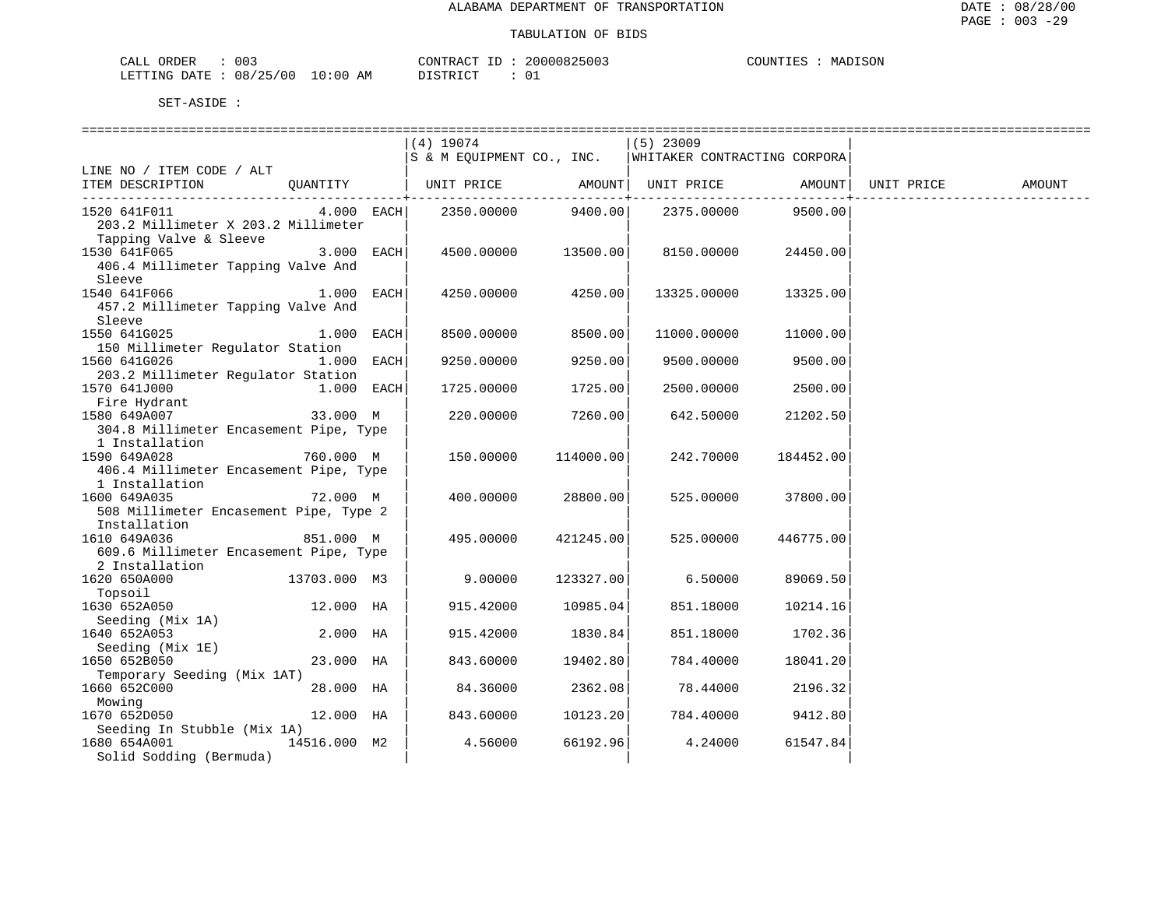| 003<br><b>CRDER</b>                                 |               | $\Lambda$ $\cap$ $\Gamma$<br>יחד במר | 825003<br>n | COUNTIE!<br>JISON<br>MД<br>. |
|-----------------------------------------------------|---------------|--------------------------------------|-------------|------------------------------|
| ר Σר בר<br>08<br>LETTING<br>(111)<br>$\mathbf{z}$ . | LO : 00<br>АM | $ \sim$<br>$\cap$ m                  | ັບ⊥         |                              |

|                                        |              | =============================                   |              | =============================== |                    |            |        |
|----------------------------------------|--------------|-------------------------------------------------|--------------|---------------------------------|--------------------|------------|--------|
|                                        |              | (4) 19074                                       |              | $(5)$ 23009                     |                    |            |        |
|                                        |              | S & M EQUIPMENT CO., INC.                       |              | WHITAKER CONTRACTING CORPORA    |                    |            |        |
| LINE NO / ITEM CODE / ALT              |              |                                                 |              |                                 |                    |            |        |
| ITEM DESCRIPTION                       |              | QUANTITY   UNIT PRICE AMOUNT  UNIT PRICE AMOUNT |              |                                 |                    | UNIT PRICE | AMOUNT |
|                                        |              |                                                 | ----------+- |                                 |                    |            |        |
| 1520 641F011                           | $4.000$ EACH | 2350.00000                                      | 9400.00      |                                 | 2375.00000 9500.00 |            |        |
| 203.2 Millimeter X 203.2 Millimeter    |              |                                                 |              |                                 |                    |            |        |
| Tapping Valve & Sleeve                 |              |                                                 |              |                                 |                    |            |        |
| 1530 641F065                           | $3.000$ EACH | 4500.00000                                      | 13500.00     | 8150.00000                      | 24450.00           |            |        |
|                                        |              |                                                 |              |                                 |                    |            |        |
| 406.4 Millimeter Tapping Valve And     |              |                                                 |              |                                 |                    |            |        |
| Sleeve                                 |              |                                                 |              |                                 |                    |            |        |
| 1540 641F066                           | $1.000$ EACH | 4250.00000                                      | 4250.00      | 13325.00000                     | 13325.00           |            |        |
| 457.2 Millimeter Tapping Valve And     |              |                                                 |              |                                 |                    |            |        |
| Sleeve                                 |              |                                                 |              |                                 |                    |            |        |
| 1550 641G025                           | 1.000 EACH   | 8500.00000                                      | 8500.00      | 11000.00000                     | 11000.00           |            |        |
| 150 Millimeter Regulator Station       |              |                                                 |              |                                 |                    |            |        |
| 1560 641G026                           | 1.000 EACH   | 9250.00000                                      | 9250.00      | 9500.00000                      | 9500.00            |            |        |
| 203.2 Millimeter Regulator Station     |              |                                                 |              |                                 |                    |            |        |
| 1570 641J000                           | $1.000$ EACH | 1725.00000                                      | 1725.00      | 2500.00000                      | 2500.00            |            |        |
| Fire Hydrant                           |              |                                                 |              |                                 |                    |            |        |
|                                        |              |                                                 |              |                                 |                    |            |        |
| 1580 649A007                           | 33.000 M     | 220.00000                                       | 7260.00      | 642.50000                       | 21202.50           |            |        |
| 304.8 Millimeter Encasement Pipe, Type |              |                                                 |              |                                 |                    |            |        |
| 1 Installation                         |              |                                                 |              |                                 |                    |            |        |
| 1590 649A028                           | 760.000 M    | 150.00000                                       | 114000.00    | 242.70000                       | 184452.00          |            |        |
| 406.4 Millimeter Encasement Pipe, Type |              |                                                 |              |                                 |                    |            |        |
| 1 Installation                         |              |                                                 |              |                                 |                    |            |        |
| 1600 649A035                           | 72.000 M     | 400.00000                                       | 28800.00     | 525.00000                       | 37800.00           |            |        |
| 508 Millimeter Encasement Pipe, Type 2 |              |                                                 |              |                                 |                    |            |        |
| Installation                           |              |                                                 |              |                                 |                    |            |        |
| 1610 649A036                           | 851.000 M    | 495.00000                                       | 421245.00    | 525.00000                       | 446775.00          |            |        |
| 609.6 Millimeter Encasement Pipe, Type |              |                                                 |              |                                 |                    |            |        |
| 2 Installation                         |              |                                                 |              |                                 |                    |            |        |
|                                        |              |                                                 |              |                                 |                    |            |        |
| 1620 650A000                           | 13703.000 M3 | 9.00000                                         | 123327.00    | 6.50000                         | 89069.50           |            |        |
| Topsoil                                |              |                                                 |              |                                 |                    |            |        |
| 1630 652A050                           | 12.000 HA    | 915.42000                                       | 10985.04     | 851.18000                       | 10214.16           |            |        |
| Seeding (Mix 1A)                       |              |                                                 |              |                                 |                    |            |        |
| 1640 652A053                           | 2.000 HA     | 915.42000                                       | 1830.84      | 851.18000                       | 1702.36            |            |        |
| Seeding (Mix 1E)                       |              |                                                 |              |                                 |                    |            |        |
| 1650 652B050                           | 23.000 HA    | 843.60000                                       | 19402.80     | 784.40000                       | 18041.20           |            |        |
| Temporary Seeding (Mix 1AT)            |              |                                                 |              |                                 |                    |            |        |
| 1660 652C000                           | 28.000 HA    | 84.36000                                        | 2362.08      | 78.44000                        | 2196.32            |            |        |
| Mowing                                 |              |                                                 |              |                                 |                    |            |        |
| 1670 652D050                           | 12.000 HA    | 843.60000                                       | 10123.20     | 784.40000                       | 9412.80            |            |        |
| Seeding In Stubble (Mix 1A)            |              |                                                 |              |                                 |                    |            |        |
| 1680 654A001                           | 14516.000 M2 | 4.56000                                         | 66192.96     | 4.24000                         | 61547.84           |            |        |
|                                        |              |                                                 |              |                                 |                    |            |        |
| Solid Sodding (Bermuda)                |              |                                                 |              |                                 |                    |            |        |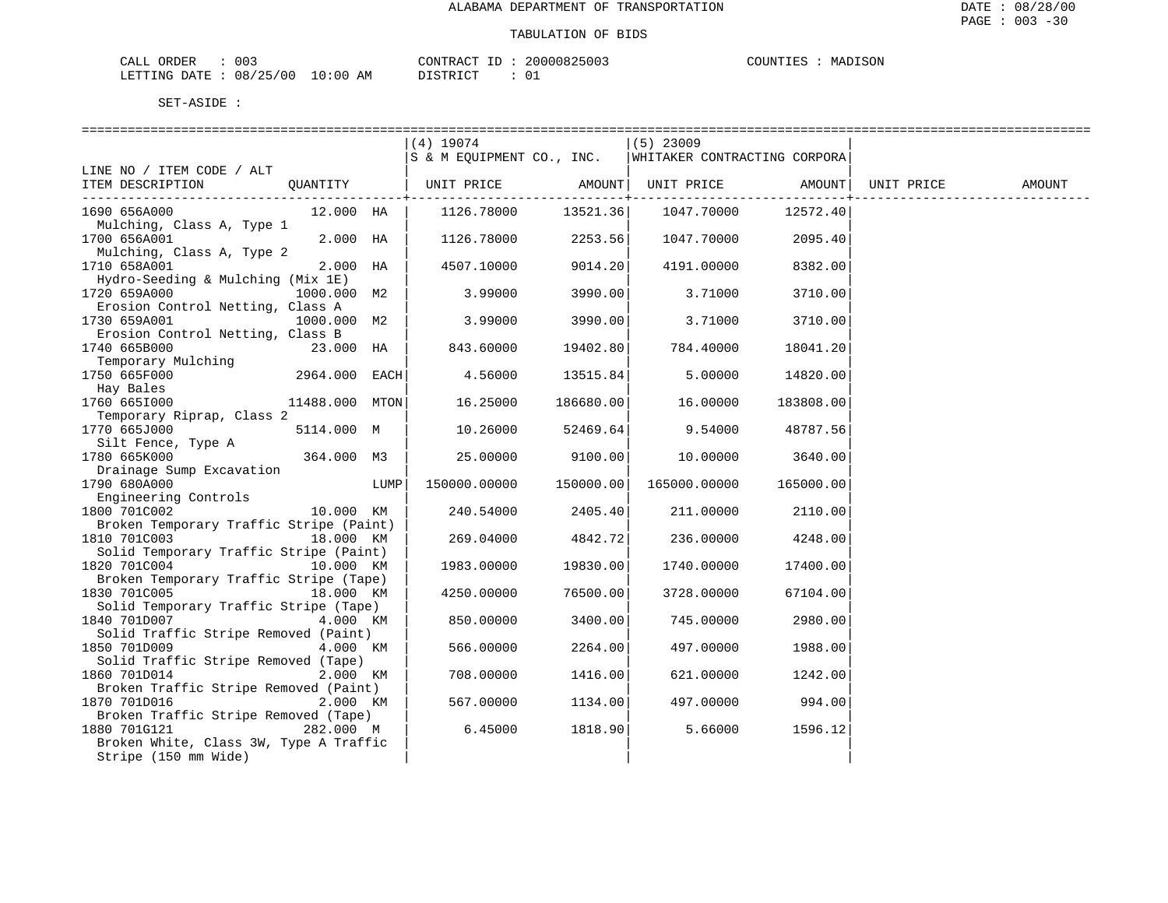| L ORDER<br>CALL                 | 003 | CONTRACT ID |  | 20000825003 | COUNTIES | MADISON |
|---------------------------------|-----|-------------|--|-------------|----------|---------|
| LETTING DATE: 08/25/00 10:00 AM |     | DISTRICT    |  |             |          |         |

|                                                       |                |      | (4) 19074                 |           | $(5)$ 23009                  |           |            |        |
|-------------------------------------------------------|----------------|------|---------------------------|-----------|------------------------------|-----------|------------|--------|
|                                                       |                |      | S & M EQUIPMENT CO., INC. |           | WHITAKER CONTRACTING CORPORA |           |            |        |
| LINE NO / ITEM CODE / ALT                             |                |      |                           |           |                              |           |            |        |
| ITEM DESCRIPTION                                      | QUANTITY       |      | UNIT PRICE                | AMOUNT    | UNIT PRICE                   | AMOUNT    | UNIT PRICE | AMOUNT |
|                                                       |                |      |                           |           |                              |           |            |        |
| 1690 656A000                                          | 12.000 HA      |      | 1126.78000                | 13521.36  | 1047.70000                   | 12572.40  |            |        |
| Mulching, Class A, Type 1                             |                |      |                           |           |                              |           |            |        |
| 1700 656A001                                          | 2.000 HA       |      | 1126.78000                | 2253.56   | 1047.70000                   | 2095.40   |            |        |
| Mulching, Class A, Type 2<br>1710 658A001             |                |      |                           |           |                              |           |            |        |
| Hydro-Seeding & Mulching (Mix 1E)                     | $2.000$ HA     |      | 4507.10000                | 9014.20   | 4191.00000                   | 8382.00   |            |        |
| 1720 659A000                                          | 1000.000 M2    |      | 3.99000                   | 3990.00   | 3.71000                      | 3710.00   |            |        |
| Erosion Control Netting, Class A                      |                |      |                           |           |                              |           |            |        |
| 1730 659A001                                          | 1000.000 M2    |      | 3.99000                   | 3990.00   | 3.71000                      | 3710.00   |            |        |
| Erosion Control Netting, Class B                      |                |      |                           |           |                              |           |            |        |
| 1740 665B000                                          | 23.000 HA      |      | 843.60000                 | 19402.80  | 784.40000                    | 18041.20  |            |        |
| Temporary Mulching                                    |                |      |                           |           |                              |           |            |        |
| 1750 665F000                                          | 2964.000 EACH  |      | 4.56000                   | 13515.84  | 5.00000                      | 14820.00  |            |        |
| Hay Bales                                             |                |      |                           |           |                              |           |            |        |
| 1760 665I000                                          | 11488.000 MTON |      | 16.25000                  | 186680.00 | 16.00000                     | 183808.00 |            |        |
| Temporary Riprap, Class 2                             |                |      |                           |           |                              |           |            |        |
| 1770 665J000                                          | 5114.000 M     |      | 10.26000                  | 52469.64  | 9.54000                      | 48787.56  |            |        |
| Silt Fence, Type A                                    |                |      |                           |           |                              |           |            |        |
| 1780 665K000                                          | 364.000 M3     |      | 25.00000                  | 9100.00   | 10.00000                     | 3640.00   |            |        |
| Drainage Sump Excavation<br>1790 680A000              |                | LUMP | 150000.00000              | 150000.00 |                              | 165000.00 |            |        |
| Engineering Controls                                  |                |      |                           |           | 165000.00000                 |           |            |        |
| 1800 701C002                                          | 10.000 KM      |      | 240.54000                 | 2405.40   | 211.00000                    | 2110.00   |            |        |
| Broken Temporary Traffic Stripe (Paint)               |                |      |                           |           |                              |           |            |        |
| 1810 701C003                                          | 18.000 KM      |      | 269.04000                 | 4842.72   | 236.00000                    | 4248.00   |            |        |
| Solid Temporary Traffic Stripe (Paint)                |                |      |                           |           |                              |           |            |        |
| 1820 701C004                                          | 10.000 KM      |      | 1983.00000                | 19830.00  | 1740.00000                   | 17400.00  |            |        |
| Broken Temporary Traffic Stripe (Tape)                |                |      |                           |           |                              |           |            |        |
| 1830 701C005                                          | 18.000 KM      |      | 4250.00000                | 76500.00  | 3728.00000                   | 67104.00  |            |        |
| Solid Temporary Traffic Stripe (Tape)                 |                |      |                           |           |                              |           |            |        |
| 1840 701D007                                          | 4.000 KM       |      | 850.00000                 | 3400.00   | 745.00000                    | 2980.00   |            |        |
| Solid Traffic Stripe Removed (Paint)                  |                |      |                           |           |                              |           |            |        |
| 1850 701D009                                          | 4.000 KM       |      | 566.00000                 | 2264.00   | 497.00000                    | 1988.00   |            |        |
| Solid Traffic Stripe Removed (Tape)                   |                |      |                           |           |                              |           |            |        |
| 1860 701D014<br>Broken Traffic Stripe Removed (Paint) | 2.000 KM       |      | 708.00000                 | 1416.00   | 621.00000                    | 1242.00   |            |        |
| 1870 701D016                                          | 2.000 KM       |      | 567.00000                 | 1134.00   | 497.00000                    | 994.00    |            |        |
| Broken Traffic Stripe Removed (Tape)                  |                |      |                           |           |                              |           |            |        |
| 1880 701G121                                          | 282.000 M      |      | 6.45000                   | 1818.90   | 5.66000                      | 1596.12   |            |        |
| Broken White, Class 3W, Type A Traffic                |                |      |                           |           |                              |           |            |        |
| Stripe (150 mm Wide)                                  |                |      |                           |           |                              |           |            |        |
|                                                       |                |      |                           |           |                              |           |            |        |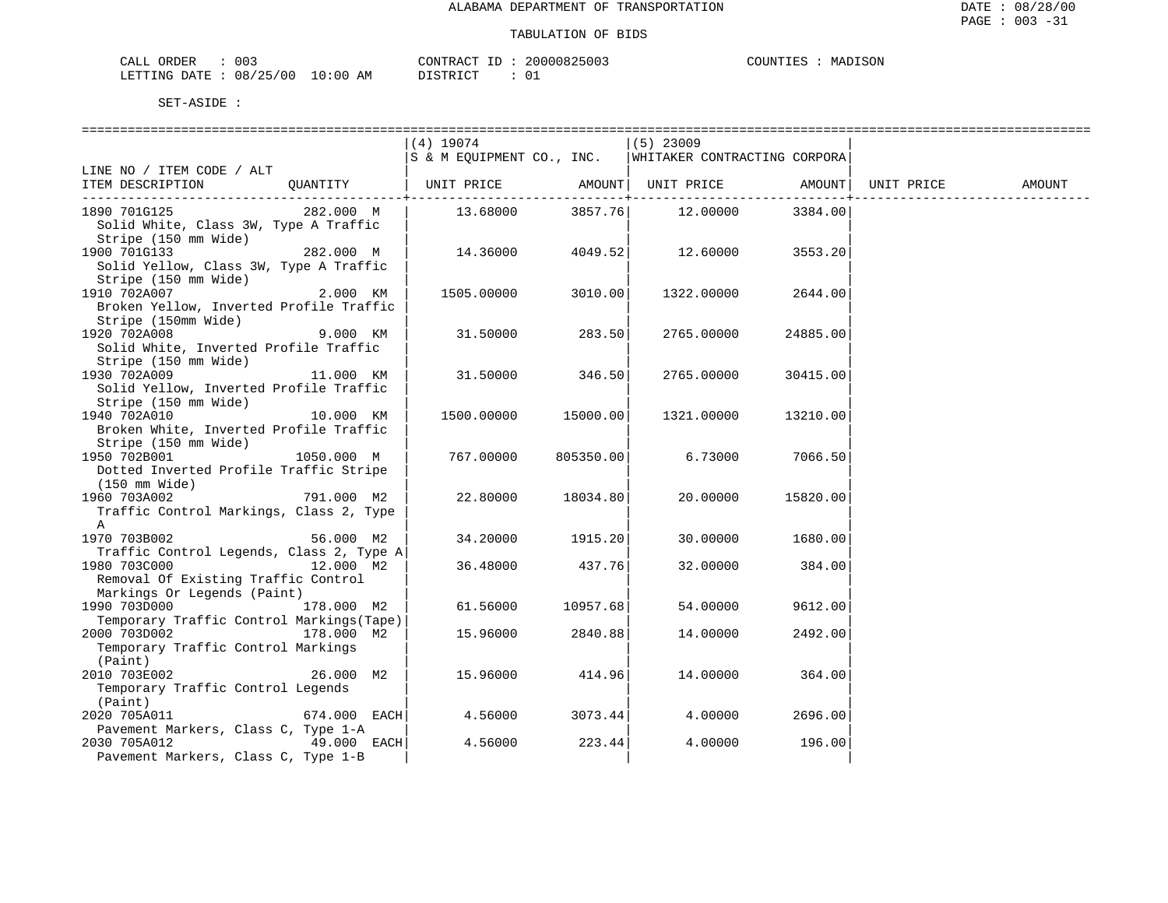MADISON

| CALL ORDER                      | 003 | CONTRACT | ' ID | 20000825003 | COUNTIES | MADISON |
|---------------------------------|-----|----------|------|-------------|----------|---------|
| LETTING DATE: 08/25/00 10:00 AM |     | DISTRICT |      |             |          |         |

|                                           |              | $(4)$ 19074               |           | $(5)$ 23009                  |          |            |        |
|-------------------------------------------|--------------|---------------------------|-----------|------------------------------|----------|------------|--------|
|                                           |              | S & M EQUIPMENT CO., INC. |           | WHITAKER CONTRACTING CORPORA |          |            |        |
| LINE NO / ITEM CODE / ALT                 |              |                           |           |                              |          |            |        |
| ITEM DESCRIPTION                          | QUANTITY     | UNIT PRICE                | AMOUNT    | UNIT PRICE                   | AMOUNT   | UNIT PRICE | AMOUNT |
|                                           |              |                           |           |                              |          |            |        |
| 1890 701G125                              | 282.000 M    | 13.68000                  | 3857.76   | 12.00000                     | 3384.00  |            |        |
| Solid White, Class 3W, Type A Traffic     |              |                           |           |                              |          |            |        |
| Stripe (150 mm Wide)                      |              |                           |           |                              |          |            |        |
| 1900 701G133                              | 282.000 M    | 14.36000                  | 4049.52   | 12.60000                     | 3553.20  |            |        |
| Solid Yellow, Class 3W, Type A Traffic    |              |                           |           |                              |          |            |        |
| Stripe (150 mm Wide)                      |              |                           |           |                              |          |            |        |
| 1910 702A007                              | 2.000 KM     | 1505.00000                | 3010.00   | 1322.00000                   | 2644.00  |            |        |
|                                           |              |                           |           |                              |          |            |        |
| Broken Yellow, Inverted Profile Traffic   |              |                           |           |                              |          |            |        |
| Stripe (150mm Wide)                       |              |                           |           |                              |          |            |        |
| 1920 702A008                              | 9.000 KM     | 31.50000                  | 283.50    | 2765.00000                   | 24885.00 |            |        |
| Solid White, Inverted Profile Traffic     |              |                           |           |                              |          |            |        |
| Stripe (150 mm Wide)                      |              |                           |           |                              |          |            |        |
| 1930 702A009                              | 11.000 KM    | 31.50000                  | 346.50    | 2765.00000                   | 30415.00 |            |        |
| Solid Yellow, Inverted Profile Traffic    |              |                           |           |                              |          |            |        |
| Stripe (150 mm Wide)                      |              |                           |           |                              |          |            |        |
| 1940 702A010                              | 10.000 KM    | 1500.00000                | 15000.00  | 1321.00000                   | 13210.00 |            |        |
| Broken White, Inverted Profile Traffic    |              |                           |           |                              |          |            |        |
| Stripe (150 mm Wide)                      |              |                           |           |                              |          |            |        |
| 1950 702B001                              | 1050.000 M   | 767.00000                 | 805350.00 | 6.73000                      | 7066.50  |            |        |
| Dotted Inverted Profile Traffic Stripe    |              |                           |           |                              |          |            |        |
| (150 mm Wide)                             |              |                           |           |                              |          |            |        |
| 1960 703A002                              | 791.000 M2   | 22.80000                  | 18034.80  | 20.00000                     | 15820.00 |            |        |
| Traffic Control Markings, Class 2, Type   |              |                           |           |                              |          |            |        |
| Α                                         |              |                           |           |                              |          |            |        |
| 1970 703B002                              | 56.000 M2    | 34.20000                  | 1915.20   | 30.00000                     | 1680.00  |            |        |
| Traffic Control Legends, Class 2, Type A  |              |                           |           |                              |          |            |        |
| 1980 703C000                              | 12.000 M2    | 36.48000                  | 437.76    | 32.00000                     | 384.00   |            |        |
| Removal Of Existing Traffic Control       |              |                           |           |                              |          |            |        |
| Markings Or Legends (Paint)               |              |                           |           |                              |          |            |        |
| 1990 703D000                              | 178.000 M2   | 61.56000                  | 10957.68  | 54.00000                     | 9612.00  |            |        |
| Temporary Traffic Control Markings (Tape) |              |                           |           |                              |          |            |        |
| 2000 703D002                              | 178.000 M2   | 15.96000                  | 2840.88   | 14.00000                     | 2492.00  |            |        |
| Temporary Traffic Control Markings        |              |                           |           |                              |          |            |        |
| (Paint)                                   |              |                           |           |                              |          |            |        |
| 2010 703E002                              | 26.000 M2    | 15.96000                  | 414.96    | 14.00000                     | 364.00   |            |        |
| Temporary Traffic Control Legends         |              |                           |           |                              |          |            |        |
| (Paint)                                   |              |                           |           |                              |          |            |        |
| 2020 705A011                              | 674.000 EACH | 4.56000                   | 3073.44   | 4.00000                      | 2696.00  |            |        |
| Pavement Markers, Class C, Type 1-A       |              |                           |           |                              |          |            |        |
| 2030 705A012                              | 49.000 EACH  | 4.56000                   | 223.44    | 4.00000                      | 196.00   |            |        |
| Pavement Markers, Class C, Type 1-B       |              |                           |           |                              |          |            |        |
|                                           |              |                           |           |                              |          |            |        |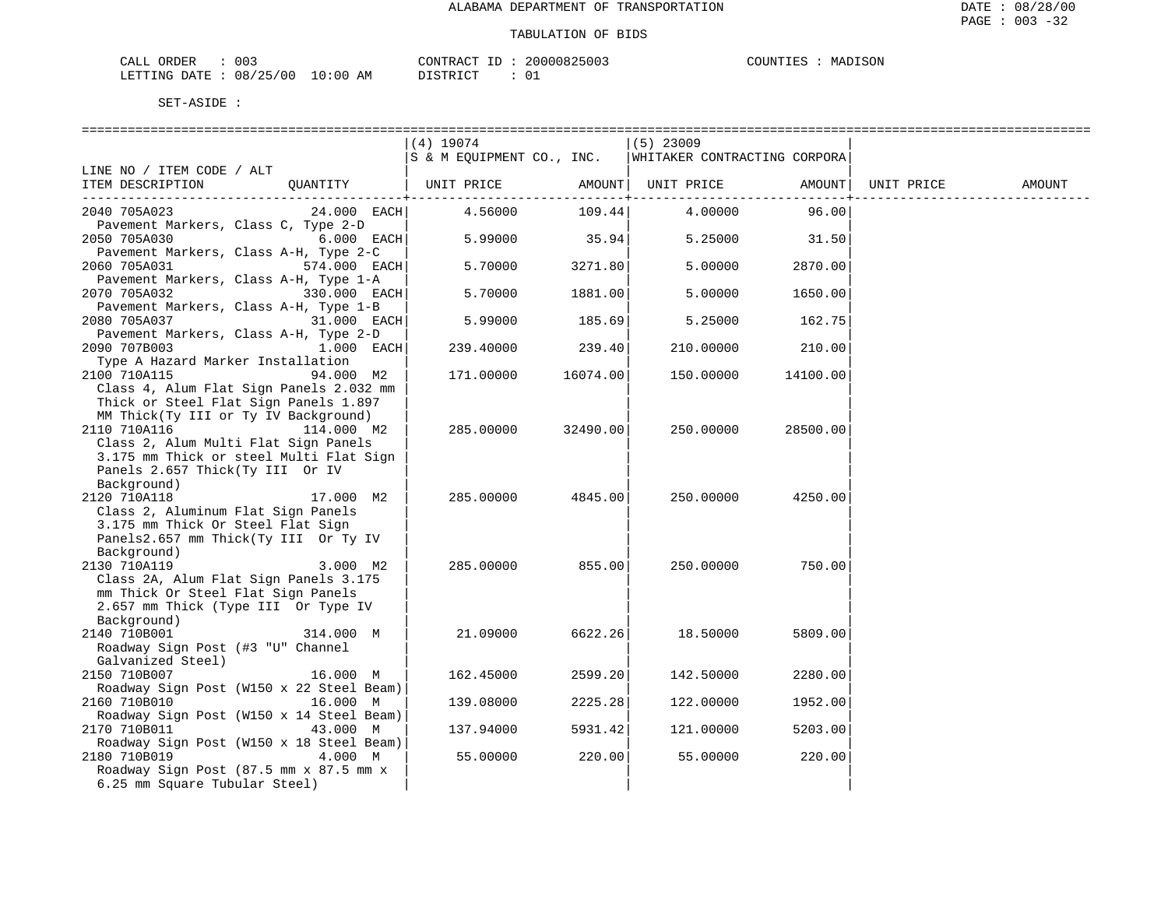| CALL ORDER                      | 003 | CONTRACT | ' ID | 20000825003 | COUNTIES | MADISON |
|---------------------------------|-----|----------|------|-------------|----------|---------|
| LETTING DATE: 08/25/00 10:00 AM |     | DISTRICT |      |             |          |         |

| $(4)$ 19074<br>$(5)$ 23009<br>S & M EQUIPMENT CO., INC.<br>WHITAKER CONTRACTING CORPORA<br>LINE NO / ITEM CODE / ALT<br>ITEM DESCRIPTION<br>OUANTITY<br>UNIT PRICE<br>AMOUNT  <br>UNIT PRICE<br>AMOUNT<br>UNIT PRICE<br>AMOUNT<br>. |  |
|-------------------------------------------------------------------------------------------------------------------------------------------------------------------------------------------------------------------------------------|--|
|                                                                                                                                                                                                                                     |  |
|                                                                                                                                                                                                                                     |  |
|                                                                                                                                                                                                                                     |  |
|                                                                                                                                                                                                                                     |  |
|                                                                                                                                                                                                                                     |  |
| 4.56000<br>109.44<br>2040 705A023<br>$24.000$ EACH<br>4.00000<br>96.00                                                                                                                                                              |  |
| Pavement Markers, Class C, Type 2-D                                                                                                                                                                                                 |  |
| 35.94<br>2050 705A030<br>6.000 EACH<br>5.99000<br>5.25000<br>31.50                                                                                                                                                                  |  |
| Pavement Markers, Class A-H, Type 2-C                                                                                                                                                                                               |  |
| 5.70000<br>3271.80<br>2060 705A031<br>574.000 EACH<br>5.00000<br>2870.00                                                                                                                                                            |  |
| Pavement Markers, Class A-H, Type 1-A                                                                                                                                                                                               |  |
| 1881.00<br>2070 705A032<br>330.000 EACH<br>5.70000<br>5.00000<br>1650.00                                                                                                                                                            |  |
| Pavement Markers, Class A-H, Type 1-B                                                                                                                                                                                               |  |
| 2080 705A037<br>5.99000<br>185.69<br>31.000 EACH<br>5.25000<br>162.75                                                                                                                                                               |  |
| Pavement Markers, Class A-H, Type 2-D                                                                                                                                                                                               |  |
| 2090 707B003<br>239.40<br>1.000 EACH<br>239.40000<br>210.00000<br>210.00                                                                                                                                                            |  |
| Type A Hazard Marker Installation                                                                                                                                                                                                   |  |
| 2100 710A115<br>16074.00<br>94.000 M2<br>171.00000<br>150.00000<br>14100.00                                                                                                                                                         |  |
| Class 4, Alum Flat Sign Panels 2.032 mm                                                                                                                                                                                             |  |
| Thick or Steel Flat Sign Panels 1.897                                                                                                                                                                                               |  |
| MM Thick(Ty III or Ty IV Background)                                                                                                                                                                                                |  |
| 2110 710A116<br>114.000 M2<br>285.00000<br>32490.00<br>250.00000<br>28500.00                                                                                                                                                        |  |
| Class 2, Alum Multi Flat Sign Panels                                                                                                                                                                                                |  |
| 3.175 mm Thick or steel Multi Flat Sign                                                                                                                                                                                             |  |
| Panels 2.657 Thick(Ty III Or IV                                                                                                                                                                                                     |  |
| Background)                                                                                                                                                                                                                         |  |
| 2120 710A118<br>4845.00<br>17.000 M2<br>285.00000<br>250.00000<br>4250.00                                                                                                                                                           |  |
| Class 2, Aluminum Flat Sign Panels                                                                                                                                                                                                  |  |
| 3.175 mm Thick Or Steel Flat Sign                                                                                                                                                                                                   |  |
| Panels2.657 mm Thick(Ty III Or Ty IV<br>Background)                                                                                                                                                                                 |  |
| 855.00<br>2130 710A119<br>285.00000<br>250.00000<br>750.00<br>3.000 M2                                                                                                                                                              |  |
| Class 2A, Alum Flat Sign Panels 3.175                                                                                                                                                                                               |  |
| mm Thick Or Steel Flat Sign Panels                                                                                                                                                                                                  |  |
| 2.657 mm Thick (Type III Or Type IV                                                                                                                                                                                                 |  |
| Background)                                                                                                                                                                                                                         |  |
| 2140 710B001<br>21.09000<br>6622.26<br>18.50000<br>314.000 M<br>5809.00                                                                                                                                                             |  |
| Roadway Sign Post (#3 "U" Channel                                                                                                                                                                                                   |  |
| Galvanized Steel)                                                                                                                                                                                                                   |  |
| 2150 710B007<br>162.45000<br>2599.20<br>142.50000<br>2280.00<br>16.000 M                                                                                                                                                            |  |
| Roadway Sign Post (W150 x 22 Steel Beam)                                                                                                                                                                                            |  |
| 2160 710B010<br>16.000 M<br>139.08000<br>2225.28<br>122.00000<br>1952.00                                                                                                                                                            |  |
| Roadway Sign Post (W150 x 14 Steel Beam)                                                                                                                                                                                            |  |
| 2170 710B011<br>43.000 M<br>137.94000<br>5931.42<br>121.00000<br>5203.00                                                                                                                                                            |  |
| Roadway Sign Post (W150 x 18 Steel Beam)                                                                                                                                                                                            |  |
| 2180 710B019<br>4.000 M<br>55.00000<br>220.00<br>55.00000<br>220.00                                                                                                                                                                 |  |
| Roadway Sign Post (87.5 mm x 87.5 mm x                                                                                                                                                                                              |  |
| 6.25 mm Square Tubular Steel)                                                                                                                                                                                                       |  |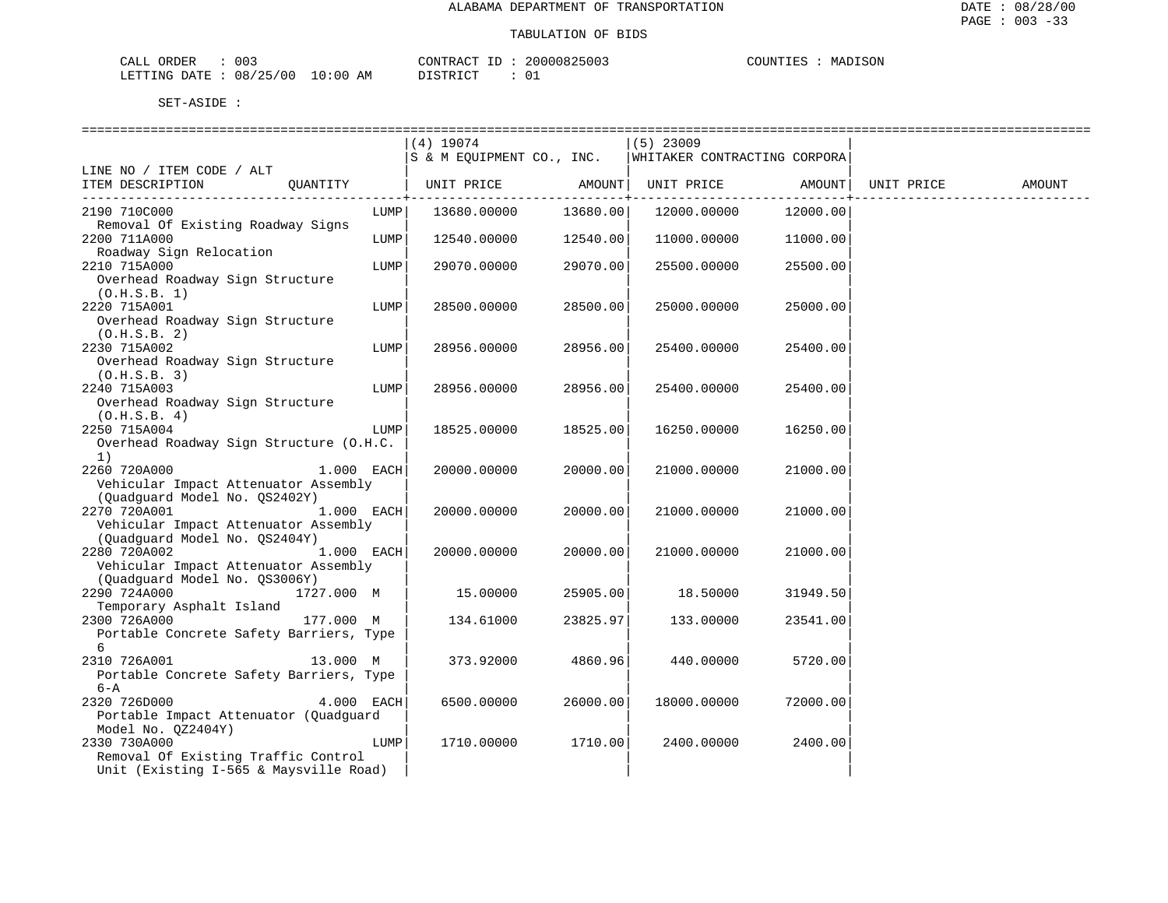| 003<br>CAT<br>ORDER<br>الللطاب                           | CONTRACT                     | 0.00000000<br>200008. | $-700$<br>COUNT.<br>11. T<br>ふいい<br>$\mathbf{v}$ $\mathbf{u}$ |
|----------------------------------------------------------|------------------------------|-----------------------|---------------------------------------------------------------|
| ノつに<br>/00<br>LETTINC<br>08/<br>DA <del>mr.</del><br>ìД. | :00<br>TSTRICT<br>AM<br>⊥U ⊺ | ັບ⊥<br>.              |                                                               |

|                                                                                                       |      | $(4)$ 19074                                              |          | $(5)$ 23009 |                   |            |        |
|-------------------------------------------------------------------------------------------------------|------|----------------------------------------------------------|----------|-------------|-------------------|------------|--------|
|                                                                                                       |      | S & M EQUIPMENT CO., INC.   WHITAKER CONTRACTING CORPORA |          |             |                   |            |        |
| LINE NO / ITEM CODE / ALT<br>ITEM DESCRIPTION<br>QUANTITY                                             |      | UNIT PRICE AMOUNT                                        |          |             | UNIT PRICE AMOUNT | UNIT PRICE | AMOUNT |
| 2190 710C000<br>Removal Of Existing Roadway Signs                                                     | LUMP | 13680.00000                                              | 13680.00 | 12000.00000 | 12000.00          |            |        |
| 2200 711A000<br>Roadway Sign Relocation                                                               | LUMP | 12540.00000                                              | 12540.00 | 11000.00000 | 11000.00          |            |        |
| 2210 715A000<br>Overhead Roadway Sign Structure<br>(0.H.S.B. 1)                                       | LUMP | 29070.00000                                              | 29070.00 | 25500.00000 | 25500.00          |            |        |
| 2220 715A001<br>Overhead Roadway Sign Structure<br>(0.H.S.B. 2)                                       | LUMP | 28500.00000                                              | 28500.00 | 25000.00000 | 25000.00          |            |        |
| 2230 715A002<br>Overhead Roadway Sign Structure<br>(0.H.S.B. 3)                                       | LUMP | 28956.00000                                              | 28956.00 | 25400.00000 | 25400.00          |            |        |
| 2240 715A003<br>Overhead Roadway Sign Structure<br>(0.H.S.B. 4)                                       | LUMP | 28956.00000                                              | 28956.00 | 25400.00000 | 25400.00          |            |        |
| 2250 715A004<br>Overhead Roadway Sign Structure (O.H.C.<br>1)                                         | LUMP | 18525.00000                                              | 18525.00 | 16250.00000 | 16250.00          |            |        |
| 2260 720A000<br>$1.000$ EACH<br>Vehicular Impact Attenuator Assembly<br>(Quadquard Model No. QS2402Y) |      | 20000.00000                                              | 20000.00 | 21000.00000 | 21000.00          |            |        |
| 2270 720A001<br>1.000 EACH<br>Vehicular Impact Attenuator Assembly<br>(Quadquard Model No. QS2404Y)   |      | 20000.00000                                              | 20000.00 | 21000.00000 | 21000.00          |            |        |
| 2280 720A002<br>$1.000$ EACH<br>Vehicular Impact Attenuator Assembly<br>(Quadquard Model No. QS3006Y) |      | 20000.00000                                              | 20000.00 | 21000.00000 | 21000.00          |            |        |
| 2290 724A000<br>1727.000 M<br>Temporary Asphalt Island                                                |      | 15.00000                                                 | 25905.00 | 18.50000    | 31949.50          |            |        |
| 177.000 M<br>2300 726A000<br>Portable Concrete Safety Barriers, Type<br>6                             |      | 134.61000                                                | 23825.97 | 133.00000   | 23541.00          |            |        |
| 2310 726A001<br>13.000 M<br>Portable Concrete Safety Barriers, Type<br>$6 - A$                        |      | 373.92000                                                | 4860.96  | 440.00000   | 5720.00           |            |        |
| 2320 726D000<br>$4.000$ EACH<br>Portable Impact Attenuator (Quadquard<br>Model No. QZ2404Y)           |      | 6500.00000                                               | 26000.00 | 18000.00000 | 72000.00          |            |        |
| 2330 730A000<br>Removal Of Existing Traffic Control<br>Unit (Existing I-565 & Maysville Road)         | LUMP | 1710.00000                                               | 1710.00  | 2400.00000  | 2400.00           |            |        |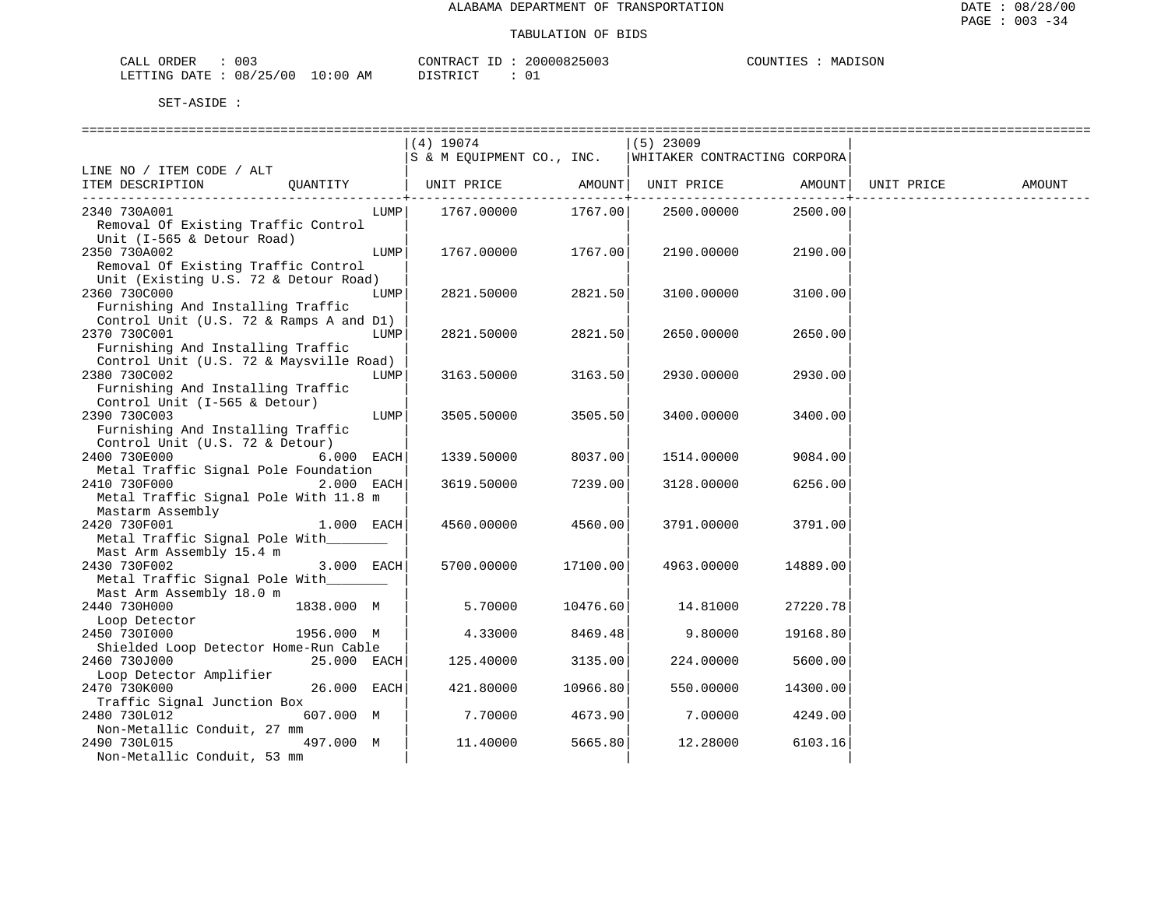| 003<br>ORDER<br>انلطات                                                               |                              | CONTR                  | <b>→ っけい…</b> | דותד<br>IVI A<br>п. |
|--------------------------------------------------------------------------------------|------------------------------|------------------------|---------------|---------------------|
| 08<br>.00<br><b>DUPTIO</b><br>$\pm 12$<br>$\rightarrow$<br>٠н.<br>$\ddots$<br>$\sim$ | AΜ<br>. : 00<br>.<br>$\cdot$ | $T$ $C$<br><b>CTPD</b> | A<br>ັບ⊥      |                     |

|                                         |      | (4) 19074                 |          | $(5)$ 23009                  |          |            |        |
|-----------------------------------------|------|---------------------------|----------|------------------------------|----------|------------|--------|
|                                         |      | S & M EQUIPMENT CO., INC. |          | WHITAKER CONTRACTING CORPORA |          |            |        |
| LINE NO / ITEM CODE / ALT               |      |                           |          |                              |          |            |        |
| OUANTITY<br>ITEM DESCRIPTION            |      | UNIT PRICE                | AMOUNT   | UNIT PRICE                   | AMOUNT   | UNIT PRICE | AMOUNT |
|                                         |      |                           |          |                              |          |            |        |
| 2340 730A001                            | LUMP | 1767.00000                | 1767.00  | 2500.00000                   | 2500.00  |            |        |
| Removal Of Existing Traffic Control     |      |                           |          |                              |          |            |        |
| Unit (I-565 & Detour Road)              |      |                           |          |                              |          |            |        |
| 2350 730A002                            | LUMP | 1767.00000                | 1767.00  | 2190.00000                   | 2190.00  |            |        |
| Removal Of Existing Traffic Control     |      |                           |          |                              |          |            |        |
| Unit (Existing U.S. 72 & Detour Road)   |      |                           |          |                              |          |            |        |
| 2360 730C000                            | LUMP | 2821.50000                | 2821.50  | 3100.00000                   | 3100.00  |            |        |
| Furnishing And Installing Traffic       |      |                           |          |                              |          |            |        |
| Control Unit (U.S. 72 & Ramps A and D1) |      |                           |          |                              |          |            |        |
| 2370 730C001                            | LUMP | 2821.50000                | 2821.50  | 2650.00000                   | 2650.00  |            |        |
| Furnishing And Installing Traffic       |      |                           |          |                              |          |            |        |
| Control Unit (U.S. 72 & Maysville Road) |      |                           |          |                              |          |            |        |
| 2380 730C002                            | LUMP | 3163.50000                | 3163.50  | 2930.00000                   | 2930.00  |            |        |
| Furnishing And Installing Traffic       |      |                           |          |                              |          |            |        |
| Control Unit (I-565 & Detour)           |      |                           |          |                              |          |            |        |
| 2390 730C003                            | LUMP | 3505.50000                | 3505.50  | 3400.00000                   | 3400.00  |            |        |
| Furnishing And Installing Traffic       |      |                           |          |                              |          |            |        |
| Control Unit (U.S. 72 & Detour)         |      |                           |          |                              |          |            |        |
| 2400 730E000<br>$6.000$ EACH            |      | 1339.50000                | 8037.00  | 1514.00000                   | 9084.00  |            |        |
| Metal Traffic Signal Pole Foundation    |      |                           |          |                              |          |            |        |
| 2410 730F000<br>$2.000$ EACH            |      | 3619.50000                | 7239.00  | 3128.00000                   | 6256.00  |            |        |
| Metal Traffic Signal Pole With 11.8 m   |      |                           |          |                              |          |            |        |
|                                         |      |                           |          |                              |          |            |        |
| Mastarm Assembly<br>2420 730F001        |      |                           | 4560.00  |                              |          |            |        |
| $1.000$ EACH                            |      | 4560.00000                |          | 3791.00000                   | 3791.00  |            |        |
| Metal Traffic Signal Pole With          |      |                           |          |                              |          |            |        |
| Mast Arm Assembly 15.4 m                |      |                           |          |                              |          |            |        |
| 2430 730F002<br>3.000 EACH              |      | 5700.00000                | 17100.00 | 4963.00000                   | 14889.00 |            |        |
| Metal Traffic Signal Pole With          |      |                           |          |                              |          |            |        |
| Mast Arm Assembly 18.0 m                |      |                           |          |                              |          |            |        |
| 2440 730H000<br>1838.000 M              |      | 5.70000                   | 10476.60 | 14.81000                     | 27220.78 |            |        |
| Loop Detector                           |      |                           |          |                              |          |            |        |
| 2450 7301000<br>1956.000 M              |      | 4.33000                   | 8469.48  | 9.80000                      | 19168.80 |            |        |
| Shielded Loop Detector Home-Run Cable   |      |                           |          |                              |          |            |        |
| 2460 730J000<br>25.000 EACH             |      | 125.40000                 | 3135.00  | 224.00000                    | 5600.00  |            |        |
| Loop Detector Amplifier                 |      |                           |          |                              |          |            |        |
| 2470 730K000<br>26.000 EACH             |      | 421,80000                 | 10966.80 | 550.00000                    | 14300.00 |            |        |
| Traffic Signal Junction Box             |      |                           |          |                              |          |            |        |
| 607.000 M<br>2480 730L012               |      | 7.70000                   | 4673.90  | 7.00000                      | 4249.00  |            |        |
| Non-Metallic Conduit, 27 mm             |      |                           |          |                              |          |            |        |
| 2490 730L015<br>497.000 M               |      | 11.40000                  | 5665.80  | 12.28000                     | 6103.16  |            |        |
| Non-Metallic Conduit, 53 mm             |      |                           |          |                              |          |            |        |
|                                         |      |                           |          |                              |          |            |        |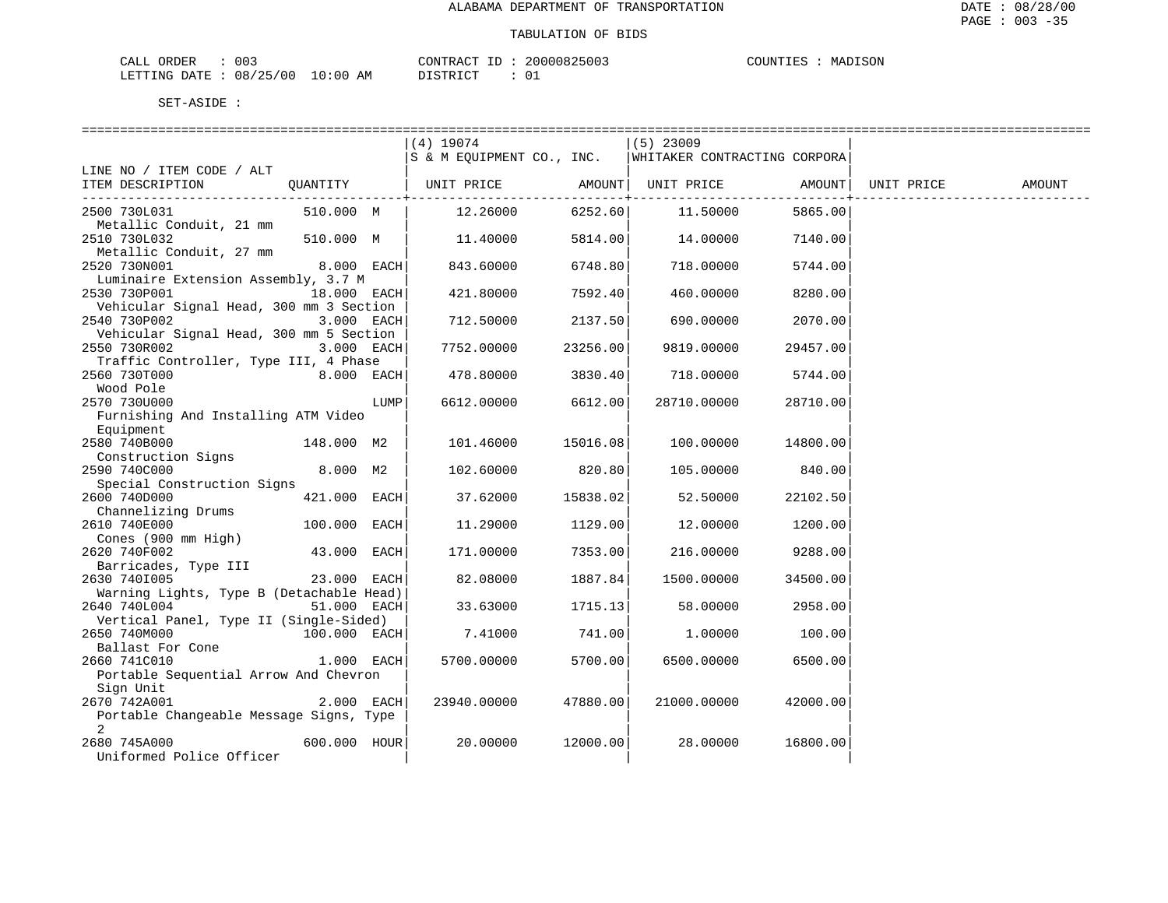| CALL ORDER                      | 003 | CONTRACT | ' ID | 20000825003 | COUNTIES | MADISON |
|---------------------------------|-----|----------|------|-------------|----------|---------|
| LETTING DATE: 08/25/00 10:00 AM |     | DISTRICT |      |             |          |         |

|                                                          |                |      | 4) 19074<br>S & M EQUIPMENT CO., INC. |          | $(5)$ 23009<br>WHITAKER CONTRACTING CORPORA |          |            |        |
|----------------------------------------------------------|----------------|------|---------------------------------------|----------|---------------------------------------------|----------|------------|--------|
| LINE NO / ITEM CODE / ALT                                |                |      |                                       |          |                                             |          |            |        |
| ITEM DESCRIPTION                                         | QUANTITY       |      | UNIT PRICE                            | AMOUNT   | UNIT PRICE                                  | AMOUNT   | UNIT PRICE | AMOUNT |
| 2500 730L031                                             | 510.000 M      |      | 12.26000                              | 6252.60  | 11.50000                                    | 5865.00  |            |        |
| Metallic Conduit, 21 mm<br>2510 730L032                  | 510.000 M      |      | 11.40000                              | 5814.00  | 14.00000                                    | 7140.00  |            |        |
| Metallic Conduit, 27 mm<br>2520 730N001                  | 8.000 EACH     |      | 843.60000                             | 6748.80  | 718.00000                                   | 5744.00  |            |        |
| Luminaire Extension Assembly, 3.7 M<br>2530 730P001      | 18.000 EACH    |      |                                       | 7592.40  |                                             | 8280.00  |            |        |
| Vehicular Signal Head, 300 mm 3 Section                  |                |      | 421.80000                             |          | 460.00000                                   |          |            |        |
| 2540 730P002                                             | 3.000 EACH     |      | 712.50000                             | 2137.50  | 690.00000                                   | 2070.00  |            |        |
| Vehicular Signal Head, 300 mm 5 Section<br>2550 730R002  | 3.000 EACH     |      |                                       | 23256.00 |                                             |          |            |        |
| Traffic Controller, Type III, 4 Phase                    |                |      | 7752.00000                            |          | 9819.00000                                  | 29457.00 |            |        |
| 2560 730T000                                             | 8.000 EACH     |      | 478.80000                             | 3830.40  | 718.00000                                   | 5744.00  |            |        |
| Wood Pole<br>2570 730U000                                |                | LUMP |                                       | 6612.00  |                                             |          |            |        |
| Furnishing And Installing ATM Video                      |                |      | 6612.00000                            |          | 28710.00000                                 | 28710.00 |            |        |
| Equipment<br>2580 740B000                                | 148.000 M2     |      |                                       |          |                                             |          |            |        |
| Construction Signs                                       |                |      | 101.46000                             | 15016.08 | 100.00000                                   | 14800.00 |            |        |
| 2590 740C000                                             | 8.000 M2       |      | 102.60000                             | 820.80   | 105.00000                                   | 840.00   |            |        |
| Special Construction Signs                               |                |      |                                       |          |                                             |          |            |        |
| 2600 740D000                                             | 421.000 EACH   |      | 37.62000                              | 15838.02 | 52.50000                                    | 22102.50 |            |        |
| Channelizing Drums                                       |                |      |                                       |          |                                             |          |            |        |
| 2610 740E000                                             | 100.000 EACH   |      | 11,29000                              | 1129.00  | 12.00000                                    | 1200.00  |            |        |
| Cones (900 mm High)                                      |                |      |                                       |          |                                             |          |            |        |
| 2620 740F002                                             | 43.000 EACH    |      | 171.00000                             | 7353.00  | 216.00000                                   | 9288.00  |            |        |
| Barricades, Type III                                     |                |      |                                       |          |                                             |          |            |        |
| 2630 7401005                                             | 23.000 EACH    |      | 82.08000                              | 1887.84  | 1500.00000                                  | 34500.00 |            |        |
| Warning Lights, Type B (Detachable Head)<br>2640 740L004 | 51.000 EACH    |      | 33.63000                              | 1715.13  | 58.00000                                    | 2958.00  |            |        |
| Vertical Panel, Type II (Single-Sided)                   |                |      |                                       |          |                                             |          |            |        |
| 2650 740M000                                             | $100.000$ EACH |      | 7.41000                               | 741.00   | 1.00000                                     | 100.00   |            |        |
| Ballast For Cone<br>2660 741C010                         | $1.000$ EACH   |      | 5700.00000                            | 5700.00  | 6500.00000                                  | 6500.00  |            |        |
| Portable Sequential Arrow And Chevron                    |                |      |                                       |          |                                             |          |            |        |
| Sign Unit                                                |                |      |                                       |          |                                             |          |            |        |
| 2670 742A001                                             | $2.000$ EACH   |      | 23940.00000                           | 47880.00 | 21000.00000                                 | 42000.00 |            |        |
| Portable Changeable Message Signs, Type                  |                |      |                                       |          |                                             |          |            |        |
| $\overline{2}$                                           |                |      |                                       |          |                                             |          |            |        |
| 2680 745A000<br>Uniformed Police Officer                 | 600.000 HOUR   |      | 20.00000                              | 12000.00 | 28.00000                                    | 16800.00 |            |        |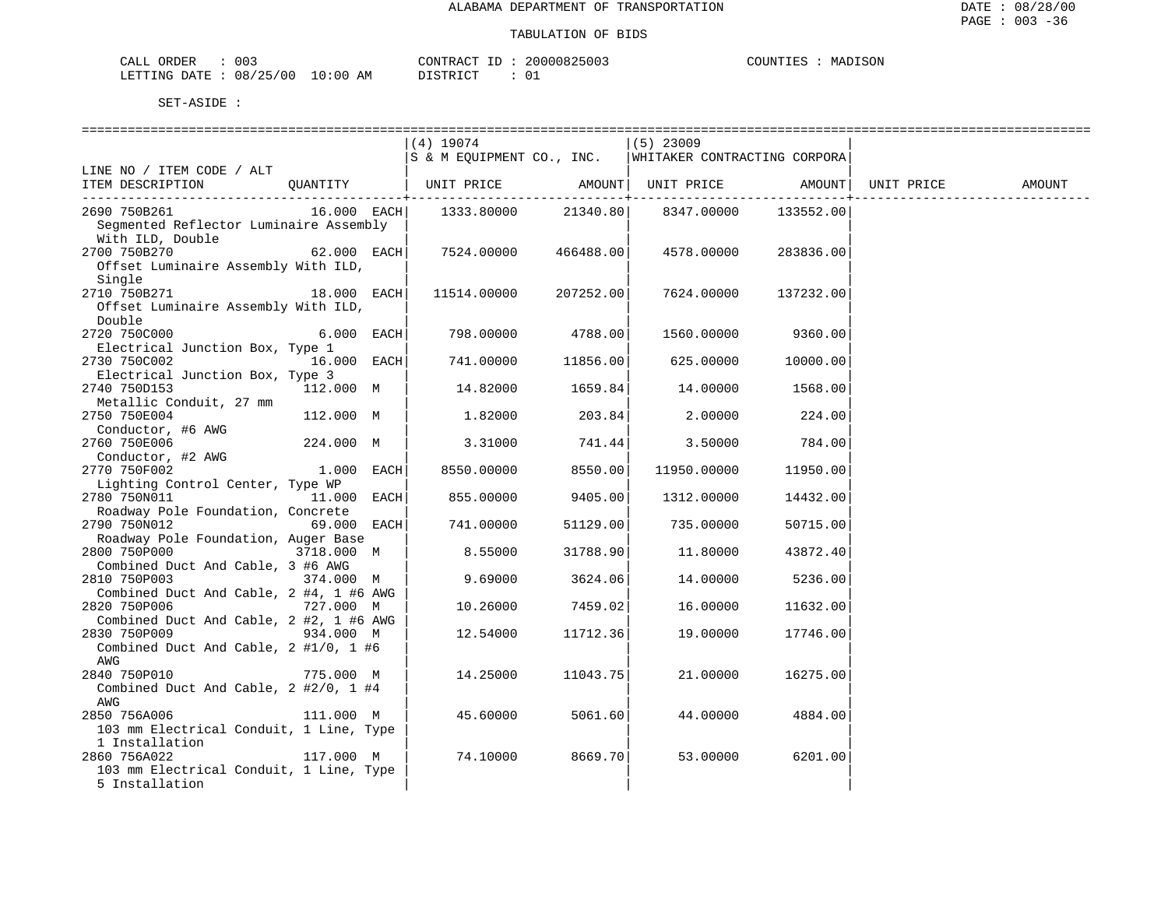| 003<br>CALL ORDER       |             | CONTRACT ID | 20000825003 | COUNTIES<br>MADISON |
|-------------------------|-------------|-------------|-------------|---------------------|
| LETTING DATE : 08/25/00 | 10:00<br>AM | DISTRICT    |             |                     |

|                                                         |               | $(4)$ 19074                                            |           | $(5)$ 23009        |           |            |        |
|---------------------------------------------------------|---------------|--------------------------------------------------------|-----------|--------------------|-----------|------------|--------|
|                                                         |               | S & M EQUIPMENT CO., INC. WHITAKER CONTRACTING CORPORA |           |                    |           |            |        |
| LINE NO / ITEM CODE / ALT                               |               |                                                        |           |                    |           |            |        |
| ITEM DESCRIPTION                                        | QUANTITY      | UNIT PRICE AMOUNT  UNIT PRICE AMOUNT                   |           |                    |           | UNIT PRICE | AMOUNT |
| 2690 750B261                                            |               |                                                        | 21340.80  | 8347.00000         | 133552.00 |            |        |
| Segmented Reflector Luminaire Assembly                  |               |                                                        |           |                    |           |            |        |
| With ILD, Double                                        |               |                                                        |           |                    |           |            |        |
| 2700 750B270                                            | $62.000$ EACH | 7524.00000                                             | 466488.00 | 4578.00000         | 283836.00 |            |        |
| Offset Luminaire Assembly With ILD,                     |               |                                                        |           |                    |           |            |        |
| Single                                                  |               |                                                        |           |                    |           |            |        |
| 2710 750B271                                            | $18.000$ EACH | 11514.00000 207252.00                                  |           | 7624.00000         | 137232.00 |            |        |
| Offset Luminaire Assembly With ILD,                     |               |                                                        |           |                    |           |            |        |
| Double                                                  |               |                                                        |           |                    |           |            |        |
| 2720 750C000                                            | $6.000$ EACH  | 798.00000                                              | 4788.00   | 1560.00000 9360.00 |           |            |        |
| Electrical Junction Box, Type 1                         |               |                                                        |           |                    |           |            |        |
| 2730 750C002                                            | $16.000$ EACH | 741.00000                                              | 11856.00  | 625.00000          | 10000.00  |            |        |
| Electrical Junction Box, Type 3                         |               |                                                        |           |                    |           |            |        |
| 2740 750D153                                            | 112.000 M     | 14.82000                                               | 1659.84   | 14.00000           | 1568.00   |            |        |
| Metallic Conduit, 27 mm                                 |               |                                                        |           |                    |           |            |        |
| 2750 750E004                                            | 112.000 M     | 1.82000                                                | 203.84    | 2.00000            | 224.00    |            |        |
| Conductor, #6 AWG                                       |               |                                                        |           |                    |           |            |        |
| 2760 750E006                                            | 224.000 M     | 3.31000                                                | 741.44    | 3.50000            | 784.00    |            |        |
| Conductor, #2 AWG                                       |               |                                                        |           |                    |           |            |        |
| 2770 750F002                                            | $1.000$ EACH  | 8550.00000                                             | 8550.00   | 11950.00000        | 11950.00  |            |        |
| Lighting Control Center, Type WP                        |               |                                                        |           |                    |           |            |        |
| 2780 750N011                                            | 11.000 EACH   | 855.00000                                              | 9405.00   | 1312.00000         | 14432.00  |            |        |
| Roadway Pole Foundation, Concrete                       |               |                                                        |           |                    |           |            |        |
| 2790 750N012                                            | 69.000 EACH   | 741.00000                                              | 51129.00  | 735.00000          | 50715.00  |            |        |
| Roadway Pole Foundation, Auger Base                     |               |                                                        |           |                    |           |            |        |
| 2800 750P000                                            | 3718.000 M    | 8.55000                                                | 31788.90  | 11.80000           | 43872.40  |            |        |
| Combined Duct And Cable, 3 #6 AWG                       |               |                                                        |           |                    |           |            |        |
| 2810 750P003                                            | 374.000 M     | 9.69000                                                | 3624.06   | 14.00000           | 5236.00   |            |        |
| Combined Duct And Cable, 2 #4, 1 #6 AWG                 |               |                                                        |           |                    |           |            |        |
| 2820 750P006                                            | 727.000 M     | 10.26000                                               | 7459.02   | 16.00000           | 11632.00  |            |        |
| Combined Duct And Cable, 2 #2, 1 #6 AWG<br>2830 750P009 |               | 12.54000                                               | 11712.36  | 19.00000           | 17746.00  |            |        |
| Combined Duct And Cable, $2$ #1/0, 1 #6                 | 934.000 M     |                                                        |           |                    |           |            |        |
| AWG                                                     |               |                                                        |           |                    |           |            |        |
| 2840 750P010                                            | 775.000 M     | 14.25000                                               | 11043.75  | 21.00000           | 16275.00  |            |        |
| Combined Duct And Cable, 2 #2/0, 1 #4                   |               |                                                        |           |                    |           |            |        |
| AWG                                                     |               |                                                        |           |                    |           |            |        |
| 2850 756A006                                            | 111.000 M     | 45.60000                                               | 5061.60   | 44.00000           | 4884.00   |            |        |
| 103 mm Electrical Conduit, 1 Line, Type                 |               |                                                        |           |                    |           |            |        |
| 1 Installation                                          |               |                                                        |           |                    |           |            |        |
| 2860 756A022                                            | 117.000 M     | 74.10000                                               | 8669.70   | 53.00000           | 6201.00   |            |        |
| 103 mm Electrical Conduit, 1 Line, Type                 |               |                                                        |           |                    |           |            |        |
| 5 Installation                                          |               |                                                        |           |                    |           |            |        |
|                                                         |               |                                                        |           |                    |           |            |        |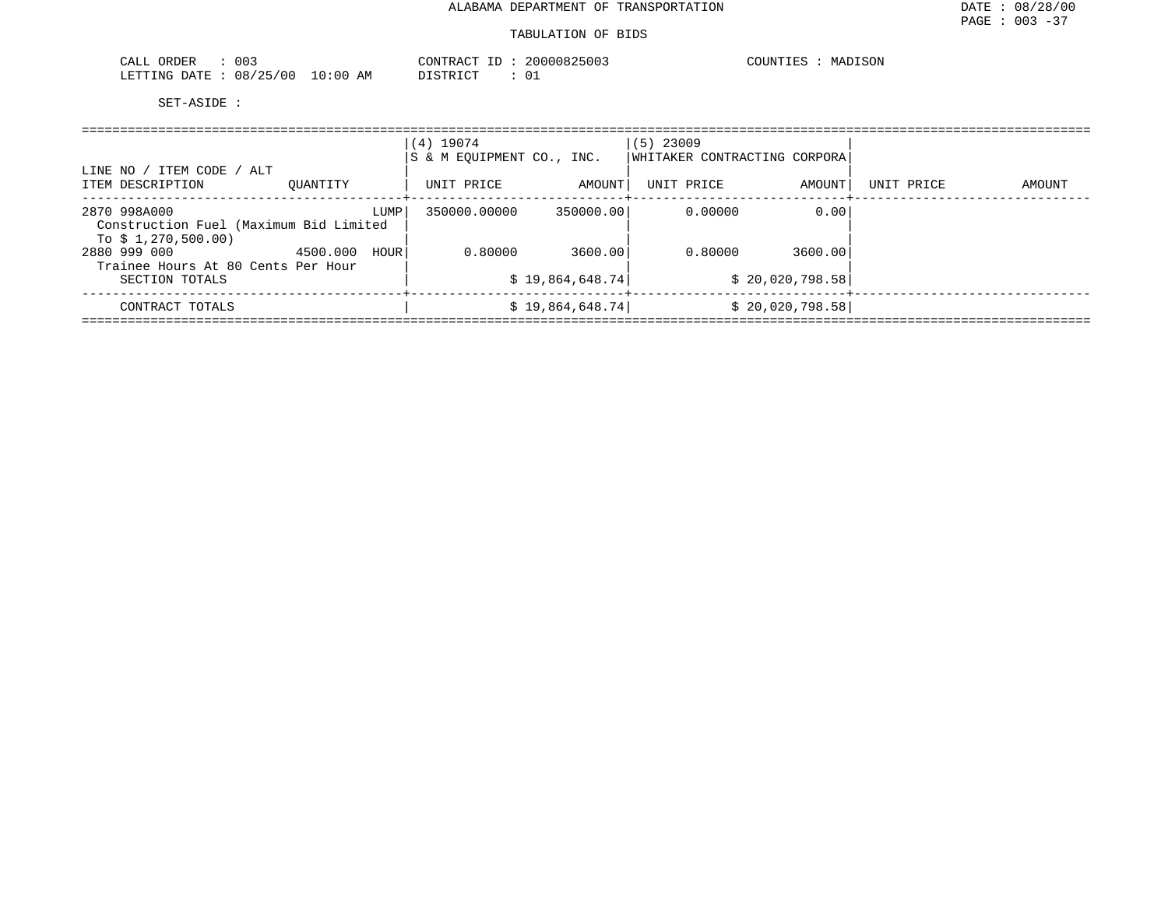| 003<br>ORDER<br>CALL     |            | CONTRACT ID   | 20000825003 | COUNTIES<br>MADISON |
|--------------------------|------------|---------------|-------------|---------------------|
| 08/25/00<br>LETTING DATE | $10:00$ AM | DISTRICT<br>. |             |                     |

| LINE NO / ITEM CODE / ALT                                                    |          |      | $(4)$ 19074<br>S & M EOUIPMENT CO., INC. |                  | $(5)$ 23009<br>WHITAKER CONTRACTING CORPORA |                  |            |        |
|------------------------------------------------------------------------------|----------|------|------------------------------------------|------------------|---------------------------------------------|------------------|------------|--------|
| ITEM DESCRIPTION                                                             | OUANTITY |      | UNIT PRICE                               | AMOUNT           | UNIT PRICE                                  | AMOUNT           | UNIT PRICE | AMOUNT |
| 2870 998A000<br>Construction Fuel (Maximum Bid Limited<br>To \$1,270,500.00) |          | LUMP | 350000.00000                             | 350000.00        | 0.00000                                     | 0.00             |            |        |
| 2880 999 000<br>Trainee Hours At 80 Cents Per Hour                           | 4500.000 | HOUR | 0.80000                                  | 3600.00          | 0.80000                                     | 3600.00          |            |        |
| SECTION TOTALS                                                               |          |      |                                          | \$19,864,648.74] |                                             | \$20,020,798.58] |            |        |
| CONTRACT TOTALS                                                              |          |      |                                          | \$19,864,648.74] |                                             | \$20,020,798.58] |            |        |
|                                                                              |          |      |                                          |                  |                                             |                  |            |        |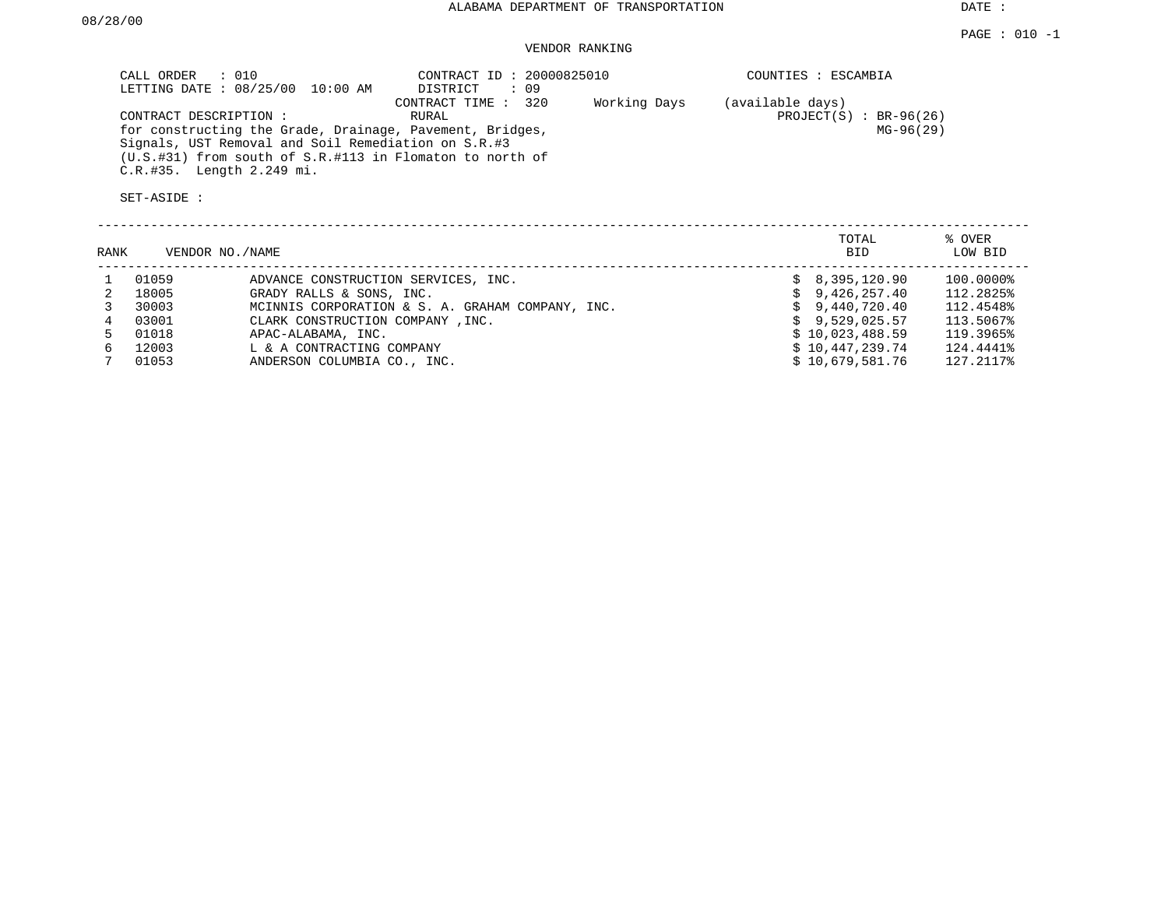DATE :

# VENDOR RANKING

| CALL ORDER : 010                                         | CONTRACT ID: 20000825010 |              | COUNTIES : ESCAMBIA       |
|----------------------------------------------------------|--------------------------|--------------|---------------------------|
| LETTING DATE : 08/25/00 10:00 AM                         | DISTRICT<br>: 09         |              |                           |
|                                                          | CONTRACT TIME : 320      | Working Days | (available days)          |
| CONTRACT DESCRIPTION :                                   | RURAL                    |              | PROJECT $(S)$ : BR-96(26) |
| for constructing the Grade, Drainage, Pavement, Bridges, |                          |              | $MG-96(29)$               |
| Signals, UST Removal and Soil Remediation on S.R.#3      |                          |              |                           |
| (U.S.#31) from south of S.R.#113 in Flomaton to north of |                          |              |                           |
| C.R.#35. Length 2.249 mi.                                |                          |              |                           |

| RANK |       | VENDOR NO./NAME                                  | TOTAL<br>BID.           | % OVER<br>LOW BID |
|------|-------|--------------------------------------------------|-------------------------|-------------------|
|      | 01059 | ADVANCE CONSTRUCTION SERVICES, INC.              | 8,395,120.90            | 100.0000%         |
|      | 18005 | GRADY RALLS & SONS, INC.                         | 9,426,257.40<br>S.      | 112.2825%         |
|      | 30003 | MCINNIS CORPORATION & S. A. GRAHAM COMPANY, INC. | \$9,440,720.40          | 112.4548%         |
|      | 03001 | CLARK CONSTRUCTION COMPANY, INC.                 | $\text{S}$ 9.529.025.57 | 113.5067%         |
|      | 01018 | APAC-ALABAMA, INC.                               | \$10,023,488.59         | 119.3965%         |
| б.   | 12003 | L & A CONTRACTING COMPANY                        | \$10,447,239.74         | 124.4441%         |
|      | 01053 | ANDERSON COLUMBIA CO., INC.                      | \$10.679.581.76         | 127.2117%         |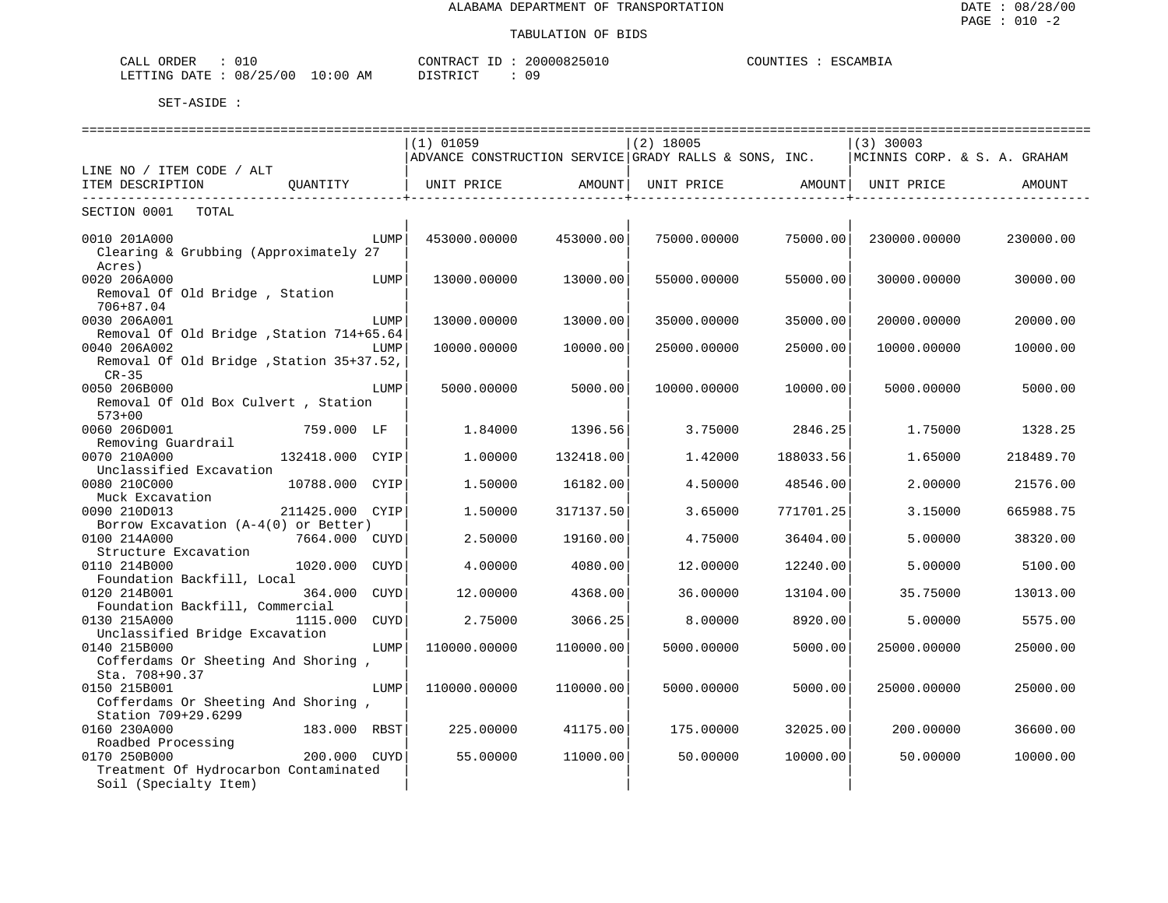| ORDER<br>CALL    | U⊥.      |             | CONTRACT<br>ID<br>'URAC | 20000825010 | C<br>ن بن بل . | 'AMRT'<br>، ت |
|------------------|----------|-------------|-------------------------|-------------|----------------|---------------|
| LETTING<br>DATE. | 08/25/00 | .0:00<br>AΜ | n t amn t am            | 09          |                |               |

|                                                                |      |              |           |                                                       |           | ===================          |           |
|----------------------------------------------------------------|------|--------------|-----------|-------------------------------------------------------|-----------|------------------------------|-----------|
|                                                                |      | $(1)$ 01059  |           | $(2)$ 18005                                           |           | $(3)$ 30003                  |           |
|                                                                |      |              |           | ADVANCE CONSTRUCTION SERVICE GRADY RALLS & SONS, INC. |           | MCINNIS CORP. & S. A. GRAHAM |           |
| LINE NO / ITEM CODE / ALT                                      |      |              |           |                                                       |           |                              |           |
| ITEM DESCRIPTION<br>QUANTITY                                   |      | UNIT PRICE   | AMOUNT    | UNIT PRICE                                            | AMOUNT    | UNIT PRICE                   | AMOUNT    |
|                                                                |      |              |           |                                                       |           |                              |           |
| SECTION 0001<br>TOTAL                                          |      |              |           |                                                       |           |                              |           |
|                                                                |      |              |           |                                                       |           |                              |           |
| 0010 201A000                                                   | LUMP | 453000.00000 | 453000.00 | 75000.00000                                           | 75000.00  | 230000.00000                 | 230000.00 |
| Clearing & Grubbing (Approximately 27                          |      |              |           |                                                       |           |                              |           |
| Acres)                                                         |      |              |           |                                                       |           |                              |           |
| 0020 206A000                                                   | LUMP | 13000.00000  | 13000.00  | 55000.00000                                           | 55000.00  | 30000.00000                  | 30000.00  |
| Removal Of Old Bridge, Station                                 |      |              |           |                                                       |           |                              |           |
| 706+87.04                                                      |      |              |           |                                                       |           |                              |           |
| 0030 206A001                                                   | LUMP | 13000.00000  | 13000.00  | 35000.00000                                           | 35000.00  | 20000.00000                  | 20000.00  |
| Removal Of Old Bridge, Station 714+65.64                       |      |              |           |                                                       |           |                              |           |
| 0040 206A002                                                   | LUMP | 10000.00000  | 10000.00  | 25000.00000                                           | 25000.00  | 10000.00000                  | 10000.00  |
| Removal Of Old Bridge, Station 35+37.52,                       |      |              |           |                                                       |           |                              |           |
| $CR-35$                                                        |      |              |           |                                                       |           |                              |           |
| 0050 206B000                                                   | LUMP | 5000.00000   | 5000.00   | 10000.00000                                           | 10000.00  | 5000.00000                   | 5000.00   |
| Removal Of Old Box Culvert, Station                            |      |              |           |                                                       |           |                              |           |
| $573 + 00$                                                     |      |              |           |                                                       |           |                              |           |
| 0060 206D001<br>759.000 LF                                     |      | 1.84000      | 1396.56   | 3.75000                                               | 2846.25   | 1.75000                      | 1328.25   |
| Removing Guardrail                                             |      |              |           |                                                       |           |                              |           |
| 0070 210A000<br>132418.000 CYIP                                |      | 1,00000      | 132418.00 | 1.42000                                               | 188033.56 | 1.65000                      | 218489.70 |
| Unclassified Excavation                                        |      |              |           |                                                       |           |                              |           |
| 0080 210C000<br>10788.000 CYIP                                 |      | 1.50000      | 16182.00  | 4.50000                                               | 48546.00  | 2.00000                      | 21576.00  |
| Muck Excavation                                                |      |              |           |                                                       |           |                              |           |
| 0090 210D013<br>211425.000 CYIP                                |      | 1.50000      | 317137.50 | 3.65000                                               | 771701.25 | 3.15000                      | 665988.75 |
| Borrow Excavation $(A-4(0))$ or Better)                        |      |              |           |                                                       |           |                              |           |
| 0100 214A000<br>7664.000 CUYD                                  |      | 2.50000      | 19160.00  | 4.75000                                               | 36404.00  | 5.00000                      | 38320.00  |
| Structure Excavation                                           |      |              |           |                                                       |           |                              |           |
| 0110 214B000<br>1020.000                                       | CUYD | 4.00000      | 4080.00   | 12.00000                                              | 12240.00  | 5.00000                      | 5100.00   |
| Foundation Backfill, Local                                     |      |              |           |                                                       |           |                              |           |
| 0120 214B001<br>364.000                                        | CUYD | 12.00000     | 4368.00   | 36.00000                                              | 13104.00  | 35.75000                     | 13013.00  |
| Foundation Backfill, Commercial                                |      |              |           |                                                       |           |                              |           |
| 0130 215A000<br>1115.000                                       | CUYD | 2.75000      | 3066.25   | 8,00000                                               | 8920.00   | 5.00000                      | 5575.00   |
| Unclassified Bridge Excavation                                 |      |              |           |                                                       |           |                              |           |
| 0140 215B000                                                   | LUMP | 110000.00000 | 110000.00 | 5000.00000                                            | 5000.00   | 25000.00000                  | 25000.00  |
| Cofferdams Or Sheeting And Shoring,                            |      |              |           |                                                       |           |                              |           |
| Sta. 708+90.37                                                 |      |              |           |                                                       |           |                              |           |
| 0150 215B001                                                   | LUMP | 110000.00000 | 110000.00 | 5000.00000                                            | 5000.00   | 25000.00000                  | 25000.00  |
| Cofferdams Or Sheeting And Shoring,                            |      |              |           |                                                       |           |                              |           |
| Station 709+29.6299                                            |      |              |           |                                                       |           |                              |           |
| 0160 230A000<br>183.000 RBST                                   |      | 225.00000    | 41175.00  | 175.00000                                             | 32025.00  | 200.00000                    | 36600.00  |
| Roadbed Processing<br>0170 250B000<br>200.000 CUYD             |      | 55.00000     | 11000.00  | 50.00000                                              | 10000.00  | 50.00000                     | 10000.00  |
|                                                                |      |              |           |                                                       |           |                              |           |
| Treatment Of Hydrocarbon Contaminated<br>Soil (Specialty Item) |      |              |           |                                                       |           |                              |           |
|                                                                |      |              |           |                                                       |           |                              |           |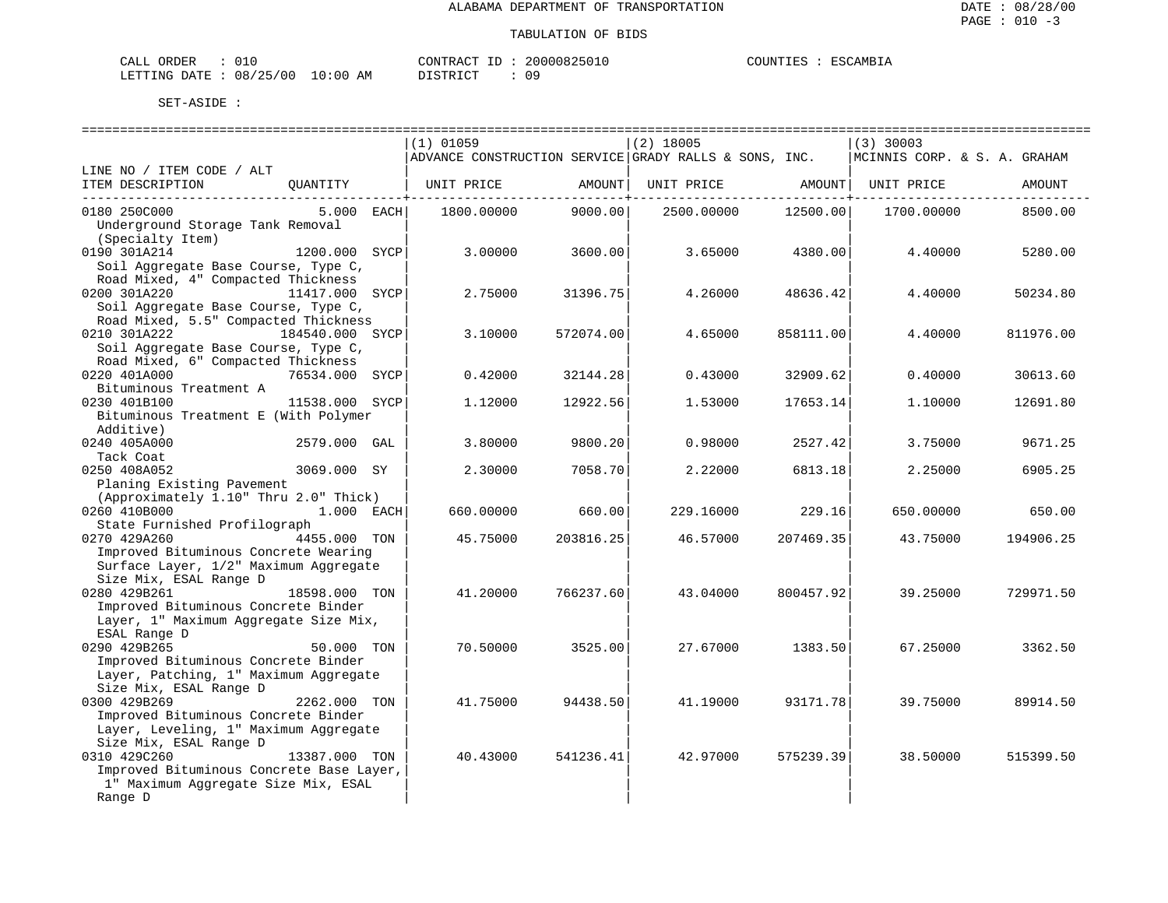| CALL         | ORDER |          |                   | CONTRACT        | 20000825010 | COUNTIES | ESCAMBIA |
|--------------|-------|----------|-------------------|-----------------|-------------|----------|----------|
| LETTING DATE |       | 08/25/00 | 10:00<br>ΆM<br>⊥∪ | DI STR TOT<br>. | ΟS          |          |          |

|                                                                              |                 |      | $(1)$ 01059 |           | $(2)$ 18005                                           |           | $(3)$ 30003                  |           |
|------------------------------------------------------------------------------|-----------------|------|-------------|-----------|-------------------------------------------------------|-----------|------------------------------|-----------|
|                                                                              |                 |      |             |           | ADVANCE CONSTRUCTION SERVICE GRADY RALLS & SONS, INC. |           | MCINNIS CORP. & S. A. GRAHAM |           |
| LINE NO / ITEM CODE / ALT                                                    |                 |      |             |           |                                                       |           |                              |           |
| ITEM DESCRIPTION                                                             | OUANTITY        |      | UNIT PRICE  | AMOUNT    | UNIT PRICE                                            | AMOUNT    | UNIT PRICE                   | AMOUNT    |
|                                                                              |                 |      |             |           |                                                       |           |                              |           |
| 0180 250C000                                                                 | 5.000 EACH      |      | 1800.00000  | 9000.00   | 2500.00000                                            | 12500.00  | 1700.00000                   | 8500.00   |
| Underground Storage Tank Removal                                             |                 |      |             |           |                                                       |           |                              |           |
| (Specialty Item)                                                             |                 |      |             |           |                                                       |           |                              |           |
| 0190 301A214                                                                 | 1200.000        | SYCP | 3.00000     | 3600.00   | 3.65000                                               | 4380.00   | 4.40000                      | 5280.00   |
| Soil Aggregate Base Course, Type C,                                          |                 |      |             |           |                                                       |           |                              |           |
| Road Mixed, 4" Compacted Thickness                                           |                 |      |             |           |                                                       |           |                              |           |
| 0200 301A220                                                                 | 11417.000 SYCP  |      | 2.75000     | 31396.75  | 4.26000                                               | 48636.42  | 4.40000                      | 50234.80  |
| Soil Aggregate Base Course, Type C,                                          |                 |      |             |           |                                                       |           |                              |           |
| Road Mixed, 5.5" Compacted Thickness                                         |                 |      |             |           |                                                       |           |                              |           |
| 0210 301A222                                                                 | 184540.000 SYCP |      | 3.10000     | 572074.00 | 4.65000                                               | 858111.00 | 4.40000                      | 811976.00 |
| Soil Aggregate Base Course, Type C,                                          |                 |      |             |           |                                                       |           |                              |           |
| Road Mixed, 6" Compacted Thickness                                           |                 |      |             |           |                                                       |           |                              |           |
| 0220 401A000                                                                 | 76534.000       | SYCP | 0.42000     | 32144.28  | 0.43000                                               | 32909.62  | 0.40000                      | 30613.60  |
| Bituminous Treatment A                                                       |                 |      |             |           |                                                       |           |                              |           |
| 0230 401B100                                                                 | 11538.000 SYCP  |      | 1.12000     | 12922.56  | 1.53000                                               | 17653.14  | 1,10000                      | 12691.80  |
| Bituminous Treatment E (With Polymer                                         |                 |      |             |           |                                                       |           |                              |           |
| Additive)                                                                    |                 |      |             |           |                                                       |           |                              |           |
| 0240 405A000                                                                 | 2579.000 GAL    |      | 3.80000     | 9800.20   | 0.98000                                               | 2527.42   | 3.75000                      | 9671.25   |
| Tack Coat                                                                    |                 |      |             |           |                                                       |           |                              |           |
| 0250 408A052                                                                 | 3069.000 SY     |      | 2.30000     | 7058.70   | 2.22000                                               | 6813.18   | 2.25000                      | 6905.25   |
| Planing Existing Pavement                                                    |                 |      |             |           |                                                       |           |                              |           |
| (Approximately 1.10" Thru 2.0" Thick)                                        |                 |      |             |           |                                                       |           |                              |           |
| 0260 410B000                                                                 | 1.000 EACH      |      | 660.00000   | 660.00    | 229.16000                                             | 229.16    | 650.00000                    | 650.00    |
| State Furnished Profilograph                                                 |                 |      |             |           |                                                       |           |                              |           |
| 0270 429A260                                                                 | 4455.000 TON    |      | 45.75000    | 203816.25 | 46.57000                                              | 207469.35 | 43.75000                     | 194906.25 |
| Improved Bituminous Concrete Wearing                                         |                 |      |             |           |                                                       |           |                              |           |
| Surface Layer, 1/2" Maximum Aggregate                                        |                 |      |             |           |                                                       |           |                              |           |
| Size Mix, ESAL Range D                                                       |                 |      |             |           |                                                       |           |                              |           |
| 0280 429B261                                                                 | 18598.000 TON   |      | 41.20000    | 766237.60 | 43.04000                                              | 800457.92 | 39.25000                     | 729971.50 |
| Improved Bituminous Concrete Binder                                          |                 |      |             |           |                                                       |           |                              |           |
| Layer, 1" Maximum Aggregate Size Mix,                                        |                 |      |             |           |                                                       |           |                              |           |
| ESAL Range D<br>0290 429B265                                                 | 50.000 TON      |      | 70.50000    | 3525.00   | 27.67000                                              | 1383.50   | 67.25000                     | 3362.50   |
|                                                                              |                 |      |             |           |                                                       |           |                              |           |
| Improved Bituminous Concrete Binder<br>Layer, Patching, 1" Maximum Aggregate |                 |      |             |           |                                                       |           |                              |           |
| Size Mix, ESAL Range D                                                       |                 |      |             |           |                                                       |           |                              |           |
| 0300 429B269                                                                 | 2262.000 TON    |      | 41.75000    | 94438.50  | 41.19000                                              | 93171.78  | 39.75000                     | 89914.50  |
| Improved Bituminous Concrete Binder                                          |                 |      |             |           |                                                       |           |                              |           |
| Layer, Leveling, 1" Maximum Aggregate                                        |                 |      |             |           |                                                       |           |                              |           |
| Size Mix, ESAL Range D                                                       |                 |      |             |           |                                                       |           |                              |           |
| 0310 429C260                                                                 | 13387.000 TON   |      | 40.43000    | 541236.41 | 42.97000                                              | 575239.39 | 38.50000                     | 515399.50 |
| Improved Bituminous Concrete Base Layer,                                     |                 |      |             |           |                                                       |           |                              |           |
| 1" Maximum Aggregate Size Mix, ESAL                                          |                 |      |             |           |                                                       |           |                              |           |
| Range D                                                                      |                 |      |             |           |                                                       |           |                              |           |
|                                                                              |                 |      |             |           |                                                       |           |                              |           |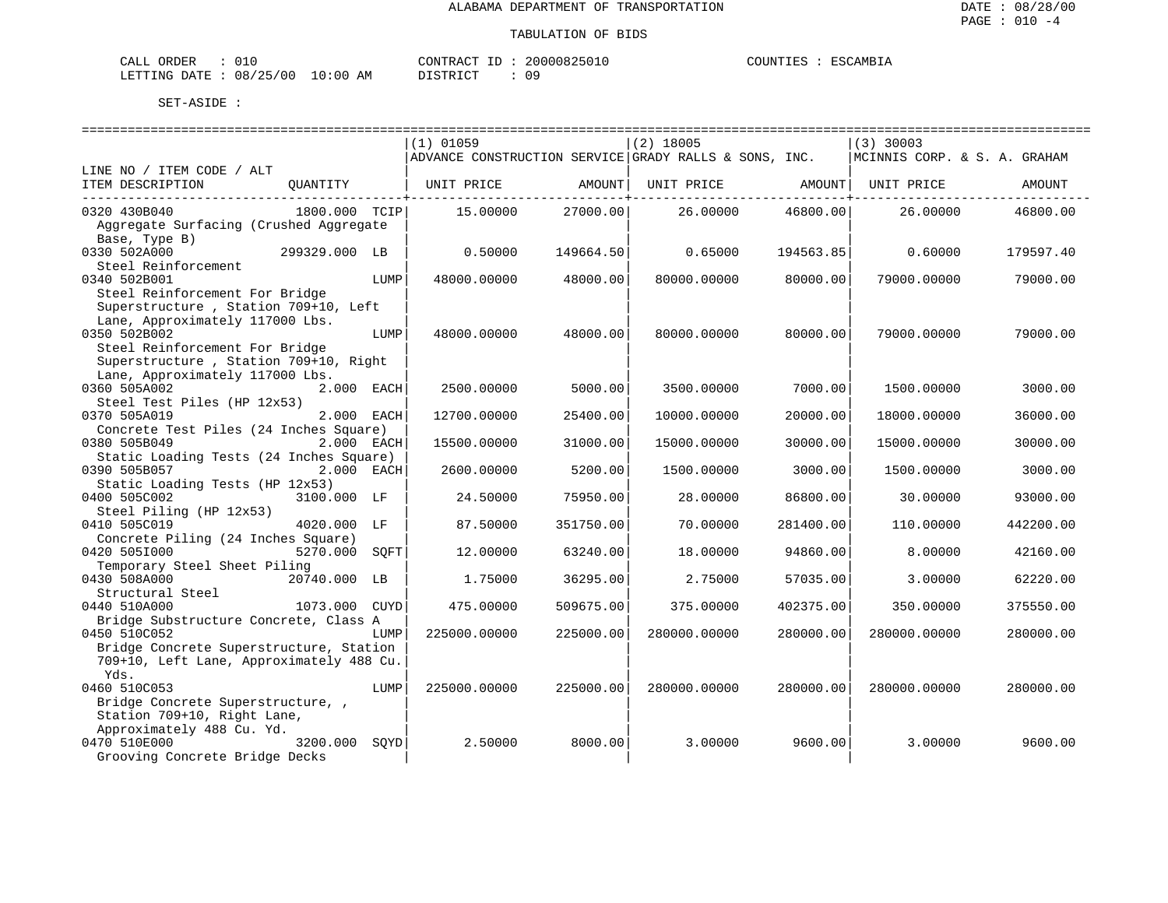| $\sim$ $ -$<br>ORDER<br>- LLAL |              |                    | CONTRACT<br>$-1$ | 20000825 | JUNTIF1<br>. TRA | ESC.<br>$\sim$ AMB <sub>1</sub> . |
|--------------------------------|--------------|--------------------|------------------|----------|------------------|-----------------------------------|
| LETTING<br><b>DATE</b><br>.    | 08<br>'25/00 | AΜ<br>:00<br>— ∪ ∵ | TAT<br>DI GITO   | ΟS       |                  |                                   |

|                                                |      | $(1)$ 01059                                           |           | $(2)$ 18005  |           | $(3)$ 30003                  |           |
|------------------------------------------------|------|-------------------------------------------------------|-----------|--------------|-----------|------------------------------|-----------|
|                                                |      | ADVANCE CONSTRUCTION SERVICE GRADY RALLS & SONS, INC. |           |              |           | MCINNIS CORP. & S. A. GRAHAM |           |
| LINE NO / ITEM CODE / ALT                      |      |                                                       |           |              |           |                              |           |
| ITEM DESCRIPTION<br>OUANTITY                   |      | UNIT PRICE                                            | AMOUNT    | UNIT PRICE   | AMOUNT    | UNIT PRICE                   | AMOUNT    |
| 0320 430B040<br>1800.000 TCIP                  |      | 15.00000                                              | 27000.00  | 26.00000     | 46800.00  | 26.00000                     | 46800.00  |
| Aggregate Surfacing (Crushed Aggregate         |      |                                                       |           |              |           |                              |           |
| Base, Type B)                                  |      |                                                       |           |              |           |                              |           |
| 0330 502A000<br>299329.000 LB                  |      | 0.50000                                               | 149664.50 | 0.65000      | 194563.85 | 0.60000                      | 179597.40 |
| Steel Reinforcement                            |      |                                                       |           |              |           |                              |           |
| 0340 502B001                                   | LUMP | 48000.00000                                           | 48000.00  | 80000.00000  | 80000.00  | 79000.00000                  | 79000.00  |
| Steel Reinforcement For Bridge                 |      |                                                       |           |              |           |                              |           |
| Superstructure, Station 709+10, Left           |      |                                                       |           |              |           |                              |           |
| Lane, Approximately 117000 Lbs.                |      |                                                       |           |              |           |                              |           |
| 0350 502B002                                   | LUMP | 48000.00000                                           | 48000.00  | 80000.00000  | 80000.00  | 79000.00000                  | 79000.00  |
| Steel Reinforcement For Bridge                 |      |                                                       |           |              |           |                              |           |
| Superstructure, Station 709+10, Right          |      |                                                       |           |              |           |                              |           |
| Lane, Approximately 117000 Lbs.                |      |                                                       |           |              |           |                              |           |
| 0360 505A002<br>2.000 EACH                     |      | 2500.00000                                            | 5000.00   | 3500.00000   | 7000.00   | 1500.00000                   | 3000.00   |
| Steel Test Piles (HP 12x53)                    |      |                                                       |           |              |           |                              |           |
| 0370 505A019<br>2.000 EACH                     |      | 12700.00000                                           | 25400.00  | 10000.00000  | 20000.00  | 18000.00000                  | 36000.00  |
| Concrete Test Piles (24 Inches Square)         |      |                                                       |           |              |           |                              |           |
| 0380 505B049<br>2.000 EACH                     |      | 15500.00000                                           | 31000.00  | 15000.00000  | 30000.00  | 15000.00000                  | 30000.00  |
| Static Loading Tests (24 Inches Square)        |      |                                                       |           |              |           |                              |           |
| 0390 505B057<br>2.000 EACH                     |      | 2600.00000                                            | 5200.00   | 1500.00000   | 3000.00   | 1500.00000                   | 3000.00   |
| Static Loading Tests (HP 12x53)<br>3100.000 LF |      |                                                       |           |              | 86800.00  |                              |           |
| 0400 505C002<br>Steel Piling (HP 12x53)        |      | 24.50000                                              | 75950.00  | 28.00000     |           | 30.00000                     | 93000.00  |
| 0410 505C019<br>4020.000 LF                    |      | 87.50000                                              | 351750.00 | 70.00000     | 281400.00 | 110.00000                    | 442200.00 |
| Concrete Piling (24 Inches Square)             |      |                                                       |           |              |           |                              |           |
| 0420 5051000<br>5270.000                       | SQFT | 12.00000                                              | 63240.00  | 18.00000     | 94860.00  | 8.00000                      | 42160.00  |
| Temporary Steel Sheet Piling                   |      |                                                       |           |              |           |                              |           |
| 0430 508A000<br>20740.000 LB                   |      | 1.75000                                               | 36295.00  | 2.75000      | 57035.00  | 3.00000                      | 62220.00  |
| Structural Steel                               |      |                                                       |           |              |           |                              |           |
| 0440 510A000<br>1073.000 CUYD                  |      | 475.00000                                             | 509675.00 | 375.00000    | 402375.00 | 350.00000                    | 375550.00 |
| Bridge Substructure Concrete, Class A          |      |                                                       |           |              |           |                              |           |
| 0450 510C052                                   | LUMP | 225000.00000                                          | 225000.00 | 280000.00000 | 280000.00 | 280000.00000                 | 280000.00 |
| Bridge Concrete Superstructure, Station        |      |                                                       |           |              |           |                              |           |
| 709+10, Left Lane, Approximately 488 Cu.       |      |                                                       |           |              |           |                              |           |
| Yds.                                           |      |                                                       |           |              |           |                              |           |
| 0460 510C053                                   | LUMP | 225000.00000                                          | 225000.00 | 280000.00000 | 280000.00 | 280000.00000                 | 280000.00 |
| Bridge Concrete Superstructure,,               |      |                                                       |           |              |           |                              |           |
| Station 709+10, Right Lane,                    |      |                                                       |           |              |           |                              |           |
| Approximately 488 Cu. Yd.                      |      |                                                       |           |              |           |                              |           |
| 0470 510E000<br>3200.000                       | SOYD | 2.50000                                               | 8000.00   | 3.00000      | 9600.00   | 3.00000                      | 9600.00   |
| Grooving Concrete Bridge Decks                 |      |                                                       |           |              |           |                              |           |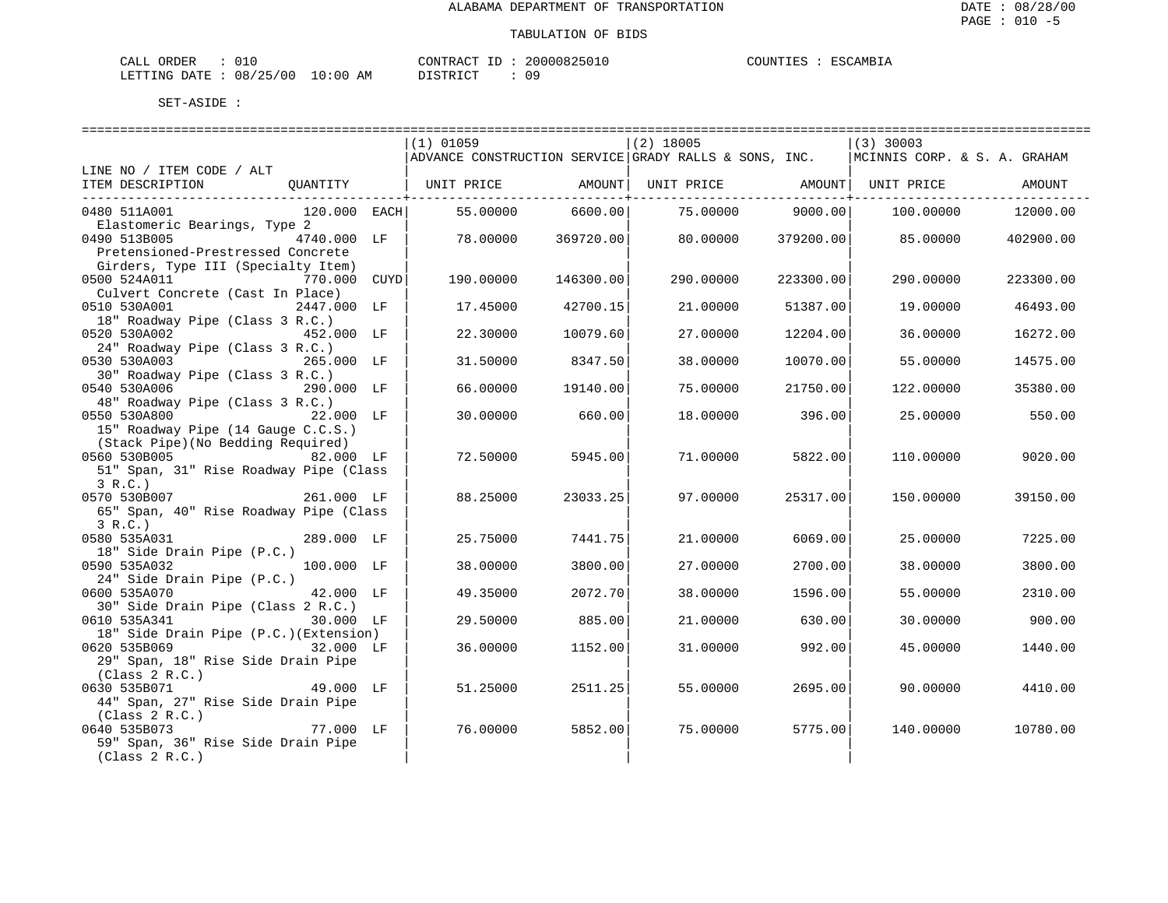| CALL ORDER                       |  |  |          |  | CONTRACT ID: 20000825010 | COUNTIES : ESCAMBIA |  |
|----------------------------------|--|--|----------|--|--------------------------|---------------------|--|
| LETTING DATE : 08/25/00 10:00 AM |  |  | DISTRICT |  | 09                       |                     |  |

|                                                               | $(1)$ 01059 |           | $(2)$ 18005                                                         |           | (3) 30003                    |           |
|---------------------------------------------------------------|-------------|-----------|---------------------------------------------------------------------|-----------|------------------------------|-----------|
|                                                               |             |           | $\mid$ ADVANCE CONSTRUCTION SERVICE $\mid$ GRADY RALLS & SONS, INC. |           | MCINNIS CORP. & S. A. GRAHAM |           |
| LINE NO / ITEM CODE / ALT                                     |             |           |                                                                     |           |                              |           |
| ITEM DESCRIPTION<br>OUANTITY                                  | UNIT PRICE  | AMOUNT    | UNIT PRICE                                                          |           | AMOUNT  UNIT PRICE           | AMOUNT    |
| 0480 511A001<br>120.000 EACH                                  | 55.00000    | 6600.00   | 75.00000                                                            | 9000.00   | 100,00000                    | 12000.00  |
| Elastomeric Bearings, Type 2                                  |             |           |                                                                     |           |                              |           |
| 0490 513B005<br>4740.000 LF                                   | 78,00000    | 369720.00 | 80.00000                                                            | 379200.00 | 85,00000                     | 402900.00 |
| Pretensioned-Prestressed Concrete                             |             |           |                                                                     |           |                              |           |
| Girders, Type III (Specialty Item)                            |             |           |                                                                     |           |                              |           |
| 0500 524A011<br>770.000 CUYD                                  | 190.00000   | 146300.00 | 290.00000                                                           | 223300.00 | 290.00000                    | 223300.00 |
| Culvert Concrete (Cast In Place)                              |             |           |                                                                     |           |                              |           |
| 0510 530A001<br>2447.000 LF                                   | 17.45000    | 42700.15  | 21,00000                                                            | 51387.00  | 19.00000                     | 46493.00  |
| 18" Roadway Pipe (Class 3 R.C.)                               |             |           |                                                                     |           |                              |           |
| 0520 530A002<br>452.000 LF                                    | 22.30000    | 10079.60  | 27.00000                                                            | 12204.00  | 36.00000                     | 16272.00  |
| 24" Roadway Pipe (Class 3 R.C.)<br>0530 530A003<br>265.000 LF |             | 8347.50   | 38.00000                                                            | 10070.00  |                              |           |
| 30" Roadway Pipe (Class 3 R.C.)                               | 31.50000    |           |                                                                     |           | 55.00000                     | 14575.00  |
| 0540 530A006<br>290.000 LF                                    | 66.00000    | 19140.00  | 75.00000                                                            | 21750.00  | 122,00000                    | 35380.00  |
| 48" Roadway Pipe (Class 3 R.C.)                               |             |           |                                                                     |           |                              |           |
| 0550 530A800<br>22.000 LF                                     | 30.00000    | 660.00    | 18,00000                                                            | 396.00    | 25,00000                     | 550.00    |
| 15" Roadway Pipe (14 Gauge C.C.S.)                            |             |           |                                                                     |           |                              |           |
| (Stack Pipe) (No Bedding Required)                            |             |           |                                                                     |           |                              |           |
| 0560 530B005<br>82.000 LF                                     | 72.50000    | 5945.00   | 71.00000                                                            | 5822.00   | 110.00000                    | 9020.00   |
| 51" Span, 31" Rise Roadway Pipe (Class                        |             |           |                                                                     |           |                              |           |
| 3 R.C.                                                        |             |           |                                                                     |           |                              |           |
| 0570 530B007<br>261.000 LF                                    | 88.25000    | 23033.25  | 97.00000                                                            | 25317.00  | 150.00000                    | 39150.00  |
| 65" Span, 40" Rise Roadway Pipe (Class                        |             |           |                                                                     |           |                              |           |
| 3 R.C.                                                        |             |           |                                                                     |           |                              |           |
| 0580 535A031<br>289.000 LF                                    | 25.75000    | 7441.75   | 21.00000                                                            | 6069.00   | 25.00000                     | 7225.00   |
| 18" Side Drain Pipe (P.C.)<br>100.000 LF<br>0590 535A032      | 38.00000    | 3800.00   | 27.00000                                                            | 2700.00   | 38.00000                     | 3800.00   |
| 24" Side Drain Pipe (P.C.)                                    |             |           |                                                                     |           |                              |           |
| 0600 535A070<br>42.000 LF                                     | 49.35000    | 2072.70   | 38,00000                                                            | 1596.00   | 55.00000                     | 2310.00   |
| 30" Side Drain Pipe (Class 2 R.C.)                            |             |           |                                                                     |           |                              |           |
| 0610 535A341<br>30.000 LF                                     | 29.50000    | 885.00    | 21.00000                                                            | 630.00    | 30.00000                     | 900.00    |
| 18" Side Drain Pipe (P.C.)(Extension)                         |             |           |                                                                     |           |                              |           |
| 0620 535B069<br>32.000 LF                                     | 36.00000    | 1152.00   | 31,00000                                                            | 992.00    | 45.00000                     | 1440.00   |
| 29" Span, 18" Rise Side Drain Pipe                            |             |           |                                                                     |           |                              |           |
| (Class 2 R.C.)                                                |             |           |                                                                     |           |                              |           |
| 0630 535B071<br>49.000 LF                                     | 51.25000    | 2511.25   | 55.00000                                                            | 2695.00   | 90.00000                     | 4410.00   |
| 44" Span, 27" Rise Side Drain Pipe                            |             |           |                                                                     |           |                              |           |
| (Class 2 R.C.)                                                |             |           |                                                                     |           |                              |           |
| 0640 535B073<br>77.000 LF                                     | 76.00000    | 5852.00   | 75.00000                                                            | 5775.00   | 140.00000                    | 10780.00  |
| 59" Span, 36" Rise Side Drain Pipe<br>(Class 2 R.C.)          |             |           |                                                                     |           |                              |           |
|                                                               |             |           |                                                                     |           |                              |           |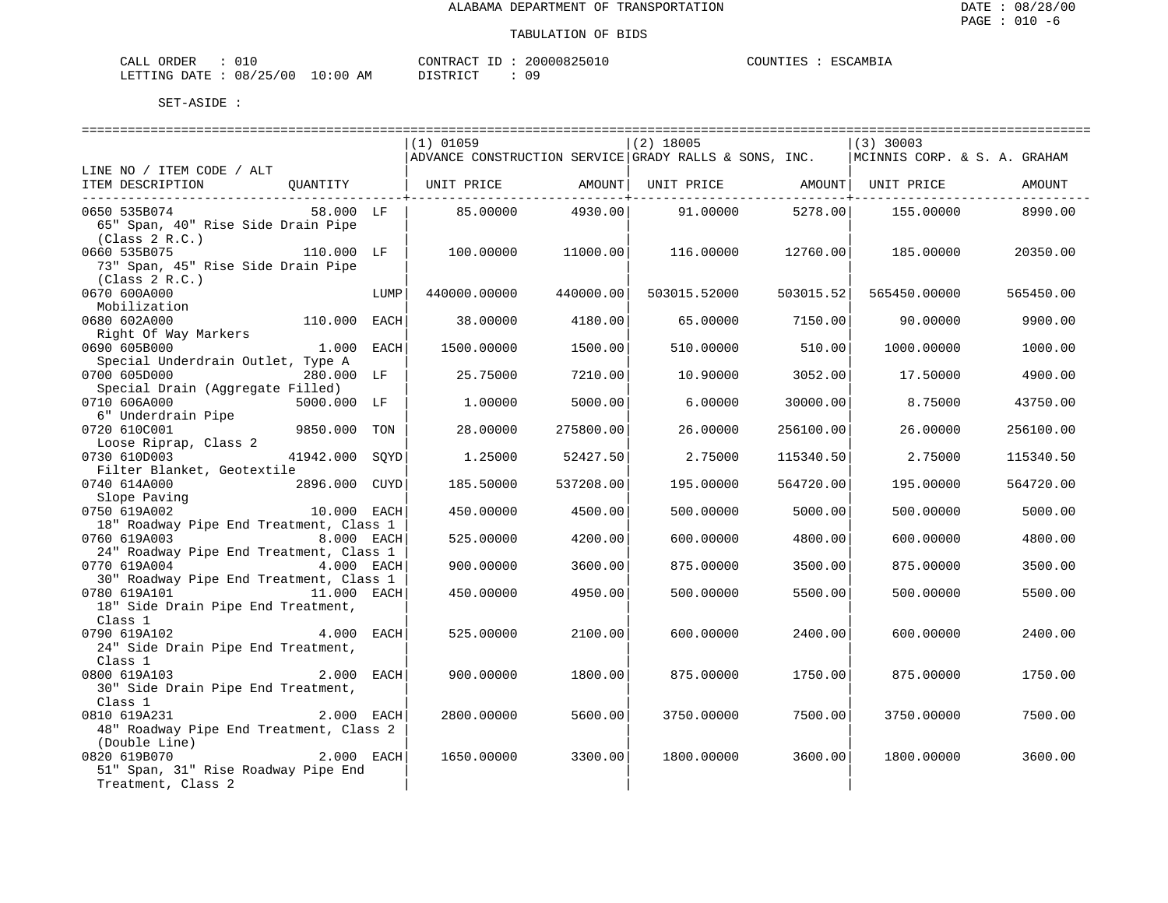ESCAMBIA

| L ORDER<br>CALL                 |  |  | CONTRACT ID | 20000825010 | COUNTIES | : ESCAMBIA |
|---------------------------------|--|--|-------------|-------------|----------|------------|
| LETTING DATE: 08/25/00 10:00 AM |  |  | DISTRICT    | 09          |          |            |

|                                         |               |      | $(1)$ 01059                                           |           | $(2)$ 18005                               |           | $(3)$ 30003                  |           |
|-----------------------------------------|---------------|------|-------------------------------------------------------|-----------|-------------------------------------------|-----------|------------------------------|-----------|
|                                         |               |      | ADVANCE CONSTRUCTION SERVICE GRADY RALLS & SONS, INC. |           |                                           |           | MCINNIS CORP. & S. A. GRAHAM |           |
| LINE NO / ITEM CODE / ALT               |               |      |                                                       |           |                                           |           |                              |           |
| ITEM DESCRIPTION                        | OUANTITY      |      | UNIT PRICE                                            |           | AMOUNT   UNIT PRICE   AMOUNT   UNIT PRICE |           |                              | AMOUNT    |
|                                         |               |      |                                                       |           |                                           |           |                              |           |
| 0650 535B074                            | 58.000 LF     |      | 85.00000                                              | 4930.00   | 91.00000                                  | 5278.00   | 155.00000                    | 8990.00   |
| 65" Span, 40" Rise Side Drain Pipe      |               |      |                                                       |           |                                           |           |                              |           |
| (Class 2 R.C.)                          |               |      |                                                       |           |                                           |           |                              |           |
| 0660 535B075                            | 110.000 LF    |      | 100.00000                                             | 11000.00  | 116.00000                                 | 12760.00  | 185.00000                    | 20350.00  |
| 73" Span, 45" Rise Side Drain Pipe      |               |      |                                                       |           |                                           |           |                              |           |
| (Class 2 R.C.)                          |               |      |                                                       |           |                                           |           |                              |           |
| 0670 600A000                            |               | LUMP | 440000.00000                                          | 440000.00 | 503015.52000                              | 503015.52 | 565450.00000                 | 565450.00 |
| Mobilization                            |               |      |                                                       |           |                                           |           |                              |           |
| 0680 602A000                            | 110.000       | EACH | 38,00000                                              | 4180.00   | 65,00000                                  | 7150.00   | 90.00000                     | 9900.00   |
| Right Of Way Markers                    |               |      |                                                       |           |                                           |           |                              |           |
| 0690 605B000                            | 1.000         | EACH | 1500.00000                                            | 1500.00   | 510.00000                                 | 510.00    | 1000.00000                   | 1000.00   |
| Special Underdrain Outlet, Type A       |               |      |                                                       |           |                                           |           |                              |           |
| 0700 605D000                            | 280.000 LF    |      | 25.75000                                              | 7210.00   | 10.90000                                  | 3052.00   | 17.50000                     | 4900.00   |
| Special Drain (Aggregate Filled)        |               |      |                                                       |           |                                           |           |                              |           |
| 0710 606A000                            | 5000.000 LF   |      | 1,00000                                               | 5000.00   | 6,00000                                   | 30000.00  | 8.75000                      | 43750.00  |
| 6" Underdrain Pipe                      |               |      |                                                       |           |                                           |           |                              |           |
| 0720 610C001                            | 9850.000      | TON  | 28,00000                                              | 275800.00 | 26.00000                                  | 256100.00 | 26.00000                     | 256100.00 |
| Loose Riprap, Class 2                   |               |      |                                                       |           |                                           |           |                              |           |
| 0730 610D003                            | 41942.000     | SOYD | 1.25000                                               | 52427.50  | 2.75000                                   | 115340.50 | 2.75000                      | 115340.50 |
| Filter Blanket, Geotextile              |               |      |                                                       |           |                                           |           |                              |           |
| 0740 614A000                            | 2896.000 CUYD |      | 185.50000                                             | 537208.00 | 195.00000                                 | 564720.00 | 195.00000                    | 564720.00 |
| Slope Paving                            |               |      |                                                       |           |                                           |           |                              |           |
| 0750 619A002                            | 10.000 EACH   |      | 450.00000                                             | 4500.00   | 500.00000                                 | 5000.00   | 500.00000                    | 5000.00   |
| 18" Roadway Pipe End Treatment, Class 1 |               |      |                                                       |           |                                           |           |                              |           |
| 0760 619A003                            | 8.000 EACH    |      | 525.00000                                             | 4200.00   | 600.00000                                 | 4800.00   | 600.00000                    | 4800.00   |
| 24" Roadway Pipe End Treatment, Class 1 |               |      |                                                       |           |                                           |           |                              |           |
| 0770 619A004 4.000 EACH                 |               |      | 900.00000                                             | 3600.00   | 875.00000                                 | 3500.00   | 875.00000                    | 3500.00   |
| 30" Roadway Pipe End Treatment, Class 1 |               |      |                                                       |           |                                           |           |                              |           |
| 0780 619A101                            | 11.000 EACH   |      | 450.00000                                             | 4950.00   | 500.00000                                 | 5500.00   | 500.00000                    | 5500.00   |
| 18" Side Drain Pipe End Treatment,      |               |      |                                                       |           |                                           |           |                              |           |
| Class 1                                 |               |      |                                                       |           |                                           |           |                              |           |
| 0790 619A102                            | 4.000 EACH    |      | 525.00000                                             | 2100.00   | 600.00000                                 | 2400.00   | 600.00000                    | 2400.00   |
| 24" Side Drain Pipe End Treatment,      |               |      |                                                       |           |                                           |           |                              |           |
| Class 1                                 |               |      |                                                       |           |                                           |           |                              |           |
| 0800 619A103                            | 2.000 EACH    |      | 900.00000                                             | 1800.00   | 875.00000                                 | 1750.00   | 875.00000                    | 1750.00   |
| 30" Side Drain Pipe End Treatment,      |               |      |                                                       |           |                                           |           |                              |           |
| Class 1                                 |               |      |                                                       |           |                                           |           |                              |           |
| 0810 619A231                            | 2.000 EACH    |      | 2800.00000                                            | 5600.00   | 3750.00000                                | 7500.00   | 3750.00000                   | 7500.00   |
| 48" Roadway Pipe End Treatment, Class 2 |               |      |                                                       |           |                                           |           |                              |           |
| (Double Line)                           |               |      |                                                       |           |                                           |           |                              |           |
| 0820 619B070                            | 2.000 EACH    |      | 1650.00000                                            | 3300.00   | 1800.00000                                | 3600.00   | 1800.00000                   | 3600.00   |
| 51" Span, 31" Rise Roadway Pipe End     |               |      |                                                       |           |                                           |           |                              |           |
| Treatment, Class 2                      |               |      |                                                       |           |                                           |           |                              |           |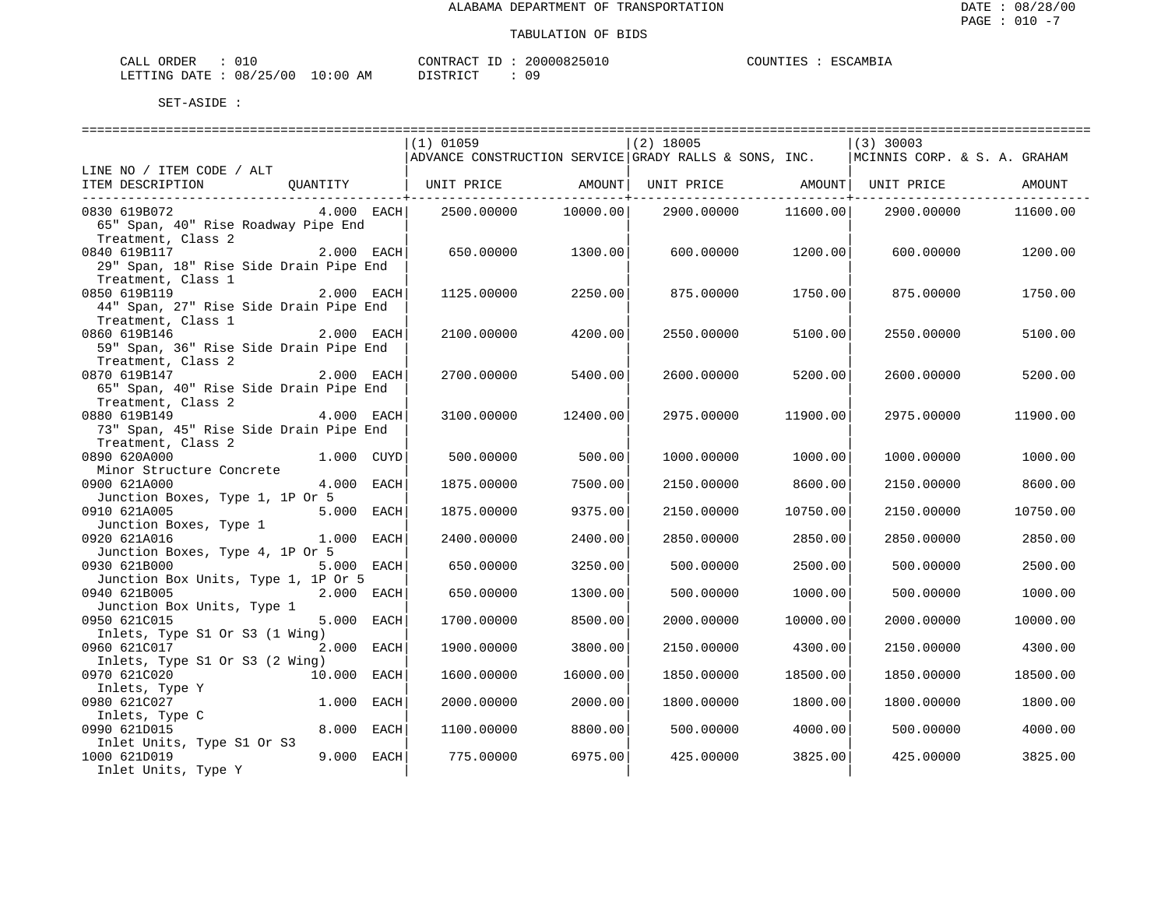| L ORDER<br>CALL                 |  |  | CONTRACT ID | 20000825010 | COUNTIES | : ESCAMBIA |
|---------------------------------|--|--|-------------|-------------|----------|------------|
| LETTING DATE: 08/25/00 10:00 AM |  |  | DISTRICT    | 09          |          |            |

|                                        |             | $(1)$ 01059       |                       | $(2)$ 18005                                                           |          | $(3)$ 30003                  |          |
|----------------------------------------|-------------|-------------------|-----------------------|-----------------------------------------------------------------------|----------|------------------------------|----------|
|                                        |             |                   |                       | $\vert$ ADVANCE CONSTRUCTION SERVICE $\vert$ GRADY RALLS & SONS, INC. |          | MCINNIS CORP. & S. A. GRAHAM |          |
| LINE NO / ITEM CODE / ALT              |             |                   |                       |                                                                       |          |                              |          |
| ITEM DESCRIPTION                       | QUANTITY    | UNIT PRICE AMOUNT |                       | UNIT PRICE AMOUNT                                                     |          | UNIT PRICE                   | AMOUNT   |
| ______________________________________ |             |                   | ------------+-------- |                                                                       |          | --------+--------            |          |
| 0830 619B072                           | 4.000 EACH  | 2500.00000        | 10000.00              | 2900.00000                                                            | 11600.00 | 2900.00000                   | 11600.00 |
| 65" Span, 40" Rise Roadway Pipe End    |             |                   |                       |                                                                       |          |                              |          |
| Treatment, Class 2                     |             |                   |                       |                                                                       |          |                              |          |
| 0840 619B117                           | 2.000 EACH  | 650.00000         | 1300.00               | 600.00000                                                             | 1200.00  | 600.00000                    | 1200.00  |
| 29" Span, 18" Rise Side Drain Pipe End |             |                   |                       |                                                                       |          |                              |          |
| Treatment, Class 1                     |             |                   |                       |                                                                       |          |                              |          |
| 0850 619B119                           | 2.000 EACH  | 1125.00000        | 2250.00               | 875.00000                                                             | 1750.00  | 875.00000                    | 1750.00  |
| 44" Span, 27" Rise Side Drain Pipe End |             |                   |                       |                                                                       |          |                              |          |
| Treatment, Class 1                     |             |                   |                       |                                                                       |          |                              |          |
| 0860 619B146                           | 2.000 EACH  | 2100.00000        | 4200.00               | 2550.00000                                                            |          |                              | 5100.00  |
|                                        |             |                   |                       |                                                                       | 5100.00  | 2550.00000                   |          |
| 59" Span, 36" Rise Side Drain Pipe End |             |                   |                       |                                                                       |          |                              |          |
| Treatment, Class 2                     |             |                   |                       |                                                                       |          |                              |          |
| 0870 619B147                           | 2.000 EACH  | 2700.00000        | 5400.00               | 2600.00000                                                            | 5200.00  | 2600.00000                   | 5200.00  |
| 65" Span, 40" Rise Side Drain Pipe End |             |                   |                       |                                                                       |          |                              |          |
| Treatment, Class 2                     |             |                   |                       |                                                                       |          |                              |          |
| 0880 619B149                           | 4.000 EACH  | 3100.00000        | 12400.00              | 2975.00000                                                            | 11900.00 | 2975.00000                   | 11900.00 |
| 73" Span, 45" Rise Side Drain Pipe End |             |                   |                       |                                                                       |          |                              |          |
| Treatment, Class 2                     |             |                   |                       |                                                                       |          |                              |          |
| 0890 620A000                           | 1.000 CUYD  | 500.00000         | 500.00                | 1000.00000                                                            | 1000.00  | 1000.00000                   | 1000.00  |
| Minor Structure Concrete               |             |                   |                       |                                                                       |          |                              |          |
| 0900 621A000                           | 4.000 EACH  | 1875.00000        | 7500.00               | 2150.00000                                                            | 8600.00  | 2150.00000                   | 8600.00  |
| Junction Boxes, Type 1, 1P Or 5        |             |                   |                       |                                                                       |          |                              |          |
| 0910 621A005                           | 5.000 EACH  | 1875.00000        | 9375.00               | 2150.00000                                                            | 10750.00 | 2150.00000                   | 10750.00 |
| Junction Boxes, Type 1                 |             |                   |                       |                                                                       |          |                              |          |
| 0920 621A016                           | 1.000 EACH  | 2400.00000        | 2400.00               | 2850.00000                                                            | 2850.00  | 2850.00000                   | 2850.00  |
| Junction Boxes, Type 4, 1P Or 5        |             |                   |                       |                                                                       |          |                              |          |
| 0930 621B000                           | 5.000 EACH  | 650.00000         | 3250.00               | 500.00000                                                             | 2500.00  | 500.00000                    | 2500.00  |
| Junction Box Units, Type 1, 1P Or 5    |             |                   |                       |                                                                       |          |                              |          |
| 0940 621B005                           | 2.000 EACH  | 650.00000         | 1300.00               | 500.00000                                                             | 1000.00  | 500.00000                    | 1000.00  |
| Junction Box Units, Type 1             |             |                   |                       |                                                                       |          |                              |          |
| 0950 621C015                           | 5.000 EACH  | 1700.00000        | 8500.00               | 2000.00000                                                            | 10000.00 | 2000.00000                   | 10000.00 |
| Inlets, Type S1 Or S3 (1 Wing)         |             |                   |                       |                                                                       |          |                              |          |
| 0960 621C017                           | 2.000 EACH  | 1900.00000        | 3800.00               | 2150.00000                                                            | 4300.00  | 2150.00000                   | 4300.00  |
| Inlets, Type S1 Or S3 (2 Wing)         |             |                   |                       |                                                                       |          |                              |          |
| 0970 621C020                           | 10.000 EACH | 1600.00000        | 16000.00              | 1850.00000                                                            | 18500.00 | 1850.00000                   | 18500.00 |
| Inlets, Type Y                         |             |                   |                       |                                                                       |          |                              |          |
| 0980 621C027                           | 1.000 EACH  | 2000.00000        | 2000.00               | 1800.00000                                                            | 1800.00  | 1800.00000                   | 1800.00  |
| Inlets, Type C                         |             |                   |                       |                                                                       |          |                              |          |
| 0990 621D015                           | 8.000 EACH  | 1100.00000        | 8800.00               | 500.00000                                                             | 4000.00  | 500.00000                    | 4000.00  |
| Inlet Units, Type S1 Or S3             |             |                   |                       |                                                                       |          |                              |          |
| 1000 621D019                           | 9.000 EACH  | 775.00000         | 6975.00               | 425.00000                                                             | 3825.00  | 425.00000                    | 3825.00  |
| Inlet Units, Type Y                    |             |                   |                       |                                                                       |          |                              |          |
|                                        |             |                   |                       |                                                                       |          |                              |          |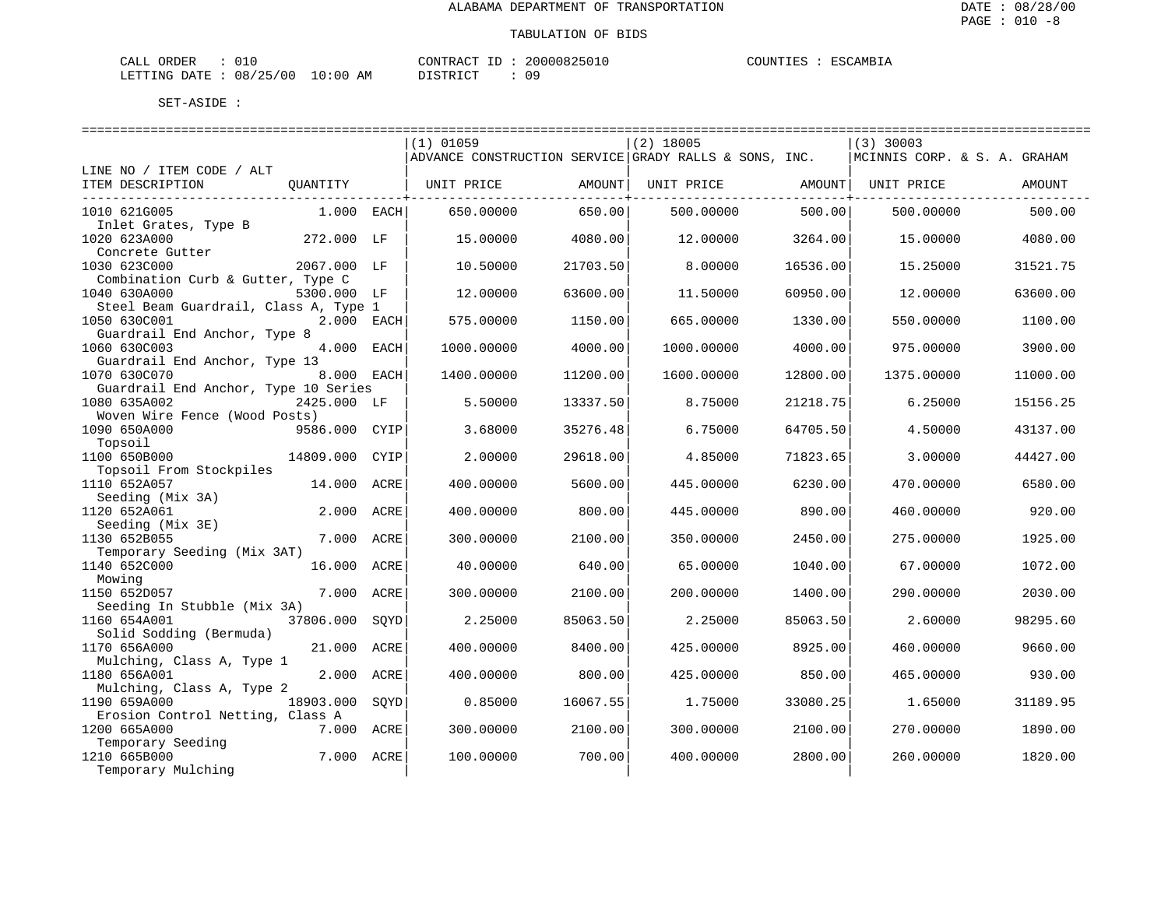| ORDER<br>CALI     |          |       |    | CONTRACT             |  | 20000825010 | COUNTIES | <b>ESCAMBIA</b> |
|-------------------|----------|-------|----|----------------------|--|-------------|----------|-----------------|
| LETTING T<br>DATE | 08/25/00 | 10:00 | AM | DISTRICT<br>-------- |  | 09          |          |                 |

| $(1)$ 01059<br>$(2)$ 18005<br>$(3)$ 30003<br>ADVANCE CONSTRUCTION SERVICE GRADY RALLS & SONS, INC.<br>MCINNIS CORP. & S. A. GRAHAM<br>LINE NO / ITEM CODE / ALT<br>ITEM DESCRIPTION<br>AMOUNT  <br>QUANTITY<br>UNIT PRICE<br>AMOUNT  <br>UNIT PRICE<br>UNIT PRICE<br>AMOUNT<br>1010 621G005<br>650.00000<br>650.00<br>500.00<br>500.00<br>$1.000$ EACH<br>500.00000<br>500,00000<br>Inlet Grates, Type B<br>1020 623A000<br>272.000 LF<br>4080.00<br>15,00000<br>12,00000<br>3264.00<br>15,00000<br>4080.00<br>Concrete Gutter<br>1030 623C000<br>2067.000 LF<br>10.50000<br>21703.50<br>8,00000<br>16536.00<br>15.25000<br>31521.75<br>Combination Curb & Gutter, Type C<br>1040 630A000<br>5300.000 LF<br>12.00000<br>63600.00<br>11.50000<br>60950.00<br>12,00000<br>63600.00<br>Steel Beam Guardrail, Class A, Type 1<br>1050 630C001<br>2.000 EACH<br>575.00000<br>1150.00<br>665.00000<br>1330.00<br>550.00000<br>1100.00<br>Guardrail End Anchor, Type 8<br>4.000<br>1060 630C003<br>EACH<br>1000.00000<br>4000.00<br>1000.00000<br>4000.00<br>975,00000<br>3900.00<br>Guardrail End Anchor, Type 13<br>1070 630C070<br>8.000 EACH<br>1400.00000<br>11200.00<br>1600.00000<br>12800.00<br>1375.00000<br>11000.00<br>Guardrail End Anchor, Type 10 Series<br>1080 635A002<br>2425.000 LF<br>13337.50<br>21218.75<br>5.50000<br>8.75000<br>6.25000<br>15156.25<br>Woven Wire Fence (Wood Posts)<br>1090 650A000<br>9586.000<br>35276.48<br>6.75000<br>64705.50<br>CYIP<br>3.68000<br>4.50000<br>43137.00<br>Topsoil<br>1100 650B000<br>14809.000<br>29618.00<br>71823.65<br>CYIP<br>2.00000<br>4.85000<br>3,00000<br>44427.00<br>Topsoil From Stockpiles<br>1110 652A057<br>14.000 ACRE<br>400.00000<br>5600.00<br>445.00000<br>6230.00<br>470.00000<br>6580.00<br>Seeding (Mix 3A)<br>1120 652A061<br>2.000 ACRE<br>400.00000<br>800.00<br>445.00000<br>890.00<br>460.00000<br>920.00<br>Seeding (Mix 3E)<br>1130 652B055<br>7.000 ACRE<br>1925.00<br>300.00000<br>2100.00<br>350.00000<br>2450.00<br>275.00000<br>Temporary Seeding (Mix 3AT)<br>16.000 ACRE<br>1140 652C000<br>40.00000<br>640.00<br>65.00000<br>1040.00<br>67.00000<br>1072.00<br>Mowing<br>1150 652D057<br>7.000<br>ACRE<br>300.00000<br>2100.00<br>200.00000<br>1400.00<br>290.00000<br>2030.00<br>Seeding In Stubble (Mix 3A)<br>1160 654A001<br>37806.000<br>SOYD<br>2.25000<br>85063.50<br>2.25000<br>85063.50<br>2.60000<br>98295.60<br>Solid Sodding (Bermuda)<br>1170 656A000<br>21,000<br>400.00000<br>8400.00<br>425.00000<br>8925.00<br>9660.00<br>ACRE<br>460.00000<br>Mulching, Class A, Type 1<br>1180 656A001<br>2.000 ACRE<br>400.00000<br>800.00<br>425.00000<br>850.00<br>465.00000<br>930.00<br>Mulching, Class A, Type 2<br>1190 659A000<br>18903.000<br>0.85000<br>16067.55<br>1.75000<br>33080.25<br>1.65000<br>31189.95<br>SOYD<br>Erosion Control Netting, Class A<br>1200 665A000<br>7.000 ACRE<br>2100.00<br>2100.00<br>270.00000<br>300.00000<br>300.00000<br>1890.00<br>Temporary Seeding<br>1210 665B000<br>7.000 ACRE<br>700.00<br>100.00000<br>400.00000<br>2800.00<br>260.00000<br>1820.00 |                    |  |  |  |  |
|-----------------------------------------------------------------------------------------------------------------------------------------------------------------------------------------------------------------------------------------------------------------------------------------------------------------------------------------------------------------------------------------------------------------------------------------------------------------------------------------------------------------------------------------------------------------------------------------------------------------------------------------------------------------------------------------------------------------------------------------------------------------------------------------------------------------------------------------------------------------------------------------------------------------------------------------------------------------------------------------------------------------------------------------------------------------------------------------------------------------------------------------------------------------------------------------------------------------------------------------------------------------------------------------------------------------------------------------------------------------------------------------------------------------------------------------------------------------------------------------------------------------------------------------------------------------------------------------------------------------------------------------------------------------------------------------------------------------------------------------------------------------------------------------------------------------------------------------------------------------------------------------------------------------------------------------------------------------------------------------------------------------------------------------------------------------------------------------------------------------------------------------------------------------------------------------------------------------------------------------------------------------------------------------------------------------------------------------------------------------------------------------------------------------------------------------------------------------------------------------------------------------------------------------------------------------------------------------------------------------------------------------------------------------------------------------------------------------------------------------------------------------------------------------------------------------------------------------------------------------------------------------------------------------------------------------------------------------------------------------------------------------------------------------------------------------------------------------------------|--------------------|--|--|--|--|
|                                                                                                                                                                                                                                                                                                                                                                                                                                                                                                                                                                                                                                                                                                                                                                                                                                                                                                                                                                                                                                                                                                                                                                                                                                                                                                                                                                                                                                                                                                                                                                                                                                                                                                                                                                                                                                                                                                                                                                                                                                                                                                                                                                                                                                                                                                                                                                                                                                                                                                                                                                                                                                                                                                                                                                                                                                                                                                                                                                                                                                                                                                     |                    |  |  |  |  |
|                                                                                                                                                                                                                                                                                                                                                                                                                                                                                                                                                                                                                                                                                                                                                                                                                                                                                                                                                                                                                                                                                                                                                                                                                                                                                                                                                                                                                                                                                                                                                                                                                                                                                                                                                                                                                                                                                                                                                                                                                                                                                                                                                                                                                                                                                                                                                                                                                                                                                                                                                                                                                                                                                                                                                                                                                                                                                                                                                                                                                                                                                                     |                    |  |  |  |  |
|                                                                                                                                                                                                                                                                                                                                                                                                                                                                                                                                                                                                                                                                                                                                                                                                                                                                                                                                                                                                                                                                                                                                                                                                                                                                                                                                                                                                                                                                                                                                                                                                                                                                                                                                                                                                                                                                                                                                                                                                                                                                                                                                                                                                                                                                                                                                                                                                                                                                                                                                                                                                                                                                                                                                                                                                                                                                                                                                                                                                                                                                                                     |                    |  |  |  |  |
|                                                                                                                                                                                                                                                                                                                                                                                                                                                                                                                                                                                                                                                                                                                                                                                                                                                                                                                                                                                                                                                                                                                                                                                                                                                                                                                                                                                                                                                                                                                                                                                                                                                                                                                                                                                                                                                                                                                                                                                                                                                                                                                                                                                                                                                                                                                                                                                                                                                                                                                                                                                                                                                                                                                                                                                                                                                                                                                                                                                                                                                                                                     |                    |  |  |  |  |
|                                                                                                                                                                                                                                                                                                                                                                                                                                                                                                                                                                                                                                                                                                                                                                                                                                                                                                                                                                                                                                                                                                                                                                                                                                                                                                                                                                                                                                                                                                                                                                                                                                                                                                                                                                                                                                                                                                                                                                                                                                                                                                                                                                                                                                                                                                                                                                                                                                                                                                                                                                                                                                                                                                                                                                                                                                                                                                                                                                                                                                                                                                     |                    |  |  |  |  |
|                                                                                                                                                                                                                                                                                                                                                                                                                                                                                                                                                                                                                                                                                                                                                                                                                                                                                                                                                                                                                                                                                                                                                                                                                                                                                                                                                                                                                                                                                                                                                                                                                                                                                                                                                                                                                                                                                                                                                                                                                                                                                                                                                                                                                                                                                                                                                                                                                                                                                                                                                                                                                                                                                                                                                                                                                                                                                                                                                                                                                                                                                                     |                    |  |  |  |  |
|                                                                                                                                                                                                                                                                                                                                                                                                                                                                                                                                                                                                                                                                                                                                                                                                                                                                                                                                                                                                                                                                                                                                                                                                                                                                                                                                                                                                                                                                                                                                                                                                                                                                                                                                                                                                                                                                                                                                                                                                                                                                                                                                                                                                                                                                                                                                                                                                                                                                                                                                                                                                                                                                                                                                                                                                                                                                                                                                                                                                                                                                                                     |                    |  |  |  |  |
|                                                                                                                                                                                                                                                                                                                                                                                                                                                                                                                                                                                                                                                                                                                                                                                                                                                                                                                                                                                                                                                                                                                                                                                                                                                                                                                                                                                                                                                                                                                                                                                                                                                                                                                                                                                                                                                                                                                                                                                                                                                                                                                                                                                                                                                                                                                                                                                                                                                                                                                                                                                                                                                                                                                                                                                                                                                                                                                                                                                                                                                                                                     |                    |  |  |  |  |
|                                                                                                                                                                                                                                                                                                                                                                                                                                                                                                                                                                                                                                                                                                                                                                                                                                                                                                                                                                                                                                                                                                                                                                                                                                                                                                                                                                                                                                                                                                                                                                                                                                                                                                                                                                                                                                                                                                                                                                                                                                                                                                                                                                                                                                                                                                                                                                                                                                                                                                                                                                                                                                                                                                                                                                                                                                                                                                                                                                                                                                                                                                     |                    |  |  |  |  |
|                                                                                                                                                                                                                                                                                                                                                                                                                                                                                                                                                                                                                                                                                                                                                                                                                                                                                                                                                                                                                                                                                                                                                                                                                                                                                                                                                                                                                                                                                                                                                                                                                                                                                                                                                                                                                                                                                                                                                                                                                                                                                                                                                                                                                                                                                                                                                                                                                                                                                                                                                                                                                                                                                                                                                                                                                                                                                                                                                                                                                                                                                                     |                    |  |  |  |  |
|                                                                                                                                                                                                                                                                                                                                                                                                                                                                                                                                                                                                                                                                                                                                                                                                                                                                                                                                                                                                                                                                                                                                                                                                                                                                                                                                                                                                                                                                                                                                                                                                                                                                                                                                                                                                                                                                                                                                                                                                                                                                                                                                                                                                                                                                                                                                                                                                                                                                                                                                                                                                                                                                                                                                                                                                                                                                                                                                                                                                                                                                                                     |                    |  |  |  |  |
|                                                                                                                                                                                                                                                                                                                                                                                                                                                                                                                                                                                                                                                                                                                                                                                                                                                                                                                                                                                                                                                                                                                                                                                                                                                                                                                                                                                                                                                                                                                                                                                                                                                                                                                                                                                                                                                                                                                                                                                                                                                                                                                                                                                                                                                                                                                                                                                                                                                                                                                                                                                                                                                                                                                                                                                                                                                                                                                                                                                                                                                                                                     |                    |  |  |  |  |
|                                                                                                                                                                                                                                                                                                                                                                                                                                                                                                                                                                                                                                                                                                                                                                                                                                                                                                                                                                                                                                                                                                                                                                                                                                                                                                                                                                                                                                                                                                                                                                                                                                                                                                                                                                                                                                                                                                                                                                                                                                                                                                                                                                                                                                                                                                                                                                                                                                                                                                                                                                                                                                                                                                                                                                                                                                                                                                                                                                                                                                                                                                     |                    |  |  |  |  |
|                                                                                                                                                                                                                                                                                                                                                                                                                                                                                                                                                                                                                                                                                                                                                                                                                                                                                                                                                                                                                                                                                                                                                                                                                                                                                                                                                                                                                                                                                                                                                                                                                                                                                                                                                                                                                                                                                                                                                                                                                                                                                                                                                                                                                                                                                                                                                                                                                                                                                                                                                                                                                                                                                                                                                                                                                                                                                                                                                                                                                                                                                                     |                    |  |  |  |  |
|                                                                                                                                                                                                                                                                                                                                                                                                                                                                                                                                                                                                                                                                                                                                                                                                                                                                                                                                                                                                                                                                                                                                                                                                                                                                                                                                                                                                                                                                                                                                                                                                                                                                                                                                                                                                                                                                                                                                                                                                                                                                                                                                                                                                                                                                                                                                                                                                                                                                                                                                                                                                                                                                                                                                                                                                                                                                                                                                                                                                                                                                                                     |                    |  |  |  |  |
|                                                                                                                                                                                                                                                                                                                                                                                                                                                                                                                                                                                                                                                                                                                                                                                                                                                                                                                                                                                                                                                                                                                                                                                                                                                                                                                                                                                                                                                                                                                                                                                                                                                                                                                                                                                                                                                                                                                                                                                                                                                                                                                                                                                                                                                                                                                                                                                                                                                                                                                                                                                                                                                                                                                                                                                                                                                                                                                                                                                                                                                                                                     |                    |  |  |  |  |
|                                                                                                                                                                                                                                                                                                                                                                                                                                                                                                                                                                                                                                                                                                                                                                                                                                                                                                                                                                                                                                                                                                                                                                                                                                                                                                                                                                                                                                                                                                                                                                                                                                                                                                                                                                                                                                                                                                                                                                                                                                                                                                                                                                                                                                                                                                                                                                                                                                                                                                                                                                                                                                                                                                                                                                                                                                                                                                                                                                                                                                                                                                     |                    |  |  |  |  |
|                                                                                                                                                                                                                                                                                                                                                                                                                                                                                                                                                                                                                                                                                                                                                                                                                                                                                                                                                                                                                                                                                                                                                                                                                                                                                                                                                                                                                                                                                                                                                                                                                                                                                                                                                                                                                                                                                                                                                                                                                                                                                                                                                                                                                                                                                                                                                                                                                                                                                                                                                                                                                                                                                                                                                                                                                                                                                                                                                                                                                                                                                                     |                    |  |  |  |  |
|                                                                                                                                                                                                                                                                                                                                                                                                                                                                                                                                                                                                                                                                                                                                                                                                                                                                                                                                                                                                                                                                                                                                                                                                                                                                                                                                                                                                                                                                                                                                                                                                                                                                                                                                                                                                                                                                                                                                                                                                                                                                                                                                                                                                                                                                                                                                                                                                                                                                                                                                                                                                                                                                                                                                                                                                                                                                                                                                                                                                                                                                                                     |                    |  |  |  |  |
|                                                                                                                                                                                                                                                                                                                                                                                                                                                                                                                                                                                                                                                                                                                                                                                                                                                                                                                                                                                                                                                                                                                                                                                                                                                                                                                                                                                                                                                                                                                                                                                                                                                                                                                                                                                                                                                                                                                                                                                                                                                                                                                                                                                                                                                                                                                                                                                                                                                                                                                                                                                                                                                                                                                                                                                                                                                                                                                                                                                                                                                                                                     |                    |  |  |  |  |
|                                                                                                                                                                                                                                                                                                                                                                                                                                                                                                                                                                                                                                                                                                                                                                                                                                                                                                                                                                                                                                                                                                                                                                                                                                                                                                                                                                                                                                                                                                                                                                                                                                                                                                                                                                                                                                                                                                                                                                                                                                                                                                                                                                                                                                                                                                                                                                                                                                                                                                                                                                                                                                                                                                                                                                                                                                                                                                                                                                                                                                                                                                     |                    |  |  |  |  |
|                                                                                                                                                                                                                                                                                                                                                                                                                                                                                                                                                                                                                                                                                                                                                                                                                                                                                                                                                                                                                                                                                                                                                                                                                                                                                                                                                                                                                                                                                                                                                                                                                                                                                                                                                                                                                                                                                                                                                                                                                                                                                                                                                                                                                                                                                                                                                                                                                                                                                                                                                                                                                                                                                                                                                                                                                                                                                                                                                                                                                                                                                                     |                    |  |  |  |  |
|                                                                                                                                                                                                                                                                                                                                                                                                                                                                                                                                                                                                                                                                                                                                                                                                                                                                                                                                                                                                                                                                                                                                                                                                                                                                                                                                                                                                                                                                                                                                                                                                                                                                                                                                                                                                                                                                                                                                                                                                                                                                                                                                                                                                                                                                                                                                                                                                                                                                                                                                                                                                                                                                                                                                                                                                                                                                                                                                                                                                                                                                                                     |                    |  |  |  |  |
|                                                                                                                                                                                                                                                                                                                                                                                                                                                                                                                                                                                                                                                                                                                                                                                                                                                                                                                                                                                                                                                                                                                                                                                                                                                                                                                                                                                                                                                                                                                                                                                                                                                                                                                                                                                                                                                                                                                                                                                                                                                                                                                                                                                                                                                                                                                                                                                                                                                                                                                                                                                                                                                                                                                                                                                                                                                                                                                                                                                                                                                                                                     |                    |  |  |  |  |
|                                                                                                                                                                                                                                                                                                                                                                                                                                                                                                                                                                                                                                                                                                                                                                                                                                                                                                                                                                                                                                                                                                                                                                                                                                                                                                                                                                                                                                                                                                                                                                                                                                                                                                                                                                                                                                                                                                                                                                                                                                                                                                                                                                                                                                                                                                                                                                                                                                                                                                                                                                                                                                                                                                                                                                                                                                                                                                                                                                                                                                                                                                     |                    |  |  |  |  |
|                                                                                                                                                                                                                                                                                                                                                                                                                                                                                                                                                                                                                                                                                                                                                                                                                                                                                                                                                                                                                                                                                                                                                                                                                                                                                                                                                                                                                                                                                                                                                                                                                                                                                                                                                                                                                                                                                                                                                                                                                                                                                                                                                                                                                                                                                                                                                                                                                                                                                                                                                                                                                                                                                                                                                                                                                                                                                                                                                                                                                                                                                                     |                    |  |  |  |  |
|                                                                                                                                                                                                                                                                                                                                                                                                                                                                                                                                                                                                                                                                                                                                                                                                                                                                                                                                                                                                                                                                                                                                                                                                                                                                                                                                                                                                                                                                                                                                                                                                                                                                                                                                                                                                                                                                                                                                                                                                                                                                                                                                                                                                                                                                                                                                                                                                                                                                                                                                                                                                                                                                                                                                                                                                                                                                                                                                                                                                                                                                                                     |                    |  |  |  |  |
|                                                                                                                                                                                                                                                                                                                                                                                                                                                                                                                                                                                                                                                                                                                                                                                                                                                                                                                                                                                                                                                                                                                                                                                                                                                                                                                                                                                                                                                                                                                                                                                                                                                                                                                                                                                                                                                                                                                                                                                                                                                                                                                                                                                                                                                                                                                                                                                                                                                                                                                                                                                                                                                                                                                                                                                                                                                                                                                                                                                                                                                                                                     |                    |  |  |  |  |
|                                                                                                                                                                                                                                                                                                                                                                                                                                                                                                                                                                                                                                                                                                                                                                                                                                                                                                                                                                                                                                                                                                                                                                                                                                                                                                                                                                                                                                                                                                                                                                                                                                                                                                                                                                                                                                                                                                                                                                                                                                                                                                                                                                                                                                                                                                                                                                                                                                                                                                                                                                                                                                                                                                                                                                                                                                                                                                                                                                                                                                                                                                     |                    |  |  |  |  |
|                                                                                                                                                                                                                                                                                                                                                                                                                                                                                                                                                                                                                                                                                                                                                                                                                                                                                                                                                                                                                                                                                                                                                                                                                                                                                                                                                                                                                                                                                                                                                                                                                                                                                                                                                                                                                                                                                                                                                                                                                                                                                                                                                                                                                                                                                                                                                                                                                                                                                                                                                                                                                                                                                                                                                                                                                                                                                                                                                                                                                                                                                                     |                    |  |  |  |  |
|                                                                                                                                                                                                                                                                                                                                                                                                                                                                                                                                                                                                                                                                                                                                                                                                                                                                                                                                                                                                                                                                                                                                                                                                                                                                                                                                                                                                                                                                                                                                                                                                                                                                                                                                                                                                                                                                                                                                                                                                                                                                                                                                                                                                                                                                                                                                                                                                                                                                                                                                                                                                                                                                                                                                                                                                                                                                                                                                                                                                                                                                                                     |                    |  |  |  |  |
|                                                                                                                                                                                                                                                                                                                                                                                                                                                                                                                                                                                                                                                                                                                                                                                                                                                                                                                                                                                                                                                                                                                                                                                                                                                                                                                                                                                                                                                                                                                                                                                                                                                                                                                                                                                                                                                                                                                                                                                                                                                                                                                                                                                                                                                                                                                                                                                                                                                                                                                                                                                                                                                                                                                                                                                                                                                                                                                                                                                                                                                                                                     |                    |  |  |  |  |
|                                                                                                                                                                                                                                                                                                                                                                                                                                                                                                                                                                                                                                                                                                                                                                                                                                                                                                                                                                                                                                                                                                                                                                                                                                                                                                                                                                                                                                                                                                                                                                                                                                                                                                                                                                                                                                                                                                                                                                                                                                                                                                                                                                                                                                                                                                                                                                                                                                                                                                                                                                                                                                                                                                                                                                                                                                                                                                                                                                                                                                                                                                     |                    |  |  |  |  |
|                                                                                                                                                                                                                                                                                                                                                                                                                                                                                                                                                                                                                                                                                                                                                                                                                                                                                                                                                                                                                                                                                                                                                                                                                                                                                                                                                                                                                                                                                                                                                                                                                                                                                                                                                                                                                                                                                                                                                                                                                                                                                                                                                                                                                                                                                                                                                                                                                                                                                                                                                                                                                                                                                                                                                                                                                                                                                                                                                                                                                                                                                                     |                    |  |  |  |  |
|                                                                                                                                                                                                                                                                                                                                                                                                                                                                                                                                                                                                                                                                                                                                                                                                                                                                                                                                                                                                                                                                                                                                                                                                                                                                                                                                                                                                                                                                                                                                                                                                                                                                                                                                                                                                                                                                                                                                                                                                                                                                                                                                                                                                                                                                                                                                                                                                                                                                                                                                                                                                                                                                                                                                                                                                                                                                                                                                                                                                                                                                                                     |                    |  |  |  |  |
|                                                                                                                                                                                                                                                                                                                                                                                                                                                                                                                                                                                                                                                                                                                                                                                                                                                                                                                                                                                                                                                                                                                                                                                                                                                                                                                                                                                                                                                                                                                                                                                                                                                                                                                                                                                                                                                                                                                                                                                                                                                                                                                                                                                                                                                                                                                                                                                                                                                                                                                                                                                                                                                                                                                                                                                                                                                                                                                                                                                                                                                                                                     |                    |  |  |  |  |
|                                                                                                                                                                                                                                                                                                                                                                                                                                                                                                                                                                                                                                                                                                                                                                                                                                                                                                                                                                                                                                                                                                                                                                                                                                                                                                                                                                                                                                                                                                                                                                                                                                                                                                                                                                                                                                                                                                                                                                                                                                                                                                                                                                                                                                                                                                                                                                                                                                                                                                                                                                                                                                                                                                                                                                                                                                                                                                                                                                                                                                                                                                     |                    |  |  |  |  |
|                                                                                                                                                                                                                                                                                                                                                                                                                                                                                                                                                                                                                                                                                                                                                                                                                                                                                                                                                                                                                                                                                                                                                                                                                                                                                                                                                                                                                                                                                                                                                                                                                                                                                                                                                                                                                                                                                                                                                                                                                                                                                                                                                                                                                                                                                                                                                                                                                                                                                                                                                                                                                                                                                                                                                                                                                                                                                                                                                                                                                                                                                                     |                    |  |  |  |  |
|                                                                                                                                                                                                                                                                                                                                                                                                                                                                                                                                                                                                                                                                                                                                                                                                                                                                                                                                                                                                                                                                                                                                                                                                                                                                                                                                                                                                                                                                                                                                                                                                                                                                                                                                                                                                                                                                                                                                                                                                                                                                                                                                                                                                                                                                                                                                                                                                                                                                                                                                                                                                                                                                                                                                                                                                                                                                                                                                                                                                                                                                                                     |                    |  |  |  |  |
|                                                                                                                                                                                                                                                                                                                                                                                                                                                                                                                                                                                                                                                                                                                                                                                                                                                                                                                                                                                                                                                                                                                                                                                                                                                                                                                                                                                                                                                                                                                                                                                                                                                                                                                                                                                                                                                                                                                                                                                                                                                                                                                                                                                                                                                                                                                                                                                                                                                                                                                                                                                                                                                                                                                                                                                                                                                                                                                                                                                                                                                                                                     |                    |  |  |  |  |
|                                                                                                                                                                                                                                                                                                                                                                                                                                                                                                                                                                                                                                                                                                                                                                                                                                                                                                                                                                                                                                                                                                                                                                                                                                                                                                                                                                                                                                                                                                                                                                                                                                                                                                                                                                                                                                                                                                                                                                                                                                                                                                                                                                                                                                                                                                                                                                                                                                                                                                                                                                                                                                                                                                                                                                                                                                                                                                                                                                                                                                                                                                     |                    |  |  |  |  |
|                                                                                                                                                                                                                                                                                                                                                                                                                                                                                                                                                                                                                                                                                                                                                                                                                                                                                                                                                                                                                                                                                                                                                                                                                                                                                                                                                                                                                                                                                                                                                                                                                                                                                                                                                                                                                                                                                                                                                                                                                                                                                                                                                                                                                                                                                                                                                                                                                                                                                                                                                                                                                                                                                                                                                                                                                                                                                                                                                                                                                                                                                                     |                    |  |  |  |  |
|                                                                                                                                                                                                                                                                                                                                                                                                                                                                                                                                                                                                                                                                                                                                                                                                                                                                                                                                                                                                                                                                                                                                                                                                                                                                                                                                                                                                                                                                                                                                                                                                                                                                                                                                                                                                                                                                                                                                                                                                                                                                                                                                                                                                                                                                                                                                                                                                                                                                                                                                                                                                                                                                                                                                                                                                                                                                                                                                                                                                                                                                                                     |                    |  |  |  |  |
|                                                                                                                                                                                                                                                                                                                                                                                                                                                                                                                                                                                                                                                                                                                                                                                                                                                                                                                                                                                                                                                                                                                                                                                                                                                                                                                                                                                                                                                                                                                                                                                                                                                                                                                                                                                                                                                                                                                                                                                                                                                                                                                                                                                                                                                                                                                                                                                                                                                                                                                                                                                                                                                                                                                                                                                                                                                                                                                                                                                                                                                                                                     |                    |  |  |  |  |
|                                                                                                                                                                                                                                                                                                                                                                                                                                                                                                                                                                                                                                                                                                                                                                                                                                                                                                                                                                                                                                                                                                                                                                                                                                                                                                                                                                                                                                                                                                                                                                                                                                                                                                                                                                                                                                                                                                                                                                                                                                                                                                                                                                                                                                                                                                                                                                                                                                                                                                                                                                                                                                                                                                                                                                                                                                                                                                                                                                                                                                                                                                     | Temporary Mulching |  |  |  |  |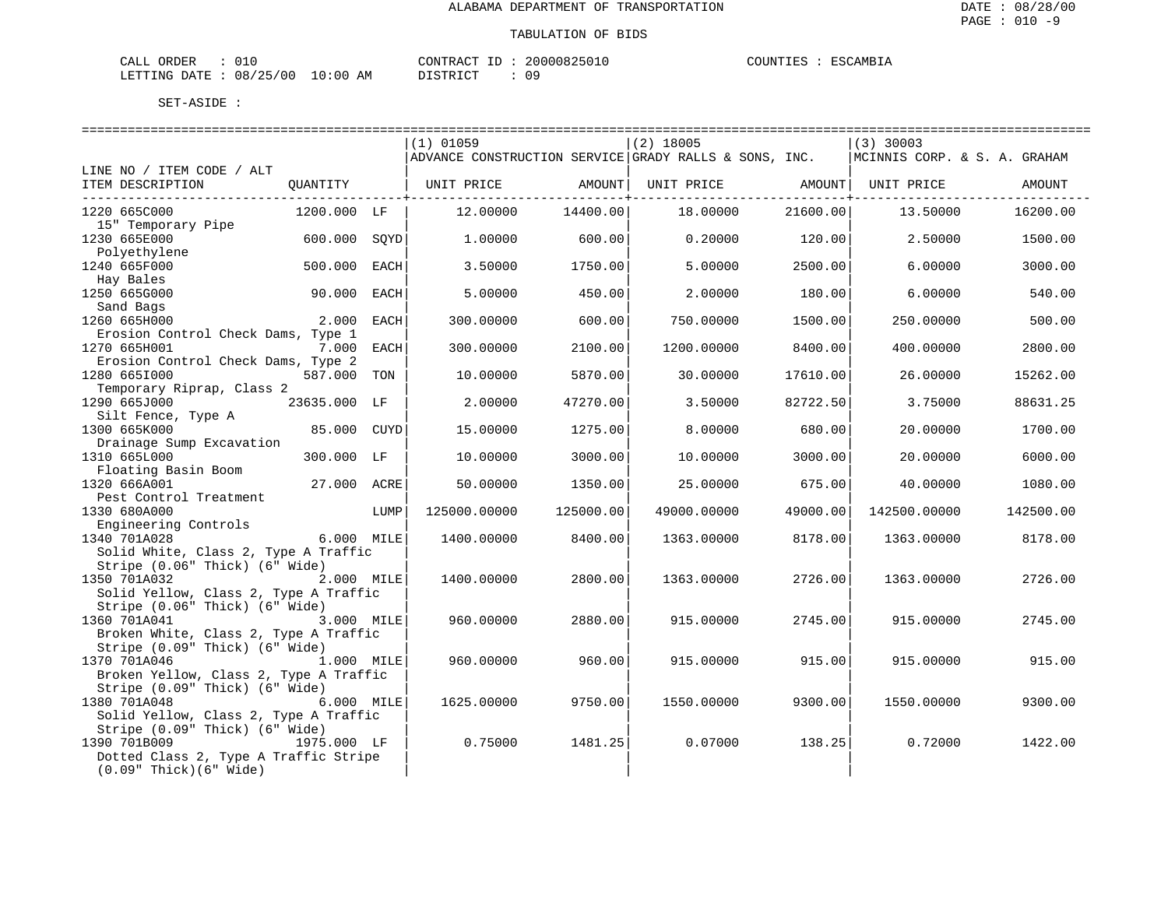| $\sim$ $ -$<br>ORDER<br>- LLAL |              |                    | CONTRACT<br>$-1$ | 20000825 | JUNTIF1<br>. I KN | ESC.<br>$\sim$ AMB <sub>1</sub> . |
|--------------------------------|--------------|--------------------|------------------|----------|-------------------|-----------------------------------|
| LETTING<br><b>DATE</b><br>.    | 08<br>'25/00 | AΜ<br>:00<br>— ∪ ∵ | TAT<br>DI GITO   | ΟS       |                   |                                   |

|                                        |              |             | $(1)$ 01059  |           | $(2)$ 18005                                           |          | $(3)$ 30003                  |           |
|----------------------------------------|--------------|-------------|--------------|-----------|-------------------------------------------------------|----------|------------------------------|-----------|
|                                        |              |             |              |           | ADVANCE CONSTRUCTION SERVICE GRADY RALLS & SONS, INC. |          | MCINNIS CORP. & S. A. GRAHAM |           |
| LINE NO / ITEM CODE / ALT              |              |             |              |           |                                                       |          |                              |           |
| ITEM DESCRIPTION                       | QUANTITY     |             | UNIT PRICE   | AMOUNT    | UNIT PRICE                                            | AMOUNT   | UNIT PRICE                   | AMOUNT    |
| ____________________________           |              |             |              |           |                                                       | -------- |                              |           |
| 1220 665C000                           | 1200.000 LF  |             | 12.00000     | 14400.00  | 18.00000                                              | 21600.00 | 13.50000                     | 16200.00  |
| 15" Temporary Pipe                     |              |             |              |           |                                                       |          |                              |           |
| 1230 665E000                           | 600.000      | SOYD        | 1,00000      | 600.00    | 0.20000                                               | 120.00   | 2.50000                      | 1500.00   |
| Polvethylene                           |              |             |              |           |                                                       |          |                              |           |
| 1240 665F000                           | 500.000      | <b>EACH</b> | 3.50000      | 1750.00   | 5.00000                                               | 2500.00  | 6.00000                      | 3000.00   |
| Hay Bales                              |              |             |              |           |                                                       |          |                              |           |
| 1250 665G000                           | 90.000       | EACH        | 5.00000      | 450.00    | 2.00000                                               | 180.00   | 6.00000                      | 540.00    |
| Sand Bags                              |              |             |              |           |                                                       |          |                              |           |
| 1260 665H000                           | 2.000        | EACH        | 300.00000    | 600.00    | 750.00000                                             | 1500.00  | 250.00000                    | 500.00    |
| Erosion Control Check Dams, Type 1     |              |             |              |           |                                                       |          |                              |           |
| 1270 665H001                           | 7.000        | <b>EACH</b> | 300.00000    | 2100.00   | 1200.00000                                            | 8400.00  | 400.00000                    | 2800.00   |
| Erosion Control Check Dams, Type 2     |              |             |              |           |                                                       |          |                              |           |
| 1280 6651000                           | 587.000      | TON         | 10.00000     | 5870.00   | 30.00000                                              | 17610.00 | 26.00000                     | 15262.00  |
| Temporary Riprap, Class 2              |              |             |              |           |                                                       |          |                              |           |
| 1290 665J000                           | 23635.000 LF |             | 2.00000      | 47270.00  | 3.50000                                               | 82722.50 | 3.75000                      | 88631.25  |
| Silt Fence, Type A                     |              |             |              |           |                                                       |          |                              |           |
| 1300 665K000                           | 85.000       | <b>CUYD</b> | 15.00000     | 1275.00   | 8.00000                                               | 680.00   | 20.00000                     | 1700.00   |
| Drainage Sump Excavation               |              |             |              |           |                                                       |          |                              |           |
| 1310 665L000                           | 300.000 LF   |             | 10.00000     | 3000.00   | 10.00000                                              | 3000.00  | 20.00000                     | 6000.00   |
| Floating Basin Boom                    |              |             |              |           |                                                       |          |                              |           |
| 1320 666A001                           | 27.000 ACRE  |             | 50.00000     | 1350.00   | 25.00000                                              | 675.00   | 40.00000                     | 1080.00   |
| Pest Control Treatment                 |              |             |              |           |                                                       |          |                              |           |
| 1330 680A000                           |              | LUMP        | 125000.00000 | 125000.00 | 49000.00000                                           | 49000.00 | 142500.00000                 | 142500.00 |
| Engineering Controls                   |              |             |              |           |                                                       |          |                              |           |
| 1340 701A028                           | 6.000 MILE   |             | 1400.00000   | 8400.00   | 1363.00000                                            | 8178.00  | 1363.00000                   | 8178.00   |
| Solid White, Class 2, Type A Traffic   |              |             |              |           |                                                       |          |                              |           |
| Stripe (0.06" Thick) (6" Wide)         |              |             |              |           |                                                       |          |                              |           |
| 1350 701A032                           | 2.000 MILE   |             | 1400.00000   | 2800.00   | 1363.00000                                            | 2726.00  | 1363.00000                   | 2726.00   |
| Solid Yellow, Class 2, Type A Traffic  |              |             |              |           |                                                       |          |                              |           |
| Stripe (0.06" Thick) (6" Wide)         |              |             |              |           |                                                       |          |                              |           |
| 1360 701A041                           | 3.000 MILE   |             | 960.00000    | 2880.00   | 915.00000                                             | 2745.00  | 915.00000                    | 2745.00   |
| Broken White, Class 2, Type A Traffic  |              |             |              |           |                                                       |          |                              |           |
| Stripe (0.09" Thick) (6" Wide)         |              |             |              |           |                                                       |          |                              |           |
| 1370 701A046                           | 1.000 MILE   |             | 960.00000    | 960.00    | 915.00000                                             | 915.00   | 915.00000                    | 915.00    |
| Broken Yellow, Class 2, Type A Traffic |              |             |              |           |                                                       |          |                              |           |
| Stripe (0.09" Thick) (6" Wide)         |              |             |              |           |                                                       |          |                              |           |
| 1380 701A048                           | 6.000 MILE   |             | 1625.00000   | 9750.00   | 1550.00000                                            | 9300.00  | 1550.00000                   | 9300.00   |
| Solid Yellow, Class 2, Type A Traffic  |              |             |              |           |                                                       |          |                              |           |
| Stripe (0.09" Thick) (6" Wide)         |              |             |              |           |                                                       |          |                              |           |
| 1390 701B009                           | 1975.000 LF  |             | 0.75000      | 1481.25   | 0.07000                                               | 138.25   | 0.72000                      | 1422.00   |
| Dotted Class 2, Type A Traffic Stripe  |              |             |              |           |                                                       |          |                              |           |
| $(0.09"$ Thick $)(6"$ Wide)            |              |             |              |           |                                                       |          |                              |           |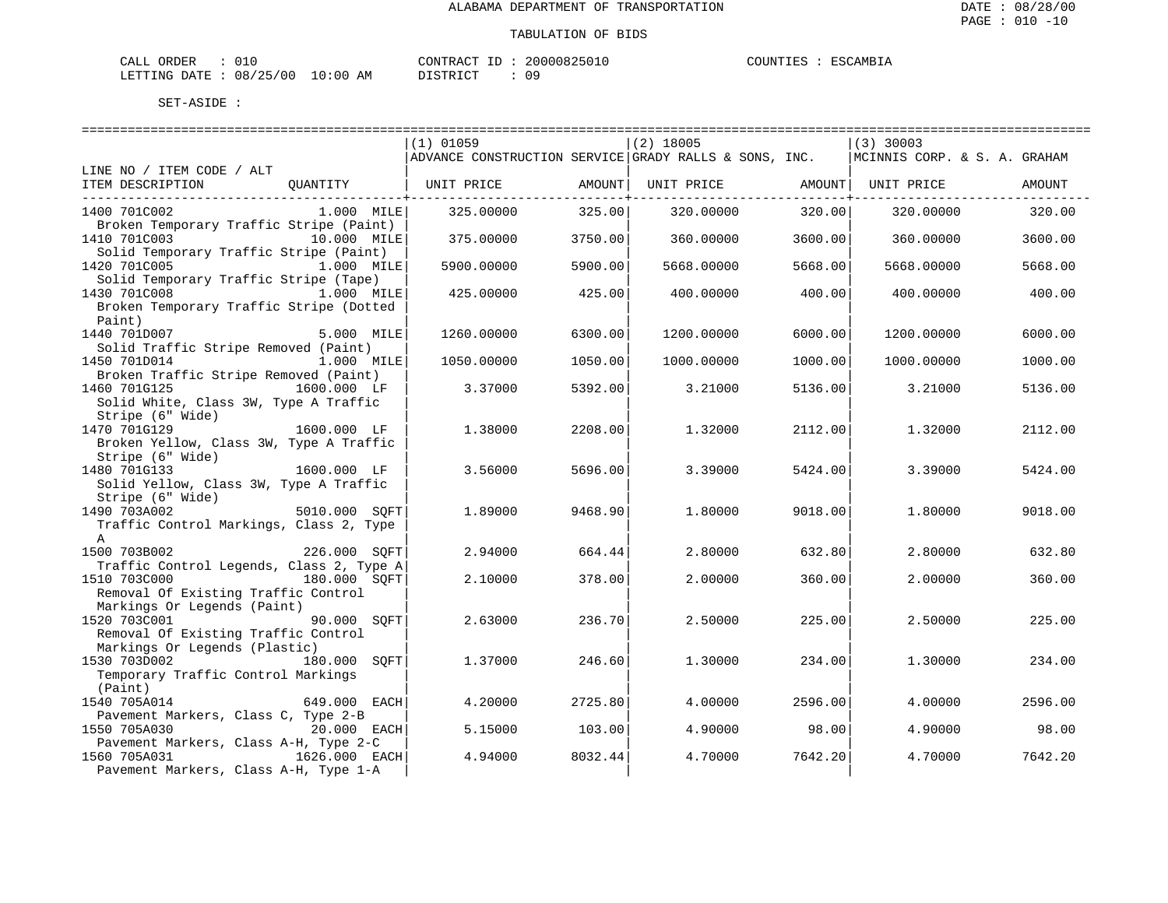| CALL ORDER                      | 010 | CONTRACT ID | 20000825010 | COUNTIES | : ESCAMBIA |
|---------------------------------|-----|-------------|-------------|----------|------------|
| LETTING DATE: 08/25/00 10:00 AM |     | DISTRICT    | 09          |          |            |

|                                          |               | $(1)$ 01059                                           |         | $(2)$ 18005                    |         | $ (3)$ 30003                 |         |
|------------------------------------------|---------------|-------------------------------------------------------|---------|--------------------------------|---------|------------------------------|---------|
|                                          |               | ADVANCE CONSTRUCTION SERVICE GRADY RALLS & SONS, INC. |         |                                |         | MCINNIS CORP. & S. A. GRAHAM |         |
| LINE NO / ITEM CODE / ALT                |               |                                                       |         |                                |         |                              |         |
| ITEM DESCRIPTION                         |               | QUANTITY   UNIT PRICE AMOUNT                          |         | UNIT PRICE AMOUNT   UNIT PRICE |         |                              | AMOUNT  |
| 1400 701C002                             | 1.000 MILE    | 325.00000                                             | 325.00  | 320.00000                      | 320.00  | 320.00000                    | 320.00  |
| Broken Temporary Traffic Stripe (Paint)  |               |                                                       |         |                                |         |                              |         |
| 1410 701C003                             | 10.000 MILE   | 375.00000                                             | 3750.00 | 360.00000                      | 3600.00 | 360.00000                    | 3600.00 |
| Solid Temporary Traffic Stripe (Paint)   |               |                                                       |         |                                |         |                              |         |
| 1420 701C005 1.000 MILE                  |               | 5900.00000                                            | 5900.00 | 5668.00000                     | 5668.00 | 5668.00000                   | 5668.00 |
| Solid Temporary Traffic Stripe (Tape)    |               |                                                       |         |                                |         |                              |         |
| 1430 701C008                             | $1.000$ MILE  | 425.00000                                             | 425.00  | 400.00000                      | 400.00  | 400.00000                    | 400.00  |
| Broken Temporary Traffic Stripe (Dotted  |               |                                                       |         |                                |         |                              |         |
| Paint)                                   |               |                                                       |         |                                |         |                              |         |
| 1440 701D007                             | 5.000 MILE    | 1260.00000                                            | 6300.00 | 1200.00000                     | 6000.00 | 1200.00000                   | 6000.00 |
| Solid Traffic Stripe Removed (Paint)     |               |                                                       |         |                                |         |                              |         |
| 1450 701D014                             | 1.000 MILE    | 1050.00000                                            | 1050.00 | 1000.00000                     | 1000.00 | 1000.00000                   | 1000.00 |
| Broken Traffic Stripe Removed (Paint)    |               |                                                       |         |                                |         |                              |         |
| 1460 701G125<br>1600.000 LF              |               | 3.37000                                               | 5392.00 | 3.21000                        | 5136.00 | 3.21000                      | 5136.00 |
| Solid White, Class 3W, Type A Traffic    |               |                                                       |         |                                |         |                              |         |
| Stripe (6" Wide)                         |               |                                                       |         |                                |         |                              |         |
| 1470 701G129                             | 1600.000 LF   | 1,38000                                               | 2208.00 | 1.32000                        | 2112.00 | 1,32000                      | 2112.00 |
| Broken Yellow, Class 3W, Type A Traffic  |               |                                                       |         |                                |         |                              |         |
| Stripe (6" Wide)                         |               |                                                       |         |                                |         |                              |         |
| 1480 701G133                             | 1600.000 LF   | 3.56000                                               | 5696.00 | 3.39000                        | 5424.00 | 3.39000                      | 5424.00 |
| Solid Yellow, Class 3W, Type A Traffic   |               |                                                       |         |                                |         |                              |         |
| Stripe (6" Wide)                         |               |                                                       |         |                                |         |                              |         |
| 5010.000 SQFT<br>1490 703A002            |               | 1.89000                                               | 9468.90 | 1,80000                        | 9018.00 | 1.80000                      | 9018.00 |
| Traffic Control Markings, Class 2, Type  |               |                                                       |         |                                |         |                              |         |
| $\mathbb{A}$                             |               |                                                       |         |                                |         |                              |         |
| 1500 703B002                             | 226.000 SOFT  | 2.94000                                               | 664.44  | 2.80000                        | 632.80  | 2.80000                      | 632.80  |
| Traffic Control Legends, Class 2, Type A |               |                                                       |         |                                |         |                              |         |
| 1510 703C000 180.000 SOFT                |               | 2.10000                                               | 378.00  | 2,00000                        | 360.00  | 2.00000                      | 360.00  |
| Removal Of Existing Traffic Control      |               |                                                       |         |                                |         |                              |         |
| Markings Or Legends (Paint)              |               |                                                       |         |                                |         |                              |         |
| 1520 703C001                             | 90.000 SOFT   | 2.63000                                               | 236.70  | 2.50000                        | 225.00  | 2.50000                      | 225.00  |
| Removal Of Existing Traffic Control      |               |                                                       |         |                                |         |                              |         |
| Markings Or Legends (Plastic)            |               |                                                       |         |                                |         |                              |         |
| 1530 703D002                             | 180.000 SOFT  | 1.37000                                               | 246.60  | 1,30000                        | 234.00  | 1.30000                      | 234.00  |
| Temporary Traffic Control Markings       |               |                                                       |         |                                |         |                              |         |
| (Paint)                                  |               |                                                       |         |                                |         |                              |         |
| 1540 705A014                             | 649.000 EACH  | 4.20000                                               | 2725.80 | 4.00000                        | 2596.00 | 4.00000                      | 2596.00 |
| Pavement Markers, Class C, Type 2-B      |               |                                                       |         |                                |         |                              |         |
| 1550 705A030                             | $20.000$ EACH | 5.15000                                               | 103.00  | 4.90000                        | 98.00   | 4.90000                      | 98.00   |
| Pavement Markers, Class A-H, Type 2-C    |               |                                                       |         |                                |         |                              |         |
| 1560 705A031                             | 1626.000 EACH | 4.94000                                               | 8032.44 | 4.70000                        | 7642.20 | 4.70000                      | 7642.20 |
| Pavement Markers, Class A-H, Type 1-A    |               |                                                       |         |                                |         |                              |         |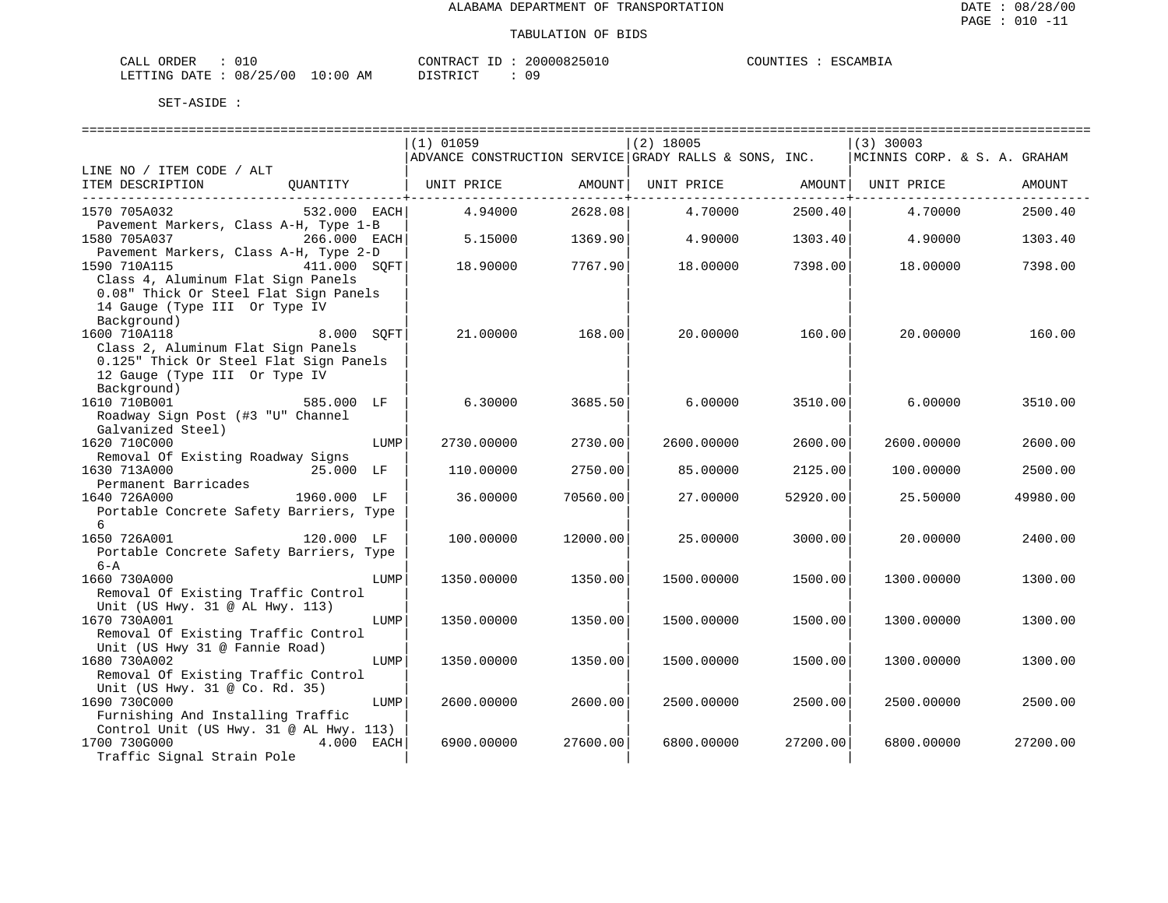| L ORDER<br>CALL                 |  |  | CONTRACT ID | 20000825010 | COUNTIES | : ESCAMBIA |
|---------------------------------|--|--|-------------|-------------|----------|------------|
| LETTING DATE: 08/25/00 10:00 AM |  |  | DISTRICT    | 09          |          |            |

|                                                                                                                                                            | $(1)$ 01059<br>ADVANCE CONSTRUCTION SERVICE GRADY RALLS & SONS, INC. |          | $(2)$ 18005 |          | $(3)$ 30003<br>MCINNIS CORP. & S. A. GRAHAM |          |
|------------------------------------------------------------------------------------------------------------------------------------------------------------|----------------------------------------------------------------------|----------|-------------|----------|---------------------------------------------|----------|
| LINE NO / ITEM CODE / ALT                                                                                                                                  |                                                                      |          |             |          |                                             |          |
| ITEM DESCRIPTION<br>OUANTITY                                                                                                                               | UNIT PRICE                                                           | AMOUNT   | UNIT PRICE  | AMOUNT   | UNIT PRICE                                  | AMOUNT   |
| 1570 705A032<br>532.000 EACH                                                                                                                               | 4.94000                                                              | 2628.08  | 4.70000     | 2500.40  | 4.70000                                     | 2500.40  |
| Pavement Markers, Class A-H, Type 1-B<br>1580 705A037<br>266.000 EACH                                                                                      | 5.15000                                                              | 1369.90  | 4.90000     | 1303.40  | 4.90000                                     | 1303.40  |
| Pavement Markers, Class A-H, Type 2-D<br>1590 710A115<br>411.000 SOFT<br>Class 4, Aluminum Flat Sign Panels<br>0.08" Thick Or Steel Flat Sign Panels       | 18.90000                                                             | 7767.90  | 18.00000    | 7398.00  | 18.00000                                    | 7398.00  |
| 14 Gauge (Type III Or Type IV<br>Background)<br>1600 710A118<br>8.000 SQFT<br>Class 2, Aluminum Flat Sign Panels<br>0.125" Thick Or Steel Flat Sign Panels | 21,00000                                                             | 168.00   | 20.00000    | 160.00   | 20,00000                                    | 160.00   |
| 12 Gauge (Type III Or Type IV<br>Background)<br>1610 710B001<br>585.000 LF<br>Roadway Sign Post (#3 "U" Channel                                            | 6.30000                                                              | 3685.50  | 6,00000     | 3510.00  | 6.00000                                     | 3510.00  |
| Galvanized Steel)<br>1620 710C000<br>LUMP<br>Removal Of Existing Roadway Signs                                                                             | 2730.00000                                                           | 2730.00  | 2600.00000  | 2600.00  | 2600.00000                                  | 2600.00  |
| 1630 713A000<br>25.000 LF                                                                                                                                  | 110.00000                                                            | 2750.00  | 85.00000    | 2125.00  | 100.00000                                   | 2500.00  |
| Permanent Barricades<br>1640 726A000<br>1960.000 LF<br>Portable Concrete Safety Barriers, Type<br>6                                                        | 36.00000                                                             | 70560.00 | 27.00000    | 52920.00 | 25.50000                                    | 49980.00 |
| 1650 726A001<br>120.000 LF<br>Portable Concrete Safety Barriers, Type<br>$6 - A$                                                                           | 100.00000                                                            | 12000.00 | 25.00000    | 3000.00  | 20.00000                                    | 2400.00  |
| 1660 730A000<br>LUMP<br>Removal Of Existing Traffic Control                                                                                                | 1350.00000                                                           | 1350.00  | 1500.00000  | 1500.00  | 1300.00000                                  | 1300.00  |
| Unit (US Hwy. 31 @ AL Hwy. 113)<br>1670 730A001<br>LUMP<br>Removal Of Existing Traffic Control                                                             | 1350.00000                                                           | 1350.00  | 1500.00000  | 1500.00  | 1300.00000                                  | 1300.00  |
| Unit (US Hwy 31 @ Fannie Road)<br>1680 730A002<br>LUMP<br>Removal Of Existing Traffic Control                                                              | 1350.00000                                                           | 1350.00  | 1500.00000  | 1500.00  | 1300.00000                                  | 1300.00  |
| Unit (US Hwy. 31 @ Co. Rd. 35)<br>1690 730C000<br>LUMP<br>Furnishing And Installing Traffic                                                                | 2600.00000                                                           | 2600.00  | 2500.00000  | 2500.00  | 2500.00000                                  | 2500.00  |
| Control Unit (US Hwy. 31 @ AL Hwy. 113)<br>1700 730G000<br>4.000 EACH<br>Traffic Signal Strain Pole                                                        | 6900.00000                                                           | 27600.00 | 6800.00000  | 27200.00 | 6800.00000                                  | 27200.00 |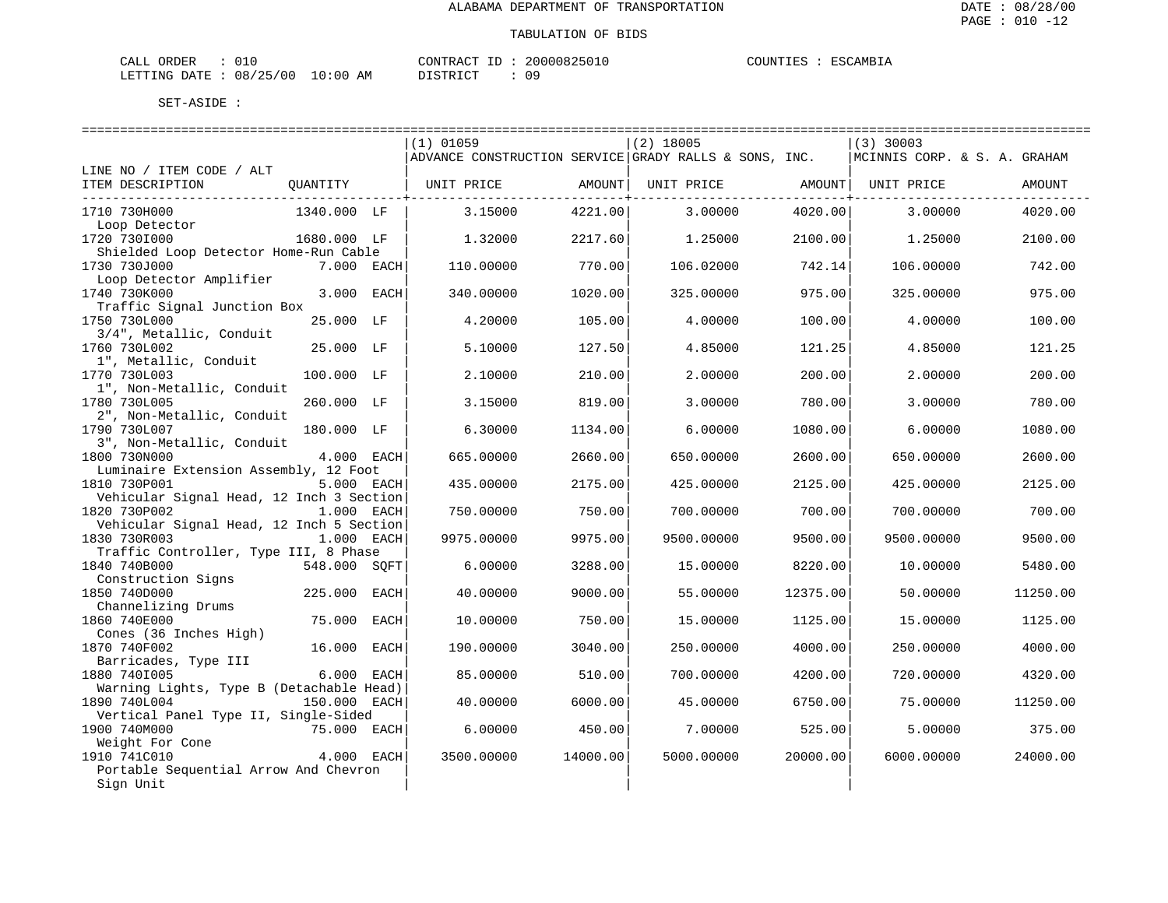| L ORDER<br>CALL                 |  |  | CONTRACT ID | 20000825010 | COUNTIES | : ESCAMBIA |
|---------------------------------|--|--|-------------|-------------|----------|------------|
| LETTING DATE: 08/25/00 10:00 AM |  |  | DISTRICT    | 09          |          |            |

|                                                      |              |      | ______________________________                        |          | ============================= |          | ----------------------------- |          |
|------------------------------------------------------|--------------|------|-------------------------------------------------------|----------|-------------------------------|----------|-------------------------------|----------|
|                                                      |              |      | $(1)$ 01059                                           |          | $(2)$ 18005                   |          | $(3)$ 30003                   |          |
|                                                      |              |      | ADVANCE CONSTRUCTION SERVICE GRADY RALLS & SONS, INC. |          |                               |          | MCINNIS CORP. & S. A. GRAHAM  |          |
| LINE NO / ITEM CODE / ALT                            |              |      |                                                       |          |                               |          |                               |          |
| ITEM DESCRIPTION                                     | QUANTITY     |      | UNIT PRICE                                            | AMOUNT   | UNIT PRICE                    | AMOUNT   | UNIT PRICE                    | AMOUNT   |
|                                                      |              |      |                                                       |          |                               |          |                               |          |
| 1710 730H000                                         | 1340.000 LF  |      | 3.15000                                               | 4221.00  | 3.00000                       | 4020.00  | 3.00000                       | 4020.00  |
| Loop Detector                                        |              |      |                                                       |          |                               |          |                               |          |
| 1720 730I000                                         | 1680.000 LF  |      | 1.32000                                               | 2217.60  | 1.25000                       | 2100.00  | 1.25000                       | 2100.00  |
| Shielded Loop Detector Home-Run Cable                |              |      |                                                       |          |                               |          |                               |          |
| 1730 730J000                                         | 7.000 EACH   |      | 110.00000                                             | 770.00   | 106.02000                     | 742.14   | 106.00000                     | 742.00   |
| Loop Detector Amplifier                              |              |      |                                                       |          |                               |          |                               |          |
| 1740 730K000                                         | 3.000        | EACH | 340.00000                                             | 1020.00  | 325.00000                     | 975.00   | 325.00000                     | 975.00   |
| Traffic Signal Junction Box                          |              |      |                                                       |          |                               |          |                               |          |
| 1750 730L000                                         | 25.000 LF    |      | 4.20000                                               | 105.00   | 4.00000                       | 100.00   | 4.00000                       | 100.00   |
| 3/4", Metallic, Conduit                              |              |      |                                                       |          |                               |          |                               |          |
| 1760 730L002                                         | 25.000 LF    |      | 5.10000                                               | 127.50   | 4.85000                       | 121.25   | 4.85000                       | 121.25   |
| 1", Metallic, Conduit                                |              |      |                                                       |          |                               |          |                               |          |
| 1770 730L003                                         | 100.000 LF   |      | 2.10000                                               | 210.00   | 2.00000                       | 200.00   | 2.00000                       | 200.00   |
| 1", Non-Metallic, Conduit                            |              |      |                                                       |          |                               |          |                               |          |
| 1780 730L005                                         | 260.000 LF   |      | 3.15000                                               | 819.00   | 3.00000                       | 780.00   | 3.00000                       | 780.00   |
| 2", Non-Metallic, Conduit<br>1790 730L007            | 180.000 LF   |      |                                                       | 1134.00  | 6.00000                       | 1080.00  | 6.00000                       | 1080.00  |
| 3", Non-Metallic, Conduit                            |              |      | 6.30000                                               |          |                               |          |                               |          |
| 1800 730N000                                         | 4.000 EACH   |      | 665.00000                                             | 2660.00  | 650.00000                     | 2600.00  | 650.00000                     | 2600.00  |
| Luminaire Extension Assembly, 12 Foot                |              |      |                                                       |          |                               |          |                               |          |
| 1810 730P001                                         | 5.000 EACH   |      | 435.00000                                             | 2175.00  | 425.00000                     | 2125.00  | 425.00000                     | 2125.00  |
| Vehicular Signal Head, 12 Inch 3 Section             |              |      |                                                       |          |                               |          |                               |          |
| 1820 730P002                                         | 1.000 EACH   |      | 750.00000                                             | 750.00   | 700.00000                     | 700.00   | 700.00000                     | 700.00   |
| Vehicular Signal Head, 12 Inch 5 Section             |              |      |                                                       |          |                               |          |                               |          |
| 1830 730R003                                         | 1.000 EACH   |      | 9975.00000                                            | 9975.00  | 9500.00000                    | 9500.00  | 9500.00000                    | 9500.00  |
| Traffic Controller, Type III, 8 Phase                |              |      |                                                       |          |                               |          |                               |          |
| 1840 740B000                                         | 548.000 SOFT |      | 6.00000                                               | 3288.00  | 15.00000                      | 8220.00  | 10.00000                      | 5480.00  |
| Construction Signs                                   |              |      |                                                       |          |                               |          |                               |          |
| 1850 740D000                                         | 225,000      | EACH | 40.00000                                              | 9000.00  | 55.00000                      | 12375.00 | 50.00000                      | 11250.00 |
| Channelizing Drums                                   |              |      |                                                       |          |                               |          |                               |          |
| 1860 740E000                                         | 75.000       | EACH | 10.00000                                              | 750.00   | 15.00000                      | 1125.00  | 15,00000                      | 1125.00  |
| Cones (36 Inches High)                               |              |      |                                                       |          |                               |          |                               |          |
| 1870 740F002                                         | 16.000       | EACH | 190.00000                                             | 3040.00  | 250.00000                     | 4000.00  | 250.00000                     | 4000.00  |
| Barricades, Type III                                 |              |      |                                                       |          |                               |          |                               |          |
| 1880 7401005                                         | 6.000 EACH   |      | 85.00000                                              | 510.00   | 700.00000                     | 4200.00  | 720.00000                     | 4320.00  |
| Warning Lights, Type B (Detachable Head)             |              |      |                                                       |          |                               |          |                               |          |
| 1890 740L004                                         | 150.000 EACH |      | 40.00000                                              | 6000.00  | 45.00000                      | 6750.00  | 75.00000                      | 11250.00 |
| Vertical Panel Type II, Single-Sided<br>1900 740M000 | 75.000 EACH  |      | 6.00000                                               | 450.00   | 7.00000                       | 525.00   | 5.00000                       | 375.00   |
| Weight For Cone                                      |              |      |                                                       |          |                               |          |                               |          |
| 1910 741C010                                         | 4.000 EACH   |      | 3500.00000                                            | 14000.00 | 5000.00000                    | 20000.00 | 6000.00000                    | 24000.00 |
| Portable Sequential Arrow And Chevron                |              |      |                                                       |          |                               |          |                               |          |
| Sign Unit                                            |              |      |                                                       |          |                               |          |                               |          |
|                                                      |              |      |                                                       |          |                               |          |                               |          |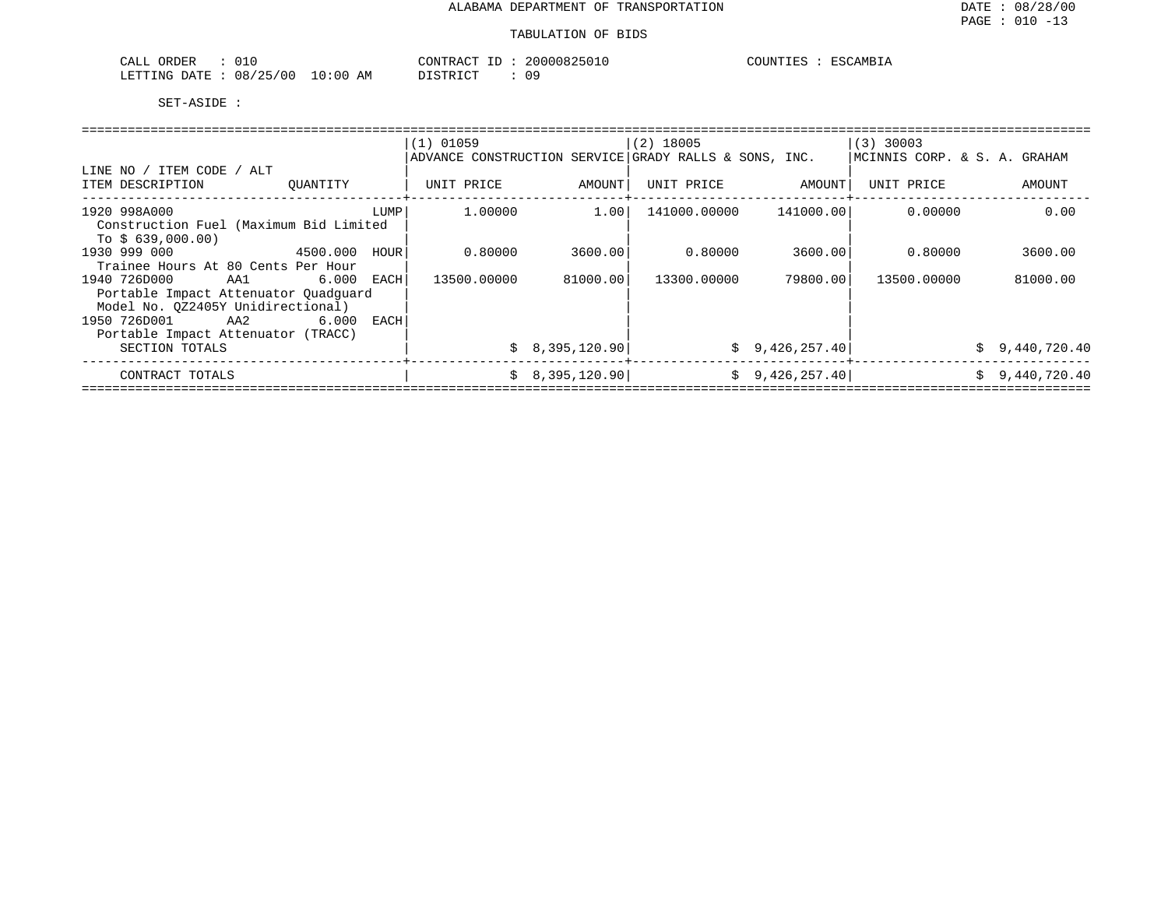| ORDER<br>CALL        | OT 1.                                           |     | CONTRACT<br>___                        | 200<br>HILIX. | COUNTIES | AMRT <sub>2</sub> |
|----------------------|-------------------------------------------------|-----|----------------------------------------|---------------|----------|-------------------|
| ETTING<br>$\sqrt{2}$ | $\sqrt{2}$<br>00 ′<br>08<br>ים נ<br>.<br>$\sim$ | AM. | T T T T T<br>.<br>$\sim$ $\sim$ $\sim$ | 09            |          |                   |

|                                        |       |      | $(1)$ 01059                                           |                | $(2)$ 18005 |                        | $ (3)$ 30003                 |                |  |  |  |  |
|----------------------------------------|-------|------|-------------------------------------------------------|----------------|-------------|------------------------|------------------------------|----------------|--|--|--|--|
|                                        |       |      | ADVANCE CONSTRUCTION SERVICE GRADY RALLS & SONS, INC. |                |             |                        | MCINNIS CORP. & S. A. GRAHAM |                |  |  |  |  |
| LINE NO / ITEM CODE / ALT              |       |      |                                                       |                |             |                        |                              |                |  |  |  |  |
| ITEM DESCRIPTION<br>OUANTITY           |       |      | UNIT PRICE                                            | AMOUNT         | UNIT PRICE  | AMOUNT                 | UNIT PRICE                   | AMOUNT         |  |  |  |  |
| 1920 998A000                           |       | LUMP | 1.00000                                               | 1.00           |             | 141000.00000 141000.00 | 0.00000                      | 0.00           |  |  |  |  |
| Construction Fuel (Maximum Bid Limited |       |      |                                                       |                |             |                        |                              |                |  |  |  |  |
| To $$639,000.00)$                      |       |      |                                                       |                |             |                        |                              |                |  |  |  |  |
| 1930 999 000<br>4500.000               |       | HOUR | 0.80000                                               | 3600.001       | 0.80000     | 3600.001               | 0.80000                      | 3600.00        |  |  |  |  |
| Trainee Hours At 80 Cents Per Hour     |       |      |                                                       |                |             |                        |                              |                |  |  |  |  |
| 1940 726D000<br>AA1                    | 6.000 | EACH | 13500.00000                                           | 81000.00       | 13300.00000 | 79800.001              | 13500.00000                  | 81000.00       |  |  |  |  |
| Portable Impact Attenuator Quadquard   |       |      |                                                       |                |             |                        |                              |                |  |  |  |  |
| Model No. 0Z2405Y Unidirectional)      |       |      |                                                       |                |             |                        |                              |                |  |  |  |  |
| 1950 726D001 AA2                       | 6.000 | EACH |                                                       |                |             |                        |                              |                |  |  |  |  |
|                                        |       |      |                                                       |                |             |                        |                              |                |  |  |  |  |
| Portable Impact Attenuator (TRACC)     |       |      |                                                       |                |             |                        |                              |                |  |  |  |  |
| SECTION TOTALS                         |       |      |                                                       | \$8,395,120.90 |             | \$9,426,257.40]        |                              | \$9,440,720.40 |  |  |  |  |
| CONTRACT TOTALS                        |       |      |                                                       | \$8,395,120.90 |             | \$9,426,257.40]        |                              | \$9,440,720.40 |  |  |  |  |
|                                        |       |      |                                                       |                |             |                        |                              |                |  |  |  |  |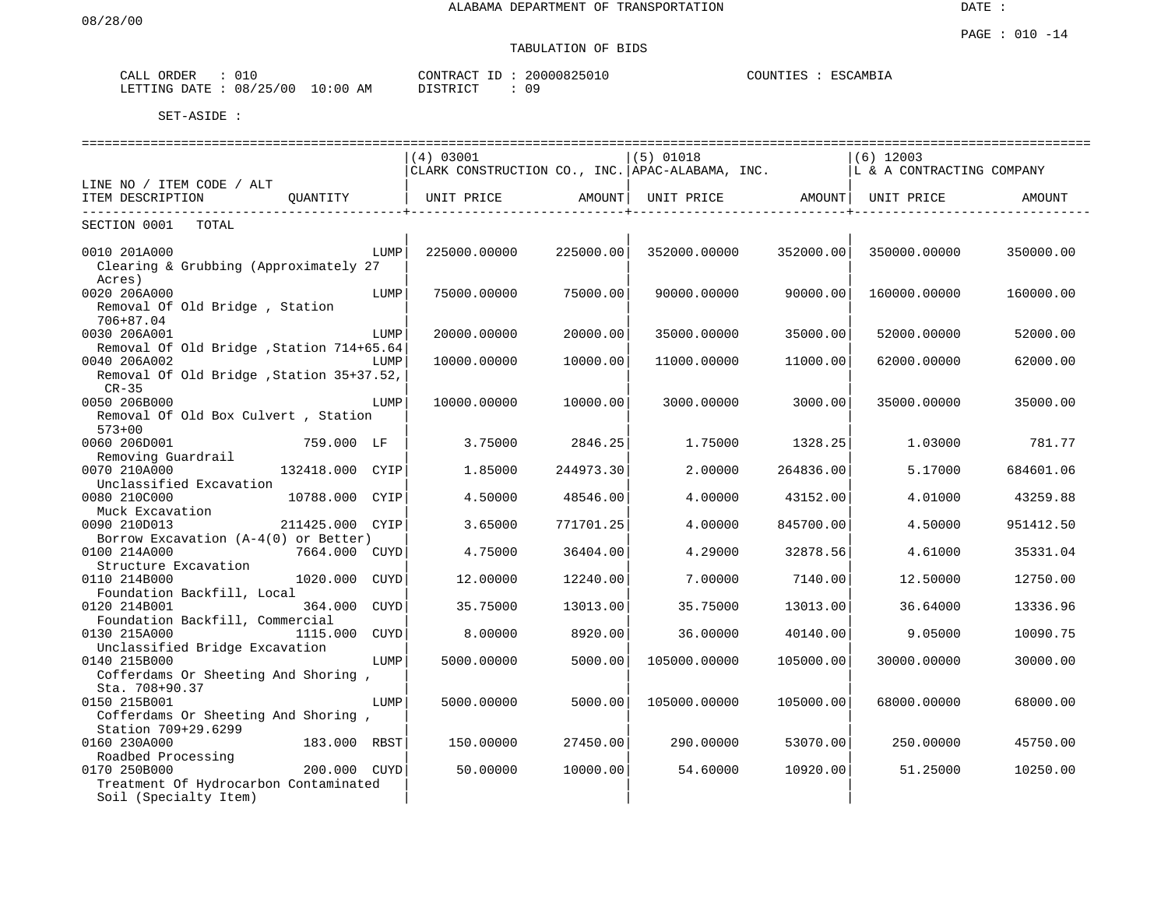# TABULATION OF BIDS

| ORDER<br>CALL | 010        |            | CONTRACT ID | 20000825010 | COUNTIES | ESCAMBIA |
|---------------|------------|------------|-------------|-------------|----------|----------|
| LETTING DATE  | : 08/25/00 | J 10:00 AM | DISTRICT    | 09          |          |          |

|                                                                          | (4) 03001                                       |           | $(5)$ 01018       |           | $(6)$ 12003               |           |
|--------------------------------------------------------------------------|-------------------------------------------------|-----------|-------------------|-----------|---------------------------|-----------|
|                                                                          | CLARK CONSTRUCTION CO., INC. APAC-ALABAMA, INC. |           |                   |           | L & A CONTRACTING COMPANY |           |
| LINE NO / ITEM CODE / ALT                                                |                                                 |           |                   |           |                           |           |
| ITEM DESCRIPTION<br>OUANTITY                                             | UNIT PRICE                                      | AMOUNT    | UNIT PRICE AMOUNT |           | UNIT PRICE                | AMOUNT    |
| .                                                                        |                                                 |           |                   |           |                           |           |
| SECTION 0001 TOTAL                                                       |                                                 |           |                   |           |                           |           |
|                                                                          |                                                 |           |                   |           |                           |           |
| 0010 201A000<br>LUMP                                                     | 225000.00000                                    | 225000.00 | 352000.00000      | 352000.00 | 350000.00000              | 350000.00 |
| Clearing & Grubbing (Approximately 27                                    |                                                 |           |                   |           |                           |           |
| Acres)                                                                   |                                                 |           |                   |           |                           |           |
| 0020 206A000<br>LUMP                                                     | 75000.00000                                     | 75000.00  | 90000.00000       | 90000.00  | 160000.00000              | 160000.00 |
| Removal Of Old Bridge, Station                                           |                                                 |           |                   |           |                           |           |
| 706+87.04                                                                |                                                 |           |                   |           |                           |           |
| 0030 206A001<br>LUMP                                                     | 20000.00000                                     | 20000.00  | 35000.00000       | 35000.00  | 52000.00000               | 52000.00  |
| Removal Of Old Bridge , Station 714+65.64                                |                                                 |           |                   |           |                           |           |
| 0040 206A002<br>LUMP                                                     | 10000.00000                                     | 10000.00  | 11000.00000       | 11000.00  | 62000.00000               | 62000.00  |
| Removal Of Old Bridge , Station 35+37.52,                                |                                                 |           |                   |           |                           |           |
| $CR-35$                                                                  |                                                 |           |                   |           |                           |           |
| 0050 206B000<br>LUMP                                                     | 10000.00000                                     | 10000.00  | 3000.00000        | 3000.00   | 35000.00000               | 35000.00  |
| Removal Of Old Box Culvert, Station                                      |                                                 |           |                   |           |                           |           |
| $573 + 00$                                                               |                                                 |           |                   |           |                           |           |
| 759.000 LF<br>0060 206D001                                               | 3.75000                                         | 2846.25   | 1.75000           | 1328.25   | 1,03000                   | 781.77    |
| Removing Guardrail                                                       |                                                 |           |                   |           |                           |           |
| 0070 210A000<br>132418.000 CYIP                                          | 1.85000                                         | 244973.30 | 2,00000           | 264836.00 | 5.17000                   | 684601.06 |
| Unclassified Excavation                                                  |                                                 |           |                   |           |                           |           |
| 0080 210C000<br>10788.000 CYIP                                           | 4.50000                                         | 48546.00  | 4.00000           | 43152.00  | 4.01000                   | 43259.88  |
| Muck Excavation<br>0090 210D013                                          | 3.65000                                         | 771701.25 |                   | 845700.00 | 4.50000                   | 951412.50 |
| 211425.000 CYIP                                                          |                                                 |           | 4.00000           |           |                           |           |
| Borrow Excavation $(A-4(0))$ or Better)<br>0100 214A000<br>7664.000 CUYD | 4.75000                                         | 36404.00  | 4.29000           | 32878.56  | 4.61000                   | 35331.04  |
| Structure Excavation                                                     |                                                 |           |                   |           |                           |           |
| 0110 214B000<br>1020.000 CUYD                                            | 12,00000                                        | 12240.00  | 7.00000           | 7140.00   | 12.50000                  | 12750.00  |
| Foundation Backfill, Local                                               |                                                 |           |                   |           |                           |           |
| 364.000<br>0120 214B001<br>CUYD                                          | 35.75000                                        | 13013.00  | 35.75000          | 13013.00  | 36.64000                  | 13336.96  |
| Foundation Backfill, Commercial                                          |                                                 |           |                   |           |                           |           |
| 0130 215A000<br>1115.000<br>CUYD                                         | 8,00000                                         | 8920.00   | 36.00000          | 40140.00  | 9.05000                   | 10090.75  |
| Unclassified Bridge Excavation                                           |                                                 |           |                   |           |                           |           |
| 0140 215B000<br>LUMP                                                     | 5000.00000                                      | 5000.00   | 105000.00000      | 105000.00 | 30000.00000               | 30000.00  |
| Cofferdams Or Sheeting And Shoring,                                      |                                                 |           |                   |           |                           |           |
| Sta. 708+90.37                                                           |                                                 |           |                   |           |                           |           |
| 0150 215B001<br>LUMP                                                     | 5000.00000                                      | 5000.00   | 105000.00000      | 105000.00 | 68000.00000               | 68000.00  |
| Cofferdams Or Sheeting And Shoring,                                      |                                                 |           |                   |           |                           |           |
| Station 709+29.6299                                                      |                                                 |           |                   |           |                           |           |
| 183.000 RBST<br>0160 230A000                                             | 150.00000                                       | 27450.00  | 290.00000         | 53070.00  | 250.00000                 | 45750.00  |
| Roadbed Processing                                                       |                                                 |           |                   |           |                           |           |
| 0170 250B000<br>200.000<br>CUYD                                          | 50.00000                                        | 10000.00  | 54.60000          | 10920.00  | 51.25000                  | 10250.00  |
| Treatment Of Hydrocarbon Contaminated                                    |                                                 |           |                   |           |                           |           |
| Soil (Specialty Item)                                                    |                                                 |           |                   |           |                           |           |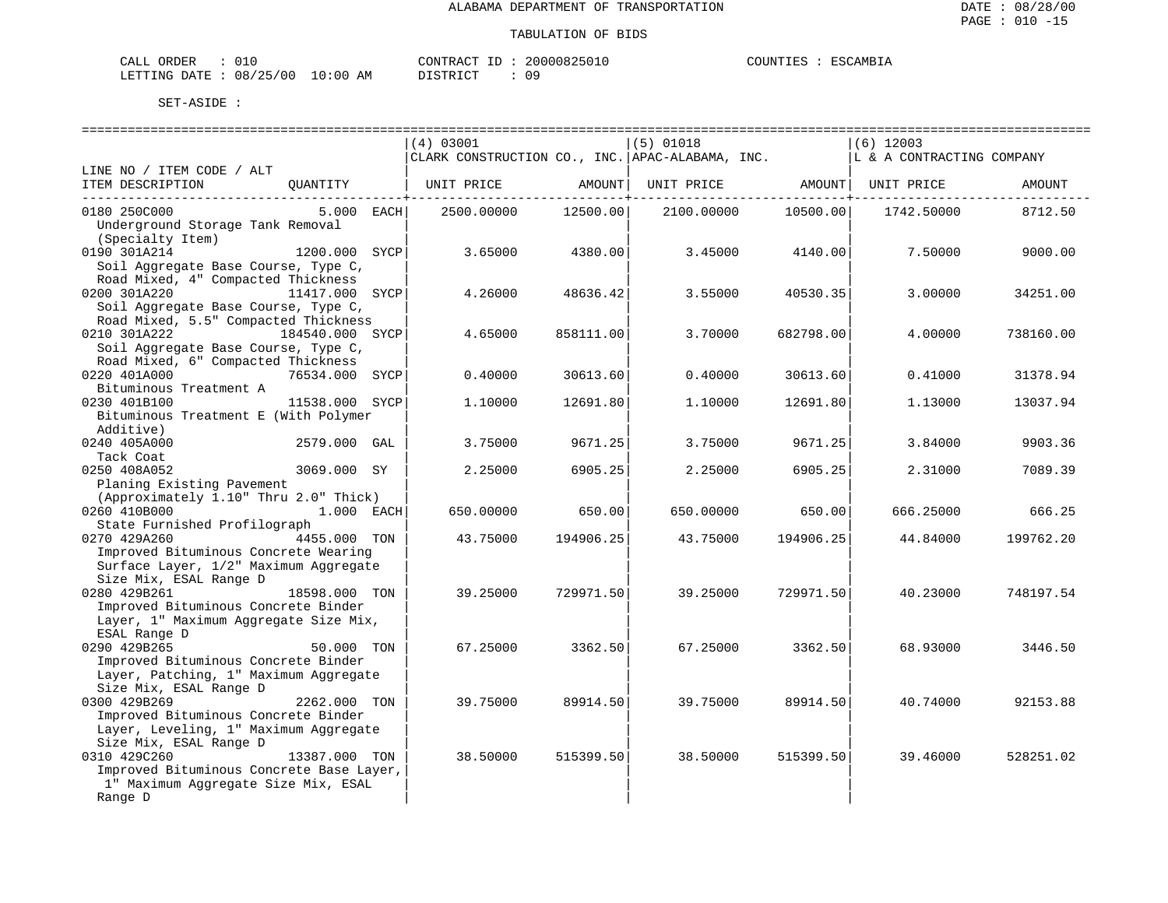| 010<br>ORDER<br>CALL     |             | CONTRACT   | 20000825010 | COUNTIES | ESCAMBIA |
|--------------------------|-------------|------------|-------------|----------|----------|
| 08/25/00<br>LETTING DATE | 10:00<br>AΜ | חי חים דרו | n a         |          |          |

|                                          |                 | (4) 03001  |           | $(5)$ 01018                                                                    |           | $(6)$ 12003 |           |
|------------------------------------------|-----------------|------------|-----------|--------------------------------------------------------------------------------|-----------|-------------|-----------|
|                                          |                 |            |           | CLARK CONSTRUCTION CO., INC.   APAC-ALABAMA, INC.   IL & A CONTRACTING COMPANY |           |             |           |
| LINE NO / ITEM CODE / ALT                |                 |            |           |                                                                                |           |             |           |
| ITEM DESCRIPTION QUANTITY                |                 | UNIT PRICE | AMOUNT    | UNIT PRICE AMOUNT   UNIT PRICE                                                 |           |             | AMOUNT    |
|                                          |                 |            |           |                                                                                |           |             |           |
| 0180 250C000                             | 5.000 EACH      | 2500.00000 | 12500.00  | 2100.00000                                                                     | 10500.00  | 1742.50000  | 8712.50   |
| Underground Storage Tank Removal         |                 |            |           |                                                                                |           |             |           |
| (Specialty Item)                         |                 |            |           |                                                                                |           |             |           |
| 0190 301A214                             | 1200.000 SYCP   | 3.65000    | 4380.00   | 3.45000                                                                        | 4140.00   | 7.50000     | 9000.00   |
| Soil Aggregate Base Course, Type C,      |                 |            |           |                                                                                |           |             |           |
| Road Mixed, 4" Compacted Thickness       |                 |            |           |                                                                                |           |             |           |
| 0200 301A220                             | 11417.000 SYCP  | 4.26000    | 48636.42  | 3.55000                                                                        | 40530.35  | 3.00000     | 34251.00  |
| Soil Aggregate Base Course, Type C,      |                 |            |           |                                                                                |           |             |           |
| Road Mixed, 5.5" Compacted Thickness     |                 |            |           |                                                                                |           |             |           |
| 0210 301A222                             | 184540.000 SYCP | 4.65000    | 858111.00 | 3.70000                                                                        | 682798.00 | 4.00000     | 738160.00 |
| Soil Aggregate Base Course, Type C,      |                 |            |           |                                                                                |           |             |           |
| Road Mixed, 6" Compacted Thickness       |                 |            |           |                                                                                |           |             |           |
| 0220 401A000                             | 76534.000 SYCP  | 0.40000    | 30613.60  | 0.40000                                                                        | 30613.60  | 0.41000     | 31378.94  |
| Bituminous Treatment A                   |                 |            |           |                                                                                |           |             |           |
| 0230 401B100                             | 11538.000 SYCP  | 1,10000    | 12691.80  | 1,10000                                                                        | 12691.80  | 1.13000     | 13037.94  |
| Bituminous Treatment E (With Polymer     |                 |            |           |                                                                                |           |             |           |
| Additive)                                |                 |            |           |                                                                                |           |             |           |
| 0240 405A000                             | 2579.000 GAL    | 3.75000    | 9671.25   | 3.75000                                                                        | 9671.25   | 3.84000     | 9903.36   |
| Tack Coat                                |                 |            |           |                                                                                |           |             |           |
| 0250 408A052                             | 3069.000 SY     | 2.25000    | 6905.25   | 2.25000                                                                        | 6905.25   | 2.31000     | 7089.39   |
| Planing Existing Pavement                |                 |            |           |                                                                                |           |             |           |
| (Approximately 1.10" Thru 2.0" Thick)    |                 |            |           |                                                                                |           |             |           |
| 0260 410B000                             | 1.000 EACH      | 650.00000  | 650.00    | 650.00000                                                                      | 650.00    | 666.25000   | 666.25    |
| State Furnished Profilograph             |                 |            |           |                                                                                |           |             |           |
| 0270 429A260                             | 4455.000 TON    | 43.75000   | 194906.25 | 43.75000                                                                       | 194906.25 | 44.84000    | 199762.20 |
| Improved Bituminous Concrete Wearing     |                 |            |           |                                                                                |           |             |           |
| Surface Layer, 1/2" Maximum Aggregate    |                 |            |           |                                                                                |           |             |           |
| Size Mix, ESAL Range D                   |                 |            |           |                                                                                |           |             |           |
| 0280 429B261                             | 18598.000 TON   | 39.25000   | 729971.50 | 39.25000                                                                       | 729971.50 | 40.23000    | 748197.54 |
| Improved Bituminous Concrete Binder      |                 |            |           |                                                                                |           |             |           |
| Layer, 1" Maximum Aggregate Size Mix,    |                 |            |           |                                                                                |           |             |           |
| ESAL Range D                             |                 |            |           |                                                                                |           |             |           |
| 0290 429B265                             | 50.000 TON      | 67.25000   | 3362.50   | 67.25000                                                                       | 3362.50   | 68.93000    | 3446.50   |
| Improved Bituminous Concrete Binder      |                 |            |           |                                                                                |           |             |           |
| Layer, Patching, 1" Maximum Aggregate    |                 |            |           |                                                                                |           |             |           |
| Size Mix, ESAL Range D                   |                 |            |           |                                                                                |           |             |           |
| 0300 429B269                             | 2262.000 TON    | 39.75000   | 89914.50  | 39.75000                                                                       | 89914.50  | 40.74000    | 92153.88  |
| Improved Bituminous Concrete Binder      |                 |            |           |                                                                                |           |             |           |
| Layer, Leveling, 1" Maximum Aggregate    |                 |            |           |                                                                                |           |             |           |
| Size Mix, ESAL Range D                   |                 |            |           |                                                                                |           |             |           |
| 0310 429C260                             | 13387.000 TON   | 38.50000   | 515399.50 | 38.50000                                                                       | 515399.50 | 39.46000    | 528251.02 |
| Improved Bituminous Concrete Base Layer, |                 |            |           |                                                                                |           |             |           |
| 1" Maximum Aggregate Size Mix, ESAL      |                 |            |           |                                                                                |           |             |           |
| Range D                                  |                 |            |           |                                                                                |           |             |           |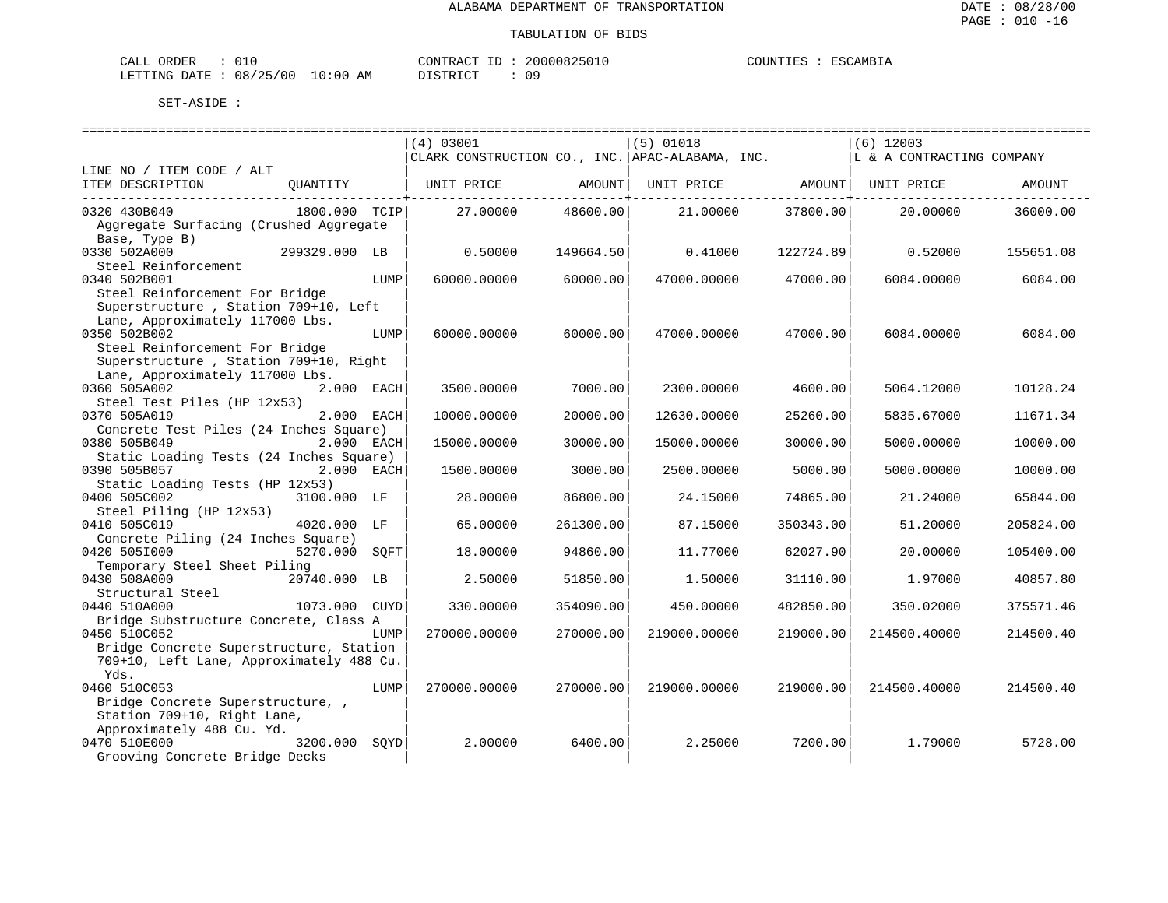| $\sim$ $ -$<br>ORDER<br>- LLAL |              |                    | CONTRACT<br>$-1$ | 20000825 | JUNTIF1<br>. I KN | ESC.<br>$\sim$ AMB <sub>1</sub> . |
|--------------------------------|--------------|--------------------|------------------|----------|-------------------|-----------------------------------|
| LETTING<br><b>DATE</b><br>.    | 08<br>'25/00 | AΜ<br>:00<br>— ∪ ∵ | TAT<br>DI GITO   | ΟS       |                   |                                   |

|                                                              |      | (4) 03001                                       |           | $(5)$ 01018  |           | $(6)$ 12003               |           |
|--------------------------------------------------------------|------|-------------------------------------------------|-----------|--------------|-----------|---------------------------|-----------|
|                                                              |      | CLARK CONSTRUCTION CO., INC. APAC-ALABAMA, INC. |           |              |           | L & A CONTRACTING COMPANY |           |
| LINE NO / ITEM CODE / ALT                                    |      |                                                 |           |              |           |                           |           |
| ITEM DESCRIPTION<br>QUANTITY                                 |      | UNIT PRICE                                      | AMOUNT    | UNIT PRICE   | AMOUNT    | UNIT PRICE                | AMOUNT    |
| 0320 430B040<br>1800.000 TCIP                                |      | 27,00000                                        | 48600.00  | 21,00000     | 37800.00  | 20,00000                  | 36000.00  |
| Aggregate Surfacing (Crushed Aggregate                       |      |                                                 |           |              |           |                           |           |
| Base, Type B)                                                |      |                                                 |           |              |           |                           |           |
| 0330 502A000<br>299329.000 LB                                |      | 0.50000                                         | 149664.50 | 0.41000      | 122724.89 | 0.52000                   | 155651.08 |
| Steel Reinforcement                                          |      |                                                 |           |              |           |                           |           |
| 0340 502B001                                                 | LUMP | 60000.00000                                     | 60000.00  | 47000.00000  | 47000.00  | 6084.00000                | 6084.00   |
| Steel Reinforcement For Bridge                               |      |                                                 |           |              |           |                           |           |
| Superstructure, Station 709+10, Left                         |      |                                                 |           |              |           |                           |           |
| Lane, Approximately 117000 Lbs.                              |      |                                                 |           |              |           |                           |           |
| 0350 502B002                                                 | LUMP | 60000.00000                                     | 60000.00  | 47000.00000  | 47000.00  | 6084.00000                | 6084.00   |
| Steel Reinforcement For Bridge                               |      |                                                 |           |              |           |                           |           |
| Superstructure, Station 709+10, Right                        |      |                                                 |           |              |           |                           |           |
| Lane, Approximately 117000 Lbs.                              |      |                                                 |           |              |           |                           |           |
| 0360 505A002<br>2.000 EACH                                   |      | 3500.00000                                      | 7000.00   | 2300.00000   | 4600.00   | 5064.12000                | 10128.24  |
| Steel Test Piles (HP 12x53)                                  |      |                                                 |           |              |           |                           |           |
| 0370 505A019<br>2.000 EACH                                   |      | 10000.00000                                     | 20000.00  | 12630.00000  | 25260.00  | 5835.67000                | 11671.34  |
| Concrete Test Piles (24 Inches Square)                       |      |                                                 |           |              |           |                           |           |
| 2.000 EACH<br>0380 505B049                                   |      | 15000.00000                                     | 30000.00  | 15000.00000  | 30000.00  | 5000.00000                | 10000.00  |
| Static Loading Tests (24 Inches Square)                      |      |                                                 |           |              |           |                           |           |
| 0390 505B057<br>2.000 EACH                                   |      | 1500.00000                                      | 3000.00   | 2500.00000   | 5000.00   | 5000.00000                | 10000.00  |
| Static Loading Tests (HP 12x53)                              |      |                                                 |           |              |           |                           |           |
| 3100.000 LF<br>0400 505C002                                  |      | 28.00000                                        | 86800.00  | 24.15000     | 74865.00  | 21.24000                  | 65844.00  |
| Steel Piling (HP 12x53)                                      |      |                                                 |           |              |           |                           |           |
| 0410 505C019<br>4020.000 LF                                  |      | 65.00000                                        | 261300.00 | 87.15000     | 350343.00 | 51.20000                  | 205824.00 |
| Concrete Piling (24 Inches Square)                           |      |                                                 |           |              |           |                           |           |
| 0420 5051000<br>5270.000                                     | SOFT | 18,00000                                        | 94860.00  | 11.77000     | 62027.90  | 20.00000                  | 105400.00 |
| Temporary Steel Sheet Piling<br>0430 508A000<br>20740.000 LB |      | 2.50000                                         | 51850.00  | 1.50000      | 31110.00  | 1.97000                   | 40857.80  |
| Structural Steel                                             |      |                                                 |           |              |           |                           |           |
| 0440 510A000<br>1073.000                                     | CUYD | 330.00000                                       | 354090.00 | 450.00000    | 482850.00 | 350.02000                 | 375571.46 |
| Bridge Substructure Concrete, Class A                        |      |                                                 |           |              |           |                           |           |
| 0450 510C052                                                 | LUMP | 270000.00000                                    | 270000.00 | 219000.00000 | 219000.00 | 214500.40000              | 214500.40 |
| Bridge Concrete Superstructure, Station                      |      |                                                 |           |              |           |                           |           |
| 709+10, Left Lane, Approximately 488 Cu.                     |      |                                                 |           |              |           |                           |           |
| Yds.                                                         |      |                                                 |           |              |           |                           |           |
| 0460 510C053                                                 | LUMP | 270000.00000                                    | 270000.00 | 219000.00000 | 219000.00 | 214500.40000              | 214500.40 |
| Bridge Concrete Superstructure,                              |      |                                                 |           |              |           |                           |           |
| Station 709+10, Right Lane,                                  |      |                                                 |           |              |           |                           |           |
| Approximately 488 Cu. Yd.                                    |      |                                                 |           |              |           |                           |           |
| 0470 510E000<br>3200.000                                     | SOYD | 2.00000                                         | 6400.00   | 2.25000      | 7200.00   | 1.79000                   | 5728.00   |
| Grooving Concrete Bridge Decks                               |      |                                                 |           |              |           |                           |           |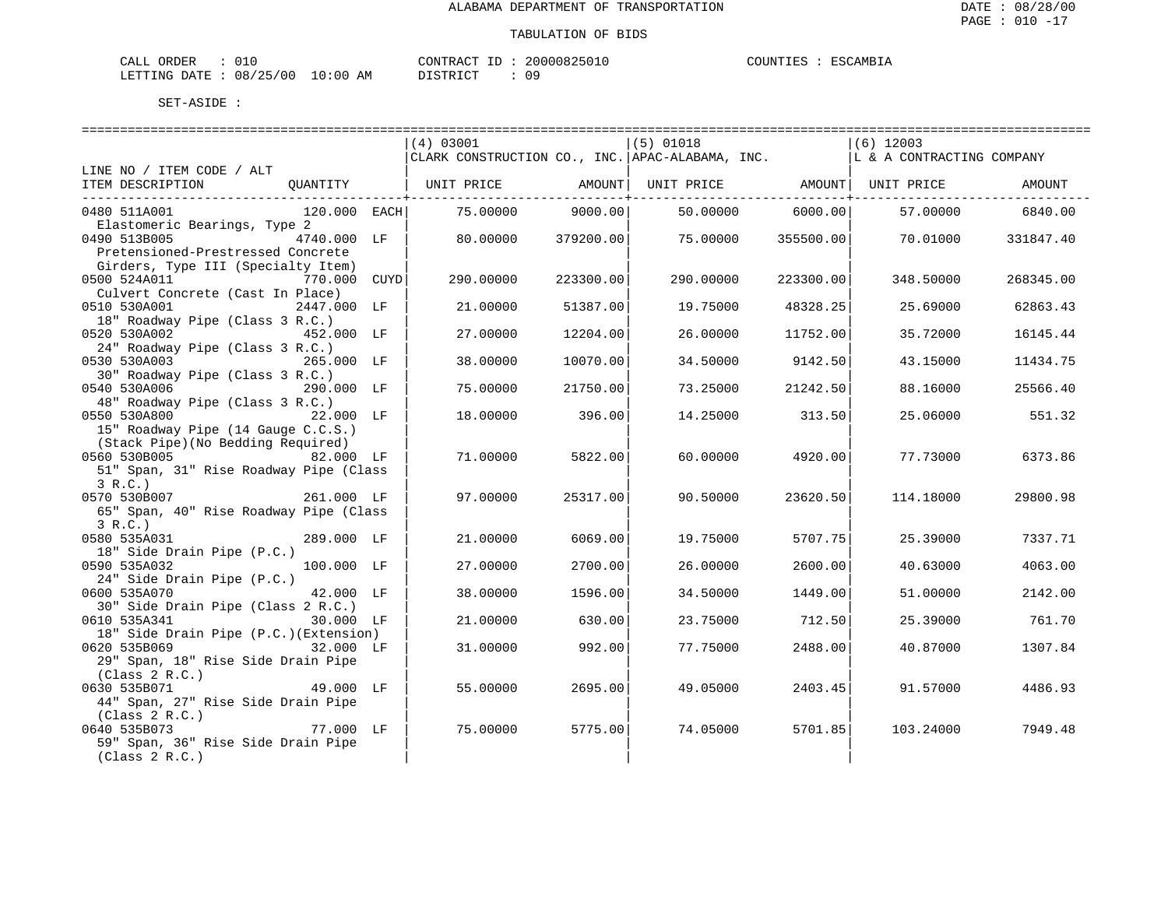| L ORDER<br>CALL                 |  |  | CONTRACT ID | 20000825010 | COUNTIES | : ESCAMBIA |
|---------------------------------|--|--|-------------|-------------|----------|------------|
| LETTING DATE: 08/25/00 10:00 AM |  |  | DISTRICT    | 09          |          |            |

|                                                                                                           |      | (4) 03001<br>CLARK CONSTRUCTION CO., INC. APAC-ALABAMA, INC. |           | $(5)$ 01018                               |           | $(6)$ 12003<br>L & A CONTRACTING COMPANY |           |
|-----------------------------------------------------------------------------------------------------------|------|--------------------------------------------------------------|-----------|-------------------------------------------|-----------|------------------------------------------|-----------|
| LINE NO / ITEM CODE / ALT                                                                                 |      |                                                              |           |                                           |           |                                          |           |
| ITEM DESCRIPTION<br>QUANTITY                                                                              |      | UNIT PRICE                                                   |           | AMOUNT   UNIT PRICE   AMOUNT   UNIT PRICE |           |                                          | AMOUNT    |
| 0480 511A001<br>120.000 EACH                                                                              |      | 75.00000                                                     | 9000.00   | 50.00000                                  | 6000.00   | 57.00000                                 | 6840.00   |
| Elastomeric Bearings, Type 2<br>0490 513B005<br>4740.000 LF<br>Pretensioned-Prestressed Concrete          |      | 80,00000                                                     | 379200.00 | 75,00000                                  | 355500.00 | 70.01000                                 | 331847.40 |
| Girders, Type III (Specialty Item)<br>0500 524A011<br>770.000<br>Culvert Concrete (Cast In Place)         | CUYD | 290.00000                                                    | 223300.00 | 290.00000                                 | 223300.00 | 348.50000                                | 268345.00 |
| 0510 530A001<br>2447.000 LF<br>18" Roadway Pipe (Class 3 R.C.)                                            |      | 21.00000                                                     | 51387.00  | 19.75000                                  | 48328.25  | 25.69000                                 | 62863.43  |
| 0520 530A002<br>452.000 LF<br>24" Roadway Pipe (Class 3 R.C.)                                             |      | 27.00000                                                     | 12204.00  | 26.00000                                  | 11752.00  | 35.72000                                 | 16145.44  |
| 0530 530A003<br>265.000 LF<br>30" Roadway Pipe (Class 3 R.C.)                                             |      | 38.00000                                                     | 10070.00  | 34.50000                                  | 9142.50   | 43.15000                                 | 11434.75  |
| 0540 530A006<br>290.000 LF<br>48" Roadway Pipe (Class 3 R.C.)                                             |      | 75.00000                                                     | 21750.00  | 73.25000                                  | 21242.50  | 88.16000                                 | 25566.40  |
| 0550 530A800<br>22.000 LF<br>15" Roadway Pipe (14 Gauge C.C.S.)                                           |      | 18,00000                                                     | 396.00    | 14.25000                                  | 313.50    | 25.06000                                 | 551.32    |
| (Stack Pipe) (No Bedding Required)<br>0560 530B005<br>82.000 LF<br>51" Span, 31" Rise Roadway Pipe (Class |      | 71.00000                                                     | 5822.00   | 60.00000                                  | 4920.00   | 77.73000                                 | 6373.86   |
| 3 R.C.<br>0570 530B007<br>261.000 LF<br>65" Span, 40" Rise Roadway Pipe (Class<br>3 R.C.                  |      | 97.00000                                                     | 25317.00  | 90.50000                                  | 23620.50  | 114.18000                                | 29800.98  |
| 0580 535A031<br>289.000 LF<br>18" Side Drain Pipe (P.C.)                                                  |      | 21,00000                                                     | 6069.00   | 19.75000                                  | 5707.75   | 25.39000                                 | 7337.71   |
| 100.000 LF<br>0590 535A032<br>24" Side Drain Pipe (P.C.)                                                  |      | 27.00000                                                     | 2700.00   | 26.00000                                  | 2600.00   | 40.63000                                 | 4063.00   |
| 0600 535A070<br>42.000 LF<br>30" Side Drain Pipe (Class 2 R.C.)                                           |      | 38,00000                                                     | 1596.00   | 34.50000                                  | 1449.00   | 51,00000                                 | 2142.00   |
| 0610 535A341<br>30.000 LF<br>18" Side Drain Pipe (P.C.) (Extension)                                       |      | 21.00000                                                     | 630.00    | 23.75000                                  | 712.50    | 25.39000                                 | 761.70    |
| 0620 535B069<br>32.000 LF<br>29" Span, 18" Rise Side Drain Pipe<br>(Class 2 R.C.)                         |      | 31.00000                                                     | 992.00    | 77.75000                                  | 2488.00   | 40.87000                                 | 1307.84   |
| 0630 535B071<br>49.000 LF<br>44" Span, 27" Rise Side Drain Pipe<br>(Class 2 R.C.)                         |      | 55.00000                                                     | 2695.00   | 49.05000                                  | 2403.45   | 91.57000                                 | 4486.93   |
| 0640 535B073<br>77.000 LF<br>59" Span, 36" Rise Side Drain Pipe<br>(Class 2 R.C.)                         |      | 75.00000                                                     | 5775.00   | 74.05000                                  | 5701.85   | 103.24000                                | 7949.48   |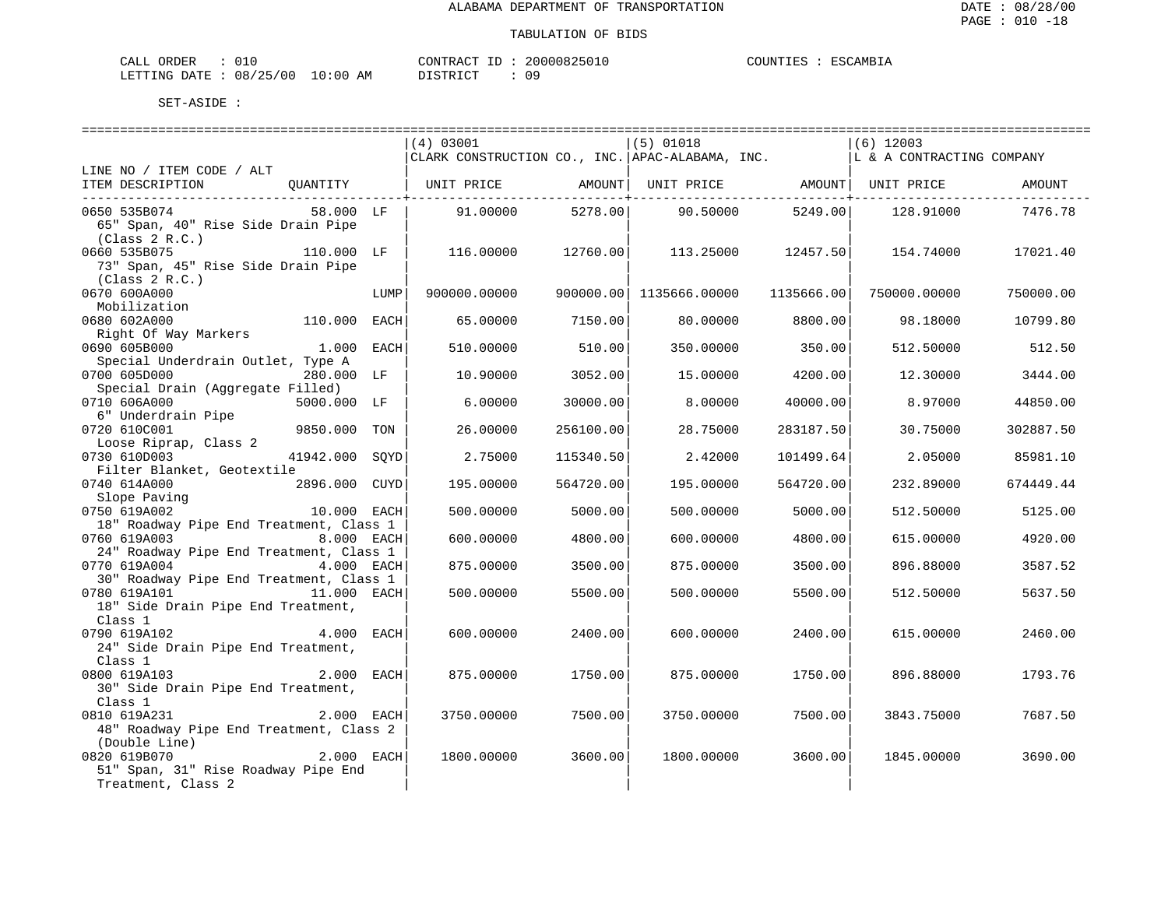| CALL ORDER             |  |            | CONTRACT ID | 20000825010 | COUNTIES : | ESCAMBIA |
|------------------------|--|------------|-------------|-------------|------------|----------|
| LETTING DATE: 08/25/00 |  | $10:00$ AM | DISTRICT    | 09          |            |          |

|                                         |               |      |                                                 |           |                         |            | ============================== |           |
|-----------------------------------------|---------------|------|-------------------------------------------------|-----------|-------------------------|------------|--------------------------------|-----------|
|                                         |               |      | (4) 03001                                       |           | $(5)$ 01018             |            | $(6)$ 12003                    |           |
|                                         |               |      | CLARK CONSTRUCTION CO., INC. APAC-ALABAMA, INC. |           |                         |            | L & A CONTRACTING COMPANY      |           |
| LINE NO / ITEM CODE / ALT               |               |      |                                                 |           |                         |            |                                |           |
| ITEM DESCRIPTION                        |               |      |                                                 |           |                         |            |                                | AMOUNT    |
|                                         |               |      |                                                 |           |                         |            |                                |           |
| 0650 535B074                            | 58.000 LF     |      | 91.00000                                        | 5278.00   | 90.50000 5249.00        |            | 128.91000                      | 7476.78   |
| 65" Span, 40" Rise Side Drain Pipe      |               |      |                                                 |           |                         |            |                                |           |
| (Class 2 R.C.)                          |               |      |                                                 |           |                         |            |                                |           |
| 0660 535B075                            | 110.000 LF    |      | 116.00000                                       | 12760.00  | 113.25000               | 12457.50   | 154.74000                      | 17021.40  |
| 73" Span, 45" Rise Side Drain Pipe      |               |      |                                                 |           |                         |            |                                |           |
| (Class 2 R.C.)                          |               |      |                                                 |           |                         |            |                                |           |
| 0670 600A000                            |               | LUMP | 900000.00000                                    |           | 900000.00 1135666.00000 | 1135666.00 | 750000.00000                   | 750000.00 |
| Mobilization                            |               |      |                                                 |           |                         |            |                                |           |
| 0680 602A000                            | 110.000 EACH  |      | 65.00000                                        | 7150.00   | 80.00000                | 8800.00    | 98.18000                       | 10799.80  |
| Right Of Way Markers                    |               |      |                                                 |           |                         |            |                                |           |
| 0690 605B000                            | 1.000 EACH    |      | 510.00000                                       | 510.00    | 350.00000               | 350.00     | 512.50000                      | 512.50    |
| Special Underdrain Outlet, Type A       |               |      |                                                 |           |                         |            |                                |           |
| 0700 605D000                            | 280.000 LF    |      | 10.90000                                        | 3052.00   | 15.00000                | 4200.00    | 12.30000                       | 3444.00   |
| Special Drain (Aggregate Filled)        |               |      |                                                 |           |                         |            |                                |           |
| 0710 606A000                            | 5000.000 LF   |      | 6,00000                                         | 30000.00  | 8,00000                 | 40000.00   | 8.97000                        | 44850.00  |
| 6" Underdrain Pipe                      |               |      |                                                 |           |                         |            |                                |           |
| 0720 610C001                            | 9850.000      | TON  | 26.00000                                        | 256100.00 | 28.75000                | 283187.50  | 30.75000                       | 302887.50 |
| Loose Riprap, Class 2                   |               |      |                                                 |           |                         |            |                                |           |
| 0730 610D003                            | 41942.000     | SOYD | 2.75000                                         | 115340.50 | 2.42000                 | 101499.64  | 2.05000                        | 85981.10  |
| Filter Blanket, Geotextile              |               |      |                                                 |           |                         |            |                                |           |
| 0740 614A000                            | 2896.000 CUYD |      | 195.00000                                       | 564720.00 | 195.00000               | 564720.00  | 232.89000                      | 674449.44 |
| Slope Paving                            |               |      |                                                 |           |                         |            |                                |           |
| 0750 619A002                            | 10.000 EACH   |      | 500.00000                                       | 5000.00   | 500.00000               | 5000.00    | 512.50000                      | 5125.00   |
| 18" Roadway Pipe End Treatment, Class 1 |               |      |                                                 |           |                         |            |                                |           |
| 0760 619A003                            | 8.000 EACH    |      | 600.00000                                       | 4800.00   | 600.00000               | 4800.00    | 615.00000                      | 4920.00   |
| 24" Roadway Pipe End Treatment, Class 1 |               |      |                                                 |           |                         |            |                                |           |
| 0770 619A004                            | 4.000 EACH    |      | 875.00000                                       | 3500.00   | 875.00000               | 3500.00    | 896.88000                      | 3587.52   |
| 30" Roadway Pipe End Treatment, Class 1 |               |      |                                                 |           |                         |            |                                |           |
| 0780 619A101                            | 11.000 EACH   |      | 500.00000                                       | 5500.00   | 500.00000               | 5500.00    | 512.50000                      | 5637.50   |
| 18" Side Drain Pipe End Treatment,      |               |      |                                                 |           |                         |            |                                |           |
| Class 1                                 |               |      |                                                 |           |                         |            |                                |           |
| 0790 619A102                            | 4.000 EACH    |      | 600.00000                                       | 2400.00   | 600.00000               | 2400.00    | 615.00000                      | 2460.00   |
| 24" Side Drain Pipe End Treatment,      |               |      |                                                 |           |                         |            |                                |           |
| Class 1                                 |               |      |                                                 |           |                         |            |                                |           |
| 0800 619A103                            | 2.000 EACH    |      | 875.00000                                       | 1750.00   | 875.00000               | 1750.00    | 896.88000                      | 1793.76   |
| 30" Side Drain Pipe End Treatment,      |               |      |                                                 |           |                         |            |                                |           |
| Class 1                                 |               |      |                                                 |           |                         |            |                                |           |
| 2.000 EACH<br>0810 619A231              |               |      | 3750.00000                                      | 7500.00   | 3750.00000              | 7500.00    | 3843.75000                     | 7687.50   |
| 48" Roadway Pipe End Treatment, Class 2 |               |      |                                                 |           |                         |            |                                |           |
| (Double Line)                           |               |      |                                                 |           |                         |            |                                |           |
| 0820 619B070                            | 2.000 EACH    |      | 1800.00000                                      | 3600.00   | 1800.00000              | 3600.00    | 1845.00000                     | 3690.00   |
| 51" Span, 31" Rise Roadway Pipe End     |               |      |                                                 |           |                         |            |                                |           |
| Treatment, Class 2                      |               |      |                                                 |           |                         |            |                                |           |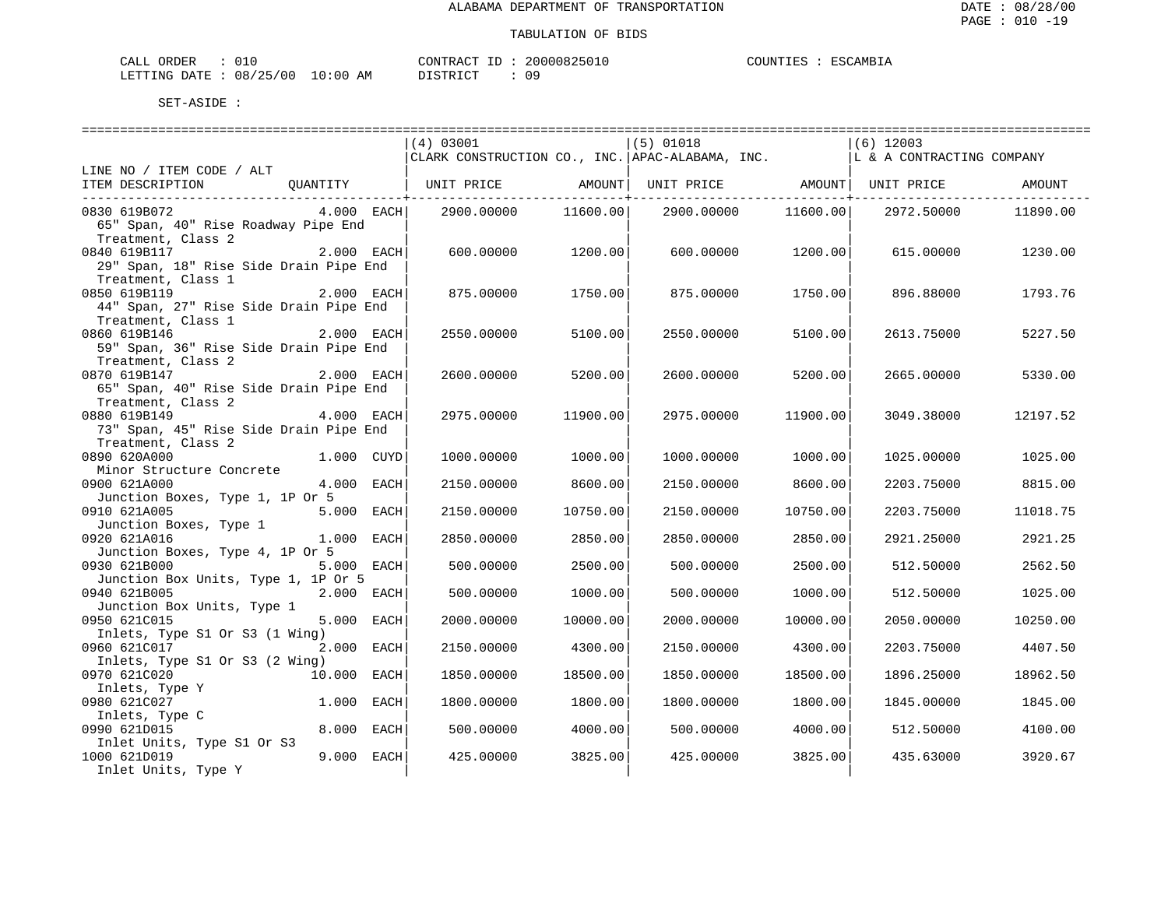| $\sim$ $ -$<br>ORDER<br>- LLAL |              |                    | CONTRACT<br>$-1$ | 20000825 | JUNTIF1<br>. I KN | ESC.<br>$\sim$ AMB <sub>1</sub> . |
|--------------------------------|--------------|--------------------|------------------|----------|-------------------|-----------------------------------|
| LETTING<br><b>DATE</b><br>.    | 08<br>'25/00 | AΜ<br>:00<br>— ∪ ∵ | TAT<br>DI GITO   | ΟS       |                   |                                   |

|                                        |              | (4) 03001                                                               |                               | $(5)$ 01018 |                                           | $(6)$ 12003               |          |
|----------------------------------------|--------------|-------------------------------------------------------------------------|-------------------------------|-------------|-------------------------------------------|---------------------------|----------|
|                                        |              | CLARK CONSTRUCTION CO., INC. APAC-ALABAMA, INC.                         |                               |             |                                           | L & A CONTRACTING COMPANY |          |
| LINE NO / ITEM CODE / ALT              |              |                                                                         |                               |             |                                           |                           |          |
| ITEM DESCRIPTION                       |              | QUANTITY   UNIT PRICE       AMOUNT  UNIT PRICE       AMOUNT  UNIT PRICE |                               |             |                                           |                           | AMOUNT   |
|                                        |              |                                                                         | ---------------+------------- |             | ---------------- <del>-----------</del> - |                           |          |
| 0830 619B072                           | $4.000$ EACH | 2900.00000                                                              | 11600.00                      | 2900.00000  | 11600.00                                  | 2972.50000                | 11890.00 |
| 65" Span, 40" Rise Roadway Pipe End    |              |                                                                         |                               |             |                                           |                           |          |
| Treatment, Class 2                     |              |                                                                         |                               |             |                                           |                           |          |
| 0840 619B117                           | 2.000 EACH   | 600.00000                                                               | 1200.00                       | 600.00000   | 1200.00                                   | 615.00000                 | 1230.00  |
| 29" Span, 18" Rise Side Drain Pipe End |              |                                                                         |                               |             |                                           |                           |          |
| Treatment, Class 1                     |              |                                                                         |                               |             |                                           |                           |          |
| 0850 619B119                           | 2.000 EACH   | 875.00000                                                               | 1750.00                       | 875.00000   | 1750.00                                   | 896.88000                 | 1793.76  |
| 44" Span, 27" Rise Side Drain Pipe End |              |                                                                         |                               |             |                                           |                           |          |
| Treatment, Class 1                     |              |                                                                         |                               |             |                                           |                           |          |
| 0860 619B146                           | 2.000 EACH   | 2550.00000                                                              | 5100.00                       | 2550.00000  | 5100.00                                   | 2613.75000                | 5227.50  |
| 59" Span, 36" Rise Side Drain Pipe End |              |                                                                         |                               |             |                                           |                           |          |
|                                        |              |                                                                         |                               |             |                                           |                           |          |
| Treatment, Class 2<br>0870 619B147     | 2.000 EACH   |                                                                         | 5200.00                       |             | 5200.00                                   |                           |          |
|                                        |              | 2600.00000                                                              |                               | 2600.00000  |                                           | 2665.00000                | 5330.00  |
| 65" Span, 40" Rise Side Drain Pipe End |              |                                                                         |                               |             |                                           |                           |          |
| Treatment, Class 2<br>0880 619B149     | 4.000 EACH   | 2975.00000                                                              | 11900.00                      | 2975.00000  | 11900.00                                  | 3049.38000                | 12197.52 |
|                                        |              |                                                                         |                               |             |                                           |                           |          |
| 73" Span, 45" Rise Side Drain Pipe End |              |                                                                         |                               |             |                                           |                           |          |
| Treatment, Class 2                     |              |                                                                         |                               |             |                                           |                           |          |
| 0890 620A000                           | 1.000 CUYD   | 1000.00000                                                              | 1000.00                       | 1000.00000  | 1000.00                                   | 1025.00000                | 1025.00  |
| Minor Structure Concrete               |              |                                                                         |                               |             |                                           |                           |          |
| 0900 621A000                           | 4.000 EACH   | 2150.00000                                                              | 8600.00                       | 2150.00000  | 8600.00                                   | 2203.75000                | 8815.00  |
| Junction Boxes, Type 1, 1P Or 5        |              |                                                                         |                               |             |                                           |                           |          |
| 0910 621A005                           | 5.000 EACH   | 2150.00000                                                              | 10750.00                      | 2150.00000  | 10750.00                                  | 2203.75000                | 11018.75 |
| Junction Boxes, Type 1                 |              |                                                                         |                               |             |                                           |                           |          |
| 0920 621A016                           | 1.000 EACH   | 2850.00000                                                              | 2850.00                       | 2850.00000  | 2850.00                                   | 2921.25000                | 2921.25  |
| Junction Boxes, Type 4, 1P Or 5        |              |                                                                         |                               |             |                                           |                           |          |
| 0930 621B000                           | 5.000 EACH   | 500.00000                                                               | 2500.00                       | 500.00000   | 2500.00                                   | 512.50000                 | 2562.50  |
| Junction Box Units, Type 1, 1P Or 5    |              |                                                                         |                               |             |                                           |                           |          |
| 0940 621B005                           | 2.000 EACH   | 500.00000                                                               | 1000.00                       | 500.00000   | 1000.00                                   | 512.50000                 | 1025.00  |
| Junction Box Units, Type 1             |              |                                                                         |                               |             |                                           |                           |          |
| 0950 621C015                           | 5.000 EACH   | 2000.00000                                                              | 10000.00                      | 2000.00000  | 10000.00                                  | 2050.00000                | 10250.00 |
| Inlets, Type S1 Or S3 (1 Wing)         | 2.000 EACH   |                                                                         |                               |             |                                           |                           |          |
| 0960 621C017                           |              | 2150.00000                                                              | 4300.00                       | 2150.00000  | 4300.00                                   | 2203.75000                | 4407.50  |
| Inlets, Type S1 Or S3 (2 Wing)         |              |                                                                         |                               |             |                                           |                           |          |
| 0970 621C020                           | 10.000 EACH  | 1850.00000                                                              | 18500.00                      | 1850.00000  | 18500.00                                  | 1896.25000                | 18962.50 |
| Inlets, Type Y                         |              |                                                                         |                               |             |                                           |                           |          |
| 0980 621C027                           | 1.000 EACH   | 1800.00000                                                              | 1800.00                       | 1800.00000  | 1800.00                                   | 1845.00000                | 1845.00  |
| Inlets, Type C                         |              |                                                                         |                               |             |                                           |                           |          |
| 0990 621D015                           | 8.000 EACH   | 500.00000                                                               | 4000.00                       | 500.00000   | 4000.00                                   | 512.50000                 | 4100.00  |
| Inlet Units, Type S1 Or S3             |              |                                                                         |                               |             |                                           |                           |          |
| 1000 621D019                           | 9.000 EACH   | 425.00000                                                               | 3825.00                       | 425.00000   | 3825.00                                   | 435.63000                 | 3920.67  |
| Inlet Units, Type Y                    |              |                                                                         |                               |             |                                           |                           |          |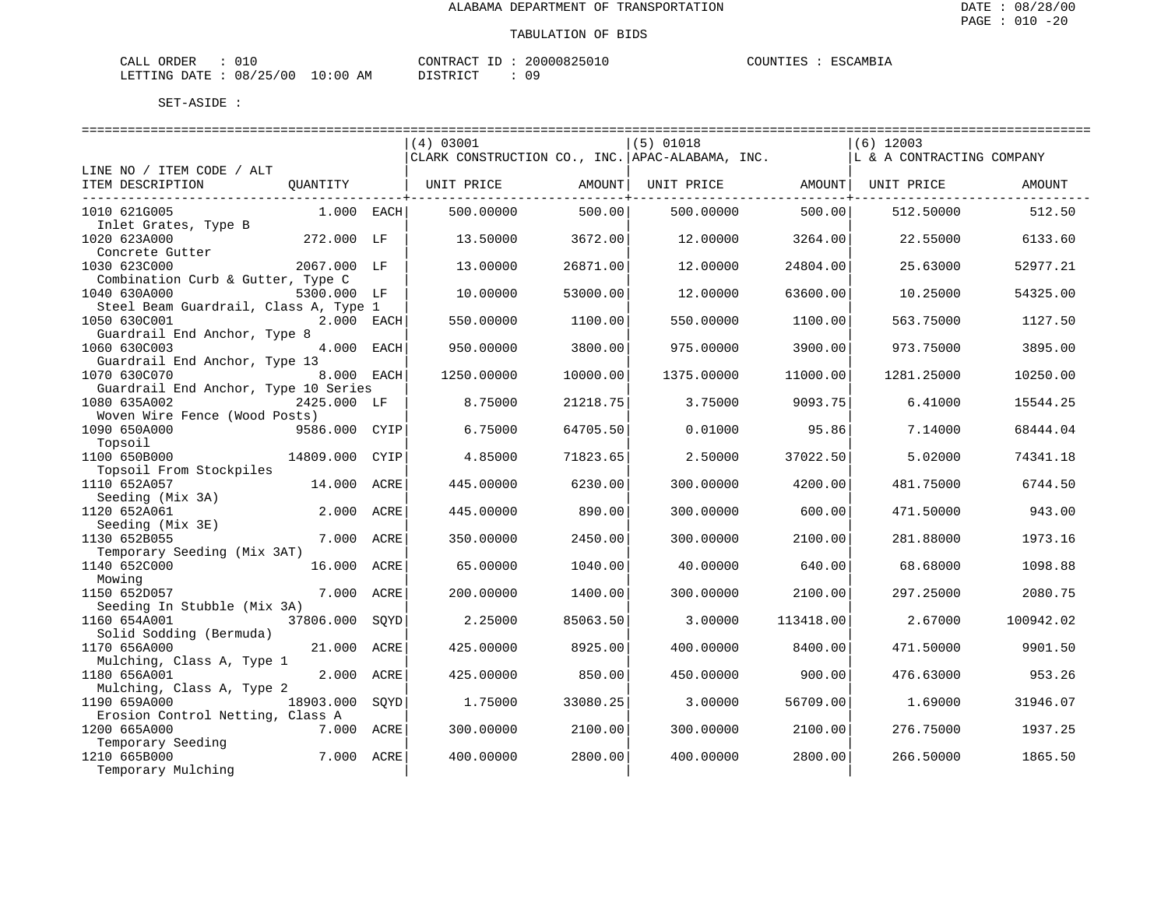| L ORDER<br>CALL                 |  |  | CONTRACT ID | 20000825010 | COUNTIES | : ESCAMBIA |
|---------------------------------|--|--|-------------|-------------|----------|------------|
| LETTING DATE: 08/25/00 10:00 AM |  |  | DISTRICT    | 09          |          |            |

|                                       |               |      | (4) 03001                                       |          | $(5)$ 01018 |           | $(6)$ 12003               |           |
|---------------------------------------|---------------|------|-------------------------------------------------|----------|-------------|-----------|---------------------------|-----------|
|                                       |               |      | CLARK CONSTRUCTION CO., INC. APAC-ALABAMA, INC. |          |             |           | L & A CONTRACTING COMPANY |           |
| LINE NO / ITEM CODE / ALT             |               |      |                                                 |          |             |           |                           |           |
| ITEM DESCRIPTION                      | OUANTITY      |      | UNIT PRICE                                      | AMOUNT   | UNIT PRICE  |           | AMOUNT   UNIT PRICE       | AMOUNT    |
|                                       |               |      |                                                 |          |             |           |                           |           |
| 1010 621G005                          | 1.000 EACH    |      | 500.00000                                       | 500.00   | 500,00000   | 500.00    | 512.50000                 | 512.50    |
| Inlet Grates, Type B                  |               |      |                                                 |          |             |           |                           |           |
| 1020 623A000                          | 272.000 LF    |      | 13.50000                                        | 3672.00  | 12,00000    | 3264.00   | 22.55000                  | 6133.60   |
| Concrete Gutter                       |               |      |                                                 |          |             |           |                           |           |
| 1030 623C000                          | 2067.000 LF   |      | 13,00000                                        | 26871.00 | 12.00000    | 24804.00  | 25.63000                  | 52977.21  |
| Combination Curb & Gutter, Type C     |               |      |                                                 |          |             |           |                           |           |
| 1040 630A000                          | 5300.000 LF   |      | 10.00000                                        | 53000.00 | 12.00000    | 63600.00  | 10.25000                  | 54325.00  |
| Steel Beam Guardrail, Class A, Type 1 |               |      |                                                 |          |             |           |                           |           |
| 1050 630C001                          | 2.000 EACH    |      | 550.00000                                       | 1100.00  | 550.00000   | 1100.00   | 563.75000                 | 1127.50   |
| Guardrail End Anchor, Type 8          |               |      |                                                 |          |             |           |                           |           |
| 1060 630C003                          | 4.000 EACH    |      | 950.00000                                       | 3800.00  | 975.00000   | 3900.00   | 973.75000                 | 3895.00   |
| Guardrail End Anchor, Type 13         |               |      |                                                 |          |             |           |                           |           |
| 1070 630C070                          | 8.000 EACH    |      | 1250.00000                                      | 10000.00 | 1375.00000  | 11000.00  | 1281.25000                | 10250.00  |
| Guardrail End Anchor, Type 10 Series  |               |      |                                                 |          |             |           |                           |           |
| 1080 635A002                          | 2425.000 LF   |      | 8.75000                                         | 21218.75 | 3.75000     | 9093.75   | 6.41000                   | 15544.25  |
| Woven Wire Fence (Wood Posts)         |               |      |                                                 |          |             |           |                           |           |
| 1090 650A000                          | 9586.000 CYIP |      | 6.75000                                         | 64705.50 | 0.01000     | 95.86     | 7.14000                   | 68444.04  |
| Topsoil                               |               |      |                                                 |          |             |           |                           |           |
| 1100 650B000                          | 14809.000     | CYIP | 4.85000                                         | 71823.65 | 2.50000     | 37022.50  | 5.02000                   | 74341.18  |
| Topsoil From Stockpiles               |               |      |                                                 |          |             |           |                           |           |
| 1110 652A057                          | 14.000        | ACRE | 445.00000                                       | 6230.00  | 300.00000   | 4200.00   | 481.75000                 | 6744.50   |
| Seeding (Mix 3A)                      |               |      |                                                 |          |             |           |                           |           |
| 1120 652A061                          | 2.000         | ACRE | 445.00000                                       | 890.00   | 300.00000   | 600.00    | 471.50000                 | 943.00    |
| Seeding (Mix 3E)                      |               |      |                                                 |          |             |           |                           |           |
| 1130 652B055                          | 7.000         | ACRE | 350.00000                                       | 2450.00  | 300.00000   | 2100.00   | 281.88000                 | 1973.16   |
| Temporary Seeding (Mix 3AT)           |               |      |                                                 |          |             |           |                           |           |
| 1140 652C000                          | 16.000 ACRE   |      | 65.00000                                        | 1040.00  | 40.00000    | 640.00    | 68.68000                  | 1098.88   |
| Mowing                                |               |      |                                                 |          |             |           |                           |           |
| 1150 652D057                          | 7.000 ACRE    |      | 200,00000                                       | 1400.00  | 300.00000   | 2100.00   | 297.25000                 | 2080.75   |
| Seeding In Stubble (Mix 3A)           |               |      |                                                 |          |             |           |                           |           |
| 1160 654A001                          | 37806.000     | SOYD | 2.25000                                         | 85063.50 | 3.00000     | 113418.00 | 2.67000                   | 100942.02 |
| Solid Sodding (Bermuda)               |               |      |                                                 |          |             |           |                           |           |
| 1170 656A000                          | 21,000        | ACRE | 425.00000                                       | 8925.00  | 400.00000   | 8400.00   | 471.50000                 | 9901.50   |
| Mulching, Class A, Type 1             |               |      |                                                 |          |             |           |                           |           |
| 1180 656A001                          | 2.000 ACRE    |      | 425.00000                                       | 850.00   | 450.00000   | 900.00    | 476.63000                 | 953.26    |
| Mulching, Class A, Type 2             |               |      |                                                 |          |             |           |                           |           |
| 1190 659A000                          | 18903.000     | SOYD | 1.75000                                         | 33080.25 | 3.00000     | 56709.00  | 1.69000                   | 31946.07  |
| Erosion Control Netting, Class A      |               |      |                                                 |          |             |           |                           |           |
| 1200 665A000                          | 7.000 ACRE    |      | 300.00000                                       | 2100.00  | 300.00000   | 2100.00   | 276.75000                 | 1937.25   |
| Temporary Seeding                     |               |      |                                                 |          |             |           |                           |           |
| 1210 665B000                          | 7.000 ACRE    |      | 400.00000                                       | 2800.00  | 400.00000   | 2800.00   | 266.50000                 | 1865.50   |
| Temporary Mulching                    |               |      |                                                 |          |             |           |                           |           |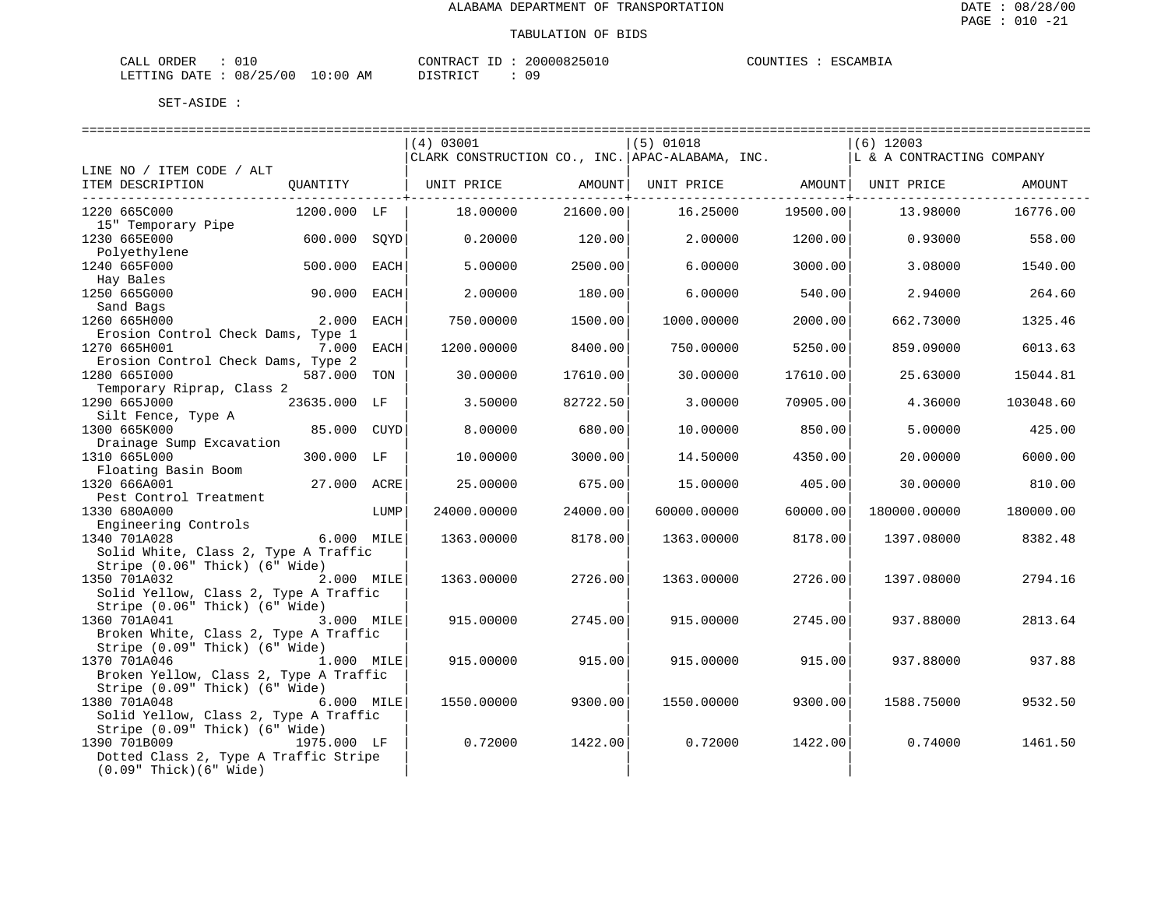| ORDER<br>CALL ( |          |            | CONTRACT ID: | 20000825010 | COUNTIES | ESCAMBIA |
|-----------------|----------|------------|--------------|-------------|----------|----------|
| LETTING DATE    | 08/25/00 | $10:00$ AM | DISTRICT     | Ωg          |          |          |

|                                          |              |      | (4) 03001                                       |          | $(5)$ 01018 |                                | $(6)$ 12003               |           |
|------------------------------------------|--------------|------|-------------------------------------------------|----------|-------------|--------------------------------|---------------------------|-----------|
|                                          |              |      | CLARK CONSTRUCTION CO., INC. APAC-ALABAMA, INC. |          |             |                                | L & A CONTRACTING COMPANY |           |
| LINE NO / ITEM CODE / ALT                |              |      |                                                 |          |             |                                |                           |           |
| ITEM DESCRIPTION                         | QUANTITY     |      | UNIT PRICE                                      | AMOUNT   |             | UNIT PRICE AMOUNT   UNIT PRICE |                           | AMOUNT    |
|                                          |              |      |                                                 |          |             | -----------------------        |                           |           |
| 1220 665C000                             | 1200.000 LF  |      | 18,00000                                        | 21600.00 | 16.25000    | 19500.00                       | 13.98000                  | 16776.00  |
| 15" Temporary Pipe                       |              |      |                                                 |          |             |                                |                           |           |
| 1230 665E000                             | 600.000      | SOYD | 0.20000                                         | 120.00   | 2.00000     | 1200.00                        | 0.93000                   | 558.00    |
| Polyethylene                             |              |      |                                                 |          |             |                                |                           |           |
| 1240 665F000                             | 500.000      | EACH | 5.00000                                         | 2500.00  | 6.00000     | 3000.00                        | 3.08000                   | 1540.00   |
| Hay Bales                                |              |      |                                                 |          |             |                                |                           |           |
| 1250 665G000                             | 90.000       | EACH | 2.00000                                         | 180.00   | 6.00000     | 540.00                         | 2.94000                   | 264.60    |
| Sand Bags                                |              |      |                                                 |          |             |                                |                           |           |
| 1260 665H000                             | 2.000        | EACH | 750.00000                                       | 1500.00  | 1000.00000  | 2000.00                        | 662.73000                 | 1325.46   |
| Erosion Control Check Dams, Type 1       |              |      |                                                 |          |             |                                |                           |           |
| 1270 665H001                             | 7.000        | EACH | 1200.00000                                      | 8400.00  | 750.00000   | 5250.00                        | 859.09000                 | 6013.63   |
| Erosion Control Check Dams, Type 2       |              |      |                                                 |          |             |                                |                           |           |
| 1280 6651000                             | 587.000      | TON  | 30.00000                                        | 17610.00 | 30.00000    | 17610.00                       | 25.63000                  | 15044.81  |
| Temporary Riprap, Class 2                |              |      |                                                 |          |             |                                |                           |           |
| 1290 665J000                             | 23635.000 LF |      | 3.50000                                         | 82722.50 | 3.00000     | 70905.00                       | 4.36000                   | 103048.60 |
| Silt Fence, Type A                       |              |      |                                                 |          |             |                                |                           |           |
| 1300 665K000                             | 85.000 CUYD  |      | 8,00000                                         | 680.00   | 10.00000    | 850.00                         | 5.00000                   | 425.00    |
|                                          |              |      |                                                 |          |             |                                |                           |           |
| Drainage Sump Excavation<br>1310 665L000 | 300.000 LF   |      | 10.00000                                        | 3000.00  | 14.50000    | 4350.00                        | 20.00000                  | 6000.00   |
| Floating Basin Boom                      |              |      |                                                 |          |             |                                |                           |           |
| 1320 666A001                             | 27.000 ACRE  |      | 25.00000                                        | 675.00   | 15.00000    | 405.00                         | 30.00000                  | 810.00    |
|                                          |              |      |                                                 |          |             |                                |                           |           |
| Pest Control Treatment<br>1330 680A000   |              |      | 24000.00000                                     | 24000.00 | 60000.00000 | 60000.00                       | 180000.00000              | 180000.00 |
|                                          |              | LUMP |                                                 |          |             |                                |                           |           |
| Engineering Controls                     |              |      |                                                 |          |             |                                |                           | 8382.48   |
| 1340 701A028                             | 6.000 MILE   |      | 1363.00000                                      | 8178.00  | 1363.00000  | 8178.00                        | 1397.08000                |           |
| Solid White, Class 2, Type A Traffic     |              |      |                                                 |          |             |                                |                           |           |
| Stripe (0.06" Thick) (6" Wide)           |              |      |                                                 |          |             |                                |                           |           |
| 1350 701A032                             | 2.000 MILE   |      | 1363.00000                                      | 2726.00  | 1363.00000  | 2726.00                        | 1397.08000                | 2794.16   |
| Solid Yellow, Class 2, Type A Traffic    |              |      |                                                 |          |             |                                |                           |           |
| Stripe (0.06" Thick) (6" Wide)           |              |      |                                                 |          |             |                                |                           |           |
| 1360 701A041                             | 3.000 MILE   |      | 915,00000                                       | 2745.00  | 915,00000   | 2745.00                        | 937.88000                 | 2813.64   |
| Broken White, Class 2, Type A Traffic    |              |      |                                                 |          |             |                                |                           |           |
| Stripe (0.09" Thick) (6" Wide)           |              |      |                                                 |          |             |                                |                           |           |
| 1370 701A046                             | 1.000 MILE   |      | 915.00000                                       | 915.00   | 915.00000   | 915.00                         | 937.88000                 | 937.88    |
| Broken Yellow, Class 2, Type A Traffic   |              |      |                                                 |          |             |                                |                           |           |
| Stripe (0.09" Thick) (6" Wide)           |              |      |                                                 |          |             |                                |                           |           |
| 1380 701A048                             | 6.000 MILE   |      | 1550.00000                                      | 9300.00  | 1550.00000  | 9300.00                        | 1588.75000                | 9532.50   |
| Solid Yellow, Class 2, Type A Traffic    |              |      |                                                 |          |             |                                |                           |           |
| Stripe (0.09" Thick) (6" Wide)           |              |      |                                                 |          |             |                                |                           |           |
| 1390 701B009                             | 1975.000 LF  |      | 0.72000                                         | 1422.00  | 0.72000     | 1422.00                        | 0.74000                   | 1461.50   |
| Dotted Class 2, Type A Traffic Stripe    |              |      |                                                 |          |             |                                |                           |           |
| $(0.09"$ Thick $)(6"$ Wide)              |              |      |                                                 |          |             |                                |                           |           |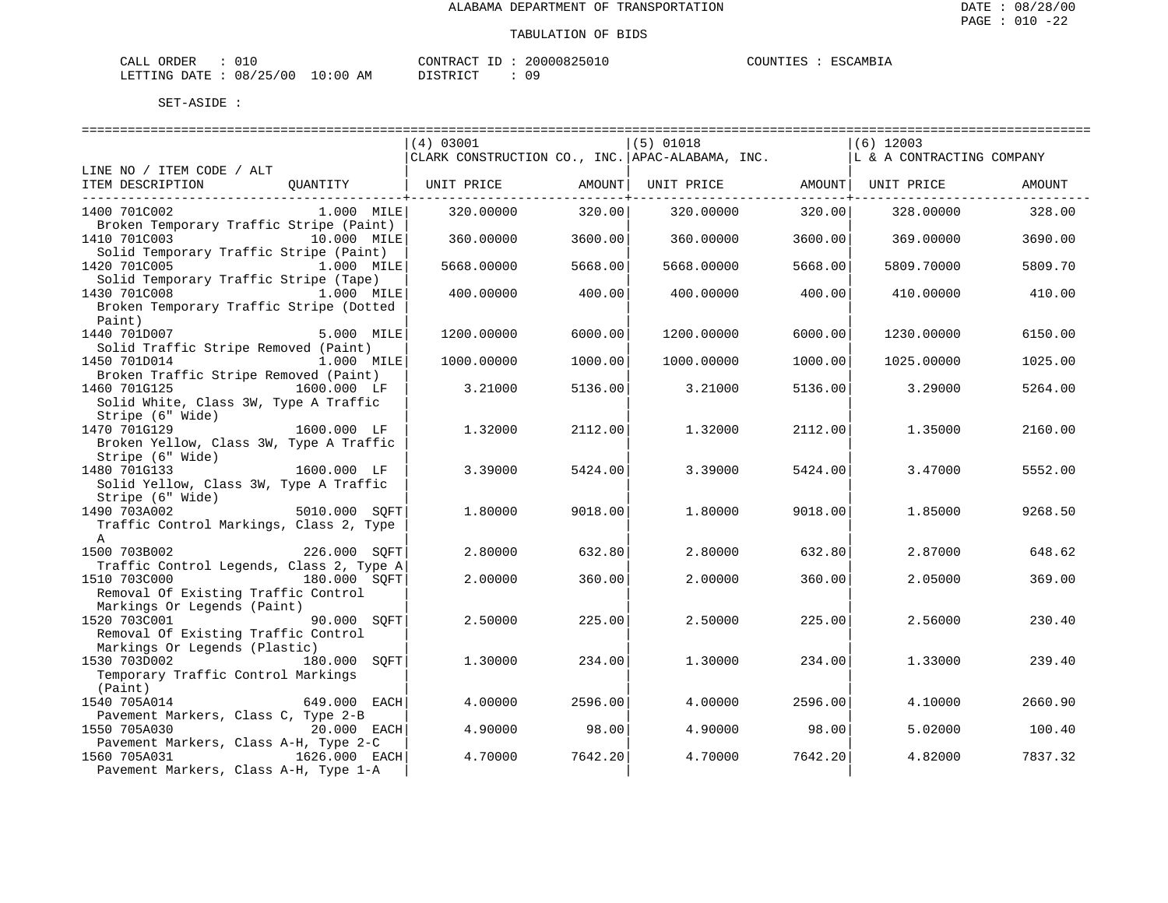| L ORDER<br>CALL                 |  |  | CONTRACT ID |  | 20000825010 | COUNTIES | ESCAMBIA |
|---------------------------------|--|--|-------------|--|-------------|----------|----------|
| LETTING DATE: 08/25/00 10:00 AM |  |  | DISTRICT    |  | 09          |          |          |

|                                                                    | (4) 03001                                       | $(5)$ 01018           | $(6)$ 12003                   |
|--------------------------------------------------------------------|-------------------------------------------------|-----------------------|-------------------------------|
|                                                                    | CLARK CONSTRUCTION CO., INC. APAC-ALABAMA, INC. |                       | L & A CONTRACTING COMPANY     |
| LINE NO / ITEM CODE / ALT                                          |                                                 |                       |                               |
| QUANTITY<br>ITEM DESCRIPTION                                       | UNIT PRICE                                      | AMOUNT  UNIT PRICE    | AMOUNT   UNIT PRICE<br>AMOUNT |
|                                                                    |                                                 |                       |                               |
| 1400 701C002<br>1.000 MILE                                         | 320.00000<br>320.00                             | 320.00000<br>320.00   | 328.00<br>328.00000           |
| Broken Temporary Traffic Stripe (Paint)                            |                                                 |                       |                               |
| 1410 701C003<br>10.000 MILE                                        | 360.00000<br>3600.00                            | 3600.00<br>360.00000  | 369.00000<br>3690.00          |
| Solid Temporary Traffic Stripe (Paint)                             |                                                 |                       |                               |
| 1420 701C005<br>1.000 MILE                                         | 5668.00000<br>5668.00                           | 5668.00000<br>5668.00 | 5809.70000<br>5809.70         |
| Solid Temporary Traffic Stripe (Tape)                              |                                                 |                       |                               |
| 1430 701C008<br>1.000 MILE                                         | 400.00<br>400.00000                             | 400.00<br>400.00000   | 410.00<br>410.00000           |
| Broken Temporary Traffic Stripe (Dotted                            |                                                 |                       |                               |
| Paint)                                                             |                                                 |                       |                               |
| 1440 701D007<br>5.000 MILE                                         | 6000.00<br>1200.00000                           | 1200.00000<br>6000.00 | 6150.00<br>1230.00000         |
| Solid Traffic Stripe Removed (Paint)                               |                                                 |                       |                               |
| 1450 701D014<br>$1.000$ MILE                                       | 1000.00<br>1000.00000                           | 1000.00000<br>1000.00 | 1025.00<br>1025.00000         |
| Broken Traffic Stripe Removed (Paint)                              |                                                 |                       |                               |
| 1460 701G125<br>1600.000 LF                                        | 3.21000<br>5136.00                              | 3.21000<br>5136.00    | 3.29000<br>5264.00            |
| Solid White, Class 3W, Type A Traffic                              |                                                 |                       |                               |
| Stripe (6" Wide)                                                   |                                                 |                       |                               |
| 1470 701G129<br>1600.000 LF                                        | 2112.00<br>1,32000                              | 1.32000<br>2112.00    | 2160.00<br>1.35000            |
| Broken Yellow, Class 3W, Type A Traffic                            |                                                 |                       |                               |
| Stripe (6" Wide)                                                   |                                                 |                       |                               |
| 1480 701G133<br>1600.000 LF                                        | 3.39000<br>5424.00                              | 3.39000<br>5424.00    | 3.47000<br>5552.00            |
| Solid Yellow, Class 3W, Type A Traffic                             |                                                 |                       |                               |
| Stripe (6" Wide)                                                   |                                                 |                       |                               |
| ,<br>5010.000 SQFT<br>1490 703A002                                 | 1,80000<br>9018.00                              | 1,80000<br>9018.00    | 9268.50<br>1.85000            |
| Traffic Control Markings, Class 2, Type                            |                                                 |                       |                               |
| $\mathbb{A}$                                                       |                                                 |                       |                               |
| 1500 703B002<br>226.000 SOFT                                       | 632.80<br>2.80000                               | 2.80000<br>632.80     | 648.62<br>2.87000             |
| Traffic Control Legends, Class 2, Type A                           |                                                 |                       |                               |
| 1510 703C000<br>180.000 SQFT                                       | 2,00000<br>360.00                               | 2,00000<br>360.00     | 2.05000<br>369.00             |
| Removal Of Existing Traffic Control<br>Markings Or Legends (Paint) |                                                 |                       |                               |
| 1520 703C001<br>90.000 SOFT                                        | 2.50000<br>225.00                               | 2.50000<br>225.00     | 230.40<br>2.56000             |
| Removal Of Existing Traffic Control                                |                                                 |                       |                               |
| Markings Or Legends (Plastic)                                      |                                                 |                       |                               |
| 1530 703D002<br>180.000<br>SOFT                                    | 1,30000<br>234.00                               | 234.00<br>1,30000     | 1.33000<br>239.40             |
| Temporary Traffic Control Markings                                 |                                                 |                       |                               |
| (Paint)                                                            |                                                 |                       |                               |
| 1540 705A014<br>649.000 EACH                                       | 2596.00<br>4.00000                              | 4.00000<br>2596.00    | 4.10000<br>2660.90            |
| Pavement Markers, Class C, Type 2-B                                |                                                 |                       |                               |
| 1550 705A030<br>20.000 EACH                                        | 98.00<br>4.90000                                | 98.00<br>4.90000      | 5.02000<br>100.40             |
| Pavement Markers, Class A-H, Type 2-C                              |                                                 |                       |                               |
| 1560 705A031<br>1626.000 EACH                                      | 4.70000<br>7642.20                              | 7642.20<br>4.70000    | 4.82000<br>7837.32            |
| Pavement Markers, Class A-H, Type 1-A                              |                                                 |                       |                               |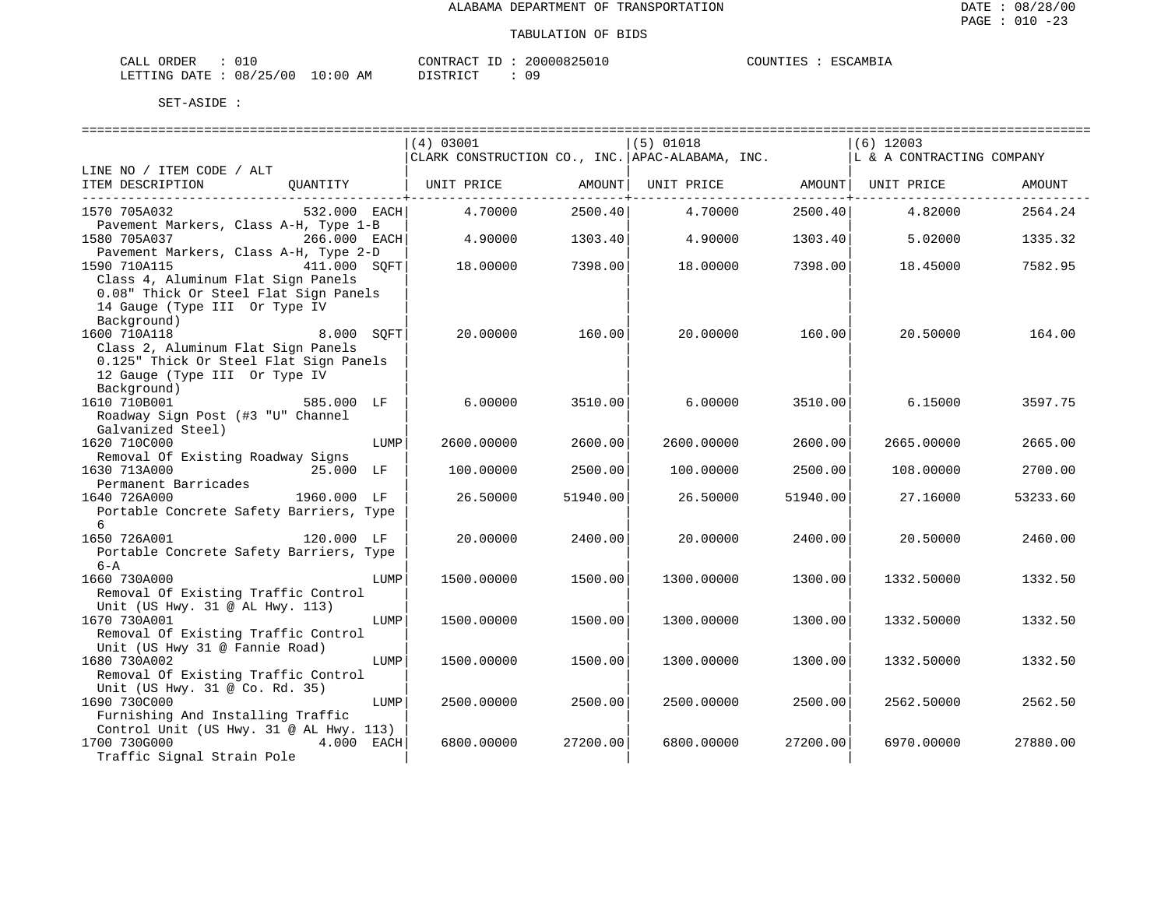| L ORDER<br>CALL                 |  |  | CONTRACT ID |  | 20000825010 | COUNTIES | ESCAMBIA |
|---------------------------------|--|--|-------------|--|-------------|----------|----------|
| LETTING DATE: 08/25/00 10:00 AM |  |  | DISTRICT    |  | 09          |          |          |

|                                                                       | (4) 03001                                       |          | $(5)$ 01018 |          | $(6)$ 12003               |          |
|-----------------------------------------------------------------------|-------------------------------------------------|----------|-------------|----------|---------------------------|----------|
|                                                                       | CLARK CONSTRUCTION CO., INC. APAC-ALABAMA, INC. |          |             |          | L & A CONTRACTING COMPANY |          |
| LINE NO / ITEM CODE / ALT                                             |                                                 |          |             |          |                           |          |
| ITEM DESCRIPTION<br>OUANTITY                                          | UNIT PRICE                                      | AMOUNT   | UNIT PRICE  |          | AMOUNT  UNIT PRICE        | AMOUNT   |
|                                                                       |                                                 |          |             |          |                           |          |
| 1570 705A032<br>532.000 EACH                                          | 4.70000                                         | 2500.40  | 4.70000     | 2500.40  | 4.82000                   | 2564.24  |
| Pavement Markers, Class A-H, Type 1-B                                 |                                                 |          |             |          |                           |          |
| 1580 705A037<br>266.000 EACH                                          | 4.90000                                         | 1303.40  | 4.90000     | 1303.40  | 5.02000                   | 1335.32  |
| Pavement Markers, Class A-H, Type 2-D                                 |                                                 |          |             |          |                           |          |
| 1590 710A115<br>411.000 SOFT                                          | 18.00000                                        | 7398.00  | 18.00000    | 7398.00  | 18.45000                  | 7582.95  |
| Class 4, Aluminum Flat Sign Panels                                    |                                                 |          |             |          |                           |          |
| 0.08" Thick Or Steel Flat Sign Panels                                 |                                                 |          |             |          |                           |          |
| 14 Gauge (Type III Or Type IV<br>Background)                          |                                                 |          |             |          |                           |          |
| 1600 710A118<br>8.000 SOFT                                            | 20.00000                                        | 160.00   | 20.00000    | 160.00   | 20.50000                  | 164.00   |
| Class 2, Aluminum Flat Sign Panels                                    |                                                 |          |             |          |                           |          |
| 0.125" Thick Or Steel Flat Sign Panels                                |                                                 |          |             |          |                           |          |
| 12 Gauge (Type III Or Type IV                                         |                                                 |          |             |          |                           |          |
| Background)                                                           |                                                 |          |             |          |                           |          |
| 1610 710B001<br>585.000 LF                                            | 6.00000                                         | 3510.00  | 6.00000     | 3510.00  | 6.15000                   | 3597.75  |
| Roadway Sign Post (#3 "U" Channel                                     |                                                 |          |             |          |                           |          |
| Galvanized Steel)                                                     |                                                 |          |             |          |                           |          |
| 1620 710C000<br>LUMP                                                  | 2600.00000                                      | 2600.00  | 2600.00000  | 2600.00  | 2665.00000                | 2665.00  |
| Removal Of Existing Roadway Signs                                     |                                                 |          |             |          |                           |          |
| 1630 713A000<br>25.000 LF                                             | 100.00000                                       | 2500.00  | 100.00000   | 2500.00  | 108.00000                 | 2700.00  |
| Permanent Barricades                                                  |                                                 |          |             |          |                           |          |
| 1640 726A000<br>1960.000 LF                                           | 26.50000                                        | 51940.00 | 26.50000    | 51940.00 | 27.16000                  | 53233.60 |
| Portable Concrete Safety Barriers, Type<br>6                          |                                                 |          |             |          |                           |          |
| 1650 726A001<br>120.000 LF                                            | 20,00000                                        | 2400.00  | 20,00000    | 2400.00  | 20.50000                  | 2460.00  |
| Portable Concrete Safety Barriers, Type                               |                                                 |          |             |          |                           |          |
| $6 - A$                                                               |                                                 |          |             |          |                           |          |
| 1660 730A000<br>LUMP                                                  | 1500.00000                                      | 1500.00  | 1300.00000  | 1300.00  | 1332.50000                | 1332.50  |
| Removal Of Existing Traffic Control                                   |                                                 |          |             |          |                           |          |
| Unit (US Hwy. 31 @ AL Hwy. 113)                                       |                                                 |          |             |          |                           |          |
| 1670 730A001<br>LUMP                                                  | 1500.00000                                      | 1500.00  | 1300.00000  | 1300.00  | 1332.50000                | 1332.50  |
| Removal Of Existing Traffic Control                                   |                                                 |          |             |          |                           |          |
| Unit (US Hwy 31 @ Fannie Road)                                        |                                                 |          |             |          |                           |          |
| 1680 730A002<br>LUMP                                                  | 1500.00000                                      | 1500.00  | 1300.00000  | 1300.00  | 1332.50000                | 1332.50  |
| Removal Of Existing Traffic Control                                   |                                                 |          |             |          |                           |          |
| Unit (US Hwy. 31 @ Co. Rd. 35)                                        |                                                 |          |             |          |                           |          |
| 1690 730C000<br>LUMP                                                  | 2500.00000                                      | 2500.00  | 2500.00000  | 2500.00  | 2562.50000                | 2562.50  |
| Furnishing And Installing Traffic                                     |                                                 |          |             |          |                           |          |
| Control Unit (US Hwy. 31 @ AL Hwy. 113)<br>1700 730G000<br>4.000 EACH | 6800,00000                                      | 27200.00 | 6800,00000  | 27200.00 | 6970.00000                | 27880.00 |
| Traffic Signal Strain Pole                                            |                                                 |          |             |          |                           |          |
|                                                                       |                                                 |          |             |          |                           |          |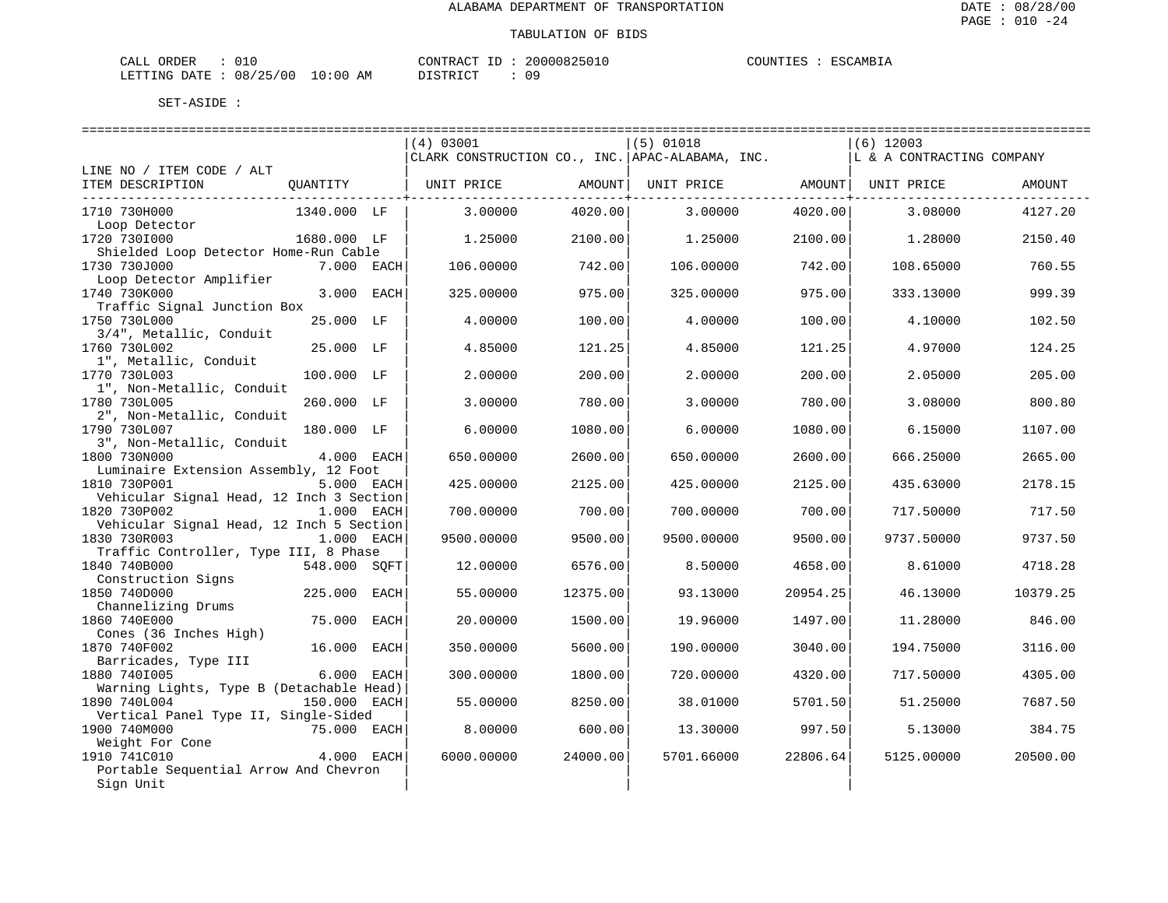| CALL ORDER                       |  |  |          |  | CONTRACT ID: 20000825010 | COUNTIES : ESCAMBIA |  |
|----------------------------------|--|--|----------|--|--------------------------|---------------------|--|
| LETTING DATE : 08/25/00 10:00 AM |  |  | DISTRICT |  | 09                       |                     |  |

| ========================                    |              |      |                                                 |          |             |          |                           |          |
|---------------------------------------------|--------------|------|-------------------------------------------------|----------|-------------|----------|---------------------------|----------|
|                                             |              |      | (4) 03001                                       |          | $(5)$ 01018 |          | $(6)$ 12003               |          |
|                                             |              |      | CLARK CONSTRUCTION CO., INC. APAC-ALABAMA, INC. |          |             |          | L & A CONTRACTING COMPANY |          |
| LINE NO / ITEM CODE / ALT                   |              |      |                                                 |          |             |          |                           |          |
| ITEM DESCRIPTION                            | QUANTITY     |      | UNIT PRICE                                      | AMOUNT   | UNIT PRICE  |          | AMOUNT  UNIT PRICE        | AMOUNT   |
| ____________________________                |              |      |                                                 |          |             |          |                           |          |
| 1710 730H000                                | 1340.000 LF  |      | 3.00000                                         | 4020.00  | 3.00000     | 4020.00  | 3.08000                   | 4127.20  |
| Loop Detector                               |              |      |                                                 |          |             |          |                           |          |
| 1720 7301000                                | 1680.000 LF  |      | 1.25000                                         | 2100.00  | 1,25000     | 2100.00  | 1.28000                   | 2150.40  |
| Shielded Loop Detector Home-Run Cable       |              |      |                                                 |          |             |          |                           |          |
| 1730 730J000                                | 7.000 EACH   |      | 106.00000                                       | 742.00   | 106.00000   | 742.00   | 108.65000                 | 760.55   |
| Loop Detector Amplifier                     |              |      |                                                 |          |             |          |                           |          |
| 1740 730K000<br>Traffic Signal Junction Box | 3.000 EACH   |      | 325.00000                                       | 975.00   | 325.00000   | 975.00   | 333.13000                 | 999.39   |
| 1750 730L000                                | 25.000 LF    |      | 4.00000                                         | 100.00   | 4.00000     | 100.00   | 4.10000                   | 102.50   |
| 3/4", Metallic, Conduit                     |              |      |                                                 |          |             |          |                           |          |
| 1760 730L002                                | 25.000 LF    |      | 4.85000                                         | 121.25   | 4.85000     | 121.25   | 4.97000                   | 124.25   |
| 1", Metallic, Conduit                       |              |      |                                                 |          |             |          |                           |          |
| 1770 730L003                                | 100.000 LF   |      | 2.00000                                         | 200.00   | 2.00000     | 200.00   | 2.05000                   | 205.00   |
| 1", Non-Metallic, Conduit                   |              |      |                                                 |          |             |          |                           |          |
| 1780 730L005                                | 260.000 LF   |      | 3.00000                                         | 780.00   | 3.00000     | 780.00   | 3.08000                   | 800.80   |
| 2", Non-Metallic, Conduit                   |              |      |                                                 |          |             |          |                           |          |
| 1790 730L007                                | 180.000 LF   |      | 6.00000                                         | 1080.00  | 6.00000     | 1080.00  | 6.15000                   | 1107.00  |
| 3", Non-Metallic, Conduit                   |              |      |                                                 |          |             |          |                           |          |
| 1800 730N000                                | 4.000 EACH   |      | 650.00000                                       | 2600.00  | 650.00000   | 2600.00  | 666.25000                 | 2665.00  |
| Luminaire Extension Assembly, 12 Foot       |              |      |                                                 |          |             |          |                           |          |
| 1810 730P001                                | 5.000 EACH   |      | 425.00000                                       | 2125.00  | 425.00000   | 2125.00  | 435.63000                 | 2178.15  |
| Vehicular Signal Head, 12 Inch 3 Section    |              |      |                                                 |          |             |          |                           |          |
| 1820 730P002                                | 1.000 EACH   |      | 700.00000                                       | 700.00   | 700.00000   | 700.00   | 717.50000                 | 717.50   |
| Vehicular Signal Head, 12 Inch 5 Section    |              |      |                                                 |          |             |          |                           |          |
| 1830 730R003                                | 1.000 EACH   |      | 9500.00000                                      | 9500.00  | 9500.00000  | 9500.00  | 9737.50000                | 9737.50  |
| Traffic Controller, Type III, 8 Phase       |              |      |                                                 |          |             |          |                           |          |
| 1840 740B000                                | 548.000 SOFT |      | 12.00000                                        | 6576.00  | 8.50000     | 4658.00  | 8.61000                   | 4718.28  |
| Construction Signs<br>1850 740D000          | 225.000      | EACH | 55.00000                                        | 12375.00 | 93.13000    | 20954.25 | 46.13000                  | 10379.25 |
| Channelizing Drums                          |              |      |                                                 |          |             |          |                           |          |
| 1860 740E000                                | 75.000       | EACH | 20.00000                                        | 1500.00  | 19.96000    | 1497.00  | 11,28000                  | 846.00   |
| Cones (36 Inches High)                      |              |      |                                                 |          |             |          |                           |          |
| 1870 740F002                                | 16.000       | EACH | 350.00000                                       | 5600.00  | 190.00000   | 3040.00  | 194.75000                 | 3116.00  |
| Barricades, Type III                        |              |      |                                                 |          |             |          |                           |          |
| 1880 7401005                                | 6.000        | EACH | 300.00000                                       | 1800.00  | 720.00000   | 4320.00  | 717.50000                 | 4305.00  |
| Warning Lights, Type B (Detachable Head)    |              |      |                                                 |          |             |          |                           |          |
| 1890 740L004                                | 150.000 EACH |      | 55.00000                                        | 8250.00  | 38.01000    | 5701.50  | 51.25000                  | 7687.50  |
| Vertical Panel Type II, Single-Sided        |              |      |                                                 |          |             |          |                           |          |
| 1900 740M000                                | 75.000 EACH  |      | 8.00000                                         | 600.00   | 13.30000    | 997.50   | 5.13000                   | 384.75   |
| Weight For Cone                             |              |      |                                                 |          |             |          |                           |          |
| 1910 741C010                                | 4.000 EACH   |      | 6000.00000                                      | 24000.00 | 5701.66000  | 22806.64 | 5125.00000                | 20500.00 |
| Portable Sequential Arrow And Chevron       |              |      |                                                 |          |             |          |                           |          |
| Sign Unit                                   |              |      |                                                 |          |             |          |                           |          |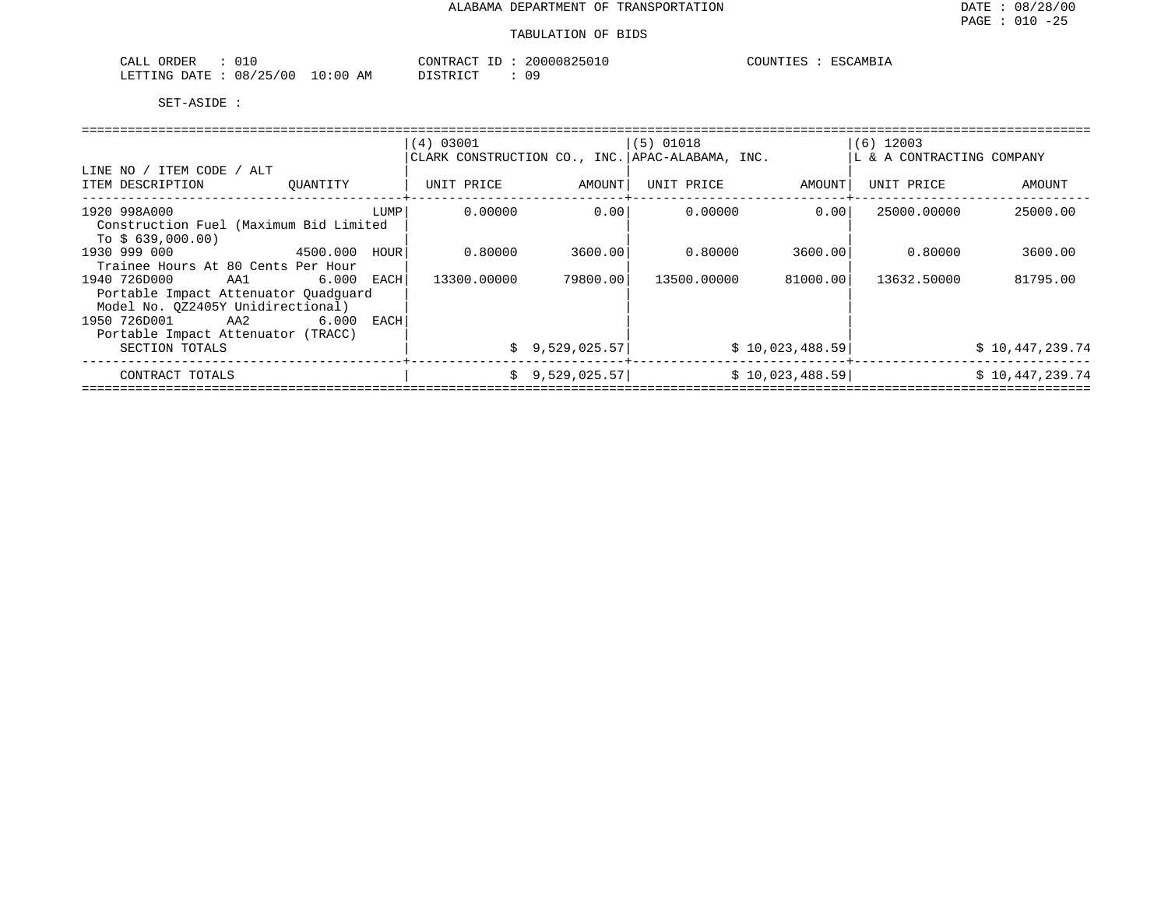| ORDER<br>CALL | 010                    | CONTRACT ID | 20000825010 | COUNTIES<br>ESCAMBIA |
|---------------|------------------------|-------------|-------------|----------------------|
| LETTING DATE  | $10:00$ AM<br>08/25/00 | DISTRICT    | 09          |                      |

|                                               |          |      | (4) 03001                                       |                | (5) 01018   |                 | $(6)$ 12003                |                 |  |
|-----------------------------------------------|----------|------|-------------------------------------------------|----------------|-------------|-----------------|----------------------------|-----------------|--|
|                                               |          |      | CLARK CONSTRUCTION CO., INC. APAC-ALABAMA, INC. |                |             |                 | LL & A CONTRACTING COMPANY |                 |  |
| LINE NO / ITEM CODE / ALT<br>ITEM DESCRIPTION | OUANTITY |      | UNIT PRICE                                      | AMOUNT         | UNIT PRICE  | AMOUNT          | UNIT PRICE                 | AMOUNT          |  |
| 1920 998A000                                  |          | LUMP | 0.00000                                         | 0.001          | 0.00000     | 0.001           | 25000.00000                | 25000.00        |  |
| Construction Fuel (Maximum Bid Limited        |          |      |                                                 |                |             |                 |                            |                 |  |
| To $$639,000.00)$                             |          |      |                                                 |                |             |                 |                            |                 |  |
| 1930 999 000<br>4500.000                      |          | HOUR | 0.80000                                         | 3600.001       | 0.80000     | 3600.001        | 0.80000                    | 3600.00         |  |
| Trainee Hours At 80 Cents Per Hour            |          |      |                                                 |                |             |                 |                            |                 |  |
| 1940 726D000<br>AA1 6.000 EACH                |          |      | 13300.00000                                     | 79800.001      | 13500.00000 | 81000.00        | 13632.50000                | 81795.00        |  |
| Portable Impact Attenuator Quadquard          |          |      |                                                 |                |             |                 |                            |                 |  |
| Model No. 0Z2405Y Unidirectional)             |          |      |                                                 |                |             |                 |                            |                 |  |
| 1950 726D001 AA2                              | 6.000    | EACH |                                                 |                |             |                 |                            |                 |  |
| Portable Impact Attenuator (TRACC)            |          |      |                                                 |                |             |                 |                            |                 |  |
| SECTION TOTALS                                |          |      |                                                 | \$9,529,025.57 |             | \$10,023,488.59 |                            | \$10,447,239.74 |  |
| CONTRACT TOTALS                               |          |      | S.                                              | 9,529,025.57   |             | \$10,023,488.59 |                            | \$10,447,239.74 |  |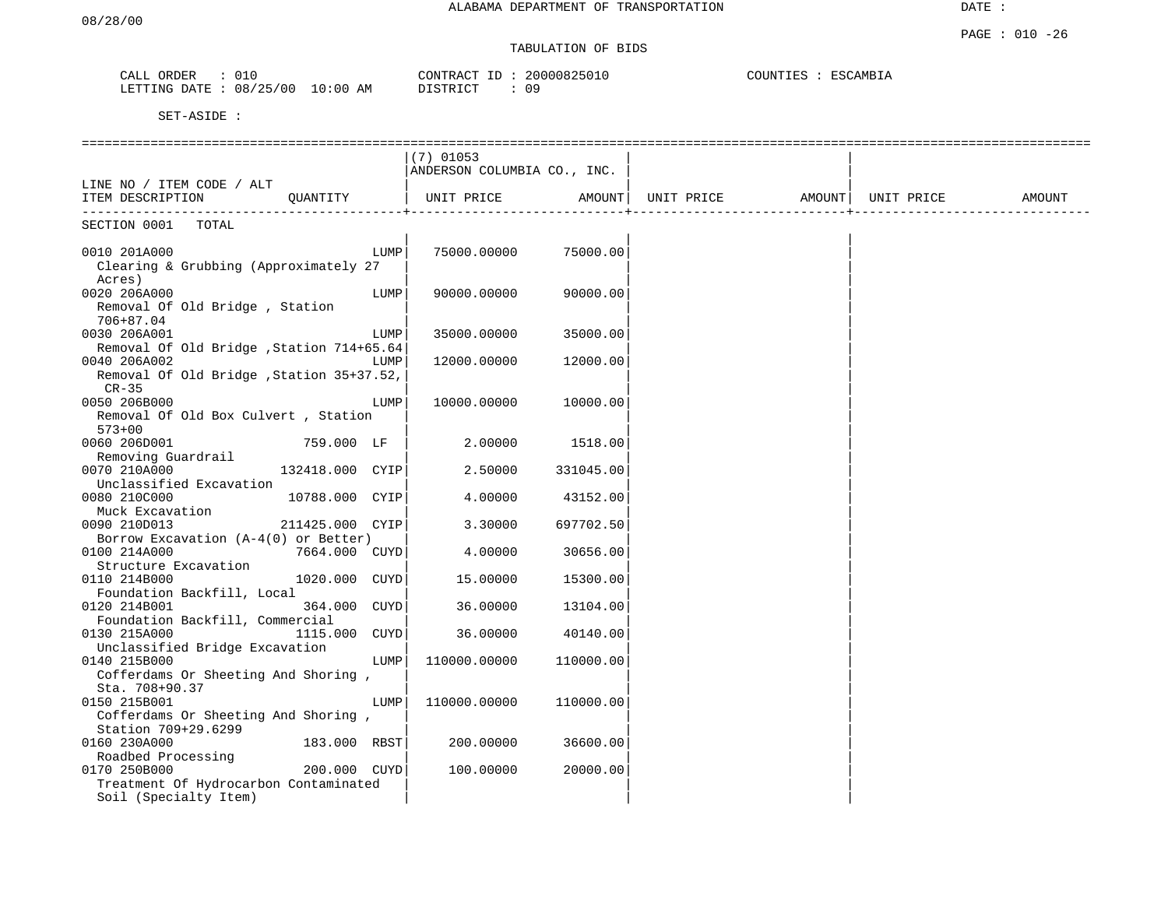# TABULATION OF BIDS

| ORDER<br>CALL | 010      |             | CONTRACT ID     | 20000825010 | COUNTIES | ESCAMBIA |
|---------------|----------|-------------|-----------------|-------------|----------|----------|
| LETTING DATE  | 08/25/00 | 10:00<br>AΜ | <b>DISTRICT</b> | 09          |          |          |

|                                          |                 |      | $(7)$ 01053                 |           |                              |  |        |
|------------------------------------------|-----------------|------|-----------------------------|-----------|------------------------------|--|--------|
|                                          |                 |      | ANDERSON COLUMBIA CO., INC. |           |                              |  |        |
| LINE NO / ITEM CODE / ALT                |                 |      |                             |           |                              |  |        |
| ITEM DESCRIPTION                         | QUANTITY        |      | UNIT PRICE                  | AMOUNT    | UNIT PRICE AMOUNT UNIT PRICE |  | AMOUNT |
| .<br>SECTION 0001<br>TOTAL               |                 |      |                             |           |                              |  |        |
|                                          |                 |      |                             |           |                              |  |        |
| 0010 201A000                             |                 | LUMP | 75000.00000                 | 75000.00  |                              |  |        |
| Clearing & Grubbing (Approximately 27    |                 |      |                             |           |                              |  |        |
| Acres)                                   |                 |      |                             |           |                              |  |        |
| 0020 206A000                             |                 | LUMP | 90000.00000                 | 90000.00  |                              |  |        |
| Removal Of Old Bridge, Station           |                 |      |                             |           |                              |  |        |
| 706+87.04                                |                 |      |                             |           |                              |  |        |
| 0030 206A001                             |                 | LUMP | 35000.00000                 | 35000.00  |                              |  |        |
| Removal Of Old Bridge, Station 714+65.64 |                 |      |                             |           |                              |  |        |
| 0040 206A002                             |                 | LUMP | 12000.00000                 | 12000.00  |                              |  |        |
| Removal Of Old Bridge, Station 35+37.52, |                 |      |                             |           |                              |  |        |
| $CR-35$                                  |                 |      |                             |           |                              |  |        |
| 0050 206B000                             |                 | LUMP | 10000.00000                 | 10000.00  |                              |  |        |
| Removal Of Old Box Culvert, Station      |                 |      |                             |           |                              |  |        |
| $573 + 00$                               |                 |      |                             |           |                              |  |        |
| 0060 206D001                             | 759.000 LF      |      | 2.00000                     | 1518.00   |                              |  |        |
| Removing Guardrail                       |                 |      |                             |           |                              |  |        |
| 0070 210A000                             | 132418.000 CYIP |      | 2.50000                     | 331045.00 |                              |  |        |
| Unclassified Excavation                  |                 |      |                             |           |                              |  |        |
| 0080 210C000                             | 10788.000 CYIP  |      | 4.00000                     | 43152.00  |                              |  |        |
| Muck Excavation                          |                 |      |                             |           |                              |  |        |
| 0090 210D013                             | 211425.000 CYIP |      | 3.30000                     | 697702.50 |                              |  |        |
| Borrow Excavation $(A-4(0))$ or Better)  |                 |      |                             |           |                              |  |        |
| 0100 214A000                             | 7664.000 CUYD   |      | 4.00000                     | 30656.00  |                              |  |        |
| Structure Excavation                     |                 |      |                             |           |                              |  |        |
| 0110 214B000                             | 1020.000 CUYD   |      | 15.00000                    | 15300.00  |                              |  |        |
| Foundation Backfill, Local               |                 |      |                             |           |                              |  |        |
| 0120 214B001                             | 364.000 CUYD    |      | 36.00000                    | 13104.00  |                              |  |        |
| Foundation Backfill, Commercial          |                 |      |                             |           |                              |  |        |
| 0130 215A000                             | 1115.000        | CUYD | 36.00000                    | 40140.00  |                              |  |        |
| Unclassified Bridge Excavation           |                 |      |                             |           |                              |  |        |
| 0140 215B000                             |                 | LUMP | 110000.00000                | 110000.00 |                              |  |        |
| Cofferdams Or Sheeting And Shoring,      |                 |      |                             |           |                              |  |        |
| Sta. 708+90.37                           |                 |      |                             |           |                              |  |        |
| 0150 215B001                             |                 | LUMP | 110000.00000                | 110000.00 |                              |  |        |
| Cofferdams Or Sheeting And Shoring,      |                 |      |                             |           |                              |  |        |
| Station 709+29.6299                      |                 |      |                             |           |                              |  |        |
| 0160 230A000                             | 183.000 RBST    |      | 200.00000                   | 36600.00  |                              |  |        |
| Roadbed Processing                       |                 |      |                             |           |                              |  |        |
| 0170 250B000                             | 200.000 CUYD    |      | 100.00000                   | 20000.00  |                              |  |        |
| Treatment Of Hydrocarbon Contaminated    |                 |      |                             |           |                              |  |        |
| Soil (Specialty Item)                    |                 |      |                             |           |                              |  |        |
|                                          |                 |      |                             |           |                              |  |        |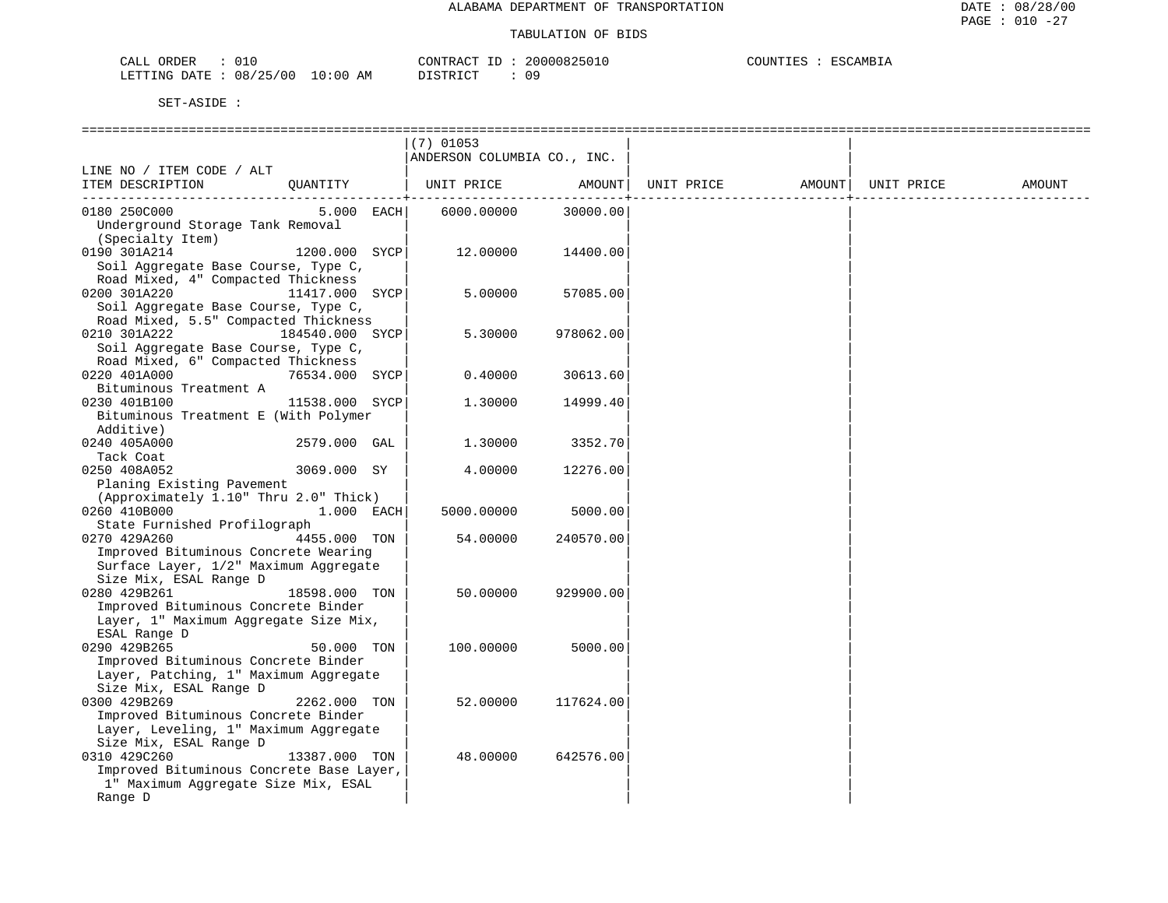| ORDER<br>CALL                          | 20000825010<br>CONTRACT ID | COUNTIES<br>ESCAMBIA |
|----------------------------------------|----------------------------|----------------------|
| : 08/25/00<br>10:00 AM<br>LETTING DATE | 09<br>ידי איד פידי פידי    |                      |

|                                                                              |                | $(7)$ 01053                 |           |  |        |
|------------------------------------------------------------------------------|----------------|-----------------------------|-----------|--|--------|
| LINE NO / ITEM CODE / ALT                                                    |                | ANDERSON COLUMBIA CO., INC. |           |  |        |
| ITEM DESCRIPTION CUANTITY   UNIT PRICE AMOUNT  UNIT PRICE AMOUNT  UNIT PRICE |                |                             |           |  | AMOUNT |
|                                                                              |                |                             |           |  |        |
| 0180 250C000                                                                 | 5.000 EACH     | 6000.00000                  | 30000.00  |  |        |
| Underground Storage Tank Removal                                             |                |                             |           |  |        |
| (Specialty Item)                                                             |                |                             |           |  |        |
| 0190 301A214                                                                 | 1200.000 SYCP  | 12.00000                    | 14400.00  |  |        |
| Soil Aggregate Base Course, Type C,                                          |                |                             |           |  |        |
| Road Mixed, 4" Compacted Thickness                                           |                |                             |           |  |        |
| 0200 301A220                                                                 | 11417.000 SYCP | 5.00000                     | 57085.00  |  |        |
| Soil Aggregate Base Course, Type C,                                          |                |                             |           |  |        |
| Road Mixed, 5.5" Compacted Thickness                                         |                |                             |           |  |        |
| 0210 301A222<br>184540.000 SYCP                                              |                | 5.30000                     | 978062.00 |  |        |
| Soil Aggregate Base Course, Type C,                                          |                |                             |           |  |        |
| Road Mixed, 6" Compacted Thickness                                           |                | 0.40000                     |           |  |        |
| 0220 401A000<br>Bituminous Treatment A                                       | 76534.000 SYCP |                             | 30613.60  |  |        |
| 11538.000 SYCP<br>0230 401B100                                               |                | 1.30000                     | 14999.40  |  |        |
| Bituminous Treatment E (With Polymer                                         |                |                             |           |  |        |
| Additive)                                                                    |                |                             |           |  |        |
| 0240 405A000                                                                 | 2579.000 GAL   | 1,30000                     | 3352.70   |  |        |
| Tack Coat                                                                    |                |                             |           |  |        |
| 0250 408A052                                                                 | 3069.000 SY    | 4.00000                     | 12276.00  |  |        |
| Planing Existing Pavement                                                    |                |                             |           |  |        |
| (Approximately 1.10" Thru 2.0" Thick)                                        |                |                             |           |  |        |
| 0260 410B000 1.000 EACH                                                      |                | 5000.00000                  | 5000.00   |  |        |
| State Furnished Profilograph                                                 |                |                             |           |  |        |
| 0270 429A260                                                                 | 4455.000 TON   | 54.00000                    | 240570.00 |  |        |
| Improved Bituminous Concrete Wearing                                         |                |                             |           |  |        |
| Surface Layer, 1/2" Maximum Aggregate                                        |                |                             |           |  |        |
| Size Mix, ESAL Range D                                                       |                |                             |           |  |        |
| 0280 429B261                                                                 | 18598.000 TON  | 50.00000                    | 929900.00 |  |        |
| Improved Bituminous Concrete Binder                                          |                |                             |           |  |        |
| Layer, 1" Maximum Aggregate Size Mix,                                        |                |                             |           |  |        |
| ESAL Range D                                                                 |                |                             |           |  |        |
| 0290 429B265                                                                 | 50.000 TON     | 100.00000                   | 5000.00   |  |        |
| Improved Bituminous Concrete Binder                                          |                |                             |           |  |        |
| Layer, Patching, 1" Maximum Aggregate<br>Size Mix, ESAL Range D              |                |                             |           |  |        |
| 0300 429B269                                                                 | 2262.000 TON   | 52.00000                    | 117624.00 |  |        |
| Improved Bituminous Concrete Binder                                          |                |                             |           |  |        |
| Layer, Leveling, 1" Maximum Aggregate                                        |                |                             |           |  |        |
| Size Mix, ESAL Range D                                                       |                |                             |           |  |        |
| 0310 429C260                                                                 | 13387.000 TON  | 48.00000                    | 642576.00 |  |        |
| Improved Bituminous Concrete Base Layer,                                     |                |                             |           |  |        |
| 1" Maximum Aggregate Size Mix, ESAL                                          |                |                             |           |  |        |
| Range D                                                                      |                |                             |           |  |        |
|                                                                              |                |                             |           |  |        |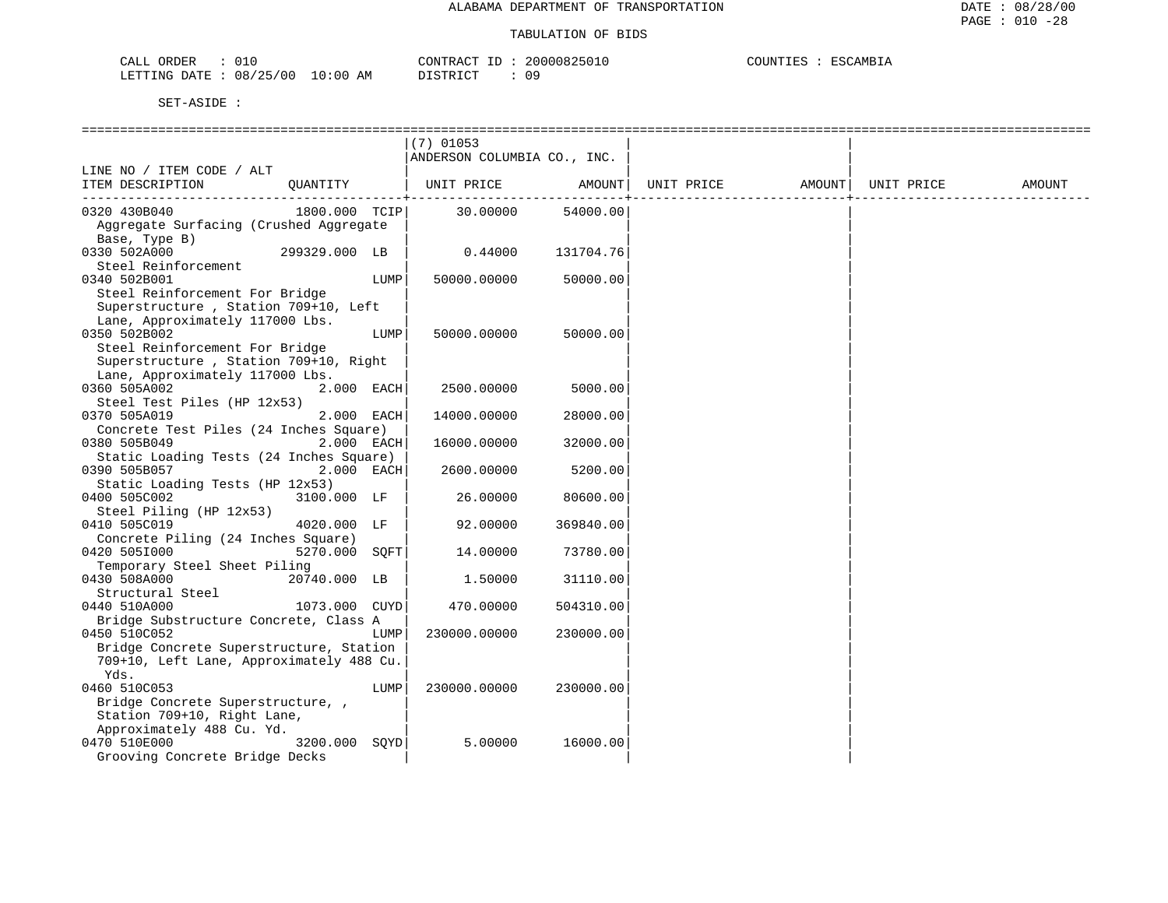| CALL ORDER              |          | CONTRACT ID | 20000825010 | COUNTIES | ESCAMBIA |
|-------------------------|----------|-------------|-------------|----------|----------|
| LETTING DATE : 08/25/00 | 10:00 AM | DISTRICT    | በ 9         |          |          |

|                                          |               |      | $(7)$ 01053                 |           |            |                    |        |
|------------------------------------------|---------------|------|-----------------------------|-----------|------------|--------------------|--------|
|                                          |               |      | ANDERSON COLUMBIA CO., INC. |           |            |                    |        |
| LINE NO / ITEM CODE / ALT                |               |      |                             |           |            |                    |        |
| ITEM DESCRIPTION                         | OUANTITY      |      | UNIT PRICE AMOUNT           |           | UNIT PRICE | AMOUNT  UNIT PRICE | AMOUNT |
|                                          |               |      |                             | .         |            |                    |        |
| 0320 430B040                             | 1800.000 TCIP |      | 30.00000                    | 54000.00  |            |                    |        |
| Aggregate Surfacing (Crushed Aggregate   |               |      |                             |           |            |                    |        |
| Base, Type B)                            |               |      |                             |           |            |                    |        |
| 0330 502A000                             | 299329.000 LB |      | 0.44000                     |           |            |                    |        |
|                                          |               |      |                             | 131704.76 |            |                    |        |
| Steel Reinforcement                      |               |      |                             |           |            |                    |        |
| 0340 502B001                             |               | LUMP | 50000.00000                 | 50000.00  |            |                    |        |
| Steel Reinforcement For Bridge           |               |      |                             |           |            |                    |        |
| Superstructure, Station 709+10, Left     |               |      |                             |           |            |                    |        |
| Lane, Approximately 117000 Lbs.          |               |      |                             |           |            |                    |        |
| 0350 502B002                             |               | LUMP | 50000.00000                 | 50000.00  |            |                    |        |
| Steel Reinforcement For Bridge           |               |      |                             |           |            |                    |        |
| Superstructure, Station 709+10, Right    |               |      |                             |           |            |                    |        |
| Lane, Approximately 117000 Lbs.          |               |      |                             |           |            |                    |        |
| 0360 505A002                             | 2.000 EACH    |      | 2500.00000                  | 5000.00   |            |                    |        |
| Steel Test Piles (HP 12x53)              |               |      |                             |           |            |                    |        |
|                                          | 2.000 EACH    |      |                             |           |            |                    |        |
| 0370 505A019                             |               |      | 14000.00000                 | 28000.00  |            |                    |        |
| Concrete Test Piles (24 Inches Square)   |               |      |                             |           |            |                    |        |
| 0380 505B049                             | 2.000 EACH    |      | 16000.00000                 | 32000.00  |            |                    |        |
| Static Loading Tests (24 Inches Square)  |               |      |                             |           |            |                    |        |
| 0390 505B057                             | 2.000 EACH    |      | 2600.00000                  | 5200.00   |            |                    |        |
| Static Loading Tests (HP 12x53)          |               |      |                             |           |            |                    |        |
| 0400 505C002                             | 3100.000 LF   |      | 26.00000                    | 80600.00  |            |                    |        |
| Steel Piling (HP 12x53)                  |               |      |                             |           |            |                    |        |
| 0410 505C019                             | 4020.000 LF   |      | 92.00000                    | 369840.00 |            |                    |        |
| Concrete Piling (24 Inches Square)       |               |      |                             |           |            |                    |        |
| 0420 5051000                             | 5270.000 SOFT |      | 14.00000                    | 73780.00  |            |                    |        |
| Temporary Steel Sheet Piling             |               |      |                             |           |            |                    |        |
| 0430 508A000                             | 20740.000 LB  |      | 1.50000                     | 31110.00  |            |                    |        |
| Structural Steel                         |               |      |                             |           |            |                    |        |
|                                          | 1073.000 CUYD |      | 470.00000                   |           |            |                    |        |
| 0440 510A000                             |               |      |                             | 504310.00 |            |                    |        |
| Bridge Substructure Concrete, Class A    |               |      |                             |           |            |                    |        |
| 0450 510C052                             |               | LUMP | 230000.00000                | 230000.00 |            |                    |        |
| Bridge Concrete Superstructure, Station  |               |      |                             |           |            |                    |        |
| 709+10, Left Lane, Approximately 488 Cu. |               |      |                             |           |            |                    |        |
| Yds.                                     |               |      |                             |           |            |                    |        |
| 0460 510C053                             |               | LUMP | 230000.00000                | 230000.00 |            |                    |        |
| Bridge Concrete Superstructure,          |               |      |                             |           |            |                    |        |
| Station 709+10, Right Lane,              |               |      |                             |           |            |                    |        |
| Approximately 488 Cu. Yd.                |               |      |                             |           |            |                    |        |
| 0470 510E000                             | 3200.000 SOYD |      | 5.00000                     | 16000.00  |            |                    |        |
| Grooving Concrete Bridge Decks           |               |      |                             |           |            |                    |        |
|                                          |               |      |                             |           |            |                    |        |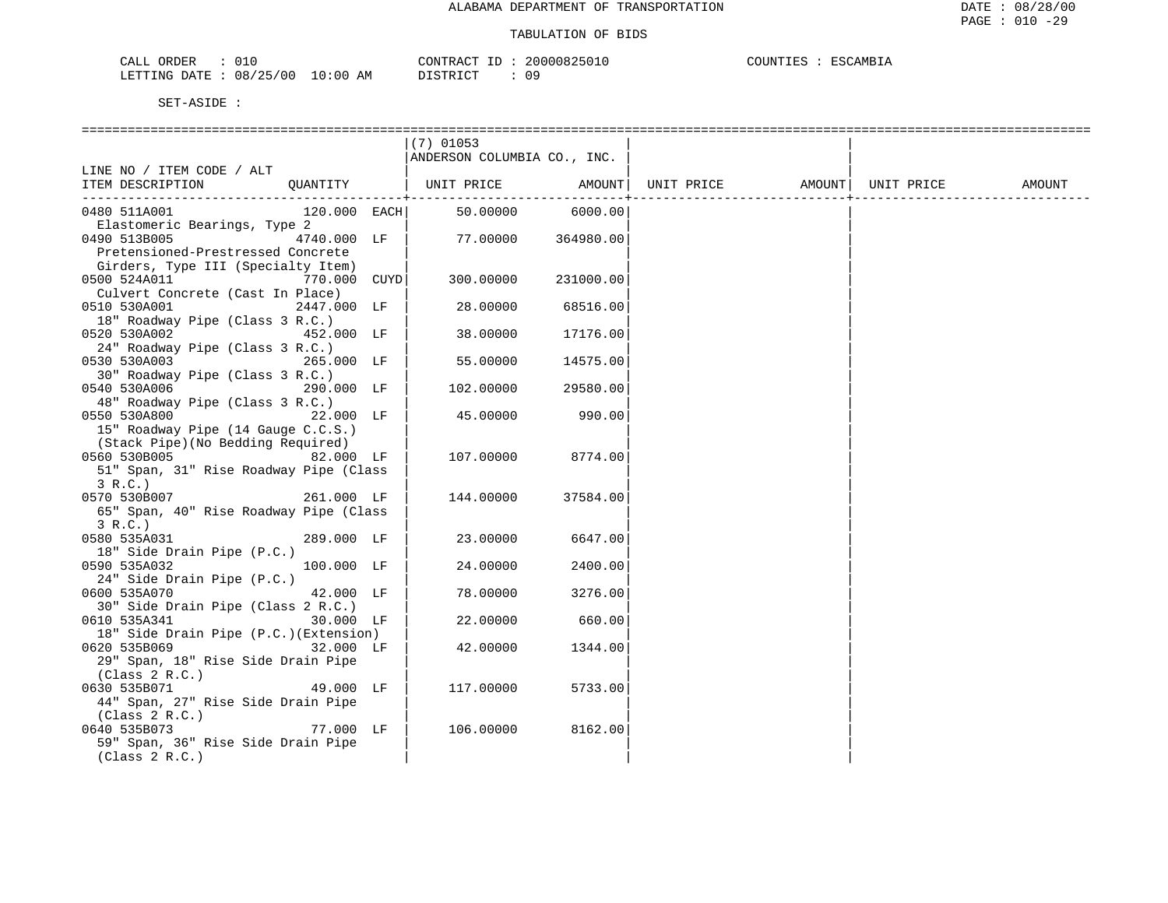| CALL<br>ORDER |          |             | CONTRACT      | 20000825010 | COUNTIES | ESCAMBIA |
|---------------|----------|-------------|---------------|-------------|----------|----------|
| LETTING DATE  | 08/25/00 | 10:00<br>AΜ | DISTRICT<br>. | 09          |          |          |

|                                        | $(7)$ 01053                 |           |            |        |            |        |
|----------------------------------------|-----------------------------|-----------|------------|--------|------------|--------|
|                                        | ANDERSON COLUMBIA CO., INC. |           |            |        |            |        |
| LINE NO / ITEM CODE / ALT              |                             |           |            |        |            |        |
| ITEM DESCRIPTION<br>OUANTITY           | UNIT PRICE                  | AMOUNT    | UNIT PRICE | AMOUNT | UNIT PRICE | AMOUNT |
|                                        |                             |           |            |        |            |        |
| 0480 511A001<br>120.000 EACH           | 50.00000                    | 6000.00   |            |        |            |        |
| Elastomeric Bearings, Type 2           |                             |           |            |        |            |        |
| 0490 513B005<br>4740.000 LF            | 77.00000                    | 364980.00 |            |        |            |        |
| Pretensioned-Prestressed Concrete      |                             |           |            |        |            |        |
| Girders, Type III (Specialty Item)     |                             |           |            |        |            |        |
| 0500 524A011<br>770.000 CUYD           | 300.00000                   | 231000.00 |            |        |            |        |
| Culvert Concrete (Cast In Place)       |                             |           |            |        |            |        |
| 0510 530A001<br>2447.000 LF            | 28.00000                    | 68516.00  |            |        |            |        |
| 18" Roadway Pipe (Class 3 R.C.)        |                             |           |            |        |            |        |
| 0520 530A002<br>452.000 LF             | 38.00000                    | 17176.00  |            |        |            |        |
| 24" Roadway Pipe (Class 3 R.C.)        |                             |           |            |        |            |        |
| 0530 530A003<br>265.000 LF             | 55.00000                    | 14575.00  |            |        |            |        |
| 30" Roadway Pipe (Class 3 R.C.)        |                             |           |            |        |            |        |
| 0540 530A006<br>290.000 LF             | 102.00000                   | 29580.00  |            |        |            |        |
| 48" Roadway Pipe (Class 3 R.C.)        |                             |           |            |        |            |        |
| 0550 530A800<br>22.000 LF              | 45.00000                    | 990.00    |            |        |            |        |
| 15" Roadway Pipe (14 Gauge C.C.S.)     |                             |           |            |        |            |        |
| (Stack Pipe) (No Bedding Required)     |                             |           |            |        |            |        |
| 0560 530B005<br>82.000 LF              | 107.00000                   | 8774.00   |            |        |            |        |
| 51" Span, 31" Rise Roadway Pipe (Class |                             |           |            |        |            |        |
| 3 R.C.)                                |                             |           |            |        |            |        |
| 0570 530B007<br>261.000 LF             | 144.00000                   | 37584.00  |            |        |            |        |
| 65" Span, 40" Rise Roadway Pipe (Class |                             |           |            |        |            |        |
| 3 R.C.)                                |                             |           |            |        |            |        |
| 0580 535A031<br>289.000 LF             | 23.00000                    | 6647.00   |            |        |            |        |
| 18" Side Drain Pipe (P.C.)             |                             |           |            |        |            |        |
| 0590 535A032<br>100.000 LF             | 24.00000                    | 2400.00   |            |        |            |        |
| 24" Side Drain Pipe (P.C.)             |                             |           |            |        |            |        |
| 0600 535A070<br>42.000 LF              | 78.00000                    | 3276.00   |            |        |            |        |
| 30" Side Drain Pipe (Class 2 R.C.)     |                             |           |            |        |            |        |
| 0610 535A341<br>30.000 LF              | 22.00000                    | 660.00    |            |        |            |        |
| 18" Side Drain Pipe (P.C.)(Extension)  |                             |           |            |        |            |        |
| 0620 535B069<br>32.000 LF              | 42.00000                    | 1344.00   |            |        |            |        |
| 29" Span, 18" Rise Side Drain Pipe     |                             |           |            |        |            |        |
| (Class 2 R.C.)                         |                             |           |            |        |            |        |
| 0630 535B071<br>49.000 LF              | 117.00000                   | 5733.00   |            |        |            |        |
| 44" Span, 27" Rise Side Drain Pipe     |                             |           |            |        |            |        |
| (Class 2 R.C.)                         |                             |           |            |        |            |        |
| 0640 535B073<br>77.000 LF              | 106.00000                   | 8162.00   |            |        |            |        |
| 59" Span, 36" Rise Side Drain Pipe     |                             |           |            |        |            |        |
| (Class 2 R.C.)                         |                             |           |            |        |            |        |
|                                        |                             |           |            |        |            |        |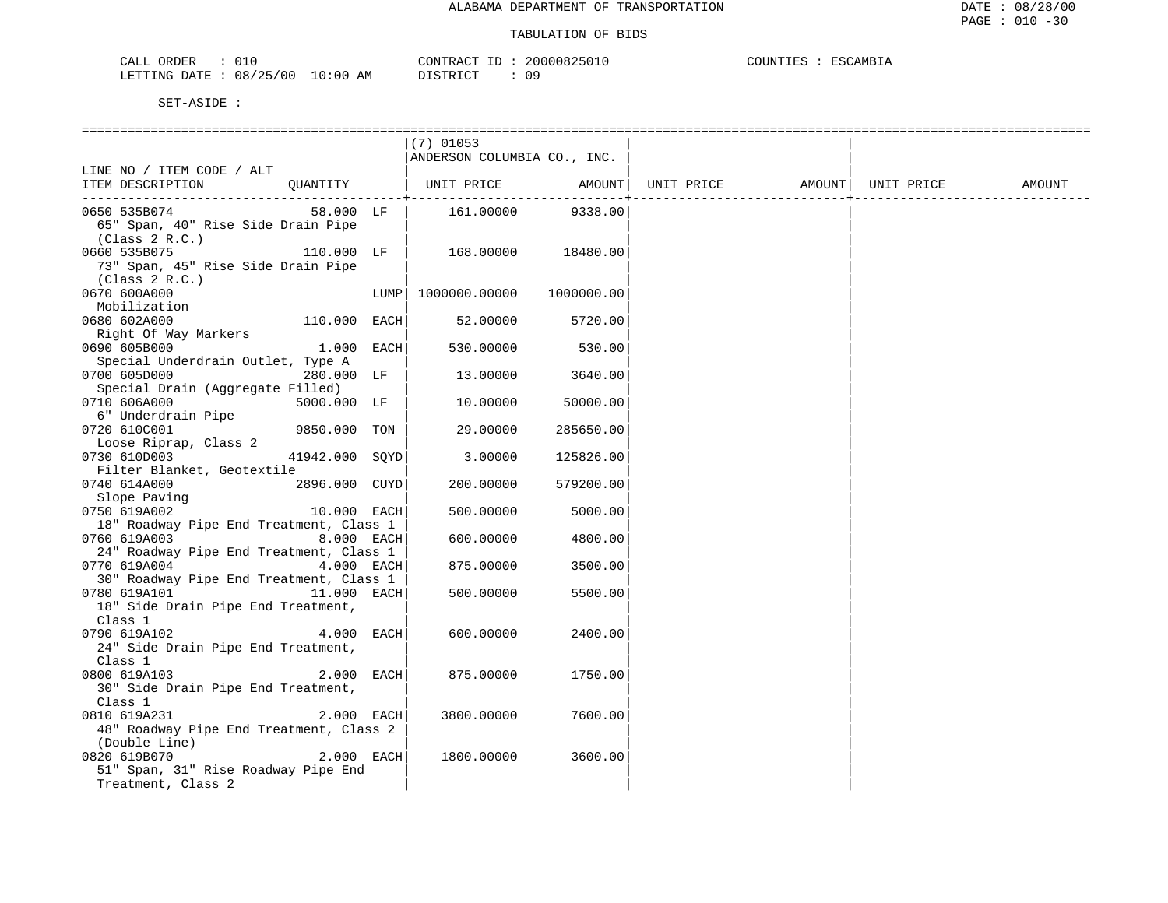| CALL<br>ORDER                           | 20000825010<br>CONTRACT<br>.25011 | COUNTIES<br>.ILLY |
|-----------------------------------------|-----------------------------------|-------------------|
| 08/25/00<br>10:00<br>LETTING DATF<br>AM | <u>חומת החומד ר</u><br>ה ר<br>.   |                   |

|                                                                                    |              | $(7)$ 01053<br>ANDERSON COLUMBIA CO., INC. |            |                                |  |        |
|------------------------------------------------------------------------------------|--------------|--------------------------------------------|------------|--------------------------------|--|--------|
| LINE NO / ITEM CODE / ALT<br>QUANTITY   UNIT PRICE AMOUNT <br>ITEM DESCRIPTION     |              |                                            |            | UNIT PRICE AMOUNT   UNIT PRICE |  | AMOUNT |
| 0650 535B074<br>65" Span, 40" Rise Side Drain Pipe<br>(Class 2 R.C.)               | $58.000$ LF  | 161.00000                                  | 9338.00    |                                |  |        |
| 0660 535B075<br>110.000 LF<br>73" Span, 45" Rise Side Drain Pipe<br>(Class 2 R.C.) |              | 168.00000                                  | 18480.00   |                                |  |        |
| 0670 600A000<br>Mobilization                                                       |              | LUMP  1000000.00000                        | 1000000.00 |                                |  |        |
| 0680 602A000<br>110.000 EACH<br>Right Of Way Markers                               |              | 52.00000                                   | 5720.00    |                                |  |        |
| 0690 605B000<br>Special Underdrain Outlet, Type A                                  | $1.000$ EACH | 530.00000                                  | 530.00     |                                |  |        |
| 280.000 LF<br>0700 605D000<br>Special Drain (Aggregate Filled)                     |              | 13.00000                                   | 3640.00    |                                |  |        |
| 0710 606A000<br>5000.000 LF<br>6" Underdrain Pipe                                  |              | 10.00000                                   | 50000.00   |                                |  |        |
| 9850.000 TON<br>0720 610C001<br>Loose Riprap, Class 2                              |              | 29.00000                                   | 285650.00  |                                |  |        |
| 41942.000 SOYD<br>0730 610D003<br>Filter Blanket, Geotextile                       |              | 3.00000                                    | 125826.00  |                                |  |        |
| 2896.000 CUYD<br>0740 614A000<br>AU ULANTER<br>Slope Paving                        |              | 200.00000                                  | 579200.00  |                                |  |        |
| 0750 619A002<br>10.000 EACH<br>18" Roadway Pipe End Treatment, Class 1             |              | 500.00000                                  | 5000.00    |                                |  |        |
| 0760 619A003<br>24" Roadway Pipe End Treatment, Class 1                            | 8.000 EACH   | 600.00000                                  | 4800.00    |                                |  |        |
| 0770 619A004<br>30" Roadway Pipe End Treatment, Class 1                            | 4.000 EACH   | 875.00000                                  | 3500.00    |                                |  |        |
| 11.000 EACH<br>0780 619A101<br>18" Side Drain Pipe End Treatment,<br>Class 1       |              | 500.00000                                  | 5500.00    |                                |  |        |
| 0790 619A102<br>24" Side Drain Pipe End Treatment,<br>Class 1                      | 4.000 EACH   | 600.00000                                  | 2400.00    |                                |  |        |
| 0800 619A103<br>30" Side Drain Pipe End Treatment,<br>Class 1                      | 2.000 EACH   | 875.00000                                  | 1750.00    |                                |  |        |
| 0810 619A231<br>48" Roadway Pipe End Treatment, Class 2<br>(Double Line)           | 2.000 EACH   | 3800.00000                                 | 7600.00    |                                |  |        |
| 0820 619B070<br>51" Span, 31" Rise Roadway Pipe End<br>Treatment, Class 2          | 2.000 EACH   | 1800.00000                                 | 3600.00    |                                |  |        |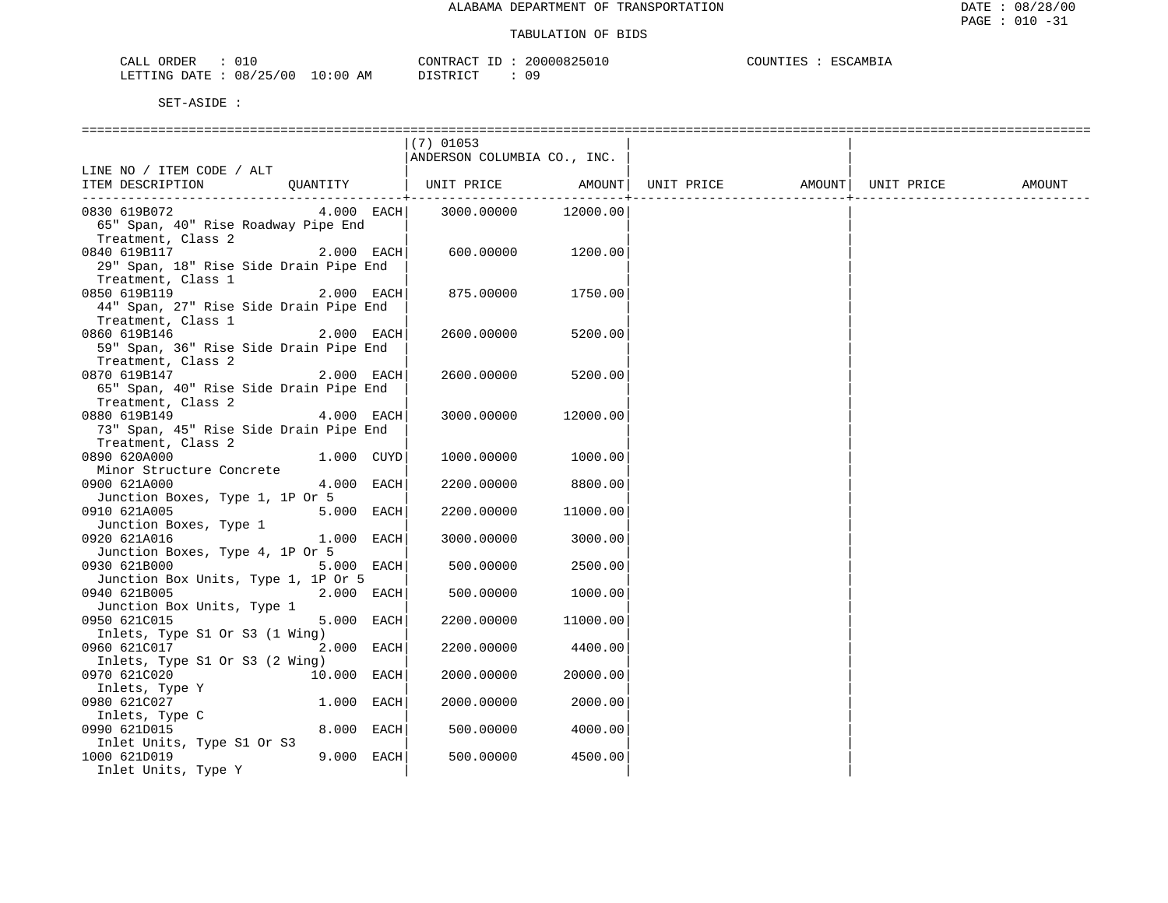| CALL<br>ORDER<br>∪⊥∪     | CONTRACT                            | 20000825010 | COUNTIES<br>ESCAMBIA |
|--------------------------|-------------------------------------|-------------|----------------------|
| 08/25/00<br>LETTING DATE | 10:00<br>DISTRICT<br>ΆM<br>ມ⊥ມ⊥ນ⊥∪⊥ | ΩC          |                      |

|                                        |              | $(7)$ 01053                 |                     |            |                     |        |
|----------------------------------------|--------------|-----------------------------|---------------------|------------|---------------------|--------|
|                                        |              | ANDERSON COLUMBIA CO., INC. |                     |            |                     |        |
| LINE NO / ITEM CODE / ALT              |              |                             |                     |            |                     |        |
| ITEM DESCRIPTION                       | QUANTITY     | UNIT PRICE                  | AMOUNT              | UNIT PRICE | AMOUNT   UNIT PRICE | AMOUNT |
| ---------------------------            | $4.000$ EACH |                             |                     |            |                     |        |
| 0830 619B072                           |              |                             | 3000.00000 12000.00 |            |                     |        |
| 65" Span, 40" Rise Roadway Pipe End    |              |                             |                     |            |                     |        |
| Treatment, Class 2                     |              |                             |                     |            |                     |        |
| 0840 619B117                           | 2.000 EACH   | 600.00000                   | 1200.00             |            |                     |        |
| 29" Span, 18" Rise Side Drain Pipe End |              |                             |                     |            |                     |        |
| Treatment, Class 1                     |              |                             |                     |            |                     |        |
| 0850 619B119                           | 2.000 EACH   | 875.00000                   | 1750.00             |            |                     |        |
| 44" Span, 27" Rise Side Drain Pipe End |              |                             |                     |            |                     |        |
| Treatment, Class 1                     |              |                             |                     |            |                     |        |
| 0860 619B146                           | 2.000 EACH   | 2600.00000                  | 5200.00             |            |                     |        |
| 59" Span, 36" Rise Side Drain Pipe End |              |                             |                     |            |                     |        |
| Treatment, Class 2                     |              |                             |                     |            |                     |        |
| 0870 619B147                           | 2.000 EACH   | 2600.00000                  | 5200.00             |            |                     |        |
| 65" Span, 40" Rise Side Drain Pipe End |              |                             |                     |            |                     |        |
| Treatment, Class 2                     |              |                             |                     |            |                     |        |
| 0880 619B149                           | 4.000 EACH   | 3000.00000                  | 12000.00            |            |                     |        |
| 73" Span, 45" Rise Side Drain Pipe End |              |                             |                     |            |                     |        |
| Treatment, Class 2                     |              |                             |                     |            |                     |        |
| 0890 620A000                           | 1.000 CUYD   | 1000.00000                  | 1000.00             |            |                     |        |
| Minor Structure Concrete               |              |                             |                     |            |                     |        |
| 0900 621A000                           | 4.000 EACH   | 2200.00000                  | 8800.00             |            |                     |        |
| Junction Boxes, Type 1, 1P Or 5        |              |                             |                     |            |                     |        |
| 0910 621A005                           | 5.000 EACH   | 2200.00000                  | 11000.00            |            |                     |        |
| Junction Boxes, Type 1                 |              |                             |                     |            |                     |        |
| 0920 621A016                           | 1.000 EACH   | 3000.00000                  | 3000.00             |            |                     |        |
| Junction Boxes, Type 4, 1P Or 5        |              |                             |                     |            |                     |        |
| 0930 621B000                           | 5.000 EACH   | 500.00000                   | 2500.00             |            |                     |        |
| Junction Box Units, Type 1, 1P Or 5    |              |                             |                     |            |                     |        |
| 0940 621B005                           | 2.000 EACH   | 500.00000                   | 1000.00             |            |                     |        |
| Junction Box Units, Type 1             |              |                             |                     |            |                     |        |
| 0950 621C015                           | 5.000 EACH   | 2200.00000                  | 11000.00            |            |                     |        |
| Inlets, Type S1 Or S3 (1 Wing)         |              |                             |                     |            |                     |        |
| 0960 621C017                           | 2.000 EACH   | 2200.00000                  | 4400.00             |            |                     |        |
| Inlets, Type S1 Or S3 (2 Wing)         |              |                             |                     |            |                     |        |
| 0970 621C020                           | 10.000 EACH  | 2000.00000                  | 20000.00            |            |                     |        |
| Inlets, Type Y                         |              |                             |                     |            |                     |        |
| 0980 621C027                           | 1.000 EACH   | 2000.00000                  | 2000.00             |            |                     |        |
| Inlets, Type C                         |              |                             |                     |            |                     |        |
| 0990 621D015                           | 8.000 EACH   | 500.00000                   | 4000.00             |            |                     |        |
| Inlet Units, Type S1 Or S3             |              |                             |                     |            |                     |        |
| 1000 621D019                           | 9.000 EACH   | 500.00000                   | 4500.00             |            |                     |        |
| Inlet Units, Type Y                    |              |                             |                     |            |                     |        |
|                                        |              |                             |                     |            |                     |        |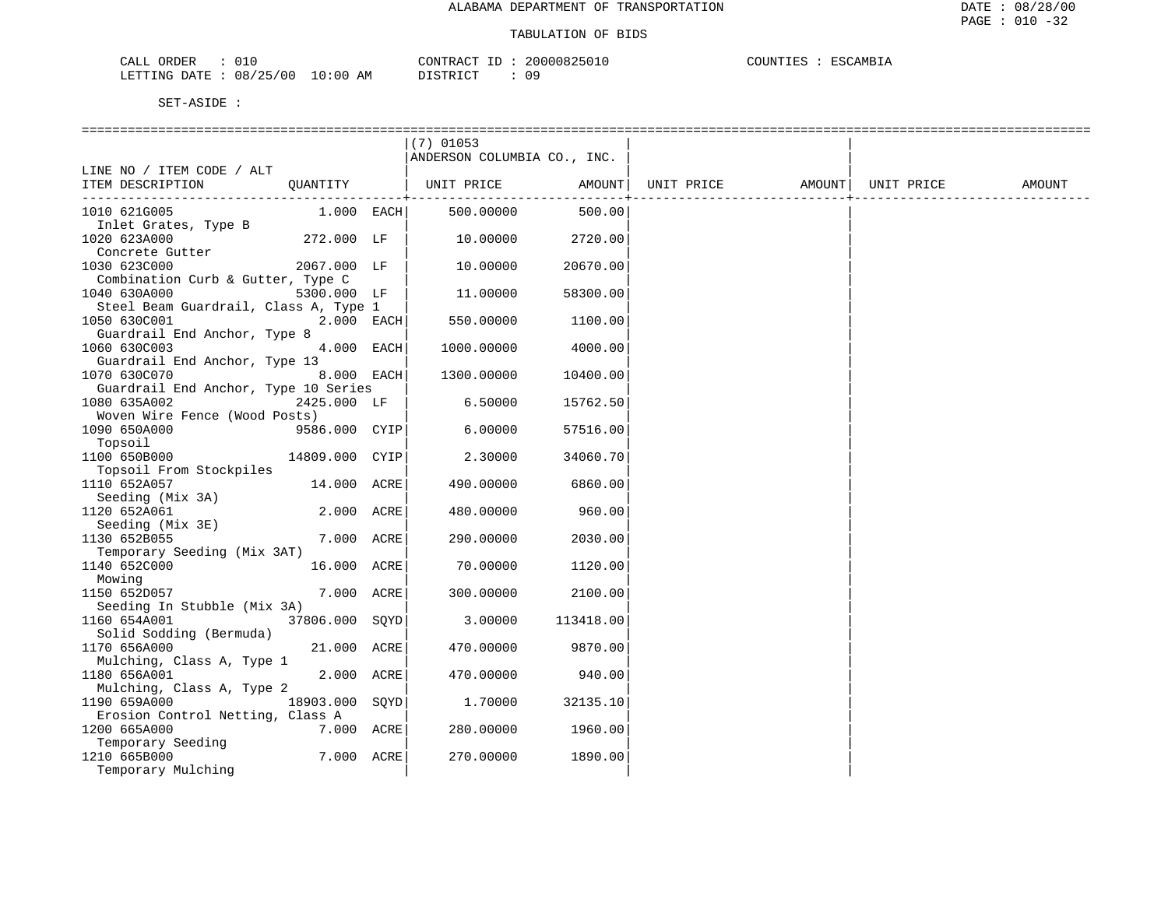| CALL ORDER   |            |            | CONTRACT ID | 20000825010 | COUNTIES : | ESCAMBIA |
|--------------|------------|------------|-------------|-------------|------------|----------|
| LETTING DATE | : 08/25/00 | $10:00$ AM | DISTRICT    |             |            |          |

|                                       |                | $(7)$ 01053                 |           |                                |  |        |
|---------------------------------------|----------------|-----------------------------|-----------|--------------------------------|--|--------|
|                                       |                | ANDERSON COLUMBIA CO., INC. |           |                                |  |        |
| LINE NO / ITEM CODE / ALT             |                |                             |           |                                |  |        |
| ITEM DESCRIPTION                      | QUANTITY       | UNIT PRICE                  | AMOUNT    | UNIT PRICE AMOUNT   UNIT PRICE |  | AMOUNT |
|                                       |                |                             |           |                                |  |        |
| 1010 621G005                          | 1.000 EACH     | 500.00000                   | 500.00    |                                |  |        |
| Inlet Grates, Type B                  |                |                             |           |                                |  |        |
| 1020 623A000<br>Concrete Gutter       | 272.000 LF     | 10.00000                    | 2720.00   |                                |  |        |
| 1030 623C000                          | 2067.000 LF    | 10.00000                    | 20670.00  |                                |  |        |
| Combination Curb & Gutter, Type C     |                |                             |           |                                |  |        |
| 1040 630A000                          | 5300.000 LF    | 11.00000                    | 58300.00  |                                |  |        |
| Steel Beam Guardrail, Class A, Type 1 |                |                             |           |                                |  |        |
| 1050 630C001                          | 2.000 EACH     | 550.00000                   | 1100.00   |                                |  |        |
| Guardrail End Anchor, Type 8          |                |                             |           |                                |  |        |
| 1060 630C003                          | 4.000 EACH     | 1000.00000                  | 4000.00   |                                |  |        |
| Guardrail End Anchor, Type 13         |                |                             |           |                                |  |        |
| 1070 630C070                          | 8.000 EACH     | 1300.00000                  | 10400.00  |                                |  |        |
| Guardrail End Anchor, Type 10 Series  |                |                             |           |                                |  |        |
| 1080 635A002                          | 2425.000 LF    | 6.50000                     | 15762.50  |                                |  |        |
| Woven Wire Fence (Wood Posts)         |                |                             |           |                                |  |        |
| 1090 650A000                          | 9586.000 CYIP  | 6,00000                     | 57516.00  |                                |  |        |
| Topsoil                               |                |                             |           |                                |  |        |
| 1100 650B000                          | 14809.000 CYIP | 2.30000                     | 34060.70  |                                |  |        |
| Topsoil From Stockpiles               |                |                             |           |                                |  |        |
| 1110 652A057                          | 14.000 ACRE    | 490.00000                   | 6860.00   |                                |  |        |
| Seeding (Mix 3A)                      |                |                             |           |                                |  |        |
| 1120 652A061                          | 2.000 ACRE     | 480.00000                   | 960.00    |                                |  |        |
| Seeding (Mix 3E)                      |                |                             |           |                                |  |        |
| 1130 652B055                          | 7.000 ACRE     | 290.00000                   | 2030.00   |                                |  |        |
| Temporary Seeding (Mix 3AT)           |                |                             |           |                                |  |        |
| 1140 652C000                          | 16.000 ACRE    | 70.00000                    | 1120.00   |                                |  |        |
| Mowing                                |                |                             |           |                                |  |        |
| 1150 652D057                          | 7.000 ACRE     | 300.00000                   | 2100.00   |                                |  |        |
| Seeding In Stubble (Mix 3A)           |                |                             |           |                                |  |        |
| 1160 654A001                          | 37806.000 SQYD | 3.00000                     | 113418.00 |                                |  |        |
| Solid Sodding (Bermuda)               |                |                             |           |                                |  |        |
| 1170 656A000                          | 21.000 ACRE    | 470.00000                   | 9870.00   |                                |  |        |
| Mulching, Class A, Type 1             |                |                             |           |                                |  |        |
| 1180 656A001                          | 2.000 ACRE     | 470.00000                   | 940.00    |                                |  |        |
| Mulching, Class A, Type 2             |                |                             |           |                                |  |        |
| 1190 659A000                          | 18903.000 SOYD | 1.70000                     | 32135.10  |                                |  |        |
| Erosion Control Netting, Class A      |                |                             |           |                                |  |        |
| 1200 665A000                          | 7.000 ACRE     | 280.00000                   | 1960.00   |                                |  |        |
| Temporary Seeding                     | 7.000 ACRE     |                             |           |                                |  |        |
| 1210 665B000<br>Temporary Mulching    |                | 270.00000                   | 1890.00   |                                |  |        |
|                                       |                |                             |           |                                |  |        |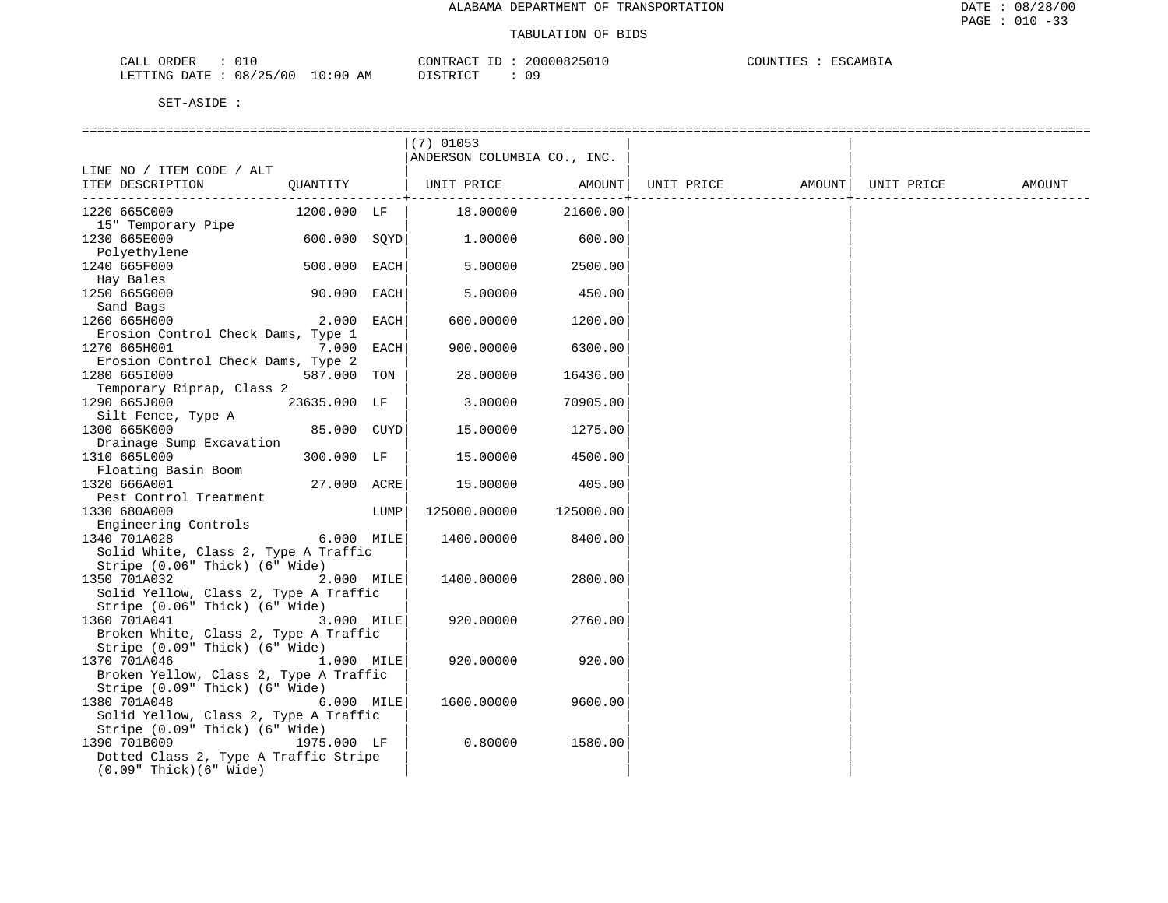| $\sim$ $\sim$<br>ORDER<br>CALL<br>◡⊥  |             | CONTRACT<br>$-1$ | 20000825010 | COUNTIES<br>1007<br>™AMB⊥.<br>ירים |
|---------------------------------------|-------------|------------------|-------------|------------------------------------|
| 08/25/00<br>'ETTING<br>חי∆ת ח<br>ر بے | 10:00<br>AΜ | דת לידי את ה     | Ωq<br>◡ -   |                                    |

| ANDERSON COLUMBIA CO., INC.<br>LINE NO / ITEM CODE / ALT<br>  UNIT PRICE AMOUNT <br>QUANTITY<br>UNIT PRICE<br>AMOUNT  UNIT PRICE<br>ITEM DESCRIPTION<br>21600.00<br>1220 665C000<br>1200.000 LF<br>18.00000<br>15" Temporary Pipe<br>600.000 SOYD<br>1230 665E000<br>1.00000<br>600.00<br>Polyethylene<br>1240 665F000<br>500.000 EACH<br>5.00000<br>2500.00<br>Hay Bales<br>1250 665G000<br>90.000 EACH<br>5.00000<br>450.00<br>Sand Bags<br>1260 665H000<br>2.000<br>EACH<br>1200.00<br>600.00000<br>Erosion Control Check Dams, Type 1<br>7.000<br>6300.00<br>1270 665H001<br>EACH<br>900.00000<br>Erosion Control Check Dams, Type 2<br>587.000 TON<br>16436.00<br>1280 6651000<br>28.00000<br>Temporary Riprap, Class 2<br>1290 665J000<br>23635.000 LF<br>3.00000<br>70905.00<br>Silt Fence, Type A<br>1300 665K000<br>85.000 CUYD<br>1275.00<br>15.00000<br>Drainage Sump Excavation<br>1310 665L000<br>300.000 LF<br>4500.00<br>15.00000<br>Floating Basin Boom<br>27.000 ACRE<br>1320 666A001<br>15.00000<br>405.00<br>Pest Control Treatment<br>1330 680A000<br>LUMP<br>125000.00000<br>125000.00<br>Engineering Controls<br>1340 701A028<br>6.000 MILE<br>1400.00000<br>8400.00<br>Solid White, Class 2, Type A Traffic<br>Stripe (0.06" Thick) (6" Wide)<br>2.000 MILE<br>2800.00<br>1350 701A032<br>1400.00000<br>Solid Yellow, Class 2, Type A Traffic<br>Stripe (0.06" Thick) (6" Wide)<br>1360 701A041<br>3.000 MILE<br>920.00000<br>2760.00<br>Broken White, Class 2, Type A Traffic<br>Stripe (0.09" Thick) (6" Wide)<br>1370 701A046<br>1.000 MILE<br>920.00000<br>920.00<br>Broken Yellow, Class 2, Type A Traffic<br>Stripe (0.09" Thick) (6" Wide)<br>1380 701A048<br>6.000 MILE<br>1600.00000<br>9600.00<br>Solid Yellow, Class 2, Type A Traffic |  | $(7)$ 01053 |  |  |        |
|--------------------------------------------------------------------------------------------------------------------------------------------------------------------------------------------------------------------------------------------------------------------------------------------------------------------------------------------------------------------------------------------------------------------------------------------------------------------------------------------------------------------------------------------------------------------------------------------------------------------------------------------------------------------------------------------------------------------------------------------------------------------------------------------------------------------------------------------------------------------------------------------------------------------------------------------------------------------------------------------------------------------------------------------------------------------------------------------------------------------------------------------------------------------------------------------------------------------------------------------------------------------------------------------------------------------------------------------------------------------------------------------------------------------------------------------------------------------------------------------------------------------------------------------------------------------------------------------------------------------------------------------------------------------------------------------------------------------------------------------------------------------------|--|-------------|--|--|--------|
|                                                                                                                                                                                                                                                                                                                                                                                                                                                                                                                                                                                                                                                                                                                                                                                                                                                                                                                                                                                                                                                                                                                                                                                                                                                                                                                                                                                                                                                                                                                                                                                                                                                                                                                                                                          |  |             |  |  |        |
|                                                                                                                                                                                                                                                                                                                                                                                                                                                                                                                                                                                                                                                                                                                                                                                                                                                                                                                                                                                                                                                                                                                                                                                                                                                                                                                                                                                                                                                                                                                                                                                                                                                                                                                                                                          |  |             |  |  |        |
|                                                                                                                                                                                                                                                                                                                                                                                                                                                                                                                                                                                                                                                                                                                                                                                                                                                                                                                                                                                                                                                                                                                                                                                                                                                                                                                                                                                                                                                                                                                                                                                                                                                                                                                                                                          |  |             |  |  | AMOUNT |
|                                                                                                                                                                                                                                                                                                                                                                                                                                                                                                                                                                                                                                                                                                                                                                                                                                                                                                                                                                                                                                                                                                                                                                                                                                                                                                                                                                                                                                                                                                                                                                                                                                                                                                                                                                          |  |             |  |  |        |
|                                                                                                                                                                                                                                                                                                                                                                                                                                                                                                                                                                                                                                                                                                                                                                                                                                                                                                                                                                                                                                                                                                                                                                                                                                                                                                                                                                                                                                                                                                                                                                                                                                                                                                                                                                          |  |             |  |  |        |
|                                                                                                                                                                                                                                                                                                                                                                                                                                                                                                                                                                                                                                                                                                                                                                                                                                                                                                                                                                                                                                                                                                                                                                                                                                                                                                                                                                                                                                                                                                                                                                                                                                                                                                                                                                          |  |             |  |  |        |
|                                                                                                                                                                                                                                                                                                                                                                                                                                                                                                                                                                                                                                                                                                                                                                                                                                                                                                                                                                                                                                                                                                                                                                                                                                                                                                                                                                                                                                                                                                                                                                                                                                                                                                                                                                          |  |             |  |  |        |
|                                                                                                                                                                                                                                                                                                                                                                                                                                                                                                                                                                                                                                                                                                                                                                                                                                                                                                                                                                                                                                                                                                                                                                                                                                                                                                                                                                                                                                                                                                                                                                                                                                                                                                                                                                          |  |             |  |  |        |
|                                                                                                                                                                                                                                                                                                                                                                                                                                                                                                                                                                                                                                                                                                                                                                                                                                                                                                                                                                                                                                                                                                                                                                                                                                                                                                                                                                                                                                                                                                                                                                                                                                                                                                                                                                          |  |             |  |  |        |
|                                                                                                                                                                                                                                                                                                                                                                                                                                                                                                                                                                                                                                                                                                                                                                                                                                                                                                                                                                                                                                                                                                                                                                                                                                                                                                                                                                                                                                                                                                                                                                                                                                                                                                                                                                          |  |             |  |  |        |
|                                                                                                                                                                                                                                                                                                                                                                                                                                                                                                                                                                                                                                                                                                                                                                                                                                                                                                                                                                                                                                                                                                                                                                                                                                                                                                                                                                                                                                                                                                                                                                                                                                                                                                                                                                          |  |             |  |  |        |
|                                                                                                                                                                                                                                                                                                                                                                                                                                                                                                                                                                                                                                                                                                                                                                                                                                                                                                                                                                                                                                                                                                                                                                                                                                                                                                                                                                                                                                                                                                                                                                                                                                                                                                                                                                          |  |             |  |  |        |
|                                                                                                                                                                                                                                                                                                                                                                                                                                                                                                                                                                                                                                                                                                                                                                                                                                                                                                                                                                                                                                                                                                                                                                                                                                                                                                                                                                                                                                                                                                                                                                                                                                                                                                                                                                          |  |             |  |  |        |
|                                                                                                                                                                                                                                                                                                                                                                                                                                                                                                                                                                                                                                                                                                                                                                                                                                                                                                                                                                                                                                                                                                                                                                                                                                                                                                                                                                                                                                                                                                                                                                                                                                                                                                                                                                          |  |             |  |  |        |
|                                                                                                                                                                                                                                                                                                                                                                                                                                                                                                                                                                                                                                                                                                                                                                                                                                                                                                                                                                                                                                                                                                                                                                                                                                                                                                                                                                                                                                                                                                                                                                                                                                                                                                                                                                          |  |             |  |  |        |
|                                                                                                                                                                                                                                                                                                                                                                                                                                                                                                                                                                                                                                                                                                                                                                                                                                                                                                                                                                                                                                                                                                                                                                                                                                                                                                                                                                                                                                                                                                                                                                                                                                                                                                                                                                          |  |             |  |  |        |
|                                                                                                                                                                                                                                                                                                                                                                                                                                                                                                                                                                                                                                                                                                                                                                                                                                                                                                                                                                                                                                                                                                                                                                                                                                                                                                                                                                                                                                                                                                                                                                                                                                                                                                                                                                          |  |             |  |  |        |
|                                                                                                                                                                                                                                                                                                                                                                                                                                                                                                                                                                                                                                                                                                                                                                                                                                                                                                                                                                                                                                                                                                                                                                                                                                                                                                                                                                                                                                                                                                                                                                                                                                                                                                                                                                          |  |             |  |  |        |
|                                                                                                                                                                                                                                                                                                                                                                                                                                                                                                                                                                                                                                                                                                                                                                                                                                                                                                                                                                                                                                                                                                                                                                                                                                                                                                                                                                                                                                                                                                                                                                                                                                                                                                                                                                          |  |             |  |  |        |
|                                                                                                                                                                                                                                                                                                                                                                                                                                                                                                                                                                                                                                                                                                                                                                                                                                                                                                                                                                                                                                                                                                                                                                                                                                                                                                                                                                                                                                                                                                                                                                                                                                                                                                                                                                          |  |             |  |  |        |
| Stripe (0.09" Thick) (6" Wide)                                                                                                                                                                                                                                                                                                                                                                                                                                                                                                                                                                                                                                                                                                                                                                                                                                                                                                                                                                                                                                                                                                                                                                                                                                                                                                                                                                                                                                                                                                                                                                                                                                                                                                                                           |  |             |  |  |        |
| 1390 701B009<br>1975.000 LF<br>0.80000<br>1580.00<br>Dotted Class 2, Type A Traffic Stripe<br>$(0.09"$ Thick $)(6"$ Wide $)$                                                                                                                                                                                                                                                                                                                                                                                                                                                                                                                                                                                                                                                                                                                                                                                                                                                                                                                                                                                                                                                                                                                                                                                                                                                                                                                                                                                                                                                                                                                                                                                                                                             |  |             |  |  |        |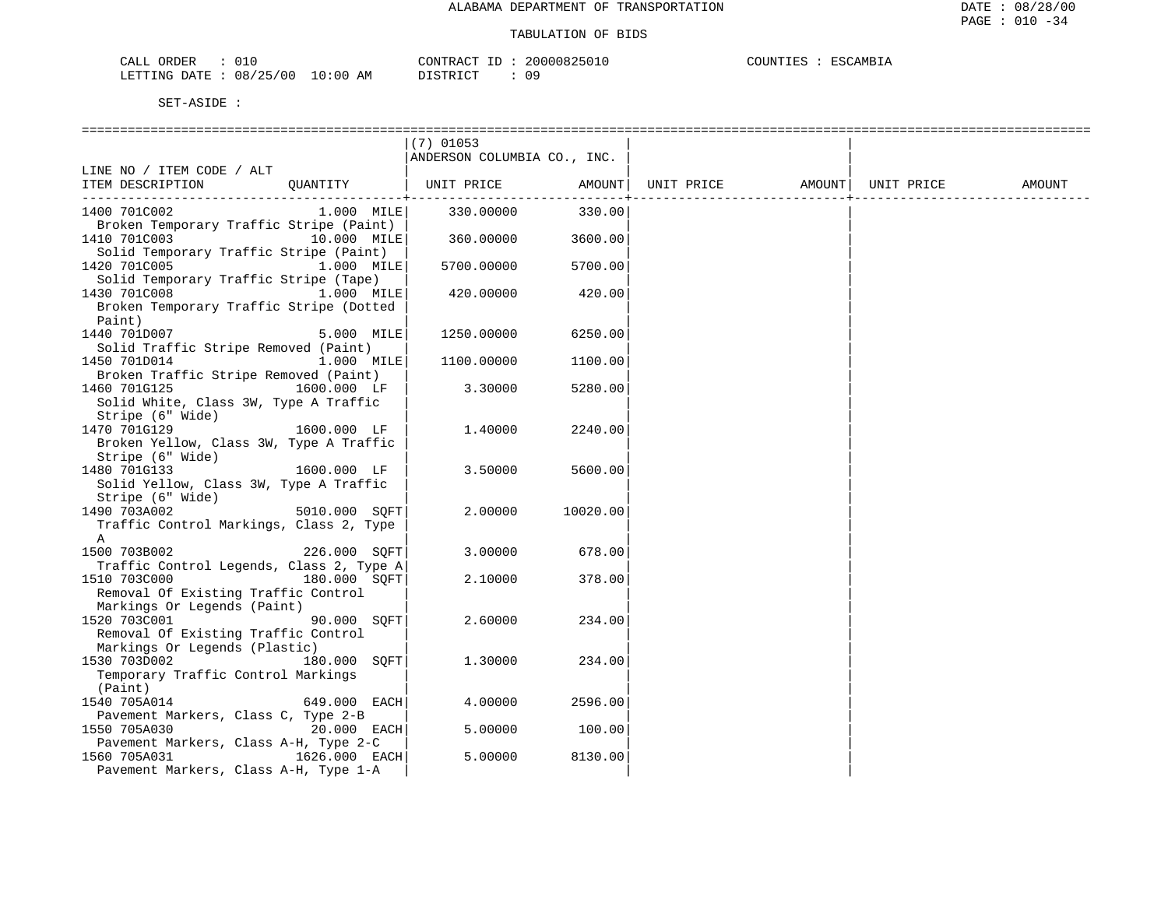| CALL ORDER                      |          | CONTRACT ID: 20000825010 | COUNTIES : ESCAMBIA |
|---------------------------------|----------|--------------------------|---------------------|
| LETTING DATE: 08/25/00 10:00 AM | DISTRICT |                          |                     |

|                                                       |               | $(7)$ 01053                 |          |                   |            |        |
|-------------------------------------------------------|---------------|-----------------------------|----------|-------------------|------------|--------|
|                                                       |               | ANDERSON COLUMBIA CO., INC. |          |                   |            |        |
| LINE NO / ITEM CODE / ALT                             |               |                             |          |                   |            |        |
| ITEM DESCRIPTION                                      | QUANTITY      | UNIT PRICE                  | AMOUNT   | UNIT PRICE AMOUNT | UNIT PRICE | AMOUNT |
|                                                       |               |                             | . 4      |                   |            |        |
| 1400 701C002                                          | $1.000$ MILE  | 330.00000                   | 330.00   |                   |            |        |
| Broken Temporary Traffic Stripe (Paint)               |               |                             |          |                   |            |        |
| 1410 701C003                                          | 10.000 MILE   | 360.00000                   | 3600.00  |                   |            |        |
| Solid Temporary Traffic Stripe (Paint)                |               |                             |          |                   |            |        |
| 1420 701C005                                          | 1.000 MILE    | 5700.00000                  | 5700.00  |                   |            |        |
| Solid Temporary Traffic Stripe (Tape)                 |               |                             |          |                   |            |        |
| 1430 701C008                                          | 1.000 MILE    | 420.00000                   | 420.00   |                   |            |        |
| Broken Temporary Traffic Stripe (Dotted               |               |                             |          |                   |            |        |
| Paint)                                                |               |                             |          |                   |            |        |
| 1440 701D007                                          | 5.000 MILE    | 1250.00000                  | 6250.00  |                   |            |        |
| Solid Traffic Stripe Removed (Paint)                  |               |                             |          |                   |            |        |
| 1450 701D014<br>Broken Traffic Stripe Removed (Paint) | 1.000 MILE    | 1100.00000                  | 1100.00  |                   |            |        |
| 1460 701G125                                          | 1600.000 LF   | 3.30000                     | 5280.00  |                   |            |        |
| Solid White, Class 3W, Type A Traffic                 |               |                             |          |                   |            |        |
| Stripe (6" Wide)                                      |               |                             |          |                   |            |        |
| 1470 701G129                                          | 1600.000 LF   | 1,40000                     | 2240.00  |                   |            |        |
| Broken Yellow, Class 3W, Type A Traffic               |               |                             |          |                   |            |        |
| Stripe (6" Wide)                                      |               |                             |          |                   |            |        |
| 1480 701G133                                          | 1600.000 LF   | 3.50000                     | 5600.00  |                   |            |        |
| Solid Yellow, Class 3W, Type A Traffic                |               |                             |          |                   |            |        |
| Stripe (6" Wide)                                      |               |                             |          |                   |            |        |
| 1490 703A002                                          | 5010.000 SOFT | 2.00000                     | 10020.00 |                   |            |        |
| Traffic Control Markings, Class 2, Type               |               |                             |          |                   |            |        |
| A                                                     |               |                             |          |                   |            |        |
| 1500 703B002                                          | 226.000 SOFT  | 3.00000                     | 678.00   |                   |            |        |
| Traffic Control Legends, Class 2, Type A              |               |                             |          |                   |            |        |
| 1510 703C000                                          | 180.000 SOFT  | 2.10000                     | 378.00   |                   |            |        |
| Removal Of Existing Traffic Control                   |               |                             |          |                   |            |        |
| Markings Or Legends (Paint)                           |               |                             |          |                   |            |        |
| 1520 703C001                                          | 90.000 SOFT   | 2.60000                     | 234.00   |                   |            |        |
| Removal Of Existing Traffic Control                   |               |                             |          |                   |            |        |
| Markings Or Legends (Plastic)                         |               |                             |          |                   |            |        |
| 1530 703D002                                          | 180.000 SOFT  | 1,30000                     | 234.00   |                   |            |        |
| Temporary Traffic Control Markings                    |               |                             |          |                   |            |        |
| (Paint)                                               |               |                             |          |                   |            |        |
| 1540 705A014                                          | 649.000 EACH  | 4.00000                     | 2596.00  |                   |            |        |
| Pavement Markers, Class C, Type 2-B                   |               |                             |          |                   |            |        |
| 1550 705A030                                          | 20.000 EACH   | 5.00000                     | 100.00   |                   |            |        |
| Pavement Markers, Class A-H, Type 2-C                 |               |                             |          |                   |            |        |
| 1560 705A031                                          | 1626.000 EACH | 5.00000                     | 8130.00  |                   |            |        |
| Pavement Markers, Class A-H, Type 1-A                 |               |                             |          |                   |            |        |
|                                                       |               |                             |          |                   |            |        |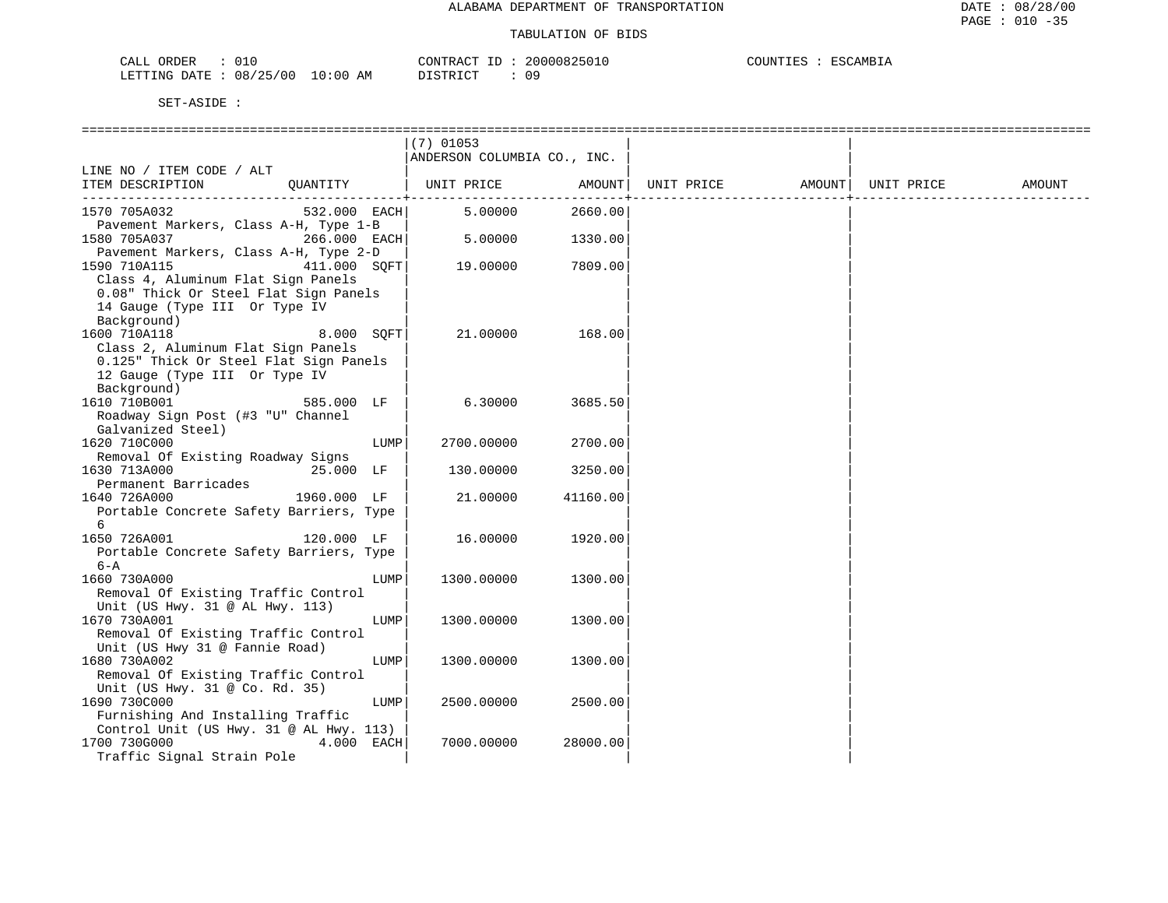| <b>RDER</b><br>-'ALL<br>∪⊥∪                                        |    | חידו חר<br>$\sim$ $\sim$                   |    | 'AMRT<br>י הדי<br>־ידו זורור<br>.⊥ L ~ |
|--------------------------------------------------------------------|----|--------------------------------------------|----|----------------------------------------|
| 0 <sub>0</sub><br>RTTTNG ∴<br>זיד∆ר<br>$\Omega$<br>, אני<br>______ | AM | г ап<br>$\sim$ $\tau$ $\sim$ $\sim$ $\tau$ | 09 |                                        |

|                                                                                                                             | $(7)$ 01053<br>ANDERSON COLUMBIA CO., INC. |          |            |        |            |        |
|-----------------------------------------------------------------------------------------------------------------------------|--------------------------------------------|----------|------------|--------|------------|--------|
| LINE NO / ITEM CODE / ALT                                                                                                   |                                            |          |            |        |            |        |
| ITEM DESCRIPTION<br>QUANTITY                                                                                                | UNIT PRICE                                 | AMOUNT   | UNIT PRICE | AMOUNT | UNIT PRICE | AMOUNT |
| 532.000 EACH<br>1570 705A032                                                                                                | 5.00000                                    | 2660.00  |            |        |            |        |
| Pavement Markers, Class A-H, Type 1-B<br>266.000 EACH<br>1580 705A037                                                       | 5.00000                                    | 1330.00  |            |        |            |        |
| Pavement Markers, Class A-H, Type 2-D<br>411.000 SOFT<br>1590 710A115                                                       | 19.00000                                   | 7809.00  |            |        |            |        |
| Class 4, Aluminum Flat Sign Panels<br>0.08" Thick Or Steel Flat Sign Panels<br>14 Gauge (Type III Or Type IV<br>Background) |                                            |          |            |        |            |        |
| 1600 710A118<br>8.000 SQFT<br>Class 2, Aluminum Flat Sign Panels                                                            | 21.00000                                   | 168.00   |            |        |            |        |
| 0.125" Thick Or Steel Flat Sign Panels<br>12 Gauge (Type III Or Type IV<br>Background)                                      |                                            |          |            |        |            |        |
| 1610 710B001<br>585.000 LF<br>Roadway Sign Post (#3 "U" Channel<br>Galvanized Steel)                                        | 6.30000                                    | 3685.50  |            |        |            |        |
| 1620 710C000<br>LUMP                                                                                                        | 2700.00000                                 | 2700.00  |            |        |            |        |
| Removal Of Existing Roadway Signs<br>1630 713A000<br>25.000 LF                                                              | 130.00000                                  | 3250.00  |            |        |            |        |
| Permanent Barricades<br>1640 726A000<br>1960.000 LF                                                                         | 21.00000                                   | 41160.00 |            |        |            |        |
| Portable Concrete Safety Barriers, Type<br>6                                                                                |                                            |          |            |        |            |        |
| 1650 726A001<br>120.000 LF<br>Portable Concrete Safety Barriers, Type<br>$6 - A$                                            | 16.00000                                   | 1920.00  |            |        |            |        |
| 1660 730A000<br>LUMP                                                                                                        | 1300.00000                                 | 1300.00  |            |        |            |        |
| Removal Of Existing Traffic Control<br>Unit (US Hwy. 31 @ AL Hwy. 113)                                                      |                                            |          |            |        |            |        |
| 1670 730A001<br>LUMP<br>Removal Of Existing Traffic Control<br>Unit (US Hwy 31 @ Fannie Road)                               | 1300.00000                                 | 1300.00  |            |        |            |        |
| 1680 730A002<br>LUMP<br>Removal Of Existing Traffic Control<br>Unit (US Hwy. 31 @ Co. Rd. 35)                               | 1300.00000                                 | 1300.00  |            |        |            |        |
| 1690 730C000<br>LUMP<br>Furnishing And Installing Traffic                                                                   | 2500.00000                                 | 2500.00  |            |        |            |        |
| Control Unit (US Hwy. 31 @ AL Hwy. 113)<br>1700 730G000<br>4.000 EACH<br>Traffic Signal Strain Pole                         | 7000.00000                                 | 28000.00 |            |        |            |        |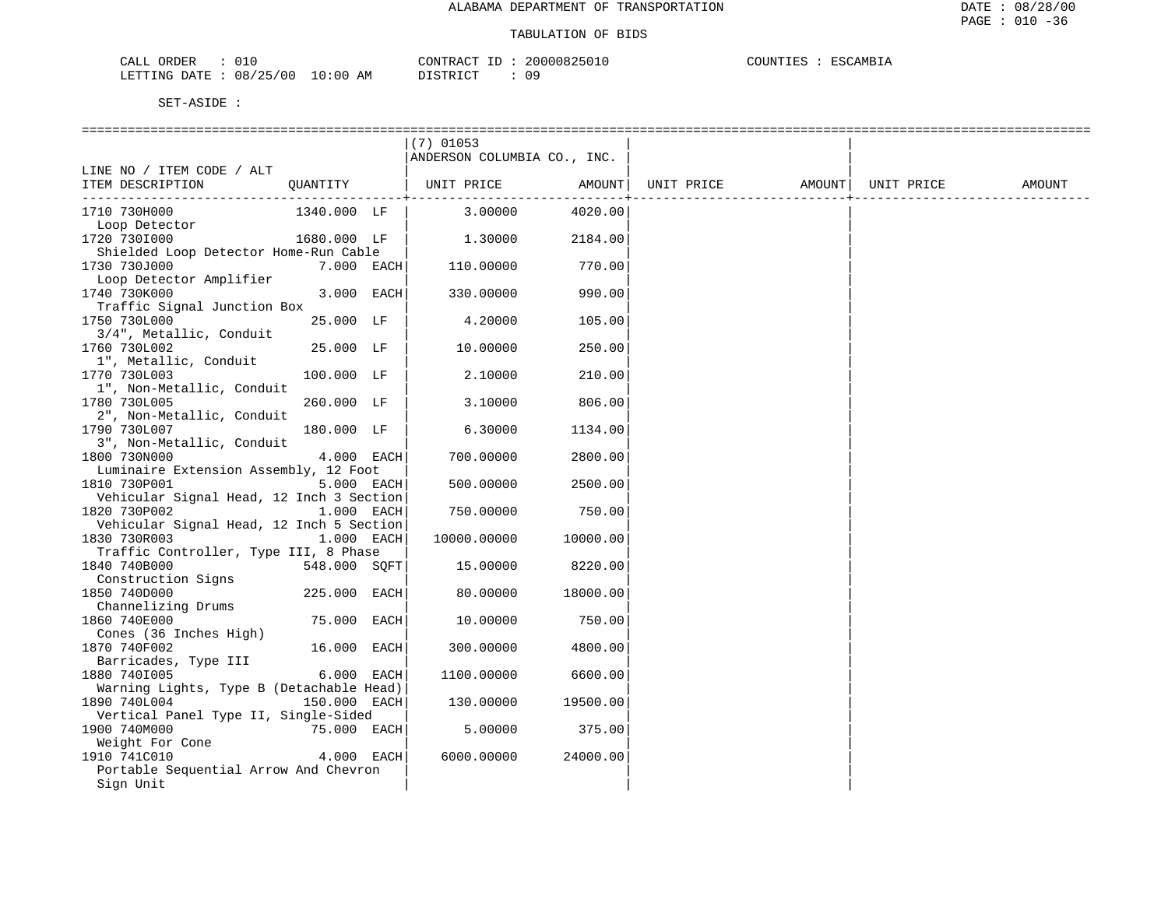| CALL ORDER                      |  | CONTRACT ID: | 20000825010 | COUNTIES : ESCAMBIA |  |
|---------------------------------|--|--------------|-------------|---------------------|--|
| LETTING DATE: 08/25/00 10:00 AM |  | DISTRICT     | 09          |                     |  |

|                                          |              | $(7)$ 01053                 |          |                   |            |        |
|------------------------------------------|--------------|-----------------------------|----------|-------------------|------------|--------|
|                                          |              | ANDERSON COLUMBIA CO., INC. |          |                   |            |        |
| LINE NO / ITEM CODE / ALT                |              |                             |          |                   |            |        |
| ITEM DESCRIPTION                         | OUANTITY     | UNIT PRICE                  | AMOUNT   | UNIT PRICE AMOUNT | UNIT PRICE | AMOUNT |
|                                          |              |                             |          |                   |            |        |
| 1710 730H000                             | 1340.000 LF  | 3.00000                     | 4020.00  |                   |            |        |
| Loop Detector                            |              |                             |          |                   |            |        |
| 1720 7301000                             | 1680.000 LF  | 1.30000                     | 2184.00  |                   |            |        |
| Shielded Loop Detector Home-Run Cable    |              |                             |          |                   |            |        |
| 1730 730J000                             | 7.000 EACH   | 110.00000                   | 770.00   |                   |            |        |
| Loop Detector Amplifier                  |              |                             |          |                   |            |        |
| 1740 730K000                             | 3.000 EACH   | 330.00000                   | 990.00   |                   |            |        |
| Traffic Signal Junction Box              |              |                             |          |                   |            |        |
| 1750 730L000                             | 25.000 LF    | 4.20000                     | 105.00   |                   |            |        |
| 3/4", Metallic, Conduit                  |              |                             |          |                   |            |        |
| 1760 730L002                             | 25.000 LF    | 10.00000                    | 250.00   |                   |            |        |
| 1", Metallic, Conduit                    |              |                             |          |                   |            |        |
| 1770 730L003                             | 100.000 LF   | 2.10000                     | 210.00   |                   |            |        |
| 1", Non-Metallic, Conduit                |              |                             |          |                   |            |        |
| 1780 730L005                             | 260.000 LF   | 3.10000                     | 806.00   |                   |            |        |
| 2", Non-Metallic, Conduit                |              |                             |          |                   |            |        |
| 1790 730L007                             | 180.000 LF   | 6.30000                     | 1134.00  |                   |            |        |
| 3", Non-Metallic, Conduit                |              |                             |          |                   |            |        |
| 1800 730N000                             | 4.000 EACH   | 700.00000                   | 2800.00  |                   |            |        |
| Luminaire Extension Assembly, 12 Foot    |              |                             |          |                   |            |        |
| 1810 730P001                             | 5.000 EACH   | 500.00000                   | 2500.00  |                   |            |        |
| Vehicular Signal Head, 12 Inch 3 Section |              |                             |          |                   |            |        |
| 1820 730P002                             | 1.000 EACH   | 750.00000                   | 750.00   |                   |            |        |
| Vehicular Signal Head, 12 Inch 5 Section |              |                             |          |                   |            |        |
| 1830 730R003                             | 1.000 EACH   | 10000.00000                 | 10000.00 |                   |            |        |
| Traffic Controller, Type III, 8 Phase    |              |                             |          |                   |            |        |
| 1840 740B000                             | 548.000 SQFT | 15.00000                    | 8220.00  |                   |            |        |
| Construction Signs                       |              |                             |          |                   |            |        |
| 1850 740D000                             | 225.000 EACH | 80.00000                    | 18000.00 |                   |            |        |
| Channelizing Drums                       |              |                             |          |                   |            |        |
| 1860 740E000                             | 75.000 EACH  | 10.00000                    | 750.00   |                   |            |        |
| Cones (36 Inches High)                   |              |                             |          |                   |            |        |
| 1870 740F002                             | 16.000 EACH  | 300.00000                   | 4800.00  |                   |            |        |
| Barricades, Type III                     |              |                             |          |                   |            |        |
| 1880 7401005                             | 6.000 EACH   | 1100.00000                  | 6600.00  |                   |            |        |
| Warning Lights, Type B (Detachable Head) |              |                             |          |                   |            |        |
| 1890 740L004                             | 150.000 EACH | 130.00000                   | 19500.00 |                   |            |        |
| Vertical Panel Type II, Single-Sided     |              |                             |          |                   |            |        |
| 1900 740M000                             | 75.000 EACH  | 5.00000                     | 375.00   |                   |            |        |
| Weight For Cone                          |              |                             |          |                   |            |        |
| 1910 741C010                             | 4.000 EACH   | 6000.00000                  | 24000.00 |                   |            |        |
| Portable Sequential Arrow And Chevron    |              |                             |          |                   |            |        |
| Sign Unit                                |              |                             |          |                   |            |        |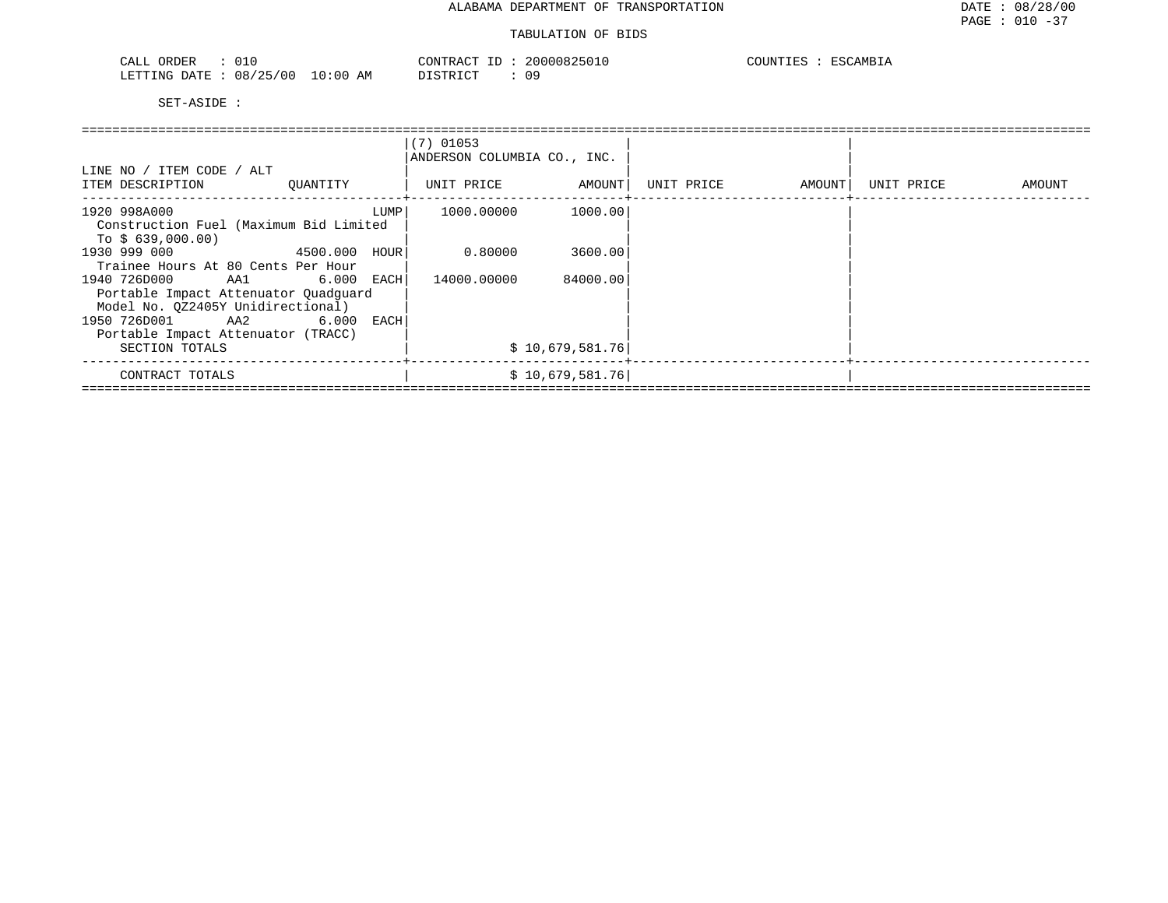#### TABULATION OF BIDS

| 01C<br>ORDER<br>CALL                           | 20000825010<br>CONTRACT ID | COUNTIES<br>ESCAMBIA |
|------------------------------------------------|----------------------------|----------------------|
| 08/25/00<br>$10:00$ AM<br>LETTING DATE<br>____ | ידי איד אידי את<br>n n     |                      |

|                                                                                                             |          |      | $(7)$ 01053<br>ANDERSON COLUMBIA CO., INC. |                 |            |        |            |        |
|-------------------------------------------------------------------------------------------------------------|----------|------|--------------------------------------------|-----------------|------------|--------|------------|--------|
| LINE NO / ITEM CODE / ALT<br>ITEM DESCRIPTION                                                               | OUANTITY |      | UNIT PRICE                                 | AMOUNT          | UNIT PRICE | AMOUNT | UNIT PRICE | AMOUNT |
| 1920 998A000<br>Construction Fuel (Maximum Bid Limited<br>To $$639,000.00)$                                 |          | LUMP | 1000.00000                                 | 1000.00         |            |        |            |        |
| 1930 999 000<br>4500.000<br>Trainee Hours At 80 Cents Per Hour                                              |          | HOUR | 0.80000                                    | 3600.00         |            |        |            |        |
| 1940 726D000<br>AA1 6.000 EACH<br>Portable Impact Attenuator Quadquard<br>Model No. 0Z2405Y Unidirectional) |          |      | 14000.00000                                | 84000.00        |            |        |            |        |
| 1950 726D001<br>AA2<br>Portable Impact Attenuator (TRACC)<br>SECTION TOTALS                                 | 6.000    | EACH |                                            | \$10,679,581.76 |            |        |            |        |
| CONTRACT TOTALS                                                                                             |          |      |                                            | \$10,679,581.76 |            |        |            |        |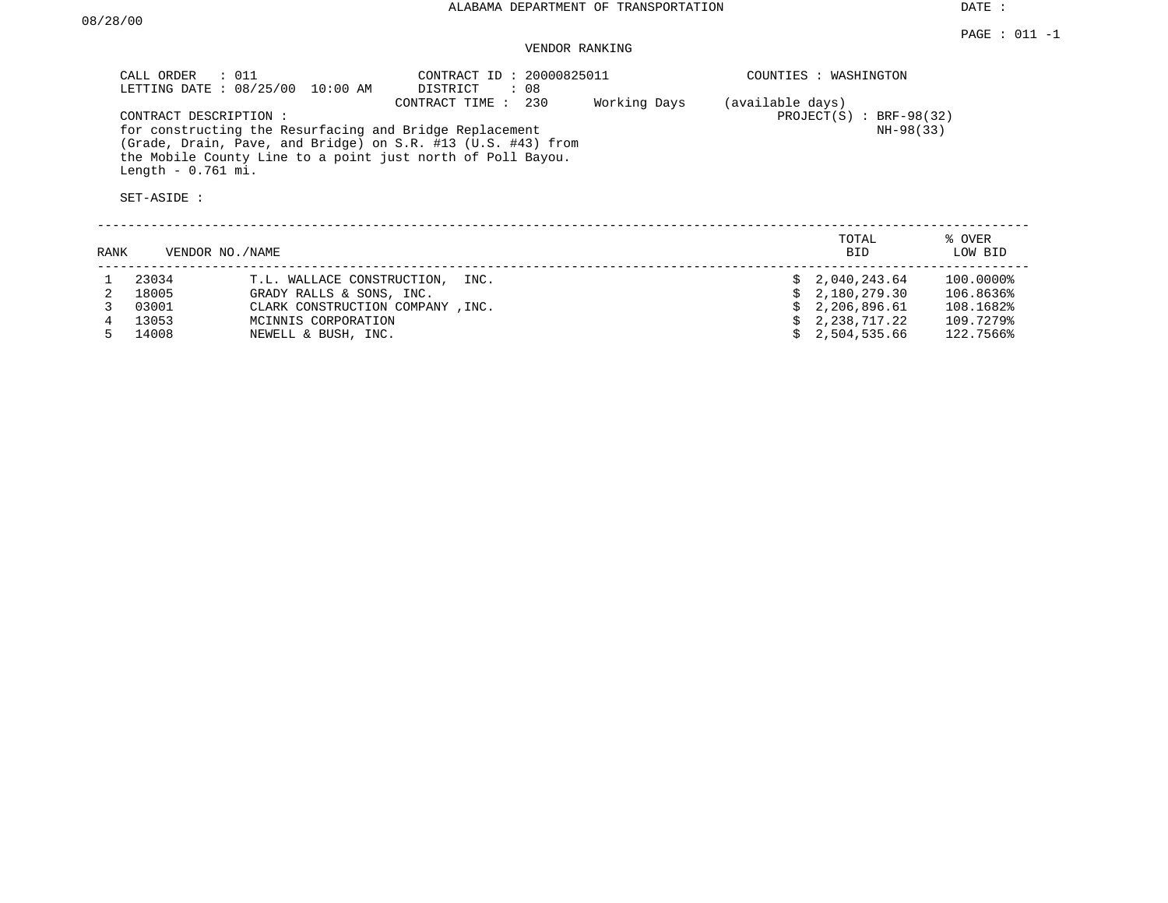DATE :

## VENDOR RANKING

| : 011<br>CALL ORDER<br>LETTING DATE : 08/25/00 10:00 AM                                                                                                                                | CONTRACT ID: 20000825011<br>: 08<br>DISTRICT |              | COUNTIES :<br>WASHINGTON     |
|----------------------------------------------------------------------------------------------------------------------------------------------------------------------------------------|----------------------------------------------|--------------|------------------------------|
|                                                                                                                                                                                        | 230<br>CONTRACT TIME :                       | Working Days | (available days)             |
| CONTRACT DESCRIPTION:                                                                                                                                                                  |                                              |              | $PROJECT(S)$ :<br>BRF-98(32) |
| for constructing the Resurfacing and Bridge Replacement<br>(Grade, Drain, Pave, and Bridge) on S.R. #13 (U.S. #43) from<br>the Mobile County Line to a point just north of Poll Bayou. |                                              |              | NH-98(33)                    |
| Length $-0.761$ mi.                                                                                                                                                                    |                                              |              |                              |
| SET-ASIDE :                                                                                                                                                                            |                                              |              |                              |

| RANK | VENDOR NO./NAME |                                    | TOTAL<br><b>BID</b> | % OVER<br>LOW BID |
|------|-----------------|------------------------------------|---------------------|-------------------|
|      | 23034           | T.L. WALLACE CONSTRUCTION,<br>INC. | \$2.040.243.64      | 100.0000%         |
|      | 18005           | GRADY RALLS & SONS, INC.           | \$2,180,279.30      | 106.8636%         |
|      | 03001           | CLARK CONSTRUCTION COMPANY, INC.   | \$2,206,896.61      | 108.1682%         |
|      | 13053           | MCINNIS CORPORATION                | \$2,238,717.22      | 109.7279%         |
|      | 14008           | NEWELL & BUSH, INC.                | 2,504,535.66        | 122.7566%         |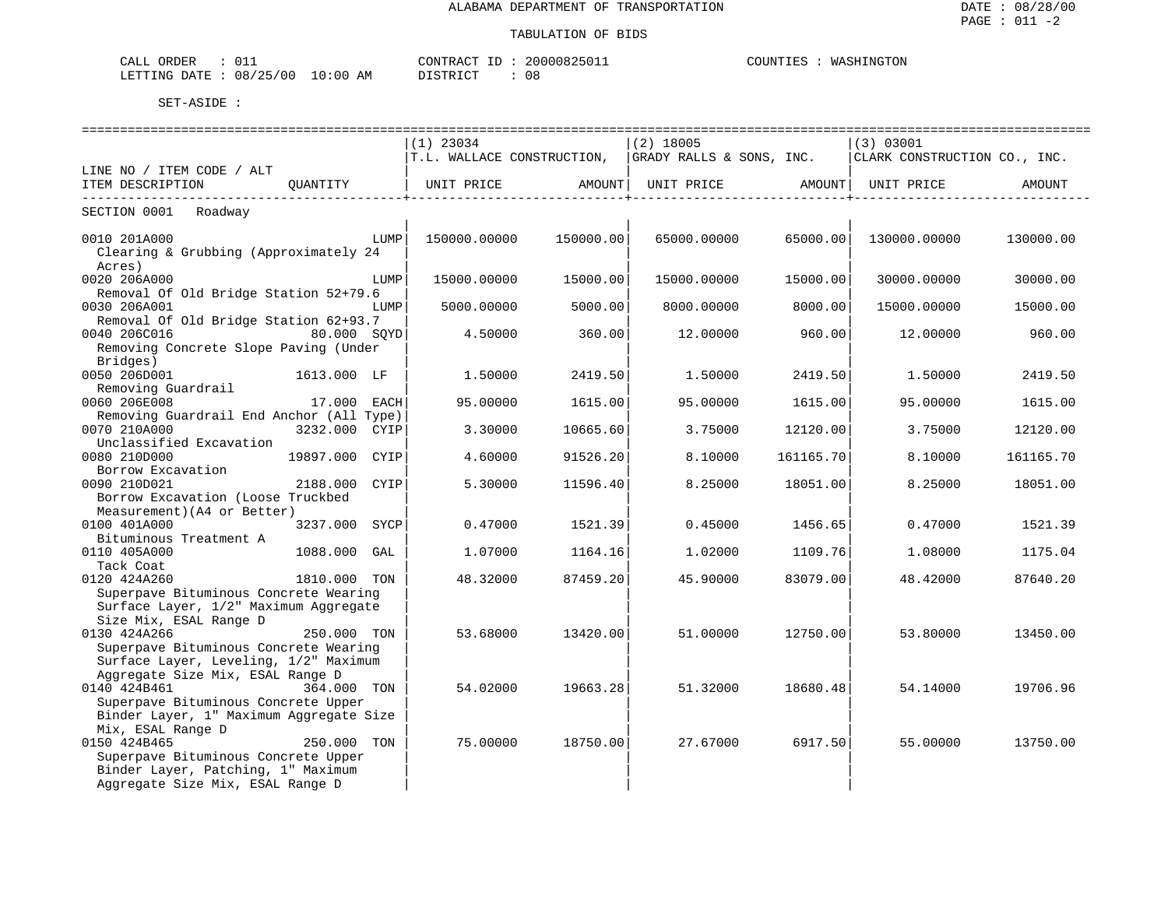| ORDER<br>∪⊥⊥∟<br>للدائب                       |             | $\cap$ $\cap$<br>RА<br>$\mathbf{r}$     | $^{\prime\prime}$ | COUNTIES<br>WASHINGTON |
|-----------------------------------------------|-------------|-----------------------------------------|-------------------|------------------------|
| LETTING<br>' ດ ເ<br><b>DATT</b><br>08<br>25 ' | ΑM<br>፡ 0 0 | $\sim$ $\sim$ $\sim$<br>$\sqrt{2}$<br>. | ັບປ               |                        |

| =======================<br>===================    |              |                    |             |                   |                                                                                             |           |
|---------------------------------------------------|--------------|--------------------|-------------|-------------------|---------------------------------------------------------------------------------------------|-----------|
|                                                   | $(1)$ 23034  |                    | $(2)$ 18005 |                   | (3) 03001                                                                                   |           |
|                                                   |              |                    |             |                   | $ T.L.$ WALLACE CONSTRUCTION, $ GRADY.$ RALLS & SONS, INC. $ CHARK.$ CONSTRUCTION CO., INC. |           |
| LINE NO / ITEM CODE / ALT                         |              |                    |             |                   |                                                                                             |           |
| ITEM DESCRIPTION QUANTITY                         | UNIT PRICE   | AMOUNT             | UNIT PRICE  | AMOUNT            | UNIT PRICE                                                                                  | AMOUNT    |
|                                                   |              | ------------------ |             | _________________ |                                                                                             |           |
| SECTION 0001 Roadway                              |              |                    |             |                   |                                                                                             |           |
|                                                   |              |                    |             |                   |                                                                                             |           |
| 0010 201A000                                      | 150000.00000 | 150000.00          | 65000.00000 |                   | 65000.00  130000.00000                                                                      | 130000.00 |
| Clearing & Grubbing (Approximately 24             |              |                    |             |                   |                                                                                             |           |
| Acres)                                            |              |                    |             |                   |                                                                                             |           |
| 0020 206A000<br>LUMP                              | 15000.00000  | 15000.00           | 15000.00000 | 15000.00          | 30000.00000                                                                                 | 30000.00  |
| Removal Of Old Bridge Station 52+79.6             |              |                    |             |                   |                                                                                             |           |
| 0030 206A001<br>LUMP                              | 5000.00000   | 5000.00            | 8000.00000  | 8000.00           | 15000.00000                                                                                 | 15000.00  |
| Removal Of Old Bridge Station 62+93.7             |              |                    |             |                   |                                                                                             |           |
| 0040 206C016<br>80.000 SOYD                       | 4.50000      | 360.00             | 12.00000    | 960.00            | 12.00000                                                                                    | 960.00    |
| Removing Concrete Slope Paving (Under             |              |                    |             |                   |                                                                                             |           |
| Bridges)                                          |              |                    |             |                   |                                                                                             |           |
| 0050 206D001<br>1613.000 LF                       | 1.50000      | 2419.50            | 1.50000     | 2419.50           | 1.50000                                                                                     | 2419.50   |
| Removing Guardrail<br>0060 206E008<br>17.000 EACH |              |                    |             |                   | 95.00000                                                                                    |           |
| Removing Guardrail End Anchor (All Type)          | 95.00000     | 1615.00            | 95.00000    | 1615.00           |                                                                                             | 1615.00   |
| 0070 210A000<br>3232.000 CYIP                     | 3.30000      | 10665.60           | 3.75000     | 12120.00          | 3.75000                                                                                     | 12120.00  |
| Unclassified Excavation                           |              |                    |             |                   |                                                                                             |           |
| 0080 210D000<br>19897.000 CYIP                    | 4.60000      | 91526.20           | 8.10000     | 161165.70         | 8.10000                                                                                     | 161165.70 |
| Borrow Excavation                                 |              |                    |             |                   |                                                                                             |           |
| 2188.000 CYIP<br>0090 210D021                     | 5.30000      | 11596.40           | 8.25000     | 18051.00          | 8.25000                                                                                     | 18051.00  |
| Borrow Excavation (Loose Truckbed                 |              |                    |             |                   |                                                                                             |           |
| Measurement) (A4 or Better)                       |              |                    |             |                   |                                                                                             |           |
| 0100 401A000<br>3237.000 SYCP                     | 0.47000      | 1521.39            | 0.45000     | 1456.651          | 0.47000                                                                                     | 1521.39   |
| Bituminous Treatment A                            |              |                    |             |                   |                                                                                             |           |
| 0110 405A000<br>1088.000 GAL                      | 1,07000      | 1164.16            | 1.02000     | 1109.76           | 1.08000                                                                                     | 1175.04   |
| Tack Coat                                         |              |                    |             |                   |                                                                                             |           |
| 0120 424A260<br>1810.000 TON                      | 48.32000     | 87459.20           | 45.90000    | 83079.00          | 48.42000                                                                                    | 87640.20  |
| Superpave Bituminous Concrete Wearing             |              |                    |             |                   |                                                                                             |           |
| Surface Layer, 1/2" Maximum Aggregate             |              |                    |             |                   |                                                                                             |           |
| Size Mix, ESAL Range D                            |              |                    |             |                   |                                                                                             |           |
| 0130 424A266<br>250.000 TON                       | 53.68000     | 13420.00           | 51.00000    | 12750.00          | 53.80000                                                                                    | 13450.00  |
| Superpave Bituminous Concrete Wearing             |              |                    |             |                   |                                                                                             |           |
| Surface Layer, Leveling, 1/2" Maximum             |              |                    |             |                   |                                                                                             |           |
| Aggregate Size Mix, ESAL Range D                  |              |                    |             |                   |                                                                                             |           |
| 0140 424B461<br>364.000 TON                       | 54.02000     | 19663.28           | 51.32000    | 18680.48          | 54.14000                                                                                    | 19706.96  |
| Superpave Bituminous Concrete Upper               |              |                    |             |                   |                                                                                             |           |
| Binder Layer, 1" Maximum Aggregate Size           |              |                    |             |                   |                                                                                             |           |
| Mix, ESAL Range D                                 |              |                    |             |                   |                                                                                             |           |
| 0150 424B465<br>250.000 TON                       | 75.00000     | 18750.00           | 27.67000    | 6917.50           | 55.00000                                                                                    | 13750.00  |
| Superpave Bituminous Concrete Upper               |              |                    |             |                   |                                                                                             |           |
| Binder Layer, Patching, 1" Maximum                |              |                    |             |                   |                                                                                             |           |
| Aggregate Size Mix, ESAL Range D                  |              |                    |             |                   |                                                                                             |           |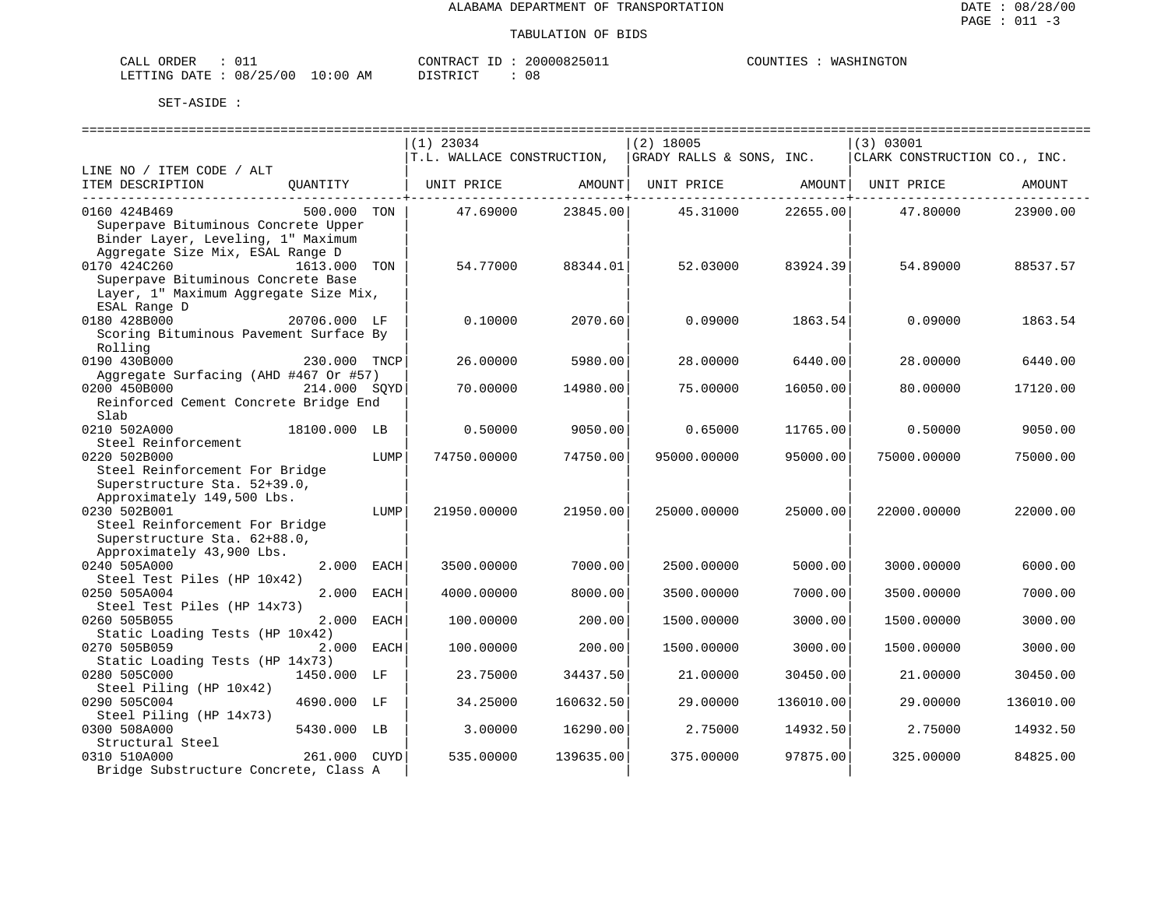| ORDER<br>$\sim$ $ -$<br>$\Lambda$<br>للسلطات |                          |                | <b>PONTRAL</b> | ノウリエュ | יזודררי<br><b>MA</b><br>N(1)<br>ا ⊂ە⊡ ⊥. |
|----------------------------------------------|--------------------------|----------------|----------------|-------|------------------------------------------|
| DATE<br>LETTING                              | 08<br>12E<br>/00<br>ر ہے | :00<br>AM<br>. | דת סידי את     | UC    |                                          |

|                                                                                            |              |      | $(1)$ 23034                |                               | $(2)$ 18005                  |                  | (3) 03001                    |           |
|--------------------------------------------------------------------------------------------|--------------|------|----------------------------|-------------------------------|------------------------------|------------------|------------------------------|-----------|
|                                                                                            |              |      | T.L. WALLACE CONSTRUCTION, |                               | GRADY RALLS & SONS, INC.     |                  | CLARK CONSTRUCTION CO., INC. |           |
| LINE NO / ITEM CODE / ALT                                                                  |              |      |                            |                               |                              |                  |                              |           |
| ITEM DESCRIPTION                                                                           | OUANTITY     |      | UNIT PRICE                 | AMOUNT                        | UNIT PRICE AMOUNT UNIT PRICE |                  |                              | AMOUNT    |
| -----------------------------------<br>0160 424B469<br>Superpave Bituminous Concrete Upper | 500.000 TON  |      | 47.69000                   | ----------+------<br>23845.00 | 45.31000 22655.00            | ---------+------ | 47.80000                     | 23900.00  |
| Binder Layer, Leveling, 1" Maximum<br>Aggregate Size Mix, ESAL Range D                     |              |      |                            |                               |                              |                  |                              |           |
| 0170 424C260                                                                               | 1613.000 TON |      | 54.77000                   | 88344.01                      | 52.03000                     | 83924.39         | 54.89000                     | 88537.57  |
| Superpave Bituminous Concrete Base                                                         |              |      |                            |                               |                              |                  |                              |           |
| Layer, 1" Maximum Aggregate Size Mix,                                                      |              |      |                            |                               |                              |                  |                              |           |
| ESAL Range D                                                                               |              |      |                            |                               |                              |                  |                              |           |
| 0180 428B000                                                                               | 20706.000 LF |      | 0.10000                    | 2070.60                       | 0.09000                      | 1863.54          | 0.09000                      | 1863.54   |
| Scoring Bituminous Pavement Surface By                                                     |              |      |                            |                               |                              |                  |                              |           |
| Rolling                                                                                    |              |      |                            |                               |                              |                  |                              |           |
| 0190 430B000                                                                               | 230.000 TNCP |      | 26.00000                   | 5980.00                       | 28.00000                     | 6440.00          | 28.00000                     | 6440.00   |
| Aggregate Surfacing (AHD #467 Or #57)                                                      |              |      |                            |                               |                              |                  |                              |           |
| 0200 450B000                                                                               | 214.000 SOYD |      | 70.00000                   | 14980.00                      | 75.00000                     | 16050.00         | 80.00000                     | 17120.00  |
| Reinforced Cement Concrete Bridge End                                                      |              |      |                            |                               |                              |                  |                              |           |
| Slab                                                                                       |              |      |                            |                               |                              |                  |                              |           |
| 0210 502A000                                                                               | 18100.000 LB |      | 0.50000                    | 9050.00                       | 0.65000                      | 11765.00         | 0.50000                      | 9050.00   |
| Steel Reinforcement                                                                        |              |      |                            |                               |                              |                  |                              |           |
| 0220 502B000                                                                               |              | LUMP | 74750.00000                | 74750.00                      | 95000.00000                  | 95000.00         | 75000.00000                  | 75000.00  |
| Steel Reinforcement For Bridge                                                             |              |      |                            |                               |                              |                  |                              |           |
| Superstructure Sta. 52+39.0,                                                               |              |      |                            |                               |                              |                  |                              |           |
| Approximately 149,500 Lbs.                                                                 |              |      |                            |                               |                              |                  |                              |           |
| 0230 502B001                                                                               |              | LUMP | 21950.00000                | 21950.00                      | 25000.00000                  | 25000.00         | 22000.00000                  | 22000.00  |
| Steel Reinforcement For Bridge                                                             |              |      |                            |                               |                              |                  |                              |           |
| Superstructure Sta. 62+88.0,                                                               |              |      |                            |                               |                              |                  |                              |           |
| Approximately 43,900 Lbs.                                                                  |              |      |                            |                               |                              |                  |                              |           |
| 0240 505A000                                                                               | 2.000 EACH   |      | 3500.00000                 | 7000.00                       | 2500.00000                   | 5000.00          | 3000.00000                   | 6000.00   |
| Steel Test Piles (HP 10x42)                                                                |              |      |                            |                               |                              |                  |                              |           |
| 0250 505A004                                                                               | 2.000        | EACH | 4000.00000                 | 8000.00                       | 3500.00000                   | 7000.00          | 3500.00000                   | 7000.00   |
| Steel Test Piles (HP 14x73)                                                                |              |      |                            |                               |                              |                  |                              |           |
| 0260 505B055                                                                               | 2.000        | EACH | 100.00000                  | 200.00                        | 1500.00000                   | 3000.00          | 1500.00000                   | 3000.00   |
| Static Loading Tests (HP 10x42)                                                            |              |      |                            |                               |                              |                  |                              |           |
| 0270 505B059                                                                               | 2.000        | EACH | 100.00000                  | 200.00                        | 1500.00000                   | 3000.00          | 1500.00000                   | 3000.00   |
| Static Loading Tests (HP 14x73)                                                            |              |      |                            |                               |                              |                  |                              |           |
| 0280 505C000                                                                               | 1450.000 LF  |      | 23.75000                   | 34437.50                      | 21.00000                     | 30450.00         | 21.00000                     | 30450.00  |
| Steel Piling (HP 10x42)                                                                    |              |      |                            |                               |                              |                  |                              |           |
| 0290 505C004                                                                               | 4690.000 LF  |      | 34.25000                   | 160632.50                     | 29.00000                     | 136010.00        | 29.00000                     | 136010.00 |
| Steel Piling (HP 14x73)                                                                    |              |      |                            |                               |                              |                  |                              |           |
| 0300 508A000                                                                               | 5430.000 LB  |      | 3.00000                    | 16290.00                      | 2.75000                      | 14932.50         | 2.75000                      | 14932.50  |
| Structural Steel                                                                           |              |      |                            |                               |                              |                  |                              |           |
| 0310 510A000                                                                               | 261.000 CUYD |      | 535.00000                  | 139635.00                     | 375.00000                    | 97875.00         | 325.00000                    | 84825.00  |
| Bridge Substructure Concrete, Class A                                                      |              |      |                            |                               |                              |                  |                              |           |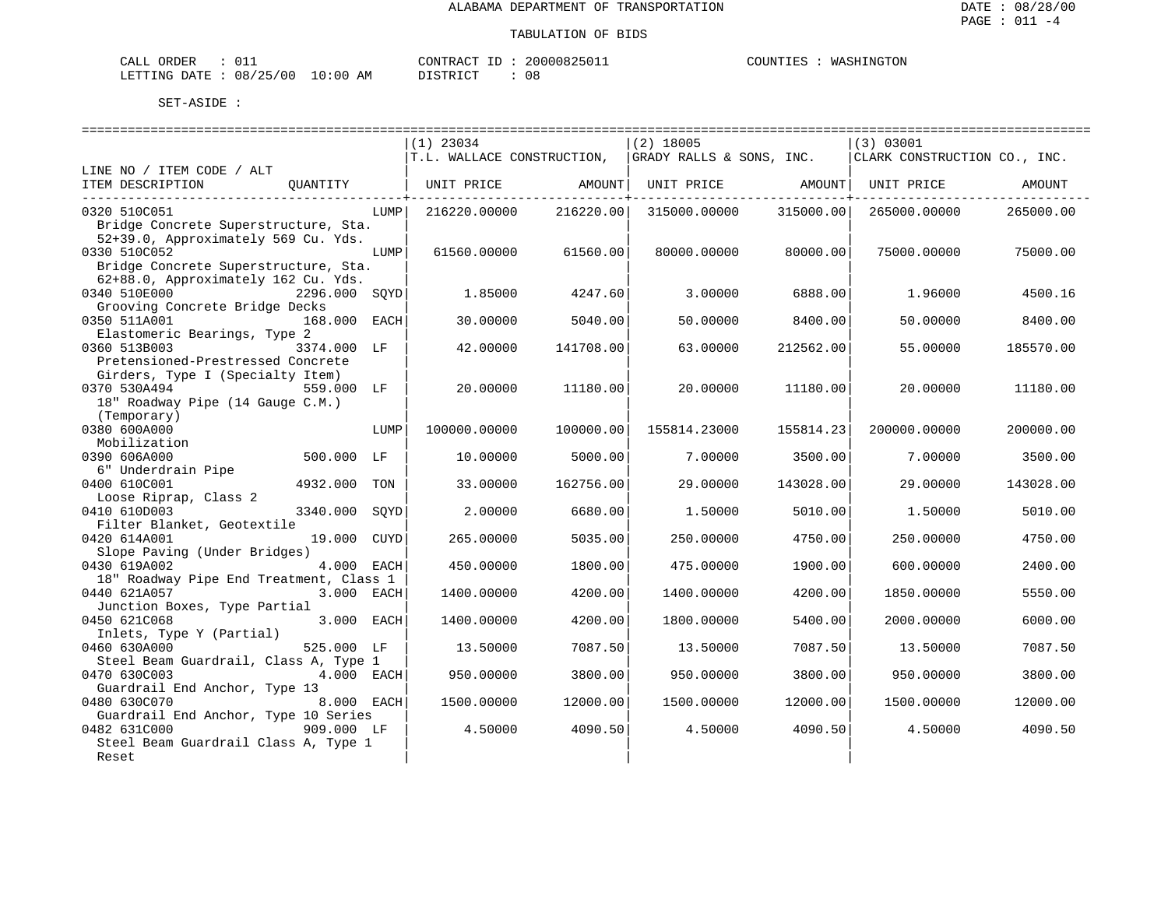| ORDER<br>$\sim$ $ -$<br>$\Lambda$<br>للسلطات |                          |                | <b>PONTRAL</b> | ノウリエュ | יזודררי<br><b>MA</b><br>N(1)<br>ا ⊂ە⊡ ⊥. |
|----------------------------------------------|--------------------------|----------------|----------------|-------|------------------------------------------|
| DATE<br>LETTING                              | 08<br>12E<br>/00<br>ر ہے | :00<br>AM<br>. | דת סידי את     | UC    |                                          |

|                                                                       | $(1)$ 23034                | $(2)$ 18005               | (3) 03001                    |  |  |
|-----------------------------------------------------------------------|----------------------------|---------------------------|------------------------------|--|--|
|                                                                       | T.L. WALLACE CONSTRUCTION, | GRADY RALLS & SONS, INC.  | CLARK CONSTRUCTION CO., INC. |  |  |
| LINE NO / ITEM CODE / ALT                                             |                            |                           |                              |  |  |
| ITEM DESCRIPTION<br>QUANTITY                                          | UNIT PRICE<br>AMOUNT       | UNIT PRICE<br>AMOUNT      | UNIT PRICE<br>AMOUNT         |  |  |
|                                                                       |                            |                           |                              |  |  |
| 0320 510C051<br>LUMP                                                  | 216220.00000<br>216220.00  | 315000.00000<br>315000.00 | 265000.00000<br>265000.00    |  |  |
| Bridge Concrete Superstructure, Sta.                                  |                            |                           |                              |  |  |
| 52+39.0, Approximately 569 Cu. Yds.                                   |                            |                           |                              |  |  |
| 0330 510C052<br>LUMP                                                  | 61560.00000<br>61560.00    | 80000.00<br>80000.00000   | 75000.00000<br>75000.00      |  |  |
| Bridge Concrete Superstructure, Sta.                                  |                            |                           |                              |  |  |
| 62+88.0, Approximately 162 Cu. Yds.                                   |                            |                           |                              |  |  |
| 0340 510E000<br>2296.000<br>SQYD                                      | 1.85000<br>4247.60         | 3.00000<br>6888.00        | 4500.16<br>1.96000           |  |  |
| Grooving Concrete Bridge Decks<br>0350 511A001                        |                            |                           |                              |  |  |
| 168.000 EACH<br>Elastomeric Bearings, Type 2                          | 30.00000<br>5040.00        | 50.00000<br>8400.00       | 50.00000<br>8400.00          |  |  |
| 0360 513B003<br>3374.000 LF                                           | 42.00000<br>141708.00      | 63.00000<br>212562.00     | 55.00000<br>185570.00        |  |  |
| Pretensioned-Prestressed Concrete                                     |                            |                           |                              |  |  |
| Girders, Type I (Specialty Item)                                      |                            |                           |                              |  |  |
| 0370 530A494<br>559.000 LF                                            | 20.00000<br>11180.00       | 20.00000<br>11180.00      | 20,00000<br>11180.00         |  |  |
| 18" Roadway Pipe (14 Gauge C.M.)                                      |                            |                           |                              |  |  |
| (Temporary)                                                           |                            |                           |                              |  |  |
| 0380 600A000<br>LUMP                                                  | 100000.00000<br>100000.00  | 155814.23000<br>155814.23 | 200000.00000<br>200000.00    |  |  |
| Mobilization                                                          |                            |                           |                              |  |  |
| 0390 606A000<br>500.000 LF                                            | 5000.00<br>10.00000        | 7.00000<br>3500.00        | 7.00000<br>3500.00           |  |  |
| 6" Underdrain Pipe                                                    |                            |                           |                              |  |  |
| 0400 610C001<br>4932.000<br>TON                                       | 33.00000<br>162756.00      | 29,00000<br>143028.00     | 29.00000<br>143028.00        |  |  |
| Loose Riprap, Class 2                                                 |                            |                           |                              |  |  |
| 0410 610D003<br>3340.000<br>SOYD                                      | 2.00000<br>6680.00         | 1.50000<br>5010.00        | 1.50000<br>5010.00           |  |  |
| Filter Blanket, Geotextile                                            |                            |                           |                              |  |  |
| 0420 614A001<br>19.000 CUYD                                           | 265.00000<br>5035.00       | 250.00000<br>4750.00      | 4750.00<br>250.00000         |  |  |
| Slope Paving (Under Bridges)                                          |                            |                           |                              |  |  |
| 4.000 EACH<br>0430 619A002                                            | 450.00000<br>1800.00       | 475.00000<br>1900.00      | 600.00000<br>2400.00         |  |  |
| 18" Roadway Pipe End Treatment, Class 1<br>0440 621A057<br>3.000 EACH |                            |                           |                              |  |  |
| Junction Boxes, Type Partial                                          | 1400.00000<br>4200.00      | 1400.00000<br>4200.00     | 1850.00000<br>5550.00        |  |  |
| 0450 621C068<br>3.000 EACH                                            | 4200.00<br>1400.00000      | 1800.00000<br>5400.00     | 2000.00000<br>6000.00        |  |  |
| Inlets, Type Y (Partial)                                              |                            |                           |                              |  |  |
| 0460 630A000<br>525.000 LF                                            | 7087.50<br>13.50000        | 13.50000<br>7087.50       | 7087.50<br>13.50000          |  |  |
| Steel Beam Guardrail, Class A, Type 1                                 |                            |                           |                              |  |  |
| 0470 630C003<br>4.000 EACH                                            | 950.00000<br>3800.00       | 950.00000<br>3800.00      | 950.00000<br>3800.00         |  |  |
| Guardrail End Anchor, Type 13                                         |                            |                           |                              |  |  |
| 0480 630C070<br>8.000 EACH                                            | 1500.00000<br>12000.00     | 12000.00<br>1500.00000    | 1500.00000<br>12000.00       |  |  |
| Guardrail End Anchor, Type 10 Series                                  |                            |                           |                              |  |  |
| 0482 631C000<br>909.000 LF                                            | 4090.50<br>4.50000         | 4.50000<br>4090.50        | 4.50000<br>4090.50           |  |  |
| Steel Beam Guardrail Class A, Type 1                                  |                            |                           |                              |  |  |
| Reset                                                                 |                            |                           |                              |  |  |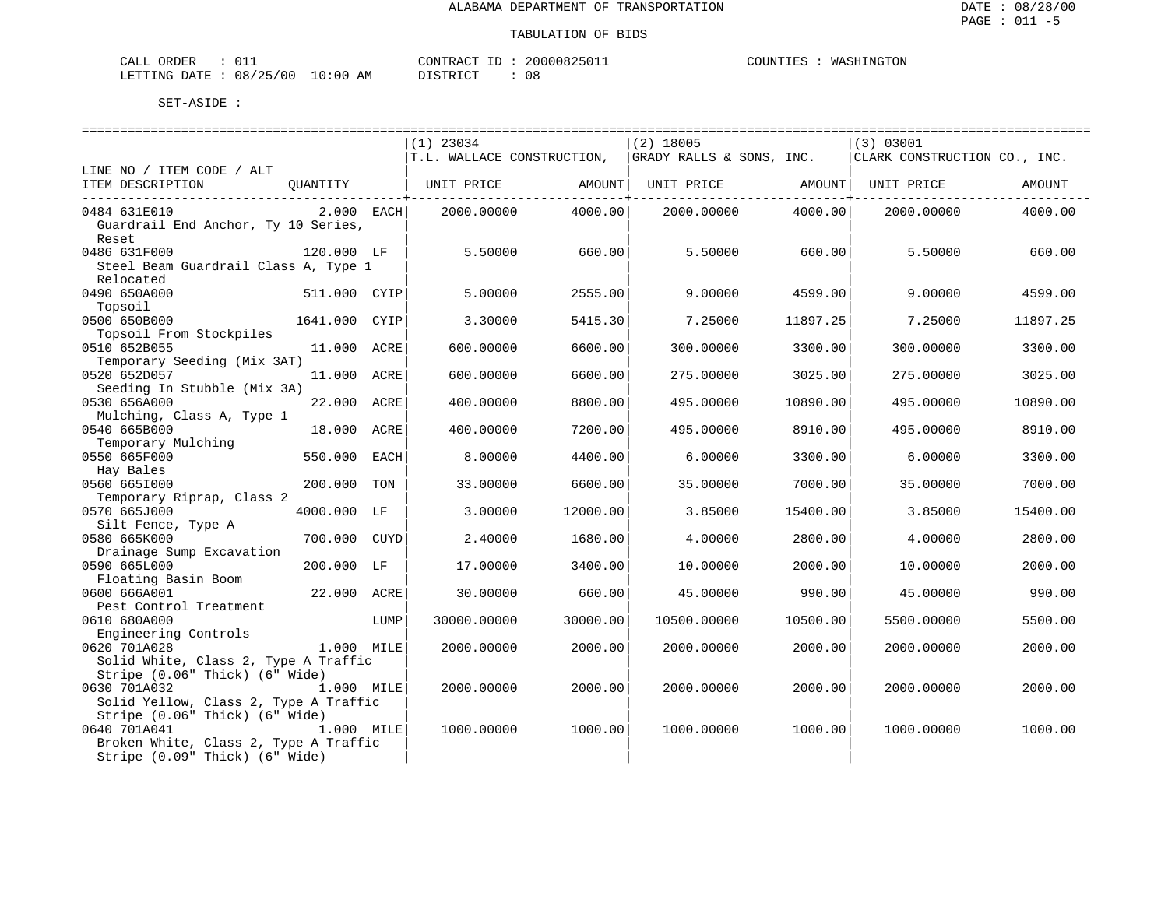| ORDER<br>CALL          |            | CONTRACT<br>ID | 2000082501⊥ | COUNTIES | WASHINGTON |
|------------------------|------------|----------------|-------------|----------|------------|
| LETTING DATE: 08/25/00 | $10:00$ AM | DISTRICT       | UC          |          |            |

|                                       |               |      | $(1)$ 23034                |                          | $(2)$ 18005              |          | (3) 03001                                 |          |
|---------------------------------------|---------------|------|----------------------------|--------------------------|--------------------------|----------|-------------------------------------------|----------|
|                                       |               |      | T.L. WALLACE CONSTRUCTION, |                          | GRADY RALLS & SONS, INC. |          | CLARK CONSTRUCTION CO., INC.              |          |
| LINE NO / ITEM CODE / ALT             |               |      |                            |                          |                          |          |                                           |          |
| ITEM DESCRIPTION                      | QUANTITY      |      | UNIT PRICE                 | AMOUNT<br>------------+- | UNIT PRICE               | AMOUNT   | UNIT PRICE<br>---------------+----------- | AMOUNT   |
| 0484 631E010                          | 2.000 EACH    |      | 2000.00000                 | 4000.00                  | 2000.00000               | 4000.001 | 2000.00000                                | 4000.00  |
| Guardrail End Anchor, Ty 10 Series,   |               |      |                            |                          |                          |          |                                           |          |
| Reset<br>0486 631F000                 | 120.000 LF    |      | 5.50000                    |                          |                          |          |                                           |          |
| Steel Beam Guardrail Class A, Type 1  |               |      |                            | 660.00                   | 5.50000                  | 660.00   | 5.50000                                   | 660.00   |
| Relocated                             |               |      |                            |                          |                          |          |                                           |          |
| 0490 650A000                          | 511.000 CYIP  |      | 5.00000                    | 2555.00                  | 9,00000                  | 4599.00  | 9,00000                                   | 4599.00  |
| Topsoil                               |               |      |                            |                          |                          |          |                                           |          |
| 0500 650B000                          | 1641.000 CYIP |      | 3.30000                    | 5415.30                  | 7.25000                  | 11897.25 | 7.25000                                   | 11897.25 |
| Topsoil From Stockpiles               |               |      |                            |                          |                          |          |                                           |          |
| 0510 652B055                          | 11.000 ACRE   |      | 600,00000                  | 6600.00                  | 300,00000                | 3300.00  | 300.00000                                 | 3300.00  |
| Temporary Seeding (Mix 3AT)           |               |      |                            |                          |                          |          |                                           |          |
| 0520 652D057                          | 11.000 ACRE   |      | 600.00000                  | 6600.00                  | 275.00000                | 3025.00  | 275.00000                                 | 3025.00  |
| Seeding In Stubble (Mix 3A)           |               |      |                            |                          |                          |          |                                           |          |
| 0530 656A000                          | 22.000 ACRE   |      | 400.00000                  | 8800.00                  | 495.00000                | 10890.00 | 495.00000                                 | 10890.00 |
| Mulching, Class A, Type 1             |               |      |                            |                          |                          |          |                                           |          |
| 0540 665B000                          | 18.000        | ACRE | 400.00000                  | 7200.00                  | 495.00000                | 8910.00  | 495.00000                                 | 8910.00  |
| Temporary Mulching<br>0550 665F000    | 550.000       | EACH | 8.00000                    | 4400.00                  | 6.00000                  | 3300.00  | 6.00000                                   | 3300.00  |
| Hay Bales                             |               |      |                            |                          |                          |          |                                           |          |
| 0560 6651000                          | 200.000 TON   |      | 33.00000                   | 6600.00                  | 35,00000                 | 7000.00  | 35.00000                                  | 7000.00  |
| Temporary Riprap, Class 2             |               |      |                            |                          |                          |          |                                           |          |
| 0570 665J000                          | 4000.000 LF   |      | 3.00000                    | 12000.00                 | 3.85000                  | 15400.00 | 3.85000                                   | 15400.00 |
| Silt Fence, Type A                    |               |      |                            |                          |                          |          |                                           |          |
| 0580 665K000                          | 700.000       | CUYD | 2.40000                    | 1680.00                  | 4.00000                  | 2800.00  | 4.00000                                   | 2800.00  |
| Drainage Sump Excavation              |               |      |                            |                          |                          |          |                                           |          |
| 0590 665L000                          | 200.000 LF    |      | 17.00000                   | 3400.00                  | 10.00000                 | 2000.00  | 10.00000                                  | 2000.00  |
| Floating Basin Boom                   |               |      |                            |                          |                          |          |                                           |          |
| 0600 666A001                          | 22.000 ACRE   |      | 30.00000                   | 660.00                   | 45.00000                 | 990.00   | 45.00000                                  | 990.00   |
| Pest Control Treatment                |               |      |                            |                          |                          |          |                                           |          |
| 0610 680A000<br>Engineering Controls  |               | LUMP | 30000.00000                | 30000.00                 | 10500.00000              | 10500.00 | 5500.00000                                | 5500.00  |
| 0620 701A028                          | 1.000 MILE    |      | 2000.00000                 | 2000.00                  | 2000.00000               | 2000.00  | 2000.00000                                | 2000.00  |
| Solid White, Class 2, Type A Traffic  |               |      |                            |                          |                          |          |                                           |          |
| Stripe (0.06" Thick) (6" Wide)        |               |      |                            |                          |                          |          |                                           |          |
| 0630 701A032<br>1.000 MILE            |               |      | 2000.00000                 | 2000.00                  | 2000.00000               | 2000.00  | 2000.00000                                | 2000.00  |
| Solid Yellow, Class 2, Type A Traffic |               |      |                            |                          |                          |          |                                           |          |
| Stripe (0.06" Thick) (6" Wide)        |               |      |                            |                          |                          |          |                                           |          |
| 0640 701A041                          | 1.000 MILE    |      | 1000.00000                 | 1000.00                  | 1000.00000               | 1000.00  | 1000.00000                                | 1000.00  |
| Broken White, Class 2, Type A Traffic |               |      |                            |                          |                          |          |                                           |          |
| Stripe (0.09" Thick) (6" Wide)        |               |      |                            |                          |                          |          |                                           |          |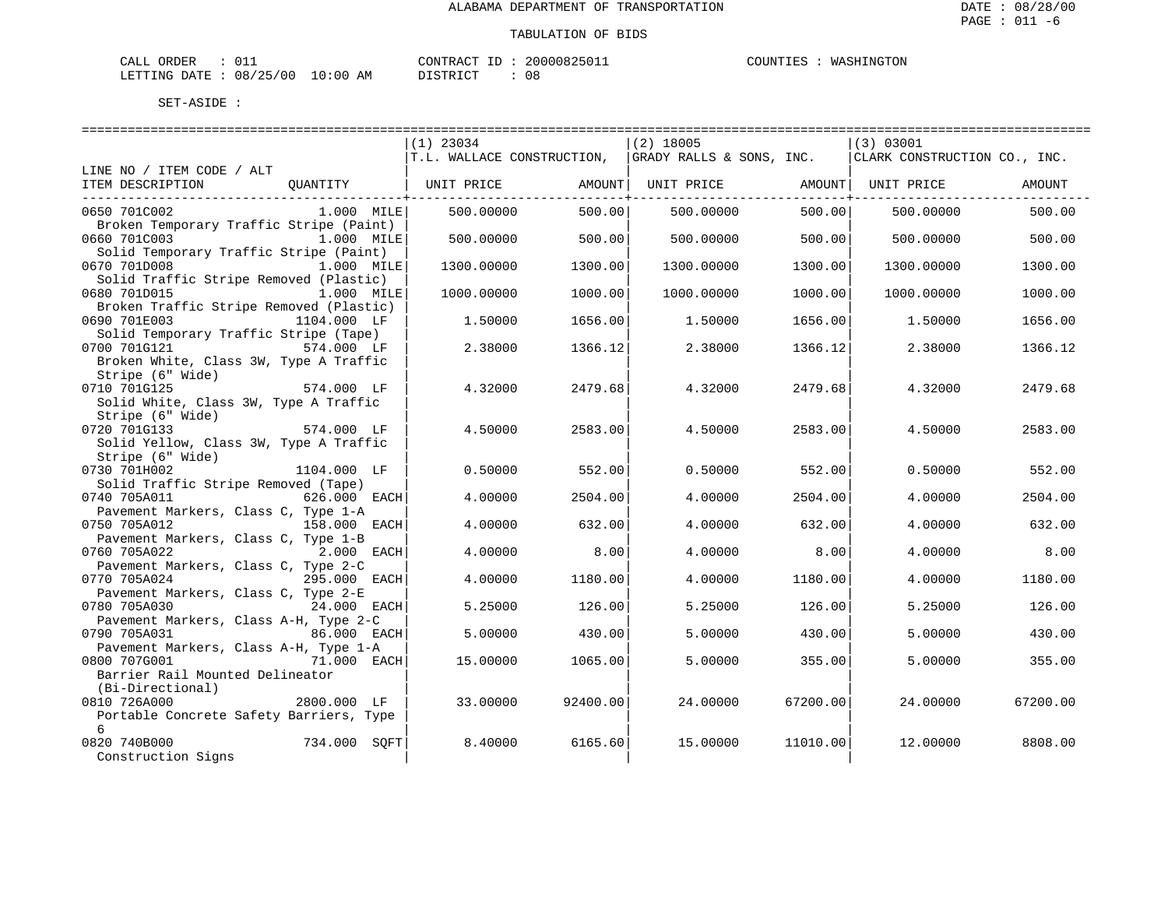| $\sim$ $\sim$<br>ORDER<br>$\sim - -$<br>CALL |                             | CONTRACT<br>$-1$ | 'UUUUX<br>350 L L | COUNT<br>ا ا الساسد ال | NGTON<br>"⊔⊅ ∆™ |
|----------------------------------------------|-----------------------------|------------------|-------------------|------------------------|-----------------|
| /25/00<br>08<br>DATE<br>LETTING<br>ر ہے      | :00<br>$\sim$<br>AΜ<br>'. U | DISTRICT         | $\sim$<br>UC      |                        |                 |

DISTRICT : 08

|                                                       |              | $(1)$ 23034                |          | $(2)$ 18005              |          | (3) 03001                    |          |
|-------------------------------------------------------|--------------|----------------------------|----------|--------------------------|----------|------------------------------|----------|
|                                                       |              | T.L. WALLACE CONSTRUCTION, |          | GRADY RALLS & SONS, INC. |          | CLARK CONSTRUCTION CO., INC. |          |
| LINE NO / ITEM CODE / ALT<br>ITEM DESCRIPTION         | OUANTITY     | UNIT PRICE                 | AMOUNT   | UNIT PRICE               | AMOUNT   | UNIT PRICE                   | AMOUNT   |
|                                                       |              |                            |          |                          |          |                              |          |
| 0650 701C002                                          | 1.000 MILE   | 500.00000                  | 500.00   | 500.00000                | 500.00   | 500,00000                    | 500.00   |
| Broken Temporary Traffic Stripe (Paint)               |              |                            |          |                          |          |                              |          |
| 0660 701C003                                          | 1.000 MILE   | 500.00000                  | 500.00   | 500.00000                | 500.00   | 500.00000                    | 500.00   |
| Solid Temporary Traffic Stripe (Paint)                |              |                            |          |                          |          |                              |          |
| 0670 701D008                                          | $1.000$ MILE | 1300.00000                 | 1300.00  | 1300.00000               | 1300.00  | 1300.00000                   | 1300.00  |
| Solid Traffic Stripe Removed (Plastic)                |              |                            |          |                          |          |                              |          |
| 0680 701D015                                          | 1.000 MILE   | 1000.00000                 | 1000.00  | 1000.00000               | 1000.00  | 1000.00000                   | 1000.00  |
| Broken Traffic Stripe Removed (Plastic)               |              |                            |          |                          |          |                              |          |
| 0690 701E003<br>Solid Temporary Traffic Stripe (Tape) | 1104.000 LF  | 1.50000                    | 1656.00  | 1.50000                  | 1656.00  | 1.50000                      | 1656.00  |
| 0700 701G121                                          | $574.000$ LF | 2.38000                    | 1366.12  | 2.38000                  | 1366.12  | 2.38000                      | 1366.12  |
| Broken White, Class 3W, Type A Traffic                |              |                            |          |                          |          |                              |          |
| Stripe (6" Wide)                                      |              |                            |          |                          |          |                              |          |
| 0710 701G125                                          | 574.000 LF   | 4.32000                    | 2479.68  | 4.32000                  | 2479.68  | 4.32000                      | 2479.68  |
| Solid White, Class 3W, Type A Traffic                 |              |                            |          |                          |          |                              |          |
| Stripe (6" Wide)                                      |              |                            |          |                          |          |                              |          |
| 0720 701G133                                          | 574.000 LF   | 4.50000                    | 2583.00  | 4.50000                  | 2583.00  | 4.50000                      | 2583.00  |
| Solid Yellow, Class 3W, Type A Traffic                |              |                            |          |                          |          |                              |          |
| Stripe (6" Wide)                                      |              |                            |          |                          |          |                              |          |
| 0730 701H002                                          | 1104.000 LF  | 0.50000                    | 552.00   | 0.50000                  | 552.00   | 0.50000                      | 552.00   |
| Solid Traffic Stripe Removed (Tape)                   |              |                            |          |                          |          |                              |          |
| 0740 705A011                                          | 626.000 EACH | 4.00000                    | 2504.00  | 4.00000                  | 2504.00  | 4.00000                      | 2504.00  |
| Pavement Markers, Class C, Type 1-A                   |              |                            |          |                          |          |                              |          |
| 0750 705A012                                          | 158.000 EACH | 4.00000                    | 632.00   | 4,00000                  | 632.00   | 4.00000                      | 632.00   |
| Pavement Markers, Class C, Type 1-B                   |              |                            |          |                          |          |                              |          |
| 0760 705A022                                          | 2.000 EACH   | 4.00000                    | 8.00     | 4.00000                  | 8.00     | 4.00000                      | 8.00     |
| Pavement Markers, Class C, Type 2-C<br>0770 705A024   | 295.000 EACH | 4.00000                    | 1180.00  | 4.00000                  | 1180.00  | 4.00000                      | 1180.00  |
| Pavement Markers, Class C, Type 2-E                   |              |                            |          |                          |          |                              |          |
| 0780 705A030                                          | 24.000 EACH  | 5.25000                    | 126.00   | 5.25000                  | 126.00   | 5.25000                      | 126.00   |
| Pavement Markers, Class A-H, Type 2-C                 |              |                            |          |                          |          |                              |          |
| 0790 705A031                                          | 86.000 EACH  | 5.00000                    | 430.00   | 5.00000                  | 430.00   | 5.00000                      | 430.00   |
| Pavement Markers, Class A-H, Type 1-A                 |              |                            |          |                          |          |                              |          |
| 0800 707G001                                          | 71.000 EACH  | 15,00000                   | 1065.00  | 5.00000                  | 355.00   | 5.00000                      | 355.00   |
| Barrier Rail Mounted Delineator                       |              |                            |          |                          |          |                              |          |
| (Bi-Directional)                                      |              |                            |          |                          |          |                              |          |
| 0810 726A000                                          | 2800.000 LF  | 33.00000                   | 92400.00 | 24,00000                 | 67200.00 | 24.00000                     | 67200.00 |
| Portable Concrete Safety Barriers, Type               |              |                            |          |                          |          |                              |          |
| 6                                                     |              |                            |          |                          |          |                              |          |
| 0820 740B000                                          | 734.000 SOFT | 8.40000                    | 6165.60  | 15.00000                 | 11010.00 | 12.00000                     | 8808.00  |
| Construction Signs                                    |              |                            |          |                          |          |                              |          |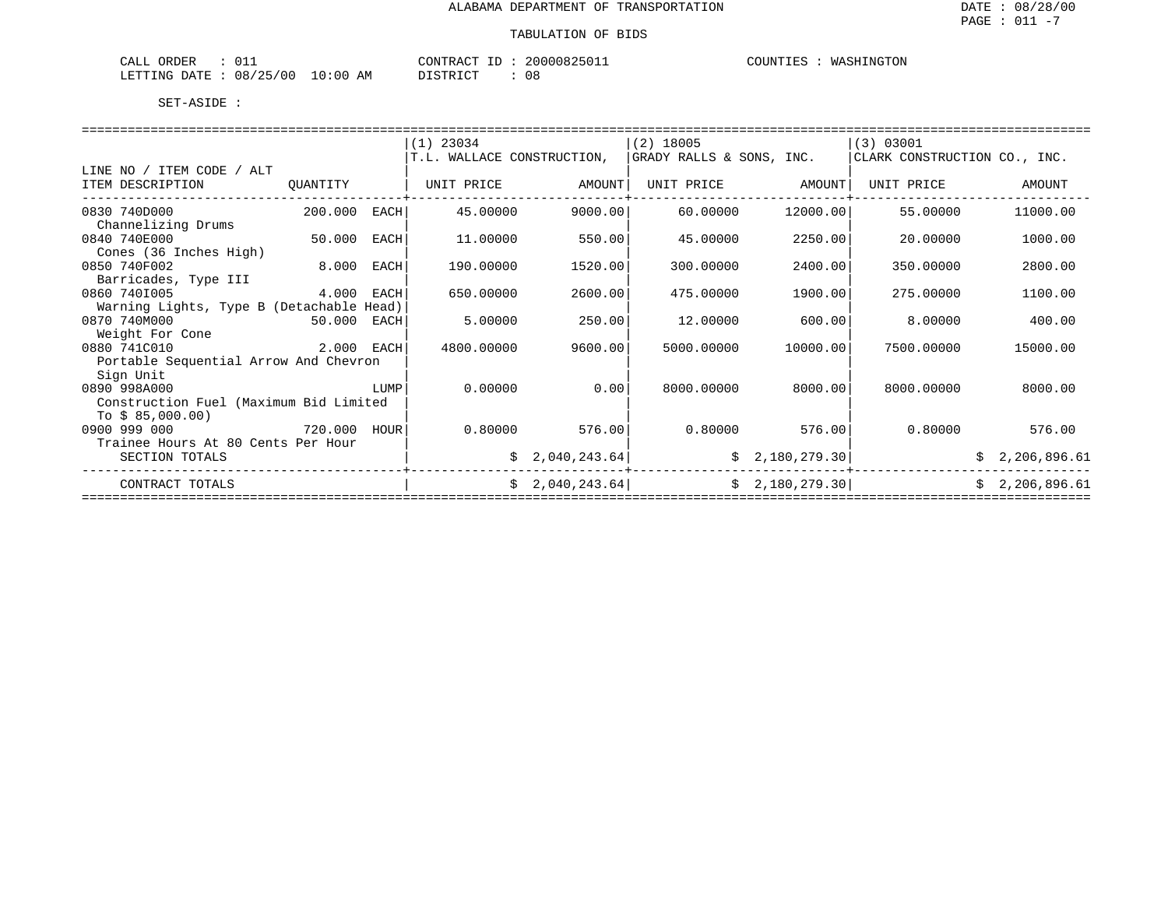| ORDER<br>CALL          |          |          | CONTRACT ID: 20000825011 | COUNTIES<br>: : WASHINGTON |
|------------------------|----------|----------|--------------------------|----------------------------|
| LETTING DATE: 08/25/00 | 10:00 AM | DISTRICT | $\cap$<br>υŏ             |                            |

|                                          |             |      | $(1)$ 23034                |                 | $(2)$ 18005              |                | (3) 03001                    |                |  |  |  |  |
|------------------------------------------|-------------|------|----------------------------|-----------------|--------------------------|----------------|------------------------------|----------------|--|--|--|--|
|                                          |             |      | T.L. WALLACE CONSTRUCTION, |                 | GRADY RALLS & SONS, INC. |                | CLARK CONSTRUCTION CO., INC. |                |  |  |  |  |
| LINE NO / ITEM CODE / ALT                |             |      |                            |                 |                          |                |                              |                |  |  |  |  |
| ITEM DESCRIPTION                         | QUANTITY    |      | UNIT PRICE                 | AMOUNT          | UNIT PRICE               | AMOUNT         | UNIT PRICE                   | AMOUNT         |  |  |  |  |
|                                          |             |      |                            |                 |                          |                |                              |                |  |  |  |  |
| 0830 740D000                             | 200.000     | EACH | 45.00000                   | 9000.00         | 60.00000                 | 12000.00       | 55.00000                     | 11000.00       |  |  |  |  |
| Channelizing Drums                       |             |      |                            |                 |                          |                |                              |                |  |  |  |  |
| 0840 740E000                             | 50.000      | EACH | 11,00000                   | 550.00          | 45.00000                 | 2250.00        | 20.00000                     | 1000.00        |  |  |  |  |
| Cones (36 Inches High)                   |             |      |                            |                 |                          |                |                              |                |  |  |  |  |
| 0850 740F002                             | 8.000       | EACH | 190.00000                  | 1520.00         | 300.00000                | 2400.00        | 350.00000                    | 2800.00        |  |  |  |  |
| Barricades, Type III                     |             |      |                            |                 |                          |                |                              |                |  |  |  |  |
| 0860 7401005                             | 4.000 EACH  |      | 650.00000                  | 2600.00         | 475.00000                | 1900.00        | 275.00000                    | 1100.00        |  |  |  |  |
| Warning Lights, Type B (Detachable Head) |             |      |                            |                 |                          |                |                              |                |  |  |  |  |
| 0870 740M000                             | 50.000 EACH |      | 5.00000                    | 250.00          | 12.00000                 | 600.00         | 8.00000                      | 400.00         |  |  |  |  |
| Weight For Cone                          |             |      |                            |                 |                          |                |                              |                |  |  |  |  |
| 0880 741C010                             | 2.000 EACH  |      | 4800.00000                 | 9600.00         | 5000.00000               | 10000.00       | 7500.00000                   | 15000.00       |  |  |  |  |
| Portable Sequential Arrow And Chevron    |             |      |                            |                 |                          |                |                              |                |  |  |  |  |
| Sign Unit                                |             |      |                            |                 |                          |                |                              |                |  |  |  |  |
| 0890 998A000                             |             | LUMP | 0.00000                    | 0.00            | 8000.00000               | 8000.00        | 8000.00000                   | 8000.00        |  |  |  |  |
| Construction Fuel (Maximum Bid Limited   |             |      |                            |                 |                          |                |                              |                |  |  |  |  |
| To $$85,000.00)$                         |             |      |                            |                 |                          |                |                              |                |  |  |  |  |
| 0900 999 000                             | 720.000     | HOUR | 0.80000                    | 576.00          | 0.80000                  | 576.00         | 0.80000                      | 576.00         |  |  |  |  |
| Trainee Hours At 80 Cents Per Hour       |             |      |                            |                 |                          |                |                              |                |  |  |  |  |
| SECTION TOTALS                           |             |      |                            | \$2,040,243.64] |                          | \$2,180,279.30 |                              | \$2,206,896.61 |  |  |  |  |
| CONTRACT TOTALS                          |             |      |                            | \$2,040,243.64] |                          | \$2,180,279.30 |                              | \$2,206,896.61 |  |  |  |  |
|                                          |             |      |                            |                 |                          |                |                              |                |  |  |  |  |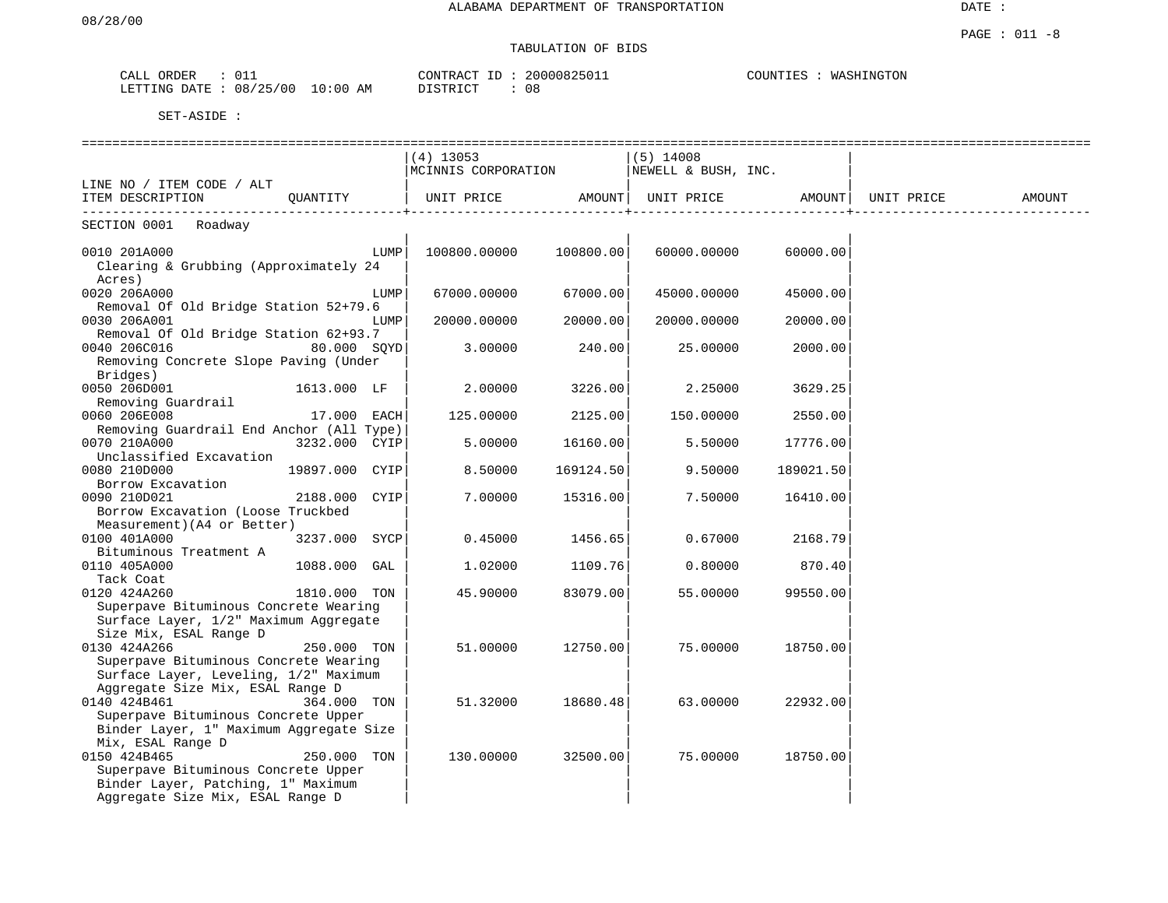# TABULATION OF BIDS

| CALL ORDER                       |  | CONTRACT ID | 20000825011 | COUNTIES | WASHINGTON |
|----------------------------------|--|-------------|-------------|----------|------------|
| LETTING DATE : 08/25/00 10:00 AM |  | DISTRICT    | 08          |          |            |

|                                                     |                |      | =========================                       |                   |                               |                             |        |
|-----------------------------------------------------|----------------|------|-------------------------------------------------|-------------------|-------------------------------|-----------------------------|--------|
|                                                     |                |      | $(4)$ 13053                                     |                   | $(5)$ 14008                   |                             |        |
|                                                     |                |      | $ MCINNIS$ CORPORATION $ NEWELL \& BUSH$ , INC. |                   |                               |                             |        |
| LINE NO / ITEM CODE / ALT                           |                |      |                                                 |                   |                               |                             |        |
| ITEM DESCRIPTION QUANTITY                           |                |      | UNIT PRICE AMOUNT                               | ---------------+- | UNIT PRICE AMOUNT  UNIT PRICE | ---------------- <b>-</b> - | AMOUNT |
| SECTION 0001 Roadway                                |                |      |                                                 |                   |                               |                             |        |
| 0010 201A000                                        |                | LUMP | 100800.00000                                    | 100800.00         | 60000.00000                   | 60000.00                    |        |
| Clearing & Grubbing (Approximately 24               |                |      |                                                 |                   |                               |                             |        |
| Acres)                                              |                |      |                                                 |                   |                               |                             |        |
| 0020 206A000                                        |                | LUMP | 67000.00000                                     | 67000.00          | 45000.00000                   | 45000.00                    |        |
| Removal Of Old Bridge Station 52+79.6               |                |      |                                                 |                   |                               |                             |        |
| 0030 206A001                                        |                | LUMP | 20000.00000                                     | 20000.00          | 20000.00000                   | 20000.00                    |        |
| Removal Of Old Bridge Station 62+93.7               |                |      |                                                 |                   |                               |                             |        |
| 0040 206C016                                        | 80.000 SQYD    |      | 3.00000                                         | 240.00            | 25.00000                      | 2000.00                     |        |
| Removing Concrete Slope Paving (Under<br>Bridges)   |                |      |                                                 |                   |                               |                             |        |
| 0050 206D001                                        | 1613.000 LF    |      | 2.00000                                         | 3226.00           | 2.25000                       | 3629.25                     |        |
| Removing Guardrail                                  |                |      |                                                 |                   |                               |                             |        |
| 0060 206E008                                        | 17.000 EACH    |      | 125.00000                                       | 2125.00           | 150.00000                     | 2550.00                     |        |
| Removing Guardrail End Anchor (All Type)            |                |      |                                                 |                   |                               |                             |        |
| 3232.000 CYIP<br>0070 210A000                       |                |      | 5.00000                                         | 16160.00          | 5.50000                       | 17776.00                    |        |
| Unclassified Excavation                             |                |      |                                                 |                   |                               |                             |        |
| 0080 210D000                                        | 19897.000 CYIP |      | 8.50000                                         | 169124.50         | 9.50000                       | 189021.50                   |        |
| Borrow Excavation                                   |                |      |                                                 |                   |                               |                             |        |
| 0090 210D021                                        | 2188.000 CYIP  |      | 7.00000                                         | 15316.00          | 7.50000                       | 16410.00                    |        |
| Borrow Excavation (Loose Truckbed                   |                |      |                                                 |                   |                               |                             |        |
| Measurement) (A4 or Better)                         |                |      |                                                 |                   |                               |                             |        |
| 0100 401A000                                        | 3237.000 SYCP  |      | 0.45000                                         | 1456.65           | 0.67000                       | 2168.79                     |        |
| Bituminous Treatment A                              |                |      |                                                 |                   |                               |                             |        |
| 0110 405A000<br>Tack Coat                           | 1088.000 GAL   |      | 1,02000                                         | 1109.76           | 0.80000                       | 870.40                      |        |
| 0120 424A260                                        | 1810.000 TON   |      | 45.90000                                        | 83079.00          | 55.00000                      | 99550.00                    |        |
| Superpave Bituminous Concrete Wearing               |                |      |                                                 |                   |                               |                             |        |
| Surface Layer, 1/2" Maximum Aggregate               |                |      |                                                 |                   |                               |                             |        |
| Size Mix, ESAL Range D                              |                |      |                                                 |                   |                               |                             |        |
| 0130 424A266                                        | 250.000 TON    |      | 51.00000                                        | 12750.00          | 75.00000                      | 18750.00                    |        |
| Superpave Bituminous Concrete Wearing               |                |      |                                                 |                   |                               |                             |        |
| Surface Layer, Leveling, 1/2" Maximum               |                |      |                                                 |                   |                               |                             |        |
| Aggregate Size Mix, ESAL Range D                    |                |      |                                                 |                   |                               |                             |        |
| 0140 424B461                                        | 364.000 TON    |      | 51.32000                                        | 18680.48          | 63.00000                      | 22932.00                    |        |
| Superpave Bituminous Concrete Upper                 |                |      |                                                 |                   |                               |                             |        |
| Binder Layer, 1" Maximum Aggregate Size             |                |      |                                                 |                   |                               |                             |        |
| Mix, ESAL Range D                                   |                |      |                                                 |                   |                               |                             |        |
| 0150 424B465<br>Superpave Bituminous Concrete Upper | 250.000 TON    |      | 130.00000                                       | 32500.00          | 75.00000                      | 18750.00                    |        |
| Binder Layer, Patching, 1" Maximum                  |                |      |                                                 |                   |                               |                             |        |
| Aggregate Size Mix, ESAL Range D                    |                |      |                                                 |                   |                               |                             |        |
|                                                     |                |      |                                                 |                   |                               |                             |        |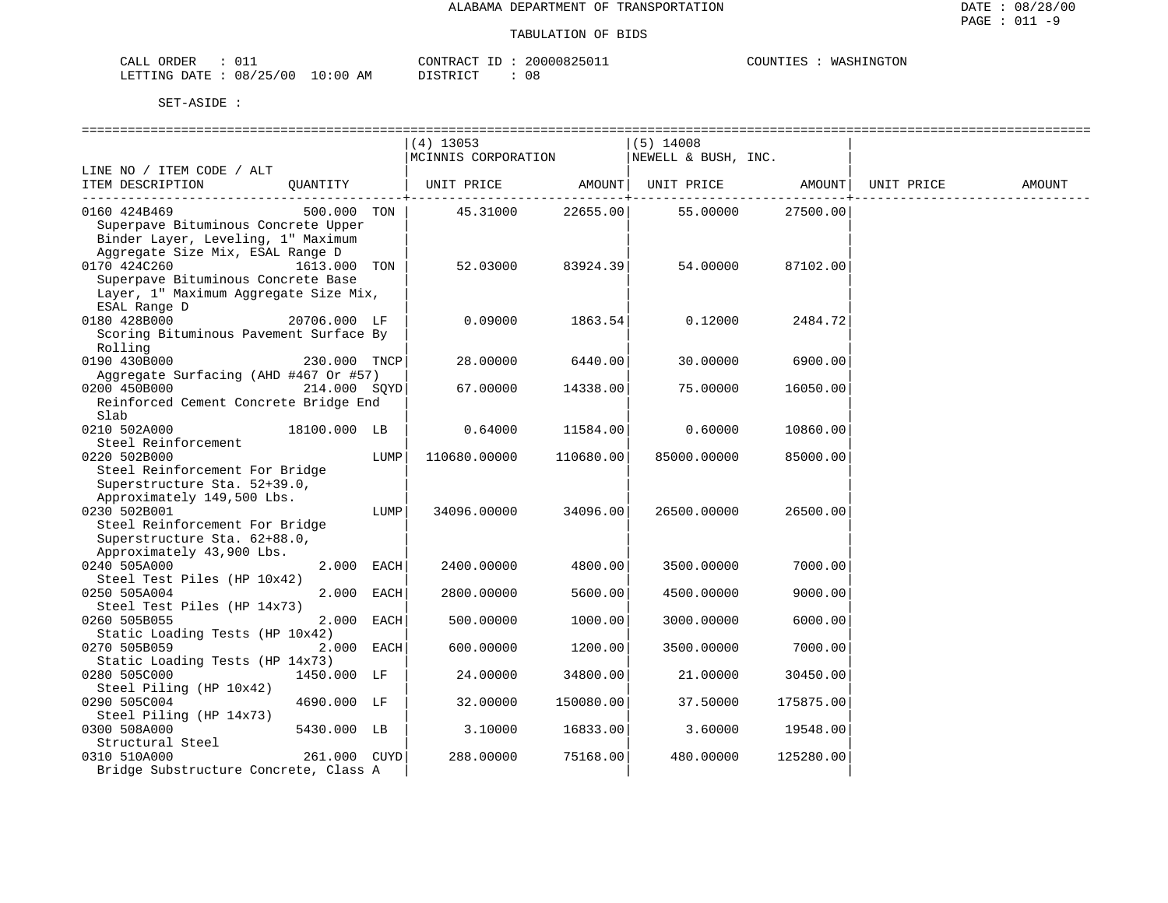| ORDER<br>CALL          |            | CONTRACT<br>ID | 2000082501⊥ | COUNTIES | WASHINGTON |
|------------------------|------------|----------------|-------------|----------|------------|
| LETTING DATE: 08/25/00 | $10:00$ AM | DISTRICT       | UC          |          |            |

| $(4)$ 13053<br>$(5)$ 14008<br>MCINNIS CORPORATION<br>NEWELL & BUSH, INC.<br>LINE NO / ITEM CODE / ALT<br>ITEM DESCRIPTION<br>AMOUNT  <br>UNIT PRICE<br>AMOUNT UNIT PRICE<br>QUANTITY<br>UNIT PRICE<br>AMOUNT<br>0160 424B469<br>500.000 TON<br>22655.00<br>55.00000<br>27500.00<br>45.31000<br>Superpave Bituminous Concrete Upper<br>Binder Layer, Leveling, 1" Maximum<br>Aggregate Size Mix, ESAL Range D<br>0170 424C260<br>1613.000<br>52.03000<br>83924.39<br>54.00000<br>87102.00<br>TON<br>Superpave Bituminous Concrete Base<br>Layer, 1" Maximum Aggregate Size Mix,<br>ESAL Range D<br>0180 428B000<br>0.09000<br>1863.54<br>0.12000<br>20706.000 LF<br>2484.72<br>Scoring Bituminous Pavement Surface By |
|----------------------------------------------------------------------------------------------------------------------------------------------------------------------------------------------------------------------------------------------------------------------------------------------------------------------------------------------------------------------------------------------------------------------------------------------------------------------------------------------------------------------------------------------------------------------------------------------------------------------------------------------------------------------------------------------------------------------|
|                                                                                                                                                                                                                                                                                                                                                                                                                                                                                                                                                                                                                                                                                                                      |
|                                                                                                                                                                                                                                                                                                                                                                                                                                                                                                                                                                                                                                                                                                                      |
|                                                                                                                                                                                                                                                                                                                                                                                                                                                                                                                                                                                                                                                                                                                      |
|                                                                                                                                                                                                                                                                                                                                                                                                                                                                                                                                                                                                                                                                                                                      |
|                                                                                                                                                                                                                                                                                                                                                                                                                                                                                                                                                                                                                                                                                                                      |
|                                                                                                                                                                                                                                                                                                                                                                                                                                                                                                                                                                                                                                                                                                                      |
|                                                                                                                                                                                                                                                                                                                                                                                                                                                                                                                                                                                                                                                                                                                      |
|                                                                                                                                                                                                                                                                                                                                                                                                                                                                                                                                                                                                                                                                                                                      |
|                                                                                                                                                                                                                                                                                                                                                                                                                                                                                                                                                                                                                                                                                                                      |
|                                                                                                                                                                                                                                                                                                                                                                                                                                                                                                                                                                                                                                                                                                                      |
|                                                                                                                                                                                                                                                                                                                                                                                                                                                                                                                                                                                                                                                                                                                      |
|                                                                                                                                                                                                                                                                                                                                                                                                                                                                                                                                                                                                                                                                                                                      |
|                                                                                                                                                                                                                                                                                                                                                                                                                                                                                                                                                                                                                                                                                                                      |
|                                                                                                                                                                                                                                                                                                                                                                                                                                                                                                                                                                                                                                                                                                                      |
| Rolling                                                                                                                                                                                                                                                                                                                                                                                                                                                                                                                                                                                                                                                                                                              |
| 0190 430B000<br>28.00000<br>6440.00<br>30.00000<br>230.000 TNCP<br>6900.00                                                                                                                                                                                                                                                                                                                                                                                                                                                                                                                                                                                                                                           |
| Aggregate Surfacing (AHD #467 Or #57)                                                                                                                                                                                                                                                                                                                                                                                                                                                                                                                                                                                                                                                                                |
| 0200 450B000<br>214.000 SOYD<br>67.00000<br>14338.00<br>75.00000<br>16050.00                                                                                                                                                                                                                                                                                                                                                                                                                                                                                                                                                                                                                                         |
| Reinforced Cement Concrete Bridge End                                                                                                                                                                                                                                                                                                                                                                                                                                                                                                                                                                                                                                                                                |
| Slab                                                                                                                                                                                                                                                                                                                                                                                                                                                                                                                                                                                                                                                                                                                 |
| 0210 502A000<br>11584.00<br>0.60000<br>18100.000 LB<br>0.64000<br>10860.00                                                                                                                                                                                                                                                                                                                                                                                                                                                                                                                                                                                                                                           |
| Steel Reinforcement                                                                                                                                                                                                                                                                                                                                                                                                                                                                                                                                                                                                                                                                                                  |
| 0220 502B000<br>LUMP<br>110680.00000<br>110680.00<br>85000.00000<br>85000.00                                                                                                                                                                                                                                                                                                                                                                                                                                                                                                                                                                                                                                         |
| Steel Reinforcement For Bridge                                                                                                                                                                                                                                                                                                                                                                                                                                                                                                                                                                                                                                                                                       |
| Superstructure Sta. 52+39.0,                                                                                                                                                                                                                                                                                                                                                                                                                                                                                                                                                                                                                                                                                         |
| Approximately 149,500 Lbs.                                                                                                                                                                                                                                                                                                                                                                                                                                                                                                                                                                                                                                                                                           |
| 0230 502B001<br>34096.00<br>LUMP<br>34096.00000<br>26500.00000<br>26500.00                                                                                                                                                                                                                                                                                                                                                                                                                                                                                                                                                                                                                                           |
| Steel Reinforcement For Bridge                                                                                                                                                                                                                                                                                                                                                                                                                                                                                                                                                                                                                                                                                       |
| Superstructure Sta. 62+88.0,                                                                                                                                                                                                                                                                                                                                                                                                                                                                                                                                                                                                                                                                                         |
| Approximately 43,900 Lbs.                                                                                                                                                                                                                                                                                                                                                                                                                                                                                                                                                                                                                                                                                            |
| 2.000 EACH<br>4800.00<br>7000.00<br>0240 505A000<br>2400.00000<br>3500.00000                                                                                                                                                                                                                                                                                                                                                                                                                                                                                                                                                                                                                                         |
| Steel Test Piles (HP 10x42)                                                                                                                                                                                                                                                                                                                                                                                                                                                                                                                                                                                                                                                                                          |
| 2.000 EACH<br>5600.00<br>0250 505A004<br>2800.00000<br>4500.00000<br>9000.00                                                                                                                                                                                                                                                                                                                                                                                                                                                                                                                                                                                                                                         |
| Steel Test Piles (HP 14x73)                                                                                                                                                                                                                                                                                                                                                                                                                                                                                                                                                                                                                                                                                          |
| 0260 505B055<br>2.000 EACH<br>1000.00<br>500.00000<br>3000.00000<br>6000.00                                                                                                                                                                                                                                                                                                                                                                                                                                                                                                                                                                                                                                          |
| Static Loading Tests (HP 10x42)                                                                                                                                                                                                                                                                                                                                                                                                                                                                                                                                                                                                                                                                                      |
| 2.000 EACH<br>0270 505B059<br>600.00000<br>1200.00<br>7000.00<br>3500.00000                                                                                                                                                                                                                                                                                                                                                                                                                                                                                                                                                                                                                                          |
| Static Loading Tests (HP 14x73)                                                                                                                                                                                                                                                                                                                                                                                                                                                                                                                                                                                                                                                                                      |
| 0280 505C000<br>1450.000 LF<br>24.00000<br>34800.00<br>21.00000<br>30450.00                                                                                                                                                                                                                                                                                                                                                                                                                                                                                                                                                                                                                                          |
| Steel Piling (HP 10x42)                                                                                                                                                                                                                                                                                                                                                                                                                                                                                                                                                                                                                                                                                              |
| 0290 505C004<br>4690.000 LF<br>32.00000<br>150080.00<br>37.50000<br>175875.00                                                                                                                                                                                                                                                                                                                                                                                                                                                                                                                                                                                                                                        |
| Steel Piling (HP 14x73)                                                                                                                                                                                                                                                                                                                                                                                                                                                                                                                                                                                                                                                                                              |
| 0300 508A000<br>5430.000 LB<br>3.10000<br>16833.00<br>3.60000<br>19548.00                                                                                                                                                                                                                                                                                                                                                                                                                                                                                                                                                                                                                                            |
| Structural Steel                                                                                                                                                                                                                                                                                                                                                                                                                                                                                                                                                                                                                                                                                                     |
| 261.000 CUYD<br>0310 510A000<br>288.00000<br>75168.00<br>480.00000<br>125280.00                                                                                                                                                                                                                                                                                                                                                                                                                                                                                                                                                                                                                                      |
| Bridge Substructure Concrete, Class A                                                                                                                                                                                                                                                                                                                                                                                                                                                                                                                                                                                                                                                                                |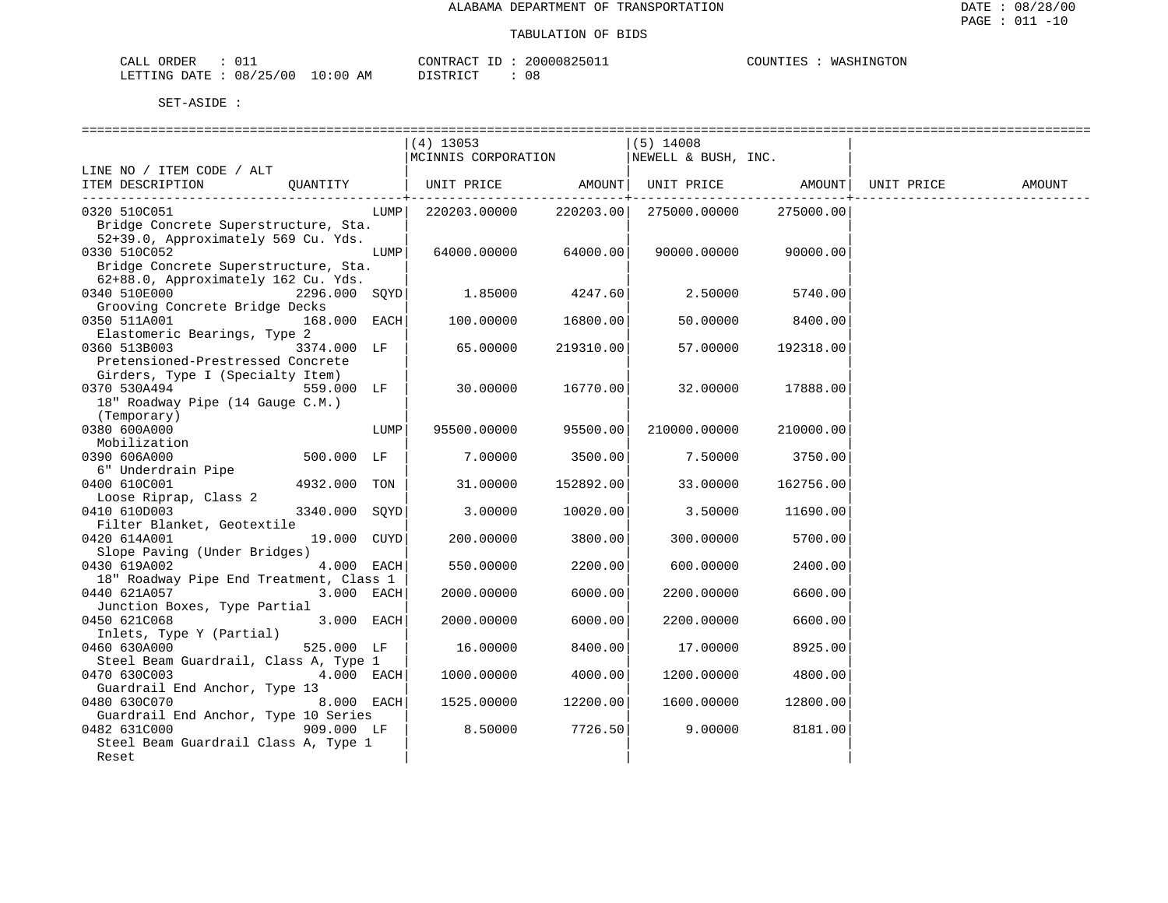| CALL ORDER                      |  |          | CONTRACT ID: 20000825011 | COUNTIES : WASHINGTON |  |
|---------------------------------|--|----------|--------------------------|-----------------------|--|
| LETTING DATE: 08/25/00 10:00 AM |  | DISTRICT |                          |                       |  |

|                                                                                                     | $(4)$ 13053<br>MCINNIS CORPORATION |           | $(5)$ 14008<br>NEWELL & BUSH, INC. |               |            |        |
|-----------------------------------------------------------------------------------------------------|------------------------------------|-----------|------------------------------------|---------------|------------|--------|
| LINE NO / ITEM CODE / ALT                                                                           |                                    |           |                                    |               |            |        |
| ITEM DESCRIPTION<br>OUANTITY                                                                        | UNIT PRICE                         | AMOUNT    | UNIT PRICE                         | <b>AMOUNT</b> | UNIT PRICE | AMOUNT |
| 0320 510C051<br>LUMP  <br>Bridge Concrete Superstructure, Sta.                                      | 220203.00000                       | 220203.00 | 275000.00000                       | 275000.00     |            |        |
| 52+39.0, Approximately 569 Cu. Yds.<br>0330 510C052<br>LUMP<br>Bridge Concrete Superstructure, Sta. | 64000.00000                        | 64000.00  | 90000.00000                        | 90000.00      |            |        |
| 62+88.0, Approximately 162 Cu. Yds.<br>0340 510E000<br>2296.000 SQYD                                | 1.85000                            | 4247.60   | 2.50000                            | 5740.00       |            |        |
| Grooving Concrete Bridge Decks<br>0350 511A001<br>168.000 EACH<br>Elastomeric Bearings, Type 2      | 100.00000                          | 16800.00  | 50.00000                           | 8400.00       |            |        |
| 0360 513B003<br>3374.000 LF<br>Pretensioned-Prestressed Concrete                                    | 65.00000                           | 219310.00 | 57.00000                           | 192318.00     |            |        |
| Girders, Type I (Specialty Item)<br>0370 530A494<br>559.000 LF<br>18" Roadway Pipe (14 Gauge C.M.)  | 30.00000                           | 16770.00  | 32.00000                           | 17888.00      |            |        |
| (Temporary)<br>0380 600A000<br>LUMP<br>Mobilization                                                 | 95500.00000                        | 95500.00  | 210000.00000                       | 210000.00     |            |        |
| 500.000 LF<br>0390 606A000<br>6" Underdrain Pipe                                                    | 7.00000                            | 3500.00   | 7.50000                            | 3750.00       |            |        |
| 0400 610C001<br>4932.000 TON<br>Loose Riprap, Class 2                                               | 31.00000                           | 152892.00 | 33.00000                           | 162756.00     |            |        |
| 0410 610D003<br>3340.000 SQYD<br>Filter Blanket, Geotextile                                         | 3.00000                            | 10020.00  | 3.50000                            | 11690.00      |            |        |
| 0420 614A001<br>19.000 CUYD<br>Slope Paving (Under Bridges)                                         | 200.00000                          | 3800.00   | 300.00000                          | 5700.00       |            |        |
| 0430 619A002<br>4.000 EACH<br>18" Roadway Pipe End Treatment, Class 1                               | 550.00000                          | 2200.00   | 600.00000                          | 2400.00       |            |        |
| 0440 621A057<br>3.000 EACH<br>Junction Boxes, Type Partial                                          | 2000.00000                         | 6000.00   | 2200.00000                         | 6600.00       |            |        |
| 3.000 EACH<br>0450 621C068<br>Inlets, Type Y (Partial)                                              | 2000.00000                         | 6000.00   | 2200.00000                         | 6600.00       |            |        |
| 0460 630A000<br>525.000 LF<br>Steel Beam Guardrail, Class A, Type 1                                 | 16.00000                           | 8400.00   | 17.00000                           | 8925.00       |            |        |
| 0470 630C003<br>4.000 EACH<br>Guardrail End Anchor, Type 13                                         | 1000.00000                         | 4000.00   | 1200.00000                         | 4800.00       |            |        |
| 0480 630C070<br>8.000 EACH<br>Guardrail End Anchor, Type 10 Series                                  | 1525.00000                         | 12200.00  | 1600.00000                         | 12800.00      |            |        |
| 0482 631C000<br>909.000 LF<br>Steel Beam Guardrail Class A, Type 1<br>Reset                         | 8.50000                            | 7726.50   | 9.00000                            | 8181.00       |            |        |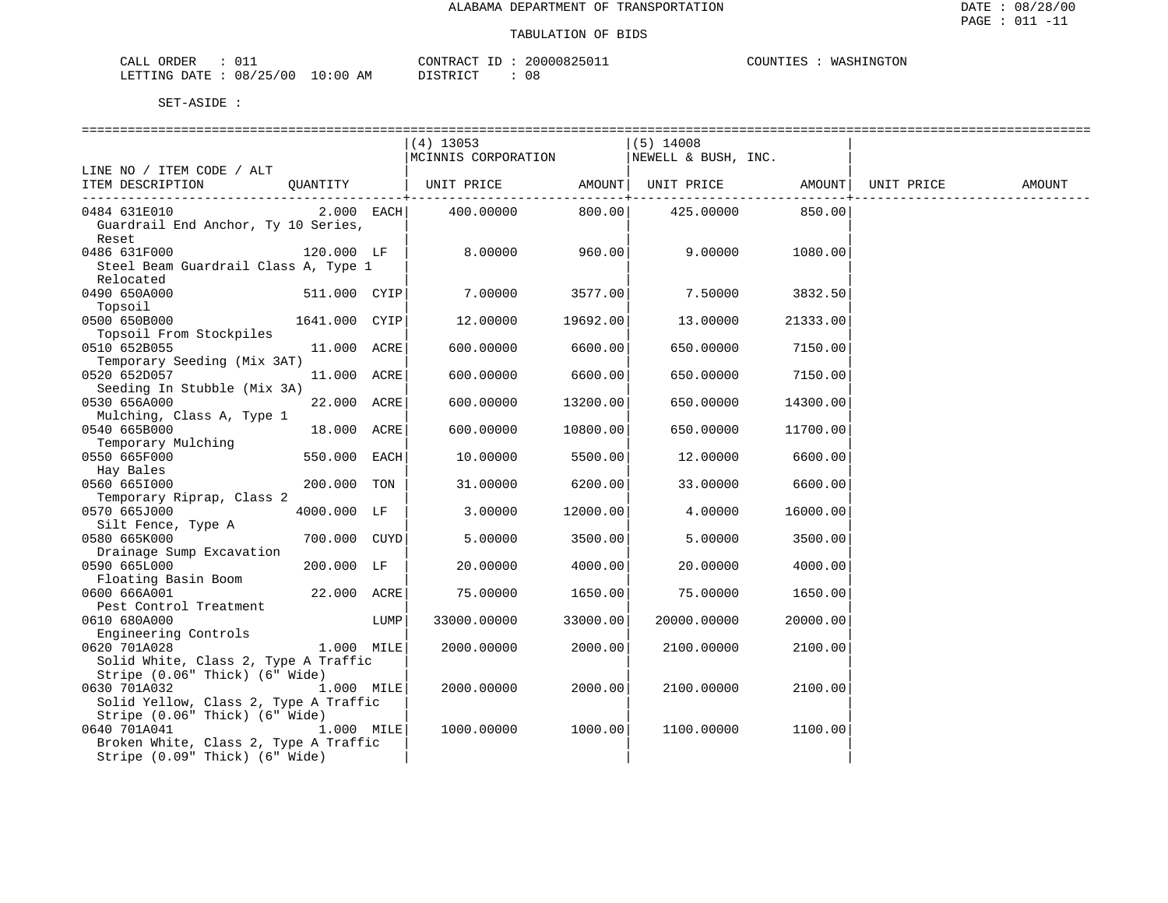| CALL ORDER                      |  |          | CONTRACT ID: 20000825011 | COUNTIES : WASHINGTON |  |
|---------------------------------|--|----------|--------------------------|-----------------------|--|
| LETTING DATE: 08/25/00 10:00 AM |  | DISTRICT |                          |                       |  |

|                                                                                                         |      | $(4)$ 13053<br>MCINNIS CORPORATION |          | $(5)$ 14008<br>NEWELL & BUSH, INC. |          |            |        |
|---------------------------------------------------------------------------------------------------------|------|------------------------------------|----------|------------------------------------|----------|------------|--------|
| LINE NO / ITEM CODE / ALT                                                                               |      |                                    |          |                                    |          |            |        |
| ITEM DESCRIPTION<br>OUANTITY                                                                            |      | UNIT PRICE                         | AMOUNT   | UNIT PRICE                         | AMOUNT   | UNIT PRICE | AMOUNT |
| 2.000 EACH<br>0484 631E010<br>Guardrail End Anchor, Ty 10 Series,<br>Reset                              |      | 400.00000                          | 800.00   | 425.00000                          | 850.00   |            |        |
| 0486 631F000<br>120.000 LF<br>Steel Beam Guardrail Class A, Type 1<br>Relocated                         |      | 8.00000                            | 960.00   | 9,00000                            | 1080.00  |            |        |
| 0490 650A000<br>511.000 CYIP<br>Topsoil                                                                 |      | 7.00000                            | 3577.00  | 7.50000                            | 3832.50  |            |        |
| 0500 650B000<br>1641.000 CYIP<br>Topsoil From Stockpiles                                                |      | 12.00000                           | 19692.00 | 13.00000                           | 21333.00 |            |        |
| 0510 652B055<br>11.000 ACRE<br>Temporary Seeding (Mix 3AT)                                              |      | 600.00000                          | 6600.00  | 650.00000                          | 7150.00  |            |        |
| 0520 652D057<br>11.000 ACRE<br>Seeding In Stubble (Mix 3A)                                              |      | 600.00000                          | 6600.00  | 650.00000                          | 7150.00  |            |        |
| 0530 656A000<br>22.000 ACRE<br>Mulching, Class A, Type 1                                                |      | 600.00000                          | 13200.00 | 650.00000                          | 14300.00 |            |        |
| 0540 665B000<br>18.000 ACRE<br>Temporary Mulching                                                       |      | 600.00000                          | 10800.00 | 650.00000                          | 11700.00 |            |        |
| 0550 665F000<br>550.000 EACH<br>Hay Bales                                                               |      | 10.00000                           | 5500.00  | 12.00000                           | 6600.00  |            |        |
| 0560 6651000<br>200.000<br>Temporary Riprap, Class 2                                                    | TON  | 31.00000                           | 6200.00  | 33.00000                           | 6600.00  |            |        |
| 0570 665J000<br>4000.000 LF<br>Silt Fence, Type A                                                       |      | 3.00000                            | 12000.00 | 4.00000                            | 16000.00 |            |        |
| 0580 665K000<br>700.000 CUYD<br>Drainage Sump Excavation                                                |      | 5.00000                            | 3500.00  | 5.00000                            | 3500.00  |            |        |
| 0590 665L000<br>200.000 LF<br>Floating Basin Boom                                                       |      | 20.00000                           | 4000.00  | 20.00000                           | 4000.00  |            |        |
| 0600 666A001<br>22.000 ACRE<br>Pest Control Treatment                                                   |      | 75.00000                           | 1650.00  | 75.00000                           | 1650.00  |            |        |
| 0610 680A000<br>Engineering Controls                                                                    | LUMP | 33000.00000                        | 33000.00 | 20000.00000                        | 20000.00 |            |        |
| 0620 701A028<br>$1.000$ MILE<br>Solid White, Class 2, Type A Traffic<br>Stripe (0.06" Thick) (6" Wide)  |      | 2000.00000                         | 2000.00  | 2100.00000                         | 2100.00  |            |        |
| 0630 701A032<br>$1.000$ MILE<br>Solid Yellow, Class 2, Type A Traffic<br>Stripe (0.06" Thick) (6" Wide) |      | 2000.00000                         | 2000.00  | 2100.00000                         | 2100.00  |            |        |
| 0640 701A041<br>$1.000$ MILE<br>Broken White, Class 2, Type A Traffic<br>Stripe (0.09" Thick) (6" Wide) |      | 1000.00000                         | 1000.00  | 1100.00000                         | 1100.00  |            |        |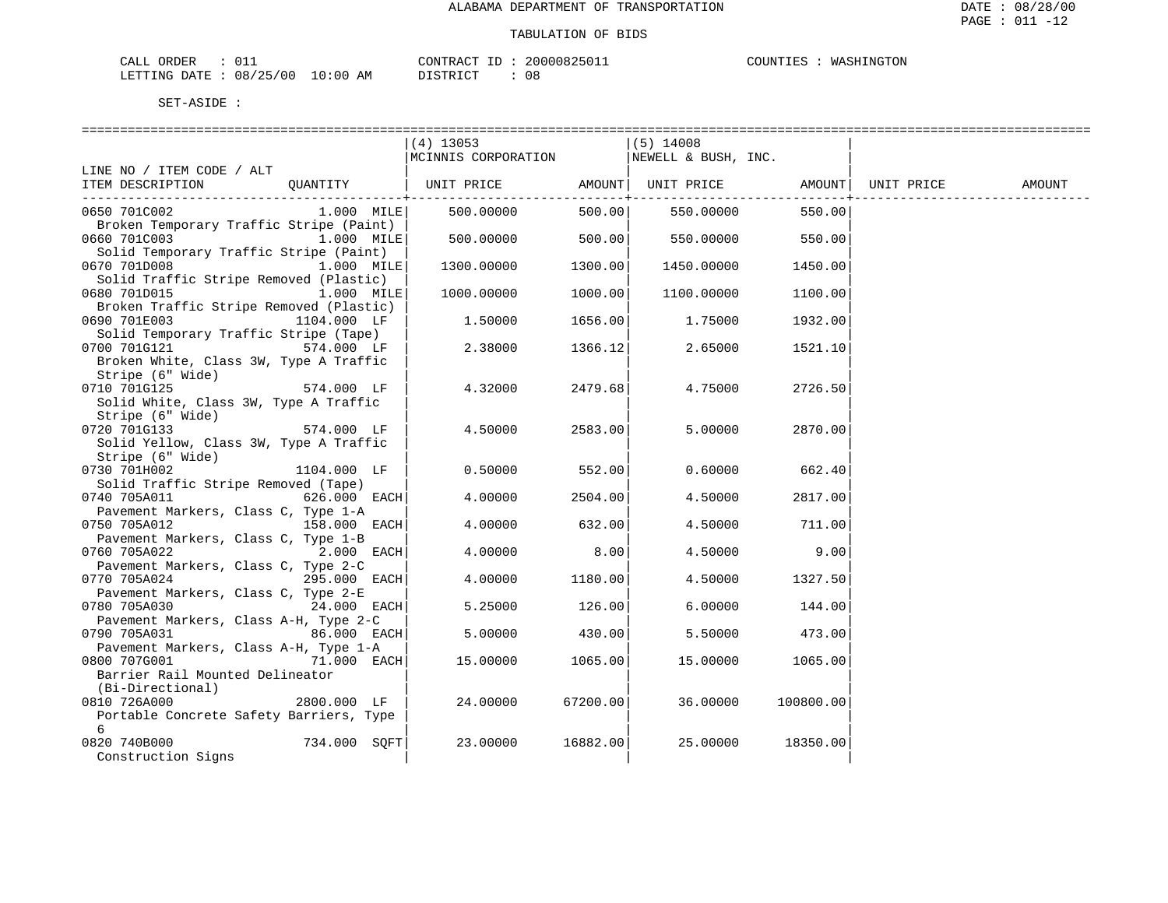| CALL ORDER                      | CONTRACT ID: 20000825011 |    | COUNTIES : WASHINGTON |  |
|---------------------------------|--------------------------|----|-----------------------|--|
| LETTING DATE: 08/25/00 10:00 AM | DISTRICT                 | 08 |                       |  |

DISTRICT : 08

|                                                           |              | $(4)$ 13053                           |                                 | $(5)$ 14008         |           |            |        |
|-----------------------------------------------------------|--------------|---------------------------------------|---------------------------------|---------------------|-----------|------------|--------|
|                                                           |              | MCINNIS CORPORATION                   |                                 | NEWELL & BUSH, INC. |           |            |        |
| LINE NO / ITEM CODE / ALT                                 |              |                                       |                                 |                     |           |            |        |
| ITEM DESCRIPTION                                          | QUANTITY     | UNIT PRICE AMOUNT   UNIT PRICE AMOUNT |                                 |                     |           | UNIT PRICE | AMOUNT |
|                                                           |              |                                       | ------------ <b>+</b><br>500.00 |                     |           |            |        |
| 0650 701C002<br>Broken Temporary Traffic Stripe (Paint)   | $1.000$ MILE | 500.00000                             |                                 | 550.00000           | 550.00    |            |        |
| 0660 701C003                                              | 1.000 MILE   | 500.00000                             | 500.00                          | 550.00000           | 550.00    |            |        |
| Solid Temporary Traffic Stripe (Paint)                    |              |                                       |                                 |                     |           |            |        |
| 0670 701D008                                              | 1.000 MILE   | 1300.00000                            | 1300.00                         | 1450.00000          | 1450.00   |            |        |
| Solid Traffic Stripe Removed (Plastic)                    |              |                                       |                                 |                     |           |            |        |
| 0680 701D015                                              | 1.000 MILE   | 1000.00000                            | 1000.00                         | 1100.00000          | 1100.00   |            |        |
| Broken Traffic Stripe Removed (Plastic)                   |              |                                       |                                 |                     |           |            |        |
| 0690 701E003                                              | 1104.000 LF  | 1,50000                               | 1656.00                         | 1.75000             | 1932.00   |            |        |
| Solid Temporary Traffic Stripe (Tape)                     |              |                                       |                                 |                     |           |            |        |
| 0700 701G121 574.000 LF                                   |              | 2.38000                               | 1366.12                         | 2.65000             | 1521.10   |            |        |
| Broken White, Class 3W, Type A Traffic                    |              |                                       |                                 |                     |           |            |        |
| Stripe (6" Wide)                                          |              |                                       |                                 |                     |           |            |        |
| 0710 701G125                                              | 574.000 LF   | 4.32000                               | 2479.68                         | 4.75000             | 2726.50   |            |        |
| Solid White, Class 3W, Type A Traffic<br>Stripe (6" Wide) |              |                                       |                                 |                     |           |            |        |
| 0720 701G133                                              | 574.000 LF   | 4.50000                               | 2583.00                         | 5.00000             | 2870.00   |            |        |
| Solid Yellow, Class 3W, Type A Traffic                    |              |                                       |                                 |                     |           |            |        |
| Stripe (6" Wide)                                          |              |                                       |                                 |                     |           |            |        |
| 0730 701H002                                              | 1104.000 LF  | 0.50000                               | 552.00                          | 0.60000             | 662.40    |            |        |
| Solid Traffic Stripe Removed (Tape)                       |              |                                       |                                 |                     |           |            |        |
| 0740 705A011                                              | 626.000 EACH | 4.00000                               | 2504.00                         | 4.50000             | 2817.00   |            |        |
| Pavement Markers, Class C, Type 1-A                       |              |                                       |                                 |                     |           |            |        |
| 0750 705A012                                              | 158.000 EACH | 4.00000                               | 632.00                          | 4.50000             | 711.00    |            |        |
| Pavement Markers, Class C, Type 1-B                       |              |                                       |                                 |                     |           |            |        |
| 0760 705A022                                              | 2.000 EACH   | 4.00000                               | 8.00                            | 4.50000             | 9.00      |            |        |
| Pavement Markers, Class C, Type 2-C                       |              |                                       |                                 |                     |           |            |        |
| 0770 705A024                                              | 295.000 EACH | 4.00000                               | 1180.00                         | 4.50000             | 1327.50   |            |        |
| Pavement Markers, Class C, Type 2-E                       |              |                                       |                                 |                     |           |            |        |
| 0780 705A030                                              | 24.000 EACH  | 5.25000                               | 126.00                          | 6.00000             | 144.00    |            |        |
| Pavement Markers, Class A-H, Type 2-C<br>0790 705A031     | 86.000 EACH  | 5.00000                               | 430.00                          | 5.50000             | 473.00    |            |        |
| Pavement Markers, Class A-H, Type 1-A                     |              |                                       |                                 |                     |           |            |        |
| 0800 707G001                                              | 71.000 EACH  | 15.00000                              | 1065.00                         | 15.00000            | 1065.00   |            |        |
| Barrier Rail Mounted Delineator                           |              |                                       |                                 |                     |           |            |        |
| (Bi-Directional)                                          |              |                                       |                                 |                     |           |            |        |
| 0810 726A000                                              | 2800.000 LF  | 24.00000                              | 67200.00                        | 36.00000            | 100800.00 |            |        |
| Portable Concrete Safety Barriers, Type                   |              |                                       |                                 |                     |           |            |        |
| 6                                                         |              |                                       |                                 |                     |           |            |        |
| 0820 740B000                                              | 734.000 SQFT | 23.00000                              | 16882.00                        | 25.00000            | 18350.00  |            |        |
| Construction Signs                                        |              |                                       |                                 |                     |           |            |        |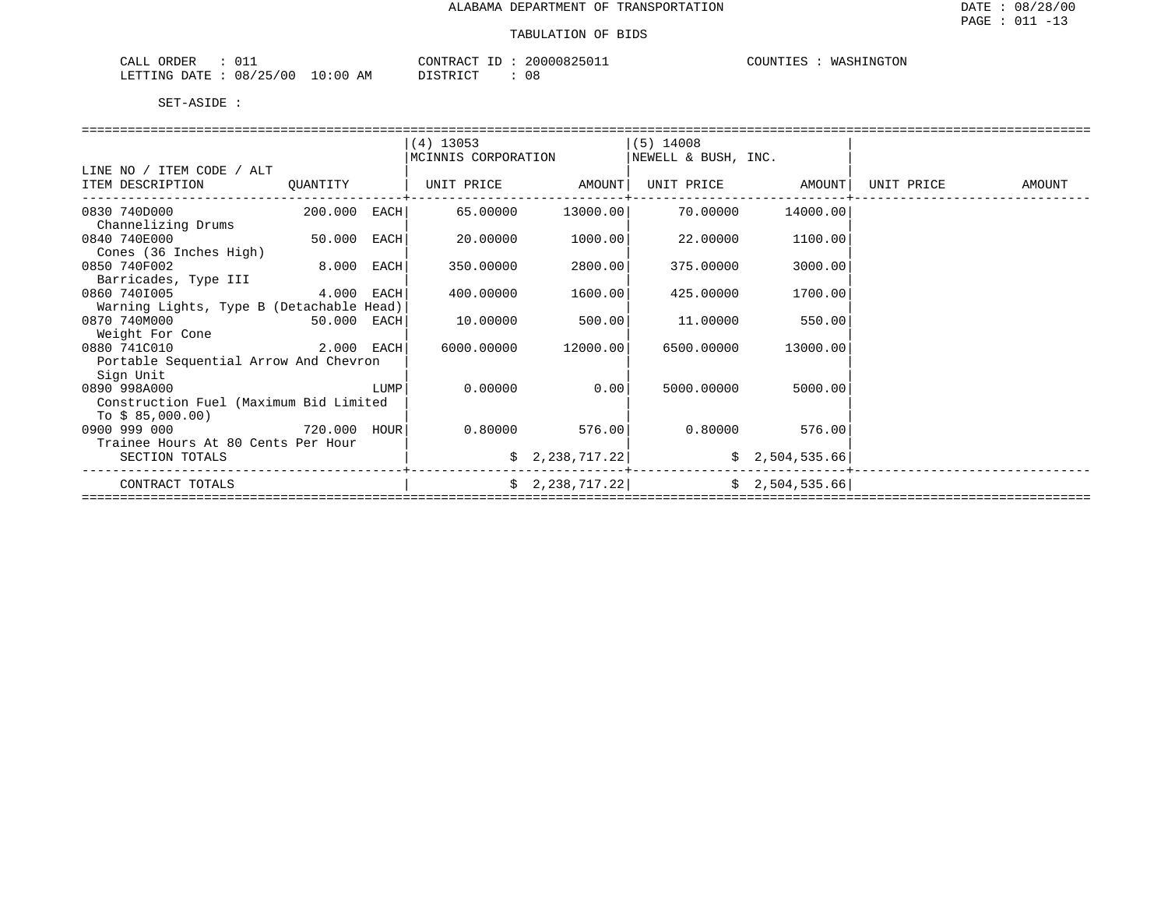| $\sim$ $\sim$<br>ORDER<br>2ALI<br>---- |                        | CONTR<br>D.                          | CONNOR<br>⊥∟∪לצייי | INGTON<br>COUNTIES<br>WА |
|----------------------------------------|------------------------|--------------------------------------|--------------------|--------------------------|
| 08/25<br>00 /<br>LETTING<br>DATE.      | 10:6<br>AΜ<br>$\Omega$ | $\tau$ $\alpha$ mp $\tau$ $\alpha$ r | 08                 |                          |

|                                                    |              |      | $(4)$ 13053         |                              | $(5)$ 14008         |                   |            |        |
|----------------------------------------------------|--------------|------|---------------------|------------------------------|---------------------|-------------------|------------|--------|
|                                                    |              |      | MCINNIS CORPORATION |                              | NEWELL & BUSH, INC. |                   |            |        |
| LINE NO / ITEM CODE / ALT                          |              |      |                     |                              |                     |                   |            |        |
| ITEM DESCRIPTION                                   | QUANTITY     |      | UNIT PRICE AMOUNT   |                              |                     | UNIT PRICE AMOUNT | UNIT PRICE | AMOUNT |
| 0830 740D000                                       | 200.000 EACH |      |                     | 65.00000 13000.00            | 70.00000            | 14000.00          |            |        |
| Channelizing Drums<br>0840 740E000                 | 50.000 EACH  |      | 20.00000            | 1000.001                     | 22.00000            | 1100.00           |            |        |
| Cones (36 Inches High)                             |              |      |                     |                              |                     |                   |            |        |
| 0850 740F002                                       | 8.000 EACH   |      | 350.00000           | 2800.00                      | 375.00000           | 3000.00           |            |        |
| Barricades, Type III                               |              |      |                     |                              |                     |                   |            |        |
| 0860 7401005                                       | 4.000 EACH   |      | 400.00000           | 1600.00                      | 425.00000           | 1700.00           |            |        |
| Warning Lights, Type B (Detachable Head)           |              |      |                     |                              |                     |                   |            |        |
| 0870 740M000                                       | 50.000 EACH  |      | 10.00000            | 500.00                       | 11.00000            | 550.00            |            |        |
| Weight For Cone                                    |              |      |                     |                              |                     |                   |            |        |
| 0880 741C010                                       | 2.000 EACH   |      | 6000.00000          | 12000.00                     | 6500.00000          | 13000.00          |            |        |
| Portable Sequential Arrow And Chevron<br>Sign Unit |              |      |                     |                              |                     |                   |            |        |
| 0890 998A000                                       |              | LUMP | 0.00000             | 0.00                         | 5000.00000          | 5000.00           |            |        |
| Construction Fuel (Maximum Bid Limited             |              |      |                     |                              |                     |                   |            |        |
| To $$85,000.00)$                                   |              |      |                     |                              |                     |                   |            |        |
| 0900 999 000<br>720.000 HOUR                       |              |      |                     | $0.80000$ 576.00             |                     | $0.80000$ 576.00  |            |        |
| Trainee Hours At 80 Cents Per Hour                 |              |      |                     |                              |                     |                   |            |        |
| SECTION TOTALS                                     |              |      |                     | $\frac{2}{2}$ , 238, 717. 22 |                     | \$2,504,535.66    |            |        |
| CONTRACT TOTALS                                    |              |      |                     | \$2,238,717.22]              |                     | \$2,504,535.66    |            |        |
|                                                    |              |      |                     |                              |                     |                   |            |        |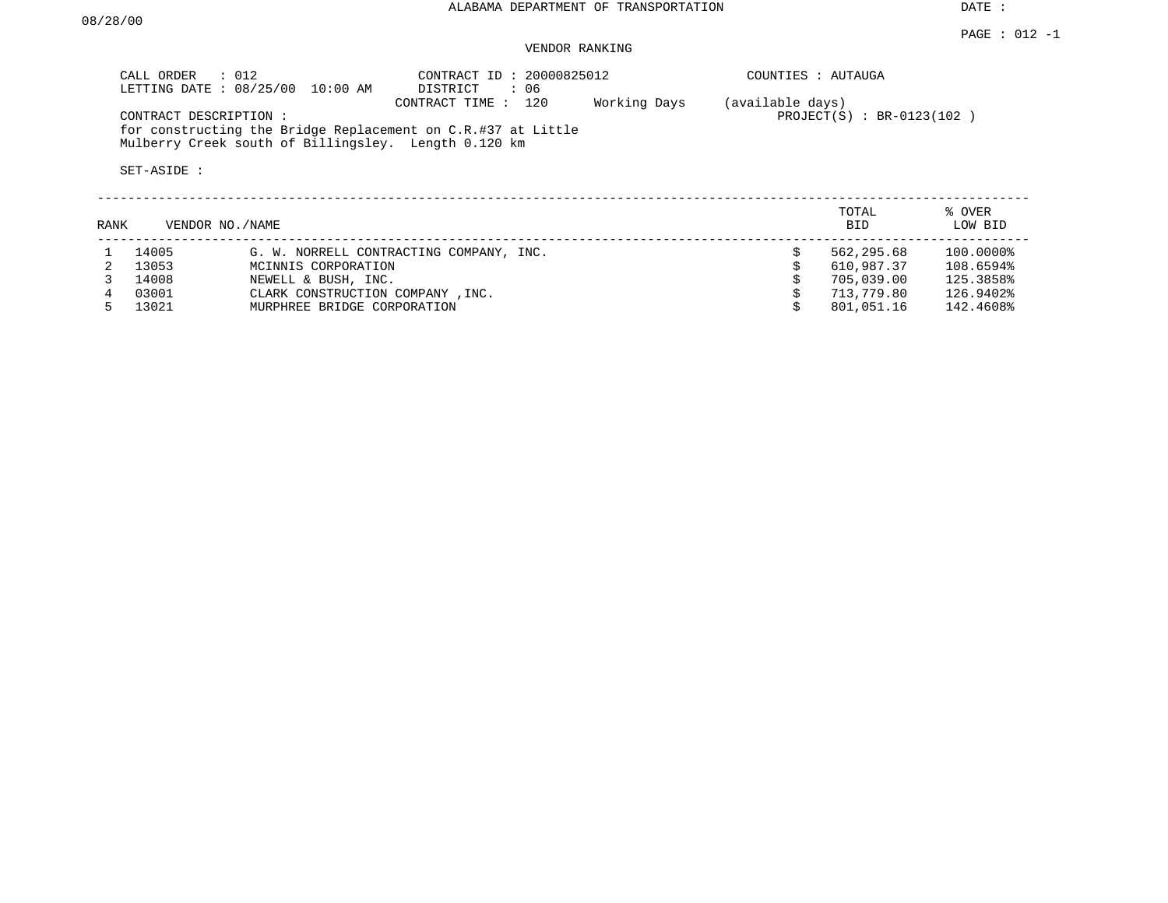### VENDOR RANKING

|      | CALL ORDER<br>$\therefore$ 012       | LETTING DATE : 08/25/00 10:00 AM                     | CONTRACT ID: 20000825012<br>DISTRICT<br>: 06                                        |              | COUNTIES : AUTAUGA |                             |                   |  |
|------|--------------------------------------|------------------------------------------------------|-------------------------------------------------------------------------------------|--------------|--------------------|-----------------------------|-------------------|--|
|      | CONTRACT DESCRIPTION:<br>SET-ASIDE : | Mulberry Creek south of Billingsley. Length 0.120 km | CONTRACT TIME : 120<br>for constructing the Bridge Replacement on C.R.#37 at Little | Working Days | (available days)   | $PROJECT(S) : BR-0123(102)$ |                   |  |
| RANK | VENDOR NO./NAME                      |                                                      |                                                                                     |              |                    | TOTAL<br>BID                | % OVER<br>LOW BID |  |
|      | 14005                                |                                                      | G. W. NORRELL CONTRACTING COMPANY, INC.                                             |              |                    | 562,295.68                  | 100.0000%         |  |
|      | 13053                                | MCINNIS CORPORATION                                  |                                                                                     |              |                    | 610,987.37                  | 108.6594%         |  |
|      | 14008                                | NEWELL & BUSH, INC.                                  |                                                                                     |              |                    | 705,039.00                  | 125.3858%         |  |
|      | 03001                                | CLARK CONSTRUCTION COMPANY, INC.                     |                                                                                     |              |                    | 713,779.80                  | 126.9402%         |  |

5 13021 MURPHREE BRIDGE CORPORATION \$ 801,051.16 142.4608%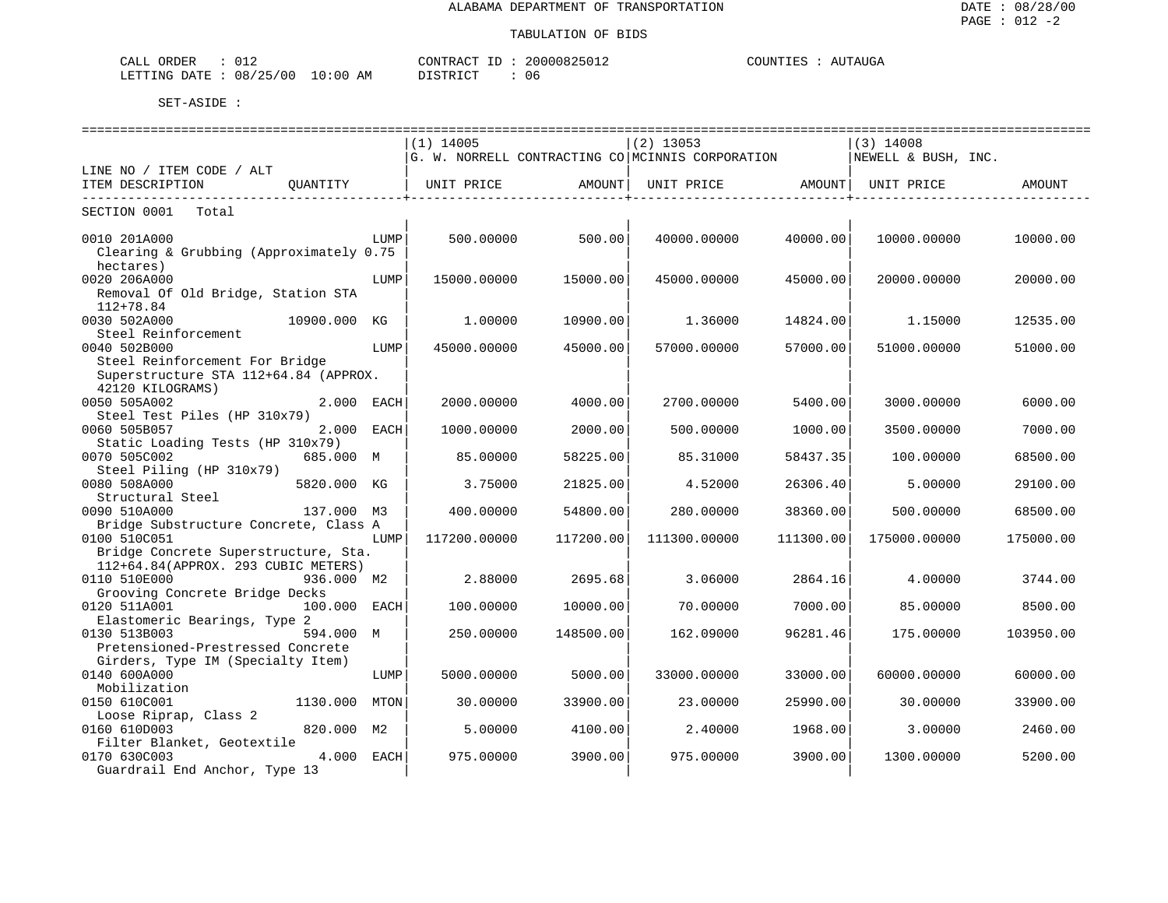| ORDER<br>CALL<br>ັັ               |               | CONTRACT                   | 20000825012<br>マントロー | <b>POINTIFS</b><br>AUTAUGA<br><u>_</u> _______ |
|-----------------------------------|---------------|----------------------------|----------------------|------------------------------------------------|
| 08/25<br>100.<br>LETTING<br>DATE. | LO : 00<br>ΑM | די הדי אידי את<br>$\cdots$ | 06                   |                                                |

| ================================<br>==============================<br>=================================== |              |      |              |           |                                                  |           |                     |           |  |  |  |
|-----------------------------------------------------------------------------------------------------------|--------------|------|--------------|-----------|--------------------------------------------------|-----------|---------------------|-----------|--|--|--|
|                                                                                                           |              |      | $(1)$ 14005  |           | $(2)$ 13053                                      |           | $(3)$ 14008         |           |  |  |  |
|                                                                                                           |              |      |              |           | G. W. NORRELL CONTRACTING CO MCINNIS CORPORATION |           | NEWELL & BUSH, INC. |           |  |  |  |
| LINE NO / ITEM CODE / ALT                                                                                 |              |      |              |           |                                                  |           |                     |           |  |  |  |
| ITEM DESCRIPTION<br>--------------------------------                                                      | OUANTITY     |      | UNIT PRICE   | AMOUNT    | UNIT PRICE                                       | AMOUNT    | UNIT PRICE          | AMOUNT    |  |  |  |
| SECTION 0001<br>Total                                                                                     |              |      |              |           |                                                  |           |                     |           |  |  |  |
| 0010 201A000                                                                                              |              | LUMP | 500.00000    | 500.00    | 40000.00000                                      | 40000.00  | 10000.00000         | 10000.00  |  |  |  |
| Clearing & Grubbing (Approximately 0.75                                                                   |              |      |              |           |                                                  |           |                     |           |  |  |  |
| hectares)                                                                                                 |              |      |              |           |                                                  |           |                     |           |  |  |  |
| 0020 206A000                                                                                              |              | LUMP | 15000.00000  | 15000.00  | 45000.00000                                      | 45000.00  | 20000.00000         | 20000.00  |  |  |  |
| Removal Of Old Bridge, Station STA                                                                        |              |      |              |           |                                                  |           |                     |           |  |  |  |
| $112 + 78.84$                                                                                             |              |      |              |           |                                                  |           |                     |           |  |  |  |
| 0030 502A000                                                                                              | 10900.000    | KG   | 1,00000      | 10900.00  | 1.36000                                          | 14824.00  | 1.15000             | 12535.00  |  |  |  |
| Steel Reinforcement                                                                                       |              |      |              |           |                                                  |           |                     |           |  |  |  |
| 0040 502B000                                                                                              |              | LUMP | 45000.00000  | 45000.00  | 57000.00000                                      | 57000.00  | 51000.00000         | 51000.00  |  |  |  |
| Steel Reinforcement For Bridge                                                                            |              |      |              |           |                                                  |           |                     |           |  |  |  |
| Superstructure STA 112+64.84 (APPROX.                                                                     |              |      |              |           |                                                  |           |                     |           |  |  |  |
| 42120 KILOGRAMS)                                                                                          |              |      |              |           |                                                  |           |                     |           |  |  |  |
| 0050 505A002                                                                                              | 2.000 EACH   |      | 2000.00000   | 4000.00   | 2700.00000                                       | 5400.00   | 3000.00000          | 6000.00   |  |  |  |
| Steel Test Piles (HP 310x79)                                                                              |              |      |              |           |                                                  |           |                     |           |  |  |  |
| 0060 505B057                                                                                              | 2.000 EACH   |      | 1000.00000   | 2000.00   | 500.00000                                        | 1000.00   | 3500.00000          | 7000.00   |  |  |  |
| Static Loading Tests (HP 310x79)                                                                          |              |      |              |           |                                                  |           |                     |           |  |  |  |
| 0070 505C002                                                                                              | 685.000 M    |      | 85.00000     | 58225.00  | 85.31000                                         | 58437.35  | 100.00000           | 68500.00  |  |  |  |
| Steel Piling (HP 310x79)                                                                                  |              |      |              |           |                                                  |           |                     |           |  |  |  |
| 0080 508A000                                                                                              | 5820.000 KG  |      | 3.75000      | 21825.00  | 4.52000                                          | 26306.40  | 5.00000             | 29100.00  |  |  |  |
| Structural Steel                                                                                          |              |      |              |           |                                                  |           |                     |           |  |  |  |
| 0090 510A000                                                                                              | 137.000 M3   |      | 400.00000    | 54800.00  | 280.00000                                        | 38360.00  | 500.00000           | 68500.00  |  |  |  |
| Bridge Substructure Concrete, Class A                                                                     |              |      |              |           |                                                  |           |                     |           |  |  |  |
| 0100 510C051                                                                                              |              | LUMP | 117200.00000 | 117200.00 | 111300.00000                                     | 111300.00 | 175000.00000        | 175000.00 |  |  |  |
| Bridge Concrete Superstructure, Sta.                                                                      |              |      |              |           |                                                  |           |                     |           |  |  |  |
| 112+64.84(APPROX. 293 CUBIC METERS)                                                                       |              |      |              |           |                                                  |           |                     |           |  |  |  |
| 0110 510E000                                                                                              | 936.000 M2   |      | 2.88000      | 2695.68   | 3.06000                                          | 2864.16   | 4.00000             | 3744.00   |  |  |  |
| Grooving Concrete Bridge Decks                                                                            |              |      |              |           |                                                  |           |                     |           |  |  |  |
| 0120 511A001                                                                                              | 100.000 EACH |      | 100.00000    | 10000.00  | 70.00000                                         | 7000.00   | 85,00000            | 8500.00   |  |  |  |
| Elastomeric Bearings, Type 2                                                                              |              |      |              |           |                                                  |           |                     |           |  |  |  |
| 0130 513B003                                                                                              | 594.000 M    |      | 250.00000    | 148500.00 | 162.09000                                        | 96281.46  | 175.00000           | 103950.00 |  |  |  |
| Pretensioned-Prestressed Concrete                                                                         |              |      |              |           |                                                  |           |                     |           |  |  |  |
| Girders, Type IM (Specialty Item)                                                                         |              |      |              |           |                                                  |           |                     |           |  |  |  |
| 0140 600A000                                                                                              |              | LUMP | 5000.00000   | 5000.00   | 33000.00000                                      | 33000.00  | 60000.00000         | 60000.00  |  |  |  |
| Mobilization                                                                                              |              |      |              |           |                                                  |           |                     |           |  |  |  |
| 0150 610C001                                                                                              | 1130.000     | MTON | 30.00000     | 33900.00  | 23.00000                                         | 25990.00  | 30.00000            | 33900.00  |  |  |  |
| Loose Riprap, Class 2                                                                                     |              |      |              |           |                                                  |           |                     |           |  |  |  |
| 0160 610D003                                                                                              | 820.000 M2   |      | 5.00000      | 4100.00   | 2.40000                                          | 1968.00   | 3.00000             | 2460.00   |  |  |  |
| Filter Blanket, Geotextile                                                                                | 4.000 EACH   |      |              |           | 975.00000                                        |           |                     |           |  |  |  |
| 0170 630C003                                                                                              |              |      | 975.00000    | 3900.00   |                                                  | 3900.00   | 1300.00000          | 5200.00   |  |  |  |
| Guardrail End Anchor, Type 13                                                                             |              |      |              |           |                                                  |           |                     |           |  |  |  |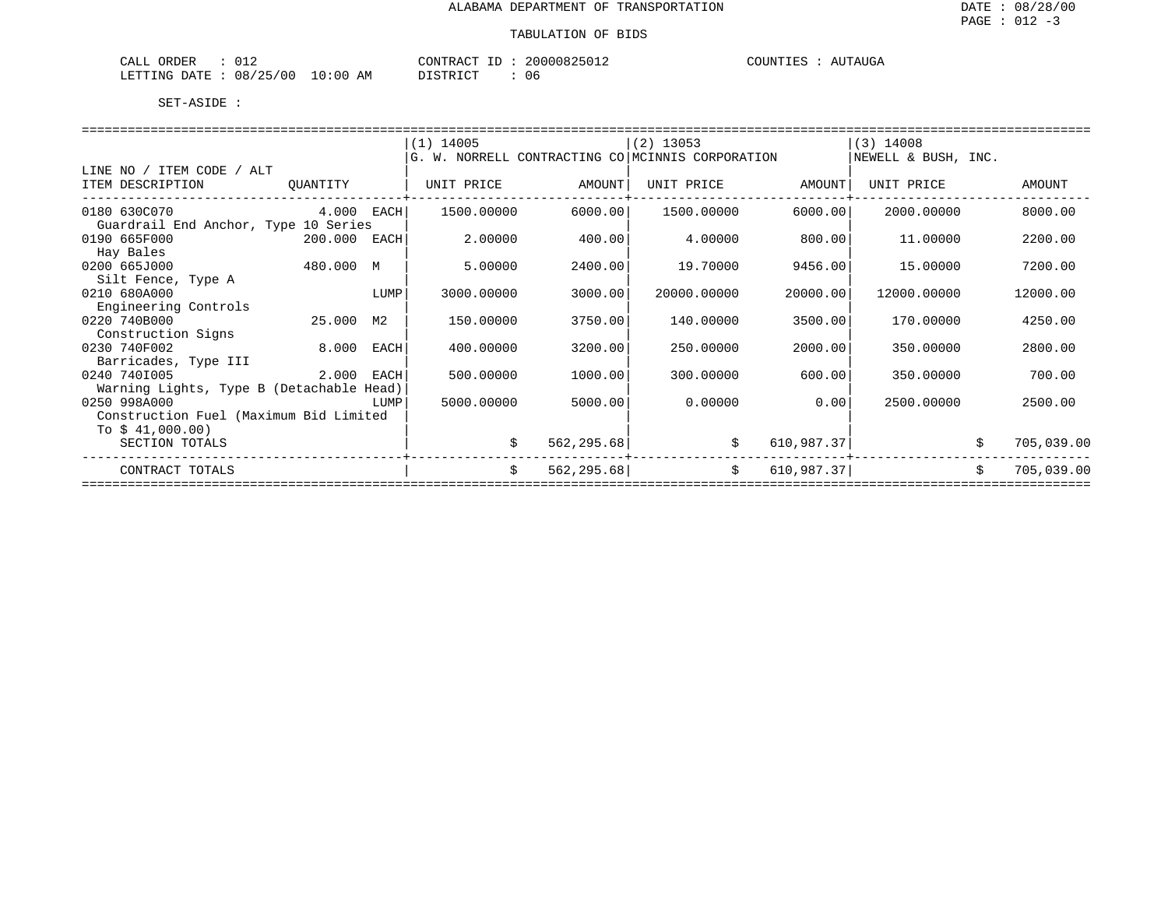| ORDER<br>$\cdot$ $\wedge$<br>ىلىلل<br>- U 11 11                                                                                                                                                                       |            | $\cap$ ת סידיז $\cap$ | . $11111 \times$<br>ັ∕່ານ⊥∠ | TIMB TIOB<br>$\cdots$<br>L'AUGA<br>,,,,,,,,,,,, |
|-----------------------------------------------------------------------------------------------------------------------------------------------------------------------------------------------------------------------|------------|-----------------------|-----------------------------|-------------------------------------------------|
| $\sqrt{2}$<br>08<br>0٢)<br>ETTING<br>חת ∆חד<br>$\overline{\phantom{a}}$<br>- 1 P<br>$\overline{ }$<br>the contract of the contract of the contract of the contract of the contract of the contract of the contract of | 0:00<br>AΜ | T Om<br>$   -$<br>⋯   | -06                         |                                                 |

|                                          |              |      | $(1)$ 14005 |             | $(2)$ 13053                                      | $(3)$ 14008 |                     |    |            |  |
|------------------------------------------|--------------|------|-------------|-------------|--------------------------------------------------|-------------|---------------------|----|------------|--|
|                                          |              |      |             |             | G. W. NORRELL CONTRACTING CO MCINNIS CORPORATION |             | NEWELL & BUSH, INC. |    |            |  |
| LINE NO / ITEM CODE / ALT                |              |      |             |             |                                                  |             |                     |    |            |  |
| ITEM DESCRIPTION                         | OUANTITY     |      | UNIT PRICE  | AMOUNT      | UNIT PRICE                                       | AMOUNT      | UNIT PRICE          |    | AMOUNT     |  |
|                                          |              |      |             |             |                                                  |             |                     |    |            |  |
| 0180 630C070                             | $4.000$ EACH |      | 1500.00000  | 6000.00     | 1500.00000                                       | 6000.00     | 2000.00000          |    | 8000.00    |  |
| Guardrail End Anchor, Type 10 Series     |              |      |             |             |                                                  |             |                     |    |            |  |
| 0190 665F000                             | 200.000 EACH |      | 2,00000     | 400.00      | 4.00000                                          | 800.00      | 11,00000            |    | 2200.00    |  |
| Hay Bales                                |              |      |             |             |                                                  |             |                     |    |            |  |
| 0200 665J000                             | 480.000 M    |      | 5.00000     | 2400.00     | 19.70000                                         | 9456.00     | 15.00000            |    | 7200.00    |  |
| Silt Fence, Type A                       |              |      |             |             |                                                  |             |                     |    |            |  |
| 0210 680A000                             |              | LUMP | 3000.00000  | 3000.00     | 20000.00000                                      | 20000.00    | 12000.00000         |    | 12000.00   |  |
| Engineering Controls                     |              |      |             |             |                                                  |             |                     |    |            |  |
| 0220 740B000                             | 25.000       | М2   | 150.00000   | 3750.00     | 140.00000                                        | 3500.00     | 170.00000           |    | 4250.00    |  |
| Construction Signs                       |              |      |             |             |                                                  |             |                     |    |            |  |
| 0230 740F002                             | 8.000        | EACH | 400.00000   | 3200.00     | 250.00000                                        | 2000.00     | 350.00000           |    | 2800.00    |  |
| Barricades, Type III                     |              |      |             |             |                                                  |             |                     |    |            |  |
| 0240 7401005                             | 2.000        | EACH | 500.00000   | 1000.00     | 300.00000                                        | 600.00      | 350.00000           |    | 700.00     |  |
| Warning Lights, Type B (Detachable Head) |              |      |             |             |                                                  |             |                     |    |            |  |
| 0250 998A000                             |              | LUMP | 5000.00000  | 5000.00     | 0.00000                                          | 0.00        | 2500.00000          |    | 2500.00    |  |
| Construction Fuel (Maximum Bid Limited   |              |      |             |             |                                                  |             |                     |    |            |  |
| To $$41,000.00)$                         |              |      |             |             |                                                  |             |                     |    |            |  |
| SECTION TOTALS                           |              |      | Ŝ.          | 562,295.68  | \$                                               | 610,987.37  |                     | \$ | 705,039.00 |  |
| CONTRACT TOTALS                          |              |      | \$          | 562, 295.68 | \$                                               | 610,987.37  |                     | \$ | 705,039.00 |  |
|                                          |              |      |             |             |                                                  |             |                     |    |            |  |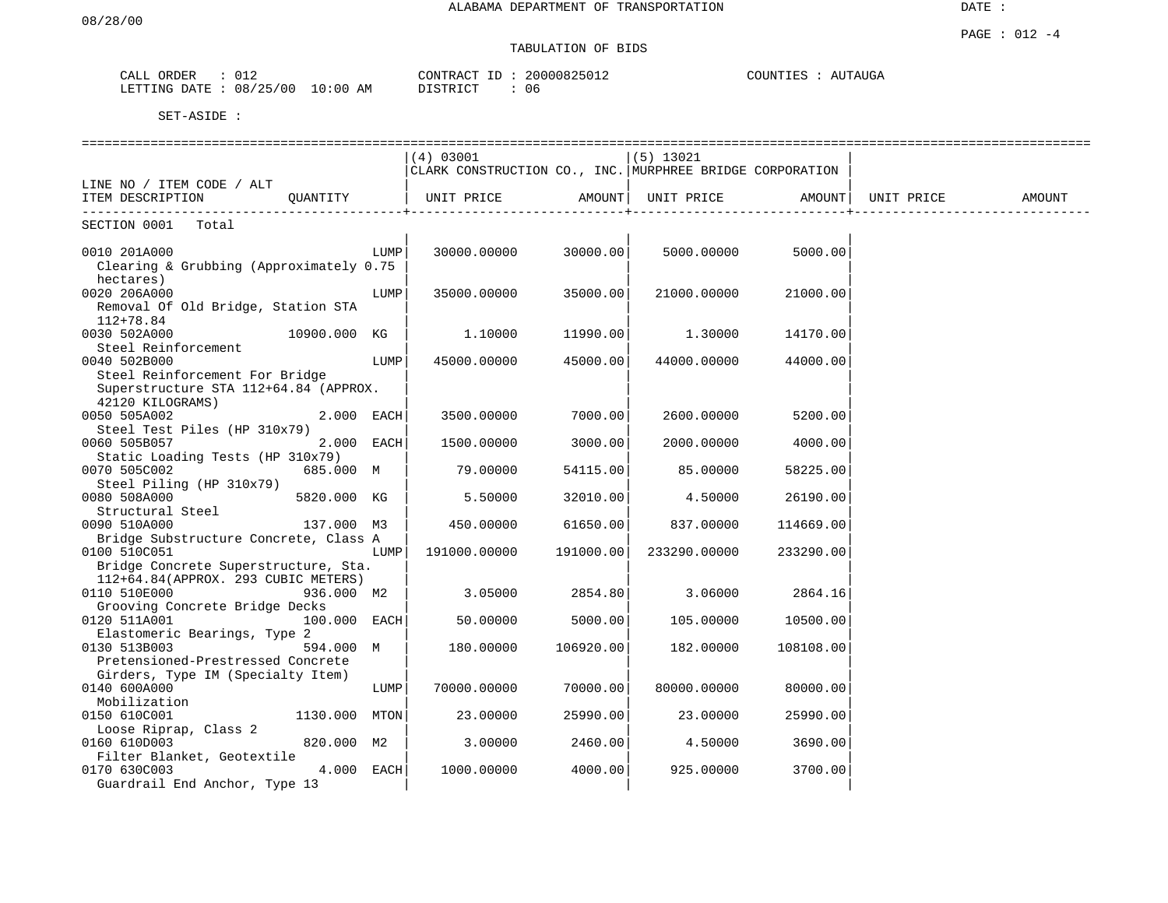# TABULATION OF BIDS

| ORDER<br>CALL |          |             | CONTRACT ID     | 20000825012 | COUNTIES | AUTAUGA |
|---------------|----------|-------------|-----------------|-------------|----------|---------|
| LETTING DATE  | 08/25/00 | 10:00<br>AΜ | <b>DISTRICT</b> | 06          |          |         |

|                                         |               |      | (4) 03001                                                |           | $(5)$ 13021  |           |            |        |
|-----------------------------------------|---------------|------|----------------------------------------------------------|-----------|--------------|-----------|------------|--------|
|                                         |               |      | CLARK CONSTRUCTION CO., INC. MURPHREE BRIDGE CORPORATION |           |              |           |            |        |
| LINE NO / ITEM CODE / ALT               |               |      |                                                          |           |              |           |            |        |
| ITEM DESCRIPTION                        | OUANTITY      |      | UNIT PRICE                                               | AMOUNT    | UNIT PRICE   | AMOUNT    | UNIT PRICE | AMOUNT |
| SECTION 0001<br>Total                   |               |      |                                                          |           |              |           |            |        |
|                                         |               |      |                                                          |           |              |           |            |        |
| 0010 201A000                            |               | LUMP | 30000.00000                                              | 30000.00  | 5000.00000   | 5000.00   |            |        |
| Clearing & Grubbing (Approximately 0.75 |               |      |                                                          |           |              |           |            |        |
| hectares)                               |               |      |                                                          |           |              |           |            |        |
| 0020 206A000                            |               | LUMP | 35000.00000                                              | 35000.00  | 21000.00000  | 21000.00  |            |        |
| Removal Of Old Bridge, Station STA      |               |      |                                                          |           |              |           |            |        |
| $112 + 78.84$                           |               |      |                                                          |           |              |           |            |        |
| 0030 502A000                            | 10900.000 KG  |      | 1,10000                                                  | 11990.00  | 1,30000      | 14170.00  |            |        |
| Steel Reinforcement                     |               |      |                                                          |           |              |           |            |        |
| 0040 502B000                            |               | LUMP | 45000.00000                                              | 45000.00  | 44000.00000  | 44000.00  |            |        |
| Steel Reinforcement For Bridge          |               |      |                                                          |           |              |           |            |        |
| Superstructure STA 112+64.84 (APPROX.   |               |      |                                                          |           |              |           |            |        |
| 42120 KILOGRAMS)                        |               |      |                                                          |           |              |           |            |        |
| 0050 505A002                            | 2.000 EACH    |      | 3500.00000                                               | 7000.00   | 2600.00000   | 5200.00   |            |        |
| Steel Test Piles (HP 310x79)            |               |      |                                                          |           |              |           |            |        |
| 0060 505B057                            | 2.000 EACH    |      | 1500.00000                                               | 3000.00   | 2000.00000   | 4000.00   |            |        |
| Static Loading Tests (HP 310x79)        |               |      |                                                          |           |              |           |            |        |
| 0070 505C002                            | 685.000 M     |      | 79.00000                                                 | 54115.00  | 85.00000     | 58225.00  |            |        |
| Steel Piling (HP 310x79)                |               |      |                                                          |           |              |           |            |        |
| 0080 508A000                            | 5820.000 KG   |      | 5.50000                                                  | 32010.00  | 4.50000      | 26190.00  |            |        |
| Structural Steel                        |               |      |                                                          |           |              |           |            |        |
| 0090 510A000                            | 137.000 M3    |      | 450.00000                                                | 61650.00  | 837.00000    | 114669.00 |            |        |
| Bridge Substructure Concrete, Class A   |               |      |                                                          |           |              |           |            |        |
| 0100 510C051                            |               | LUMP | 191000.00000                                             | 191000.00 | 233290.00000 | 233290.00 |            |        |
| Bridge Concrete Superstructure, Sta.    |               |      |                                                          |           |              |           |            |        |
| 112+64.84(APPROX. 293 CUBIC METERS)     |               |      |                                                          |           |              |           |            |        |
| 0110 510E000                            | 936.000 M2    |      | 3.05000                                                  | 2854.80   | 3.06000      | 2864.16   |            |        |
| Grooving Concrete Bridge Decks          |               |      |                                                          |           |              |           |            |        |
| 0120 511A001                            | 100.000 EACH  |      | 50.00000                                                 | 5000.00   | 105.00000    | 10500.00  |            |        |
| Elastomeric Bearings, Type 2            |               |      |                                                          |           |              |           |            |        |
| 0130 513B003                            | 594.000 M     |      | 180.00000                                                | 106920.00 | 182.00000    | 108108.00 |            |        |
| Pretensioned-Prestressed Concrete       |               |      |                                                          |           |              |           |            |        |
| Girders, Type IM (Specialty Item)       |               |      |                                                          |           |              |           |            |        |
| 0140 600A000                            |               | LUMP | 70000.00000                                              | 70000.00  | 80000.00000  | 80000.00  |            |        |
| Mobilization                            |               |      |                                                          |           |              |           |            |        |
| 0150 610C001                            | 1130.000 MTON |      | 23.00000                                                 | 25990.00  | 23.00000     | 25990.00  |            |        |
| Loose Riprap, Class 2                   |               |      |                                                          |           |              |           |            |        |
| 0160 610D003                            | 820.000 M2    |      | 3.00000                                                  | 2460.00   | 4.50000      | 3690.00   |            |        |
| Filter Blanket, Geotextile              |               |      |                                                          |           |              |           |            |        |
| 0170 630C003                            | $4.000$ EACH  |      | 1000.00000                                               | 4000.00   | 925.00000    | 3700.00   |            |        |
| Guardrail End Anchor, Type 13           |               |      |                                                          |           |              |           |            |        |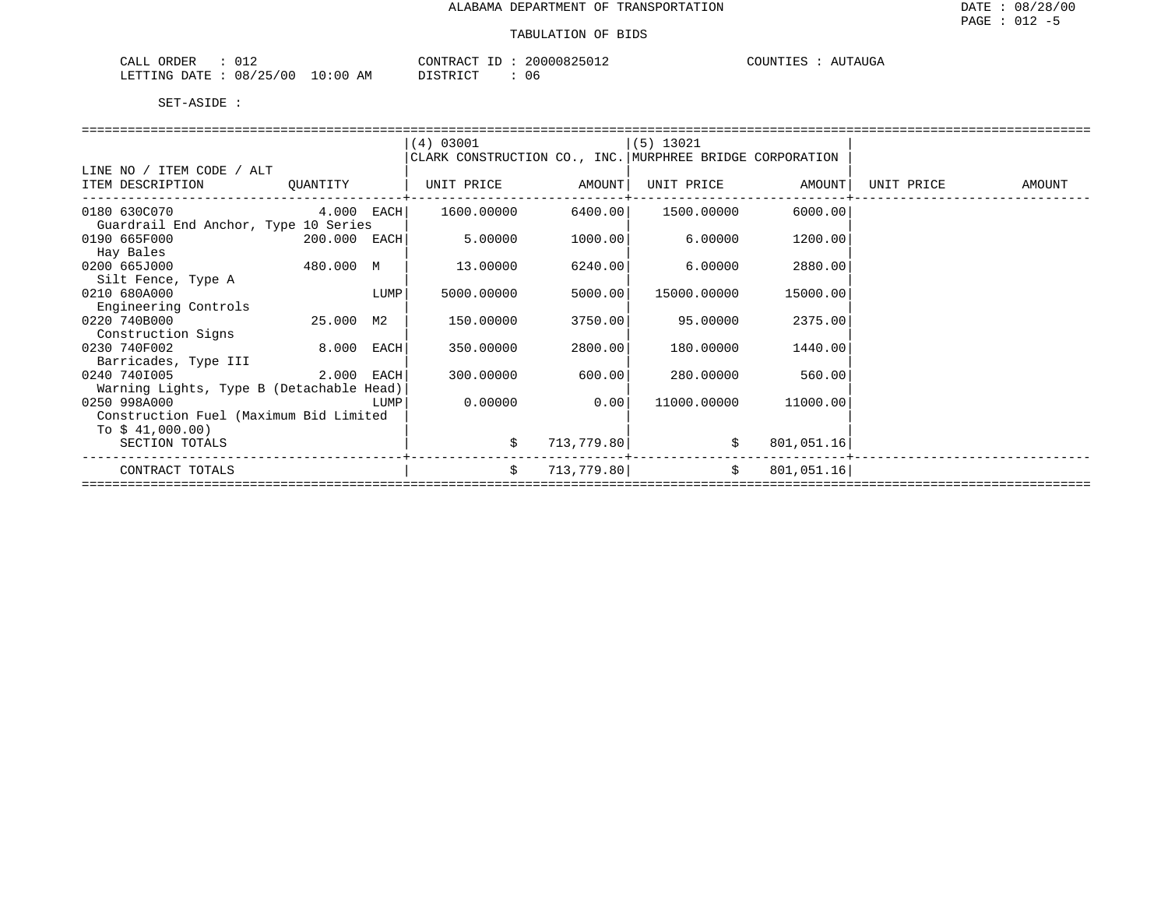| ORDER<br>012<br>CALL     |            | CONTRACT ID               | 20000825012 | COUNTIES<br>AUTAUGA |
|--------------------------|------------|---------------------------|-------------|---------------------|
| 08/25/00<br>LETTING DATE | $10:00$ AM | DISTRICT<br>, + 1 \ + 1 \ | 06          |                     |

|                                          |                |      | (4) 03001                                                |            | (5) 13021           |            |            |               |
|------------------------------------------|----------------|------|----------------------------------------------------------|------------|---------------------|------------|------------|---------------|
|                                          |                |      | CLARK CONSTRUCTION CO., INC. MURPHREE BRIDGE CORPORATION |            |                     |            |            |               |
| LINE NO / ITEM CODE / ALT                |                |      |                                                          |            |                     |            |            |               |
| ITEM DESCRIPTION QUANTITY                |                |      | UNIT PRICE AMOUNT                                        |            | UNIT PRICE AMOUNT   |            | UNIT PRICE | <b>AMOUNT</b> |
|                                          |                |      |                                                          |            |                     |            |            |               |
| 0180 630C070                             | $4.000$ EACH   |      | 1600.00000                                               |            | 6400.00  1500.00000 | 6000.00    |            |               |
| Guardrail End Anchor, Type 10 Series     |                |      |                                                          |            |                     |            |            |               |
| 0190 665F000                             | $200.000$ EACH |      | 5.00000                                                  | 1000.00    | 6.00000             | 1200.00    |            |               |
| Hay Bales                                |                |      |                                                          |            |                     |            |            |               |
| 0200 665J000                             | 480.000 M      |      | 13.00000                                                 | 6240.00    | 6.00000             | 2880.00    |            |               |
| Silt Fence, Type A                       |                |      |                                                          |            |                     |            |            |               |
| 0210 680A000                             |                | LUMP | 5000.00000                                               | 5000.00    | 15000.00000         | 15000.00   |            |               |
| Engineering Controls                     |                |      |                                                          |            |                     |            |            |               |
| 0220 740B000                             | 25.000 M2      |      | 150.00000                                                | 3750.00    | 95.00000            | 2375.00    |            |               |
| Construction Signs                       |                |      |                                                          |            |                     |            |            |               |
| 0230 740F002                             | 8.000 EACH     |      | 350.00000                                                | 2800.00    | 180.00000           | 1440.00    |            |               |
| Barricades, Type III                     |                |      |                                                          |            |                     |            |            |               |
| 0240 7401005                             | $2.000$ EACH   |      | 300.00000                                                | 600.00     | 280.00000           | 560.00     |            |               |
| Warning Lights, Type B (Detachable Head) |                |      |                                                          |            |                     |            |            |               |
| 0250 998A000                             |                | LUMP | 0.00000                                                  | 0.00       | 11000.00000         | 11000.00   |            |               |
| Construction Fuel (Maximum Bid Limited   |                |      |                                                          |            |                     |            |            |               |
| To $$41,000.00)$                         |                |      |                                                          |            |                     |            |            |               |
| SECTION TOTALS                           |                |      | \$                                                       | 713,779.80 | \$                  | 801,051.16 |            |               |
|                                          |                |      |                                                          |            |                     |            |            |               |
| CONTRACT TOTALS                          |                |      | \$                                                       | 713,779.80 | \$                  | 801,051.16 |            |               |
|                                          |                |      |                                                          |            |                     |            |            |               |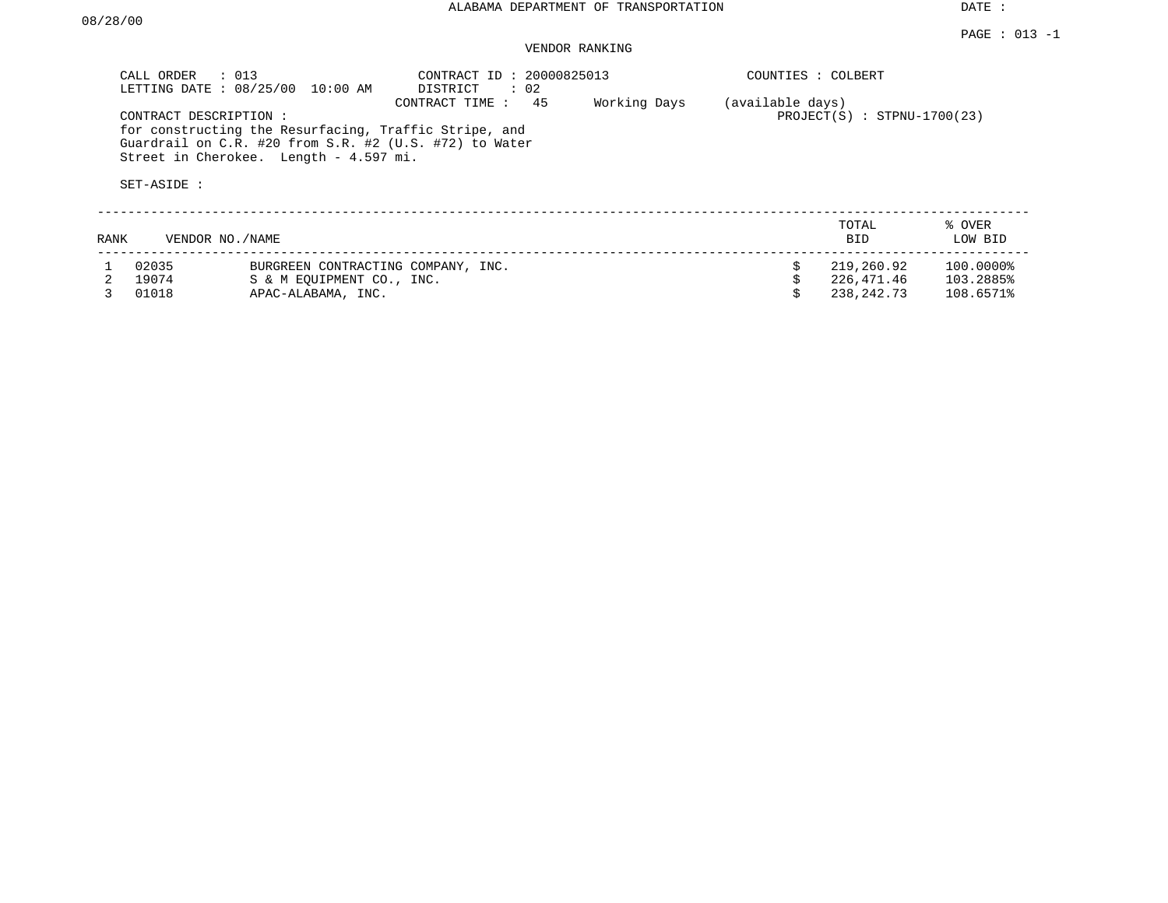### VENDOR RANKING

|      | CALL ORDER                           | $\therefore$ 013<br>LETTING DATE : 08/25/00 10:00 AM                                                                                                      | CONTRACT ID: 20000825013<br>DISTRICT<br>$\therefore$ 02 |              | COUNTIES : COLBERT |                               |                   |
|------|--------------------------------------|-----------------------------------------------------------------------------------------------------------------------------------------------------------|---------------------------------------------------------|--------------|--------------------|-------------------------------|-------------------|
|      | CONTRACT DESCRIPTION:<br>SET-ASIDE : | for constructing the Resurfacing, Traffic Stripe, and<br>Guardrail on C.R. #20 from S.R. #2 (U.S. #72) to Water<br>Street in Cherokee. Length - 4.597 mi. | -45<br>CONTRACT TIME :                                  | Working Days | (available days)   | $PROJECT(S)$ : STPNU-1700(23) |                   |
| RANK |                                      | VENDOR NO. / NAME                                                                                                                                         |                                                         |              |                    | TOTAL<br><b>BID</b>           | % OVER<br>LOW BID |
|      | 02035                                | BURGREEN CONTRACTING COMPANY, INC.                                                                                                                        |                                                         |              |                    | 219,260.92                    | 100.0000%         |
|      | 19074                                | S & M EOUIPMENT CO., INC.                                                                                                                                 |                                                         |              |                    | 226,471.46                    | 103.2885%         |
|      | 01018                                | APAC-ALABAMA, INC.                                                                                                                                        |                                                         |              |                    | 238,242.73                    | 108.6571%         |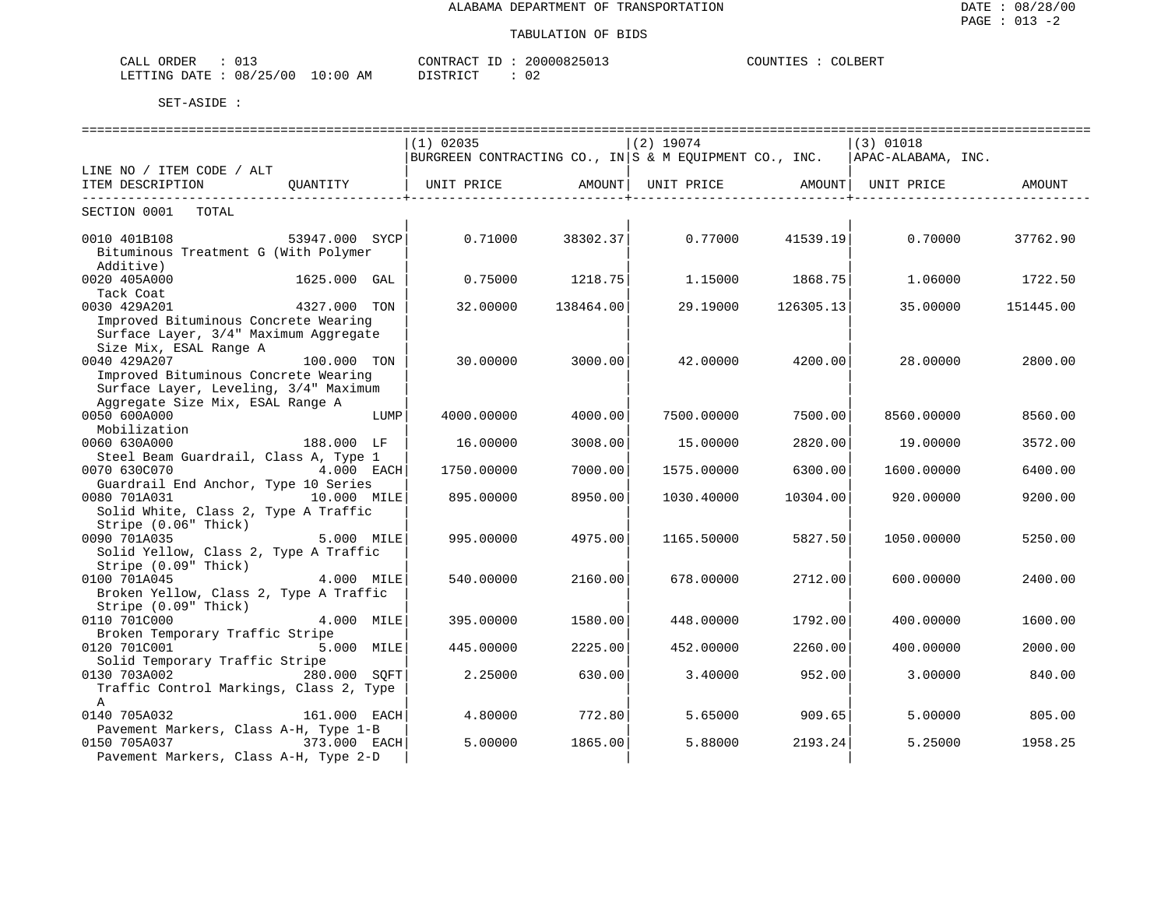| ORDER<br>CALL<br>- 0 +             | CONTRACT<br>$- -$   | 20000825013<br>111111 | COUNTIES<br>COLBERT |
|------------------------------------|---------------------|-----------------------|---------------------|
| 08/25/00<br>10<br>LETTING<br>DATE. | AΜ<br>፡ 00<br>' ⊢ I | $\sim$<br>◡▵          |                     |

|                                                      |                |      | $(1)$ 02035                                            |           | $(2)$ 19074 |                                       | $(3)$ 01018                    |           |
|------------------------------------------------------|----------------|------|--------------------------------------------------------|-----------|-------------|---------------------------------------|--------------------------------|-----------|
|                                                      |                |      | BURGREEN CONTRACTING CO., IN S & M EQUIPMENT CO., INC. |           |             |                                       | APAC-ALABAMA, INC.             |           |
| LINE NO / ITEM CODE / ALT                            |                |      |                                                        |           |             |                                       |                                |           |
| ITEM DESCRIPTION                                     | OUANTITY       |      | UNIT PRICE AMOUNT                                      |           |             | . _ _ _ _ _ _ _ _ _ _ _ _ _ _ _ _ _ _ | UNIT PRICE AMOUNT   UNIT PRICE | AMOUNT    |
| SECTION 0001<br>TOTAL                                |                |      |                                                        |           |             |                                       |                                |           |
|                                                      |                |      |                                                        |           |             |                                       |                                |           |
| 0010 401B108                                         | 53947.000 SYCP |      | 0.71000                                                | 38302.37  | 0.77000     | 41539.19                              | 0.70000                        | 37762.90  |
| Bituminous Treatment G (With Polymer                 |                |      |                                                        |           |             |                                       |                                |           |
| Additive)                                            |                |      |                                                        |           |             |                                       |                                |           |
| 0020 405A000                                         | 1625.000 GAL   |      | 0.75000                                                | 1218.75   | 1,15000     | 1868.75                               | 1,06000                        | 1722.50   |
| Tack Coat                                            |                |      |                                                        |           |             |                                       |                                |           |
| 0030 429A201                                         | 4327.000 TON   |      | 32.00000                                               | 138464.00 | 29.19000    | 126305.13                             | 35,00000                       | 151445.00 |
| Improved Bituminous Concrete Wearing                 |                |      |                                                        |           |             |                                       |                                |           |
| Surface Layer, 3/4" Maximum Aggregate                |                |      |                                                        |           |             |                                       |                                |           |
| Size Mix, ESAL Range A                               |                |      |                                                        |           |             |                                       |                                |           |
| 0040 429A207<br>Improved Bituminous Concrete Wearing | 100.000 TON    |      | 30.00000                                               | 3000.00   | 42.00000    | 4200.00                               | 28,00000                       | 2800.00   |
| Surface Layer, Leveling, 3/4" Maximum                |                |      |                                                        |           |             |                                       |                                |           |
| Aggregate Size Mix, ESAL Range A                     |                |      |                                                        |           |             |                                       |                                |           |
| 0050 600A000                                         |                | LUMP | 4000.00000                                             | 4000.00   | 7500.00000  | 7500.00                               | 8560.00000                     | 8560.00   |
| Mobilization                                         |                |      |                                                        |           |             |                                       |                                |           |
| 0060 630A000                                         | 188.000 LF     |      | 16.00000                                               | 3008.00   | 15.00000    | 2820.00                               | 19.00000                       | 3572.00   |
| Steel Beam Guardrail, Class A, Type 1                |                |      |                                                        |           |             |                                       |                                |           |
| 0070 630C070                                         | 4.000 EACH     |      | 1750.00000                                             | 7000.00   | 1575.00000  | 6300.00                               | 1600.00000                     | 6400.00   |
| Guardrail End Anchor, Type 10 Series                 |                |      |                                                        |           |             |                                       |                                |           |
| 0080 701A031                                         | 10.000 MILE    |      | 895.00000                                              | 8950.00   | 1030.40000  | 10304.00                              | 920.00000                      | 9200.00   |
| Solid White, Class 2, Type A Traffic                 |                |      |                                                        |           |             |                                       |                                |           |
| Stripe (0.06" Thick)                                 |                |      |                                                        |           |             |                                       |                                |           |
| 0090 701A035                                         | 5.000 MILE     |      | 995.00000                                              | 4975.00   | 1165.50000  | 5827.50                               | 1050.00000                     | 5250.00   |
| Solid Yellow, Class 2, Type A Traffic                |                |      |                                                        |           |             |                                       |                                |           |
| Stripe (0.09" Thick)<br>0100 701A045                 | 4.000 MILE     |      | 540.00000                                              | 2160.00   | 678,00000   | 2712.00                               | 600,00000                      | 2400.00   |
| Broken Yellow, Class 2, Type A Traffic               |                |      |                                                        |           |             |                                       |                                |           |
| Stripe (0.09" Thick)                                 |                |      |                                                        |           |             |                                       |                                |           |
| 0110 701C000                                         | 4.000 MILE     |      | 395.00000                                              | 1580.00   | 448.00000   | 1792.00                               | 400.00000                      | 1600.00   |
| Broken Temporary Traffic Stripe                      |                |      |                                                        |           |             |                                       |                                |           |
| 0120 701C001                                         | 5.000 MILE     |      | 445.00000                                              | 2225.00   | 452.00000   | 2260.00                               | 400.00000                      | 2000.00   |
| Solid Temporary Traffic Stripe                       |                |      |                                                        |           |             |                                       |                                |           |
| 0130 703A002                                         | 280.000 SOFT   |      | 2.25000                                                | 630.00    | 3.40000     | 952.00                                | 3.00000                        | 840.00    |
| Traffic Control Markings, Class 2, Type              |                |      |                                                        |           |             |                                       |                                |           |
| A                                                    |                |      |                                                        |           |             |                                       |                                |           |
| 0140 705A032                                         | 161.000 EACH   |      | 4.80000                                                | 772.80    | 5.65000     | 909.65                                | 5.00000                        | 805.00    |
| Pavement Markers, Class A-H, Type 1-B                |                |      |                                                        |           |             |                                       |                                |           |
| 0150 705A037                                         | 373.000 EACH   |      | 5.00000                                                | 1865.00   | 5.88000     | 2193.24                               | 5.25000                        | 1958.25   |
| Pavement Markers, Class A-H, Type 2-D                |                |      |                                                        |           |             |                                       |                                |           |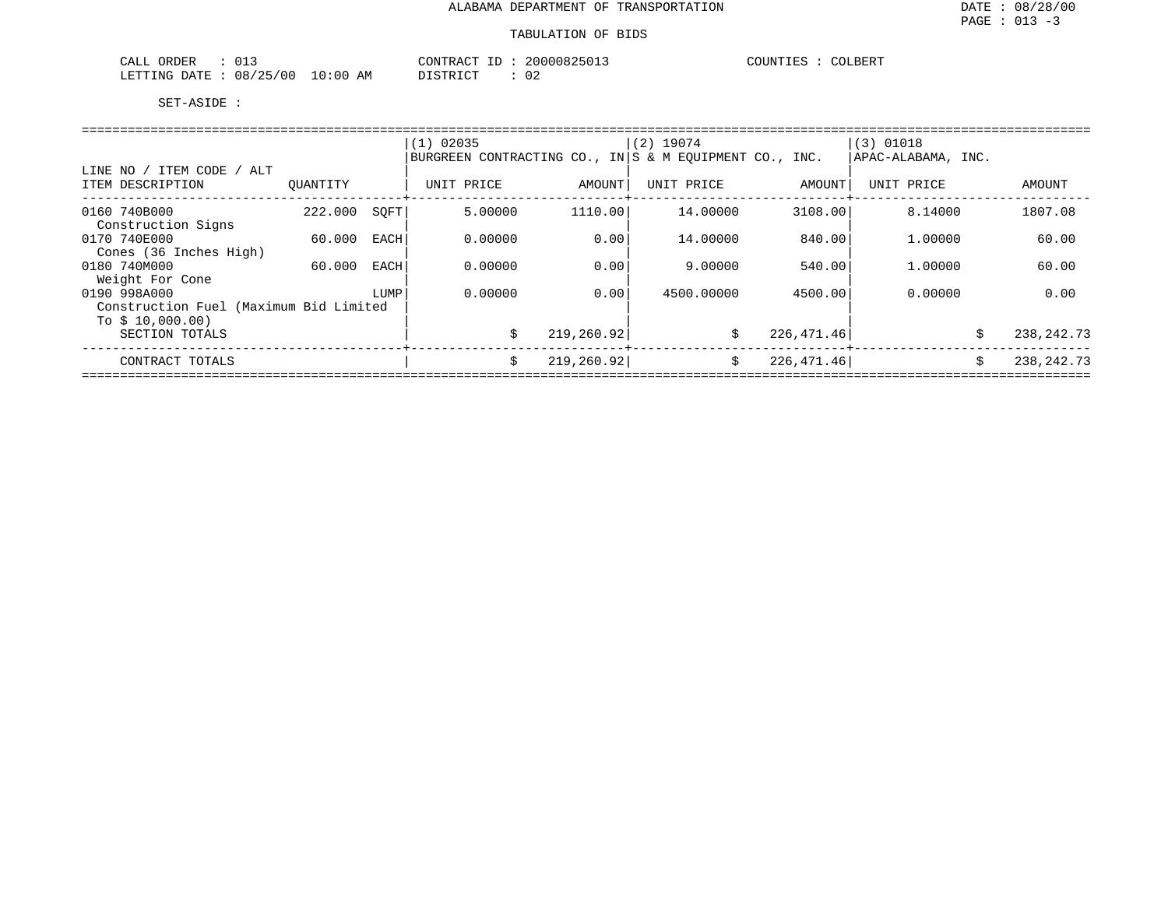| ORDEF<br>CALL<br>◡∸~                            |                          | CONTRACT<br>$ -$ | 20000825<br>7511 | COUNTILES<br>COLBERT<br>CUUNIIBƏ |
|-------------------------------------------------|--------------------------|------------------|------------------|----------------------------------|
| 08/25/00<br>. בתיחים ב<br>R מיד∆ת<br>$\pm$ 1 NG | 10:00 <sub>h</sub><br>ΑM | די הרו אידי פי   | ◡∠               |                                  |

|                                        |          |      | $(1)$ 02035                                            |             | $(2)$ 19074 |             | $(3)$ 01018        |                    |
|----------------------------------------|----------|------|--------------------------------------------------------|-------------|-------------|-------------|--------------------|--------------------|
|                                        |          |      | BURGREEN CONTRACTING CO., IN S & M EOUIPMENT CO., INC. |             |             |             | APAC-ALABAMA, INC. |                    |
| / ITEM CODE / ALT<br>LINE NO           |          |      |                                                        |             |             |             |                    |                    |
| ITEM DESCRIPTION                       | OUANTITY |      | UNIT PRICE                                             | AMOUNT      | UNIT PRICE  | AMOUNT      | UNIT PRICE         | AMOUNT             |
| 0160 740B000                           | 222.000  | SOFT | 5.00000                                                | 1110.00     | 14,00000    | 3108.00     | 8.14000            | 1807.08            |
| Construction Signs                     |          |      |                                                        |             |             |             |                    |                    |
| 0170 740E000<br>Cones (36 Inches High) | 60.000   | EACH | 0.00000                                                | 0.00        | 14,00000    | 840.00      | 1,00000            | 60.00              |
| 0180 740M000                           | 60.000   | EACH | 0.00000                                                | 0.00        | 9.00000     | 540.00      | 1,00000            | 60.00              |
| Weight For Cone<br>0190 998A000        |          | LUMP | 0.00000                                                | 0.001       | 4500.00000  | 4500.00     | 0.00000            | 0.00               |
| Construction Fuel (Maximum Bid Limited |          |      |                                                        |             |             |             |                    |                    |
| To $$10,000.00)$<br>SECTION TOTALS     |          |      | \$                                                     | 219, 260.92 | \$          | 226,471.46  |                    | \$<br>238, 242. 73 |
| CONTRACT TOTALS                        |          |      | Ŝ.                                                     | 219, 260.92 | Ŝ.          | 226, 471.46 |                    | 238, 242. 73<br>\$ |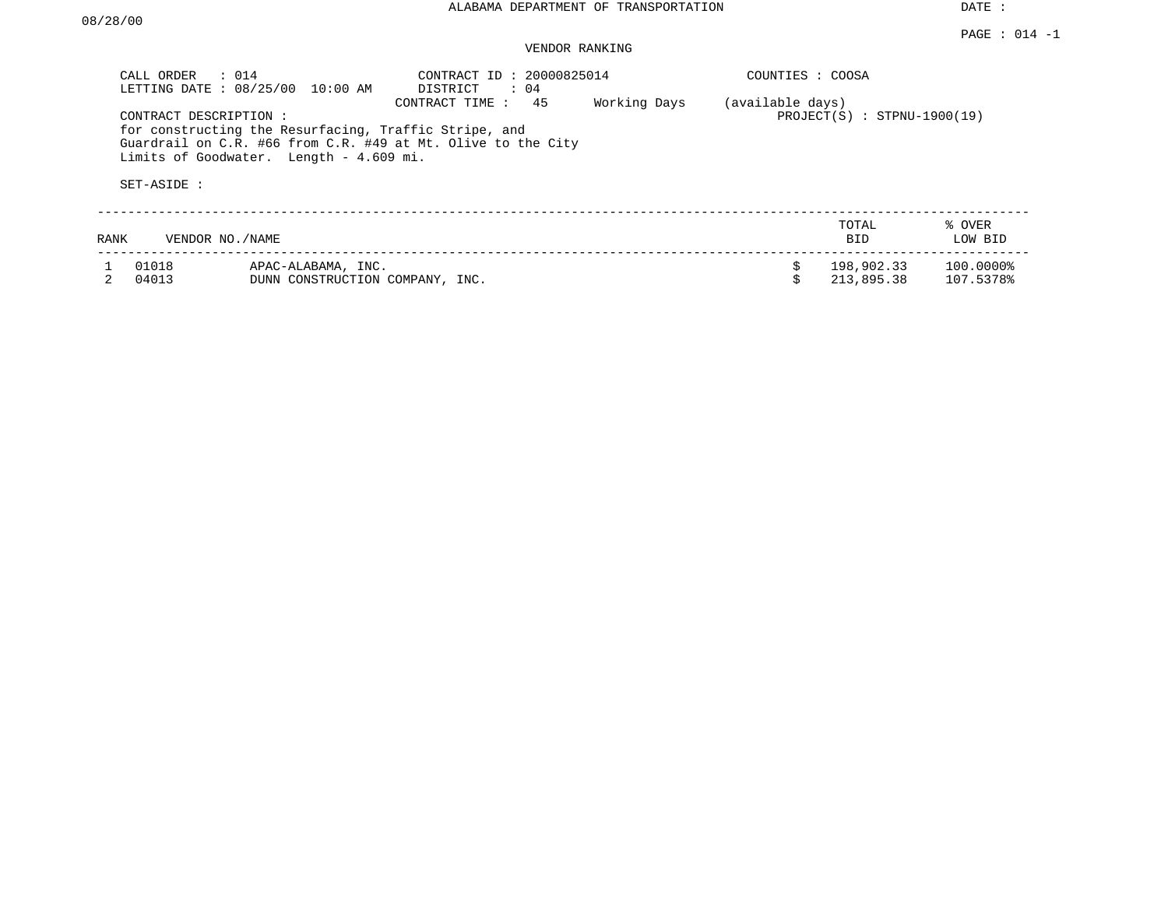### VENDOR RANKING

| CALL ORDER<br>LETTING DATE : 08/25/00 | $\therefore$ 014<br>10:00 AM                                                                     | CONTRACT ID: 20000825014<br>DISTRICT<br>$\therefore$ 04                              |              | COUNTIES : COOSA |                               |                        |
|---------------------------------------|--------------------------------------------------------------------------------------------------|--------------------------------------------------------------------------------------|--------------|------------------|-------------------------------|------------------------|
| CONTRACT DESCRIPTION :<br>SET-ASIDE : | for constructing the Resurfacing, Traffic Stripe, and<br>Limits of Goodwater. Length - 4.609 mi. | 45<br>CONTRACT TIME:<br>Guardrail on C.R. #66 from C.R. #49 at Mt. Olive to the City | Working Days | (available days) | $PROJECT(S) : STPNU-1900(19)$ |                        |
| RANK                                  | VENDOR NO./NAME                                                                                  |                                                                                      |              |                  | TOTAL<br><b>BID</b>           | % OVER<br>LOW BID      |
| 01018<br>04013                        | APAC-ALABAMA, INC.<br>DUNN CONSTRUCTION COMPANY, INC.                                            |                                                                                      |              |                  | 198,902.33<br>213,895.38      | 100.0000%<br>107.5378% |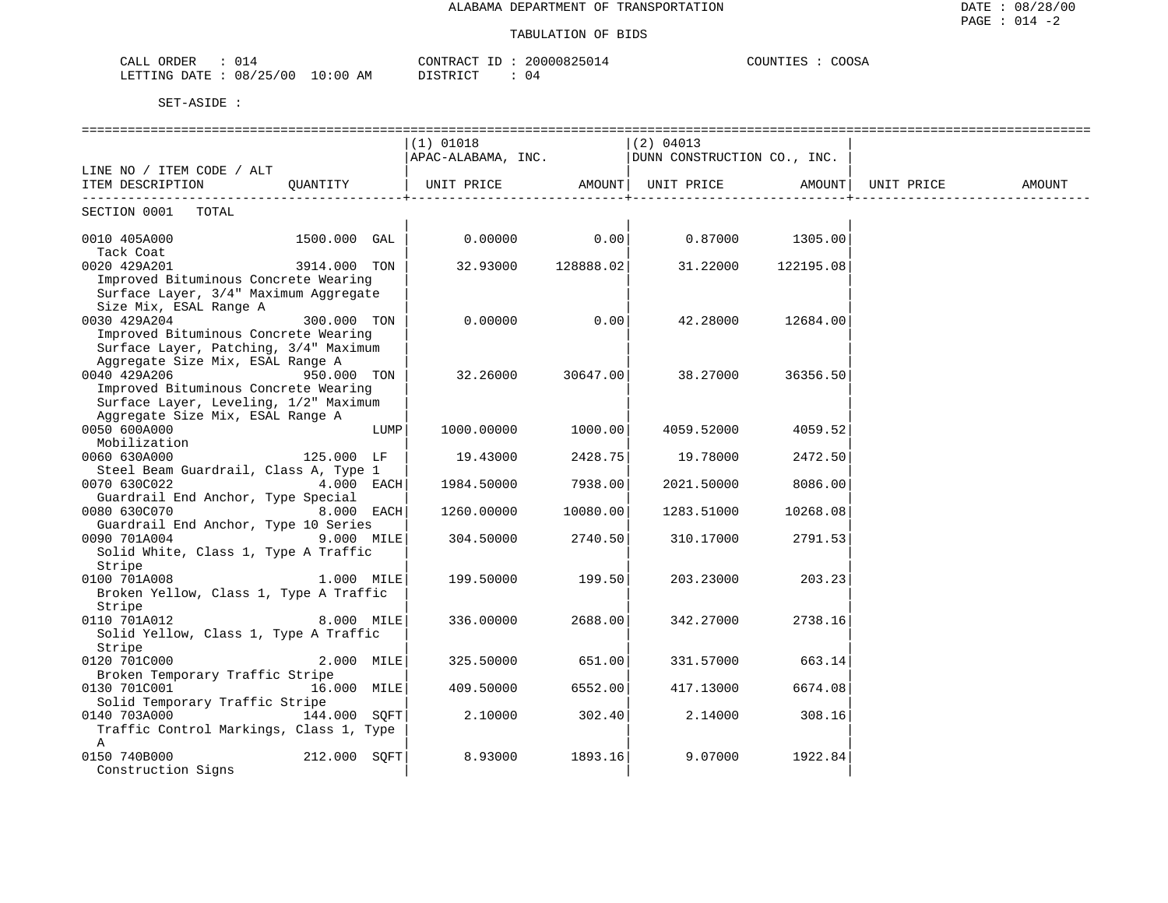#### TABULATION OF BIDS

| ORDER<br>CALL (  | 0 1 4            |    | CONTRACT ID : | 20000825014 | COUNTIES<br><b>COOSA</b> |
|------------------|------------------|----|---------------|-------------|--------------------------|
| LETTING DATE : ' | : 08/25/00 10:00 | AM | DISTRICT      |             |                          |

| (1) 01018<br>(2) 04013<br>APAC-ALABAMA, INC.   DUNN CONSTRUCTION CO., INC.<br>LINE NO / ITEM CODE / ALT<br>  UNIT PRICE AMOUNT  UNIT PRICE AMOUNT <br>UNIT PRICE<br>ITEM DESCRIPTION QUANTITY<br>AMOUNT<br>SECTION 0001 TOTAL<br>$0.00000$ 0.00<br>$0.87000$ 1305.00<br>0010 405A000<br>1500.000 GAL<br>Tack Coat<br>32.93000 128888.02<br>0020 429A201<br>3914.000 TON<br>31.22000<br>122195.08<br>Improved Bituminous Concrete Wearing<br>Surface Layer, 3/4" Maximum Aggregate<br>Size Mix, ESAL Range A<br>0030 429A204<br>300.000 TON<br>0.00000<br>0.00<br>42.28000<br>12684.00<br>Improved Bituminous Concrete Wearing<br>Surface Layer, Patching, 3/4" Maximum<br>Aggregate Size Mix, ESAL Range A<br>0040 429A206<br>950.000 TON<br>32.26000<br>30647.00<br>38.27000<br>36356.50<br>Improved Bituminous Concrete Wearing<br>Surface Layer, Leveling, 1/2" Maximum<br>Aggregate Size Mix, ESAL Range A<br>0050 600A000<br>1000.00000<br>1000.00<br>4059.52000<br>4059.52<br>LUMP<br>Mobilization<br>2428.75<br>0060 630A000<br>125.000 LF<br>19.43000<br>19.78000<br>2472.50<br>Steel Beam Guardrail, Class A, Type 1<br>0070 630C022<br>4.000 EACH<br>7938.00<br>1984.50000<br>2021.50000<br>8086.00<br>Guardrail End Anchor, Type Special<br>0080 630C070<br>8.000 EACH<br>10080.00<br>1260.00000<br>1283.51000<br>10268.08<br>Guardrail End Anchor, Type 10 Series<br>9.000 MILE<br>0090 701A004<br>2740.50<br>310.17000<br>2791.53<br>304.50000<br>Solid White, Class 1, Type A Traffic<br>Stripe<br>0100 701A008<br>1.000 MILE<br>199.50000<br>199.50<br>203.23000<br>203.23<br>Broken Yellow, Class 1, Type A Traffic<br>Stripe<br>0110 701A012<br>8.000 MILE<br>2688.00<br>336.00000<br>342.27000<br>2738.16<br>Solid Yellow, Class 1, Type A Traffic<br>Stripe<br>0120 701C000<br>2.000 MILE<br>651.00<br>331.57000<br>325.50000<br>663.14<br>Broken Temporary Traffic Stripe<br>0130 701C001<br>16.000 MILE<br>6552.00<br>409.50000<br>417.13000<br>6674.08<br>Solid Temporary Traffic Stripe<br>0140 703A000 144.000 SOFT<br>302.40<br>2.10000<br>2.14000<br>308.16<br>Traffic Control Markings, Class 1, Type<br>Α<br>0150 740B000<br>212.000 SOFT<br>8.93000<br>1893.16<br>9.07000<br>1922.84 |                    |  |  |  |  |
|-------------------------------------------------------------------------------------------------------------------------------------------------------------------------------------------------------------------------------------------------------------------------------------------------------------------------------------------------------------------------------------------------------------------------------------------------------------------------------------------------------------------------------------------------------------------------------------------------------------------------------------------------------------------------------------------------------------------------------------------------------------------------------------------------------------------------------------------------------------------------------------------------------------------------------------------------------------------------------------------------------------------------------------------------------------------------------------------------------------------------------------------------------------------------------------------------------------------------------------------------------------------------------------------------------------------------------------------------------------------------------------------------------------------------------------------------------------------------------------------------------------------------------------------------------------------------------------------------------------------------------------------------------------------------------------------------------------------------------------------------------------------------------------------------------------------------------------------------------------------------------------------------------------------------------------------------------------------------------------------------------------------------------------------------------------------------------------------------------------------------------------------------------------------------------------------------------------------|--------------------|--|--|--|--|
|                                                                                                                                                                                                                                                                                                                                                                                                                                                                                                                                                                                                                                                                                                                                                                                                                                                                                                                                                                                                                                                                                                                                                                                                                                                                                                                                                                                                                                                                                                                                                                                                                                                                                                                                                                                                                                                                                                                                                                                                                                                                                                                                                                                                                   |                    |  |  |  |  |
|                                                                                                                                                                                                                                                                                                                                                                                                                                                                                                                                                                                                                                                                                                                                                                                                                                                                                                                                                                                                                                                                                                                                                                                                                                                                                                                                                                                                                                                                                                                                                                                                                                                                                                                                                                                                                                                                                                                                                                                                                                                                                                                                                                                                                   |                    |  |  |  |  |
|                                                                                                                                                                                                                                                                                                                                                                                                                                                                                                                                                                                                                                                                                                                                                                                                                                                                                                                                                                                                                                                                                                                                                                                                                                                                                                                                                                                                                                                                                                                                                                                                                                                                                                                                                                                                                                                                                                                                                                                                                                                                                                                                                                                                                   |                    |  |  |  |  |
|                                                                                                                                                                                                                                                                                                                                                                                                                                                                                                                                                                                                                                                                                                                                                                                                                                                                                                                                                                                                                                                                                                                                                                                                                                                                                                                                                                                                                                                                                                                                                                                                                                                                                                                                                                                                                                                                                                                                                                                                                                                                                                                                                                                                                   |                    |  |  |  |  |
|                                                                                                                                                                                                                                                                                                                                                                                                                                                                                                                                                                                                                                                                                                                                                                                                                                                                                                                                                                                                                                                                                                                                                                                                                                                                                                                                                                                                                                                                                                                                                                                                                                                                                                                                                                                                                                                                                                                                                                                                                                                                                                                                                                                                                   |                    |  |  |  |  |
|                                                                                                                                                                                                                                                                                                                                                                                                                                                                                                                                                                                                                                                                                                                                                                                                                                                                                                                                                                                                                                                                                                                                                                                                                                                                                                                                                                                                                                                                                                                                                                                                                                                                                                                                                                                                                                                                                                                                                                                                                                                                                                                                                                                                                   |                    |  |  |  |  |
|                                                                                                                                                                                                                                                                                                                                                                                                                                                                                                                                                                                                                                                                                                                                                                                                                                                                                                                                                                                                                                                                                                                                                                                                                                                                                                                                                                                                                                                                                                                                                                                                                                                                                                                                                                                                                                                                                                                                                                                                                                                                                                                                                                                                                   |                    |  |  |  |  |
|                                                                                                                                                                                                                                                                                                                                                                                                                                                                                                                                                                                                                                                                                                                                                                                                                                                                                                                                                                                                                                                                                                                                                                                                                                                                                                                                                                                                                                                                                                                                                                                                                                                                                                                                                                                                                                                                                                                                                                                                                                                                                                                                                                                                                   |                    |  |  |  |  |
|                                                                                                                                                                                                                                                                                                                                                                                                                                                                                                                                                                                                                                                                                                                                                                                                                                                                                                                                                                                                                                                                                                                                                                                                                                                                                                                                                                                                                                                                                                                                                                                                                                                                                                                                                                                                                                                                                                                                                                                                                                                                                                                                                                                                                   |                    |  |  |  |  |
|                                                                                                                                                                                                                                                                                                                                                                                                                                                                                                                                                                                                                                                                                                                                                                                                                                                                                                                                                                                                                                                                                                                                                                                                                                                                                                                                                                                                                                                                                                                                                                                                                                                                                                                                                                                                                                                                                                                                                                                                                                                                                                                                                                                                                   |                    |  |  |  |  |
|                                                                                                                                                                                                                                                                                                                                                                                                                                                                                                                                                                                                                                                                                                                                                                                                                                                                                                                                                                                                                                                                                                                                                                                                                                                                                                                                                                                                                                                                                                                                                                                                                                                                                                                                                                                                                                                                                                                                                                                                                                                                                                                                                                                                                   |                    |  |  |  |  |
|                                                                                                                                                                                                                                                                                                                                                                                                                                                                                                                                                                                                                                                                                                                                                                                                                                                                                                                                                                                                                                                                                                                                                                                                                                                                                                                                                                                                                                                                                                                                                                                                                                                                                                                                                                                                                                                                                                                                                                                                                                                                                                                                                                                                                   |                    |  |  |  |  |
|                                                                                                                                                                                                                                                                                                                                                                                                                                                                                                                                                                                                                                                                                                                                                                                                                                                                                                                                                                                                                                                                                                                                                                                                                                                                                                                                                                                                                                                                                                                                                                                                                                                                                                                                                                                                                                                                                                                                                                                                                                                                                                                                                                                                                   |                    |  |  |  |  |
|                                                                                                                                                                                                                                                                                                                                                                                                                                                                                                                                                                                                                                                                                                                                                                                                                                                                                                                                                                                                                                                                                                                                                                                                                                                                                                                                                                                                                                                                                                                                                                                                                                                                                                                                                                                                                                                                                                                                                                                                                                                                                                                                                                                                                   |                    |  |  |  |  |
|                                                                                                                                                                                                                                                                                                                                                                                                                                                                                                                                                                                                                                                                                                                                                                                                                                                                                                                                                                                                                                                                                                                                                                                                                                                                                                                                                                                                                                                                                                                                                                                                                                                                                                                                                                                                                                                                                                                                                                                                                                                                                                                                                                                                                   |                    |  |  |  |  |
|                                                                                                                                                                                                                                                                                                                                                                                                                                                                                                                                                                                                                                                                                                                                                                                                                                                                                                                                                                                                                                                                                                                                                                                                                                                                                                                                                                                                                                                                                                                                                                                                                                                                                                                                                                                                                                                                                                                                                                                                                                                                                                                                                                                                                   |                    |  |  |  |  |
|                                                                                                                                                                                                                                                                                                                                                                                                                                                                                                                                                                                                                                                                                                                                                                                                                                                                                                                                                                                                                                                                                                                                                                                                                                                                                                                                                                                                                                                                                                                                                                                                                                                                                                                                                                                                                                                                                                                                                                                                                                                                                                                                                                                                                   |                    |  |  |  |  |
|                                                                                                                                                                                                                                                                                                                                                                                                                                                                                                                                                                                                                                                                                                                                                                                                                                                                                                                                                                                                                                                                                                                                                                                                                                                                                                                                                                                                                                                                                                                                                                                                                                                                                                                                                                                                                                                                                                                                                                                                                                                                                                                                                                                                                   |                    |  |  |  |  |
|                                                                                                                                                                                                                                                                                                                                                                                                                                                                                                                                                                                                                                                                                                                                                                                                                                                                                                                                                                                                                                                                                                                                                                                                                                                                                                                                                                                                                                                                                                                                                                                                                                                                                                                                                                                                                                                                                                                                                                                                                                                                                                                                                                                                                   |                    |  |  |  |  |
|                                                                                                                                                                                                                                                                                                                                                                                                                                                                                                                                                                                                                                                                                                                                                                                                                                                                                                                                                                                                                                                                                                                                                                                                                                                                                                                                                                                                                                                                                                                                                                                                                                                                                                                                                                                                                                                                                                                                                                                                                                                                                                                                                                                                                   |                    |  |  |  |  |
|                                                                                                                                                                                                                                                                                                                                                                                                                                                                                                                                                                                                                                                                                                                                                                                                                                                                                                                                                                                                                                                                                                                                                                                                                                                                                                                                                                                                                                                                                                                                                                                                                                                                                                                                                                                                                                                                                                                                                                                                                                                                                                                                                                                                                   |                    |  |  |  |  |
|                                                                                                                                                                                                                                                                                                                                                                                                                                                                                                                                                                                                                                                                                                                                                                                                                                                                                                                                                                                                                                                                                                                                                                                                                                                                                                                                                                                                                                                                                                                                                                                                                                                                                                                                                                                                                                                                                                                                                                                                                                                                                                                                                                                                                   |                    |  |  |  |  |
|                                                                                                                                                                                                                                                                                                                                                                                                                                                                                                                                                                                                                                                                                                                                                                                                                                                                                                                                                                                                                                                                                                                                                                                                                                                                                                                                                                                                                                                                                                                                                                                                                                                                                                                                                                                                                                                                                                                                                                                                                                                                                                                                                                                                                   |                    |  |  |  |  |
|                                                                                                                                                                                                                                                                                                                                                                                                                                                                                                                                                                                                                                                                                                                                                                                                                                                                                                                                                                                                                                                                                                                                                                                                                                                                                                                                                                                                                                                                                                                                                                                                                                                                                                                                                                                                                                                                                                                                                                                                                                                                                                                                                                                                                   |                    |  |  |  |  |
|                                                                                                                                                                                                                                                                                                                                                                                                                                                                                                                                                                                                                                                                                                                                                                                                                                                                                                                                                                                                                                                                                                                                                                                                                                                                                                                                                                                                                                                                                                                                                                                                                                                                                                                                                                                                                                                                                                                                                                                                                                                                                                                                                                                                                   |                    |  |  |  |  |
|                                                                                                                                                                                                                                                                                                                                                                                                                                                                                                                                                                                                                                                                                                                                                                                                                                                                                                                                                                                                                                                                                                                                                                                                                                                                                                                                                                                                                                                                                                                                                                                                                                                                                                                                                                                                                                                                                                                                                                                                                                                                                                                                                                                                                   |                    |  |  |  |  |
|                                                                                                                                                                                                                                                                                                                                                                                                                                                                                                                                                                                                                                                                                                                                                                                                                                                                                                                                                                                                                                                                                                                                                                                                                                                                                                                                                                                                                                                                                                                                                                                                                                                                                                                                                                                                                                                                                                                                                                                                                                                                                                                                                                                                                   |                    |  |  |  |  |
|                                                                                                                                                                                                                                                                                                                                                                                                                                                                                                                                                                                                                                                                                                                                                                                                                                                                                                                                                                                                                                                                                                                                                                                                                                                                                                                                                                                                                                                                                                                                                                                                                                                                                                                                                                                                                                                                                                                                                                                                                                                                                                                                                                                                                   |                    |  |  |  |  |
|                                                                                                                                                                                                                                                                                                                                                                                                                                                                                                                                                                                                                                                                                                                                                                                                                                                                                                                                                                                                                                                                                                                                                                                                                                                                                                                                                                                                                                                                                                                                                                                                                                                                                                                                                                                                                                                                                                                                                                                                                                                                                                                                                                                                                   |                    |  |  |  |  |
|                                                                                                                                                                                                                                                                                                                                                                                                                                                                                                                                                                                                                                                                                                                                                                                                                                                                                                                                                                                                                                                                                                                                                                                                                                                                                                                                                                                                                                                                                                                                                                                                                                                                                                                                                                                                                                                                                                                                                                                                                                                                                                                                                                                                                   |                    |  |  |  |  |
|                                                                                                                                                                                                                                                                                                                                                                                                                                                                                                                                                                                                                                                                                                                                                                                                                                                                                                                                                                                                                                                                                                                                                                                                                                                                                                                                                                                                                                                                                                                                                                                                                                                                                                                                                                                                                                                                                                                                                                                                                                                                                                                                                                                                                   |                    |  |  |  |  |
|                                                                                                                                                                                                                                                                                                                                                                                                                                                                                                                                                                                                                                                                                                                                                                                                                                                                                                                                                                                                                                                                                                                                                                                                                                                                                                                                                                                                                                                                                                                                                                                                                                                                                                                                                                                                                                                                                                                                                                                                                                                                                                                                                                                                                   |                    |  |  |  |  |
|                                                                                                                                                                                                                                                                                                                                                                                                                                                                                                                                                                                                                                                                                                                                                                                                                                                                                                                                                                                                                                                                                                                                                                                                                                                                                                                                                                                                                                                                                                                                                                                                                                                                                                                                                                                                                                                                                                                                                                                                                                                                                                                                                                                                                   |                    |  |  |  |  |
|                                                                                                                                                                                                                                                                                                                                                                                                                                                                                                                                                                                                                                                                                                                                                                                                                                                                                                                                                                                                                                                                                                                                                                                                                                                                                                                                                                                                                                                                                                                                                                                                                                                                                                                                                                                                                                                                                                                                                                                                                                                                                                                                                                                                                   |                    |  |  |  |  |
|                                                                                                                                                                                                                                                                                                                                                                                                                                                                                                                                                                                                                                                                                                                                                                                                                                                                                                                                                                                                                                                                                                                                                                                                                                                                                                                                                                                                                                                                                                                                                                                                                                                                                                                                                                                                                                                                                                                                                                                                                                                                                                                                                                                                                   |                    |  |  |  |  |
|                                                                                                                                                                                                                                                                                                                                                                                                                                                                                                                                                                                                                                                                                                                                                                                                                                                                                                                                                                                                                                                                                                                                                                                                                                                                                                                                                                                                                                                                                                                                                                                                                                                                                                                                                                                                                                                                                                                                                                                                                                                                                                                                                                                                                   |                    |  |  |  |  |
|                                                                                                                                                                                                                                                                                                                                                                                                                                                                                                                                                                                                                                                                                                                                                                                                                                                                                                                                                                                                                                                                                                                                                                                                                                                                                                                                                                                                                                                                                                                                                                                                                                                                                                                                                                                                                                                                                                                                                                                                                                                                                                                                                                                                                   |                    |  |  |  |  |
|                                                                                                                                                                                                                                                                                                                                                                                                                                                                                                                                                                                                                                                                                                                                                                                                                                                                                                                                                                                                                                                                                                                                                                                                                                                                                                                                                                                                                                                                                                                                                                                                                                                                                                                                                                                                                                                                                                                                                                                                                                                                                                                                                                                                                   |                    |  |  |  |  |
|                                                                                                                                                                                                                                                                                                                                                                                                                                                                                                                                                                                                                                                                                                                                                                                                                                                                                                                                                                                                                                                                                                                                                                                                                                                                                                                                                                                                                                                                                                                                                                                                                                                                                                                                                                                                                                                                                                                                                                                                                                                                                                                                                                                                                   |                    |  |  |  |  |
|                                                                                                                                                                                                                                                                                                                                                                                                                                                                                                                                                                                                                                                                                                                                                                                                                                                                                                                                                                                                                                                                                                                                                                                                                                                                                                                                                                                                                                                                                                                                                                                                                                                                                                                                                                                                                                                                                                                                                                                                                                                                                                                                                                                                                   |                    |  |  |  |  |
|                                                                                                                                                                                                                                                                                                                                                                                                                                                                                                                                                                                                                                                                                                                                                                                                                                                                                                                                                                                                                                                                                                                                                                                                                                                                                                                                                                                                                                                                                                                                                                                                                                                                                                                                                                                                                                                                                                                                                                                                                                                                                                                                                                                                                   |                    |  |  |  |  |
|                                                                                                                                                                                                                                                                                                                                                                                                                                                                                                                                                                                                                                                                                                                                                                                                                                                                                                                                                                                                                                                                                                                                                                                                                                                                                                                                                                                                                                                                                                                                                                                                                                                                                                                                                                                                                                                                                                                                                                                                                                                                                                                                                                                                                   |                    |  |  |  |  |
|                                                                                                                                                                                                                                                                                                                                                                                                                                                                                                                                                                                                                                                                                                                                                                                                                                                                                                                                                                                                                                                                                                                                                                                                                                                                                                                                                                                                                                                                                                                                                                                                                                                                                                                                                                                                                                                                                                                                                                                                                                                                                                                                                                                                                   |                    |  |  |  |  |
|                                                                                                                                                                                                                                                                                                                                                                                                                                                                                                                                                                                                                                                                                                                                                                                                                                                                                                                                                                                                                                                                                                                                                                                                                                                                                                                                                                                                                                                                                                                                                                                                                                                                                                                                                                                                                                                                                                                                                                                                                                                                                                                                                                                                                   |                    |  |  |  |  |
|                                                                                                                                                                                                                                                                                                                                                                                                                                                                                                                                                                                                                                                                                                                                                                                                                                                                                                                                                                                                                                                                                                                                                                                                                                                                                                                                                                                                                                                                                                                                                                                                                                                                                                                                                                                                                                                                                                                                                                                                                                                                                                                                                                                                                   |                    |  |  |  |  |
|                                                                                                                                                                                                                                                                                                                                                                                                                                                                                                                                                                                                                                                                                                                                                                                                                                                                                                                                                                                                                                                                                                                                                                                                                                                                                                                                                                                                                                                                                                                                                                                                                                                                                                                                                                                                                                                                                                                                                                                                                                                                                                                                                                                                                   |                    |  |  |  |  |
|                                                                                                                                                                                                                                                                                                                                                                                                                                                                                                                                                                                                                                                                                                                                                                                                                                                                                                                                                                                                                                                                                                                                                                                                                                                                                                                                                                                                                                                                                                                                                                                                                                                                                                                                                                                                                                                                                                                                                                                                                                                                                                                                                                                                                   | Construction Signs |  |  |  |  |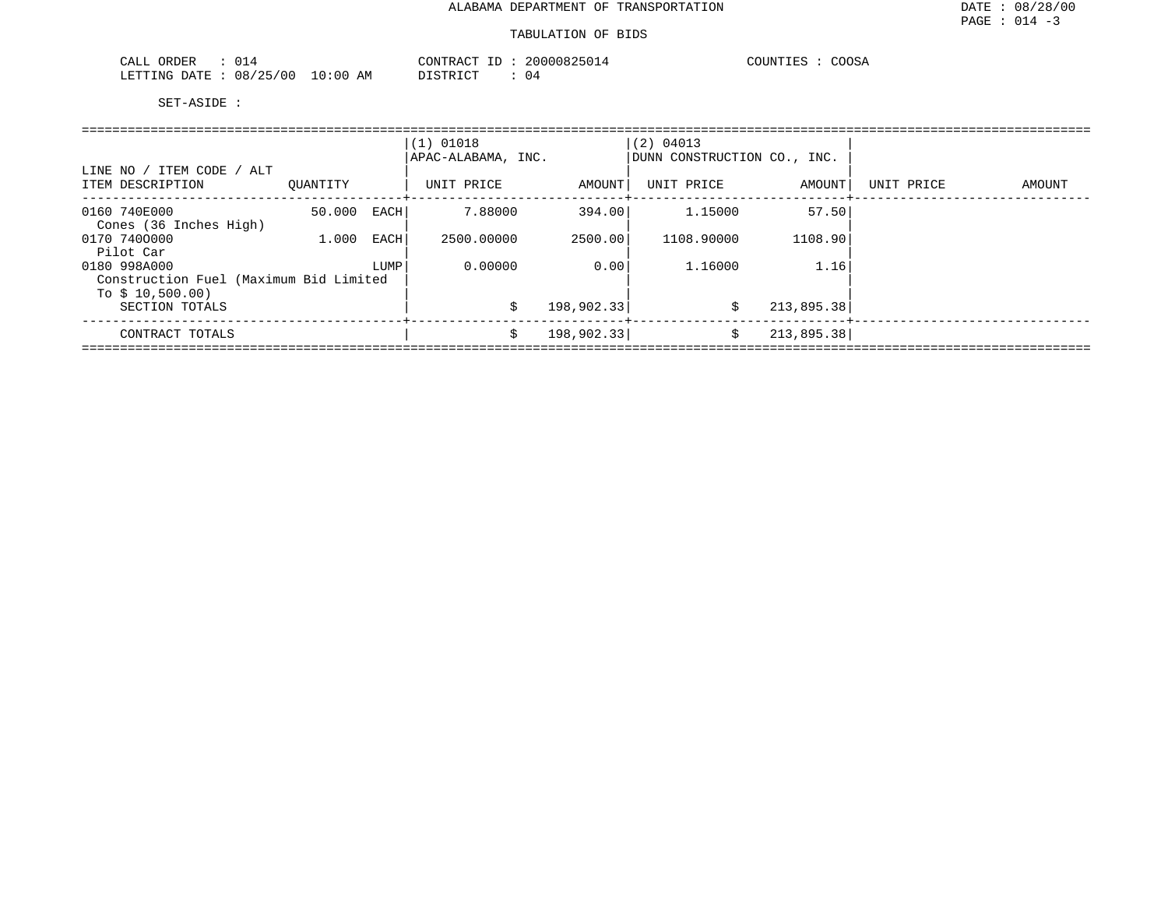| ORDER<br>$\sim$ $-$<br>$\cdot$<br>U 14<br>اللاعمات |           | חידוור<br>⊅⊼∩ጥ     | $11111 \times$<br>יו הי | COOC.<br><b>MTNT</b> آ<br>wudz. |
|----------------------------------------------------|-----------|--------------------|-------------------------|---------------------------------|
| <b>RTTTNC</b><br>′∩r<br>חי ∆ר<br>08.               | AΜ<br>:06 | $\sim$ $\sim$<br>⋯ | U 4                     |                                 |

| LINE NO / ITEM CODE / ALT                                  |          |      | $(1)$ 01018<br>APAC-ALABAMA, INC. |            | (2) 04013<br>DUNN CONSTRUCTION CO., INC. |            |            |        |
|------------------------------------------------------------|----------|------|-----------------------------------|------------|------------------------------------------|------------|------------|--------|
| ITEM DESCRIPTION                                           | OUANTITY |      | UNIT PRICE                        | AMOUNT     | UNIT PRICE                               | AMOUNT     | UNIT PRICE | AMOUNT |
| 0160 740E000<br>Cones (36 Inches High)                     | 50.000   | EACH | 7.88000                           | 394.00     | 1.15000                                  | 57.50      |            |        |
| 0170 7400000<br>Pilot Car                                  | 1,000    | EACH | 2500.00000                        | 2500.00    | 1108.90000                               | 1108.90    |            |        |
| 0180 998A000                                               |          | LUMP | 0.00000                           | 0.00       | 1.16000                                  | 1.16       |            |        |
| Construction Fuel (Maximum Bid Limited<br>To $$10,500.00)$ |          |      |                                   |            |                                          |            |            |        |
| SECTION TOTALS                                             |          |      | Ŝ.                                | 198,902.33 | Ŝ.                                       | 213,895.38 |            |        |
| CONTRACT TOTALS                                            |          |      | \$                                | 198,902.33 | \$                                       | 213,895.38 |            |        |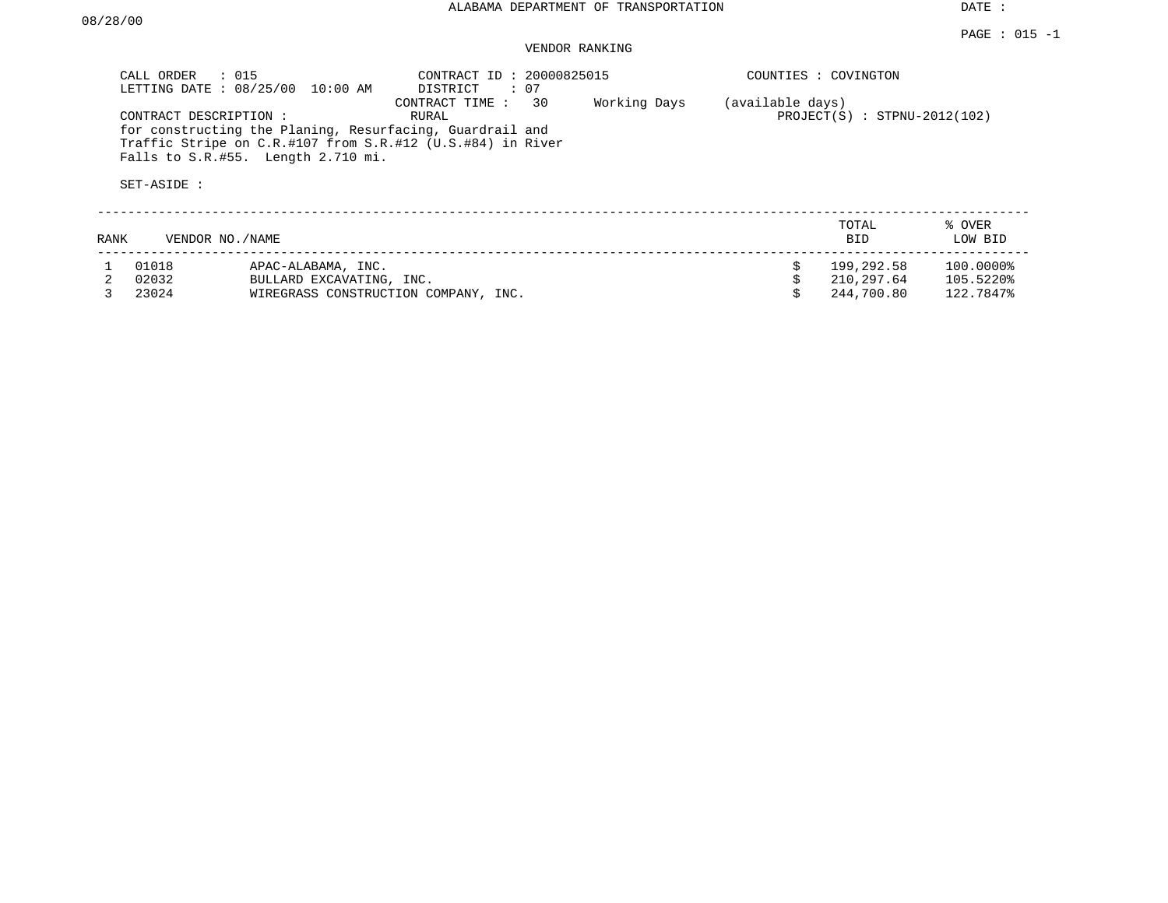# VENDOR RANKING

|      | CALL ORDER                                    | $\therefore$ 015<br>LETTING DATE : 08/25/00 10:00 AM                                                                                                              | CONTRACT ID: 20000825015<br>DISTRICT<br>: 07 |                                |  | COUNTIES : COVINGTON |                   |
|------|-----------------------------------------------|-------------------------------------------------------------------------------------------------------------------------------------------------------------------|----------------------------------------------|--------------------------------|--|----------------------|-------------------|
|      | CONTRACT DESCRIPTION:<br>SET-ASIDE :          | for constructing the Planing, Resurfacing, Guardrail and<br>Traffic Stripe on C.R.#107 from S.R.#12 (U.S.#84) in River<br>Falls to $S.R.$ #55. Length $2.710$ mi. | (available days)                             | $PROJECT(S) : STPNU-2012(102)$ |  |                      |                   |
| RANK | VENDOR NO./NAME                               |                                                                                                                                                                   |                                              |                                |  | TOTAL<br><b>BID</b>  | % OVER<br>LOW BID |
|      | 01018                                         | APAC-ALABAMA, INC.                                                                                                                                                |                                              |                                |  | 199,292.58           | 100.0000%         |
|      | 02032                                         | BULLARD EXCAVATING, INC.                                                                                                                                          |                                              |                                |  | 210,297.64           | 105.5220%         |
|      | 23024<br>WIREGRASS CONSTRUCTION COMPANY, INC. |                                                                                                                                                                   |                                              |                                |  | 244,700.80           | 122.7847%         |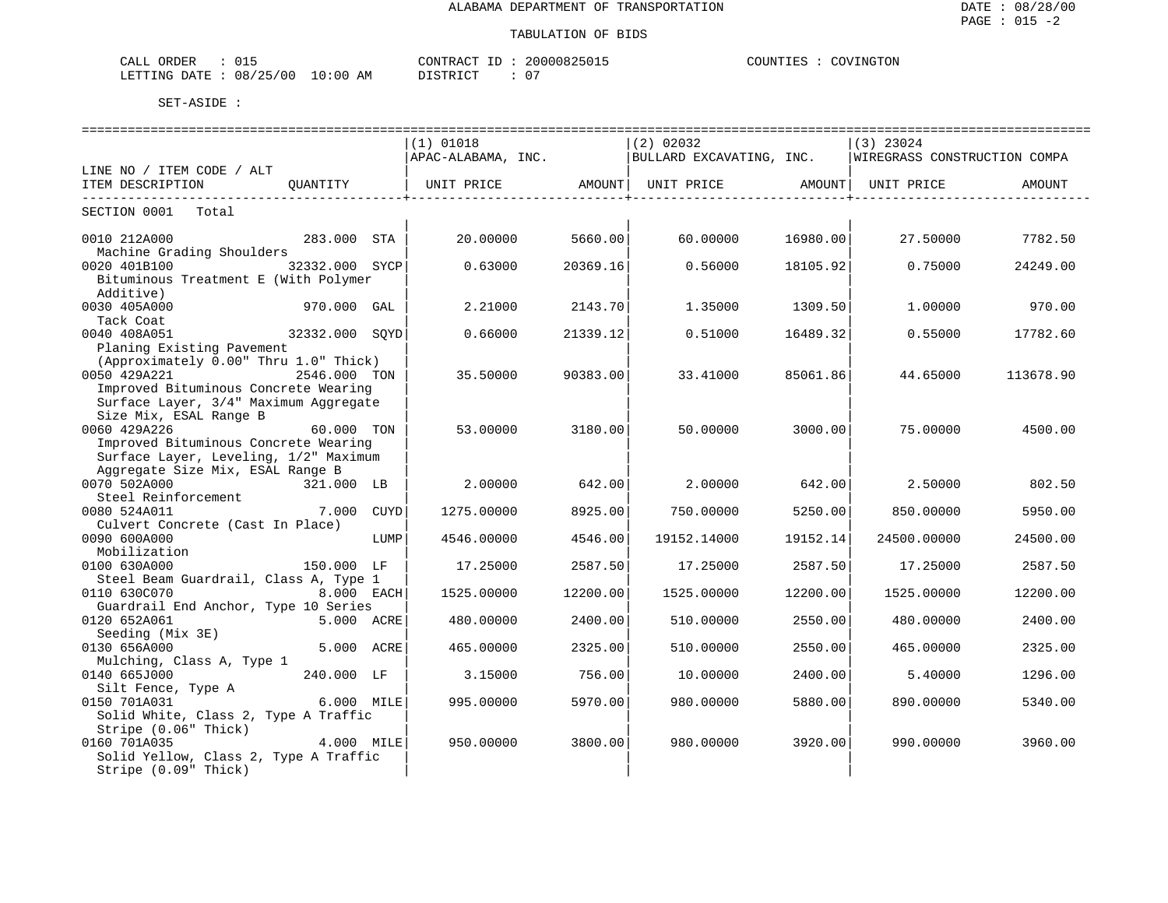| CALL ORDER                       |  |          | CONTRACT ID: 20000825015 |  | COUNTIES : COVINGTON |
|----------------------------------|--|----------|--------------------------|--|----------------------|
| LETTING DATE : 08/25/00 10:00 AM |  | DISTRICT |                          |  |                      |

|                                                   |                |      | (1) 01018          |          | (2) 02032                |          | $(3)$ 23024                  |           |
|---------------------------------------------------|----------------|------|--------------------|----------|--------------------------|----------|------------------------------|-----------|
|                                                   |                |      | APAC-ALABAMA, INC. |          | BULLARD EXCAVATING, INC. |          | WIREGRASS CONSTRUCTION COMPA |           |
| LINE NO / ITEM CODE / ALT                         |                |      |                    |          |                          |          |                              |           |
|                                                   |                |      |                    |          |                          |          |                              |           |
|                                                   |                |      |                    |          |                          |          |                              |           |
| SECTION 0001 Total                                |                |      |                    |          |                          |          |                              |           |
| 0010 212A000                                      | 283.000 STA    |      | 20.00000           | 5660.00  | 60.00000                 | 16980.00 | 27.50000                     | 7782.50   |
| Machine Grading Shoulders                         |                |      |                    |          |                          |          |                              |           |
| 0020 401B100                                      | 32332.000 SYCP |      | 0.63000            | 20369.16 | 0.56000                  | 18105.92 | 0.75000                      | 24249.00  |
| Bituminous Treatment E (With Polymer<br>Additive) |                |      |                    |          |                          |          |                              |           |
| 0030 405A000                                      | 970.000 GAL    |      | 2.21000            | 2143.70  | 1.35000                  | 1309.50  | 1,00000                      | 970.00    |
| Tack Coat                                         |                |      |                    |          |                          |          |                              |           |
| 0040 408A051                                      | 32332.000 SOYD |      | 0.66000            | 21339.12 | 0.51000                  | 16489.32 | 0.55000                      | 17782.60  |
| Planing Existing Pavement                         |                |      |                    |          |                          |          |                              |           |
| (Approximately 0.00" Thru 1.0" Thick)             |                |      |                    |          |                          |          |                              |           |
| 0050 429A221                                      | 2546.000 TON   |      | 35.50000           | 90383.00 | 33.41000                 | 85061.86 | 44.65000                     | 113678.90 |
| Improved Bituminous Concrete Wearing              |                |      |                    |          |                          |          |                              |           |
| Surface Layer, 3/4" Maximum Aggregate             |                |      |                    |          |                          |          |                              |           |
| Size Mix, ESAL Range B                            |                |      |                    |          |                          |          |                              |           |
| 0060 429A226                                      | 60.000 TON     |      | 53.00000           | 3180.00  | 50.00000                 | 3000.00  | 75.00000                     | 4500.00   |
| Improved Bituminous Concrete Wearing              |                |      |                    |          |                          |          |                              |           |
| Surface Layer, Leveling, 1/2" Maximum             |                |      |                    |          |                          |          |                              |           |
| Aggregate Size Mix, ESAL Range B                  |                |      |                    |          |                          |          |                              |           |
| 0070 502A000                                      | 321.000 LB     |      | 2,00000            | 642.00   | 2.00000                  | 642.00   | 2.50000                      | 802.50    |
| Steel Reinforcement                               |                |      |                    |          |                          |          |                              |           |
| 0080 524A011                                      | 7.000 CUYD     |      | 1275.00000         | 8925.00  | 750.00000                | 5250.00  | 850.00000                    | 5950.00   |
| Culvert Concrete (Cast In Place)                  |                |      |                    |          |                          |          |                              |           |
| 0090 600A000                                      |                | LUMP | 4546.00000         | 4546.00  | 19152.14000              | 19152.14 | 24500.00000                  | 24500.00  |
| Mobilization                                      |                |      |                    |          |                          |          |                              |           |
| 0100 630A000                                      | 150.000 LF     |      | 17.25000           | 2587.50  | 17.25000                 | 2587.50  | 17.25000                     | 2587.50   |
| Steel Beam Guardrail, Class A, Type 1             |                |      |                    |          |                          |          |                              |           |
| 0110 630C070                                      | 8.000 EACH     |      | 1525.00000         | 12200.00 | 1525.00000               | 12200.00 | 1525.00000                   | 12200.00  |
| Guardrail End Anchor, Type 10 Series              |                |      |                    |          |                          |          |                              |           |
| 0120 652A061                                      | 5.000 ACRE     |      | 480.00000          | 2400.00  | 510.00000                | 2550.00  | 480.00000                    | 2400.00   |
| Seeding (Mix 3E)                                  |                |      |                    |          |                          |          |                              |           |
| 0130 656A000                                      | 5.000 ACRE     |      | 465.00000          | 2325.00  | 510.00000                | 2550.00  | 465.00000                    | 2325.00   |
| Mulching, Class A, Type 1                         |                |      |                    |          |                          |          |                              |           |
| 0140 665J000                                      | 240.000 LF     |      | 3.15000            | 756.001  | 10.00000                 | 2400.00  | 5.40000                      | 1296.00   |
| Silt Fence, Type A                                |                |      |                    |          |                          |          |                              |           |
| $6.000$ MILE<br>0150 701A031                      |                |      | 995.00000          | 5970.00  | 980.00000                | 5880.00  | 890.00000                    | 5340.00   |
| Solid White, Class 2, Type A Traffic              |                |      |                    |          |                          |          |                              |           |
| Stripe (0.06" Thick)                              |                |      |                    |          |                          |          |                              |           |
| 0160 701A035                                      | 4.000 MILE     |      | 950.00000          | 3800.00  | 980,00000                | 3920.00  | 990.00000                    | 3960.00   |
| Solid Yellow, Class 2, Type A Traffic             |                |      |                    |          |                          |          |                              |           |
| Stripe (0.09" Thick)                              |                |      |                    |          |                          |          |                              |           |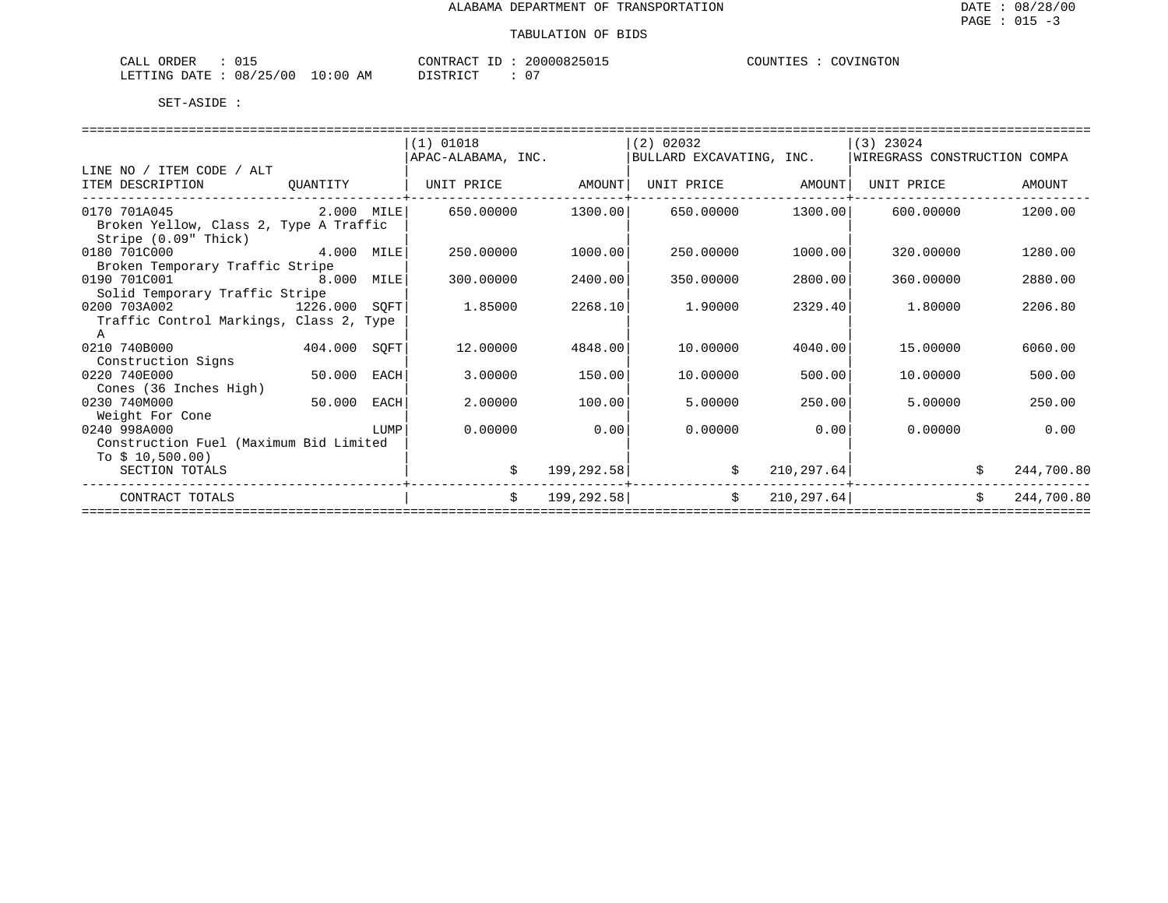| $\sim$ $\sim$ $\sim$<br>لىلە: | <b>CRDER</b>     | ∪⊥⊐                         |                            | . סידיזו∩י<br>$\ldots$ $\sim$ $\sim$ $\sim$ $\sim$                                                                                       | ٬∩ ر                  | - 11 M | 70 V<br>NG T<br>TON. |
|-------------------------------|------------------|-----------------------------|----------------------------|------------------------------------------------------------------------------------------------------------------------------------------|-----------------------|--------|----------------------|
|                               | LETTING<br>DATE. | 08/<br>00<br>つに<br><u>_</u> | : 0 (<br>1 ∩<br>ΑМ<br>____ | $\sim$<br>n t citin i<br>the contract of the contract of the contract of the contract of the contract of the contract of the contract of | $\sim$ $-$<br>$\cdot$ |        |                      |

|                                         |              |      | $(1)$ 01018        |            | (2) 02032                |             | $(3)$ 23024                  |    |            |
|-----------------------------------------|--------------|------|--------------------|------------|--------------------------|-------------|------------------------------|----|------------|
|                                         |              |      | APAC-ALABAMA, INC. |            | BULLARD EXCAVATING, INC. |             | WIREGRASS CONSTRUCTION COMPA |    |            |
| LINE NO / ITEM CODE / ALT               |              |      |                    |            |                          |             |                              |    |            |
| ITEM DESCRIPTION                        | QUANTITY     |      | UNIT PRICE AMOUNT  |            | UNIT PRICE AMOUNT        |             | UNIT PRICE                   |    | AMOUNT     |
|                                         |              |      |                    |            |                          |             |                              |    |            |
| 2.000 MILE<br>0170 701A045              |              |      | 650.00000          | 1300.00    | 650.00000                | 1300.00     | 600.00000                    |    | 1200.00    |
| Broken Yellow, Class 2, Type A Traffic  |              |      |                    |            |                          |             |                              |    |            |
| Stripe (0.09" Thick)                    |              |      |                    |            |                          |             |                              |    |            |
| 4.000 MILE<br>0180 701C000              |              |      | 250.00000          | 1000.00    | 250.00000                | 1000.00     | 320,00000                    |    | 1280.00    |
| Broken Temporary Traffic Stripe         |              |      |                    |            |                          |             |                              |    |            |
| 0190 701C001<br>8.000 MILE              |              |      | 300.00000          | 2400.00    | 350.00000                | 2800.00     | 360,00000                    |    | 2880.00    |
| Solid Temporary Traffic Stripe          |              |      |                    |            |                          |             |                              |    |            |
| 0200 703A002<br>1226.000 SOFT           |              |      | 1.85000            | 2268.10    | 1,90000                  | 2329.40     | 1,80000                      |    | 2206.80    |
| Traffic Control Markings, Class 2, Type |              |      |                    |            |                          |             |                              |    |            |
| A                                       |              |      |                    |            |                          |             |                              |    |            |
| 0210 740B000                            | 404.000 SQFT |      | 12.00000           | 4848.00    | 10.00000                 | 4040.00     | 15,00000                     |    | 6060.00    |
| Construction Signs                      |              |      |                    |            |                          |             |                              |    |            |
| 0220 740E000                            | 50.000 EACH  |      | 3.00000            | 150.00     | 10.00000                 | 500.00      | 10,00000                     |    | 500.00     |
| Cones (36 Inches High)                  |              |      |                    |            |                          |             |                              |    |            |
| 0230 740M000                            | 50.000       | EACH | 2.00000            | 100.00     | 5.00000                  | 250.00      | 5.00000                      |    | 250.00     |
| Weight For Cone                         |              |      |                    |            |                          |             |                              |    |            |
| 0240 998A000                            |              | LUMP | 0.00000            | 0.00       | 0.00000                  | 0.00        | 0.00000                      |    | 0.00       |
| Construction Fuel (Maximum Bid Limited  |              |      |                    |            |                          |             |                              |    |            |
| To $$10,500.00)$                        |              |      |                    |            |                          |             |                              |    |            |
| SECTION TOTALS                          |              |      | \$                 | 199,292.58 |                          | 210, 297.64 |                              |    | 244,700.80 |
|                                         |              |      |                    |            |                          |             |                              |    |            |
| CONTRACT TOTALS                         |              |      | \$                 | 199,292.58 | \$                       | 210, 297.64 |                              | Ŝ. | 244,700.80 |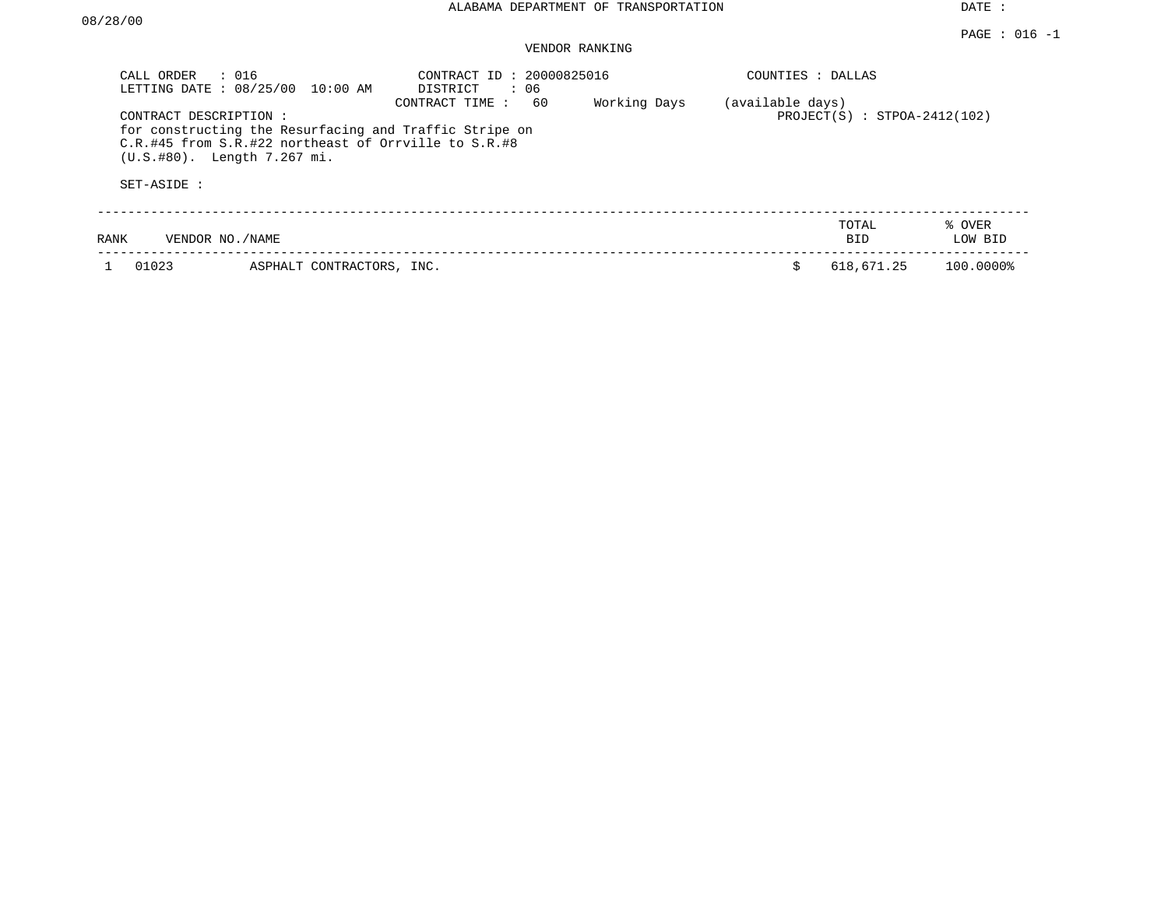### VENDOR RANKING

| CALL ORDER<br>LETTING DATE: 08/25/00 | $\therefore$ 016<br>10:00 AM                                                                                                                             | CONTRACT ID: 20000825016<br>: 06<br>DISTRICT |              | COUNTIES : DALLAS |                                |                   |
|--------------------------------------|----------------------------------------------------------------------------------------------------------------------------------------------------------|----------------------------------------------|--------------|-------------------|--------------------------------|-------------------|
| CONTRACT DESCRIPTION:                | for constructing the Resurfacing and Traffic Stripe on<br>$C.R. #45 from S.R. #22 northeast of Orrville to S.R. #8$<br>$(U.S. #80)$ . Length $7.267$ mi. | 60<br>CONTRACT TIME:                         | Working Days | (available days)  | $PROJECT(S) : STPOA-2412(102)$ |                   |
| SET-ASIDE :                          |                                                                                                                                                          |                                              |              |                   |                                |                   |
| VENDOR NO. / NAME<br>RANK            |                                                                                                                                                          |                                              |              |                   | TOTAL<br>BID.                  | % OVER<br>LOW BID |
| 01023                                | ASPHALT CONTRACTORS, INC.                                                                                                                                |                                              |              | Ŝ.                | 618,671.25                     | 100.0000%         |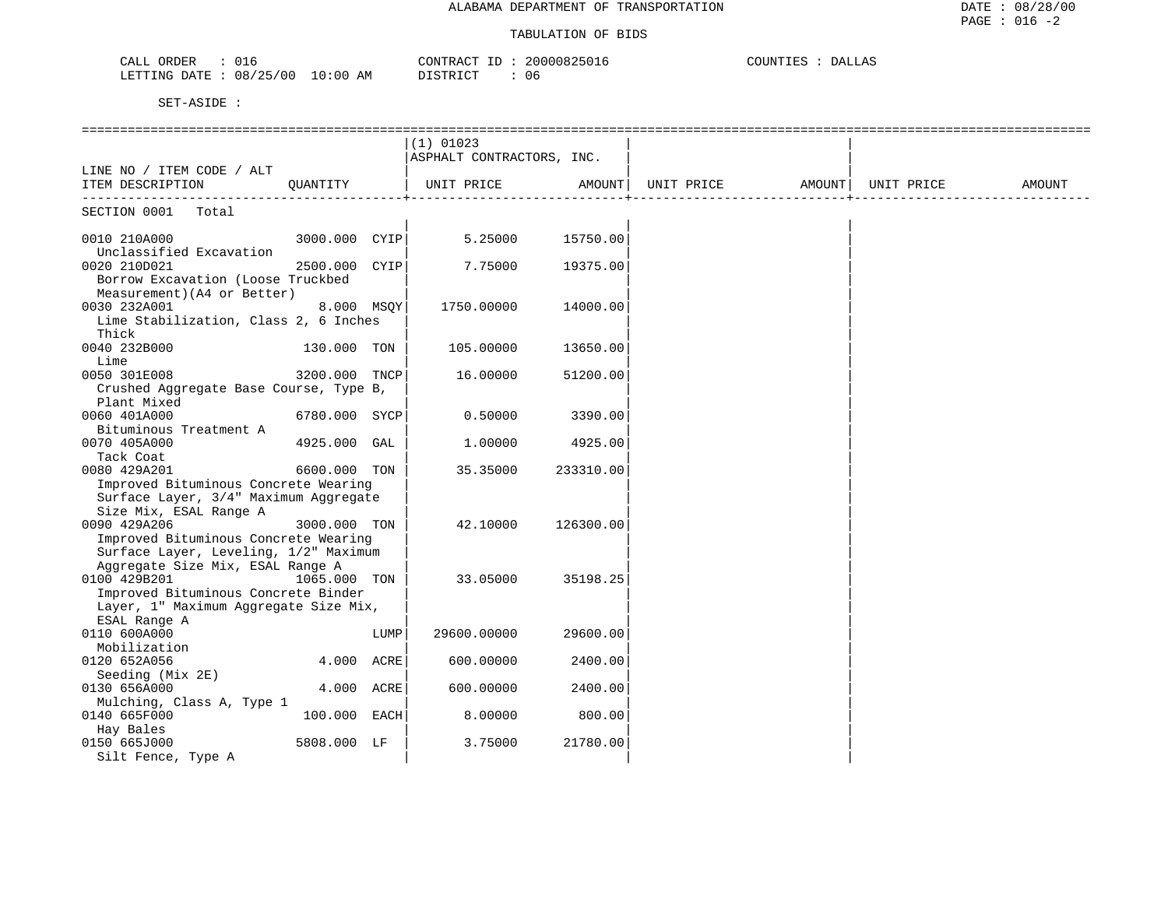| $\cap$ 1<br>ORDER<br>CALL<br>UID     | 20000825016<br>CONTRACT | COUNTIES<br><b>DALLAS</b> |
|--------------------------------------|-------------------------|---------------------------|
| 08/25/00<br>10:00 AM<br>LETTING DATE | DISTRICT<br>06          |                           |

|                                                                              | $(1)$ 01023               |           |                                |                  |        |
|------------------------------------------------------------------------------|---------------------------|-----------|--------------------------------|------------------|--------|
|                                                                              | ASPHALT CONTRACTORS, INC. |           |                                |                  |        |
| LINE NO / ITEM CODE / ALT                                                    |                           |           |                                |                  |        |
| QUANTITY<br>ITEM DESCRIPTION                                                 | UNIT PRICE                | AMOUNT    | UNIT PRICE AMOUNT   UNIT PRICE |                  | AMOUNT |
|                                                                              |                           |           |                                | ________________ |        |
| SECTION 0001 Total                                                           |                           |           |                                |                  |        |
| 3000.000 CYIP<br>0010 210A000                                                | 5.25000                   | 15750.00  |                                |                  |        |
| Unclassified Excavation                                                      |                           |           |                                |                  |        |
| 0020 210D021<br>2500.000 CYIP                                                | 7.75000                   | 19375.00  |                                |                  |        |
| Borrow Excavation (Loose Truckbed                                            |                           |           |                                |                  |        |
| Measurement) (A4 or Better)                                                  |                           |           |                                |                  |        |
| 0030 232A001<br>8.000 MSOY                                                   | 1750.00000                | 14000.00  |                                |                  |        |
| Lime Stabilization, Class 2, 6 Inches                                        |                           |           |                                |                  |        |
| Thick                                                                        |                           |           |                                |                  |        |
| 0040 232B000<br>130.000 TON                                                  | 105.00000                 | 13650.00  |                                |                  |        |
| Lime                                                                         |                           |           |                                |                  |        |
| 0050 301E008<br>3200.000 TNCP                                                | 16.00000                  | 51200.00  |                                |                  |        |
| Crushed Aggregate Base Course, Type B,                                       |                           |           |                                |                  |        |
| Plant Mixed                                                                  |                           |           |                                |                  |        |
| 0060 401A000<br>6780.000 SYCP                                                | 0.50000                   | 3390.00   |                                |                  |        |
| Bituminous Treatment A                                                       |                           |           |                                |                  |        |
| 0070 405A000<br>4925.000 GAL                                                 | 1,00000                   | 4925.00   |                                |                  |        |
| Tack Coat                                                                    |                           |           |                                |                  |        |
| 0080 429A201<br>6600.000 TON                                                 | 35.35000                  | 233310.00 |                                |                  |        |
| Improved Bituminous Concrete Wearing                                         |                           |           |                                |                  |        |
| Surface Layer, 3/4" Maximum Aggregate                                        |                           |           |                                |                  |        |
| Size Mix, ESAL Range A                                                       |                           |           |                                |                  |        |
| 0090 429A206<br>3000.000 TON                                                 | 42.10000                  | 126300.00 |                                |                  |        |
| Improved Bituminous Concrete Wearing                                         |                           |           |                                |                  |        |
| Surface Layer, Leveling, 1/2" Maximum                                        |                           |           |                                |                  |        |
| Aggregate Size Mix, ESAL Range A<br>0100 429B201                             |                           |           |                                |                  |        |
| 1065.000 TON                                                                 | 33.05000                  | 35198.25  |                                |                  |        |
| Improved Bituminous Concrete Binder<br>Layer, 1" Maximum Aggregate Size Mix, |                           |           |                                |                  |        |
|                                                                              |                           |           |                                |                  |        |
| ESAL Range A<br>0110 600A000<br>LUMP                                         | 29600.00000               | 29600.00  |                                |                  |        |
| Mobilization                                                                 |                           |           |                                |                  |        |
| 0120 652A056<br>4.000 ACRE                                                   | 600.00000                 | 2400.00   |                                |                  |        |
| Seeding (Mix 2E)                                                             |                           |           |                                |                  |        |
| 4.000 ACRE<br>0130 656A000                                                   | 600.00000                 | 2400.00   |                                |                  |        |
| Mulching, Class A, Type 1                                                    |                           |           |                                |                  |        |
| 0140 665F000<br>100.000 EACH                                                 | 8.00000                   | 800.00    |                                |                  |        |
| Hay Bales                                                                    |                           |           |                                |                  |        |
| 0150 665J000<br>5808.000 LF                                                  | 3.75000                   | 21780.00  |                                |                  |        |
| Silt Fence, Type A                                                           |                           |           |                                |                  |        |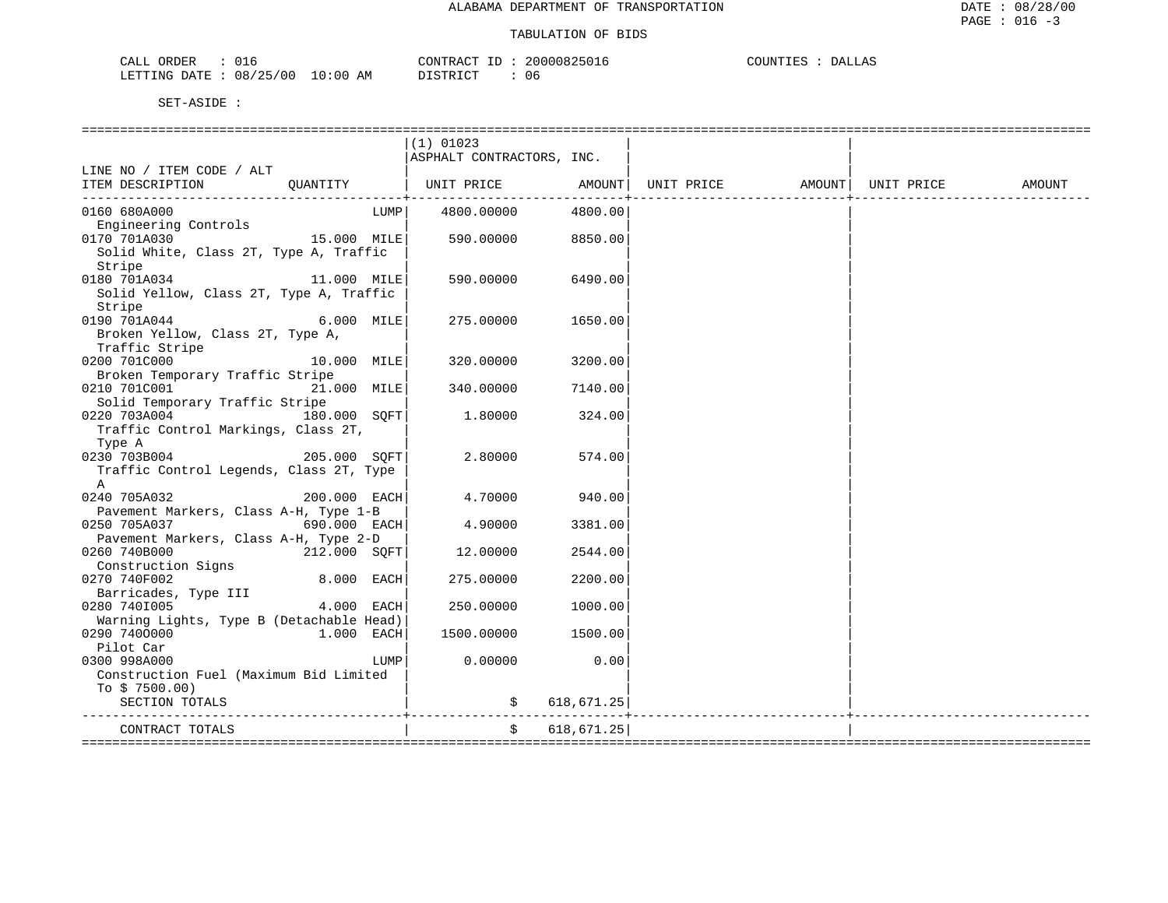| ORDER<br>CALL<br>UI6               | CONTRACT                | ID | 20000825016 | COUNTIES | DALLAS |
|------------------------------------|-------------------------|----|-------------|----------|--------|
| 08/25/00<br>LETTING DATE<br>$\sim$ | 10:00<br>DISTRICT<br>AΜ |    | 06          |          |        |

|                                                                              |              |      | $(1)$ 01023               |               |  |        |
|------------------------------------------------------------------------------|--------------|------|---------------------------|---------------|--|--------|
|                                                                              |              |      | ASPHALT CONTRACTORS, INC. |               |  |        |
| LINE NO / ITEM CODE / ALT                                                    |              |      |                           |               |  |        |
| ITEM DESCRIPTION QUANTITY   UNIT PRICE AMOUNT  UNIT PRICE AMOUNT  UNIT PRICE |              |      |                           |               |  | AMOUNT |
|                                                                              |              |      |                           |               |  |        |
| 0160 680A000                                                                 |              |      | LUMP 4800.00000           | 4800.00       |  |        |
| Engineering Controls                                                         |              |      |                           |               |  |        |
| $15.000$ MILE<br>0170 701A030                                                |              |      | 590.00000                 | 8850.00       |  |        |
| Solid White, Class 2T, Type A, Traffic                                       |              |      |                           |               |  |        |
| Stripe                                                                       |              |      |                           |               |  |        |
| 0180 701A034 11.000 MILE                                                     |              |      | 590.00000 6490.00         |               |  |        |
| Solid Yellow, Class 2T, Type A, Traffic                                      |              |      |                           |               |  |        |
| Stripe                                                                       |              |      |                           |               |  |        |
| $6.000$ MILE<br>0190 701A044                                                 |              |      | 275.00000                 | 1650.00       |  |        |
| Broken Yellow, Class 2T, Type A,                                             |              |      |                           |               |  |        |
| Traffic Stripe                                                               |              |      |                           |               |  |        |
| $10.000$ MILE<br>0200 701C000                                                |              |      | 320.00000                 | 3200.00       |  |        |
| Broken Temporary Traffic Stripe                                              |              |      |                           |               |  |        |
| 0210 701C001 21.000 MILE                                                     |              |      | 340.00000                 | 7140.00       |  |        |
| Solid Temporary Traffic Stripe                                               |              |      |                           |               |  |        |
| 0220 703A004                                                                 | 180.000 SOFT |      | 1.80000                   | 324.00        |  |        |
| Traffic Control Markings, Class 2T,                                          |              |      |                           |               |  |        |
| Type A                                                                       |              |      |                           |               |  |        |
| 0230 703B004 205.000 SQFT                                                    |              |      | 2.80000                   | 574.00        |  |        |
| Traffic Control Legends, Class 2T, Type                                      |              |      |                           |               |  |        |
| A                                                                            |              |      |                           |               |  |        |
| 0240 705A032                                                                 | 200.000 EACH |      | 4.70000                   | 940.00        |  |        |
| Pavement Markers, Class A-H, Type 1-B                                        |              |      |                           |               |  |        |
| 0250 705A037<br>$690.000$ EACH                                               |              |      | 4.90000                   | 3381.00       |  |        |
| Pavement Markers, Class A-H, Type 2-D                                        |              |      |                           |               |  |        |
| 0260 740B000<br>212.000 SOFT                                                 |              |      | 12.00000                  | 2544.00       |  |        |
| Construction Signs                                                           |              |      |                           |               |  |        |
| 0270 740F002                                                                 | 8.000 EACH   |      | 275.00000                 | 2200.00       |  |        |
| Barricades, Type III<br>0280 7401005                                         | 4.000 EACH   |      | 250.00000                 | 1000.00       |  |        |
| Warning Lights, Type B (Detachable Head)                                     |              |      |                           |               |  |        |
| 0290 7400000                                                                 | 1.000 EACH   |      | 1500.00000                | 1500.00       |  |        |
| Pilot Car                                                                    |              |      |                           |               |  |        |
| 0300 998A000                                                                 |              | LUMP | 0.00000                   | 0.00          |  |        |
| Construction Fuel (Maximum Bid Limited                                       |              |      |                           |               |  |        |
| To $$7500.00)$                                                               |              |      |                           |               |  |        |
| SECTION TOTALS                                                               |              |      |                           | \$618,671.25] |  |        |
|                                                                              |              |      |                           |               |  |        |
| CONTRACT TOTALS                                                              |              |      |                           | \$618,671.25] |  |        |
|                                                                              |              |      |                           |               |  |        |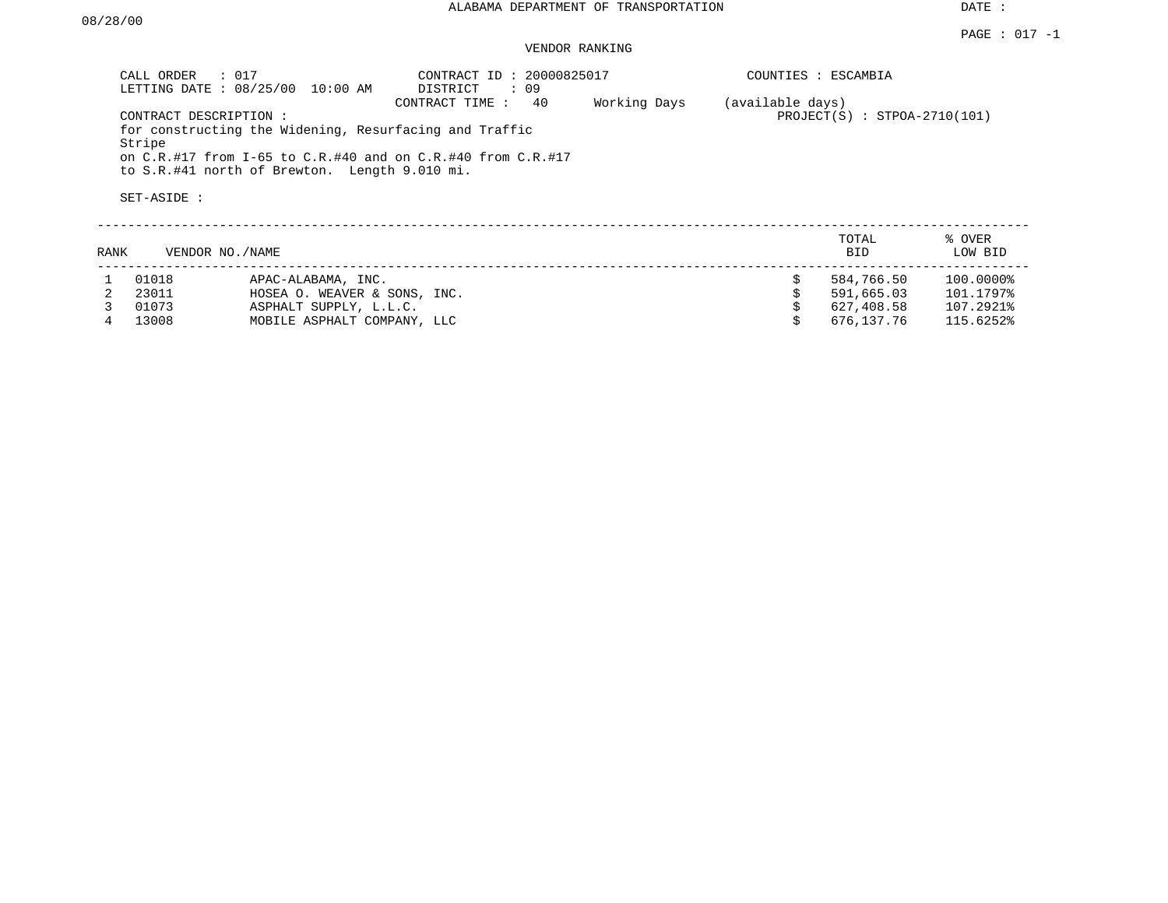VENDOR RANKING

| CALL ORDER            | $\therefore$ 017<br>LETTING DATE: 08/25/00<br>10:00 AM                                                                                                                                          | CONTRACT ID: 20000825017<br>DISTRICT<br>: 09 |              |                  | COUNTIES : ESCAMBIA            |                        |
|-----------------------|-------------------------------------------------------------------------------------------------------------------------------------------------------------------------------------------------|----------------------------------------------|--------------|------------------|--------------------------------|------------------------|
| Stripe<br>SET-ASIDE : | CONTRACT DESCRIPTION:<br>for constructing the Widening, Resurfacing and Traffic<br>on C.R.#17 from I-65 to C.R.#40 and on C.R.#40 from C.R.#17<br>to S.R.#41 north of Brewton. Length 9.010 mi. | 40<br>CONTRACT TIME:                         | Working Days | (available days) | $PROJECT(S)$ : STPOA-2710(101) |                        |
| RANK                  | VENDOR NO. / NAME                                                                                                                                                                               |                                              |              |                  | TOTAL<br><b>BID</b>            | % OVER<br>LOW BID      |
| 01018<br>23011        | APAC-ALABAMA, INC.<br>HOSEA O. WEAVER & SONS, INC.                                                                                                                                              |                                              |              | Ŝ.               | 584,766.50<br>591,665.03       | 100.0000%<br>101.1797% |

3 01073 ASPHALT SUPPLY, L.L.C. \$ 627,408.58 107.2921%

MOBILE ASPHALT COMPANY, LLC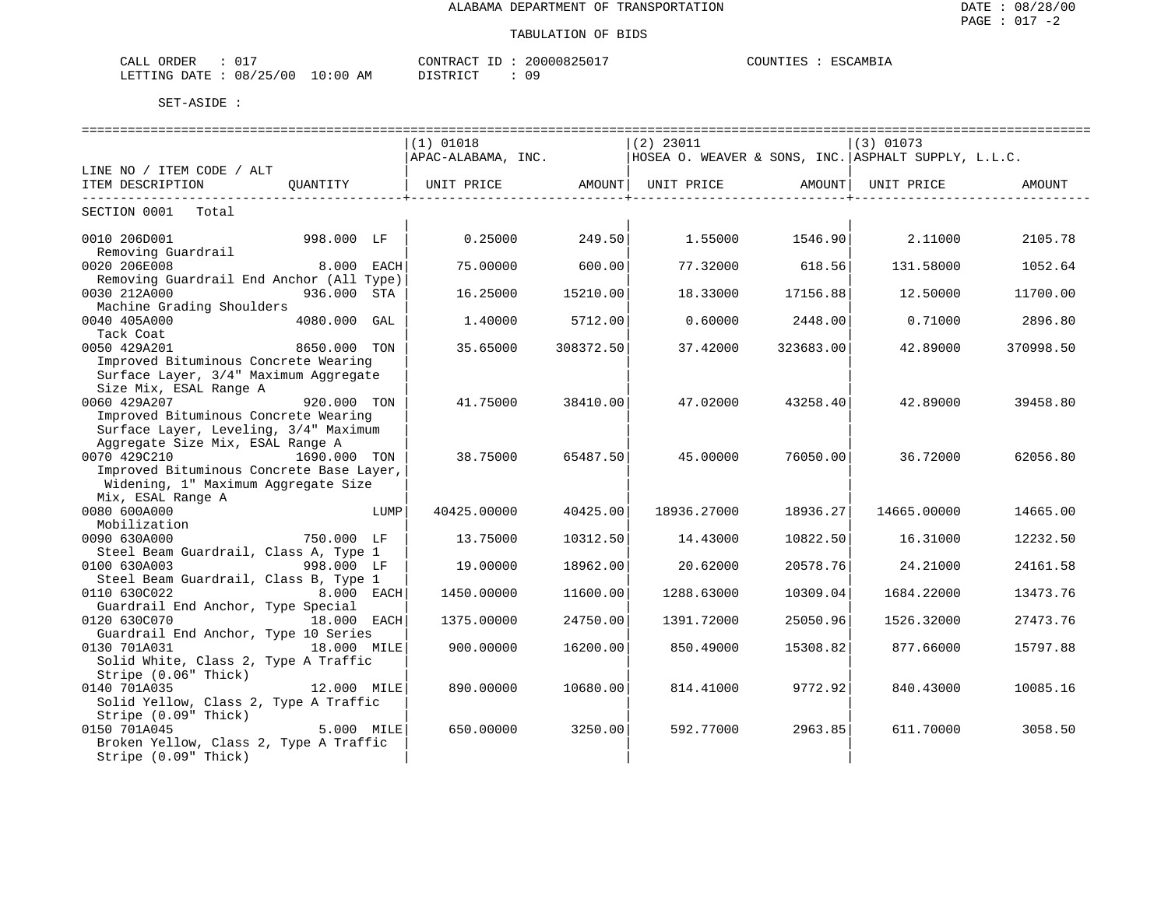#### TABULATION OF BIDS

ESCAMBIA

| CALL ORDER             | UΤ |          | CONTRACT ID | 20000825017 | COUNTIES | ESCAMBIA |
|------------------------|----|----------|-------------|-------------|----------|----------|
| LETTING DATE: 08/25/00 |    | 10:00 AM | DISTRICT    | 09          |          |          |

|                                                                   |               |      | $(1)$ 01018                                                             |                             | $(2)$ 23011 |                              | (3) 01073   |           |
|-------------------------------------------------------------------|---------------|------|-------------------------------------------------------------------------|-----------------------------|-------------|------------------------------|-------------|-----------|
|                                                                   |               |      | APAC-ALABAMA, INC. THOSEA O. WEAVER & SONS, INC. ASPHALT SUPPLY, L.L.C. |                             |             |                              |             |           |
| LINE NO / ITEM CODE / ALT                                         |               |      |                                                                         |                             |             |                              |             |           |
| ITEM DESCRIPTION                                                  | OUANTITY      |      | UNIT PRICE AMOUNT  UNIT PRICE AMOUNT                                    |                             |             | ---------------------------- | UNIT PRICE  | AMOUNT    |
| ----------------------------<br>SECTION 0001 Total                |               |      |                                                                         | ------------------+-------- |             |                              |             |           |
|                                                                   |               |      |                                                                         |                             |             |                              |             |           |
| 0010 206D001                                                      | 998.000 LF    |      | 0.25000                                                                 | 249.50                      |             | 1.55000 1546.90              | 2.11000     | 2105.78   |
| Removing Guardrail                                                |               |      |                                                                         |                             |             |                              |             |           |
| 0020 206E008                                                      | 8.000 EACH    |      | 75.00000                                                                | 600.00                      | 77.32000    | 618.56                       | 131.58000   | 1052.64   |
| Removing Guardrail End Anchor (All Type)<br>0030 212A000          | 936.000 STA   |      | 16.25000                                                                | 15210.00                    | 18.33000    | 17156.88                     | 12.50000    | 11700.00  |
| Machine Grading Shoulders                                         |               |      |                                                                         |                             |             |                              |             |           |
| 0040 405A000                                                      | 4080.000 GAL  |      | 1,40000                                                                 | 5712.00                     | 0.60000     | 2448.00                      | 0.71000     | 2896.80   |
| Tack Coat                                                         |               |      |                                                                         |                             |             |                              |             |           |
| 0050 429A201                                                      | 8650.000 TON  |      | 35.65000                                                                | 308372.50                   | 37.42000    | 323683.00                    | 42.89000    | 370998.50 |
| Improved Bituminous Concrete Wearing                              |               |      |                                                                         |                             |             |                              |             |           |
| Surface Layer, 3/4" Maximum Aggregate                             |               |      |                                                                         |                             |             |                              |             |           |
| Size Mix, ESAL Range A                                            |               |      |                                                                         |                             |             |                              |             |           |
| 0060 429A207                                                      | $920.000$ TON |      | 41.75000                                                                | 38410.00                    | 47.02000    | 43258.40                     | 42.89000    | 39458.80  |
| Improved Bituminous Concrete Wearing                              |               |      |                                                                         |                             |             |                              |             |           |
| Surface Layer, Leveling, 3/4" Maximum                             |               |      |                                                                         |                             |             |                              |             |           |
| Aggregate Size Mix, ESAL Range A<br>0070 429C210                  | 1690.000 TON  |      |                                                                         |                             |             |                              |             |           |
| Improved Bituminous Concrete Base Layer,                          |               |      | 38.75000                                                                | 65487.50                    | 45.00000    | 76050.00                     | 36.72000    | 62056.80  |
| Widening, 1" Maximum Aggregate Size                               |               |      |                                                                         |                             |             |                              |             |           |
| Mix, ESAL Range A                                                 |               |      |                                                                         |                             |             |                              |             |           |
| 0080 600A000                                                      |               | LUMP | 40425.00000                                                             | 40425.00                    | 18936.27000 | 18936.27                     | 14665.00000 | 14665.00  |
| Mobilization                                                      |               |      |                                                                         |                             |             |                              |             |           |
| 0090 630A000                                                      | 750.000 LF    |      | 13.75000                                                                | 10312.50                    | 14.43000    | 10822.50                     | 16.31000    | 12232.50  |
| Steel Beam Guardrail, Class A, Type 1                             |               |      |                                                                         |                             |             |                              |             |           |
| 0100 630A003                                                      | 998.000 LF    |      | 19.00000                                                                | 18962.00                    | 20.62000    | 20578.76                     | 24.21000    | 24161.58  |
| Steel Beam Guardrail, Class B, Type 1                             |               |      |                                                                         |                             |             |                              |             |           |
| 0110 630C022                                                      | 8.000 EACH    |      | 1450.00000                                                              | 11600.00                    | 1288.63000  | 10309.04                     | 1684.22000  | 13473.76  |
| Guardrail End Anchor, Type Special<br>0120 630C070<br>18.000 EACH |               |      | 1375.00000                                                              | 24750.00                    | 1391.72000  | 25050.96                     | 1526.32000  | 27473.76  |
| Guardrail End Anchor, Type 10 Series                              |               |      |                                                                         |                             |             |                              |             |           |
| 0130 701A031                                                      | 18.000 MILE   |      | 900.00000                                                               | 16200.00                    | 850.49000   | 15308.82                     | 877.66000   | 15797.88  |
| Solid White, Class 2, Type A Traffic                              |               |      |                                                                         |                             |             |                              |             |           |
| Stripe (0.06" Thick)                                              |               |      |                                                                         |                             |             |                              |             |           |
| 0140 701A035                                                      | 12.000 MILE   |      | 890,00000                                                               | 10680.00                    | 814.41000   | 9772.92                      | 840.43000   | 10085.16  |
| Solid Yellow, Class 2, Type A Traffic                             |               |      |                                                                         |                             |             |                              |             |           |
| Stripe (0.09" Thick)                                              |               |      |                                                                         |                             |             |                              |             |           |
| 0150 701A045                                                      | 5.000 MILE    |      | 650.00000                                                               | 3250.00                     | 592.77000   | 2963.85                      | 611.70000   | 3058.50   |
| Broken Yellow, Class 2, Type A Traffic                            |               |      |                                                                         |                             |             |                              |             |           |
| Stripe (0.09" Thick)                                              |               |      |                                                                         |                             |             |                              |             |           |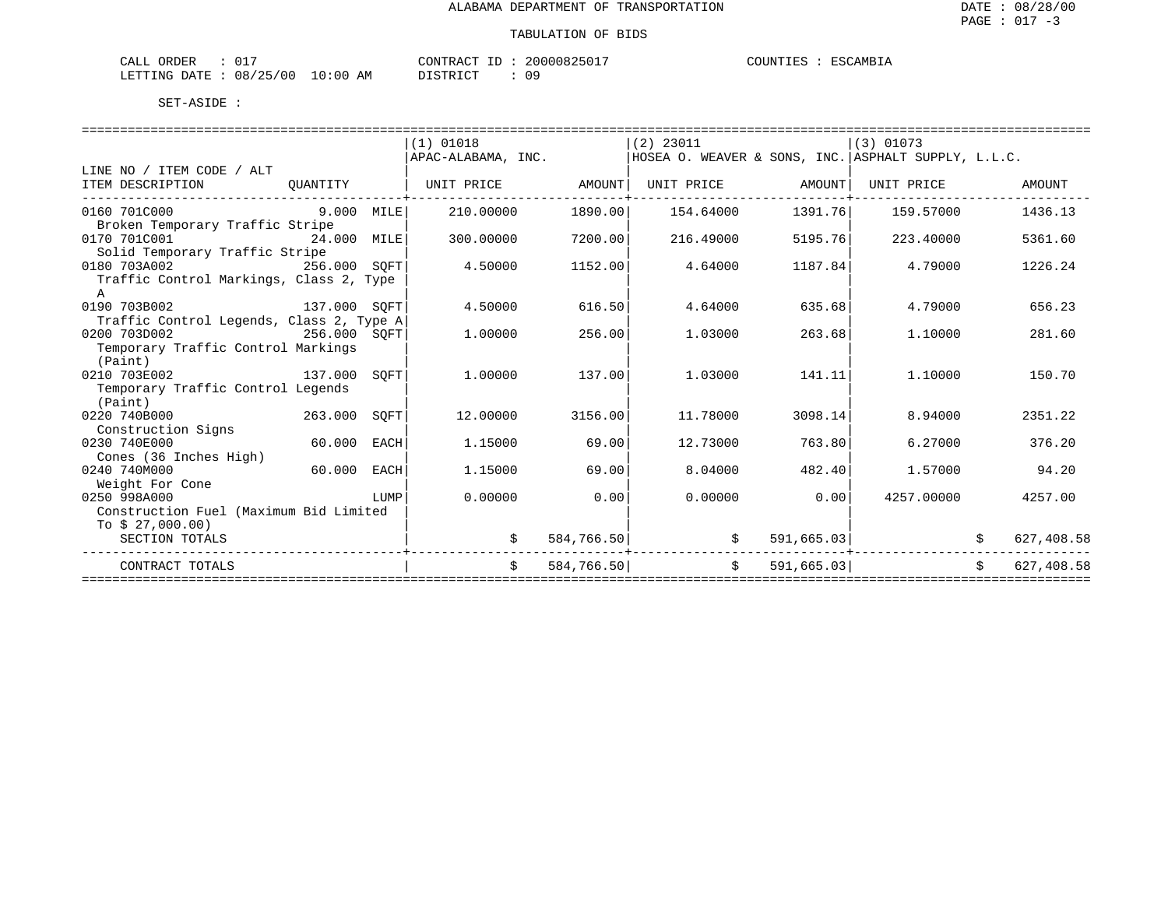| $\sim$ $ -$<br>ORDER<br>- ابلا <i>ك</i> | U 11         |                    | CONTRACT<br>$-1$ | 20000825 | ∴JUNT⊤"<br>工具厂 | ESC.<br>$\sim$ AMB <sub>1</sub> . |
|-----------------------------------------|--------------|--------------------|------------------|----------|----------------|-----------------------------------|
| LETTING<br><b>DATE</b><br>.             | 08<br>'25/00 | AΜ<br>:00<br>— ∪ ∵ | TAT<br>DI GITO   | ΟS       |                |                                   |

|                                          |             |      | (1) 01018          |            | $(2)$ 23011               |                   | $(3)$ 01073                                           |                            |
|------------------------------------------|-------------|------|--------------------|------------|---------------------------|-------------------|-------------------------------------------------------|----------------------------|
|                                          |             |      | APAC-ALABAMA, INC. |            |                           |                   | HOSEA O. WEAVER & SONS, INC.   ASPHALT SUPPLY, L.L.C. |                            |
| LINE NO / ITEM CODE / ALT                |             |      |                    |            |                           |                   |                                                       |                            |
| ITEM DESCRIPTION                         | QUANTITY    |      | UNIT PRICE AMOUNT  |            |                           | UNIT PRICE AMOUNT | UNIT PRICE                                            | AMOUNT                     |
| -------------------------                |             |      |                    |            |                           |                   |                                                       |                            |
| 0160 701C000<br>$9.000$ MILE             |             |      | 210.00000          | 1890.00    | 154.64000                 | 1391.76           | 159.57000                                             | 1436.13                    |
| Broken Temporary Traffic Stripe          |             |      |                    |            |                           |                   |                                                       |                            |
| 0170 701C001<br>24.000 MILE              |             |      | 300,00000          | 7200.00    | 216.49000                 | 5195.76           | 223.40000                                             | 5361.60                    |
| Solid Temporary Traffic Stripe           |             |      |                    |            |                           |                   |                                                       |                            |
| 0180 703A002<br>256.000 SOFT             |             |      | 4.50000            | 1152.00    | 4.64000                   | 1187.84           | 4.79000                                               | 1226.24                    |
| Traffic Control Markings, Class 2, Type  |             |      |                    |            |                           |                   |                                                       |                            |
| A                                        |             |      |                    |            |                           |                   |                                                       |                            |
| 137.000 SOFT<br>0190 703B002             |             |      | 4.50000            | 616.50     | 4.64000                   | 635.68            | 4.79000                                               | 656.23                     |
| Traffic Control Legends, Class 2, Type A |             |      |                    |            |                           |                   |                                                       |                            |
| 0200 703D002<br>256.000 SOFT             |             |      | 1,00000            | 256.00     | 1,03000                   | 263.68            | 1,10000                                               | 281.60                     |
| Temporary Traffic Control Markings       |             |      |                    |            |                           |                   |                                                       |                            |
| (Paint)                                  |             |      |                    |            |                           |                   |                                                       |                            |
| 137.000 SOFT<br>0210 703E002             |             |      | 1,00000            | 137.00     | 1,03000                   | 141.11            | 1.10000                                               | 150.70                     |
| Temporary Traffic Control Legends        |             |      |                    |            |                           |                   |                                                       |                            |
| (Paint)                                  |             |      |                    |            |                           |                   |                                                       |                            |
| $263.000$ SQFT<br>0220 740B000           |             |      | 12.00000           | 3156.00    | 11.78000                  | 3098.14           | 8.94000                                               | 2351.22                    |
| Construction Signs                       |             |      |                    |            |                           |                   |                                                       |                            |
| 0230 740E000                             | 60.000 EACH |      | 1.15000            | 69.00      | 12.73000                  | 763.80            | 6.27000                                               | 376.20                     |
| Cones (36 Inches High)                   |             |      |                    |            |                           |                   |                                                       |                            |
| 0240 740M000                             | 60.000 EACH |      | 1.15000            | 69.00      | 8.04000                   | 482.40            | 1.57000                                               | 94.20                      |
| Weight For Cone                          |             |      |                    |            |                           |                   |                                                       |                            |
| 0250 998A000                             |             | LUMP | 0.00000            | 0.00       | 0.00000                   | 0.00              | 4257.00000                                            | 4257.00                    |
| Construction Fuel (Maximum Bid Limited   |             |      |                    |            |                           |                   |                                                       |                            |
| To $$27,000.00)$                         |             |      |                    |            |                           |                   |                                                       |                            |
| SECTION TOTALS                           |             |      |                    | 584,766.50 |                           | 591,665.03        |                                                       | 627,408.58                 |
| CONTRACT TOTALS                          |             |      | \$                 |            | $\mathsf S$<br>584,766.50 |                   | 591,665.03                                            | $\mathsf{S}$<br>627,408.58 |
|                                          |             |      |                    |            |                           |                   | ------------------------------                        |                            |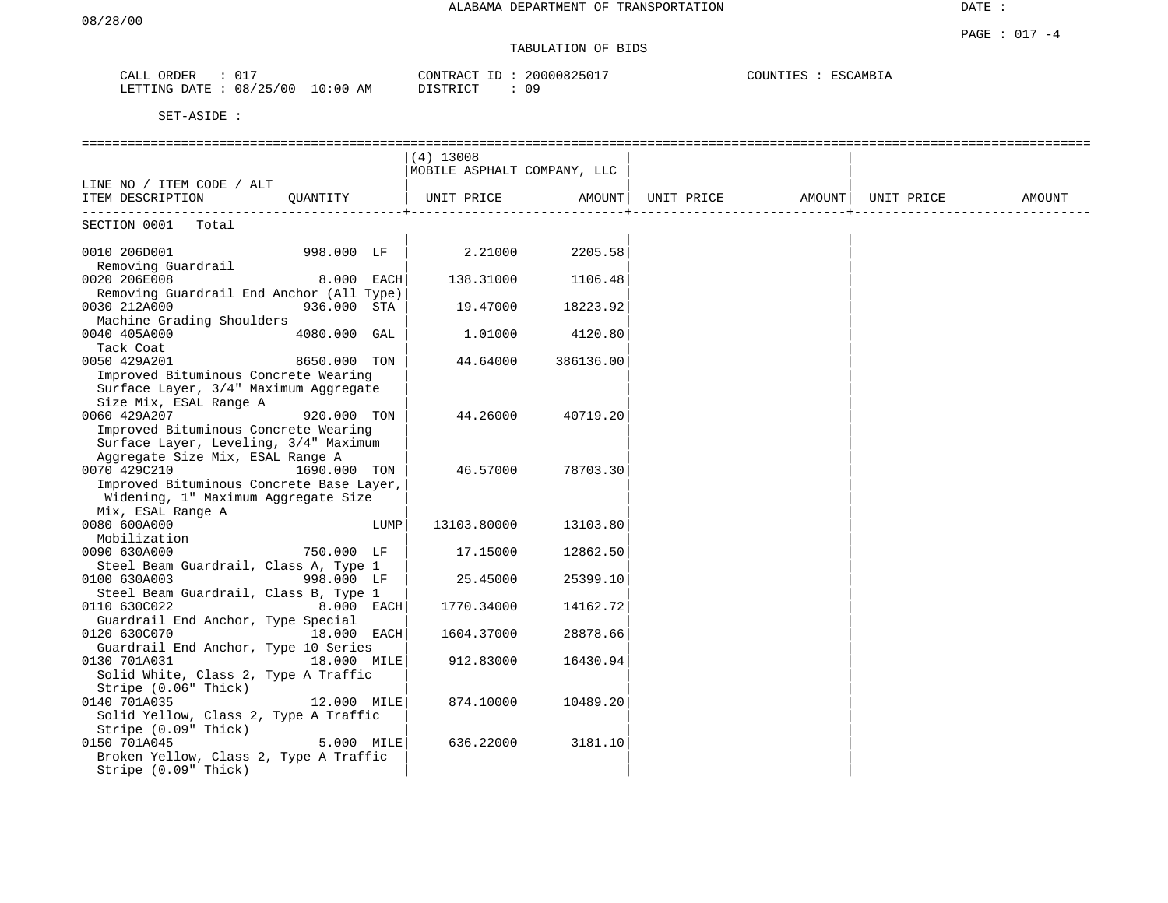# TABULATION OF BIDS

| ORDER<br>CALL |          |          | CONTRACT ID  | 20000825017 | COUNTIES | ESCAMBIA |
|---------------|----------|----------|--------------|-------------|----------|----------|
| LETTING DATE  | 08/25/00 | 10:00 AM | יחד פידי דרי | 09          |          |          |

|                                                                                                          |              |      | $(4)$ 13008<br>MOBILE ASPHALT COMPANY, LLC |           |                               |  |        |
|----------------------------------------------------------------------------------------------------------|--------------|------|--------------------------------------------|-----------|-------------------------------|--|--------|
| LINE NO / ITEM CODE / ALT<br>ITEM DESCRIPTION                                                            | OUANTITY     |      | UNIT PRICE                                 | AMOUNT    | UNIT PRICE AMOUNT  UNIT PRICE |  | AMOUNT |
| SECTION 0001 Total                                                                                       |              |      |                                            |           |                               |  |        |
| 0010 206D001<br>Removing Guardrail                                                                       | 998.000 LF   |      | 2.21000                                    | 2205.58   |                               |  |        |
| 0020 206E008                                                                                             | 8.000 EACH   |      | 138.31000                                  | 1106.48   |                               |  |        |
| Removing Guardrail End Anchor (All Type)<br>0030 212A000                                                 | 936.000 STA  |      | 19.47000                                   | 18223.92  |                               |  |        |
| Machine Grading Shoulders<br>0040 405A000                                                                | 4080.000 GAL |      | 1,01000                                    | 4120.80   |                               |  |        |
| Tack Coat<br>0050 429A201<br>Improved Bituminous Concrete Wearing                                        | 8650.000 TON |      | 44.64000                                   | 386136.00 |                               |  |        |
| Surface Layer, 3/4" Maximum Aggregate<br>Size Mix, ESAL Range A                                          |              |      |                                            |           |                               |  |        |
| 0060 429A207<br>Improved Bituminous Concrete Wearing                                                     | 920.000 TON  |      | 44.26000                                   | 40719.20  |                               |  |        |
| Surface Layer, Leveling, 3/4" Maximum<br>Aggregate Size Mix, ESAL Range A                                |              |      |                                            |           |                               |  |        |
| 0070 429C210<br>Improved Bituminous Concrete Base Layer,<br>Widening, 1" Maximum Aggregate Size          | 1690.000 TON |      | 46.57000                                   | 78703.30  |                               |  |        |
| Mix, ESAL Range A<br>0080 600A000                                                                        |              | LUMP | 13103.80000                                | 13103.80  |                               |  |        |
| Mobilization<br>0090 630A000<br>Steel Beam Guardrail, Class A, Type 1                                    | 750.000 LF   |      | 17.15000                                   | 12862.50  |                               |  |        |
| 0100 630A003                                                                                             | 998.000 LF   |      | 25.45000                                   | 25399.10  |                               |  |        |
| Steel Beam Guardrail, Class B, Type 1<br>0110 630C022                                                    | 8.000 EACH   |      | 1770.34000                                 | 14162.72  |                               |  |        |
| Guardrail End Anchor, Type Special<br>0120 630C070<br>Guardrail End Anchor, Type 10 Series               | 18.000 EACH  |      | 1604.37000                                 | 28878.66  |                               |  |        |
| 0130 701A031<br>Solid White, Class 2, Type A Traffic                                                     | 18.000 MILE  |      | 912.83000                                  | 16430.94  |                               |  |        |
| Stripe (0.06" Thick)<br>0140 701A035<br>Solid Yellow, Class 2, Type A Traffic                            | 12.000 MILE  |      | 874.10000                                  | 10489.20  |                               |  |        |
| Stripe $(0.09"$ Thick)<br>0150 701A045<br>Broken Yellow, Class 2, Type A Traffic<br>Stripe (0.09" Thick) | 5.000 MILE   |      | 636.22000                                  | 3181.10   |                               |  |        |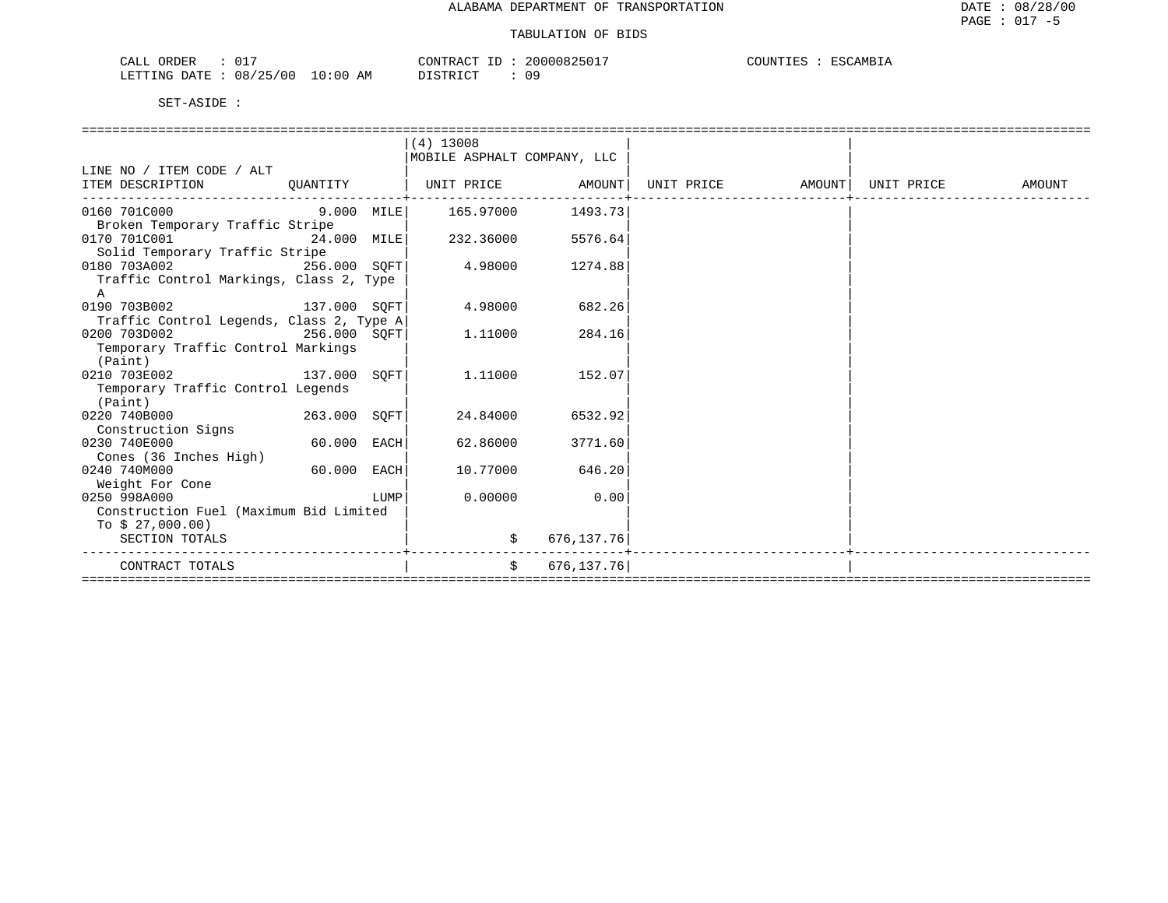| ORDER<br>CALL<br>◡⊥               | 20000825017<br>CONTRACT  | COUNTIES<br><u>ESCAMBIA</u> |
|-----------------------------------|--------------------------|-----------------------------|
| 08/25/00<br>10:00<br>LETTING DATE | 09<br>AΜ<br>דת לידי את ה |                             |

|                                          |               |      | $(4)$ 13008                 |                       |                                                                          |            |        |
|------------------------------------------|---------------|------|-----------------------------|-----------------------|--------------------------------------------------------------------------|------------|--------|
|                                          |               |      | MOBILE ASPHALT COMPANY, LLC |                       |                                                                          |            |        |
| LINE NO / ITEM CODE / ALT                |               |      |                             |                       |                                                                          |            |        |
| ITEM DESCRIPTION                         | QUANTITY      |      |                             | --------------------- | UNIT PRICE                 AMOUNT   UNIT PRICE                    AMOUNT | UNIT PRICE | AMOUNT |
|                                          |               |      |                             |                       |                                                                          |            |        |
| Broken Temporary Traffic Stripe          |               |      |                             |                       |                                                                          |            |        |
| 0170 701C001<br>24.000 MILE              |               |      | 232.36000                   | 5576.64               |                                                                          |            |        |
| Solid Temporary Traffic Stripe           |               |      |                             |                       |                                                                          |            |        |
| 0180 703A002<br>$256.000$ SQFT           |               |      | 4.98000                     | 1274.88               |                                                                          |            |        |
| Traffic Control Markings, Class 2, Type  |               |      |                             |                       |                                                                          |            |        |
| A                                        |               |      |                             |                       |                                                                          |            |        |
| 0190 703B002 137.000 SQFT                |               |      | 4.98000                     | 682.26                |                                                                          |            |        |
| Traffic Control Legends, Class 2, Type A |               |      |                             |                       |                                                                          |            |        |
| 0200 703D002<br>256.000 SQFT             |               |      | 1,11000                     | 284.16                |                                                                          |            |        |
| Temporary Traffic Control Markings       |               |      |                             |                       |                                                                          |            |        |
| (Paint)                                  |               |      |                             |                       |                                                                          |            |        |
| 137.000 SQFT<br>0210 703E002             |               |      | 1.11000                     | 152.07                |                                                                          |            |        |
| Temporary Traffic Control Legends        |               |      |                             |                       |                                                                          |            |        |
| (Paint)                                  |               |      |                             |                       |                                                                          |            |        |
| 0220 740B000 263.000 SOFT                |               |      | 24.84000                    | 6532.92               |                                                                          |            |        |
| Construction Signs                       |               |      |                             |                       |                                                                          |            |        |
| 0230 740E000                             | $60.000$ EACH |      | 62.86000                    | 3771.60               |                                                                          |            |        |
| Cones (36 Inches High)                   |               |      |                             |                       |                                                                          |            |        |
| 0240 740M000                             | 60.000 EACH   |      | 10.77000                    | 646.20                |                                                                          |            |        |
| Weight For Cone                          |               |      |                             |                       |                                                                          |            |        |
| 0250 998A000                             |               | LUMP | 0.00000                     | 0.00                  |                                                                          |            |        |
| Construction Fuel (Maximum Bid Limited   |               |      |                             |                       |                                                                          |            |        |
| To $$27,000.00)$                         |               |      |                             |                       |                                                                          |            |        |
| SECTION TOTALS                           |               |      | \$<br>.                     | 676, 137.76           |                                                                          |            |        |
| CONTRACT TOTALS                          |               |      | $\ddot{s}$                  | 676, 137. 76          |                                                                          |            |        |
|                                          |               |      |                             |                       |                                                                          |            |        |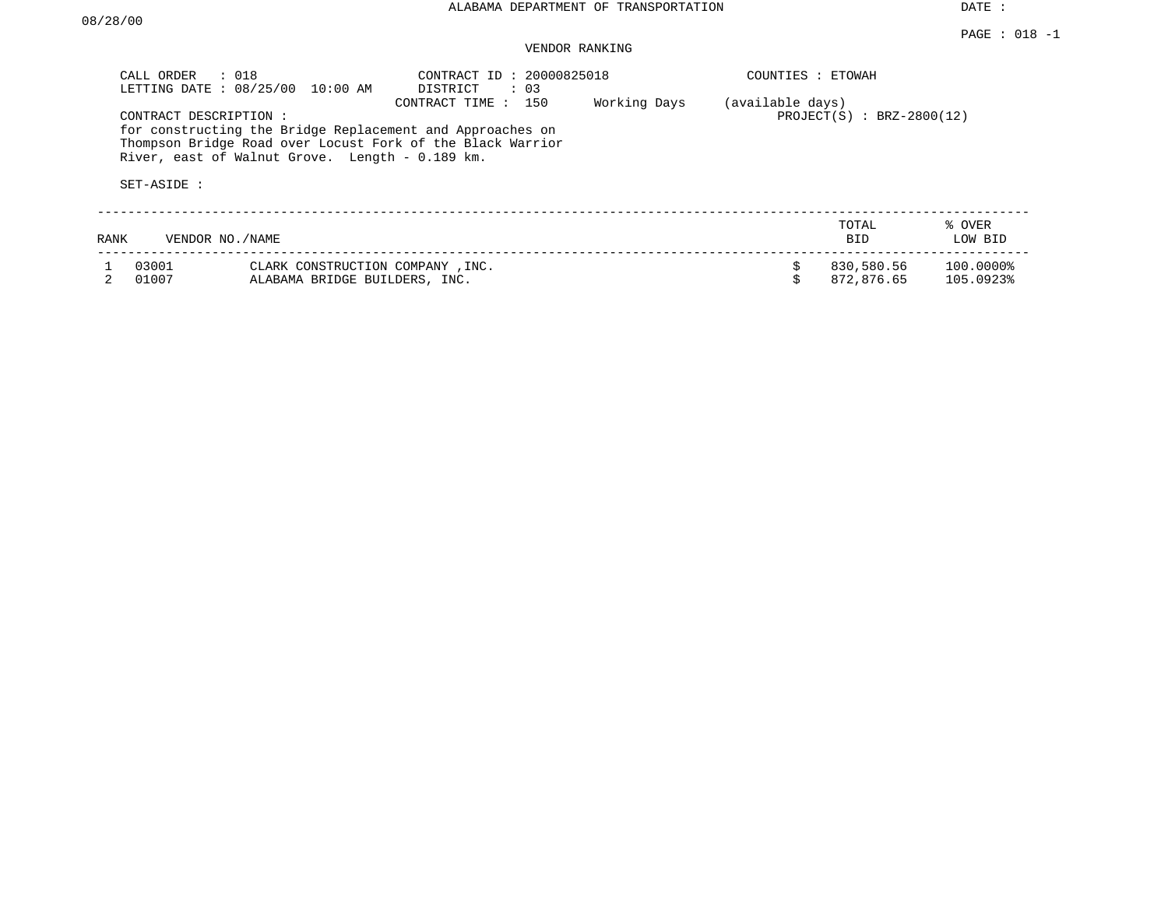# VENDOR RANKING

|      | CALL ORDER<br>$\therefore$ 018<br>LETTING DATE: 08/25/00                                                                                                                                            |                                                                   | 10:00 AM | CONTRACT ID: 20000825018<br>DISTRICT | $\therefore$ 03 |              |                  | COUNTIES : ETOWAH           |                        |
|------|-----------------------------------------------------------------------------------------------------------------------------------------------------------------------------------------------------|-------------------------------------------------------------------|----------|--------------------------------------|-----------------|--------------|------------------|-----------------------------|------------------------|
|      | CONTRACT DESCRIPTION:<br>for constructing the Bridge Replacement and Approaches on<br>Thompson Bridge Road over Locust Fork of the Black Warrior<br>River, east of Walnut Grove. Length - 0.189 km. |                                                                   |          | CONTRACT TIME : 150                  |                 | Working Days | (available days) | $PROJECT(S) : BRZ-2800(12)$ |                        |
|      | SET-ASIDE :                                                                                                                                                                                         |                                                                   |          |                                      |                 |              |                  |                             |                        |
| RANK | VENDOR NO./NAME                                                                                                                                                                                     |                                                                   |          |                                      |                 |              |                  | TOTAL<br><b>BID</b>         | % OVER<br>LOW BID      |
|      | 03001<br>01007                                                                                                                                                                                      | CLARK CONSTRUCTION COMPANY, INC.<br>ALABAMA BRIDGE BUILDERS, INC. |          |                                      |                 |              |                  | 830,580.56<br>872,876.65    | 100.0000%<br>105.0923% |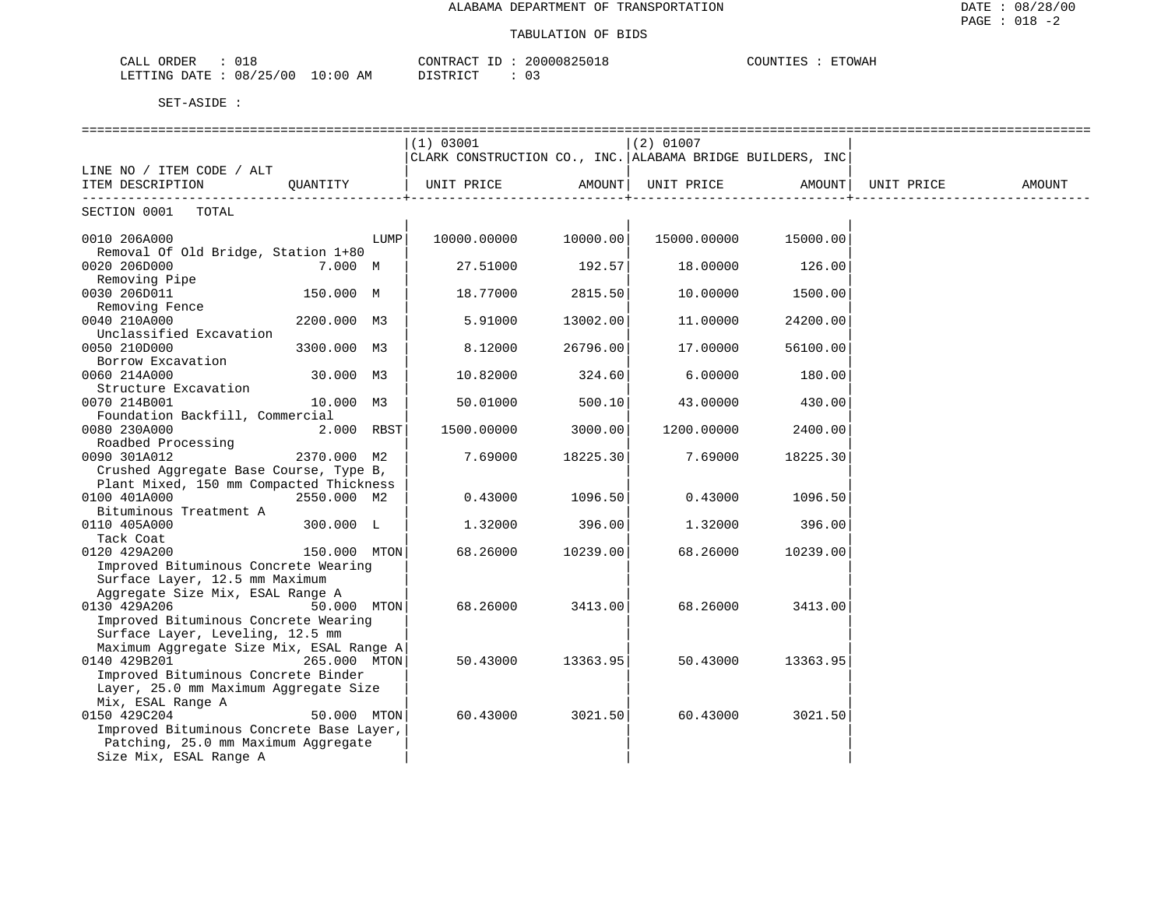| $\sim$ $ -$<br>$\sim$<br>OKDER<br>اللطب<br>, _ J                                | ו ∆ קידוגו∩י<br>20000C<br>くらし | C<br>TOWAH<br>JUN'!'' |
|---------------------------------------------------------------------------------|-------------------------------|-----------------------|
| ノつに<br><b>DOMTTAT</b><br>00 ′<br>08<br>DATE<br>ΆM<br>:00<br>. .<br>AETTING<br>. | די מידי את ה                  |                       |

|                                                                          | (1) 03001                                                 |          | $(2)$ 01007 |                      |            |        |  |  |
|--------------------------------------------------------------------------|-----------------------------------------------------------|----------|-------------|----------------------|------------|--------|--|--|
|                                                                          | CLARK CONSTRUCTION CO., INC. ALABAMA BRIDGE BUILDERS, INC |          |             |                      |            |        |  |  |
| LINE NO / ITEM CODE / ALT                                                |                                                           |          |             |                      |            |        |  |  |
| ITEM DESCRIPTION<br>QUANTITY                                             | UNIT PRICE AMOUNT                                         |          |             | UNIT PRICE AMOUNT    | UNIT PRICE | AMOUNT |  |  |
| SECTION 0001 TOTAL                                                       |                                                           |          |             |                      |            |        |  |  |
| 0010 206A000<br>LUMP                                                     | 10000.00000 10000.00                                      |          |             | 15000.00000 15000.00 |            |        |  |  |
| Removal Of Old Bridge, Station 1+80                                      |                                                           |          |             |                      |            |        |  |  |
| 0020 206D000<br>7.000 M<br>Removing Pipe                                 | 27.51000                                                  | 192.57   | 18.00000    | 126.00               |            |        |  |  |
| 0030 206D011<br>150.000 M                                                | 18.77000                                                  | 2815.50  | 10.00000    | 1500.00              |            |        |  |  |
| Removing Fence<br>0040 210A000<br>2200.000 M3                            | 5.91000                                                   | 13002.00 | 11.00000    | 24200.00             |            |        |  |  |
| Unclassified Excavation<br>0050 210D000<br>3300.000 M3                   | 8.12000                                                   | 26796.00 | 17.00000    | 56100.00             |            |        |  |  |
| Borrow Excavation                                                        |                                                           |          |             |                      |            |        |  |  |
| 0060 214A000<br>30.000 M3<br>Structure Excavation                        | 10.82000                                                  | 324.60   | 6.00000     | 180.00               |            |        |  |  |
| 0070 214B001<br>10.000 M3                                                | 50.01000                                                  | 500.10   | 43.00000    | 430.00               |            |        |  |  |
| Foundation Backfill, Commercial                                          |                                                           |          |             |                      |            |        |  |  |
| 2.000 RBST<br>0080 230A000<br>Roadbed Processing                         | 1500.00000                                                | 3000.00  | 1200.00000  | 2400.00              |            |        |  |  |
| 0090 301A012<br>2370.000 M2                                              | 7.69000                                                   | 18225.30 | 7.69000     | 18225.30             |            |        |  |  |
| Crushed Aggregate Base Course, Type B,                                   |                                                           |          |             |                      |            |        |  |  |
| Plant Mixed, 150 mm Compacted Thickness                                  |                                                           |          |             |                      |            |        |  |  |
| 2550.000 M2<br>0100 401A000<br>Bituminous Treatment A                    | 0.43000                                                   | 1096.50  | 0.43000     | 1096.50              |            |        |  |  |
| 0110 405A000<br>300.000 L                                                | 1,32000                                                   | 396.00   | 1.32000     | 396.00               |            |        |  |  |
| Tack Coat                                                                |                                                           |          |             |                      |            |        |  |  |
| 0120 429A200<br>150.000 MTON                                             | 68.26000                                                  | 10239.00 | 68.26000    | 10239.00             |            |        |  |  |
| Improved Bituminous Concrete Wearing                                     |                                                           |          |             |                      |            |        |  |  |
| Surface Layer, 12.5 mm Maximum                                           |                                                           |          |             |                      |            |        |  |  |
| Aggregate Size Mix, ESAL Range A<br>0130 429A206<br>50.000 MTON          | 68.26000                                                  | 3413.00  | 68.26000    | 3413.00              |            |        |  |  |
| Improved Bituminous Concrete Wearing                                     |                                                           |          |             |                      |            |        |  |  |
| Surface Layer, Leveling, 12.5 mm                                         |                                                           |          |             |                      |            |        |  |  |
| Maximum Aggregate Size Mix, ESAL Range A<br>0140 429B201<br>265.000 MTON | 50.43000                                                  | 13363.95 | 50.43000    | 13363.95             |            |        |  |  |
| Improved Bituminous Concrete Binder                                      |                                                           |          |             |                      |            |        |  |  |
| Layer, 25.0 mm Maximum Aggregate Size                                    |                                                           |          |             |                      |            |        |  |  |
| Mix, ESAL Range A                                                        |                                                           |          |             |                      |            |        |  |  |
| 0150 429C204<br>50.000 MTON                                              | 60.43000                                                  | 3021.50  | 60.43000    | 3021.50              |            |        |  |  |
| Improved Bituminous Concrete Base Layer,                                 |                                                           |          |             |                      |            |        |  |  |
| Patching, 25.0 mm Maximum Aggregate                                      |                                                           |          |             |                      |            |        |  |  |
| Size Mix, ESAL Range A                                                   |                                                           |          |             |                      |            |        |  |  |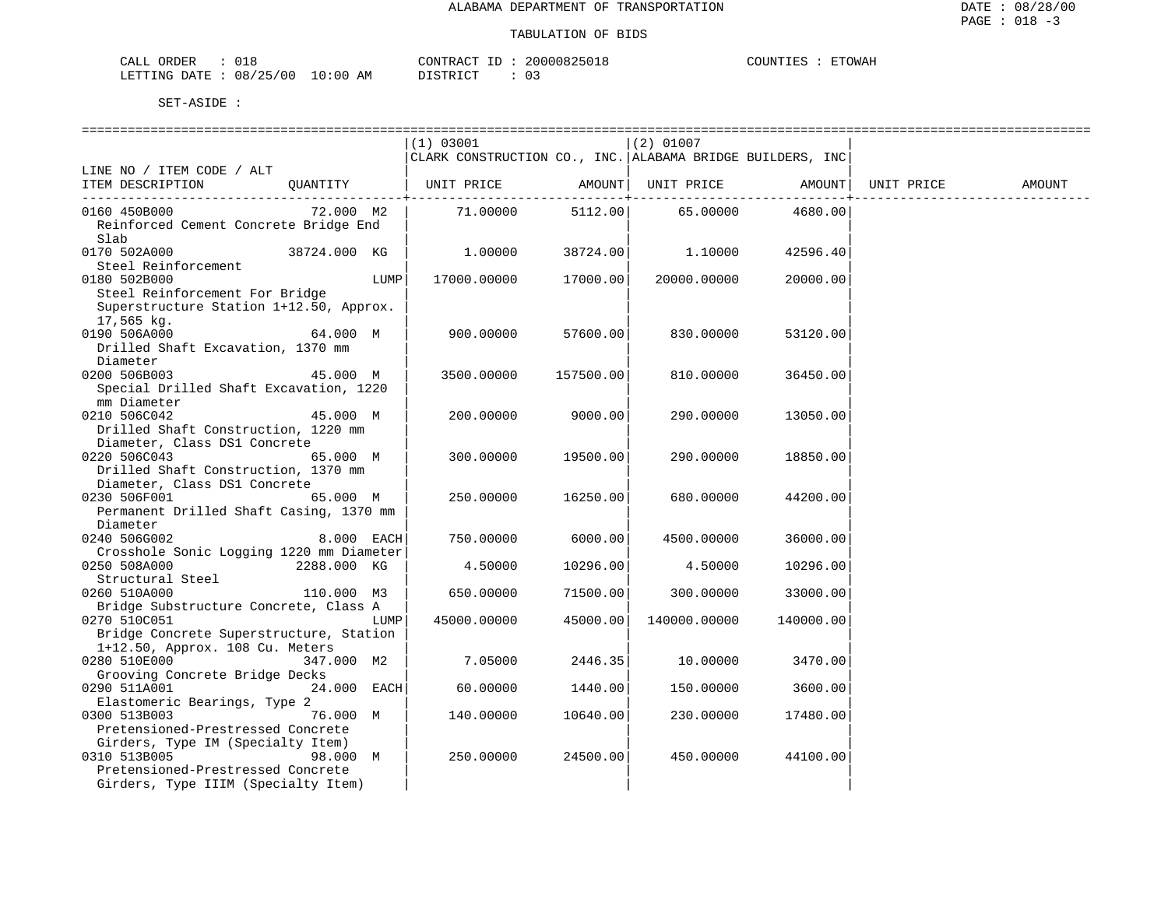| ORDER<br>$\cdot$<br>.<br>للسماح<br>◡⊥◡     |             | $\bigcap_{\Pi}$<br>$\lambda$ $\sim$ | $'$ n $\cdots$ | $mm$ $\cap$<br>יידערדן $\tau$<br>" WAL<br>1713 L J 131 |
|--------------------------------------------|-------------|-------------------------------------|----------------|--------------------------------------------------------|
| $\sqrt{2}$<br>08<br>.RTTTNC<br>٬ ۲<br>∩∆ጥ∏ | AΜ<br>፡ 0 0 | $T \cap T$<br>$  -$<br>⋯            | n -<br>U –     |                                                        |

|                                          |               |      | ============================== |              |                                                           |           |            |        |
|------------------------------------------|---------------|------|--------------------------------|--------------|-----------------------------------------------------------|-----------|------------|--------|
|                                          |               |      | (1) 03001                      |              | $(2)$ 01007                                               |           |            |        |
|                                          |               |      |                                |              | CLARK CONSTRUCTION CO., INC. ALABAMA BRIDGE BUILDERS, INC |           |            |        |
| LINE NO / ITEM CODE / ALT                |               |      |                                |              |                                                           |           |            |        |
| ITEM DESCRIPTION                         | OUANTITY      |      | UNIT PRICE                     |              | AMOUNT  UNIT PRICE                                        | AMOUNT    | UNIT PRICE | AMOUNT |
|                                          |               |      |                                | $--------+-$ |                                                           |           |            |        |
| 0160 450B000                             | 72.000 M2     |      | 71.00000                       | 5112.00      | 65.00000                                                  | 4680.00   |            |        |
| Reinforced Cement Concrete Bridge End    |               |      |                                |              |                                                           |           |            |        |
| Slab                                     |               |      |                                |              |                                                           |           |            |        |
| 0170 502A000 38724.000 KG                |               |      | 1.00000                        | 38724.00     | 1,10000                                                   | 42596.40  |            |        |
| Steel Reinforcement                      |               |      |                                |              |                                                           |           |            |        |
|                                          |               |      |                                |              |                                                           |           |            |        |
| 0180 502B000                             |               | LUMP | 17000.00000                    | 17000.00     | 20000.00000                                               | 20000.00  |            |        |
| Steel Reinforcement For Bridge           |               |      |                                |              |                                                           |           |            |        |
| Superstructure Station 1+12.50, Approx.  |               |      |                                |              |                                                           |           |            |        |
| 17,565 kg.                               |               |      |                                |              |                                                           |           |            |        |
| 0190 506A000                             | 64.000 M      |      | 900.00000                      | 57600.00     | 830.00000                                                 | 53120.00  |            |        |
| Drilled Shaft Excavation, 1370 mm        |               |      |                                |              |                                                           |           |            |        |
| Diameter                                 |               |      |                                |              |                                                           |           |            |        |
| 0200 506B003                             | 45.000 M      |      | 3500.00000                     | 157500.00    | 810.00000                                                 | 36450.00  |            |        |
| Special Drilled Shaft Excavation, 1220   |               |      |                                |              |                                                           |           |            |        |
| mm Diameter                              |               |      |                                |              |                                                           |           |            |        |
| 0210 506C042                             | 45.000 M      |      | 200.00000                      | 9000.00      | 290.00000                                                 | 13050.00  |            |        |
| Drilled Shaft Construction, 1220 mm      |               |      |                                |              |                                                           |           |            |        |
| Diameter, Class DS1 Concrete             |               |      |                                |              |                                                           |           |            |        |
| 0220 506C043                             | 65.000 M      |      | 300.00000                      | 19500.00     | 290.00000                                                 | 18850.00  |            |        |
| Drilled Shaft Construction, 1370 mm      |               |      |                                |              |                                                           |           |            |        |
| Diameter, Class DS1 Concrete             |               |      |                                |              |                                                           |           |            |        |
| 0230 506F001                             | 65.000 M      |      | 250.00000                      | 16250.00     | 680.00000                                                 | 44200.00  |            |        |
|                                          |               |      |                                |              |                                                           |           |            |        |
| Permanent Drilled Shaft Casing, 1370 mm  |               |      |                                |              |                                                           |           |            |        |
| Diameter                                 |               |      |                                |              |                                                           |           |            |        |
| 0240 506G002                             | 8.000 EACH    |      | 750.00000                      | 6000.00      | 4500.00000                                                | 36000.00  |            |        |
| Crosshole Sonic Logging 1220 mm Diameter |               |      |                                |              |                                                           |           |            |        |
| 0250 508A000                             | 2288.000 KG   |      | 4.50000                        | 10296.00     | 4.50000                                                   | 10296.00  |            |        |
| Structural Steel                         |               |      |                                |              |                                                           |           |            |        |
| 0260 510A000                             | 110.000 M3    |      | 650.00000                      | 71500.00     | 300.00000                                                 | 33000.00  |            |        |
| Bridge Substructure Concrete, Class A    |               |      |                                |              |                                                           |           |            |        |
| 0270 510C051                             |               | LUMP | 45000.00000                    | 45000.00     | 140000.00000                                              | 140000.00 |            |        |
| Bridge Concrete Superstructure, Station  |               |      |                                |              |                                                           |           |            |        |
| 1+12.50, Approx. 108 Cu. Meters          |               |      |                                |              |                                                           |           |            |        |
| 0280 510E000                             | 347.000 M2    |      | 7.05000                        | 2446.35      | 10.00000                                                  | 3470.00   |            |        |
| Grooving Concrete Bridge Decks           |               |      |                                |              |                                                           |           |            |        |
| 0290 511A001                             | $24.000$ EACH |      | 60.00000                       | 1440.00      | 150.00000                                                 | 3600.00   |            |        |
| Elastomeric Bearings, Type 2             |               |      |                                |              |                                                           |           |            |        |
| 0300 513B003                             | 76.000 M      |      | 140.00000                      | 10640.00     | 230.00000                                                 | 17480.00  |            |        |
| Pretensioned-Prestressed Concrete        |               |      |                                |              |                                                           |           |            |        |
| Girders, Type IM (Specialty Item)        |               |      |                                |              |                                                           |           |            |        |
| 0310 513B005 310 320 320 3310 513B005    | 98.000 M      |      | 250.00000                      | 24500.00     | 450.00000                                                 | 44100.00  |            |        |
| Pretensioned-Prestressed Concrete        |               |      |                                |              |                                                           |           |            |        |
| Girders, Type IIIM (Specialty Item)      |               |      |                                |              |                                                           |           |            |        |
|                                          |               |      |                                |              |                                                           |           |            |        |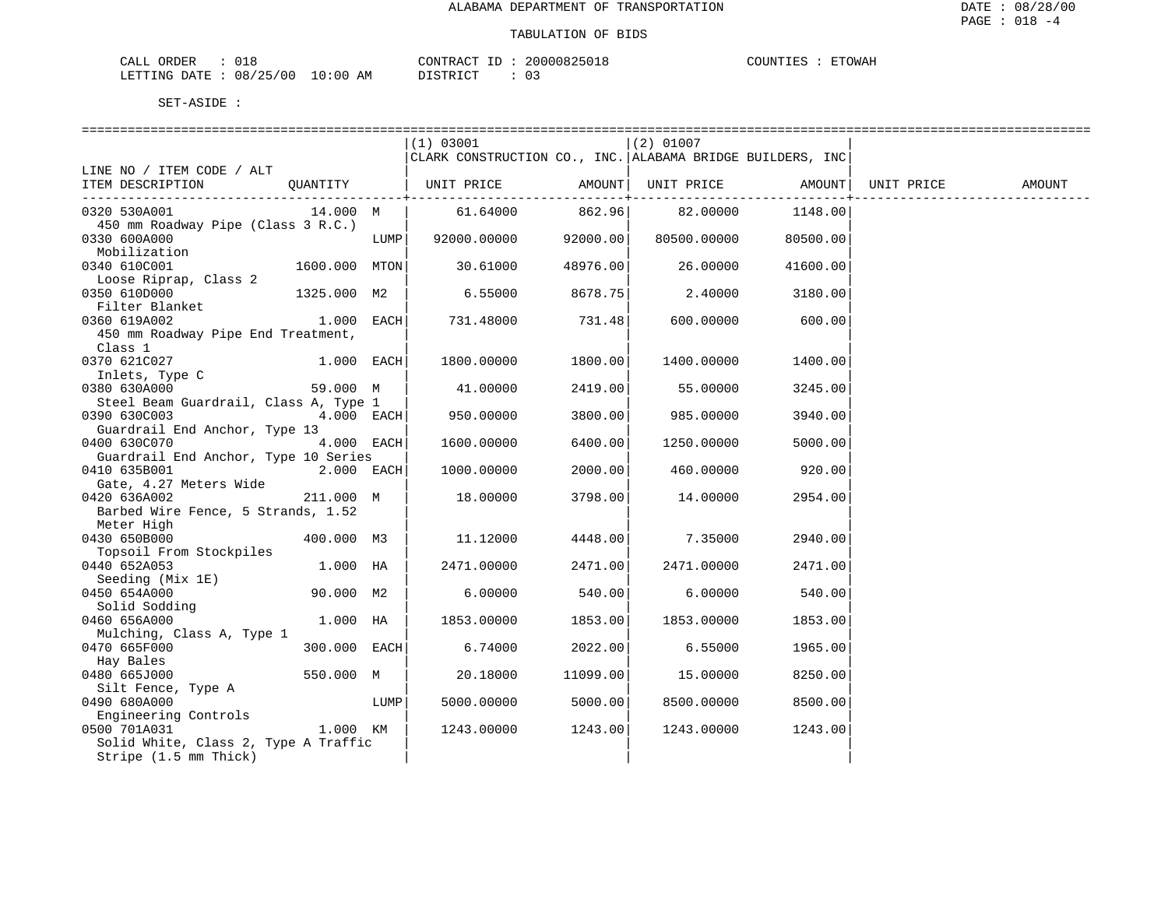| ORDER                                            |                          | $\sqrt{2}$ ON' <sub>1</sub> |                 | <b>TOWAH</b> |
|--------------------------------------------------|--------------------------|-----------------------------|-----------------|--------------|
| 0 <sup>c</sup><br><b>FTTING</b><br>$.17 -$<br>08 | AМ<br>$\mathcal{L}$ (10) |                             | . .<br><u>ັ</u> |              |

|                                                                                        |               |      | (1) 03001<br>CLARK CONSTRUCTION CO., INC. ALABAMA BRIDGE BUILDERS, INC |          | (2) 01007   |          |            |        |
|----------------------------------------------------------------------------------------|---------------|------|------------------------------------------------------------------------|----------|-------------|----------|------------|--------|
| LINE NO / ITEM CODE / ALT<br>ITEM DESCRIPTION                                          | OUANTITY      |      | UNIT PRICE AMOUNT  UNIT PRICE AMOUNT                                   |          |             |          | UNIT PRICE | AMOUNT |
| 0320 530A001                                                                           | 14.000 M      |      | 61.64000                                                               | 862.96   | 82.00000    | 1148.00  |            |        |
| 450 mm Roadway Pipe (Class 3 R.C.)<br>0330 600A000<br>0330 600A000<br>Mobilization     |               |      | LUMP 92000.00000 92000.00                                              |          | 80500.00000 | 80500.00 |            |        |
| 0340 610C001                                                                           | 1600.000 MTON |      | 30.61000 48976.00                                                      |          | 26.00000    | 41600.00 |            |        |
| Loose Riprap, Class 2<br>0350 610D000                                                  | 1325.000 M2   |      | 6.55000                                                                | 8678.75  | 2.40000     | 3180.00  |            |        |
| Filter Blanket<br>0360 619A002<br>450 mm Roadway Pipe End Treatment,                   | $1.000$ EACH  |      | 731.48000                                                              | 731.48   | 600.00000   | 600.00   |            |        |
| Class 1<br>0370 621C027                                                                | $1.000$ EACH  |      | 1800.00000                                                             | 1800.00  | 1400.00000  | 1400.00  |            |        |
| Inlets, Type C<br>0380 630A000                                                         | 59.000 M      |      | 41.00000                                                               | 2419.00  | 55.00000    | 3245.00  |            |        |
| Steel Beam Guardrail, Class A, Type 1<br>0390 630C003<br>Guardrail End Anchor, Type 13 | $4.000$ EACH  |      | 950.00000                                                              | 3800.00  | 985.00000   | 3940.00  |            |        |
| 0400 630C070<br>Guardrail End Anchor, Type 10 Series                                   | 4.000 EACH    |      | 1600.00000                                                             | 6400.00  | 1250.00000  | 5000.00  |            |        |
| 0410 635B001<br>Gate, 4.27 Meters Wide                                                 | $2.000$ EACH  |      | 1000.00000                                                             | 2000.00  | 460.00000   | 920.00   |            |        |
| 0420 636A002<br>Barbed Wire Fence, 5 Strands, 1.52                                     | 211.000 M     |      | 18.00000                                                               | 3798.00  | 14.00000    | 2954.00  |            |        |
| Meter High<br>0430 650B000<br>Topsoil From Stockpiles                                  | 400.000 M3    |      | 11.12000                                                               | 4448.00  | 7.35000     | 2940.00  |            |        |
| 0440 652A053<br>Seeding (Mix 1E)                                                       | 1.000 HA      |      | 2471.00000                                                             | 2471.00  | 2471.00000  | 2471.00  |            |        |
| 0450 654A000<br>Solid Sodding                                                          | 90.000 M2     |      | 6.00000                                                                | 540.00   | 6.00000     | 540.00   |            |        |
| 0460 656A000<br>Mulching, Class A, Type 1                                              | 1.000 HA      |      | 1853.00000                                                             | 1853.00  | 1853.00000  | 1853.00  |            |        |
| 0470 665F000<br>Hay Bales                                                              | 300.000 EACH  |      | 6.74000                                                                | 2022.00  | 6.55000     | 1965.00  |            |        |
| 0480 665J000<br>Silt Fence, Type A                                                     | 550.000 M     |      | 20.18000                                                               | 11099.00 | 15.00000    | 8250.00  |            |        |
| 0490 680A000<br>Engineering Controls                                                   |               | LUMP | 5000.00000                                                             | 5000.00  | 8500.00000  | 8500.00  |            |        |
| 0500 701A031<br>Solid White, Class 2, Type A Traffic<br>Stripe (1.5 mm Thick)          | 1.000 KM      |      | 1243.00000                                                             | 1243.00  | 1243.00000  | 1243.00  |            |        |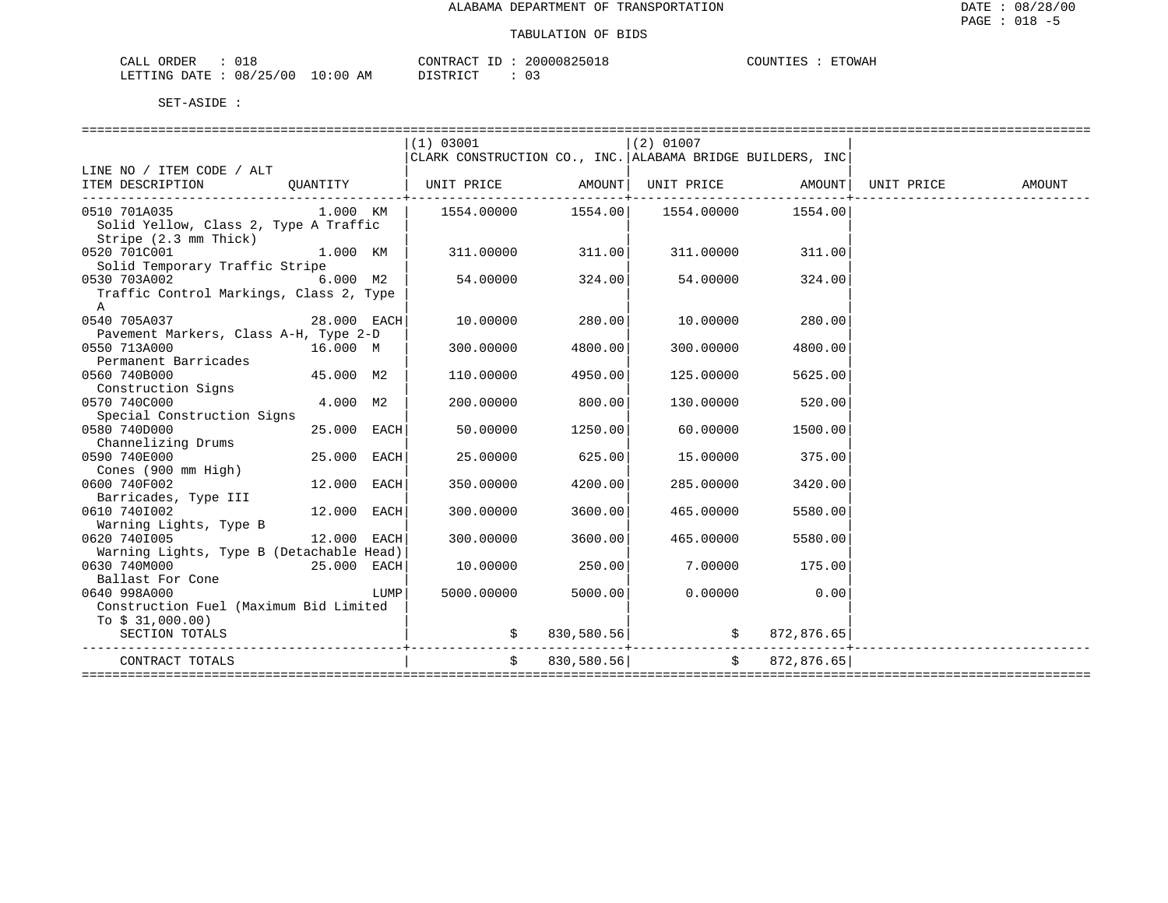| CALL ORDER                      |  | CONTRACT | ID | 20000825018 | COUNTIES | <b>ETOWAH</b> |
|---------------------------------|--|----------|----|-------------|----------|---------------|
| LETTING DATE: 08/25/00 10:00 AM |  | DISTRICT |    | 03          |          |               |

|                                                                                |             |      | (1) 03001                                                 |               | $(2)$ 01007                                            |                  |        |
|--------------------------------------------------------------------------------|-------------|------|-----------------------------------------------------------|---------------|--------------------------------------------------------|------------------|--------|
|                                                                                |             |      | CLARK CONSTRUCTION CO., INC. ALABAMA BRIDGE BUILDERS, INC |               |                                                        |                  |        |
| LINE NO / ITEM CODE / ALT                                                      |             |      |                                                           |               |                                                        |                  |        |
| ITEM DESCRIPTION QUANTITY   UNIT PRICE AMOUNT   UNIT PRICE AMOUNT   UNIT PRICE |             |      |                                                           |               |                                                        |                  | AMOUNT |
| ---------------------------------<br>0510 701A035                              |             |      | $1.000$ KM $ $ 1554.00000                                 |               |                                                        | 1554.00          |        |
| Solid Yellow, Class 2, Type A Traffic                                          |             |      |                                                           |               |                                                        |                  |        |
| Stripe (2.3 mm Thick)                                                          |             |      |                                                           |               |                                                        |                  |        |
| 0520 701C001                                                                   | $1.000$ KM  |      | $311.00000$ $311.00$                                      |               |                                                        | 311.00000 311.00 |        |
| Solid Temporary Traffic Stripe                                                 |             |      |                                                           |               |                                                        |                  |        |
| 0530 703A002                                                                   | 6.000 M2    |      | 54.00000                                                  | 324.00        | 54.00000                                               | 324.00           |        |
| Traffic Control Markings, Class 2, Type                                        |             |      |                                                           |               |                                                        |                  |        |
| A                                                                              |             |      |                                                           |               |                                                        |                  |        |
| 0540 705A037                                                                   | 28.000 EACH |      | 10.00000                                                  | 280.00        | 10.00000                                               | 280.00           |        |
| Pavement Markers, Class A-H, Type 2-D                                          |             |      |                                                           |               |                                                        |                  |        |
| 0550 713A000                                                                   | 16.000 M    |      | 300.00000                                                 | 4800.00       | 300.00000                                              | 4800.00          |        |
| Permanent Barricades                                                           |             |      |                                                           |               |                                                        |                  |        |
| 0560 740B000                                                                   | 45.000 M2   |      | 110.00000                                                 | 4950.00       | 125.00000                                              | 5625.00          |        |
| Construction Signs                                                             |             |      |                                                           |               |                                                        |                  |        |
| 0570 740C000                                                                   | 4.000 M2    |      | 200.00000                                                 | 800.00        | 130.00000                                              | 520.00           |        |
| Special Construction Signs                                                     |             |      |                                                           |               |                                                        |                  |        |
| 0580 740D000                                                                   | 25.000 EACH |      | 50.00000                                                  | 1250.00       | 60.00000                                               | 1500.00          |        |
| Channelizing Drums                                                             |             |      |                                                           |               |                                                        |                  |        |
| 0590 740E000                                                                   | 25.000 EACH |      | 25.00000                                                  | 625.00        | 15.00000                                               | 375.00           |        |
| Cones (900 mm High)                                                            |             |      |                                                           |               |                                                        |                  |        |
| 0600 740F002                                                                   | 12.000 EACH |      | 350.00000                                                 | 4200.00       | 285.00000                                              | 3420.00          |        |
| Barricades, Type III                                                           |             |      |                                                           |               |                                                        |                  |        |
| 0610 7401002                                                                   | 12.000 EACH |      | 300.00000                                                 | 3600.00       | 465.00000                                              | 5580.00          |        |
| Warning Lights, Type B                                                         |             |      |                                                           |               |                                                        |                  |        |
| 12.000 EACH<br>0620 7401005                                                    |             |      | 300.00000                                                 | 3600.00       | 465.00000                                              | 5580.00          |        |
| Warning Lights, Type B (Detachable Head)                                       |             |      |                                                           |               |                                                        |                  |        |
| 0630 740M000<br>$25.000$ EACH                                                  |             |      | 10.00000                                                  | 250.00        |                                                        | 7.00000 175.00   |        |
| Ballast For Cone                                                               |             |      |                                                           |               |                                                        |                  |        |
| 0640 998A000                                                                   |             | LUMP | 5000.00000                                                | 5000.00       |                                                        | $0.00000$ 0.00   |        |
| Construction Fuel (Maximum Bid Limited                                         |             |      |                                                           |               |                                                        |                  |        |
| To $$31,000.00)$                                                               |             |      |                                                           |               |                                                        |                  |        |
| SECTION TOTALS                                                                 |             |      |                                                           |               | $\frac{1}{5}$ 830,580.56 $\Big $ \$ 872,876.65 $\Big $ |                  |        |
| CONTRACT TOTALS                                                                |             |      |                                                           | \$830,580.56] |                                                        | \$872,876.65]    |        |
|                                                                                |             |      |                                                           |               |                                                        |                  |        |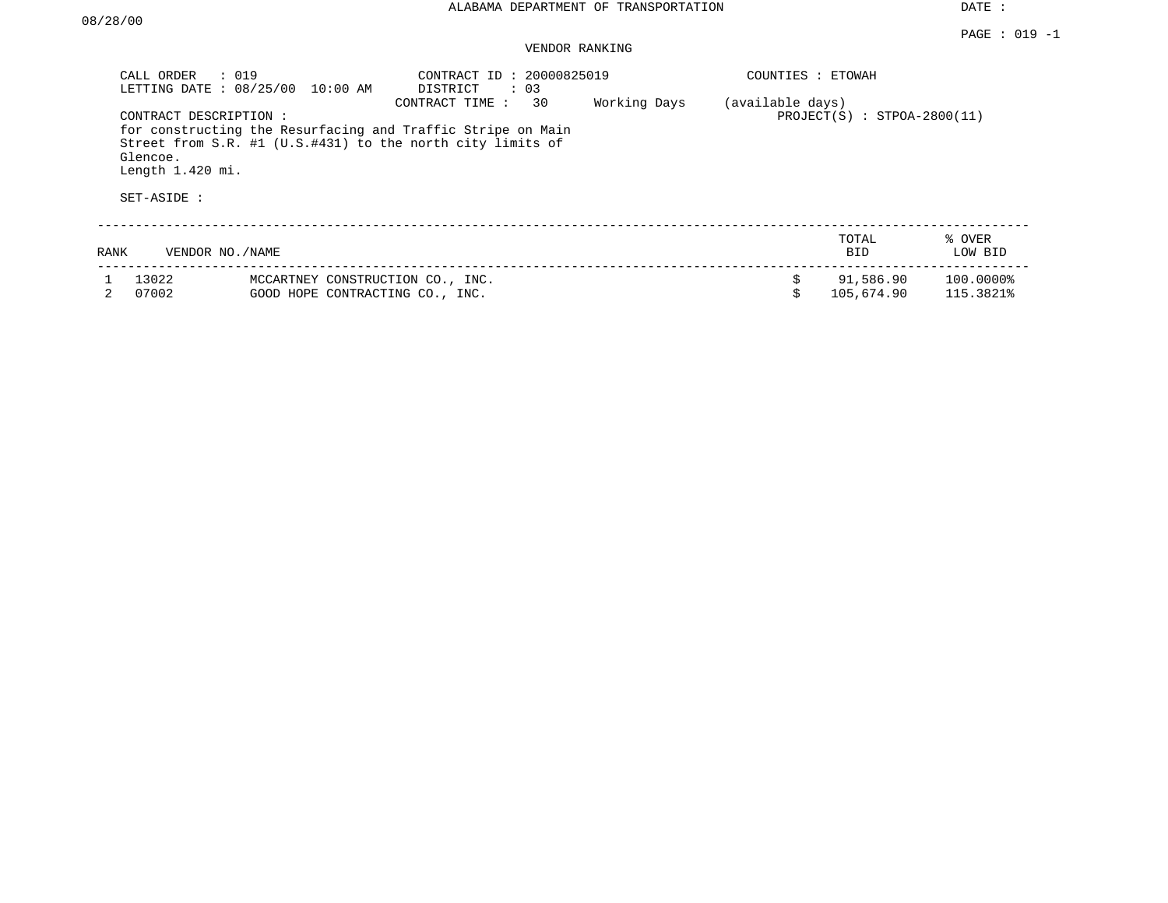VENDOR RANKING

|      | CALL ORDER<br>$\therefore$ 019<br>LETTING DATE: 08/25/00               | 10:00 AM                                                            | CONTRACT ID: 20000825019<br>$\therefore$ 03<br>DISTRICT                                                                                           |              | COUNTIES : ETOWAH |                               |                        |
|------|------------------------------------------------------------------------|---------------------------------------------------------------------|---------------------------------------------------------------------------------------------------------------------------------------------------|--------------|-------------------|-------------------------------|------------------------|
|      | CONTRACT DESCRIPTION:<br>Glencoe.<br>Length $1.420$ mi.<br>SET-ASIDE : |                                                                     | 30<br>CONTRACT TIME:<br>for constructing the Resurfacing and Traffic Stripe on Main<br>Street from S.R. #1 (U.S.#431) to the north city limits of | Working Days | (available days)  | $PROJECT(S)$ : STPOA-2800(11) |                        |
| RANK | VENDOR NO. / NAME                                                      |                                                                     |                                                                                                                                                   |              |                   | TOTAL<br><b>BID</b>           | % OVER<br>LOW BID      |
|      | 13022<br>07002                                                         | MCCARTNEY CONSTRUCTION CO., INC.<br>GOOD HOPE CONTRACTING CO., INC. |                                                                                                                                                   |              | \$                | 91,586.90<br>105,674.90       | 100.00008<br>115.3821% |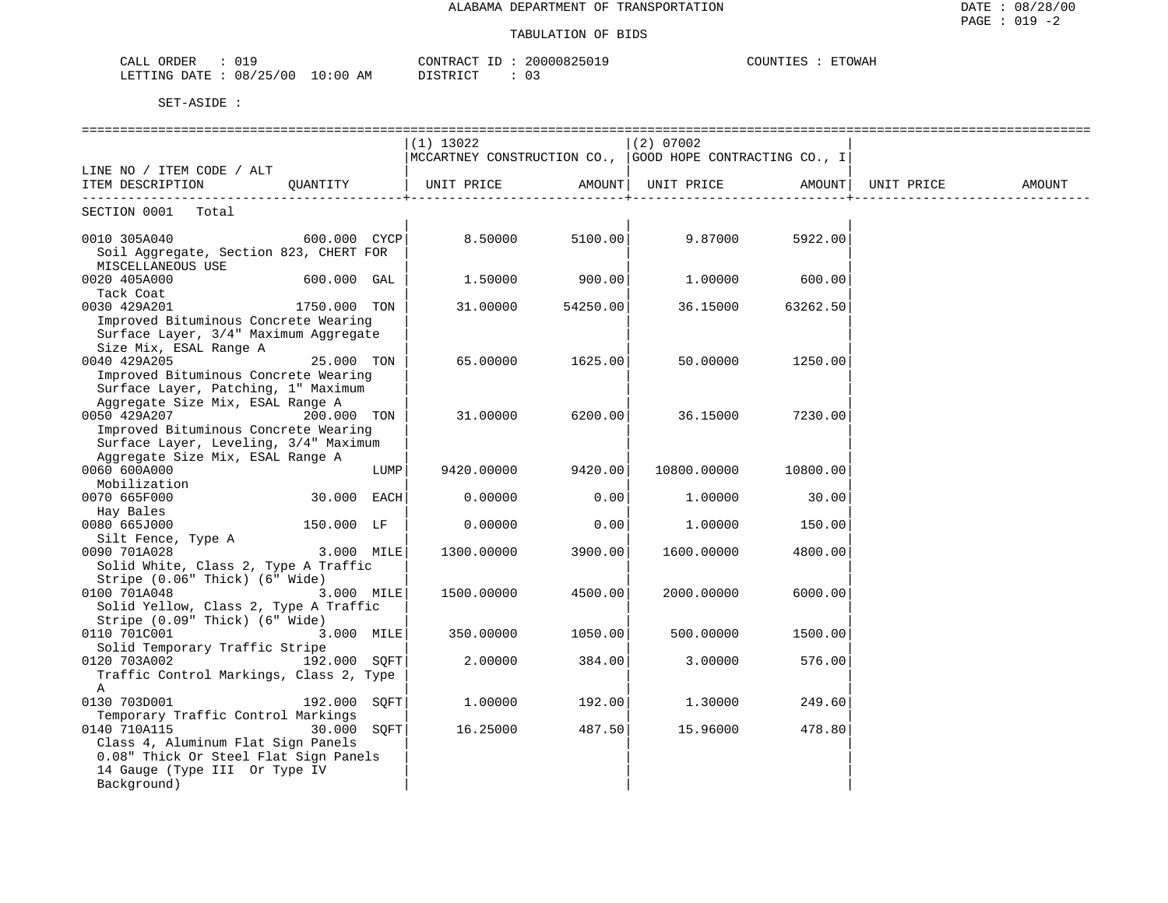| ORDER<br>CALL                        | 20000825019<br>CONTRACT ID: | COUNTIES<br><b>ETOWAH</b> |
|--------------------------------------|-----------------------------|---------------------------|
| LETTING DATE: 08/25/00<br>$10:00$ AM | DISTRICT                    |                           |

|                                                |              |      | $(1)$ 13022<br>MCCARTNEY CONSTRUCTION CO., GOOD HOPE CONTRACTING CO., I |          | $(2)$ 07002                           |          |        |
|------------------------------------------------|--------------|------|-------------------------------------------------------------------------|----------|---------------------------------------|----------|--------|
| LINE NO / ITEM CODE / ALT                      |              |      |                                                                         |          |                                       |          |        |
| ITEM DESCRIPTION QUANTITY                      |              |      | UNIT PRICE                                                              |          | AMOUNT  UNIT PRICE AMOUNT  UNIT PRICE |          | AMOUNT |
| SECTION 0001 Total                             |              |      |                                                                         |          |                                       |          |        |
| $600.000$ $CYCP$<br>0010 305A040               |              |      | 8.50000 5100.00                                                         |          | 9.87000                               | 5922.00  |        |
| Soil Aggregate, Section 823, CHERT FOR         |              |      |                                                                         |          |                                       |          |        |
| MISCELLANEOUS USE                              |              |      |                                                                         |          |                                       |          |        |
| 0020 405A000                                   | 600.000 GAL  |      | 1.50000                                                                 | 900.00   | 1.00000                               | 600.00   |        |
| Tack Coat                                      |              |      |                                                                         |          |                                       |          |        |
| 0030 429A201                                   | 1750.000 TON |      | 31.00000                                                                | 54250.00 | 36.15000                              | 63262.50 |        |
| Improved Bituminous Concrete Wearing           |              |      |                                                                         |          |                                       |          |        |
| Surface Layer, 3/4" Maximum Aggregate          |              |      |                                                                         |          |                                       |          |        |
| Size Mix, ESAL Range A                         |              |      |                                                                         |          |                                       |          |        |
| 0040 429A205                                   | 25.000 TON   |      | 65.00000                                                                | 1625.00  | 50.00000                              | 1250.00  |        |
| Improved Bituminous Concrete Wearing           |              |      |                                                                         |          |                                       |          |        |
| Surface Layer, Patching, 1" Maximum            |              |      |                                                                         |          |                                       |          |        |
| Aggregate Size Mix, ESAL Range A               |              |      |                                                                         |          |                                       |          |        |
| 0050 429A207                                   | 200.000 TON  |      | 31.00000                                                                | 6200.00  | 36.15000                              | 7230.00  |        |
| Improved Bituminous Concrete Wearing           |              |      |                                                                         |          |                                       |          |        |
| Surface Layer, Leveling, 3/4" Maximum          |              |      |                                                                         |          |                                       |          |        |
| Aggregate Size Mix, ESAL Range A               |              |      |                                                                         |          |                                       |          |        |
| 0060 600A000                                   |              | LUMP | 9420.00000                                                              | 9420.00  | 10800.00000                           | 10800.00 |        |
| Mobilization                                   |              |      |                                                                         |          |                                       |          |        |
| 0070 665F000                                   | 30.000 EACH  |      | 0.00000                                                                 | 0.00     | 1.00000                               | 30.00    |        |
| Hay Bales                                      |              |      |                                                                         |          |                                       |          |        |
| 0080 665J000                                   | 150.000 LF   |      | 0.00000                                                                 | 0.00     | 1,00000                               | 150.00   |        |
| Silt Fence, Type A                             |              |      |                                                                         |          |                                       |          |        |
| 0090 701A028                                   | 3.000 MILE   |      | 1300.00000                                                              | 3900.00  | 1600.00000                            | 4800.00  |        |
| Solid White, Class 2, Type A Traffic           |              |      |                                                                         |          |                                       |          |        |
| Stripe (0.06" Thick) (6" Wide)                 |              |      |                                                                         |          |                                       |          |        |
| 0100 701A048                                   | 3.000 MILE   |      | 1500.00000                                                              | 4500.00  | 2000.00000                            | 6000.00  |        |
| Solid Yellow, Class 2, Type A Traffic          |              |      |                                                                         |          |                                       |          |        |
| Stripe (0.09" Thick) (6" Wide)<br>0110 701C001 | 3.000 MILE   |      | 350.00000                                                               | 1050.00  | 500,00000                             |          |        |
| Solid Temporary Traffic Stripe                 |              |      |                                                                         |          |                                       | 1500.00  |        |
| 192.000 SOFT<br>0120 703A002                   |              |      | 2.00000                                                                 | 384.00   | 3.00000                               | 576.00   |        |
| Traffic Control Markings, Class 2, Type        |              |      |                                                                         |          |                                       |          |        |
| $\mathbb A$                                    |              |      |                                                                         |          |                                       |          |        |
| 0130 703D001                                   | 192.000 SOFT |      | 1.00000                                                                 | 192.00   | 1,30000                               | 249.60   |        |
| Temporary Traffic Control Markings             |              |      |                                                                         |          |                                       |          |        |
| 0140 710A115                                   | 30.000 SOFT  |      | 16.25000                                                                | 487.50   | 15.96000                              | 478.80   |        |
| Class 4, Aluminum Flat Sign Panels             |              |      |                                                                         |          |                                       |          |        |
| 0.08" Thick Or Steel Flat Sign Panels          |              |      |                                                                         |          |                                       |          |        |
| 14 Gauge (Type III Or Type IV                  |              |      |                                                                         |          |                                       |          |        |
| Background)                                    |              |      |                                                                         |          |                                       |          |        |
|                                                |              |      |                                                                         |          |                                       |          |        |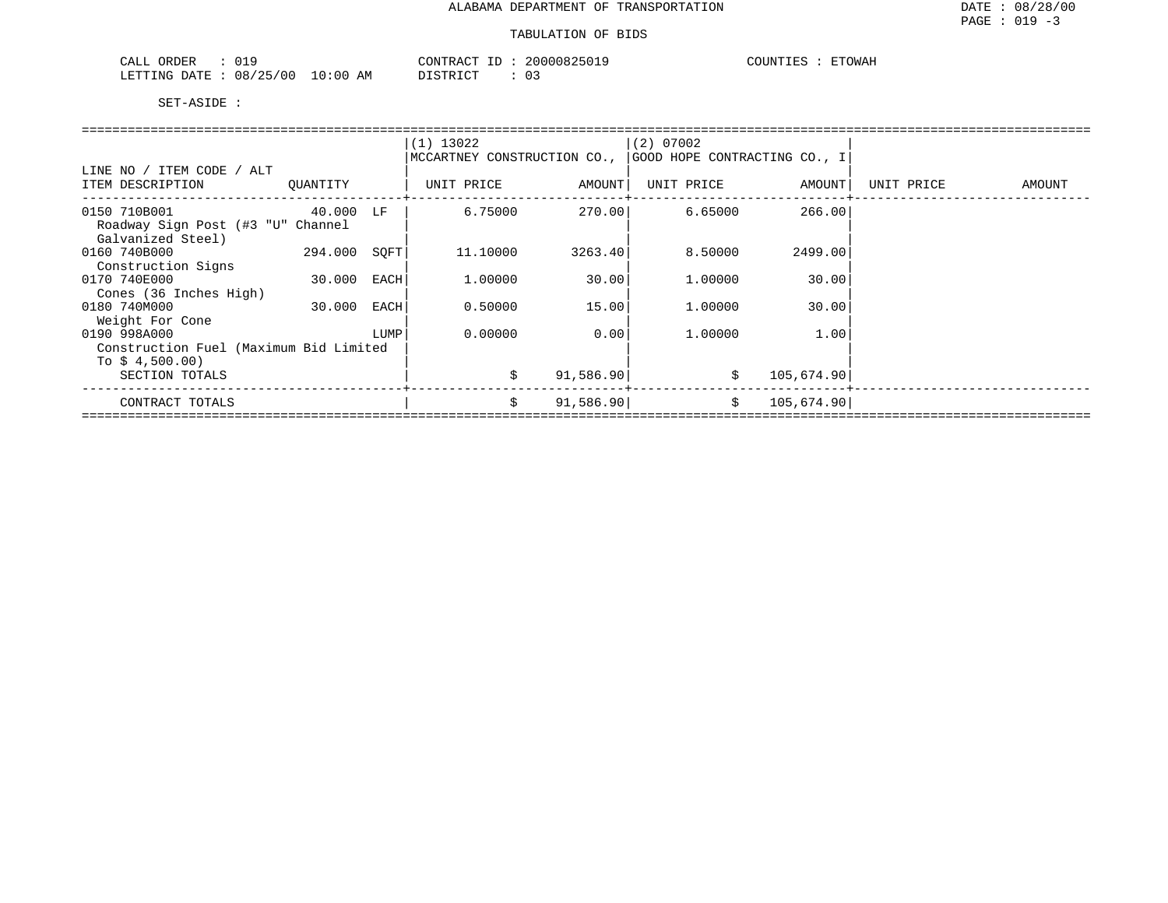| ORDER<br>CALL |          |          | CONTRACT ID     | 20000825019 | COUNTIES<br>- تط⊥. | <b>ETOWAH</b> |
|---------------|----------|----------|-----------------|-------------|--------------------|---------------|
| LETTING DATE  | 08/25/00 | 10:00 AM | יחי הדפידים דרי | 03          |                    |               |

|                                        |           |      | $(1)$ 13022                 |           | $(2)$ 07002                  |            |            |        |
|----------------------------------------|-----------|------|-----------------------------|-----------|------------------------------|------------|------------|--------|
|                                        |           |      | MCCARTNEY CONSTRUCTION CO., |           | GOOD HOPE CONTRACTING CO., I |            |            |        |
| LINE NO / ITEM CODE / ALT              |           |      |                             |           |                              |            |            |        |
| ITEM DESCRIPTION                       | OUANTITY  |      | UNIT PRICE                  | AMOUNT    | UNIT PRICE                   | AMOUNT     | UNIT PRICE | AMOUNT |
|                                        |           |      |                             |           |                              |            |            |        |
| 0150 710B001                           | 40.000 LF |      | 6.75000                     | 270.001   | 6.65000                      | 266.00     |            |        |
| Roadway Sign Post (#3 "U" Channel      |           |      |                             |           |                              |            |            |        |
| Galvanized Steel)                      |           |      |                             |           |                              |            |            |        |
| 0160 740B000                           | 294.000   | SOFT | 11,10000                    | 3263.40   | 8.50000                      | 2499.00    |            |        |
| Construction Signs                     |           |      |                             |           |                              |            |            |        |
| 0170 740E000                           | 30.000    | EACH | 1,00000                     | 30.00     | 1,00000                      | 30.00      |            |        |
| Cones (36 Inches High)                 |           |      |                             |           |                              |            |            |        |
| 0180 740M000                           | 30.000    | EACH | 0.50000                     | 15.00     | 1,00000                      | 30.00      |            |        |
| Weight For Cone                        |           |      |                             |           |                              |            |            |        |
| 0190 998A000                           |           | LUMP | 0.00000                     | 0.00      | 1,00000                      | 1.00       |            |        |
| Construction Fuel (Maximum Bid Limited |           |      |                             |           |                              |            |            |        |
| To $$4,500.00)$                        |           |      |                             |           |                              |            |            |        |
| SECTION TOTALS                         |           |      | \$                          | 91,586.90 | \$                           | 105,674.90 |            |        |
|                                        |           |      |                             |           |                              |            |            |        |
| CONTRACT TOTALS                        |           |      | \$                          | 91,586.90 | \$                           | 105,674.90 |            |        |
|                                        |           |      |                             |           |                              |            |            |        |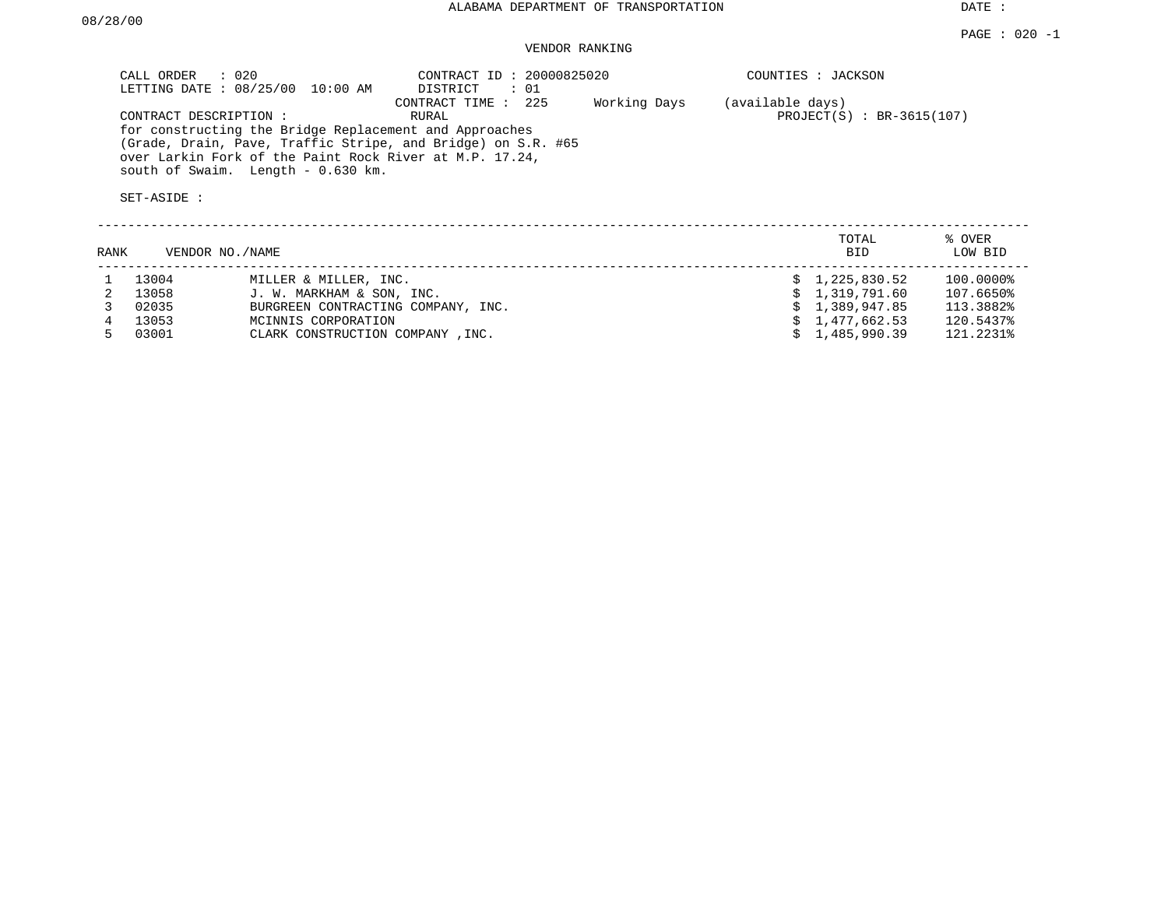## VENDOR RANKING

| CALL ORDER : 020<br>LETTING DATE : 08/25/00 10:00 AM                                                                                                                                                                    | CONTRACT ID: 20000825020<br>$\colon$ 01<br>DISTRICT | COUNTIES : JACKSON          |
|-------------------------------------------------------------------------------------------------------------------------------------------------------------------------------------------------------------------------|-----------------------------------------------------|-----------------------------|
|                                                                                                                                                                                                                         | Working Days<br>CONTRACT TIME : 225                 | (available days)            |
| CONTRACT DESCRIPTION:                                                                                                                                                                                                   | RURAL                                               | $PROJECT(S) : BR-3615(107)$ |
| for constructing the Bridge Replacement and Approaches<br>(Grade, Drain, Pave, Traffic Stripe, and Bridge) on S.R. #65<br>over Larkin Fork of the Paint Rock River at M.P. 17.24,<br>south of Swaim. Length - 0.630 km. |                                                     |                             |
| SET-ASIDE :                                                                                                                                                                                                             |                                                     |                             |

| RANK | VENDOR NO./NAME |                                    | TOTAL<br><b>BID</b> | % OVER<br>LOW BID |
|------|-----------------|------------------------------------|---------------------|-------------------|
|      | 13004           | MILLER & MILLER, INC.              | \$1,225,830.52      | 100.0000%         |
|      | 13058           | J. W. MARKHAM & SON, INC.          | \$1,319,791.60      | 107.6650%         |
|      | 02035           | BURGREEN CONTRACTING COMPANY, INC. | \$1,389,947.85      | 113.3882%         |
|      | 13053           | MCINNIS CORPORATION                | \$1.477.662.53      | 120.5437%         |
|      | 03001           | CLARK CONSTRUCTION COMPANY, INC.   | 1,485,990.39        | 121.2231%         |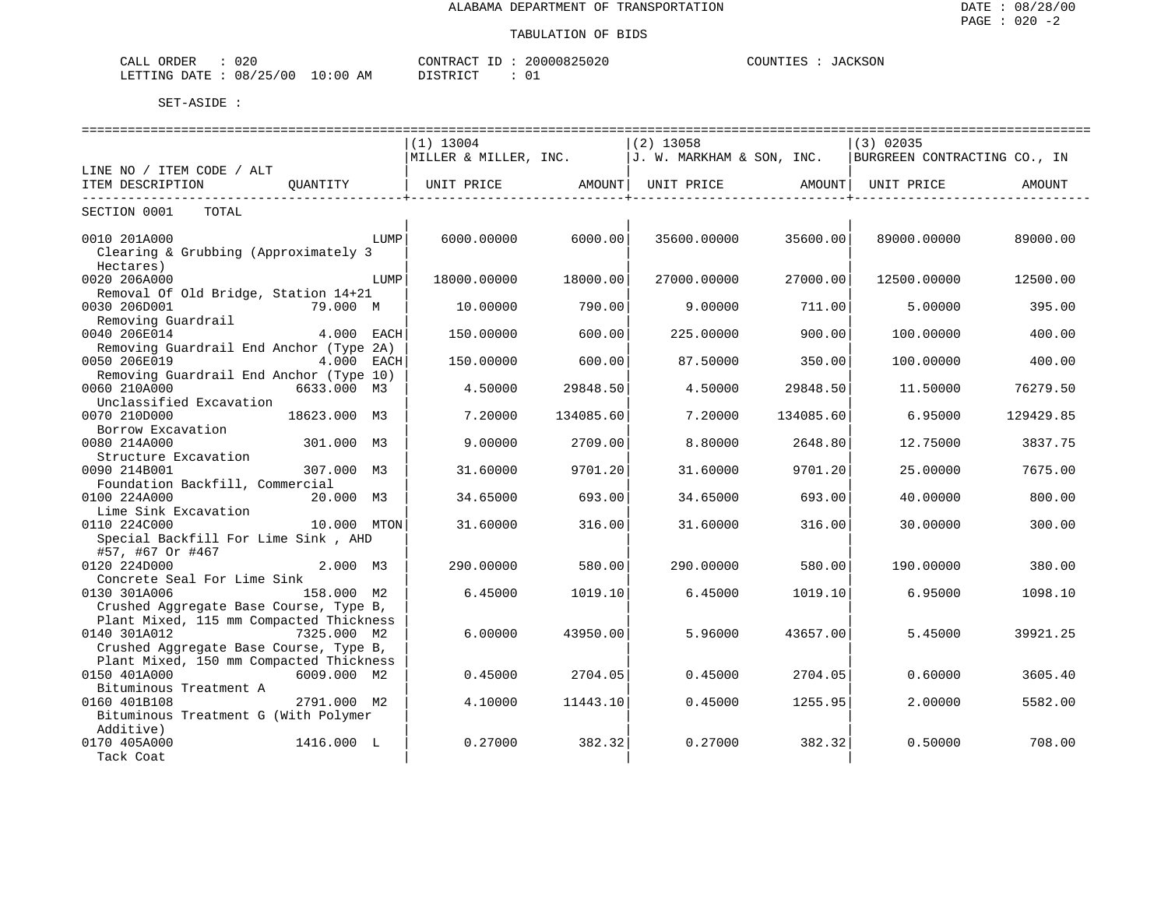| م د د،<br>ORDER<br>اللباطي<br>∪∠∪                                                                                                                     |               | CONTR ACT                                           | 000082502 | \CKSON<br>COUNTIES<br>$\Delta$ |
|-------------------------------------------------------------------------------------------------------------------------------------------------------|---------------|-----------------------------------------------------|-----------|--------------------------------|
| LETTING<br>08<br><b>DATE</b><br>0C<br>the contract of the contract of the contract of the contract of the contract of the contract of the contract of | AΜ<br>ገ : በ(, | $T \cap T$<br><b>CITID</b><br>$\tilde{\phantom{a}}$ | ັັ        |                                |

|                                                                   |              |      | =============================<br>$(1)$ 13004 |           | ===========================<br>$(2)$ 13058 |           | =========================<br>$(3)$ 02035 |           |
|-------------------------------------------------------------------|--------------|------|----------------------------------------------|-----------|--------------------------------------------|-----------|------------------------------------------|-----------|
|                                                                   |              |      | MILLER & MILLER, INC.                        |           | J. W. MARKHAM & SON, INC.                  |           | BURGREEN CONTRACTING CO., IN             |           |
| LINE NO / ITEM CODE / ALT                                         |              |      |                                              |           |                                            |           |                                          |           |
| ITEM DESCRIPTION                                                  | OUANTITY     |      | UNIT PRICE                                   | AMOUNT    | UNIT PRICE                                 | AMOUNT    | UNIT PRICE                               | AMOUNT    |
| SECTION 0001<br>TOTAL                                             |              |      |                                              |           |                                            |           |                                          |           |
|                                                                   |              |      |                                              |           |                                            |           |                                          |           |
| 0010 201A000<br>Clearing & Grubbing (Approximately 3<br>Hectares) |              | LUMP | 6000.00000                                   | 6000.00   | 35600.00000                                | 35600.00  | 89000.00000                              | 89000.00  |
| 0020 206A000                                                      |              | LUMP | 18000.00000                                  | 18000.00  | 27000.00000                                | 27000.00  | 12500.00000                              | 12500.00  |
| Removal Of Old Bridge, Station 14+21<br>0030 206D001              | 79.000 M     |      | 10.00000                                     | 790.00    | 9.00000                                    | 711.00    | 5.00000                                  | 395.00    |
| Removing Guardrail                                                |              |      |                                              |           |                                            |           |                                          |           |
| 0040 206E014                                                      | 4.000 EACH   |      | 150.00000                                    | 600.00    | 225.00000                                  | 900.00    | 100.00000                                | 400.00    |
| Removing Guardrail End Anchor (Type 2A)<br>0050 206E019           | 4.000 EACH   |      | 150.00000                                    | 600.00    | 87.50000                                   | 350.00    | 100.00000                                | 400.00    |
| Removing Guardrail End Anchor (Type 10)                           |              |      |                                              |           |                                            |           |                                          |           |
| 0060 210A000                                                      | 6633.000 M3  |      | 4.50000                                      | 29848.50  | 4.50000                                    | 29848.50  | 11.50000                                 | 76279.50  |
| Unclassified Excavation<br>0070 210D000                           | 18623.000 M3 |      | 7.20000                                      | 134085.60 | 7.20000                                    | 134085.60 | 6.95000                                  | 129429.85 |
| Borrow Excavation                                                 |              |      |                                              |           |                                            |           |                                          |           |
| 0080 214A000<br>Structure Excavation                              | 301.000 M3   |      | 9,00000                                      | 2709.00   | 8.80000                                    | 2648.80   | 12.75000                                 | 3837.75   |
| 0090 214B001                                                      | 307.000 M3   |      | 31.60000                                     | 9701.20   | 31.60000                                   | 9701.20   | 25.00000                                 | 7675.00   |
| Foundation Backfill, Commercial                                   |              |      |                                              |           |                                            |           |                                          |           |
| 0100 224A000                                                      | 20.000 M3    |      | 34.65000                                     | 693.00    | 34.65000                                   | 693.00    | 40.00000                                 | 800.00    |
| Lime Sink Excavation<br>0110 224C000                              | 10.000 MTON  |      | 31.60000                                     | 316.00    | 31.60000                                   | 316.00    | 30.00000                                 | 300.00    |
| Special Backfill For Lime Sink, AHD                               |              |      |                                              |           |                                            |           |                                          |           |
| #57, #67 Or #467                                                  |              |      |                                              |           |                                            |           |                                          |           |
| 0120 224D000                                                      | 2.000 M3     |      | 290.00000                                    | 580.00    | 290.00000                                  | 580.00    | 190.00000                                | 380.00    |
| Concrete Seal For Lime Sink                                       |              |      |                                              |           |                                            |           |                                          |           |
| 0130 301A006                                                      | 158.000 M2   |      | 6.45000                                      | 1019.10   | 6.45000                                    | 1019.10   | 6.95000                                  | 1098.10   |
| Crushed Aggregate Base Course, Type B,                            |              |      |                                              |           |                                            |           |                                          |           |
| Plant Mixed, 115 mm Compacted Thickness                           |              |      |                                              |           |                                            |           |                                          |           |
| 0140 301A012                                                      | 7325.000 M2  |      | 6,00000                                      | 43950.00  | 5.96000                                    | 43657.00  | 5.45000                                  | 39921.25  |
| Crushed Aggregate Base Course, Type B,                            |              |      |                                              |           |                                            |           |                                          |           |
| Plant Mixed, 150 mm Compacted Thickness                           |              |      |                                              |           |                                            |           |                                          |           |
| 0150 401A000                                                      | 6009.000 M2  |      | 0.45000                                      | 2704.05   | 0.45000                                    | 2704.05   | 0.60000                                  | 3605.40   |
| Bituminous Treatment A                                            |              |      |                                              |           |                                            |           |                                          |           |
| 0160 401B108<br>Bituminous Treatment G (With Polymer              | 2791.000 M2  |      | 4.10000                                      | 11443.10  | 0.45000                                    | 1255.95   | 2.00000                                  | 5582.00   |
| Additive)                                                         |              |      |                                              |           |                                            |           |                                          |           |
| 0170 405A000                                                      | 1416.000 L   |      | 0.27000                                      | 382.32    | 0.27000                                    | 382.32    | 0.50000                                  | 708.00    |
| Tack Coat                                                         |              |      |                                              |           |                                            |           |                                          |           |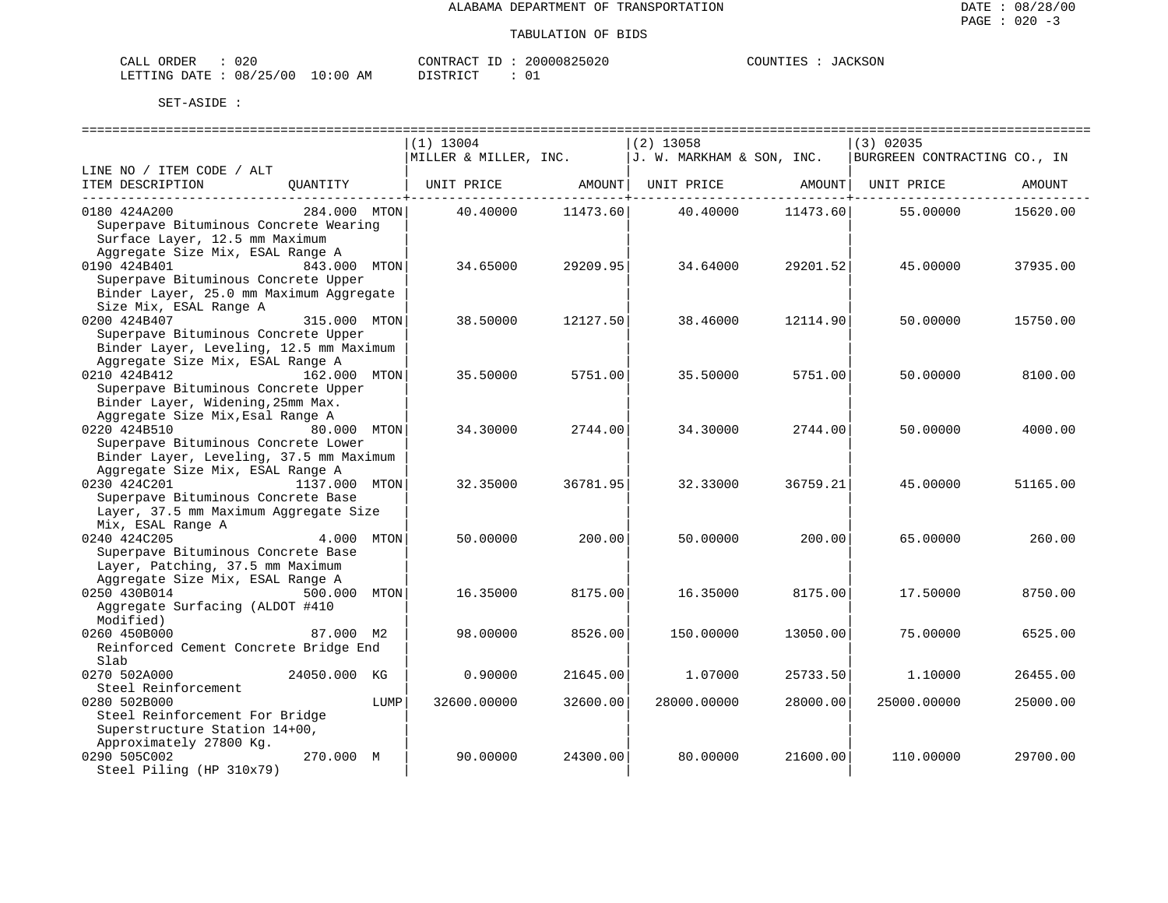| CALL ORDER                      | 020 |          |  | CONTRACT ID: 20000825020 | COUNTIES : JACKSON |  |
|---------------------------------|-----|----------|--|--------------------------|--------------------|--|
| LETTING DATE: 08/25/00 10:00 AM |     | DISTRICT |  |                          |                    |  |

|                                                                                                                                                              |               |      | $(1)$ 13004<br>MILLER & MILLER, INC. |          | $(2)$ 13058<br>J. W. MARKHAM & SON, INC. |          | (3) 02035<br>BURGREEN CONTRACTING CO., IN |          |
|--------------------------------------------------------------------------------------------------------------------------------------------------------------|---------------|------|--------------------------------------|----------|------------------------------------------|----------|-------------------------------------------|----------|
| LINE NO / ITEM CODE / ALT                                                                                                                                    |               |      |                                      |          |                                          |          |                                           |          |
| ITEM DESCRIPTION                                                                                                                                             | OUANTITY      |      | UNIT PRICE AMOUNT                    |          | UNIT PRICE                               | AMOUNT   | UNIT PRICE                                | AMOUNT   |
| 0180 424A200<br>Superpave Bituminous Concrete Wearing<br>Surface Layer, 12.5 mm Maximum                                                                      | 284.000 MTON  |      | 40.40000                             | 11473.60 | 40.40000                                 | 11473.60 | 55.00000                                  | 15620.00 |
| Aggregate Size Mix, ESAL Range A<br>0190 424B401<br>Superpave Bituminous Concrete Upper<br>Binder Layer, 25.0 mm Maximum Aggregate<br>Size Mix, ESAL Range A | 843.000 MTON  |      | 34.65000                             | 29209.95 | 34.64000                                 | 29201.52 | 45.00000                                  | 37935.00 |
| 0200 424B407<br>Superpave Bituminous Concrete Upper<br>Binder Layer, Leveling, 12.5 mm Maximum                                                               | 315.000 MTON  |      | 38.50000                             | 12127.50 | 38.46000                                 | 12114.90 | 50.00000                                  | 15750.00 |
| Aggregate Size Mix, ESAL Range A<br>0210 424B412<br>Superpave Bituminous Concrete Upper<br>Binder Layer, Widening, 25mm Max.                                 | 162.000 MTON  |      | 35.50000                             | 5751.00  | 35.50000                                 | 5751.00  | 50.00000                                  | 8100.00  |
| Aggregate Size Mix, Esal Range A<br>0220 424B510<br>Superpave Bituminous Concrete Lower<br>Binder Layer, Leveling, 37.5 mm Maximum                           | 80.000 MTON   |      | 34.30000                             | 2744.00  | 34.30000                                 | 2744.00  | 50.00000                                  | 4000.00  |
| Aggregate Size Mix, ESAL Range A<br>0230 424C201<br>Superpave Bituminous Concrete Base<br>Layer, 37.5 mm Maximum Aggregate Size                              | 1137.000 MTON |      | 32.35000                             | 36781.95 | 32.33000                                 | 36759.21 | 45.00000                                  | 51165.00 |
| Mix, ESAL Range A<br>0240 424C205<br>Superpave Bituminous Concrete Base<br>Layer, Patching, 37.5 mm Maximum                                                  | 4.000         | MTON | 50.00000                             | 200.00   | 50.00000                                 | 200.00   | 65,00000                                  | 260.00   |
| Aggregate Size Mix, ESAL Range A<br>0250 430B014<br>Aggregate Surfacing (ALDOT #410<br>Modified)                                                             | 500.000 MTON  |      | 16.35000                             | 8175.00  | 16.35000                                 | 8175.00  | 17.50000                                  | 8750.00  |
| 0260 450B000<br>Reinforced Cement Concrete Bridge End<br>Slab                                                                                                | 87.000 M2     |      | 98.00000                             | 8526.00  | 150.00000                                | 13050.00 | 75.00000                                  | 6525.00  |
| 0270 502A000<br>Steel Reinforcement                                                                                                                          | 24050.000 KG  |      | 0.90000                              | 21645.00 | 1.07000                                  | 25733.50 | 1.10000                                   | 26455.00 |
| 0280 502B000<br>Steel Reinforcement For Bridge<br>Superstructure Station 14+00,                                                                              |               | LUMP | 32600.00000                          | 32600.00 | 28000.00000                              | 28000.00 | 25000.00000                               | 25000.00 |
| Approximately 27800 Kq.<br>0290 505C002<br>Steel Piling (HP 310x79)                                                                                          | 270.000 M     |      | 90.00000                             | 24300.00 | 80.00000                                 | 21600.00 | 110.00000                                 | 29700.00 |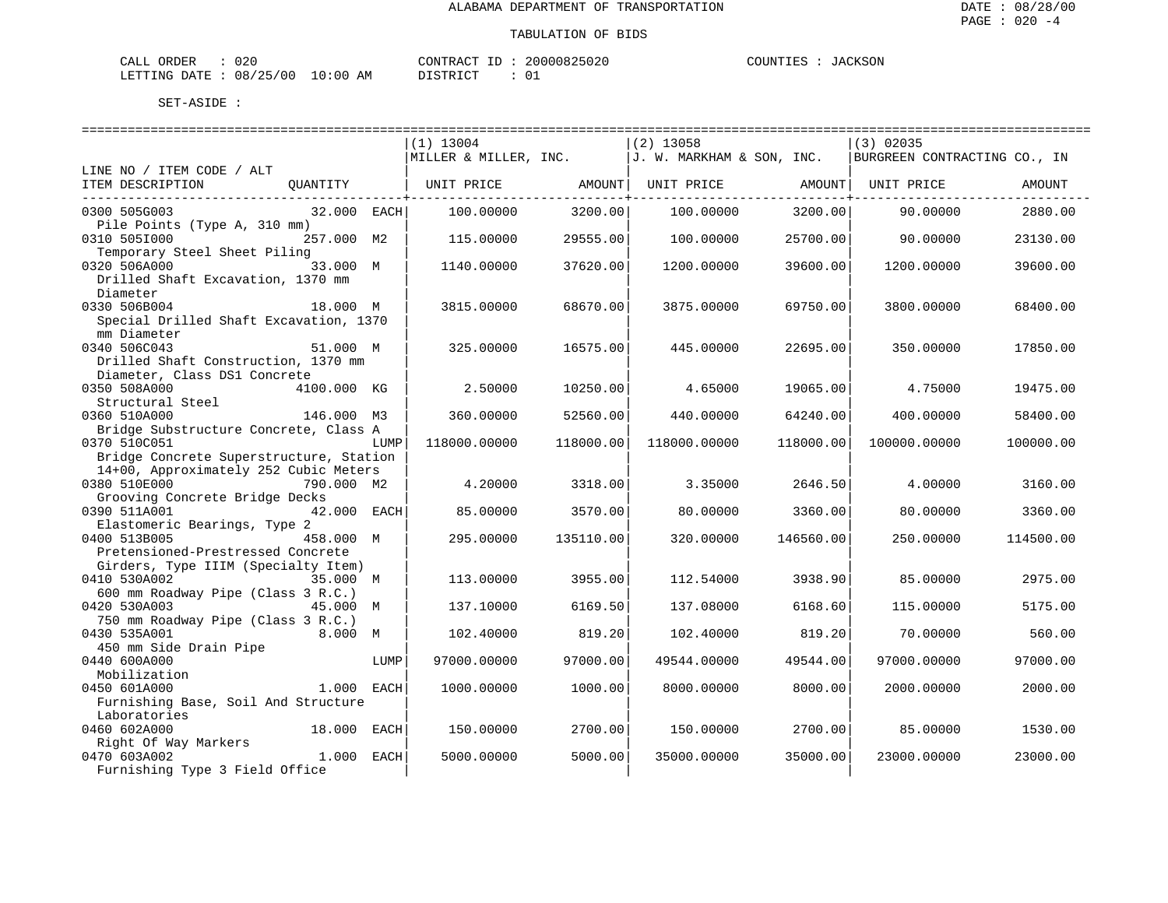| ORDER<br>CALI          | 020 |               | CONTRACT  | TD. | 20000825020   | COUNTIES | JACKSON |
|------------------------|-----|---------------|-----------|-----|---------------|----------|---------|
| LETTING DATE: 08/25/00 |     | LO : 00<br>AM | T STR TOT |     | $\sim$ $\sim$ |          |         |

|                                         |             |      | $(1)$ 13004                                                     |               | $(2)$ 13058  |           | $(3)$ 02035                  |           |
|-----------------------------------------|-------------|------|-----------------------------------------------------------------|---------------|--------------|-----------|------------------------------|-----------|
|                                         |             |      | $\vert$ MILLER & MILLER, INC. $\vert$ J. W. MARKHAM & SON, INC. |               |              |           | BURGREEN CONTRACTING CO., IN |           |
| LINE NO / ITEM CODE / ALT               |             |      |                                                                 |               |              |           |                              |           |
| ITEM DESCRIPTION                        | QUANTITY    |      | UNIT PRICE       AMOUNT  UNIT PRICE       AMOUNT  UNIT PRICE    |               |              |           |                              | AMOUNT    |
| ______________________________________  |             |      |                                                                 | -----------+- |              |           |                              |           |
| 0300 505G003                            | 32.000 EACH |      | 100.00000                                                       | 3200.00       | 100.00000    | 3200.00   | 90.00000                     | 2880.00   |
| Pile Points (Type A, 310 mm)            |             |      |                                                                 |               |              |           |                              |           |
| 0310 5051000                            | 257.000 M2  |      | 115.00000                                                       | 29555.00      | 100.00000    | 25700.00  | 90.00000                     | 23130.00  |
| Temporary Steel Sheet Piling            |             |      |                                                                 |               |              |           |                              |           |
| 0320 506A000                            | 33.000 M    |      | 1140.00000                                                      | 37620.00      | 1200.00000   | 39600.00  | 1200.00000                   | 39600.00  |
| Drilled Shaft Excavation, 1370 mm       |             |      |                                                                 |               |              |           |                              |           |
| Diameter                                |             |      |                                                                 |               |              |           |                              |           |
| 0330 506B004                            | 18.000 M    |      | 3815.00000                                                      | 68670.00      | 3875.00000   | 69750.00  | 3800.00000                   | 68400.00  |
| Special Drilled Shaft Excavation, 1370  |             |      |                                                                 |               |              |           |                              |           |
| mm Diameter                             |             |      |                                                                 |               |              |           |                              |           |
| 0340 506C043                            | 51.000 M    |      | 325.00000                                                       | 16575.00      | 445.00000    | 22695.00  | 350.00000                    | 17850.00  |
| Drilled Shaft Construction, 1370 mm     |             |      |                                                                 |               |              |           |                              |           |
| Diameter, Class DS1 Concrete            |             |      |                                                                 |               |              |           |                              |           |
| 0350 508A000                            | 4100.000 KG |      | 2.50000                                                         | 10250.00      | 4.65000      | 19065.00  | 4.75000                      | 19475.00  |
| Structural Steel                        |             |      |                                                                 |               |              |           |                              |           |
| 0360 510A000                            | 146.000 M3  |      | 360.00000                                                       | 52560.00      | 440.00000    | 64240.00  | 400.00000                    | 58400.00  |
| Bridge Substructure Concrete, Class A   |             |      |                                                                 |               |              |           |                              |           |
| 0370 510C051                            |             | LUMP | 118000.00000                                                    | 118000.00     | 118000.00000 | 118000.00 | 100000.00000                 | 100000.00 |
| Bridge Concrete Superstructure, Station |             |      |                                                                 |               |              |           |                              |           |
| 14+00, Approximately 252 Cubic Meters   |             |      |                                                                 |               |              |           |                              |           |
| 0380 510E000                            | 790.000 M2  |      | 4.20000                                                         | 3318.00       | 3.35000      | 2646.50   | 4.00000                      | 3160.00   |
| Grooving Concrete Bridge Decks          |             |      |                                                                 |               |              |           |                              |           |
| 0390 511A001                            | 42.000 EACH |      | 85.00000                                                        | 3570.00       | 80.00000     | 3360.00   | 80,00000                     | 3360.00   |
| Elastomeric Bearings, Type 2            |             |      |                                                                 |               |              |           |                              |           |
| 0400 513B005                            | 458.000 M   |      | 295.00000                                                       | 135110.00     | 320.00000    | 146560.00 | 250.00000                    | 114500.00 |
| Pretensioned-Prestressed Concrete       |             |      |                                                                 |               |              |           |                              |           |
| Girders, Type IIIM (Specialty Item)     |             |      |                                                                 |               |              |           |                              |           |
| 0410 530A002<br>35.000 M                |             |      | 113.00000                                                       | 3955.00       | 112.54000    | 3938.90   | 85.00000                     | 2975.00   |
| 600 mm Roadway Pipe (Class 3 R.C.)      |             |      |                                                                 |               |              |           |                              |           |
| 0420 530A003                            | 45.000 M    |      | 137.10000                                                       | 6169.50       | 137.08000    | 6168.60   | 115.00000                    | 5175.00   |
| 750 mm Roadway Pipe (Class 3 R.C.)      |             |      |                                                                 |               |              |           |                              |           |
| 0430 535A001                            | 8.000 M     |      | 102.40000                                                       | 819.20        | 102.40000    | 819.20    | 70.00000                     | 560.00    |
| 450 mm Side Drain Pipe                  |             |      |                                                                 |               |              |           |                              |           |
| 0440 600A000                            |             | LUMP | 97000.00000                                                     | 97000.00      | 49544.00000  | 49544.00  | 97000.00000                  | 97000.00  |
| Mobilization                            |             |      |                                                                 |               |              |           |                              |           |
| 0450 601A000                            | 1.000 EACH  |      | 1000.00000                                                      | 1000.00       | 8000.00000   | 8000.00   | 2000.00000                   | 2000.00   |
| Furnishing Base, Soil And Structure     |             |      |                                                                 |               |              |           |                              |           |
| Laboratories                            |             |      |                                                                 |               |              |           |                              |           |
| 0460 602A000                            | 18.000 EACH |      | 150.00000                                                       | 2700.00       | 150.00000    | 2700.00   | 85.00000                     | 1530.00   |
| Right Of Way Markers                    |             |      |                                                                 |               |              |           |                              |           |
| 0470 603A002                            | 1.000 EACH  |      | 5000.00000                                                      | 5000.00       | 35000.00000  | 35000.00  | 23000.00000                  | 23000.00  |
| Furnishing Type 3 Field Office          |             |      |                                                                 |               |              |           |                              |           |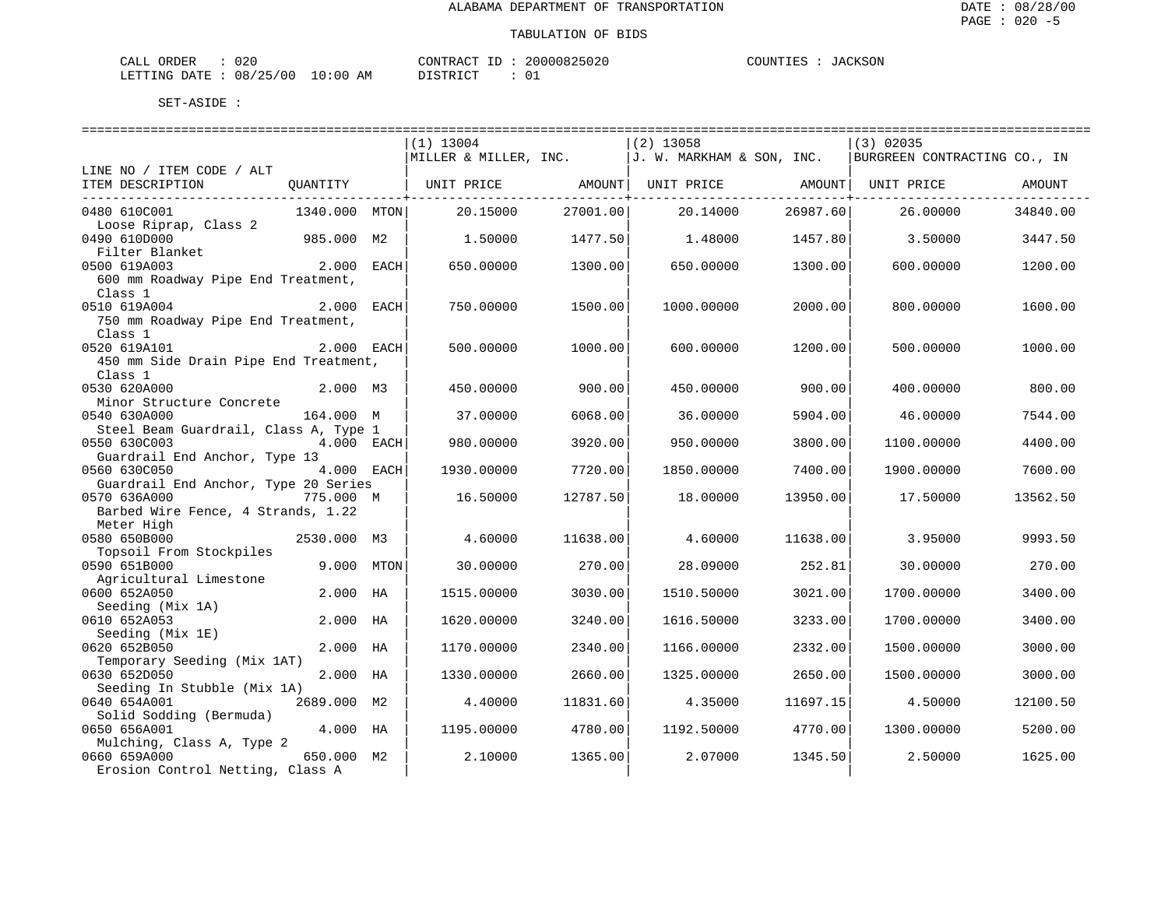| ORDER<br>CALI | 020      |               | TONTRACT   | TГ | 20000825020 | COUNTIES | CKSON<br>$\cdot$ Al |
|---------------|----------|---------------|------------|----|-------------|----------|---------------------|
| LETTING DATE  | 08/25/00 | LO : 00<br>ΑM | DI STR TOT |    |             |          |                     |

|                                       |               | $(1)$ 13004                                                     |          | $(2)$ 13058                                        |          | $(3)$ 02035                  |          |
|---------------------------------------|---------------|-----------------------------------------------------------------|----------|----------------------------------------------------|----------|------------------------------|----------|
|                                       |               | $\vert$ MILLER & MILLER, INC. $\vert$ J. W. MARKHAM & SON, INC. |          |                                                    |          | BURGREEN CONTRACTING CO., IN |          |
| LINE NO / ITEM CODE / ALT             |               |                                                                 |          |                                                    |          |                              |          |
| ITEM DESCRIPTION                      | QUANTITY      |                                                                 |          | UNIT PRICE AMOUNT   UNIT PRICE AMOUNT   UNIT PRICE |          |                              | AMOUNT   |
|                                       |               |                                                                 |          |                                                    |          |                              |          |
| 0480 610C001                          | 1340.000 MTON | 20.15000                                                        | 27001.00 | 20.14000                                           | 26987.60 | 26.00000                     | 34840.00 |
| Loose Riprap, Class 2                 |               |                                                                 |          |                                                    |          |                              |          |
| 0490 610D000                          | 985.000 M2    | 1.50000                                                         | 1477.50  | 1.48000                                            | 1457.80  | 3.50000                      | 3447.50  |
| Filter Blanket                        |               |                                                                 |          |                                                    |          |                              |          |
| 0500 619A003                          | 2.000 EACH    | 650.00000                                                       | 1300.00  | 650.00000                                          | 1300.00  | 600.00000                    | 1200.00  |
| 600 mm Roadway Pipe End Treatment,    |               |                                                                 |          |                                                    |          |                              |          |
| Class 1                               |               |                                                                 |          |                                                    |          |                              |          |
| 0510 619A004                          | 2.000 EACH    | 750.00000                                                       | 1500.00  | 1000.00000                                         | 2000.00  | 800.00000                    | 1600.00  |
| 750 mm Roadway Pipe End Treatment,    |               |                                                                 |          |                                                    |          |                              |          |
| Class 1                               |               |                                                                 |          |                                                    |          |                              |          |
| 0520 619A101                          | 2.000 EACH    | 500.00000                                                       | 1000.00  | 600.00000                                          | 1200.00  | 500.00000                    | 1000.00  |
| 450 mm Side Drain Pipe End Treatment, |               |                                                                 |          |                                                    |          |                              |          |
| Class 1                               |               |                                                                 |          |                                                    |          |                              |          |
| 0530 620A000                          | 2.000 M3      | 450.00000                                                       | 900.00   | 450.00000                                          | 900.00   | 400.00000                    | 800.00   |
| Minor Structure Concrete              |               |                                                                 |          |                                                    |          |                              |          |
| 0540 630A000                          | 164.000 M     | 37.00000                                                        | 6068.00  | 36.00000                                           | 5904.00  | 46.00000                     | 7544.00  |
| Steel Beam Guardrail, Class A, Type 1 |               |                                                                 |          |                                                    |          |                              |          |
| 0550 630C003                          | 4.000 EACH    | 980.00000                                                       | 3920.00  | 950.00000                                          | 3800.00  | 1100.00000                   | 4400.00  |
| Guardrail End Anchor, Type 13         |               |                                                                 |          |                                                    |          |                              |          |
| 0560 630C050                          | 4.000 EACH    | 1930.00000                                                      | 7720.00  | 1850.00000                                         | 7400.00  | 1900.00000                   | 7600.00  |
| Guardrail End Anchor, Type 20 Series  |               |                                                                 |          |                                                    |          |                              |          |
| 0570 636A000                          | 775.000 M     | 16.50000                                                        | 12787.50 | 18,00000                                           | 13950.00 | 17.50000                     | 13562.50 |
| Barbed Wire Fence, 4 Strands, 1.22    |               |                                                                 |          |                                                    |          |                              |          |
| Meter High                            |               |                                                                 |          |                                                    |          |                              |          |
| 0580 650B000                          | 2530.000 M3   | 4.60000                                                         | 11638.00 | 4.60000                                            | 11638.00 | 3.95000                      | 9993.50  |
| Topsoil From Stockpiles               |               |                                                                 |          |                                                    |          |                              |          |
| 0590 651B000                          | 9.000 MTON    | 30.00000                                                        | 270.00   | 28.09000                                           | 252.81   | 30.00000                     | 270.00   |
| Agricultural Limestone                |               |                                                                 |          |                                                    |          |                              |          |
| 0600 652A050                          | 2.000 HA      | 1515.00000                                                      | 3030.00  | 1510.50000                                         | 3021.00  | 1700.00000                   | 3400.00  |
| Seeding (Mix 1A)                      |               |                                                                 |          |                                                    |          |                              |          |
| 0610 652A053                          | 2.000 HA      | 1620.00000                                                      | 3240.00  | 1616.50000                                         | 3233.00  | 1700.00000                   | 3400.00  |
| Seeding (Mix 1E)                      |               |                                                                 |          |                                                    |          |                              |          |
| 0620 652B050                          | 2.000 HA      | 1170.00000                                                      | 2340.00  | 1166.00000                                         | 2332.00  | 1500.00000                   | 3000.00  |
| Temporary Seeding (Mix 1AT)           |               |                                                                 |          |                                                    |          |                              |          |
| 0630 652D050                          | 2.000 HA      | 1330.00000                                                      | 2660.00  | 1325.00000                                         | 2650.00  | 1500.00000                   | 3000.00  |
| Seeding In Stubble (Mix 1A)           |               |                                                                 |          |                                                    |          |                              |          |
| 0640 654A001                          | 2689.000 M2   | 4.40000                                                         | 11831.60 | 4.35000                                            | 11697.15 | 4.50000                      | 12100.50 |
| Solid Sodding (Bermuda)               |               |                                                                 |          |                                                    |          |                              |          |
| 0650 656A001                          | 4.000 HA      | 1195.00000                                                      | 4780.00  | 1192.50000                                         | 4770.00  | 1300.00000                   | 5200.00  |
| Mulching, Class A, Type 2             |               |                                                                 |          |                                                    |          |                              |          |
| 0660 659A000                          | 650.000 M2    | 2.10000                                                         | 1365.00  | 2.07000                                            | 1345.50  | 2.50000                      | 1625.00  |
| Erosion Control Netting, Class A      |               |                                                                 |          |                                                    |          |                              |          |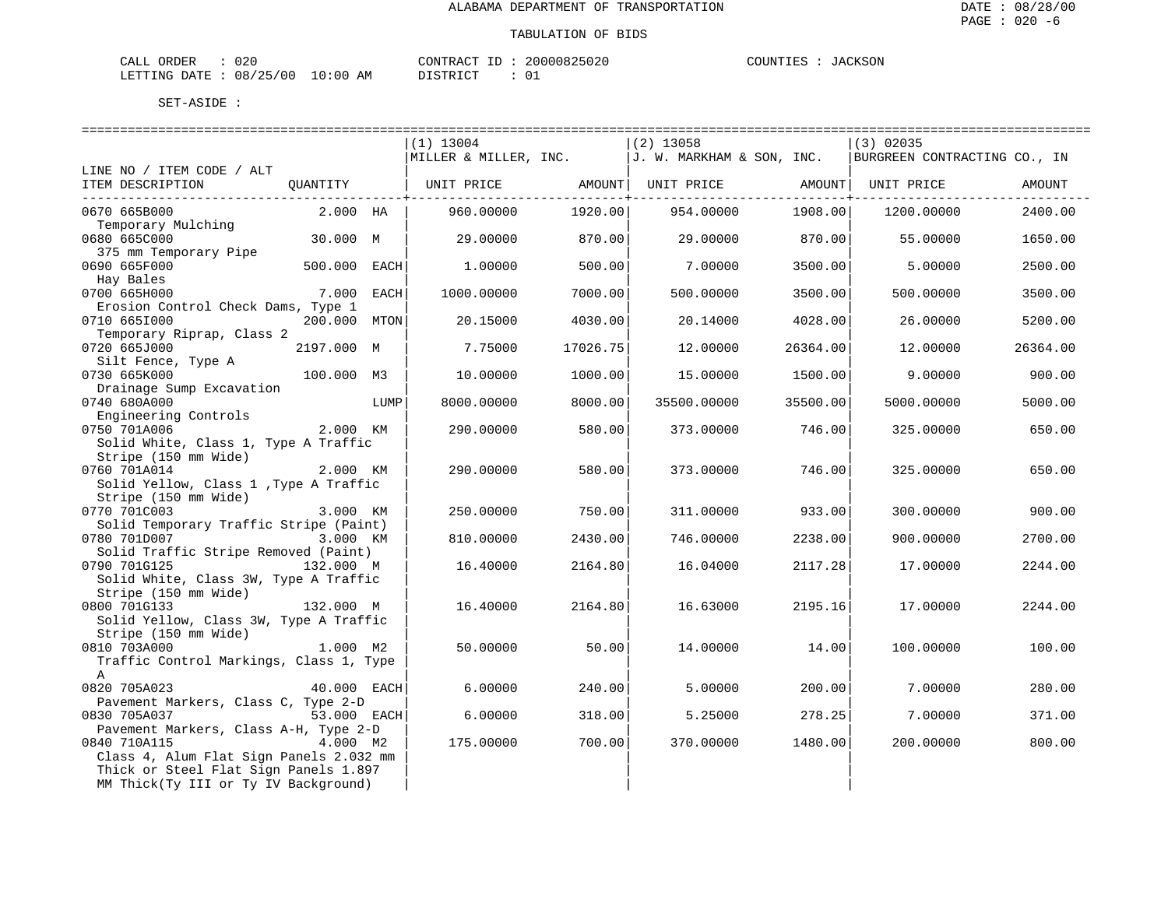#### TABULATION OF BIDS

| ORDER<br>CALI          | 020 |               | CONTRACT  | TD. | 20000825020   | COUNTIES | JACKSON |
|------------------------|-----|---------------|-----------|-----|---------------|----------|---------|
| LETTING DATE: 08/25/00 |     | LO : 00<br>AM | T STR TOT |     | $\sim$ $\sim$ |          |         |

|                                                                |                    |      | $(1)$ 13004                                                             |          | (2) 13058   |          | (3) 02035                    |          |
|----------------------------------------------------------------|--------------------|------|-------------------------------------------------------------------------|----------|-------------|----------|------------------------------|----------|
|                                                                |                    |      | MILLER & MILLER, INC. $J. W. MARKHAM & SON, INC.$                       |          |             |          | BURGREEN CONTRACTING CO., IN |          |
| LINE NO / ITEM CODE / ALT                                      |                    |      |                                                                         |          |             |          |                              |          |
| ITEM DESCRIPTION                                               |                    |      | QUANTITY   UNIT PRICE       AMOUNT  UNIT PRICE       AMOUNT  UNIT PRICE |          |             |          |                              | AMOUNT   |
| --------------------------------                               |                    |      |                                                                         |          |             |          |                              |          |
| 0670 665B000                                                   | $2.000$ HA $\vert$ |      | 960.00000                                                               | 1920.00  | 954.00000   | 1908.00  | 1200.00000                   | 2400.00  |
| Temporary Mulching<br>0680 665C000                             | 30.000 M           |      | 29.00000                                                                | 870.00   | 29.00000    | 870.00   | 55.00000                     | 1650.00  |
|                                                                |                    |      |                                                                         |          |             |          |                              |          |
| 375 mm Temporary Pipe<br>$500.000$ EACH<br>0690 665F000        |                    |      | 1,00000                                                                 | 500.00   | 7.00000     | 3500.00  | 5.00000                      | 2500.00  |
| Hay Bales                                                      |                    |      |                                                                         |          |             |          |                              |          |
| 0700 665H000                                                   | 7.000 EACH         |      | 1000.00000                                                              | 7000.00  | 500.00000   | 3500.00  | 500.00000                    | 3500.00  |
| Erosion Control Check Dams, Type 1                             |                    |      |                                                                         |          |             |          |                              |          |
| 0710 6651000                                                   | 200.000 MTON       |      | 20.15000                                                                | 4030.00  | 20.14000    | 4028.00  | 26.00000                     | 5200.00  |
| Temporary Riprap, Class 2                                      |                    |      |                                                                         |          |             |          |                              |          |
| 0720 665J000                                                   | 2197.000 M         |      | 7.75000                                                                 | 17026.75 | 12,00000    | 26364.00 | 12,00000                     | 26364.00 |
| Silt Fence, Type A                                             |                    |      |                                                                         |          |             |          |                              |          |
| 0730 665K000                                                   | 100.000 M3         |      | 10.00000                                                                | 1000.00  | 15,00000    | 1500.00  | 9.00000                      | 900.00   |
| Drainage Sump Excavation                                       |                    |      |                                                                         |          |             |          |                              |          |
| 0740 680A000                                                   |                    | LUMP | 8000.00000                                                              | 8000.00  | 35500.00000 | 35500.00 | 5000.00000                   | 5000.00  |
| Engineering Controls                                           |                    |      |                                                                         |          |             |          |                              |          |
| 2.000 KM<br>0750 701A006                                       |                    |      | 290.00000                                                               | 580.00   | 373.00000   | 746.00   | 325.00000                    | 650.00   |
| Solid White, Class 1, Type A Traffic                           |                    |      |                                                                         |          |             |          |                              |          |
|                                                                |                    |      |                                                                         |          |             |          |                              |          |
| SUIL MALL,<br>Stripe (150 mm Wide)<br>2.000 KM<br>0760 701A014 |                    |      | 290.00000                                                               | 580.00   | 373.00000   | 746.00   | 325,00000                    | 650.00   |
| Solid Yellow, Class 1, Type A Traffic                          |                    |      |                                                                         |          |             |          |                              |          |
| Stripe (150 mm Wide)                                           |                    |      |                                                                         |          |             |          |                              |          |
| 0770 701C003                                                   | 3.000 KM           |      | 250.00000                                                               | 750.00   | 311,00000   | 933.00   | 300.00000                    | 900.00   |
| Solid Temporary Traffic Stripe (Paint)                         |                    |      |                                                                         |          |             |          |                              |          |
| 0780 701D007                                                   | 3.000 KM           |      | 810.00000                                                               | 2430.00  | 746.00000   | 2238.00  | 900.00000                    | 2700.00  |
| Solid Traffic Stripe Removed (Paint)                           |                    |      |                                                                         |          |             |          |                              |          |
| 0790 701G125                                                   | 132.000 M          |      | 16.40000                                                                | 2164.80  | 16.04000    | 2117.28  | 17.00000                     | 2244.00  |
| Solid White, Class 3W, Type A Traffic                          |                    |      |                                                                         |          |             |          |                              |          |
| Stripe (150 mm Wide)                                           |                    |      |                                                                         |          |             |          |                              |          |
| 132.000 M<br>0800 701G133                                      |                    |      | 16.40000                                                                | 2164.80  | 16.63000    | 2195.16  | 17.00000                     | 2244.00  |
| Solid Yellow, Class 3W, Type A Traffic                         |                    |      |                                                                         |          |             |          |                              |          |
| Solid Yellow,<br>Stripe (150 mm Wide)<br>1.000 M2              |                    |      |                                                                         |          |             |          |                              |          |
| 0810 703A000                                                   |                    |      | 50.00000                                                                | 50.00    | 14.00000    | 14.00    | 100.00000                    | 100.00   |
| Traffic Control Markings, Class 1, Type                        |                    |      |                                                                         |          |             |          |                              |          |
| A                                                              |                    |      |                                                                         |          |             |          |                              |          |
| 0820 705A023                                                   | 40.000 EACH        |      | 6.00000                                                                 | 240.00   | 5.00000     | 200.00   | 7.00000                      | 280.00   |
| Pavement Markers, Class C, Type 2-D<br>0830 705A037            | 53.000 EACH        |      | 6.00000                                                                 | 318.00   | 5.25000     | 278.25   | 7.00000                      | 371.00   |
| Pavement Markers, Class A-H, Type 2-D                          |                    |      |                                                                         |          |             |          |                              |          |
| 0840 710A115                                                   | 4.000 M2           |      | 175.00000                                                               | 700.00   | 370.00000   | 1480.00  | 200.00000                    | 800.00   |
| Class 4, Alum Flat Sign Panels 2.032 mm                        |                    |      |                                                                         |          |             |          |                              |          |
| Thick or Steel Flat Sign Panels 1.897                          |                    |      |                                                                         |          |             |          |                              |          |
| MM Thick(Ty III or Ty IV Background)                           |                    |      |                                                                         |          |             |          |                              |          |
|                                                                |                    |      |                                                                         |          |             |          |                              |          |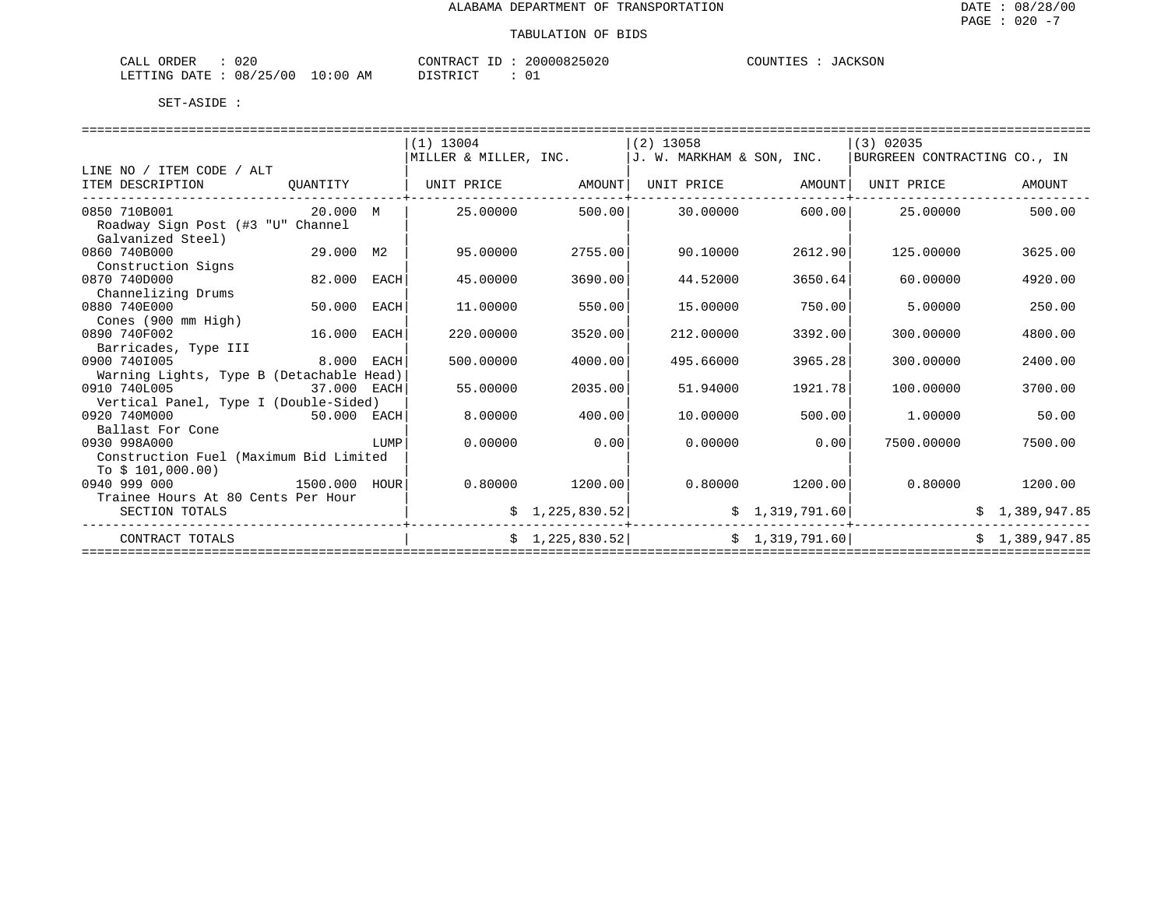| $\sim$ $\sim$<br><b>CRDER</b><br>$.$ IRT<br>ىلىلەر<br>しムし |             | ∞∧∩™<br>תרחד גר<br>$^{\prime}$ ) N.                  | 10000<br>ノウけえい | COUNTIES<br>------ |
|-----------------------------------------------------------|-------------|------------------------------------------------------|----------------|--------------------|
| R מים ה<br>08<br>LETTING<br>00<br><b>A</b><br>--          | 10:00<br>AΜ | $T$ $\cap$ $T$<br>$\sim$ $\sim$ $\sim$ $\sim$ $\sim$ | ັັ             |                    |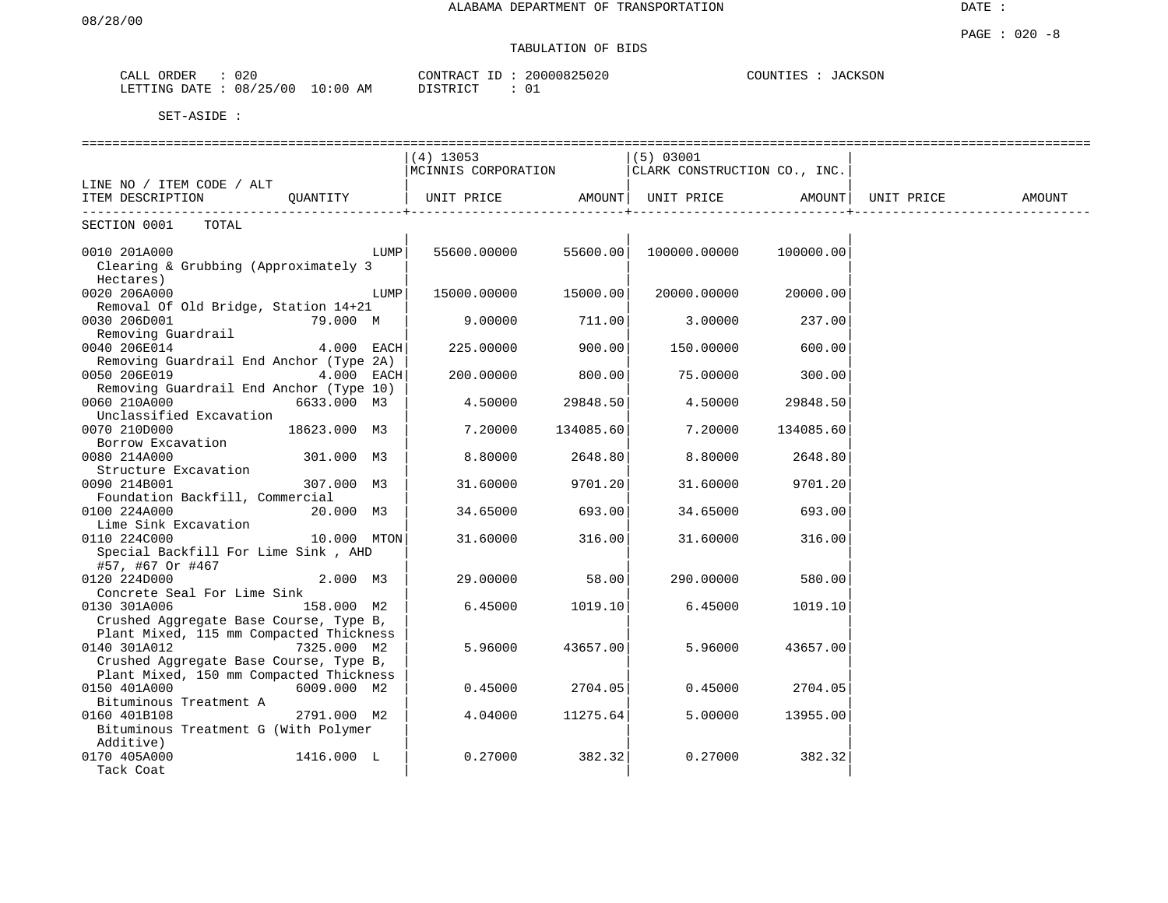# TABULATION OF BIDS

| ORDER<br>CALL  | 020               | CONTRACT ID | 20000825020 | COUNTIES : | JACKSON |
|----------------|-------------------|-------------|-------------|------------|---------|
| LETTING DATE : | 08/25/00 10:00 AM | DISTRICT    | ັ∪⊥         |            |         |

|                                                                                   |              | ============================<br>(4) 13053<br>MCINNIS CORPORATION |           | (5) 03001<br>CLARK CONSTRUCTION CO., INC. |           |            |        |
|-----------------------------------------------------------------------------------|--------------|------------------------------------------------------------------|-----------|-------------------------------------------|-----------|------------|--------|
| LINE NO / ITEM CODE / ALT<br>ITEM DESCRIPTION                                     | OUANTITY     | UNIT PRICE                                                       | AMOUNT    | UNIT PRICE                                | AMOUNT    | UNIT PRICE | AMOUNT |
| SECTION 0001<br>TOTAL                                                             |              |                                                                  |           |                                           |           |            |        |
| 0010 201A000<br>Clearing & Grubbing (Approximately 3                              | LUMP         | 55600.00000                                                      | 55600.00  | 100000.00000                              | 100000.00 |            |        |
| Hectares)<br>0020 206A000<br>Removal Of Old Bridge, Station 14+21                 | LUMP         | 15000.00000                                                      | 15000.00  | 20000.00000                               | 20000.00  |            |        |
| 0030 206D001<br>Removing Guardrail                                                | 79.000 M     | 9.00000                                                          | 711.00    | 3.00000                                   | 237.00    |            |        |
| 0040 206E014<br>Removing Guardrail End Anchor (Type 2A)                           | 4.000 EACH   | 225,00000                                                        | 900.00    | 150.00000                                 | 600.00    |            |        |
| 0050 206E019                                                                      | 4.000 EACH   | 200.00000                                                        | 800.00    | 75.00000                                  | 300.00    |            |        |
| Removing Guardrail End Anchor (Type 10)<br>0060 210A000                           | 6633.000 M3  | 4.50000                                                          | 29848.50  | 4.50000                                   | 29848.50  |            |        |
| Unclassified Excavation<br>0070 210D000                                           | 18623.000 M3 | 7.20000                                                          | 134085.60 | 7.20000                                   | 134085.60 |            |        |
| Borrow Excavation<br>0080 214A000                                                 | 301.000 M3   | 8.80000                                                          | 2648.80   | 8,80000                                   | 2648.80   |            |        |
| Structure Excavation<br>0090 214B001                                              | 307.000 M3   | 31.60000                                                         | 9701.20   | 31.60000                                  | 9701.20   |            |        |
| Foundation Backfill, Commercial<br>0100 224A000<br>Lime Sink Excavation           | 20.000 M3    | 34.65000                                                         | 693.00    | 34.65000                                  | 693.00    |            |        |
| 0110 224C000<br>Special Backfill For Lime Sink, AHD                               | 10.000 MTON  | 31.60000                                                         | 316.00    | 31.60000                                  | 316.00    |            |        |
| #57, #67 Or #467<br>0120 224D000                                                  | 2.000 M3     | 29,00000                                                         | 58.00     | 290.00000                                 | 580.00    |            |        |
| Concrete Seal For Lime Sink<br>0130 301A006                                       | 158.000 M2   | 6.45000                                                          | 1019.10   | 6.45000                                   | 1019.10   |            |        |
| Crushed Aggregate Base Course, Type B,<br>Plant Mixed, 115 mm Compacted Thickness |              |                                                                  |           |                                           |           |            |        |
| 0140 301A012<br>Crushed Aggregate Base Course, Type B,                            | 7325.000 M2  | 5.96000                                                          | 43657.00  | 5.96000                                   | 43657.00  |            |        |
| Plant Mixed, 150 mm Compacted Thickness<br>0150 401A000                           | 6009.000 M2  | 0.45000                                                          | 2704.05   | 0.45000                                   | 2704.05   |            |        |
| Bituminous Treatment A<br>0160 401B108                                            | 2791.000 M2  | 4.04000                                                          | 11275.64  | 5.00000                                   | 13955.00  |            |        |
| Bituminous Treatment G (With Polymer<br>Additive)                                 |              |                                                                  |           |                                           |           |            |        |
| 0170 405A000<br>Tack Coat                                                         | 1416.000 L   | 0.27000                                                          | 382.32    | 0.27000                                   | 382.32    |            |        |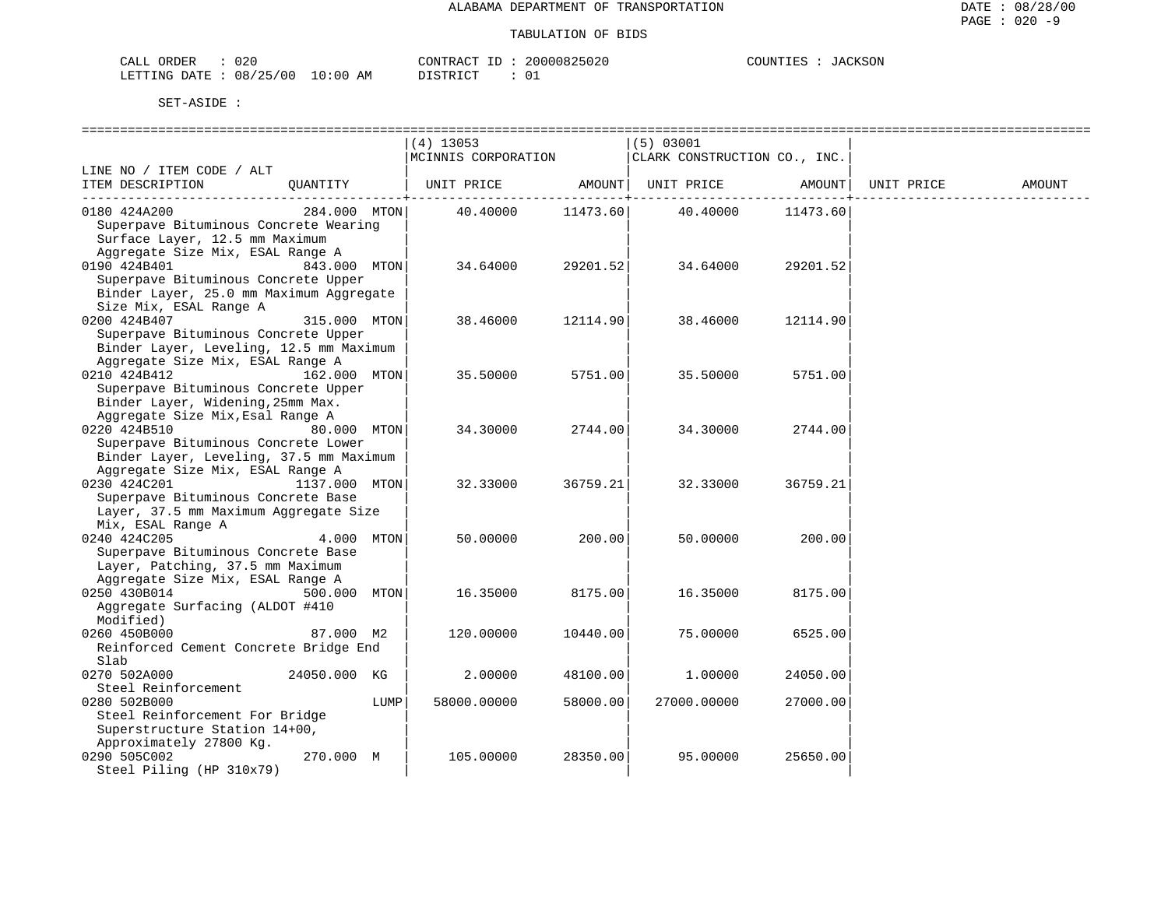| ORDER<br>CALI          | 020 |               | CONTRACT  | TD. | 20000825020   | COUNTIES | JACKSON |
|------------------------|-----|---------------|-----------|-----|---------------|----------|---------|
| LETTING DATE: 08/25/00 |     | LO : 00<br>AM | T STR TOT |     | $\sim$ $\sim$ |          |         |

|                                                  |               |      | ===========================        |          |                                           |          |            |        |
|--------------------------------------------------|---------------|------|------------------------------------|----------|-------------------------------------------|----------|------------|--------|
|                                                  |               |      | $(4)$ 13053<br>MCINNIS CORPORATION |          | (5) 03001<br>CLARK CONSTRUCTION CO., INC. |          |            |        |
| LINE NO / ITEM CODE / ALT                        |               |      |                                    |          |                                           |          |            |        |
| ITEM DESCRIPTION                                 | QUANTITY      |      | UNIT PRICE                         | AMOUNT   | UNIT PRICE                                | AMOUNT   | UNIT PRICE | AMOUNT |
| 0180 424A200                                     | 284.000 MTON  |      |                                    |          |                                           |          |            |        |
| Superpave Bituminous Concrete Wearing            |               |      | 40.40000                           | 11473.60 | 40.40000                                  | 11473.60 |            |        |
| Surface Layer, 12.5 mm Maximum                   |               |      |                                    |          |                                           |          |            |        |
| Aggregate Size Mix, ESAL Range A                 |               |      |                                    |          |                                           |          |            |        |
| 0190 424B401                                     | 843.000 MTON  |      | 34.64000                           | 29201.52 | 34.64000                                  | 29201.52 |            |        |
| Superpave Bituminous Concrete Upper              |               |      |                                    |          |                                           |          |            |        |
| Binder Layer, 25.0 mm Maximum Aggregate          |               |      |                                    |          |                                           |          |            |        |
| Size Mix, ESAL Range A                           |               |      |                                    |          |                                           |          |            |        |
| 0200 424B407                                     | 315.000 MTON  |      | 38.46000                           | 12114.90 | 38.46000                                  | 12114.90 |            |        |
| Superpave Bituminous Concrete Upper              |               |      |                                    |          |                                           |          |            |        |
| Binder Layer, Leveling, 12.5 mm Maximum          |               |      |                                    |          |                                           |          |            |        |
| Aggregate Size Mix, ESAL Range A                 |               |      |                                    |          |                                           |          |            |        |
| 0210 424B412                                     | 162.000 MTON  |      | 35.50000                           | 5751.00  | 35.50000                                  | 5751.00  |            |        |
| Superpave Bituminous Concrete Upper              |               |      |                                    |          |                                           |          |            |        |
| Binder Layer, Widening, 25mm Max.                |               |      |                                    |          |                                           |          |            |        |
| Aggregate Size Mix, Esal Range A                 |               |      |                                    |          |                                           |          |            |        |
| 0220 424B510                                     | 80.000 MTON   |      | 34.30000                           | 2744.00  | 34.30000                                  | 2744.00  |            |        |
| Superpave Bituminous Concrete Lower              |               |      |                                    |          |                                           |          |            |        |
| Binder Layer, Leveling, 37.5 mm Maximum          |               |      |                                    |          |                                           |          |            |        |
| Aggregate Size Mix, ESAL Range A<br>0230 424C201 | 1137.000 MTON |      | 32.33000                           | 36759.21 | 32.33000                                  | 36759.21 |            |        |
| Superpave Bituminous Concrete Base               |               |      |                                    |          |                                           |          |            |        |
| Layer, 37.5 mm Maximum Aggregate Size            |               |      |                                    |          |                                           |          |            |        |
| Mix, ESAL Range A                                |               |      |                                    |          |                                           |          |            |        |
| 0240 424C205                                     | 4.000         | MTON | 50.00000                           | 200.00   | 50.00000                                  | 200.00   |            |        |
| Superpave Bituminous Concrete Base               |               |      |                                    |          |                                           |          |            |        |
| Layer, Patching, 37.5 mm Maximum                 |               |      |                                    |          |                                           |          |            |        |
| Aggregate Size Mix, ESAL Range A                 |               |      |                                    |          |                                           |          |            |        |
| 0250 430B014                                     | 500.000       | MTON | 16.35000                           | 8175.00  | 16.35000                                  | 8175.00  |            |        |
| Aggregate Surfacing (ALDOT #410                  |               |      |                                    |          |                                           |          |            |        |
| Modified)                                        |               |      |                                    |          |                                           |          |            |        |
| 0260 450B000                                     | 87.000 M2     |      | 120.00000                          | 10440.00 | 75.00000                                  | 6525.00  |            |        |
| Reinforced Cement Concrete Bridge End            |               |      |                                    |          |                                           |          |            |        |
| Slab                                             |               |      |                                    |          |                                           |          |            |        |
| 0270 502A000                                     | 24050.000 KG  |      | 2,00000                            | 48100.00 | 1,00000                                   | 24050.00 |            |        |
| Steel Reinforcement                              |               |      |                                    |          |                                           |          |            |        |
| 0280 502B000                                     |               | LUMP | 58000.00000                        | 58000.00 | 27000.00000                               | 27000.00 |            |        |
| Steel Reinforcement For Bridge                   |               |      |                                    |          |                                           |          |            |        |
| Superstructure Station 14+00,                    |               |      |                                    |          |                                           |          |            |        |
| Approximately 27800 Kg.                          |               |      |                                    | 28350.00 | 95.00000                                  | 25650.00 |            |        |
| 0290 505C002                                     | 270.000 M     |      | 105.00000                          |          |                                           |          |            |        |
| Steel Piling (HP 310x79)                         |               |      |                                    |          |                                           |          |            |        |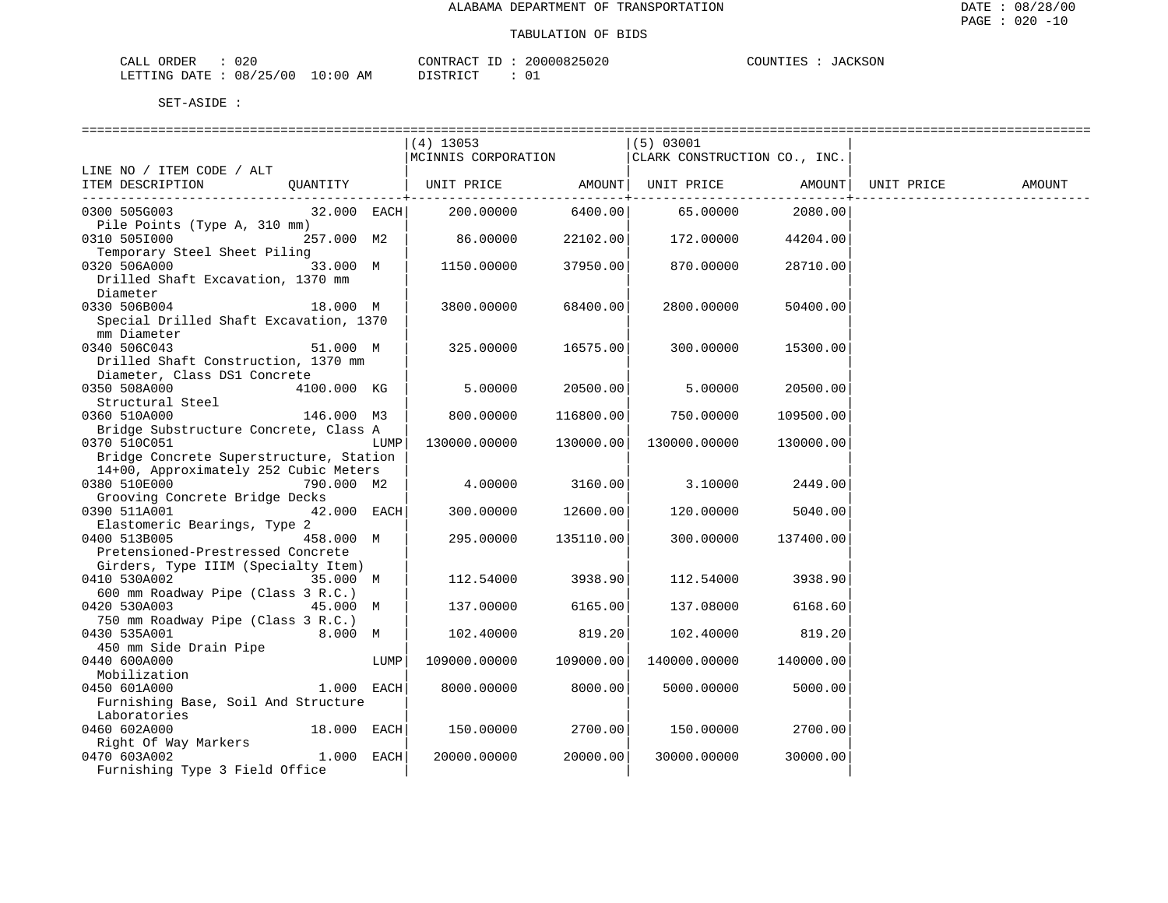| ORDER<br>CALI          | 020 |               | CONTRACT  | TD. | 20000825020   | COUNTIES | JACKSON |
|------------------------|-----|---------------|-----------|-----|---------------|----------|---------|
| LETTING DATE: 08/25/00 |     | LO : 00<br>AM | T STR TOT |     | $\sim$ $\sim$ |          |         |

|                                                                     |               |      | $(4)$ 13053<br>MCINNIS CORPORATION |           | (5) 03001<br>CLARK CONSTRUCTION CO., INC.              |              |            |        |
|---------------------------------------------------------------------|---------------|------|------------------------------------|-----------|--------------------------------------------------------|--------------|------------|--------|
| LINE NO / ITEM CODE / ALT                                           |               |      |                                    |           |                                                        |              |            |        |
| ITEM DESCRIPTION                                                    | QUANTITY      |      | UNIT PRICE                         |           | AMOUNT   UNIT PRICE AMOUNT<br>------------+----------- | -----------+ | UNIT PRICE | AMOUNT |
| 0300 505G003<br>Pile Points (Type A, 310 mm)                        | $32.000$ EACH |      | 200.00000                          | 6400.00   | 65.00000                                               | 2080.00      |            |        |
| 0310 5051000<br>Temporary Steel Sheet Piling                        | 257.000 M2    |      | 86.00000                           | 22102.00  | 172.00000                                              | 44204.00     |            |        |
| 0320 506A000<br>Drilled Shaft Excavation, 1370 mm                   | 33.000 M      |      | 1150.00000                         | 37950.00  | 870.00000                                              | 28710.00     |            |        |
| Diameter                                                            |               |      |                                    |           |                                                        |              |            |        |
| 0330 506B004                                                        | 18.000 M      |      | 3800.00000                         | 68400.00  | 2800.00000                                             | 50400.00     |            |        |
| Special Drilled Shaft Excavation, 1370<br>mm Diameter               |               |      |                                    |           |                                                        |              |            |        |
| 0340 506C043                                                        | 51.000 M      |      | 325.00000                          | 16575.00  | 300.00000                                              | 15300.00     |            |        |
| Drilled Shaft Construction, 1370 mm<br>Diameter, Class DS1 Concrete |               |      |                                    |           |                                                        |              |            |        |
| 0350 508A000                                                        | 4100.000 KG   |      | 5.00000                            | 20500.00  | 5.00000                                                | 20500.00     |            |        |
| Structural Steel                                                    |               |      |                                    |           |                                                        |              |            |        |
| 0360 510A000                                                        | 146.000 M3    |      | 800.00000                          | 116800.00 | 750.00000                                              | 109500.00    |            |        |
| Bridge Substructure Concrete, Class A                               |               |      |                                    |           |                                                        |              |            |        |
| 0370 510C051                                                        |               | LUMP | 130000.00000                       | 130000.00 | 130000.00000                                           | 130000.00    |            |        |
| Bridge Concrete Superstructure, Station                             |               |      |                                    |           |                                                        |              |            |        |
| 14+00, Approximately 252 Cubic Meters                               |               |      |                                    |           |                                                        |              |            |        |
| 0380 510E000                                                        | 790.000 M2    |      | 4.00000                            | 3160.00   | 3.10000                                                | 2449.00      |            |        |
| Grooving Concrete Bridge Decks                                      |               |      |                                    |           |                                                        |              |            |        |
| 0390 511A001                                                        | $42.000$ EACH |      | 300.00000                          | 12600.00  | 120.00000                                              | 5040.00      |            |        |
| Elastomeric Bearings, Type 2                                        |               |      |                                    |           |                                                        |              |            |        |
| 0400 513B005                                                        | 458.000 M     |      | 295.00000                          | 135110.00 | 300.00000                                              | 137400.00    |            |        |
| Pretensioned-Prestressed Concrete                                   |               |      |                                    |           |                                                        |              |            |        |
| Girders, Type IIIM (Specialty Item)                                 |               |      |                                    |           |                                                        |              |            |        |
| 0410 530A002 35.000 M                                               |               |      | 112.54000                          | 3938.90   | 112.54000                                              | 3938.90      |            |        |
| 600 mm Roadway Pipe (Class 3 R.C.)                                  |               |      |                                    |           |                                                        |              |            |        |
| 0420 530A003                                                        | 45.000 M      |      | 137.00000                          | 6165.00   | 137.08000                                              | 6168.60      |            |        |
| 750 mm Roadway Pipe (Class 3 R.C.)                                  |               |      |                                    |           |                                                        |              |            |        |
| 0430 535A001                                                        | 8.000 M       |      | 102.40000                          | 819.20    | 102.40000                                              | 819.20       |            |        |
| 450 mm Side Drain Pipe                                              |               |      |                                    |           |                                                        |              |            |        |
| 0440 600A000                                                        |               | LUMP | 109000.00000                       | 109000.00 | 140000.00000                                           | 140000.00    |            |        |
| Mobilization                                                        |               |      |                                    |           |                                                        |              |            |        |
| 0450 601A000                                                        | 1.000 EACH    |      | 8000.00000                         | 8000.00   | 5000.00000                                             | 5000.00      |            |        |
| Furnishing Base, Soil And Structure<br>Laboratories                 |               |      |                                    |           |                                                        |              |            |        |
| 0460 602A000                                                        | $18.000$ EACH |      | 150.00000                          | 2700.00   | 150.00000                                              | 2700.00      |            |        |
| Right Of Way Markers                                                |               |      |                                    |           |                                                        |              |            |        |
| 0470 603A002                                                        | 1.000 EACH    |      | 20000.00000                        | 20000.00  | 30000.00000                                            | 30000.00     |            |        |
| Furnishing Type 3 Field Office                                      |               |      |                                    |           |                                                        |              |            |        |
|                                                                     |               |      |                                    |           |                                                        |              |            |        |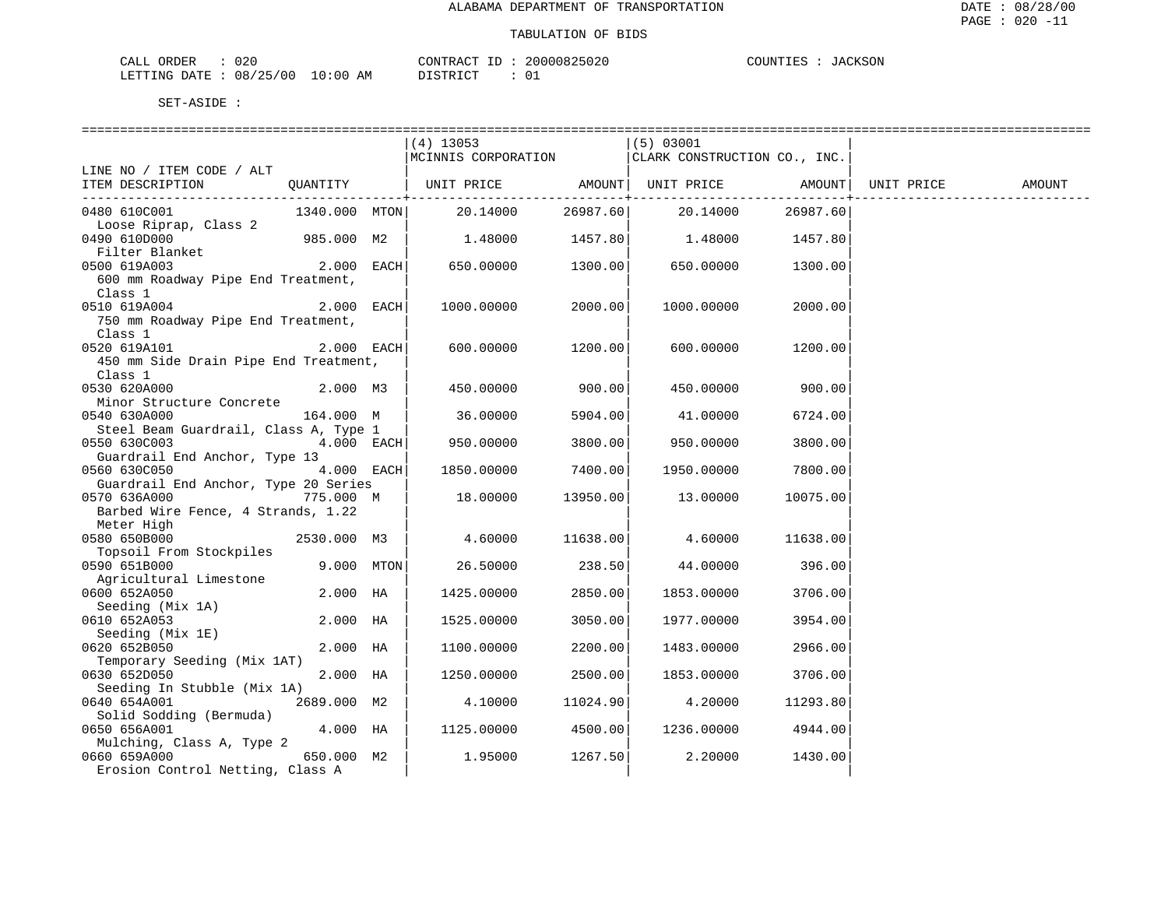| CALL ORDER                      | 020 |          |  | CONTRACT ID: 20000825020 | COUNTIES | JACKSON |
|---------------------------------|-----|----------|--|--------------------------|----------|---------|
| LETTING DATE: 08/25/00 10:00 AM |     | DISTRICT |  | ັ∪⊥                      |          |         |

|                                                  |               | (4) 13053<br>MCINNIS CORPORATION |          | (5) 03001<br>CLARK CONSTRUCTION CO., INC. |                     |            |        |
|--------------------------------------------------|---------------|----------------------------------|----------|-------------------------------------------|---------------------|------------|--------|
| LINE NO / ITEM CODE / ALT                        |               |                                  |          |                                           |                     |            |        |
| ITEM DESCRIPTION                                 | QUANTITY      | UNIT PRICE AMOUNT  UNIT PRICE    |          | ---------+----------                      | AMOUNT<br>--------- | UNIT PRICE | AMOUNT |
| 0480 610C001                                     | 1340.000 MTON | 20.14000                         | 26987.60 | 20.14000                                  | 26987.60            |            |        |
| Loose Riprap, Class 2<br>0490 610D000            | 985.000 M2    | 1.48000                          | 1457.80  | 1.48000 1457.80                           |                     |            |        |
| 0500 619A003                                     |               | 650.00000                        | 1300.00  | 650.00000                                 | 1300.00             |            |        |
| 600 mm Roadway Pipe End Treatment,<br>Class 1    |               |                                  |          |                                           |                     |            |        |
| 0510 619A004                                     | $2.000$ EACH  | 1000.00000                       | 2000.00  | 1000.00000                                | 2000.00             |            |        |
| 750 mm Roadway Pipe End Treatment,<br>Class 1    |               |                                  |          |                                           |                     |            |        |
| 0520 619A101                                     | $2.000$ EACH  | 600.00000                        | 1200.00  | 600.00000                                 | 1200.00             |            |        |
| 450 mm Side Drain Pipe End Treatment,<br>Class 1 |               |                                  |          |                                           |                     |            |        |
| 2.000 M3<br>0530 620A000                         |               | 450.00000                        | 900.00   | 450.00000                                 | 900.00              |            |        |
| Minor Structure Concrete                         |               |                                  |          |                                           |                     |            |        |
| 0540 630A000                                     | 164.000 M     | 36.00000                         | 5904.00  | 41.00000                                  | 6724.00             |            |        |
| Steel Beam Guardrail, Class A, Type 1            |               |                                  |          |                                           |                     |            |        |
| 0550 630C003                                     | $4.000$ EACH  | 950.00000                        | 3800.00  | 950.00000                                 | 3800.00             |            |        |
| Guardrail End Anchor, Type 13                    |               |                                  |          |                                           |                     |            |        |
| 0560 630C050                                     | $4.000$ EACH  | 1850.00000                       | 7400.00  | 1950.00000                                | 7800.00             |            |        |
| Guardrail End Anchor, Type 20 Series             |               |                                  |          |                                           |                     |            |        |
| 775.000 M<br>0570 636A000                        |               | 18.00000                         | 13950.00 | 13.00000                                  | 10075.00            |            |        |
| Barbed Wire Fence, 4 Strands, 1.22               |               |                                  |          |                                           |                     |            |        |
| Meter High                                       |               |                                  |          |                                           |                     |            |        |
| 0580 650B000                                     | 2530.000 M3   | 4.60000                          | 11638.00 | 4.60000                                   | 11638.00            |            |        |
| Topsoil From Stockpiles                          |               |                                  |          |                                           |                     |            |        |
| 0590 651B000                                     | $9.000$ MTON  | 26.50000                         | 238.50   | 44.00000                                  | 396.00              |            |        |
| Agricultural Limestone                           |               |                                  |          |                                           |                     |            |        |
| 0600 652A050                                     | 2.000 HA      | 1425.00000                       | 2850.00  | 1853.00000                                | 3706.00             |            |        |
| Seeding (Mix 1A)                                 |               |                                  |          |                                           |                     |            |        |
| 0610 652A053                                     | 2.000 HA      | 1525.00000                       | 3050.00  | 1977.00000                                | 3954.00             |            |        |
| Seeding (Mix 1E)<br>0620 652B050                 | 2.000 HA      | 1100.00000                       | 2200.00  | 1483.00000                                | 2966.00             |            |        |
| Temporary Seeding (Mix 1AT)                      |               |                                  |          |                                           |                     |            |        |
| 0630 652D050                                     | 2.000 HA      | 1250.00000                       | 2500.00  | 1853.00000                                | 3706.00             |            |        |
| Seeding In Stubble (Mix 1A)                      |               |                                  |          |                                           |                     |            |        |
| 0640 654A001                                     | 2689.000 M2   | 4.10000                          | 11024.90 | 4.20000                                   | 11293.80            |            |        |
| Solid Sodding (Bermuda)                          |               |                                  |          |                                           |                     |            |        |
| 0650 656A001                                     | 4.000 HA      | 1125.00000                       | 4500.00  | 1236.00000                                | 4944.00             |            |        |
| Mulching, Class A, Type 2                        |               |                                  |          |                                           |                     |            |        |
| $650.000$ M2<br>0660 659A000                     |               | 1.95000                          | 1267.50  | 2.20000                                   | 1430.00             |            |        |
| Erosion Control Netting, Class A                 |               |                                  |          |                                           |                     |            |        |
|                                                  |               |                                  |          |                                           |                     |            |        |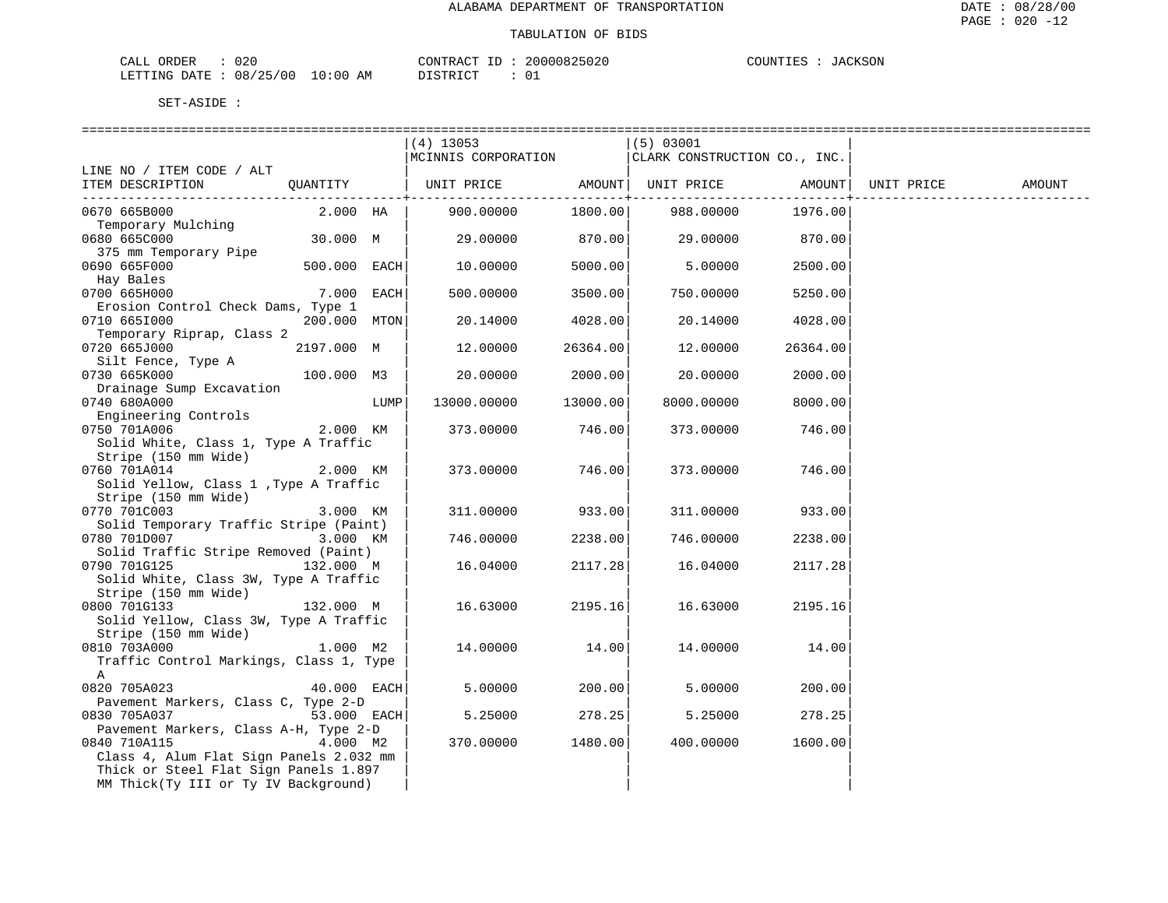| CALL ORDER                      | 020 | CONTRACT ID : |  | 20000825020 | COUNTIES : | JACKSON |
|---------------------------------|-----|---------------|--|-------------|------------|---------|
| LETTING DATE: 08/25/00 10:00 AM |     | DISTRICT      |  |             |            |         |

|                                         |              |      | $(4)$ 13053                                                            |                | (5) 03001                    |                |            |        |
|-----------------------------------------|--------------|------|------------------------------------------------------------------------|----------------|------------------------------|----------------|------------|--------|
|                                         |              |      | MCINNIS CORPORATION                                                    |                | CLARK CONSTRUCTION CO., INC. |                |            |        |
| LINE NO / ITEM CODE / ALT               |              |      |                                                                        |                |                              |                |            |        |
| ITEM DESCRIPTION                        | OUANTITY     |      | UNIT PRICE                 AMOUNT    UNIT PRICE                 AMOUNT |                |                              |                | UNIT PRICE | AMOUNT |
|                                         |              |      |                                                                        | -------------+ |                              | -------------- |            |        |
| 0670 665B000                            | 2.000 HA     |      | 900.00000                                                              | 1800.00        | 988.00000                    | 1976.00        |            |        |
| Temporary Mulching                      |              |      |                                                                        |                |                              |                |            |        |
| 0680 665C000                            | 30.000 M     |      | 29.00000                                                               | 870.00         | 29.00000                     | 870.00         |            |        |
| 375 mm Temporary Pipe                   |              |      |                                                                        |                |                              |                |            |        |
| 0690 665F000                            | 500.000 EACH |      |                                                                        | 5000.00        | 5.00000                      | 2500.00        |            |        |
|                                         |              |      | 10.00000                                                               |                |                              |                |            |        |
| Hay Bales                               |              |      |                                                                        |                |                              |                |            |        |
| 0700 665H000                            | $7.000$ EACH |      | 500.00000                                                              | 3500.00        | 750.00000                    | 5250.00        |            |        |
| Erosion Control Check Dams, Type 1      |              |      |                                                                        |                |                              |                |            |        |
| 0710 6651000                            | 200.000 MTON |      | 20.14000                                                               | 4028.00        | 20.14000                     | 4028.00        |            |        |
| Temporary Riprap, Class 2               |              |      |                                                                        |                |                              |                |            |        |
| 0720 665J000                            | 2197.000 M   |      | 12.00000                                                               | 26364.00       | 12.00000                     | 26364.00       |            |        |
| Silt Fence, Type A                      |              |      |                                                                        |                |                              |                |            |        |
| 0730 665K000                            | 100.000 M3   |      | 20.00000                                                               | 2000.00        | 20.00000                     | 2000.00        |            |        |
| Drainage Sump Excavation                |              |      |                                                                        |                |                              |                |            |        |
| 0740 680A000                            |              | LUMP | 13000.00000                                                            | 13000.00       | 8000.00000                   | 8000.00        |            |        |
| Engineering Controls                    |              |      |                                                                        |                |                              |                |            |        |
| 0750 701A006                            | 2.000 KM     |      | 373.00000                                                              | 746.00         | 373.00000                    | 746.00         |            |        |
| Solid White, Class 1, Type A Traffic    |              |      |                                                                        |                |                              |                |            |        |
| Stripe (150 mm Wide)                    |              |      |                                                                        |                |                              |                |            |        |
| 0760 701A014                            | 2.000 KM     |      | 373.00000                                                              | 746.00         | 373.00000                    | 746.00         |            |        |
| Solid Yellow, Class 1, Type A Traffic   |              |      |                                                                        |                |                              |                |            |        |
| Stripe (150 mm Wide)                    |              |      |                                                                        |                |                              |                |            |        |
| 0770 701C003                            | 3.000 KM     |      | 311,00000                                                              | 933.00         | 311,00000                    | 933.00         |            |        |
| Solid Temporary Traffic Stripe (Paint)  |              |      |                                                                        |                |                              |                |            |        |
| 0780 701D007                            | 3.000 KM     |      | 746.00000                                                              | 2238.00        | 746.00000                    | 2238.00        |            |        |
| Solid Traffic Stripe Removed (Paint)    |              |      |                                                                        |                |                              |                |            |        |
| 0790 701G125                            | 132.000 M    |      | 16.04000                                                               | 2117.28        | 16.04000                     | 2117.28        |            |        |
| Solid White, Class 3W, Type A Traffic   |              |      |                                                                        |                |                              |                |            |        |
| Stripe (150 mm Wide)                    |              |      |                                                                        |                |                              |                |            |        |
| 0800 701G133                            | 132.000 M    |      | 16.63000                                                               | 2195.16        | 16.63000                     | 2195.16        |            |        |
| Solid Yellow, Class 3W, Type A Traffic  |              |      |                                                                        |                |                              |                |            |        |
| Stripe (150 mm Wide)                    |              |      |                                                                        |                |                              |                |            |        |
| 0810 703A000                            | 1.000 M2     |      | 14.00000                                                               | 14.00          | 14.00000                     | 14.00          |            |        |
| Traffic Control Markings, Class 1, Type |              |      |                                                                        |                |                              |                |            |        |
| A                                       |              |      |                                                                        |                |                              |                |            |        |
| 0820 705A023                            | 40.000 EACH  |      | 5.00000                                                                | 200.00         | 5.00000                      | 200.00         |            |        |
| Pavement Markers, Class C, Type 2-D     |              |      |                                                                        |                |                              |                |            |        |
| 0830 705A037                            | 53.000 EACH  |      | 5.25000                                                                | 278.25         | 5.25000                      | 278.25         |            |        |
| Pavement Markers, Class A-H, Type 2-D   |              |      |                                                                        |                |                              |                |            |        |
| 0840 710A115                            | 4.000 M2     |      | 370.00000                                                              | 1480.00        | 400.00000                    | 1600.00        |            |        |
| Class 4, Alum Flat Sign Panels 2.032 mm |              |      |                                                                        |                |                              |                |            |        |
| Thick or Steel Flat Sign Panels 1.897   |              |      |                                                                        |                |                              |                |            |        |
| MM Thick(Ty III or Ty IV Background)    |              |      |                                                                        |                |                              |                |            |        |
|                                         |              |      |                                                                        |                |                              |                |            |        |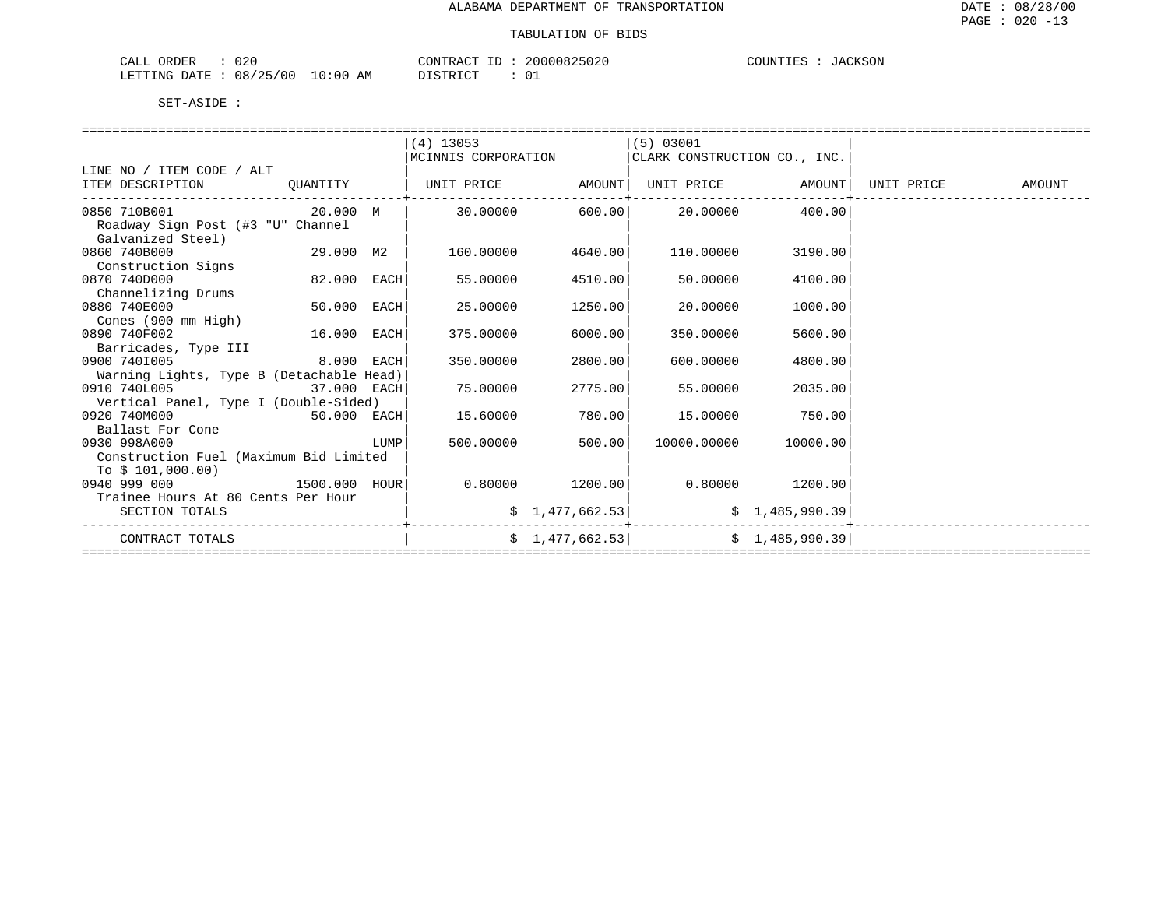| 020<br>ORDER<br>CALL     |            | CONTRACT<br>$- -$ | 20000825020 | COUNTIES<br>JACKSON |
|--------------------------|------------|-------------------|-------------|---------------------|
| 08/25/00<br>LETTING DATE | $10:00$ AM | DISTRICT          |             |                     |

|                                          |             |      | $(4)$ 13053                                                            |                 | (5) 03001                    |                   |            |        |
|------------------------------------------|-------------|------|------------------------------------------------------------------------|-----------------|------------------------------|-------------------|------------|--------|
|                                          |             |      | MCINNIS CORPORATION                                                    |                 | CLARK CONSTRUCTION CO., INC. |                   |            |        |
| LINE NO / ITEM CODE / ALT                |             |      |                                                                        |                 |                              |                   |            |        |
| ITEM DESCRIPTION QUANTITY                |             |      | UNIT PRICE                 AMOUNT    UNIT PRICE                 AMOUNT |                 |                              |                   | UNIT PRICE | AMOUNT |
| 0850 710B001                             | 20.000 M    |      |                                                                        | 30.00000 600.00 | 20.00000                     | 400.00            |            |        |
| Roadway Sign Post (#3 "U" Channel        |             |      |                                                                        |                 |                              |                   |            |        |
| Galvanized Steel)                        |             |      |                                                                        |                 |                              |                   |            |        |
| 0860 740B000                             | 29.000 M2   |      | 160.00000                                                              | 4640.00         | 110.00000                    | 3190.00           |            |        |
| Construction Signs                       |             |      |                                                                        |                 |                              |                   |            |        |
| 0870 740D000                             | 82.000 EACH |      | 55.00000                                                               | 4510.00         | 50.00000                     | 4100.00           |            |        |
| Channelizing Drums                       |             |      |                                                                        |                 |                              |                   |            |        |
| 0880 740E000                             | 50.000 EACH |      | 25.00000                                                               | 1250.00         | 20.00000                     | 1000.00           |            |        |
| Cones (900 mm High)                      |             |      |                                                                        |                 |                              |                   |            |        |
| 0890 740F002                             | 16.000 EACH |      | 375,00000                                                              | 6000.00         | 350.00000                    | 5600.00           |            |        |
| Barricades, Type III                     |             |      |                                                                        |                 |                              |                   |            |        |
| 0900 7401005                             | 8.000 EACH  |      | 350.00000                                                              | 2800.00         | 600.00000                    | 4800.00           |            |        |
| Warning Lights, Type B (Detachable Head) |             |      |                                                                        |                 |                              |                   |            |        |
| 0910 740L005<br>37.000 EACH              |             |      | 75.00000                                                               | 2775.00         | 55.00000                     | 2035.00           |            |        |
| Vertical Panel, Type I (Double-Sided)    |             |      |                                                                        |                 |                              |                   |            |        |
| 0920 740M000                             | 50.000 EACH |      | 15.60000                                                               | 780.00          | 15,00000                     | 750.00            |            |        |
| Ballast For Cone                         |             |      |                                                                        |                 |                              |                   |            |        |
| 0930 998A000                             |             | LUMP | 500.00000                                                              | 500.00          | 10000.00000                  | 10000.00          |            |        |
| Construction Fuel (Maximum Bid Limited   |             |      |                                                                        |                 |                              |                   |            |        |
| To $$101,000.00)$                        |             |      |                                                                        |                 |                              |                   |            |        |
| 1500.000 HOUR<br>0940 999 000            |             |      | 0.80000                                                                | 1200.00         |                              | $0.80000$ 1200.00 |            |        |
| Trainee Hours At 80 Cents Per Hour       |             |      |                                                                        |                 |                              |                   |            |        |
| SECTION TOTALS                           |             |      |                                                                        | \$1,477,662.53] |                              | \$1,485,990.39    |            |        |
| CONTRACT TOTALS                          |             |      |                                                                        | \$1,477,662.53] |                              | \$1,485,990.39    |            |        |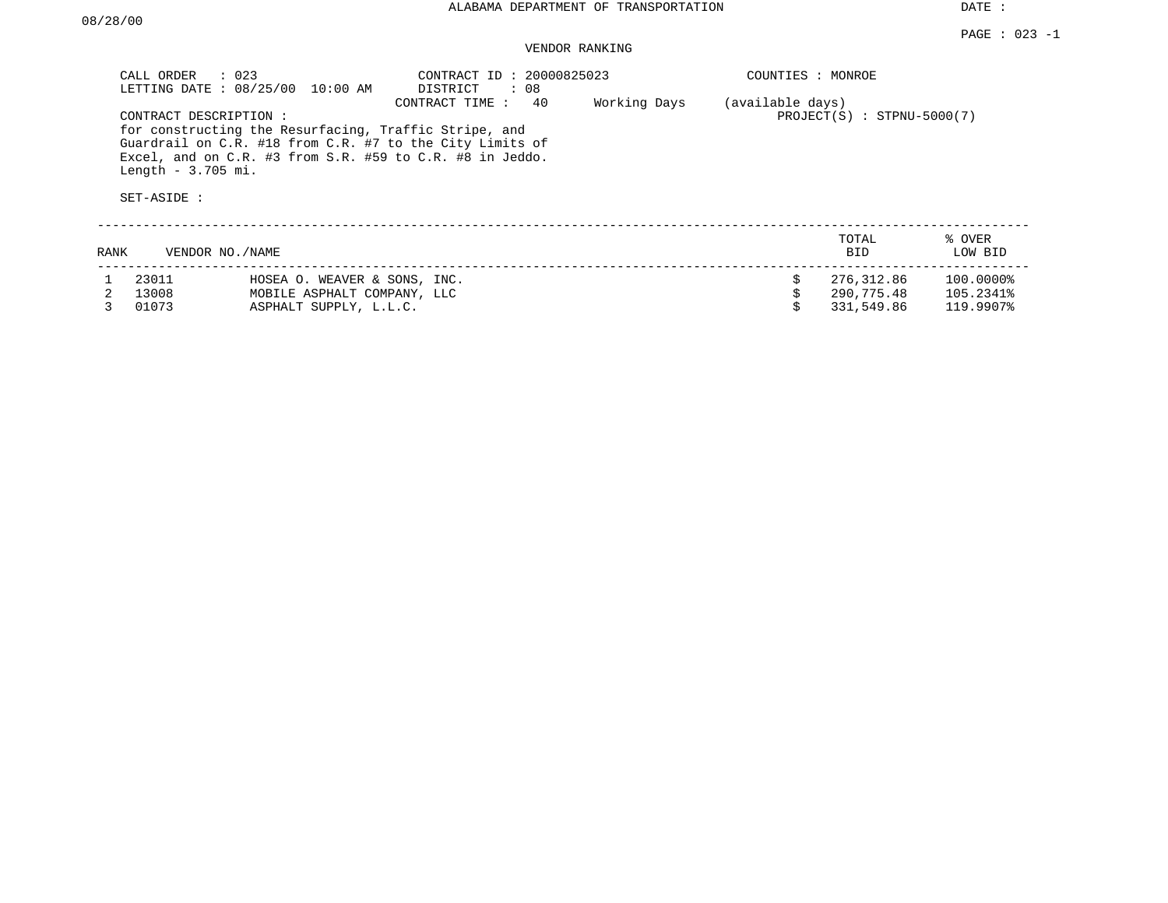# VENDOR RANKING

|      | $\therefore$ 023<br>CALL ORDER<br>CONTRACT DESCRIPTION:<br>Length $-3.705$ mi.<br>SET-ASIDE : | LETTING DATE : 08/25/00 10:00 AM<br>for constructing the Resurfacing, Traffic Stripe, and<br>Guardrail on C.R. #18 from C.R. #7 to the City Limits of<br>Excel, and on C.R. #3 from S.R. #59 to C.R. #8 in Jeddo. | CONTRACT ID: 20000825023<br>Working Days | COUNTIES : MONROE<br>(available days) | $PROJECT(S)$ : STPNU-5000(7) |                          |                        |
|------|-----------------------------------------------------------------------------------------------|-------------------------------------------------------------------------------------------------------------------------------------------------------------------------------------------------------------------|------------------------------------------|---------------------------------------|------------------------------|--------------------------|------------------------|
| RANK | VENDOR NO./NAME                                                                               |                                                                                                                                                                                                                   |                                          |                                       |                              | TOTAL<br><b>BID</b>      | % OVER<br>LOW BID      |
|      | 23011<br>13008                                                                                | HOSEA O. WEAVER & SONS, INC.<br>MOBILE ASPHALT COMPANY, LLC                                                                                                                                                       |                                          |                                       |                              | 276,312.86<br>290,775.48 | 100.0000%<br>105.2341% |
|      | 01073                                                                                         | ASPHALT SUPPLY, L.L.C.                                                                                                                                                                                            |                                          |                                       |                              | 331,549.86               | 119.9907%              |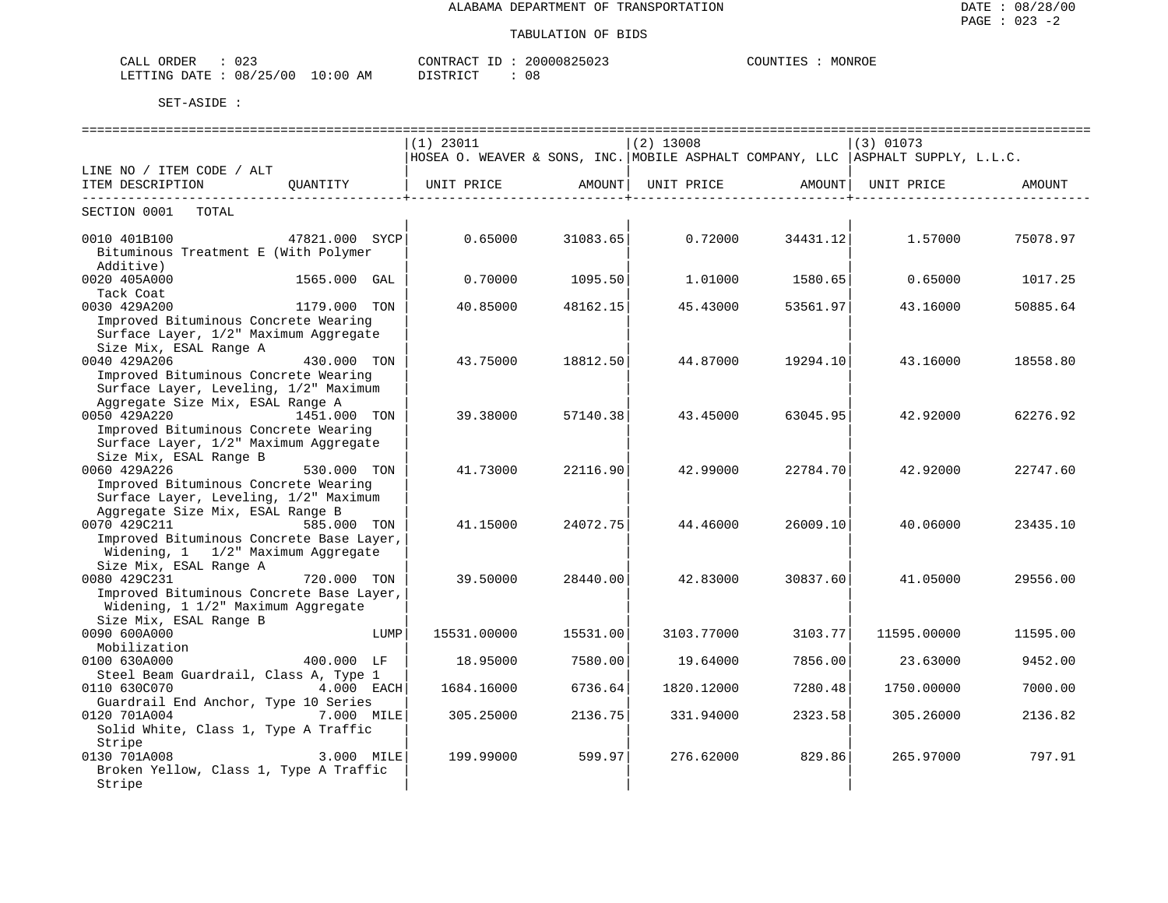| $\cdot$ $\sim$ $\cdot$<br>. п.<br>د ∠ ر<br>دىسدىم |                       | $ -$<br>.ONTRAC |    | . )TINT<br>MONROF |
|---------------------------------------------------|-----------------------|-----------------|----|-------------------|
| ' 0 0<br>١Ջ<br>⊤ידי ∆ו<br>N(1)                    | ΔM<br>$\cdot$ $\cdot$ |                 | 08 |                   |

|                                                      |              |      | $(1)$ 23011                                                                       |          | $(2)$ 13008 |                   | $(3)$ 01073 |          |
|------------------------------------------------------|--------------|------|-----------------------------------------------------------------------------------|----------|-------------|-------------------|-------------|----------|
|                                                      |              |      | HOSEA O. WEAVER & SONS, INC. MOBILE ASPHALT COMPANY, LLC   ASPHALT SUPPLY, L.L.C. |          |             |                   |             |          |
| LINE NO / ITEM CODE / ALT                            |              |      |                                                                                   |          |             |                   |             |          |
| ITEM DESCRIPTION QUANTITY                            |              |      | UNIT PRICE AMOUNT                                                                 |          |             | UNIT PRICE AMOUNT | UNIT PRICE  | AMOUNT   |
| SECTION 0001 TOTAL                                   |              |      |                                                                                   |          |             |                   |             |          |
| 47821.000 SYCP<br>0010 401B100                       |              |      | 0.65000                                                                           | 31083.65 | 0.72000     | 34431.12          | 1.57000     | 75078.97 |
| Bituminous Treatment E (With Polymer                 |              |      |                                                                                   |          |             |                   |             |          |
| Additive)                                            |              |      |                                                                                   |          |             |                   |             |          |
| 0020 405A000                                         | 1565.000 GAL |      | 0.70000                                                                           | 1095.50  | 1,01000     | 1580.65           | 0.65000     | 1017.25  |
| Tack Coat                                            |              |      |                                                                                   |          |             |                   |             |          |
| 0030 429A200                                         | 1179.000 TON |      | 40.85000                                                                          | 48162.15 | 45.43000    | 53561.97          | 43.16000    | 50885.64 |
| Improved Bituminous Concrete Wearing                 |              |      |                                                                                   |          |             |                   |             |          |
| Surface Layer, 1/2" Maximum Aggregate                |              |      |                                                                                   |          |             |                   |             |          |
| Size Mix, ESAL Range A                               |              |      |                                                                                   |          |             |                   |             |          |
| 0040 429A206                                         | 430.000 TON  |      | 43.75000                                                                          | 18812.50 | 44.87000    | 19294.10          | 43.16000    | 18558.80 |
| Improved Bituminous Concrete Wearing                 |              |      |                                                                                   |          |             |                   |             |          |
| Surface Layer, Leveling, 1/2" Maximum                |              |      |                                                                                   |          |             |                   |             |          |
| Aggregate Size Mix, ESAL Range A                     |              |      |                                                                                   |          |             |                   |             |          |
| 0050 429A220                                         | 1451.000 TON |      | 39.38000                                                                          | 57140.38 | 43.45000    | 63045.95          | 42.92000    | 62276.92 |
| Improved Bituminous Concrete Wearing                 |              |      |                                                                                   |          |             |                   |             |          |
| Surface Layer, 1/2" Maximum Aggregate                |              |      |                                                                                   |          |             |                   |             |          |
| Size Mix, ESAL Range B                               |              |      |                                                                                   |          |             |                   |             |          |
| 0060 429A226                                         | 530.000 TON  |      | 41.73000                                                                          | 22116.90 | 42.99000    | 22784.70          | 42.92000    | 22747.60 |
| Improved Bituminous Concrete Wearing                 |              |      |                                                                                   |          |             |                   |             |          |
| Surface Layer, Leveling, 1/2" Maximum                |              |      |                                                                                   |          |             |                   |             |          |
| Aggregate Size Mix, ESAL Range B                     |              |      |                                                                                   |          |             |                   |             |          |
| 0070 429C211                                         | 585.000 TON  |      | 41.15000                                                                          | 24072.75 | 44.46000    | 26009.10          | 40.06000    | 23435.10 |
| Improved Bituminous Concrete Base Layer,             |              |      |                                                                                   |          |             |                   |             |          |
| Widening, 1 1/2" Maximum Aggregate                   |              |      |                                                                                   |          |             |                   |             |          |
| Size Mix, ESAL Range A                               |              |      |                                                                                   |          |             |                   |             |          |
| 0080 429C231                                         | 720.000 TON  |      | 39.50000                                                                          | 28440.00 | 42.83000    | 30837.60          | 41.05000    | 29556.00 |
| Improved Bituminous Concrete Base Layer,             |              |      |                                                                                   |          |             |                   |             |          |
| Widening, 1 1/2" Maximum Aggregate                   |              |      |                                                                                   |          |             |                   |             |          |
| Size Mix, ESAL Range B                               |              |      |                                                                                   |          |             |                   |             |          |
| 0090 600A000                                         |              | LUMP | 15531.00000                                                                       | 15531.00 | 3103.77000  | 3103.77           | 11595.00000 | 11595.00 |
| Mobilization                                         |              |      |                                                                                   |          |             |                   |             |          |
| 0100 630A000                                         | 400.000 LF   |      | 18,95000                                                                          | 7580.00  | 19.64000    | 7856.00           | 23.63000    | 9452.00  |
| Steel Beam Guardrail, Class A, Type 1                |              |      |                                                                                   |          |             |                   |             |          |
| 0110 630C070                                         | 4.000 EACH   |      | 1684.16000                                                                        | 6736.64  | 1820.12000  | 7280.48           | 1750.00000  | 7000.00  |
| Guardrail End Anchor, Type 10 Series                 |              |      |                                                                                   |          |             |                   |             |          |
| 0120 701A004<br>Solid White, Class 1, Type A Traffic | 7.000 MILE   |      | 305.25000                                                                         | 2136.75  | 331.94000   | 2323.58           | 305.26000   | 2136.82  |
| Stripe                                               |              |      |                                                                                   |          |             |                   |             |          |
| 0130 701A008                                         | $3.000$ MILE |      | 199.99000                                                                         | 599.97   | 276.62000   | 829.86            | 265.97000   | 797.91   |
| Broken Yellow, Class 1, Type A Traffic               |              |      |                                                                                   |          |             |                   |             |          |
| Stripe                                               |              |      |                                                                                   |          |             |                   |             |          |
|                                                      |              |      |                                                                                   |          |             |                   |             |          |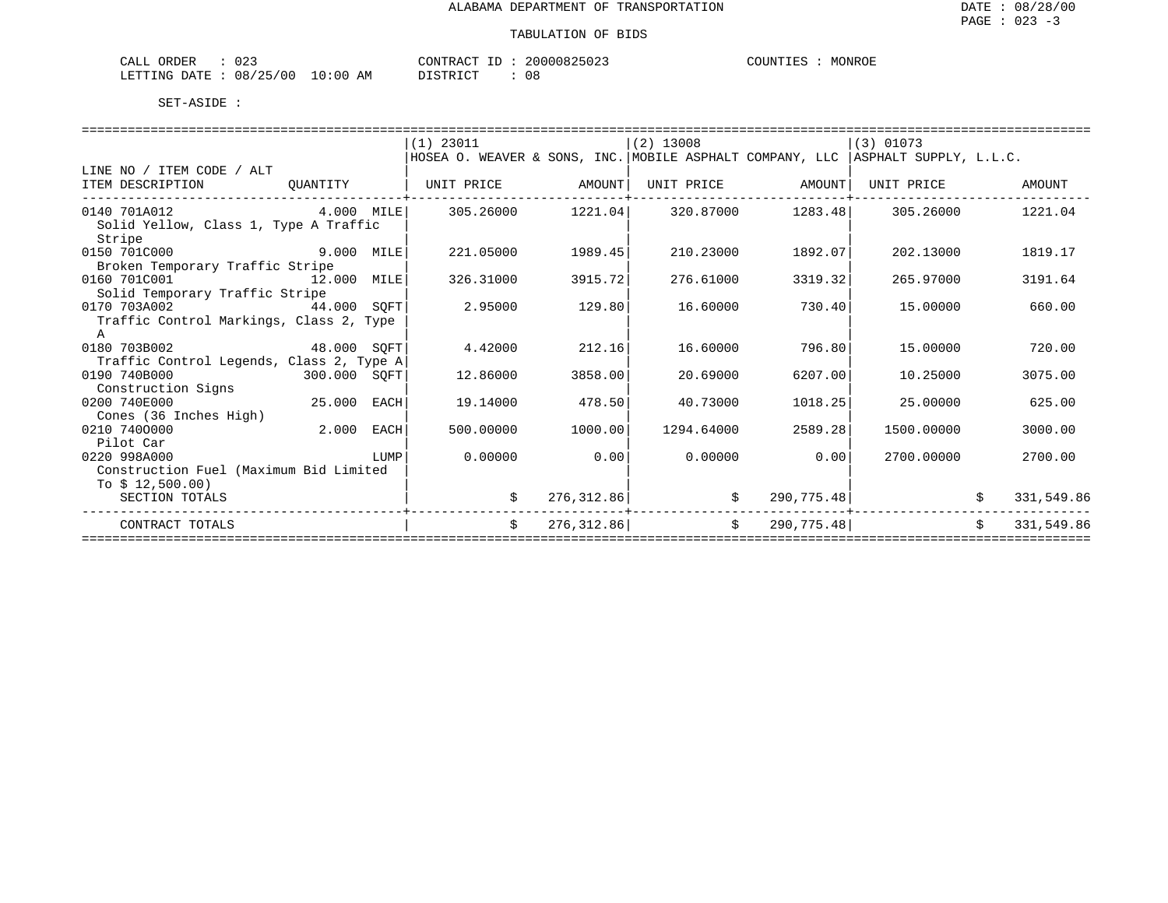| $\cap$ $\cap$ $\cap$<br>CALL<br>ORDER<br>- U 4 - |             | CONTRACT<br>$\pi$ $\sim$<br>$-1$<br>⊥ | 20000825023 | COUNTIES<br>MONROE |
|--------------------------------------------------|-------------|---------------------------------------|-------------|--------------------|
| 08/25<br>(00)<br>LETTING DATE                    | 10:00<br>AΜ | TAT                                   | n o<br>U O  |                    |

|                                                 |              |      | $(1)$ 23011                                                                       |             | $(2)$ 13008 |                   | $(3)$ 01073 |    |            |
|-------------------------------------------------|--------------|------|-----------------------------------------------------------------------------------|-------------|-------------|-------------------|-------------|----|------------|
|                                                 |              |      | HOSEA O. WEAVER & SONS, INC. MOBILE ASPHALT COMPANY, LLC   ASPHALT SUPPLY, L.L.C. |             |             |                   |             |    |            |
| LINE NO / ITEM CODE / ALT                       |              |      |                                                                                   |             |             |                   |             |    |            |
| ITEM DESCRIPTION                                | OUANTITY     |      | UNIT PRICE                                                                        | AMOUNT      |             | UNIT PRICE AMOUNT | UNIT PRICE  |    | AMOUNT     |
| 0140 701A012                                    | $4.000$ MILE |      | 305.26000                                                                         | 1221.04     |             | 320.87000 1283.48 | 305.26000   |    | 1221.04    |
| Solid Yellow, Class 1, Type A Traffic<br>Stripe |              |      |                                                                                   |             |             |                   |             |    |            |
| 0150 701C000                                    | 9.000        | MILE | 221.05000                                                                         | 1989.45     | 210.23000   | 1892.07           | 202.13000   |    | 1819.17    |
| Broken Temporary Traffic Stripe                 |              |      |                                                                                   |             |             |                   |             |    |            |
| 0160 701C001                                    | 12.000       | MILE | 326.31000                                                                         | 3915.72     | 276.61000   | 3319.32           | 265.97000   |    | 3191.64    |
| Solid Temporary Traffic Stripe                  |              |      |                                                                                   |             |             |                   |             |    |            |
| 0170 703A002<br>44.000                          |              | SOFT | 2.95000                                                                           | 129.80      | 16.60000    | 730.40            | 15,00000    |    | 660.00     |
| Traffic Control Markings, Class 2, Type         |              |      |                                                                                   |             |             |                   |             |    |            |
|                                                 |              |      |                                                                                   |             |             |                   |             |    |            |
| 48.000 SOFT<br>0180 703B002                     |              |      | 4.42000                                                                           | 212.16      | 16.60000    | 796.80            | 15,00000    |    | 720.00     |
| Traffic Control Legends, Class 2, Type A        |              |      |                                                                                   |             |             |                   |             |    |            |
| 0190 740B000                                    | 300.000 SOFT |      | 12.86000                                                                          | 3858.00     | 20.69000    | 6207.00           | 10.25000    |    | 3075.00    |
| Construction Signs                              |              |      |                                                                                   |             |             |                   |             |    |            |
| 0200 740E000                                    | 25.000       | EACH | 19.14000                                                                          | 478.50      | 40.73000    | 1018.25           | 25,00000    |    | 625.00     |
| Cones (36 Inches High)                          |              |      |                                                                                   |             |             |                   |             |    |            |
| 0210 7400000                                    | 2.000        | EACH | 500.00000                                                                         | 1000.00     | 1294.64000  | 2589.28           | 1500.00000  |    | 3000.00    |
| Pilot Car                                       |              |      |                                                                                   |             |             |                   |             |    |            |
| 0220 998A000                                    |              | LUMP | 0.00000                                                                           | 0.00        | 0.00000     | 0.00              | 2700.00000  |    | 2700.00    |
| Construction Fuel (Maximum Bid Limited          |              |      |                                                                                   |             |             |                   |             |    |            |
| To $$12,500.00)$                                |              |      |                                                                                   |             |             |                   |             |    |            |
| SECTION TOTALS                                  |              |      |                                                                                   | 276,312.86  |             | 290,775.48        |             |    | 331,549.86 |
| CONTRACT TOTALS                                 |              |      | $\mathsf{S}$                                                                      | 276, 312.86 | $\mathsf S$ | 290,775.48        |             | Ŝ. | 331,549.86 |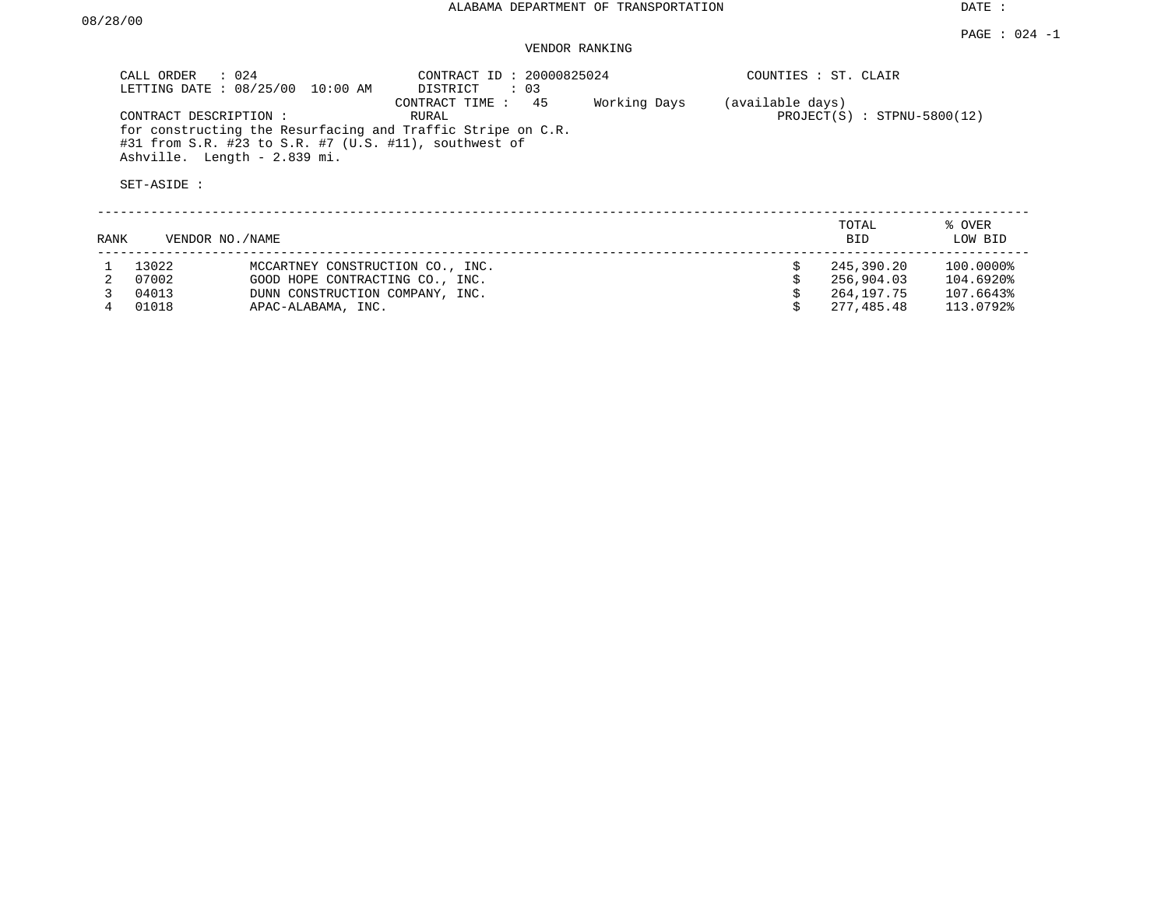## VENDOR RANKING

|      | CALL ORDER                           | $\therefore$ 024<br>LETTING DATE: 08/25/00<br>10:00 AM                                                                                               | CONTRACT ID: 20000825024<br>DISTRICT<br>$\colon$ 03 |              |                  | COUNTIES : ST. CLAIR          |                   |
|------|--------------------------------------|------------------------------------------------------------------------------------------------------------------------------------------------------|-----------------------------------------------------|--------------|------------------|-------------------------------|-------------------|
|      | CONTRACT DESCRIPTION:<br>SET-ASIDE : | for constructing the Resurfacing and Traffic Stripe on C.R.<br>#31 from S.R. #23 to S.R. #7 (U.S. #11), southwest of<br>Ashville. Length - 2.839 mi. | 45<br>CONTRACT TIME:<br>RURAL                       | Working Days | (available days) | $PROJECT(S)$ : STPNU-5800(12) |                   |
| RANK |                                      | VENDOR NO./NAME                                                                                                                                      |                                                     |              |                  | TOTAL<br><b>BID</b>           | % OVER<br>LOW BID |
|      | 13022                                | MCCARTNEY CONSTRUCTION CO., INC.                                                                                                                     |                                                     |              |                  | 245,390.20                    | 100.0000%         |
|      | 07002                                | GOOD HOPE CONTRACTING CO., INC.                                                                                                                      |                                                     |              |                  | 256,904.03                    | 104.6920%         |
|      | 04013                                | DUNN CONSTRUCTION COMPANY, INC.                                                                                                                      |                                                     |              |                  | 264,197.75                    | 107.6643%         |

4 01018 APAC-ALABAMA, INC. \$ 277,485.48 113.0792%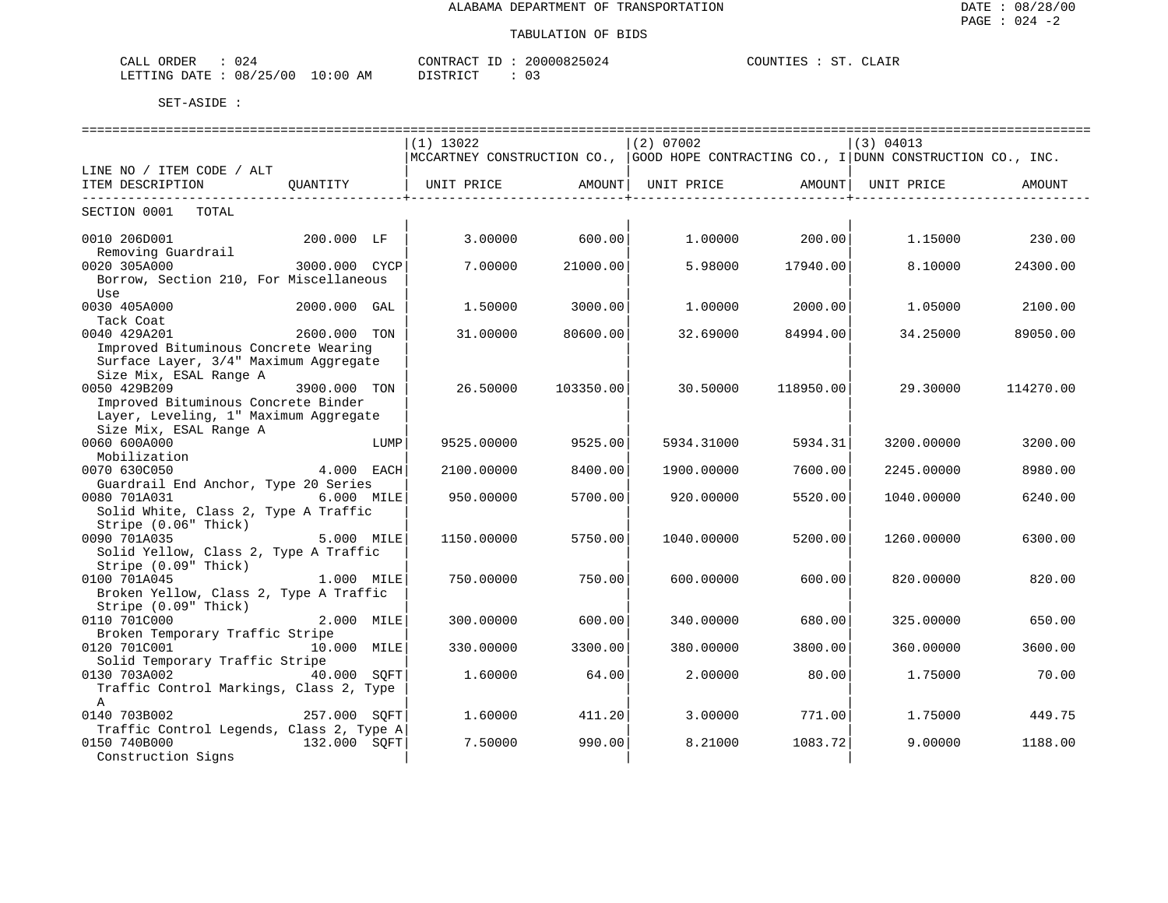| CALL ORDER                       | 024 |          | CONTRACT ID: 20000825024 | COUNTIES : ST. CLAIR |  |  |
|----------------------------------|-----|----------|--------------------------|----------------------|--|--|
| LETTING DATE : 08/25/00 10:00 AM |     | DISTRICT |                          |                      |  |  |

|                                                                                                                                                  |                 |                       | =========================== | ------------------------------- |           |                                                                                       |           |  |
|--------------------------------------------------------------------------------------------------------------------------------------------------|-----------------|-----------------------|-----------------------------|---------------------------------|-----------|---------------------------------------------------------------------------------------|-----------|--|
|                                                                                                                                                  |                 | $(1)$ 13022           |                             | $(2)$ 07002                     |           | (3) 04013                                                                             |           |  |
|                                                                                                                                                  |                 |                       |                             |                                 |           | MCCARTNEY CONSTRUCTION CO.,  GOOD HOPE CONTRACTING CO., I DUNN CONSTRUCTION CO., INC. |           |  |
| LINE NO / ITEM CODE / ALT                                                                                                                        |                 |                       |                             |                                 |           |                                                                                       |           |  |
| ITEM DESCRIPTION                                                                                                                                 |                 | OUANTITY   UNIT PRICE | AMOUNT  UNIT PRICE          |                                 | AMOUNT    | UNIT PRICE                                                                            | AMOUNT    |  |
| SECTION 0001 TOTAL                                                                                                                               |                 |                       |                             |                                 |           |                                                                                       |           |  |
| 0010 206D001<br>Removing Guardrail                                                                                                               | 200.000 LF      | 3.00000               | 600.00                      | 1.00000                         | 200.00    | 1.15000                                                                               | 230.00    |  |
| 0020 305A000<br>Borrow, Section 210, For Miscellaneous<br>Use                                                                                    | $3000.000$ CYCP | 7.00000               | 21000.00                    | 5.98000                         | 17940.00  | 8.10000                                                                               | 24300.00  |  |
| 0030 405A000<br>Tack Coat                                                                                                                        | 2000.000 GAL    | 1.50000               | 3000.00                     | 1.00000                         | 2000.00   | 1.05000                                                                               | 2100.00   |  |
| 0040 429A201<br>Improved Bituminous Concrete Wearing<br>Surface Layer, 3/4" Maximum Aggregate                                                    | 2600.000 TON    | 31,00000              | 80600.00                    | 32.69000                        | 84994.00  | 34.25000                                                                              | 89050.00  |  |
| Size Mix, ESAL Range A<br>0050 429B209<br>Improved Bituminous Concrete Binder<br>Layer, Leveling, 1" Maximum Aggregate<br>Size Mix, ESAL Range A | 3900.000 TON    | 26.50000              | 103350.00                   | 30.50000                        | 118950.00 | 29.30000                                                                              | 114270.00 |  |
| 0060 600A000<br>Mobilization                                                                                                                     | LUMP            | 9525.00000            | 9525.00                     | 5934.31000                      | 5934.31   | 3200.00000                                                                            | 3200.00   |  |
| 0070 630C050                                                                                                                                     | $4.000$ EACH    | 2100.00000            | 8400.00                     | 1900.00000                      | 7600.00   | 2245.00000                                                                            | 8980.00   |  |
| Guardrail End Anchor, Type 20 Series<br>0080 701A031<br>Solid White, Class 2, Type A Traffic<br>Stripe (0.06" Thick)                             | 6.000 MILE      | 950.00000             | 5700.00                     | 920.00000                       | 5520.00   | 1040.00000                                                                            | 6240.00   |  |
| 0090 701A035<br>Solid Yellow, Class 2, Type A Traffic<br>Stripe (0.09" Thick)                                                                    | 5.000 MILE      | 1150.00000            | 5750.00                     | 1040.00000                      | 5200.00   | 1260.00000                                                                            | 6300.00   |  |
| 0100 701A045<br>Broken Yellow, Class 2, Type A Traffic<br>Stripe (0.09" Thick)                                                                   | 1.000 MILE      | 750.00000             | 750.00                      | 600,00000                       | 600.00    | 820,00000                                                                             | 820.00    |  |
| 0110 701C000<br>Broken Temporary Traffic Stripe                                                                                                  | 2.000 MILE      | 300.00000             | 600.00                      | 340.00000                       | 680.00    | 325.00000                                                                             | 650.00    |  |
| 0120 701C001<br>Solid Temporary Traffic Stripe                                                                                                   | 10.000 MILE     | 330.00000             | 3300.00                     | 380,00000                       | 3800.00   | 360.00000                                                                             | 3600.00   |  |
| 0130 703A002<br>Traffic Control Markings, Class 2, Type<br>$\mathbb{A}$                                                                          | 40.000 SOFT     | 1.60000               | 64.00                       | 2.00000                         | 80.00     | 1.75000                                                                               | 70.00     |  |
| 0140 703B002                                                                                                                                     | 257.000 SOFT    | 1.60000               | 411.201                     | 3.00000                         | 771.00    | 1.75000                                                                               | 449.75    |  |
| Traffic Control Legends, Class 2, Type A<br>0150 740B000<br>Construction Signs                                                                   | 132.000 SQFT    | 7.50000               | 990.00                      | 8.21000                         | 1083.72   | 9.00000                                                                               | 1188.00   |  |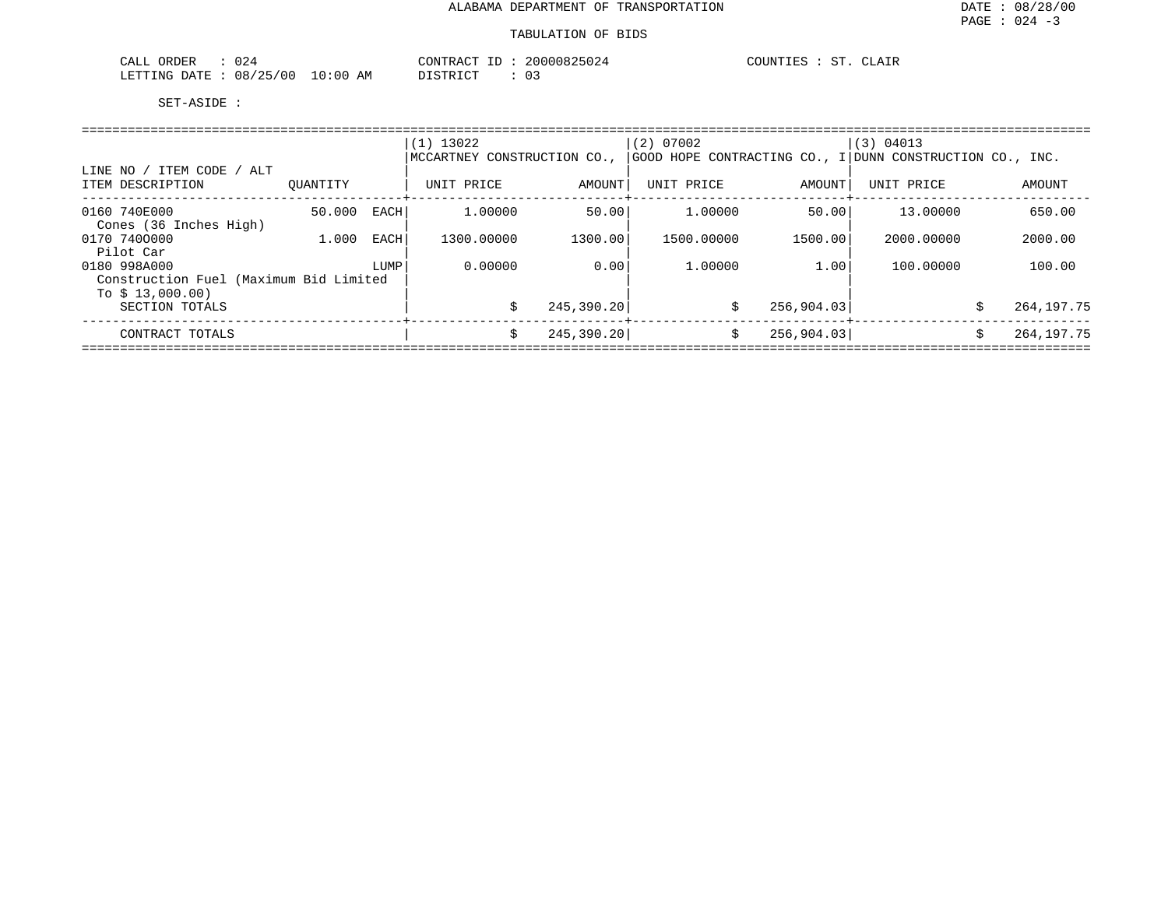| 024<br>ORDER<br>CALL     |            | CONTRACT<br>ID | 20000825024 | CLAIR<br>COUNTIES<br>$\Gamma$ |
|--------------------------|------------|----------------|-------------|-------------------------------|
| 08/25/00<br>LETTING DATE | $10:00$ AM | DISTRICT       |             |                               |

|                                                                              |          |      | $(1)$ 13022<br>MCCARTNEY CONSTRUCTION CO., |             | $(2)$ 07002 |                  | (3) 04013<br>GOOD HOPE CONTRACTING CO., I DUNN CONSTRUCTION CO., INC. |                   |
|------------------------------------------------------------------------------|----------|------|--------------------------------------------|-------------|-------------|------------------|-----------------------------------------------------------------------|-------------------|
| LINE NO / ITEM CODE / ALT<br>ITEM DESCRIPTION                                | OUANTITY |      | UNIT PRICE                                 | AMOUNT      | UNIT PRICE  | AMOUNT           | UNIT PRICE                                                            | AMOUNT            |
| 0160 740E000<br>Cones (36 Inches High)                                       | 50.000   | EACH | 1,00000                                    | 50.00       | 1.00000     | 50.00            | 13.00000                                                              | 650.00            |
| 0170 7400000<br>Pilot Car                                                    | 1,000    | EACH | 1300.00000                                 | 1300.00     | 1500.00000  | 1500.00          | 2000.00000                                                            | 2000.00           |
| 0180 998A000                                                                 |          | LUMP | 0.00000                                    | 0.00        | 1,00000     | 1.00             | 100.00000                                                             | 100.00            |
| Construction Fuel (Maximum Bid Limited<br>To $$13,000.00)$<br>SECTION TOTALS |          |      |                                            | 245,390.20  |             | 256,904.03<br>Ŝ. |                                                                       | 264, 197. 75<br>Ŝ |
| CONTRACT TOTALS                                                              |          |      | Ŝ.                                         | 245, 390.20 |             | \$<br>256,904.03 |                                                                       | 264,197.75<br>Ŝ.  |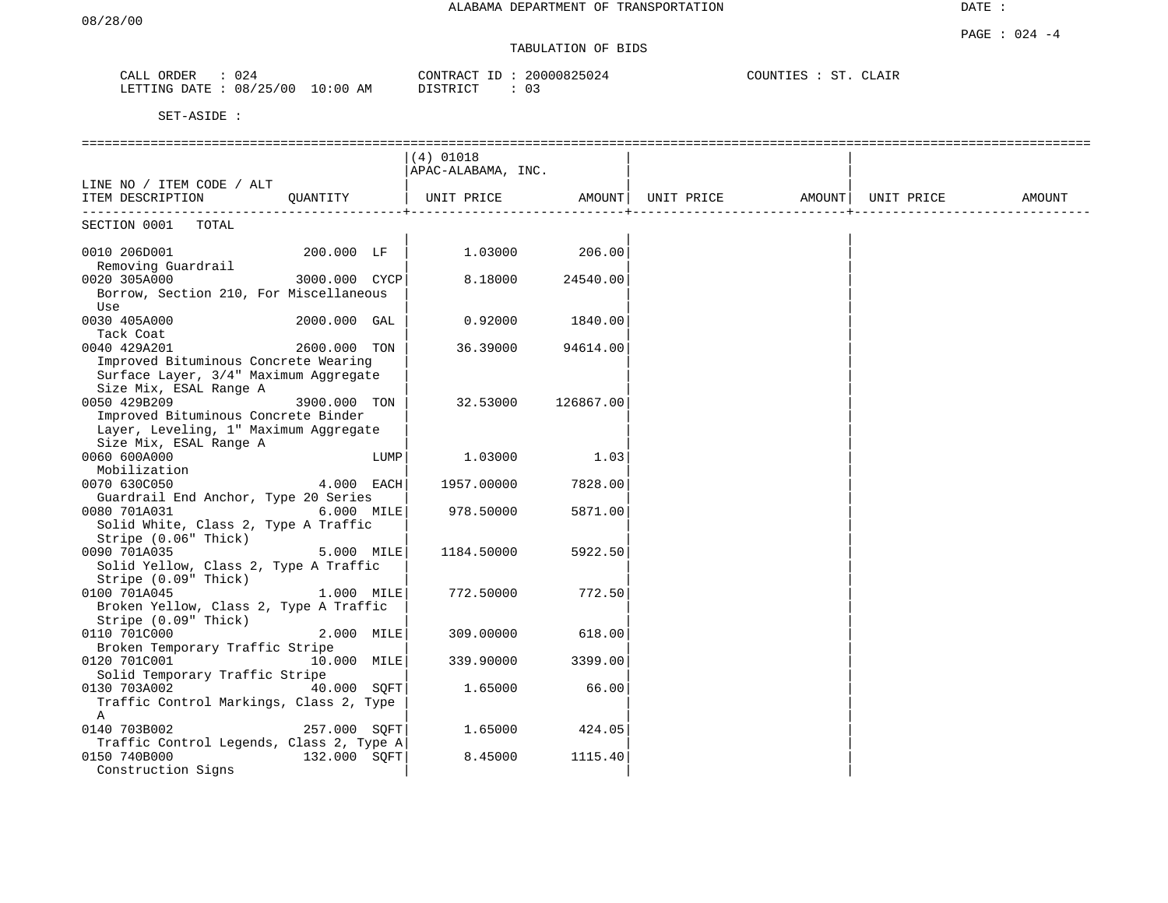# TABULATION OF BIDS

| CALL | ORDER        | 024      |            | CONTRACT ID | 20000825024 | COUNTIES | CLAIR |  |
|------|--------------|----------|------------|-------------|-------------|----------|-------|--|
|      | LETTING DATE | 08/25/00 | $10:00$ AM | DISTRICT    | 03          |          |       |  |

|                                                                                           |               |      | $(4)$ 01018<br> APAC-ALABAMA, INC. |           |                                                                                      |  |        |
|-------------------------------------------------------------------------------------------|---------------|------|------------------------------------|-----------|--------------------------------------------------------------------------------------|--|--------|
| LINE NO / ITEM CODE / ALT                                                                 |               |      |                                    |           |                                                                                      |  |        |
| ITEM DESCRIPTION                                                                          | QUANTITY      |      |                                    |           | UNIT PRICE                AMOUNT    UNIT PRICE                  AMOUNT    UNIT PRICE |  | AMOUNT |
| SECTION 0001<br>TOTAL                                                                     |               |      |                                    |           |                                                                                      |  |        |
| 0010 206D001<br>Removing Guardrail                                                        | 200.000 LF    |      | 1.03000                            | 206.00    |                                                                                      |  |        |
| 0020 305A000                                                                              | 3000.000 CYCP |      | 8.18000                            | 24540.00  |                                                                                      |  |        |
| Borrow, Section 210, For Miscellaneous<br>Use                                             |               |      |                                    |           |                                                                                      |  |        |
| 0030 405A000<br>Tack Coat                                                                 | 2000.000 GAL  |      | 0.92000                            | 1840.00   |                                                                                      |  |        |
| 0040 429A201                                                                              | 2600.000 TON  |      | 36.39000                           | 94614.00  |                                                                                      |  |        |
| Improved Bituminous Concrete Wearing                                                      |               |      |                                    |           |                                                                                      |  |        |
| Surface Layer, 3/4" Maximum Aggregate<br>Size Mix, ESAL Range A                           |               |      |                                    |           |                                                                                      |  |        |
| 0050 429B209                                                                              | 3900.000 TON  |      | 32.53000                           | 126867.00 |                                                                                      |  |        |
| Improved Bituminous Concrete Binder                                                       |               |      |                                    |           |                                                                                      |  |        |
| Layer, Leveling, 1" Maximum Aggregate<br>Size Mix, ESAL Range A                           |               |      |                                    |           |                                                                                      |  |        |
| 0060 600A000<br>Mobilization                                                              |               | LUMP | 1.03000                            | 1.03      |                                                                                      |  |        |
| 0070 630C050                                                                              | 4.000 EACH    |      | 1957.00000                         | 7828.00   |                                                                                      |  |        |
| Guardrail End Anchor, Type 20 Series                                                      |               |      |                                    |           |                                                                                      |  |        |
| 0080 701A031                                                                              | 6.000 MILE    |      | 978.50000                          | 5871.00   |                                                                                      |  |        |
| Solid White, Class 2, Type A Traffic                                                      |               |      |                                    |           |                                                                                      |  |        |
| Stripe (0.06" Thick)<br>0090 701A035                                                      | 5.000 MILE    |      | 1184.50000                         |           |                                                                                      |  |        |
| Solid Yellow, Class 2, Type A Traffic<br>Stripe (0.09" Thick)                             |               |      |                                    | 5922.50   |                                                                                      |  |        |
| 0100 701A045                                                                              | 1.000 MILE    |      | 772.50000                          | 772.50    |                                                                                      |  |        |
| Broken Yellow, Class 2, Type A Traffic<br>Stripe (0.09" Thick)                            |               |      |                                    |           |                                                                                      |  |        |
| 0110 701C000<br>Broken Temporary Traffic Stripe                                           | 2.000 MILE    |      | 309,00000                          | 618.00    |                                                                                      |  |        |
| 0120 701C001                                                                              | 10.000 MILE   |      | 339.90000                          | 3399.00   |                                                                                      |  |        |
| Solid Temporary Traffic Stripe<br>0130 703A002<br>Traffic Control Markings, Class 2, Type | 40.000 SOFT   |      | 1.65000                            | 66.00     |                                                                                      |  |        |
| Α<br>0140 703B002                                                                         | 257.000 SOFT  |      | 1.65000                            | 424.05    |                                                                                      |  |        |
| Traffic Control Legends, Class 2, Type A                                                  |               |      |                                    |           |                                                                                      |  |        |
| 0150 740B000<br>Construction Signs                                                        | 132.000 SQFT  |      | 8.45000                            | 1115.40   |                                                                                      |  |        |
|                                                                                           |               |      |                                    |           |                                                                                      |  |        |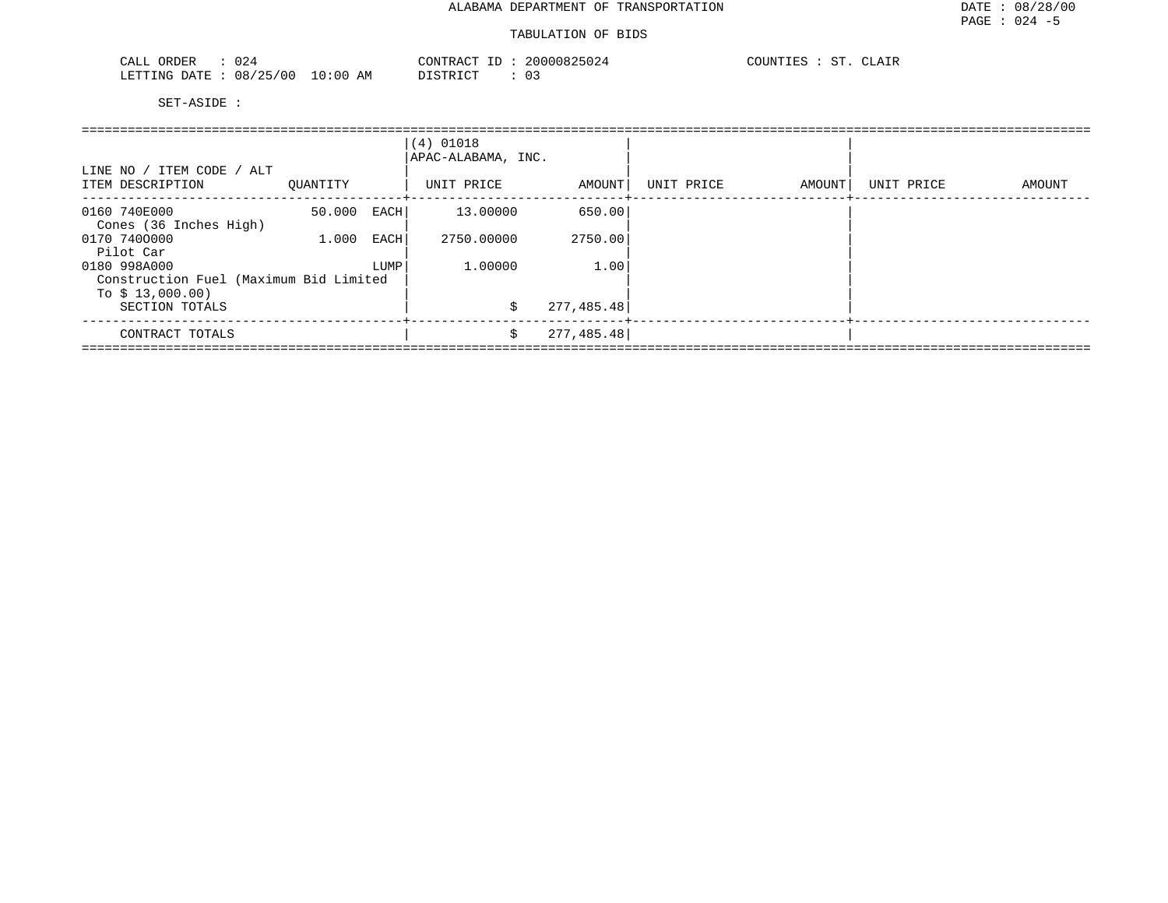#### TABULATION OF BIDS

| 024<br>ORDER<br>CALL                                                                                                                        |             | CONTRACT                | 20000825024           | $\sim$<br>۰Δ.<br>. |
|---------------------------------------------------------------------------------------------------------------------------------------------|-------------|-------------------------|-----------------------|--------------------|
| 08/25/00<br>LETTING DATE<br>the contract of the contract of the contract of the contract of the contract of the contract of the contract of | 10:00<br>AΜ | יחומים החימיות<br>' ⊢ I | $\sim$<br><u> U J</u> |                    |

| LINE NO / ITEM CODE / ALT                                  |          |      | $(4)$ 01018<br>APAC-ALABAMA, INC. |             |            |        |            |        |
|------------------------------------------------------------|----------|------|-----------------------------------|-------------|------------|--------|------------|--------|
| ITEM DESCRIPTION                                           | OUANTITY |      | UNIT PRICE                        | AMOUNT      | UNIT PRICE | AMOUNT | UNIT PRICE | AMOUNT |
| 0160 740E000<br>Cones (36 Inches High)                     | 50.000   | EACH | 13.00000                          | 650.00      |            |        |            |        |
| 0170 7400000                                               | 1,000    | EACH | 2750.00000                        | 2750.00     |            |        |            |        |
| Pilot Car<br>0180 998A000                                  |          | LUMP | 1,00000                           | 1.00        |            |        |            |        |
| Construction Fuel (Maximum Bid Limited<br>To $$13,000.00)$ |          |      |                                   |             |            |        |            |        |
| SECTION TOTALS                                             |          |      | \$                                | 277, 485.48 |            |        |            |        |
| CONTRACT TOTALS                                            |          |      | \$                                | 277, 485.48 |            |        |            |        |
|                                                            |          |      |                                   |             |            |        |            |        |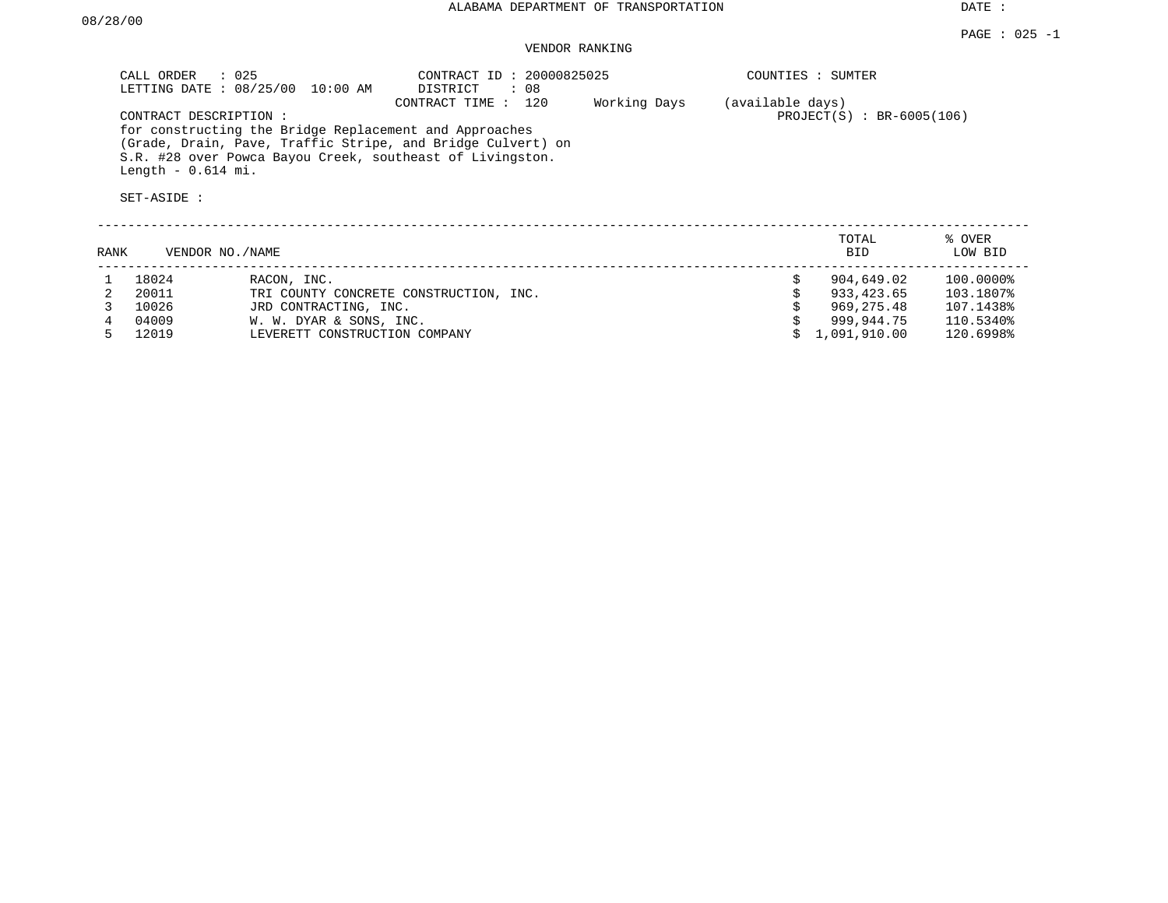## VENDOR RANKING

|      | $\therefore$ 025<br>CALL ORDER<br>CONTRACT DESCRIPTION:<br>Length $-0.614$ mi.<br>SET-ASIDE : | LETTING DATE : 08/25/00 10:00 AM                                                                 | CONTRACT ID: 20000825025<br>DISTRICT<br>: 08<br>120<br>CONTRACT TIME:<br>for constructing the Bridge Replacement and Approaches<br>(Grade, Drain, Pave, Traffic Stripe, and Bridge Culvert) on<br>S.R. #28 over Powca Bayou Creek, southeast of Livingston. | Working Days | (available days) | COUNTIES : SUMTER<br>$PROJECT(S) : BR-6005(106)$                     |                                                               |
|------|-----------------------------------------------------------------------------------------------|--------------------------------------------------------------------------------------------------|-------------------------------------------------------------------------------------------------------------------------------------------------------------------------------------------------------------------------------------------------------------|--------------|------------------|----------------------------------------------------------------------|---------------------------------------------------------------|
| RANK | VENDOR NO./NAME                                                                               |                                                                                                  |                                                                                                                                                                                                                                                             |              |                  | TOTAL<br><b>BID</b>                                                  | % OVER<br>LOW BID                                             |
|      | 18024<br>20011<br>10026<br>04009<br>12019                                                     | RACON, INC.<br>JRD CONTRACTING, INC.<br>W. W. DYAR & SONS, INC.<br>LEVERETT CONSTRUCTION COMPANY | TRI COUNTY CONCRETE CONSTRUCTION, INC.                                                                                                                                                                                                                      |              |                  | 904,649.02<br>933,423.65<br>969,275.48<br>999,944.75<br>1,091,910.00 | 100.0000%<br>103.1807%<br>107.1438%<br>110.5340%<br>120.6998% |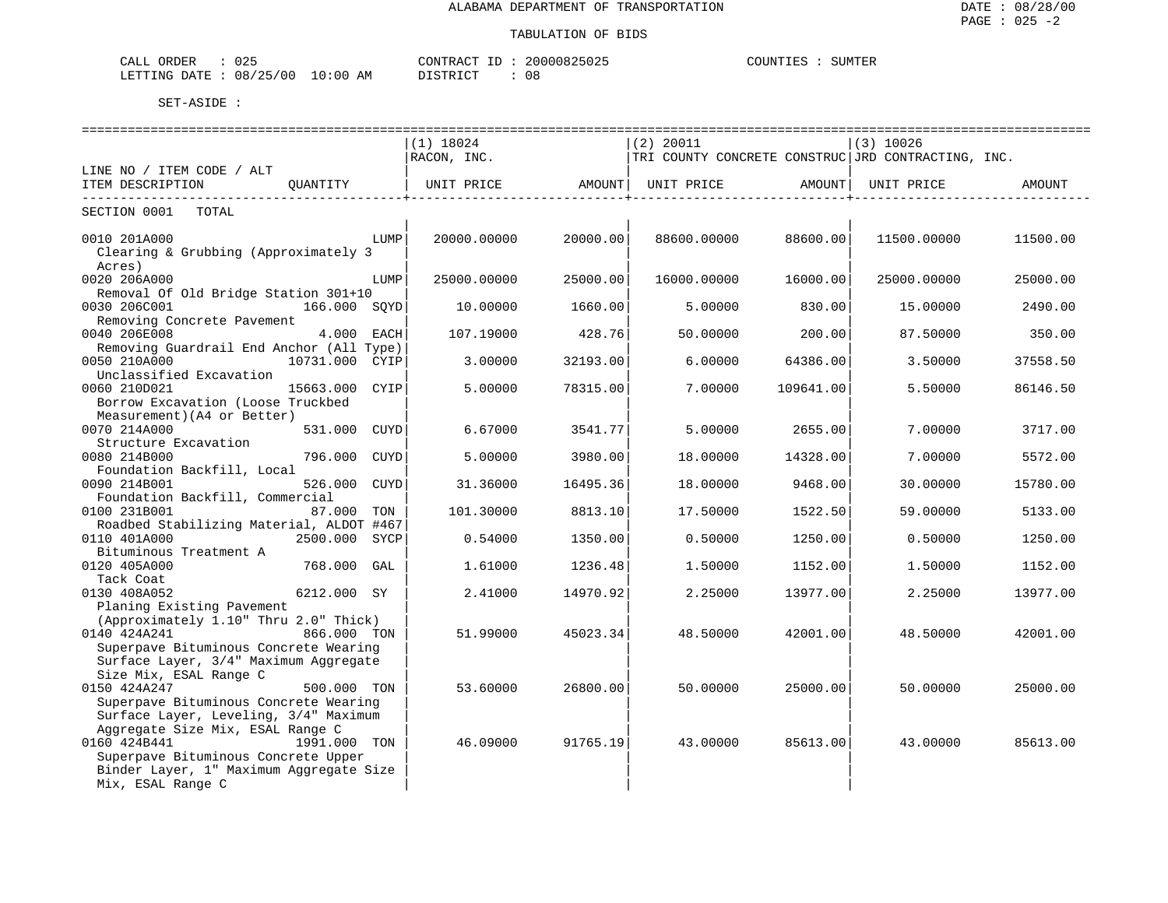| $\sim$ $\sim$ $\sim$<br>CALL ORDER<br>J25. | CONTRACT<br>ID | 20000825025<br>COUNTIES | <b>SUMTER</b> |
|--------------------------------------------|----------------|-------------------------|---------------|
| LETTING DATE: 08/25/00 10:00 AM            | 08<br>DISTRICT |                         |               |

|                                                                                                                                                   | =======================<br>$(1)$ 18024      |          | $(2)$ 20011                                        |           | $(3)$ 10026 |          |
|---------------------------------------------------------------------------------------------------------------------------------------------------|---------------------------------------------|----------|----------------------------------------------------|-----------|-------------|----------|
|                                                                                                                                                   | RACON, INC.                                 |          | TRI COUNTY CONCRETE CONSTRUC JRD CONTRACTING, INC. |           |             |          |
| LINE NO / ITEM CODE / ALT<br>ITEM DESCRIPTION<br>OUANTITY                                                                                         | UNIT PRICE<br>----------------------------- | AMOUNT   | UNIT PRICE<br>_____________________                | AMOUNT    | UNIT PRICE  | AMOUNT   |
| SECTION 0001<br>TOTAL                                                                                                                             |                                             |          |                                                    |           |             |          |
| 0010 201A000<br>LUMP<br>Clearing & Grubbing (Approximately 3<br>Acres)                                                                            | 20000.00000                                 | 20000.00 | 88600.00000                                        | 88600.00  | 11500.00000 | 11500.00 |
| 0020 206A000<br>LUMP<br>Removal Of Old Bridge Station 301+10                                                                                      | 25000.00000                                 | 25000.00 | 16000.00000                                        | 16000.00  | 25000.00000 | 25000.00 |
| 0030 206C001<br>166.000 SOYD                                                                                                                      | 10.00000                                    | 1660.00  | 5.00000                                            | 830.00    | 15.00000    | 2490.00  |
| Removing Concrete Pavement<br>0040 206E008<br>4.000 EACH                                                                                          | 107.19000                                   | 428.76   | 50.00000                                           | 200.00    | 87.50000    | 350.00   |
| Removing Guardrail End Anchor (All Type)<br>0050 210A000<br>10731.000 CYIP<br>Unclassified Excavation                                             | 3.00000                                     | 32193.00 | 6.00000                                            | 64386.00  | 3.50000     | 37558.50 |
| 0060 210D021<br>15663.000 CYIP<br>Borrow Excavation (Loose Truckbed<br>Measurement) (A4 or Better)                                                | 5.00000                                     | 78315.00 | 7.00000                                            | 109641.00 | 5.50000     | 86146.50 |
| 0070 214A000<br>531.000 CUYD<br>Structure Excavation                                                                                              | 6.67000                                     | 3541.77  | 5.00000                                            | 2655.00   | 7.00000     | 3717.00  |
| 0080 214B000<br>796.000 CUYD                                                                                                                      | 5.00000                                     | 3980.00  | 18.00000                                           | 14328.00  | 7.00000     | 5572.00  |
| Foundation Backfill, Local<br>526.000 CUYD<br>0090 214B001<br>Foundation Backfill, Commercial                                                     | 31.36000                                    | 16495.36 | 18.00000                                           | 9468.00   | 30.00000    | 15780.00 |
| 0100 231B001<br>87.000 TON<br>Roadbed Stabilizing Material, ALDOT #467                                                                            | 101.30000                                   | 8813.10  | 17.50000                                           | 1522.50   | 59.00000    | 5133.00  |
| 0110 401A000<br>2500.000 SYCP<br>Bituminous Treatment A                                                                                           | 0.54000                                     | 1350.00  | 0.50000                                            | 1250.00   | 0.50000     | 1250.00  |
| 768.000 GAL<br>0120 405A000<br>Tack Coat                                                                                                          | 1,61000                                     | 1236.48  | 1.50000                                            | 1152.00   | 1.50000     | 1152.00  |
| 0130 408A052<br>6212.000 SY                                                                                                                       | 2.41000                                     | 14970.92 | 2.25000                                            | 13977.00  | 2.25000     | 13977.00 |
| Planing Existing Pavement<br>(Approximately 1.10" Thru 2.0" Thick)                                                                                |                                             |          |                                                    |           |             |          |
| 0140 424A241<br>866.000 TON<br>Superpave Bituminous Concrete Wearing<br>Surface Layer, 3/4" Maximum Aggregate<br>Size Mix, ESAL Range C           | 51.99000                                    | 45023.34 | 48.50000                                           | 42001.00  | 48.50000    | 42001.00 |
| 0150 424A247<br>500.000 TON<br>Superpave Bituminous Concrete Wearing<br>Surface Layer, Leveling, 3/4" Maximum<br>Aggregate Size Mix, ESAL Range C | 53.60000                                    | 26800.00 | 50.00000                                           | 25000.00  | 50.00000    | 25000.00 |
| 0160 424B441<br>1991.000 TON<br>Superpave Bituminous Concrete Upper<br>Binder Layer, 1" Maximum Aggregate Size<br>Mix, ESAL Range C               | 46.09000                                    | 91765.19 | 43.00000                                           | 85613.00  | 43.00000    | 85613.00 |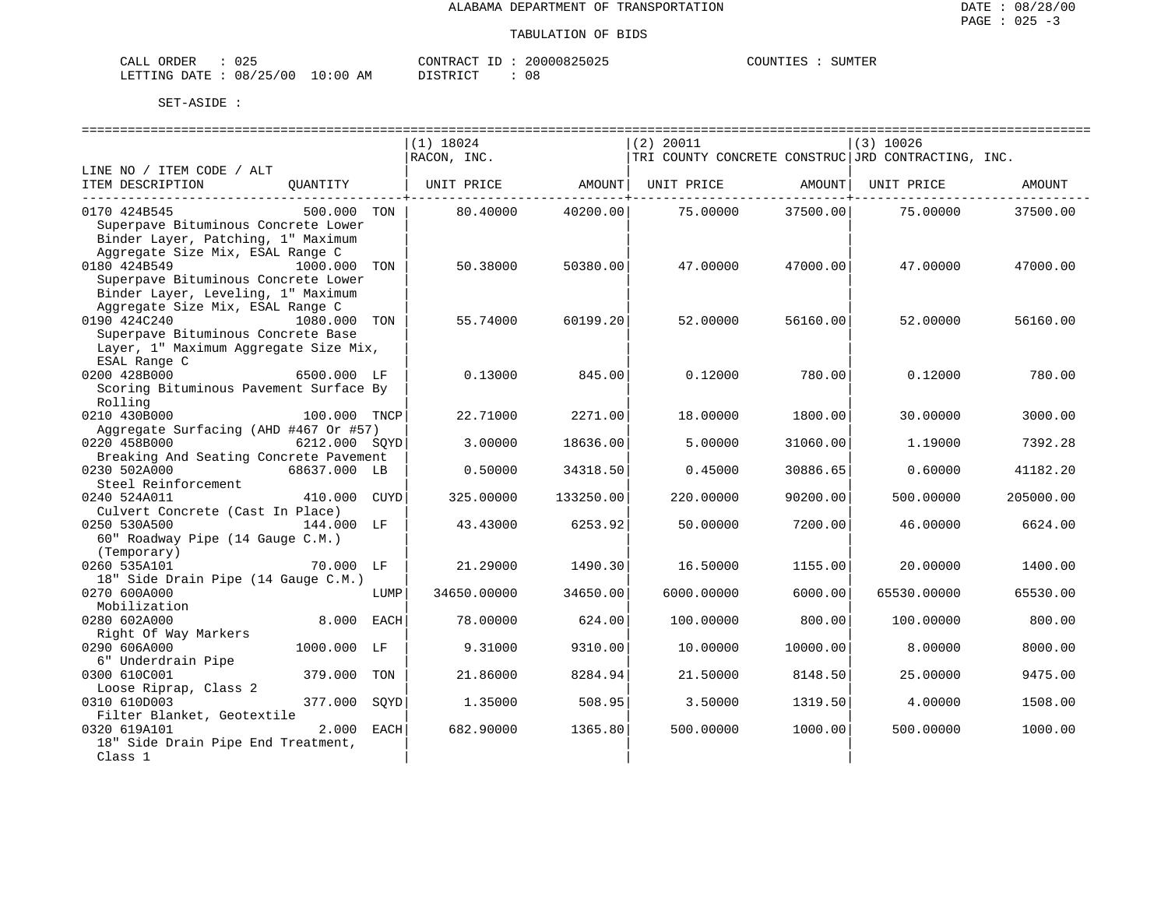| CALL<br>ORDER          | J 25 |             | CONTRACT ID | 20000825025 | COUNTIES | SUMTER |
|------------------------|------|-------------|-------------|-------------|----------|--------|
| LETTING DATE: 08/25/00 |      | 10:00<br>AM | DI STR TAT  | 08          |          |        |

|                                                        |               |      | (1) 18024   |           | $(2)$ 20011                                        |          | $(3)$ 10026 |           |
|--------------------------------------------------------|---------------|------|-------------|-----------|----------------------------------------------------|----------|-------------|-----------|
|                                                        |               |      | RACON, INC. |           | TRI COUNTY CONCRETE CONSTRUC JRD CONTRACTING, INC. |          |             |           |
| LINE NO / ITEM CODE / ALT                              |               |      |             |           |                                                    |          |             |           |
| ITEM DESCRIPTION                                       | OUANTITY      |      | UNIT PRICE  | AMOUNT    | UNIT PRICE                                         | AMOUNT   | UNIT PRICE  | AMOUNT    |
| 0170 424B545                                           | 500.000 TON   |      | 80.40000    | 40200.00  | 75.00000                                           | 37500.00 | 75.00000    | 37500.00  |
| Superpave Bituminous Concrete Lower                    |               |      |             |           |                                                    |          |             |           |
| Binder Layer, Patching, 1" Maximum                     |               |      |             |           |                                                    |          |             |           |
| Aggregate Size Mix, ESAL Range C                       |               |      |             |           |                                                    |          |             |           |
| 0180 424B549                                           | 1000.000 TON  |      | 50.38000    | 50380.00  | 47.00000                                           | 47000.00 | 47.00000    | 47000.00  |
| Superpave Bituminous Concrete Lower                    |               |      |             |           |                                                    |          |             |           |
| Binder Layer, Leveling, 1" Maximum                     |               |      |             |           |                                                    |          |             |           |
| Aggregate Size Mix, ESAL Range C                       |               |      |             |           |                                                    |          |             |           |
| 0190 424C240                                           | 1080.000      | TON  | 55.74000    | 60199.20  | 52.00000                                           | 56160.00 | 52.00000    | 56160.00  |
| Superpave Bituminous Concrete Base                     |               |      |             |           |                                                    |          |             |           |
| Layer, 1" Maximum Aggregate Size Mix,                  |               |      |             |           |                                                    |          |             |           |
| ESAL Range C                                           |               |      |             |           |                                                    |          |             |           |
| 0200 428B000                                           | 6500.000 LF   |      | 0.13000     | 845.00    | 0.12000                                            | 780.00   | 0.12000     | 780.00    |
| Scoring Bituminous Pavement Surface By                 |               |      |             |           |                                                    |          |             |           |
| Rolling                                                |               |      |             |           |                                                    |          |             |           |
| 0210 430B000                                           | 100.000 TNCP  |      | 22.71000    | 2271.00   | 18,00000                                           | 1800.00  | 30,00000    | 3000.00   |
| Aggregate Surfacing (AHD #467 Or #57)                  |               |      |             |           |                                                    |          |             |           |
| 0220 458B000                                           | 6212.000 SOYD |      | 3.00000     | 18636.00  | 5.00000                                            | 31060.00 | 1,19000     | 7392.28   |
| Breaking And Seating Concrete Pavement<br>0230 502A000 | 68637.000 LB  |      |             | 34318.50  | 0.45000                                            | 30886.65 | 0.60000     | 41182.20  |
| Steel Reinforcement                                    |               |      | 0.50000     |           |                                                    |          |             |           |
| 0240 524A011                                           | 410.000 CUYD  |      | 325.00000   | 133250.00 | 220.00000                                          | 90200.00 | 500.00000   | 205000.00 |
| Culvert Concrete (Cast In Place)                       |               |      |             |           |                                                    |          |             |           |
| 0250 530A500                                           | 144.000 LF    |      | 43.43000    | 6253.92   | 50.00000                                           | 7200.00  | 46.00000    | 6624.00   |
| 60" Roadway Pipe (14 Gauge C.M.)                       |               |      |             |           |                                                    |          |             |           |
| (Temporary)                                            |               |      |             |           |                                                    |          |             |           |
| 0260 535A101                                           | 70.000 LF     |      | 21.29000    | 1490.30   | 16.50000                                           | 1155.00  | 20.00000    | 1400.00   |
| 18" Side Drain Pipe (14 Gauge C.M.)                    |               |      |             |           |                                                    |          |             |           |
| 0270 600A000                                           |               | LUMP | 34650.00000 | 34650.00  | 6000.00000                                         | 6000.00  | 65530.00000 | 65530.00  |
| Mobilization                                           |               |      |             |           |                                                    |          |             |           |
| 0280 602A000                                           | 8,000         | EACH | 78.00000    | 624.00    | 100.00000                                          | 800.00   | 100.00000   | 800.00    |
| Right Of Way Markers                                   |               |      |             |           |                                                    |          |             |           |
| 0290 606A000                                           | 1000.000 LF   |      | 9.31000     | 9310.00   | 10.00000                                           | 10000.00 | 8,00000     | 8000.00   |
| 6" Underdrain Pipe                                     |               |      |             |           |                                                    |          |             |           |
| 0300 610C001                                           | 379.000       | TON  | 21.86000    | 8284.94   | 21.50000                                           | 8148.50  | 25.00000    | 9475.00   |
| Loose Riprap, Class 2                                  |               |      |             |           |                                                    |          |             |           |
| 0310 610D003                                           | 377.000       | SOYD | 1,35000     | 508.95    | 3.50000                                            | 1319.50  | 4.00000     | 1508.00   |
| Filter Blanket, Geotextile                             |               |      |             |           |                                                    |          |             |           |
| 0320 619A101                                           | 2.000         | EACH | 682.90000   | 1365.80   | 500.00000                                          | 1000.00  | 500.00000   | 1000.00   |
| 18" Side Drain Pipe End Treatment,                     |               |      |             |           |                                                    |          |             |           |
| Class 1                                                |               |      |             |           |                                                    |          |             |           |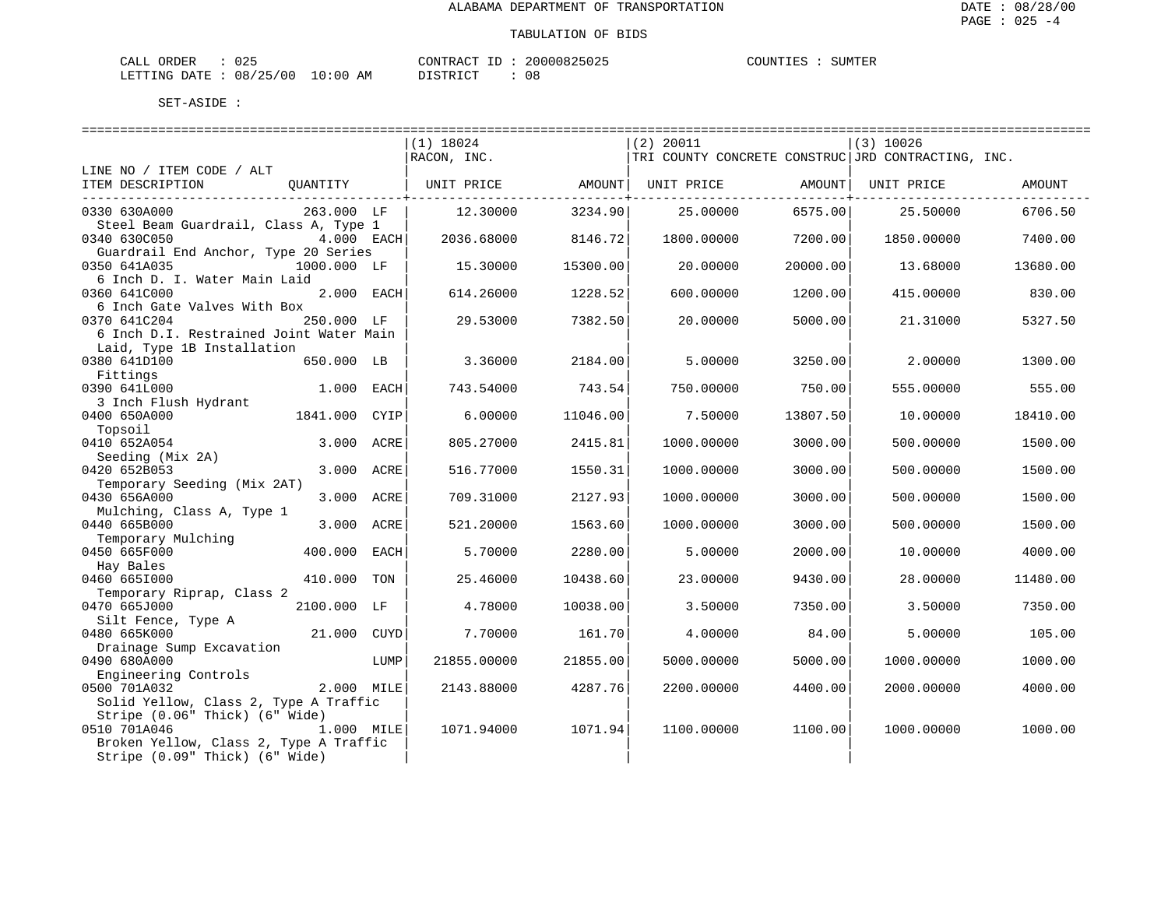| CALL ORDER                       | : 025 | CO |
|----------------------------------|-------|----|
| LETTING DATE : 08/25/00 10:00 AM |       | DT |

DNTRACT ID : 20000825025 LSTRICT : 08

COUNTIES : SUMTER

|                                         |             |      | =============================== |          | ==============================                     |          | ================================= |          |
|-----------------------------------------|-------------|------|---------------------------------|----------|----------------------------------------------------|----------|-----------------------------------|----------|
|                                         |             |      | $(1)$ 18024                     |          | $(2)$ 20011                                        |          | $(3)$ 10026                       |          |
|                                         |             |      | RACON, INC.                     |          | TRI COUNTY CONCRETE CONSTRUC JRD CONTRACTING, INC. |          |                                   |          |
| LINE NO / ITEM CODE / ALT               |             |      |                                 |          |                                                    |          |                                   |          |
| ITEM DESCRIPTION                        | QUANTITY    |      | UNIT PRICE                      | AMOUNT   | UNIT PRICE AMOUNT                                  |          | UNIT PRICE                        | AMOUNT   |
| ---------------------------------       |             |      |                                 |          |                                                    |          |                                   |          |
| 0330 630A000                            | 263.000 LF  |      | 12.30000                        | 3234.90  | 25,00000                                           | 6575.00  | 25.50000                          | 6706.50  |
| Steel Beam Guardrail, Class A, Type 1   |             |      |                                 |          |                                                    |          |                                   |          |
| 0340 630C050                            | 4.000 EACH  |      | 2036.68000                      | 8146.72  | 1800.00000                                         | 7200.00  | 1850.00000                        | 7400.00  |
| Guardrail End Anchor, Type 20 Series    |             |      |                                 |          |                                                    |          |                                   |          |
| 0350 641A035                            | 1000.000 LF |      | 15.30000                        | 15300.00 | 20.00000                                           | 20000.00 | 13.68000                          | 13680.00 |
| 6 Inch D. I. Water Main Laid            |             |      |                                 |          |                                                    |          |                                   |          |
| 0360 641C000                            | 2.000 EACH  |      | 614.26000                       | 1228.52  | 600.00000                                          | 1200.00  | 415.00000                         | 830.00   |
| 6 Inch Gate Valves With Box             |             |      |                                 |          |                                                    |          |                                   |          |
| 0370 641C204                            | 250.000 LF  |      | 29.53000                        | 7382.50  | 20.00000                                           | 5000.00  | 21.31000                          | 5327.50  |
| 6 Inch D.I. Restrained Joint Water Main |             |      |                                 |          |                                                    |          |                                   |          |
| Laid, Type 1B Installation              |             |      |                                 |          |                                                    |          |                                   |          |
| 0380 641D100                            | 650.000 LB  |      | 3.36000                         | 2184.00  | 5.00000                                            | 3250.00  | 2,00000                           | 1300.00  |
| Fittings                                |             |      |                                 |          |                                                    |          |                                   |          |
| 0390 641L000                            | 1.000 EACH  |      | 743.54000                       | 743.54   | 750.00000                                          | 750.00   | 555.00000                         | 555.00   |
| 3 Inch Flush Hydrant                    |             |      |                                 |          |                                                    |          |                                   |          |
| 0400 650A000                            | 1841.000    | CYIP | 6.00000                         | 11046.00 | 7.50000                                            | 13807.50 | 10.00000                          | 18410.00 |
| Topsoil                                 |             |      |                                 |          |                                                    |          |                                   |          |
| 0410 652A054                            | 3.000 ACRE  |      | 805.27000                       | 2415.81  | 1000.00000                                         | 3000.00  | 500.00000                         | 1500.00  |
| Seeding (Mix 2A)                        |             |      |                                 |          |                                                    |          |                                   |          |
| 0420 652B053                            | 3.000 ACRE  |      | 516.77000                       | 1550.31  | 1000.00000                                         | 3000.00  | 500.00000                         | 1500.00  |
| Temporary Seeding (Mix 2AT)             |             |      |                                 |          |                                                    |          |                                   |          |
| 0430 656A000                            | 3.000 ACRE  |      | 709.31000                       | 2127.93  | 1000.00000                                         | 3000.00  | 500.00000                         | 1500.00  |
| Mulching, Class A, Type 1               |             |      |                                 |          |                                                    |          |                                   |          |
| 0440 665B000                            | 3.000 ACRE  |      | 521.20000                       | 1563.60  | 1000.00000                                         | 3000.00  | 500.00000                         | 1500.00  |
| Temporary Mulching                      |             |      |                                 |          |                                                    |          |                                   |          |
| 0450 665F000                            | 400.000     | EACH | 5.70000                         | 2280.00  | 5.00000                                            | 2000.00  | 10.00000                          | 4000.00  |
| Hay Bales                               |             |      |                                 |          |                                                    |          |                                   |          |
| 0460 6651000                            | 410.000     | TON  | 25.46000                        | 10438.60 | 23.00000                                           | 9430.00  | 28,00000                          | 11480.00 |
| Temporary Riprap, Class 2               |             |      |                                 |          |                                                    |          |                                   |          |
| 0470 665J000                            | 2100.000 LF |      | 4.78000                         | 10038.00 | 3.50000                                            | 7350.00  | 3.50000                           | 7350.00  |
| Silt Fence, Type A                      |             |      |                                 |          |                                                    |          |                                   |          |
| 0480 665K000                            | 21.000 CUYD |      | 7.70000                         | 161.70   | 4.00000                                            | 84.00    | 5.00000                           | 105.00   |
| Drainage Sump Excavation                |             |      |                                 |          |                                                    |          |                                   |          |
| 0490 680A000                            |             | LUMP | 21855.00000                     | 21855.00 | 5000.00000                                         | 5000.00  | 1000.00000                        | 1000.00  |
| Engineering Controls                    |             |      |                                 |          |                                                    |          |                                   |          |
| 0500 701A032                            | 2.000 MILE  |      | 2143.88000                      | 4287.76  | 2200.00000                                         | 4400.00  | 2000.00000                        | 4000.00  |
| Solid Yellow, Class 2, Type A Traffic   |             |      |                                 |          |                                                    |          |                                   |          |
| Stripe (0.06" Thick) (6" Wide)          |             |      |                                 |          |                                                    |          |                                   |          |
| 0510 701A046                            | 1.000 MILE  |      | 1071.94000                      | 1071.94  | 1100.00000                                         | 1100.00  | 1000.00000                        | 1000.00  |
| Broken Yellow, Class 2, Type A Traffic  |             |      |                                 |          |                                                    |          |                                   |          |
| Stripe (0.09" Thick) (6" Wide)          |             |      |                                 |          |                                                    |          |                                   |          |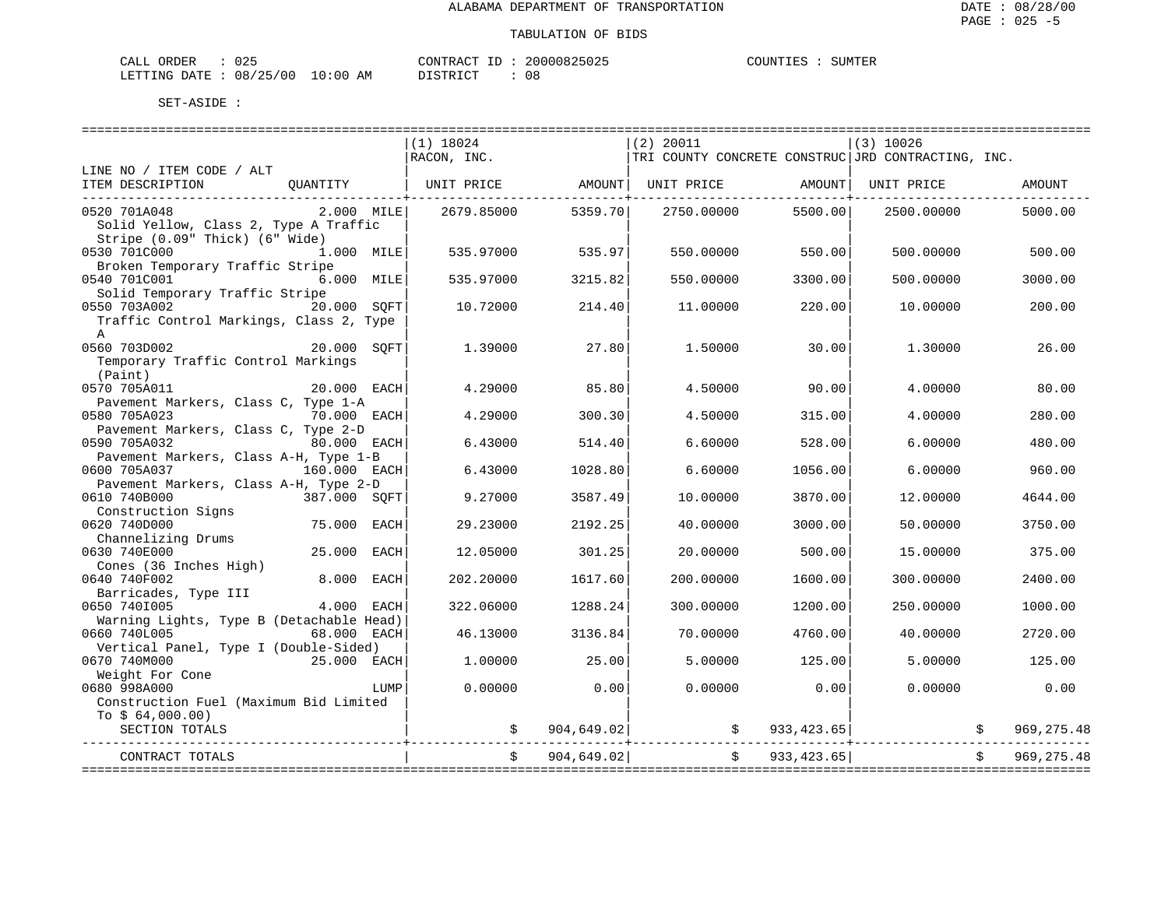| CALL ORDER                       | 025 | CONTRACT ID : | 20000825025 | COUNTIES | SUMTER |
|----------------------------------|-----|---------------|-------------|----------|--------|
| LETTING DATE : 08/25/00 10:00 AM |     | DISTRICT      | 0 a         |          |        |

|                                          |                | ===============================<br>$(1)$ 18024 |               | =============================<br>$(2)$ 20011                                           |         | . ====================<br> (3) 10026 |               |
|------------------------------------------|----------------|------------------------------------------------|---------------|----------------------------------------------------------------------------------------|---------|--------------------------------------|---------------|
|                                          |                | RACON, INC.                                    |               | TRI COUNTY CONCRETE CONSTRUC JRD CONTRACTING, INC.                                     |         |                                      |               |
| LINE NO / ITEM CODE / ALT                |                |                                                |               |                                                                                        |         |                                      |               |
| ITEM DESCRIPTION                         | QUANTITY       |                                                |               | UNIT PRICE                 AMOUNT    UNIT PRICE                   AMOUNT    UNIT PRICE |         |                                      | AMOUNT        |
| 0520 701A048                             | $2.000$ MILE   | 2679.85000                                     | 5359.70       | 2750.00000                                                                             | 5500.00 | 2500.00000                           | 5000.00       |
| Solid Yellow, Class 2, Type A Traffic    |                |                                                |               |                                                                                        |         |                                      |               |
| Stripe (0.09" Thick) (6" Wide)           |                |                                                |               |                                                                                        |         |                                      |               |
| 0530 701C000                             | 1.000 MILE     | 535.97000                                      | 535.97        | 550.00000                                                                              | 550.00  | 500.00000                            | 500.00        |
| Broken Temporary Traffic Stripe          |                |                                                |               |                                                                                        |         |                                      |               |
| 0540 701C001                             | 6.000 MILE     | 535.97000                                      | 3215.82       | 550.00000                                                                              | 3300.00 | 500.00000                            | 3000.00       |
| Solid Temporary Traffic Stripe           |                |                                                |               |                                                                                        |         |                                      |               |
| 0550 703A002                             | 20.000 SOFT    | 10.72000                                       | 214.40        | 11,00000                                                                               | 220.00  | 10.00000                             | 200.00        |
| Traffic Control Markings, Class 2, Type  |                |                                                |               |                                                                                        |         |                                      |               |
| $\mathbb{A}$<br>0560 703D002             | 20.000         |                                                |               |                                                                                        |         |                                      |               |
| Temporary Traffic Control Markings       | SOFT           | 1.39000                                        | 27.80         | 1,50000                                                                                | 30.00   | 1,30000                              | 26.00         |
| (Paint)                                  |                |                                                |               |                                                                                        |         |                                      |               |
| 0570 705A011                             | 20.000 EACH    | 4.29000                                        | 85.80         | 4.50000                                                                                | 90.00   | 4.00000                              | 80.00         |
| Pavement Markers, Class C, Type 1-A      |                |                                                |               |                                                                                        |         |                                      |               |
| 0580 705A023                             | 70.000 EACH    | 4.29000                                        | 300.30        | 4.50000                                                                                | 315.00  | 4.00000                              | 280.00        |
| Pavement Markers, Class C, Type 2-D      |                |                                                |               |                                                                                        |         |                                      |               |
| 0590 705A032                             | 80.000 EACH    | 6.43000                                        | 514.40        | 6.60000                                                                                | 528.00  | 6,00000                              | 480.00        |
| Pavement Markers, Class A-H, Type 1-B    |                |                                                |               |                                                                                        |         |                                      |               |
| 0600 705A037                             | 160.000 EACH   | 6.43000                                        | 1028.80       | 6.60000                                                                                | 1056.00 | 6.00000                              | 960.00        |
| Pavement Markers, Class A-H, Type 2-D    |                |                                                |               |                                                                                        |         |                                      |               |
| 0610 740B000                             | 387.000 SOFT   | 9.27000                                        | 3587.49       | 10.00000                                                                               | 3870.00 | 12,00000                             | 4644.00       |
| Construction Signs                       |                |                                                |               |                                                                                        |         |                                      |               |
| 0620 740D000                             | 75.000<br>EACH | 29.23000                                       | 2192.25       | 40.00000                                                                               | 3000.00 | 50.00000                             | 3750.00       |
| Channelizing Drums                       |                |                                                |               |                                                                                        |         |                                      |               |
| 0630 740E000                             | 25.000<br>EACH | 12.05000                                       | 301.25        | 20.00000                                                                               | 500.00  | 15.00000                             | 375.00        |
| Cones (36 Inches High)                   |                |                                                |               |                                                                                        |         |                                      |               |
| 0640 740F002                             | 8.000 EACH     | 202.20000                                      | 1617.60       | 200.00000                                                                              | 1600.00 | 300.00000                            | 2400.00       |
| Barricades, Type III                     |                |                                                |               |                                                                                        |         |                                      |               |
| 0650 7401005                             | 4.000<br>EACH  | 322.06000                                      | 1288.24       | 300.00000                                                                              | 1200.00 | 250.00000                            | 1000.00       |
| Warning Lights, Type B (Detachable Head) |                |                                                |               |                                                                                        |         |                                      |               |
| 0660 740L005                             | 68.000 EACH    | 46.13000                                       | 3136.84       | 70.00000                                                                               | 4760.00 | 40.00000                             | 2720.00       |
| Vertical Panel, Type I (Double-Sided)    |                |                                                |               |                                                                                        |         |                                      |               |
| 0670 740M000                             | 25.000 EACH    | 1,00000                                        | 25.00         | 5.00000                                                                                | 125.00  | 5.00000                              | 125.00        |
| Weight For Cone                          |                |                                                |               |                                                                                        |         |                                      |               |
| 0680 998A000                             | LUMP           | 0.00000                                        | 0.00          | 0.00000                                                                                | 0.00    | 0.00000                              | 0.00          |
| Construction Fuel (Maximum Bid Limited   |                |                                                |               |                                                                                        |         |                                      |               |
| To $$64,000.00)$                         |                |                                                |               |                                                                                        |         |                                      |               |
| SECTION TOTALS                           |                |                                                | \$904,649.02] | $\frac{1}{5}$ 933,423.65                                                               |         |                                      | 969, 275.48   |
| CONTRACT TOTALS                          |                |                                                | \$904,649.02] | \$933,423.65]                                                                          |         |                                      | \$969, 275.48 |
|                                          |                |                                                |               |                                                                                        |         |                                      |               |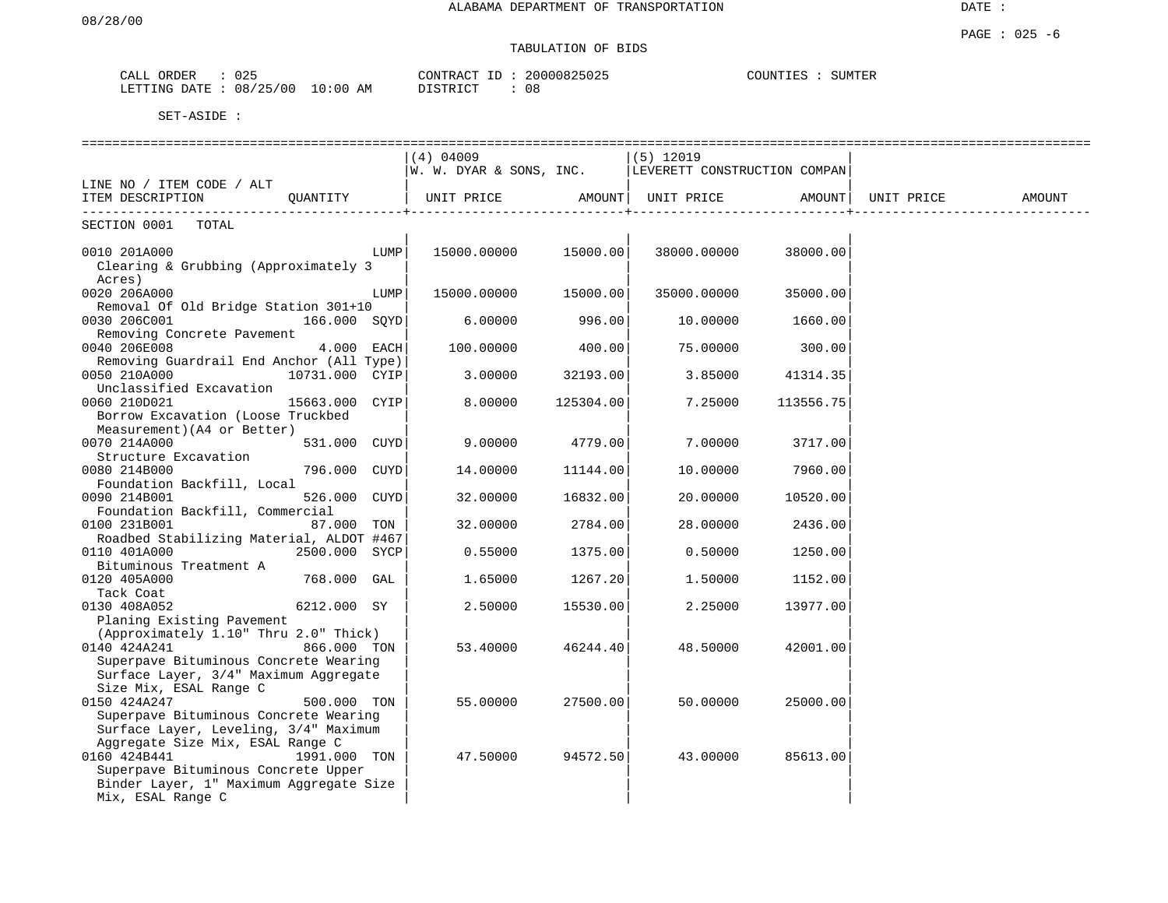# TABULATION OF BIDS

| ORDER<br>CALL | 025      |            | CONTRACT ID | 20000825025 | COUNTIES<br>SUMTER |
|---------------|----------|------------|-------------|-------------|--------------------|
| LETTING DATE  | 08/25/00 | $10:00$ AM | DISTRICT    | 08          |                    |

|                                                                                                                                                                         |      | $(4)$ 04009             |           | $(5)$ 12019                  |           |            |        |
|-------------------------------------------------------------------------------------------------------------------------------------------------------------------------|------|-------------------------|-----------|------------------------------|-----------|------------|--------|
| LINE NO / ITEM CODE / ALT                                                                                                                                               |      | W. W. DYAR & SONS, INC. |           | LEVERETT CONSTRUCTION COMPAN |           |            |        |
| ITEM DESCRIPTION QUANTITY<br>------------------------------                                                                                                             |      | UNIT PRICE AMOUNT       |           | UNIT PRICE AMOUNT            |           | UNIT PRICE | AMOUNT |
| SECTION 0001 TOTAL                                                                                                                                                      |      |                         |           |                              |           |            |        |
| 0010 201A000<br>Clearing & Grubbing (Approximately 3<br>Acres)                                                                                                          | LUMP | 15000.00000             | 15000.00  | 38000.00000                  | 38000.00  |            |        |
| 0020 206A000                                                                                                                                                            | LUMP | 15000.00000             | 15000.00  | 35000.00000                  | 35000.00  |            |        |
| Removal Of Old Bridge Station 301+10<br>0030 206C001<br>166.000 SOYD<br>Removing Concrete Pavement                                                                      |      | 6.00000                 | 996.00    | 10.00000                     | 1660.00   |            |        |
| 0040 206E008<br>4.000 EACH                                                                                                                                              |      | 100.00000               | 400.00    | 75.00000                     | 300.00    |            |        |
| Removing Guardrail End Anchor (All Type)<br>0050 210A000<br>10731.000 CYIP<br>Unclassified Excavation                                                                   |      | 3.00000                 | 32193.00  | 3.85000                      | 41314.35  |            |        |
| 0060 210D021<br>15663.000 CYIP<br>Borrow Excavation (Loose Truckbed<br>Measurement) (A4 or Better)                                                                      |      | 8,00000                 | 125304.00 | 7.25000                      | 113556.75 |            |        |
| 0070 214A000<br>531.000 CUYD<br>Structure Excavation                                                                                                                    |      | 9,00000                 | 4779.00   | 7.00000                      | 3717.00   |            |        |
| 0080 214B000<br>796.000 CUYD<br>Foundation Backfill, Local                                                                                                              |      | 14.00000                | 11144.00  | 10.00000                     | 7960.00   |            |        |
| 0090 214B001<br>526.000 CUYD<br>Foundation Backfill, Commercial                                                                                                         |      | 32.00000                | 16832.00  | 20.00000                     | 10520.00  |            |        |
| 0100 231B001<br>87.000 TON                                                                                                                                              |      | 32.00000                | 2784.00   | 28.00000                     | 2436.00   |            |        |
| Roadbed Stabilizing Material, ALDOT #467<br>0110 401A000<br>2500.000 SYCP<br>Bituminous Treatment A                                                                     |      | 0.55000                 | 1375.00   | 0.50000                      | 1250.00   |            |        |
| 0120 405A000<br>768.000 GAL<br>Tack Coat                                                                                                                                |      | 1.65000                 | 1267.20   | 1.50000                      | 1152.00   |            |        |
| 0130 408A052<br>6212.000 SY                                                                                                                                             |      | 2.50000                 | 15530.00  | 2.25000                      | 13977.00  |            |        |
| Planing Existing Pavement<br>(Approximately 1.10" Thru 2.0" Thick)                                                                                                      |      |                         |           |                              |           |            |        |
| 0140 424A241<br>866.000 TON<br>Superpave Bituminous Concrete Wearing<br>Surface Layer, 3/4" Maximum Aggregate<br>Size Mix, ESAL Range C                                 |      | 53.40000                | 46244.40  | 48.50000                     | 42001.00  |            |        |
| 0150 424A247<br>500.000 TON<br>Superpave Bituminous Concrete Wearing<br>Surface Layer, Leveling, 3/4" Maximum                                                           |      | 55.00000                | 27500.00  | 50.00000                     | 25000.00  |            |        |
| Aggregate Size Mix, ESAL Range C<br>0160 424B441<br>1991.000 TON<br>Superpave Bituminous Concrete Upper<br>Binder Layer, 1" Maximum Aggregate Size<br>Mix, ESAL Range C |      | 47.50000                | 94572.50  | 43.00000                     | 85613.00  |            |        |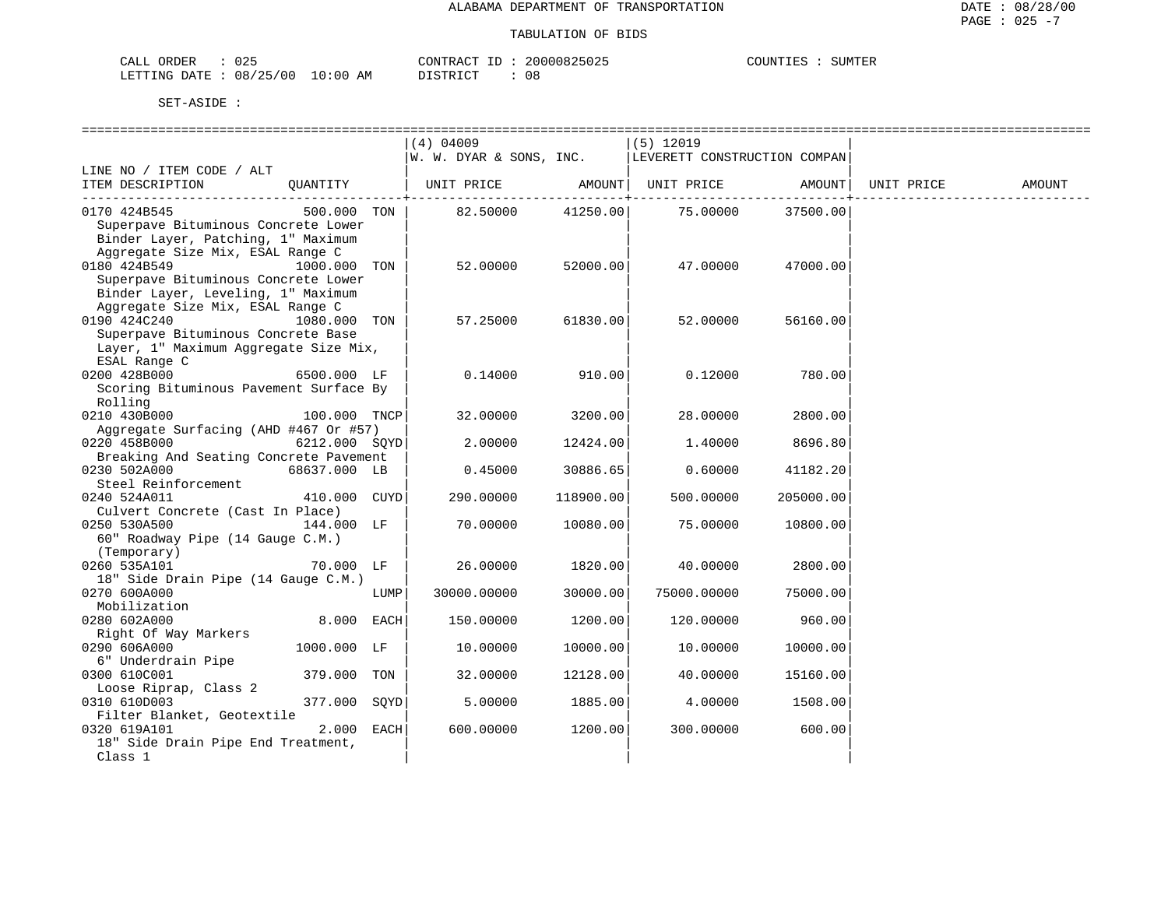CALL ORDER : 025 CONTRACT ID : 20000825025 LETTING DATE : 08/25/00 10:00 AM DISTRICT : 08

SET-ASIDE :

COUNTIES : SUMTER

|                                                                                                                                                                   |               |      | =========================                              |           |             |           |        |
|-------------------------------------------------------------------------------------------------------------------------------------------------------------------|---------------|------|--------------------------------------------------------|-----------|-------------|-----------|--------|
|                                                                                                                                                                   |               |      | (4) 04009                                              |           | $(5)$ 12019 |           |        |
|                                                                                                                                                                   |               |      | W. W. DYAR & SONS, INC.   LEVERETT CONSTRUCTION COMPAN |           |             |           |        |
| LINE NO / ITEM CODE / ALT                                                                                                                                         |               |      |                                                        |           |             |           |        |
|                                                                                                                                                                   |               |      |                                                        |           |             |           | AMOUNT |
| 0170 424B545<br>Superpave Bituminous Concrete Lower<br>Binder Layer, Patching, 1" Maximum                                                                         |               |      | $500.000$ TON   82.50000 41250.00   75.00000 37500.00  |           |             |           |        |
| Aggregate Size Mix, ESAL Range C<br>0180 424B549<br>Superpave Bituminous Concrete Lower<br>Binder Layer, Leveling, 1" Maximum<br>Aggregate Size Mix, ESAL Range C | 1000.000 TON  |      | 52.00000                                               | 52000.00  | 47.00000    | 47000.00  |        |
| 0190 424C240<br>Superpave Bituminous Concrete Base<br>Layer, 1" Maximum Aggregate Size Mix,                                                                       | 1080.000 TON  |      | 57.25000                                               | 61830.00  | 52.00000    | 56160.00  |        |
| ESAL Range C<br>0200 428B000<br>Scoring Bituminous Pavement Surface By<br>Rolling                                                                                 | 6500.000 LF   |      | 0.14000                                                | 910.00    | 0.12000     | 780.00    |        |
| 0210 430B000<br>Aggregate Surfacing (AHD #467 Or #57)                                                                                                             | 100.000 TNCP  |      | 32.00000                                               | 3200.00   | 28,00000    | 2800.00   |        |
| 0220 458B000<br>Breaking And Seating Concrete Pavement                                                                                                            | 6212.000 SOYD |      | 2.00000                                                | 12424.00  | 1,40000     | 8696.80   |        |
| 0230 502A000<br>Steel Reinforcement                                                                                                                               | 68637.000 LB  |      | 0.45000                                                | 30886.65  | 0.60000     | 41182.20  |        |
| 0240 524A011<br>Culvert Concrete (Cast In Place)                                                                                                                  | 410.000 CUYD  |      | 290.00000                                              | 118900.00 | 500.00000   | 205000.00 |        |
| 0250 530A500<br>60" Roadway Pipe (14 Gauge C.M.)<br>(Temporary)                                                                                                   | 144.000 LF    |      | 70.00000                                               | 10080.00  | 75.00000    | 10800.00  |        |
| 0260 535A101<br>18" Side Drain Pipe (14 Gauge C.M.)                                                                                                               | 70.000 LF     |      | 26.00000                                               | 1820.00   | 40.00000    | 2800.00   |        |
| 0270 600A000<br>Mobilization                                                                                                                                      |               | LUMP | 30000.00000                                            | 30000.00  | 75000.00000 | 75000.00  |        |
| 0280 602A000<br>Right Of Way Markers                                                                                                                              | 8.000 EACH    |      | 150.00000                                              | 1200.00   | 120.00000   | 960.00    |        |
| 0290 606A000<br>6" Underdrain Pipe                                                                                                                                | 1000.000 LF   |      | 10.00000                                               | 10000.00  | 10.00000    | 10000.00  |        |
| 0300 610C001<br>Loose Riprap, Class 2                                                                                                                             | 379.000 TON   |      | 32.00000                                               | 12128.00  | 40.00000    | 15160.00  |        |
| 0310 610D003<br>Filter Blanket, Geotextile                                                                                                                        | 377.000 SOYD  |      | 5.00000                                                | 1885.00   | 4.00000     | 1508.00   |        |
| 0320 619A101                                                                                                                                                      | $2.000$ EACH  |      | 600.00000                                              | 1200.00   | 300.00000   | 600.00    |        |

18" Side Drain Pipe End Treatment,<br>Class 1  $\frac{1}{2}$   $\frac{1}{2}$   $\frac{1}{2}$   $\frac{1}{2}$   $\frac{1}{2}$   $\frac{1}{2}$   $\frac{1}{2}$   $\frac{1}{2}$   $\frac{1}{2}$   $\frac{1}{2}$   $\frac{1}{2}$   $\frac{1}{2}$   $\frac{1}{2}$   $\frac{1}{2}$   $\frac{1}{2}$   $\frac{1}{2}$   $\frac{1}{2}$   $\frac{1}{2}$   $\frac{1}{2}$   $\frac{1}{2}$   $\frac{1}{2}$   $\frac{1}{2}$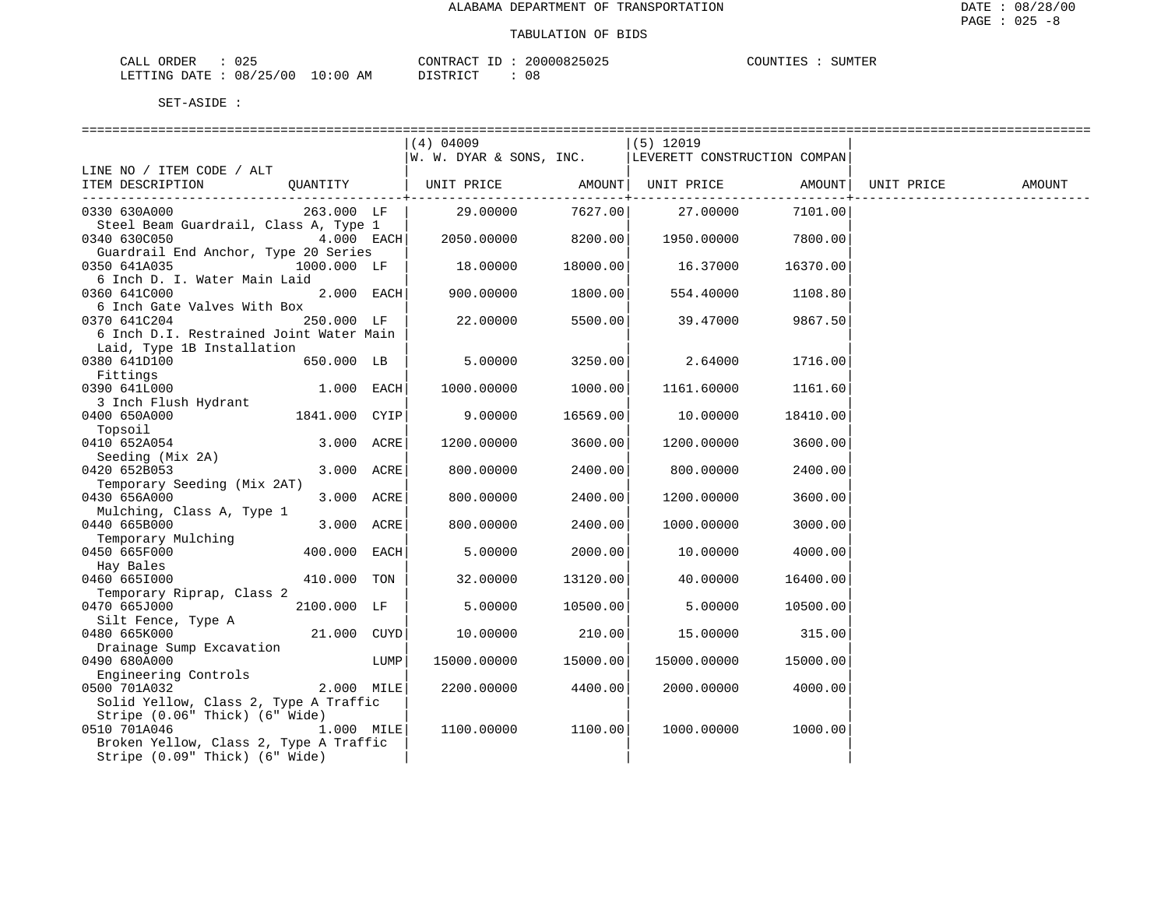| ORDER<br>CALL          | $\sim$ $\sim$ $\sim$<br>د ∠ ل |             | $  -$<br>CONTRACT | 20000825025 | COUNTIES | SUMTER |
|------------------------|-------------------------------|-------------|-------------------|-------------|----------|--------|
| LETTING DATE: 08/25/00 |                               | 10:00<br>ΑM | ידי איד פידי פ    | 08          |          |        |

| SET-ASIDE |  |
|-----------|--|
|           |  |

|                                         |               |      | $(4)$ 04009                                                  |          | $(5)$ 12019 |                 |            |        |
|-----------------------------------------|---------------|------|--------------------------------------------------------------|----------|-------------|-----------------|------------|--------|
|                                         |               |      | $ W. W. DYAR \&$ SONS, INC. $ $ LEVERETT CONSTRUCTION COMPAN |          |             |                 |            |        |
| LINE NO / ITEM CODE / ALT               |               |      |                                                              |          |             |                 |            |        |
| ITEM DESCRIPTION                        |               |      | QUANTITY   UNIT PRICE AMOUNT   UNIT PRICE AMOUNT             |          |             |                 | UNIT PRICE | AMOUNT |
|                                         |               |      |                                                              |          |             | --------------+ |            |        |
| 0330 630A000                            | 263.000 LF    |      | 29.00000                                                     | 7627.00  | 27.00000    | 7101.00         |            |        |
| Steel Beam Guardrail, Class A, Type 1   |               |      |                                                              |          |             |                 |            |        |
| 0340 630C050                            | $4.000$ EACH  |      | 2050.00000                                                   | 8200.00  | 1950.00000  | 7800.00         |            |        |
| Guardrail End Anchor, Type 20 Series    |               |      |                                                              |          |             |                 |            |        |
| 0350 641A035                            | 1000.000 LF   |      | 18.00000                                                     | 18000.00 | 16.37000    | 16370.00        |            |        |
| 6 Inch D. I. Water Main Laid            |               |      |                                                              |          |             |                 |            |        |
| 0360 641C000                            | 2.000 EACH    |      | 900.00000                                                    | 1800.00  | 554.40000   | 1108.80         |            |        |
| 6 Inch Gate Valves With Box             |               |      |                                                              |          |             |                 |            |        |
| 0370 641C204                            | 250.000 LF    |      | 22.00000                                                     | 5500.00  | 39.47000    | 9867.50         |            |        |
| 6 Inch D.I. Restrained Joint Water Main |               |      |                                                              |          |             |                 |            |        |
| Laid, Type 1B Installation              |               |      |                                                              |          |             |                 |            |        |
| 0380 641D100                            | 650.000 LB    |      | 5.00000                                                      | 3250.00  | 2.64000     | 1716.00         |            |        |
| Fittings                                |               |      |                                                              |          |             |                 |            |        |
| 0390 641L000                            | $1.000$ EACH  |      | 1000.00000                                                   | 1000.00  | 1161.60000  | 1161.60         |            |        |
| 3 Inch Flush Hydrant                    |               |      |                                                              |          |             |                 |            |        |
| 0400 650A000                            | 1841.000 CYIP |      | 9.00000                                                      | 16569.00 | 10.00000    | 18410.00        |            |        |
| Topsoil                                 |               |      |                                                              |          |             |                 |            |        |
| 0410 652A054                            | 3.000 ACRE    |      | 1200.00000                                                   | 3600.00  | 1200.00000  | 3600.00         |            |        |
| Seeding (Mix 2A)                        |               |      |                                                              |          |             |                 |            |        |
| 0420 652B053                            | 3.000 ACRE    |      | 800.00000                                                    | 2400.00  | 800.00000   | 2400.00         |            |        |
| Temporary Seeding (Mix 2AT)             |               |      |                                                              |          |             |                 |            |        |
| 0430 656A000                            | 3.000 ACRE    |      | 800.00000                                                    | 2400.00  | 1200.00000  | 3600.00         |            |        |
| Mulching, Class A, Type 1               |               |      |                                                              |          |             |                 |            |        |
| 0440 665B000                            | 3.000 ACRE    |      | 800.00000                                                    | 2400.00  | 1000.00000  | 3000.00         |            |        |
| Temporary Mulching                      |               |      |                                                              |          |             |                 |            |        |
| 0450 665F000                            | 400.000 EACH  |      | 5.00000                                                      | 2000.00  | 10.00000    | 4000.00         |            |        |
| Hay Bales                               |               |      |                                                              |          |             |                 |            |        |
| 0460 6651000                            | 410.000 TON   |      | 32,00000                                                     | 13120.00 | 40.00000    | 16400.00        |            |        |
| Temporary Riprap, Class 2               |               |      |                                                              |          |             |                 |            |        |
| 0470 665J000                            | 2100.000 LF   |      | 5.00000                                                      | 10500.00 | 5.00000     | 10500.00        |            |        |
| Silt Fence, Type A                      |               |      |                                                              |          |             |                 |            |        |
| 0480 665K000                            | 21.000 CUYD   |      | 10.00000                                                     | 210.00   | 15.00000    | 315.00          |            |        |
| Drainage Sump Excavation                |               |      |                                                              |          |             |                 |            |        |
| 0490 680A000                            |               | LUMP | 15000.00000                                                  | 15000.00 | 15000.00000 | 15000.00        |            |        |
| Engineering Controls                    |               |      |                                                              |          |             |                 |            |        |
| 0500 701A032                            | 2.000 MILE    |      | 2200.00000                                                   | 4400.00  | 2000.00000  | 4000.00         |            |        |
| Solid Yellow, Class 2, Type A Traffic   |               |      |                                                              |          |             |                 |            |        |
| Stripe (0.06" Thick) (6" Wide)          |               |      |                                                              |          |             |                 |            |        |
| 0510 701A046                            | $1.000$ MILE  |      | 1100.00000                                                   | 1100.00  | 1000.00000  | 1000.00         |            |        |
| Broken Yellow, Class 2, Type A Traffic  |               |      |                                                              |          |             |                 |            |        |
| Stripe (0.09" Thick) (6" Wide)          |               |      |                                                              |          |             |                 |            |        |
|                                         |               |      |                                                              |          |             |                 |            |        |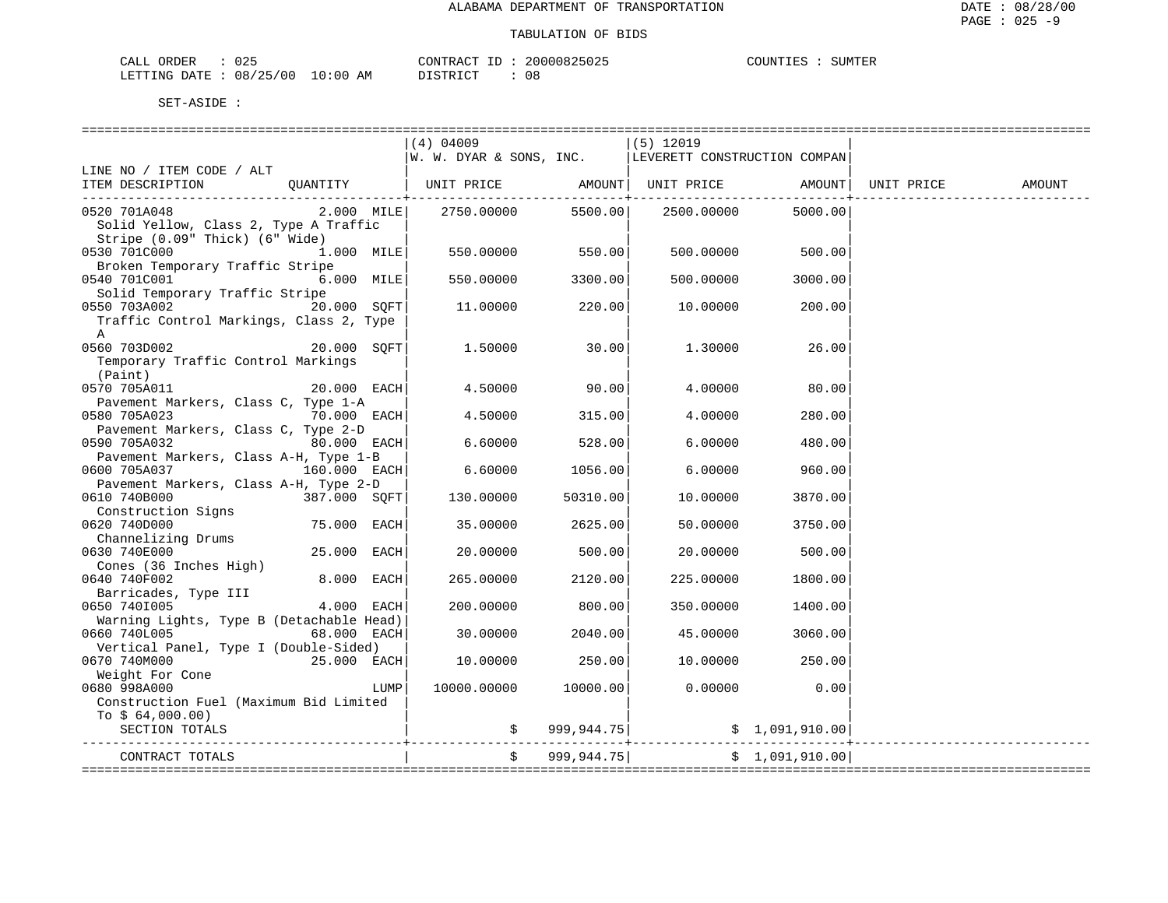| CALL<br>ORDER          | J 25 |             | CONTRACT        | 20000825025 | COUNTIES | SUMTER |
|------------------------|------|-------------|-----------------|-------------|----------|--------|
| LETTING DATE: 08/25/00 |      | 10:00<br>ΑM | ⊺ קידי ⊃יר<br>. | Uč          |          |        |

|                                                                   | $(4)$ 04009                                             |                       | (5) 12019                     |                                 |                        |        |
|-------------------------------------------------------------------|---------------------------------------------------------|-----------------------|-------------------------------|---------------------------------|------------------------|--------|
|                                                                   | $ W. W. DYAR & SONS, INC.$ LEVERETT CONSTRUCTION COMPAN |                       |                               |                                 |                        |        |
| LINE NO / ITEM CODE / ALT                                         |                                                         |                       |                               |                                 |                        |        |
| ITEM DESCRIPTION QUANTITY   UNIT PRICE AMOUNT   UNIT PRICE AMOUNT |                                                         | ------------+-------- |                               | . _ _ _ _ _ _ _ _ _ _ _ _ _ _ + | UNIT PRICE             | AMOUNT |
| $2.000$ MILE<br>0520 701A048                                      |                                                         |                       | 2750.00000 5500.00 2500.00000 | 5000.00                         |                        |        |
| Solid Yellow, Class 2, Type A Traffic                             |                                                         |                       |                               |                                 |                        |        |
| Stripe (0.09" Thick) (6" Wide)                                    |                                                         |                       |                               |                                 |                        |        |
| $1.000$ MILE                                                      | 550.00000 550.00                                        |                       |                               | 500.00000 500.00                |                        |        |
|                                                                   |                                                         |                       |                               |                                 |                        |        |
| Broken Temporary Traffic Stripe                                   |                                                         |                       |                               |                                 |                        |        |
| 0540 701C001<br>$6.000$ MILE                                      | 550.00000                                               | 3300.00               | 500.00000                     | 3000.00                         |                        |        |
| Solid Temporary Traffic Stripe                                    |                                                         |                       |                               |                                 |                        |        |
| 0550 703A002<br>20.000 SOFT                                       | 11.00000                                                | 220.00                | 10.00000                      | 200.00                          |                        |        |
| Traffic Control Markings, Class 2, Type                           |                                                         |                       |                               |                                 |                        |        |
| A                                                                 |                                                         |                       |                               |                                 |                        |        |
| 20.000 SOFT<br>0560 703D002                                       | 1.50000                                                 | 30.00                 | 1.30000                       | 26.00                           |                        |        |
| Temporary Traffic Control Markings                                |                                                         |                       |                               |                                 |                        |        |
| (Paint)                                                           |                                                         |                       |                               |                                 |                        |        |
| $20.000$ EACH<br>0570 705A011                                     | 4.50000 90.00                                           |                       | 4.00000                       | 80.00                           |                        |        |
| Pavement Markers, Class C, Type 1-A                               |                                                         |                       |                               |                                 |                        |        |
| 0580 705A023 70.000 EACH                                          | 4.50000 315.00                                          |                       | 4.00000                       | 280.00                          |                        |        |
| Pavement Markers, Class C, Type 2-D                               |                                                         |                       |                               |                                 |                        |        |
| 80.000 EACH<br>0590 705A032                                       | $6.60000$ 528.00                                        |                       | 6.00000                       | 480.00                          |                        |        |
| Pavement Markers, Class A-H, Type 1-B                             |                                                         |                       |                               |                                 |                        |        |
| 0600 705A037 160.000 EACH                                         | 6.60000                                                 | 1056.00               | 6.00000                       | 960.00                          |                        |        |
| Pavement Markers, Class A-H, Type 2-D                             |                                                         |                       |                               |                                 |                        |        |
| 0610 740B000<br>387.000 SQFT                                      | 130.00000                                               | 50310.00              | 10.00000                      | 3870.00                         |                        |        |
| Construction Signs                                                |                                                         |                       |                               |                                 |                        |        |
| 0620 740D000<br>75.000 EACH                                       | 35.00000                                                | 2625.00               | 50.00000                      | 3750.00                         |                        |        |
| Channelizing Drums                                                |                                                         |                       |                               |                                 |                        |        |
| 25.000 EACH<br>0630 740E000                                       | 20.00000                                                | 500.00                | 20.00000                      | 500.00                          |                        |        |
| Cones (36 Inches High)                                            |                                                         |                       |                               |                                 |                        |        |
| 8.000 EACH<br>0640 740F002                                        | 265.00000                                               | 2120.00               | 225,00000                     | 1800.00                         |                        |        |
| Barricades, Type III                                              |                                                         |                       |                               |                                 |                        |        |
| $4.000$ EACH<br>0650 7401005                                      | 200.00000                                               | 800.00                | 350.00000                     | 1400.00                         |                        |        |
|                                                                   |                                                         |                       |                               |                                 |                        |        |
| Warning Lights, Type B (Detachable Head)                          |                                                         |                       |                               |                                 |                        |        |
| 0660 740L005<br>$68.000$ EACH                                     | 30.00000                                                | 2040.00               | 45.00000                      | 3060.00                         |                        |        |
| Vertical Panel, Type I (Double-Sided)                             |                                                         |                       |                               |                                 |                        |        |
| $25.000$ EACH<br>0670 740M000                                     | 10.00000                                                | 250.00                | 10.00000                      | 250.00                          |                        |        |
| Weight For Cone                                                   |                                                         |                       |                               |                                 |                        |        |
| 0680 998A000<br>LUMP                                              | 10000.00000 10000.00                                    |                       | 0.00000                       | 0.00                            |                        |        |
| Construction Fuel (Maximum Bid Limited                            |                                                         |                       |                               |                                 |                        |        |
| To $$64,000.00)$                                                  |                                                         |                       |                               |                                 |                        |        |
| SECTION TOTALS                                                    |                                                         |                       |                               |                                 | ---------------------- |        |
|                                                                   |                                                         | \$999,944.75]         |                               |                                 |                        |        |
| CONTRACT TOTALS                                                   |                                                         |                       |                               | \$1,091,910.00]                 |                        |        |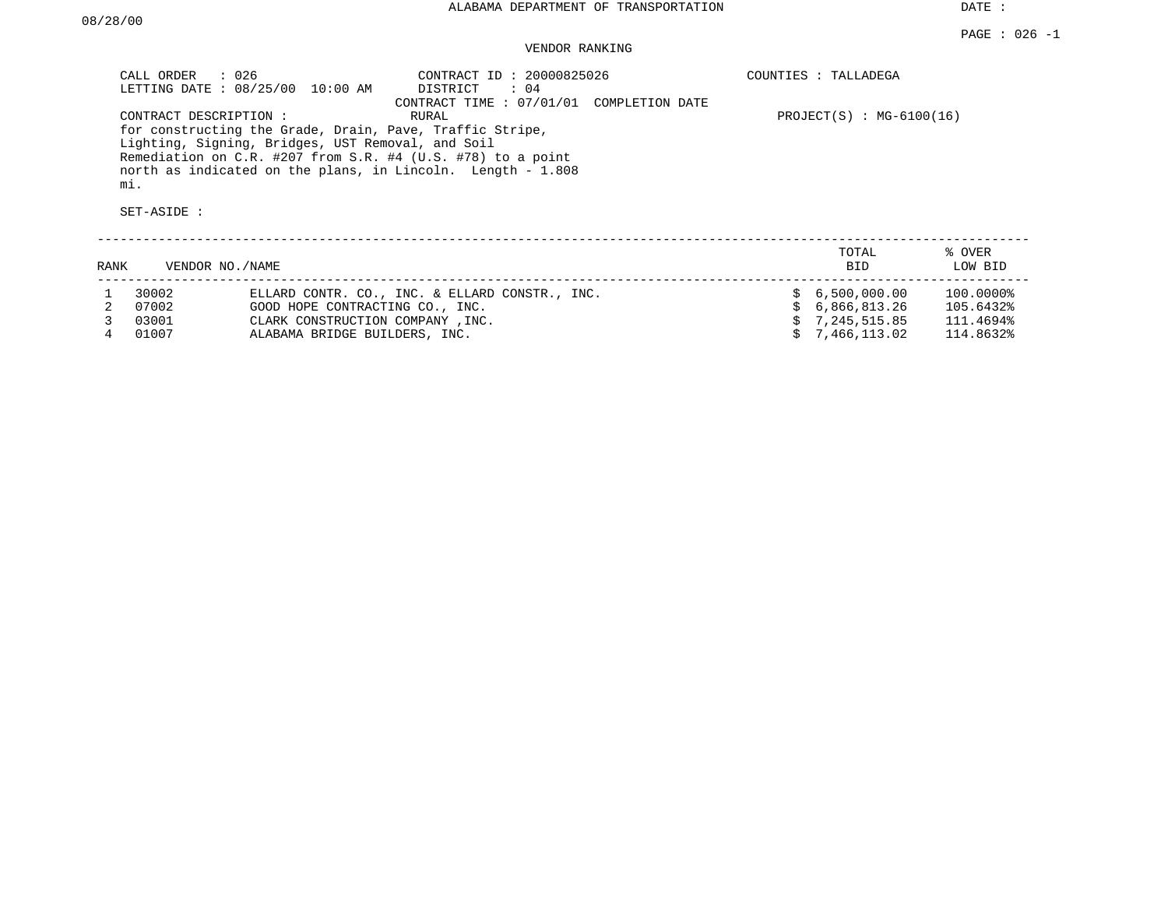### VENDOR RANKING

|      | CALL ORDER : 026<br>CONTRACT DESCRIPTION:<br>mi.<br>SET-ASIDE : | LETTING DATE : 08/25/00 10:00 AM<br>Lighting, Signing, Bridges, UST Removal, and Soil | CONTRACT ID: 20000825026<br>DISTRICT<br>: 04<br>CONTRACT TIME : 07/01/01 COMPLETION DATE<br>RURAL<br>for constructing the Grade, Drain, Pave, Traffic Stripe,<br>Remediation on C.R. #207 from S.R. #4 (U.S. #78) to a point<br>north as indicated on the plans, in Lincoln. Length - 1.808 |  | COUNTIES : TALLADEGA<br>$PROJECT(S) : MG-6100(16)$ |                   |
|------|-----------------------------------------------------------------|---------------------------------------------------------------------------------------|---------------------------------------------------------------------------------------------------------------------------------------------------------------------------------------------------------------------------------------------------------------------------------------------|--|----------------------------------------------------|-------------------|
| RANK | VENDOR NO./NAME                                                 |                                                                                       |                                                                                                                                                                                                                                                                                             |  | TOTAL<br>BID                                       | % OVER<br>LOW BID |
|      | 30002                                                           |                                                                                       | ELLARD CONTR. CO., INC. & ELLARD CONSTR., INC.                                                                                                                                                                                                                                              |  | \$6,500,000.00                                     | 100.0000%         |
| 2    | 07002                                                           | GOOD HOPE CONTRACTING CO., INC.                                                       |                                                                                                                                                                                                                                                                                             |  | 6,866,813.26                                       | 105.6432%         |
|      | 03001                                                           | CLARK CONSTRUCTION COMPANY, INC.                                                      |                                                                                                                                                                                                                                                                                             |  | \$7,245,515.85                                     | 111.4694%         |
|      | 01007                                                           | ALABAMA BRIDGE BUILDERS, INC.                                                         |                                                                                                                                                                                                                                                                                             |  | 7,466,113.02                                       | 114.8632%         |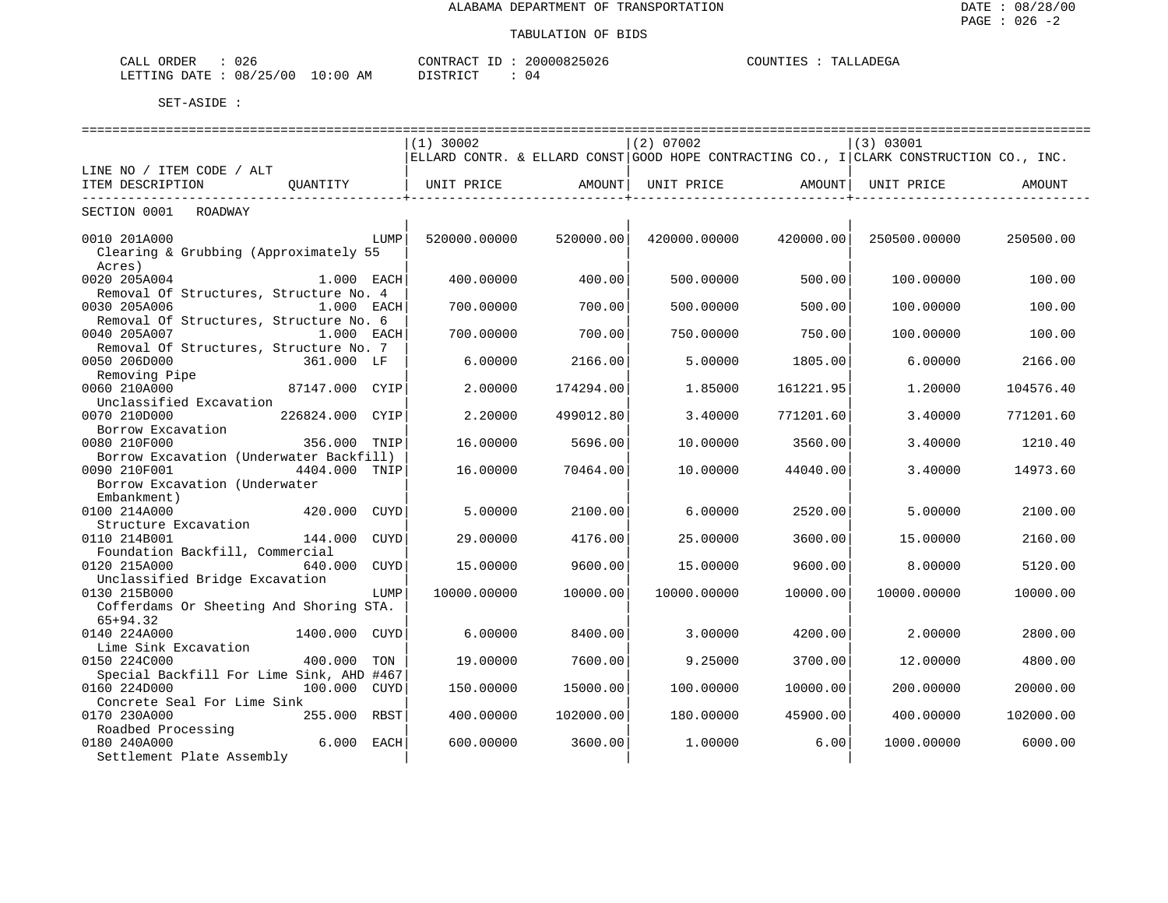| ORDER<br>CALL  | 026                   | CONTRACT ID | 20000825026 | COUNTIES | TALLADEGA |
|----------------|-----------------------|-------------|-------------|----------|-----------|
| LETTING DATE : | $: 08/25/00 10:00$ AM | DISTRICT    | 04          |          |           |

|                                                                               | $(1)$ 30002  |           | $(2)$ 07002  |           | (3) 03001                                                                              |           |
|-------------------------------------------------------------------------------|--------------|-----------|--------------|-----------|----------------------------------------------------------------------------------------|-----------|
|                                                                               |              |           |              |           | ELLARD CONTR. & ELLARD CONST GOOD HOPE CONTRACTING CO., I CLARK CONSTRUCTION CO., INC. |           |
| LINE NO / ITEM CODE / ALT                                                     |              |           |              |           |                                                                                        |           |
| ITEM DESCRIPTION<br>OUANTITY                                                  | UNIT PRICE   | AMOUNT    | UNIT PRICE   | AMOUNT I  | UNIT PRICE                                                                             | AMOUNT    |
| SECTION 0001<br>ROADWAY                                                       |              |           |              |           |                                                                                        |           |
| 0010 201A000<br>LUMP<br>Clearing & Grubbing (Approximately 55<br>Acres)       | 520000.00000 | 520000.00 | 420000.00000 | 420000.00 | 250500.00000                                                                           | 250500.00 |
| 0020 205A004<br>1.000 EACH<br>Removal Of Structures, Structure No. 4          | 400.00000    | 400.00    | 500.00000    | 500.00    | 100.00000                                                                              | 100.00    |
| 0030 205A006<br>$1.000$ EACH<br>Removal Of Structures, Structure No. 6        | 700.00000    | 700.00    | 500.00000    | 500.00    | 100,00000                                                                              | 100.00    |
| 0040 205A007<br>$1.000$ EACH<br>Removal Of Structures, Structure No. 7        | 700.00000    | 700.00    | 750.00000    | 750.00    | 100,00000                                                                              | 100.00    |
| 0050 206D000<br>361.000 LF<br>Removing Pipe                                   | 6.00000      | 2166.00   | 5.00000      | 1805.00   | 6.00000                                                                                | 2166.00   |
| 0060 210A000<br>87147.000 CYIP<br>Unclassified Excavation                     | 2.00000      | 174294.00 | 1.85000      | 161221.95 | 1,20000                                                                                | 104576.40 |
| 226824.000<br>0070 210D000<br>CYIP<br>Borrow Excavation                       | 2.20000      | 499012.80 | 3.40000      | 771201.60 | 3.40000                                                                                | 771201.60 |
| 0080 210F000<br>356.000 TNIP<br>Borrow Excavation (Underwater Backfill)       | 16.00000     | 5696.00   | 10.00000     | 3560.00   | 3.40000                                                                                | 1210.40   |
| 0090 210F001<br>4404.000 TNIP<br>Borrow Excavation (Underwater                | 16.00000     | 70464.00  | 10.00000     | 44040.00  | 3.40000                                                                                | 14973.60  |
| Embankment)<br>0100 214A000<br>420.000 CUYD<br>Structure Excavation           | 5.00000      | 2100.00   | 6.00000      | 2520.00   | 5.00000                                                                                | 2100.00   |
| 0110 214B001<br>144.000<br>CUYD<br>Foundation Backfill, Commercial            | 29.00000     | 4176.00   | 25,00000     | 3600.00   | 15,00000                                                                               | 2160.00   |
| 0120 215A000<br>640.000<br>CUYD<br>Unclassified Bridge Excavation             | 15.00000     | 9600.00   | 15.00000     | 9600.00   | 8.00000                                                                                | 5120.00   |
| 0130 215B000<br>LUMP<br>Cofferdams Or Sheeting And Shoring STA.<br>$65+94.32$ | 10000.00000  | 10000.00  | 10000.00000  | 10000.00  | 10000.00000                                                                            | 10000.00  |
| 0140 224A000<br>1400.000 CUYD<br>Lime Sink Excavation                         | 6.00000      | 8400.00   | 3.00000      | 4200.00   | 2.00000                                                                                | 2800.00   |
| 0150 224C000<br>400.000<br>TON<br>Special Backfill For Lime Sink, AHD #467    | 19,00000     | 7600.00   | 9.25000      | 3700.00   | 12,00000                                                                               | 4800.00   |
| 0160 224D000<br>100.000 CUYD<br>Concrete Seal For Lime Sink                   | 150.00000    | 15000.00  | 100.00000    | 10000.00  | 200.00000                                                                              | 20000.00  |
| 0170 230A000<br>255.000 RBST<br>Roadbed Processing                            | 400.00000    | 102000.00 | 180.00000    | 45900.00  | 400.00000                                                                              | 102000.00 |
| 0180 240A000<br>6.000 EACH<br>Settlement Plate Assembly                       | 600.00000    | 3600.00   | 1,00000      | 6.00      | 1000.00000                                                                             | 6000.00   |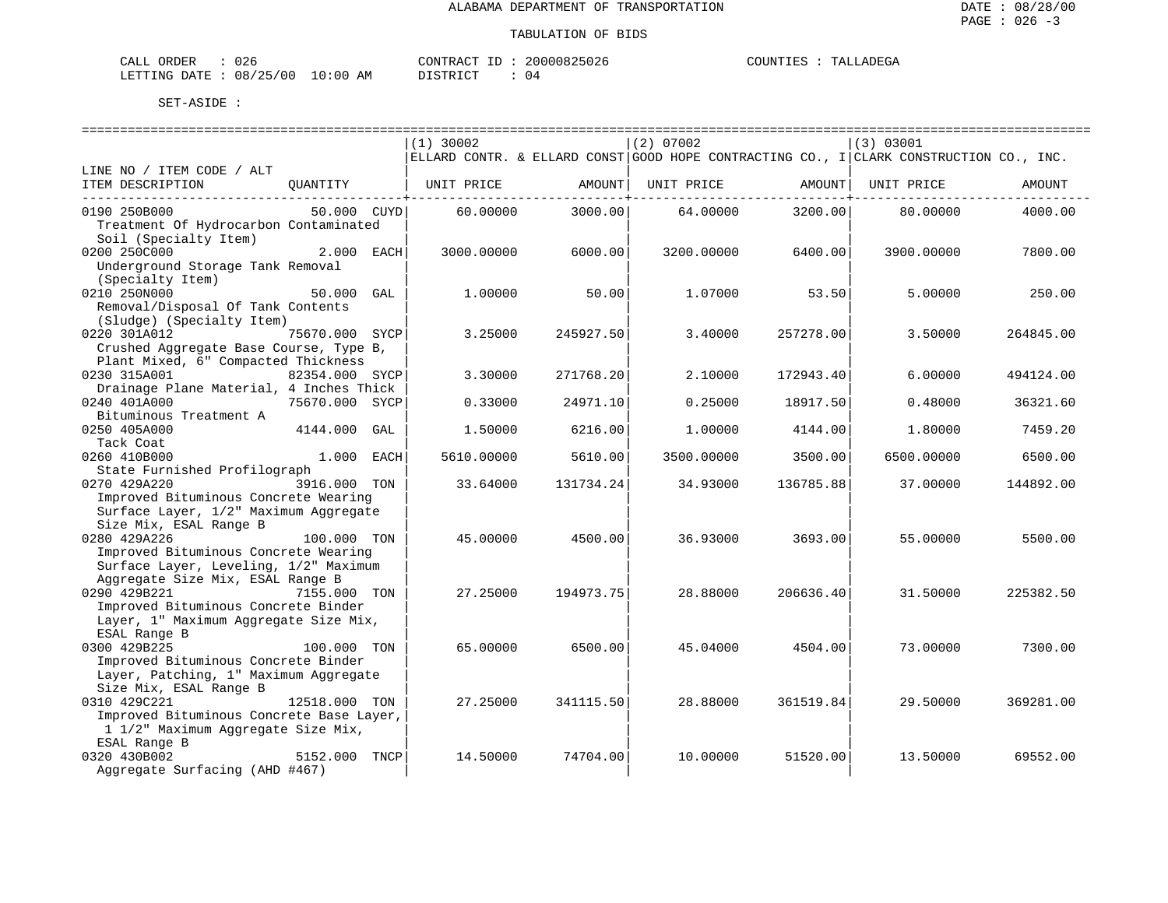| CALL ORDER                       | 026 | CONTRACT ID: | 20000825026 | COUNTIES | TALLADEGA |
|----------------------------------|-----|--------------|-------------|----------|-----------|
| LETTING DATE : 08/25/00 10:00 AM |     | DISTRICT     | 04          |          |           |

|                                          |                |     | $(1)$ 30002 |           | (2) 07002  |           | (3) 03001                                                                              |           |  |
|------------------------------------------|----------------|-----|-------------|-----------|------------|-----------|----------------------------------------------------------------------------------------|-----------|--|
|                                          |                |     |             |           |            |           | ELLARD CONTR. & ELLARD CONST GOOD HOPE CONTRACTING CO., I CLARK CONSTRUCTION CO., INC. |           |  |
| LINE NO / ITEM CODE / ALT                |                |     |             |           |            |           |                                                                                        |           |  |
| ITEM DESCRIPTION                         | OUANTITY       |     | UNIT PRICE  | AMOUNT    | UNIT PRICE | AMOUNT    | UNIT PRICE                                                                             | AMOUNT    |  |
|                                          |                |     |             |           |            |           |                                                                                        |           |  |
| 0190 250B000                             | 50.000 CUYD    |     | 60.00000    | 3000.00   | 64.00000   | 3200.00   | 80.00000                                                                               | 4000.00   |  |
| Treatment Of Hydrocarbon Contaminated    |                |     |             |           |            |           |                                                                                        |           |  |
| Soil (Specialty Item)                    |                |     |             |           |            |           |                                                                                        |           |  |
| 0200 250C000                             | 2.000 EACH     |     | 3000.00000  | 6000.00   | 3200.00000 | 6400.00   | 3900.00000                                                                             | 7800.00   |  |
| Underground Storage Tank Removal         |                |     |             |           |            |           |                                                                                        |           |  |
| (Specialty Item)                         |                |     |             |           |            |           |                                                                                        |           |  |
| 0210 250N000                             | 50.000         | GAL | 1,00000     | 50.00     | 1,07000    | 53.50     | 5.00000                                                                                | 250.00    |  |
| Removal/Disposal Of Tank Contents        |                |     |             |           |            |           |                                                                                        |           |  |
| (Sludge) (Specialty Item)                |                |     |             |           |            |           |                                                                                        |           |  |
| 0220 301A012                             | 75670.000 SYCP |     | 3.25000     | 245927.50 | 3.40000    | 257278.00 | 3.50000                                                                                | 264845.00 |  |
| Crushed Aggregate Base Course, Type B,   |                |     |             |           |            |           |                                                                                        |           |  |
| Plant Mixed, 6" Compacted Thickness      |                |     |             |           |            |           |                                                                                        |           |  |
| 0230 315A001                             | 82354.000 SYCP |     | 3.30000     | 271768.20 | 2.10000    | 172943.40 | 6.00000                                                                                | 494124.00 |  |
| Drainage Plane Material, 4 Inches Thick  |                |     |             |           |            |           |                                                                                        |           |  |
| 0240 401A000                             | 75670.000 SYCP |     | 0.33000     | 24971.10  | 0.25000    | 18917.50  | 0.48000                                                                                | 36321.60  |  |
| Bituminous Treatment A                   |                |     |             |           |            |           |                                                                                        |           |  |
| 0250 405A000                             | 4144.000 GAL   |     | 1.50000     | 6216.00   | 1,00000    | 4144.00   | 1,80000                                                                                | 7459.20   |  |
| Tack Coat                                |                |     |             |           |            |           |                                                                                        |           |  |
| 0260 410B000                             | 1.000 EACH     |     | 5610.00000  | 5610.00   | 3500.00000 | 3500.00   | 6500.00000                                                                             | 6500.00   |  |
| State Furnished Profilograph             |                |     |             |           |            |           |                                                                                        |           |  |
| 0270 429A220                             | 3916.000 TON   |     | 33.64000    | 131734.24 | 34.93000   | 136785.88 | 37.00000                                                                               | 144892.00 |  |
| Improved Bituminous Concrete Wearing     |                |     |             |           |            |           |                                                                                        |           |  |
| Surface Layer, 1/2" Maximum Aggregate    |                |     |             |           |            |           |                                                                                        |           |  |
| Size Mix, ESAL Range B                   |                |     |             |           |            |           |                                                                                        |           |  |
| 0280 429A226                             | 100.000 TON    |     | 45.00000    | 4500.00   | 36.93000   | 3693.00   | 55.00000                                                                               | 5500.00   |  |
| Improved Bituminous Concrete Wearing     |                |     |             |           |            |           |                                                                                        |           |  |
| Surface Layer, Leveling, 1/2" Maximum    |                |     |             |           |            |           |                                                                                        |           |  |
| Aggregate Size Mix, ESAL Range B         |                |     |             |           |            |           |                                                                                        |           |  |
| 0290 429B221                             | 7155.000 TON   |     | 27.25000    | 194973.75 | 28.88000   | 206636.40 | 31.50000                                                                               | 225382.50 |  |
| Improved Bituminous Concrete Binder      |                |     |             |           |            |           |                                                                                        |           |  |
| Layer, 1" Maximum Aggregate Size Mix,    |                |     |             |           |            |           |                                                                                        |           |  |
|                                          |                |     |             |           |            |           |                                                                                        |           |  |
| ESAL Range B<br>0300 429B225             | 100.000 TON    |     | 65,00000    | 6500.00   | 45.04000   | 4504.00   | 73.00000                                                                               | 7300.00   |  |
|                                          |                |     |             |           |            |           |                                                                                        |           |  |
| Improved Bituminous Concrete Binder      |                |     |             |           |            |           |                                                                                        |           |  |
| Layer, Patching, 1" Maximum Aggregate    |                |     |             |           |            |           |                                                                                        |           |  |
| Size Mix, ESAL Range B                   |                |     |             |           |            |           |                                                                                        |           |  |
| 0310 429C221                             | 12518.000 TON  |     | 27.25000    | 341115.50 | 28.88000   | 361519.84 | 29.50000                                                                               | 369281.00 |  |
| Improved Bituminous Concrete Base Layer, |                |     |             |           |            |           |                                                                                        |           |  |
| 1 1/2" Maximum Aggregate Size Mix,       |                |     |             |           |            |           |                                                                                        |           |  |
| ESAL Range B                             |                |     |             |           |            |           |                                                                                        |           |  |
| 0320 430B002                             | 5152.000 TNCP  |     | 14.50000    | 74704.00  | 10.00000   | 51520.00  | 13.50000                                                                               | 69552.00  |  |
| Aggregate Surfacing (AHD #467)           |                |     |             |           |            |           |                                                                                        |           |  |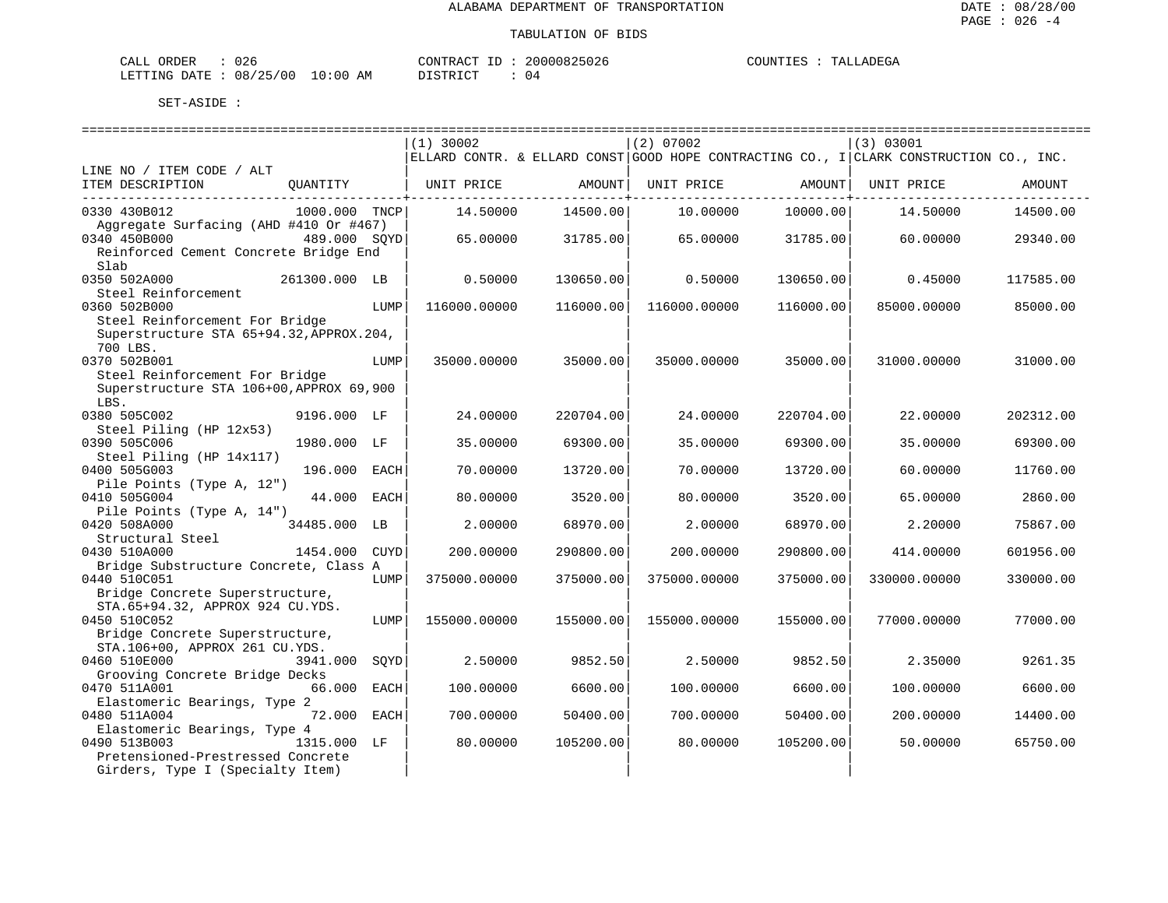| ORDER<br>CALL | $\sim$ $\sim$ $\sim$<br>U Z 6 |             | CONTRACT      | 20000825026 | COUNTIES | TALLADEGA |
|---------------|-------------------------------|-------------|---------------|-------------|----------|-----------|
| LETTING DATE  | 08/25/00                      | 10:00<br>AM | DISTRICT<br>. | ⊣ ∆         |          |           |

|                                                        |               |      | $(1)$ 30002  |                       | (2) 07002    |                     | (3) 03001                                                                              |           |
|--------------------------------------------------------|---------------|------|--------------|-----------------------|--------------|---------------------|----------------------------------------------------------------------------------------|-----------|
|                                                        |               |      |              |                       |              |                     | ELLARD CONTR. & ELLARD CONST GOOD HOPE CONTRACTING CO., I CLARK CONSTRUCTION CO., INC. |           |
| LINE NO / ITEM CODE / ALT                              |               |      |              |                       |              |                     |                                                                                        |           |
| ITEM DESCRIPTION                                       | OUANTITY      |      | UNIT PRICE   | AMOUNT                | UNIT PRICE   | AMOUNT              | UNIT PRICE                                                                             | AMOUNT    |
|                                                        |               |      |              | --------------+------ |              | ------------+------ |                                                                                        |           |
| 0330 430B012                                           | 1000.000 TNCP |      | 14.50000     | 14500.00              | 10.00000     | 10000.00            | 14.50000                                                                               | 14500.00  |
| Aggregate Surfacing (AHD #410 Or #467)<br>0340 450B000 | 489.000 SOYD  |      | 65,00000     |                       | 65,00000     | 31785.00            | 60.00000                                                                               | 29340.00  |
| Reinforced Cement Concrete Bridge End                  |               |      |              | 31785.00              |              |                     |                                                                                        |           |
| Slab                                                   |               |      |              |                       |              |                     |                                                                                        |           |
| 0350 502A000                                           | 261300.000 LB |      | 0.50000      | 130650.00             | 0.50000      | 130650.00           | 0.45000                                                                                | 117585.00 |
| Steel Reinforcement                                    |               |      |              |                       |              |                     |                                                                                        |           |
| 0360 502B000                                           |               | LUMP | 116000.00000 | 116000.00             | 116000.00000 | 116000.00           | 85000.00000                                                                            | 85000.00  |
| Steel Reinforcement For Bridge                         |               |      |              |                       |              |                     |                                                                                        |           |
| Superstructure STA 65+94.32, APPROX.204,               |               |      |              |                       |              |                     |                                                                                        |           |
| 700 LBS.                                               |               |      |              |                       |              |                     |                                                                                        |           |
| 0370 502B001                                           |               | LUMP | 35000.00000  | 35000.00              | 35000.00000  | 35000.00            | 31000.00000                                                                            | 31000.00  |
| Steel Reinforcement For Bridge                         |               |      |              |                       |              |                     |                                                                                        |           |
| Superstructure STA 106+00, APPROX 69, 900              |               |      |              |                       |              |                     |                                                                                        |           |
| LBS.                                                   |               |      |              |                       |              |                     |                                                                                        |           |
| 0380 505C002                                           | 9196.000 LF   |      | 24.00000     | 220704.00             | 24.00000     | 220704.00           | 22,00000                                                                               | 202312.00 |
| Steel Piling (HP 12x53)                                |               |      |              |                       |              |                     |                                                                                        |           |
| 0390 505C006                                           | 1980.000 LF   |      | 35.00000     | 69300.00              | 35.00000     | 69300.00            | 35.00000                                                                               | 69300.00  |
| Steel Piling (HP 14x117)                               |               |      |              |                       |              |                     |                                                                                        |           |
| 0400 505G003                                           | 196.000       | EACH | 70.00000     | 13720.00              | 70.00000     | 13720.00            | 60.00000                                                                               | 11760.00  |
| Pile Points (Type A, 12")                              |               |      |              |                       |              |                     |                                                                                        |           |
| 0410 505G004                                           | 44.000        | EACH | 80.00000     | 3520.00               | 80.00000     | 3520.00             | 65.00000                                                                               | 2860.00   |
| Pile Points (Type A, 14")                              |               |      |              |                       |              |                     |                                                                                        |           |
| 0420 508A000                                           | 34485.000 LB  |      | 2.00000      | 68970.00              | 2.00000      | 68970.00            | 2,20000                                                                                | 75867.00  |
| Structural Steel                                       |               |      |              |                       |              |                     |                                                                                        |           |
| 0430 510A000                                           | 1454.000 CUYD |      | 200.00000    | 290800.00             | 200.00000    | 290800.00           | 414.00000                                                                              | 601956.00 |
| Bridge Substructure Concrete, Class A                  |               |      |              |                       |              |                     |                                                                                        |           |
| 0440 510C051                                           |               | LUMP | 375000.00000 | 375000.00             | 375000.00000 | 375000.00           | 330000.00000                                                                           | 330000.00 |
| Bridge Concrete Superstructure,                        |               |      |              |                       |              |                     |                                                                                        |           |
| STA.65+94.32, APPROX 924 CU.YDS.                       |               |      |              |                       |              |                     |                                                                                        |           |
| 0450 510C052                                           |               | LUMP | 155000.00000 | 155000.00             | 155000.00000 | 155000.00           | 77000.00000                                                                            | 77000.00  |
| Bridge Concrete Superstructure,                        |               |      |              |                       |              |                     |                                                                                        |           |
| STA.106+00, APPROX 261 CU.YDS.                         |               |      |              |                       |              |                     |                                                                                        |           |
| 0460 510E000                                           | 3941.000      | SOYD | 2.50000      | 9852.50               | 2.50000      | 9852.50             | 2.35000                                                                                | 9261.35   |
| Grooving Concrete Bridge Decks                         |               |      |              |                       |              |                     |                                                                                        |           |
| 0470 511A001                                           | 66.000        | EACH | 100.00000    | 6600.00               | 100.00000    | 6600.00             | 100.00000                                                                              | 6600.00   |
| Elastomeric Bearings, Type 2                           |               |      |              |                       |              |                     |                                                                                        |           |
| 0480 511A004                                           | 72.000        | EACH | 700.00000    | 50400.00              | 700.00000    | 50400.00            | 200.00000                                                                              | 14400.00  |
| Elastomeric Bearings, Type 4                           |               |      |              |                       |              |                     |                                                                                        |           |
| 0490 513B003                                           | 1315.000 LF   |      | 80.00000     | 105200.00             | 80.00000     | 105200.00           | 50.00000                                                                               | 65750.00  |
| Pretensioned-Prestressed Concrete                      |               |      |              |                       |              |                     |                                                                                        |           |
| Girders, Type I (Specialty Item)                       |               |      |              |                       |              |                     |                                                                                        |           |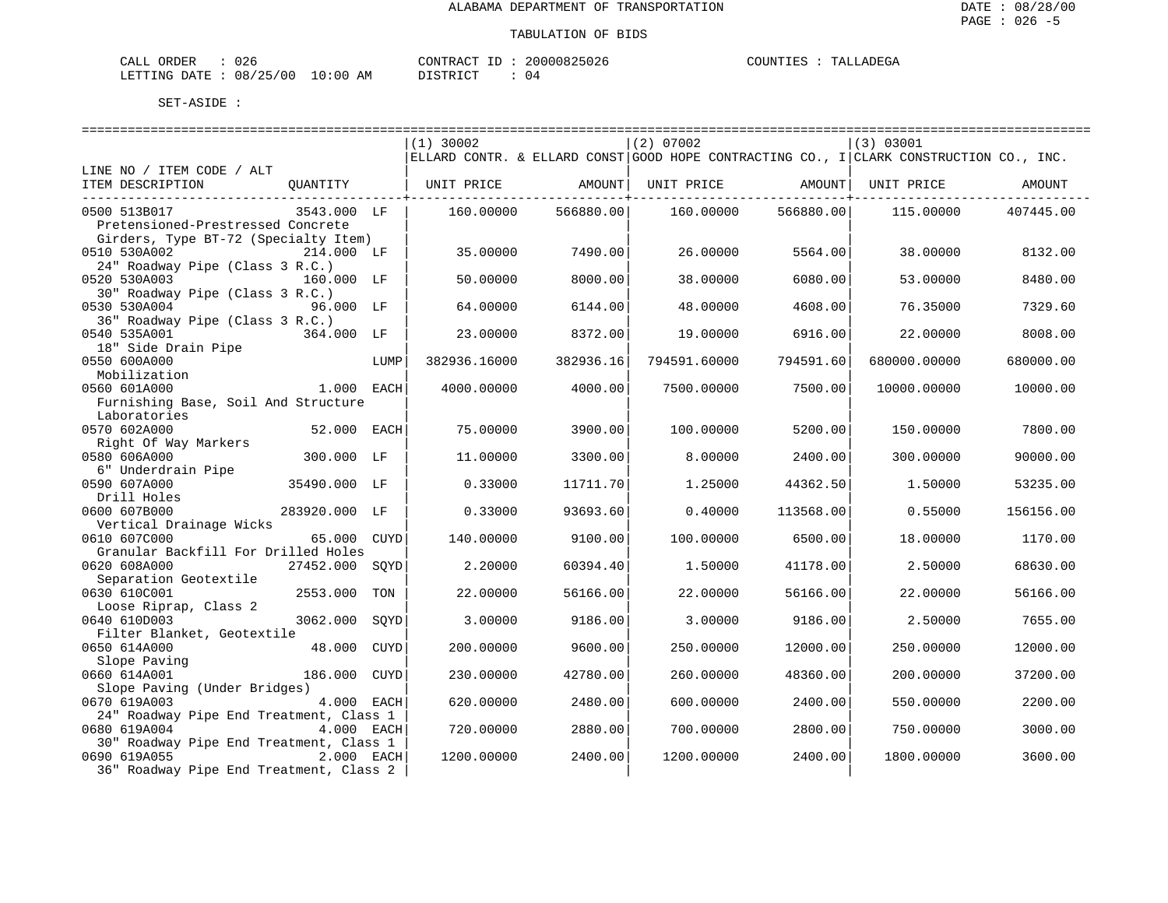| CALL ORDER                       | 026 |          | CONTRACT ID: 20000825026 | COUNTIES | TALLADEGA |
|----------------------------------|-----|----------|--------------------------|----------|-----------|
| LETTING DATE : 08/25/00 10:00 AM |     | DISTRICT | 04                       |          |           |

|                                         |                |      | $(1)$ 30002  |           | $(2)$ 07002  |           | (3) 03001                                                                              |           |
|-----------------------------------------|----------------|------|--------------|-----------|--------------|-----------|----------------------------------------------------------------------------------------|-----------|
|                                         |                |      |              |           |              |           | ELLARD CONTR. & ELLARD CONST GOOD HOPE CONTRACTING CO., I CLARK CONSTRUCTION CO., INC. |           |
| LINE NO / ITEM CODE / ALT               |                |      |              |           |              |           |                                                                                        |           |
| ITEM DESCRIPTION                        | OUANTITY       |      | UNIT PRICE   | AMOUNT    | UNIT PRICE   | AMOUNT    | UNIT PRICE                                                                             | AMOUNT    |
|                                         |                |      |              |           |              |           |                                                                                        |           |
| 0500 513B017                            | 3543.000 LF    |      | 160.00000    | 566880.00 | 160.00000    | 566880.00 | 115.00000                                                                              | 407445.00 |
| Pretensioned-Prestressed Concrete       |                |      |              |           |              |           |                                                                                        |           |
| Girders, Type BT-72 (Specialty Item)    |                |      |              |           |              |           |                                                                                        |           |
| 0510 530A002                            | 214.000 LF     |      | 35.00000     | 7490.00   | 26.00000     | 5564.00   | 38.00000                                                                               | 8132.00   |
| 24" Roadway Pipe (Class 3 R.C.)         |                |      |              |           |              |           |                                                                                        |           |
| 0520 530A003                            | 160.000 LF     |      | 50.00000     | 8000.00   | 38.00000     | 6080.00   | 53.00000                                                                               | 8480.00   |
| 30" Roadway Pipe (Class 3 R.C.)         |                |      |              |           |              |           |                                                                                        |           |
| 0530 530A004                            | 96.000 LF      |      | 64.00000     | 6144.00   | 48.00000     | 4608.00   | 76.35000                                                                               | 7329.60   |
| 36" Roadway Pipe (Class 3 R.C.)         |                |      |              |           |              |           |                                                                                        |           |
| 0540 535A001                            | 364.000 LF     |      | 23.00000     | 8372.00   | 19.00000     | 6916.00   | 22.00000                                                                               | 8008.00   |
| 18" Side Drain Pipe                     |                |      |              |           |              |           |                                                                                        |           |
| 0550 600A000                            |                | LUMP | 382936.16000 | 382936.16 | 794591.60000 | 794591.60 | 680000.00000                                                                           | 680000.00 |
| Mobilization                            |                |      |              |           |              |           |                                                                                        |           |
| 0560 601A000                            | 1.000 EACH     |      | 4000.00000   | 4000.00   | 7500.00000   | 7500.00   | 10000.00000                                                                            | 10000.00  |
| Furnishing Base, Soil And Structure     |                |      |              |           |              |           |                                                                                        |           |
| Laboratories                            |                |      |              |           |              |           |                                                                                        |           |
| 0570 602A000                            | 52.000 EACH    |      | 75.00000     | 3900.00   | 100.00000    | 5200.00   | 150.00000                                                                              | 7800.00   |
| Right Of Way Markers                    |                |      |              |           |              |           |                                                                                        |           |
| 0580 606A000                            | 300.000 LF     |      | 11,00000     | 3300.00   | 8,00000      | 2400.00   | 300.00000                                                                              | 90000.00  |
| 6" Underdrain Pipe                      |                |      |              |           |              |           |                                                                                        |           |
| 0590 607A000                            | 35490.000 LF   |      | 0.33000      | 11711.70  | 1.25000      | 44362.50  | 1,50000                                                                                | 53235.00  |
| Drill Holes                             |                |      |              |           |              |           |                                                                                        |           |
| 0600 607B000                            | 283920.000 LF  |      | 0.33000      | 93693.60  | 0.40000      | 113568.00 | 0.55000                                                                                | 156156.00 |
| Vertical Drainage Wicks                 |                |      |              |           |              |           |                                                                                        |           |
| 0610 607C000                            | 65.000 CUYD    |      | 140.00000    | 9100.00   | 100.00000    | 6500.00   | 18.00000                                                                               | 1170.00   |
| Granular Backfill For Drilled Holes     |                |      |              |           |              |           |                                                                                        |           |
| 0620 608A000                            | 27452.000 SOYD |      | 2.20000      | 60394.40  | 1.50000      | 41178.00  | 2.50000                                                                                | 68630.00  |
| Separation Geotextile                   |                |      |              |           |              |           |                                                                                        |           |
| 0630 610C001                            | 2553.000       | TON  | 22.00000     | 56166.00  | 22.00000     | 56166.00  | 22.00000                                                                               | 56166.00  |
| Loose Riprap, Class 2                   |                |      |              |           |              |           |                                                                                        |           |
| 0640 610D003                            | 3062.000       | SOYD | 3.00000      | 9186.00   | 3.00000      | 9186.00   | 2.50000                                                                                | 7655.00   |
| Filter Blanket, Geotextile              |                |      |              |           |              |           |                                                                                        |           |
| 0650 614A000                            | 48.000         | CUYD | 200.00000    | 9600.00   | 250.00000    | 12000.00  | 250.00000                                                                              | 12000.00  |
| Slope Paving                            |                |      |              |           |              |           |                                                                                        |           |
| 0660 614A001                            | 186.000 CUYD   |      | 230.00000    | 42780.00  | 260.00000    | 48360.00  | 200.00000                                                                              | 37200.00  |
| Slope Paving (Under Bridges)            |                |      |              |           |              |           |                                                                                        |           |
| 0670 619A003                            | 4.000 EACH     |      | 620.00000    | 2480.00   | 600.00000    | 2400.00   | 550.00000                                                                              | 2200.00   |
| 24" Roadway Pipe End Treatment, Class 1 |                |      |              |           |              |           |                                                                                        |           |
| 0680 619A004                            | 4.000 EACH     |      | 720.00000    | 2880.00   | 700.00000    | 2800.00   | 750.00000                                                                              | 3000.00   |
| 30" Roadway Pipe End Treatment, Class 1 |                |      |              |           |              |           |                                                                                        |           |
| 0690 619A055                            | 2.000 EACH     |      | 1200.00000   | 2400.00   | 1200.00000   | 2400.00   | 1800.00000                                                                             | 3600.00   |
| 36" Roadway Pipe End Treatment, Class 2 |                |      |              |           |              |           |                                                                                        |           |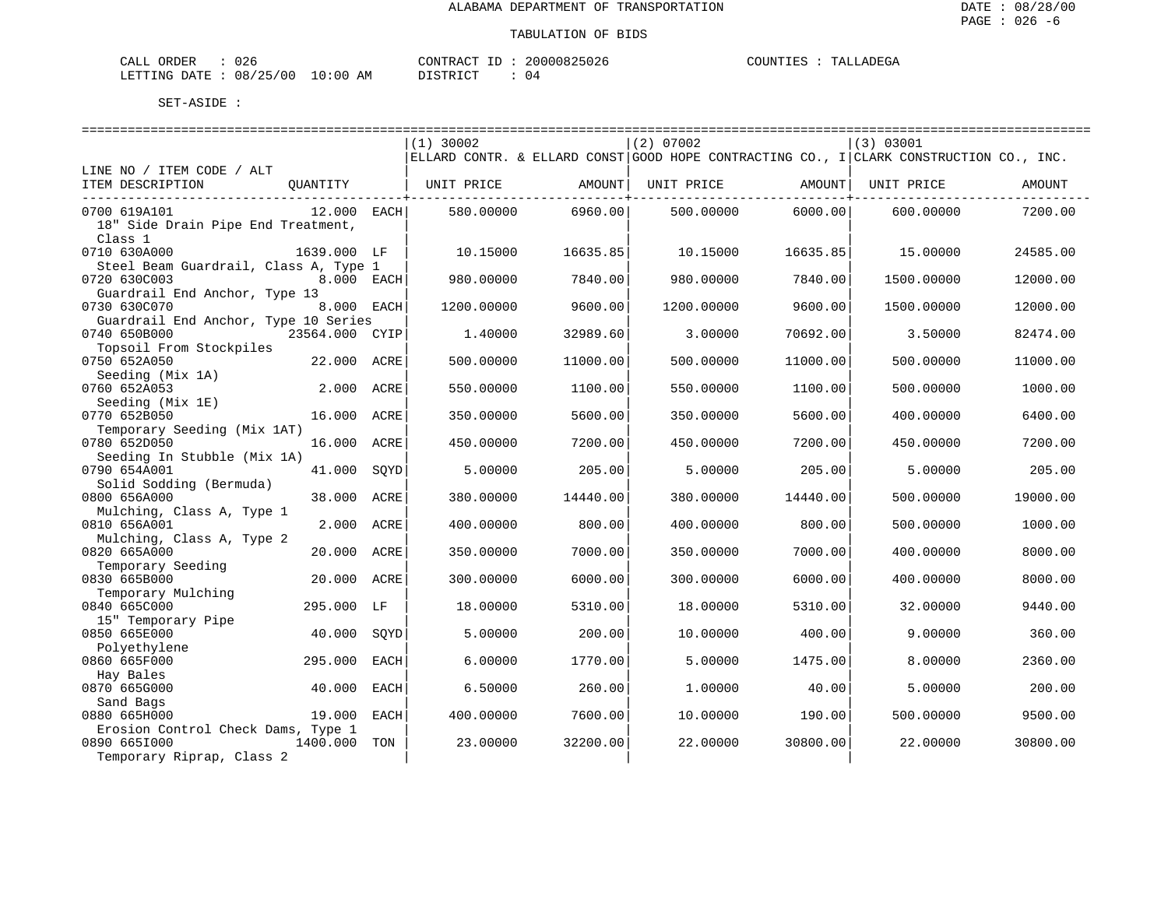| CALL ORDER                       | 026 |          | CONTRACT ID: 20000825026 |  | COUNTIES : TALLADEGA |
|----------------------------------|-----|----------|--------------------------|--|----------------------|
| LETTING DATE : 08/25/00 10:00 AM |     | DISTRICT | 0 <sub>4</sub>           |  |                      |

|                                       |                | $(1)$ 30002 |          | $(2)$ 07002 |          | (3) 03001                                                                              |          |
|---------------------------------------|----------------|-------------|----------|-------------|----------|----------------------------------------------------------------------------------------|----------|
|                                       |                |             |          |             |          | ELLARD CONTR. & ELLARD CONST GOOD HOPE CONTRACTING CO., I CLARK CONSTRUCTION CO., INC. |          |
| LINE NO / ITEM CODE / ALT             |                |             |          |             |          |                                                                                        |          |
| ITEM DESCRIPTION<br>QUANTITY          |                | UNIT PRICE  | AMOUNT   | UNIT PRICE  | AMOUNT   | UNIT PRICE                                                                             | AMOUNT   |
| 0700 619A101                          | 12.000 EACH    | 580.00000   | 6960.00  | 500.00000   | 6000.00  | 600,00000                                                                              | 7200.00  |
| 18" Side Drain Pipe End Treatment,    |                |             |          |             |          |                                                                                        |          |
| Class 1                               |                |             |          |             |          |                                                                                        |          |
| 0710 630A000<br>1639.000 LF           |                | 10.15000    | 16635.85 | 10.15000    | 16635.85 | 15.00000                                                                               | 24585.00 |
| Steel Beam Guardrail, Class A, Type 1 |                |             |          |             |          |                                                                                        |          |
| 0720 630C003                          | 8.000 EACH     | 980.00000   | 7840.00  | 980.00000   | 7840.00  | 1500.00000                                                                             | 12000.00 |
| Guardrail End Anchor, Type 13         |                |             |          |             |          |                                                                                        |          |
| 0730 630C070                          | 8.000 EACH     | 1200.00000  | 9600.00  | 1200.00000  | 9600.00  | 1500.00000                                                                             | 12000.00 |
| Guardrail End Anchor, Type 10 Series  |                |             |          |             |          |                                                                                        |          |
| 0740 650B000                          | 23564.000 CYIP | 1.40000     | 32989.60 | 3.00000     | 70692.00 | 3.50000                                                                                | 82474.00 |
| Topsoil From Stockpiles               |                |             |          |             |          |                                                                                        |          |
| 0750 652A050<br>22.000                | ACRE           | 500.00000   | 11000.00 | 500.00000   | 11000.00 | 500.00000                                                                              | 11000.00 |
| Seeding (Mix 1A)<br>0760 652A053      | 2.000 ACRE     | 550.00000   | 1100.00  | 550.00000   | 1100.00  | 500.00000                                                                              | 1000.00  |
| Seeding (Mix 1E)                      |                |             |          |             |          |                                                                                        |          |
| 0770 652B050                          | 16.000 ACRE    | 350.00000   | 5600.00  | 350.00000   | 5600.00  | 400.00000                                                                              | 6400.00  |
| Temporary Seeding (Mix 1AT)           |                |             |          |             |          |                                                                                        |          |
| 0780 652D050<br>16.000                | ACRE           | 450.00000   | 7200.00  | 450.00000   | 7200.00  | 450.00000                                                                              | 7200.00  |
| Seeding In Stubble (Mix 1A)           |                |             |          |             |          |                                                                                        |          |
| 0790 654A001<br>41.000                | SQYD           | 5.00000     | 205.00   | 5.00000     | 205.00   | 5.00000                                                                                | 205.00   |
| Solid Sodding (Bermuda)               |                |             |          |             |          |                                                                                        |          |
| 38.000<br>0800 656A000                | ACRE           | 380.00000   | 14440.00 | 380.00000   | 14440.00 | 500.00000                                                                              | 19000.00 |
| Mulching, Class A, Type 1             |                |             |          |             |          |                                                                                        |          |
| 0810 656A001<br>2.000                 | ACRE           | 400.00000   | 800.00   | 400.00000   | 800.00   | 500.00000                                                                              | 1000.00  |
| Mulching, Class A, Type 2             |                |             |          |             |          |                                                                                        |          |
| 0820 665A000<br>20.000                | ACRE           | 350.00000   | 7000.00  | 350.00000   | 7000.00  | 400.00000                                                                              | 8000.00  |
| Temporary Seeding<br>0830 665B000     | 20.000 ACRE    | 300.00000   | 6000.00  | 300.00000   | 6000.00  | 400.00000                                                                              | 8000.00  |
| Temporary Mulching                    |                |             |          |             |          |                                                                                        |          |
| 0840 665C000                          | 295.000 LF     | 18.00000    | 5310.00  | 18,00000    | 5310.00  | 32.00000                                                                               | 9440.00  |
| 15" Temporary Pipe                    |                |             |          |             |          |                                                                                        |          |
| 0850 665E000<br>40.000                | SOYD           | 5.00000     | 200.00   | 10.00000    | 400.00   | 9.00000                                                                                | 360.00   |
| Polyethylene                          |                |             |          |             |          |                                                                                        |          |
| 0860 665F000<br>295.000               | EACH           | 6.00000     | 1770.00  | 5.00000     | 1475.00  | 8,00000                                                                                | 2360.00  |
| Hay Bales                             |                |             |          |             |          |                                                                                        |          |
| 0870 665G000<br>40.000                | EACH           | 6.50000     | 260.00   | 1.00000     | 40.00    | 5.00000                                                                                | 200.00   |
| Sand Bags                             |                |             |          |             |          |                                                                                        |          |
| 0880 665H000<br>19.000                | EACH           | 400.00000   | 7600.00  | 10.00000    | 190.00   | 500.00000                                                                              | 9500.00  |
| Erosion Control Check Dams, Type 1    |                |             |          |             |          |                                                                                        |          |
| 0890 6651000<br>1400.000              | TON            | 23.00000    | 32200.00 | 22,00000    | 30800.00 | 22.00000                                                                               | 30800.00 |
| Temporary Riprap, Class 2             |                |             |          |             |          |                                                                                        |          |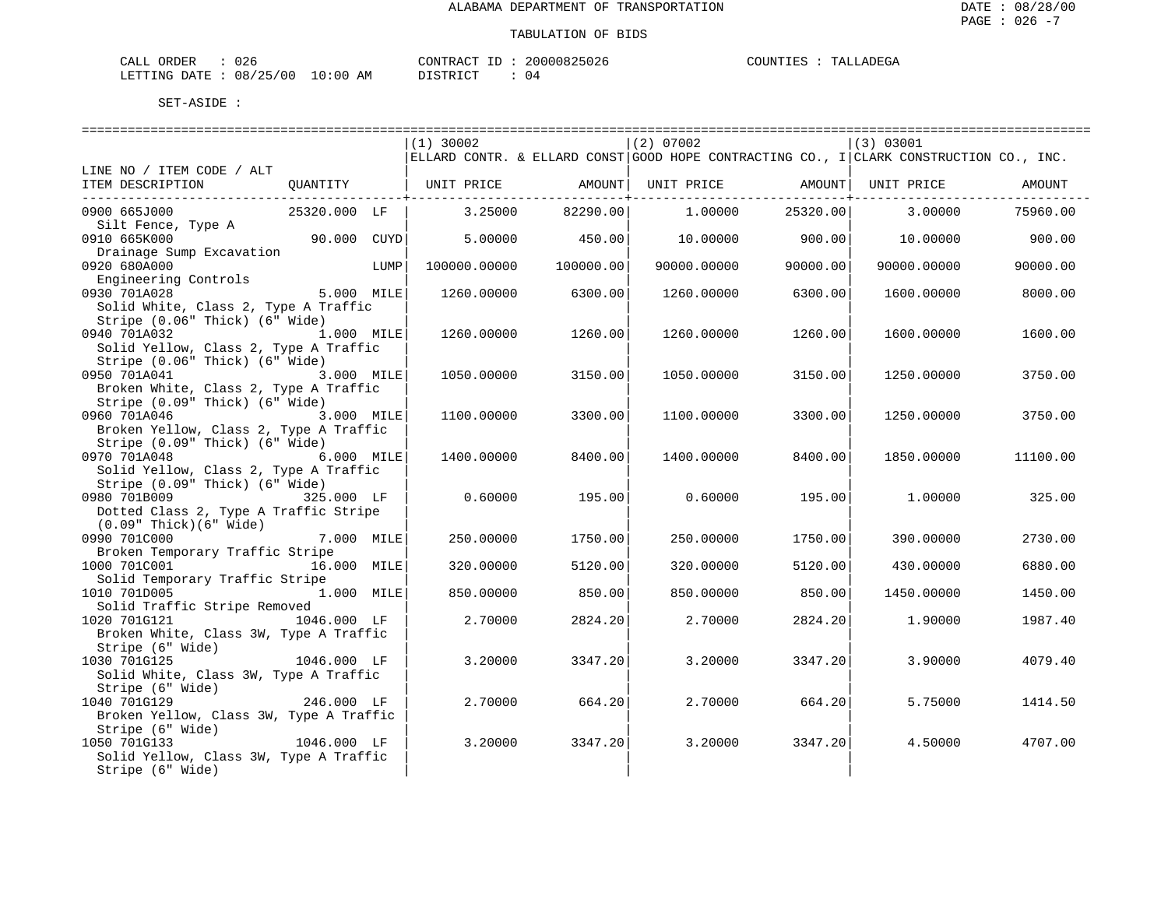| CALL ORDER                       | 026 | CONTRACT ID: | 20000825026 | COUNTIES | TALLADEGA |
|----------------------------------|-----|--------------|-------------|----------|-----------|
| LETTING DATE : 08/25/00 10:00 AM |     | DISTRICT     | 04          |          |           |

| $(1)$ 30002<br>(2) 07002<br>(3) 03001<br>ELLARD CONTR. & ELLARD CONST GOOD HOPE CONTRACTING CO., I CLARK CONSTRUCTION CO., INC.<br>LINE NO / ITEM CODE / ALT<br>ITEM DESCRIPTION<br>QUANTITY   UNIT PRICE AMOUNT<br>UNIT PRICE AMOUNT   UNIT PRICE<br>AMOUNT<br>--------+-----------<br>--------------+-----------<br>25320.000 LF<br>82290.00<br>25320.00<br>0900 665J000<br>3.25000<br>1.00000<br>3.00000<br>75960.00<br>Silt Fence, Type A<br>0910 665K000<br>90.000 CUYD<br>5,00000<br>450.00<br>10,00000<br>900.00<br>10.00000<br>900.00<br>Drainage Sump Excavation<br>0920 680A000<br>LUMP<br>100000.00000<br>100000.00<br>90000.00000<br>90000.00<br>90000.00000<br>90000.00<br>Engineering Controls<br>0930 701A028<br>5.000 MILE<br>6300.00<br>6300.00<br>8000.00<br>1260.00000<br>1260.00000<br>1600.00000<br>Solid White, Class 2, Type A Traffic<br>Stripe (0.06" Thick) (6" Wide)<br>0940 701A032<br>1.000 MILE<br>1260.00<br>1260.00000<br>1260.00000<br>1260.00<br>1600.00000<br>1600.00<br>Solid Yellow, Class 2, Type A Traffic<br>Stripe (0.06" Thick) (6" Wide)<br>0950 701A041<br>3.000 MILE<br>1050.00000<br>3150.00<br>3150.00<br>1250.00000<br>3750.00<br>1050.00000<br>Broken White, Class 2, Type A Traffic<br>Stripe (0.09" Thick) (6" Wide)<br>0960 701A046<br>3.000 MILE<br>1100.00000<br>3300.00<br>3300.00<br>3750.00<br>1100.00000<br>1250.00000<br>Broken Yellow, Class 2, Type A Traffic<br>Stripe (0.09" Thick) (6" Wide)<br>0970 701A048<br>6.000 MILE<br>1400.00000<br>8400.00<br>1400.00000<br>8400.00<br>1850.00000<br>11100.00<br>Solid Yellow, Class 2, Type A Traffic<br>Stripe (0.09" Thick) (6" Wide)<br>0980 701B009<br>325.000 LF<br>325.00<br>0.60000<br>195.00<br>0.60000<br>195.00<br>1,00000<br>Dotted Class 2, Type A Traffic Stripe<br>$(0.09"$ Thick $)(6"$ Wide $)$<br>0990 701C000<br>7.000 MILE<br>250.00000<br>1750.00<br>250.00000<br>1750.00<br>2730.00<br>390.00000<br>Broken Temporary Traffic Stripe<br>1000 701C001<br>16.000 MILE<br>320.00000<br>5120.00<br>320.00000<br>5120.00<br>430.00000<br>6880.00<br>Solid Temporary Traffic Stripe<br>1010 701D005<br>1.000 MILE<br>850.00<br>850.00000<br>850.00000<br>850.00<br>1450.00000<br>1450.00<br>Solid Traffic Stripe Removed<br>1020 701G121<br>1046.000 LF<br>2.70000<br>2824.20<br>2,70000<br>1987.40<br>2824.20<br>1,90000<br>Broken White, Class 3W, Type A Traffic<br>Stripe (6" Wide) |              |         |         |         |         |         |         |
|-----------------------------------------------------------------------------------------------------------------------------------------------------------------------------------------------------------------------------------------------------------------------------------------------------------------------------------------------------------------------------------------------------------------------------------------------------------------------------------------------------------------------------------------------------------------------------------------------------------------------------------------------------------------------------------------------------------------------------------------------------------------------------------------------------------------------------------------------------------------------------------------------------------------------------------------------------------------------------------------------------------------------------------------------------------------------------------------------------------------------------------------------------------------------------------------------------------------------------------------------------------------------------------------------------------------------------------------------------------------------------------------------------------------------------------------------------------------------------------------------------------------------------------------------------------------------------------------------------------------------------------------------------------------------------------------------------------------------------------------------------------------------------------------------------------------------------------------------------------------------------------------------------------------------------------------------------------------------------------------------------------------------------------------------------------------------------------------------------------------------------------------------------------------------------------------------------------------------------------------------------------------------------------------------------------------------------------------------------------------------------------------------------------------|--------------|---------|---------|---------|---------|---------|---------|
|                                                                                                                                                                                                                                                                                                                                                                                                                                                                                                                                                                                                                                                                                                                                                                                                                                                                                                                                                                                                                                                                                                                                                                                                                                                                                                                                                                                                                                                                                                                                                                                                                                                                                                                                                                                                                                                                                                                                                                                                                                                                                                                                                                                                                                                                                                                                                                                                                 |              |         |         |         |         |         |         |
|                                                                                                                                                                                                                                                                                                                                                                                                                                                                                                                                                                                                                                                                                                                                                                                                                                                                                                                                                                                                                                                                                                                                                                                                                                                                                                                                                                                                                                                                                                                                                                                                                                                                                                                                                                                                                                                                                                                                                                                                                                                                                                                                                                                                                                                                                                                                                                                                                 |              |         |         |         |         |         |         |
|                                                                                                                                                                                                                                                                                                                                                                                                                                                                                                                                                                                                                                                                                                                                                                                                                                                                                                                                                                                                                                                                                                                                                                                                                                                                                                                                                                                                                                                                                                                                                                                                                                                                                                                                                                                                                                                                                                                                                                                                                                                                                                                                                                                                                                                                                                                                                                                                                 |              |         |         |         |         |         |         |
|                                                                                                                                                                                                                                                                                                                                                                                                                                                                                                                                                                                                                                                                                                                                                                                                                                                                                                                                                                                                                                                                                                                                                                                                                                                                                                                                                                                                                                                                                                                                                                                                                                                                                                                                                                                                                                                                                                                                                                                                                                                                                                                                                                                                                                                                                                                                                                                                                 |              |         |         |         |         |         |         |
|                                                                                                                                                                                                                                                                                                                                                                                                                                                                                                                                                                                                                                                                                                                                                                                                                                                                                                                                                                                                                                                                                                                                                                                                                                                                                                                                                                                                                                                                                                                                                                                                                                                                                                                                                                                                                                                                                                                                                                                                                                                                                                                                                                                                                                                                                                                                                                                                                 |              |         |         |         |         |         |         |
|                                                                                                                                                                                                                                                                                                                                                                                                                                                                                                                                                                                                                                                                                                                                                                                                                                                                                                                                                                                                                                                                                                                                                                                                                                                                                                                                                                                                                                                                                                                                                                                                                                                                                                                                                                                                                                                                                                                                                                                                                                                                                                                                                                                                                                                                                                                                                                                                                 |              |         |         |         |         |         |         |
|                                                                                                                                                                                                                                                                                                                                                                                                                                                                                                                                                                                                                                                                                                                                                                                                                                                                                                                                                                                                                                                                                                                                                                                                                                                                                                                                                                                                                                                                                                                                                                                                                                                                                                                                                                                                                                                                                                                                                                                                                                                                                                                                                                                                                                                                                                                                                                                                                 |              |         |         |         |         |         |         |
|                                                                                                                                                                                                                                                                                                                                                                                                                                                                                                                                                                                                                                                                                                                                                                                                                                                                                                                                                                                                                                                                                                                                                                                                                                                                                                                                                                                                                                                                                                                                                                                                                                                                                                                                                                                                                                                                                                                                                                                                                                                                                                                                                                                                                                                                                                                                                                                                                 |              |         |         |         |         |         |         |
|                                                                                                                                                                                                                                                                                                                                                                                                                                                                                                                                                                                                                                                                                                                                                                                                                                                                                                                                                                                                                                                                                                                                                                                                                                                                                                                                                                                                                                                                                                                                                                                                                                                                                                                                                                                                                                                                                                                                                                                                                                                                                                                                                                                                                                                                                                                                                                                                                 |              |         |         |         |         |         |         |
|                                                                                                                                                                                                                                                                                                                                                                                                                                                                                                                                                                                                                                                                                                                                                                                                                                                                                                                                                                                                                                                                                                                                                                                                                                                                                                                                                                                                                                                                                                                                                                                                                                                                                                                                                                                                                                                                                                                                                                                                                                                                                                                                                                                                                                                                                                                                                                                                                 |              |         |         |         |         |         |         |
|                                                                                                                                                                                                                                                                                                                                                                                                                                                                                                                                                                                                                                                                                                                                                                                                                                                                                                                                                                                                                                                                                                                                                                                                                                                                                                                                                                                                                                                                                                                                                                                                                                                                                                                                                                                                                                                                                                                                                                                                                                                                                                                                                                                                                                                                                                                                                                                                                 |              |         |         |         |         |         |         |
|                                                                                                                                                                                                                                                                                                                                                                                                                                                                                                                                                                                                                                                                                                                                                                                                                                                                                                                                                                                                                                                                                                                                                                                                                                                                                                                                                                                                                                                                                                                                                                                                                                                                                                                                                                                                                                                                                                                                                                                                                                                                                                                                                                                                                                                                                                                                                                                                                 |              |         |         |         |         |         |         |
|                                                                                                                                                                                                                                                                                                                                                                                                                                                                                                                                                                                                                                                                                                                                                                                                                                                                                                                                                                                                                                                                                                                                                                                                                                                                                                                                                                                                                                                                                                                                                                                                                                                                                                                                                                                                                                                                                                                                                                                                                                                                                                                                                                                                                                                                                                                                                                                                                 |              |         |         |         |         |         |         |
|                                                                                                                                                                                                                                                                                                                                                                                                                                                                                                                                                                                                                                                                                                                                                                                                                                                                                                                                                                                                                                                                                                                                                                                                                                                                                                                                                                                                                                                                                                                                                                                                                                                                                                                                                                                                                                                                                                                                                                                                                                                                                                                                                                                                                                                                                                                                                                                                                 |              |         |         |         |         |         |         |
|                                                                                                                                                                                                                                                                                                                                                                                                                                                                                                                                                                                                                                                                                                                                                                                                                                                                                                                                                                                                                                                                                                                                                                                                                                                                                                                                                                                                                                                                                                                                                                                                                                                                                                                                                                                                                                                                                                                                                                                                                                                                                                                                                                                                                                                                                                                                                                                                                 |              |         |         |         |         |         |         |
|                                                                                                                                                                                                                                                                                                                                                                                                                                                                                                                                                                                                                                                                                                                                                                                                                                                                                                                                                                                                                                                                                                                                                                                                                                                                                                                                                                                                                                                                                                                                                                                                                                                                                                                                                                                                                                                                                                                                                                                                                                                                                                                                                                                                                                                                                                                                                                                                                 |              |         |         |         |         |         |         |
|                                                                                                                                                                                                                                                                                                                                                                                                                                                                                                                                                                                                                                                                                                                                                                                                                                                                                                                                                                                                                                                                                                                                                                                                                                                                                                                                                                                                                                                                                                                                                                                                                                                                                                                                                                                                                                                                                                                                                                                                                                                                                                                                                                                                                                                                                                                                                                                                                 |              |         |         |         |         |         |         |
|                                                                                                                                                                                                                                                                                                                                                                                                                                                                                                                                                                                                                                                                                                                                                                                                                                                                                                                                                                                                                                                                                                                                                                                                                                                                                                                                                                                                                                                                                                                                                                                                                                                                                                                                                                                                                                                                                                                                                                                                                                                                                                                                                                                                                                                                                                                                                                                                                 |              |         |         |         |         |         |         |
|                                                                                                                                                                                                                                                                                                                                                                                                                                                                                                                                                                                                                                                                                                                                                                                                                                                                                                                                                                                                                                                                                                                                                                                                                                                                                                                                                                                                                                                                                                                                                                                                                                                                                                                                                                                                                                                                                                                                                                                                                                                                                                                                                                                                                                                                                                                                                                                                                 |              |         |         |         |         |         |         |
|                                                                                                                                                                                                                                                                                                                                                                                                                                                                                                                                                                                                                                                                                                                                                                                                                                                                                                                                                                                                                                                                                                                                                                                                                                                                                                                                                                                                                                                                                                                                                                                                                                                                                                                                                                                                                                                                                                                                                                                                                                                                                                                                                                                                                                                                                                                                                                                                                 |              |         |         |         |         |         |         |
|                                                                                                                                                                                                                                                                                                                                                                                                                                                                                                                                                                                                                                                                                                                                                                                                                                                                                                                                                                                                                                                                                                                                                                                                                                                                                                                                                                                                                                                                                                                                                                                                                                                                                                                                                                                                                                                                                                                                                                                                                                                                                                                                                                                                                                                                                                                                                                                                                 |              |         |         |         |         |         |         |
|                                                                                                                                                                                                                                                                                                                                                                                                                                                                                                                                                                                                                                                                                                                                                                                                                                                                                                                                                                                                                                                                                                                                                                                                                                                                                                                                                                                                                                                                                                                                                                                                                                                                                                                                                                                                                                                                                                                                                                                                                                                                                                                                                                                                                                                                                                                                                                                                                 |              |         |         |         |         |         |         |
|                                                                                                                                                                                                                                                                                                                                                                                                                                                                                                                                                                                                                                                                                                                                                                                                                                                                                                                                                                                                                                                                                                                                                                                                                                                                                                                                                                                                                                                                                                                                                                                                                                                                                                                                                                                                                                                                                                                                                                                                                                                                                                                                                                                                                                                                                                                                                                                                                 |              |         |         |         |         |         |         |
|                                                                                                                                                                                                                                                                                                                                                                                                                                                                                                                                                                                                                                                                                                                                                                                                                                                                                                                                                                                                                                                                                                                                                                                                                                                                                                                                                                                                                                                                                                                                                                                                                                                                                                                                                                                                                                                                                                                                                                                                                                                                                                                                                                                                                                                                                                                                                                                                                 |              |         |         |         |         |         |         |
|                                                                                                                                                                                                                                                                                                                                                                                                                                                                                                                                                                                                                                                                                                                                                                                                                                                                                                                                                                                                                                                                                                                                                                                                                                                                                                                                                                                                                                                                                                                                                                                                                                                                                                                                                                                                                                                                                                                                                                                                                                                                                                                                                                                                                                                                                                                                                                                                                 |              |         |         |         |         |         |         |
|                                                                                                                                                                                                                                                                                                                                                                                                                                                                                                                                                                                                                                                                                                                                                                                                                                                                                                                                                                                                                                                                                                                                                                                                                                                                                                                                                                                                                                                                                                                                                                                                                                                                                                                                                                                                                                                                                                                                                                                                                                                                                                                                                                                                                                                                                                                                                                                                                 |              |         |         |         |         |         |         |
|                                                                                                                                                                                                                                                                                                                                                                                                                                                                                                                                                                                                                                                                                                                                                                                                                                                                                                                                                                                                                                                                                                                                                                                                                                                                                                                                                                                                                                                                                                                                                                                                                                                                                                                                                                                                                                                                                                                                                                                                                                                                                                                                                                                                                                                                                                                                                                                                                 |              |         |         |         |         |         |         |
|                                                                                                                                                                                                                                                                                                                                                                                                                                                                                                                                                                                                                                                                                                                                                                                                                                                                                                                                                                                                                                                                                                                                                                                                                                                                                                                                                                                                                                                                                                                                                                                                                                                                                                                                                                                                                                                                                                                                                                                                                                                                                                                                                                                                                                                                                                                                                                                                                 |              |         |         |         |         |         |         |
|                                                                                                                                                                                                                                                                                                                                                                                                                                                                                                                                                                                                                                                                                                                                                                                                                                                                                                                                                                                                                                                                                                                                                                                                                                                                                                                                                                                                                                                                                                                                                                                                                                                                                                                                                                                                                                                                                                                                                                                                                                                                                                                                                                                                                                                                                                                                                                                                                 |              |         |         |         |         |         |         |
|                                                                                                                                                                                                                                                                                                                                                                                                                                                                                                                                                                                                                                                                                                                                                                                                                                                                                                                                                                                                                                                                                                                                                                                                                                                                                                                                                                                                                                                                                                                                                                                                                                                                                                                                                                                                                                                                                                                                                                                                                                                                                                                                                                                                                                                                                                                                                                                                                 |              |         |         |         |         |         |         |
|                                                                                                                                                                                                                                                                                                                                                                                                                                                                                                                                                                                                                                                                                                                                                                                                                                                                                                                                                                                                                                                                                                                                                                                                                                                                                                                                                                                                                                                                                                                                                                                                                                                                                                                                                                                                                                                                                                                                                                                                                                                                                                                                                                                                                                                                                                                                                                                                                 |              |         |         |         |         |         |         |
|                                                                                                                                                                                                                                                                                                                                                                                                                                                                                                                                                                                                                                                                                                                                                                                                                                                                                                                                                                                                                                                                                                                                                                                                                                                                                                                                                                                                                                                                                                                                                                                                                                                                                                                                                                                                                                                                                                                                                                                                                                                                                                                                                                                                                                                                                                                                                                                                                 |              |         |         |         |         |         |         |
|                                                                                                                                                                                                                                                                                                                                                                                                                                                                                                                                                                                                                                                                                                                                                                                                                                                                                                                                                                                                                                                                                                                                                                                                                                                                                                                                                                                                                                                                                                                                                                                                                                                                                                                                                                                                                                                                                                                                                                                                                                                                                                                                                                                                                                                                                                                                                                                                                 |              |         |         |         |         |         |         |
|                                                                                                                                                                                                                                                                                                                                                                                                                                                                                                                                                                                                                                                                                                                                                                                                                                                                                                                                                                                                                                                                                                                                                                                                                                                                                                                                                                                                                                                                                                                                                                                                                                                                                                                                                                                                                                                                                                                                                                                                                                                                                                                                                                                                                                                                                                                                                                                                                 |              |         |         |         |         |         |         |
|                                                                                                                                                                                                                                                                                                                                                                                                                                                                                                                                                                                                                                                                                                                                                                                                                                                                                                                                                                                                                                                                                                                                                                                                                                                                                                                                                                                                                                                                                                                                                                                                                                                                                                                                                                                                                                                                                                                                                                                                                                                                                                                                                                                                                                                                                                                                                                                                                 |              |         |         |         |         |         |         |
|                                                                                                                                                                                                                                                                                                                                                                                                                                                                                                                                                                                                                                                                                                                                                                                                                                                                                                                                                                                                                                                                                                                                                                                                                                                                                                                                                                                                                                                                                                                                                                                                                                                                                                                                                                                                                                                                                                                                                                                                                                                                                                                                                                                                                                                                                                                                                                                                                 |              |         |         |         |         |         |         |
|                                                                                                                                                                                                                                                                                                                                                                                                                                                                                                                                                                                                                                                                                                                                                                                                                                                                                                                                                                                                                                                                                                                                                                                                                                                                                                                                                                                                                                                                                                                                                                                                                                                                                                                                                                                                                                                                                                                                                                                                                                                                                                                                                                                                                                                                                                                                                                                                                 |              |         |         |         |         |         |         |
|                                                                                                                                                                                                                                                                                                                                                                                                                                                                                                                                                                                                                                                                                                                                                                                                                                                                                                                                                                                                                                                                                                                                                                                                                                                                                                                                                                                                                                                                                                                                                                                                                                                                                                                                                                                                                                                                                                                                                                                                                                                                                                                                                                                                                                                                                                                                                                                                                 |              |         |         |         |         |         |         |
| 1046.000 LF                                                                                                                                                                                                                                                                                                                                                                                                                                                                                                                                                                                                                                                                                                                                                                                                                                                                                                                                                                                                                                                                                                                                                                                                                                                                                                                                                                                                                                                                                                                                                                                                                                                                                                                                                                                                                                                                                                                                                                                                                                                                                                                                                                                                                                                                                                                                                                                                     | 1030 701G125 | 3.20000 | 3347.20 | 3.20000 | 3347.20 | 3.90000 | 4079.40 |
| Solid White, Class 3W, Type A Traffic                                                                                                                                                                                                                                                                                                                                                                                                                                                                                                                                                                                                                                                                                                                                                                                                                                                                                                                                                                                                                                                                                                                                                                                                                                                                                                                                                                                                                                                                                                                                                                                                                                                                                                                                                                                                                                                                                                                                                                                                                                                                                                                                                                                                                                                                                                                                                                           |              |         |         |         |         |         |         |
| Stripe (6" Wide)                                                                                                                                                                                                                                                                                                                                                                                                                                                                                                                                                                                                                                                                                                                                                                                                                                                                                                                                                                                                                                                                                                                                                                                                                                                                                                                                                                                                                                                                                                                                                                                                                                                                                                                                                                                                                                                                                                                                                                                                                                                                                                                                                                                                                                                                                                                                                                                                |              |         |         |         |         |         |         |
| 246.000 LF<br>2.70000<br>664.20<br>5.75000<br>1414.50<br>664.20<br>2,70000                                                                                                                                                                                                                                                                                                                                                                                                                                                                                                                                                                                                                                                                                                                                                                                                                                                                                                                                                                                                                                                                                                                                                                                                                                                                                                                                                                                                                                                                                                                                                                                                                                                                                                                                                                                                                                                                                                                                                                                                                                                                                                                                                                                                                                                                                                                                      | 1040 701G129 |         |         |         |         |         |         |
| Broken Yellow, Class 3W, Type A Traffic                                                                                                                                                                                                                                                                                                                                                                                                                                                                                                                                                                                                                                                                                                                                                                                                                                                                                                                                                                                                                                                                                                                                                                                                                                                                                                                                                                                                                                                                                                                                                                                                                                                                                                                                                                                                                                                                                                                                                                                                                                                                                                                                                                                                                                                                                                                                                                         |              |         |         |         |         |         |         |
| Stripe (6" Wide)                                                                                                                                                                                                                                                                                                                                                                                                                                                                                                                                                                                                                                                                                                                                                                                                                                                                                                                                                                                                                                                                                                                                                                                                                                                                                                                                                                                                                                                                                                                                                                                                                                                                                                                                                                                                                                                                                                                                                                                                                                                                                                                                                                                                                                                                                                                                                                                                |              |         |         |         |         |         |         |
| 1046.000 LF<br>3.20000<br>3347.20<br>4707.00<br>3.20000<br>3347.20<br>4.50000                                                                                                                                                                                                                                                                                                                                                                                                                                                                                                                                                                                                                                                                                                                                                                                                                                                                                                                                                                                                                                                                                                                                                                                                                                                                                                                                                                                                                                                                                                                                                                                                                                                                                                                                                                                                                                                                                                                                                                                                                                                                                                                                                                                                                                                                                                                                   | 1050 701G133 |         |         |         |         |         |         |
| Solid Yellow, Class 3W, Type A Traffic                                                                                                                                                                                                                                                                                                                                                                                                                                                                                                                                                                                                                                                                                                                                                                                                                                                                                                                                                                                                                                                                                                                                                                                                                                                                                                                                                                                                                                                                                                                                                                                                                                                                                                                                                                                                                                                                                                                                                                                                                                                                                                                                                                                                                                                                                                                                                                          |              |         |         |         |         |         |         |
| Stripe (6" Wide)                                                                                                                                                                                                                                                                                                                                                                                                                                                                                                                                                                                                                                                                                                                                                                                                                                                                                                                                                                                                                                                                                                                                                                                                                                                                                                                                                                                                                                                                                                                                                                                                                                                                                                                                                                                                                                                                                                                                                                                                                                                                                                                                                                                                                                                                                                                                                                                                |              |         |         |         |         |         |         |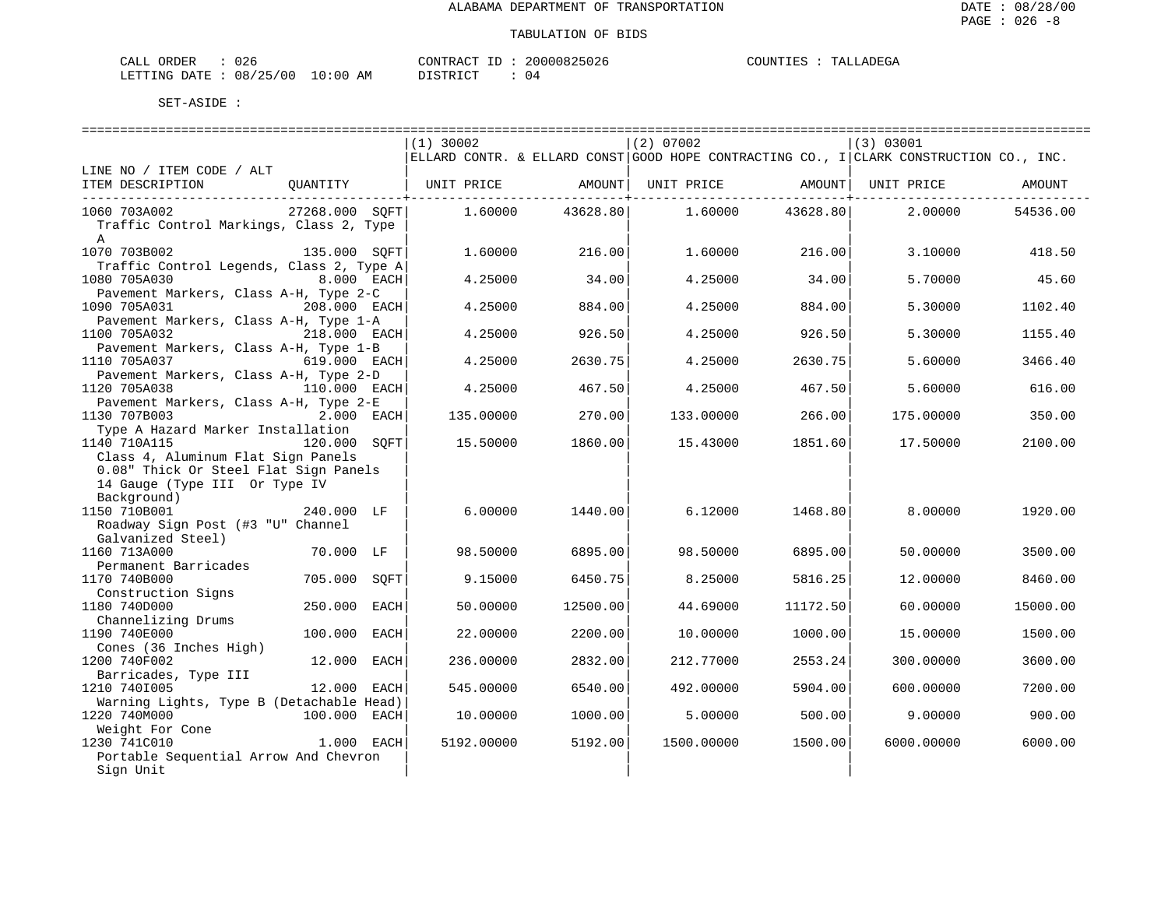| CALL ORDER                       | 026 |          | CONTRACT ID: 20000825026 |  | COUNTIES : TALLADEGA |
|----------------------------------|-----|----------|--------------------------|--|----------------------|
| LETTING DATE : 08/25/00 10:00 AM |     | DISTRICT | 0 <sub>4</sub>           |  |                      |

|                                          |                |      | ================================<br>$(1)$ 30002 |                             | (2) 07002                                                                              |                          | (3) 03001  |          |
|------------------------------------------|----------------|------|-------------------------------------------------|-----------------------------|----------------------------------------------------------------------------------------|--------------------------|------------|----------|
|                                          |                |      |                                                 |                             | ELLARD CONTR. & ELLARD CONST GOOD HOPE CONTRACTING CO., I CLARK CONSTRUCTION CO., INC. |                          |            |          |
| LINE NO / ITEM CODE / ALT                |                |      |                                                 |                             |                                                                                        |                          |            |          |
| ITEM DESCRIPTION                         |                |      |                                                 | -------------------+------- |                                                                                        | -------------------+---- |            | AMOUNT   |
| 1060 703A002                             | 27268.000 SOFT |      | 1.60000                                         | 43628.80                    | 1.60000                                                                                | 43628.80                 | 2,00000    | 54536.00 |
| Traffic Control Markings, Class 2, Type  |                |      |                                                 |                             |                                                                                        |                          |            |          |
| $\mathbb{A}$                             |                |      |                                                 |                             |                                                                                        |                          |            |          |
| 1070 703B002                             | 135.000 SOFT   |      | 1.60000                                         | 216.00                      | 1.60000                                                                                | 216.00                   | 3.10000    | 418.50   |
| Traffic Control Legends, Class 2, Type A |                |      |                                                 |                             |                                                                                        |                          |            |          |
| 1080 705A030                             | 8.000 EACH     |      | 4.25000                                         | 34.00                       | 4.25000                                                                                | 34.00                    | 5.70000    | 45.60    |
| Pavement Markers, Class A-H, Type 2-C    |                |      |                                                 |                             |                                                                                        |                          |            |          |
| 1090 705A031                             | 208.000 EACH   |      | 4.25000                                         | 884.00                      | 4.25000                                                                                | 884.00                   | 5.30000    | 1102.40  |
| Pavement Markers, Class A-H, Type 1-A    |                |      |                                                 |                             |                                                                                        |                          |            |          |
| 1100 705A032                             | 218.000 EACH   |      | 4.25000                                         | 926.50                      | 4.25000                                                                                | 926.50                   | 5.30000    | 1155.40  |
| Pavement Markers, Class A-H, Type 1-B    |                |      |                                                 |                             |                                                                                        |                          |            |          |
| 1110 705A037                             | 619.000 EACH   |      | 4.25000                                         | 2630.75                     | 4.25000                                                                                | 2630.75                  | 5.60000    | 3466.40  |
| Pavement Markers, Class A-H, Type 2-D    |                |      |                                                 |                             |                                                                                        |                          |            |          |
| 1120 705A038                             | 110.000 EACH   |      | 4.25000                                         | 467.50                      | 4.25000                                                                                | 467.50                   | 5.60000    | 616.00   |
| Pavement Markers, Class A-H, Type 2-E    |                |      |                                                 |                             |                                                                                        |                          |            |          |
| 1130 707B003                             | 2.000 EACH     |      | 135.00000                                       | 270.00                      | 133.00000                                                                              | 266.00                   | 175.00000  | 350.00   |
| Type A Hazard Marker Installation        |                |      |                                                 |                             |                                                                                        |                          |            |          |
| 1140 710A115                             | 120.000        | SOFT | 15.50000                                        | 1860.00                     | 15.43000                                                                               | 1851.60                  | 17.50000   | 2100.00  |
| Class 4, Aluminum Flat Sign Panels       |                |      |                                                 |                             |                                                                                        |                          |            |          |
| 0.08" Thick Or Steel Flat Sign Panels    |                |      |                                                 |                             |                                                                                        |                          |            |          |
| 14 Gauge (Type III Or Type IV            |                |      |                                                 |                             |                                                                                        |                          |            |          |
| Background)                              |                |      |                                                 |                             |                                                                                        |                          |            |          |
| 1150 710B001                             | 240.000 LF     |      | 6.00000                                         | 1440.00                     | 6.12000                                                                                | 1468.80                  | 8,00000    | 1920.00  |
| Roadway Sign Post (#3 "U" Channel        |                |      |                                                 |                             |                                                                                        |                          |            |          |
| Galvanized Steel)                        |                |      |                                                 |                             |                                                                                        |                          |            |          |
| 1160 713A000                             | 70.000 LF      |      | 98.50000                                        | 6895.00                     | 98.50000                                                                               | 6895.00                  | 50.00000   | 3500.00  |
| Permanent Barricades                     |                |      |                                                 |                             |                                                                                        |                          |            |          |
| 1170 740B000                             | 705.000 SOFT   |      | 9.15000                                         | 6450.75                     | 8.25000                                                                                | 5816.25                  | 12.00000   | 8460.00  |
| Construction Signs                       |                |      |                                                 |                             |                                                                                        |                          |            |          |
| 1180 740D000                             | 250.000 EACH   |      | 50.00000                                        | 12500.00                    | 44.69000                                                                               | 11172.50                 | 60.00000   | 15000.00 |
| Channelizing Drums                       |                |      |                                                 |                             |                                                                                        |                          |            |          |
| 1190 740E000                             | 100.000 EACH   |      | 22.00000                                        | 2200.00                     | 10.00000                                                                               | 1000.00                  | 15.00000   | 1500.00  |
| Cones (36 Inches High)                   |                |      |                                                 |                             |                                                                                        |                          |            |          |
| 1200 740F002                             | 12.000         | EACH | 236.00000                                       | 2832.00                     | 212.77000                                                                              | 2553.24                  | 300.00000  | 3600.00  |
| Barricades, Type III                     |                |      |                                                 |                             |                                                                                        |                          |            |          |
| 1210 7401005                             | 12.000 EACH    |      | 545.00000                                       | 6540.00                     | 492.00000                                                                              | 5904.00                  | 600,00000  | 7200.00  |
| Warning Lights, Type B (Detachable Head) |                |      |                                                 |                             |                                                                                        |                          |            |          |
| 1220 740M000                             | 100.000 EACH   |      | 10.00000                                        | 1000.00                     | 5.00000                                                                                | 500.00                   | 9.00000    | 900.00   |
| Weight For Cone                          |                |      |                                                 |                             |                                                                                        |                          |            |          |
| 1230 741C010                             | $1.000$ EACH   |      | 5192.00000                                      | 5192.00                     | 1500.00000                                                                             | 1500.00                  | 6000.00000 | 6000.00  |
| Portable Sequential Arrow And Chevron    |                |      |                                                 |                             |                                                                                        |                          |            |          |
| Sign Unit                                |                |      |                                                 |                             |                                                                                        |                          |            |          |
|                                          |                |      |                                                 |                             |                                                                                        |                          |            |          |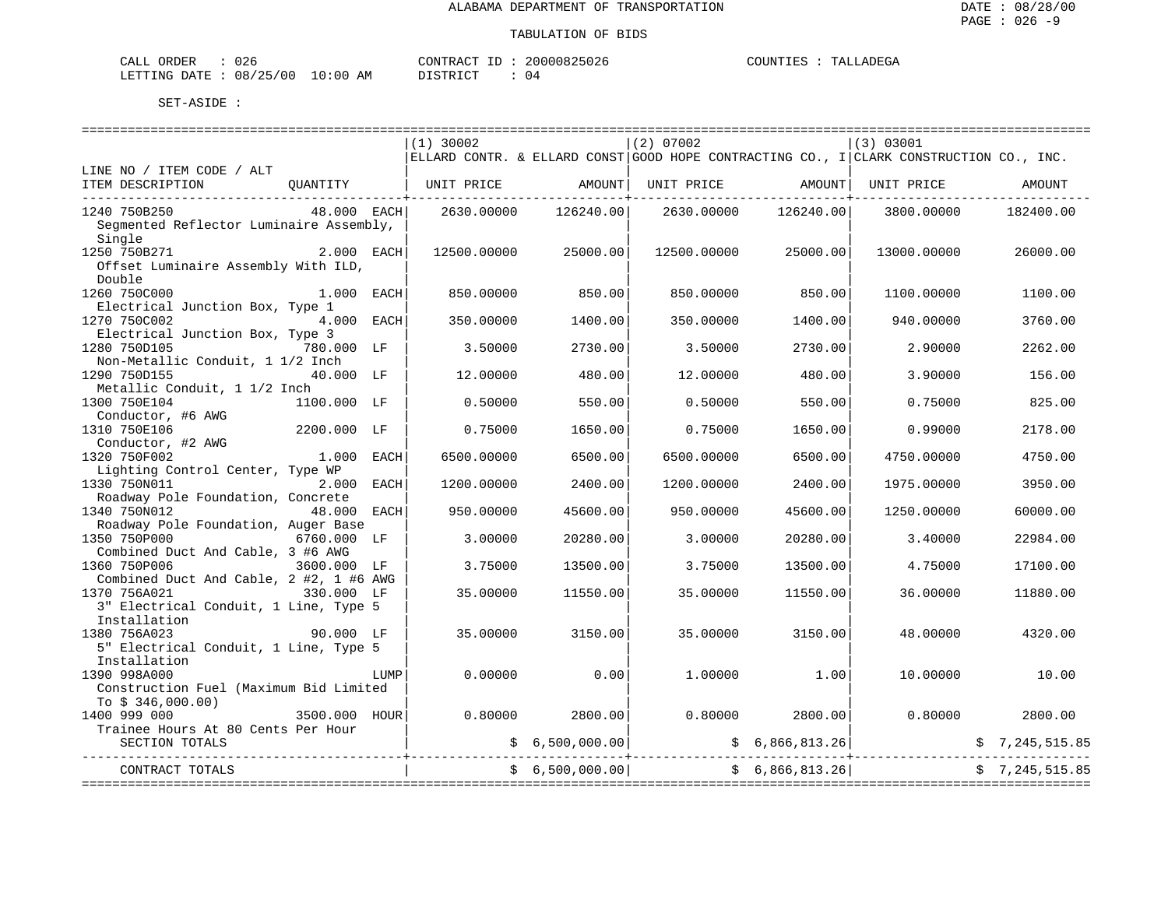| CALL ORDER                       | 026 |          | CONTRACT ID: 20000825026 | COUNTIES | TALLADEGA |
|----------------------------------|-----|----------|--------------------------|----------|-----------|
| LETTING DATE : 08/25/00 10:00 AM |     | DISTRICT | 04                       |          |           |

|                                                  |                 |      | $(1)$ 30002                                                                            |                 | $(2)$ 07002 |                                | (3) 03001   |                |
|--------------------------------------------------|-----------------|------|----------------------------------------------------------------------------------------|-----------------|-------------|--------------------------------|-------------|----------------|
|                                                  |                 |      | ELLARD CONTR. & ELLARD CONST GOOD HOPE CONTRACTING CO., I CLARK CONSTRUCTION CO., INC. |                 |             |                                |             |                |
| LINE NO / ITEM CODE / ALT                        |                 |      |                                                                                        |                 |             | UNIT PRICE AMOUNT   UNIT PRICE |             | AMOUNT         |
| ITEM DESCRIPTION QUANTITY   UNIT PRICE AMOUNT    |                 |      |                                                                                        |                 |             |                                |             |                |
| 1240 750B250                                     | 48.000 EACH     |      | 2630.00000                                                                             | 126240.00       | 2630.00000  | 126240.00                      | 3800.00000  | 182400.00      |
| Segmented Reflector Luminaire Assembly,          |                 |      |                                                                                        |                 |             |                                |             |                |
| Single                                           |                 |      |                                                                                        |                 |             |                                |             |                |
| 1250 750B271 2.000 EACH                          |                 |      | 12500.00000                                                                            | 25000.00        | 12500.00000 | 25000.00                       | 13000.00000 | 26000.00       |
| Offset Luminaire Assembly With ILD,              |                 |      |                                                                                        |                 |             |                                |             |                |
| Double                                           |                 |      |                                                                                        |                 |             |                                |             |                |
| 1260 750C000                                     | $1.000$ EACH    |      | 850,00000                                                                              | 850.00          | 850.00000   | 850.00                         | 1100.00000  | 1100.00        |
| Electrical Junction Box, Type 1                  |                 |      |                                                                                        |                 |             |                                |             |                |
| 1270 750C002<br>Electrical Junction Box, Type 3  | 4.000 EACH      |      | 350.00000                                                                              | 1400.00         | 350.00000   | 1400.00                        | 940.00000   | 3760.00        |
| 1280 750D105                                     | 780.000 LF      |      | 3.50000                                                                                | 2730.00         | 3.50000     | 2730.00                        | 2.90000     | 2262.00        |
| Non-Metallic Conduit, 1 1/2 Inch                 |                 |      |                                                                                        |                 |             |                                |             |                |
| 1290 750D155                                     | 40.000 LF       |      | 12,00000                                                                               | 480.00          | 12,00000    | 480.00                         | 3.90000     | 156.00         |
| Metallic Conduit, 1 1/2 Inch                     |                 |      |                                                                                        |                 |             |                                |             |                |
| 1300 750E104                                     | 1100.000 LF     |      | 0.50000                                                                                | 550.00          | 0.50000     | 550.00                         | 0.75000     | 825.00         |
| Conductor, #6 AWG                                |                 |      |                                                                                        |                 |             |                                |             |                |
| 1310 750E106                                     | 2200.000 LF     |      | 0.75000                                                                                | 1650.00         | 0.75000     | 1650.00                        | 0.99000     | 2178.00        |
| Conductor, #2 AWG                                |                 |      |                                                                                        |                 |             |                                |             |                |
| 1320 750F002                                     | $1.000$ EACH    |      | 6500.00000                                                                             | 6500.00         | 6500.00000  | 6500.00                        | 4750.00000  | 4750.00        |
| Lighting Control Center, Type WP<br>1330 750N011 | 2.000 EACH      |      | 1200.00000                                                                             | 2400.00         | 1200.00000  | 2400.00                        | 1975.00000  | 3950.00        |
| Roadway Pole Foundation, Concrete                |                 |      |                                                                                        |                 |             |                                |             |                |
| 1340 750N012                                     | 48.000 EACH     |      | 950.00000                                                                              | 45600.00        | 950.00000   | 45600.00                       | 1250.00000  | 60000.00       |
| Roadway Pole Foundation, Auger Base              |                 |      |                                                                                        |                 |             |                                |             |                |
| 1350 750P000                                     | 6760.000 LF     |      | 3.00000                                                                                | 20280.00        | 3.00000     | 20280.00                       | 3.40000     | 22984.00       |
| Combined Duct And Cable, 3 #6 AWG                |                 |      |                                                                                        |                 |             |                                |             |                |
| 1360 750P006<br>3600.000 LF                      |                 |      | 3.75000                                                                                | 13500.00        | 3.75000     | 13500.00                       | 4.75000     | 17100.00       |
| Combined Duct And Cable, 2 #2, 1 #6 AWG          |                 |      |                                                                                        |                 |             |                                |             |                |
| 1370 756A021                                     | 330.000 LF      |      | 35.00000                                                                               | 11550.00        | 35.00000    | 11550.00                       | 36.00000    | 11880.00       |
| 3" Electrical Conduit, 1 Line, Type 5            |                 |      |                                                                                        |                 |             |                                |             |                |
| Installation<br>1380 756A023                     |                 |      | 35.00000                                                                               |                 | 35,00000    | 3150.00                        | 48.00000    | 4320.00        |
| 5" Electrical Conduit, 1 Line, Type 5            | 90.000 LF       |      |                                                                                        | 3150.00         |             |                                |             |                |
| Installation                                     |                 |      |                                                                                        |                 |             |                                |             |                |
| 1390 998A000                                     |                 | LUMP | 0.00000                                                                                | 0.00            | 1,00000     | 1.00                           | 10.00000    | 10.00          |
| Construction Fuel (Maximum Bid Limited           |                 |      |                                                                                        |                 |             |                                |             |                |
| To $$346,000.00)$                                |                 |      |                                                                                        |                 |             |                                |             |                |
| 1400 999 000                                     | $3500.000$ HOUR |      | 0.80000                                                                                | 2800.00         | 0.80000     | 2800.00                        | 0.80000     | 2800.00        |
| Trainee Hours At 80 Cents Per Hour               |                 |      |                                                                                        |                 |             |                                |             |                |
| SECTION TOTALS                                   |                 |      |                                                                                        | \$6,500,000.00] |             | \$6,866,813.26]                |             |                |
| --------------                                   |                 |      |                                                                                        | \$6,500,000.00] |             | \$6,866,813.26]                |             |                |
| CONTRACT TOTALS                                  |                 |      |                                                                                        |                 |             |                                |             | \$7,245,515.85 |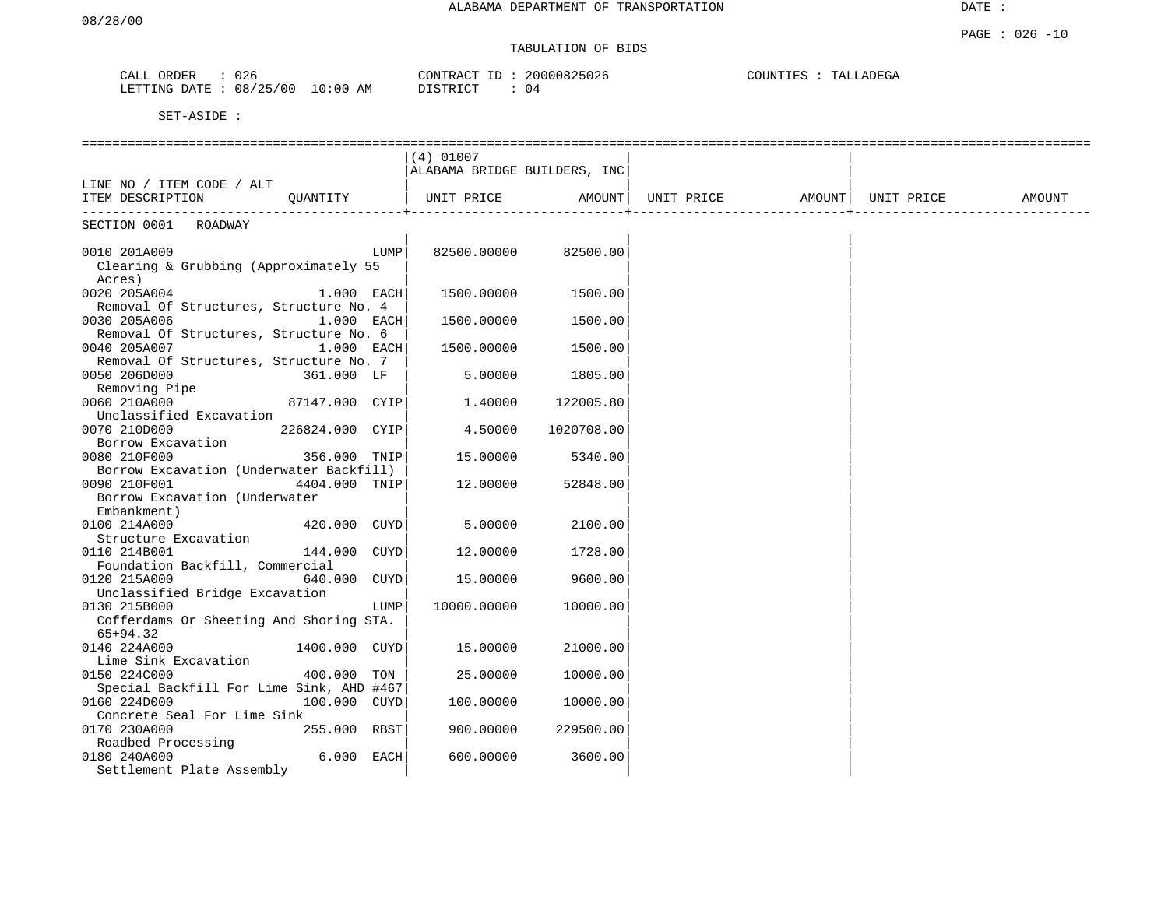| CALL<br>ORDER   | 026      |             | CONTRACT<br>ID                | 20000825026 | COUNTIES | TALLADEGA |
|-----------------|----------|-------------|-------------------------------|-------------|----------|-----------|
| LETTING<br>DATE | 08/25/00 | 10:00<br>AΜ | ידי איד פידי פידי<br>$\cdots$ | U 4         |          |           |

|                                          | $(4)$ 01007                  |            |            |        |            |        |
|------------------------------------------|------------------------------|------------|------------|--------|------------|--------|
|                                          | ALABAMA BRIDGE BUILDERS, INC |            |            |        |            |        |
| LINE NO / ITEM CODE / ALT                |                              |            |            |        |            |        |
| ITEM DESCRIPTION<br>OUANTITY             | UNIT PRICE                   | AMOUNT     | UNIT PRICE | AMOUNT | UNIT PRICE | AMOUNT |
| -------------<br>SECTION 0001 ROADWAY    |                              |            |            |        |            |        |
|                                          |                              |            |            |        |            |        |
| 0010 201A000<br>LUMP                     | 82500.00000                  | 82500.00   |            |        |            |        |
| Clearing & Grubbing (Approximately 55    |                              |            |            |        |            |        |
| Acres)                                   |                              |            |            |        |            |        |
| 0020 205A004<br>$1.000$ EACH             | 1500.00000                   | 1500.00    |            |        |            |        |
| Removal Of Structures, Structure No. 4   |                              |            |            |        |            |        |
| 0030 205A006<br>1.000 EACH               | 1500.00000                   | 1500.00    |            |        |            |        |
| Removal Of Structures, Structure No. 6   |                              |            |            |        |            |        |
| 0040 205A007<br>1.000 EACH               | 1500.00000                   | 1500.00    |            |        |            |        |
| Removal Of Structures, Structure No. 7   |                              |            |            |        |            |        |
| 0050 206D000<br>361.000 LF               | 5.00000                      | 1805.00    |            |        |            |        |
| Removing Pipe                            |                              |            |            |        |            |        |
| 0060 210A000<br>87147.000 CYIP           | 1.40000                      | 122005.80  |            |        |            |        |
| Unclassified Excavation                  |                              |            |            |        |            |        |
| 0070 210D000<br>226824.000 CYIP          | 4.50000                      | 1020708.00 |            |        |            |        |
| Borrow Excavation                        |                              |            |            |        |            |        |
| 0080 210F000<br>356.000 TNIP             | 15.00000                     | 5340.00    |            |        |            |        |
| Borrow Excavation (Underwater Backfill)  |                              |            |            |        |            |        |
| 0090 210F001<br>4404.000 TNIP            | 12.00000                     | 52848.00   |            |        |            |        |
| Borrow Excavation (Underwater            |                              |            |            |        |            |        |
| Embankment)                              |                              |            |            |        |            |        |
| 0100 214A000<br>420.000 CUYD             | 5.00000                      | 2100.00    |            |        |            |        |
| Structure Excavation                     |                              |            |            |        |            |        |
| 0110 214B001<br>144.000 CUYD             | 12.00000                     | 1728.00    |            |        |            |        |
| Foundation Backfill, Commercial          |                              |            |            |        |            |        |
| 0120 215A000<br>640.000 CUYD             | 15.00000                     | 9600.00    |            |        |            |        |
| Unclassified Bridge Excavation           |                              |            |            |        |            |        |
| 0130 215B000<br>LUMP                     | 10000.00000                  | 10000.00   |            |        |            |        |
| Cofferdams Or Sheeting And Shoring STA.  |                              |            |            |        |            |        |
| $65+94.32$                               |                              |            |            |        |            |        |
| 0140 224A000<br>1400.000 CUYD            | 15.00000                     | 21000.00   |            |        |            |        |
| Lime Sink Excavation                     |                              |            |            |        |            |        |
| 0150 224C000<br>400.000 TON              | 25.00000                     | 10000.00   |            |        |            |        |
| Special Backfill For Lime Sink, AHD #467 |                              |            |            |        |            |        |
| 0160 224D000<br>100.000 CUYD             | 100.00000                    | 10000.00   |            |        |            |        |
| Concrete Seal For Lime Sink              |                              |            |            |        |            |        |
| 0170 230A000<br>255.000 RBST             | 900.00000                    | 229500.00  |            |        |            |        |
| Roadbed Processing                       |                              |            |            |        |            |        |
| 6.000 EACH<br>0180 240A000               | 600.00000                    | 3600.00    |            |        |            |        |
| Settlement Plate Assembly                |                              |            |            |        |            |        |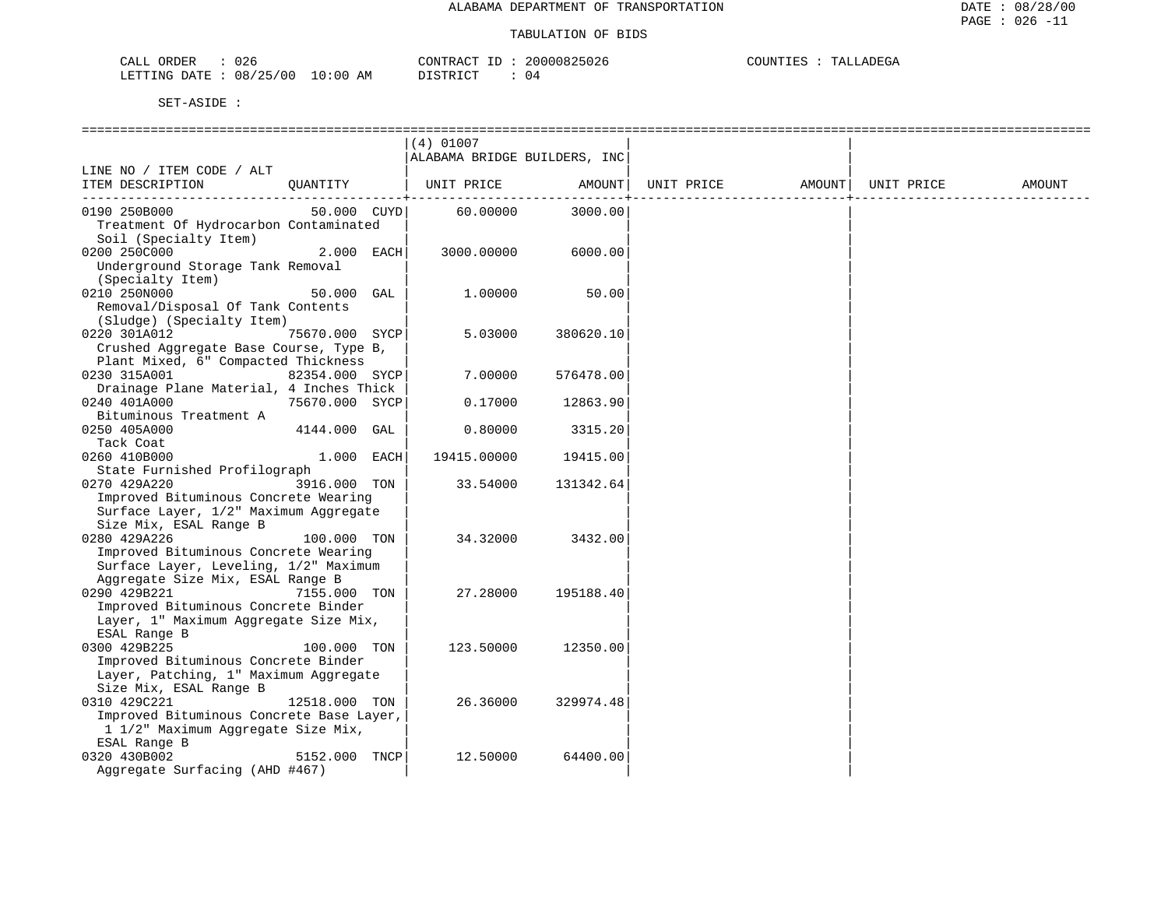| ORDER<br>CALL  | 026                   | CONTRACT ID | 20000825026 | COUNTIES | TALLADEGA |
|----------------|-----------------------|-------------|-------------|----------|-----------|
| LETTING DATE : | $: 08/25/00 10:00$ AM | DISTRICT    | 04          |          |           |

|                                                                              |                | $(4)$ 01007                  |                      |            |        |            |        |
|------------------------------------------------------------------------------|----------------|------------------------------|----------------------|------------|--------|------------|--------|
|                                                                              |                | ALABAMA BRIDGE BUILDERS, INC |                      |            |        |            |        |
| LINE NO / ITEM CODE / ALT                                                    |                |                              |                      |            |        |            |        |
| ITEM DESCRIPTION                                                             | OUANTITY       | UNIT PRICE                   | AMOUNT               | UNIT PRICE | AMOUNT | UNIT PRICE | AMOUNT |
| 0190 250B000                                                                 | 50.000 CUYD    | 60.00000                     | ---------<br>3000.00 |            |        |            |        |
| Treatment Of Hydrocarbon Contaminated                                        |                |                              |                      |            |        |            |        |
| Soil (Specialty Item)                                                        |                |                              |                      |            |        |            |        |
| 0200 250C000                                                                 | 2.000 EACH     | 3000.00000                   | 6000.00              |            |        |            |        |
| Underground Storage Tank Removal                                             |                |                              |                      |            |        |            |        |
| (Specialty Item)                                                             |                |                              |                      |            |        |            |        |
| 0210 250N000                                                                 | 50.000 GAL     | 1,00000                      | 50.00                |            |        |            |        |
| Removal/Disposal Of Tank Contents                                            |                |                              |                      |            |        |            |        |
| (Sludge) (Specialty Item)                                                    |                |                              |                      |            |        |            |        |
| 0220 301A012<br>Crushed Aggregate Base Course, Type B,                       | 75670.000 SYCP | 5.03000                      | 380620.10            |            |        |            |        |
| Plant Mixed, 6" Compacted Thickness                                          |                |                              |                      |            |        |            |        |
| 0230 315A001                                                                 | 82354.000 SYCP | 7.00000                      | 576478.00            |            |        |            |        |
| Drainage Plane Material, 4 Inches Thick                                      |                |                              |                      |            |        |            |        |
| 0240 401A000                                                                 | 75670.000 SYCP | 0.17000                      | 12863.90             |            |        |            |        |
| Bituminous Treatment A                                                       |                |                              |                      |            |        |            |        |
| 0250 405A000                                                                 | 4144.000 GAL   | 0.80000                      | 3315.20              |            |        |            |        |
| Tack Coat                                                                    |                |                              |                      |            |        |            |        |
| 0260 410B000                                                                 | 1.000 EACH     | 19415.00000                  | 19415.00             |            |        |            |        |
| State Furnished Profilograph                                                 |                |                              |                      |            |        |            |        |
| 0270 429A220                                                                 | 3916.000 TON   | 33.54000                     | 131342.64            |            |        |            |        |
| Improved Bituminous Concrete Wearing                                         |                |                              |                      |            |        |            |        |
| Surface Layer, 1/2" Maximum Aggregate<br>Size Mix, ESAL Range B              |                |                              |                      |            |        |            |        |
| 0280 429A226                                                                 | 100.000 TON    | 34.32000                     | 3432.00              |            |        |            |        |
| Improved Bituminous Concrete Wearing                                         |                |                              |                      |            |        |            |        |
| Surface Layer, Leveling, 1/2" Maximum                                        |                |                              |                      |            |        |            |        |
| Aggregate Size Mix, ESAL Range B                                             |                |                              |                      |            |        |            |        |
| 0290 429B221                                                                 | 7155.000 TON   | 27.28000                     | 195188.40            |            |        |            |        |
| Improved Bituminous Concrete Binder                                          |                |                              |                      |            |        |            |        |
| Layer, 1" Maximum Aggregate Size Mix,                                        |                |                              |                      |            |        |            |        |
| ESAL Range B                                                                 |                |                              |                      |            |        |            |        |
| 0300 429B225                                                                 | 100.000 TON    | 123.50000                    | 12350.00             |            |        |            |        |
| Improved Bituminous Concrete Binder<br>Layer, Patching, 1" Maximum Aggregate |                |                              |                      |            |        |            |        |
| Size Mix, ESAL Range B                                                       |                |                              |                      |            |        |            |        |
| 0310 429C221                                                                 | 12518.000 TON  | 26.36000                     | 329974.48            |            |        |            |        |
| Improved Bituminous Concrete Base Layer,                                     |                |                              |                      |            |        |            |        |
| 1 1/2" Maximum Aggregate Size Mix,                                           |                |                              |                      |            |        |            |        |
| ESAL Range B                                                                 |                |                              |                      |            |        |            |        |
| 0320 430B002                                                                 | 5152.000 TNCP  | 12.50000                     | 64400.00             |            |        |            |        |
| Aggregate Surfacing (AHD #467)                                               |                |                              |                      |            |        |            |        |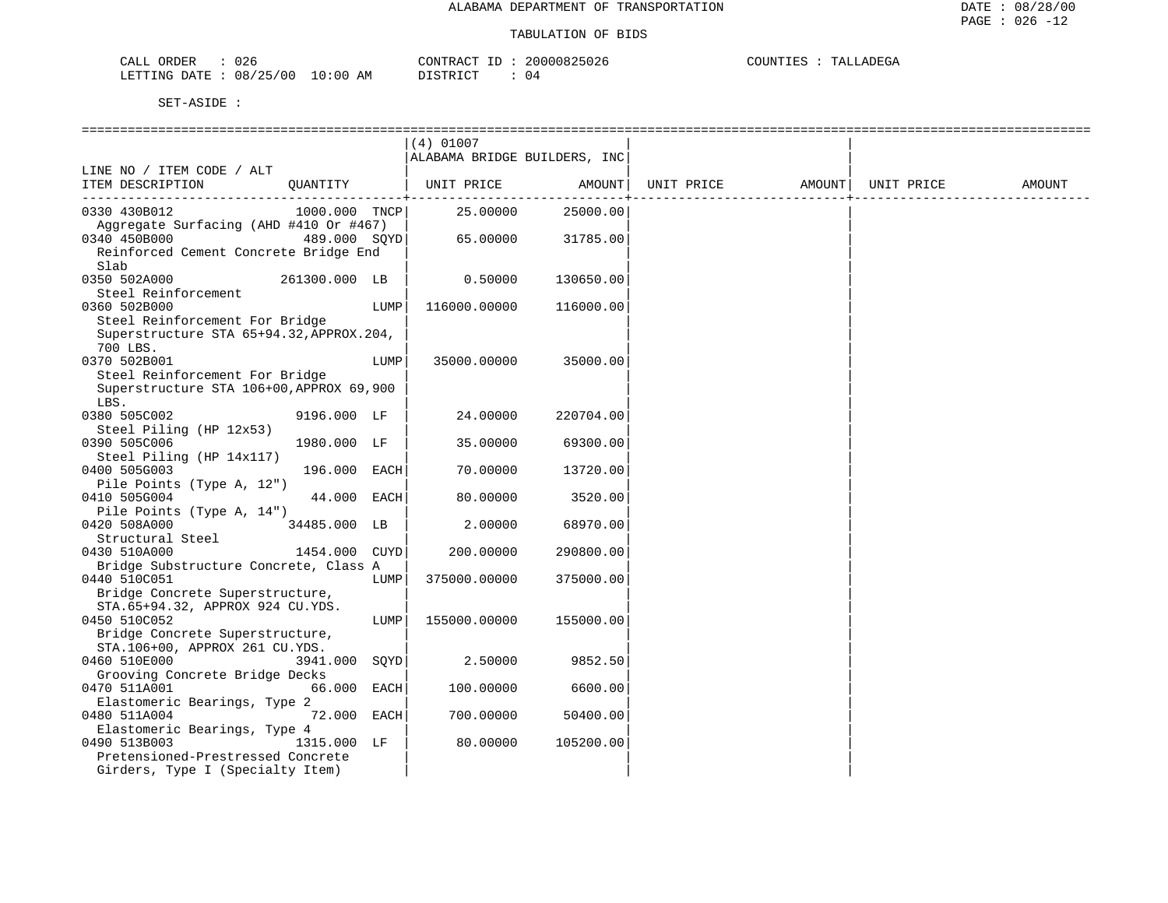| 026<br>ORDER<br>CALL     |             | CONTRACT<br>$- -$ | 20000825026 | COUNTIES<br>TALLADEGA |
|--------------------------|-------------|-------------------|-------------|-----------------------|
| 08/25/00<br>LETTING DATE | 10:00<br>ΑM | DISTRICT          | 04          |                       |

|                                                                                                                       |               |      | $(4)$ 01007<br>ALABAMA BRIDGE BUILDERS, INC |           |            |        |            |        |
|-----------------------------------------------------------------------------------------------------------------------|---------------|------|---------------------------------------------|-----------|------------|--------|------------|--------|
| LINE NO / ITEM CODE / ALT<br>ITEM DESCRIPTION                                                                         | OUANTITY      |      | UNIT PRICE                                  | AMOUNT    | UNIT PRICE | AMOUNT | UNIT PRICE | AMOUNT |
| 0330 430B012<br>Aggregate Surfacing (AHD #410 Or #467)                                                                | 1000.000 TNCP |      | 25,00000                                    | 25000.00  |            |        |            |        |
| $489.000$ SQYD<br>0340 450B000<br>Reinforced Cement Concrete Bridge End<br>Slab                                       |               |      | 65.00000                                    | 31785.00  |            |        |            |        |
| 0350 502A000<br>Steel Reinforcement                                                                                   | 261300.000 LB |      | 0.50000                                     | 130650.00 |            |        |            |        |
| 0360 502B000<br>Steel Reinforcement For Bridge<br>Superstructure STA 65+94.32, APPROX.204,<br>700 LBS.                |               | LUMP | 116000.00000                                | 116000.00 |            |        |            |        |
| 0370 502B001<br>Steel Reinforcement For Bridge<br>Superstructure STA 106+00, APPROX 69, 900<br>LBS.                   |               | LUMP | 35000.00000                                 | 35000.00  |            |        |            |        |
| 0380 505C002<br>Steel Piling (HP 12x53)                                                                               | 9196.000 LF   |      | 24.00000                                    | 220704.00 |            |        |            |        |
| 0390 505C006<br>Steel Piling (HP 14x117)                                                                              | 1980.000 LF   |      | 35.00000                                    | 69300.00  |            |        |            |        |
| 0400 505G003<br>Pile Points (Type A, 12")                                                                             | 196.000 EACH  |      | 70.00000                                    | 13720.00  |            |        |            |        |
| 0410 505G004<br>Pile Points (Type A, 14")                                                                             | 44.000 EACH   |      | 80.00000                                    | 3520.00   |            |        |            |        |
| 0420 508A000<br>Structural Steel                                                                                      | 34485.000 LB  |      | 2.00000                                     | 68970.00  |            |        |            |        |
| 0430 510A000<br>Bridge Substructure Concrete, Class A                                                                 | 1454.000 CUYD |      | 200.00000                                   | 290800.00 |            |        |            |        |
| 0440 510C051<br>Bridge Concrete Superstructure,<br>STA.65+94.32, APPROX 924 CU.YDS.                                   |               | LUMP | 375000.00000                                | 375000.00 |            |        |            |        |
| 0450 510C052<br>Bridge Concrete Superstructure,<br>STA. 106+00, APPROX 261 CU.YDS.                                    |               | LUMP | 155000.00000                                | 155000.00 |            |        |            |        |
| 0460 510E000<br>Grooving Concrete Bridge Decks                                                                        | 3941.000 SOYD |      | 2.50000                                     | 9852.50   |            |        |            |        |
| 0470 511A001<br>Elastomeric Bearings, Type 2                                                                          | 66.000 EACH   |      | 100.00000                                   | 6600.00   |            |        |            |        |
| 0480 511A004                                                                                                          | 72.000 EACH   |      | 700,00000                                   | 50400.00  |            |        |            |        |
| Elastomeric Bearings, Type 4<br>0490 513B003<br>Pretensioned-Prestressed Concrete<br>Girders, Type I (Specialty Item) | 1315.000 LF   |      | 80.00000                                    | 105200.00 |            |        |            |        |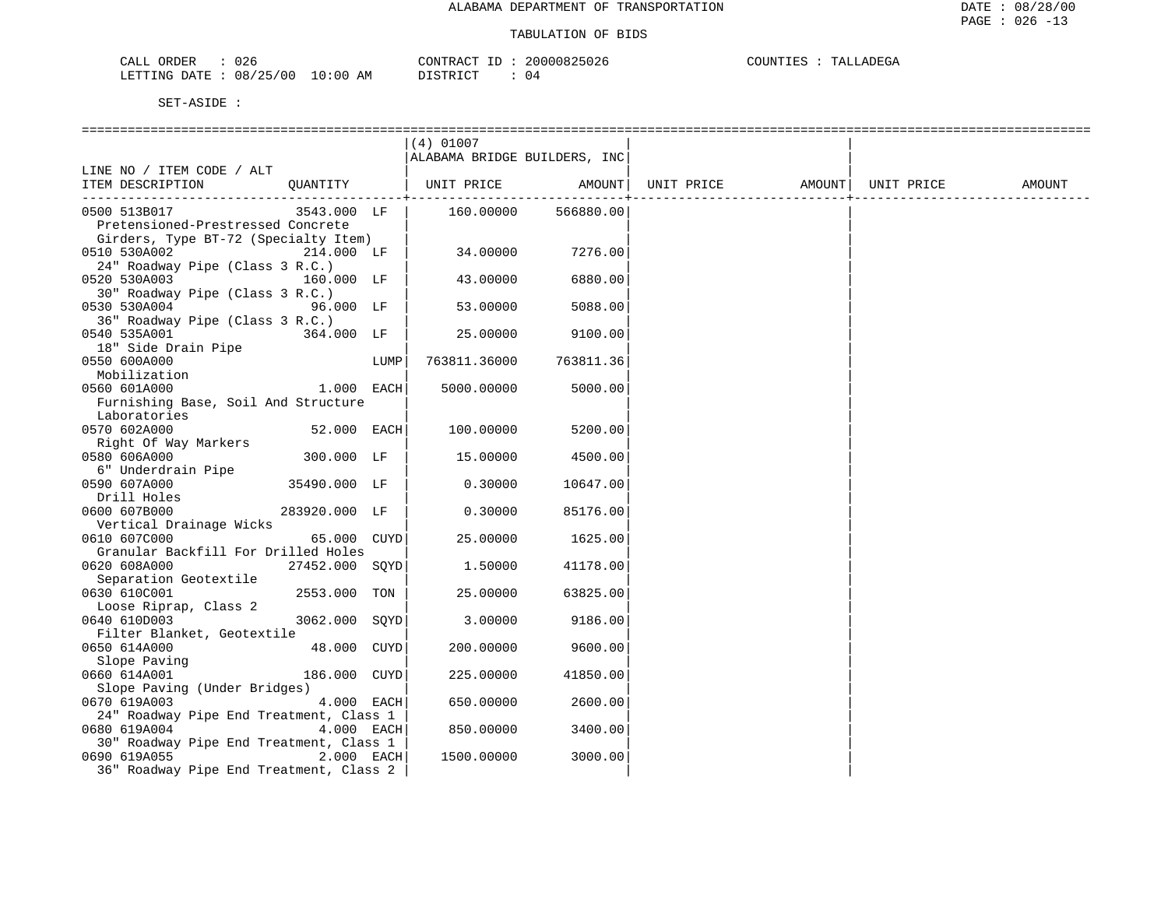| CALL ORDER                       | 026 |          | CONTRACT ID: 20000825026 |  | COUNTIES : TALLADEGA |
|----------------------------------|-----|----------|--------------------------|--|----------------------|
| LETTING DATE : 08/25/00 10:00 AM |     | DISTRICT | 0 <sub>4</sub>           |  |                      |

|                                               |                 |      | $(4)$ 01007                  |           |                                |  |        |
|-----------------------------------------------|-----------------|------|------------------------------|-----------|--------------------------------|--|--------|
|                                               |                 |      | ALABAMA BRIDGE BUILDERS, INC |           |                                |  |        |
| LINE NO / ITEM CODE / ALT                     |                 |      |                              |           |                                |  |        |
| ITEM DESCRIPTION QUANTITY   UNIT PRICE AMOUNT |                 |      |                              |           | UNIT PRICE AMOUNT   UNIT PRICE |  | AMOUNT |
|                                               |                 |      |                              |           |                                |  |        |
| 0500 513B017                                  | 3543.000 LF     |      | 160.00000 566880.00          |           |                                |  |        |
| Pretensioned-Prestressed Concrete             |                 |      |                              |           |                                |  |        |
| Girders, Type BT-72 (Specialty Item)          |                 |      |                              |           |                                |  |        |
| 0510 530A002<br>$214.000$ LF                  |                 |      | 34.00000                     | 7276.00   |                                |  |        |
| 24" Roadway Pipe (Class 3 R.C.)               |                 |      |                              |           |                                |  |        |
| 0520 530A003                                  | 160.000 LF      |      | 43.00000                     | 6880.00   |                                |  |        |
| 30" Roadway Pipe (Class 3 R.C.)               |                 |      |                              |           |                                |  |        |
| 0530 530A004                                  | 96.000 LF       |      | 53.00000                     | 5088.00   |                                |  |        |
| 36" Roadway Pipe (Class 3 R.C.)               |                 |      |                              |           |                                |  |        |
| 0540 535A001<br>364.000 LF                    |                 |      | 25.00000                     | 9100.00   |                                |  |        |
| 18" Side Drain Pipe                           |                 |      |                              |           |                                |  |        |
| 0550 600A000                                  |                 | LUMP | 763811.36000                 | 763811.36 |                                |  |        |
| Mobilization                                  |                 |      |                              |           |                                |  |        |
| 0560 601A000                                  | 1.000 EACH      |      | 5000.00000                   | 5000.00   |                                |  |        |
| Furnishing Base, Soil And Structure           |                 |      |                              |           |                                |  |        |
| Laboratories                                  |                 |      |                              |           |                                |  |        |
| 0570 602A000                                  | 52.000 EACH     |      | 100.00000                    | 5200.00   |                                |  |        |
| Right Of Way Markers                          |                 |      |                              |           |                                |  |        |
| 0580 606A000                                  | 300.000 LF      |      | 15.00000                     | 4500.00   |                                |  |        |
| 6" Underdrain Pipe                            |                 |      |                              |           |                                |  |        |
| 0590 607A000                                  | 35490.000 LF    |      | 0.30000                      | 10647.00  |                                |  |        |
| Drill Holes                                   |                 |      |                              |           |                                |  |        |
| 0600 607B000                                  | 283920.000 LF   |      | 0.30000                      | 85176.00  |                                |  |        |
| Vertical Drainage Wicks                       |                 |      |                              |           |                                |  |        |
| 0610 607C000                                  | $65.000$ $CUYD$ |      | 25.00000                     | 1625.00   |                                |  |        |
| Granular Backfill For Drilled Holes           |                 |      |                              |           |                                |  |        |
| 0620 608A000                                  | 27452.000 SQYD  |      | 1.50000                      | 41178.00  |                                |  |        |
| Separation Geotextile                         |                 |      |                              |           |                                |  |        |
| 0630 610C001                                  | 2553.000 TON    |      | 25.00000                     | 63825.00  |                                |  |        |
| Loose Riprap, Class 2                         |                 |      |                              |           |                                |  |        |
| 0640 610D003                                  | 3062.000 SOYD   |      | 3.00000                      | 9186.00   |                                |  |        |
| Filter Blanket, Geotextile                    |                 |      |                              |           |                                |  |        |
| 0650 614A000                                  | 48.000 CUYD     |      | 200.00000                    | 9600.00   |                                |  |        |
| Slope Paving<br>660 614A001                   |                 |      |                              |           |                                |  |        |
| 0660 614A001                                  | 186.000 CUYD    |      | 225.00000                    | 41850.00  |                                |  |        |
| Slope Paving (Under Bridges)                  |                 |      |                              |           |                                |  |        |
| 0670 619A003                                  | 4.000 EACH      |      | 650.00000                    | 2600.00   |                                |  |        |
| 24" Roadway Pipe End Treatment, Class 1       |                 |      |                              |           |                                |  |        |
| 0680 619A004                                  | 4.000 EACH      |      | 850.00000                    | 3400.00   |                                |  |        |
| 30" Roadway Pipe End Treatment, Class 1       |                 |      |                              |           |                                |  |        |
| 0690 619A055                                  | $2.000$ EACH    |      | 1500.00000                   | 3000.00   |                                |  |        |
| 36" Roadway Pipe End Treatment, Class 2       |                 |      |                              |           |                                |  |        |
|                                               |                 |      |                              |           |                                |  |        |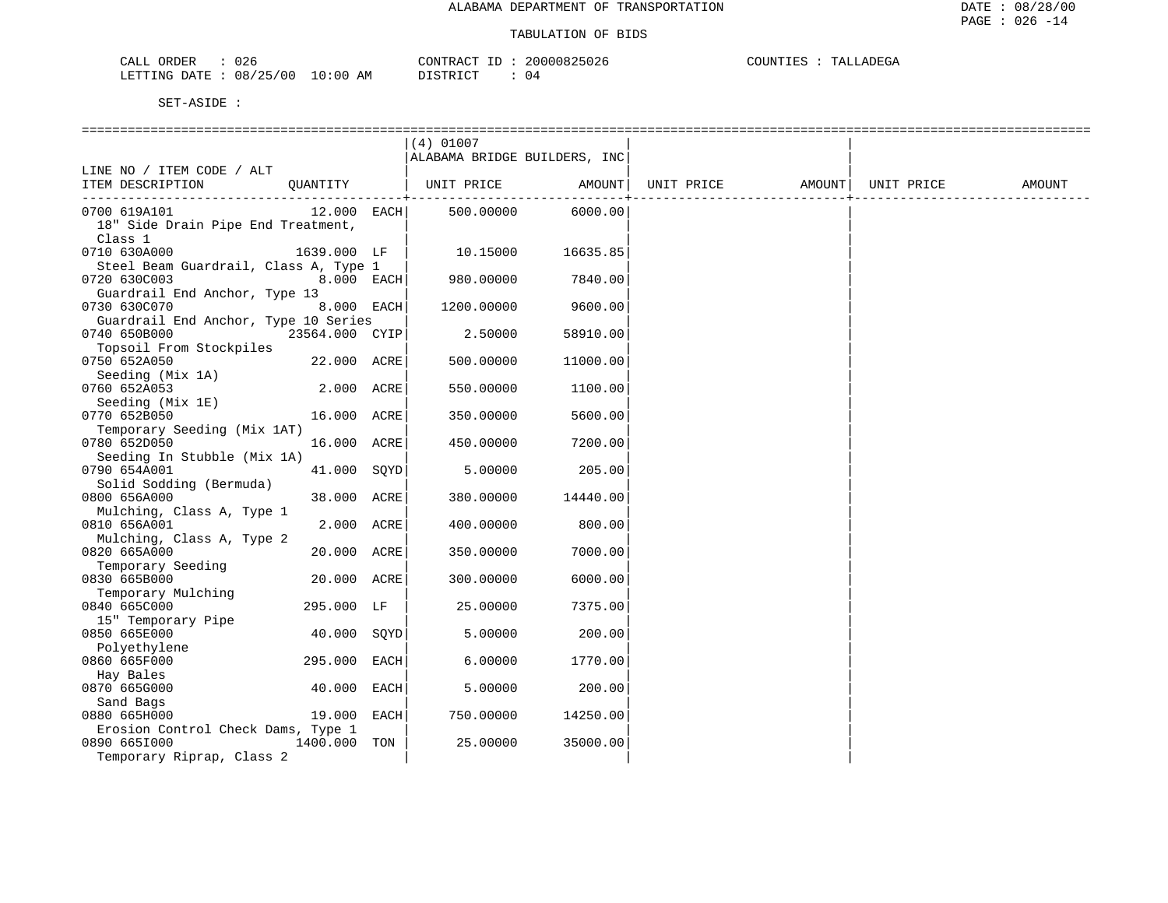| ORDER<br>CALL | $\sim$ $\sim$ $\sim$<br>U Z 6 |             | CONTRACT      | 20000825026 | COUNTIES | TALLADEGA |
|---------------|-------------------------------|-------------|---------------|-------------|----------|-----------|
| LETTING DATE  | 08/25/00                      | 10:00<br>AM | DISTRICT<br>. | ⊣ ∆         |          |           |

|                                       |                | $(4)$ 01007                  |          |                   |            |        |
|---------------------------------------|----------------|------------------------------|----------|-------------------|------------|--------|
|                                       |                | ALABAMA BRIDGE BUILDERS, INC |          |                   |            |        |
| LINE NO / ITEM CODE / ALT             |                |                              |          |                   |            |        |
| ITEM DESCRIPTION                      | QUANTITY       | UNIT PRICE                   | AMOUNT   | UNIT PRICE AMOUNT | UNIT PRICE | AMOUNT |
|                                       |                |                              |          |                   |            |        |
| 0700 619A101                          | $12.000$ EACH  | 500.00000                    | 6000.00  |                   |            |        |
| 18" Side Drain Pipe End Treatment,    |                |                              |          |                   |            |        |
| Class 1                               |                |                              |          |                   |            |        |
| 0710 630A000                          | 1639.000 LF    | 10.15000                     | 16635.85 |                   |            |        |
| Steel Beam Guardrail, Class A, Type 1 |                |                              |          |                   |            |        |
| 0720 630C003                          | 8.000 EACH     | 980.00000                    | 7840.00  |                   |            |        |
| Guardrail End Anchor, Type 13         |                |                              |          |                   |            |        |
| 0730 630C070                          | 8.000 EACH     | 1200.00000                   | 9600.00  |                   |            |        |
| Guardrail End Anchor, Type 10 Series  |                |                              |          |                   |            |        |
| 0740 650B000                          | 23564.000 CYIP | 2.50000                      | 58910.00 |                   |            |        |
| Topsoil From Stockpiles               |                |                              |          |                   |            |        |
| 0750 652A050                          | 22.000 ACRE    | 500.00000                    | 11000.00 |                   |            |        |
|                                       |                |                              |          |                   |            |        |
| Seeding (Mix 1A)                      |                |                              |          |                   |            |        |
| 0760 652A053                          | 2.000 ACRE     | 550.00000                    | 1100.00  |                   |            |        |
| Seeding (Mix 1E)                      |                |                              |          |                   |            |        |
| 0770 652B050                          | 16.000 ACRE    | 350.00000                    | 5600.00  |                   |            |        |
| Temporary Seeding (Mix 1AT)           |                |                              |          |                   |            |        |
| 0780 652D050                          | 16.000 ACRE    | 450.00000                    | 7200.00  |                   |            |        |
| Seeding In Stubble (Mix 1A)           |                |                              |          |                   |            |        |
| 0790 654A001                          | 41.000 SOYD    | 5.00000                      | 205.00   |                   |            |        |
| Solid Sodding (Bermuda)               |                |                              |          |                   |            |        |
| 0800 656A000                          | 38.000 ACRE    | 380.00000                    | 14440.00 |                   |            |        |
| Mulching, Class A, Type 1             |                |                              |          |                   |            |        |
| 0810 656A001                          | 2.000 ACRE     | 400.00000                    | 800.00   |                   |            |        |
| Mulching, Class A, Type 2             |                |                              |          |                   |            |        |
| 0820 665A000                          | 20.000 ACRE    | 350.00000                    | 7000.00  |                   |            |        |
| Temporary Seeding                     |                |                              |          |                   |            |        |
| 0830 665B000                          | 20.000 ACRE    | 300.00000                    | 6000.00  |                   |            |        |
| Temporary Mulching                    |                |                              |          |                   |            |        |
| 0840 665C000                          | 295.000 LF     | 25.00000                     | 7375.00  |                   |            |        |
| 15" Temporary Pipe                    |                |                              |          |                   |            |        |
| 0850 665E000                          | 40.000 SQYD    | 5.00000                      | 200.00   |                   |            |        |
| Polyethylene                          |                |                              |          |                   |            |        |
| 0860 665F000                          | 295.000 EACH   | 6.00000                      | 1770.00  |                   |            |        |
|                                       |                |                              |          |                   |            |        |
| Hay Bales                             |                |                              |          |                   |            |        |
| 0870 665G000                          | 40.000 EACH    | 5.00000                      | 200.00   |                   |            |        |
| Sand Bags                             |                |                              |          |                   |            |        |
| 0880 665H000                          | 19.000 EACH    | 750.00000                    | 14250.00 |                   |            |        |
| Erosion Control Check Dams, Type 1    |                |                              |          |                   |            |        |
| 0890 6651000                          | 1400.000 TON   | 25.00000                     | 35000.00 |                   |            |        |
| Temporary Riprap, Class 2             |                |                              |          |                   |            |        |
|                                       |                |                              |          |                   |            |        |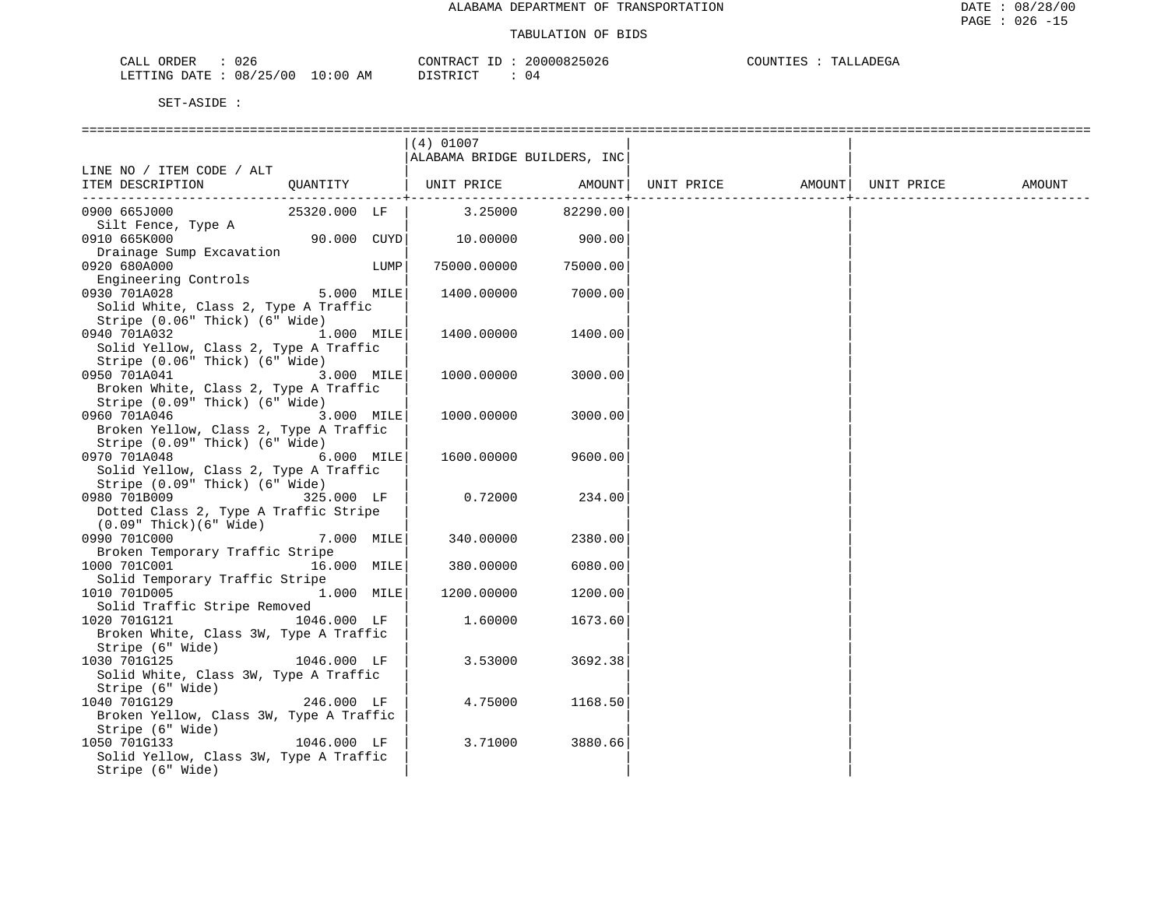| $\sim$ $\sim$ $\sim$<br>$\neg$ $\neg$ $\neg$<br>ORDER<br>しとも<br>المسلمات | $R$ $R \Delta C$ <sup><math>T</math></sup> | .<br>UZ6 | m <sub>n</sub><br>m "<br>. ) H'<br>$1 - F$<br>$\cdots$ |
|--------------------------------------------------------------------------|--------------------------------------------|----------|--------------------------------------------------------|
| 08/<br>מת דידים :<br>$\overline{\phantom{a}}$<br>ח∆ ⊤דΩ<br>ำ             | ′ ∩ r<br>AM<br>.<br>.ĸ<br>.<br>$\cdot$     | U 4      |                                                        |

|                                                                          |                 |      | $(4)$ 01007                  |          |                                |  |        |
|--------------------------------------------------------------------------|-----------------|------|------------------------------|----------|--------------------------------|--|--------|
|                                                                          |                 |      | ALABAMA BRIDGE BUILDERS, INC |          |                                |  |        |
| LINE NO / ITEM CODE / ALT                                                |                 |      |                              |          |                                |  |        |
| ITEM DESCRIPTION                                                         |                 |      | QUANTITY   UNIT PRICE AMOUNT |          | UNIT PRICE AMOUNT   UNIT PRICE |  | AMOUNT |
|                                                                          |                 |      |                              |          |                                |  |        |
| 0900 665J000                                                             | 25320.000 LF    |      | 3.25000 82290.00             |          |                                |  |        |
| Silt Fence, Type A                                                       |                 |      |                              |          |                                |  |        |
| 0910 665K000                                                             | $90.000$ $CUYD$ |      | 10.00000                     | 900.00   |                                |  |        |
| Drainage Sump Excavation                                                 |                 |      |                              |          |                                |  |        |
| 0920 680A000                                                             |                 | LUMP | 75000.00000                  | 75000.00 |                                |  |        |
| Engineering Controls                                                     |                 |      |                              |          |                                |  |        |
| 0930 701A028                                                             | 5.000 MILE      |      | 1400.00000                   | 7000.00  |                                |  |        |
| Solid White, Class 2, Type A Traffic                                     |                 |      |                              |          |                                |  |        |
| Stripe (0.06" Thick) (6" Wide)                                           |                 |      |                              |          |                                |  |        |
| 0940 701A032                                                             | 1.000 MILE      |      | 1400.00000                   | 1400.00  |                                |  |        |
| Solid Yellow, Class 2, Type A Traffic                                    |                 |      |                              |          |                                |  |        |
| Stripe (0.06" Thick) (6" Wide)                                           |                 |      |                              |          |                                |  |        |
| 0950 701A041                                                             | 3.000 MILE      |      | 1000.00000                   | 3000.00  |                                |  |        |
| Broken White, Class 2, Type A Traffic                                    |                 |      |                              |          |                                |  |        |
| Stripe (0.09" Thick) (6" Wide)<br>0960 701A046                           |                 |      |                              |          |                                |  |        |
|                                                                          | 3.000 MILE      |      | 1000.00000                   | 3000.00  |                                |  |        |
| Broken Yellow, Class 2, Type A Traffic<br>Stripe (0.09" Thick) (6" Wide) |                 |      |                              |          |                                |  |        |
| 0970 701A048                                                             | 6.000 MILE      |      | 1600.00000                   | 9600.00  |                                |  |        |
| Solid Yellow, Class 2, Type A Traffic                                    |                 |      |                              |          |                                |  |        |
| Stripe (0.09" Thick) (6" Wide)                                           |                 |      |                              |          |                                |  |        |
| 325.000 LF<br>0980 701B009                                               |                 |      | 0.72000                      | 234.00   |                                |  |        |
| Dotted Class 2, Type A Traffic Stripe                                    |                 |      |                              |          |                                |  |        |
| $(0.09"$ Thick $)(6"$ Wide $)$                                           |                 |      |                              |          |                                |  |        |
| 0990 701C000                                                             | 7.000 MILE      |      | 340.00000                    | 2380.00  |                                |  |        |
| Broken Temporary Traffic Stripe                                          |                 |      |                              |          |                                |  |        |
| 1000 701C001 16.000 MILE                                                 |                 |      | 380.00000                    | 6080.00  |                                |  |        |
| Solid Temporary Traffic Stripe                                           |                 |      |                              |          |                                |  |        |
| 1010 701D005                                                             | 1.000 MILE      |      | 1200.00000                   | 1200.00  |                                |  |        |
| Solid Traffic Stripe Removed                                             |                 |      |                              |          |                                |  |        |
| $1046.000$ LF<br>1020 701G121                                            |                 |      | 1.60000                      | 1673.60  |                                |  |        |
| Broken White, Class 3W, Type A Traffic                                   |                 |      |                              |          |                                |  |        |
| Stripe (6" Wide)                                                         |                 |      |                              |          |                                |  |        |
| 1030 701G125                                                             | $1046.000$ LF   |      | 3.53000                      | 3692.38  |                                |  |        |
| Solid White, Class 3W, Type A Traffic                                    |                 |      |                              |          |                                |  |        |
| Stripe (6" Wide)                                                         |                 |      |                              |          |                                |  |        |
| 1040 701G129                                                             | 246.000 LF      |      | 4.75000                      | 1168.50  |                                |  |        |
| Broken Yellow, Class 3W, Type A Traffic                                  |                 |      |                              |          |                                |  |        |
| Stripe (6" Wide)                                                         |                 |      |                              |          |                                |  |        |
| 1050 701G133<br>$1046.000$ LF                                            |                 |      | 3.71000                      | 3880.66  |                                |  |        |
| Solid Yellow, Class 3W, Type A Traffic                                   |                 |      |                              |          |                                |  |        |
| Stripe (6" Wide)                                                         |                 |      |                              |          |                                |  |        |
|                                                                          |                 |      |                              |          |                                |  |        |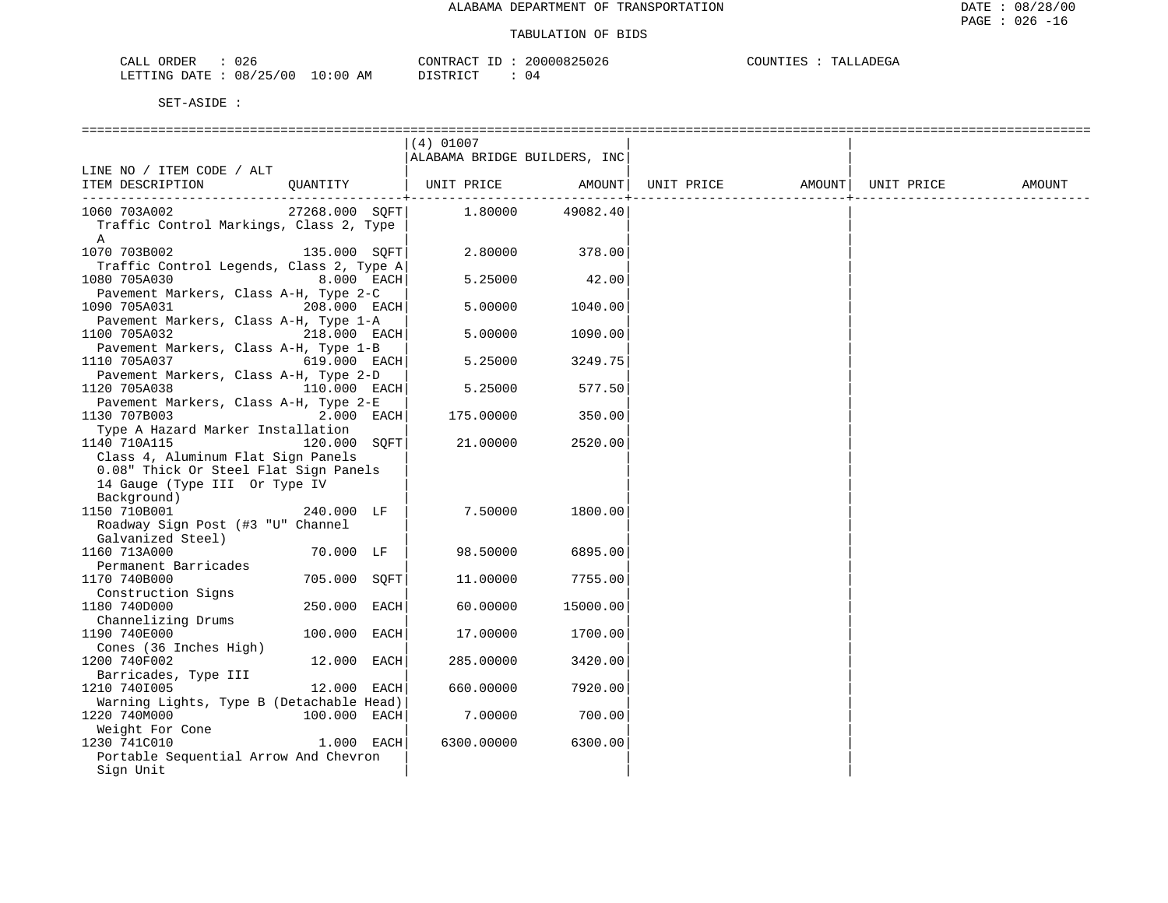| CALI<br>ORDER   | $\sim$ $\sim$<br>U Z 6 |             | חים אחדוגוסי     | 30000825026 | COUNTIES<br>DEGA<br>ሞ∆ገ<br>.n.e<br>. د |
|-----------------|------------------------|-------------|------------------|-------------|----------------------------------------|
| LETTING<br>DATE | 08/25/00               | 10:00<br>AM | חומת מחומדת<br>. | . .<br>ັບ:⊾ |                                        |

|                                                     | $(4)$ 01007                  |          |                   |            |        |
|-----------------------------------------------------|------------------------------|----------|-------------------|------------|--------|
|                                                     | ALABAMA BRIDGE BUILDERS, INC |          |                   |            |        |
| LINE NO / ITEM CODE / ALT                           |                              |          |                   |            |        |
| OUANTITY<br>ITEM DESCRIPTION                        | UNIT PRICE                   | AMOUNT   | UNIT PRICE AMOUNT | UNIT PRICE | AMOUNT |
| 27268.000 SQFT<br>1060 703A002                      | 1.80000                      | 49082.40 |                   |            |        |
| Traffic Control Markings, Class 2, Type             |                              |          |                   |            |        |
| Α                                                   |                              |          |                   |            |        |
| 1070 703B002<br>135.000 SQFT                        | 2.80000                      | 378.00   |                   |            |        |
| Traffic Control Legends, Class 2, Type A            |                              |          |                   |            |        |
| 1080 705A030<br>8.000 EACH                          | 5.25000                      | 42.00    |                   |            |        |
| Pavement Markers, Class A-H, Type 2-C               |                              |          |                   |            |        |
| 1090 705A031<br>208.000 EACH                        | 5.00000                      | 1040.00  |                   |            |        |
| Pavement Markers, Class A-H, Type 1-A               |                              |          |                   |            |        |
| 1100 705A032<br>218.000 EACH                        | 5.00000                      | 1090.00  |                   |            |        |
| Pavement Markers, Class A-H, Type 1-B               |                              |          |                   |            |        |
| 1110 705A037<br>619.000 EACH                        | 5.25000                      | 3249.75  |                   |            |        |
| Pavement Markers, Class A-H, Type 2-D               |                              |          |                   |            |        |
| 1120 705A038                                        | 5.25000                      | 577.50   |                   |            |        |
| 110.000 EACH                                        |                              |          |                   |            |        |
| Pavement Markers, Class A-H, Type 2-E<br>2.000 EACH |                              | 350.00   |                   |            |        |
| 1130 707B003                                        | 175.00000                    |          |                   |            |        |
| Type A Hazard Marker Installation                   |                              |          |                   |            |        |
| 120.000 SOFT<br>1140 710A115                        | 21.00000                     | 2520.00  |                   |            |        |
| Class 4, Aluminum Flat Sign Panels                  |                              |          |                   |            |        |
| 0.08" Thick Or Steel Flat Sign Panels               |                              |          |                   |            |        |
| 14 Gauge (Type III Or Type IV                       |                              |          |                   |            |        |
| Background)                                         |                              |          |                   |            |        |
| 1150 710B001<br>240.000 LF                          | 7.50000                      | 1800.00  |                   |            |        |
| Roadway Sign Post (#3 "U" Channel                   |                              |          |                   |            |        |
| Galvanized Steel)                                   |                              |          |                   |            |        |
| 1160 713A000<br>70.000 LF                           | 98.50000                     | 6895.00  |                   |            |        |
| Permanent Barricades                                |                              |          |                   |            |        |
| 705.000 SOFT<br>1170 740B000                        | 11.00000                     | 7755.00  |                   |            |        |
| Construction Signs                                  |                              |          |                   |            |        |
| 1180 740D000<br>250.000 EACH                        | 60.00000                     | 15000.00 |                   |            |        |
| Channelizing Drums                                  |                              |          |                   |            |        |
| 100.000 EACH<br>1190 740E000                        | 17.00000                     | 1700.00  |                   |            |        |
| Cones (36 Inches High)                              |                              |          |                   |            |        |
| 1200 740F002<br>12.000 EACH                         | 285.00000                    | 3420.00  |                   |            |        |
| Barricades, Type III                                |                              |          |                   |            |        |
| 1210 7401005<br>12.000<br>EACH                      | 660.00000                    | 7920.00  |                   |            |        |
| Warning Lights, Type B (Detachable Head)            |                              |          |                   |            |        |
| 1220 740M000<br>100.000 EACH                        | 7.00000                      | 700.00   |                   |            |        |
| Weight For Cone                                     |                              |          |                   |            |        |
| 1230 741C010<br>$1.000$ EACH                        | 6300.00000                   | 6300.00  |                   |            |        |
| Portable Sequential Arrow And Chevron               |                              |          |                   |            |        |
| Sign Unit                                           |                              |          |                   |            |        |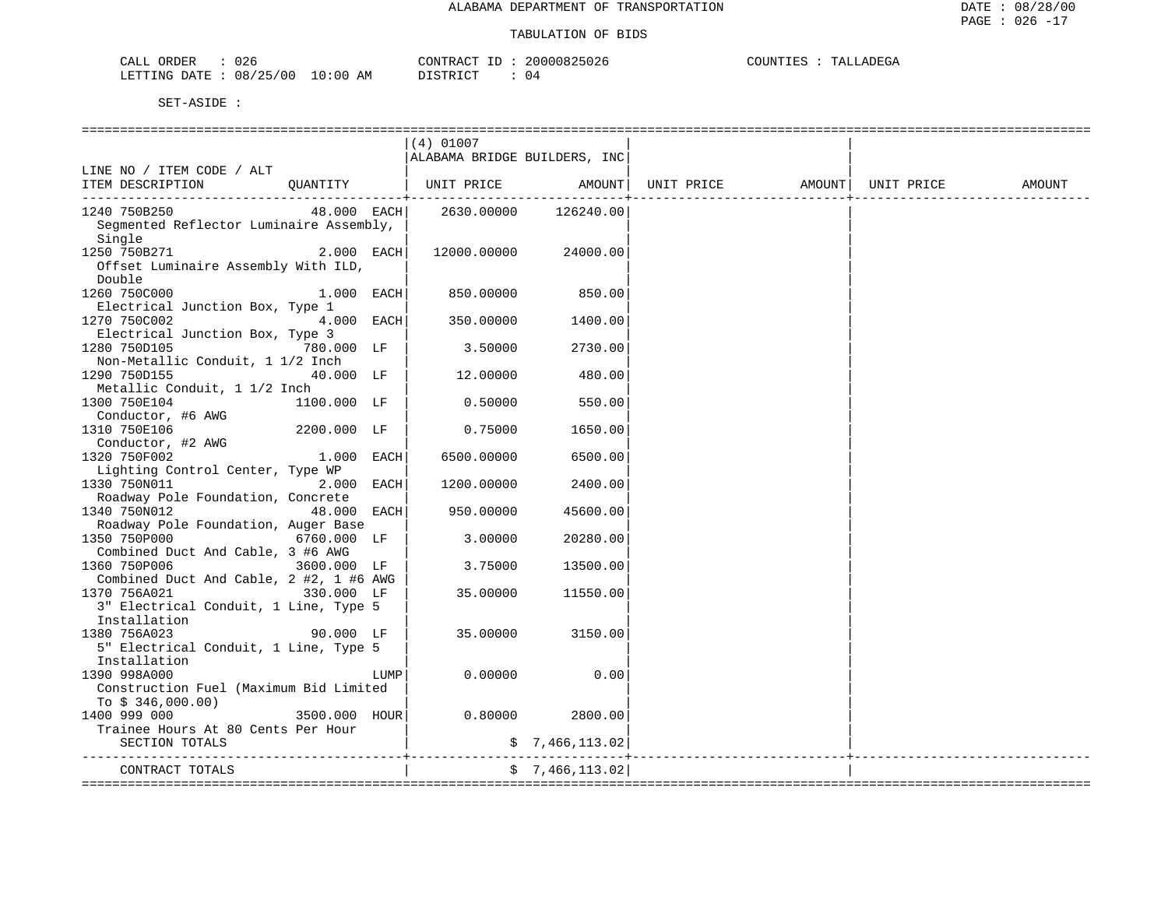| 026<br>ORDER<br>CALL                | CONTRACT           | 20000825026 | COUNTIE<br>LLADEGA<br>- - - - |
|-------------------------------------|--------------------|-------------|-------------------------------|
| 08/25/00<br>LO : 00<br>LETTING DATE | AM<br>ידים דרי דרי | $U +$       |                               |

|                                                                                                                | (4) 01007                        |                  |            |                    |        |
|----------------------------------------------------------------------------------------------------------------|----------------------------------|------------------|------------|--------------------|--------|
|                                                                                                                | ALABAMA BRIDGE BUILDERS, INC     |                  |            |                    |        |
| LINE NO / ITEM CODE / ALT                                                                                      |                                  |                  |            |                    |        |
| OUANTITY<br>ITEM DESCRIPTION                                                                                   | UNIT PRICE AMOUNT                |                  | UNIT PRICE | AMOUNT  UNIT PRICE | AMOUNT |
| 1240 750B250<br>Segmented Reflector Luminaire Assembly,<br>Single                                              | 48.000 EACH 2630.00000 126240.00 |                  |            |                    |        |
| 2.000 EACH<br>1250 750B271<br>Offset Luminaire Assembly With ILD,<br>Double                                    | 12000.00000                      | 24000.00         |            |                    |        |
| 1260 750C000<br>1.000 EACH <br>Electrical Junction Box, Type 1                                                 |                                  | 850.00000 850.00 |            |                    |        |
| 1270 750C002<br>$4.000$ EACH                                                                                   | 350.00000                        | 1400.00          |            |                    |        |
| Electrical Junction Box, Type 3<br>780.000 LF  <br>1280 750D105                                                | 3.50000                          | 2730.00          |            |                    |        |
| Non-Metallic Conduit, 1 1/2 Inch<br>$40.000$ LF<br>1290 750D155                                                | 12.00000                         | 480.00           |            |                    |        |
| Metallic Conduit, 1 1/2 Inch<br>1300 750E104<br>Conductor, #6 AWG                                              | $1100.000$ LF $\vert$ 0.50000    | 550.00           |            |                    |        |
| 1310 750E106<br>2200.000 LF                                                                                    | 0.75000                          | 1650.00          |            |                    |        |
| Conductor, #2 AWG<br>1320 750F002<br>1.000 EACH                                                                | 6500.00000                       | 6500.00          |            |                    |        |
| Lighting Control Center, Type WP<br>1330 750N011<br>2.000 EACH                                                 | 1200.00000                       | 2400.00          |            |                    |        |
| Roadway Pole Foundation, Concrete<br>1340 750N012<br>48.000 EACH                                               | 950.00000                        | 45600.00         |            |                    |        |
| Roadway Pole Foundation, Auger Base<br>1350 750P000<br>$6760.000$ LF                                           | 3.00000                          | 20280.00         |            |                    |        |
| Combined Duct And Cable, 3 #6 AWG<br>1360 750P006<br>3600.000 LF                                               | 3.75000                          | 13500.00         |            |                    |        |
| Combined Duct And Cable, 2 #2, 1 #6 AWG<br>330.000 LF<br>1370 756A021<br>3" Electrical Conduit, 1 Line, Type 5 | 35.00000                         | 11550.00         |            |                    |        |
| Installation<br>1380 756A023<br>90.000 LF<br>5" Electrical Conduit, 1 Line, Type 5<br>Installation             | 35.00000                         | 3150.00          |            |                    |        |
| 1390 998A000<br>LUMP                                                                                           | 0.00000                          | 0.00             |            |                    |        |
| Construction Fuel (Maximum Bid Limited<br>To $$346,000.00)$                                                    |                                  |                  |            |                    |        |
| $3500.000$ HOUR<br>1400 999 000                                                                                | 0.80000                          | 2800.00          |            |                    |        |
| Trainee Hours At 80 Cents Per Hour                                                                             |                                  |                  |            |                    |        |
| SECTION TOTALS                                                                                                 |                                  | \$7,466,113.02]  |            |                    |        |
| CONTRACT TOTALS                                                                                                |                                  | \$7,466,113.02]  |            |                    |        |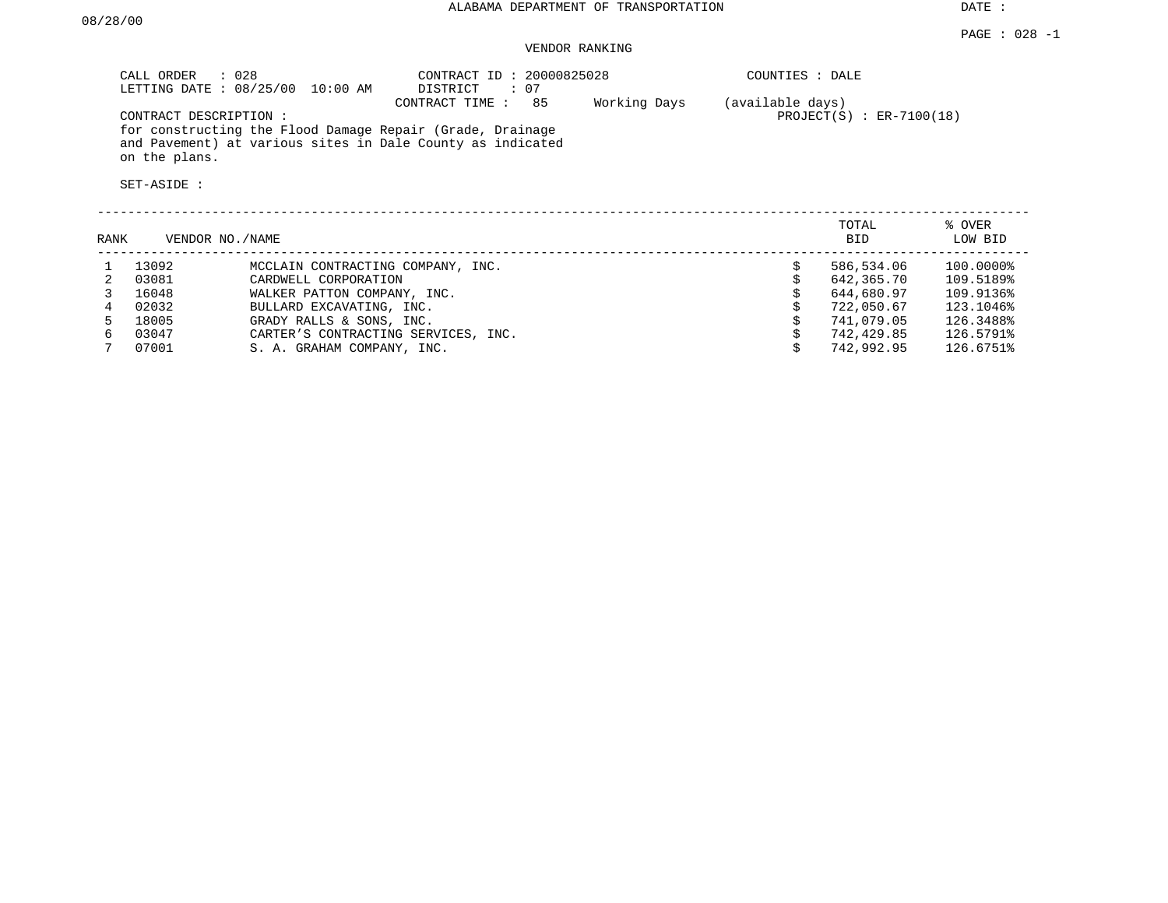DATE :

### VENDOR RANKING

| CALL ORDER<br>$\therefore$ 028<br>LETTING DATE: 08/25/00<br>$10:00$ AM                                                                   | CONTRACT ID: 20000825028<br>: 07<br>DISTRICT |              | COUNTIES : DALE                                  |         |
|------------------------------------------------------------------------------------------------------------------------------------------|----------------------------------------------|--------------|--------------------------------------------------|---------|
| CONTRACT DESCRIPTION:                                                                                                                    | 85<br>CONTRACT TIME:                         | Working Days | (available days)<br>$PROJECT(S)$ : $ER-7100(18)$ |         |
| for constructing the Flood Damage Repair (Grade, Drainage<br>and Pavement) at various sites in Dale County as indicated<br>on the plans. |                                              |              |                                                  |         |
| SET-ASIDE :                                                                                                                              |                                              |              |                                                  |         |
|                                                                                                                                          |                                              |              | TOTAL                                            | % OVER  |
| RANK<br>VENDOR NO. / NAME                                                                                                                |                                              |              | <b>BID</b>                                       | LOW BID |

| ---        | ------    |
|------------|-----------|
| 586,534.06 | 100.0000% |
| 642,365.70 | 109.5189% |
| 644,680.97 | 109.9136% |
| 722,050.67 | 123.1046% |
| 741,079.05 | 126.3488% |
| 742,429.85 | 126.5791% |
| 742,992.95 | 126.6751% |
|            |           |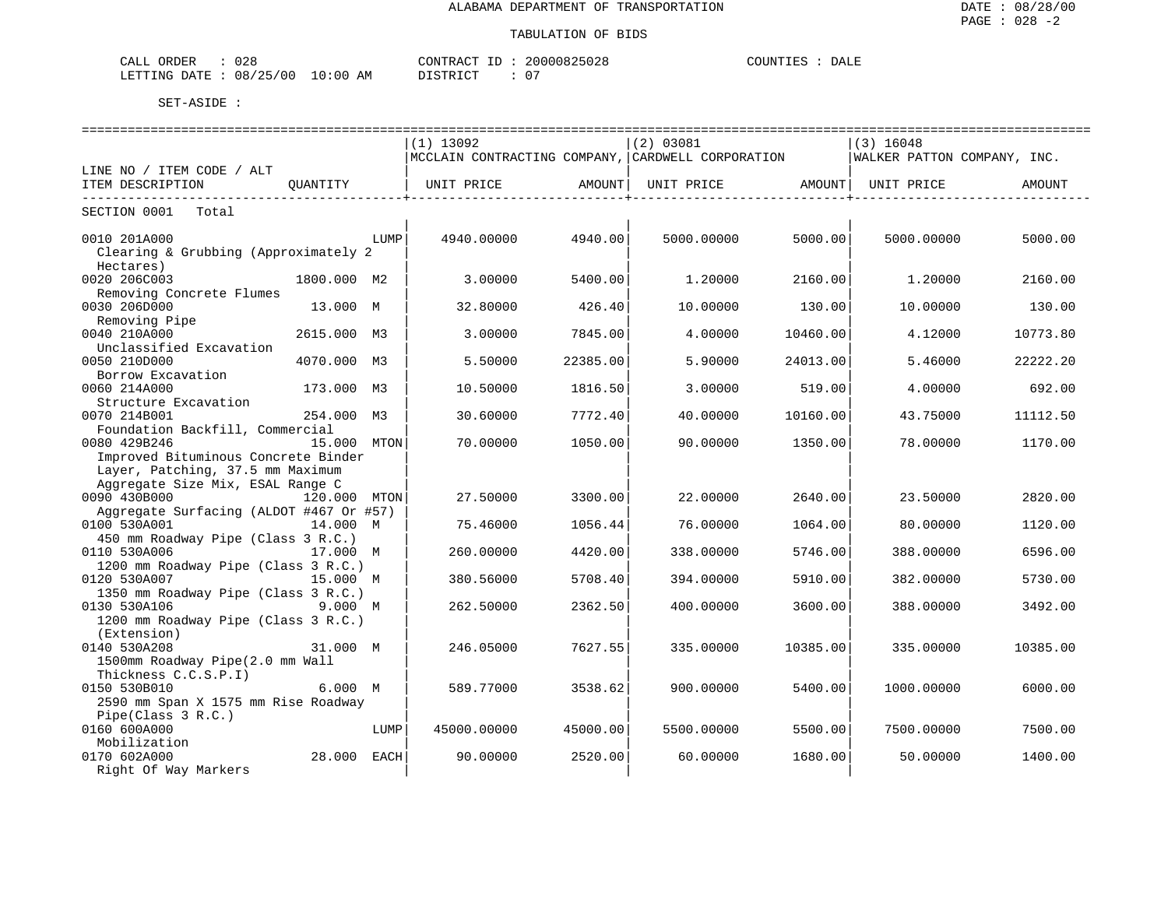| 028<br>ORDER<br>CALL                   |               | CONTRACT<br>$- -$ | 20000825028                | COUNTIES<br>DALE |
|----------------------------------------|---------------|-------------------|----------------------------|------------------|
| 08/25/00<br>ETTING .<br>חים מח<br>ر بے | LO : 00<br>ΆM | דת לידי את ה      | $\sim$ $-$<br>$\mathbf{u}$ |                  |

|                                                          |              |      | $(1)$ 13092                                       |                    | (2) 03081         |                     | $(3)$ 16048                 |          |
|----------------------------------------------------------|--------------|------|---------------------------------------------------|--------------------|-------------------|---------------------|-----------------------------|----------|
|                                                          |              |      | MCCLAIN CONTRACTING COMPANY, CARDWELL CORPORATION |                    |                   |                     | WALKER PATTON COMPANY, INC. |          |
| LINE NO / ITEM CODE / ALT                                |              |      |                                                   |                    |                   |                     |                             |          |
| ITEM DESCRIPTION                                         | QUANTITY     |      | UNIT PRICE                                        | AMOUNT             | UNIT PRICE AMOUNT |                     | UNIT PRICE                  | AMOUNT   |
| -------------------------------<br>SECTION 0001<br>Total |              |      |                                                   | ----------------+- |                   | -----------------+- |                             |          |
|                                                          |              |      |                                                   |                    |                   |                     |                             |          |
| 0010 201A000                                             |              | LUMP | 4940.00000                                        | 4940.00            | 5000.00000        | 5000.00             | 5000.00000                  | 5000.00  |
| Clearing & Grubbing (Approximately 2                     |              |      |                                                   |                    |                   |                     |                             |          |
| Hectares)                                                |              |      |                                                   |                    |                   |                     |                             |          |
| 0020 206C003                                             | 1800.000 M2  |      | 3.00000                                           | 5400.00            | 1,20000           | 2160.00             | 1,20000                     | 2160.00  |
| Removing Concrete Flumes                                 |              |      |                                                   |                    |                   |                     |                             |          |
| 0030 206D000                                             | 13.000 M     |      | 32.80000                                          | 426.40             | 10.00000          | 130.00              | 10.00000                    | 130.00   |
| Removing Pipe                                            |              |      |                                                   |                    |                   |                     |                             |          |
| 0040 210A000                                             | 2615.000 M3  |      | 3.00000                                           | 7845.00            | 4.00000           | 10460.00            | 4.12000                     | 10773.80 |
| Unclassified Excavation                                  |              |      |                                                   |                    |                   |                     |                             |          |
| 0050 210D000                                             | 4070.000 M3  |      | 5.50000                                           | 22385.00           | 5.90000           | 24013.00            | 5.46000                     | 22222.20 |
| Borrow Excavation                                        |              |      |                                                   |                    |                   |                     |                             |          |
| 0060 214A000                                             | 173.000 M3   |      | 10.50000                                          | 1816.50            | 3.00000           | 519.00              | 4.00000                     | 692.00   |
| Structure Excavation                                     |              |      |                                                   |                    |                   |                     |                             |          |
| 0070 214B001                                             | 254.000 M3   |      | 30.60000                                          | 7772.40            | 40.00000          | 10160.00            | 43.75000                    | 11112.50 |
| Foundation Backfill, Commercial                          |              |      |                                                   |                    |                   |                     |                             |          |
| 0080 429B246                                             | 15.000 MTON  |      | 70.00000                                          | 1050.00            | 90.00000          | 1350.00             | 78.00000                    | 1170.00  |
| Improved Bituminous Concrete Binder                      |              |      |                                                   |                    |                   |                     |                             |          |
| Layer, Patching, 37.5 mm Maximum                         |              |      |                                                   |                    |                   |                     |                             |          |
| Aggregate Size Mix, ESAL Range C                         |              |      |                                                   |                    |                   |                     |                             |          |
| 0090 430B000                                             | 120.000 MTON |      | 27.50000                                          | 3300.00            | 22.00000          | 2640.00             | 23.50000                    | 2820.00  |
| Aggregate Surfacing (ALDOT #467 Or #57)                  |              |      |                                                   |                    |                   |                     |                             |          |
| 0100 530A001                                             | 14.000 M     |      | 75.46000                                          | 1056.44            | 76.00000          | 1064.00             | 80.00000                    | 1120.00  |
| 450 mm Roadway Pipe (Class 3 R.C.)                       |              |      |                                                   |                    |                   |                     |                             |          |
| 0110 530A006                                             | 17.000 M     |      | 260.00000                                         | 4420.00            | 338.00000         | 5746.00             | 388.00000                   | 6596.00  |
| 1200 mm Roadway Pipe (Class 3 R.C.)                      |              |      |                                                   |                    |                   |                     |                             |          |
| 0120 530A007                                             | 15.000 M     |      | 380.56000                                         | 5708.40            | 394.00000         | 5910.00             | 382.00000                   | 5730.00  |
| 1350 mm Roadway Pipe (Class 3 R.C.)                      |              |      |                                                   |                    |                   |                     |                             |          |
| 0130 530A106                                             | 9.000 M      |      | 262.50000                                         | 2362.50            | 400.00000         | 3600.00             | 388.00000                   | 3492.00  |
| 1200 mm Roadway Pipe (Class 3 R.C.)                      |              |      |                                                   |                    |                   |                     |                             |          |
| (Extension)                                              |              |      |                                                   |                    |                   |                     |                             |          |
| 0140 530A208                                             | 31.000 M     |      | 246.05000                                         | 7627.55            | 335.00000         | 10385.00            | 335.00000                   | 10385.00 |
| 1500mm Roadway Pipe(2.0 mm Wall                          |              |      |                                                   |                    |                   |                     |                             |          |
| Thickness C.C.S.P.I)                                     |              |      |                                                   |                    |                   |                     |                             |          |
| 0150 530B010                                             | 6.000 M      |      | 589.77000                                         | 3538.62            | 900.00000         | 5400.00             | 1000.00000                  | 6000.00  |
| 2590 mm Span X 1575 mm Rise Roadway                      |              |      |                                                   |                    |                   |                     |                             |          |
| Pipe(Class 3 R.C.)                                       |              |      |                                                   |                    |                   |                     |                             |          |
| 0160 600A000                                             |              | LUMP | 45000.00000                                       | 45000.00           | 5500.00000        | 5500.00             | 7500.00000                  | 7500.00  |
| Mobilization                                             |              |      |                                                   |                    |                   |                     |                             |          |
| 0170 602A000                                             | 28.000 EACH  |      | 90.00000                                          | 2520.00            | 60.00000          | 1680.00             | 50.00000                    | 1400.00  |
| Right Of Way Markers                                     |              |      |                                                   |                    |                   |                     |                             |          |
|                                                          |              |      |                                                   |                    |                   |                     |                             |          |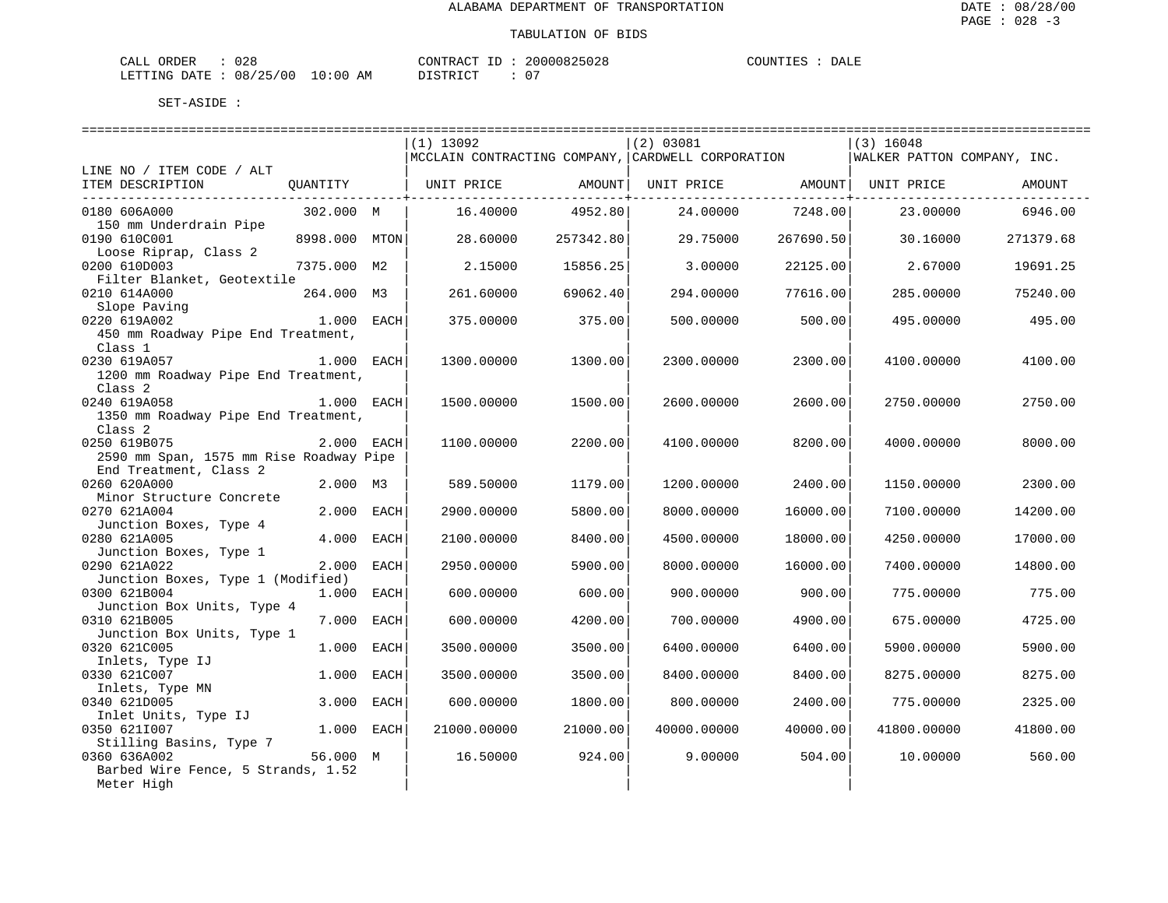| <b>ORDER</b><br>CALI | റററ<br>∪∠ ຽ     |             | CONTRACT<br><b>TD</b> | 20000825028 | COUNT<br>土民に | DALE |
|----------------------|-----------------|-------------|-----------------------|-------------|--------------|------|
| LETTING DATE         | 08/25/00<br>ر ے | 10:00<br>AΜ | TSTRICT               |             |              |      |

|                                                          |               |      | $(1)$ 13092                                       |           | $(2)$ 03081                    |           | $(3)$ 16048                 |           |
|----------------------------------------------------------|---------------|------|---------------------------------------------------|-----------|--------------------------------|-----------|-----------------------------|-----------|
|                                                          |               |      | MCCLAIN CONTRACTING COMPANY, CARDWELL CORPORATION |           |                                |           | WALKER PATTON COMPANY, INC. |           |
| LINE NO / ITEM CODE / ALT                                |               |      |                                                   |           |                                |           |                             |           |
| ITEM DESCRIPTION                                         |               |      | OUANTITY   UNIT PRICE AMOUNT                      |           | UNIT PRICE AMOUNT   UNIT PRICE |           |                             | AMOUNT    |
| ----------------------------------<br>0180 606A000       | 302.000 M     |      | 16.40000                                          | 4952.80   | 24.00000                       | 7248.00   | 23.00000                    | 6946.00   |
| 150 mm Underdrain Pipe                                   |               |      |                                                   |           |                                |           |                             |           |
| 0190 610C001                                             | 8998.000 MTON |      | 28.60000                                          | 257342.80 | 29.75000                       | 267690.50 | 30.16000                    | 271379.68 |
| Loose Riprap, Class 2                                    |               |      |                                                   |           |                                |           |                             |           |
| 0200 610D003                                             | 7375.000 M2   |      | 2.15000                                           | 15856.25  | 3.00000                        | 22125.00  | 2.67000                     | 19691.25  |
| Filter Blanket, Geotextile                               |               |      |                                                   |           |                                |           |                             |           |
| 0210 614A000                                             | 264.000 M3    |      | 261.60000                                         | 69062.40  | 294.00000                      | 77616.00  | 285.00000                   | 75240.00  |
| Slope Paving<br>Slope Paving<br>1.000 EACH<br>1.000 EACH |               |      |                                                   |           |                                |           |                             |           |
| 0220 619A002                                             |               |      | 375.00000                                         | 375.00    | 500.00000                      | 500.00    | 495.00000                   | 495.00    |
| 450 mm Roadway Pipe End Treatment,                       |               |      |                                                   |           |                                |           |                             |           |
| Class 1<br>0230 619A057                                  | 1.000 EACH    |      |                                                   |           |                                |           |                             |           |
| 1200 mm Roadway Pipe End Treatment,                      |               |      | 1300.00000                                        | 1300.00   | 2300.00000                     | 2300.00   | 4100.00000                  | 4100.00   |
| Class <sub>2</sub>                                       |               |      |                                                   |           |                                |           |                             |           |
| 0240 619A058                                             | 1.000 EACH    |      | 1500.00000                                        | 1500.00   | 2600.00000                     | 2600.00   | 2750.00000                  | 2750.00   |
| 1350 mm Roadway Pipe End Treatment,                      |               |      |                                                   |           |                                |           |                             |           |
| Class <sub>2</sub>                                       |               |      |                                                   |           |                                |           |                             |           |
| 0250 619B075                                             | 2.000 EACH    |      | 1100.00000                                        | 2200.00   | 4100.00000                     | 8200.00   | 4000.00000                  | 8000.00   |
| 2590 mm Span, 1575 mm Rise Roadway Pipe                  |               |      |                                                   |           |                                |           |                             |           |
| End Treatment, Class 2                                   |               |      |                                                   |           |                                |           |                             |           |
| 0260 620A000                                             | 2.000 M3      |      | 589.50000                                         | 1179.00   | 1200.00000                     | 2400.00   | 1150.00000                  | 2300.00   |
| Minor Structure Concrete                                 |               |      |                                                   |           |                                |           |                             |           |
| 0270 621A004                                             | 2.000 EACH    |      | 2900.00000                                        | 5800.00   | 8000.00000                     | 16000.00  | 7100.00000                  | 14200.00  |
| Junction Boxes, Type 4                                   |               |      |                                                   |           |                                |           |                             |           |
| 0280 621A005                                             | 4.000 EACH    |      | 2100.00000                                        | 8400.00   | 4500.00000                     | 18000.00  | 4250.00000                  | 17000.00  |
| Junction Boxes, Type 1                                   |               |      |                                                   |           |                                |           |                             |           |
| 0290 621A022                                             | 2.000         | EACH | 2950.00000                                        | 5900.00   | 8000.00000                     | 16000.00  | 7400.00000                  | 14800.00  |
| Junction Boxes, Type 1 (Modified)                        |               |      |                                                   |           |                                |           |                             |           |
| 0300 621B004                                             | 1.000 EACH    |      | 600.00000                                         | 600.00    | 900.00000                      | 900.00    | 775.00000                   | 775.00    |
| Junction Box Units, Type 4                               |               |      |                                                   |           |                                |           |                             |           |
| 0310 621B005                                             | 7.000         | EACH | 600.00000                                         | 4200.00   | 700.00000                      | 4900.00   | 675.00000                   | 4725.00   |
| Junction Box Units, Type 1                               |               |      |                                                   |           |                                |           |                             |           |
| 0320 621C005                                             | 1.000 EACH    |      | 3500.00000                                        | 3500.00   | 6400.00000                     | 6400.00   | 5900.00000                  | 5900.00   |
| Inlets, Type IJ                                          |               |      |                                                   |           |                                |           |                             |           |
| 0330 621C007                                             | 1.000         | EACH | 3500.00000                                        | 3500.00   | 8400.00000                     | 8400.00   | 8275.00000                  | 8275.00   |
| Inlets, Type MN                                          |               |      |                                                   |           |                                |           |                             |           |
| 0340 621D005                                             | 3.000         | EACH | 600.00000                                         | 1800.00   | 800.00000                      | 2400.00   | 775.00000                   | 2325.00   |
| Inlet Units, Type IJ                                     |               |      |                                                   |           |                                |           |                             |           |
| 0350 6211007                                             | 1.000 EACH    |      | 21000.00000                                       | 21000.00  | 40000.00000                    | 40000.00  | 41800.00000                 | 41800.00  |
| Stilling Basins, Type 7<br>0360 636A002                  | 56.000 M      |      | 16.50000                                          | 924.00    | 9,00000                        | 504.00    | 10.00000                    | 560.00    |
| Barbed Wire Fence, 5 Strands, 1.52                       |               |      |                                                   |           |                                |           |                             |           |
| Meter High                                               |               |      |                                                   |           |                                |           |                             |           |
|                                                          |               |      |                                                   |           |                                |           |                             |           |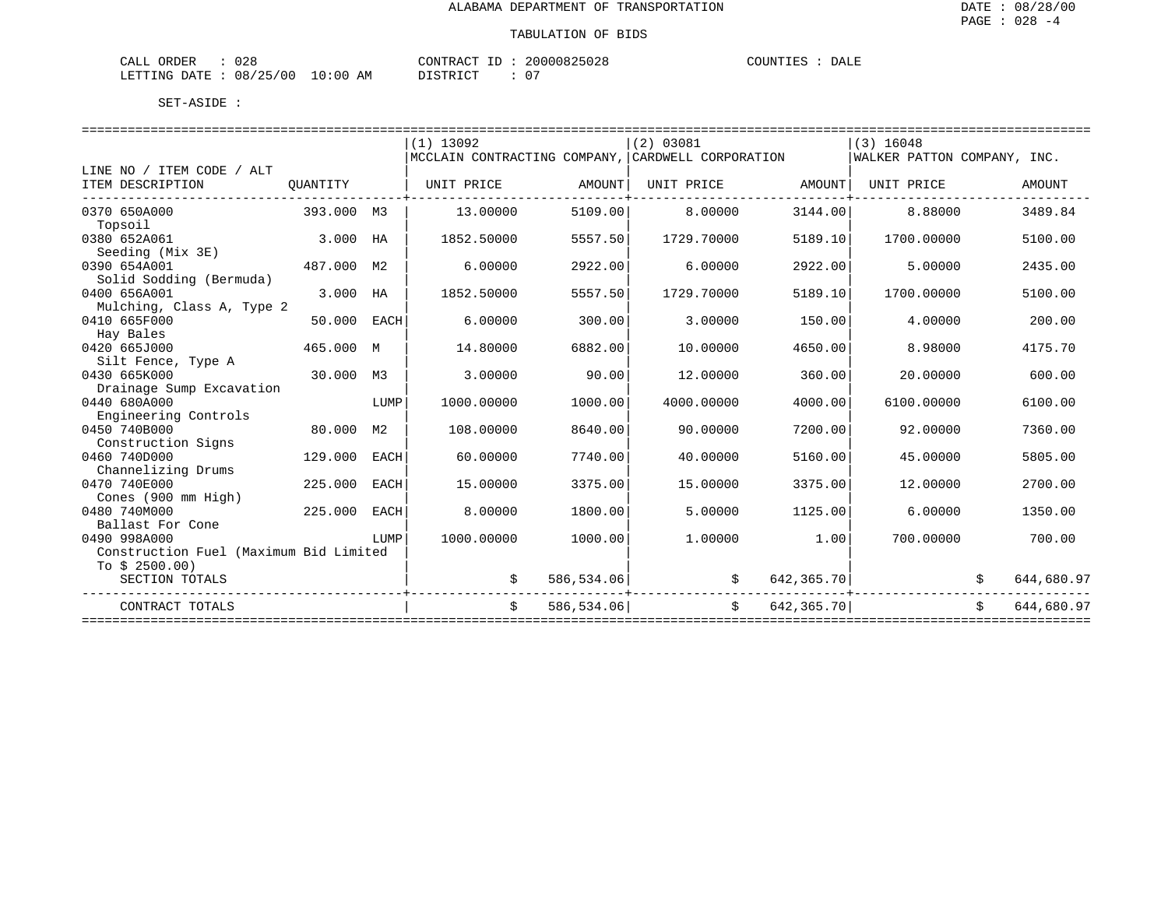| $\cap$ C<br>ORDER<br><u>'ΔΙ.</u><br>リムし<br>Նհ⊥⊥                             |                 | <b>TONTRL</b><br>___<br>$\sqrt{2}$ | 125028<br>200 | $- - -$<br>OUNT"<br>DALE<br>. |
|-----------------------------------------------------------------------------|-----------------|------------------------------------|---------------|-------------------------------|
| ノウロ<br>וא דידיידי ה<br>חים מה<br>$\cdots$<br>U O<br><u>uw</u><br>---------- | :0(<br>ΆM<br>ᅩ◡ | $T \cap T$<br>, + + + + + +        | $0^{\circ}$   |                               |

|                                        |            |                | $(1)$ 13092                                       |            | (2) 03081  |            | $(3)$ 16048                 |            |
|----------------------------------------|------------|----------------|---------------------------------------------------|------------|------------|------------|-----------------------------|------------|
|                                        |            |                | MCCLAIN CONTRACTING COMPANY, CARDWELL CORPORATION |            |            |            | WALKER PATTON COMPANY, INC. |            |
| LINE NO / ITEM CODE / ALT              |            |                |                                                   |            |            |            |                             |            |
| ITEM DESCRIPTION                       | OUANTITY   |                | UNIT PRICE                                        | AMOUNT     | UNIT PRICE | AMOUNT     | UNIT PRICE                  | AMOUNT     |
| 0370 650A000                           | 393.000 M3 |                | 13,00000                                          | 5109.00    | 8,00000    | 3144.00    | 8.88000                     | 3489.84    |
| Topsoil                                |            |                |                                                   |            |            |            |                             |            |
| 0380 652A061                           | 3.000      | НA             | 1852.50000                                        | 5557.50    | 1729.70000 | 5189.10    | 1700.00000                  | 5100.00    |
| Seeding (Mix 3E)                       |            |                |                                                   |            |            |            |                             |            |
| 0390 654A001                           | 487.000    | M2             | 6,00000                                           | 2922.00    | 6.00000    | 2922.00    | 5.00000                     | 2435.00    |
| Solid Sodding (Bermuda)                |            |                |                                                   |            |            |            |                             |            |
| 0400 656A001                           | 3.000      | HA             | 1852.50000                                        | 5557.50    | 1729.70000 | 5189.10    | 1700.00000                  | 5100.00    |
| Mulching, Class A, Type 2              |            |                |                                                   |            |            |            |                             |            |
| 0410 665F000<br>Hay Bales              | 50.000     | EACH           | 6.00000                                           | 300.00     | 3.00000    | 150.00     | 4.00000                     | 200.00     |
| 0420 665J000                           | 465.000 M  |                | 14.80000                                          | 6882.00    | 10.00000   | 4650.00    | 8.98000                     | 4175.70    |
| Silt Fence, Type A                     |            |                |                                                   |            |            |            |                             |            |
| 0430 665K000                           | 30,000     | M3             | 3.00000                                           | 90.00      | 12,00000   | 360.00     | 20.00000                    | 600.00     |
| Drainage Sump Excavation               |            |                |                                                   |            |            |            |                             |            |
| 0440 680A000                           |            | LUMP           | 1000.00000                                        | 1000.00    | 4000.00000 | 4000.00    | 6100.00000                  | 6100.00    |
| Engineering Controls                   |            |                |                                                   |            |            |            |                             |            |
| 0450 740B000                           | 80.000     | M <sub>2</sub> | 108.00000                                         | 8640.00    | 90.00000   | 7200.00    | 92.00000                    | 7360.00    |
| Construction Signs                     |            |                |                                                   |            |            |            |                             |            |
| 0460 740D000                           | 129.000    | <b>EACH</b>    | 60.00000                                          | 7740.00    | 40.00000   | 5160.00    | 45.00000                    | 5805.00    |
| Channelizing Drums<br>0470 740E000     | 225.000    | EACH           | 15.00000                                          | 3375.00    | 15.00000   | 3375.00    | 12.00000                    | 2700.00    |
| Cones (900 mm High)                    |            |                |                                                   |            |            |            |                             |            |
| 0480 740M000                           | 225.000    | EACH           | 8.00000                                           | 1800.00    | 5.00000    | 1125.00    | 6.00000                     | 1350.00    |
| Ballast For Cone                       |            |                |                                                   |            |            |            |                             |            |
| 0490 998A000                           |            | LUMP           | 1000.00000                                        | 1000.00    | 1,00000    | 1.00       | 700,00000                   | 700.00     |
| Construction Fuel (Maximum Bid Limited |            |                |                                                   |            |            |            |                             |            |
| To $$2500.00)$                         |            |                |                                                   |            |            |            |                             |            |
| SECTION TOTALS                         |            |                | \$                                                | 586,534.06 | \$         | 642,365.70 |                             | 644,680.97 |
| CONTRACT TOTALS                        |            |                | \$                                                | 586,534.06 | \$         | 642,365.70 |                             | 644,680.97 |
|                                        |            |                |                                                   |            |            |            |                             |            |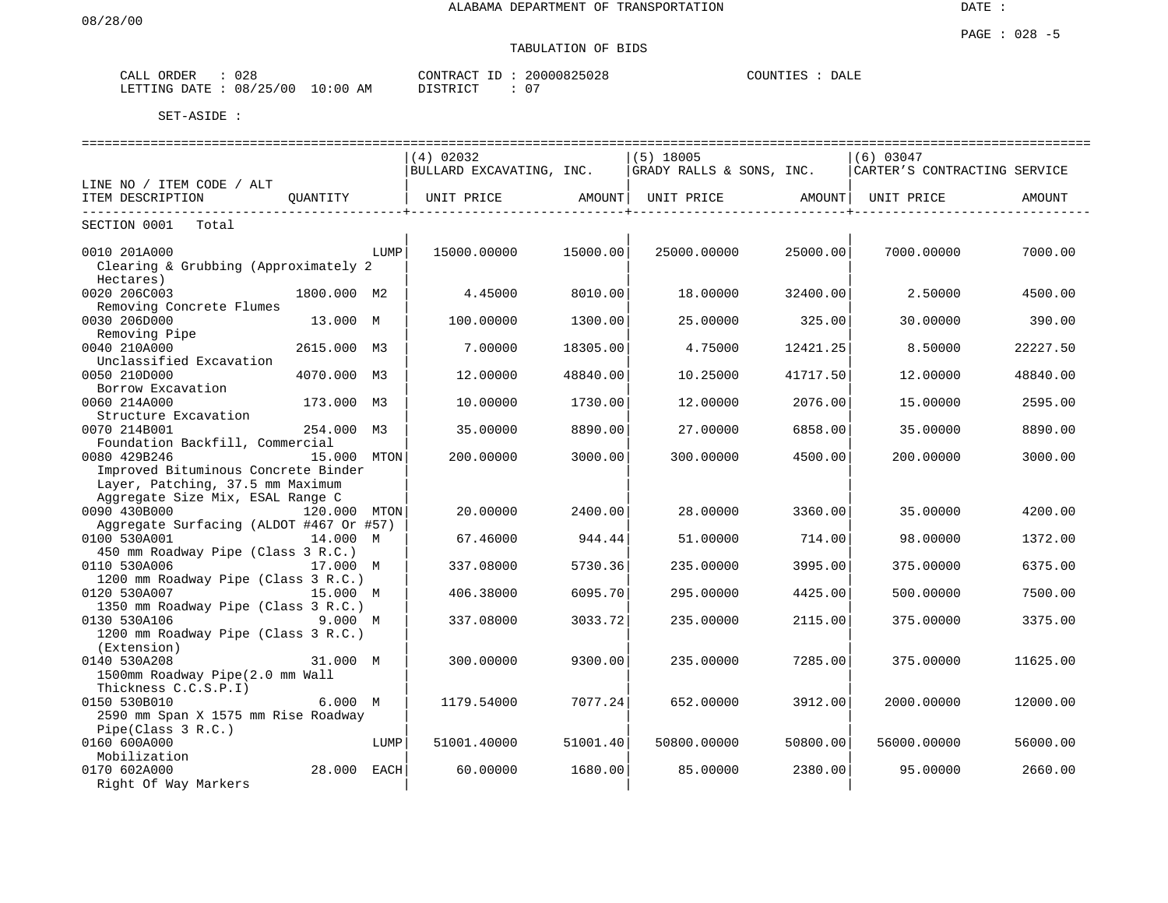| ORDER<br>CALL | 028                       | 20000825028<br>CONTRACT ID | COUNTIES<br>DALE |
|---------------|---------------------------|----------------------------|------------------|
| LETTING DATE  | 08/25/00<br>10:00 L<br>AM | $\cap$<br>TSTRICT          |                  |

|                                         |             |      | ------------------------------ |          |                          |          |                              |          |
|-----------------------------------------|-------------|------|--------------------------------|----------|--------------------------|----------|------------------------------|----------|
|                                         |             |      | $(4)$ 02032                    |          | $(5)$ 18005              |          | $(6)$ 03047                  |          |
|                                         |             |      | BULLARD EXCAVATING, INC.       |          | GRADY RALLS & SONS, INC. |          | CARTER'S CONTRACTING SERVICE |          |
| LINE NO / ITEM CODE / ALT               |             |      |                                |          |                          |          |                              |          |
| ITEM DESCRIPTION                        | OUANTITY    |      | UNIT PRICE                     | AMOUNT   | UNIT PRICE AMOUNT        |          | UNIT PRICE                   | AMOUNT   |
| __________<br>SECTION 0001<br>Total     |             |      | _____________                  |          |                          | .        |                              |          |
| 0010 201A000                            |             | LUMP | 15000.00000                    | 15000.00 | 25000.00000              | 25000.00 | 7000.00000                   | 7000.00  |
| Clearing & Grubbing (Approximately 2    |             |      |                                |          |                          |          |                              |          |
| Hectares)                               |             |      |                                |          |                          |          |                              |          |
| 0020 206C003                            | 1800.000 M2 |      | 4.45000                        | 8010.00  | 18,00000                 | 32400.00 | 2.50000                      | 4500.00  |
| Removing Concrete Flumes                |             |      |                                |          |                          |          |                              |          |
| 0030 206D000                            | 13.000 M    |      | 100.00000                      | 1300.00  | 25.00000                 | 325.00   | 30.00000                     | 390.00   |
| Removing Pipe                           |             |      |                                |          |                          |          |                              |          |
| 0040 210A000                            | 2615.000 M3 |      | 7.00000                        | 18305.00 | 4.75000                  | 12421.25 | 8.50000                      | 22227.50 |
| Unclassified Excavation                 |             |      |                                |          |                          |          |                              |          |
| 0050 210D000                            | 4070.000 M3 |      | 12.00000                       | 48840.00 | 10.25000                 | 41717.50 | 12,00000                     | 48840.00 |
| Borrow Excavation                       |             |      |                                |          |                          |          |                              |          |
| 0060 214A000                            | 173.000 M3  |      | 10.00000                       | 1730.00  | 12.00000                 | 2076.00  | 15.00000                     | 2595.00  |
| Structure Excavation                    |             |      |                                |          |                          |          |                              |          |
| 0070 214B001                            | 254.000 M3  |      | 35.00000                       | 8890.00  | 27.00000                 | 6858.00  | 35.00000                     | 8890.00  |
| Foundation Backfill, Commercial         |             |      |                                |          |                          |          |                              |          |
| 0080 429B246                            | 15.000 MTON |      | 200.00000                      | 3000.00  | 300.00000                | 4500.00  | 200.00000                    | 3000.00  |
| Improved Bituminous Concrete Binder     |             |      |                                |          |                          |          |                              |          |
| Layer, Patching, 37.5 mm Maximum        |             |      |                                |          |                          |          |                              |          |
| Aggregate Size Mix, ESAL Range C        |             |      |                                |          |                          |          |                              |          |
| 0090 430B000                            |             |      |                                |          |                          |          | 35.00000                     |          |
| Aggregate Surfacing (ALDOT #467 Or #57) | 120.000     | MTON | 20,00000                       | 2400.00  | 28,00000                 | 3360.00  |                              | 4200.00  |
|                                         |             |      |                                | 944.44   |                          |          |                              |          |
| 0100 530A001                            | 14.000 M    |      | 67.46000                       |          | 51.00000                 | 714.00   | 98.00000                     | 1372.00  |
| 450 mm Roadway Pipe (Class 3 R.C.)      | 17.000 M    |      |                                | 5730.36  |                          |          |                              |          |
| 0110 530A006                            |             |      | 337.08000                      |          | 235.00000                | 3995.00  | 375.00000                    | 6375.00  |
| 1200 mm Roadway Pipe (Class 3 R.C.)     |             |      |                                |          |                          |          |                              |          |
| 0120 530A007                            | 15.000 M    |      | 406.38000                      | 6095.70  | 295.00000                | 4425.00  | 500.00000                    | 7500.00  |
| 1350 mm Roadway Pipe (Class 3 R.C.)     |             |      |                                |          |                          |          |                              |          |
| 0130 530A106                            | 9.000 M     |      | 337.08000                      | 3033.72  | 235.00000                | 2115.00  | 375.00000                    | 3375.00  |
| 1200 mm Roadway Pipe (Class 3 R.C.)     |             |      |                                |          |                          |          |                              |          |
| (Extension)                             |             |      |                                |          |                          |          |                              |          |
| 0140 530A208                            | 31.000 M    |      | 300.00000                      | 9300.00  | 235.00000                | 7285.00  | 375.00000                    | 11625.00 |
| 1500mm Roadway Pipe(2.0 mm Wall         |             |      |                                |          |                          |          |                              |          |
| Thickness C.C.S.P.I)                    |             |      |                                |          |                          |          |                              |          |
| 0150 530B010                            | 6.000 M     |      | 1179.54000                     | 7077.24  | 652.00000                | 3912.00  | 2000.00000                   | 12000.00 |
| 2590 mm Span X 1575 mm Rise Roadway     |             |      |                                |          |                          |          |                              |          |
| Pipe(Class 3 R.C.)                      |             |      |                                |          |                          |          |                              |          |
| 0160 600A000                            |             | LUMP | 51001.40000                    | 51001.40 | 50800.00000              | 50800.00 | 56000.00000                  | 56000.00 |
| Mobilization                            |             |      |                                |          |                          |          |                              |          |
| 0170 602A000                            | 28.000      | EACH | 60.00000                       | 1680.00  | 85.00000                 | 2380.00  | 95.00000                     | 2660.00  |
| Right Of Way Markers                    |             |      |                                |          |                          |          |                              |          |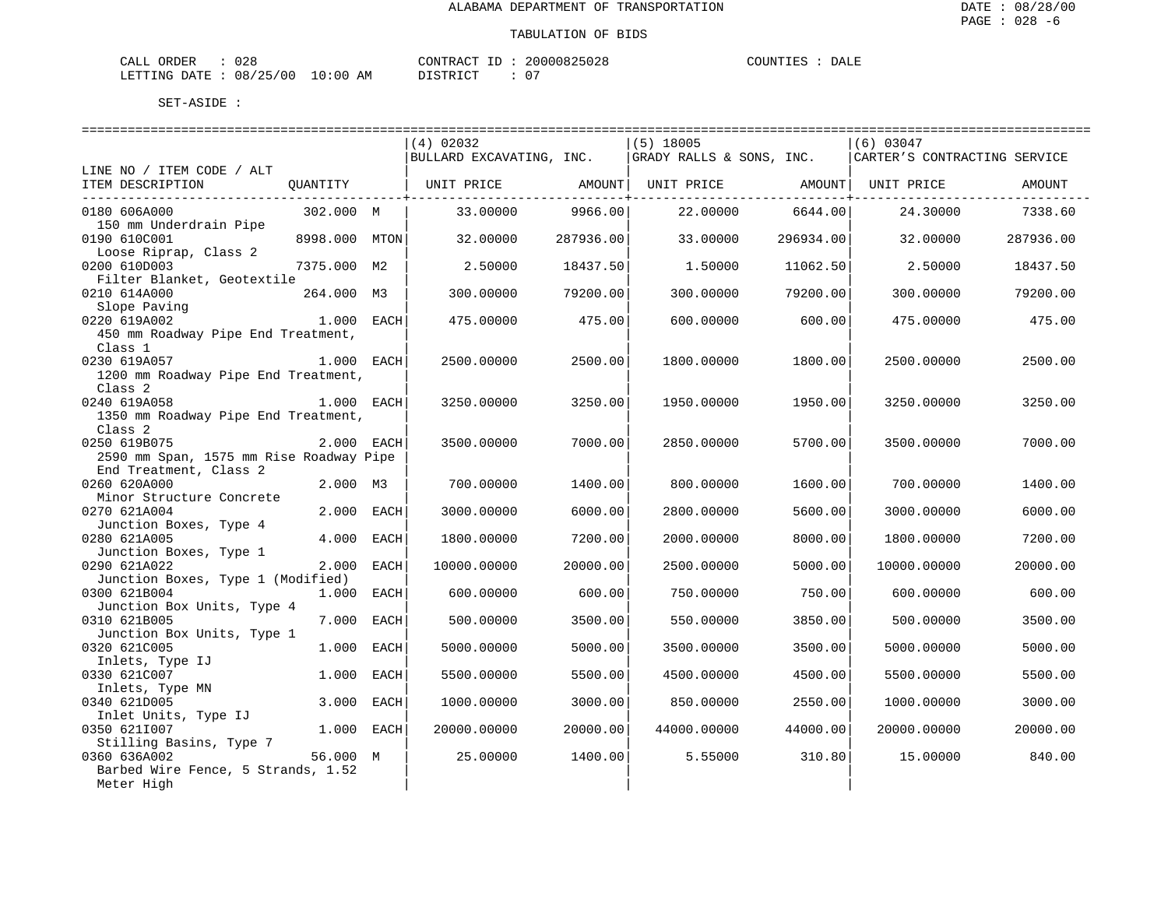| ORDER<br>CALL  | 028      |            | CONTRACT<br>ID : | 20000825028 | COUNTIES | DALE |
|----------------|----------|------------|------------------|-------------|----------|------|
| LETTING DATE : | 08/25/00 | $10:00$ AM | DISTRICT         | $\cap$      |          |      |

|                                                                                                                                                                                                                                        |               | $(4)$ 02032                                           |                                                            | $(5)$ 18005      |                        | $(6)$ 03047                  |           |
|----------------------------------------------------------------------------------------------------------------------------------------------------------------------------------------------------------------------------------------|---------------|-------------------------------------------------------|------------------------------------------------------------|------------------|------------------------|------------------------------|-----------|
|                                                                                                                                                                                                                                        |               | BULLARD EXCAVATING, INC. $ GRADY RALLS \& SONS, INC.$ |                                                            |                  |                        | CARTER'S CONTRACTING SERVICE |           |
| LINE NO / ITEM CODE / ALT                                                                                                                                                                                                              |               |                                                       |                                                            |                  |                        |                              |           |
| ITEM DESCRIPTION QUANTITY   UNIT PRICE AMOUNT  UNIT PRICE AMOUNT  UNIT PRICE                                                                                                                                                           |               |                                                       |                                                            |                  |                        |                              | AMOUNT    |
| 0180 606A000                                                                                                                                                                                                                           | 302.000 M     | 33.00000                                              | . _ _ _ _ _ _ _ _ _ _ _ _ _ _ _ + _ _ _ _ _ _ _<br>9966.00 | 22.00000 6644.00 | ----------------+----- | 24.30000                     | 7338.60   |
| 150 mm Underdrain Pipe                                                                                                                                                                                                                 |               |                                                       |                                                            |                  |                        |                              |           |
| 0190 610C001                                                                                                                                                                                                                           | 8998.000 MTON | 32.00000                                              | 287936.00                                                  | 33.00000         | 296934.00              | 32.00000                     | 287936.00 |
| Loose Riprap, Class 2<br>0200 610D003                                                                                                                                                                                                  | 7375.000 M2   | 2.50000                                               | 18437.50                                                   | 1,50000          | 11062.50               | 2.50000                      | 18437.50  |
| Filter Blanket, Geotextile                                                                                                                                                                                                             |               |                                                       |                                                            |                  |                        |                              |           |
| 0210 614A000                                                                                                                                                                                                                           | 264.000 M3    | 300.00000                                             | 79200.00                                                   | 300.00000        | 79200.00               | 300.00000                    | 79200.00  |
| $210$ $011002$<br>Slope Paving<br>220 $5192002$<br>221 $-$ 221 $-$ 221 $-$ 221 $-$ 221 $-$ 221 $-$ 221 $-$ 221 $-$ 221 $-$ 221 $-$ 221 $-$ 221 $-$ 221 $-$ 221 $-$ 221 $-$ 221 $-$ 221 $-$ 221 $-$ 221 $-$ 221 $-$ 221 $-$ 221 $-$ 221 |               |                                                       |                                                            |                  |                        |                              |           |
| 0220 619A002                                                                                                                                                                                                                           |               | 475.00000                                             | 475.00                                                     | 600.00000        | 600.00                 | 475.00000                    | 475.00    |
| 450 mm Roadway Pipe End Treatment,                                                                                                                                                                                                     |               |                                                       |                                                            |                  |                        |                              |           |
| Class 1                                                                                                                                                                                                                                |               |                                                       |                                                            |                  |                        |                              |           |
| 0230 619A057                                                                                                                                                                                                                           | 1.000 EACH    | 2500.00000                                            | 2500.00                                                    | 1800.00000       | 1800.00                | 2500.00000                   | 2500.00   |
| 1200 mm Roadway Pipe End Treatment,                                                                                                                                                                                                    |               |                                                       |                                                            |                  |                        |                              |           |
| Class <sub>2</sub>                                                                                                                                                                                                                     |               |                                                       |                                                            |                  |                        |                              |           |
| 0240 619A058                                                                                                                                                                                                                           | 1.000 EACH    | 3250.00000                                            | 3250.00                                                    | 1950.00000       | 1950.00                | 3250.00000                   | 3250.00   |
| 1350 mm Roadway Pipe End Treatment,                                                                                                                                                                                                    |               |                                                       |                                                            |                  |                        |                              |           |
| Class <sub>2</sub>                                                                                                                                                                                                                     |               |                                                       |                                                            |                  |                        |                              |           |
| 0250 619B075                                                                                                                                                                                                                           | 2.000 EACH    | 3500.00000                                            | 7000.00                                                    | 2850.00000       | 5700.00                | 3500.00000                   | 7000.00   |
| 2590 mm Span, 1575 mm Rise Roadway Pipe                                                                                                                                                                                                |               |                                                       |                                                            |                  |                        |                              |           |
| End Treatment, Class 2                                                                                                                                                                                                                 |               |                                                       |                                                            |                  |                        |                              |           |
| 0260 620A000                                                                                                                                                                                                                           | 2.000 M3      | 700.00000                                             | 1400.00                                                    | 800.00000        | 1600.00                | 700.00000                    | 1400.00   |
| Minor Structure Concrete                                                                                                                                                                                                               |               |                                                       |                                                            |                  |                        |                              |           |
| 0270 621A004                                                                                                                                                                                                                           | 2.000 EACH    | 3000.00000                                            | 6000.00                                                    | 2800.00000       | 5600.00                | 3000.00000                   | 6000.00   |
| Junction Boxes, Type 4<br>0280 621A005                                                                                                                                                                                                 | 4.000 EACH    | 1800.00000                                            | 7200.00                                                    | 2000.00000       | 8000.00                | 1800.00000                   | 7200.00   |
| Junction Boxes, Type 1                                                                                                                                                                                                                 |               |                                                       |                                                            |                  |                        |                              |           |
| 0290 621A022                                                                                                                                                                                                                           | 2.000 EACH    | 10000.00000                                           | 20000.00                                                   | 2500.00000       | 5000.00                | 10000.00000                  | 20000.00  |
| Junction Boxes, Type 1 (Modified)                                                                                                                                                                                                      |               |                                                       |                                                            |                  |                        |                              |           |
| 0300 621B004                                                                                                                                                                                                                           | 1.000 EACH    | 600.00000                                             | 600.00                                                     | 750.00000        | 750.00                 | 600.00000                    | 600.00    |
| Junction Box Units, Type 4                                                                                                                                                                                                             |               |                                                       |                                                            |                  |                        |                              |           |
| 0310 621B005                                                                                                                                                                                                                           | 7.000 EACH    | 500.00000                                             | 3500.00                                                    | 550.00000        | 3850.00                | 500.00000                    | 3500.00   |
| Junction Box Units, Type 1                                                                                                                                                                                                             |               |                                                       |                                                            |                  |                        |                              |           |
| 0320 621C005                                                                                                                                                                                                                           | 1.000 EACH    | 5000.00000                                            | 5000.00                                                    | 3500.00000       | 3500.00                | 5000.00000                   | 5000.00   |
| Inlets, Type IJ                                                                                                                                                                                                                        |               |                                                       |                                                            |                  |                        |                              |           |
| 0330 621C007                                                                                                                                                                                                                           | 1.000 EACH    | 5500.00000                                            | 5500.00                                                    | 4500.00000       | 4500.00                | 5500.00000                   | 5500.00   |
| Inlets, Type MN                                                                                                                                                                                                                        |               |                                                       |                                                            |                  |                        |                              |           |
| 0340 621D005                                                                                                                                                                                                                           | 3.000 EACH    | 1000.00000                                            | 3000.00                                                    | 850.00000        | 2550.00                | 1000.00000                   | 3000.00   |
| Inlet Units, Type IJ                                                                                                                                                                                                                   |               |                                                       |                                                            |                  |                        |                              |           |
| 0350 6211007                                                                                                                                                                                                                           | $1.000$ EACH  | 20000.00000                                           | 20000.00                                                   | 44000.00000      | 44000.00               | 20000.00000                  | 20000.00  |
| Stilling Basins, Type 7                                                                                                                                                                                                                |               |                                                       |                                                            |                  |                        |                              |           |
| 0360 636A002                                                                                                                                                                                                                           | 56.000 M      | 25.00000                                              | 1400.00                                                    | 5.55000          | 310.80                 | 15.00000                     | 840.00    |
| Barbed Wire Fence, 5 Strands, 1.52                                                                                                                                                                                                     |               |                                                       |                                                            |                  |                        |                              |           |
| Meter High                                                                                                                                                                                                                             |               |                                                       |                                                            |                  |                        |                              |           |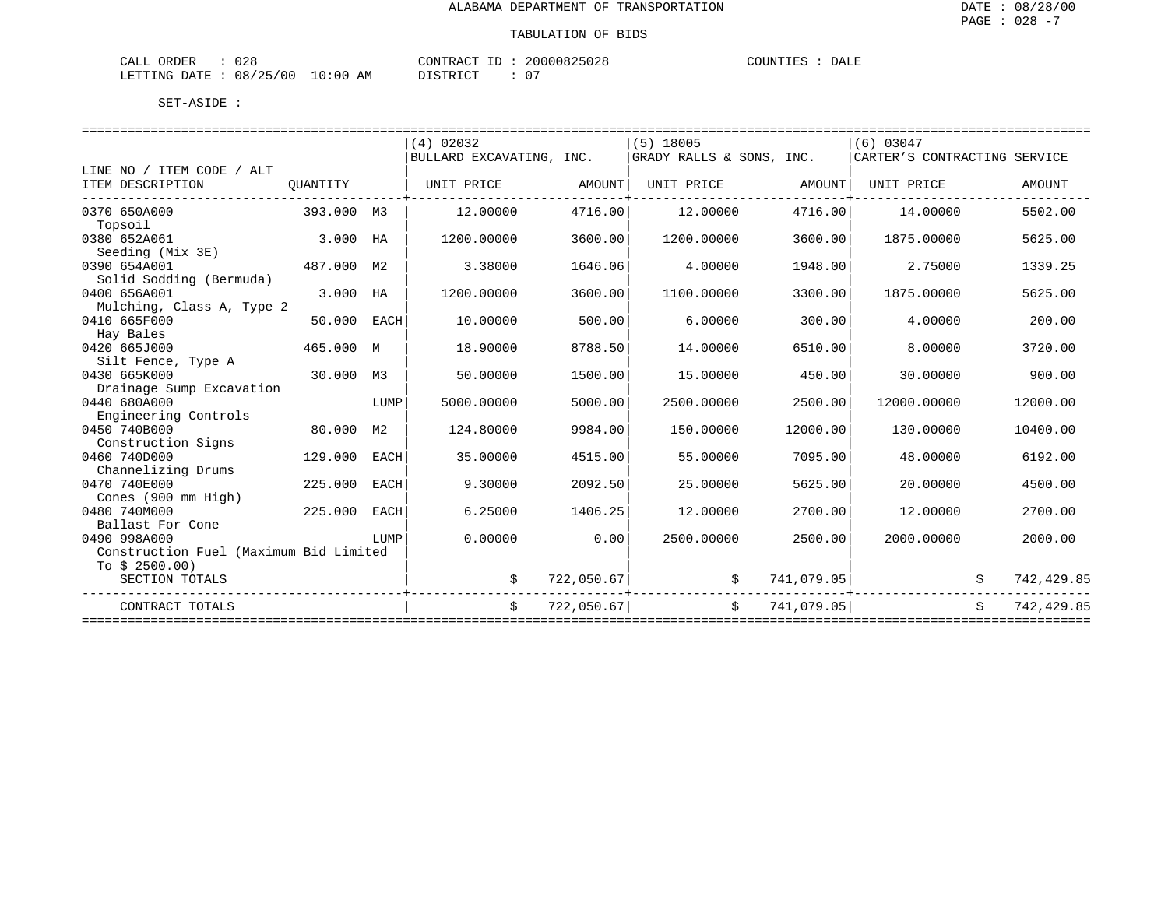| $\sim$ $\sim$<br>ORDER<br>$\sim$ $ -$<br>ـىلىلىك<br>してと |                      | CONTRACT<br>$- -$       | 20000825028 | COUNTIES<br>DALE |
|---------------------------------------------------------|----------------------|-------------------------|-------------|------------------|
| 08/25/00<br>LETTING DATE                                | $10:00$ .<br>ΑM<br>∸ | STRICT.<br><i>┙</i> ┵┙┵ | $\cap$<br>U |                  |

|                                        |             |      | $(4)$ 02032              |            | $(5)$ 18005              |            | $(6)$ 03047                  |            |
|----------------------------------------|-------------|------|--------------------------|------------|--------------------------|------------|------------------------------|------------|
|                                        |             |      | BULLARD EXCAVATING, INC. |            | GRADY RALLS & SONS, INC. |            | CARTER'S CONTRACTING SERVICE |            |
| LINE NO / ITEM CODE / ALT              |             |      |                          |            |                          |            |                              |            |
| ITEM DESCRIPTION                       | OUANTITY    |      | UNIT PRICE               | AMOUNT     | UNIT PRICE               | AMOUNT     | UNIT PRICE                   | AMOUNT     |
| 0370 650A000                           | 393.000 M3  |      | 12.00000                 | 4716.00    | 12,00000                 | 4716.00    | 14,00000                     | 5502.00    |
| Topsoil                                |             |      |                          |            |                          |            |                              |            |
| 0380 652A061<br>Seeding (Mix 3E)       | 3.000 HA    |      | 1200.00000               | 3600.00    | 1200.00000               | 3600.00    | 1875.00000                   | 5625.00    |
| 0390 654A001                           | 487.000 M2  |      | 3.38000                  | 1646.06    | 4.00000                  | 1948.00    | 2.75000                      | 1339.25    |
| Solid Sodding (Bermuda)                |             |      |                          |            |                          |            |                              |            |
| 0400 656A001                           | 3.000 HA    |      | 1200.00000               | 3600.00    | 1100.00000               | 3300.00    | 1875.00000                   | 5625.00    |
| Mulching, Class A, Type 2              |             |      |                          |            |                          |            |                              |            |
| 0410 665F000                           | 50.000 EACH |      | 10.00000                 | 500.00     | 6,00000                  | 300.00     | 4,00000                      | 200.00     |
| Hay Bales                              |             |      |                          |            |                          |            |                              |            |
| 0420 665J000                           | 465.000 M   |      | 18,90000                 | 8788.50    | 14.00000                 | 6510.00    | 8,00000                      | 3720.00    |
| Silt Fence, Type A                     |             |      |                          |            |                          |            |                              |            |
| 0430 665K000                           | 30.000 M3   |      | 50.00000                 | 1500.00    | 15.00000                 | 450.00     | 30.00000                     | 900.00     |
| Drainage Sump Excavation               |             |      |                          |            |                          |            |                              |            |
| 0440 680A000                           |             | LUMP | 5000.00000               | 5000.00    | 2500.00000               | 2500.00    | 12000.00000                  | 12000.00   |
| Engineering Controls                   |             |      |                          |            |                          |            |                              |            |
| 0450 740B000                           | 80,000      | M2   | 124.80000                | 9984.00    | 150.00000                | 12000.00   | 130.00000                    | 10400.00   |
| Construction Signs                     |             |      |                          |            |                          |            |                              |            |
| 0460 740D000                           | 129,000     | EACH | 35.00000                 | 4515.00    | 55.00000                 | 7095.00    | 48,00000                     | 6192.00    |
| Channelizing Drums<br>0470 740E000     | 225,000     | EACH | 9.30000                  | 2092.50    | 25,00000                 | 5625.00    | 20,00000                     | 4500.00    |
| Cones (900 mm High)                    |             |      |                          |            |                          |            |                              |            |
| 0480 740M000                           | 225,000     | EACH | 6.25000                  | 1406.25    | 12.00000                 | 2700.00    | 12,00000                     | 2700.00    |
| Ballast For Cone                       |             |      |                          |            |                          |            |                              |            |
| 0490 998A000                           |             | LUMP | 0.00000                  | 0.00       | 2500.00000               | 2500.00    | 2000.00000                   | 2000.00    |
| Construction Fuel (Maximum Bid Limited |             |      |                          |            |                          |            |                              |            |
| To $$2500.00)$                         |             |      |                          |            |                          |            |                              |            |
| SECTION TOTALS                         |             |      | \$                       | 722,050.67 | \$                       | 741,079.05 |                              | 742,429.85 |
| CONTRACT TOTALS                        |             |      | \$                       | 722,050.67 | \$                       | 741,079.05 |                              | 742,429.85 |
|                                        |             |      |                          |            |                          |            |                              |            |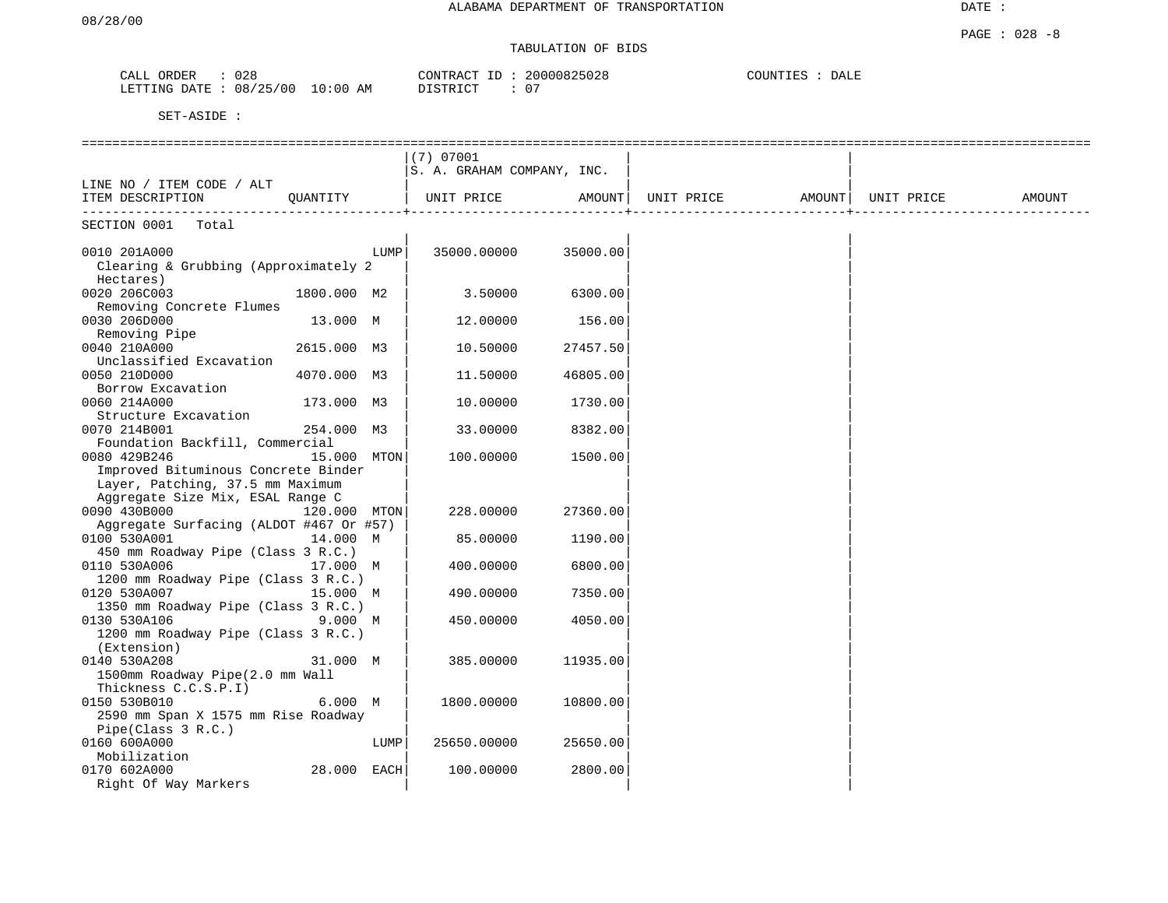| CALL ORDER | 028                              | 20000825028<br>CONTRACT ID : | COUNTIES<br>DALE |
|------------|----------------------------------|------------------------------|------------------|
|            | LETTING DATE : 08/25/00 10:00 AM | DISTRICT                     |                  |

|                                         |              |      | (7) 07001<br>S. A. GRAHAM COMPANY, INC. |          |                                |  |        |
|-----------------------------------------|--------------|------|-----------------------------------------|----------|--------------------------------|--|--------|
| LINE NO / ITEM CODE / ALT               |              |      |                                         |          |                                |  |        |
| ITEM DESCRIPTION                        | QUANTITY     |      | UNIT PRICE                              | AMOUNT   | UNIT PRICE AMOUNT   UNIT PRICE |  | AMOUNT |
| SECTION 0001<br>Total                   |              |      |                                         |          |                                |  |        |
| 0010 201A000                            |              | LUMP | 35000.00000                             | 35000.00 |                                |  |        |
| Clearing & Grubbing (Approximately 2    |              |      |                                         |          |                                |  |        |
| Hectares)                               |              |      |                                         |          |                                |  |        |
| 0020 206C003                            | 1800.000 M2  |      | 3.50000                                 | 6300.00  |                                |  |        |
| Removing Concrete Flumes                |              |      |                                         |          |                                |  |        |
| 0030 206D000                            | 13.000 M     |      | 12.00000                                | 156.00   |                                |  |        |
| Removing Pipe                           |              |      |                                         |          |                                |  |        |
| 0040 210A000                            | 2615.000 M3  |      | 10.50000                                | 27457.50 |                                |  |        |
| Unclassified Excavation                 |              |      |                                         |          |                                |  |        |
| 0050 210D000                            | 4070.000 M3  |      | 11.50000                                | 46805.00 |                                |  |        |
| Borrow Excavation                       |              |      |                                         |          |                                |  |        |
| 0060 214A000                            | 173.000 M3   |      | 10.00000                                | 1730.00  |                                |  |        |
| Structure Excavation                    |              |      |                                         |          |                                |  |        |
| 0070 214B001                            | 254.000 M3   |      | 33.00000                                | 8382.00  |                                |  |        |
| Foundation Backfill, Commercial         |              |      |                                         |          |                                |  |        |
| 0080 429B246                            | 15.000 MTON  |      | 100.00000                               | 1500.00  |                                |  |        |
| Improved Bituminous Concrete Binder     |              |      |                                         |          |                                |  |        |
| Layer, Patching, 37.5 mm Maximum        |              |      |                                         |          |                                |  |        |
| Aggregate Size Mix, ESAL Range C        |              |      |                                         |          |                                |  |        |
| 0090 430B000                            | 120.000 MTON |      | 228,00000                               | 27360.00 |                                |  |        |
| Aggregate Surfacing (ALDOT #467 Or #57) |              |      |                                         |          |                                |  |        |
| 0100 530A001                            | 14.000 M     |      | 85.00000                                | 1190.00  |                                |  |        |
| 450 mm Roadway Pipe (Class 3 R.C.)      |              |      |                                         |          |                                |  |        |
| 0110 530A006                            | 17.000 M     |      | 400.00000                               | 6800.00  |                                |  |        |
| 1200 mm Roadway Pipe (Class 3 R.C.)     |              |      |                                         |          |                                |  |        |
| 0120 530A007                            | 15.000 M     |      | 490.00000                               | 7350.00  |                                |  |        |
| 1350 mm Roadway Pipe (Class 3 R.C.)     |              |      |                                         |          |                                |  |        |
| 0130 530A106                            | 9.000 M      |      | 450.00000                               | 4050.00  |                                |  |        |
| 1200 mm Roadway Pipe (Class 3 R.C.)     |              |      |                                         |          |                                |  |        |
| (Extension)                             |              |      |                                         |          |                                |  |        |
| 0140 530A208                            | 31.000 M     |      | 385.00000                               | 11935.00 |                                |  |        |
| 1500mm Roadway Pipe(2.0 mm Wall         |              |      |                                         |          |                                |  |        |
| Thickness C.C.S.P.I)                    |              |      |                                         |          |                                |  |        |
| 0150 530B010                            | 6.000 M      |      | 1800.00000                              | 10800.00 |                                |  |        |
| 2590 mm Span X 1575 mm Rise Roadway     |              |      |                                         |          |                                |  |        |
| Pipe(Class 3 R.C.)                      |              |      |                                         |          |                                |  |        |
| 0160 600A000                            |              | LUMP | 25650.00000                             | 25650.00 |                                |  |        |
| Mobilization                            |              |      |                                         |          |                                |  |        |
| 0170 602A000                            | 28.000 EACH  |      | 100.00000                               | 2800.00  |                                |  |        |
| Right Of Way Markers                    |              |      |                                         |          |                                |  |        |
|                                         |              |      |                                         |          |                                |  |        |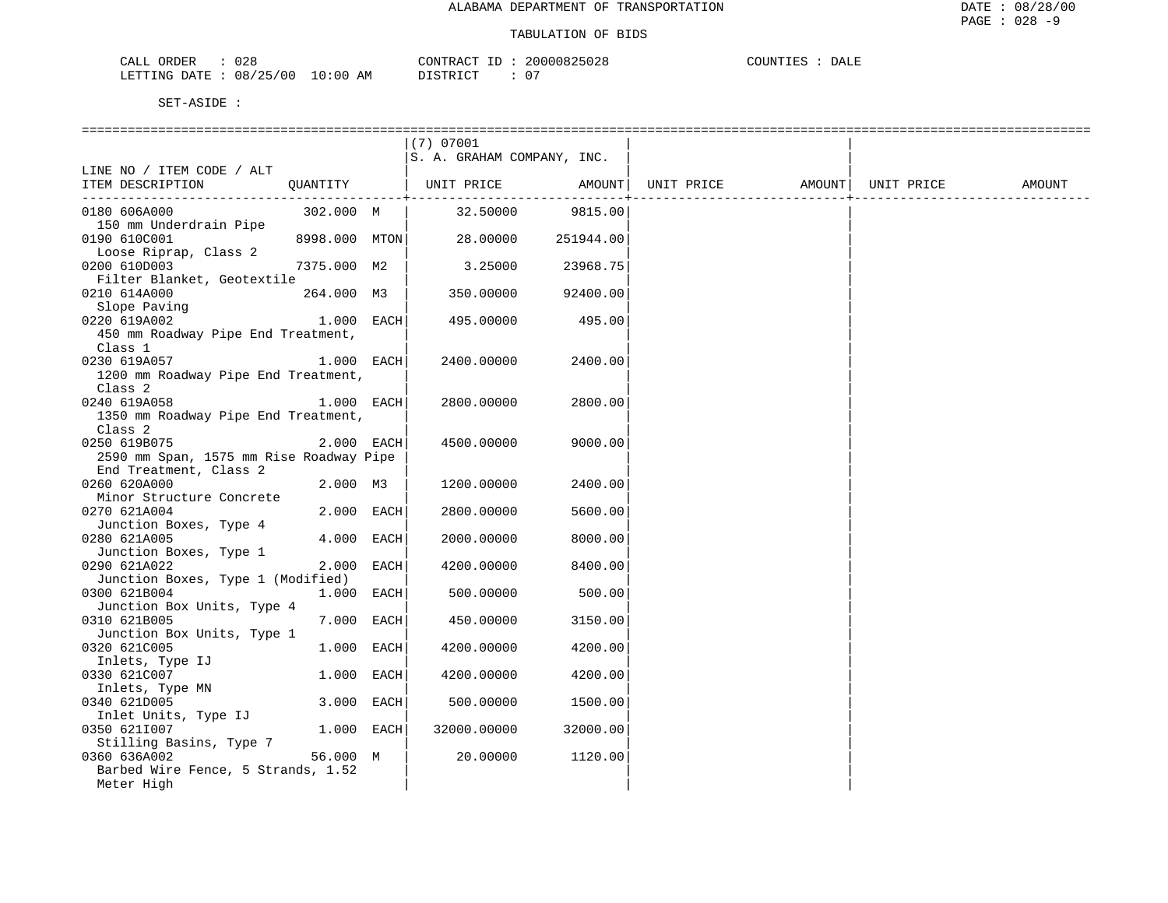| ヽへく<br>RDEF<br>.<br>$\cdots$<br>∪∠c<br>للطاب                         | 20000825028<br>חידוג∩ר<br>$\sim$<br>__<br>'′່ານປ∠ບ<br>$\cdots$ | COUNTT"<br>DALE |  |
|----------------------------------------------------------------------|----------------------------------------------------------------|-----------------|--|
| :00<br>ノつに<br>LETTING<br>$\pm 0$<br>DATE<br>08/<br>00. G<br>AM<br>-- | $T \cap T$<br>$\sim$ $\sim$<br><b>DICTPD</b><br>----           |                 |  |

|                                         |               | $(7)$ 07001                |           |                                |  |        |
|-----------------------------------------|---------------|----------------------------|-----------|--------------------------------|--|--------|
|                                         |               | S. A. GRAHAM COMPANY, INC. |           |                                |  |        |
| LINE NO / ITEM CODE / ALT               |               |                            |           |                                |  |        |
| ITEM DESCRIPTION                        | QUANTITY      | UNIT PRICE AMOUNT          |           | UNIT PRICE AMOUNT   UNIT PRICE |  | AMOUNT |
|                                         |               |                            |           | -------------------------      |  |        |
| 0180 606A000                            | 302.000 M     | 32.50000                   | 9815.00   |                                |  |        |
| 150 mm Underdrain Pipe                  |               |                            |           |                                |  |        |
| 0190 610C001                            | 8998.000 MTON | 28.00000                   | 251944.00 |                                |  |        |
| Loose Riprap, Class 2                   |               |                            |           |                                |  |        |
| 0200 610D003                            | 7375.000 M2   | 3.25000                    | 23968.75  |                                |  |        |
| Filter Blanket, Geotextile              |               |                            |           |                                |  |        |
| 0210 614A000                            | 264.000 M3    | 350.00000                  | 92400.00  |                                |  |        |
| Slope Paving                            |               |                            |           |                                |  |        |
| 0220 619A002                            | 1.000 EACH    | 495.00000                  | 495.00    |                                |  |        |
| 450 mm Roadway Pipe End Treatment,      |               |                            |           |                                |  |        |
| Class 1                                 |               |                            |           |                                |  |        |
| 0230 619A057                            | 1.000 EACH    | 2400.00000                 | 2400.00   |                                |  |        |
| 1200 mm Roadway Pipe End Treatment,     |               |                            |           |                                |  |        |
| Class <sub>2</sub>                      |               |                            |           |                                |  |        |
| 0240 619A058                            | 1.000 EACH    | 2800.00000                 | 2800.00   |                                |  |        |
| 1350 mm Roadway Pipe End Treatment,     |               |                            |           |                                |  |        |
| Class 2                                 |               |                            |           |                                |  |        |
| 0250 619B075                            | 2.000 EACH    | 4500.00000                 | 9000.00   |                                |  |        |
| 2590 mm Span, 1575 mm Rise Roadway Pipe |               |                            |           |                                |  |        |
| End Treatment, Class 2                  |               |                            |           |                                |  |        |
| 0260 620A000                            | 2.000 M3      | 1200.00000                 | 2400.00   |                                |  |        |
| Minor Structure Concrete                |               |                            |           |                                |  |        |
| 0270 621A004                            | 2.000 EACH    | 2800.00000                 | 5600.00   |                                |  |        |
| Junction Boxes, Type 4                  |               |                            |           |                                |  |        |
| 0280 621A005                            | 4.000 EACH    | 2000.00000                 | 8000.00   |                                |  |        |
| Junction Boxes, Type 1                  |               |                            |           |                                |  |        |
| 0290 621A022                            | 2.000 EACH    | 4200.00000                 | 8400.00   |                                |  |        |
| Junction Boxes, Type 1 (Modified)       |               |                            |           |                                |  |        |
| 0300 621B004                            | 1.000 EACH    | 500.00000                  | 500.00    |                                |  |        |
| Junction Box Units, Type 4              |               |                            |           |                                |  |        |
| 0310 621B005                            | 7.000 EACH    | 450.00000                  | 3150.00   |                                |  |        |
| Junction Box Units, Type 1              |               |                            |           |                                |  |        |
| 0320 621C005                            | 1.000 EACH    | 4200.00000                 | 4200.00   |                                |  |        |
| Inlets, Type IJ                         |               |                            |           |                                |  |        |
| 0330 621C007                            | 1.000 EACH    | 4200.00000                 | 4200.00   |                                |  |        |
| Inlets, Type MN                         |               |                            |           |                                |  |        |
| 0340 621D005                            | 3.000 EACH    | 500.00000                  | 1500.00   |                                |  |        |
| Inlet Units, Type IJ                    |               |                            |           |                                |  |        |
| 0350 6211007                            | $1.000$ EACH  | 32000.00000                | 32000.00  |                                |  |        |
| Stilling Basins, Type 7                 |               |                            |           |                                |  |        |
| 0360 636A002                            | 56.000 M      | 20.00000                   | 1120.00   |                                |  |        |
| Barbed Wire Fence, 5 Strands, 1.52      |               |                            |           |                                |  |        |
| Meter High                              |               |                            |           |                                |  |        |
|                                         |               |                            |           |                                |  |        |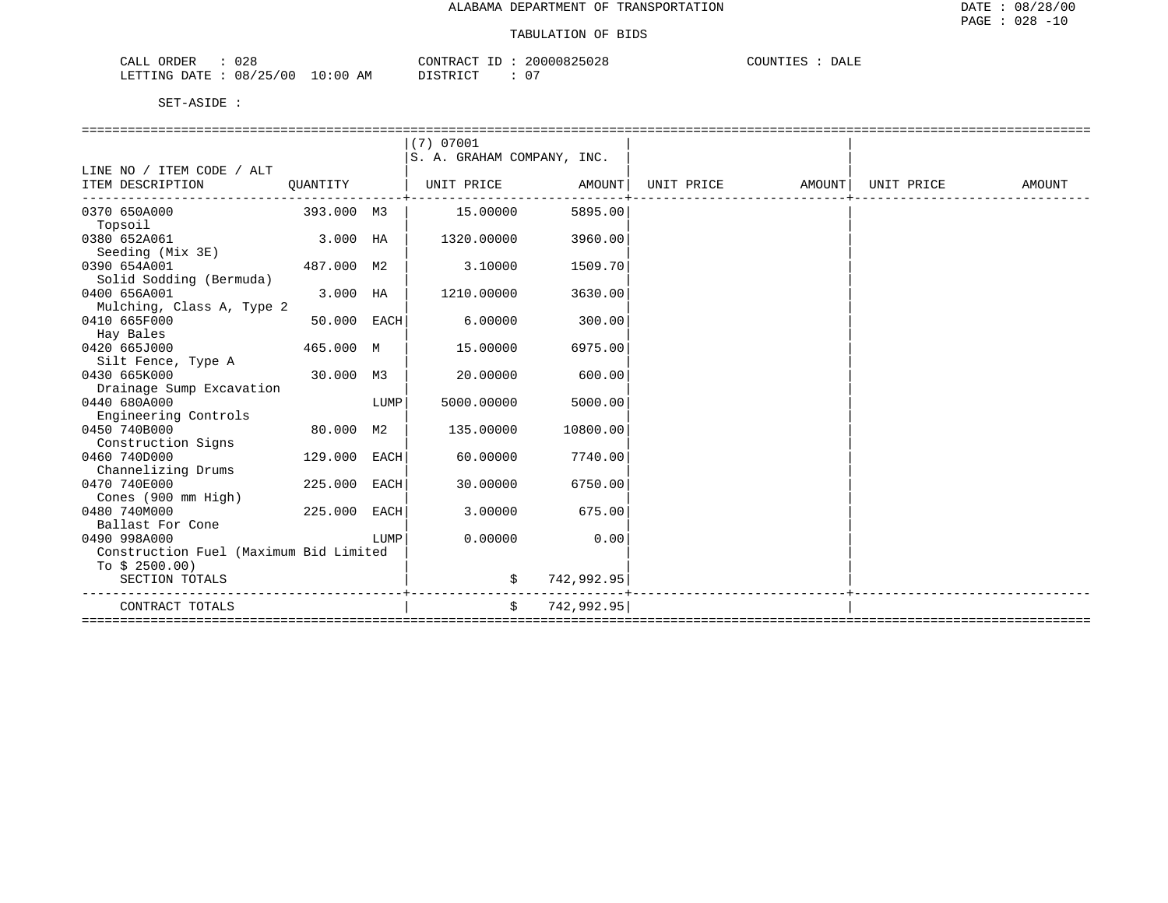| n n c<br>ORDER<br>CALL<br>∪∠⊂          | .000825028<br>$\sim$ $\sim$ $\sim$<br>$\bigcap \text{NTT}$<br>200<br>'Y At<br>・ノらけれん<br>1111 | COUNT.<br>DATE<br>. Pre |  |
|----------------------------------------|----------------------------------------------------------------------------------------------|-------------------------|--|
| 0:00<br>08/25/00<br>LETTING DATE<br>AΜ | $0-$<br>$T \cap T$<br>DI CIMP<br>.                                                           |                         |  |

|                                        |             |      | (7) 07001                  |            |                   |            |        |
|----------------------------------------|-------------|------|----------------------------|------------|-------------------|------------|--------|
|                                        |             |      | S. A. GRAHAM COMPANY, INC. |            |                   |            |        |
| LINE NO / ITEM CODE / ALT              |             |      |                            |            |                   |            |        |
| ITEM DESCRIPTION                       | OUANTITY    |      | UNIT PRICE                 | AMOUNT     | UNIT PRICE AMOUNT | UNIT PRICE | AMOUNT |
| 0370 650A000                           | 393.000 M3  |      | 15.00000                   | 5895.00    |                   |            |        |
| Topsoil                                |             |      |                            |            |                   |            |        |
| 0380 652A061                           | 3.000 HA    |      | 1320.00000                 | 3960.00    |                   |            |        |
| Seeding (Mix 3E)                       |             |      |                            |            |                   |            |        |
| 0390 654A001                           | 487.000 M2  |      | 3.10000                    | 1509.70    |                   |            |        |
| Solid Sodding (Bermuda)                |             |      |                            |            |                   |            |        |
| 0400 656A001                           | 3.000 HA    |      | 1210.00000                 | 3630.00    |                   |            |        |
| Mulching, Class A, Type 2              |             |      |                            |            |                   |            |        |
| 0410 665F000                           | 50.000 EACH |      | 6.00000                    | 300.00     |                   |            |        |
| Hay Bales                              |             |      |                            |            |                   |            |        |
| 0420 665J000                           | 465.000 M   |      | 15.00000                   | 6975.00    |                   |            |        |
| Silt Fence, Type A                     |             |      |                            |            |                   |            |        |
| 0430 665K000                           | 30.000 M3   |      | 20.00000                   | 600.00     |                   |            |        |
| Drainage Sump Excavation               |             |      |                            |            |                   |            |        |
| 0440 680A000                           |             | LUMP | 5000.00000                 | 5000.00    |                   |            |        |
| Engineering Controls                   |             |      |                            |            |                   |            |        |
| 0450 740B000                           | 80.000 M2   |      | 135.00000                  | 10800.00   |                   |            |        |
| Construction Signs                     |             |      |                            |            |                   |            |        |
| 0460 740D000                           | 129.000     | EACH | 60.00000                   | 7740.00    |                   |            |        |
| Channelizing Drums                     |             |      |                            |            |                   |            |        |
| 0470 740E000                           | 225,000     | EACH | 30.00000                   | 6750.00    |                   |            |        |
| Cones (900 mm High)                    |             |      |                            |            |                   |            |        |
| 0480 740M000                           | 225.000     | EACH | 3,00000                    | 675.00     |                   |            |        |
| Ballast For Cone                       |             |      |                            |            |                   |            |        |
| 0490 998A000                           |             | LUMP | 0.00000                    | 0.00       |                   |            |        |
| Construction Fuel (Maximum Bid Limited |             |      |                            |            |                   |            |        |
| To $$2500.00)$                         |             |      |                            |            |                   |            |        |
| SECTION TOTALS                         |             |      | \$                         | 742,992.95 |                   |            |        |
| CONTRACT TOTALS                        |             |      | Ŝ.                         | 742,992.95 |                   |            |        |
|                                        |             |      |                            |            |                   |            |        |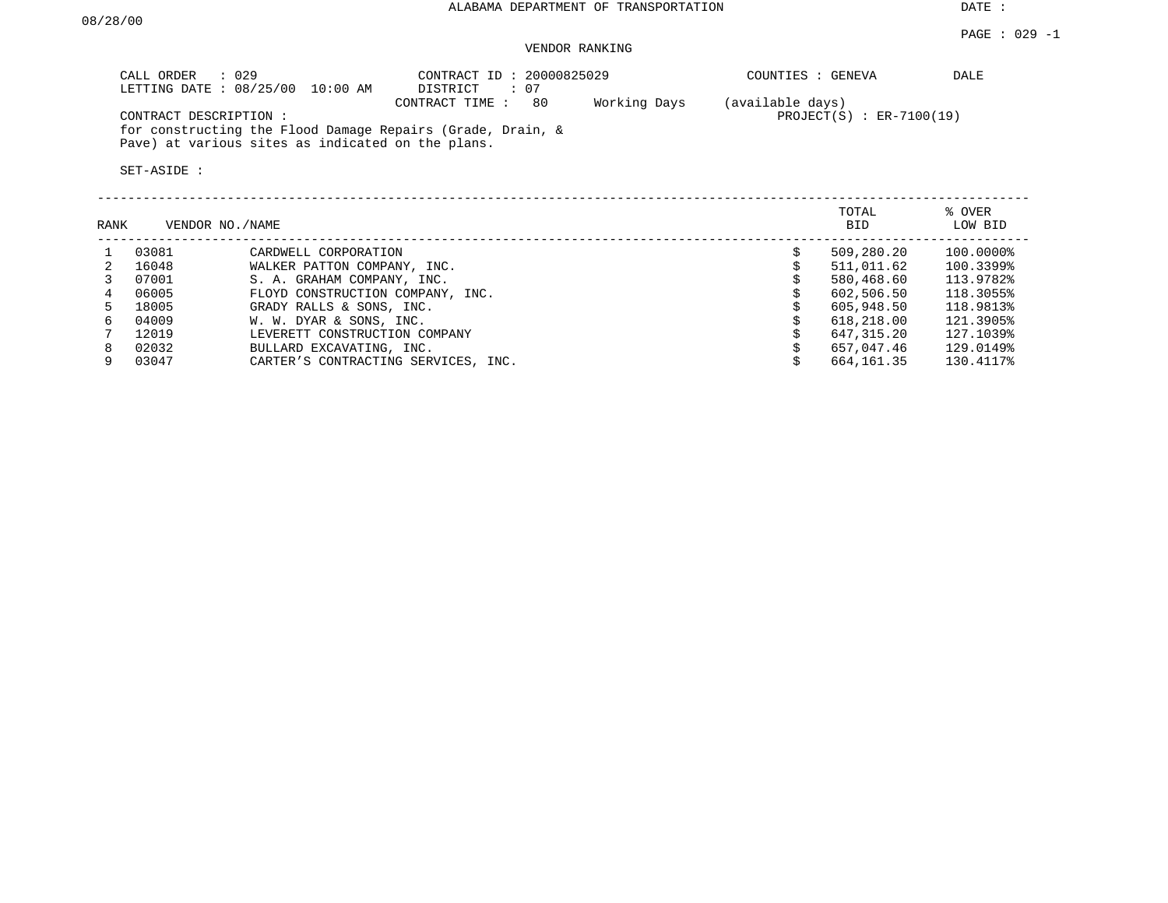PAGE : 029 -1

### VENDOR RANKING

| CALL ORDER : 029<br>LETTING DATE: 08/25/00 10:00 AM                                                             | CONTRACT ID: 20000825029<br>DISTRICT : 07 |              | COUNTIES : GENEVA            | DALE |
|-----------------------------------------------------------------------------------------------------------------|-------------------------------------------|--------------|------------------------------|------|
|                                                                                                                 | CONTRACT TIME :<br>80                     | Working Days | (available days)             |      |
| CONTRACT DESCRIPTION :                                                                                          |                                           |              | $PROJECT(S)$ : $ER-7100(19)$ |      |
| for constructing the Flood Damage Repairs (Grade, Drain, &<br>Pave) at various sites as indicated on the plans. |                                           |              |                              |      |

| RANK | VENDOR NO./NAME |                                     | TOTAL<br>BID | % OVER<br>LOW BID |
|------|-----------------|-------------------------------------|--------------|-------------------|
|      | 03081           | CARDWELL CORPORATION                | 509,280.20   | 100.0000%         |
|      | 16048           | WALKER PATTON COMPANY, INC.         | 511,011.62   | 100.3399%         |
|      | 07001           | S. A. GRAHAM COMPANY, INC.          | 580,468.60   | 113.9782%         |
| 4    | 06005           | FLOYD CONSTRUCTION COMPANY, INC.    | 602,506.50   | 118.3055%         |
|      | 18005           | GRADY RALLS & SONS, INC.            | 605,948.50   | 118.9813%         |
| б.   | 04009           | W. W. DYAR & SONS, INC.             | 618,218.00   | 121.3905%         |
|      | 12019           | LEVERETT CONSTRUCTION COMPANY       | 647,315.20   | 127.1039%         |
| 8    | 02032           | BULLARD EXCAVATING, INC.            | 657,047.46   | 129.0149%         |
|      | 03047           | CARTER'S CONTRACTING SERVICES, INC. | 664,161.35   | 130.4117%         |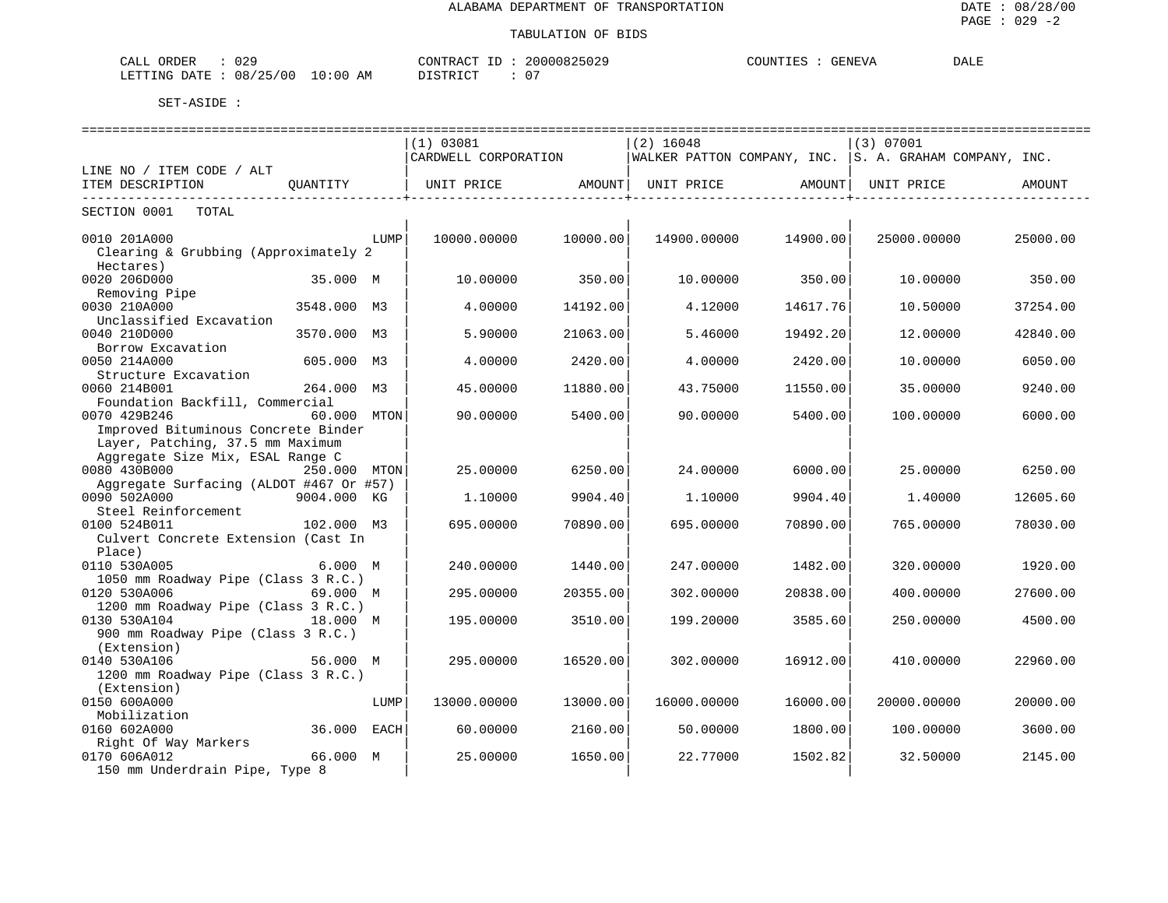| 029<br>ORDER<br><b>CIAT</b><br>للبلامات                              | ּ ∧ פידיז\∩י<br>$\mathbb{R}$ $\mathbb{R}$<br>∽∩™ | .<br>,,,,,,, | COUNTIF <sup>1</sup><br>$C$ ENTELZZ<br>GENE VA | <b>DALE</b> |
|----------------------------------------------------------------------|--------------------------------------------------|--------------|------------------------------------------------|-------------|
| つに こうかい いっかい しゅうかい<br>'00<br>08<br>TTING<br>10<br>ידי בר<br>$\cdots$ | דת סידים דת<br>AΜ<br>:00                         |              |                                                |             |

| ==============================<br>-----------------------------<br>================================== |              |      |                      |                              |             |                   |                                                        |          |  |
|-------------------------------------------------------------------------------------------------------|--------------|------|----------------------|------------------------------|-------------|-------------------|--------------------------------------------------------|----------|--|
|                                                                                                       |              |      | (1) 03081            |                              | $(2)$ 16048 |                   | (3) 07001                                              |          |  |
|                                                                                                       |              |      | CARDWELL CORPORATION |                              |             |                   | WALKER PATTON COMPANY, INC. S. A. GRAHAM COMPANY, INC. |          |  |
| LINE NO / ITEM CODE / ALT                                                                             |              |      |                      |                              |             |                   |                                                        |          |  |
| ITEM DESCRIPTION                                                                                      | OUANTITY     |      | UNIT PRICE           | AMOUNT<br>----------------+- |             | UNIT PRICE AMOUNT | UNIT PRICE                                             | AMOUNT   |  |
| -----------<br>SECTION 0001<br>TOTAL                                                                  |              |      |                      |                              |             |                   |                                                        |          |  |
| 0010 201A000                                                                                          |              | LUMP | 10000.00000          | 10000.00                     | 14900.00000 | 14900.00          | 25000.00000                                            | 25000.00 |  |
| Clearing & Grubbing (Approximately 2                                                                  |              |      |                      |                              |             |                   |                                                        |          |  |
| Hectares)                                                                                             |              |      |                      |                              |             |                   |                                                        |          |  |
| 0020 206D000                                                                                          | 35.000 M     |      | 10.00000             | 350.00                       | 10.00000    | 350.00            | 10.00000                                               | 350.00   |  |
| Removing Pipe                                                                                         |              |      |                      |                              |             |                   |                                                        |          |  |
| 0030 210A000                                                                                          | 3548.000 M3  |      | 4.00000              | 14192.00                     | 4.12000     | 14617.76          | 10.50000                                               | 37254.00 |  |
| Unclassified Excavation                                                                               |              |      |                      |                              |             |                   |                                                        |          |  |
| 0040 210D000                                                                                          | 3570.000 M3  |      | 5.90000              | 21063.00                     | 5.46000     | 19492.20          | 12.00000                                               | 42840.00 |  |
| Borrow Excavation                                                                                     |              |      |                      |                              |             |                   |                                                        |          |  |
| 0050 214A000                                                                                          | 605.000 M3   |      | 4.00000              | 2420.00                      | 4.00000     | 2420.00           | 10.00000                                               | 6050.00  |  |
| Structure Excavation                                                                                  |              |      |                      |                              |             |                   |                                                        |          |  |
| 0060 214B001                                                                                          | 264.000 M3   |      | 45.00000             | 11880.00                     | 43.75000    | 11550.00          | 35.00000                                               | 9240.00  |  |
| Foundation Backfill, Commercial                                                                       |              |      |                      |                              |             |                   |                                                        |          |  |
| 0070 429B246                                                                                          | 60.000 MTON  |      | 90.00000             | 5400.00                      | 90.00000    | 5400.00           | 100,00000                                              | 6000.00  |  |
| Improved Bituminous Concrete Binder                                                                   |              |      |                      |                              |             |                   |                                                        |          |  |
| Layer, Patching, 37.5 mm Maximum                                                                      |              |      |                      |                              |             |                   |                                                        |          |  |
| Aggregate Size Mix, ESAL Range C                                                                      |              |      |                      |                              |             |                   |                                                        |          |  |
| 0080 430B000                                                                                          | 250.000 MTON |      | 25.00000             | 6250.00                      | 24.00000    | 6000.00           | 25,00000                                               | 6250.00  |  |
| Aggregate Surfacing (ALDOT #467 Or #57)                                                               |              |      |                      |                              |             |                   |                                                        |          |  |
| 0090 502A000                                                                                          | 9004.000 KG  |      | 1,10000              | 9904.40                      | 1,10000     | 9904.40           | 1.40000                                                | 12605.60 |  |
| Steel Reinforcement                                                                                   |              |      |                      |                              |             |                   |                                                        |          |  |
| 0100 524B011                                                                                          | 102.000 M3   |      | 695.00000            | 70890.00                     | 695.00000   | 70890.00          | 765.00000                                              | 78030.00 |  |
| Culvert Concrete Extension (Cast In                                                                   |              |      |                      |                              |             |                   |                                                        |          |  |
| Place)                                                                                                |              |      |                      |                              |             |                   |                                                        |          |  |
| 0110 530A005                                                                                          | 6.000 M      |      | 240.00000            | 1440.00                      | 247.00000   | 1482.00           | 320.00000                                              | 1920.00  |  |
| 1050 mm Roadway Pipe (Class 3 R.C.)                                                                   |              |      |                      |                              |             |                   |                                                        |          |  |
| 0120 530A006                                                                                          | 69.000 M     |      | 295.00000            | 20355.00                     | 302.00000   | 20838.00          | 400.00000                                              | 27600.00 |  |
| 1200 mm Roadway Pipe (Class 3 R.C.)                                                                   |              |      |                      |                              |             |                   |                                                        |          |  |
| 0130 530A104                                                                                          | 18.000 M     |      | 195.00000            | 3510.00                      | 199.20000   | 3585.60           | 250.00000                                              | 4500.00  |  |
| 900 mm Roadway Pipe (Class 3 R.C.)                                                                    |              |      |                      |                              |             |                   |                                                        |          |  |
| (Extension)                                                                                           |              |      |                      |                              |             |                   |                                                        |          |  |
| 0140 530A106                                                                                          | 56.000 M     |      | 295,00000            | 16520.00                     | 302,00000   | 16912.00          | 410.00000                                              | 22960.00 |  |
| 1200 mm Roadway Pipe (Class 3 R.C.)                                                                   |              |      |                      |                              |             |                   |                                                        |          |  |
| (Extension)                                                                                           |              |      |                      |                              |             |                   |                                                        |          |  |
| 0150 600A000                                                                                          |              | LUMP | 13000.00000          | 13000.00                     | 16000.00000 | 16000.00          | 20000.00000                                            | 20000.00 |  |
| Mobilization                                                                                          |              |      |                      |                              |             |                   |                                                        |          |  |
| 0160 602A000                                                                                          | 36.000 EACH  |      | 60.00000             | 2160.00                      | 50.00000    | 1800.00           | 100.00000                                              | 3600.00  |  |
| Right Of Way Markers                                                                                  |              |      |                      |                              |             |                   |                                                        |          |  |
| 0170 606A012                                                                                          | 66.000 M     |      | 25.00000             | 1650.00                      | 22.77000    | 1502.82           | 32.50000                                               | 2145.00  |  |
| 150 mm Underdrain Pipe, Type 8                                                                        |              |      |                      |                              |             |                   |                                                        |          |  |
|                                                                                                       |              |      |                      |                              |             |                   |                                                        |          |  |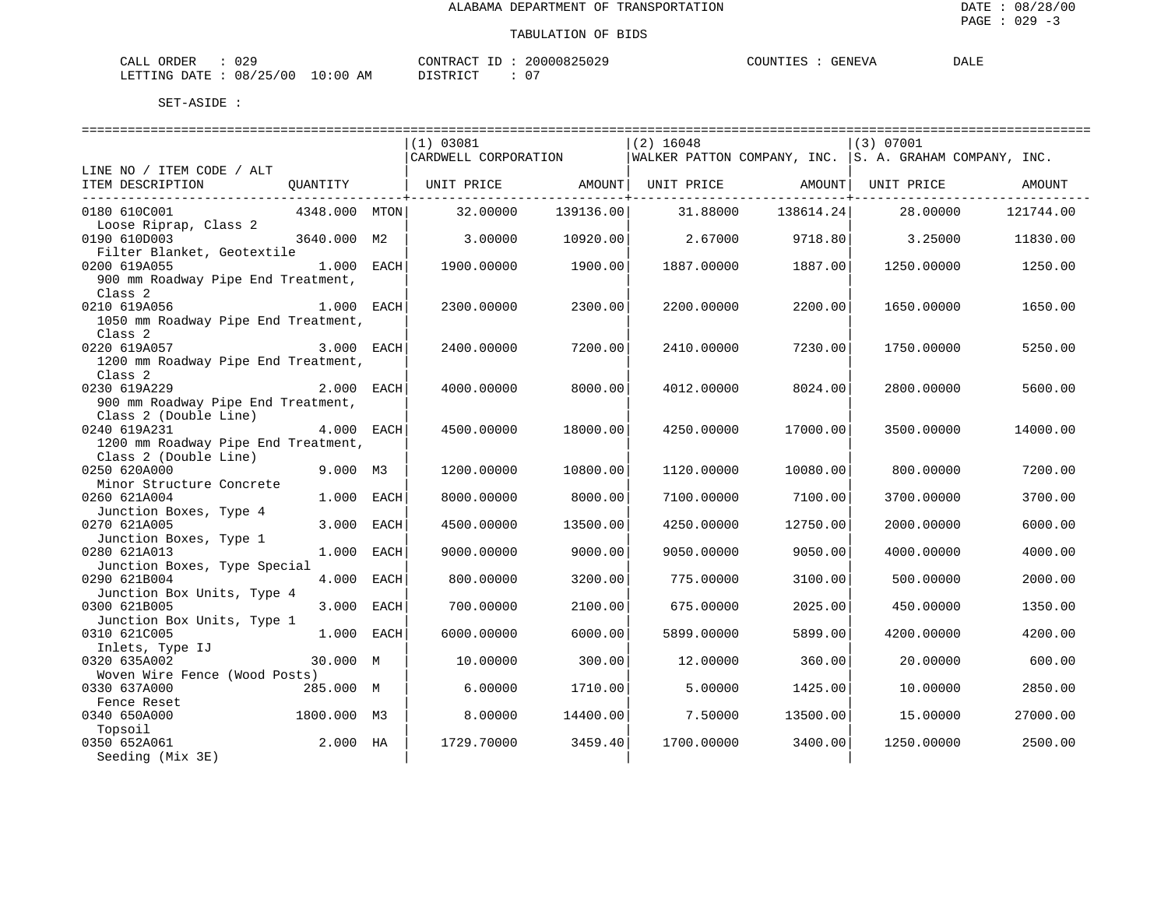| ORDER<br>CALL | 029                 | CONTRACT ID | 20000825029 | COUNTIES | GENEVA | DALE |
|---------------|---------------------|-------------|-------------|----------|--------|------|
| LETTING DATE  | : 08/25/00 10:00 AM | DISTRICT    |             |          |        |      |

|                                                             |               |      | (1) 03081            |           | $(2)$ 16048                                              |           | (3) 07001  |           |
|-------------------------------------------------------------|---------------|------|----------------------|-----------|----------------------------------------------------------|-----------|------------|-----------|
|                                                             |               |      | CARDWELL CORPORATION |           | WALKER PATTON COMPANY, INC.   S. A. GRAHAM COMPANY, INC. |           |            |           |
| LINE NO / ITEM CODE / ALT                                   |               |      |                      |           |                                                          |           |            |           |
| ITEM DESCRIPTION                                            | QUANTITY      |      | UNIT PRICE AMOUNT    |           | UNIT PRICE                                               | AMOUNT    | UNIT PRICE | AMOUNT    |
|                                                             |               |      |                      |           |                                                          |           |            |           |
| 0180 610C001                                                | 4348.000 MTON |      | 32.00000             | 139136.00 | 31.88000                                                 | 138614.24 | 28.00000   | 121744.00 |
| Loose Riprap, Class 2                                       |               |      |                      |           |                                                          |           |            |           |
| 0190 610D003                                                | 3640.000 M2   |      | 3.00000              | 10920.00  | 2.67000                                                  | 9718.80   | 3.25000    | 11830.00  |
| Filter Blanket, Geotextile                                  |               |      |                      |           |                                                          |           |            |           |
| 0200 619A055                                                | 1.000 EACH    |      | 1900.00000           | 1900.00   | 1887.00000                                               | 1887.00   | 1250.00000 | 1250.00   |
| 900 mm Roadway Pipe End Treatment,                          |               |      |                      |           |                                                          |           |            |           |
| Class <sub>2</sub>                                          |               |      |                      |           |                                                          |           |            |           |
| 0210 619A056                                                | 1.000 EACH    |      | 2300.00000           | 2300.00   | 2200.00000                                               | 2200.00   | 1650.00000 | 1650.00   |
| 1050 mm Roadway Pipe End Treatment,                         |               |      |                      |           |                                                          |           |            |           |
| Class <sub>2</sub>                                          |               |      |                      |           |                                                          |           |            |           |
| 0220 619A057                                                | 3.000 EACH    |      | 2400.00000           | 7200.00   | 2410.00000                                               | 7230.00   | 1750.00000 | 5250.00   |
| 1200 mm Roadway Pipe End Treatment,                         |               |      |                      |           |                                                          |           |            |           |
| Class <sub>2</sub>                                          |               |      |                      |           |                                                          |           |            |           |
| 0230 619A229                                                | 2.000 EACH    |      | 4000.00000           | 8000.00   | 4012,00000                                               | 8024.00   | 2800,00000 | 5600.00   |
| 900 mm Roadway Pipe End Treatment,<br>Class 2 (Double Line) |               |      |                      |           |                                                          |           |            |           |
| 0240 619A231                                                | 4.000 EACH    |      | 4500.00000           | 18000.00  | 4250.00000                                               | 17000.00  | 3500.00000 | 14000.00  |
| 1200 mm Roadway Pipe End Treatment,                         |               |      |                      |           |                                                          |           |            |           |
| Class 2 (Double Line)                                       |               |      |                      |           |                                                          |           |            |           |
| 0250 620A000                                                | 9.000 M3      |      | 1200.00000           | 10800.00  | 1120.00000                                               | 10080.00  | 800.00000  | 7200.00   |
| Minor Structure Concrete                                    |               |      |                      |           |                                                          |           |            |           |
| 0260 621A004                                                | 1.000 EACH    |      | 8000.00000           | 8000.00   | 7100.00000                                               | 7100.00   | 3700.00000 | 3700.00   |
| Junction Boxes, Type 4                                      |               |      |                      |           |                                                          |           |            |           |
| 0270 621A005                                                | 3.000         | EACH | 4500.00000           | 13500.00  | 4250.00000                                               | 12750.00  | 2000.00000 | 6000.00   |
| Junction Boxes, Type 1                                      |               |      |                      |           |                                                          |           |            |           |
| 0280 621A013                                                | 1.000         | EACH | 9000.00000           | 9000.00   | 9050.00000                                               | 9050.00   | 4000.00000 | 4000.00   |
| Junction Boxes, Type Special                                |               |      |                      |           |                                                          |           |            |           |
| 0290 621B004                                                | 4.000 EACH    |      | 800,00000            | 3200.00   | 775.00000                                                | 3100.00   | 500.00000  | 2000.00   |
| Junction Box Units, Type 4                                  |               |      |                      |           |                                                          |           |            |           |
| 0300 621B005                                                | 3.000         | EACH | 700.00000            | 2100.00   | 675.00000                                                | 2025.00   | 450.00000  | 1350.00   |
| Junction Box Units, Type 1                                  |               |      |                      |           |                                                          |           |            |           |
| 0310 621C005                                                | 1.000 EACH    |      | 6000.00000           | 6000.00   | 5899.00000                                               | 5899.00   | 4200.00000 | 4200.00   |
| Inlets, Type IJ                                             |               |      |                      |           |                                                          |           |            |           |
| 0320 635A002                                                | 30.000 M      |      | 10.00000             | 300.00    | 12.00000                                                 | 360.00    | 20.00000   | 600.00    |
| Woven Wire Fence (Wood Posts)                               |               |      |                      |           |                                                          |           |            |           |
| 0330 637A000                                                | 285.000 M     |      | 6.00000              | 1710.00   | 5.00000                                                  | 1425.00   | 10.00000   | 2850.00   |
| Fence Reset                                                 |               |      |                      |           |                                                          |           |            |           |
| 0340 650A000                                                | 1800.000 M3   |      | 8,00000              | 14400.00  | 7.50000                                                  | 13500.00  | 15,00000   | 27000.00  |
| Topsoil                                                     |               |      |                      |           |                                                          |           |            |           |
| 0350 652A061                                                | 2.000 HA      |      | 1729.70000           | 3459.40   | 1700.00000                                               | 3400.00   | 1250.00000 | 2500.00   |
| Seeding (Mix 3E)                                            |               |      |                      |           |                                                          |           |            |           |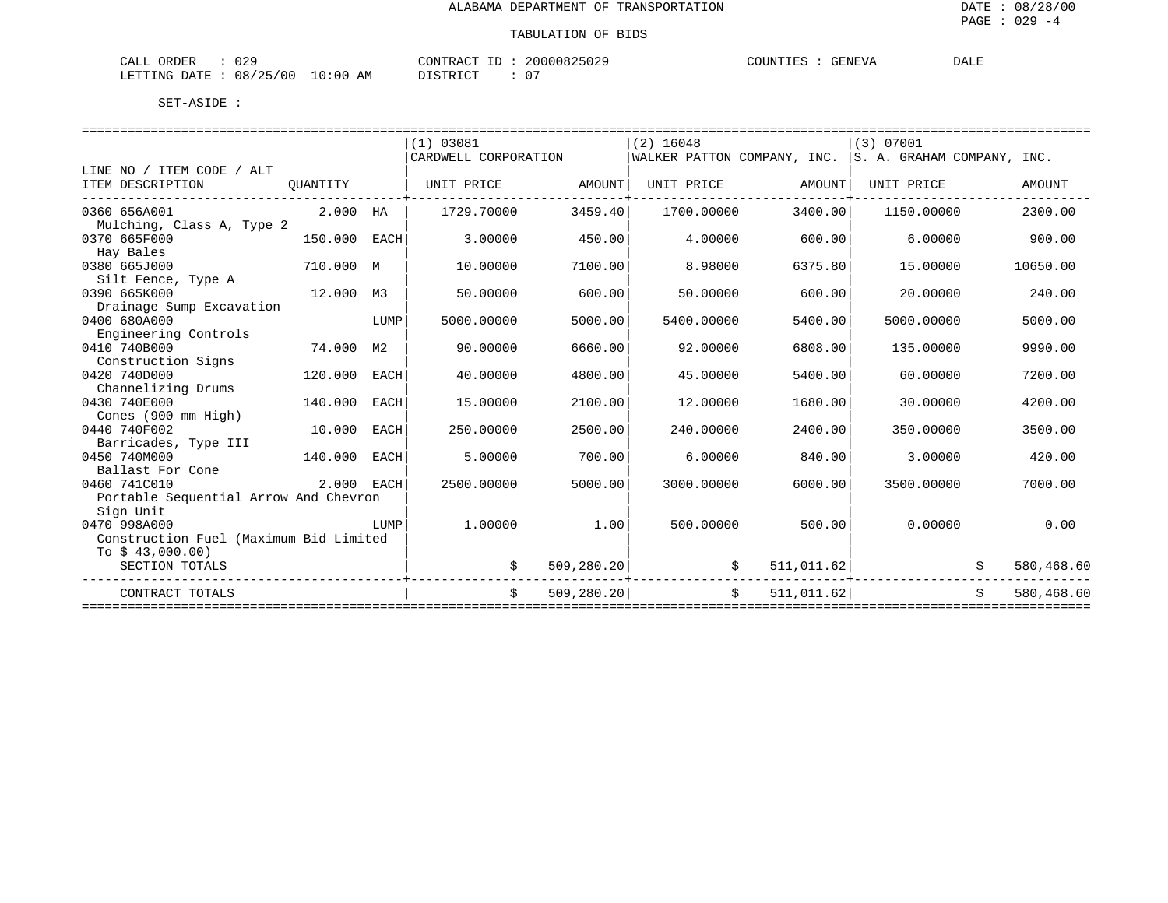| $\sim$<br>$\sim$ nnn<br>$\cdots$<br>. ≀ ⊷<br>אהר<br>しムン<br>سمہ                                                                                                                                                 | $\sim$ התחדרה $\sim$<br>$\sim$ $\sim$ | GENEVA | DALE |
|----------------------------------------------------------------------------------------------------------------------------------------------------------------------------------------------------------------|---------------------------------------|--------|------|
| 0 <sup>0</sup><br>$\sim$ $\sim$<br>08/<br>ΑM<br><b>Amr</b><br>$\div$ 0.0<br>.⊥NG-<br>้<br>.<br>the contract of the contract of the contract of the contract of the contract of the contract of the contract of | $\sim$<br>T OMN<br>$\mathbf{U}$       |        |      |

|                                        |            |             | (1) 03081                              |             | $(2)$ 16048 |                                                        | (3) 07001                |            |            |
|----------------------------------------|------------|-------------|----------------------------------------|-------------|-------------|--------------------------------------------------------|--------------------------|------------|------------|
|                                        |            |             | CARDWELL CORPORATION                   |             |             | WALKER PATTON COMPANY, INC. S. A. GRAHAM COMPANY, INC. |                          |            |            |
| LINE NO / ITEM CODE / ALT              |            |             |                                        |             |             |                                                        |                          |            |            |
| ITEM DESCRIPTION                       | QUANTITY   |             | UNIT PRICE                             | AMOUNT      | UNIT PRICE  | AMOUNT                                                 | UNIT PRICE               |            | AMOUNT     |
| 0360 656A001                           | 2.000 HA   |             | 1729.70000                             | 3459.40     | 1700.00000  | 3400.00                                                | 1150.00000               |            | 2300.00    |
| Mulching, Class A, Type 2              |            |             |                                        |             |             |                                                        |                          |            |            |
| 0370 665F000                           | 150.000    | EACH        | 3.00000                                | 450.00      | 4.00000     | 600.00                                                 | 6.00000                  |            | 900.00     |
| Hay Bales                              |            |             |                                        |             |             |                                                        |                          |            |            |
| 0380 665J000                           | 710.000 M  |             | 10.00000                               | 7100.00     | 8,98000     | 6375.80                                                | 15,00000                 |            | 10650.00   |
| Silt Fence, Type A                     |            |             |                                        |             |             |                                                        |                          |            |            |
| 0390 665K000                           | 12.000 M3  |             | 50.00000                               | 600.00      | 50.00000    | 600.00                                                 | 20,00000                 |            | 240.00     |
| Drainage Sump Excavation               |            |             |                                        |             |             |                                                        |                          |            |            |
| 0400 680A000                           |            | LUMP        | 5000.00000                             | 5000.00     | 5400.00000  | 5400.00                                                | 5000.00000               |            | 5000.00    |
| Engineering Controls                   |            |             |                                        |             |             |                                                        |                          |            |            |
| 0410 740B000                           | 74.000     | М2          | 90.00000                               | 6660.00     | 92.00000    | 6808.00                                                | 135.00000                |            | 9990.00    |
| Construction Signs                     |            |             |                                        |             |             |                                                        |                          |            |            |
| 0420 740D000                           | 120.000    | <b>EACH</b> | 40.00000                               | 4800.00     | 45.00000    | 5400.00                                                | 60.00000                 |            | 7200.00    |
| Channelizing Drums                     |            |             |                                        |             |             |                                                        |                          |            |            |
| 0430 740E000                           | 140.000    | EACH        | 15.00000                               | 2100.00     | 12.00000    | 1680.00                                                | 30.00000                 |            | 4200.00    |
| Cones (900 mm High)                    |            |             |                                        |             |             |                                                        |                          |            |            |
| 0440 740F002                           | 10.000     | EACH        | 250.00000                              | 2500.00     | 240.00000   | 2400.00                                                | 350.00000                |            | 3500.00    |
| Barricades, Type III                   |            |             |                                        |             |             |                                                        |                          |            |            |
| 0450 740M000                           | 140.000    | EACH        | 5.00000                                | 700.00      | 6.00000     | 840.00                                                 | 3.00000                  |            | 420.00     |
| Ballast For Cone                       |            |             |                                        |             |             |                                                        |                          |            |            |
| 0460 741C010                           | 2.000 EACH |             | 2500.00000                             | 5000.00     | 3000.00000  | 6000.00                                                | 3500.00000               |            | 7000.00    |
| Portable Sequential Arrow And Chevron  |            |             |                                        |             |             |                                                        |                          |            |            |
| Sign Unit                              |            |             |                                        |             |             |                                                        |                          |            |            |
| 0470 998A000                           |            | LUMP        | 1,00000                                | 1.00        | 500.00000   | 500.00                                                 | 0.00000                  |            | 0.00       |
| Construction Fuel (Maximum Bid Limited |            |             |                                        |             |             |                                                        |                          |            |            |
| To $$43,000.00)$                       |            |             |                                        |             |             |                                                        |                          |            |            |
| SECTION TOTALS                         |            |             | -------------------------------------- | 509, 280.20 |             | 511,011.62<br>\$                                       |                          | \$         | 580,468.60 |
| CONTRACT TOTALS                        |            |             | \$                                     | 509, 280.20 |             | $\ddot{s}$<br>511,011.62                               |                          | $\ddot{s}$ | 580,468.60 |
|                                        |            |             |                                        |             |             |                                                        | ======================== |            |            |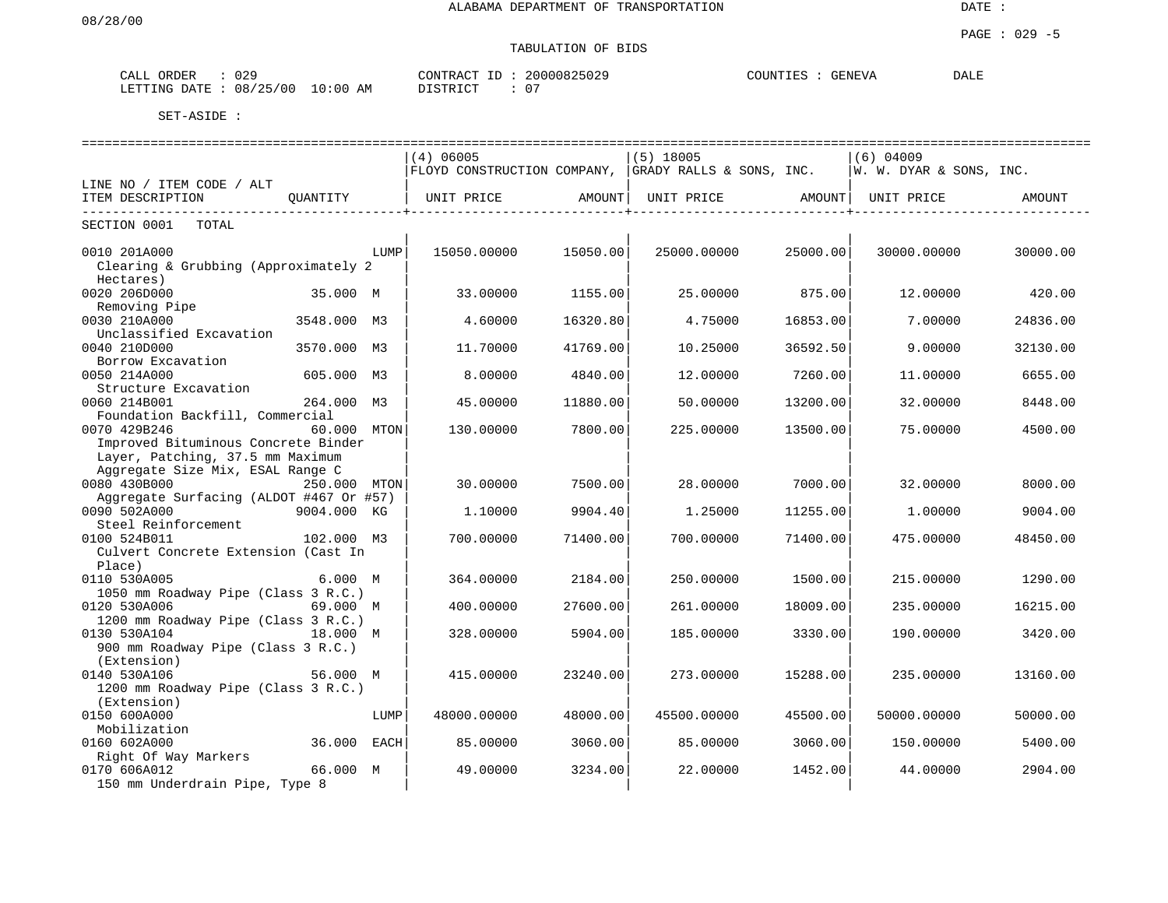| 029                        | 20000825029          | COUNTIES : | DALE |
|----------------------------|----------------------|------------|------|
| CALL ORDER                 | CONTRACT ID          | GENEVA     |      |
| : 08/25/00<br>LETTING DATE | 10:00 AM<br>DISTRICT |            |      |

|                                         | =============================== |      |             |          |                                                          |          |                         |          |  |  |
|-----------------------------------------|---------------------------------|------|-------------|----------|----------------------------------------------------------|----------|-------------------------|----------|--|--|
|                                         |                                 |      | $(4)$ 06005 |          | $(5)$ 18005                                              |          | $(6)$ 04009             |          |  |  |
|                                         |                                 |      |             |          | FLOYD CONSTRUCTION COMPANY, $ $ GRADY RALLS & SONS, INC. |          | W. W. DYAR & SONS, INC. |          |  |  |
| LINE NO / ITEM CODE / ALT               |                                 |      |             |          |                                                          |          |                         |          |  |  |
| ITEM DESCRIPTION                        | OUANTITY                        |      | UNIT PRICE  | AMOUNT   | UNIT PRICE                                               | AMOUNT   | UNIT PRICE              | AMOUNT   |  |  |
| TOTAL<br>SECTION 0001                   |                                 |      |             |          |                                                          |          |                         |          |  |  |
| 0010 201A000                            |                                 | LUMP | 15050.00000 | 15050.00 | 25000.00000                                              | 25000.00 | 30000.00000             | 30000.00 |  |  |
| Clearing & Grubbing (Approximately 2    |                                 |      |             |          |                                                          |          |                         |          |  |  |
| Hectares)                               |                                 |      |             |          |                                                          |          |                         |          |  |  |
| 0020 206D000                            | 35.000 M                        |      | 33.00000    | 1155.00  | 25.00000                                                 | 875.00   | 12,00000                | 420.00   |  |  |
| Removing Pipe                           |                                 |      |             |          |                                                          |          |                         |          |  |  |
| 0030 210A000                            | 3548.000 M3                     |      | 4.60000     | 16320.80 | 4.75000                                                  | 16853.00 | 7.00000                 | 24836.00 |  |  |
| Unclassified Excavation                 |                                 |      |             |          |                                                          |          |                         |          |  |  |
| 0040 210D000                            | 3570.000                        | M3   | 11.70000    | 41769.00 | 10.25000                                                 | 36592.50 | 9.00000                 | 32130.00 |  |  |
| Borrow Excavation                       |                                 |      |             |          |                                                          |          |                         |          |  |  |
| 0050 214A000                            | 605.000 M3                      |      | 8.00000     | 4840.00  | 12.00000                                                 | 7260.00  | 11,00000                | 6655.00  |  |  |
| Structure Excavation                    |                                 |      |             |          |                                                          |          |                         |          |  |  |
| 0060 214B001                            | 264.000 M3                      |      | 45.00000    | 11880.00 | 50.00000                                                 | 13200.00 | 32.00000                | 8448.00  |  |  |
| Foundation Backfill, Commercial         |                                 |      |             |          |                                                          |          |                         |          |  |  |
| 0070 429B246                            | 60.000 MTON                     |      | 130.00000   | 7800.00  | 225.00000                                                | 13500.00 | 75.00000                | 4500.00  |  |  |
| Improved Bituminous Concrete Binder     |                                 |      |             |          |                                                          |          |                         |          |  |  |
| Layer, Patching, 37.5 mm Maximum        |                                 |      |             |          |                                                          |          |                         |          |  |  |
| Aggregate Size Mix, ESAL Range C        |                                 |      |             |          |                                                          |          |                         |          |  |  |
| 0080 430B000                            | 250.000 MTON                    |      | 30.00000    | 7500.00  | 28.00000                                                 | 7000.00  | 32.00000                | 8000.00  |  |  |
| Aggregate Surfacing (ALDOT #467 Or #57) |                                 |      |             |          |                                                          |          |                         |          |  |  |
| 0090 502A000                            | 9004.000 KG                     |      | 1,10000     | 9904.40  | 1.25000                                                  | 11255.00 | 1,00000                 | 9004.00  |  |  |
| Steel Reinforcement                     |                                 |      |             |          |                                                          |          |                         |          |  |  |
| 0100 524B011                            | 102.000 M3                      |      | 700.00000   | 71400.00 | 700.00000                                                | 71400.00 | 475.00000               | 48450.00 |  |  |
| Culvert Concrete Extension (Cast In     |                                 |      |             |          |                                                          |          |                         |          |  |  |
| Place)                                  |                                 |      |             |          |                                                          |          |                         |          |  |  |
| 0110 530A005                            | 6.000 M                         |      | 364.00000   | 2184.00  | 250.00000                                                | 1500.00  | 215,00000               | 1290.00  |  |  |
| 1050 mm Roadway Pipe (Class 3 R.C.)     |                                 |      |             |          |                                                          |          |                         |          |  |  |
| 0120 530A006                            | 69.000 M                        |      | 400.00000   | 27600.00 | 261.00000                                                | 18009.00 | 235.00000               | 16215.00 |  |  |
| 1200 mm Roadway Pipe (Class 3 R.C.)     |                                 |      |             |          |                                                          |          |                         |          |  |  |
| 0130 530A104                            | 18.000 M                        |      | 328.00000   | 5904.00  | 185.00000                                                | 3330.00  | 190.00000               | 3420.00  |  |  |
| 900 mm Roadway Pipe (Class 3 R.C.)      |                                 |      |             |          |                                                          |          |                         |          |  |  |
|                                         |                                 |      |             |          |                                                          |          |                         |          |  |  |
| (Extension)                             |                                 |      |             |          |                                                          |          |                         |          |  |  |
| 0140 530A106                            | 56.000 M                        |      | 415.00000   | 23240.00 | 273.00000                                                | 15288.00 | 235.00000               | 13160.00 |  |  |
| 1200 mm Roadway Pipe (Class 3 R.C.)     |                                 |      |             |          |                                                          |          |                         |          |  |  |
| (Extension)                             |                                 |      |             |          |                                                          |          |                         |          |  |  |
| 0150 600A000                            |                                 | LUMP | 48000.00000 | 48000.00 | 45500.00000                                              | 45500.00 | 50000.00000             | 50000.00 |  |  |
| Mobilization                            |                                 |      |             |          |                                                          |          |                         |          |  |  |
| 0160 602A000                            | 36.000                          | EACH | 85.00000    | 3060.00  | 85.00000                                                 | 3060.00  | 150.00000               | 5400.00  |  |  |
| Right Of Way Markers                    |                                 |      |             |          |                                                          |          |                         |          |  |  |
| 0170 606A012                            | 66.000 M                        |      | 49.00000    | 3234.00  | 22.00000                                                 | 1452.00  | 44.00000                | 2904.00  |  |  |
| 150 mm Underdrain Pipe, Type 8          |                                 |      |             |          |                                                          |          |                         |          |  |  |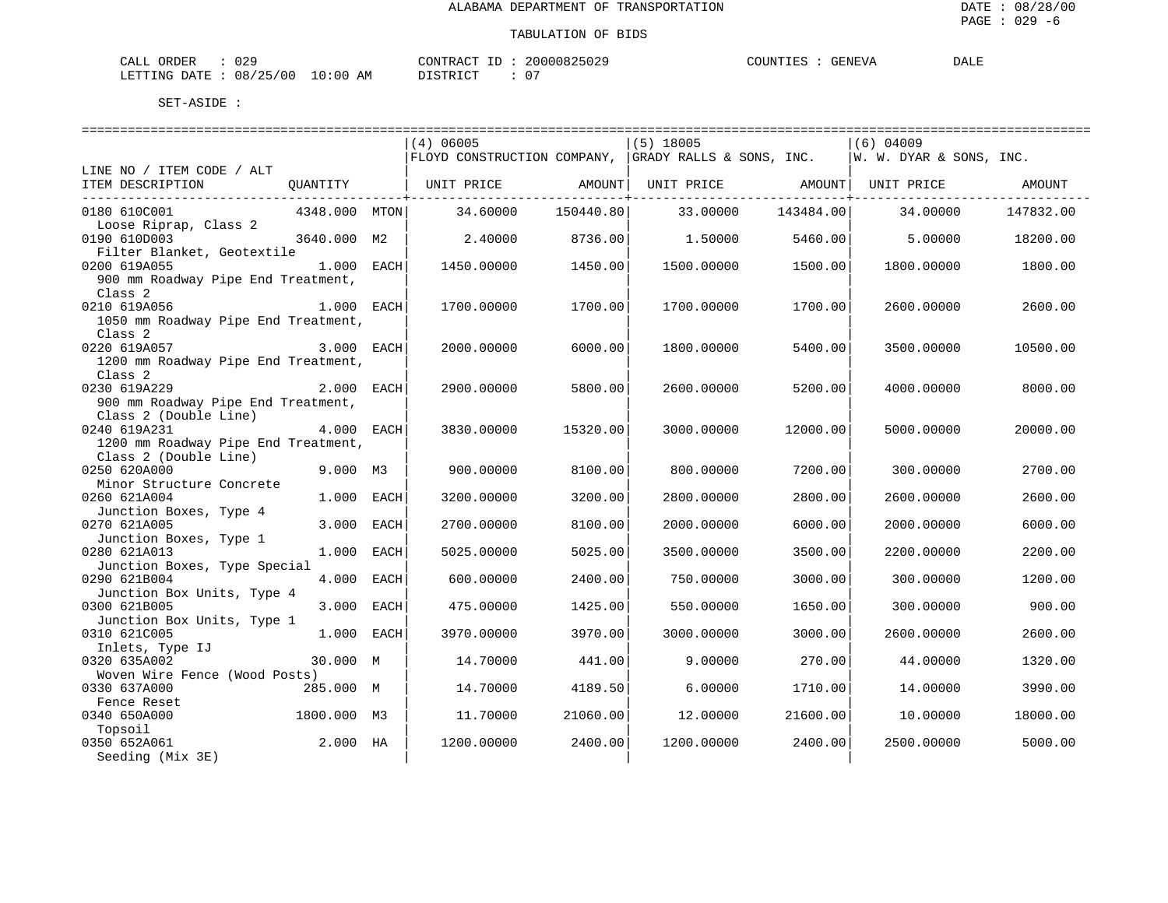| 029<br>CALL ORDER                  | 20000825029<br>CONTRACT ID: | COUNTIES :<br>GENEVA | <b>DALE</b> |
|------------------------------------|-----------------------------|----------------------|-------------|
| LETTING DATE: 08/25/00<br>10:00 AM | 07<br>DISTRICT              |                      |             |

|                                                                                  |               | (4) 06005                   |                        | $(5)$ 18005              |           | (6) 04009                   |           |
|----------------------------------------------------------------------------------|---------------|-----------------------------|------------------------|--------------------------|-----------|-----------------------------|-----------|
|                                                                                  |               | FLOYD CONSTRUCTION COMPANY, |                        | GRADY RALLS & SONS, INC. |           | $ W. W. DYAR \&$ SONS, INC. |           |
| LINE NO / ITEM CODE / ALT                                                        |               |                             |                        |                          |           |                             |           |
| ITEM DESCRIPTION                                                                 | OUANTITY      | UNIT PRICE AMOUNT           | ----------------+----- | UNIT PRICE AMOUNT        |           | UNIT PRICE                  | AMOUNT    |
| 0180 610C001<br>Loose Riprap, Class 2                                            | 4348.000 MTON | 34.60000                    | 150440.80              | 33.00000                 | 143484.00 | 34.00000                    | 147832.00 |
| 0190 610D003                                                                     | 3640.000 M2   | 2.40000                     | 8736.00                | 1.50000                  | 5460.00   | 5.00000                     | 18200.00  |
| Filter Blanket, Geotextile<br>0200 619A055<br>900 mm Roadway Pipe End Treatment, | $1.000$ EACH  | 1450.00000                  | 1450.00                | 1500.00000               | 1500.00   | 1800.00000                  | 1800.00   |
| Class <sub>2</sub>                                                               |               |                             |                        |                          |           |                             |           |
| 0210 619A056<br>1050 mm Roadway Pipe End Treatment,                              | 1.000 EACH    | 1700.00000                  | 1700.00                | 1700.00000               | 1700.00   | 2600.00000                  | 2600.00   |
| Class <sub>2</sub><br>0220 619A057                                               | 3.000 EACH    | 2000.00000                  | 6000.00                | 1800.00000               | 5400.00   | 3500.00000                  | 10500.00  |
| 1200 mm Roadway Pipe End Treatment,<br>Class 2                                   |               |                             |                        |                          |           |                             |           |
| 0230 619A229<br>900 mm Roadway Pipe End Treatment,                               | 2.000 EACH    | 2900.00000                  | 5800.00                | 2600.00000               | 5200.00   | 4000.00000                  | 8000.00   |
| Class 2 (Double Line)<br>0240 619A231<br>1200 mm Roadway Pipe End Treatment,     | 4.000 EACH    | 3830.00000                  | 15320.00               | 3000.00000               | 12000.00  | 5000.00000                  | 20000.00  |
| Class 2 (Double Line)                                                            |               |                             |                        |                          |           |                             |           |
| 0250 620A000<br>Minor Structure Concrete                                         | $9.000$ M3    | 900.00000                   | 8100.00                | 800.00000                | 7200.00   | 300.00000                   | 2700.00   |
| 0260 621A004                                                                     | 1.000 EACH    | 3200.00000                  | 3200.00                | 2800.00000               | 2800.00   | 2600.00000                  | 2600.00   |
| Junction Boxes, Type 4<br>0270 621A005                                           | 3.000 EACH    | 2700.00000                  | 8100.00                | 2000.00000               | 6000.00   | 2000.00000                  | 6000.00   |
| Junction Boxes, Type 1<br>0280 621A013                                           | 1.000 EACH    | 5025.00000                  | 5025.00                | 3500.00000               | 3500.00   | 2200.00000                  | 2200.00   |
| Junction Boxes, Type Special<br>0290 621B004                                     | 4.000 EACH    | 600.00000                   | 2400.00                | 750.00000                | 3000.00   | 300.00000                   | 1200.00   |
| Junction Box Units, Type 4<br>0300 621B005                                       | 3.000 EACH    | 475.00000                   | 1425.00                | 550.00000                | 1650.00   | 300.00000                   | 900.00    |
| Junction Box Units, Type 1                                                       |               |                             |                        |                          |           |                             |           |
| 0310 621C005<br>Inlets, Type IJ                                                  | 1.000 EACH    | 3970.00000                  | 3970.00                | 3000.00000               | 3000.00   | 2600.00000                  | 2600.00   |
| 0320 635A002<br>Woven Wire Fence (Wood Posts)                                    | 30.000 M      | 14.70000                    | 441.00                 | 9.00000                  | 270.00    | 44.00000                    | 1320.00   |
| 0330 637A000                                                                     | 285.000 M     | 14.70000                    | 4189.50                | 6.00000                  | 1710.00   | 14.00000                    | 3990.00   |
| Fence Reset                                                                      |               |                             |                        |                          |           |                             |           |
| 0340 650A000                                                                     | 1800.000 M3   | 11,70000                    | 21060.00               | 12,00000                 | 21600.00  | 10.00000                    | 18000.00  |
| Topsoil<br>0350 652A061                                                          | 2.000 HA      | 1200.00000                  | 2400.00                | 1200.00000               | 2400.00   | 2500.00000                  | 5000.00   |
| Seeding (Mix 3E)                                                                 |               |                             |                        |                          |           |                             |           |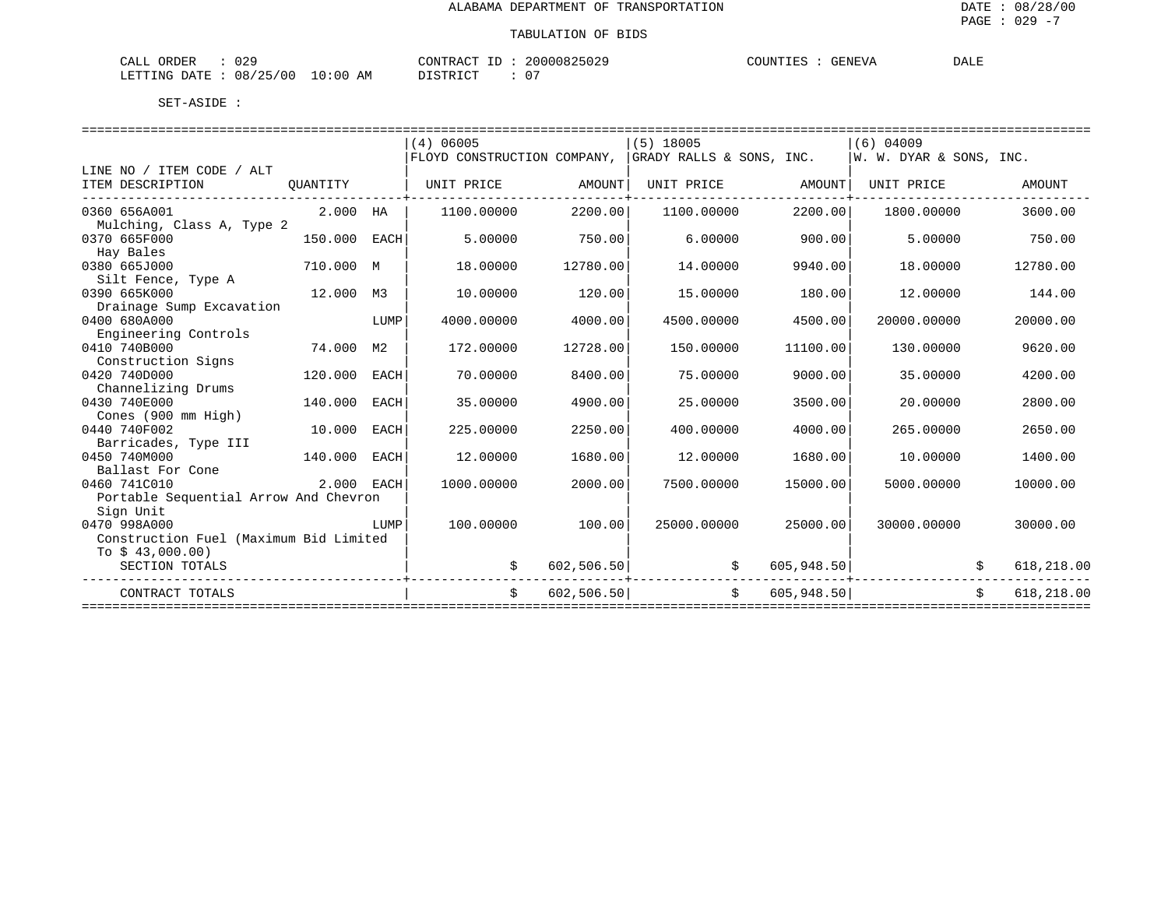| 029<br>CALL ORDER                  | CONTRACT ID: 20000825029 | COUNTIES :<br>GENEVA | DALE |
|------------------------------------|--------------------------|----------------------|------|
| LETTING DATE: 08/25/00<br>10:00 AM | DISTRICT<br>$0-$         |                      |      |

|                                        |            |                | (4) 06005                   |            | $(5)$ 18005              |            | $(6)$ 04009             |            |
|----------------------------------------|------------|----------------|-----------------------------|------------|--------------------------|------------|-------------------------|------------|
|                                        |            |                | FLOYD CONSTRUCTION COMPANY, |            | GRADY RALLS & SONS, INC. |            | W. W. DYAR & SONS, INC. |            |
| LINE NO / ITEM CODE / ALT              |            |                |                             |            |                          |            |                         |            |
| ITEM DESCRIPTION                       | OUANTITY   |                | UNIT PRICE                  | AMOUNT     | UNIT PRICE               | AMOUNT     | UNIT PRICE              | AMOUNT     |
| 0360 656A001                           | 2.000 HA   |                | 1100.00000                  | 2200.00    | 1100.00000               | 2200.00    | 1800,00000              | 3600.00    |
| Mulching, Class A, Type 2              |            |                |                             |            |                          |            |                         |            |
| 0370 665F000                           | 150.000    | EACH           | 5.00000                     | 750.00     | 6.00000                  | 900.00     | 5,00000                 | 750.00     |
| Hay Bales                              |            |                |                             |            |                          |            |                         |            |
| 0380 665J000                           | 710.000 M  |                | 18.00000                    | 12780.00   | 14.00000                 | 9940.00    | 18.00000                | 12780.00   |
| Silt Fence, Type A                     |            |                |                             |            |                          |            |                         |            |
| 0390 665K000                           | 12.000     | M <sub>3</sub> | 10.00000                    | 120.00     | 15.00000                 | 180.00     | 12.00000                | 144.00     |
| Drainage Sump Excavation               |            |                |                             |            |                          |            |                         |            |
| 0400 680A000                           |            | LUMP           | 4000.00000                  | 4000.00    | 4500.00000               | 4500.00    | 20000.00000             | 20000.00   |
| Engineering Controls                   |            |                |                             |            |                          |            |                         |            |
| 0410 740B000                           | 74.000     | М2             | 172.00000                   | 12728.00   | 150.00000                | 11100.00   | 130.00000               | 9620.00    |
| Construction Signs                     |            |                |                             |            |                          |            |                         |            |
| 0420 740D000                           | 120,000    | <b>EACH</b>    | 70.00000                    | 8400.00    | 75.00000                 | 9000.00    | 35,00000                | 4200.00    |
| Channelizing Drums                     |            |                |                             |            |                          |            |                         |            |
| 0430 740E000                           | 140.000    | EACH           | 35.00000                    | 4900.00    | 25.00000                 | 3500.00    | 20,00000                | 2800.00    |
| Cones (900 mm High)                    |            |                |                             |            |                          |            |                         |            |
| 0440 740F002                           | 10.000     | EACH           | 225.00000                   | 2250.00    | 400.00000                | 4000.00    | 265,00000               | 2650.00    |
| Barricades, Type III                   |            |                |                             |            |                          |            |                         |            |
| 0450 740M000                           | 140.000    | EACH           | 12,00000                    | 1680.00    | 12,00000                 | 1680.00    | 10.00000                | 1400.00    |
| Ballast For Cone<br>0460 741C010       | 2.000 EACH |                | 1000.00000                  | 2000.00    | 7500.00000               | 15000.00   | 5000.00000              | 10000.00   |
| Portable Sequential Arrow And Chevron  |            |                |                             |            |                          |            |                         |            |
| Sign Unit                              |            |                |                             |            |                          |            |                         |            |
| 0470 998A000                           |            | LUMP           | 100.00000                   | 100.00     | 25000.00000              | 25000.00   | 30000.00000             | 30000.00   |
| Construction Fuel (Maximum Bid Limited |            |                |                             |            |                          |            |                         |            |
| To $$43,000.00)$                       |            |                |                             |            |                          |            |                         |            |
| SECTION TOTALS                         |            |                |                             | 602,506.50 | \$                       | 605,948.50 |                         | 618,218.00 |
| CONTRACT TOTALS                        |            |                | Ŝ.                          | 602,506.50 | $\ddot{s}$               | 605,948.50 |                         | 618,218.00 |
|                                        |            |                |                             |            |                          |            |                         |            |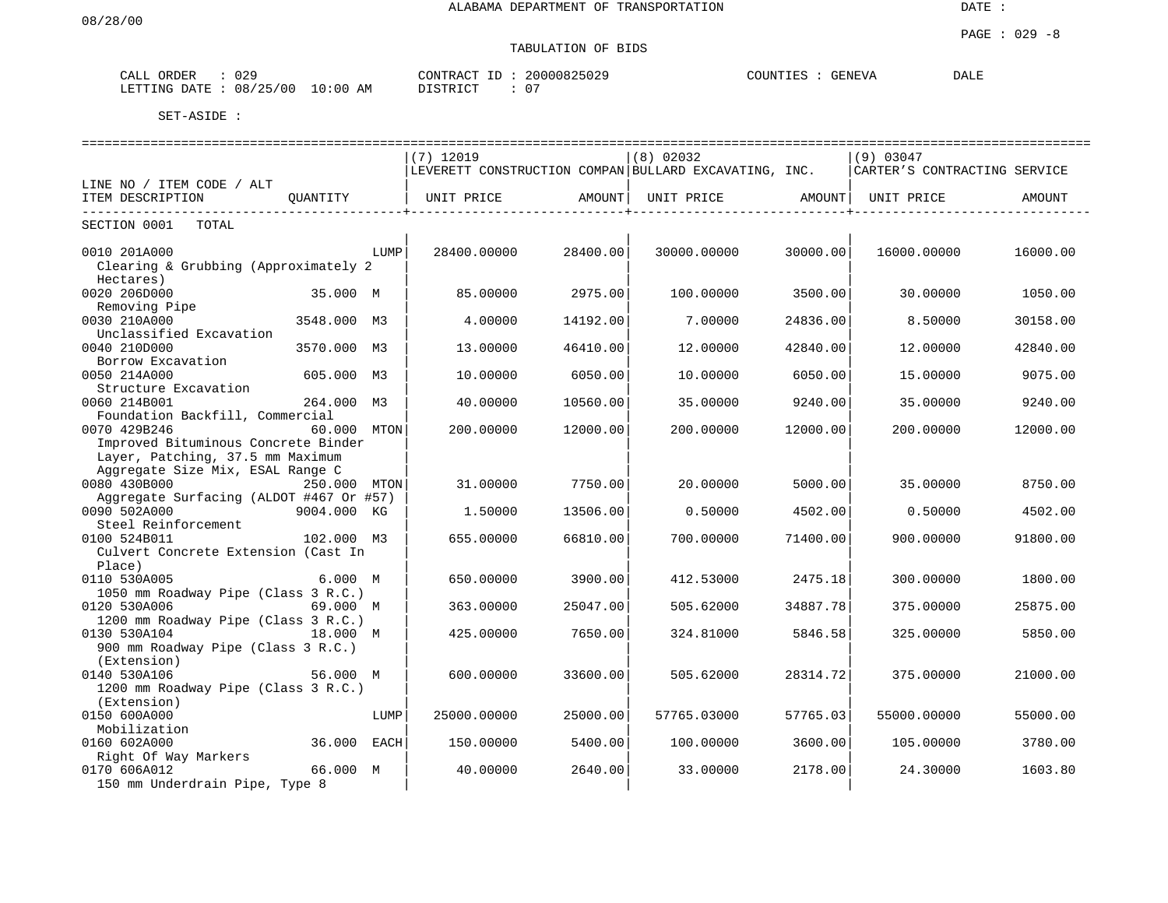| 029<br>CALL ORDER          |            | CONTRACT ID | 20000825029 | COUNTIES | <b>GENEVA</b> | DALE |
|----------------------------|------------|-------------|-------------|----------|---------------|------|
| : 08/25/00<br>LETTING DATE | $10:00$ AM | DISTRICT    |             |          |               |      |

|                                                      |              |      | ============================== |          | ==============================                        |          | ---------------------------------- |          |
|------------------------------------------------------|--------------|------|--------------------------------|----------|-------------------------------------------------------|----------|------------------------------------|----------|
|                                                      |              |      | $(7)$ 12019                    |          | (8) 02032                                             |          | (9) 03047                          |          |
|                                                      |              |      |                                |          | LEVERETT CONSTRUCTION COMPAN BULLARD EXCAVATING, INC. |          | CARTER'S CONTRACTING SERVICE       |          |
| LINE NO / ITEM CODE / ALT                            |              |      |                                |          |                                                       |          |                                    |          |
| ITEM DESCRIPTION                                     | OUANTITY     |      | UNIT PRICE                     | AMOUNT   | UNIT PRICE                                            | AMOUNT   | UNIT PRICE                         | AMOUNT   |
| SECTION 0001<br>TOTAL                                |              |      |                                |          |                                                       |          |                                    |          |
|                                                      |              | LUMP |                                |          |                                                       | 30000.00 |                                    |          |
| 0010 201A000<br>Clearing & Grubbing (Approximately 2 |              |      | 28400.00000                    | 28400.00 | 30000.00000                                           |          | 16000.00000                        | 16000.00 |
| Hectares)                                            |              |      |                                |          |                                                       |          |                                    |          |
| 0020 206D000                                         | 35.000 M     |      | 85.00000                       | 2975.00  | 100.00000                                             | 3500.00  | 30.00000                           | 1050.00  |
| Removing Pipe                                        |              |      |                                |          |                                                       |          |                                    |          |
| 0030 210A000                                         | 3548.000 M3  |      | 4.00000                        | 14192.00 | 7.00000                                               | 24836.00 | 8.50000                            |          |
| Unclassified Excavation                              |              |      |                                |          |                                                       |          |                                    | 30158.00 |
| 0040 210D000                                         |              |      |                                |          |                                                       |          |                                    |          |
|                                                      | 3570.000     | М3   | 13.00000                       | 46410.00 | 12.00000                                              | 42840.00 | 12.00000                           | 42840.00 |
| Borrow Excavation                                    |              |      |                                |          |                                                       |          |                                    |          |
| 0050 214A000                                         | 605.000 M3   |      | 10.00000                       | 6050.00  | 10.00000                                              | 6050.00  | 15.00000                           | 9075.00  |
| Structure Excavation                                 |              |      |                                |          |                                                       |          |                                    |          |
| 0060 214B001                                         | 264.000 M3   |      | 40.00000                       | 10560.00 | 35.00000                                              | 9240.00  | 35.00000                           | 9240.00  |
| Foundation Backfill, Commercial                      |              |      |                                |          |                                                       |          |                                    |          |
| 0070 429B246                                         | 60.000 MTON  |      | 200.00000                      | 12000.00 | 200.00000                                             | 12000.00 | 200.00000                          | 12000.00 |
| Improved Bituminous Concrete Binder                  |              |      |                                |          |                                                       |          |                                    |          |
| Layer, Patching, 37.5 mm Maximum                     |              |      |                                |          |                                                       |          |                                    |          |
| Aggregate Size Mix, ESAL Range C                     |              |      |                                |          |                                                       |          |                                    |          |
| 0080 430B000                                         | 250.000 MTON |      | 31.00000                       | 7750.00  | 20,00000                                              | 5000.00  | 35,00000                           | 8750.00  |
| Aggregate Surfacing (ALDOT #467 Or #57)              |              |      |                                |          |                                                       |          |                                    |          |
| 0090 502A000                                         | 9004.000 KG  |      | 1.50000                        | 13506.00 | 0.50000                                               | 4502.00  | 0.50000                            | 4502.00  |
| Steel Reinforcement                                  |              |      |                                |          |                                                       |          |                                    |          |
| 0100 524B011                                         | 102.000 M3   |      | 655.00000                      | 66810.00 | 700.00000                                             | 71400.00 | 900.00000                          | 91800.00 |
| Culvert Concrete Extension (Cast In                  |              |      |                                |          |                                                       |          |                                    |          |
| Place)                                               |              |      |                                |          |                                                       |          |                                    |          |
| 0110 530A005                                         | 6.000 M      |      | 650.00000                      | 3900.00  | 412.53000                                             | 2475.18  | 300.00000                          | 1800.00  |
| 1050 mm Roadway Pipe (Class 3 R.C.)                  |              |      |                                |          |                                                       |          |                                    |          |
| 0120 530A006                                         | 69.000 M     |      | 363.00000                      | 25047.00 | 505.62000                                             | 34887.78 | 375.00000                          | 25875.00 |
| 1200 mm Roadway Pipe (Class 3 R.C.)                  |              |      |                                |          |                                                       |          |                                    |          |
| 0130 530A104                                         | 18.000 M     |      | 425.00000                      | 7650.00  | 324.81000                                             | 5846.58  | 325.00000                          | 5850.00  |
| 900 mm Roadway Pipe (Class 3 R.C.)                   |              |      |                                |          |                                                       |          |                                    |          |
| (Extension)                                          |              |      |                                |          |                                                       |          |                                    |          |
| 0140 530A106                                         | 56.000 M     |      | 600.00000                      | 33600.00 | 505.62000                                             | 28314.72 | 375.00000                          | 21000.00 |
| 1200 mm Roadway Pipe (Class 3 R.C.)                  |              |      |                                |          |                                                       |          |                                    |          |
| (Extension)                                          |              |      |                                |          |                                                       |          |                                    |          |
| 0150 600A000                                         |              | LUMP | 25000.00000                    | 25000.00 | 57765.03000                                           | 57765.03 | 55000.00000                        | 55000.00 |
| Mobilization                                         |              |      |                                |          |                                                       |          |                                    |          |
| 0160 602A000                                         | 36.000       | EACH | 150.00000                      | 5400.00  | 100.00000                                             | 3600.00  | 105.00000                          | 3780.00  |
| Right Of Way Markers                                 |              |      |                                |          |                                                       |          |                                    |          |
| 0170 606A012                                         | 66.000 M     |      | 40.00000                       | 2640.00  | 33.00000                                              | 2178.00  | 24.30000                           | 1603.80  |
| 150 mm Underdrain Pipe, Type 8                       |              |      |                                |          |                                                       |          |                                    |          |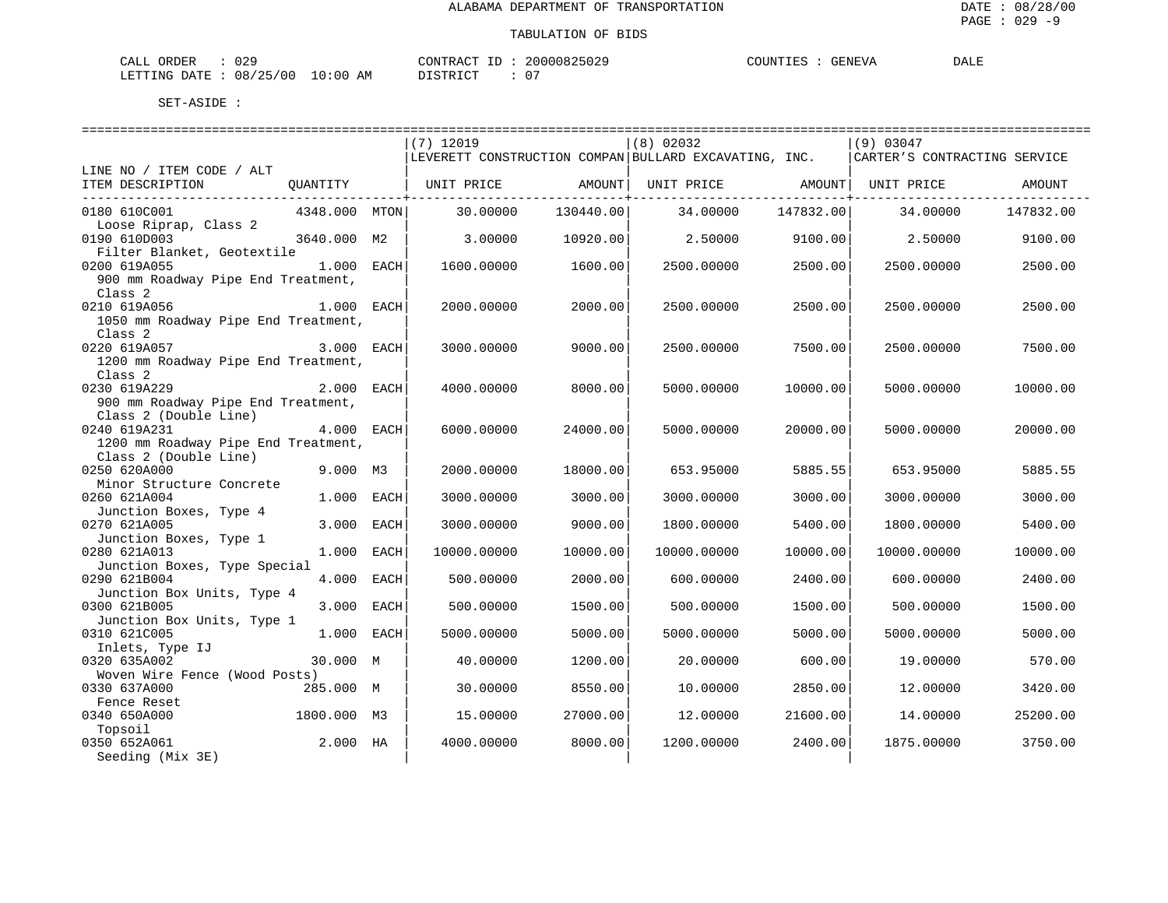DALE

#### TABULATION OF BIDS

| CALL    | ORDER | $\cap$ $\cap$ $\cap$<br>U 45 |             | CONTRACT<br>$ -$                         | 2000082502             | COUNTIE: | <b>TENEVA</b><br>$\cdot$ $\cdot$ $\cdot$ | DALE |
|---------|-------|------------------------------|-------------|------------------------------------------|------------------------|----------|------------------------------------------|------|
| LETTING | חים מ | 08/25/00                     | 10:00<br>AМ | 570 <del>m</del> 570 <del>m</del><br>้ ⊷ | $\sim$<br>$\mathbf{u}$ |          |                                          |      |

|                                                              |               |      | $(7)$ 12019 |           | $(8)$ 02032<br>LEVERETT CONSTRUCTION COMPAN BULLARD EXCAVATING, INC. |           | (9) 03047<br>CARTER'S CONTRACTING SERVICE |           |
|--------------------------------------------------------------|---------------|------|-------------|-----------|----------------------------------------------------------------------|-----------|-------------------------------------------|-----------|
| LINE NO / ITEM CODE / ALT                                    |               |      |             |           |                                                                      |           |                                           |           |
| ITEM DESCRIPTION                                             | QUANTITY      |      | UNIT PRICE  | AMOUNT    | UNIT PRICE                                                           | AMOUNT    | UNIT PRICE                                | AMOUNT    |
| 0180 610C001                                                 | 4348.000 MTON |      | 30,00000    | 130440.00 | 34.00000                                                             | 147832.00 | 34,00000                                  | 147832.00 |
| Loose Riprap, Class 2<br>0190 610D003                        | 3640.000      | M2   | 3.00000     | 10920.00  | 2.50000                                                              | 9100.00   | 2.50000                                   | 9100.00   |
| Filter Blanket, Geotextile<br>0200 619A055                   | 1.000         | EACH | 1600.00000  | 1600.00   | 2500.00000                                                           | 2500.00   | 2500.00000                                | 2500.00   |
| 900 mm Roadway Pipe End Treatment,<br>Class <sub>2</sub>     |               |      |             |           |                                                                      |           |                                           |           |
| 0210 619A056                                                 | $1.000$ EACH  |      | 2000.00000  | 2000.00   | 2500.00000                                                           | 2500.00   | 2500.00000                                | 2500.00   |
| 1050 mm Roadway Pipe End Treatment,<br>Class <sub>2</sub>    |               |      |             |           |                                                                      |           |                                           |           |
| 0220 619A057<br>1200 mm Roadway Pipe End Treatment,          | 3.000 EACH    |      | 3000.00000  | 9000.00   | 2500.00000                                                           | 7500.00   | 2500.00000                                | 7500.00   |
| Class <sub>2</sub><br>0230 619A229                           | 2.000 EACH    |      | 4000.00000  | 8000.00   | 5000.00000                                                           | 10000.00  | 5000.00000                                | 10000.00  |
| 900 mm Roadway Pipe End Treatment,                           |               |      |             |           |                                                                      |           |                                           |           |
| Class 2 (Double Line)<br>0240 619A231                        | 4.000 EACH    |      | 6000.00000  | 24000.00  | 5000.00000                                                           | 20000.00  | 5000.00000                                | 20000.00  |
| 1200 mm Roadway Pipe End Treatment,<br>Class 2 (Double Line) |               |      |             |           |                                                                      |           |                                           |           |
| 0250 620A000<br>Minor Structure Concrete                     | 9.000 M3      |      | 2000.00000  | 18000.00  | 653.95000                                                            | 5885.55   | 653.95000                                 | 5885.55   |
| 0260 621A004<br>Junction Boxes, Type 4                       | 1.000         | EACH | 3000.00000  | 3000.00   | 3000.00000                                                           | 3000.00   | 3000.00000                                | 3000.00   |
| 0270 621A005                                                 | 3.000 EACH    |      | 3000.00000  | 9000.00   | 1800.00000                                                           | 5400.00   | 1800.00000                                | 5400.00   |
| Junction Boxes, Type 1<br>0280 621A013                       | 1,000         | EACH | 10000.00000 | 10000.00  | 10000.00000                                                          | 10000.00  | 10000.00000                               | 10000.00  |
| Junction Boxes, Type Special<br>0290 621B004                 | 4.000         | EACH | 500.00000   | 2000.00   | 600.00000                                                            | 2400.00   | 600.00000                                 | 2400.00   |
| Junction Box Units, Type 4<br>0300 621B005                   | 3.000         | EACH | 500.00000   | 1500.00   | 500.00000                                                            | 1500.00   | 500.00000                                 | 1500.00   |
| Junction Box Units, Type 1<br>0310 621C005                   | 1.000         | EACH | 5000.00000  | 5000.00   | 5000.00000                                                           | 5000.00   | 5000.00000                                | 5000.00   |
| Inlets, Type IJ<br>0320 635A002                              | 30.000 M      |      | 40.00000    | 1200.00   | 20.00000                                                             | 600.00    | 19.00000                                  | 570.00    |
| Woven Wire Fence (Wood Posts)                                |               |      |             |           |                                                                      |           |                                           |           |
| 0330 637A000<br>Fence Reset                                  | 285.000 M     |      | 30.00000    | 8550.00   | 10,00000                                                             | 2850.00   | 12,00000                                  | 3420.00   |
| 0340 650A000<br>Topsoil                                      | 1800.000 M3   |      | 15.00000    | 27000.00  | 12.00000                                                             | 21600.00  | 14,00000                                  | 25200.00  |
| 0350 652A061<br>Seeding (Mix 3E)                             | 2.000         | НA   | 4000.00000  | 8000.00   | 1200.00000                                                           | 2400.00   | 1875.00000                                | 3750.00   |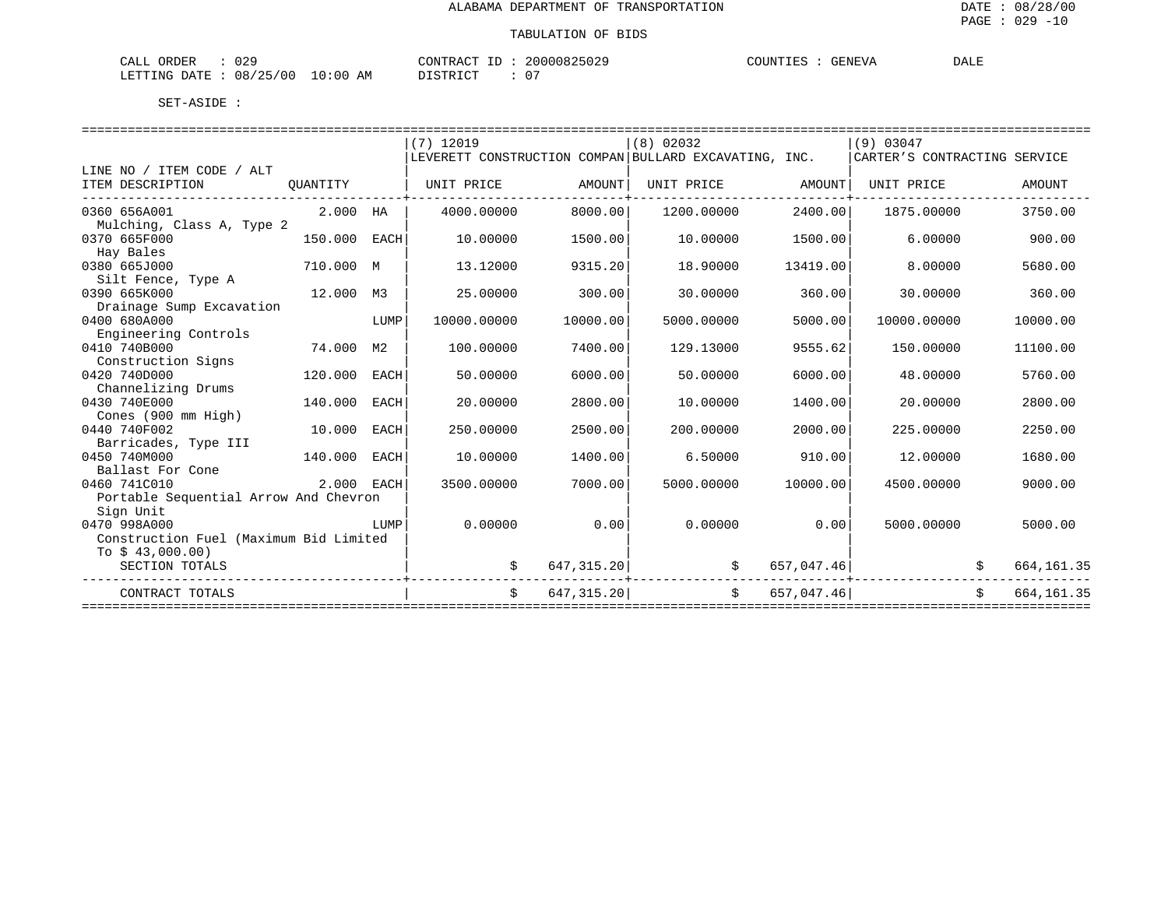| 029<br>CALL ORDER                     | CONTRACT ID: 20000825029 | COUNTIES<br>GENEVA | <b>DALE</b> |
|---------------------------------------|--------------------------|--------------------|-------------|
| LETTING DATE : 08/25/00<br>$10:00$ AM | 07<br>DISTRICT           |                    |             |

|                                        |                                       |                | $(7)$ 12019                                           |             | $(8)$ 02032  |               | (9) 03047                    |                   |
|----------------------------------------|---------------------------------------|----------------|-------------------------------------------------------|-------------|--------------|---------------|------------------------------|-------------------|
|                                        |                                       |                | LEVERETT CONSTRUCTION COMPAN BULLARD EXCAVATING, INC. |             |              |               | CARTER'S CONTRACTING SERVICE |                   |
| LINE NO / ITEM CODE / ALT              |                                       |                |                                                       |             |              |               |                              |                   |
| ITEM DESCRIPTION                       | OUANTITY                              |                | UNIT PRICE                                            | AMOUNT      | UNIT PRICE   | AMOUNT        | UNIT PRICE                   | AMOUNT            |
| 0360 656A001                           | 2.000 HA                              |                | 4000.00000                                            | 8000.00     | 1200.00000   | 2400.00       | 1875.00000                   | 3750.00           |
| Mulching, Class A, Type 2              |                                       |                |                                                       |             |              |               |                              |                   |
| 0370 665F000                           | 150.000                               | EACH           | 10.00000                                              | 1500.00     | 10.00000     | 1500.00       | 6.00000                      | 900.00            |
| Hay Bales                              |                                       |                |                                                       |             |              |               |                              |                   |
| 0380 665J000                           | 710.000 M                             |                | 13.12000                                              | 9315.20     | 18.90000     | 13419.00      | 8.00000                      | 5680.00           |
| Silt Fence, Type A                     |                                       |                |                                                       |             |              |               |                              |                   |
| 0390 665K000                           | 12.000                                | М3             | 25.00000                                              | 300.00      | 30.00000     | 360.00        | 30.00000                     | 360.00            |
| Drainage Sump Excavation               |                                       |                |                                                       |             |              |               |                              |                   |
| 0400 680A000                           |                                       | LUMP           | 10000.00000                                           | 10000.00    | 5000.00000   | 5000.00       | 10000.00000                  | 10000.00          |
| Engineering Controls                   |                                       |                |                                                       |             |              |               |                              |                   |
| 0410 740B000                           | 74.000                                | M <sub>2</sub> | 100.00000                                             | 7400.00     | 129.13000    | 9555.62       | 150.00000                    | 11100.00          |
| Construction Signs<br>0420 740D000     | 120.000                               | EACH           | 50.00000                                              | 6000.00     | 50.00000     | 6000.00       | 48.00000                     | 5760.00           |
| Channelizing Drums                     |                                       |                |                                                       |             |              |               |                              |                   |
| 0430 740E000                           | 140.000                               | EACH           | 20.00000                                              | 2800.00     | 10.00000     | 1400.00       | 20.00000                     | 2800.00           |
| Cones (900 mm High)                    |                                       |                |                                                       |             |              |               |                              |                   |
| 0440 740F002                           | 10.000                                | EACH           | 250.00000                                             | 2500.00     | 200.00000    | 2000.00       | 225.00000                    | 2250.00           |
| Barricades, Type III                   |                                       |                |                                                       |             |              |               |                              |                   |
| 0450 740M000                           | 140.000                               | EACH           | 10.00000                                              | 1400.00     | 6.50000      | 910.00        | 12.00000                     | 1680.00           |
| Ballast For Cone                       |                                       |                |                                                       |             |              |               |                              |                   |
| 0460 741C010                           | 2.000 EACH                            |                | 3500.00000                                            | 7000.00     | 5000.00000   | 10000.00      | 4500.00000                   | 9000.00           |
| Portable Sequential Arrow And Chevron  |                                       |                |                                                       |             |              |               |                              |                   |
| Sign Unit                              |                                       |                |                                                       |             |              |               |                              |                   |
| 0470 998A000                           |                                       | LUMP           | 0.00000                                               | 0.00        | 0.00000      | 0.00          | 5000.00000                   | 5000.00           |
| Construction Fuel (Maximum Bid Limited |                                       |                |                                                       |             |              |               |                              |                   |
| To $$43,000.00)$                       |                                       |                |                                                       |             |              |               |                              |                   |
| SECTION TOTALS                         |                                       |                |                                                       | 647, 315.20 | .            | 657,047.46    | +-----------------           | 664, 161.35       |
| CONTRACT TOTALS                        |                                       |                | $\mathsf{S}$                                          |             | 647, 315, 20 | \$657,047.46] |                              | \$<br>664, 161.35 |
|                                        | ------------------------------------- |                |                                                       |             |              |               |                              |                   |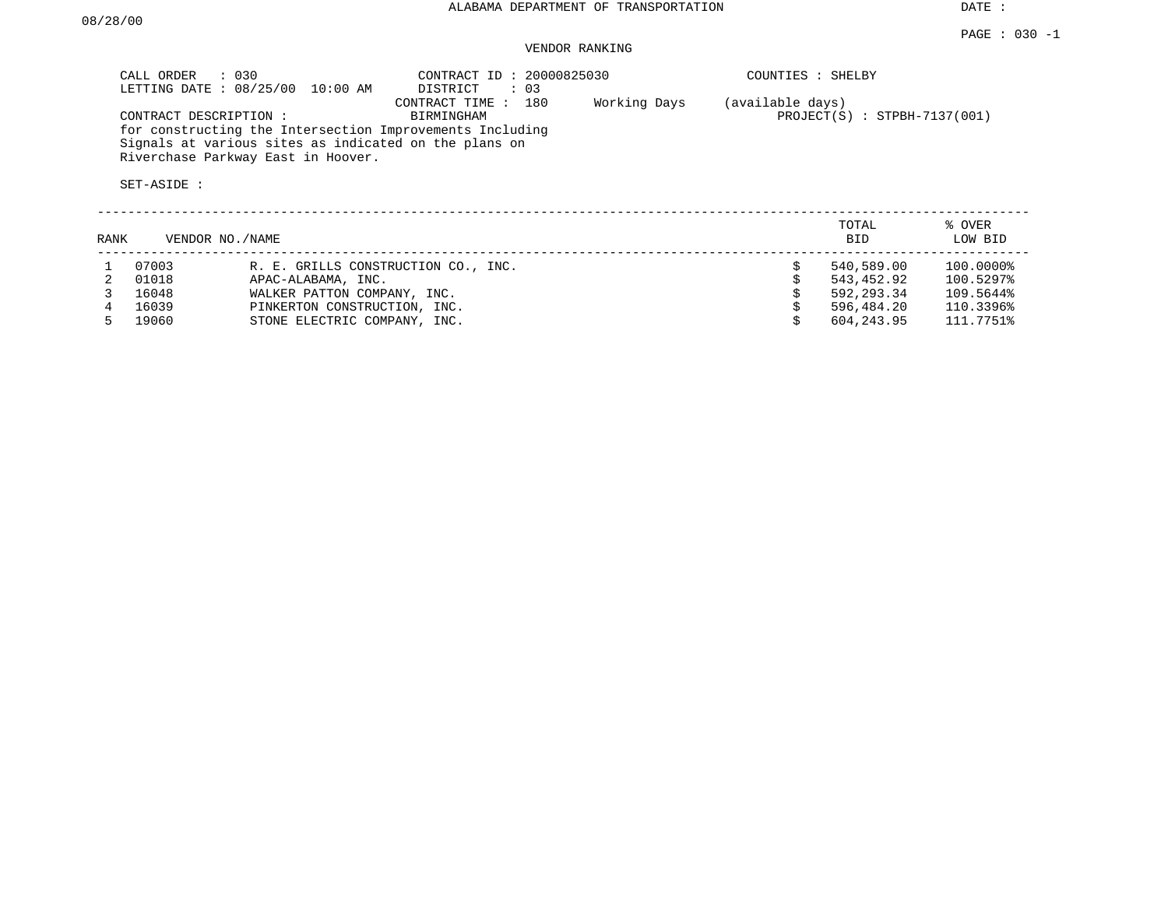DATE :

 $$604, 243.95$   $111.7751%$ 

### VENDOR RANKING

|      | CALL ORDER                           | $\therefore$ 030<br>LETTING DATE : 08/25/00 10:00 AM                                                                                                    | CONTRACT ID: 20000825030<br>DISTRICT<br>$\therefore$ 03 |              | COUNTIES : SHELBY |                                |                   |
|------|--------------------------------------|---------------------------------------------------------------------------------------------------------------------------------------------------------|---------------------------------------------------------|--------------|-------------------|--------------------------------|-------------------|
|      | CONTRACT DESCRIPTION:<br>SET-ASIDE : | for constructing the Intersection Improvements Including<br>Signals at various sites as indicated on the plans on<br>Riverchase Parkway East in Hoover. | 180<br>CONTRACT TIME :<br>BIRMINGHAM                    | Working Days | (available days)  | $PROJECT(S)$ : STPBH-7137(001) |                   |
| RANK | VENDOR NO./NAME                      |                                                                                                                                                         |                                                         |              |                   | TOTAL<br><b>BID</b>            | % OVER<br>LOW BID |
|      | 07003                                | R. E. GRILLS CONSTRUCTION CO., INC.                                                                                                                     |                                                         |              |                   | 540,589.00                     | 100.0000%         |
|      | 01018                                | APAC-ALABAMA, INC.                                                                                                                                      |                                                         |              |                   | 543,452.92                     | 100.5297%         |
|      | 16048                                | WALKER PATTON COMPANY, INC.                                                                                                                             |                                                         |              |                   | 592, 293, 34                   | 109.5644%         |

4 16039 PINKERTON CONSTRUCTION, INC.<br>4 16039 PINKERTON CONSTRUCTION, INC.<br>5 19060 STONE ELECTRIC COMPANY, INC.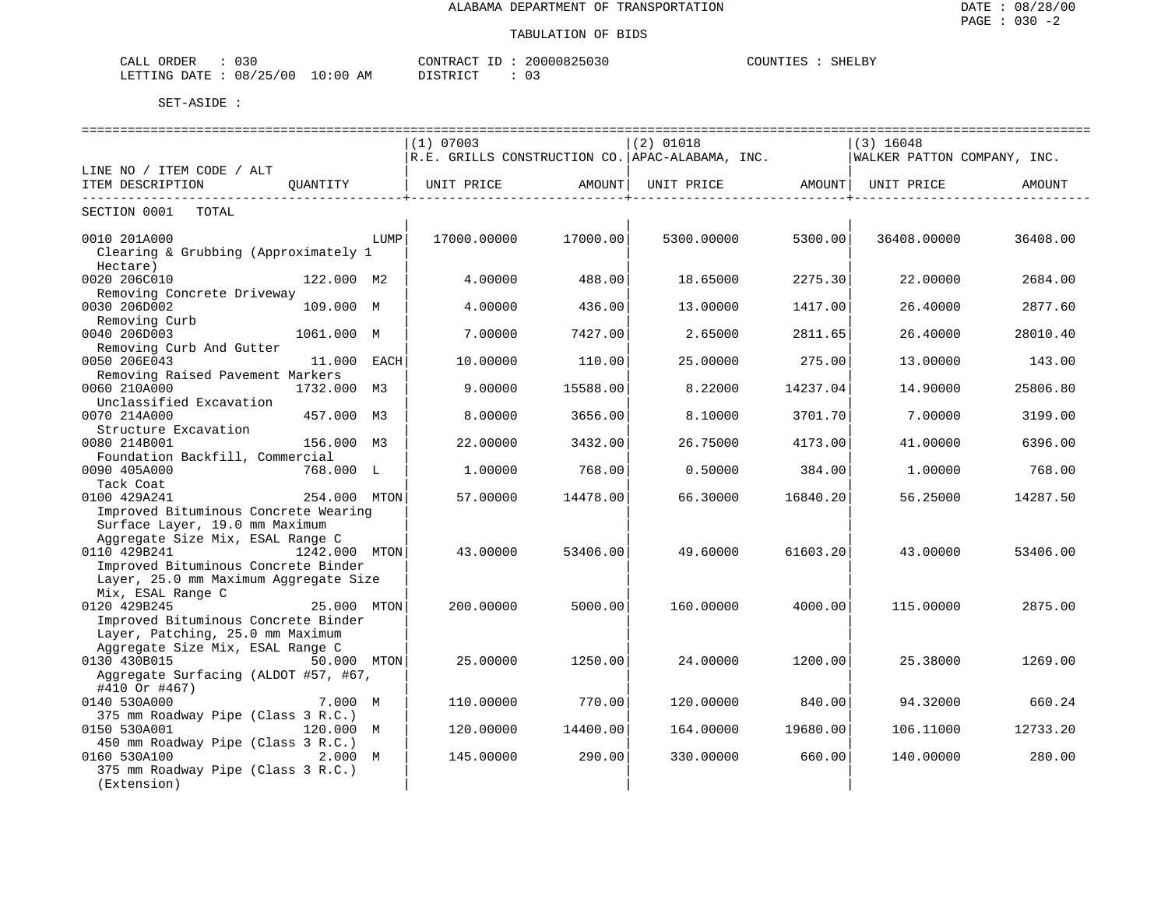| ORDER<br>CALL<br>U3U                                                                                                                                   |                  | CONTRACT<br>-- | 20000825             | COUNTIES<br>SHELBY |
|--------------------------------------------------------------------------------------------------------------------------------------------------------|------------------|----------------|----------------------|--------------------|
| 08/25/00<br>LETTING<br>DATE.<br>ر ے<br>the contract of the contract of the contract of the contract of the contract of the contract of the contract of | 10:00<br>AΜ<br>. | יי ל קידף ז    | $\sim$ $\sim$<br>U – |                    |

|                                                                              |               |      | $(1)$ 07003                                     |               | $(2)$ 01018 |          | $(3)$ 16048                 |          |
|------------------------------------------------------------------------------|---------------|------|-------------------------------------------------|---------------|-------------|----------|-----------------------------|----------|
|                                                                              |               |      | R.E. GRILLS CONSTRUCTION CO. APAC-ALABAMA, INC. |               |             |          | WALKER PATTON COMPANY, INC. |          |
| LINE NO / ITEM CODE / ALT                                                    |               |      |                                                 |               |             |          |                             |          |
| ITEM DESCRIPTION                                                             | OUANTITY      |      | UNIT PRICE                                      | <b>AMOUNT</b> | UNIT PRICE  | AMOUNT   | UNIT PRICE                  | AMOUNT   |
| SECTION 0001<br>TOTAL                                                        |               |      |                                                 |               |             |          |                             |          |
| 0010 201A000                                                                 |               | LUMP | 17000.00000                                     | 17000.00      | 5300.00000  | 5300.00  | 36408.00000                 | 36408.00 |
| Clearing & Grubbing (Approximately 1                                         |               |      |                                                 |               |             |          |                             |          |
| Hectare)                                                                     |               |      |                                                 |               |             |          |                             |          |
| 0020 206C010                                                                 | 122.000 M2    |      | 4.00000                                         | 488.00        | 18.65000    | 2275.30  | 22.00000                    | 2684.00  |
| Removing Concrete Driveway                                                   |               |      |                                                 |               |             |          |                             |          |
| 0030 206D002<br>Removing Curb                                                | 109.000 M     |      | 4.00000                                         | 436.00        | 13.00000    | 1417.00  | 26.40000                    | 2877.60  |
| 0040 206D003                                                                 | 1061.000 M    |      | 7.00000                                         | 7427.00       | 2.65000     | 2811.65  | 26.40000                    | 28010.40 |
| Removing Curb And Gutter                                                     |               |      |                                                 |               |             |          |                             |          |
| 0050 206E043                                                                 | 11.000        | EACH | 10.00000                                        | 110.00        | 25.00000    | 275.00   | 13.00000                    | 143.00   |
| Removing Raised Pavement Markers                                             |               |      |                                                 |               |             |          |                             |          |
| 0060 210A000                                                                 | 1732.000 M3   |      | 9.00000                                         | 15588.00      | 8.22000     | 14237.04 | 14.90000                    | 25806.80 |
| Unclassified Excavation                                                      |               |      |                                                 |               |             |          |                             |          |
| 0070 214A000                                                                 | 457.000 M3    |      | 8.00000                                         | 3656.00       | 8.10000     | 3701.70  | 7.00000                     | 3199.00  |
| Structure Excavation<br>0080 214B001                                         | 156.000 M3    |      | 22.00000                                        | 3432.00       | 26.75000    | 4173.00  | 41.00000                    | 6396.00  |
| Foundation Backfill, Commercial                                              |               |      |                                                 |               |             |          |                             |          |
| 0090 405A000                                                                 | 768.000 L     |      | 1,00000                                         | 768.00        | 0.50000     | 384.00   | 1.00000                     | 768.00   |
| Tack Coat                                                                    |               |      |                                                 |               |             |          |                             |          |
| 0100 429A241                                                                 | 254.000 MTON  |      | 57.00000                                        | 14478.00      | 66.30000    | 16840.20 | 56.25000                    | 14287.50 |
| Improved Bituminous Concrete Wearing                                         |               |      |                                                 |               |             |          |                             |          |
| Surface Layer, 19.0 mm Maximum                                               |               |      |                                                 |               |             |          |                             |          |
| Aggregate Size Mix, ESAL Range C                                             |               |      |                                                 |               |             |          |                             |          |
| 0110 429B241                                                                 | 1242.000 MTON |      | 43.00000                                        | 53406.00      | 49.60000    | 61603.20 | 43.00000                    | 53406.00 |
| Improved Bituminous Concrete Binder<br>Layer, 25.0 mm Maximum Aggregate Size |               |      |                                                 |               |             |          |                             |          |
| Mix, ESAL Range C                                                            |               |      |                                                 |               |             |          |                             |          |
| 0120 429B245                                                                 | 25,000 MTON   |      | 200.00000                                       | 5000.00       | 160.00000   | 4000.00  | 115,00000                   | 2875.00  |
| Improved Bituminous Concrete Binder                                          |               |      |                                                 |               |             |          |                             |          |
| Layer, Patching, 25.0 mm Maximum                                             |               |      |                                                 |               |             |          |                             |          |
| Aggregate Size Mix, ESAL Range C                                             |               |      |                                                 |               |             |          |                             |          |
| 0130 430B015                                                                 | 50.000 MTON   |      | 25.00000                                        | 1250.00       | 24.00000    | 1200.00  | 25.38000                    | 1269.00  |
| Aggregate Surfacing (ALDOT #57, #67,                                         |               |      |                                                 |               |             |          |                             |          |
| #410 Or #467)<br>0140 530A000                                                | 7.000 M       |      | 110.00000                                       | 770.00        | 120.00000   | 840.00   | 94.32000                    | 660.24   |
| 375 mm Roadway Pipe (Class 3 R.C.)                                           |               |      |                                                 |               |             |          |                             |          |
| 0150 530A001                                                                 | 120.000 M     |      | 120.00000                                       | 14400.00      | 164,00000   | 19680.00 | 106.11000                   | 12733.20 |
| 450 mm Roadway Pipe (Class 3 R.C.)                                           |               |      |                                                 |               |             |          |                             |          |
| 0160 530A100                                                                 | 2.000 M       |      | 145.00000                                       | 290.00        | 330.00000   | 660.00   | 140.00000                   | 280.00   |
| 375 mm Roadway Pipe (Class 3 R.C.)                                           |               |      |                                                 |               |             |          |                             |          |
| (Extension)                                                                  |               |      |                                                 |               |             |          |                             |          |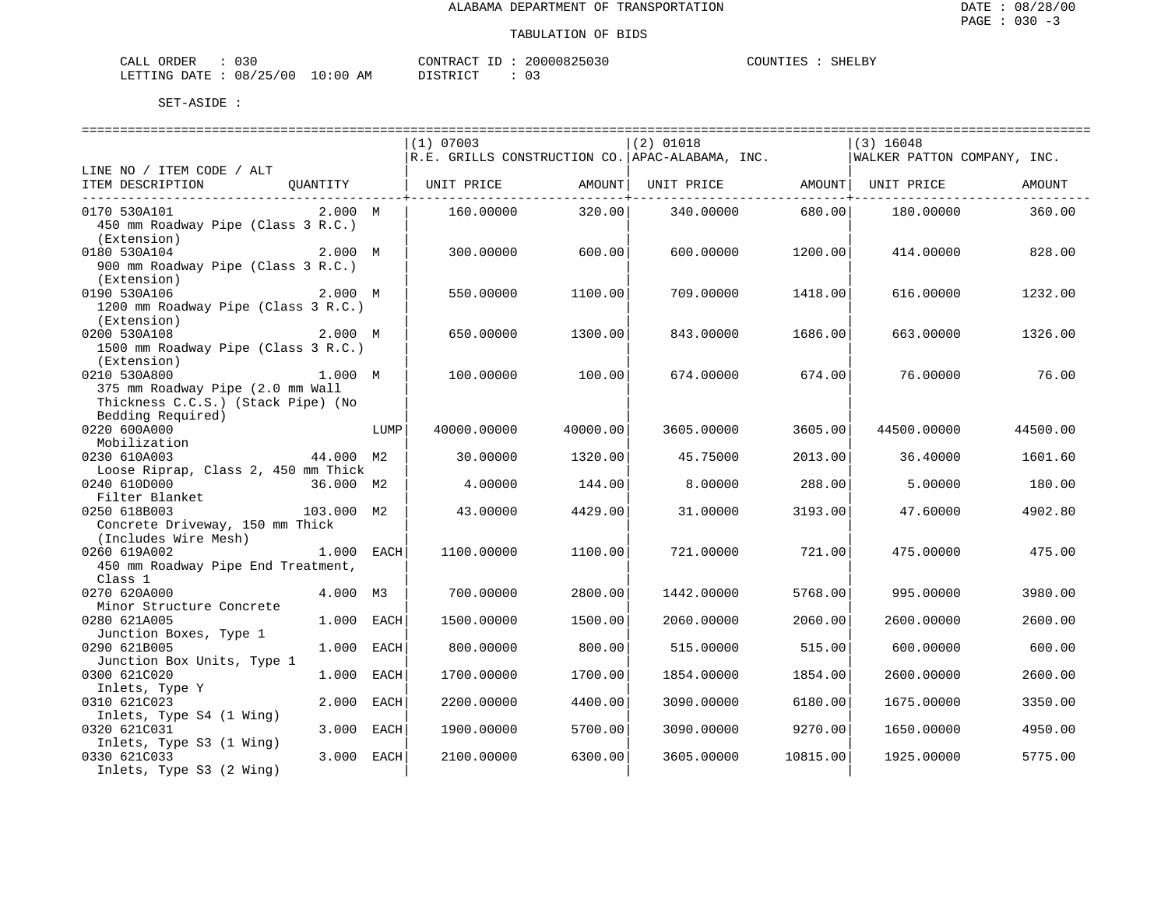| CALL ORDER                      | 030 |          |  | CONTRACT ID: 20000825030 | COUNTIES | SHELBY |
|---------------------------------|-----|----------|--|--------------------------|----------|--------|
| LETTING DATE: 08/25/00 10:00 AM |     | DISTRICT |  |                          |          |        |

|                                                 |               | $(1)$ 07003 |                                                                                               | $(2)$ 01018 |                                                                 | $(3)$ 16048                 |          |  |  |
|-------------------------------------------------|---------------|-------------|-----------------------------------------------------------------------------------------------|-------------|-----------------------------------------------------------------|-----------------------------|----------|--|--|
|                                                 |               |             | $\mathcal{R.E.}$ GRILLS CONSTRUCTION CO. $\mathcal{A}\texttt{PAC-ALABAMA}$ , INC.             |             |                                                                 | WALKER PATTON COMPANY, INC. |          |  |  |
| LINE NO / ITEM CODE / ALT                       |               |             |                                                                                               |             |                                                                 |                             |          |  |  |
| ITEM DESCRIPTION                                |               |             | QUANTITY   UNIT PRICE               AMOUNT   UNIT PRICE                   AMOUNT   UNIT PRICE |             |                                                                 |                             | AMOUNT   |  |  |
| 0170 530A101                                    | 2.000 M       | 160.00000   | ------------+-----<br>320.00                                                                  |             | . _ _ _ _ _ _ _ _ _ _ _ _ _ _ _ + _ _ _ _ _<br>340.00000 680.00 | 180.00000                   | 360.00   |  |  |
| 450 mm Roadway Pipe (Class 3 R.C.)              |               |             |                                                                                               |             |                                                                 |                             |          |  |  |
| (Extension)                                     |               |             |                                                                                               |             |                                                                 |                             |          |  |  |
| 0180 530A104                                    | 2.000 M       | 300.00000   | 600.00                                                                                        | 600,00000   | 1200.00                                                         | 414.00000                   | 828.00   |  |  |
| 900 mm Roadway Pipe (Class 3 R.C.)              |               |             |                                                                                               |             |                                                                 |                             |          |  |  |
| (Extension)                                     |               |             |                                                                                               |             |                                                                 |                             |          |  |  |
| 0190 530A106                                    | 2.000 M       | 550.00000   | 1100.00                                                                                       | 709.00000   | 1418.00                                                         | 616.00000                   | 1232.00  |  |  |
| 1200 mm Roadway Pipe (Class 3 R.C.)             |               |             |                                                                                               |             |                                                                 |                             |          |  |  |
| (Extension)                                     |               |             |                                                                                               |             |                                                                 |                             |          |  |  |
| 0200 530A108                                    | 2.000 M       | 650.00000   | 1300.00                                                                                       | 843.00000   | 1686.00                                                         | 663.00000                   | 1326.00  |  |  |
| 1500 mm Roadway Pipe (Class 3 R.C.)             |               |             |                                                                                               |             |                                                                 |                             |          |  |  |
| (Extension)                                     |               |             |                                                                                               |             |                                                                 |                             |          |  |  |
| 0210 530A800                                    | 1.000 M       | 100.00000   | 100.00                                                                                        | 674.00000   | 674.00                                                          | 76.00000                    | 76.00    |  |  |
| 375 mm Roadway Pipe (2.0 mm Wall                |               |             |                                                                                               |             |                                                                 |                             |          |  |  |
| Thickness C.C.S.) (Stack Pipe) (No              |               |             |                                                                                               |             |                                                                 |                             |          |  |  |
| Bedding Required)                               |               |             |                                                                                               |             |                                                                 |                             |          |  |  |
| 0220 600A000                                    | LUMP          | 40000.00000 | 40000.00                                                                                      | 3605.00000  | 3605.00                                                         | 44500.00000                 | 44500.00 |  |  |
| Mobilization                                    |               |             |                                                                                               |             |                                                                 |                             |          |  |  |
| 0230 610A003                                    | 44.000 M2     | 30.00000    | 1320.00                                                                                       | 45.75000    | 2013.00                                                         | 36.40000                    | 1601.60  |  |  |
| Loose Riprap, Class 2, 450 mm Thick             |               |             |                                                                                               |             |                                                                 |                             |          |  |  |
| 0240 610D000                                    | 36.000 M2     | 4.00000     | 144.00                                                                                        | 8,00000     | 288.00                                                          | 5,00000                     | 180.00   |  |  |
| Filter Blanket                                  |               |             |                                                                                               |             |                                                                 |                             |          |  |  |
|                                                 |               | 43.00000    | 4429.00                                                                                       |             |                                                                 | 47.60000                    |          |  |  |
| 0250 618B003<br>Concrete Driveway, 150 mm Thick | 103.000 M2    |             |                                                                                               | 31.00000    | 3193.00                                                         |                             | 4902.80  |  |  |
|                                                 |               |             |                                                                                               |             |                                                                 |                             |          |  |  |
| (Includes Wire Mesh)                            | 1.000 EACH    |             |                                                                                               |             |                                                                 |                             |          |  |  |
| 0260 619A002                                    |               | 1100.00000  | 1100.00                                                                                       | 721.00000   | 721.00                                                          | 475.00000                   | 475.00   |  |  |
| 450 mm Roadway Pipe End Treatment,              |               |             |                                                                                               |             |                                                                 |                             |          |  |  |
| Class 1                                         |               |             |                                                                                               |             |                                                                 |                             |          |  |  |
| 0270 620A000                                    | 4.000 M3      | 700.00000   | 2800.00                                                                                       | 1442.00000  | 5768.00                                                         | 995.00000                   | 3980.00  |  |  |
| Minor Structure Concrete                        |               |             |                                                                                               |             |                                                                 |                             |          |  |  |
| 0280 621A005                                    | 1.000 EACH    | 1500.00000  | 1500.00                                                                                       | 2060.00000  | 2060.00                                                         | 2600.00000                  | 2600.00  |  |  |
| Junction Boxes, Type 1                          |               |             |                                                                                               |             |                                                                 |                             |          |  |  |
| 0290 621B005                                    | 1.000<br>EACH | 800.00000   | 800.00                                                                                        | 515.00000   | 515.00                                                          | 600.00000                   | 600.00   |  |  |
| Junction Box Units, Type 1                      |               |             |                                                                                               |             |                                                                 |                             |          |  |  |
| 0300 621C020                                    | 1.000 EACH    | 1700.00000  | 1700.00                                                                                       | 1854.00000  | 1854.00                                                         | 2600.00000                  | 2600.00  |  |  |
| Inlets, Type Y                                  |               |             |                                                                                               |             |                                                                 |                             |          |  |  |
| 0310 621C023                                    | 2.000 EACH    | 2200.00000  | 4400.00                                                                                       | 3090.00000  | 6180.00                                                         | 1675.00000                  | 3350.00  |  |  |
| Inlets, Type S4 (1 Wing)                        |               |             |                                                                                               |             |                                                                 |                             |          |  |  |
| 0320 621C031                                    | 3.000 EACH    | 1900.00000  | 5700.00                                                                                       | 3090.00000  | 9270.00                                                         | 1650.00000                  | 4950.00  |  |  |
| Inlets, Type S3 (1 Wing)                        |               |             |                                                                                               |             |                                                                 |                             |          |  |  |
| 0330 621C033                                    | 3.000 EACH    | 2100.00000  | 6300.00                                                                                       | 3605.00000  | 10815.00                                                        | 1925.00000                  | 5775.00  |  |  |
| Inlets, Type S3 (2 Wing)                        |               |             |                                                                                               |             |                                                                 |                             |          |  |  |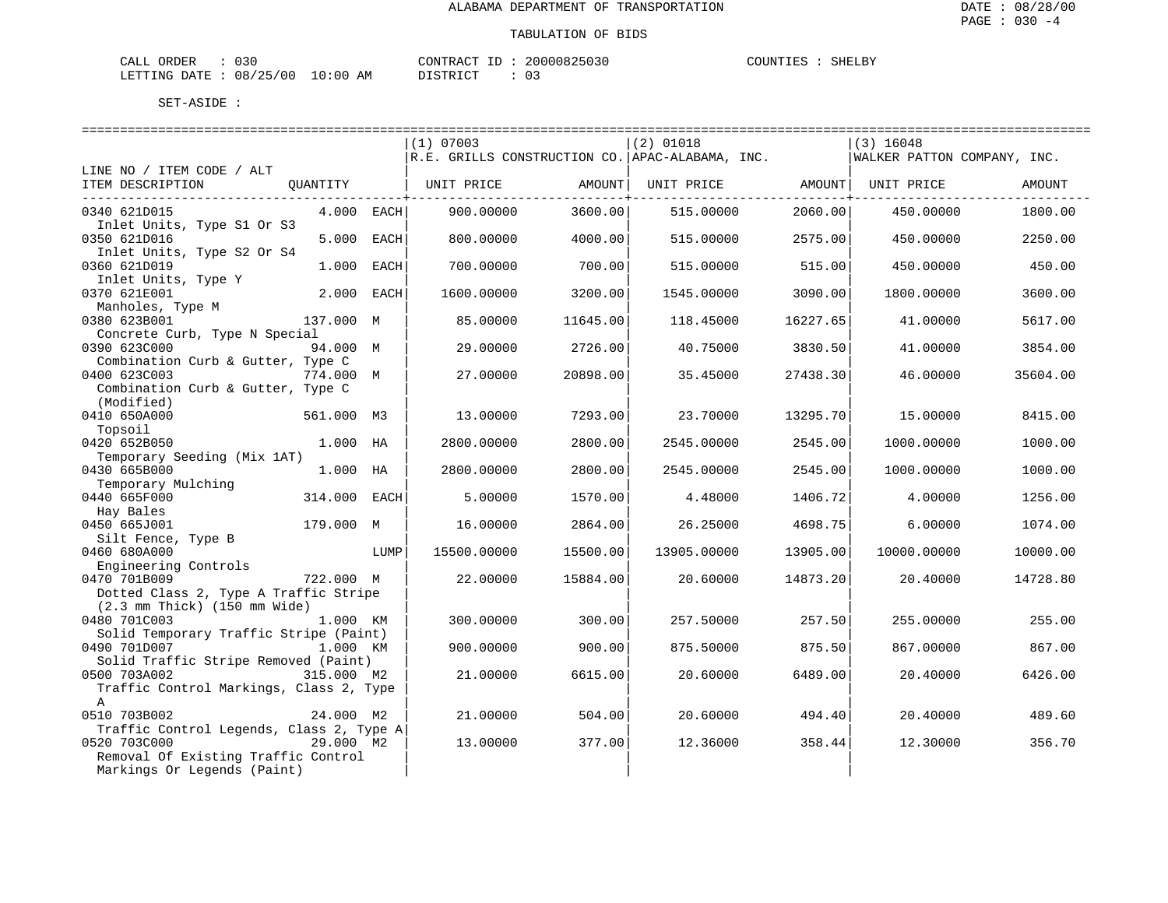| CALL<br>ORDER          | ົ່<br>U 3 U |             |          | CONTRACT ID |  | 20000825030 | COUNTIES | SHELBY |
|------------------------|-------------|-------------|----------|-------------|--|-------------|----------|--------|
| LETTING DATE: 08/25/00 |             | 10:00<br>ΆM | DISTRICT |             |  |             |          |        |

|                                                  |              |              | (1) 07003             |          | $(2)$ 01018                                                                                      |          | $(3)$ 16048                 |          |  |
|--------------------------------------------------|--------------|--------------|-----------------------|----------|--------------------------------------------------------------------------------------------------|----------|-----------------------------|----------|--|
|                                                  |              |              |                       |          | $\mathcal{R.E.}$ GRILLS CONSTRUCTION CO. $\mathcal{A}\text{PAC}-\mathcal{A}\text{LABAMA}$ , INC. |          | WALKER PATTON COMPANY, INC. |          |  |
| LINE NO / ITEM CODE / ALT                        |              |              |                       |          |                                                                                                  |          |                             |          |  |
| ITEM DESCRIPTION                                 |              |              | QUANTITY   UNIT PRICE | AMOUNT   | UNIT PRICE AMOUNT   UNIT PRICE                                                                   |          |                             | AMOUNT   |  |
|                                                  |              |              |                       |          |                                                                                                  |          |                             |          |  |
| 0340 621D015                                     |              | $4.000$ EACH | 900.00000             | 3600.00  | 515,00000                                                                                        | 2060.00  | 450.00000                   | 1800.00  |  |
| Inlet Units, Type S1 Or S3                       |              |              |                       |          |                                                                                                  |          |                             |          |  |
| 0350 621D016                                     |              | 5.000 EACH   | 800.00000             | 4000.00  | 515.00000                                                                                        | 2575.00  | 450.00000                   | 2250.00  |  |
| Inlet Units, Type S2 Or S4                       |              |              |                       |          |                                                                                                  |          |                             |          |  |
| 0360 621D019                                     | 1,000        | EACH         | 700.00000             | 700.00   | 515,00000                                                                                        | 515.00   | 450.00000                   | 450.00   |  |
| Inlet Units, Type Y                              |              |              |                       |          |                                                                                                  |          |                             |          |  |
| 0370 621E001                                     | 2.000 EACH   |              | 1600.00000            | 3200.00  | 1545.00000                                                                                       | 3090.00  | 1800.00000                  | 3600.00  |  |
| Manholes, Type M                                 |              |              |                       |          |                                                                                                  |          |                             |          |  |
| 0380 623B001                                     | 137.000 M    |              | 85.00000              | 11645.00 | 118.45000                                                                                        | 16227.65 | 41.00000                    | 5617.00  |  |
| Concrete Curb, Type N Special                    |              |              |                       |          |                                                                                                  |          |                             |          |  |
| 0390 623C000                                     | 94.000 M     |              | 29.00000              | 2726.00  | 40.75000                                                                                         | 3830.50  | 41.00000                    | 3854.00  |  |
| Combination Curb & Gutter, Type C                |              |              |                       |          |                                                                                                  |          |                             |          |  |
| 0400 623C003                                     | 774.000 M    |              | 27.00000              | 20898.00 | 35.45000                                                                                         | 27438.30 | 46.00000                    | 35604.00 |  |
| Combination Curb & Gutter, Type C                |              |              |                       |          |                                                                                                  |          |                             |          |  |
| (Modified)                                       |              |              |                       |          |                                                                                                  |          |                             |          |  |
| 0410 650A000                                     | 561.000 M3   |              | 13.00000              | 7293.00  | 23.70000                                                                                         | 13295.70 | 15.00000                    | 8415.00  |  |
| Topsoil                                          |              |              |                       |          |                                                                                                  |          |                             |          |  |
| 0420 652B050                                     | 1.000 HA     |              | 2800.00000            | 2800.00  | 2545.00000                                                                                       | 2545.00  | 1000.00000                  | 1000.00  |  |
| Temporary Seeding (Mix 1AT)                      |              |              |                       |          |                                                                                                  |          |                             |          |  |
| 0430 665B000                                     | 1.000 HA     |              | 2800.00000            | 2800.00  | 2545.00000                                                                                       | 2545.00  | 1000.00000                  | 1000.00  |  |
| Temporary Mulching                               |              |              |                       |          |                                                                                                  |          |                             |          |  |
| 0440 665F000                                     | 314.000 EACH |              | 5.00000               | 1570.00  | 4.48000                                                                                          | 1406.72  | 4.00000                     | 1256.00  |  |
| Hay Bales                                        |              |              |                       |          |                                                                                                  |          |                             |          |  |
| 0450 665J001                                     | 179.000 M    |              | 16.00000              | 2864.00  | 26.25000                                                                                         | 4698.75  | 6.00000                     | 1074.00  |  |
| Silt Fence, Type B                               |              |              |                       |          |                                                                                                  |          |                             |          |  |
| 0460 680A000                                     |              | LUMP         | 15500.00000           | 15500.00 | 13905.00000                                                                                      | 13905.00 | 10000.00000                 | 10000.00 |  |
| Engineering Controls                             |              |              |                       |          |                                                                                                  |          |                             |          |  |
| 0470 701B009<br>722.000 M                        |              |              | 22.00000              | 15884.00 | 20.60000                                                                                         | 14873.20 | 20.40000                    | 14728.80 |  |
| Dotted Class 2, Type A Traffic Stripe            |              |              |                       |          |                                                                                                  |          |                             |          |  |
| $(2.3 \text{ mm}$ Thick) $(150 \text{ mm}$ Wide) |              |              |                       |          |                                                                                                  |          |                             |          |  |
| 0480 701C003                                     | 1.000 KM     |              | 300.00000             | 300.00   | 257.50000                                                                                        | 257.50   | 255.00000                   | 255.00   |  |
| Solid Temporary Traffic Stripe (Paint)           |              |              |                       |          |                                                                                                  |          |                             |          |  |
| 0490 701D007                                     | 1.000 KM     |              | 900.00000             | 900.00   | 875.50000                                                                                        | 875.50   | 867.00000                   | 867.00   |  |
| Solid Traffic Stripe Removed (Paint)             |              |              |                       |          |                                                                                                  |          |                             |          |  |
| 0500 703A002                                     | 315.000 M2   |              | 21.00000              | 6615.00  | 20.60000                                                                                         | 6489.00  | 20.40000                    | 6426.00  |  |
| Traffic Control Markings, Class 2, Type          |              |              |                       |          |                                                                                                  |          |                             |          |  |
| A                                                |              |              |                       |          |                                                                                                  |          |                             |          |  |
| 0510 703B002                                     | 24.000 M2    |              | 21.00000              | 504.00   | 20.60000                                                                                         | 494.40   | 20.40000                    | 489.60   |  |
| Traffic Control Legends, Class 2, Type A         |              |              |                       |          |                                                                                                  |          |                             |          |  |
| 0520 703C000                                     | 29.000 M2    |              | 13.00000              | 377.00   | 12.36000                                                                                         | 358.44   | 12.30000                    | 356.70   |  |
| Removal Of Existing Traffic Control              |              |              |                       |          |                                                                                                  |          |                             |          |  |
| Markings Or Legends (Paint)                      |              |              |                       |          |                                                                                                  |          |                             |          |  |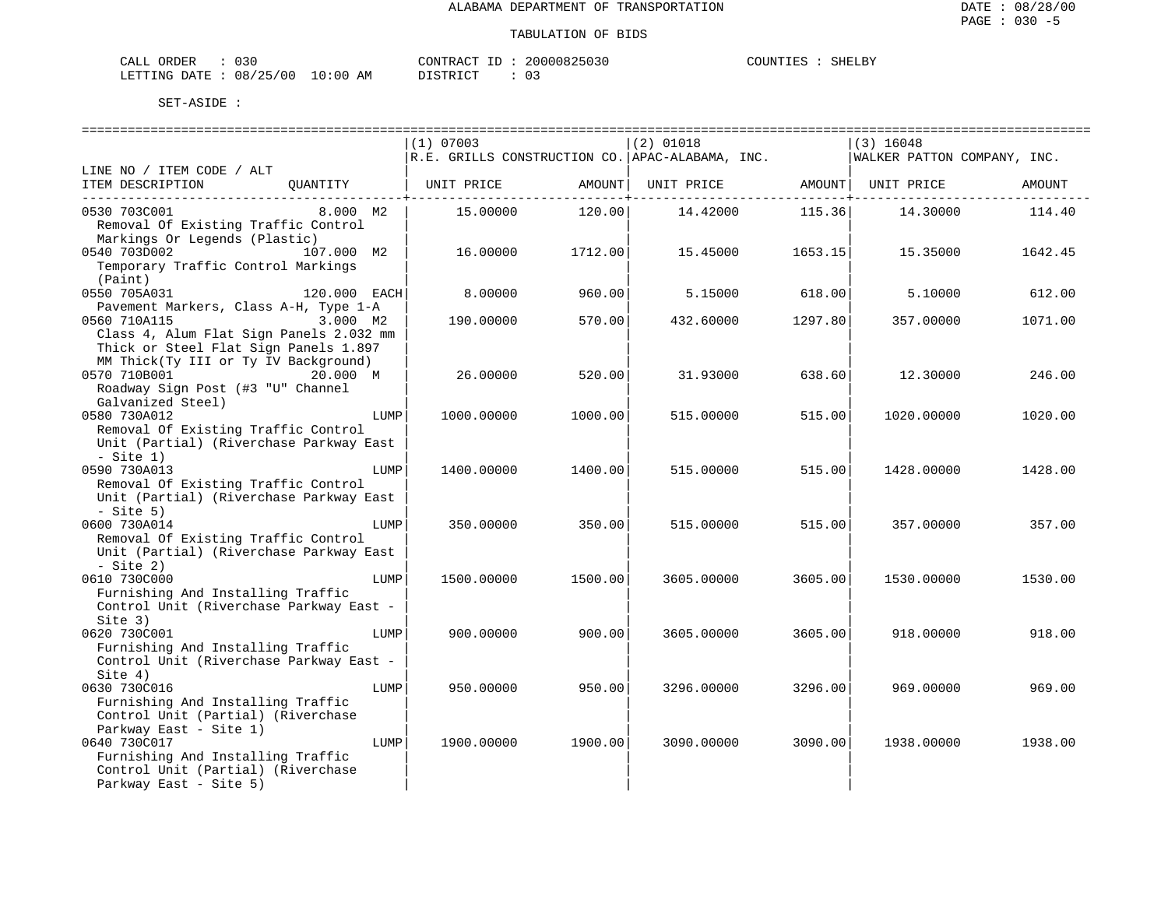| ORDER<br>CALL (               |  |    | CONTRACT ID :   |  | 20000825030   | COUNTIES | SHELBY |
|-------------------------------|--|----|-----------------|--|---------------|----------|--------|
| LETTING DATE : 08/25/00 10:00 |  | AM | DI STR TAT<br>. |  | $\sim$ $\sim$ |          |        |

|                                                                                                                                                                                     | $(1)$ 07003 |         | $ (2)$ 01018                                                |         | $(3)$ 16048                 |         |  |
|-------------------------------------------------------------------------------------------------------------------------------------------------------------------------------------|-------------|---------|-------------------------------------------------------------|---------|-----------------------------|---------|--|
|                                                                                                                                                                                     |             |         | $R.E.$ GRILLS CONSTRUCTION CO. $APAC-ALABAMA$ , INC.        |         | WALKER PATTON COMPANY, INC. |         |  |
| LINE NO / ITEM CODE / ALT                                                                                                                                                           |             |         |                                                             |         |                             |         |  |
| TTEM DESCRIPTION (QUANTITY   UNIT PRICE AMOUNT  UNIT PRICE AMOUNT  UNIT PRICE AMOUNT  UNIT PRICE                                                                                    |             |         |                                                             |         |                             | AMOUNT  |  |
| 0530 703C001 8.000 M2                                                                                                                                                               |             |         | $15.00000$ $120.00$ $14.42000$ $115.36$ $14.30000$ $114.40$ |         |                             |         |  |
| Removal Of Existing Traffic Control                                                                                                                                                 |             |         |                                                             |         |                             |         |  |
| Markings Or Legends (Plastic)                                                                                                                                                       |             |         |                                                             |         |                             |         |  |
| 0540 703D002<br>107.000 M2                                                                                                                                                          | 16.00000    | 1712.00 | 15.45000                                                    | 1653.15 | 15.35000                    | 1642.45 |  |
| Temporary Traffic Control Markings                                                                                                                                                  |             |         |                                                             |         |                             |         |  |
| (Paint)                                                                                                                                                                             |             |         |                                                             |         |                             |         |  |
| $120.000$ EACH<br>0550 705A031                                                                                                                                                      | 8.00000     | 960.00  | 5.15000 618.00                                              |         | 5.10000                     | 612.00  |  |
| Pavement Markers, Class A-H, Type 1-A                                                                                                                                               |             |         |                                                             |         |                             |         |  |
| 0560 710A115<br>3.000 M2                                                                                                                                                            | 190.00000   | 570.00  | 432.60000                                                   | 1297.80 | 357.00000                   | 1071.00 |  |
| Class 4, Alum Flat Sign Panels 2.032 mm                                                                                                                                             |             |         |                                                             |         |                             |         |  |
| Thick or Steel Flat Sign Panels 1.897                                                                                                                                               |             |         |                                                             |         |                             |         |  |
| MM Thick(Ty III or Ty IV Background)                                                                                                                                                |             |         |                                                             |         |                             |         |  |
| 0570 710B001<br>20.000 M                                                                                                                                                            | 26.00000    | 520.00  | 31.93000                                                    | 638.60  | 12.30000                    | 246.00  |  |
| Roadway Sign Post (#3 "U" Channel<br>Roadway<br>Galvanized Steel)<br>The Calculation of the Calculation of the Calculation of the Calculation of the Calculation of the Calculation |             |         |                                                             |         |                             |         |  |
| 0580 730A012<br>LUMP                                                                                                                                                                | 1000.00000  | 1000.00 | 515.00000                                                   | 515.00  | 1020.00000                  | 1020.00 |  |
| Removal Of Existing Traffic Control                                                                                                                                                 |             |         |                                                             |         |                             |         |  |
| Unit (Partial) (Riverchase Parkway East                                                                                                                                             |             |         |                                                             |         |                             |         |  |
| $-$ Site 1)                                                                                                                                                                         |             |         |                                                             |         |                             |         |  |
| 0590 730A013<br>LUMP                                                                                                                                                                | 1400.00000  | 1400.00 | 515.00000                                                   | 515.00  | 1428.00000                  | 1428.00 |  |
| Removal Of Existing Traffic Control                                                                                                                                                 |             |         |                                                             |         |                             |         |  |
| Unit (Partial) (Riverchase Parkway East                                                                                                                                             |             |         |                                                             |         |                             |         |  |
| $-$ Site 5)                                                                                                                                                                         |             |         |                                                             |         |                             |         |  |
| 0600 730A014<br>LUMP                                                                                                                                                                | 350.00000   | 350.00  | 515,00000                                                   | 515.00  | 357.00000                   | 357.00  |  |
| Removal Of Existing Traffic Control                                                                                                                                                 |             |         |                                                             |         |                             |         |  |
| Unit (Partial) (Riverchase Parkway East                                                                                                                                             |             |         |                                                             |         |                             |         |  |
| $-$ Site 2)                                                                                                                                                                         |             |         |                                                             |         |                             |         |  |
| 0610 730C000<br>LUMP<br>Furnishing And Installing Traffic                                                                                                                           | 1500.00000  | 1500.00 | 3605,00000                                                  | 3605.00 | 1530.00000                  | 1530.00 |  |
| Control Unit (Riverchase Parkway East -                                                                                                                                             |             |         |                                                             |         |                             |         |  |
| Site 3)                                                                                                                                                                             |             |         |                                                             |         |                             |         |  |
| 0620 730C001<br>LUMP                                                                                                                                                                | 900.00000   | 900.00  | 3605.00000                                                  | 3605.00 | 918.00000                   | 918.00  |  |
| Furnishing And Installing Traffic                                                                                                                                                   |             |         |                                                             |         |                             |         |  |
| Control Unit (Riverchase Parkway East -                                                                                                                                             |             |         |                                                             |         |                             |         |  |
| Site $4)$                                                                                                                                                                           |             |         |                                                             |         |                             |         |  |
| 0630 730C016<br>LUMP                                                                                                                                                                | 950.00000   | 950.00  | 3296.00000                                                  | 3296.00 | 969.00000                   | 969.00  |  |
| Furnishing And Installing Traffic                                                                                                                                                   |             |         |                                                             |         |                             |         |  |
| Control Unit (Partial) (Riverchase                                                                                                                                                  |             |         |                                                             |         |                             |         |  |
| Parkway East - Site 1)                                                                                                                                                              |             |         |                                                             |         |                             |         |  |
| 0640 730C017<br>LUMP                                                                                                                                                                | 1900.00000  | 1900.00 | 3090.00000                                                  | 3090.00 | 1938.00000                  | 1938.00 |  |
| Furnishing And Installing Traffic<br>Control Unit (Partial) (Riverchase                                                                                                             |             |         |                                                             |         |                             |         |  |
| Parkway East - Site 5)                                                                                                                                                              |             |         |                                                             |         |                             |         |  |
|                                                                                                                                                                                     |             |         |                                                             |         |                             |         |  |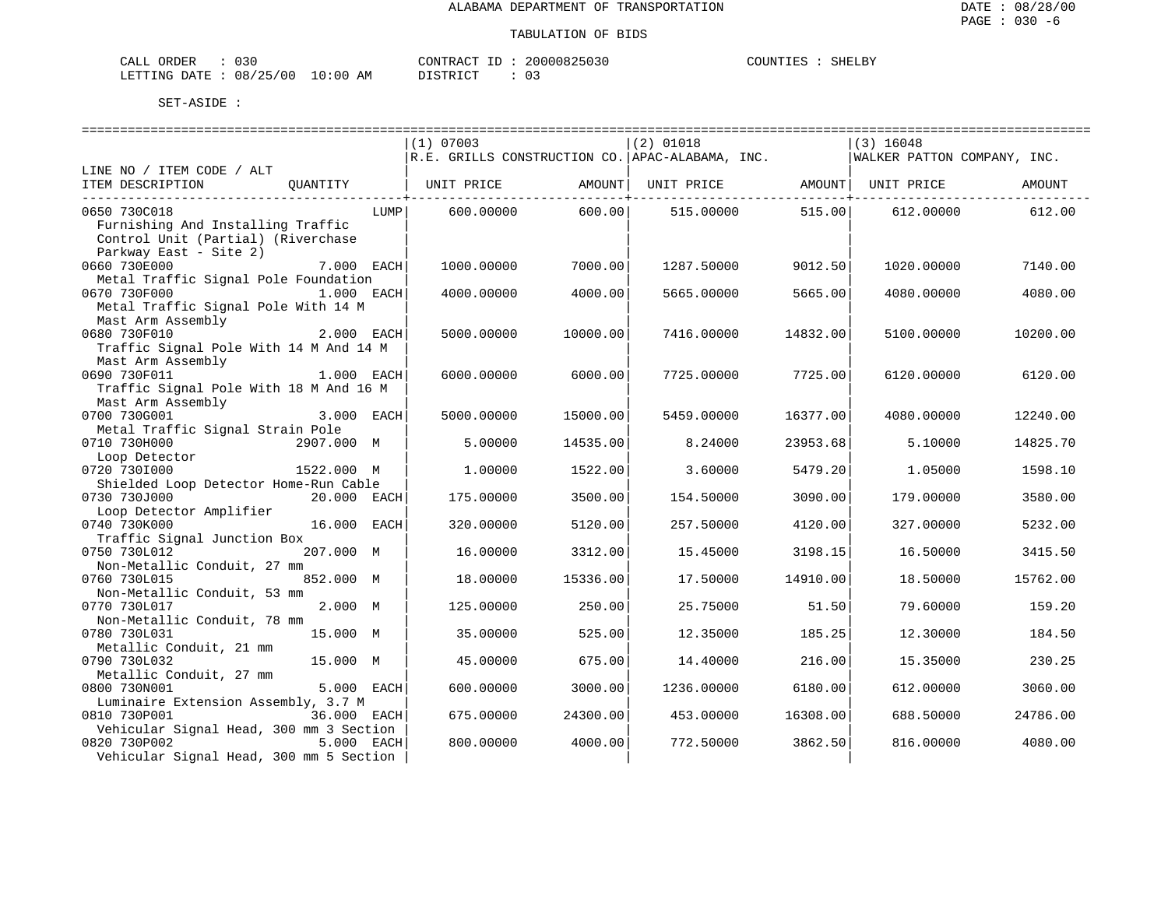| ORDER<br>CALL (        |  |             | CONTRACT                    | 20000825030 | COUNTIES | SHELBY |
|------------------------|--|-------------|-----------------------------|-------------|----------|--------|
| LETTING DATE: 08/25/00 |  | 10:00<br>ΑM | <sub>ו</sub> ⊺קידי⊃ די<br>. |             |          |        |

|                                                           | (1) 07003  |          | $(2)$ 01018                                                                       |          | (3) 16048                   |          |  |  |  |  |  |  |
|-----------------------------------------------------------|------------|----------|-----------------------------------------------------------------------------------|----------|-----------------------------|----------|--|--|--|--|--|--|
|                                                           |            |          | $\mathcal{R.E.}$ GRILLS CONSTRUCTION CO. $\mathcal{A}\texttt{PAC-ALABAMA}$ , INC. |          | WALKER PATTON COMPANY, INC. |          |  |  |  |  |  |  |
| LINE NO / ITEM CODE / ALT                                 |            |          |                                                                                   |          |                             |          |  |  |  |  |  |  |
| ITEM DESCRIPTION<br>OUANTITY                              |            |          |                                                                                   |          |                             | AMOUNT   |  |  |  |  |  |  |
|                                                           |            | 600.00   |                                                                                   | 515.00   |                             | 612.00   |  |  |  |  |  |  |
| 0650 730C018<br>LUMP<br>Furnishing And Installing Traffic | 600.00000  |          | 515.00000                                                                         |          | 612.00000                   |          |  |  |  |  |  |  |
| Control Unit (Partial) (Riverchase                        |            |          |                                                                                   |          |                             |          |  |  |  |  |  |  |
| Parkway East - Site 2)                                    |            |          |                                                                                   |          |                             |          |  |  |  |  |  |  |
| 0660 730E000<br>7.000 EACH                                | 1000.00000 | 7000.00  | 1287.50000                                                                        | 9012.50  | 1020.00000                  | 7140.00  |  |  |  |  |  |  |
| Metal Traffic Signal Pole Foundation                      |            |          |                                                                                   |          |                             |          |  |  |  |  |  |  |
| 0670 730F000<br>1.000 EACH                                | 4000.00000 | 4000.00  | 5665.00000                                                                        | 5665.00  | 4080.00000                  | 4080.00  |  |  |  |  |  |  |
| Metal Traffic Signal Pole With 14 M                       |            |          |                                                                                   |          |                             |          |  |  |  |  |  |  |
|                                                           |            |          |                                                                                   |          |                             |          |  |  |  |  |  |  |
| Mast Arm Assembly<br>2.000 EACH<br>0680 730F010           | 5000.00000 | 10000.00 | 7416.00000                                                                        | 14832.00 | 5100.00000                  | 10200.00 |  |  |  |  |  |  |
| Traffic Signal Pole With 14 M And 14 M                    |            |          |                                                                                   |          |                             |          |  |  |  |  |  |  |
| Mast Arm Assembly                                         |            |          |                                                                                   |          |                             |          |  |  |  |  |  |  |
| 0690 730F011<br>1.000 EACH                                | 6000.00000 | 6000.00  | 7725.00000                                                                        | 7725.00  | 6120.00000                  | 6120.00  |  |  |  |  |  |  |
| Traffic Signal Pole With 18 M And 16 M                    |            |          |                                                                                   |          |                             |          |  |  |  |  |  |  |
| Mast Arm Assembly                                         |            |          |                                                                                   |          |                             |          |  |  |  |  |  |  |
| 3.000 EACH<br>0700 730G001                                | 5000.00000 | 15000.00 | 5459.00000                                                                        | 16377.00 | 4080.00000                  | 12240.00 |  |  |  |  |  |  |
| Metal Traffic Signal Strain Pole                          |            |          |                                                                                   |          |                             |          |  |  |  |  |  |  |
| 0710 730H000<br>2907.000 M                                | 5.00000    | 14535.00 | 8.24000                                                                           | 23953.68 | 5.10000                     | 14825.70 |  |  |  |  |  |  |
| Loop Detector                                             |            |          |                                                                                   |          |                             |          |  |  |  |  |  |  |
| 0720 7301000<br>1522.000 M                                | 1,00000    | 1522.00  | 3.60000                                                                           | 5479.20  | 1.05000                     | 1598.10  |  |  |  |  |  |  |
| Shielded Loop Detector Home-Run Cable                     |            |          |                                                                                   |          |                             |          |  |  |  |  |  |  |
| 0730 730J000<br>20.000 EACH                               | 175.00000  | 3500.00  | 154.50000                                                                         | 3090.00  | 179.00000                   | 3580.00  |  |  |  |  |  |  |
| Loop Detector Amplifier                                   |            |          |                                                                                   |          |                             |          |  |  |  |  |  |  |
| 0740 730K000<br>16.000 EACH                               | 320.00000  | 5120.00  | 257.50000                                                                         | 4120.00  | 327.00000                   | 5232.00  |  |  |  |  |  |  |
| Traffic Signal Junction Box                               |            |          |                                                                                   |          |                             |          |  |  |  |  |  |  |
| 0750 730L012<br>207.000 M                                 | 16.00000   | 3312.00  | 15.45000                                                                          | 3198.15  | 16.50000                    | 3415.50  |  |  |  |  |  |  |
| Non-Metallic Conduit, 27 mm                               |            |          |                                                                                   |          |                             |          |  |  |  |  |  |  |
| 0760 730L015<br>852.000 M                                 | 18,00000   | 15336.00 | 17.50000                                                                          | 14910.00 | 18.50000                    | 15762.00 |  |  |  |  |  |  |
| Non-Metallic Conduit, 53 mm                               |            |          |                                                                                   |          |                             |          |  |  |  |  |  |  |
| 0770 730L017<br>2.000 M                                   | 125.00000  | 250.00   | 25.75000                                                                          | 51.50    | 79.60000                    | 159.20   |  |  |  |  |  |  |
| Non-Metallic Conduit, 78 mm                               |            |          |                                                                                   |          |                             |          |  |  |  |  |  |  |
| 15.000 M<br>0780 730L031                                  | 35.00000   | 525.00   | 12.35000                                                                          | 185.25   | 12.30000                    | 184.50   |  |  |  |  |  |  |
| Metallic Conduit, 21 mm                                   |            |          |                                                                                   |          |                             |          |  |  |  |  |  |  |
| 15.000 M<br>0790 730L032                                  | 45.00000   | 675.00   | 14.40000                                                                          | 216.00   | 15.35000                    | 230.25   |  |  |  |  |  |  |
| Metallic Conduit, 27 mm                                   |            |          |                                                                                   |          |                             |          |  |  |  |  |  |  |
| 0800 730N001<br>5.000 EACH                                | 600.00000  | 3000.00  | 1236.00000                                                                        | 6180.00  | 612.00000                   | 3060.00  |  |  |  |  |  |  |
| Luminaire Extension Assembly, 3.7 M                       |            |          |                                                                                   |          |                             |          |  |  |  |  |  |  |
| 0810 730P001<br>36.000 EACH                               | 675.00000  | 24300.00 | 453.00000                                                                         | 16308.00 | 688.50000                   | 24786.00 |  |  |  |  |  |  |
| Vehicular Signal Head, 300 mm 3 Section                   |            |          |                                                                                   |          |                             |          |  |  |  |  |  |  |
| 0820 730P002<br>5.000 EACH                                | 800.00000  | 4000.00  | 772.50000                                                                         | 3862.50  | 816.00000                   | 4080.00  |  |  |  |  |  |  |
| Vehicular Signal Head, 300 mm 5 Section                   |            |          |                                                                                   |          |                             |          |  |  |  |  |  |  |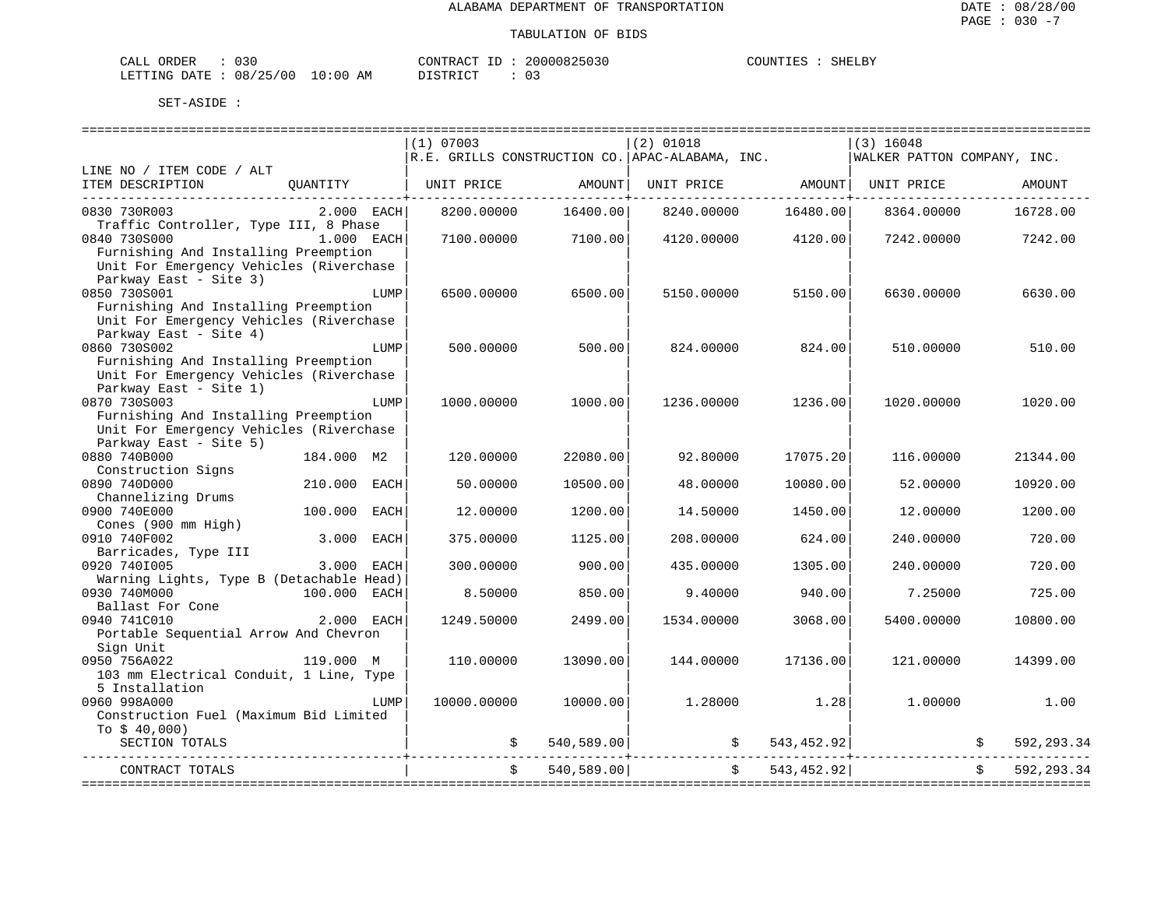| CALL<br>ORDER          | ົ່<br>U 3 U |             |          | CONTRACT ID |  | 20000825030 | COUNTIES | SHELBY |
|------------------------|-------------|-------------|----------|-------------|--|-------------|----------|--------|
| LETTING DATE: 08/25/00 |             | 10:00<br>ΆM | DISTRICT |             |  |             |          |        |

|                                                                                                           |              |      | $(1)$ 07003                  |            | $(2)$ 01018                                                              |               | $(3)$ 16048                  |            |             |
|-----------------------------------------------------------------------------------------------------------|--------------|------|------------------------------|------------|--------------------------------------------------------------------------|---------------|------------------------------|------------|-------------|
| LINE NO / ITEM CODE / ALT                                                                                 |              |      |                              |            | $\mathcal{R.E.}$ GRILLS CONSTRUCTION CO. $\mathcal{A}$ PAC-ALABAMA, INC. |               | WALKER PATTON COMPANY, INC.  |            |             |
| ITEM DESCRIPTION                                                                                          |              |      | QUANTITY   UNIT PRICE AMOUNT |            |                                                                          |               | UNIT PRICE AMOUNT UNIT PRICE |            | AMOUNT      |
| 0830 730R003                                                                                              | $2.000$ EACH |      | 8200.00000                   | 16400.00   | 8240.00000                                                               | 16480.00      | 8364.00000                   |            | 16728.00    |
| Traffic Controller, Type III, 8 Phase<br>0840 730S000                                                     | 1.000 EACH   |      | 7100.00000                   | 7100.00    | 4120.00000                                                               | 4120.00       | 7242.00000 7242.00           |            |             |
| Furnishing And Installing Preemption<br>Unit For Emergency Vehicles (Riverchase<br>Parkway East - Site 3) |              |      |                              |            |                                                                          |               |                              |            |             |
| 0850 730S001                                                                                              |              | LUMP | 6500.00000                   | 6500.00    | 5150.00000                                                               | 5150.00       | 6630.00000                   |            | 6630.00     |
| Furnishing And Installing Preemption<br>Unit For Emergency Vehicles (Riverchase<br>Parkway East - Site 4) |              |      |                              |            |                                                                          |               |                              |            |             |
| 0860 730S002                                                                                              |              | LUMP | 500.00000                    | 500.00     | 824.00000                                                                | 824.00        | 510.00000                    |            | 510.00      |
| Furnishing And Installing Preemption<br>Unit For Emergency Vehicles (Riverchase<br>Parkway East - Site 1) |              |      |                              |            |                                                                          |               |                              |            |             |
| 0870 730S003                                                                                              |              | LUMP | 1000.00000                   | 1000.00    | 1236.00000                                                               | 1236.00       | 1020.00000                   |            | 1020.00     |
| Furnishing And Installing Preemption<br>Unit For Emergency Vehicles (Riverchase<br>Parkway East - Site 5) |              |      |                              |            |                                                                          |               |                              |            |             |
| 0880 740B000                                                                                              | 184.000 M2   |      | 120.00000                    | 22080.00   | 92.80000                                                                 | 17075.20      | 116,00000                    |            | 21344.00    |
| Construction Signs<br>0890 740D000                                                                        | 210.000 EACH |      | 50.00000                     | 10500.00   | 48.00000                                                                 | 10080.00      | 52.00000                     |            | 10920.00    |
| Channelizing Drums<br>0900 740E000                                                                        | 100.000 EACH |      | 12,00000                     | 1200.00    | 14.50000                                                                 | 1450.00       | 12,00000                     |            | 1200.00     |
| Cones (900 mm High)                                                                                       |              |      |                              |            |                                                                          |               |                              |            |             |
| 0910 740F002<br>Barricades, Type III                                                                      | 3.000 EACH   |      | 375.00000                    | 1125.00    | 208.00000                                                                | 624.00        | 240.00000                    |            | 720.00      |
| 0920 7401005<br>Warning Lights, Type B (Detachable Head)                                                  | 3.000 EACH   |      | 300.00000                    | 900.00     | 435.00000                                                                | 1305.00       | 240.00000                    |            | 720.00      |
| 0930 740M000                                                                                              | 100.000 EACH |      | 8.50000                      | 850.00     | 9.40000                                                                  | 940.00        | 7.25000                      |            | 725.00      |
| Ballast For Cone<br>0940 741C010                                                                          | 2.000 EACH   |      | 1249.50000                   | 2499.00    | 1534.00000                                                               | 3068.00       | 5400.00000                   |            | 10800.00    |
| Portable Sequential Arrow And Chevron<br>Sign Unit                                                        |              |      |                              |            |                                                                          |               |                              |            |             |
| 0950 756A022                                                                                              | 119.000 M    |      | 110.00000                    | 13090.00   | 144.00000                                                                | 17136.00      | 121,00000                    |            | 14399.00    |
| 103 mm Electrical Conduit, 1 Line, Type<br>5 Installation                                                 |              |      |                              |            |                                                                          |               |                              |            |             |
| 0960 998A000<br>Construction Fuel (Maximum Bid Limited                                                    |              | LUMP | 10000.00000                  | 10000.00   | 1.28000                                                                  | 1.28          | 1,00000                      |            | 1.00        |
| To $$40,000$ )                                                                                            |              |      |                              |            |                                                                          |               |                              |            |             |
| SECTION TOTALS                                                                                            |              |      |                              | 540,589.00 |                                                                          |               |                              |            | 592, 293.34 |
| CONTRACT TOTALS                                                                                           |              |      | $\ddot{s}$                   | 540,589.00 |                                                                          | \$543,452.92] |                              | $\ddot{s}$ | 592,293.34  |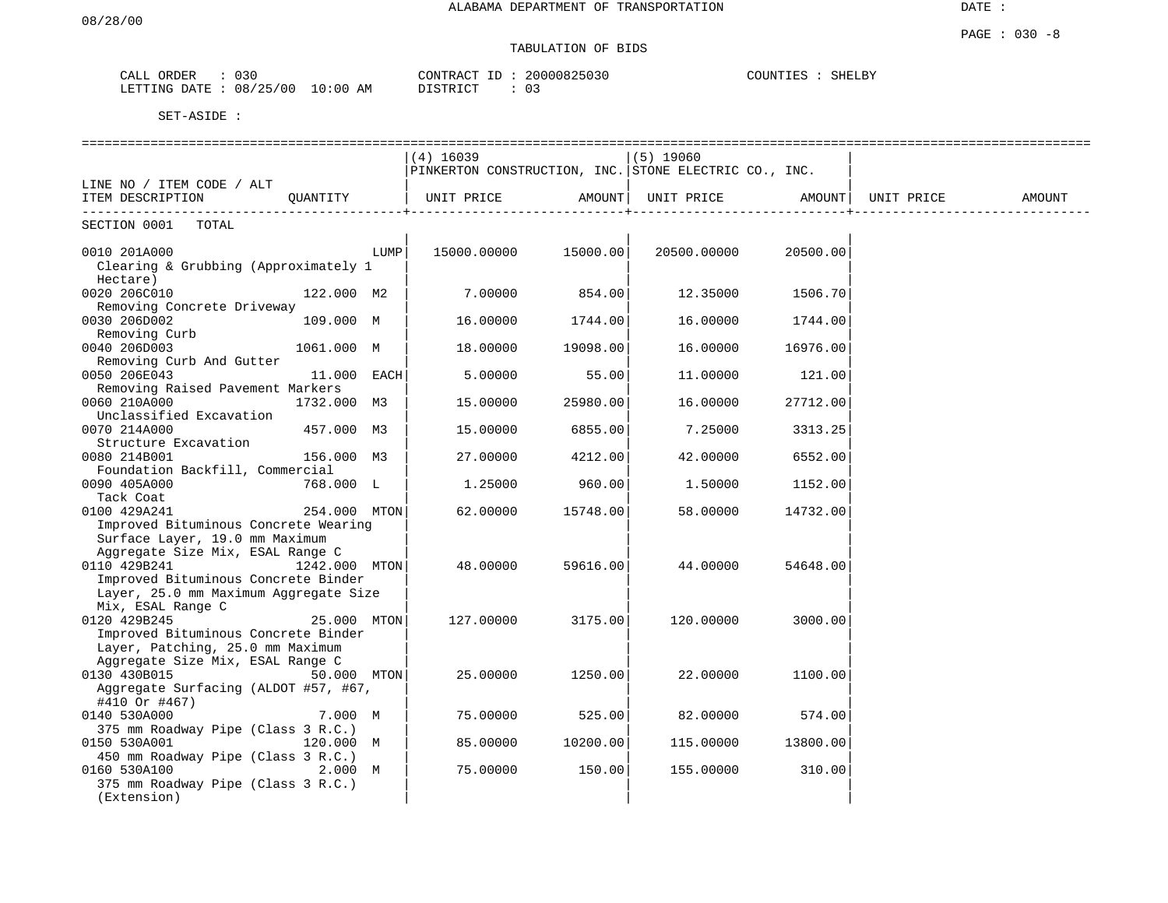# TABULATION OF BIDS

| ORDER<br>CALL | 030      |             | CONTRACT       | ID | 20000825030 | COUNTIES | SHELBY |
|---------------|----------|-------------|----------------|----|-------------|----------|--------|
| LETTING DATE  | 08/25/00 | 10:00<br>AΜ | חימים פחי את ה |    |             |          |        |

|                                                                         |               |      | $(4)$ 16039<br>PINKERTON CONSTRUCTION, INC. STONE ELECTRIC CO., INC. |          | $(5)$ 19060 |          |            |        |
|-------------------------------------------------------------------------|---------------|------|----------------------------------------------------------------------|----------|-------------|----------|------------|--------|
| LINE NO / ITEM CODE / ALT                                               |               |      |                                                                      |          |             |          |            |        |
| ITEM DESCRIPTION<br>. _ _ _ _ _ _ _ _ .                                 | QUANTITY      |      | UNIT PRICE                                                           | AMOUNT   | UNIT PRICE  | AMOUNT   | UNIT PRICE | AMOUNT |
| SECTION 0001<br>TOTAL                                                   |               |      |                                                                      |          |             |          |            |        |
| 0010 201A000                                                            |               | LUMP | 15000.00000                                                          | 15000.00 | 20500.00000 | 20500.00 |            |        |
| Clearing & Grubbing (Approximately 1                                    |               |      |                                                                      |          |             |          |            |        |
| Hectare)                                                                |               |      |                                                                      |          |             |          |            |        |
| 0020 206C010                                                            | 122.000 M2    |      | 7.00000                                                              | 854.00   | 12.35000    | 1506.70  |            |        |
| Removing Concrete Driveway                                              |               |      |                                                                      |          |             |          |            |        |
| 0030 206D002                                                            | 109.000 M     |      | 16.00000                                                             | 1744.00  | 16.00000    | 1744.00  |            |        |
| Removing Curb                                                           |               |      |                                                                      |          |             |          |            |        |
| 0040 206D003<br>Removing Curb And Gutter                                | 1061.000 M    |      | 18.00000                                                             | 19098.00 | 16.00000    | 16976.00 |            |        |
| 0050 206E043                                                            | 11.000 EACH   |      | 5.00000                                                              | 55.00    | 11.00000    | 121.00   |            |        |
| Removing Raised Pavement Markers                                        |               |      |                                                                      |          |             |          |            |        |
| 0060 210A000                                                            | 1732.000 M3   |      | 15.00000                                                             | 25980.00 | 16.00000    | 27712.00 |            |        |
| Unclassified Excavation                                                 |               |      |                                                                      |          |             |          |            |        |
| 0070 214A000                                                            | 457.000 M3    |      | 15.00000                                                             | 6855.00  | 7.25000     | 3313.25  |            |        |
| Structure Excavation                                                    |               |      |                                                                      |          |             |          |            |        |
| 0080 214B001                                                            | 156.000 M3    |      | 27.00000                                                             | 4212.00  | 42.00000    | 6552.00  |            |        |
| Foundation Backfill, Commercial                                         |               |      |                                                                      |          |             |          |            |        |
| 0090 405A000                                                            | 768.000 L     |      | 1.25000                                                              | 960.00   | 1.50000     | 1152.00  |            |        |
| Tack Coat<br>0100 429A241                                               | 254.000 MTON  |      | 62.00000                                                             | 15748.00 | 58.00000    | 14732.00 |            |        |
| Improved Bituminous Concrete Wearing                                    |               |      |                                                                      |          |             |          |            |        |
| Surface Layer, 19.0 mm Maximum                                          |               |      |                                                                      |          |             |          |            |        |
| Aggregate Size Mix, ESAL Range C                                        |               |      |                                                                      |          |             |          |            |        |
| 0110 429B241                                                            | 1242.000 MTON |      | 48.00000                                                             | 59616.00 | 44.00000    | 54648.00 |            |        |
| Improved Bituminous Concrete Binder                                     |               |      |                                                                      |          |             |          |            |        |
| Layer, 25.0 mm Maximum Aggregate Size                                   |               |      |                                                                      |          |             |          |            |        |
| Mix, ESAL Range C                                                       |               |      |                                                                      |          |             |          |            |        |
| 0120 429B245                                                            | 25.000 MTON   |      | 127.00000                                                            | 3175.00  | 120.00000   | 3000.00  |            |        |
| Improved Bituminous Concrete Binder<br>Layer, Patching, 25.0 mm Maximum |               |      |                                                                      |          |             |          |            |        |
| Aggregate Size Mix, ESAL Range C                                        |               |      |                                                                      |          |             |          |            |        |
| 0130 430B015                                                            | 50.000 MTON   |      | 25.00000                                                             | 1250.00  | 22.00000    | 1100.00  |            |        |
| Aggregate Surfacing (ALDOT #57, #67,                                    |               |      |                                                                      |          |             |          |            |        |
| #410 Or #467)                                                           |               |      |                                                                      |          |             |          |            |        |
| 0140 530A000                                                            | 7.000 M       |      | 75.00000                                                             | 525.00   | 82.00000    | 574.00   |            |        |
| 375 mm Roadway Pipe (Class 3 R.C.)                                      |               |      |                                                                      |          |             |          |            |        |
| 0150 530A001                                                            | 120.000 M     |      | 85.00000                                                             | 10200.00 | 115.00000   | 13800.00 |            |        |
| 450 mm Roadway Pipe (Class 3 R.C.)                                      |               |      |                                                                      |          |             |          |            |        |
| 0160 530A100                                                            | 2.000 M       |      | 75.00000                                                             | 150.00   | 155.00000   | 310.00   |            |        |
| 375 mm Roadway Pipe (Class 3 R.C.)<br>(Extension)                       |               |      |                                                                      |          |             |          |            |        |
|                                                                         |               |      |                                                                      |          |             |          |            |        |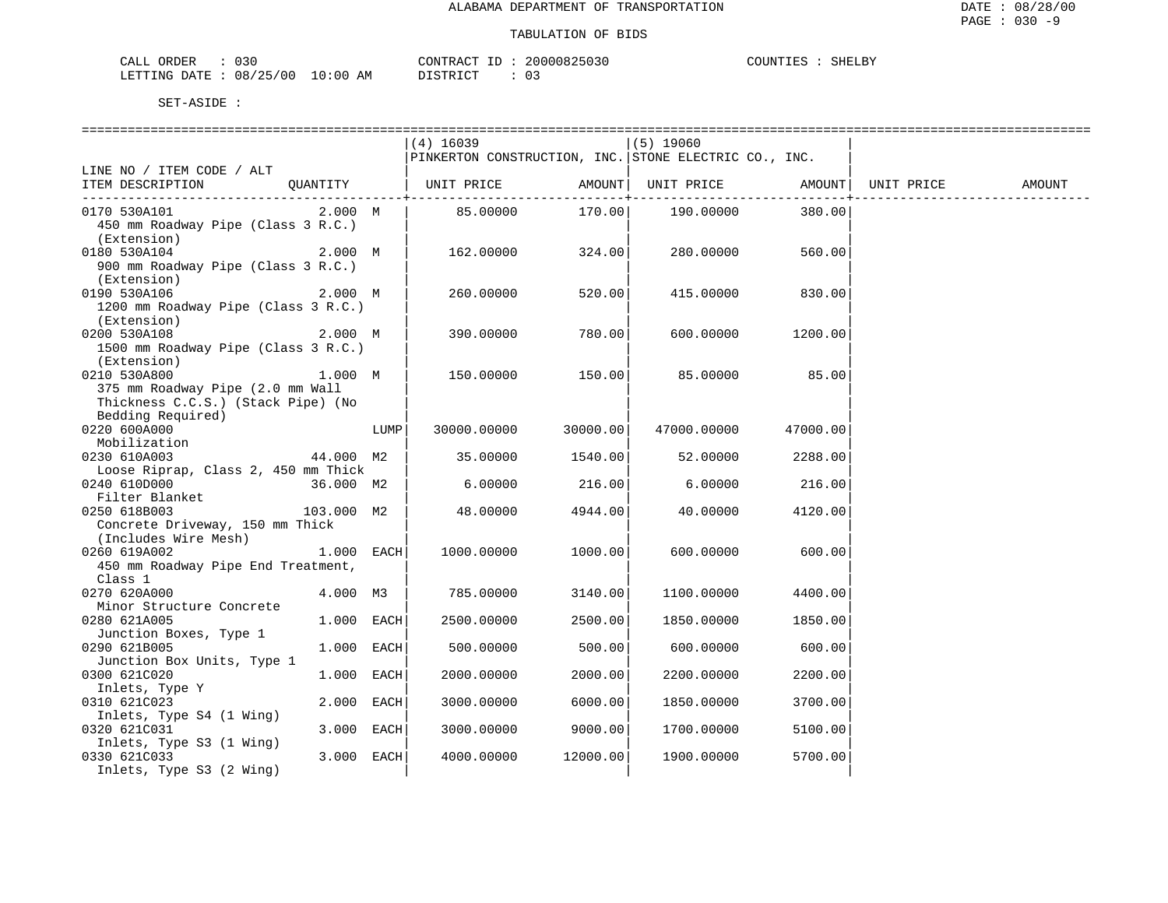| م د<br><b>NRIDER</b><br>CALL<br>u s u                                                                                                                            |                     | $\sim$ $\sim$ $\sim$<br>___<br>. • P ∧ ( | 111<br>$\prec$ 1 | SHELBY<br>$\sim$<br>ידתד ז<br>تىقلىلى |
|------------------------------------------------------------------------------------------------------------------------------------------------------------------|---------------------|------------------------------------------|------------------|---------------------------------------|
| 10F<br>۱ ∩ ∩<br><b>DATF</b><br>ے محمد میں میں ہیں ہے ۔<br>محمد میں میں اس اور اس کا اس کا محمد میں اس کا محمد میں اس کا اس کا ان کا ان کا ان کا<br>$\cdot$<br>ັບ | АM<br>- () -<br>ະບບ | $T \cap T$<br>$\sim$                     | ◡ ◡              |                                       |

| $(4)$ 16039<br>$(5)$ 19060<br>PINKERTON CONSTRUCTION, INC. STONE ELECTRIC CO., INC.<br>QUANTITY<br>UNIT PRICE<br>AMOUNT  UNIT PRICE<br>AMOUNT  UNIT PRICE<br>AMOUNT<br>------------+--<br>------------+<br>170.00<br>2.000 M<br>85.00000<br>190.00000<br>380.00<br>450 mm Roadway Pipe (Class 3 R.C.)<br>(Extension)<br>2.000 M<br>162.00000<br>324.00<br>280.00000<br>560.00<br>900 mm Roadway Pipe (Class 3 R.C.)<br>(Extension)<br>0190 530A106<br>2.000 M<br>260.00000<br>520.00<br>415.00000<br>830.00<br>1200 mm Roadway Pipe (Class 3 R.C.)<br>(Extension)<br>0200 530A108<br>2.000 M<br>390.00000<br>780.00<br>600.00000<br>1200.00<br>1500 mm Roadway Pipe (Class 3 R.C.)<br>(Extension)<br>85.00<br>0210 530A800<br>1.000 M<br>150.00<br>85.00000<br>150.00000<br>375 mm Roadway Pipe (2.0 mm Wall<br>Thickness C.C.S.) (Stack Pipe) (No<br>Bedding Required)<br>0220 600A000<br>30000.00<br>47000.00000<br>LUMP<br>30000.00000<br>47000.00<br>Mobilization<br>0230 610A003<br>35.00000<br>1540.00<br>52.00000<br>44.000 M2<br>2288.00<br>Loose Riprap, Class 2, 450 mm Thick<br>0240 610D000<br>36.000 M2<br>6.00000<br>216.00<br>6.00000<br>216.00<br>Filter Blanket<br>0250 618B003<br>103.000 M2<br>48.00000<br>4944.00<br>40.00000<br>4120.00<br>Concrete Driveway, 150 mm Thick<br>(Includes Wire Mesh)<br>$1.000$ EACH<br>0260 619A002<br>1000.00000<br>1000.00<br>600.00000<br>600.00<br>450 mm Roadway Pipe End Treatment,<br>Class 1<br>0270 620A000<br>4.000 M3<br>785.00000<br>3140.00<br>1100.00000<br>4400.00<br>Minor Structure Concrete<br>0280 621A005<br>1.000 EACH<br>2500.00000<br>2500.00<br>1850.00000<br>1850.00<br>Junction Boxes, Type 1<br>1.000 EACH<br>500.00<br>0290 621B005<br>500.00000<br>600.00000<br>600.00 |                            |  | =============================== |            |         |  |
|---------------------------------------------------------------------------------------------------------------------------------------------------------------------------------------------------------------------------------------------------------------------------------------------------------------------------------------------------------------------------------------------------------------------------------------------------------------------------------------------------------------------------------------------------------------------------------------------------------------------------------------------------------------------------------------------------------------------------------------------------------------------------------------------------------------------------------------------------------------------------------------------------------------------------------------------------------------------------------------------------------------------------------------------------------------------------------------------------------------------------------------------------------------------------------------------------------------------------------------------------------------------------------------------------------------------------------------------------------------------------------------------------------------------------------------------------------------------------------------------------------------------------------------------------------------------------------------------------------------------------------------------------------------------------------------------------------------------------------------------------------|----------------------------|--|---------------------------------|------------|---------|--|
|                                                                                                                                                                                                                                                                                                                                                                                                                                                                                                                                                                                                                                                                                                                                                                                                                                                                                                                                                                                                                                                                                                                                                                                                                                                                                                                                                                                                                                                                                                                                                                                                                                                                                                                                                         |                            |  |                                 |            |         |  |
|                                                                                                                                                                                                                                                                                                                                                                                                                                                                                                                                                                                                                                                                                                                                                                                                                                                                                                                                                                                                                                                                                                                                                                                                                                                                                                                                                                                                                                                                                                                                                                                                                                                                                                                                                         |                            |  |                                 |            |         |  |
|                                                                                                                                                                                                                                                                                                                                                                                                                                                                                                                                                                                                                                                                                                                                                                                                                                                                                                                                                                                                                                                                                                                                                                                                                                                                                                                                                                                                                                                                                                                                                                                                                                                                                                                                                         | LINE NO / ITEM CODE / ALT  |  |                                 |            |         |  |
|                                                                                                                                                                                                                                                                                                                                                                                                                                                                                                                                                                                                                                                                                                                                                                                                                                                                                                                                                                                                                                                                                                                                                                                                                                                                                                                                                                                                                                                                                                                                                                                                                                                                                                                                                         | ITEM DESCRIPTION           |  |                                 |            |         |  |
|                                                                                                                                                                                                                                                                                                                                                                                                                                                                                                                                                                                                                                                                                                                                                                                                                                                                                                                                                                                                                                                                                                                                                                                                                                                                                                                                                                                                                                                                                                                                                                                                                                                                                                                                                         |                            |  |                                 |            |         |  |
|                                                                                                                                                                                                                                                                                                                                                                                                                                                                                                                                                                                                                                                                                                                                                                                                                                                                                                                                                                                                                                                                                                                                                                                                                                                                                                                                                                                                                                                                                                                                                                                                                                                                                                                                                         | 0170 530A101               |  |                                 |            |         |  |
|                                                                                                                                                                                                                                                                                                                                                                                                                                                                                                                                                                                                                                                                                                                                                                                                                                                                                                                                                                                                                                                                                                                                                                                                                                                                                                                                                                                                                                                                                                                                                                                                                                                                                                                                                         |                            |  |                                 |            |         |  |
|                                                                                                                                                                                                                                                                                                                                                                                                                                                                                                                                                                                                                                                                                                                                                                                                                                                                                                                                                                                                                                                                                                                                                                                                                                                                                                                                                                                                                                                                                                                                                                                                                                                                                                                                                         |                            |  |                                 |            |         |  |
|                                                                                                                                                                                                                                                                                                                                                                                                                                                                                                                                                                                                                                                                                                                                                                                                                                                                                                                                                                                                                                                                                                                                                                                                                                                                                                                                                                                                                                                                                                                                                                                                                                                                                                                                                         | 0180 530A104               |  |                                 |            |         |  |
|                                                                                                                                                                                                                                                                                                                                                                                                                                                                                                                                                                                                                                                                                                                                                                                                                                                                                                                                                                                                                                                                                                                                                                                                                                                                                                                                                                                                                                                                                                                                                                                                                                                                                                                                                         |                            |  |                                 |            |         |  |
|                                                                                                                                                                                                                                                                                                                                                                                                                                                                                                                                                                                                                                                                                                                                                                                                                                                                                                                                                                                                                                                                                                                                                                                                                                                                                                                                                                                                                                                                                                                                                                                                                                                                                                                                                         |                            |  |                                 |            |         |  |
|                                                                                                                                                                                                                                                                                                                                                                                                                                                                                                                                                                                                                                                                                                                                                                                                                                                                                                                                                                                                                                                                                                                                                                                                                                                                                                                                                                                                                                                                                                                                                                                                                                                                                                                                                         |                            |  |                                 |            |         |  |
|                                                                                                                                                                                                                                                                                                                                                                                                                                                                                                                                                                                                                                                                                                                                                                                                                                                                                                                                                                                                                                                                                                                                                                                                                                                                                                                                                                                                                                                                                                                                                                                                                                                                                                                                                         |                            |  |                                 |            |         |  |
|                                                                                                                                                                                                                                                                                                                                                                                                                                                                                                                                                                                                                                                                                                                                                                                                                                                                                                                                                                                                                                                                                                                                                                                                                                                                                                                                                                                                                                                                                                                                                                                                                                                                                                                                                         |                            |  |                                 |            |         |  |
|                                                                                                                                                                                                                                                                                                                                                                                                                                                                                                                                                                                                                                                                                                                                                                                                                                                                                                                                                                                                                                                                                                                                                                                                                                                                                                                                                                                                                                                                                                                                                                                                                                                                                                                                                         |                            |  |                                 |            |         |  |
|                                                                                                                                                                                                                                                                                                                                                                                                                                                                                                                                                                                                                                                                                                                                                                                                                                                                                                                                                                                                                                                                                                                                                                                                                                                                                                                                                                                                                                                                                                                                                                                                                                                                                                                                                         |                            |  |                                 |            |         |  |
|                                                                                                                                                                                                                                                                                                                                                                                                                                                                                                                                                                                                                                                                                                                                                                                                                                                                                                                                                                                                                                                                                                                                                                                                                                                                                                                                                                                                                                                                                                                                                                                                                                                                                                                                                         |                            |  |                                 |            |         |  |
|                                                                                                                                                                                                                                                                                                                                                                                                                                                                                                                                                                                                                                                                                                                                                                                                                                                                                                                                                                                                                                                                                                                                                                                                                                                                                                                                                                                                                                                                                                                                                                                                                                                                                                                                                         |                            |  |                                 |            |         |  |
|                                                                                                                                                                                                                                                                                                                                                                                                                                                                                                                                                                                                                                                                                                                                                                                                                                                                                                                                                                                                                                                                                                                                                                                                                                                                                                                                                                                                                                                                                                                                                                                                                                                                                                                                                         |                            |  |                                 |            |         |  |
|                                                                                                                                                                                                                                                                                                                                                                                                                                                                                                                                                                                                                                                                                                                                                                                                                                                                                                                                                                                                                                                                                                                                                                                                                                                                                                                                                                                                                                                                                                                                                                                                                                                                                                                                                         |                            |  |                                 |            |         |  |
|                                                                                                                                                                                                                                                                                                                                                                                                                                                                                                                                                                                                                                                                                                                                                                                                                                                                                                                                                                                                                                                                                                                                                                                                                                                                                                                                                                                                                                                                                                                                                                                                                                                                                                                                                         |                            |  |                                 |            |         |  |
|                                                                                                                                                                                                                                                                                                                                                                                                                                                                                                                                                                                                                                                                                                                                                                                                                                                                                                                                                                                                                                                                                                                                                                                                                                                                                                                                                                                                                                                                                                                                                                                                                                                                                                                                                         |                            |  |                                 |            |         |  |
|                                                                                                                                                                                                                                                                                                                                                                                                                                                                                                                                                                                                                                                                                                                                                                                                                                                                                                                                                                                                                                                                                                                                                                                                                                                                                                                                                                                                                                                                                                                                                                                                                                                                                                                                                         |                            |  |                                 |            |         |  |
|                                                                                                                                                                                                                                                                                                                                                                                                                                                                                                                                                                                                                                                                                                                                                                                                                                                                                                                                                                                                                                                                                                                                                                                                                                                                                                                                                                                                                                                                                                                                                                                                                                                                                                                                                         |                            |  |                                 |            |         |  |
|                                                                                                                                                                                                                                                                                                                                                                                                                                                                                                                                                                                                                                                                                                                                                                                                                                                                                                                                                                                                                                                                                                                                                                                                                                                                                                                                                                                                                                                                                                                                                                                                                                                                                                                                                         |                            |  |                                 |            |         |  |
|                                                                                                                                                                                                                                                                                                                                                                                                                                                                                                                                                                                                                                                                                                                                                                                                                                                                                                                                                                                                                                                                                                                                                                                                                                                                                                                                                                                                                                                                                                                                                                                                                                                                                                                                                         |                            |  |                                 |            |         |  |
|                                                                                                                                                                                                                                                                                                                                                                                                                                                                                                                                                                                                                                                                                                                                                                                                                                                                                                                                                                                                                                                                                                                                                                                                                                                                                                                                                                                                                                                                                                                                                                                                                                                                                                                                                         |                            |  |                                 |            |         |  |
|                                                                                                                                                                                                                                                                                                                                                                                                                                                                                                                                                                                                                                                                                                                                                                                                                                                                                                                                                                                                                                                                                                                                                                                                                                                                                                                                                                                                                                                                                                                                                                                                                                                                                                                                                         |                            |  |                                 |            |         |  |
|                                                                                                                                                                                                                                                                                                                                                                                                                                                                                                                                                                                                                                                                                                                                                                                                                                                                                                                                                                                                                                                                                                                                                                                                                                                                                                                                                                                                                                                                                                                                                                                                                                                                                                                                                         |                            |  |                                 |            |         |  |
|                                                                                                                                                                                                                                                                                                                                                                                                                                                                                                                                                                                                                                                                                                                                                                                                                                                                                                                                                                                                                                                                                                                                                                                                                                                                                                                                                                                                                                                                                                                                                                                                                                                                                                                                                         |                            |  |                                 |            |         |  |
|                                                                                                                                                                                                                                                                                                                                                                                                                                                                                                                                                                                                                                                                                                                                                                                                                                                                                                                                                                                                                                                                                                                                                                                                                                                                                                                                                                                                                                                                                                                                                                                                                                                                                                                                                         |                            |  |                                 |            |         |  |
|                                                                                                                                                                                                                                                                                                                                                                                                                                                                                                                                                                                                                                                                                                                                                                                                                                                                                                                                                                                                                                                                                                                                                                                                                                                                                                                                                                                                                                                                                                                                                                                                                                                                                                                                                         |                            |  |                                 |            |         |  |
|                                                                                                                                                                                                                                                                                                                                                                                                                                                                                                                                                                                                                                                                                                                                                                                                                                                                                                                                                                                                                                                                                                                                                                                                                                                                                                                                                                                                                                                                                                                                                                                                                                                                                                                                                         |                            |  |                                 |            |         |  |
|                                                                                                                                                                                                                                                                                                                                                                                                                                                                                                                                                                                                                                                                                                                                                                                                                                                                                                                                                                                                                                                                                                                                                                                                                                                                                                                                                                                                                                                                                                                                                                                                                                                                                                                                                         |                            |  |                                 |            |         |  |
|                                                                                                                                                                                                                                                                                                                                                                                                                                                                                                                                                                                                                                                                                                                                                                                                                                                                                                                                                                                                                                                                                                                                                                                                                                                                                                                                                                                                                                                                                                                                                                                                                                                                                                                                                         |                            |  |                                 |            |         |  |
|                                                                                                                                                                                                                                                                                                                                                                                                                                                                                                                                                                                                                                                                                                                                                                                                                                                                                                                                                                                                                                                                                                                                                                                                                                                                                                                                                                                                                                                                                                                                                                                                                                                                                                                                                         |                            |  |                                 |            |         |  |
|                                                                                                                                                                                                                                                                                                                                                                                                                                                                                                                                                                                                                                                                                                                                                                                                                                                                                                                                                                                                                                                                                                                                                                                                                                                                                                                                                                                                                                                                                                                                                                                                                                                                                                                                                         |                            |  |                                 |            |         |  |
|                                                                                                                                                                                                                                                                                                                                                                                                                                                                                                                                                                                                                                                                                                                                                                                                                                                                                                                                                                                                                                                                                                                                                                                                                                                                                                                                                                                                                                                                                                                                                                                                                                                                                                                                                         |                            |  |                                 |            |         |  |
|                                                                                                                                                                                                                                                                                                                                                                                                                                                                                                                                                                                                                                                                                                                                                                                                                                                                                                                                                                                                                                                                                                                                                                                                                                                                                                                                                                                                                                                                                                                                                                                                                                                                                                                                                         |                            |  |                                 |            |         |  |
|                                                                                                                                                                                                                                                                                                                                                                                                                                                                                                                                                                                                                                                                                                                                                                                                                                                                                                                                                                                                                                                                                                                                                                                                                                                                                                                                                                                                                                                                                                                                                                                                                                                                                                                                                         | Junction Box Units, Type 1 |  |                                 |            |         |  |
| 1.000 EACH<br>2000.00000<br>2000.00<br>2200.00000<br>2200.00                                                                                                                                                                                                                                                                                                                                                                                                                                                                                                                                                                                                                                                                                                                                                                                                                                                                                                                                                                                                                                                                                                                                                                                                                                                                                                                                                                                                                                                                                                                                                                                                                                                                                            | 0300 621C020               |  |                                 |            |         |  |
| Inlets, Type Y                                                                                                                                                                                                                                                                                                                                                                                                                                                                                                                                                                                                                                                                                                                                                                                                                                                                                                                                                                                                                                                                                                                                                                                                                                                                                                                                                                                                                                                                                                                                                                                                                                                                                                                                          |                            |  |                                 |            |         |  |
| 2.000 EACH<br>6000.00<br>3000.00000<br>1850.00000<br>3700.00                                                                                                                                                                                                                                                                                                                                                                                                                                                                                                                                                                                                                                                                                                                                                                                                                                                                                                                                                                                                                                                                                                                                                                                                                                                                                                                                                                                                                                                                                                                                                                                                                                                                                            | 0310 621C023               |  |                                 |            |         |  |
| Inlets, Type S4 (1 Wing)                                                                                                                                                                                                                                                                                                                                                                                                                                                                                                                                                                                                                                                                                                                                                                                                                                                                                                                                                                                                                                                                                                                                                                                                                                                                                                                                                                                                                                                                                                                                                                                                                                                                                                                                |                            |  |                                 |            |         |  |
| 3.000 EACH<br>3000.00000<br>9000.00<br>1700.00000<br>5100.00                                                                                                                                                                                                                                                                                                                                                                                                                                                                                                                                                                                                                                                                                                                                                                                                                                                                                                                                                                                                                                                                                                                                                                                                                                                                                                                                                                                                                                                                                                                                                                                                                                                                                            | 0320 621C031               |  |                                 |            |         |  |
| Inlets, Type S3 (1 Wing)                                                                                                                                                                                                                                                                                                                                                                                                                                                                                                                                                                                                                                                                                                                                                                                                                                                                                                                                                                                                                                                                                                                                                                                                                                                                                                                                                                                                                                                                                                                                                                                                                                                                                                                                |                            |  |                                 |            |         |  |
|                                                                                                                                                                                                                                                                                                                                                                                                                                                                                                                                                                                                                                                                                                                                                                                                                                                                                                                                                                                                                                                                                                                                                                                                                                                                                                                                                                                                                                                                                                                                                                                                                                                                                                                                                         | 0330 621C033               |  | 4000.00000                      | 1900.00000 | 5700.00 |  |
| 3.000 EACH<br>12000.00                                                                                                                                                                                                                                                                                                                                                                                                                                                                                                                                                                                                                                                                                                                                                                                                                                                                                                                                                                                                                                                                                                                                                                                                                                                                                                                                                                                                                                                                                                                                                                                                                                                                                                                                  | Inlets, Type S3 (2 Wing)   |  |                                 |            |         |  |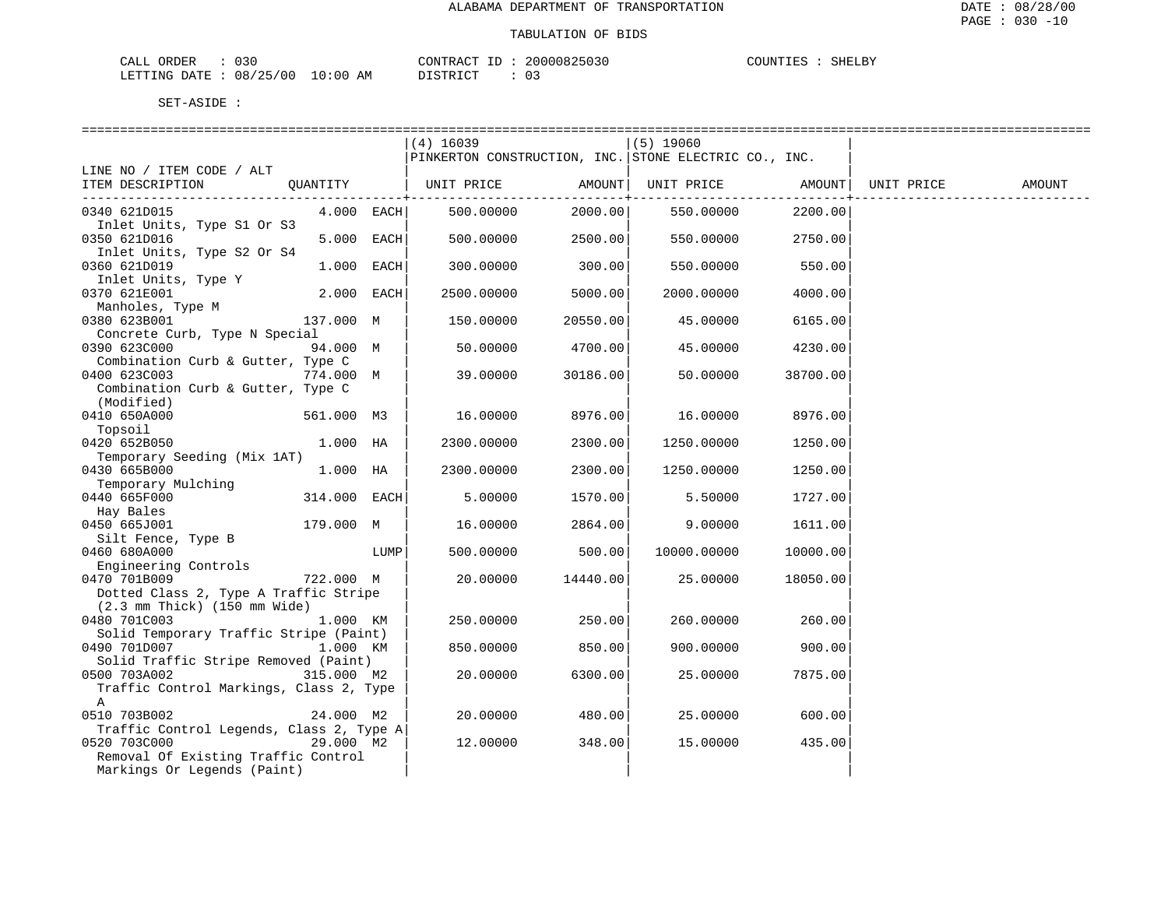| CALL ORDER                       | : 030 |          | CONTRACT ID: 20000825030 | COUNTIES : SHELBY |  |
|----------------------------------|-------|----------|--------------------------|-------------------|--|
| LETTING DATE : 08/25/00 10:00 AM |       | DISTRICT |                          |                   |  |

|                                                                                           |              |      | $(4)$ 16039<br>PINKERTON CONSTRUCTION, INC. STONE ELECTRIC CO., INC. |                | $(5)$ 19060 |                      |            |        |
|-------------------------------------------------------------------------------------------|--------------|------|----------------------------------------------------------------------|----------------|-------------|----------------------|------------|--------|
| LINE NO / ITEM CODE / ALT                                                                 |              |      |                                                                      |                |             |                      |            |        |
| ITEM DESCRIPTION<br>QUANTITY                                                              |              |      | UNIT PRICE                                                           | AMOUNT         | UNIT PRICE  | AMOUNT               | UNIT PRICE | AMOUNT |
| 0340 621D015                                                                              | $4.000$ EACH |      | 500.00000                                                            | . +<br>2000.00 | 550.00000   | --------+<br>2200.00 |            |        |
| Inlet Units, Type S1 Or S3<br>0350 621D016                                                | $5.000$ EACH |      | 500.00000                                                            | 2500.00        | 550.00000   | 2750.00              |            |        |
| Inlet Units, Type S2 Or S4                                                                |              |      |                                                                      |                |             |                      |            |        |
| 0360 621D019<br>Inlet Units, Type Y                                                       | 1.000 EACH   |      | 300.00000                                                            | 300.00         | 550.00000   | 550.00               |            |        |
| 0370 621E001                                                                              | $2.000$ EACH |      | 2500.00000                                                           | 5000.00        | 2000.00000  | 4000.00              |            |        |
| Manholes, Type M                                                                          |              |      |                                                                      |                |             |                      |            |        |
| 0380 623B001                                                                              | 137.000 M    |      | 150.00000                                                            | 20550.00       | 45.00000    | 6165.00              |            |        |
| Concrete Curb, Type N Special                                                             |              |      |                                                                      |                |             |                      |            |        |
| 0390 623C000                                                                              | 94.000 M     |      | 50.00000                                                             | 4700.00        | 45.00000    | 4230.00              |            |        |
| Combination Curb & Gutter, Type C                                                         |              |      |                                                                      |                |             |                      |            |        |
| 0400 623C003                                                                              | 774.000 M    |      | 39.00000                                                             | 30186.00       | 50.00000    | 38700.00             |            |        |
| Combination Curb & Gutter, Type C<br>(Modified)                                           |              |      |                                                                      |                |             |                      |            |        |
| 0410 650A000                                                                              | 561.000 M3   |      | 16.00000                                                             | 8976.00        | 16.00000    | 8976.00              |            |        |
| Topsoil                                                                                   |              |      |                                                                      |                |             |                      |            |        |
| 0420 652B050                                                                              | 1.000 HA     |      | 2300.00000                                                           | 2300.00        | 1250.00000  | 1250.00              |            |        |
| Temporary Seeding (Mix 1AT)                                                               |              |      |                                                                      |                |             |                      |            |        |
| 0430 665B000                                                                              | 1.000 HA     |      | 2300.00000                                                           | 2300.00        | 1250.00000  | 1250.00              |            |        |
| Temporary Mulching                                                                        |              |      |                                                                      |                |             |                      |            |        |
| 0440 665F000                                                                              | 314.000 EACH |      | 5.00000                                                              | 1570.00        | 5.50000     | 1727.00              |            |        |
| Hay Bales                                                                                 |              |      |                                                                      |                |             |                      |            |        |
| 0450 665J001                                                                              | 179.000 M    |      | 16.00000                                                             | 2864.00        | 9.00000     | 1611.00              |            |        |
| Silt Fence, Type B                                                                        |              |      |                                                                      |                |             |                      |            |        |
| 0460 680A000                                                                              |              | LUMP | 500.00000                                                            | 500.00         | 10000.00000 | 10000.00             |            |        |
| Engineering Controls                                                                      |              |      |                                                                      |                |             |                      |            |        |
| 722.000 M<br>0470 701B009                                                                 |              |      | 20.00000                                                             | 14440.00       | 25.00000    | 18050.00             |            |        |
| Dotted Class 2, Type A Traffic Stripe<br>$(2.3 \text{ mm}$ Thick) $(150 \text{ mm}$ Wide) |              |      |                                                                      |                |             |                      |            |        |
| 0480 701C003                                                                              | 1.000 KM     |      | 250.00000                                                            | 250.00         | 260.00000   | 260.00               |            |        |
| Solid Temporary Traffic Stripe (Paint)                                                    |              |      |                                                                      |                |             |                      |            |        |
| 0490 701D007                                                                              | 1.000 KM     |      | 850.00000                                                            | 850.00         | 900.00000   | 900.00               |            |        |
| Solid Traffic Stripe Removed (Paint)                                                      |              |      |                                                                      |                |             |                      |            |        |
| 0500 703A002                                                                              | 315.000 M2   |      | 20.00000                                                             | 6300.00        | 25.00000    | 7875.00              |            |        |
| Traffic Control Markings, Class 2, Type                                                   |              |      |                                                                      |                |             |                      |            |        |
| A                                                                                         |              |      |                                                                      |                |             |                      |            |        |
| 0510 703B002                                                                              | 24.000 M2    |      | 20,00000                                                             | 480.00         | 25,00000    | 600.00               |            |        |
| Traffic Control Legends, Class 2, Type A                                                  |              |      |                                                                      |                |             |                      |            |        |
| 0520 703C000                                                                              | 29.000 M2    |      | 12.00000                                                             | 348.00         | 15.00000    | 435.00               |            |        |
| Removal Of Existing Traffic Control                                                       |              |      |                                                                      |                |             |                      |            |        |
| Markings Or Legends (Paint)                                                               |              |      |                                                                      |                |             |                      |            |        |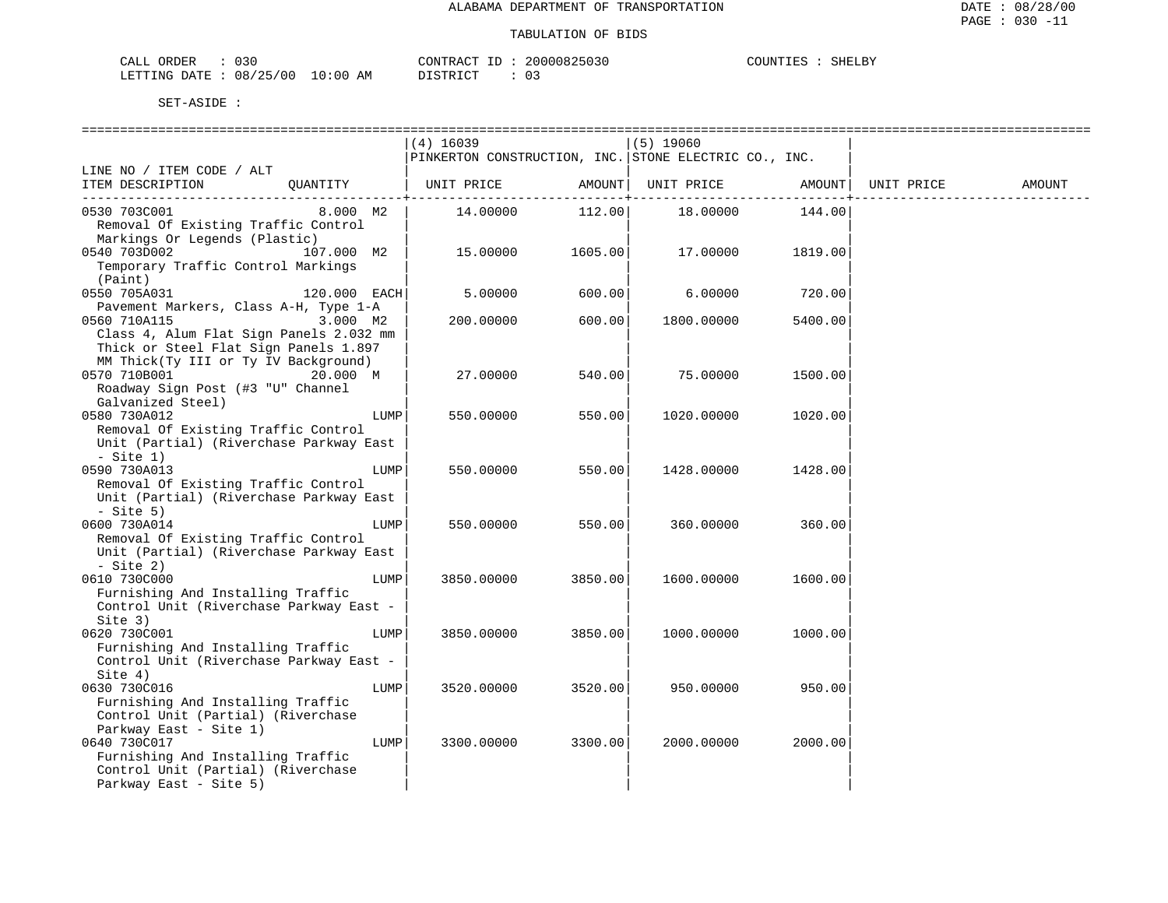| 030<br>ORDER<br>CALL (   |             | CONTRACT. | 20000825030 | COUNTIES<br><b>SHELBY</b> |
|--------------------------|-------------|-----------|-------------|---------------------------|
| 08/25/00<br>LETTING DATE | 10:00<br>ΆM | "STRICT"  |             |                           |

|                                         |      | $(4)$ 16039     |              | $(5)$ 19060                                           |         |            |        |
|-----------------------------------------|------|-----------------|--------------|-------------------------------------------------------|---------|------------|--------|
|                                         |      |                 |              | PINKERTON CONSTRUCTION, INC. STONE ELECTRIC CO., INC. |         |            |        |
| LINE NO / ITEM CODE / ALT               |      |                 |              |                                                       |         |            |        |
| ITEM DESCRIPTION<br>OUANTITY            |      | UNIT PRICE      | AMOUNT       | UNIT PRICE                                            | AMOUNT  | UNIT PRICE | AMOUNT |
| 0530 703C001<br>8.000 M2                |      | 14.00000 112.00 | -----------+ | 18.00000                                              | 144.00  |            |        |
| Removal Of Existing Traffic Control     |      |                 |              |                                                       |         |            |        |
| Markings Or Legends (Plastic)           |      |                 |              |                                                       |         |            |        |
| 0540 703D002<br>107.000 M2              |      | 15.00000        | 1605.00      | 17.00000                                              | 1819.00 |            |        |
| Temporary Traffic Control Markings      |      |                 |              |                                                       |         |            |        |
| (Paint)                                 |      |                 |              |                                                       |         |            |        |
| 0550 705A031<br>120.000 EACH            |      | 5.00000         | 600.00       | 6.00000                                               | 720.00  |            |        |
| Pavement Markers, Class A-H, Type 1-A   |      |                 |              |                                                       |         |            |        |
| $3.000$ M2<br>0560 710A115              |      | 200.00000       | 600.00       | 1800.00000                                            | 5400.00 |            |        |
| Class 4, Alum Flat Sign Panels 2.032 mm |      |                 |              |                                                       |         |            |        |
| Thick or Steel Flat Sign Panels 1.897   |      |                 |              |                                                       |         |            |        |
| MM Thick(Ty III or Ty IV Background)    |      |                 |              |                                                       |         |            |        |
| 0570 710B001<br>20.000 M                |      | 27.00000        | 540.00       | 75.00000                                              | 1500.00 |            |        |
| Roadway Sign Post (#3 "U" Channel       |      |                 |              |                                                       |         |            |        |
| Galvanized Steel)                       |      |                 |              |                                                       |         |            |        |
| 0580 730A012                            | LUMP | 550.00000       | 550.00       | 1020.00000                                            | 1020.00 |            |        |
| Removal Of Existing Traffic Control     |      |                 |              |                                                       |         |            |        |
| Unit (Partial) (Riverchase Parkway East |      |                 |              |                                                       |         |            |        |
| $-$ Site 1)<br>0590 730A013             | LUMP | 550.00000       | 550.00       |                                                       | 1428.00 |            |        |
| Removal Of Existing Traffic Control     |      |                 |              | 1428.00000                                            |         |            |        |
| Unit (Partial) (Riverchase Parkway East |      |                 |              |                                                       |         |            |        |
| $-$ Site 5)                             |      |                 |              |                                                       |         |            |        |
| 0600 730A014                            | LUMP | 550.00000       | 550.00       | 360.00000                                             | 360.00  |            |        |
| Removal Of Existing Traffic Control     |      |                 |              |                                                       |         |            |        |
| Unit (Partial) (Riverchase Parkway East |      |                 |              |                                                       |         |            |        |
| $-$ Site 2)                             |      |                 |              |                                                       |         |            |        |
| 0610 730C000                            | LUMP | 3850.00000      | 3850.00      | 1600.00000                                            | 1600.00 |            |        |
| Furnishing And Installing Traffic       |      |                 |              |                                                       |         |            |        |
| Control Unit (Riverchase Parkway East - |      |                 |              |                                                       |         |            |        |
| Site 3)                                 |      |                 |              |                                                       |         |            |        |
| 0620 730C001                            | LUMP | 3850.00000      | 3850.00      | 1000.00000                                            | 1000.00 |            |        |
| Furnishing And Installing Traffic       |      |                 |              |                                                       |         |            |        |
| Control Unit (Riverchase Parkway East - |      |                 |              |                                                       |         |            |        |
| Site $4)$                               |      |                 |              |                                                       |         |            |        |
| 0630 730C016                            | LUMP | 3520.00000      | 3520.00      | 950.00000                                             | 950.00  |            |        |
| Furnishing And Installing Traffic       |      |                 |              |                                                       |         |            |        |
| Control Unit (Partial) (Riverchase      |      |                 |              |                                                       |         |            |        |
| Parkway East - Site 1)<br>0640 730C017  | LUMP | 3300.00000      | 3300.00      | 2000.00000                                            | 2000.00 |            |        |
| Furnishing And Installing Traffic       |      |                 |              |                                                       |         |            |        |
| Control Unit (Partial) (Riverchase      |      |                 |              |                                                       |         |            |        |
| Parkway East - Site 5)                  |      |                 |              |                                                       |         |            |        |
|                                         |      |                 |              |                                                       |         |            |        |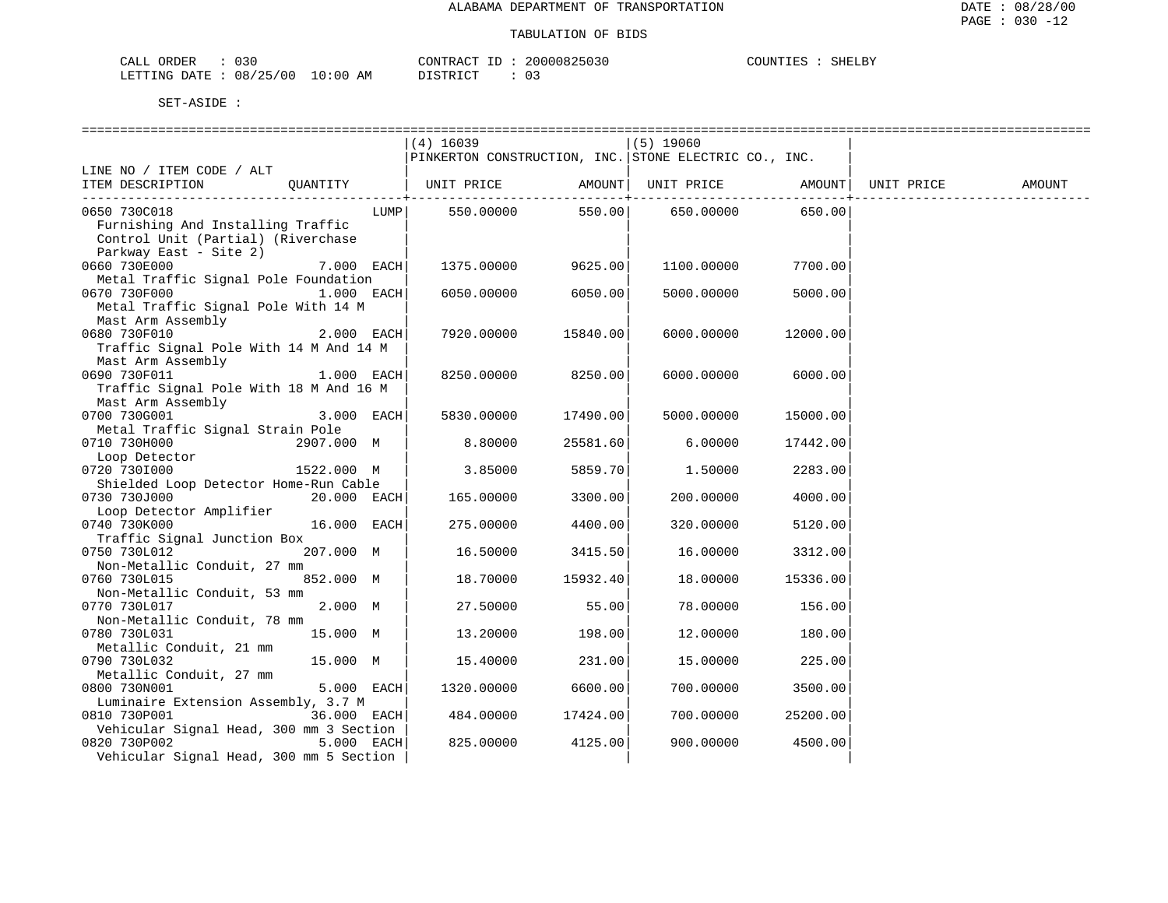| CALL ORDER                       | 030 |  | CONTRACT |  | 20000825030 | COUNTIES | SHELBY |
|----------------------------------|-----|--|----------|--|-------------|----------|--------|
| LETTING DATE : 08/25/00 10:00 AM |     |  | DISTRICT |  | 03          |          |        |

|                                         |               | $(4)$ 16039                                           |                  | $(5)$ 19060 |                  |        |
|-----------------------------------------|---------------|-------------------------------------------------------|------------------|-------------|------------------|--------|
|                                         |               | PINKERTON CONSTRUCTION, INC. STONE ELECTRIC CO., INC. |                  |             |                  |        |
| LINE NO / ITEM CODE / ALT               |               |                                                       |                  |             |                  |        |
| ITEM DESCRIPTION<br>OUANTITY            |               | UNIT PRICE AMOUNT  UNIT PRICE AMOUNT  UNIT PRICE      |                  |             |                  | AMOUNT |
|                                         |               |                                                       |                  |             | ------------+    |        |
| 0650 730C018                            |               |                                                       | 550.00000 550.00 |             | 650.00000 650.00 |        |
|                                         | LUMP          |                                                       |                  |             |                  |        |
| Furnishing And Installing Traffic       |               |                                                       |                  |             |                  |        |
| Control Unit (Partial) (Riverchase      |               |                                                       |                  |             |                  |        |
| Parkway East - Site 2)                  |               |                                                       |                  |             |                  |        |
| 0660 730E000                            | 7.000 EACH    | 1375.00000                                            | 9625.00          | 1100.00000  | 7700.00          |        |
| Metal Traffic Signal Pole Foundation    |               |                                                       |                  |             |                  |        |
| 0670 730F000                            | $1.000$ EACH  | 6050.00000                                            | 6050.00          | 5000.00000  | 5000.00          |        |
| Metal Traffic Signal Pole With 14 M     |               |                                                       |                  |             |                  |        |
| Mast Arm Assembly                       |               |                                                       |                  |             |                  |        |
| 0680 730F010                            | 2.000 EACH    | 7920.00000                                            | 15840.00         | 6000.00000  | 12000.00         |        |
| Traffic Signal Pole With 14 M And 14 M  |               |                                                       |                  |             |                  |        |
| Mast Arm Assembly                       |               |                                                       |                  |             |                  |        |
| 0690 730F011                            |               |                                                       | 8250.00          |             |                  |        |
|                                         | 1.000 EACH    | 8250.00000                                            |                  | 6000.00000  | 6000.00          |        |
| Traffic Signal Pole With 18 M And 16 M  |               |                                                       |                  |             |                  |        |
| Mast Arm Assembly                       |               |                                                       |                  |             |                  |        |
| 0700 730G001                            | 3.000 EACH    | 5830.00000                                            | 17490.00         | 5000.00000  | 15000.00         |        |
| Metal Traffic Signal Strain Pole        |               |                                                       |                  |             |                  |        |
| 0710 730H000                            | 2907.000 M    | 8.80000                                               | 25581.60         | 6.00000     | 17442.00         |        |
| Loop Detector                           |               |                                                       |                  |             |                  |        |
| 0720 7301000                            | 1522.000 M    | 3.85000                                               | 5859.70          | 1.50000     | 2283.00          |        |
| Shielded Loop Detector Home-Run Cable   |               |                                                       |                  |             |                  |        |
| 0730 730J000                            | $20.000$ EACH | 165.00000                                             | 3300.00          | 200.00000   | 4000.00          |        |
| Loop Detector Amplifier                 |               |                                                       |                  |             |                  |        |
| 0740 730K000                            | 16.000 EACH   | 275.00000                                             | 4400.00          | 320.00000   | 5120.00          |        |
| Traffic Signal Junction Box             |               |                                                       |                  |             |                  |        |
| 0750 730L012                            | 207.000 M     | 16.50000                                              | 3415.50          | 16.00000    | 3312.00          |        |
| Non-Metallic Conduit, 27 mm             |               |                                                       |                  |             |                  |        |
| 0760 730L015                            | 852.000 M     | 18.70000                                              | 15932.40         | 18.00000    | 15336.00         |        |
|                                         |               |                                                       |                  |             |                  |        |
| Non-Metallic Conduit, 53 mm             |               |                                                       |                  |             |                  |        |
| 0770 730L017                            | 2.000 M       | 27.50000                                              | 55.00            | 78.00000    | 156.00           |        |
| Non-Metallic Conduit, 78 mm             |               |                                                       |                  |             |                  |        |
| 0780 730L031                            | 15.000 M      | 13.20000                                              | 198.00           | 12.00000    | 180.00           |        |
| Metallic Conduit, 21 mm                 |               |                                                       |                  |             |                  |        |
| 0790 730L032                            | 15.000 M      | 15.40000                                              | 231.00           | 15.00000    | 225.00           |        |
| Metallic Conduit, 27 mm                 |               |                                                       |                  |             |                  |        |
| 0800 730N001                            | 5.000 EACH    | 1320.00000                                            | 6600.00          | 700.00000   | 3500.00          |        |
| Luminaire Extension Assembly, 3.7 M     |               |                                                       |                  |             |                  |        |
| 0810 730P001                            | 36.000 EACH   | 484.00000                                             | 17424.00         | 700.00000   | 25200.00         |        |
| Vehicular Signal Head, 300 mm 3 Section |               |                                                       |                  |             |                  |        |
| 0820 730P002                            | 5.000 EACH    | 825.00000                                             | 4125.00          | 900.00000   | 4500.00          |        |
| Vehicular Signal Head, 300 mm 5 Section |               |                                                       |                  |             |                  |        |
|                                         |               |                                                       |                  |             |                  |        |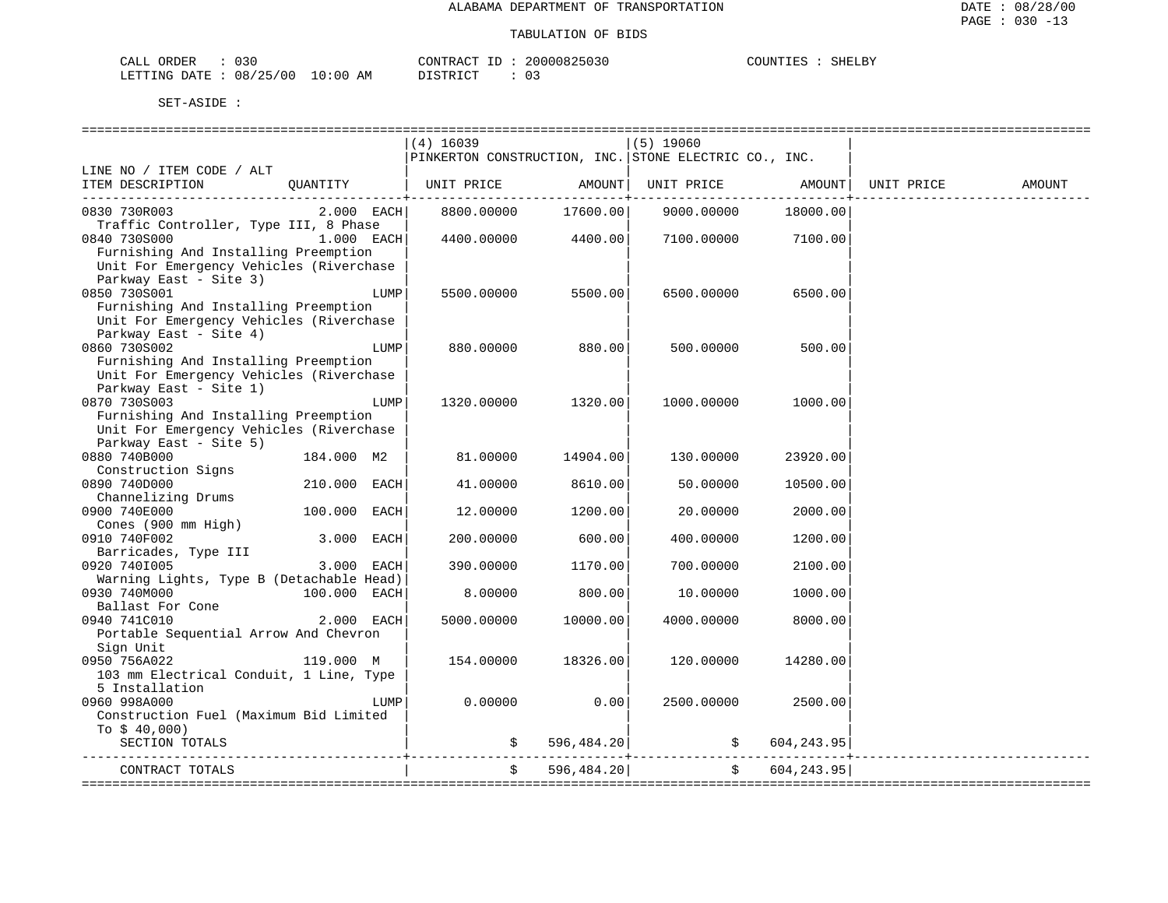| NR DER<br>™AT.T | ັບບ      |                                                                                                                                | CONTRACT | $ -$ | 2000082503い | <b>COLINT</b> | SHELBY |
|-----------------|----------|--------------------------------------------------------------------------------------------------------------------------------|----------|------|-------------|---------------|--------|
| LETTING DATE    | 08/25/00 | 10:00<br>ΑM<br>the contract of the contract of the contract of the contract of the contract of the contract of the contract of |          |      |             |               |        |

|                                                                                |              |      | $(4)$ 16039                                           |               | $(5)$ 19060                              |                |                        |
|--------------------------------------------------------------------------------|--------------|------|-------------------------------------------------------|---------------|------------------------------------------|----------------|------------------------|
|                                                                                |              |      | PINKERTON CONSTRUCTION, INC. STONE ELECTRIC CO., INC. |               |                                          |                |                        |
| LINE NO / ITEM CODE / ALT                                                      |              |      |                                                       |               |                                          |                |                        |
| ITEM DESCRIPTION QUANTITY   UNIT PRICE AMOUNT   UNIT PRICE AMOUNT   UNIT PRICE |              |      |                                                       |               |                                          |                | AMOUNT                 |
|                                                                                |              |      |                                                       |               |                                          |                |                        |
| 0830 730R003                                                                   |              |      | 2.000 EACH 8800.00000                                 |               | 17600.00 9000.00000                      | 18000.00       |                        |
| Traffic Controller, Type III, 8 Phase                                          |              |      |                                                       |               |                                          |                |                        |
| 0840 730S000<br>$1.000$ EACH                                                   |              |      |                                                       |               | 4400.00000  4400.00  7100.00000  7100.00 |                |                        |
| Furnishing And Installing Preemption                                           |              |      |                                                       |               |                                          |                |                        |
| Unit For Emergency Vehicles (Riverchase                                        |              |      |                                                       |               |                                          |                |                        |
| Parkway East - Site 3)                                                         |              |      |                                                       |               |                                          |                |                        |
| 0850 730S001                                                                   |              | LUMP | 5500.00000                                            | 5500.00       | 6500.00000                               | 6500.00        |                        |
| Furnishing And Installing Preemption                                           |              |      |                                                       |               |                                          |                |                        |
| Unit For Emergency Vehicles (Riverchase                                        |              |      |                                                       |               |                                          |                |                        |
| Parkway East - Site 4)                                                         |              |      |                                                       |               |                                          |                |                        |
| 0860 730S002                                                                   |              | LUMP | 880.00000                                             | 880.00        | 500.00000                                | 500.00         |                        |
| Furnishing And Installing Preemption                                           |              |      |                                                       |               |                                          |                |                        |
| Unit For Emergency Vehicles (Riverchase                                        |              |      |                                                       |               |                                          |                |                        |
| Parkway East - Site 1)                                                         |              |      |                                                       |               |                                          |                |                        |
| 0870 730S003                                                                   |              | LUMP | 1320.00000                                            | 1320.00       | 1000.00000                               | 1000.00        |                        |
| Furnishing And Installing Preemption                                           |              |      |                                                       |               |                                          |                |                        |
| Unit For Emergency Vehicles (Riverchase                                        |              |      |                                                       |               |                                          |                |                        |
| Parkway East - Site 5)                                                         |              |      |                                                       |               |                                          |                |                        |
| 0880 740B000                                                                   | 184.000 M2   |      | 81.00000                                              | 14904.00      | 130.00000                                | 23920.00       |                        |
| Construction Signs                                                             |              |      |                                                       |               |                                          |                |                        |
| 0890 740D000                                                                   | 210.000 EACH |      | 41.00000                                              | 8610.00       | 50.00000                                 | 10500.00       |                        |
| Channelizing Drums                                                             |              |      |                                                       |               |                                          |                |                        |
| 0900 740E000                                                                   | 100.000 EACH |      | 12.00000                                              | 1200.00       | 20.00000                                 | 2000.00        |                        |
| Cones (900 mm High)                                                            |              |      |                                                       |               |                                          |                |                        |
| 0910 740F002                                                                   | 3.000 EACH   |      | 200.00000                                             | 600.00        | 400.00000                                | 1200.00        |                        |
| Barricades, Type III                                                           |              |      |                                                       |               |                                          |                |                        |
| 0920 7401005                                                                   | 3.000 EACH   |      | 390.00000                                             | 1170.00       | 700.00000                                | 2100.00        |                        |
| Warning Lights, Type B (Detachable Head)                                       |              |      |                                                       |               |                                          |                |                        |
| 0930 740M000<br>100.000 EACH                                                   |              |      | 8,00000                                               | 800.00        | 10.00000                                 | 1000.00        |                        |
| Ballast For Cone                                                               |              |      |                                                       |               |                                          |                |                        |
| 0940 741C010                                                                   | $2.000$ EACH |      | 5000.00000                                            | 10000.00      | 4000.00000                               | 8000.00        |                        |
| Portable Sequential Arrow And Chevron                                          |              |      |                                                       |               |                                          |                |                        |
| Sign Unit                                                                      |              |      |                                                       |               |                                          |                |                        |
| 119.000 M<br>0950 756A022                                                      |              |      | 154.00000                                             | 18326.00      | 120.00000                                | 14280.00       |                        |
| 103 mm Electrical Conduit, 1 Line, Type                                        |              |      |                                                       |               |                                          |                |                        |
| 5 Installation                                                                 |              |      |                                                       |               |                                          |                |                        |
| 0960 998A000                                                                   |              | LUMP | 0.00000                                               | 0.00          | 2500.00000                               | 2500.00        |                        |
| Construction Fuel (Maximum Bid Limited                                         |              |      |                                                       |               |                                          |                |                        |
| To $$40,000$ )                                                                 |              |      |                                                       |               |                                          |                |                        |
| SECTION TOTALS                                                                 |              |      |                                                       | \$596,484.20] |                                          |                |                        |
|                                                                                |              |      |                                                       |               |                                          | \$604,243.95   | ______________________ |
| CONTRACT TOTALS                                                                |              |      |                                                       | \$596,484.20] |                                          | \$604, 243.95] |                        |
|                                                                                |              |      |                                                       |               |                                          |                |                        |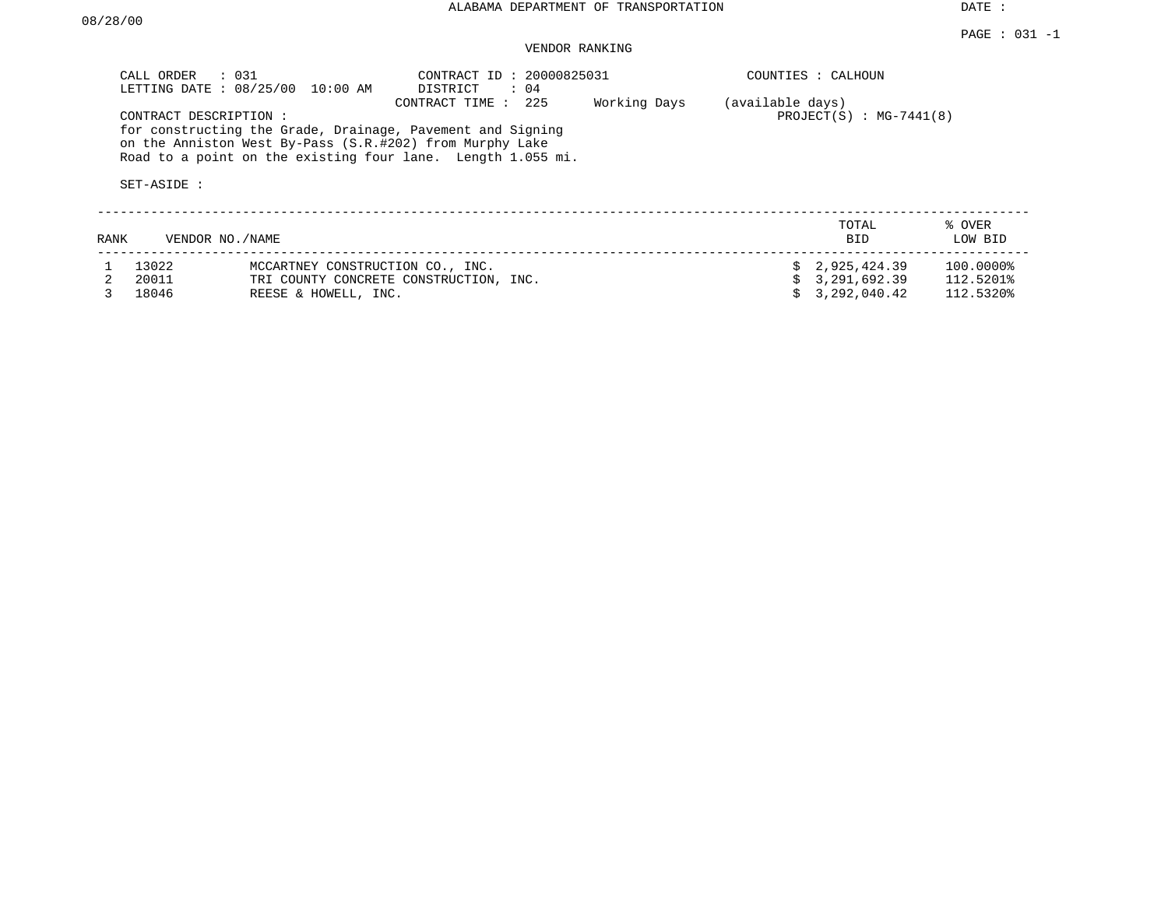DATE :

## VENDOR RANKING

|      | CALL ORDER : 031                     | LETTING DATE : 08/25/00 10:00 AM                         | CONTRACT ID: 20000825031<br>DISTRICT<br>: 04                                                                                                     |              |                  | COUNTIES : CALHOUN        |                   |
|------|--------------------------------------|----------------------------------------------------------|--------------------------------------------------------------------------------------------------------------------------------------------------|--------------|------------------|---------------------------|-------------------|
|      | CONTRACT DESCRIPTION:<br>SET-ASIDE : | on the Anniston West By-Pass (S.R.#202) from Murphy Lake | CONTRACT TIME : 225<br>for constructing the Grade, Drainage, Pavement and Signing<br>Road to a point on the existing four lane. Length 1.055 mi. | Working Days | (available days) | $PROJECT(S) : MG-7441(8)$ |                   |
| RANK | VENDOR NO./NAME                      |                                                          |                                                                                                                                                  |              |                  | TOTAL<br>BID              | % OVER<br>LOW BID |
|      | 13022                                | MCCARTNEY CONSTRUCTION CO., INC.                         |                                                                                                                                                  |              |                  | 2,925,424.39              | 100.0000%         |
|      | 20011                                |                                                          | TRI COUNTY CONCRETE CONSTRUCTION, INC.                                                                                                           |              |                  | 3,291,692.39              | 112.5201%         |
|      | 18046                                | REESE & HOWELL, INC.                                     |                                                                                                                                                  |              |                  | 3,292,040.42              | 112.5320%         |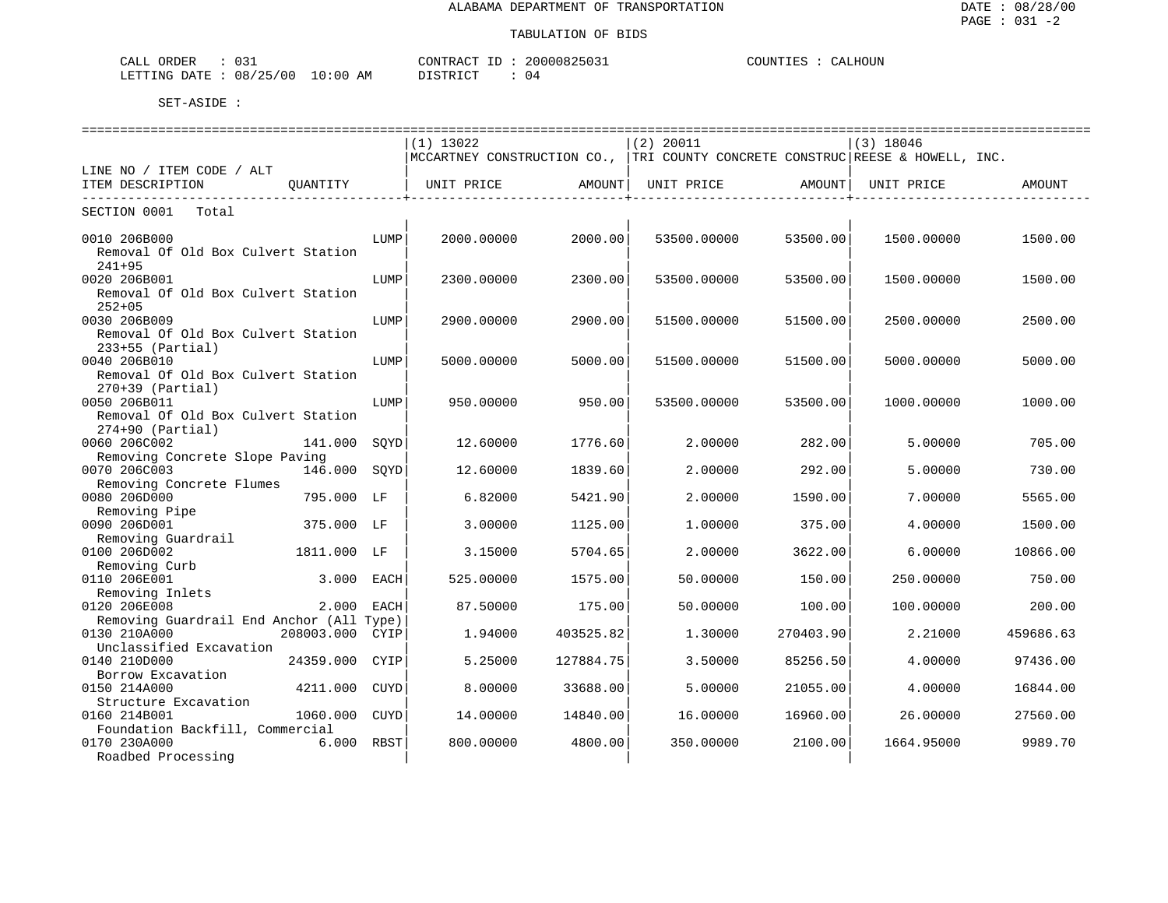| $\sim$ $\sim$<br>ORDER<br>$\sim$ $ -$<br>אי<br>للطلاب<br>- - - -                                                                                            |                   | חידונרי<br>$. \triangleright \lambda \cap \neg \neg$ | .  | HOUN .<br>COINTIE!<br>ו ∆י<br>$1.118 \pm 1.113$ |
|-------------------------------------------------------------------------------------------------------------------------------------------------------------|-------------------|------------------------------------------------------|----|-------------------------------------------------|
| 10F<br>08<br>.ETTTIMA<br>״ידי∆ו<br>′ ∩ r<br>the contract of the contract of the contract of the contract of the contract of the contract of the contract of | AΜ<br>.00<br>- 11 | TAT<br>סיד פרח                                       | U4 |                                                 |

|                                          |             | $(1)$ 13022 |                  | $(2)$ 20011                                                                    |           | $(3)$ 18046 |           |
|------------------------------------------|-------------|-------------|------------------|--------------------------------------------------------------------------------|-----------|-------------|-----------|
|                                          |             |             |                  | MCCARTNEY CONSTRUCTION CO.,  TRI COUNTY CONCRETE CONSTRUC REESE & HOWELL, INC. |           |             |           |
| LINE NO / ITEM CODE / ALT                |             |             |                  |                                                                                |           |             |           |
| ITEM DESCRIPTION<br>OUANTITY             |             | UNIT PRICE  | AMOUNT           | UNIT PRICE                                                                     | AMOUNT    | UNIT PRICE  | AMOUNT    |
| . _ _ _ _ _ _ _ _ _                      |             |             | ---------------- | ------------                                                                   |           |             |           |
| SECTION 0001<br>Total                    |             |             |                  |                                                                                |           |             |           |
|                                          |             |             |                  |                                                                                |           |             |           |
| 0010 206B000                             | LUMP        | 2000.00000  | 2000.00          | 53500.00000                                                                    | 53500.00  | 1500.00000  | 1500.00   |
| Removal Of Old Box Culvert Station       |             |             |                  |                                                                                |           |             |           |
| $241 + 95$                               |             |             |                  |                                                                                |           |             |           |
| 0020 206B001                             | LUMP        | 2300.00000  | 2300.00          | 53500.00000                                                                    | 53500.00  | 1500.00000  | 1500.00   |
| Removal Of Old Box Culvert Station       |             |             |                  |                                                                                |           |             |           |
| $252+05$                                 |             |             |                  |                                                                                |           |             |           |
| 0030 206B009                             | LUMP        | 2900.00000  | 2900.00          | 51500.00000                                                                    | 51500.00  | 2500.00000  | 2500.00   |
| Removal Of Old Box Culvert Station       |             |             |                  |                                                                                |           |             |           |
| $233+55$ (Partial)                       |             |             |                  |                                                                                |           |             |           |
| 0040 206B010                             | LUMP        | 5000.00000  | 5000.00          | 51500.00000                                                                    | 51500.00  | 5000.00000  | 5000.00   |
| Removal Of Old Box Culvert Station       |             |             |                  |                                                                                |           |             |           |
| $270+39$ (Partial)                       |             |             |                  |                                                                                |           |             |           |
| 0050 206B011                             | LUMP        | 950.00000   | 950.00           | 53500.00000                                                                    | 53500.00  | 1000.00000  | 1000.00   |
| Removal Of Old Box Culvert Station       |             |             |                  |                                                                                |           |             |           |
| $274+90$ (Partial)                       |             |             |                  |                                                                                |           |             |           |
| 0060 206C002<br>141.000                  | SOYD        | 12.60000    | 1776.60          | 2.00000                                                                        | 282.00    | 5.00000     | 705.00    |
| Removing Concrete Slope Paving           |             |             |                  |                                                                                |           |             |           |
| 0070 206C003<br>146.000                  | SQYD        | 12.60000    | 1839.60          | 2.00000                                                                        | 292.00    | 5.00000     | 730.00    |
| Removing Concrete Flumes                 |             |             |                  |                                                                                |           |             |           |
| 0080 206D000<br>795.000 LF               |             | 6.82000     | 5421.90          | 2.00000                                                                        | 1590.00   | 7.00000     | 5565.00   |
| Removing Pipe                            |             |             |                  |                                                                                |           |             |           |
| 0090 206D001<br>375.000 LF               |             | 3.00000     | 1125.00          | 1,00000                                                                        | 375.00    | 4.00000     | 1500.00   |
| Removing Guardrail                       |             |             |                  |                                                                                |           |             |           |
| 0100 206D002<br>1811.000                 | LF          | 3.15000     | 5704.65          | 2.00000                                                                        | 3622.00   | 6.00000     | 10866.00  |
| Removing Curb                            |             |             |                  |                                                                                |           |             |           |
| 0110 206E001<br>3.000                    | EACH        | 525.00000   | 1575.00          | 50.00000                                                                       | 150.00    | 250.00000   | 750.00    |
| Removing Inlets                          |             |             |                  |                                                                                |           |             |           |
| 0120 206E008<br>2.000                    | EACH        | 87.50000    | 175.00           | 50.00000                                                                       | 100.00    | 100,00000   | 200.00    |
| Removing Guardrail End Anchor (All Type) |             |             |                  |                                                                                |           |             |           |
| 0130 210A000<br>208003.000 CYIP          |             | 1.94000     | 403525.82        | 1,30000                                                                        | 270403.90 | 2.21000     | 459686.63 |
| Unclassified Excavation                  |             |             |                  |                                                                                |           |             |           |
| 0140 210D000<br>24359.000                | CYIP        | 5.25000     | 127884.75        | 3.50000                                                                        | 85256.50  | 4.00000     | 97436.00  |
| Borrow Excavation                        |             |             |                  |                                                                                |           |             |           |
| 0150 214A000<br>4211.000                 | <b>CUYD</b> | 8,00000     | 33688.00         | 5.00000                                                                        | 21055.00  | 4.00000     | 16844.00  |
| Structure Excavation                     |             |             |                  |                                                                                |           |             |           |
| 0160 214B001<br>1060.000                 | CUYD        | 14,00000    | 14840.00         | 16,00000                                                                       | 16960.00  | 26,00000    | 27560.00  |
| Foundation Backfill, Commercial          |             |             |                  |                                                                                |           |             |           |
| 0170 230A000<br>6.000                    | RBST        | 800.00000   | 4800.00          | 350.00000                                                                      | 2100.00   | 1664.95000  | 9989.70   |
| Roadbed Processing                       |             |             |                  |                                                                                |           |             |           |
|                                          |             |             |                  |                                                                                |           |             |           |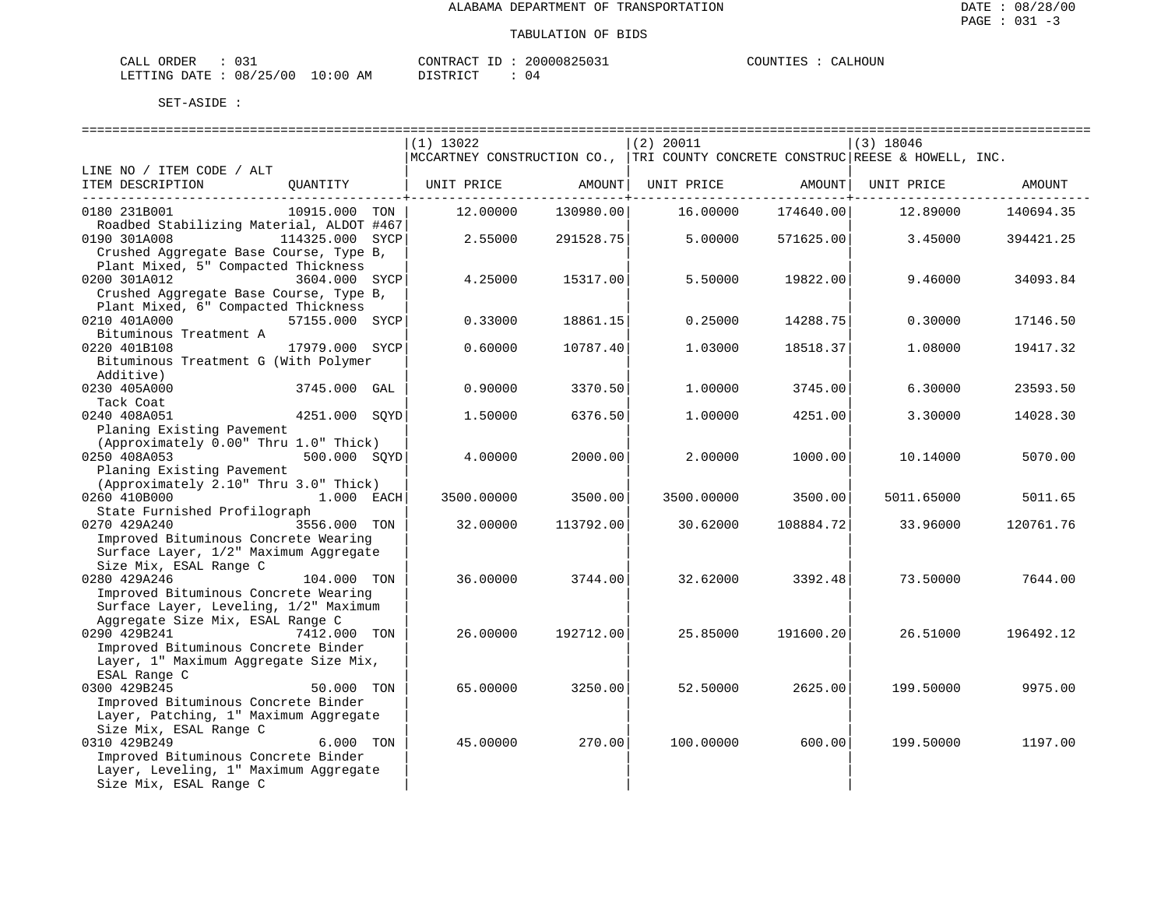| ORDER<br>CALL (                  |  | CONTRACT<br>- TD | 20000825031 | COUNTIES | CALHOUN |
|----------------------------------|--|------------------|-------------|----------|---------|
| LETTING DATE : 08/25/00 10:00 AM |  | DISTRICT         | 04          |          |         |

|                                                                                    |                | ----------------------------- |           |                                                                               |           | ================================= |           |
|------------------------------------------------------------------------------------|----------------|-------------------------------|-----------|-------------------------------------------------------------------------------|-----------|-----------------------------------|-----------|
|                                                                                    |                | $(1)$ 13022                   |           | $(2)$ 20011                                                                   |           | (3) 18046                         |           |
|                                                                                    |                |                               |           | MCCARTNEY CONSTRUCTION CO., TRI COUNTY CONCRETE CONSTRUC REESE & HOWELL, INC. |           |                                   |           |
| LINE NO / ITEM CODE / ALT                                                          |                |                               |           |                                                                               |           |                                   |           |
| ITEM DESCRIPTION                                                                   | QUANTITY       |                               |           | UNIT PRICE AMOUNT  UNIT PRICE AMOUNT  UNIT PRICE AMOUNT                       |           |                                   |           |
| 0180 231B001                                                                       | 10915.000 TON  | 12.00000                      | 130980.00 | 16.00000                                                                      | 174640.00 | 12.89000                          | 140694.35 |
| Roadbed Stabilizing Material, ALDOT #467                                           |                |                               |           |                                                                               |           |                                   |           |
| 0190 301A008<br>114325.000 SYCP                                                    |                | 2.55000                       | 291528.75 | 5.00000                                                                       | 571625.00 | 3.45000                           | 394421.25 |
| Crushed Aggregate Base Course, Type B,                                             |                |                               |           |                                                                               |           |                                   |           |
| Plant Mixed, 5" Compacted Thickness                                                |                |                               |           |                                                                               |           |                                   |           |
| 0200 301A012                                                                       | 3604.000 SYCP  | 4.25000                       | 15317.00  | 5.50000                                                                       | 19822.00  | 9.46000                           | 34093.84  |
| Crushed Aggregate Base Course, Type B,                                             |                |                               |           |                                                                               |           |                                   |           |
| Plant Mixed, 6" Compacted Thickness                                                |                |                               |           |                                                                               |           |                                   |           |
| 0210 401A000                                                                       | 57155.000 SYCP | 0.33000                       | 18861.15  | 0.25000                                                                       | 14288.75  | 0.30000                           | 17146.50  |
| Bituminous Treatment A                                                             |                |                               |           |                                                                               |           |                                   |           |
| 0220 401B108                                                                       | 17979.000 SYCP | 0.60000                       | 10787.40  | 1.03000                                                                       | 18518.37  | 1,08000                           | 19417.32  |
| Bituminous Treatment G (With Polymer                                               |                |                               |           |                                                                               |           |                                   |           |
| Additive)                                                                          |                |                               |           |                                                                               |           |                                   |           |
| 0230 405A000                                                                       | 3745.000 GAL   | 0.90000                       | 3370.50   | 1,00000                                                                       | 3745.00   | 6.30000                           | 23593.50  |
| Tack Coat                                                                          |                |                               |           |                                                                               |           |                                   |           |
| 4251.000 SQYD<br>0240 408A051                                                      |                | 1.50000                       | 6376.50   | 1,00000                                                                       | 4251.00   | 3.30000                           | 14028.30  |
| Planing Existing Pavement                                                          |                |                               |           |                                                                               |           |                                   |           |
| (Approximately 0.00" Thru 1.0" Thick)                                              |                |                               |           |                                                                               |           |                                   |           |
| 0250 408A053                                                                       | 500.000 SOYD   | 4.00000                       | 2000.00   | 2,00000                                                                       | 1000.00   | 10.14000                          | 5070.00   |
| Planing Existing Pavement<br>(Approximately 2.10" Thru 3.0" Thick)                 |                |                               |           |                                                                               |           |                                   |           |
| 0260 410B000<br>лично процессов производите 1.000 г. п.н.э. Р. — 1.000 г. — ЕАСН I |                | 3500.00000                    | 3500.00   | 3500.00000                                                                    | 3500.00   | 5011.65000                        | 5011.65   |
| State Furnished Profilograph                                                       |                |                               |           |                                                                               |           |                                   |           |
| 0270 429A240                                                                       | 3556.000 TON   | 32.00000                      | 113792.00 | 30.62000                                                                      | 108884.72 | 33.96000                          | 120761.76 |
| Improved Bituminous Concrete Wearing                                               |                |                               |           |                                                                               |           |                                   |           |
| Surface Layer, 1/2" Maximum Aggregate                                              |                |                               |           |                                                                               |           |                                   |           |
| Size Mix, ESAL Range C                                                             |                |                               |           |                                                                               |           |                                   |           |
| 0280 429A246                                                                       | 104.000 TON    | 36.00000                      | 3744.00   | 32.62000                                                                      | 3392.48   | 73.50000                          | 7644.00   |
| Improved Bituminous Concrete Wearing                                               |                |                               |           |                                                                               |           |                                   |           |
| Surface Layer, Leveling, 1/2" Maximum                                              |                |                               |           |                                                                               |           |                                   |           |
| Aggregate Size Mix, ESAL Range C                                                   |                |                               |           |                                                                               |           |                                   |           |
| 0290 429B241                                                                       | 7412.000 TON   | 26.00000                      | 192712.00 | 25.85000                                                                      | 191600.20 | 26.51000                          | 196492.12 |
| Improved Bituminous Concrete Binder                                                |                |                               |           |                                                                               |           |                                   |           |
| Layer, 1" Maximum Aggregate Size Mix,                                              |                |                               |           |                                                                               |           |                                   |           |
| ESAL Range C                                                                       |                |                               |           |                                                                               |           |                                   |           |
| 0300 429B245                                                                       | 50.000 TON     | 65.00000                      | 3250.00   | 52.50000                                                                      | 2625.00   | 199.50000                         | 9975.00   |
| Improved Bituminous Concrete Binder                                                |                |                               |           |                                                                               |           |                                   |           |
| Layer, Patching, 1" Maximum Aggregate                                              |                |                               |           |                                                                               |           |                                   |           |
| Size Mix, ESAL Range C                                                             |                |                               |           |                                                                               |           |                                   |           |
| 0310 429B249                                                                       | 6.000 TON      | 45.00000                      | 270.00    | 100.00000                                                                     | 600.00    | 199.50000                         | 1197.00   |
| Improved Bituminous Concrete Binder<br>Layer, Leveling, 1" Maximum Aggregate       |                |                               |           |                                                                               |           |                                   |           |
| Size Mix, ESAL Range C                                                             |                |                               |           |                                                                               |           |                                   |           |
|                                                                                    |                |                               |           |                                                                               |           |                                   |           |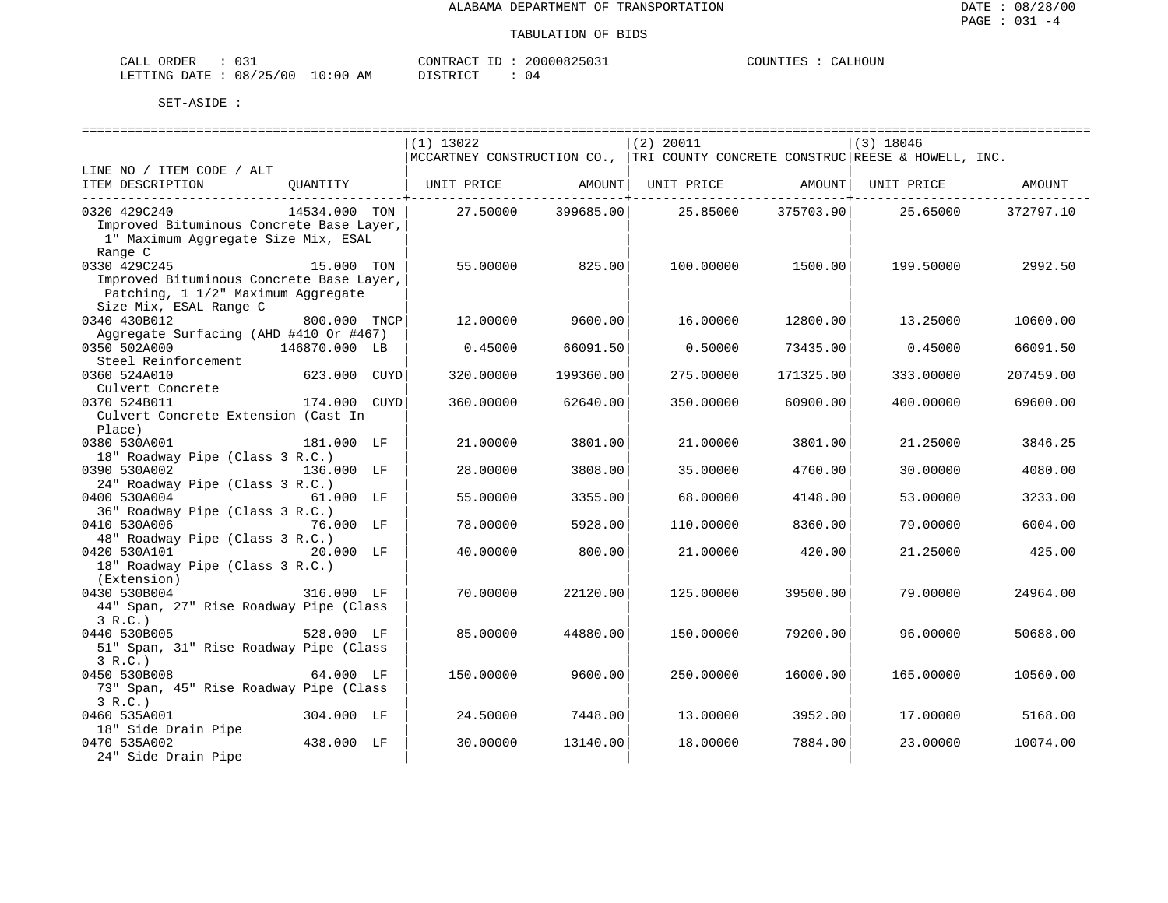| ORDER<br>CALL (                  |  | CONTRACT<br>- TD | 20000825031 | COUNTIES | CALHOUN |
|----------------------------------|--|------------------|-------------|----------|---------|
| LETTING DATE : 08/25/00 10:00 AM |  | DISTRICT         | 04          |          |         |

|                                                        | $(1)$ 13022            | (2) 20011                                                                     | $(3)$ 18046                    |
|--------------------------------------------------------|------------------------|-------------------------------------------------------------------------------|--------------------------------|
|                                                        |                        | MCCARTNEY CONSTRUCTION CO., TRI COUNTY CONCRETE CONSTRUC REESE & HOWELL, INC. |                                |
| LINE NO / ITEM CODE / ALT                              |                        |                                                                               |                                |
| ITEM DESCRIPTION<br>OUANTITY                           | UNIT PRICE<br>AMOUNT   | UNIT PRICE                                                                    | AMOUNT   UNIT PRICE<br>AMOUNT  |
|                                                        |                        |                                                                               | _________ <b>_</b> ___________ |
| 0320 429C240<br>14534.000 TON                          | 399685.00<br>27.50000  | 25.85000<br>375703.90                                                         | 25.65000<br>372797.10          |
| Improved Bituminous Concrete Base Layer,               |                        |                                                                               |                                |
| 1" Maximum Aggregate Size Mix, ESAL                    |                        |                                                                               |                                |
| Range C                                                |                        |                                                                               |                                |
| 0330 429C245<br>15.000 TON                             | 55.00000<br>825.00     | 100.00000<br>1500.00                                                          | 199.50000<br>2992.50           |
| Improved Bituminous Concrete Base Layer,               |                        |                                                                               |                                |
| Patching, 1 1/2" Maximum Aggregate                     |                        |                                                                               |                                |
| Size Mix, ESAL Range C<br>0340 430B012                 | 9600.00                | 12800.00                                                                      |                                |
| 800.000 TNCP<br>Aggregate Surfacing (AHD #410 Or #467) | 12.00000               | 16.00000                                                                      | 13.25000<br>10600.00           |
| 0350 502A000<br>146870.000 LB                          | 0.45000<br>66091.50    | 0.50000<br>73435.00                                                           | 0.45000<br>66091.50            |
| Steel Reinforcement                                    |                        |                                                                               |                                |
| 623.000 CUYD<br>0360 524A010                           | 320.00000<br>199360.00 | 275.00000<br>171325.00                                                        | 333.00000<br>207459.00         |
| Culvert Concrete                                       |                        |                                                                               |                                |
| 174.000 CUYD<br>0370 524B011                           | 360.00000<br>62640.00  | 350.00000<br>60900.00                                                         | 400.00000<br>69600.00          |
| Culvert Concrete Extension (Cast In                    |                        |                                                                               |                                |
| Place)                                                 |                        |                                                                               |                                |
| 0380 530A001<br>181.000 LF                             | 21.00000<br>3801.00    | 21,00000<br>3801.00                                                           | 21.25000<br>3846.25            |
| 18" Roadway Pipe (Class 3 R.C.)                        |                        |                                                                               |                                |
| 0390 530A002<br>136.000 LF                             | 28,00000<br>3808.00    | 35.00000<br>4760.00                                                           | 30,00000<br>4080.00            |
| 24" Roadway Pipe (Class 3 R.C.)                        |                        |                                                                               |                                |
| 0400 530A004<br>61.000 LF                              | 55.00000<br>3355.00    | 68.00000<br>4148.00                                                           | 53.00000<br>3233.00            |
| 36" Roadway Pipe (Class 3 R.C.)                        |                        |                                                                               |                                |
| 0410 530A006<br>76.000 LF                              | 5928.00<br>78,00000    | 110,00000<br>8360.00                                                          | 79.00000<br>6004.00            |
| 48" Roadway Pipe (Class 3 R.C.)                        |                        |                                                                               |                                |
| 0420 530A101<br>20.000 LF                              | 40.00000<br>800.00     | 21.00000<br>420.00                                                            | 21.25000<br>425.00             |
| 18" Roadway Pipe (Class 3 R.C.)                        |                        |                                                                               |                                |
| (Extension)                                            |                        |                                                                               |                                |
| 0430 530B004<br>316.000 LF                             | 22120.00<br>70.00000   | 125.00000<br>39500.00                                                         | 79.00000<br>24964.00           |
| 44" Span, 27" Rise Roadway Pipe (Class                 |                        |                                                                               |                                |
| 3 R.C.                                                 |                        |                                                                               |                                |
| 0440 530B005<br>528.000 LF                             | 85,00000<br>44880.00   | 150.00000<br>79200.00                                                         | 96.00000<br>50688.00           |
| 51" Span, 31" Rise Roadway Pipe (Class                 |                        |                                                                               |                                |
| 3 R.C.<br>0450 530B008<br>64.000 LF                    | 150.00000<br>9600.00   | 250.00000<br>16000.00                                                         | 165,00000<br>10560.00          |
| 73" Span, 45" Rise Roadway Pipe (Class                 |                        |                                                                               |                                |
| 3 R.C.                                                 |                        |                                                                               |                                |
| 0460 535A001<br>304.000 LF                             | 24.50000<br>7448.00    | 13.00000<br>3952.00                                                           | 17.00000<br>5168.00            |
| 18" Side Drain Pipe                                    |                        |                                                                               |                                |
| 0470 535A002<br>438.000 LF                             | 30.00000<br>13140.00   | 18,00000<br>7884.00                                                           | 23,00000<br>10074.00           |
| 24" Side Drain Pipe                                    |                        |                                                                               |                                |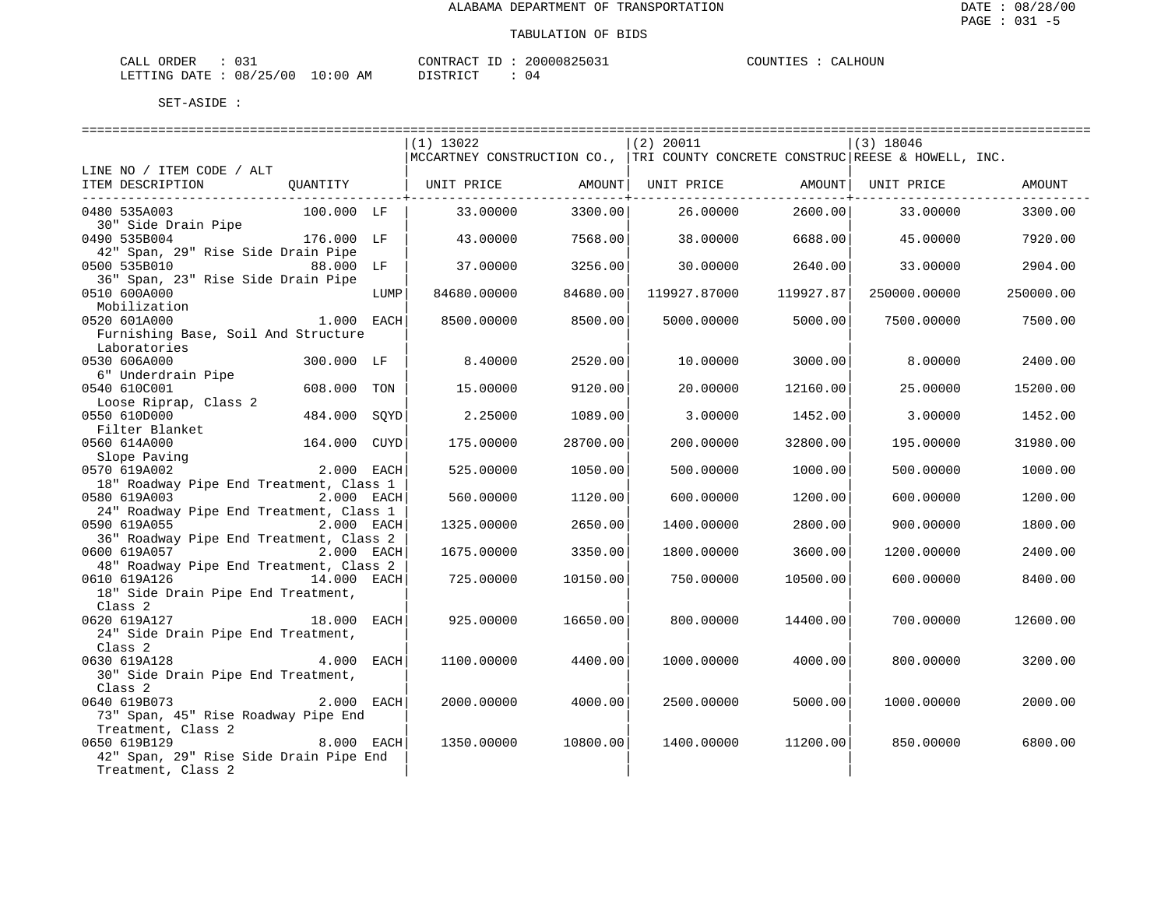| ORDER<br>CALI          | . |               | 'ONTRACT | ТD | 20000825031  | COUNTIES |  | ALHOUN<br>ו בי |
|------------------------|---|---------------|----------|----|--------------|----------|--|----------------|
| LETTING DATE: 08/25/00 |   | LO : 00<br>AΜ | I STR I  |    | <u>ົ</u> ດ 4 |          |  |                |

|                                         |              |      | $(1)$ 13022                                                                   |                                     | $(2)$ 20011         |           | $(3)$ 18046        |           |
|-----------------------------------------|--------------|------|-------------------------------------------------------------------------------|-------------------------------------|---------------------|-----------|--------------------|-----------|
|                                         |              |      | MCCARTNEY CONSTRUCTION CO., TRI COUNTY CONCRETE CONSTRUC REESE & HOWELL, INC. |                                     |                     |           |                    |           |
| LINE NO / ITEM CODE / ALT               |              |      |                                                                               |                                     |                     |           |                    |           |
| ITEM DESCRIPTION                        | QUANTITY     |      | UNIT PRICE                                                                    |                                     | AMOUNT   UNIT PRICE |           | AMOUNT  UNIT PRICE | AMOUNT    |
| ----------------------------------      |              |      |                                                                               | . _ _ _ _ _ _ _ _ _ _ + _ _ _ _ _ _ |                     |           |                    |           |
| 0480 535A003                            | 100.000 LF   |      | 33.00000                                                                      | 3300.00                             | 26.00000            | 2600.00   | 33.00000           | 3300.00   |
| 30" Side Drain Pipe                     |              |      |                                                                               |                                     |                     |           |                    |           |
| 0490 535B004                            | 176.000 LF   |      | 43.00000                                                                      | 7568.00                             | 38.00000            | 6688.00   | 45.00000           | 7920.00   |
| 42" Span, 29" Rise Side Drain Pipe      |              |      |                                                                               |                                     |                     |           |                    |           |
| 0500 535B010                            | 88.000 LF    |      | 37.00000                                                                      | 3256.00                             | 30,00000            | 2640.00   | 33,00000           | 2904.00   |
| 36" Span, 23" Rise Side Drain Pipe      |              |      |                                                                               |                                     |                     |           |                    |           |
| 0510 600A000                            |              | LUMP | 84680.00000                                                                   | 84680.00                            | 119927.87000        | 119927.87 | 250000.00000       | 250000.00 |
| Mobilization                            |              |      |                                                                               |                                     |                     |           |                    |           |
| 0520 601A000                            | $1.000$ EACH |      | 8500.00000                                                                    | 8500.00                             | 5000.00000          | 5000.00   | 7500.00000         | 7500.00   |
| Furnishing Base, Soil And Structure     |              |      |                                                                               |                                     |                     |           |                    |           |
| Laboratories                            |              |      |                                                                               |                                     |                     |           |                    |           |
| 0530 606A000                            | 300.000 LF   |      | 8,40000                                                                       | 2520.00                             | 10.00000            | 3000.00   | 8.00000            | 2400.00   |
| 6" Underdrain Pipe                      |              |      |                                                                               |                                     |                     |           |                    |           |
| 0540 610C001                            | 608.000      | TON  | 15,00000                                                                      | 9120.00                             | 20.00000            | 12160.00  | 25.00000           | 15200.00  |
| Loose Riprap, Class 2                   |              |      |                                                                               |                                     |                     |           |                    |           |
| 0550 610D000                            | 484.000      | SOYD | 2.25000                                                                       | 1089.00                             | 3.00000             | 1452.00   | 3.00000            | 1452.00   |
| Filter Blanket                          |              |      |                                                                               |                                     |                     |           |                    |           |
| 0560 614A000                            | 164.000 CUYD |      | 175.00000                                                                     | 28700.00                            | 200,00000           | 32800.00  | 195.00000          | 31980.00  |
| Slope Paving                            |              |      |                                                                               |                                     |                     |           |                    |           |
| 0570 619A002                            | 2.000 EACH   |      | 525.00000                                                                     | 1050.00                             | 500.00000           | 1000.00   | 500.00000          | 1000.00   |
| 18" Roadway Pipe End Treatment, Class 1 |              |      |                                                                               |                                     |                     |           |                    |           |
| 0580 619A003                            | 2.000 EACH   |      | 560.00000                                                                     | 1120.00                             | 600,00000           | 1200.00   | 600,00000          | 1200.00   |
| 24" Roadway Pipe End Treatment, Class 1 |              |      |                                                                               |                                     |                     |           |                    |           |
| 0590 619A055                            | 2.000 EACH   |      | 1325.00000                                                                    | 2650.00                             | 1400.00000          | 2800.00   | 900.00000          | 1800.00   |
| 36" Roadway Pipe End Treatment, Class 2 |              |      |                                                                               |                                     |                     |           |                    |           |
| 0600 619A057                            | 2.000 EACH   |      | 1675.00000                                                                    | 3350.00                             | 1800.00000          | 3600.00   | 1200.00000         | 2400.00   |
| 48" Roadway Pipe End Treatment, Class 2 |              |      |                                                                               |                                     |                     |           |                    |           |
| 0610 619A126<br>$14.000$ EACH           |              |      | 725.00000                                                                     | 10150.00                            | 750.00000           | 10500.00  | 600,00000          | 8400.00   |
| 18" Side Drain Pipe End Treatment,      |              |      |                                                                               |                                     |                     |           |                    |           |
| Class 2                                 |              |      |                                                                               |                                     |                     |           |                    |           |
| 0620 619A127                            | 18.000 EACH  |      | 925.00000                                                                     | 16650.00                            | 800,00000           | 14400.00  | 700.00000          | 12600.00  |
| 24" Side Drain Pipe End Treatment,      |              |      |                                                                               |                                     |                     |           |                    |           |
| Class <sub>2</sub>                      |              |      |                                                                               |                                     |                     |           |                    |           |
| 0630 619A128                            | 4.000 EACH   |      | 1100.00000                                                                    | 4400.00                             | 1000.00000          | 4000.00   | 800.00000          | 3200.00   |
| 30" Side Drain Pipe End Treatment,      |              |      |                                                                               |                                     |                     |           |                    |           |
| Class 2                                 |              |      |                                                                               |                                     |                     |           |                    |           |
| 0640 619B073                            | 2.000 EACH   |      | 2000.00000                                                                    | 4000.00                             | 2500.00000          | 5000.00   | 1000.00000         | 2000.00   |
| 73" Span, 45" Rise Roadway Pipe End     |              |      |                                                                               |                                     |                     |           |                    |           |
| Treatment, Class 2                      |              |      |                                                                               |                                     |                     |           |                    |           |
| 0650 619B129                            | 8.000 EACH   |      | 1350.00000                                                                    | 10800.00                            | 1400.00000          | 11200.00  | 850.00000          | 6800.00   |
| 42" Span, 29" Rise Side Drain Pipe End  |              |      |                                                                               |                                     |                     |           |                    |           |
| Treatment, Class 2                      |              |      |                                                                               |                                     |                     |           |                    |           |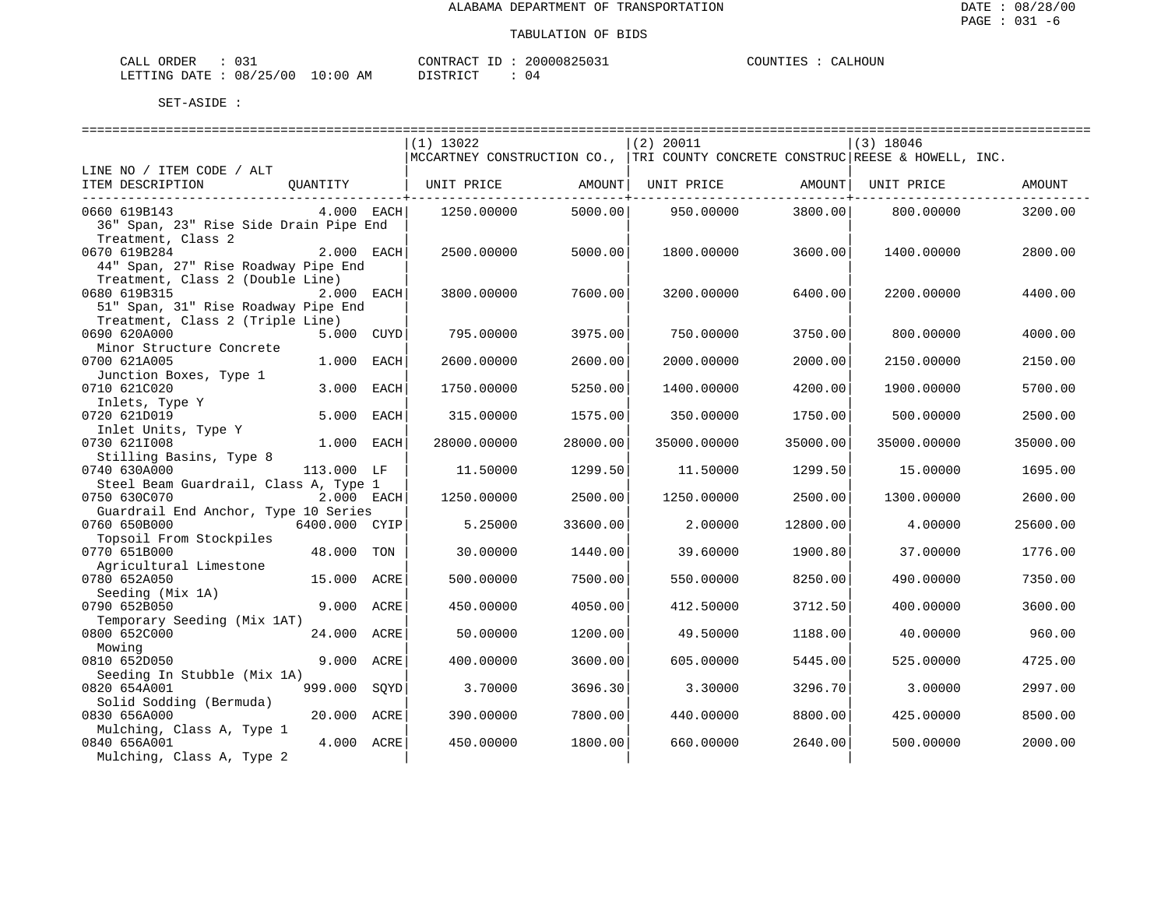| ORDER<br>CALI | . ب      |               | CONTRACT<br>TГ | 20000825031 | <b>COUNTIES</b><br>.IES | LHOUN<br>'Δι |
|---------------|----------|---------------|----------------|-------------|-------------------------|--------------|
| LETTING DATE  | 08/25/00 | LO : 00<br>ΑM | דת לידי את ה   | <u>າ 4</u>  |                         |              |

|                                          |               |      | $(1)$ 13022                                                                      |                         | $(2)$ 20011 |               | $(3)$ 18046 |          |
|------------------------------------------|---------------|------|----------------------------------------------------------------------------------|-------------------------|-------------|---------------|-------------|----------|
|                                          |               |      | MCCARTNEY CONSTRUCTION CO.,   TRI COUNTY CONCRETE CONSTRUC  REESE & HOWELL, INC. |                         |             |               |             |          |
| LINE NO / ITEM CODE / ALT                |               |      |                                                                                  |                         |             |               |             |          |
| ITEM DESCRIPTION                         | QUANTITY      |      | UNIT PRICE                                                                       | AMOUNT<br>------------+ | UNIT PRICE  | AMOUNT  <br>. | UNIT PRICE  | AMOUNT   |
| 0660 619B143                             | $4.000$ EACH  |      | 1250.00000                                                                       | 5000.00                 | 950.00000   | 3800.00       | 800.00000   | 3200.00  |
| 36" Span, 23" Rise Side Drain Pipe End   |               |      |                                                                                  |                         |             |               |             |          |
| Treatment, Class 2                       |               |      |                                                                                  |                         |             |               |             |          |
| 0670 619B284                             | 2.000 EACH    |      | 2500.00000                                                                       | 5000.00                 | 1800.00000  | 3600.00       | 1400.00000  | 2800.00  |
| 44" Span, 27" Rise Roadway Pipe End      |               |      |                                                                                  |                         |             |               |             |          |
| Treatment, Class 2 (Double Line)         |               |      |                                                                                  |                         |             |               |             |          |
| 0680 619B315                             | 2.000 EACH    |      | 3800.00000                                                                       | 7600.00                 | 3200.00000  | 6400.00       | 2200.00000  | 4400.00  |
| 51" Span, 31" Rise Roadway Pipe End      |               |      |                                                                                  |                         |             |               |             |          |
| Treatment, Class 2 (Triple Line)         |               |      |                                                                                  |                         |             |               |             |          |
| 0690 620A000                             | 5.000 CUYD    |      | 795.00000                                                                        | 3975.00                 | 750.00000   | 3750.00       | 800.00000   | 4000.00  |
| Minor Structure Concrete<br>0700 621A005 | 1.000         | EACH | 2600.00000                                                                       | 2600.00                 | 2000.00000  | 2000.00       | 2150.00000  | 2150.00  |
| Junction Boxes, Type 1                   |               |      |                                                                                  |                         |             |               |             |          |
| 0710 621C020                             | 3.000         | EACH | 1750.00000                                                                       | 5250.00                 | 1400.00000  | 4200.00       | 1900.00000  | 5700.00  |
| Inlets, Type Y                           |               |      |                                                                                  |                         |             |               |             |          |
| 0720 621D019                             | 5.000         | EACH | 315.00000                                                                        | 1575.00                 | 350.00000   | 1750.00       | 500.00000   | 2500.00  |
| Inlet Units, Type Y                      |               |      |                                                                                  |                         |             |               |             |          |
| 0730 6211008                             | 1.000 EACH    |      | 28000.00000                                                                      | 28000.00                | 35000.00000 | 35000.00      | 35000.00000 | 35000.00 |
| Stilling Basins, Type 8                  |               |      |                                                                                  |                         |             |               |             |          |
| 0740 630A000                             | 113.000 LF    |      | 11.50000                                                                         | 1299.50                 | 11.50000    | 1299.50       | 15.00000    | 1695.00  |
| Steel Beam Guardrail, Class A, Type 1    |               |      |                                                                                  |                         |             |               |             |          |
| 0750 630C070                             | 2.000 EACH    |      | 1250.00000                                                                       | 2500.00                 | 1250.00000  | 2500.00       | 1300.00000  | 2600.00  |
| Guardrail End Anchor, Type 10 Series     |               |      |                                                                                  |                         |             |               |             |          |
| 0760 650B000<br>Topsoil From Stockpiles  | 6400.000 CYIP |      | 5.25000                                                                          | 33600.00                | 2.00000     | 12800.00      | 4.00000     | 25600.00 |
| 0770 651B000                             | 48.000 TON    |      | 30.00000                                                                         | 1440.00                 | 39,60000    | 1900.80       | 37,00000    | 1776.00  |
| Agricultural Limestone                   |               |      |                                                                                  |                         |             |               |             |          |
| 0780 652A050                             | 15.000 ACRE   |      | 500.00000                                                                        | 7500.00                 | 550.00000   | 8250.00       | 490.00000   | 7350.00  |
| Seeding (Mix 1A)                         |               |      |                                                                                  |                         |             |               |             |          |
| 0790 652B050                             | 9.000 ACRE    |      | 450.00000                                                                        | 4050.00                 | 412.50000   | 3712.50       | 400.00000   | 3600.00  |
| Temporary Seeding (Mix 1AT)              |               |      |                                                                                  |                         |             |               |             |          |
| 0800 652C000                             | 24.000 ACRE   |      | 50.00000                                                                         | 1200.00                 | 49.50000    | 1188.00       | 40.00000    | 960.00   |
| Mowing                                   |               |      |                                                                                  |                         |             |               |             |          |
| 0810 652D050                             | 9.000 ACRE    |      | 400.00000                                                                        | 3600.00                 | 605.00000   | 5445.00       | 525.00000   | 4725.00  |
| Seeding In Stubble (Mix 1A)              |               |      |                                                                                  |                         |             |               |             |          |
| 0820 654A001                             | 999.000       | SQYD | 3.70000                                                                          | 3696.30                 | 3.30000     | 3296.70       | 3.00000     | 2997.00  |
| Solid Sodding (Bermuda)<br>0830 656A000  | 20.000 ACRE   |      | 390.00000                                                                        | 7800.00                 | 440.00000   | 8800.00       | 425.00000   | 8500.00  |
| Mulching, Class A, Type 1                |               |      |                                                                                  |                         |             |               |             |          |
| 0840 656A001                             | 4.000 ACRE    |      | 450.00000                                                                        | 1800.00                 | 660.00000   | 2640.00       | 500.00000   | 2000.00  |
| Mulching, Class A, Type 2                |               |      |                                                                                  |                         |             |               |             |          |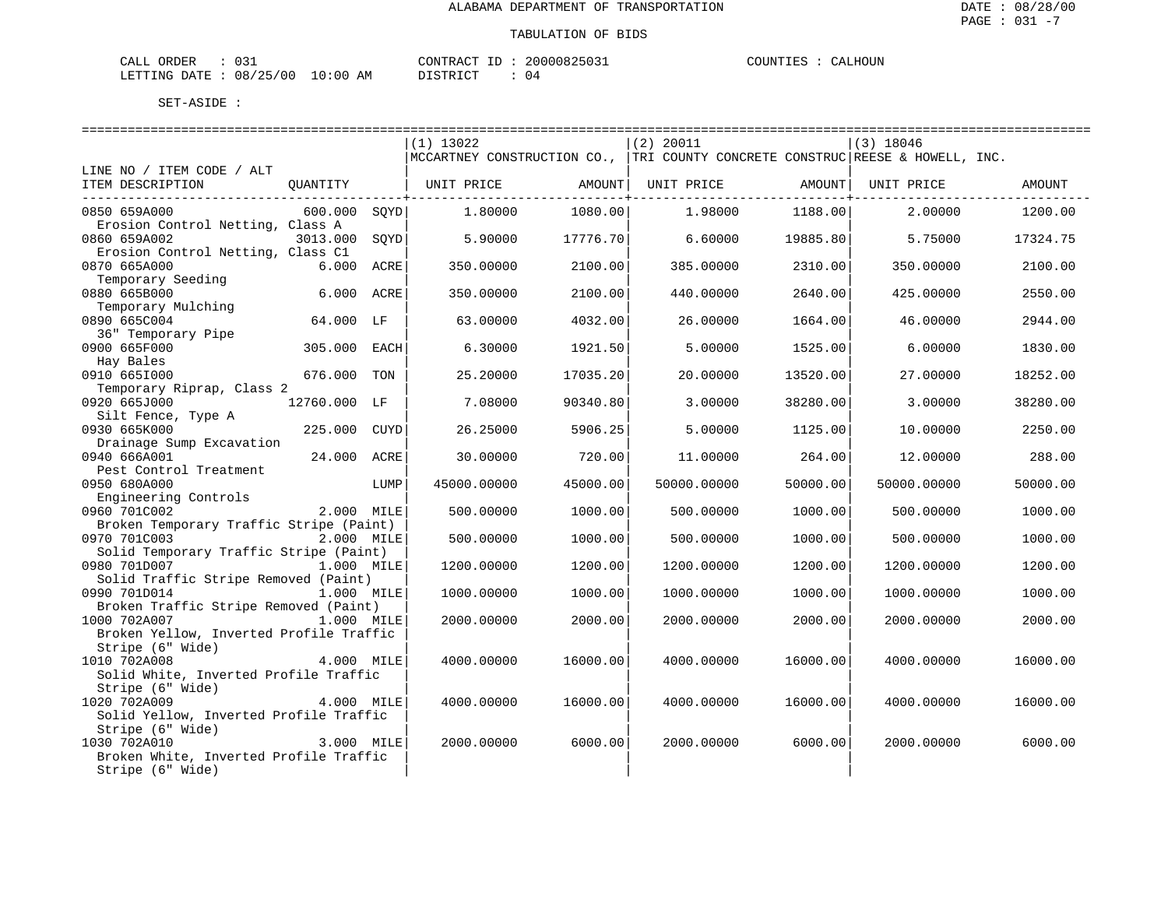| ORDER<br>CALI          | . |               | 'ONTRACT | ТD | 20000825031  | COUNTIES |  | ALHOUN<br>ו בי |
|------------------------|---|---------------|----------|----|--------------|----------|--|----------------|
| LETTING DATE: 08/25/00 |   | LO : 00<br>AΜ | I STR I  |    | <u>ົ</u> ດ 4 |          |  |                |

|                                                            |              |      | $(1)$ 13022           |          | (2) 20011                                                                      |                     | $(3)$ 18046 |          |
|------------------------------------------------------------|--------------|------|-----------------------|----------|--------------------------------------------------------------------------------|---------------------|-------------|----------|
|                                                            |              |      |                       |          | MCCARTNEY CONSTRUCTION CO.,  TRI COUNTY CONCRETE CONSTRUC REESE & HOWELL, INC. |                     |             |          |
| LINE NO / ITEM CODE / ALT                                  |              |      |                       |          |                                                                                |                     |             |          |
| ITEM DESCRIPTION                                           |              |      | QUANTITY   UNIT PRICE | AMOUNT   | UNIT PRICE AMOUNT                                                              | ------------------- | UNIT PRICE  | AMOUNT   |
| 0850 659A000                                               | 600.000 SOYD |      | 1,80000               | 1080.00  | 1,98000                                                                        | 1188.00             | 2,00000     | 1200.00  |
| Erosion Control Netting, Class A                           |              |      |                       |          |                                                                                |                     |             |          |
| 0860 659A002                                               | 3013.000     | SOYD | 5.90000               | 17776.70 | 6.60000                                                                        | 19885.80            | 5.75000     | 17324.75 |
| Erosion Control Netting, Class C1                          |              |      |                       |          |                                                                                |                     |             |          |
| 0870 665A000                                               | 6.000 ACRE   |      | 350.00000             | 2100.00  | 385.00000                                                                      | 2310.00             | 350.00000   | 2100.00  |
| Temporary Seeding                                          |              |      |                       |          |                                                                                |                     |             |          |
| 0880 665B000                                               | 6.000 ACRE   |      | 350.00000             | 2100.00  | 440.00000                                                                      | 2640.00             | 425.00000   | 2550.00  |
| Temporary Mulching                                         |              |      |                       |          |                                                                                |                     |             |          |
| 0890 665C004                                               | 64.000 LF    |      | 63.00000              | 4032.00  | 26.00000                                                                       | 1664.00             | 46.00000    | 2944.00  |
| 36" Temporary Pipe                                         |              |      |                       |          |                                                                                |                     |             |          |
| 0900 665F000                                               | 305.000 EACH |      | 6.30000               | 1921.50  | 5.00000                                                                        | 1525.00             | 6.00000     | 1830.00  |
| Hay Bales                                                  |              |      |                       |          |                                                                                |                     |             |          |
| 0910 6651000                                               | 676.000 TON  |      | 25.20000              | 17035.20 | 20.00000                                                                       | 13520.00            | 27.00000    | 18252.00 |
| Temporary Riprap, Class 2<br>0920 665J000                  |              |      |                       |          |                                                                                |                     |             |          |
| Silt Fence, Type A                                         | 12760.000 LF |      | 7.08000               | 90340.80 | 3.00000                                                                        | 38280.00            | 3.00000     | 38280.00 |
| 0930 665K000                                               | 225.000 CUYD |      | 26.25000              | 5906.25  | 5.00000                                                                        | 1125.00             | 10.00000    | 2250.00  |
| Drainage Sump Excavation                                   |              |      |                       |          |                                                                                |                     |             |          |
| 0940 666A001                                               | 24.000 ACRE  |      | 30.00000              | 720.00   | 11.00000                                                                       | 264.00              | 12.00000    | 288.00   |
| Pest Control Treatment                                     |              |      |                       |          |                                                                                |                     |             |          |
| 0950 680A000                                               |              | LUMP | 45000.00000           | 45000.00 | 50000.00000                                                                    | 50000.00            | 50000.00000 | 50000.00 |
| Engineering Controls                                       |              |      |                       |          |                                                                                |                     |             |          |
| 0960 701C002                                               | 2.000 MILE   |      | 500.00000             | 1000.00  | 500.00000                                                                      | 1000.00             | 500.00000   | 1000.00  |
| Broken Temporary Traffic Stripe (Paint)                    |              |      |                       |          |                                                                                |                     |             |          |
| 0970 701C003                                               | 2.000 MILE   |      | 500.00000             | 1000.00  | 500.00000                                                                      | 1000.00             | 500.00000   | 1000.00  |
| Solid Temporary Traffic Stripe (Paint)                     |              |      |                       |          |                                                                                |                     |             |          |
| 0980 701D007                                               | 1.000 MILE   |      | 1200.00000            | 1200.00  | 1200.00000                                                                     | 1200.00             | 1200.00000  | 1200.00  |
| Solid Traffic Stripe Removed (Paint)                       |              |      |                       |          |                                                                                |                     |             |          |
| 0990 701D014                                               | 1.000 MILE   |      | 1000.00000            | 1000.00  | 1000.00000                                                                     | 1000.00             | 1000.00000  | 1000.00  |
| Broken Traffic Stripe Removed (Paint)                      |              |      |                       |          |                                                                                |                     |             |          |
| 1000 702A007                                               | 1.000 MILE   |      | 2000.00000            | 2000.00  | 2000.00000                                                                     | 2000.00             | 2000.00000  | 2000.00  |
| Broken Yellow, Inverted Profile Traffic                    |              |      |                       |          |                                                                                |                     |             |          |
| Stripe (6" Wide)                                           |              |      |                       |          |                                                                                |                     |             |          |
| 1010 702A008                                               | 4.000 MILE   |      | 4000.00000            | 16000.00 | 4000.00000                                                                     | 16000.00            | 4000.00000  | 16000.00 |
| Solid White, Inverted Profile Traffic                      |              |      |                       |          |                                                                                |                     |             |          |
| Stripe (6" Wide)                                           |              |      |                       |          |                                                                                |                     |             |          |
| 1020 702A009                                               | 4.000 MILE   |      | 4000.00000            | 16000.00 | 4000.00000                                                                     | 16000.00            | 4000.00000  | 16000.00 |
| Solid Yellow, Inverted Profile Traffic<br>Stripe (6" Wide) |              |      |                       |          |                                                                                |                     |             |          |
| 1030 702A010                                               | 3.000 MILE   |      |                       |          |                                                                                |                     |             |          |
| Broken White, Inverted Profile Traffic                     |              |      | 2000.00000            | 6000.00  | 2000.00000                                                                     | 6000.00             | 2000.00000  | 6000.00  |
| Stripe (6" Wide)                                           |              |      |                       |          |                                                                                |                     |             |          |
|                                                            |              |      |                       |          |                                                                                |                     |             |          |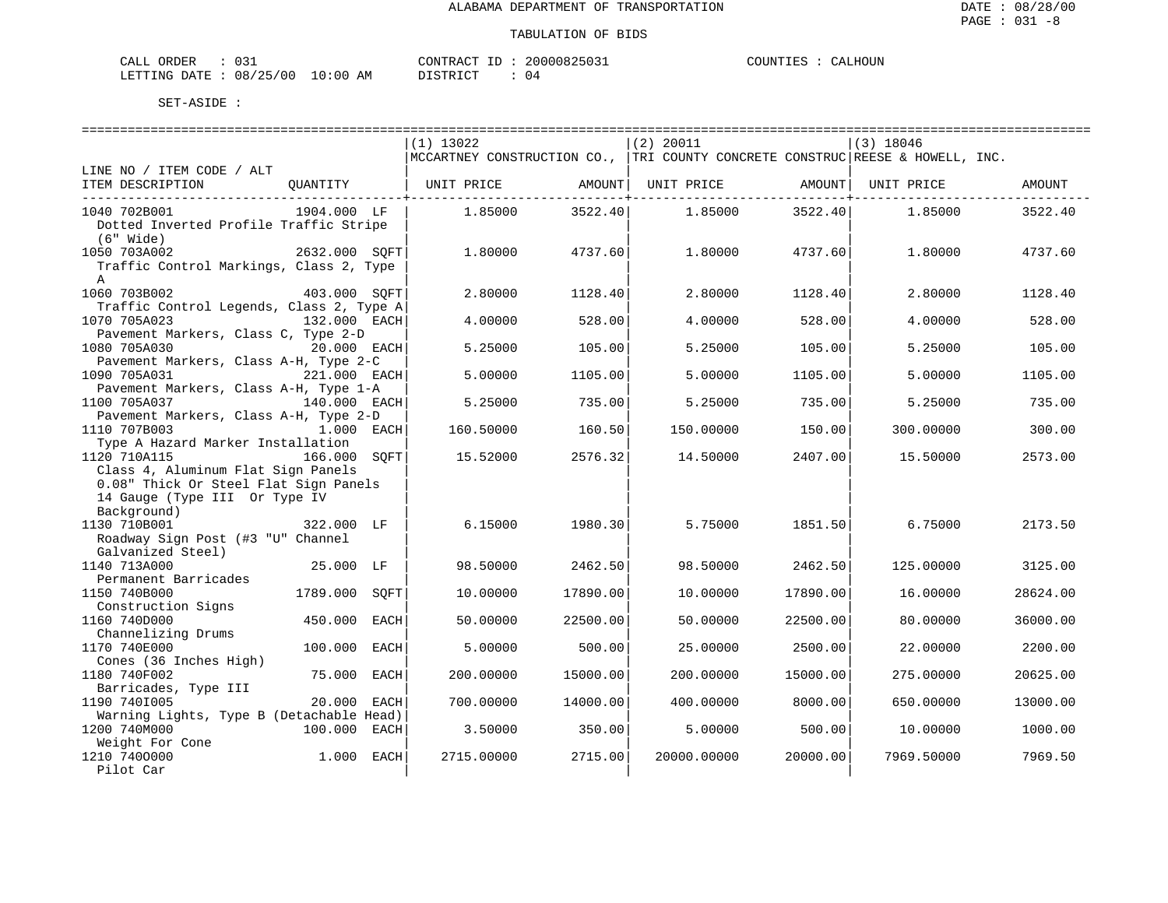| ORDER<br>CALI | . ب      |               | CONTRACT<br>TГ | 20000825031 | <b>COUNTIES</b><br>.IES | LHOUN<br>'Δι |
|---------------|----------|---------------|----------------|-------------|-------------------------|--------------|
| LETTING DATE  | 08/25/00 | LO : 00<br>ΑM | דת לידי את ה   | <u>າ 4</u>  |                         |              |

|                                          |                  | $(1)$ 13022 |                                          | $(2)$ 20011                                                                   |                               | $(3)$ 18046        |          |
|------------------------------------------|------------------|-------------|------------------------------------------|-------------------------------------------------------------------------------|-------------------------------|--------------------|----------|
|                                          |                  |             |                                          | MCCARTNEY CONSTRUCTION CO., TRI COUNTY CONCRETE CONSTRUC REESE & HOWELL, INC. |                               |                    |          |
| LINE NO / ITEM CODE / ALT                |                  |             |                                          |                                                                               |                               |                    |          |
| ITEM DESCRIPTION                         | OUANTITY         | UNIT PRICE  |                                          | AMOUNT  UNIT PRICE                                                            |                               | AMOUNT  UNIT PRICE | AMOUNT   |
| 1040 702B001                             | 1904.000 LF      | 1.85000     | . - - - - - - - - - + - - - -<br>3522.40 | 1.85000                                                                       | ------------+-----<br>3522.40 | 1.85000            | 3522.40  |
| Dotted Inverted Profile Traffic Stripe   |                  |             |                                          |                                                                               |                               |                    |          |
| (6" Wide)                                |                  |             |                                          |                                                                               |                               |                    |          |
| 1050 703A002                             | 2632.000 SOFT    | 1,80000     | 4737.60                                  | 1,80000                                                                       | 4737.60                       | 1,80000            | 4737.60  |
| Traffic Control Markings, Class 2, Type  |                  |             |                                          |                                                                               |                               |                    |          |
|                                          |                  |             |                                          |                                                                               |                               |                    |          |
| $\mathbf{A}$                             |                  |             |                                          |                                                                               |                               |                    |          |
| 1060 703B002                             | 403.000 SOFT     | 2.80000     | 1128.40                                  | 2.80000                                                                       | 1128.40                       | 2.80000            | 1128.40  |
| Traffic Control Legends, Class 2, Type A |                  |             |                                          |                                                                               |                               |                    |          |
| 1070 705A023                             | 132.000 EACH     | 4,00000     | 528.00                                   | 4,00000                                                                       | 528.00                        | 4,00000            | 528.00   |
| Pavement Markers, Class C, Type 2-D      |                  |             |                                          |                                                                               |                               |                    |          |
| 1080 705A030                             | 20.000 EACH      | 5.25000     | 105.00                                   | 5.25000                                                                       | 105.00                        | 5.25000            | 105.00   |
| Pavement Markers, Class A-H, Type 2-C    |                  |             |                                          |                                                                               |                               |                    |          |
| 1090 705A031                             | 221.000 EACH     | 5.00000     | 1105.00                                  | 5,00000                                                                       | 1105.00                       | 5.00000            | 1105.00  |
| Pavement Markers, Class A-H, Type 1-A    |                  |             |                                          |                                                                               |                               |                    |          |
| 1100 705A037                             | 140.000 EACH     | 5.25000     | 735.00                                   | 5.25000                                                                       | 735.00                        | 5.25000            | 735.00   |
| Pavement Markers, Class A-H, Type 2-D    |                  |             |                                          |                                                                               |                               |                    |          |
| 1110 707B003                             | 1.000 EACH       | 160.50000   | 160.50                                   | 150.00000                                                                     | 150.00                        | 300.00000          | 300.00   |
| Type A Hazard Marker Installation        |                  |             |                                          |                                                                               |                               |                    |          |
| 1120 710A115                             | 166.000 SOFT     | 15.52000    | 2576.32                                  | 14.50000                                                                      | 2407.00                       | 15.50000           | 2573.00  |
| Class 4, Aluminum Flat Sign Panels       |                  |             |                                          |                                                                               |                               |                    |          |
| 0.08" Thick Or Steel Flat Sign Panels    |                  |             |                                          |                                                                               |                               |                    |          |
| 14 Gauge (Type III Or Type IV            |                  |             |                                          |                                                                               |                               |                    |          |
| Background)                              |                  |             |                                          |                                                                               |                               |                    |          |
| 1130 710B001                             | 322.000 LF       | 6.15000     | 1980.30                                  | 5.75000                                                                       | 1851.50                       | 6.75000            | 2173.50  |
| Roadway Sign Post (#3 "U" Channel        |                  |             |                                          |                                                                               |                               |                    |          |
| Galvanized Steel)                        |                  |             |                                          |                                                                               |                               |                    |          |
| 1140 713A000                             | 25.000 LF        | 98.50000    | 2462.50                                  | 98.50000                                                                      | 2462.50                       | 125.00000          | 3125.00  |
| Permanent Barricades                     |                  |             |                                          |                                                                               |                               |                    |          |
| 1150 740B000                             | 1789.000<br>SOFT | 10.00000    | 17890.00                                 | 10.00000                                                                      | 17890.00                      | 16.00000           | 28624.00 |
| Construction Signs                       |                  |             |                                          |                                                                               |                               |                    |          |
| 1160 740D000                             | 450.000<br>EACH  | 50.00000    | 22500.00                                 | 50.00000                                                                      | 22500.00                      | 80.00000           | 36000.00 |
| Channelizing Drums                       |                  |             |                                          |                                                                               |                               |                    |          |
| 1170 740E000                             | 100.000<br>EACH  | 5.00000     | 500.00                                   | 25.00000                                                                      | 2500.00                       | 22.00000           | 2200.00  |
| Cones (36 Inches High)                   |                  |             |                                          |                                                                               |                               |                    |          |
| 1180 740F002                             | 75.000 EACH      | 200.00000   | 15000.00                                 | 200.00000                                                                     | 15000.00                      | 275.00000          | 20625.00 |
|                                          |                  |             |                                          |                                                                               |                               |                    |          |
| Barricades, Type III                     |                  |             |                                          |                                                                               |                               |                    |          |
| 1190 7401005                             | 20.000 EACH      | 700.00000   | 14000.00                                 | 400.00000                                                                     | 8000.00                       | 650.00000          | 13000.00 |
| Warning Lights, Type B (Detachable Head) |                  |             |                                          |                                                                               |                               |                    |          |
| 1200 740M000                             | 100.000 EACH     | 3.50000     | 350.00                                   | 5.00000                                                                       | 500.00                        | 10.00000           | 1000.00  |
| Weight For Cone                          |                  |             |                                          |                                                                               |                               |                    |          |
| 1210 7400000                             | 1.000 EACH       | 2715.00000  | 2715.00                                  | 20000.00000                                                                   | 20000.00                      | 7969.50000         | 7969.50  |
| Pilot Car                                |                  |             |                                          |                                                                               |                               |                    |          |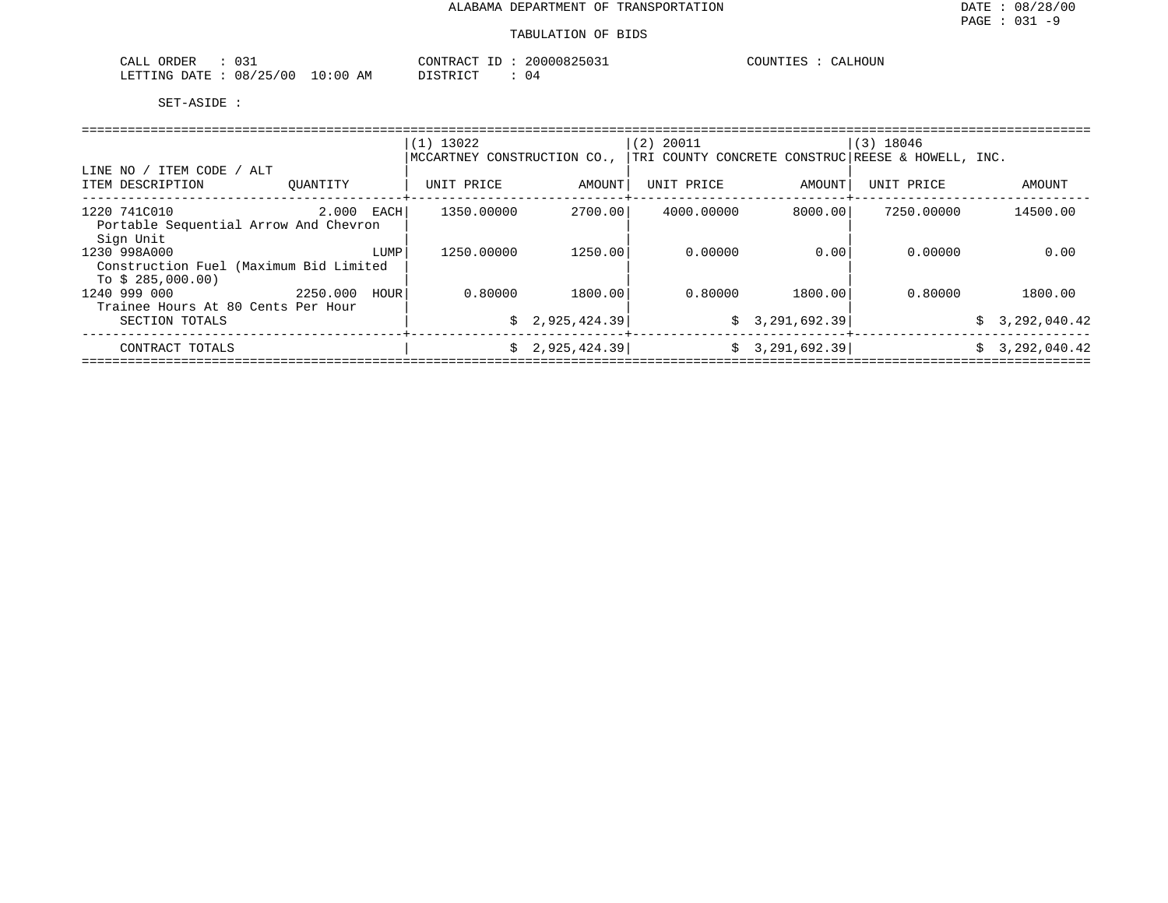| ORDER<br>CALL                |          | CONTRACT ID      | 20000825031 | COUNTIES<br>CALHOUN |
|------------------------------|----------|------------------|-------------|---------------------|
| $08/25/00$ .<br>LETTING DATE | 10:00 AM | יחי אד פידי פידי | U 4         |                     |

|                                                       |          |      | $(1)$ 13022                 |              | $(2)$ 20011 |                | $(3)$ 18046                                       |                |  |  |  |
|-------------------------------------------------------|----------|------|-----------------------------|--------------|-------------|----------------|---------------------------------------------------|----------------|--|--|--|
|                                                       |          |      | MCCARTNEY CONSTRUCTION CO., |              |             |                | TRI COUNTY CONCRETE CONSTRUC REESE & HOWELL, INC. |                |  |  |  |
| ITEM CODE / ALT<br>LINE NO<br>ITEM DESCRIPTION        | OUANTITY |      | UNIT PRICE                  | AMOUNT       | UNIT PRICE  | AMOUNT         | UNIT PRICE                                        | AMOUNT         |  |  |  |
|                                                       |          |      |                             |              |             |                |                                                   |                |  |  |  |
| 1220 741C010<br>Portable Sequential Arrow And Chevron | 2.000    | EACH | 1350.00000                  | 2700.00      | 4000.00000  | 8000.00        | 7250.00000                                        | 14500.00       |  |  |  |
| Sign Unit                                             |          |      |                             |              |             |                |                                                   |                |  |  |  |
| 1230 998A000                                          |          | LUMP | 1250.00000                  | 1250.00      | 0.00000     | 0.00           | 0.00000                                           | 0.00           |  |  |  |
| Construction Fuel (Maximum Bid Limited                |          |      |                             |              |             |                |                                                   |                |  |  |  |
| To $$285,000.00)$                                     |          |      |                             |              |             |                |                                                   |                |  |  |  |
| 1240 999 000<br>Trainee Hours At 80 Cents Per Hour    | 2250.000 | HOUR | 0.80000                     | 1800.00      | 0.80000     | 1800.00        | 0.80000                                           | 1800.00        |  |  |  |
| SECTION TOTALS                                        |          |      | S.                          | 2,925,424.39 |             | \$3,291,692.39 |                                                   | \$3,292,040.42 |  |  |  |
|                                                       |          |      |                             |              |             |                |                                                   |                |  |  |  |
| CONTRACT TOTALS                                       |          |      |                             | 2,925,424.39 |             | \$3,291,692.39 |                                                   | \$3,292,040.42 |  |  |  |
|                                                       |          |      |                             |              |             |                |                                                   |                |  |  |  |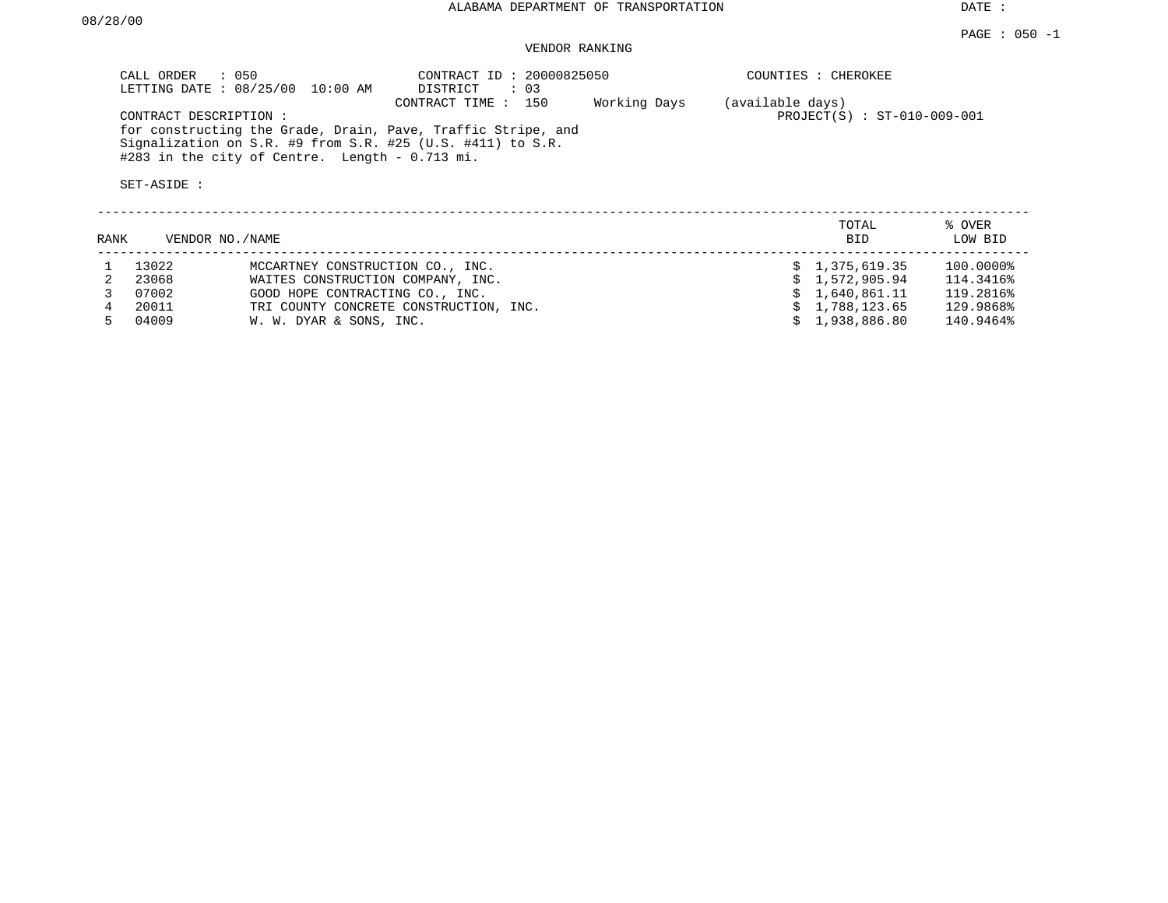DATE :

# VENDOR RANKING

| CALL ORDER            | $\therefore$ 050<br>LETTING DATE : 08/25/00 10:00 AM                                                                   | CONTRACT ID: 20000825050<br>DISTRICT<br>: 03                                          |              | COUNTIES : CHEROKEE                             |                        |
|-----------------------|------------------------------------------------------------------------------------------------------------------------|---------------------------------------------------------------------------------------|--------------|-------------------------------------------------|------------------------|
| CONTRACT DESCRIPTION: | Signalization on S.R. #9 from S.R. #25 (U.S. #411) to S.R.<br>$\text{\#283}$ in the city of Centre. Length - 0.713 mi. | CONTRACT TIME:<br>150<br>for constructing the Grade, Drain, Pave, Traffic Stripe, and | Working Days | (available days)<br>PROJECT(S) : ST-010-009-001 |                        |
| SET-ASIDE :           |                                                                                                                        |                                                                                       |              |                                                 |                        |
| RANK                  | VENDOR NO./NAME                                                                                                        |                                                                                       |              | TOTAL<br><b>BID</b>                             | % OVER<br>LOW BID      |
| 13022<br>23068        | MCCARTNEY CONSTRUCTION CO., INC.<br>WAITES CONSTRUCTION COMPANY, INC.                                                  |                                                                                       |              | \$1,375,619.35<br>1,572,905,94                  | 100.0000%<br>114.3416% |

| 23068 | WAITES CONSTRUCTION COMPANY, INC.      | \$1.572.905.94 | 114.3416% |
|-------|----------------------------------------|----------------|-----------|
| 07002 | GOOD HOPE CONTRACTING CO., INC.        | \$1.640.861.11 | 119.2816% |
| 20011 | TRI COUNTY CONCRETE CONSTRUCTION, INC. | \$1.788.123.65 | 129.9868% |
| 04009 | W. W. DYAR & SONS, INC.                | \$1.938.886.80 | 140.9464% |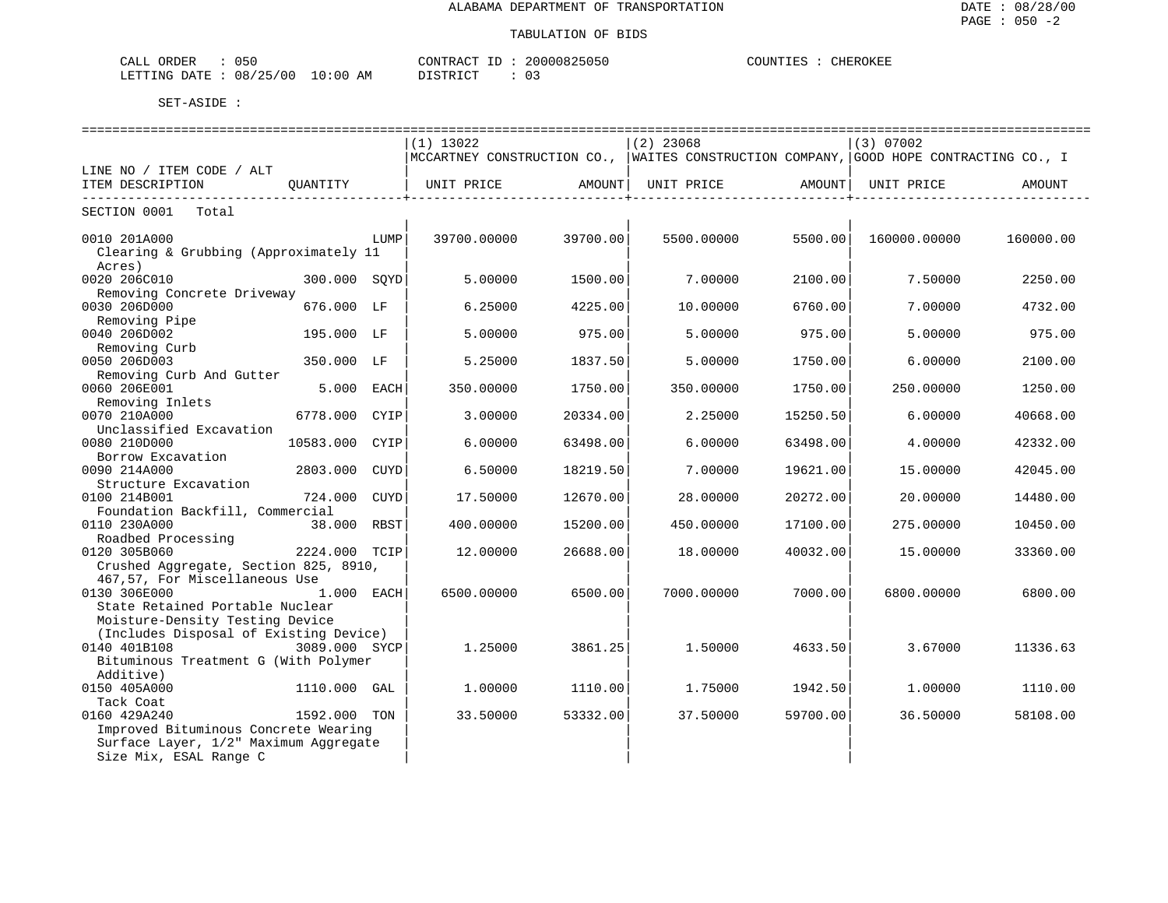| 050<br>, ORDF <sup>r</sup><br>$C\Lambda T$<br>۰ للطاب                                                                                                                     |             | <b>CONTT</b><br>. PRACT                                                | 200<br>. <i>. .</i> | CHEROKEE<br>COUNTIES |
|---------------------------------------------------------------------------------------------------------------------------------------------------------------------------|-------------|------------------------------------------------------------------------|---------------------|----------------------|
| 12E<br>00/<br>. בתוריים -<br><b>DATE</b><br>08,<br>ر ے<br>the contract of the contract of the contract of the contract of the contract of the contract of the contract of | LO:00<br>AM | $T$ $C$ $T$ $D$ $T$ $C$ $T$ $D$<br>ו אי<br>$\sim$ $\sim$ $\sim$ $\sim$ |                     |                      |

|                                                                    |                |      | =============================                                                          |          | ======================= |          | ================ |           |
|--------------------------------------------------------------------|----------------|------|----------------------------------------------------------------------------------------|----------|-------------------------|----------|------------------|-----------|
|                                                                    |                |      | $(1)$ 13022                                                                            |          | $(2)$ 23068             |          | (3) 07002        |           |
|                                                                    |                |      | MCCARTNEY CONSTRUCTION CO.,  WAITES CONSTRUCTION COMPANY, GOOD HOPE CONTRACTING CO., I |          |                         |          |                  |           |
| LINE NO / ITEM CODE / ALT                                          |                |      |                                                                                        |          |                         |          |                  |           |
| ITEM DESCRIPTION                                                   | OUANTITY       |      | UNIT PRICE                                                                             | AMOUNT   | UNIT PRICE AMOUNT       |          | UNIT PRICE       | AMOUNT    |
| ---------------------------<br>SECTION 0001<br>Total               |                |      |                                                                                        |          |                         |          |                  |           |
| 0010 201A000                                                       |                | LUMP | 39700.00000                                                                            | 39700.00 | 5500.00000              | 5500.00  | 160000.00000     | 160000.00 |
| Clearing & Grubbing (Approximately 11<br>Acres)                    |                |      |                                                                                        |          |                         |          |                  |           |
| 0020 206C010<br>Removing Concrete Driveway                         | 300.000 SOYD   |      | 5.00000                                                                                | 1500.00  | 7.00000                 | 2100.00  | 7.50000          | 2250.00   |
| 0030 206D000                                                       | 676.000 LF     |      | 6.25000                                                                                | 4225.00  | 10.00000                | 6760.00  | 7.00000          | 4732.00   |
| Removing Pipe<br>0040 206D002                                      | 195.000 LF     |      | 5.00000                                                                                | 975.00   | 5.00000                 | 975.00   | 5.00000          | 975.00    |
| Removing Curb<br>0050 206D003                                      | 350.000 LF     |      | 5.25000                                                                                | 1837.50  | 5.00000                 | 1750.00  | 6.00000          | 2100.00   |
| Removing Curb And Gutter                                           |                |      |                                                                                        |          |                         |          |                  |           |
| 0060 206E001                                                       | 5.000 EACH     |      | 350.00000                                                                              | 1750.00  | 350.00000               | 1750.00  | 250.00000        | 1250.00   |
| Removing Inlets<br>0070 210A000                                    | 6778.000       | CYIP | 3.00000                                                                                | 20334.00 | 2.25000                 | 15250.50 | 6.00000          | 40668.00  |
| Unclassified Excavation<br>0080 210D000                            | 10583.000 CYIP |      | 6.00000                                                                                | 63498.00 | 6.00000                 | 63498.00 | 4.00000          | 42332.00  |
| Borrow Excavation<br>0090 214A000                                  | 2803.000       | CUYD | 6.50000                                                                                | 18219.50 | 7.00000                 | 19621.00 | 15.00000         | 42045.00  |
| Structure Excavation                                               |                |      |                                                                                        |          |                         |          |                  |           |
| 0100 214B001                                                       | 724.000        | CUYD | 17.50000                                                                               | 12670.00 | 28.00000                | 20272.00 | 20.00000         | 14480.00  |
| Foundation Backfill, Commercial                                    |                |      |                                                                                        |          |                         |          |                  |           |
| 0110 230A000<br>Roadbed Processing                                 | 38.000 RBST    |      | 400.00000                                                                              | 15200.00 | 450.00000               | 17100.00 | 275.00000        | 10450.00  |
| 0120 305B060                                                       | 2224.000 TCIP  |      | 12.00000                                                                               | 26688.00 | 18.00000                | 40032.00 | 15.00000         | 33360.00  |
| Crushed Aggregate, Section 825, 8910,                              |                |      |                                                                                        |          |                         |          |                  |           |
| 467,57, For Miscellaneous Use                                      |                |      |                                                                                        |          |                         |          |                  |           |
| 0130 306E000                                                       | 1.000 EACH     |      | 6500.00000                                                                             | 6500.00  | 7000.00000              | 7000.00  | 6800,00000       | 6800.00   |
| State Retained Portable Nuclear<br>Moisture-Density Testing Device |                |      |                                                                                        |          |                         |          |                  |           |
| (Includes Disposal of Existing Device)                             |                |      |                                                                                        |          |                         |          |                  |           |
| 0140 401B108                                                       | 3089.000 SYCP  |      | 1,25000                                                                                | 3861.25  | 1.50000                 | 4633.50  | 3.67000          | 11336.63  |
| Bituminous Treatment G (With Polymer                               |                |      |                                                                                        |          |                         |          |                  |           |
| Additive)                                                          |                |      |                                                                                        |          |                         |          |                  |           |
| 0150 405A000                                                       | 1110.000 GAL   |      | 1,00000                                                                                | 1110.00  | 1.75000                 | 1942.50  | 1,00000          | 1110.00   |
| Tack Coat                                                          |                |      |                                                                                        |          |                         |          |                  |           |
| 0160 429A240                                                       | 1592.000 TON   |      | 33.50000                                                                               | 53332.00 | 37.50000                | 59700.00 | 36.50000         | 58108.00  |
| Improved Bituminous Concrete Wearing                               |                |      |                                                                                        |          |                         |          |                  |           |
| Surface Layer, 1/2" Maximum Aggregate                              |                |      |                                                                                        |          |                         |          |                  |           |
| Size Mix, ESAL Range C                                             |                |      |                                                                                        |          |                         |          |                  |           |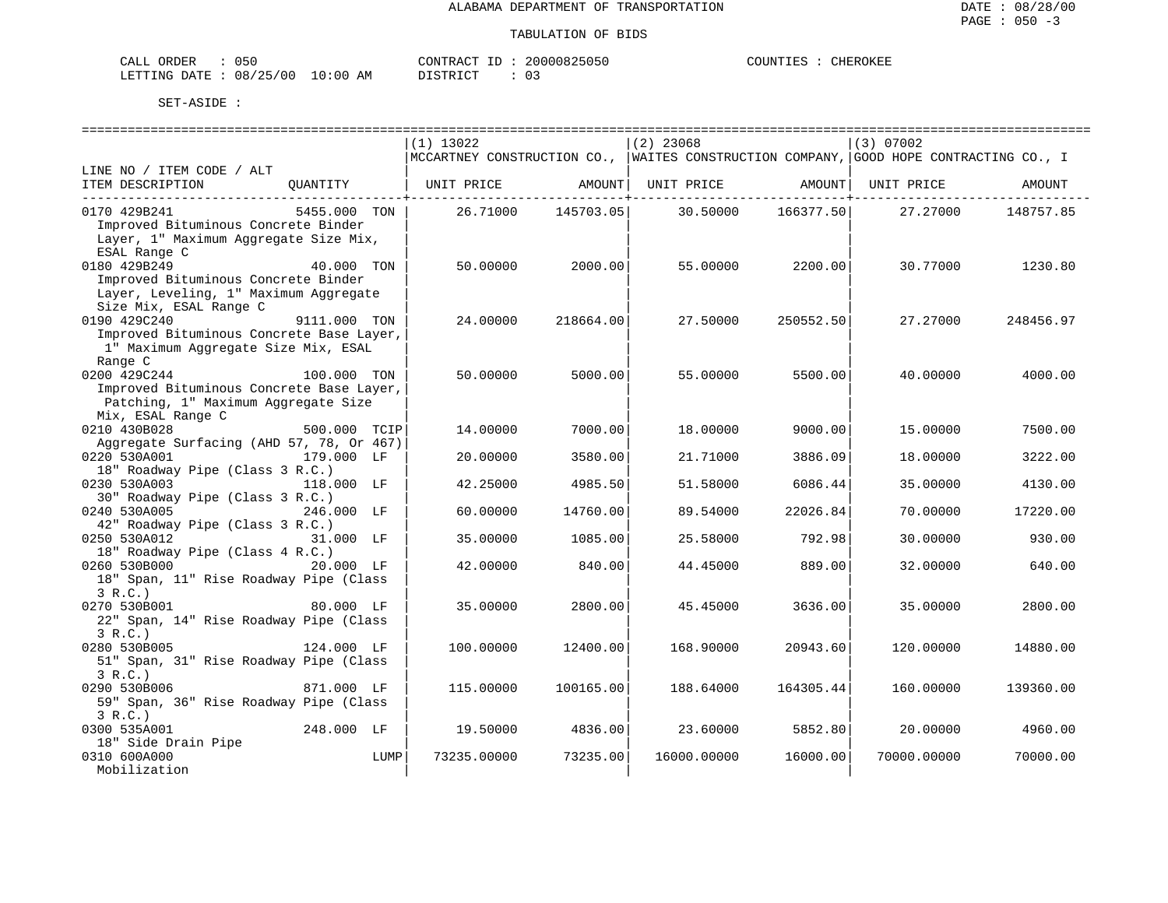| CALL ORDER                      | 050 |          |  | CONTRACT ID: 20000825050 | COUNTIES : Q | CHEROKEE |
|---------------------------------|-----|----------|--|--------------------------|--------------|----------|
| LETTING DATE: 08/25/00 10:00 AM |     | DISTRICT |  | 0 G                      |              |          |

|                                          |              |      | $(1)$ 13022                                                                               |            | $(2)$ 23068 |                    | (3) 07002           |           |
|------------------------------------------|--------------|------|-------------------------------------------------------------------------------------------|------------|-------------|--------------------|---------------------|-----------|
|                                          |              |      | MCCARTNEY CONSTRUCTION CO.,   WAITES CONSTRUCTION COMPANY,   GOOD HOPE CONTRACTING CO., I |            |             |                    |                     |           |
| LINE NO / ITEM CODE / ALT                |              |      |                                                                                           |            |             |                    |                     |           |
| ITEM DESCRIPTION                         | OUANTITY     |      | UNIT PRICE                                                                                | AMOUNT     | UNIT PRICE  |                    | AMOUNT   UNIT PRICE | AMOUNT    |
|                                          |              |      |                                                                                           | ---------- |             | ----------+------- |                     |           |
| 0170 429B241                             | 5455.000 TON |      | 26.71000                                                                                  | 145703.05  | 30.50000    | 166377.50          | 27.27000            | 148757.85 |
| Improved Bituminous Concrete Binder      |              |      |                                                                                           |            |             |                    |                     |           |
| Layer, 1" Maximum Aggregate Size Mix,    |              |      |                                                                                           |            |             |                    |                     |           |
| ESAL Range C                             |              |      |                                                                                           |            |             |                    |                     |           |
| 0180 429B249                             | 40.000 TON   |      | 50.00000                                                                                  | 2000.00    | 55.00000    | 2200.00            | 30.77000            | 1230.80   |
| Improved Bituminous Concrete Binder      |              |      |                                                                                           |            |             |                    |                     |           |
| Layer, Leveling, 1" Maximum Aggregate    |              |      |                                                                                           |            |             |                    |                     |           |
| Size Mix, ESAL Range C                   |              |      |                                                                                           |            |             |                    |                     |           |
| 0190 429C240                             | 9111.000 TON |      | 24.00000                                                                                  | 218664.00  | 27.50000    | 250552.50          | 27.27000            | 248456.97 |
| Improved Bituminous Concrete Base Layer, |              |      |                                                                                           |            |             |                    |                     |           |
| 1" Maximum Aggregate Size Mix, ESAL      |              |      |                                                                                           |            |             |                    |                     |           |
| Range C                                  |              |      |                                                                                           |            |             |                    |                     |           |
| 0200 429C244                             | 100.000 TON  |      | 50.00000                                                                                  | 5000.00    | 55.00000    | 5500.00            | 40.00000            | 4000.00   |
| Improved Bituminous Concrete Base Layer, |              |      |                                                                                           |            |             |                    |                     |           |
|                                          |              |      |                                                                                           |            |             |                    |                     |           |
| Patching, 1" Maximum Aggregate Size      |              |      |                                                                                           |            |             |                    |                     |           |
| Mix, ESAL Range C                        |              |      |                                                                                           |            |             |                    |                     |           |
| 0210 430B028                             | 500.000 TCIP |      | 14.00000                                                                                  | 7000.00    | 18.00000    | 9000.00            | 15.00000            | 7500.00   |
| Aggregate Surfacing (AHD 57, 78, Or 467) |              |      |                                                                                           |            |             |                    |                     |           |
| 0220 530A001                             | 179.000 LF   |      | 20.00000                                                                                  | 3580.00    | 21.71000    | 3886.09            | 18,00000            | 3222.00   |
| 18" Roadway Pipe (Class 3 R.C.)          |              |      |                                                                                           |            |             |                    |                     |           |
| 0230 530A003                             | 118.000 LF   |      | 42.25000                                                                                  | 4985.50    | 51.58000    | 6086.44            | 35.00000            | 4130.00   |
| 30" Roadway Pipe (Class 3 R.C.)          |              |      |                                                                                           |            |             |                    |                     |           |
| 0240 530A005                             | 246.000 LF   |      | 60.00000                                                                                  | 14760.00   | 89.54000    | 22026.84           | 70.00000            | 17220.00  |
| 42" Roadway Pipe (Class 3 R.C.)          |              |      |                                                                                           |            |             |                    |                     |           |
| 0250 530A012                             | 31.000 LF    |      | 35.00000                                                                                  | 1085.00    | 25.58000    | 792.98             | 30.00000            | 930.00    |
| 18" Roadway Pipe (Class 4 R.C.)          |              |      |                                                                                           |            |             |                    |                     |           |
| 0260 530B000                             | 20.000 LF    |      | 42.00000                                                                                  | 840.00     | 44.45000    | 889.00             | 32.00000            | 640.00    |
| 18" Span, 11" Rise Roadway Pipe (Class   |              |      |                                                                                           |            |             |                    |                     |           |
| 3 R.C.                                   |              |      |                                                                                           |            |             |                    |                     |           |
| 0270 530B001                             | 80.000 LF    |      | 35.00000                                                                                  | 2800.00    | 45.45000    | 3636.00            | 35.00000            | 2800.00   |
| 22" Span, 14" Rise Roadway Pipe (Class   |              |      |                                                                                           |            |             |                    |                     |           |
| 3 R.C.                                   |              |      |                                                                                           |            |             |                    |                     |           |
| 0280 530B005                             | 124.000 LF   |      | 100.00000                                                                                 | 12400.00   | 168.90000   | 20943.60           | 120.00000           | 14880.00  |
| 51" Span, 31" Rise Roadway Pipe (Class   |              |      |                                                                                           |            |             |                    |                     |           |
| 3 R.C.                                   |              |      |                                                                                           |            |             |                    |                     |           |
| 0290 530B006                             | 871.000 LF   |      | 115,00000                                                                                 | 100165.00  | 188.64000   | 164305.44          | 160.00000           | 139360.00 |
| 59" Span, 36" Rise Roadway Pipe (Class   |              |      |                                                                                           |            |             |                    |                     |           |
| 3 R.C.                                   |              |      |                                                                                           |            |             |                    |                     |           |
| 0300 535A001                             | 248.000 LF   |      | 19.50000                                                                                  | 4836.00    | 23.60000    | 5852.80            | 20.00000            | 4960.00   |
| 18" Side Drain Pipe                      |              |      |                                                                                           |            |             |                    |                     |           |
| 0310 600A000                             |              | LUMP | 73235.00000                                                                               | 73235.00   | 16000.00000 | 16000.00           | 70000.00000         | 70000.00  |
| Mobilization                             |              |      |                                                                                           |            |             |                    |                     |           |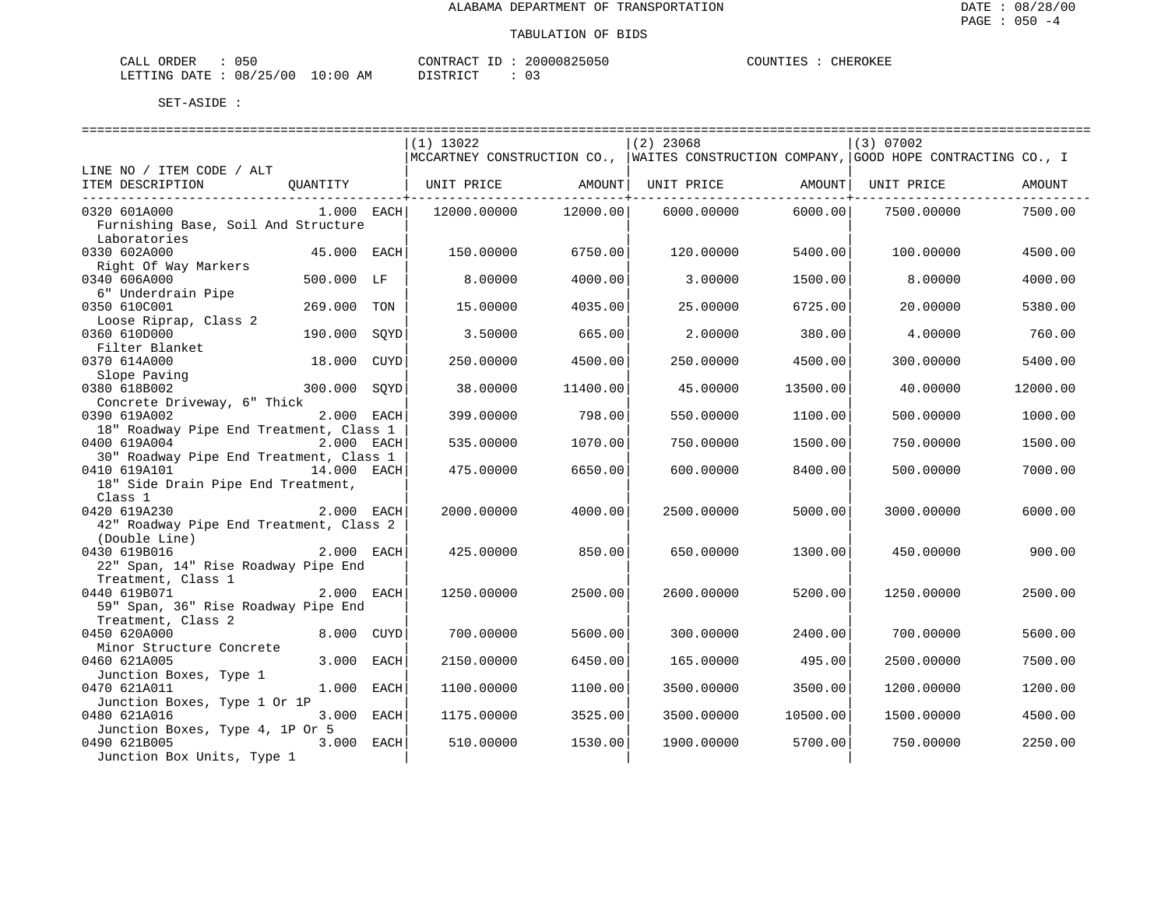| CALL<br>ORDER | 050<br>. |             | CONTRACT<br>$- -$                       | 20000825050 | COUNTIES | CHEROKEE |
|---------------|----------|-------------|-----------------------------------------|-------------|----------|----------|
| LETTING DATE  | 08/25/00 | 10:00<br>AM | $T$ $CUT$<br>DI STR<br><b>ມ⊥ມ⊥⊥⊾</b> ພ⊥ |             |          |          |

|                                                                                         |      | $(1)$ 13022       |                          | $(2)$ 23068                                                                               |          | $(3)$ 07002 |          |
|-----------------------------------------------------------------------------------------|------|-------------------|--------------------------|-------------------------------------------------------------------------------------------|----------|-------------|----------|
|                                                                                         |      |                   |                          | MCCARTNEY CONSTRUCTION CO.,   WAITES CONSTRUCTION COMPANY,   GOOD HOPE CONTRACTING CO., I |          |             |          |
| LINE NO / ITEM CODE / ALT<br>ITEM DESCRIPTION                                           |      |                   |                          |                                                                                           |          |             |          |
| OUANTITY                                                                                |      | UNIT PRICE AMOUNT | ---------------+-------- | UNIT PRICE AMOUNT                                                                         |          | UNIT PRICE  | AMOUNT   |
| 0320 601A000<br>1.000 EACH<br>Furnishing Base, Soil And Structure<br>Laboratories       |      | 12000.00000       | 12000.00                 | 6000.00000                                                                                | 6000.00  | 7500.00000  | 7500.00  |
| 0330 602A000<br>45.000 EACH<br>Right Of Way Markers                                     |      | 150.00000         | 6750.00                  | 120.00000                                                                                 | 5400.00  | 100.00000   | 4500.00  |
| 0340 606A000<br>500.000 LF<br>6" Underdrain Pipe                                        |      | 8,00000           | 4000.00                  | 3.00000                                                                                   | 1500.00  | 8.00000     | 4000.00  |
| 0350 610C001<br>269.000<br>Loose Riprap, Class 2                                        | TON  | 15.00000          | 4035.00                  | 25.00000                                                                                  | 6725.00  | 20.00000    | 5380.00  |
| 0360 610D000<br>190.000<br>Filter Blanket                                               | SOYD | 3.50000           | 665.00                   | 2.00000                                                                                   | 380.00   | 4,00000     | 760.00   |
| 0370 614A000<br>18.000 CUYD<br>Slope Paving                                             |      | 250.00000         | 4500.00                  | 250.00000                                                                                 | 4500.00  | 300.00000   | 5400.00  |
| 0380 618B002<br>300.000 SOYD<br>Concrete Driveway, 6" Thick                             |      | 38.00000          | 11400.00                 | 45.00000                                                                                  | 13500.00 | 40.00000    | 12000.00 |
| 0390 619A002<br>2.000 EACH<br>18" Roadway Pipe End Treatment, Class 1                   |      | 399.00000         | 798.00                   | 550.00000                                                                                 | 1100.00  | 500.00000   | 1000.00  |
| 0400 619A004<br>2.000 EACH<br>30" Roadway Pipe End Treatment, Class 1                   |      | 535.00000         | 1070.00                  | 750.00000                                                                                 | 1500.00  | 750.00000   | 1500.00  |
| $14.000$ EACH<br>0410 619A101<br>18" Side Drain Pipe End Treatment,<br>Class 1          |      | 475.00000         | 6650.00                  | 600,00000                                                                                 | 8400.00  | 500.00000   | 7000.00  |
| 0420 619A230<br>2.000 EACH<br>42" Roadway Pipe End Treatment, Class 2<br>(Double Line)  |      | 2000.00000        | 4000.00                  | 2500.00000                                                                                | 5000.00  | 3000.00000  | 6000.00  |
| 0430 619B016<br>2.000 EACH<br>22" Span, 14" Rise Roadway Pipe End<br>Treatment, Class 1 |      | 425.00000         | 850.00                   | 650.00000                                                                                 | 1300.00  | 450.00000   | 900.00   |
| 0440 619B071<br>2.000 EACH<br>59" Span, 36" Rise Roadway Pipe End<br>Treatment, Class 2 |      | 1250.00000        | 2500.00                  | 2600.00000                                                                                | 5200.00  | 1250.00000  | 2500.00  |
| 0450 620A000<br>8.000 CUYD<br>Minor Structure Concrete                                  |      | 700.00000         | 5600.00                  | 300.00000                                                                                 | 2400.00  | 700.00000   | 5600.00  |
| 0460 621A005<br>3.000 EACH<br>Junction Boxes, Type 1                                    |      | 2150.00000        | 6450.00                  | 165.00000                                                                                 | 495.00   | 2500.00000  | 7500.00  |
| 0470 621A011<br>1.000 EACH<br>Junction Boxes, Type 1 Or 1P                              |      | 1100.00000        | 1100.00                  | 3500.00000                                                                                | 3500.00  | 1200.00000  | 1200.00  |
| 0480 621A016<br>3.000 EACH<br>Junction Boxes, Type 4, 1P Or 5                           |      | 1175.00000        | 3525.00                  | 3500.00000                                                                                | 10500.00 | 1500.00000  | 4500.00  |
| 3.000 EACH<br>0490 621B005<br>Junction Box Units, Type 1                                |      | 510.00000         | 1530.00                  | 1900.00000                                                                                | 5700.00  | 750.00000   | 2250.00  |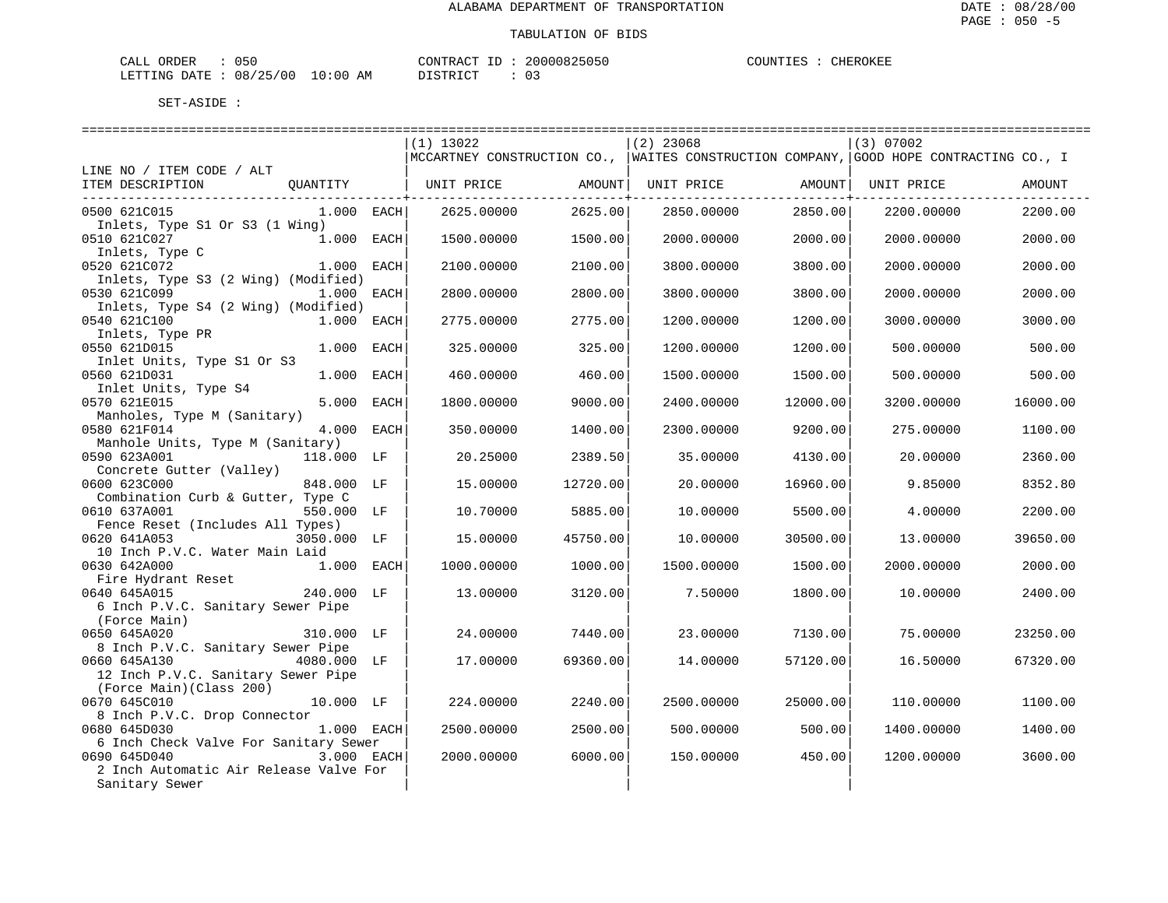| ORDER<br>CALL                    | 050 |  | CONTRACT ID |  | 20000825050 | COUNTIES | CHEROKEE |
|----------------------------------|-----|--|-------------|--|-------------|----------|----------|
| LETTING DATE : 08/25/00 10:00 AM |     |  | DISTRICT    |  | U.S         |          |          |

|                                        |              |      | $(1)$ 13022 |          | $(2)$ 23068                                                                                             |          | (3) 07002  |          |
|----------------------------------------|--------------|------|-------------|----------|---------------------------------------------------------------------------------------------------------|----------|------------|----------|
|                                        |              |      |             |          | $ {\tt MCCARTNEY}$ CONSTRUCTION CO., $ {\tt WAITES}$ CONSTRUCTION COMPANY, GOOD HOPE CONTRACTING CO., I |          |            |          |
| LINE NO / ITEM CODE / ALT              |              |      |             |          |                                                                                                         |          |            |          |
| ITEM DESCRIPTION                       | OUANTITY     |      | UNIT PRICE  | AMOUNT   | UNIT PRICE                                                                                              | AMOUNT   | UNIT PRICE | AMOUNT   |
|                                        |              |      |             |          |                                                                                                         |          |            |          |
| 0500 621C015                           | $1.000$ EACH |      | 2625.00000  | 2625.00  | 2850.00000                                                                                              | 2850.00  | 2200.00000 | 2200.00  |
| Inlets, Type S1 Or S3 (1 Wing)         |              |      |             |          |                                                                                                         |          |            |          |
| 0510 621C027                           | 1.000 EACH   |      | 1500.00000  | 1500.00  | 2000.00000                                                                                              | 2000.00  | 2000.00000 | 2000.00  |
| Inlets, Type C                         |              |      |             |          |                                                                                                         |          |            |          |
| 0520 621C072                           | 1.000 EACH   |      | 2100.00000  | 2100.00  | 3800.00000                                                                                              | 3800.00  | 2000.00000 | 2000.00  |
| Inlets, Type S3 (2 Wing) (Modified)    |              |      |             |          |                                                                                                         |          |            |          |
| 0530 621C099                           | 1.000        | EACH | 2800.00000  | 2800.00  | 3800.00000                                                                                              | 3800.00  | 2000.00000 | 2000.00  |
| Inlets, Type S4 (2 Wing) (Modified)    |              |      |             |          |                                                                                                         |          |            |          |
| 0540 621C100                           | 1.000        | EACH | 2775.00000  | 2775.00  | 1200.00000                                                                                              | 1200.00  | 3000.00000 | 3000.00  |
| Inlets, Type PR                        |              |      |             |          |                                                                                                         |          |            |          |
| 0550 621D015                           | 1.000 EACH   |      | 325.00000   | 325.00   | 1200.00000                                                                                              | 1200.00  | 500.00000  | 500.00   |
| Inlet Units, Type S1 Or S3             |              |      |             |          |                                                                                                         |          |            |          |
| 0560 621D031                           | 1.000        | EACH | 460.00000   | 460.00   | 1500.00000                                                                                              | 1500.00  | 500.00000  | 500.00   |
| Inlet Units, Type S4                   |              |      |             |          |                                                                                                         |          |            |          |
| 0570 621E015                           | 5.000        | EACH | 1800.00000  | 9000.00  | 2400.00000                                                                                              | 12000.00 | 3200.00000 | 16000.00 |
| Manholes, Type M (Sanitary)            |              |      |             |          |                                                                                                         |          |            |          |
| 0580 621F014                           | 4.000 EACH   |      | 350.00000   | 1400.00  | 2300.00000                                                                                              | 9200.00  | 275.00000  | 1100.00  |
| Manhole Units, Type M (Sanitary)       |              |      |             |          |                                                                                                         |          |            |          |
| 0590 623A001                           | 118.000 LF   |      | 20.25000    | 2389.50  | 35.00000                                                                                                | 4130.00  | 20.00000   | 2360.00  |
| Concrete Gutter (Valley)               |              |      |             |          |                                                                                                         |          |            |          |
| 0600 623C000                           | 848.000 LF   |      | 15.00000    | 12720.00 | 20.00000                                                                                                | 16960.00 | 9.85000    | 8352.80  |
| Combination Curb & Gutter, Type C      |              |      |             |          |                                                                                                         |          |            |          |
| 0610 637A001                           | 550.000 LF   |      | 10.70000    | 5885.00  | 10.00000                                                                                                | 5500.00  | 4.00000    | 2200.00  |
| Fence Reset (Includes All Types)       |              |      |             |          |                                                                                                         |          |            |          |
| 0620 641A053                           | 3050.000 LF  |      | 15,00000    | 45750.00 | 10.00000                                                                                                | 30500.00 | 13,00000   | 39650.00 |
| 10 Inch P.V.C. Water Main Laid         |              |      |             |          |                                                                                                         |          |            |          |
| 0630 642A000                           | $1.000$ EACH |      | 1000.00000  | 1000.00  | 1500.00000                                                                                              | 1500.00  | 2000.00000 | 2000.00  |
| Fire Hydrant Reset                     |              |      |             |          |                                                                                                         |          |            |          |
| 0640 645A015                           | 240.000 LF   |      | 13,00000    | 3120.00  | 7.50000                                                                                                 | 1800.00  | 10.00000   | 2400.00  |
| 6 Inch P.V.C. Sanitary Sewer Pipe      |              |      |             |          |                                                                                                         |          |            |          |
| (Force Main)                           |              |      |             |          |                                                                                                         |          |            |          |
| 0650 645A020                           | 310.000 LF   |      | 24.00000    | 7440.00  | 23.00000                                                                                                | 7130.00  | 75.00000   | 23250.00 |
| 8 Inch P.V.C. Sanitary Sewer Pipe      |              |      |             |          |                                                                                                         |          |            |          |
| 0660 645A130                           | 4080.000 LF  |      | 17.00000    | 69360.00 | 14.00000                                                                                                | 57120.00 | 16.50000   | 67320.00 |
| 12 Inch P.V.C. Sanitary Sewer Pipe     |              |      |             |          |                                                                                                         |          |            |          |
| (Force Main) (Class 200)               |              |      |             |          |                                                                                                         |          |            |          |
| 0670 645C010                           | $10.000$ LF  |      | 224.00000   | 2240.00  | 2500.00000                                                                                              | 25000.00 | 110,00000  | 1100.00  |
| 8 Inch P.V.C. Drop Connector           |              |      |             |          |                                                                                                         |          |            |          |
| 0680 645D030                           | $1.000$ EACH |      | 2500.00000  | 2500.00  | 500.00000                                                                                               | 500.00   | 1400.00000 | 1400.00  |
| 6 Inch Check Valve For Sanitary Sewer  |              |      |             |          |                                                                                                         |          |            |          |
| 0690 645D040                           | 3.000 EACH   |      | 2000.00000  | 6000.00  | 150.00000                                                                                               | 450.00   | 1200.00000 | 3600.00  |
| 2 Inch Automatic Air Release Valve For |              |      |             |          |                                                                                                         |          |            |          |
| Sanitary Sewer                         |              |      |             |          |                                                                                                         |          |            |          |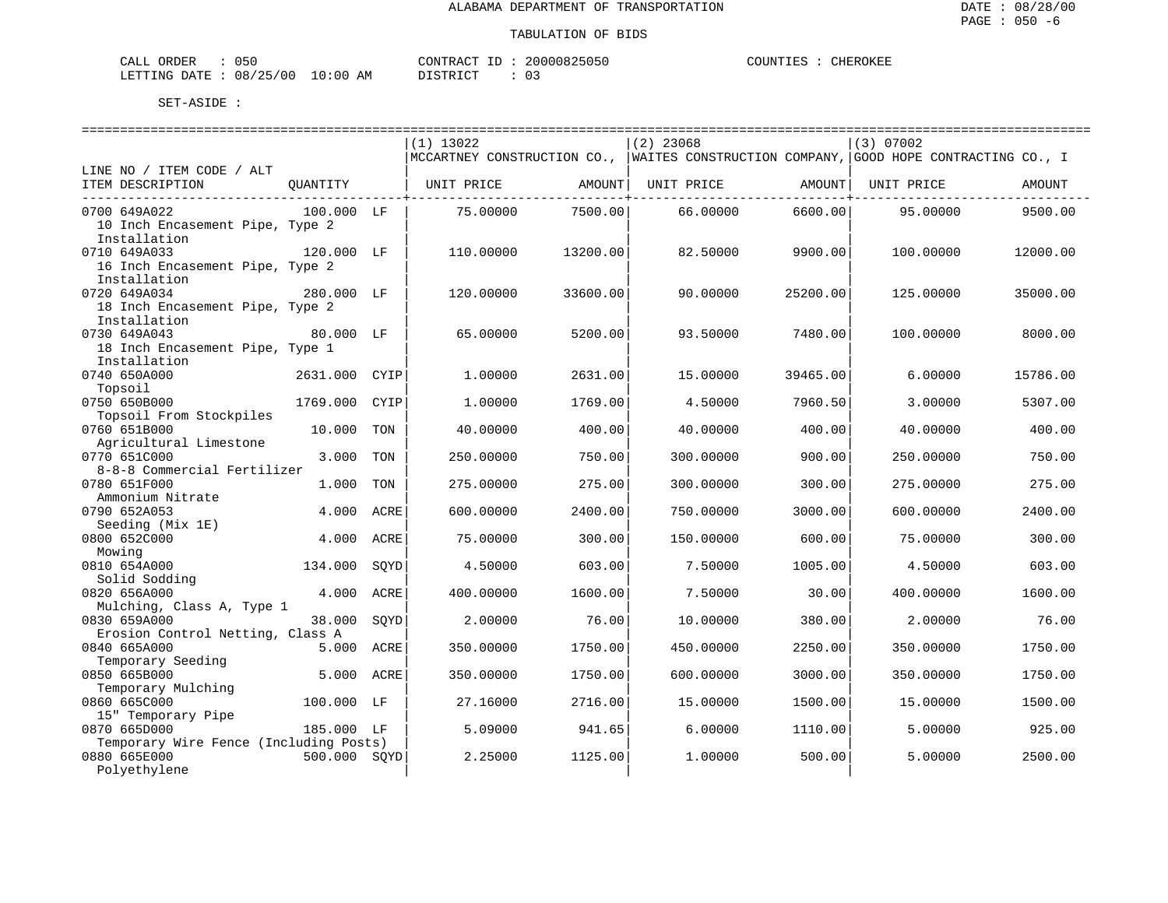| $\sim$ $ -$<br>ORDER<br>- لىلەت | $-$<br>0 5 C                            |                    | ∩NTR A<br>$-1$<br>\ ∩m | 20000825<br>1151<br>1.1.11 | )HN'<br>. <del>.</del> | <b>THER</b><br>OKEE |
|---------------------------------|-----------------------------------------|--------------------|------------------------|----------------------------|------------------------|---------------------|
| LETTING<br>DATE.<br>.           | $\sqrt{2}$<br>08<br>つち<br>U U<br>$\sim$ | AΜ<br>:0.<br>— ∪ ∵ | $T \cap T$<br>CDD      |                            |                        |                     |

|                                        |              |      | $(1)$ 13022 |          | $(2)$ 23068                                                                             |          | (3) 07002  |          |
|----------------------------------------|--------------|------|-------------|----------|-----------------------------------------------------------------------------------------|----------|------------|----------|
|                                        |              |      |             |          | MCCARTNEY CONSTRUCTION CO.,   WAITES CONSTRUCTION COMPANY, GOOD HOPE CONTRACTING CO., I |          |            |          |
| LINE NO / ITEM CODE / ALT              |              |      |             |          |                                                                                         |          |            |          |
| ITEM DESCRIPTION                       | OUANTITY     |      | UNIT PRICE  | AMOUNT   | UNIT PRICE                                                                              | AMOUNT   | UNIT PRICE | AMOUNT   |
| 0700 649A022                           | 100.000 LF   |      | 75.00000    | 7500.00  | 66.00000                                                                                | 6600.00  | 95,00000   | 9500.00  |
| 10 Inch Encasement Pipe, Type 2        |              |      |             |          |                                                                                         |          |            |          |
| Installation                           |              |      |             |          |                                                                                         |          |            |          |
| 0710 649A033                           | 120.000 LF   |      | 110,00000   | 13200.00 | 82.50000                                                                                | 9900.00  | 100,00000  | 12000.00 |
| 16 Inch Encasement Pipe, Type 2        |              |      |             |          |                                                                                         |          |            |          |
| Installation                           |              |      |             |          |                                                                                         |          |            |          |
| 0720 649A034                           | 280.000 LF   |      | 120.00000   | 33600.00 | 90.00000                                                                                | 25200.00 | 125.00000  | 35000.00 |
| 18 Inch Encasement Pipe, Type 2        |              |      |             |          |                                                                                         |          |            |          |
| Installation                           |              |      |             |          |                                                                                         |          |            |          |
| 0730 649A043                           | 80.000 LF    |      | 65.00000    | 5200.00  | 93.50000                                                                                | 7480.00  | 100.00000  | 8000.00  |
| 18 Inch Encasement Pipe, Type 1        |              |      |             |          |                                                                                         |          |            |          |
| Installation                           |              |      |             |          |                                                                                         |          |            |          |
| 0740 650A000                           | 2631.000     | CYIP | 1.00000     | 2631.00  | 15.00000                                                                                | 39465.00 | 6.00000    | 15786.00 |
| Topsoil                                |              |      |             |          |                                                                                         |          |            |          |
| 0750 650B000                           | 1769.000     | CYIP | 1.00000     | 1769.00  | 4.50000                                                                                 | 7960.50  | 3.00000    | 5307.00  |
| Topsoil From Stockpiles                |              |      |             |          |                                                                                         |          |            |          |
| 0760 651B000                           | 10.000       | TON  | 40.00000    | 400.00   | 40.00000                                                                                | 400.00   | 40.00000   | 400.00   |
| Agricultural Limestone                 |              |      |             |          |                                                                                         |          |            |          |
| 0770 651C000                           | 3,000        | TON  | 250.00000   | 750.00   | 300.00000                                                                               | 900.00   | 250.00000  | 750.00   |
| 8-8-8 Commercial Fertilizer            |              |      |             |          |                                                                                         |          |            |          |
| 0780 651F000                           | 1.000        | TON  | 275.00000   | 275.00   | 300.00000                                                                               | 300.00   | 275.00000  | 275.00   |
| Ammonium Nitrate                       |              |      |             |          |                                                                                         |          |            |          |
| 0790 652A053                           | 4.000        | ACRE | 600.00000   | 2400.00  | 750.00000                                                                               | 3000.00  | 600.00000  | 2400.00  |
| Seeding (Mix 1E)                       |              |      |             |          |                                                                                         |          |            |          |
| 0800 652C000                           | 4.000        | ACRE | 75.00000    | 300.00   | 150.00000                                                                               | 600.00   | 75.00000   | 300.00   |
|                                        |              |      |             |          |                                                                                         |          |            |          |
| Mowing                                 | 134.000      |      | 4.50000     | 603.00   | 7.50000                                                                                 | 1005.00  | 4.50000    | 603.00   |
| 0810 654A000<br>Solid Sodding          |              | SQYD |             |          |                                                                                         |          |            |          |
| 0820 656A000                           | 4.000        | ACRE | 400.00000   | 1600.00  | 7.50000                                                                                 | 30.00    | 400.00000  | 1600.00  |
| Mulching, Class A, Type 1              |              |      |             |          |                                                                                         |          |            |          |
| 0830 659A000                           | 38.000       | SOYD | 2.00000     | 76.00    | 10.00000                                                                                | 380.00   | 2,00000    | 76.00    |
| Erosion Control Netting, Class A       |              |      |             |          |                                                                                         |          |            |          |
| 0840 665A000                           | 5.000        | ACRE | 350.00000   | 1750.00  | 450.00000                                                                               | 2250.00  | 350.00000  | 1750.00  |
| Temporary Seeding                      |              |      |             |          |                                                                                         |          |            |          |
| 0850 665B000                           | 5.000 ACRE   |      | 350.00000   | 1750.00  | 600.00000                                                                               | 3000.00  | 350.00000  | 1750.00  |
| Temporary Mulching                     |              |      |             |          |                                                                                         |          |            |          |
| 0860 665C000                           | 100.000 LF   |      | 27.16000    | 2716.00  | 15.00000                                                                                | 1500.00  | 15.00000   | 1500.00  |
| 15" Temporary Pipe                     |              |      |             |          |                                                                                         |          |            |          |
| 0870 665D000                           | 185.000 LF   |      | 5.09000     | 941.65   | 6.00000                                                                                 | 1110.00  | 5.00000    | 925.00   |
| Temporary Wire Fence (Including Posts) |              |      |             |          |                                                                                         |          |            |          |
| 0880 665E000                           | 500.000 SOYD |      | 2.25000     | 1125.00  | 1,00000                                                                                 | 500.00   | 5.00000    | 2500.00  |
| Polyethylene                           |              |      |             |          |                                                                                         |          |            |          |
|                                        |              |      |             |          |                                                                                         |          |            |          |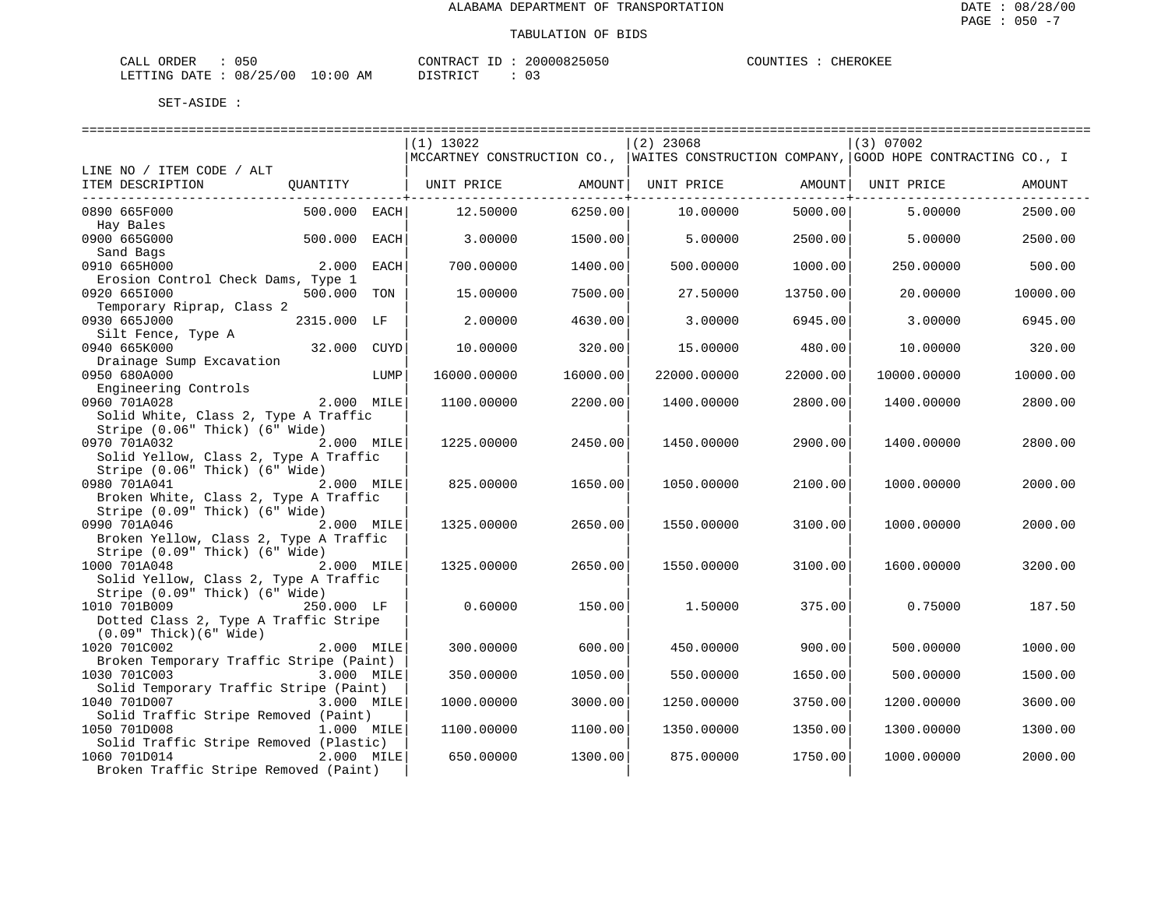| CALL ORDER             | 050 |            | CONTRACT ID | 20000825050 | COUNTIES : | CHEROKEE |
|------------------------|-----|------------|-------------|-------------|------------|----------|
| LETTING DATE: 08/25/00 |     | $10:00$ AM | DISTRICT    |             |            |          |

| $(1)$ 13022<br>$(2)$ 23068<br>(3) 07002<br> MCCARTNEY CONSTRUCTION CO.,   WAITES CONSTRUCTION COMPANY,   GOOD HOPE CONTRACTING CO., I<br>LINE NO / ITEM CODE / ALT<br>ITEM DESCRIPTION<br>OUANTITY<br>UNIT PRICE<br>AMOUNT  <br>UNIT PRICE<br>AMOUNT  <br>UNIT PRICE<br>AMOUNT<br>6250.00<br>2500.00<br>0890 665F000<br>500.000 EACH<br>12.50000<br>10,00000<br>5000.00<br>5,00000<br>Hay Bales<br>0900 665G000<br>500.000<br>EACH<br>3,00000<br>1500.00<br>5.00000<br>2500.00<br>5.00000<br>2500.00<br>Sand Bags<br>0910 665H000<br>2.000<br>700.00000<br>1400.00<br>500.00000<br>1000.00<br>250.00000<br>500.00<br>EACH<br>Erosion Control Check Dams, Type 1<br>0920 6651000<br>500.000<br>7500.00<br>10000.00<br>TON<br>15.00000<br>27.50000<br>13750.00<br>20.00000<br>Temporary Riprap, Class 2<br>0930 665J000<br>2315.000 LF<br>2.00000<br>4630.00<br>3.00000<br>6945.00<br>3,00000<br>6945.00<br>Silt Fence, Type A<br>0940 665K000<br>32.000 CUYD<br>10.00000<br>320.00<br>15.00000<br>480.00<br>10.00000<br>320.00<br>Drainage Sump Excavation<br>0950 680A000<br>LUMP<br>16000.00000<br>16000.00<br>22000.00000<br>22000.00<br>10000.00000<br>10000.00<br>Engineering Controls<br>0960 701A028<br>2.000 MILE<br>1100.00000<br>2200.00<br>1400.00000<br>2800.00<br>1400.00000<br>2800.00<br>Solid White, Class 2, Type A Traffic<br>Stripe (0.06" Thick) (6" Wide)<br>0970 701A032<br>2.000 MILE<br>2900.00<br>2800.00<br>1225.00000<br>2450.00<br>1450.00000<br>1400.00000<br>Solid Yellow, Class 2, Type A Traffic<br>Stripe (0.06" Thick) (6" Wide)<br>0980 701A041<br>825.00000<br>1650.00<br>2100.00<br>2000.00<br>2.000 MILE<br>1050.00000<br>1000.00000<br>Broken White, Class 2, Type A Traffic<br>Stripe (0.09" Thick) (6" Wide)<br>0990 701A046<br>2.000 MILE<br>2650.00<br>1325.00000<br>1550.00000<br>3100.00<br>1000.00000<br>2000.00<br>Broken Yellow, Class 2, Type A Traffic<br>Stripe (0.09" Thick) (6" Wide)<br>1000 701A048<br>2.000 MILE<br>1325.00000<br>2650.00<br>1550.00000<br>3100.00<br>1600.00000<br>3200.00<br>Solid Yellow, Class 2, Type A Traffic<br>Stripe (0.09" Thick) (6" Wide)<br>1010 701B009<br>250.000 LF<br>0.60000<br>150.00<br>1.50000<br>375.00<br>0.75000<br>187.50<br>Dotted Class 2, Type A Traffic Stripe<br>$(0.09"$ Thick $)(6"$ Wide $)$<br>1020 701C002<br>2.000 MILE<br>300.00000<br>600.00<br>450.00000<br>900.00<br>500.00000<br>1000.00<br>Broken Temporary Traffic Stripe (Paint)<br>1030 701C003<br>3.000 MILE<br>1050.00<br>350.00000<br>550.00000<br>1650.00<br>500.00000<br>1500.00<br>Solid Temporary Traffic Stripe (Paint)<br>1040 701D007<br>3.000 MILE<br>1000.00000<br>3000.00<br>1250.00000<br>3750.00<br>1200.00000<br>3600.00<br>Solid Traffic Stripe Removed (Paint)<br>1050 701D008<br>1.000 MILE<br>1100.00<br>1100.00000<br>1350.00000<br>1350.00<br>1300.00000<br>1300.00<br>Solid Traffic Stripe Removed (Plastic)<br>1060 701D014<br>2.000 MILE<br>1300.00<br>875.00000<br>1000.00000<br>2000.00<br>650.00000<br>1750.00<br>Broken Traffic Stripe Removed (Paint) |  |  |  |  |  |
|----------------------------------------------------------------------------------------------------------------------------------------------------------------------------------------------------------------------------------------------------------------------------------------------------------------------------------------------------------------------------------------------------------------------------------------------------------------------------------------------------------------------------------------------------------------------------------------------------------------------------------------------------------------------------------------------------------------------------------------------------------------------------------------------------------------------------------------------------------------------------------------------------------------------------------------------------------------------------------------------------------------------------------------------------------------------------------------------------------------------------------------------------------------------------------------------------------------------------------------------------------------------------------------------------------------------------------------------------------------------------------------------------------------------------------------------------------------------------------------------------------------------------------------------------------------------------------------------------------------------------------------------------------------------------------------------------------------------------------------------------------------------------------------------------------------------------------------------------------------------------------------------------------------------------------------------------------------------------------------------------------------------------------------------------------------------------------------------------------------------------------------------------------------------------------------------------------------------------------------------------------------------------------------------------------------------------------------------------------------------------------------------------------------------------------------------------------------------------------------------------------------------------------------------------------------------------------------------------------------------------------------------------------------------------------------------------------------------------------------------------------------------------------------------------------------------------------------------------------------------------------------------------------------------------------------------------------------------------------------------------------------------------------------------------------|--|--|--|--|--|
|                                                                                                                                                                                                                                                                                                                                                                                                                                                                                                                                                                                                                                                                                                                                                                                                                                                                                                                                                                                                                                                                                                                                                                                                                                                                                                                                                                                                                                                                                                                                                                                                                                                                                                                                                                                                                                                                                                                                                                                                                                                                                                                                                                                                                                                                                                                                                                                                                                                                                                                                                                                                                                                                                                                                                                                                                                                                                                                                                                                                                                                          |  |  |  |  |  |
|                                                                                                                                                                                                                                                                                                                                                                                                                                                                                                                                                                                                                                                                                                                                                                                                                                                                                                                                                                                                                                                                                                                                                                                                                                                                                                                                                                                                                                                                                                                                                                                                                                                                                                                                                                                                                                                                                                                                                                                                                                                                                                                                                                                                                                                                                                                                                                                                                                                                                                                                                                                                                                                                                                                                                                                                                                                                                                                                                                                                                                                          |  |  |  |  |  |
|                                                                                                                                                                                                                                                                                                                                                                                                                                                                                                                                                                                                                                                                                                                                                                                                                                                                                                                                                                                                                                                                                                                                                                                                                                                                                                                                                                                                                                                                                                                                                                                                                                                                                                                                                                                                                                                                                                                                                                                                                                                                                                                                                                                                                                                                                                                                                                                                                                                                                                                                                                                                                                                                                                                                                                                                                                                                                                                                                                                                                                                          |  |  |  |  |  |
|                                                                                                                                                                                                                                                                                                                                                                                                                                                                                                                                                                                                                                                                                                                                                                                                                                                                                                                                                                                                                                                                                                                                                                                                                                                                                                                                                                                                                                                                                                                                                                                                                                                                                                                                                                                                                                                                                                                                                                                                                                                                                                                                                                                                                                                                                                                                                                                                                                                                                                                                                                                                                                                                                                                                                                                                                                                                                                                                                                                                                                                          |  |  |  |  |  |
|                                                                                                                                                                                                                                                                                                                                                                                                                                                                                                                                                                                                                                                                                                                                                                                                                                                                                                                                                                                                                                                                                                                                                                                                                                                                                                                                                                                                                                                                                                                                                                                                                                                                                                                                                                                                                                                                                                                                                                                                                                                                                                                                                                                                                                                                                                                                                                                                                                                                                                                                                                                                                                                                                                                                                                                                                                                                                                                                                                                                                                                          |  |  |  |  |  |
|                                                                                                                                                                                                                                                                                                                                                                                                                                                                                                                                                                                                                                                                                                                                                                                                                                                                                                                                                                                                                                                                                                                                                                                                                                                                                                                                                                                                                                                                                                                                                                                                                                                                                                                                                                                                                                                                                                                                                                                                                                                                                                                                                                                                                                                                                                                                                                                                                                                                                                                                                                                                                                                                                                                                                                                                                                                                                                                                                                                                                                                          |  |  |  |  |  |
|                                                                                                                                                                                                                                                                                                                                                                                                                                                                                                                                                                                                                                                                                                                                                                                                                                                                                                                                                                                                                                                                                                                                                                                                                                                                                                                                                                                                                                                                                                                                                                                                                                                                                                                                                                                                                                                                                                                                                                                                                                                                                                                                                                                                                                                                                                                                                                                                                                                                                                                                                                                                                                                                                                                                                                                                                                                                                                                                                                                                                                                          |  |  |  |  |  |
|                                                                                                                                                                                                                                                                                                                                                                                                                                                                                                                                                                                                                                                                                                                                                                                                                                                                                                                                                                                                                                                                                                                                                                                                                                                                                                                                                                                                                                                                                                                                                                                                                                                                                                                                                                                                                                                                                                                                                                                                                                                                                                                                                                                                                                                                                                                                                                                                                                                                                                                                                                                                                                                                                                                                                                                                                                                                                                                                                                                                                                                          |  |  |  |  |  |
|                                                                                                                                                                                                                                                                                                                                                                                                                                                                                                                                                                                                                                                                                                                                                                                                                                                                                                                                                                                                                                                                                                                                                                                                                                                                                                                                                                                                                                                                                                                                                                                                                                                                                                                                                                                                                                                                                                                                                                                                                                                                                                                                                                                                                                                                                                                                                                                                                                                                                                                                                                                                                                                                                                                                                                                                                                                                                                                                                                                                                                                          |  |  |  |  |  |
|                                                                                                                                                                                                                                                                                                                                                                                                                                                                                                                                                                                                                                                                                                                                                                                                                                                                                                                                                                                                                                                                                                                                                                                                                                                                                                                                                                                                                                                                                                                                                                                                                                                                                                                                                                                                                                                                                                                                                                                                                                                                                                                                                                                                                                                                                                                                                                                                                                                                                                                                                                                                                                                                                                                                                                                                                                                                                                                                                                                                                                                          |  |  |  |  |  |
|                                                                                                                                                                                                                                                                                                                                                                                                                                                                                                                                                                                                                                                                                                                                                                                                                                                                                                                                                                                                                                                                                                                                                                                                                                                                                                                                                                                                                                                                                                                                                                                                                                                                                                                                                                                                                                                                                                                                                                                                                                                                                                                                                                                                                                                                                                                                                                                                                                                                                                                                                                                                                                                                                                                                                                                                                                                                                                                                                                                                                                                          |  |  |  |  |  |
|                                                                                                                                                                                                                                                                                                                                                                                                                                                                                                                                                                                                                                                                                                                                                                                                                                                                                                                                                                                                                                                                                                                                                                                                                                                                                                                                                                                                                                                                                                                                                                                                                                                                                                                                                                                                                                                                                                                                                                                                                                                                                                                                                                                                                                                                                                                                                                                                                                                                                                                                                                                                                                                                                                                                                                                                                                                                                                                                                                                                                                                          |  |  |  |  |  |
|                                                                                                                                                                                                                                                                                                                                                                                                                                                                                                                                                                                                                                                                                                                                                                                                                                                                                                                                                                                                                                                                                                                                                                                                                                                                                                                                                                                                                                                                                                                                                                                                                                                                                                                                                                                                                                                                                                                                                                                                                                                                                                                                                                                                                                                                                                                                                                                                                                                                                                                                                                                                                                                                                                                                                                                                                                                                                                                                                                                                                                                          |  |  |  |  |  |
|                                                                                                                                                                                                                                                                                                                                                                                                                                                                                                                                                                                                                                                                                                                                                                                                                                                                                                                                                                                                                                                                                                                                                                                                                                                                                                                                                                                                                                                                                                                                                                                                                                                                                                                                                                                                                                                                                                                                                                                                                                                                                                                                                                                                                                                                                                                                                                                                                                                                                                                                                                                                                                                                                                                                                                                                                                                                                                                                                                                                                                                          |  |  |  |  |  |
|                                                                                                                                                                                                                                                                                                                                                                                                                                                                                                                                                                                                                                                                                                                                                                                                                                                                                                                                                                                                                                                                                                                                                                                                                                                                                                                                                                                                                                                                                                                                                                                                                                                                                                                                                                                                                                                                                                                                                                                                                                                                                                                                                                                                                                                                                                                                                                                                                                                                                                                                                                                                                                                                                                                                                                                                                                                                                                                                                                                                                                                          |  |  |  |  |  |
|                                                                                                                                                                                                                                                                                                                                                                                                                                                                                                                                                                                                                                                                                                                                                                                                                                                                                                                                                                                                                                                                                                                                                                                                                                                                                                                                                                                                                                                                                                                                                                                                                                                                                                                                                                                                                                                                                                                                                                                                                                                                                                                                                                                                                                                                                                                                                                                                                                                                                                                                                                                                                                                                                                                                                                                                                                                                                                                                                                                                                                                          |  |  |  |  |  |
|                                                                                                                                                                                                                                                                                                                                                                                                                                                                                                                                                                                                                                                                                                                                                                                                                                                                                                                                                                                                                                                                                                                                                                                                                                                                                                                                                                                                                                                                                                                                                                                                                                                                                                                                                                                                                                                                                                                                                                                                                                                                                                                                                                                                                                                                                                                                                                                                                                                                                                                                                                                                                                                                                                                                                                                                                                                                                                                                                                                                                                                          |  |  |  |  |  |
|                                                                                                                                                                                                                                                                                                                                                                                                                                                                                                                                                                                                                                                                                                                                                                                                                                                                                                                                                                                                                                                                                                                                                                                                                                                                                                                                                                                                                                                                                                                                                                                                                                                                                                                                                                                                                                                                                                                                                                                                                                                                                                                                                                                                                                                                                                                                                                                                                                                                                                                                                                                                                                                                                                                                                                                                                                                                                                                                                                                                                                                          |  |  |  |  |  |
|                                                                                                                                                                                                                                                                                                                                                                                                                                                                                                                                                                                                                                                                                                                                                                                                                                                                                                                                                                                                                                                                                                                                                                                                                                                                                                                                                                                                                                                                                                                                                                                                                                                                                                                                                                                                                                                                                                                                                                                                                                                                                                                                                                                                                                                                                                                                                                                                                                                                                                                                                                                                                                                                                                                                                                                                                                                                                                                                                                                                                                                          |  |  |  |  |  |
|                                                                                                                                                                                                                                                                                                                                                                                                                                                                                                                                                                                                                                                                                                                                                                                                                                                                                                                                                                                                                                                                                                                                                                                                                                                                                                                                                                                                                                                                                                                                                                                                                                                                                                                                                                                                                                                                                                                                                                                                                                                                                                                                                                                                                                                                                                                                                                                                                                                                                                                                                                                                                                                                                                                                                                                                                                                                                                                                                                                                                                                          |  |  |  |  |  |
|                                                                                                                                                                                                                                                                                                                                                                                                                                                                                                                                                                                                                                                                                                                                                                                                                                                                                                                                                                                                                                                                                                                                                                                                                                                                                                                                                                                                                                                                                                                                                                                                                                                                                                                                                                                                                                                                                                                                                                                                                                                                                                                                                                                                                                                                                                                                                                                                                                                                                                                                                                                                                                                                                                                                                                                                                                                                                                                                                                                                                                                          |  |  |  |  |  |
|                                                                                                                                                                                                                                                                                                                                                                                                                                                                                                                                                                                                                                                                                                                                                                                                                                                                                                                                                                                                                                                                                                                                                                                                                                                                                                                                                                                                                                                                                                                                                                                                                                                                                                                                                                                                                                                                                                                                                                                                                                                                                                                                                                                                                                                                                                                                                                                                                                                                                                                                                                                                                                                                                                                                                                                                                                                                                                                                                                                                                                                          |  |  |  |  |  |
|                                                                                                                                                                                                                                                                                                                                                                                                                                                                                                                                                                                                                                                                                                                                                                                                                                                                                                                                                                                                                                                                                                                                                                                                                                                                                                                                                                                                                                                                                                                                                                                                                                                                                                                                                                                                                                                                                                                                                                                                                                                                                                                                                                                                                                                                                                                                                                                                                                                                                                                                                                                                                                                                                                                                                                                                                                                                                                                                                                                                                                                          |  |  |  |  |  |
|                                                                                                                                                                                                                                                                                                                                                                                                                                                                                                                                                                                                                                                                                                                                                                                                                                                                                                                                                                                                                                                                                                                                                                                                                                                                                                                                                                                                                                                                                                                                                                                                                                                                                                                                                                                                                                                                                                                                                                                                                                                                                                                                                                                                                                                                                                                                                                                                                                                                                                                                                                                                                                                                                                                                                                                                                                                                                                                                                                                                                                                          |  |  |  |  |  |
|                                                                                                                                                                                                                                                                                                                                                                                                                                                                                                                                                                                                                                                                                                                                                                                                                                                                                                                                                                                                                                                                                                                                                                                                                                                                                                                                                                                                                                                                                                                                                                                                                                                                                                                                                                                                                                                                                                                                                                                                                                                                                                                                                                                                                                                                                                                                                                                                                                                                                                                                                                                                                                                                                                                                                                                                                                                                                                                                                                                                                                                          |  |  |  |  |  |
|                                                                                                                                                                                                                                                                                                                                                                                                                                                                                                                                                                                                                                                                                                                                                                                                                                                                                                                                                                                                                                                                                                                                                                                                                                                                                                                                                                                                                                                                                                                                                                                                                                                                                                                                                                                                                                                                                                                                                                                                                                                                                                                                                                                                                                                                                                                                                                                                                                                                                                                                                                                                                                                                                                                                                                                                                                                                                                                                                                                                                                                          |  |  |  |  |  |
|                                                                                                                                                                                                                                                                                                                                                                                                                                                                                                                                                                                                                                                                                                                                                                                                                                                                                                                                                                                                                                                                                                                                                                                                                                                                                                                                                                                                                                                                                                                                                                                                                                                                                                                                                                                                                                                                                                                                                                                                                                                                                                                                                                                                                                                                                                                                                                                                                                                                                                                                                                                                                                                                                                                                                                                                                                                                                                                                                                                                                                                          |  |  |  |  |  |
|                                                                                                                                                                                                                                                                                                                                                                                                                                                                                                                                                                                                                                                                                                                                                                                                                                                                                                                                                                                                                                                                                                                                                                                                                                                                                                                                                                                                                                                                                                                                                                                                                                                                                                                                                                                                                                                                                                                                                                                                                                                                                                                                                                                                                                                                                                                                                                                                                                                                                                                                                                                                                                                                                                                                                                                                                                                                                                                                                                                                                                                          |  |  |  |  |  |
|                                                                                                                                                                                                                                                                                                                                                                                                                                                                                                                                                                                                                                                                                                                                                                                                                                                                                                                                                                                                                                                                                                                                                                                                                                                                                                                                                                                                                                                                                                                                                                                                                                                                                                                                                                                                                                                                                                                                                                                                                                                                                                                                                                                                                                                                                                                                                                                                                                                                                                                                                                                                                                                                                                                                                                                                                                                                                                                                                                                                                                                          |  |  |  |  |  |
|                                                                                                                                                                                                                                                                                                                                                                                                                                                                                                                                                                                                                                                                                                                                                                                                                                                                                                                                                                                                                                                                                                                                                                                                                                                                                                                                                                                                                                                                                                                                                                                                                                                                                                                                                                                                                                                                                                                                                                                                                                                                                                                                                                                                                                                                                                                                                                                                                                                                                                                                                                                                                                                                                                                                                                                                                                                                                                                                                                                                                                                          |  |  |  |  |  |
|                                                                                                                                                                                                                                                                                                                                                                                                                                                                                                                                                                                                                                                                                                                                                                                                                                                                                                                                                                                                                                                                                                                                                                                                                                                                                                                                                                                                                                                                                                                                                                                                                                                                                                                                                                                                                                                                                                                                                                                                                                                                                                                                                                                                                                                                                                                                                                                                                                                                                                                                                                                                                                                                                                                                                                                                                                                                                                                                                                                                                                                          |  |  |  |  |  |
|                                                                                                                                                                                                                                                                                                                                                                                                                                                                                                                                                                                                                                                                                                                                                                                                                                                                                                                                                                                                                                                                                                                                                                                                                                                                                                                                                                                                                                                                                                                                                                                                                                                                                                                                                                                                                                                                                                                                                                                                                                                                                                                                                                                                                                                                                                                                                                                                                                                                                                                                                                                                                                                                                                                                                                                                                                                                                                                                                                                                                                                          |  |  |  |  |  |
|                                                                                                                                                                                                                                                                                                                                                                                                                                                                                                                                                                                                                                                                                                                                                                                                                                                                                                                                                                                                                                                                                                                                                                                                                                                                                                                                                                                                                                                                                                                                                                                                                                                                                                                                                                                                                                                                                                                                                                                                                                                                                                                                                                                                                                                                                                                                                                                                                                                                                                                                                                                                                                                                                                                                                                                                                                                                                                                                                                                                                                                          |  |  |  |  |  |
|                                                                                                                                                                                                                                                                                                                                                                                                                                                                                                                                                                                                                                                                                                                                                                                                                                                                                                                                                                                                                                                                                                                                                                                                                                                                                                                                                                                                                                                                                                                                                                                                                                                                                                                                                                                                                                                                                                                                                                                                                                                                                                                                                                                                                                                                                                                                                                                                                                                                                                                                                                                                                                                                                                                                                                                                                                                                                                                                                                                                                                                          |  |  |  |  |  |
|                                                                                                                                                                                                                                                                                                                                                                                                                                                                                                                                                                                                                                                                                                                                                                                                                                                                                                                                                                                                                                                                                                                                                                                                                                                                                                                                                                                                                                                                                                                                                                                                                                                                                                                                                                                                                                                                                                                                                                                                                                                                                                                                                                                                                                                                                                                                                                                                                                                                                                                                                                                                                                                                                                                                                                                                                                                                                                                                                                                                                                                          |  |  |  |  |  |
|                                                                                                                                                                                                                                                                                                                                                                                                                                                                                                                                                                                                                                                                                                                                                                                                                                                                                                                                                                                                                                                                                                                                                                                                                                                                                                                                                                                                                                                                                                                                                                                                                                                                                                                                                                                                                                                                                                                                                                                                                                                                                                                                                                                                                                                                                                                                                                                                                                                                                                                                                                                                                                                                                                                                                                                                                                                                                                                                                                                                                                                          |  |  |  |  |  |
|                                                                                                                                                                                                                                                                                                                                                                                                                                                                                                                                                                                                                                                                                                                                                                                                                                                                                                                                                                                                                                                                                                                                                                                                                                                                                                                                                                                                                                                                                                                                                                                                                                                                                                                                                                                                                                                                                                                                                                                                                                                                                                                                                                                                                                                                                                                                                                                                                                                                                                                                                                                                                                                                                                                                                                                                                                                                                                                                                                                                                                                          |  |  |  |  |  |
|                                                                                                                                                                                                                                                                                                                                                                                                                                                                                                                                                                                                                                                                                                                                                                                                                                                                                                                                                                                                                                                                                                                                                                                                                                                                                                                                                                                                                                                                                                                                                                                                                                                                                                                                                                                                                                                                                                                                                                                                                                                                                                                                                                                                                                                                                                                                                                                                                                                                                                                                                                                                                                                                                                                                                                                                                                                                                                                                                                                                                                                          |  |  |  |  |  |
|                                                                                                                                                                                                                                                                                                                                                                                                                                                                                                                                                                                                                                                                                                                                                                                                                                                                                                                                                                                                                                                                                                                                                                                                                                                                                                                                                                                                                                                                                                                                                                                                                                                                                                                                                                                                                                                                                                                                                                                                                                                                                                                                                                                                                                                                                                                                                                                                                                                                                                                                                                                                                                                                                                                                                                                                                                                                                                                                                                                                                                                          |  |  |  |  |  |
|                                                                                                                                                                                                                                                                                                                                                                                                                                                                                                                                                                                                                                                                                                                                                                                                                                                                                                                                                                                                                                                                                                                                                                                                                                                                                                                                                                                                                                                                                                                                                                                                                                                                                                                                                                                                                                                                                                                                                                                                                                                                                                                                                                                                                                                                                                                                                                                                                                                                                                                                                                                                                                                                                                                                                                                                                                                                                                                                                                                                                                                          |  |  |  |  |  |
|                                                                                                                                                                                                                                                                                                                                                                                                                                                                                                                                                                                                                                                                                                                                                                                                                                                                                                                                                                                                                                                                                                                                                                                                                                                                                                                                                                                                                                                                                                                                                                                                                                                                                                                                                                                                                                                                                                                                                                                                                                                                                                                                                                                                                                                                                                                                                                                                                                                                                                                                                                                                                                                                                                                                                                                                                                                                                                                                                                                                                                                          |  |  |  |  |  |
|                                                                                                                                                                                                                                                                                                                                                                                                                                                                                                                                                                                                                                                                                                                                                                                                                                                                                                                                                                                                                                                                                                                                                                                                                                                                                                                                                                                                                                                                                                                                                                                                                                                                                                                                                                                                                                                                                                                                                                                                                                                                                                                                                                                                                                                                                                                                                                                                                                                                                                                                                                                                                                                                                                                                                                                                                                                                                                                                                                                                                                                          |  |  |  |  |  |
|                                                                                                                                                                                                                                                                                                                                                                                                                                                                                                                                                                                                                                                                                                                                                                                                                                                                                                                                                                                                                                                                                                                                                                                                                                                                                                                                                                                                                                                                                                                                                                                                                                                                                                                                                                                                                                                                                                                                                                                                                                                                                                                                                                                                                                                                                                                                                                                                                                                                                                                                                                                                                                                                                                                                                                                                                                                                                                                                                                                                                                                          |  |  |  |  |  |
|                                                                                                                                                                                                                                                                                                                                                                                                                                                                                                                                                                                                                                                                                                                                                                                                                                                                                                                                                                                                                                                                                                                                                                                                                                                                                                                                                                                                                                                                                                                                                                                                                                                                                                                                                                                                                                                                                                                                                                                                                                                                                                                                                                                                                                                                                                                                                                                                                                                                                                                                                                                                                                                                                                                                                                                                                                                                                                                                                                                                                                                          |  |  |  |  |  |
|                                                                                                                                                                                                                                                                                                                                                                                                                                                                                                                                                                                                                                                                                                                                                                                                                                                                                                                                                                                                                                                                                                                                                                                                                                                                                                                                                                                                                                                                                                                                                                                                                                                                                                                                                                                                                                                                                                                                                                                                                                                                                                                                                                                                                                                                                                                                                                                                                                                                                                                                                                                                                                                                                                                                                                                                                                                                                                                                                                                                                                                          |  |  |  |  |  |
|                                                                                                                                                                                                                                                                                                                                                                                                                                                                                                                                                                                                                                                                                                                                                                                                                                                                                                                                                                                                                                                                                                                                                                                                                                                                                                                                                                                                                                                                                                                                                                                                                                                                                                                                                                                                                                                                                                                                                                                                                                                                                                                                                                                                                                                                                                                                                                                                                                                                                                                                                                                                                                                                                                                                                                                                                                                                                                                                                                                                                                                          |  |  |  |  |  |
|                                                                                                                                                                                                                                                                                                                                                                                                                                                                                                                                                                                                                                                                                                                                                                                                                                                                                                                                                                                                                                                                                                                                                                                                                                                                                                                                                                                                                                                                                                                                                                                                                                                                                                                                                                                                                                                                                                                                                                                                                                                                                                                                                                                                                                                                                                                                                                                                                                                                                                                                                                                                                                                                                                                                                                                                                                                                                                                                                                                                                                                          |  |  |  |  |  |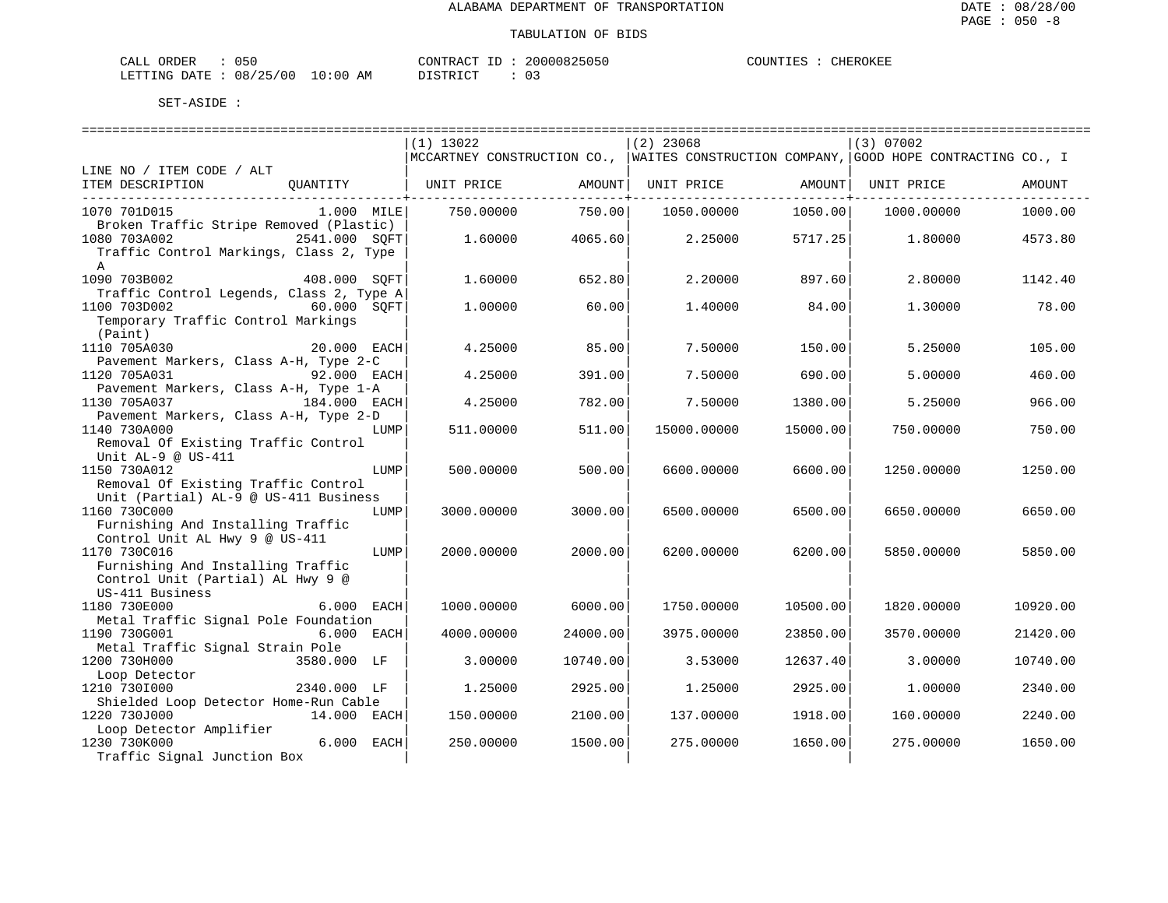| ORDER<br>CALL    | J5U.            |                  | $1$ $\cap$ $\overline{1}$ $\overline{1}$ $\overline{1}$ $\overline{1}$ $\overline{1}$ $\overline{1}$ $\overline{1}$ $\overline{1}$ $\overline{1}$<br>' ا∆ (∽ |  | 20000825050<br>Z(1) | COUNTIES | CHEROKEF |
|------------------|-----------------|------------------|--------------------------------------------------------------------------------------------------------------------------------------------------------------|--|---------------------|----------|----------|
| DATE.<br>LETTING | 08/25/00<br>ر ے | 0:00<br>ΑM<br>ᅩ◡ | DI CUPP<br>∼                                                                                                                                                 |  | U J                 |          |          |

|                                                               | $(1)$ 13022                                                                            |          | $(2)$ 23068        |          | (3) 07002         |          |
|---------------------------------------------------------------|----------------------------------------------------------------------------------------|----------|--------------------|----------|-------------------|----------|
|                                                               | MCCARTNEY CONSTRUCTION CO.,  WAITES CONSTRUCTION COMPANY, GOOD HOPE CONTRACTING CO., I |          |                    |          |                   |          |
| LINE NO / ITEM CODE / ALT                                     |                                                                                        |          |                    |          |                   |          |
| ITEM DESCRIPTION<br>OUANTITY                                  | UNIT PRICE                                                                             |          | AMOUNT  UNIT PRICE |          | AMOUNT UNIT PRICE | AMOUNT   |
|                                                               |                                                                                        |          |                    |          |                   |          |
| 1070 701D015<br>1.000 MILE                                    | 750.00000                                                                              | 750.00   | 1050.00000         | 1050.00  | 1000.00000        | 1000.00  |
| Broken Traffic Stripe Removed (Plastic)                       |                                                                                        |          |                    |          |                   |          |
| 1080 703A002<br>2541.000 SOFT                                 | 1.60000                                                                                | 4065.60  | 2.25000            | 5717.25  | 1.80000           | 4573.80  |
| Traffic Control Markings, Class 2, Type<br>$\mathsf{A}$       |                                                                                        |          |                    |          |                   |          |
| 1090 703B002<br>408.000 SOFT                                  | 1,60000                                                                                | 652.80   | 2,20000            | 897.60   | 2.80000           | 1142.40  |
| Traffic Control Legends, Class 2, Type A                      |                                                                                        |          |                    |          |                   |          |
| 1100 703D002<br>60.000 SOFT                                   | 1,00000                                                                                | 60.00    | 1.40000            | 84.00    | 1.30000           | 78.00    |
| Temporary Traffic Control Markings                            |                                                                                        |          |                    |          |                   |          |
| (Paint)                                                       |                                                                                        |          |                    |          |                   |          |
| 1110 705A030<br>20.000 EACH                                   | 4.25000                                                                                | 85.00    | 7.50000            | 150.00   | 5.25000           | 105.00   |
| Pavement Markers, Class A-H, Type 2-C                         |                                                                                        |          |                    |          |                   |          |
| 1120 705A031<br>92.000 EACH                                   | 4.25000                                                                                | 391.00   | 7.50000            | 690.00   | 5.00000           | 460.00   |
| Pavement Markers, Class A-H, Type 1-A                         |                                                                                        |          |                    |          |                   |          |
| 1130 705A037<br>184.000 EACH                                  | 4.25000                                                                                | 782.00   | 7.50000            | 1380.00  | 5.25000           | 966.00   |
| Pavement Markers, Class A-H, Type 2-D                         |                                                                                        |          |                    |          |                   |          |
| 1140 730A000<br>LUMP                                          | 511,00000                                                                              | 511.00   | 15000.00000        | 15000.00 | 750.00000         | 750.00   |
| Removal Of Existing Traffic Control                           |                                                                                        |          |                    |          |                   |          |
| Unit $AL-9$ @ US-411                                          |                                                                                        |          |                    |          |                   |          |
| 1150 730A012<br>LUMP                                          | 500,00000                                                                              | 500.00   | 6600,00000         | 6600.00  | 1250.00000        | 1250.00  |
| Removal Of Existing Traffic Control                           |                                                                                        |          |                    |          |                   |          |
| Unit (Partial) AL-9 @ US-411 Business<br>1160 730C000<br>LUMP | 3000.00000                                                                             |          |                    | 6500.00  | 6650.00000        | 6650.00  |
| Furnishing And Installing Traffic                             |                                                                                        | 3000.00  | 6500.00000         |          |                   |          |
| Control Unit AL Hwy 9 @ US-411                                |                                                                                        |          |                    |          |                   |          |
| 1170 730C016<br>LUMP                                          | 2000.00000                                                                             | 2000.00  | 6200.00000         | 6200.00  | 5850.00000        | 5850.00  |
| Furnishing And Installing Traffic                             |                                                                                        |          |                    |          |                   |          |
| Control Unit (Partial) AL Hwy 9 @                             |                                                                                        |          |                    |          |                   |          |
| US-411 Business                                               |                                                                                        |          |                    |          |                   |          |
| 1180 730E000<br>6.000 EACH                                    | 1000.00000                                                                             | 6000.00  | 1750.00000         | 10500.00 | 1820.00000        | 10920.00 |
| Metal Traffic Signal Pole Foundation                          |                                                                                        |          |                    |          |                   |          |
| 1190 730G001<br>6.000 EACH                                    | 4000.00000                                                                             | 24000.00 | 3975.00000         | 23850.00 | 3570.00000        | 21420.00 |
| Metal Traffic Signal Strain Pole                              |                                                                                        |          |                    |          |                   |          |
| 1200 730H000<br>3580.000 LF                                   | 3.00000                                                                                | 10740.00 | 3.53000            | 12637.40 | 3.00000           | 10740.00 |
| Loop Detector                                                 |                                                                                        |          |                    |          |                   |          |
| 1210 7301000<br>2340.000 LF                                   | 1,25000                                                                                | 2925.00  | 1.25000            | 2925.00  | 1,00000           | 2340.00  |
| Shielded Loop Detector Home-Run Cable                         |                                                                                        |          |                    |          |                   |          |
| 1220 730J000<br>14.000 EACH                                   | 150.00000                                                                              | 2100.00  | 137.00000          | 1918.00  | 160.00000         | 2240.00  |
| Loop Detector Amplifier<br>6.000 EACH                         |                                                                                        |          |                    |          |                   |          |
| 1230 730K000<br>Traffic Signal Junction Box                   | 250.00000                                                                              | 1500.00  | 275.00000          | 1650.00  | 275.00000         | 1650.00  |
|                                                               |                                                                                        |          |                    |          |                   |          |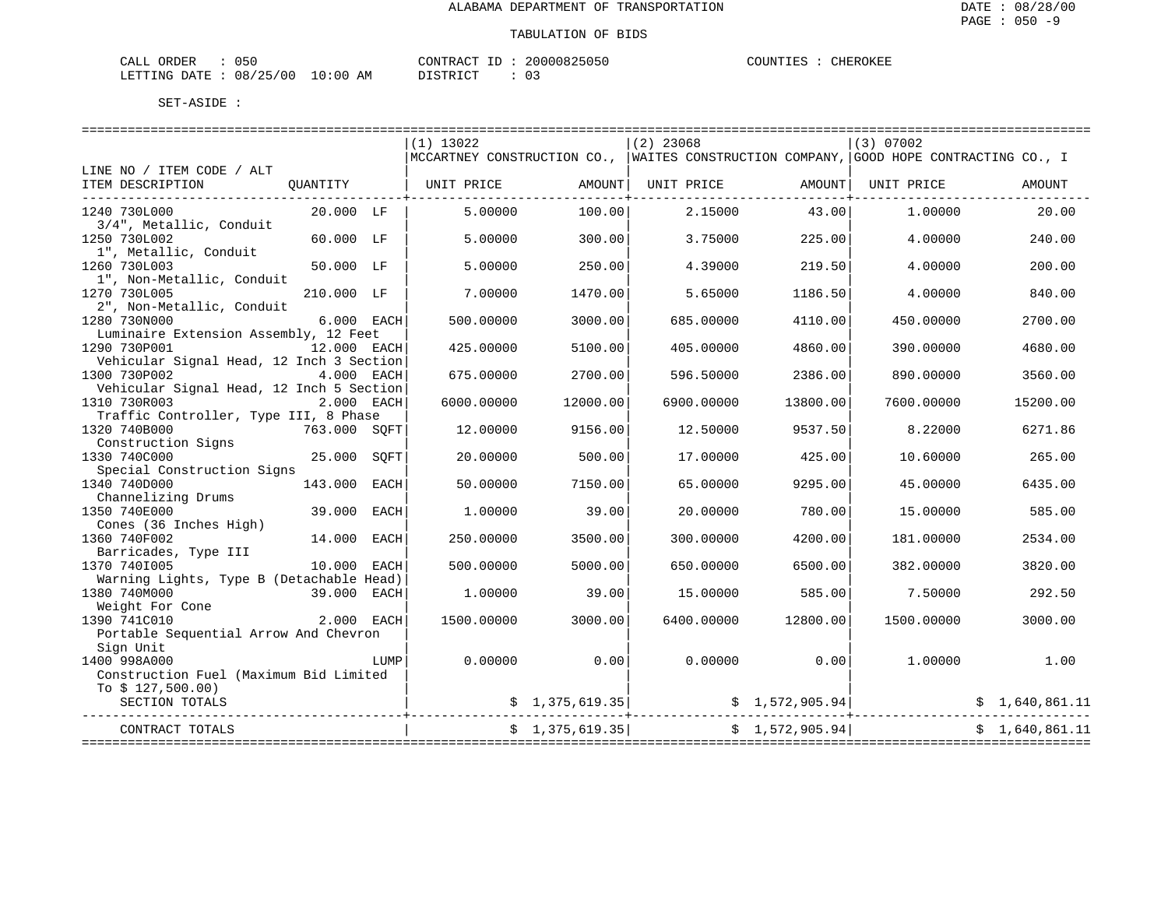| ORDER<br>CALL | J50.            |             |    | MIRAC <sup>m</sup><br>סידיזו∩י   |  | 20000825050 | COUNTIES | CHEROKEF |
|---------------|-----------------|-------------|----|----------------------------------|--|-------------|----------|----------|
| LETTING DATE  | 08/25/00<br>ر ے | 10:00<br>ᅩ◡ | AM | $T \cap T$<br><b>DIOTE</b><br>ب: |  | ∩ '<br>U J  |          |          |

|                                                          |              |      | $(2)$ 23068                                                                             |                | (3) 07002                                 |                 |            |                |
|----------------------------------------------------------|--------------|------|-----------------------------------------------------------------------------------------|----------------|-------------------------------------------|-----------------|------------|----------------|
|                                                          |              |      | MCCARTNEY CONSTRUCTION CO.,   WAITES CONSTRUCTION COMPANY, GOOD HOPE CONTRACTING CO., I |                |                                           |                 |            |                |
| LINE NO / ITEM CODE / ALT                                |              |      |                                                                                         |                |                                           |                 |            |                |
| ITEM DESCRIPTION                                         | QUANTITY     |      | UNIT PRICE                                                                              |                | AMOUNT   UNIT PRICE   AMOUNT   UNIT PRICE |                 |            | AMOUNT         |
| 1240 730L000                                             | 20.000 LF    |      | 5.00000                                                                                 | 100.00         | 2.15000                                   | 43.00           | 1,00000    | 20.00          |
| 3/4", Metallic, Conduit<br>1250 730L002                  | 60.000 LF    |      | 5.00000                                                                                 | 300.00         | 3.75000                                   | 225.00          | 4.00000    | 240.00         |
| 1", Metallic, Conduit<br>1260 730L003                    | 50.000 LF    |      | 5.00000                                                                                 | 250.00         | 4.39000                                   | 219.50          | 4.00000    | 200.00         |
| 1", Non-Metallic, Conduit<br>1270 730L005                | 210.000 LF   |      | 7.00000                                                                                 | 1470.00        | 5.65000                                   | 1186.50         | 4.00000    | 840.00         |
| 2", Non-Metallic, Conduit<br>1280 730N000                | 6.000 EACH   |      | 500.00000                                                                               | 3000.00        | 685.00000                                 | 4110.00         | 450.00000  | 2700.00        |
| Luminaire Extension Assembly, 12 Feet                    |              |      |                                                                                         |                |                                           |                 |            |                |
| 1290 730P001                                             | 12.000 EACH  |      | 425.00000                                                                               | 5100.00        | 405.00000                                 | 4860.00         | 390.00000  | 4680.00        |
| Vehicular Signal Head, 12 Inch 3 Section<br>1300 730P002 | 4.000 EACH   |      | 675.00000                                                                               | 2700.00        | 596.50000                                 | 2386.00         | 890.00000  | 3560.00        |
| Vehicular Signal Head, 12 Inch 5 Section                 |              |      |                                                                                         |                |                                           |                 |            |                |
| 1310 730R003                                             | 2.000 EACH   |      | 6000.00000                                                                              | 12000.00       | 6900.00000                                | 13800.00        | 7600.00000 | 15200.00       |
| Traffic Controller, Type III, 8 Phase<br>1320 740B000    | 763.000 SQFT |      | 12.00000                                                                                | 9156.00        | 12.50000                                  | 9537.50         | 8.22000    | 6271.86        |
| Construction Signs                                       |              |      |                                                                                         |                |                                           |                 |            |                |
| 1330 740C000                                             | 25.000 SOFT  |      | 20.00000                                                                                | 500.00         | 17.00000                                  | 425.00          | 10.60000   | 265.00         |
| Special Construction Signs                               |              |      |                                                                                         |                |                                           |                 |            |                |
| 1340 740D000                                             | 143.000 EACH |      | 50.00000                                                                                | 7150.00        | 65.00000                                  | 9295.00         | 45.00000   | 6435.00        |
| Channelizing Drums                                       |              |      |                                                                                         |                |                                           |                 |            |                |
| 1350 740E000                                             | 39.000 EACH  |      | 1.00000                                                                                 | 39.00          | 20.00000                                  | 780.001         | 15.00000   | 585.00         |
| Cones (36 Inches High)                                   |              |      |                                                                                         |                |                                           |                 |            |                |
| 1360 740F002                                             | 14.000 EACH  |      | 250.00000                                                                               | 3500.00        | 300.00000                                 | 4200.00         | 181.00000  | 2534.00        |
| Barricades, Type III<br>1370 7401005                     | 10.000 EACH  |      | 500.00000                                                                               | 5000.00        | 650.00000                                 | 6500.00         | 382.00000  | 3820.00        |
| Warning Lights, Type B (Detachable Head)<br>1380 740M000 | 39.000 EACH  |      | 1,00000                                                                                 | 39.00          | 15.00000                                  | 585.00          | 7.50000    | 292.50         |
| Weight For Cone                                          |              |      |                                                                                         |                |                                           |                 |            |                |
| 1390 741C010                                             | 2.000 EACH   |      | 1500.00000                                                                              | 3000.00        | 6400.00000                                | 12800.00        | 1500.00000 | 3000.00        |
| Portable Sequential Arrow And Chevron                    |              |      |                                                                                         |                |                                           |                 |            |                |
| Sign Unit                                                |              |      |                                                                                         |                |                                           |                 |            |                |
| 1400 998A000                                             |              | LUMP | 0.00000                                                                                 | 0.00           | 0.00000                                   | 0.00            | 1.00000    | 1.00           |
| Construction Fuel (Maximum Bid Limited                   |              |      |                                                                                         |                |                                           |                 |            |                |
| To $$127,500.00)$<br>SECTION TOTALS                      |              |      |                                                                                         | \$1,375,619.35 |                                           | \$1,572,905.94] |            | \$1,640,861.11 |
| CONTRACT TOTALS                                          |              |      |                                                                                         | \$1,375,619.35 |                                           | \$1,572,905.94] |            | \$1.640.861.11 |
|                                                          |              |      |                                                                                         |                |                                           |                 |            |                |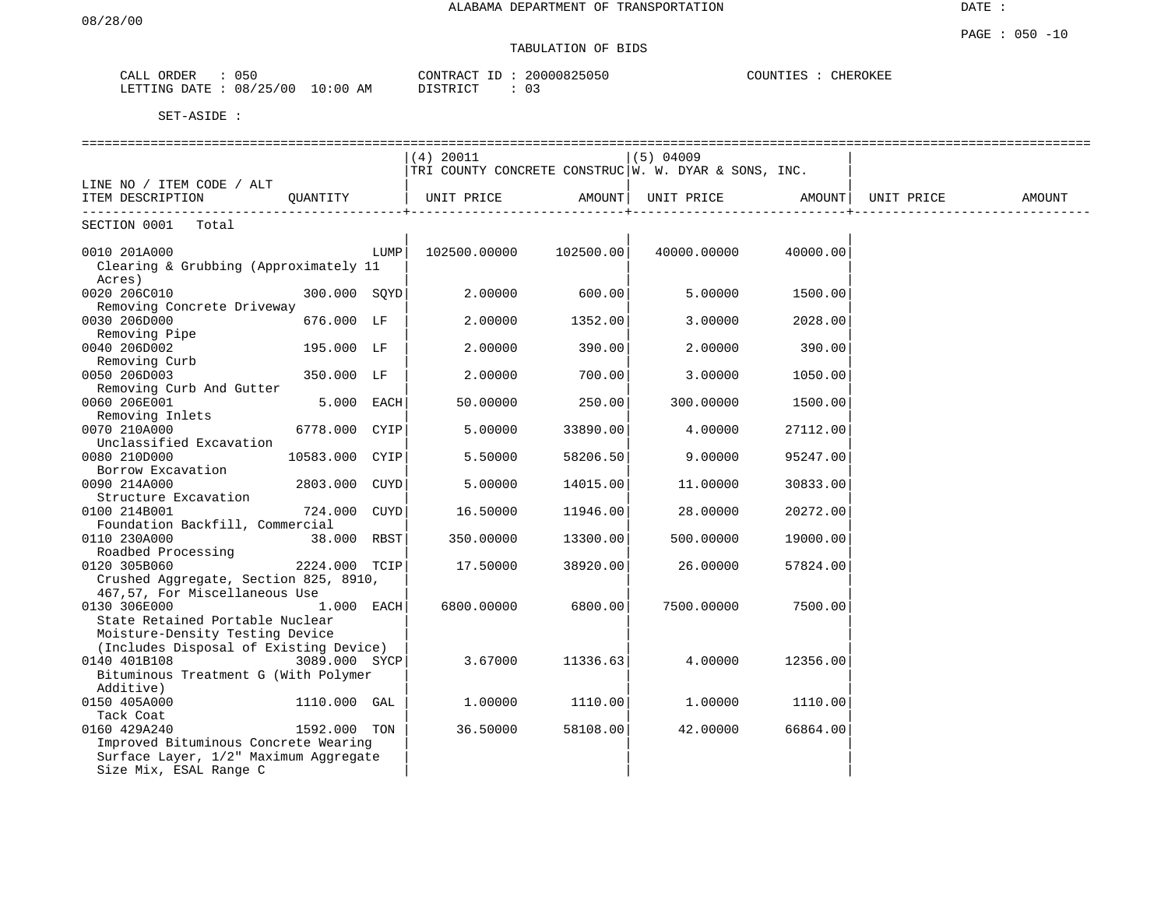## TABULATION OF BIDS

| ORDER<br>CALL | 050      |            | CONTRACT ID | 20000825050 | COUNTIES | CHEROKEE |
|---------------|----------|------------|-------------|-------------|----------|----------|
| LETTING DATE  | 08/25/00 | $10:00$ AM | DISTRICT    | 03          |          |          |

|                                                 |                |      |                                                        |           | ======================== |          |            |        |
|-------------------------------------------------|----------------|------|--------------------------------------------------------|-----------|--------------------------|----------|------------|--------|
|                                                 |                |      | (4) 20011                                              |           | $(5)$ 04009              |          |            |        |
|                                                 |                |      | TRI COUNTY CONCRETE CONSTRUC   W. W. DYAR & SONS, INC. |           |                          |          |            |        |
| LINE NO / ITEM CODE / ALT<br>ITEM DESCRIPTION   | OUANTITY       |      | UNIT PRICE                                             | AMOUNT    | UNIT PRICE               | AMOUNT   | UNIT PRICE | AMOUNT |
|                                                 |                |      |                                                        |           |                          |          |            |        |
| SECTION 0001<br>Total                           |                |      |                                                        |           |                          |          |            |        |
| 0010 201A000                                    |                | LUMP | 102500.00000                                           | 102500.00 | 40000.00000              | 40000.00 |            |        |
| Clearing & Grubbing (Approximately 11           |                |      |                                                        |           |                          |          |            |        |
| Acres)<br>0020 206C010                          | 300.000 SOYD   |      | 2,00000                                                | 600.00    | 5.00000                  | 1500.00  |            |        |
| Removing Concrete Driveway                      |                |      |                                                        |           |                          |          |            |        |
| 0030 206D000                                    | 676.000 LF     |      | 2,00000                                                | 1352.00   | 3.00000                  | 2028.00  |            |        |
| Removing Pipe                                   |                |      |                                                        |           |                          |          |            |        |
| 0040 206D002                                    | 195.000 LF     |      | 2,00000                                                | 390.00    | 2,00000                  | 390.00   |            |        |
| Removing Curb                                   |                |      |                                                        |           |                          |          |            |        |
| 0050 206D003                                    | 350.000 LF     |      | 2.00000                                                | 700.00    | 3.00000                  | 1050.00  |            |        |
| Removing Curb And Gutter                        |                |      |                                                        |           |                          |          |            |        |
| 0060 206E001                                    | 5.000 EACH     |      | 50.00000                                               | 250.00    | 300.00000                | 1500.00  |            |        |
| Removing Inlets                                 |                |      |                                                        |           |                          |          |            |        |
| 0070 210A000                                    | 6778.000 CYIP  |      | 5.00000                                                | 33890.00  | 4.00000                  | 27112.00 |            |        |
| Unclassified Excavation                         |                |      |                                                        |           |                          |          |            |        |
| 0080 210D000                                    | 10583.000 CYIP |      | 5.50000                                                | 58206.50  | 9,00000                  | 95247.00 |            |        |
| Borrow Excavation                               |                |      |                                                        |           |                          |          |            |        |
| 0090 214A000                                    | 2803.000 CUYD  |      | 5.00000                                                | 14015.00  | 11.00000                 | 30833.00 |            |        |
| Structure Excavation                            |                |      |                                                        |           |                          |          |            |        |
| 0100 214B001                                    | 724.000 CUYD   |      | 16.50000                                               | 11946.00  | 28.00000                 | 20272.00 |            |        |
| Foundation Backfill, Commercial<br>0110 230A000 | 38.000 RBST    |      | 350.00000                                              | 13300.00  | 500.00000                | 19000.00 |            |        |
| Roadbed Processing                              |                |      |                                                        |           |                          |          |            |        |
| 0120 305B060                                    | 2224.000 TCIP  |      | 17.50000                                               | 38920.00  | 26.00000                 | 57824.00 |            |        |
| Crushed Aggregate, Section 825, 8910,           |                |      |                                                        |           |                          |          |            |        |
| 467,57, For Miscellaneous Use                   |                |      |                                                        |           |                          |          |            |        |
| 0130 306E000                                    | 1.000 EACH     |      | 6800,00000                                             | 6800.00   | 7500.00000               | 7500.00  |            |        |
| State Retained Portable Nuclear                 |                |      |                                                        |           |                          |          |            |        |
| Moisture-Density Testing Device                 |                |      |                                                        |           |                          |          |            |        |
| (Includes Disposal of Existing Device)          |                |      |                                                        |           |                          |          |            |        |
| 0140 401B108                                    | 3089.000 SYCP  |      | 3.67000                                                | 11336.63  | 4.00000                  | 12356.00 |            |        |
| Bituminous Treatment G (With Polymer            |                |      |                                                        |           |                          |          |            |        |
| Additive)                                       |                |      |                                                        |           |                          |          |            |        |
| 0150 405A000                                    | 1110.000 GAL   |      | 1,00000                                                | 1110.00   | 1,00000                  | 1110.00  |            |        |
| Tack Coat                                       |                |      |                                                        |           |                          |          |            |        |
| 0160 429A240                                    | 1592.000 TON   |      | 36.50000                                               | 58108.00  | 42.00000                 | 66864.00 |            |        |
| Improved Bituminous Concrete Wearing            |                |      |                                                        |           |                          |          |            |        |
| Surface Layer, 1/2" Maximum Aggregate           |                |      |                                                        |           |                          |          |            |        |
| Size Mix, ESAL Range C                          |                |      |                                                        |           |                          |          |            |        |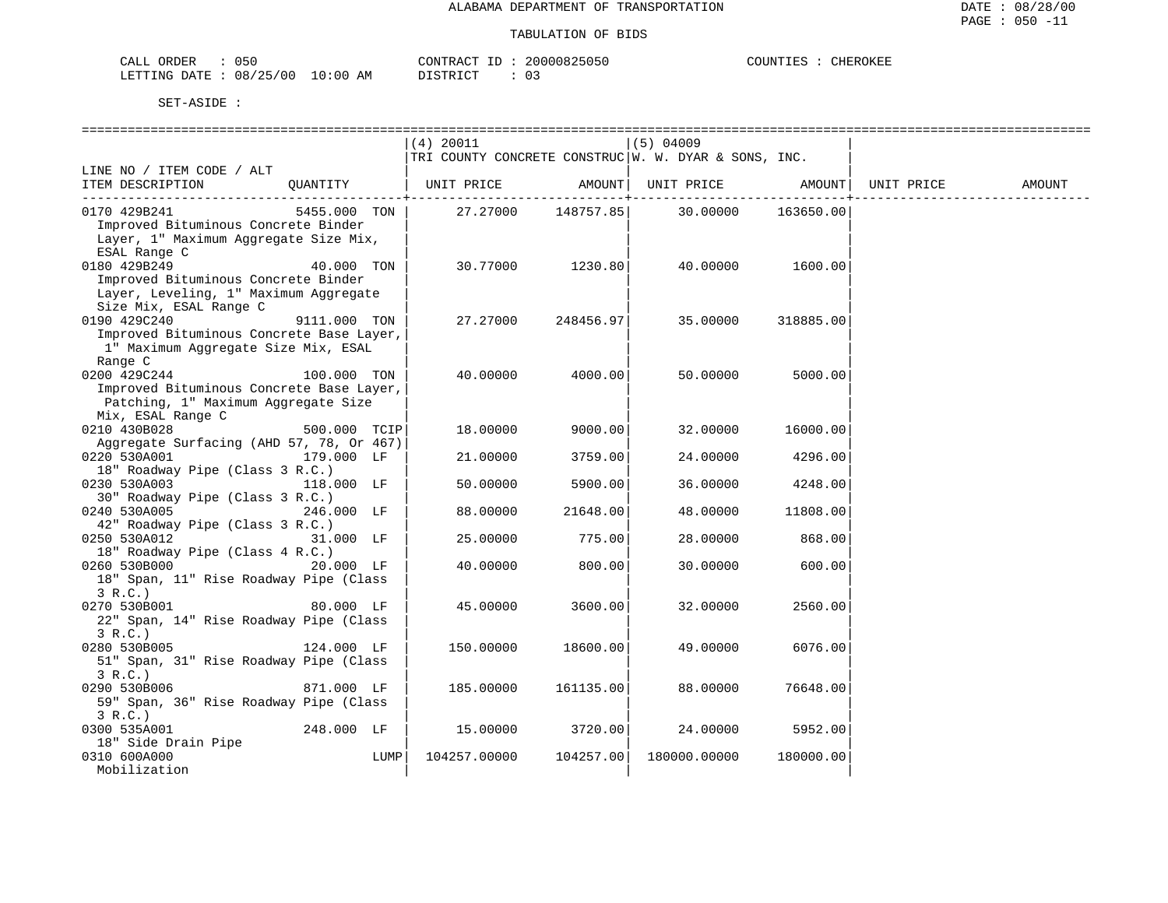| CALL<br>ORDER | 05C      |             | CONTRACT                  | 20000825050 | OUNTIES | CHEROKEE |
|---------------|----------|-------------|---------------------------|-------------|---------|----------|
| LETTING DATE  | 08/25/00 | 10:00<br>AΜ | $T$ $CUT$<br>חד פידו<br>. |             |         |          |

|                                                                                                                                                   |              |      | (4) 20011    |                      | $(5)$ 04009                                          |           |            |        |
|---------------------------------------------------------------------------------------------------------------------------------------------------|--------------|------|--------------|----------------------|------------------------------------------------------|-----------|------------|--------|
|                                                                                                                                                   |              |      |              |                      | TRI COUNTY CONCRETE CONSTRUC W. W. DYAR & SONS, INC. |           |            |        |
| LINE NO / ITEM CODE / ALT                                                                                                                         |              |      |              |                      |                                                      |           |            |        |
| ITEM DESCRIPTION                                                                                                                                  | OUANTITY     |      | UNIT PRICE   | AMOUNT               | UNIT PRICE                                           | AMOUNT    | UNIT PRICE | AMOUNT |
| 0170 429B241                                                                                                                                      | 5455.000 TON |      | 27.27000     | ------+<br>148757.85 | 30.00000                                             | 163650.00 |            |        |
| Improved Bituminous Concrete Binder                                                                                                               |              |      |              |                      |                                                      |           |            |        |
| Layer, 1" Maximum Aggregate Size Mix,                                                                                                             |              |      |              |                      |                                                      |           |            |        |
| ESAL Range C                                                                                                                                      |              |      |              |                      |                                                      |           |            |        |
| 0180 429B249                                                                                                                                      | 40.000 TON   |      | 30.77000     | 1230.80              | 40.00000                                             | 1600.00   |            |        |
| Improved Bituminous Concrete Binder                                                                                                               |              |      |              |                      |                                                      |           |            |        |
| Layer, Leveling, 1" Maximum Aggregate                                                                                                             |              |      |              |                      |                                                      |           |            |        |
| Size Mix, ESAL Range C                                                                                                                            |              |      |              |                      |                                                      |           |            |        |
| 0190 429C240                                                                                                                                      | 9111.000 TON |      | 27.27000     | 248456.97            | 35.00000                                             | 318885.00 |            |        |
| Improved Bituminous Concrete Base Layer,                                                                                                          |              |      |              |                      |                                                      |           |            |        |
| 1" Maximum Aggregate Size Mix, ESAL                                                                                                               |              |      |              |                      |                                                      |           |            |        |
| Range C<br>0200 429C244                                                                                                                           | 100.000 TON  |      | 40.00000     | 4000.00              | 50.00000                                             | 5000.00   |            |        |
| Improved Bituminous Concrete Base Layer,                                                                                                          |              |      |              |                      |                                                      |           |            |        |
| Patching, 1" Maximum Aggregate Size                                                                                                               |              |      |              |                      |                                                      |           |            |        |
| Mix, ESAL Range C                                                                                                                                 |              |      |              |                      |                                                      |           |            |        |
| 0210 430B028                                                                                                                                      | 500.000 TCIP |      | 18.00000     | 9000.00              | 32.00000                                             | 16000.00  |            |        |
| Aggregate Surfacing (AHD 57, 78, Or 467)                                                                                                          |              |      |              |                      |                                                      |           |            |        |
| 0220 530A001                                                                                                                                      | 179.000 LF   |      | 21.00000     | 3759.00              | 24.00000                                             | 4296.00   |            |        |
| 18" Roadway Pipe (Class 3 R.C.)                                                                                                                   |              |      |              |                      |                                                      |           |            |        |
| 0230 530A003                                                                                                                                      | 118.000 LF   |      | 50.00000     | 5900.00              | 36.00000                                             | 4248.00   |            |        |
| 30" Roadway Pipe (Class 3 R.C.)                                                                                                                   |              |      |              |                      |                                                      |           |            |        |
| 0240 530A005                                                                                                                                      | 246.000 LF   |      | 88.00000     | 21648.00             | 48.00000                                             | 11808.00  |            |        |
| 42" Roadway Pipe (Class 3 R.C.)                                                                                                                   |              |      |              |                      |                                                      |           |            |        |
| 0250 530A012                                                                                                                                      | 31.000 LF    |      | 25.00000     | 775.00               | 28.00000                                             | 868.00    |            |        |
| 18" Roadway Pipe (Class 4 R.C.)<br>0260 530B000 and the state of the state of the state of the state of the state of the state of the state of th | 20.000 LF    |      | 40.00000     | 800.00               | 30.00000                                             | 600.00    |            |        |
| 18" Span, 11" Rise Roadway Pipe (Class                                                                                                            |              |      |              |                      |                                                      |           |            |        |
| 3 R.C.                                                                                                                                            |              |      |              |                      |                                                      |           |            |        |
| 0270 530B001                                                                                                                                      | 80.000 LF    |      | 45.00000     | 3600.00              | 32.00000                                             | 2560.00   |            |        |
| 22" Span, 14" Rise Roadway Pipe (Class                                                                                                            |              |      |              |                      |                                                      |           |            |        |
| 3 R.C.                                                                                                                                            |              |      |              |                      |                                                      |           |            |        |
| 0280 530B005                                                                                                                                      | 124.000 LF   |      | 150.00000    | 18600.00             | 49.00000                                             | 6076.00   |            |        |
| 51" Span, 31" Rise Roadway Pipe (Class                                                                                                            |              |      |              |                      |                                                      |           |            |        |
| 3 R.C.)                                                                                                                                           |              |      |              |                      |                                                      |           |            |        |
| 0290 530B006                                                                                                                                      | 871.000 LF   |      | 185.00000    | 161135.00            | 88.00000                                             | 76648.00  |            |        |
| 59" Span, 36" Rise Roadway Pipe (Class                                                                                                            |              |      |              |                      |                                                      |           |            |        |
| 3 R.C.)                                                                                                                                           |              |      |              |                      |                                                      |           |            |        |
| 0300 535A001<br>18" Side Drain Pipe                                                                                                               | 248.000 LF   |      | 15.00000     | 3720.00              | 24.00000                                             | 5952.00   |            |        |
| 0310 600A000                                                                                                                                      |              | LUMP | 104257.00000 | 104257.00            | 180000.00000                                         | 180000.00 |            |        |
| Mobilization                                                                                                                                      |              |      |              |                      |                                                      |           |            |        |
|                                                                                                                                                   |              |      |              |                      |                                                      |           |            |        |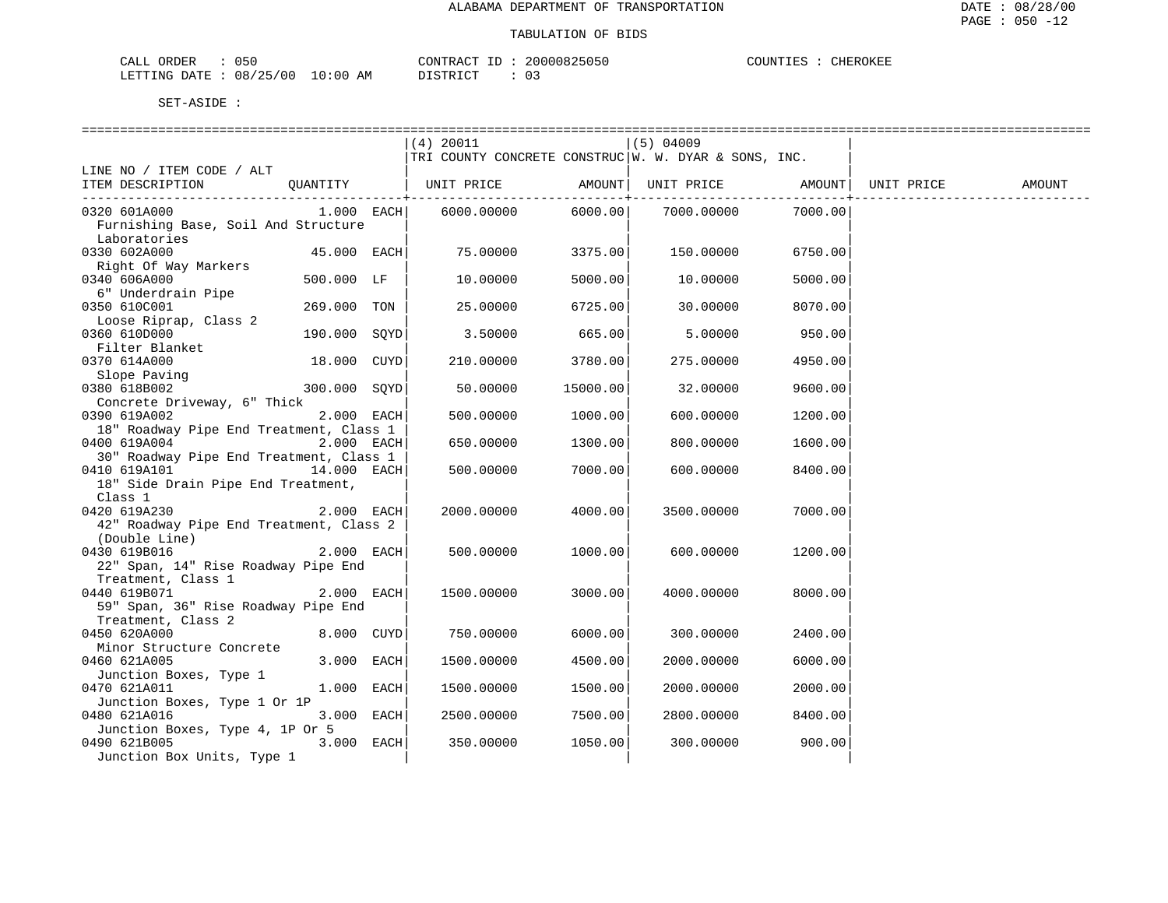| ORDER<br>050<br>للبلات                            |                   | חידוגרי<br>$\sim$<br>'ו ש | u5u | $T$ $T$ $T$<br>"НЕК.<br>- 1 IN<br>. <del>.</del> |
|---------------------------------------------------|-------------------|---------------------------|-----|--------------------------------------------------|
| 0 <sup>0</sup><br>/ つに<br>08.<br>RTTING.<br>DATE. | AΜ<br>' () : () L | $T \cap T$<br>∼<br>.      | ັບ  |                                                  |

|                                                                           |              | (4) 20011                                               |          | $(5)$ 04009                             |         |            |        |
|---------------------------------------------------------------------------|--------------|---------------------------------------------------------|----------|-----------------------------------------|---------|------------|--------|
|                                                                           |              | TRI COUNTY CONCRETE CONSTRUC $ w. w. pYAR & SONS, INC.$ |          |                                         |         |            |        |
| LINE NO / ITEM CODE / ALT                                                 |              |                                                         |          |                                         |         |            |        |
| OUANTITY<br>ITEM DESCRIPTION                                              |              | UNIT PRICE                                              |          | AMOUNT   UNIT PRICE   AMOUNT            |         | UNIT PRICE | AMOUNT |
| 0320 601A000                                                              | $1.000$ EACH | 6000.00000                                              | 6000.00  | ------------+------------<br>7000.00000 | 7000.00 |            |        |
| Furnishing Base, Soil And Structure<br>Laboratories                       |              |                                                         |          |                                         |         |            |        |
| 0330 602A000<br>Right Of Way Markers                                      | 45.000 EACH  | 75.00000                                                | 3375.00  | 150.00000                               | 6750.00 |            |        |
| 0340 606A000<br>6" Underdrain Pipe                                        | 500.000 LF   | 10.00000                                                | 5000.00  | 10.00000                                | 5000.00 |            |        |
| 0350 610C001<br>Loose Riprap, Class 2                                     | 269.000 TON  | 25.00000                                                | 6725.00  | 30.00000                                | 8070.00 |            |        |
| 0360 610D000<br>Filter Blanket                                            | 190.000 SOYD | 3.50000                                                 | 665.00   | 5.00000                                 | 950.00  |            |        |
| 0370 614A000<br>Slope Paving                                              | 18.000 CUYD  | 210.00000                                               | 3780.00  | 275.00000                               | 4950.00 |            |        |
| 0380 618B002<br>Concrete Driveway, 6" Thick                               | 300.000 SOYD | 50.00000                                                | 15000.00 | 32.00000                                | 9600.00 |            |        |
| 0390 619A002<br>18" Roadway Pipe End Treatment, Class 1                   | 2.000 EACH   | 500.00000                                               | 1000.00  | 600.00000                               | 1200.00 |            |        |
| 0400 619A004<br>30" Roadway Pipe End Treatment, Class 1                   | 2.000 EACH   | 650.00000                                               | 1300.00  | 800.00000                               | 1600.00 |            |        |
| 14.000 EACH<br>0410 619A101<br>18" Side Drain Pipe End Treatment,         |              | 500.00000                                               | 7000.00  | 600.00000                               | 8400.00 |            |        |
| Class 1<br>0420 619A230<br>42" Roadway Pipe End Treatment, Class 2        | $2.000$ EACH | 2000.00000                                              | 4000.00  | 3500.00000                              | 7000.00 |            |        |
| (Double Line)<br>0430 619B016<br>22" Span, 14" Rise Roadway Pipe End      | 2.000 EACH   | 500,00000                                               | 1000.00  | 600.00000                               | 1200.00 |            |        |
| Treatment, Class 1<br>0440 619B071<br>59" Span, 36" Rise Roadway Pipe End | 2.000 EACH   | 1500.00000                                              | 3000.00  | 4000.00000                              | 8000.00 |            |        |
| Treatment, Class 2<br>0450 620A000                                        | 8.000 CUYD   | 750.00000                                               | 6000.00  | 300,00000                               | 2400.00 |            |        |
| Minor Structure Concrete<br>0460 621A005<br>Junction Boxes, Type 1        | 3.000 EACH   | 1500.00000                                              | 4500.00  | 2000.00000                              | 6000.00 |            |        |
| 0470 621A011<br>Junction Boxes, Type 1 Or 1P                              | 1.000 EACH   | 1500.00000                                              | 1500.00  | 2000.00000                              | 2000.00 |            |        |
| 0480 621A016<br>Junction Boxes, Type 4, 1P Or 5                           | 3.000 EACH   | 2500.00000                                              | 7500.00  | 2800.00000                              | 8400.00 |            |        |
| 0490 621B005<br>Junction Box Units, Type 1                                | $3.000$ EACH | 350.00000                                               | 1050.00  | 300.00000                               | 900.00  |            |        |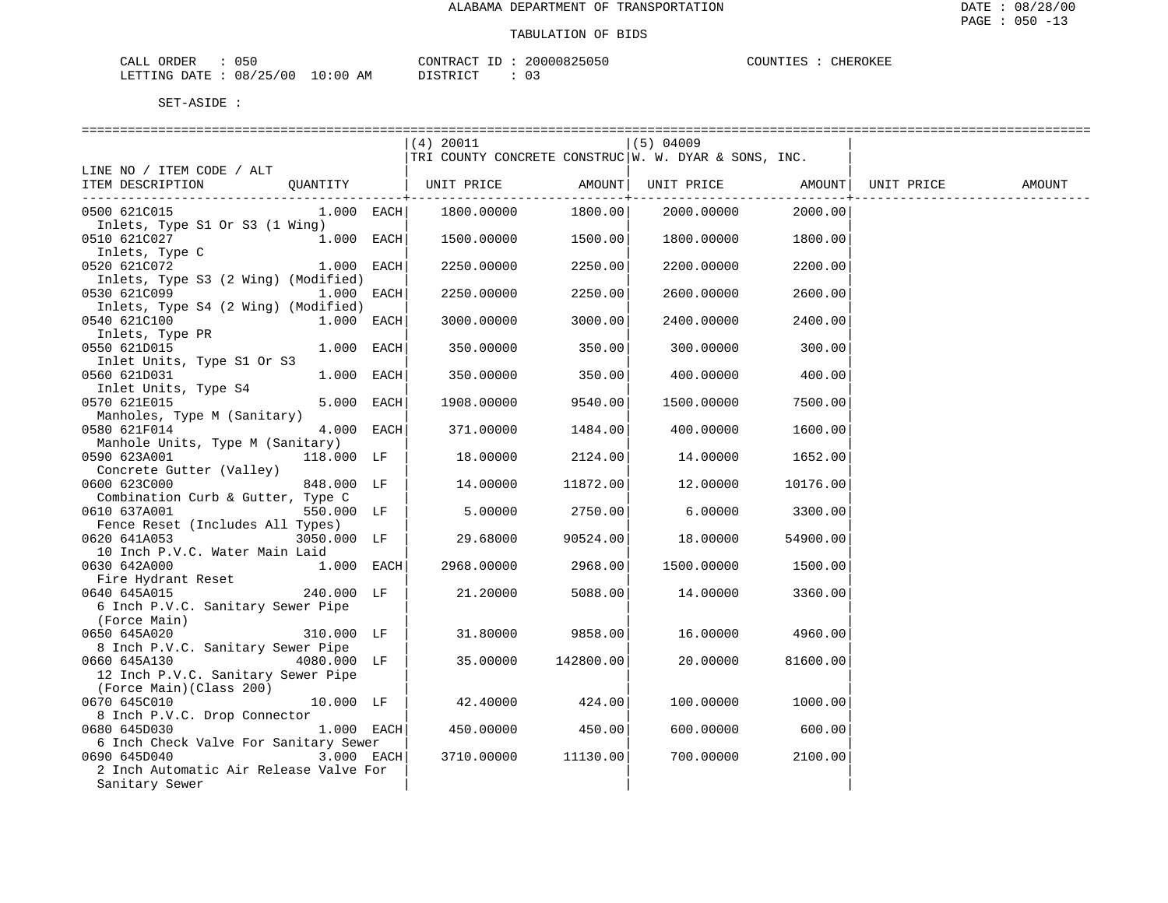: CHEROKEE

| CALL ORDER                      | 050 |          |  | CONTRACT ID: 20000825050 | COUNTIES : Q | CHEROKEE |
|---------------------------------|-----|----------|--|--------------------------|--------------|----------|
| LETTING DATE: 08/25/00 10:00 AM |     | DISTRICT |  | 0 G                      |              |          |

|                                                                                               |              | (4) 20011<br>TRI COUNTY CONCRETE CONSTRUC   W. W. DYAR & SONS, INC. |                         | $(5)$ 04009 |          |            |        |
|-----------------------------------------------------------------------------------------------|--------------|---------------------------------------------------------------------|-------------------------|-------------|----------|------------|--------|
| LINE NO / ITEM CODE / ALT<br>ITEM DESCRIPTION<br>QUANTITY                                     |              | UNIT PRICE                                                          | AMOUNT  <br>----------+ | UNIT PRICE  | AMOUNT   | UNIT PRICE | AMOUNT |
| 0500 621C015<br>Inlets, Type S1 Or S3 (1 Wing)                                                | $1.000$ EACH | 1800.00000                                                          | 1800.00                 | 2000.00000  | 2000.00  |            |        |
| 0510 621C027<br>Inlets, Type C                                                                | 1.000 EACH   | 1500.00000                                                          | 1500.00                 | 1800.00000  | 1800.00  |            |        |
| 0520 621C072<br>Inlets, Type S3 (2 Wing) (Modified)                                           | 1.000 EACH   | 2250.00000                                                          | 2250.00                 | 2200.00000  | 2200.00  |            |        |
| 0530 621C099<br>1.000<br>Inlets, Type S4 (2 Wing) (Modified)                                  | EACH         | 2250.00000                                                          | 2250.00                 | 2600.00000  | 2600.00  |            |        |
| 0540 621C100<br>Inlets, Type PR                                                               | 1.000 EACH   | 3000.00000                                                          | 3000.00                 | 2400.00000  | 2400.00  |            |        |
| 0550 621D015<br>Inlet Units, Type S1 Or S3                                                    | 1.000 EACH   | 350.00000                                                           | 350.00                  | 300.00000   | 300.00   |            |        |
| 0560 621D031<br>Inlet Units, Type S4                                                          | 1.000 EACH   | 350.00000                                                           | 350.00                  | 400.00000   | 400.00   |            |        |
| 0570 621E015<br>Manholes, Type M (Sanitary)                                                   | 5.000 EACH   | 1908.00000                                                          | 9540.00                 | 1500.00000  | 7500.00  |            |        |
| 0580 621F014<br>Manhole Units, Type M (Sanitary)                                              | 4.000 EACH   | 371,00000                                                           | 1484.00                 | 400.00000   | 1600.00  |            |        |
| 0590 623A001<br>118.000 LF<br>Concrete Gutter (Valley)                                        |              | 18.00000                                                            | 2124.00                 | 14.00000    | 1652.00  |            |        |
| 0600 623C000<br>848.000 LF<br>Combination Curb & Gutter, Type C                               |              | 14.00000                                                            | 11872.00                | 12.00000    | 10176.00 |            |        |
| 0610 637A001<br>550.000 LF<br>Fence Reset (Includes All Types)                                |              | 5.00000                                                             | 2750.00                 | 6.00000     | 3300.00  |            |        |
| 0620 641A053<br>3050.000 LF<br>10 Inch P.V.C. Water Main Laid                                 |              | 29.68000                                                            | 90524.00                | 18.00000    | 54900.00 |            |        |
| 0630 642A000<br>$1.000$ EACH<br>Fire Hydrant Reset                                            |              | 2968.00000                                                          | 2968.00                 | 1500.00000  | 1500.00  |            |        |
| 0640 645A015<br>240.000 LF<br>6 Inch P.V.C. Sanitary Sewer Pipe<br>(Force Main)               |              | 21,20000                                                            | 5088.00                 | 14.00000    | 3360.00  |            |        |
| 0650 645A020<br>310.000 LF<br>8 Inch P.V.C. Sanitary Sewer Pipe                               |              | 31.80000                                                            | 9858.00                 | 16.00000    | 4960.00  |            |        |
| 0660 645A130<br>4080.000 LF<br>12 Inch P.V.C. Sanitary Sewer Pipe<br>(Force Main) (Class 200) |              | 35.00000                                                            | 142800.00               | 20,00000    | 81600.00 |            |        |
| 0670 645C010<br>8 Inch P.V.C. Drop Connector                                                  | $10.000$ LF  | 42.40000                                                            | 424.00                  | 100.00000   | 1000.00  |            |        |
| 0680 645D030<br>6 Inch Check Valve For Sanitary Sewer                                         | $1.000$ EACH | 450.00000                                                           | 450.00                  | 600.00000   | 600.00   |            |        |
| 0690 645D040<br>2 Inch Automatic Air Release Valve For<br>Sanitary Sewer                      | 3.000 EACH   | 3710.00000                                                          | 11130.00                | 700.00000   | 2100.00  |            |        |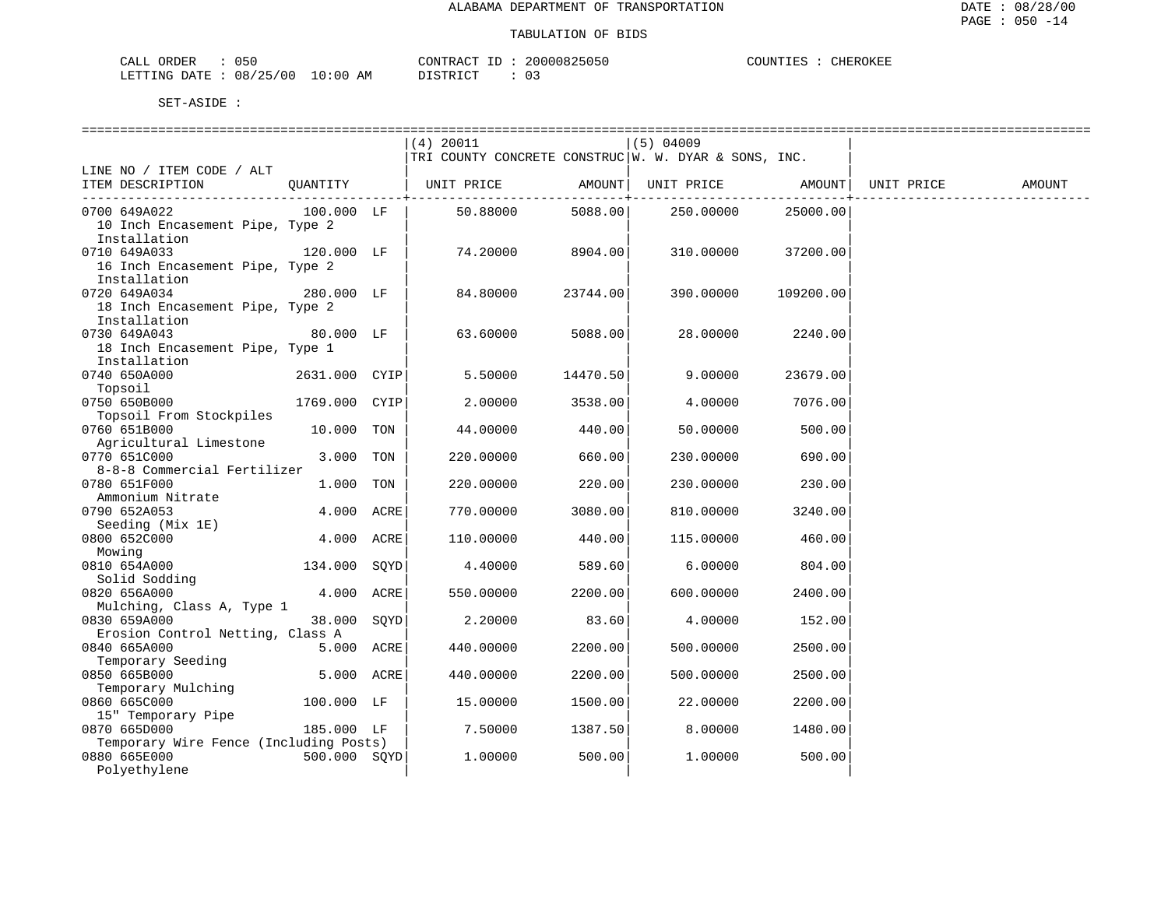| CALL ORDER                      | 050 |          | CONTRACT ID: 20000825050 | COUNTIES : Q | CHEROKEE |
|---------------------------------|-----|----------|--------------------------|--------------|----------|
| LETTING DATE: 08/25/00 10:00 AM |     | DISTRICT |                          |              |          |

|                                        |               | $(4)$ 20011                                            |              | $(5)$ 04009                |           |            |        |
|----------------------------------------|---------------|--------------------------------------------------------|--------------|----------------------------|-----------|------------|--------|
|                                        |               | TRI COUNTY CONCRETE CONSTRUC   W. W. DYAR & SONS, INC. |              |                            |           |            |        |
| LINE NO / ITEM CODE / ALT              |               |                                                        |              |                            |           |            |        |
| ITEM DESCRIPTION                       |               | QUANTITY   UNIT PRICE                                  |              | AMOUNT   UNIT PRICE AMOUNT |           | UNIT PRICE | AMOUNT |
|                                        |               |                                                        | ----------+- |                            |           |            |        |
| 0700 649A022                           | $100.000$ LF  | 50.88000                                               | 5088.00      | 250.00000                  | 25000.00  |            |        |
| 10 Inch Encasement Pipe, Type 2        |               |                                                        |              |                            |           |            |        |
| Installation                           |               |                                                        |              |                            |           |            |        |
| 0710 649A033                           | 120.000 LF    | 74.20000                                               | 8904.00      | 310.00000                  | 37200.00  |            |        |
| 16 Inch Encasement Pipe, Type 2        |               |                                                        |              |                            |           |            |        |
| Installation                           |               |                                                        |              |                            |           |            |        |
| 0720 649A034                           | 280.000 LF    | 84.80000                                               | 23744.00     | 390.00000                  | 109200.00 |            |        |
| 18 Inch Encasement Pipe, Type 2        |               |                                                        |              |                            |           |            |        |
| Installation                           |               |                                                        |              |                            |           |            |        |
| 0730 649A043                           | 80.000 LF     | 63.60000                                               | 5088.00      | 28.00000                   | 2240.00   |            |        |
|                                        |               |                                                        |              |                            |           |            |        |
| 18 Inch Encasement Pipe, Type 1        |               |                                                        |              |                            |           |            |        |
| Installation                           |               |                                                        |              |                            |           |            |        |
| 0740 650A000                           | 2631.000 CYIP | 5.50000                                                | 14470.50     | 9.00000                    | 23679.00  |            |        |
| Topsoil                                |               |                                                        |              |                            |           |            |        |
| 0750 650B000                           | 1769.000 CYIP | 2.00000                                                | 3538.00      | 4.00000                    | 7076.00   |            |        |
| Topsoil From Stockpiles                |               |                                                        |              |                            |           |            |        |
| 0760 651B000                           | 10.000 TON    | 44.00000                                               | 440.00       | 50.00000                   | 500.00    |            |        |
| Agricultural Limestone                 |               |                                                        |              |                            |           |            |        |
| 0770 651C000                           | 3.000 TON     | 220.00000                                              | 660.00       | 230.00000                  | 690.00    |            |        |
| 8-8-8 Commercial Fertilizer            |               |                                                        |              |                            |           |            |        |
| 0780 651F000                           | 1.000 TON     | 220.00000                                              | 220.00       | 230.00000                  | 230.00    |            |        |
| Ammonium Nitrate                       |               |                                                        |              |                            |           |            |        |
| 0790 652A053                           | 4.000 ACRE    | 770.00000                                              | 3080.00      | 810.00000                  | 3240.00   |            |        |
| Seeding (Mix 1E)                       |               |                                                        |              |                            |           |            |        |
| 0800 652C000                           | 4.000 ACRE    | 110.00000                                              | 440.00       | 115.00000                  | 460.00    |            |        |
| Mowing                                 |               |                                                        |              |                            |           |            |        |
| 0810 654A000                           | 134.000 SOYD  | 4.40000                                                | 589.60       | 6.00000                    | 804.00    |            |        |
| Solid Sodding                          |               |                                                        |              |                            |           |            |        |
| 0820 656A000                           | 4.000 ACRE    | 550.00000                                              | 2200.00      | 600.00000                  | 2400.00   |            |        |
| Mulching, Class A, Type 1              |               |                                                        |              |                            |           |            |        |
| 0830 659A000                           | 38.000 SOYD   | 2,20000                                                | 83.60        | 4.00000                    | 152.00    |            |        |
| Erosion Control Netting, Class A       |               |                                                        |              |                            |           |            |        |
| 0840 665A000                           | 5.000 ACRE    | 440.00000                                              | 2200.00      | 500.00000                  | 2500.00   |            |        |
| Temporary Seeding                      |               |                                                        |              |                            |           |            |        |
| 0850 665B000                           | 5.000 ACRE    | 440.00000                                              | 2200.00      | 500.00000                  | 2500.00   |            |        |
| Temporary Mulching                     |               |                                                        |              |                            |           |            |        |
| 0860 665C000                           | 100.000 LF    | 15.00000                                               | 1500.00      | 22.00000                   | 2200.00   |            |        |
| 15" Temporary Pipe                     |               |                                                        |              |                            |           |            |        |
| 0870 665D000                           | 185.000 LF    | 7.50000                                                | 1387.50      | 8.00000                    | 1480.00   |            |        |
| Temporary Wire Fence (Including Posts) |               |                                                        |              |                            |           |            |        |
| 0880 665E000                           | 500.000 SQYD  | 1.00000                                                | 500.00       | 1,00000                    | 500.00    |            |        |
| Polyethylene                           |               |                                                        |              |                            |           |            |        |
|                                        |               |                                                        |              |                            |           |            |        |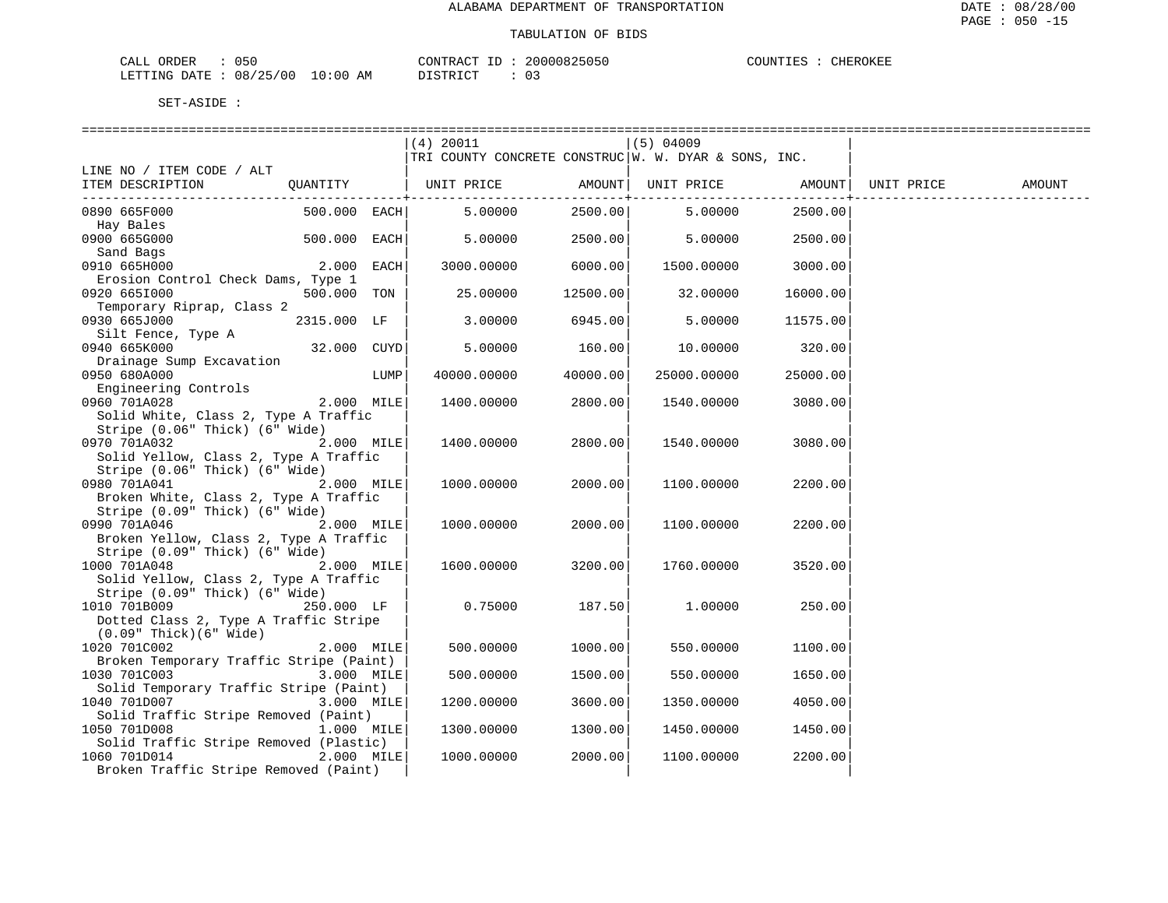| $ -$<br>ORDER<br> h <br>لىلطات<br><u>v J V I</u>                    |                               | CONTF       | くらけらし        | $\therefore$ ROKE<br>--<br>н. |
|---------------------------------------------------------------------|-------------------------------|-------------|--------------|-------------------------------|
| $\sim$<br>00<br>mmm<br>™∆⊢.<br>08<br>$\rightarrow$<br>٠н.<br>$\sim$ | AΜ<br>. . O.O<br>.<br>$\cdot$ | <b>CTPD</b> | $\sim$<br>ັບ |                               |

| (4) 20011<br>$(5)$ 04009<br>TRI COUNTY CONCRETE CONSTRUC   W. W. DYAR & SONS, INC.<br>LINE NO / ITEM CODE / ALT<br>ITEM DESCRIPTION<br>.<br>500.000 EACH<br>5.00000<br>2500.00<br>5.00000<br>2500.00<br>0890 665F000<br>Hay Bales<br>0900 665G000<br>500.000 EACH<br>5.00000<br>2500.00<br>5.00000<br>2500.00<br>Sand Bags<br>0910 665H000<br>2.000<br>EACH<br>3000.00000<br>6000.00<br>1500.00000<br>3000.00<br>Erosion Control Check Dams, Type 1<br>500.000 TON<br>0920 6651000<br>25.00000<br>12500.00<br>32.00000<br>16000.00<br>Temporary Riprap, Class 2<br>0930 665J000<br>2315.000 LF<br>6945.00<br>3.00000<br>5.00000<br>11575.00<br>Silt Fence, Type A<br>32.000 CUYD<br>0940 665K000<br>5.00000<br>160.00<br>10.00000<br>320.00<br>Drainage Sump Excavation<br>0950 680A000<br>LUMP<br>40000.00000<br>40000.00<br>25000.00000<br>25000.00<br>Engineering Controls<br>0960 701A028<br>2.000 MILE<br>2800.00<br>1400.00000<br>1540.00000<br>3080.00<br>Solid White, Class 2, Type A Traffic<br>Stripe (0.06" Thick) (6" Wide)<br>0970 701A032<br>2.000 MILE<br>2800.00<br>1400.00000<br>1540.00000<br>3080.00<br>Solid Yellow, Class 2, Type A Traffic<br>Stripe (0.06" Thick) (6" Wide)<br>0980 701A041<br>2.000 MILE<br>1000.00000<br>2000.00<br>1100.00000<br>2200.00<br>Broken White, Class 2, Type A Traffic<br>Stripe (0.09" Thick) (6" Wide)<br>2.000 MILE<br>2000.00<br>2200.00<br>0990 701A046<br>1000.00000<br>1100.00000<br>Broken Yellow, Class 2, Type A Traffic<br>Stripe (0.09" Thick) (6" Wide)<br>3200.00<br>1000 701A048<br>2.000 MILE<br>1600.00000<br>1760.00000<br>3520.00<br>Solid Yellow, Class 2, Type A Traffic<br>Stripe (0.09" Thick) (6" Wide)<br>1010 701B009<br>250.000 LF<br>187.50<br>0.75000<br>1,00000<br>250.00<br>Dotted Class 2, Type A Traffic Stripe<br>$(0.09"$ Thick $)(6"$ Wide $)$<br>$2.000$ MILE<br>1000.00<br>1020 701C002<br>500.00000<br>550.00000<br>1100.00 |  |  |  |  |  |
|-------------------------------------------------------------------------------------------------------------------------------------------------------------------------------------------------------------------------------------------------------------------------------------------------------------------------------------------------------------------------------------------------------------------------------------------------------------------------------------------------------------------------------------------------------------------------------------------------------------------------------------------------------------------------------------------------------------------------------------------------------------------------------------------------------------------------------------------------------------------------------------------------------------------------------------------------------------------------------------------------------------------------------------------------------------------------------------------------------------------------------------------------------------------------------------------------------------------------------------------------------------------------------------------------------------------------------------------------------------------------------------------------------------------------------------------------------------------------------------------------------------------------------------------------------------------------------------------------------------------------------------------------------------------------------------------------------------------------------------------------------------------------------------------------------------------------------------------------------------------------------------------------------------------------|--|--|--|--|--|
|                                                                                                                                                                                                                                                                                                                                                                                                                                                                                                                                                                                                                                                                                                                                                                                                                                                                                                                                                                                                                                                                                                                                                                                                                                                                                                                                                                                                                                                                                                                                                                                                                                                                                                                                                                                                                                                                                                                         |  |  |  |  |  |
|                                                                                                                                                                                                                                                                                                                                                                                                                                                                                                                                                                                                                                                                                                                                                                                                                                                                                                                                                                                                                                                                                                                                                                                                                                                                                                                                                                                                                                                                                                                                                                                                                                                                                                                                                                                                                                                                                                                         |  |  |  |  |  |
|                                                                                                                                                                                                                                                                                                                                                                                                                                                                                                                                                                                                                                                                                                                                                                                                                                                                                                                                                                                                                                                                                                                                                                                                                                                                                                                                                                                                                                                                                                                                                                                                                                                                                                                                                                                                                                                                                                                         |  |  |  |  |  |
|                                                                                                                                                                                                                                                                                                                                                                                                                                                                                                                                                                                                                                                                                                                                                                                                                                                                                                                                                                                                                                                                                                                                                                                                                                                                                                                                                                                                                                                                                                                                                                                                                                                                                                                                                                                                                                                                                                                         |  |  |  |  |  |
|                                                                                                                                                                                                                                                                                                                                                                                                                                                                                                                                                                                                                                                                                                                                                                                                                                                                                                                                                                                                                                                                                                                                                                                                                                                                                                                                                                                                                                                                                                                                                                                                                                                                                                                                                                                                                                                                                                                         |  |  |  |  |  |
|                                                                                                                                                                                                                                                                                                                                                                                                                                                                                                                                                                                                                                                                                                                                                                                                                                                                                                                                                                                                                                                                                                                                                                                                                                                                                                                                                                                                                                                                                                                                                                                                                                                                                                                                                                                                                                                                                                                         |  |  |  |  |  |
|                                                                                                                                                                                                                                                                                                                                                                                                                                                                                                                                                                                                                                                                                                                                                                                                                                                                                                                                                                                                                                                                                                                                                                                                                                                                                                                                                                                                                                                                                                                                                                                                                                                                                                                                                                                                                                                                                                                         |  |  |  |  |  |
|                                                                                                                                                                                                                                                                                                                                                                                                                                                                                                                                                                                                                                                                                                                                                                                                                                                                                                                                                                                                                                                                                                                                                                                                                                                                                                                                                                                                                                                                                                                                                                                                                                                                                                                                                                                                                                                                                                                         |  |  |  |  |  |
|                                                                                                                                                                                                                                                                                                                                                                                                                                                                                                                                                                                                                                                                                                                                                                                                                                                                                                                                                                                                                                                                                                                                                                                                                                                                                                                                                                                                                                                                                                                                                                                                                                                                                                                                                                                                                                                                                                                         |  |  |  |  |  |
|                                                                                                                                                                                                                                                                                                                                                                                                                                                                                                                                                                                                                                                                                                                                                                                                                                                                                                                                                                                                                                                                                                                                                                                                                                                                                                                                                                                                                                                                                                                                                                                                                                                                                                                                                                                                                                                                                                                         |  |  |  |  |  |
|                                                                                                                                                                                                                                                                                                                                                                                                                                                                                                                                                                                                                                                                                                                                                                                                                                                                                                                                                                                                                                                                                                                                                                                                                                                                                                                                                                                                                                                                                                                                                                                                                                                                                                                                                                                                                                                                                                                         |  |  |  |  |  |
|                                                                                                                                                                                                                                                                                                                                                                                                                                                                                                                                                                                                                                                                                                                                                                                                                                                                                                                                                                                                                                                                                                                                                                                                                                                                                                                                                                                                                                                                                                                                                                                                                                                                                                                                                                                                                                                                                                                         |  |  |  |  |  |
|                                                                                                                                                                                                                                                                                                                                                                                                                                                                                                                                                                                                                                                                                                                                                                                                                                                                                                                                                                                                                                                                                                                                                                                                                                                                                                                                                                                                                                                                                                                                                                                                                                                                                                                                                                                                                                                                                                                         |  |  |  |  |  |
|                                                                                                                                                                                                                                                                                                                                                                                                                                                                                                                                                                                                                                                                                                                                                                                                                                                                                                                                                                                                                                                                                                                                                                                                                                                                                                                                                                                                                                                                                                                                                                                                                                                                                                                                                                                                                                                                                                                         |  |  |  |  |  |
|                                                                                                                                                                                                                                                                                                                                                                                                                                                                                                                                                                                                                                                                                                                                                                                                                                                                                                                                                                                                                                                                                                                                                                                                                                                                                                                                                                                                                                                                                                                                                                                                                                                                                                                                                                                                                                                                                                                         |  |  |  |  |  |
|                                                                                                                                                                                                                                                                                                                                                                                                                                                                                                                                                                                                                                                                                                                                                                                                                                                                                                                                                                                                                                                                                                                                                                                                                                                                                                                                                                                                                                                                                                                                                                                                                                                                                                                                                                                                                                                                                                                         |  |  |  |  |  |
|                                                                                                                                                                                                                                                                                                                                                                                                                                                                                                                                                                                                                                                                                                                                                                                                                                                                                                                                                                                                                                                                                                                                                                                                                                                                                                                                                                                                                                                                                                                                                                                                                                                                                                                                                                                                                                                                                                                         |  |  |  |  |  |
|                                                                                                                                                                                                                                                                                                                                                                                                                                                                                                                                                                                                                                                                                                                                                                                                                                                                                                                                                                                                                                                                                                                                                                                                                                                                                                                                                                                                                                                                                                                                                                                                                                                                                                                                                                                                                                                                                                                         |  |  |  |  |  |
|                                                                                                                                                                                                                                                                                                                                                                                                                                                                                                                                                                                                                                                                                                                                                                                                                                                                                                                                                                                                                                                                                                                                                                                                                                                                                                                                                                                                                                                                                                                                                                                                                                                                                                                                                                                                                                                                                                                         |  |  |  |  |  |
|                                                                                                                                                                                                                                                                                                                                                                                                                                                                                                                                                                                                                                                                                                                                                                                                                                                                                                                                                                                                                                                                                                                                                                                                                                                                                                                                                                                                                                                                                                                                                                                                                                                                                                                                                                                                                                                                                                                         |  |  |  |  |  |
|                                                                                                                                                                                                                                                                                                                                                                                                                                                                                                                                                                                                                                                                                                                                                                                                                                                                                                                                                                                                                                                                                                                                                                                                                                                                                                                                                                                                                                                                                                                                                                                                                                                                                                                                                                                                                                                                                                                         |  |  |  |  |  |
|                                                                                                                                                                                                                                                                                                                                                                                                                                                                                                                                                                                                                                                                                                                                                                                                                                                                                                                                                                                                                                                                                                                                                                                                                                                                                                                                                                                                                                                                                                                                                                                                                                                                                                                                                                                                                                                                                                                         |  |  |  |  |  |
|                                                                                                                                                                                                                                                                                                                                                                                                                                                                                                                                                                                                                                                                                                                                                                                                                                                                                                                                                                                                                                                                                                                                                                                                                                                                                                                                                                                                                                                                                                                                                                                                                                                                                                                                                                                                                                                                                                                         |  |  |  |  |  |
|                                                                                                                                                                                                                                                                                                                                                                                                                                                                                                                                                                                                                                                                                                                                                                                                                                                                                                                                                                                                                                                                                                                                                                                                                                                                                                                                                                                                                                                                                                                                                                                                                                                                                                                                                                                                                                                                                                                         |  |  |  |  |  |
|                                                                                                                                                                                                                                                                                                                                                                                                                                                                                                                                                                                                                                                                                                                                                                                                                                                                                                                                                                                                                                                                                                                                                                                                                                                                                                                                                                                                                                                                                                                                                                                                                                                                                                                                                                                                                                                                                                                         |  |  |  |  |  |
|                                                                                                                                                                                                                                                                                                                                                                                                                                                                                                                                                                                                                                                                                                                                                                                                                                                                                                                                                                                                                                                                                                                                                                                                                                                                                                                                                                                                                                                                                                                                                                                                                                                                                                                                                                                                                                                                                                                         |  |  |  |  |  |
|                                                                                                                                                                                                                                                                                                                                                                                                                                                                                                                                                                                                                                                                                                                                                                                                                                                                                                                                                                                                                                                                                                                                                                                                                                                                                                                                                                                                                                                                                                                                                                                                                                                                                                                                                                                                                                                                                                                         |  |  |  |  |  |
|                                                                                                                                                                                                                                                                                                                                                                                                                                                                                                                                                                                                                                                                                                                                                                                                                                                                                                                                                                                                                                                                                                                                                                                                                                                                                                                                                                                                                                                                                                                                                                                                                                                                                                                                                                                                                                                                                                                         |  |  |  |  |  |
|                                                                                                                                                                                                                                                                                                                                                                                                                                                                                                                                                                                                                                                                                                                                                                                                                                                                                                                                                                                                                                                                                                                                                                                                                                                                                                                                                                                                                                                                                                                                                                                                                                                                                                                                                                                                                                                                                                                         |  |  |  |  |  |
|                                                                                                                                                                                                                                                                                                                                                                                                                                                                                                                                                                                                                                                                                                                                                                                                                                                                                                                                                                                                                                                                                                                                                                                                                                                                                                                                                                                                                                                                                                                                                                                                                                                                                                                                                                                                                                                                                                                         |  |  |  |  |  |
|                                                                                                                                                                                                                                                                                                                                                                                                                                                                                                                                                                                                                                                                                                                                                                                                                                                                                                                                                                                                                                                                                                                                                                                                                                                                                                                                                                                                                                                                                                                                                                                                                                                                                                                                                                                                                                                                                                                         |  |  |  |  |  |
|                                                                                                                                                                                                                                                                                                                                                                                                                                                                                                                                                                                                                                                                                                                                                                                                                                                                                                                                                                                                                                                                                                                                                                                                                                                                                                                                                                                                                                                                                                                                                                                                                                                                                                                                                                                                                                                                                                                         |  |  |  |  |  |
|                                                                                                                                                                                                                                                                                                                                                                                                                                                                                                                                                                                                                                                                                                                                                                                                                                                                                                                                                                                                                                                                                                                                                                                                                                                                                                                                                                                                                                                                                                                                                                                                                                                                                                                                                                                                                                                                                                                         |  |  |  |  |  |
|                                                                                                                                                                                                                                                                                                                                                                                                                                                                                                                                                                                                                                                                                                                                                                                                                                                                                                                                                                                                                                                                                                                                                                                                                                                                                                                                                                                                                                                                                                                                                                                                                                                                                                                                                                                                                                                                                                                         |  |  |  |  |  |
|                                                                                                                                                                                                                                                                                                                                                                                                                                                                                                                                                                                                                                                                                                                                                                                                                                                                                                                                                                                                                                                                                                                                                                                                                                                                                                                                                                                                                                                                                                                                                                                                                                                                                                                                                                                                                                                                                                                         |  |  |  |  |  |
|                                                                                                                                                                                                                                                                                                                                                                                                                                                                                                                                                                                                                                                                                                                                                                                                                                                                                                                                                                                                                                                                                                                                                                                                                                                                                                                                                                                                                                                                                                                                                                                                                                                                                                                                                                                                                                                                                                                         |  |  |  |  |  |
| Broken Temporary Traffic Stripe (Paint)<br>1030 701C003<br>3.000 MILE<br>1500.00<br>550.00000<br>500.00000<br>1650.00                                                                                                                                                                                                                                                                                                                                                                                                                                                                                                                                                                                                                                                                                                                                                                                                                                                                                                                                                                                                                                                                                                                                                                                                                                                                                                                                                                                                                                                                                                                                                                                                                                                                                                                                                                                                   |  |  |  |  |  |
| Solid Temporary Traffic Stripe (Paint)                                                                                                                                                                                                                                                                                                                                                                                                                                                                                                                                                                                                                                                                                                                                                                                                                                                                                                                                                                                                                                                                                                                                                                                                                                                                                                                                                                                                                                                                                                                                                                                                                                                                                                                                                                                                                                                                                  |  |  |  |  |  |
| 1040 701D007<br>3.000 MILE<br>3600.00<br>1200.00000<br>1350.00000<br>4050.00                                                                                                                                                                                                                                                                                                                                                                                                                                                                                                                                                                                                                                                                                                                                                                                                                                                                                                                                                                                                                                                                                                                                                                                                                                                                                                                                                                                                                                                                                                                                                                                                                                                                                                                                                                                                                                            |  |  |  |  |  |
| Solid Traffic Stripe Removed (Paint)                                                                                                                                                                                                                                                                                                                                                                                                                                                                                                                                                                                                                                                                                                                                                                                                                                                                                                                                                                                                                                                                                                                                                                                                                                                                                                                                                                                                                                                                                                                                                                                                                                                                                                                                                                                                                                                                                    |  |  |  |  |  |
| 1050 701D008<br>1.000 MILE<br>1300.00000<br>1300.00<br>1450.00000<br>1450.00                                                                                                                                                                                                                                                                                                                                                                                                                                                                                                                                                                                                                                                                                                                                                                                                                                                                                                                                                                                                                                                                                                                                                                                                                                                                                                                                                                                                                                                                                                                                                                                                                                                                                                                                                                                                                                            |  |  |  |  |  |
| Solid Traffic Stripe Removed (Plastic)                                                                                                                                                                                                                                                                                                                                                                                                                                                                                                                                                                                                                                                                                                                                                                                                                                                                                                                                                                                                                                                                                                                                                                                                                                                                                                                                                                                                                                                                                                                                                                                                                                                                                                                                                                                                                                                                                  |  |  |  |  |  |
| 1060 701D014<br>2.000 MILE<br>1000.00000<br>2000.00<br>1100.00000<br>2200.00                                                                                                                                                                                                                                                                                                                                                                                                                                                                                                                                                                                                                                                                                                                                                                                                                                                                                                                                                                                                                                                                                                                                                                                                                                                                                                                                                                                                                                                                                                                                                                                                                                                                                                                                                                                                                                            |  |  |  |  |  |
| Broken Traffic Stripe Removed (Paint)                                                                                                                                                                                                                                                                                                                                                                                                                                                                                                                                                                                                                                                                                                                                                                                                                                                                                                                                                                                                                                                                                                                                                                                                                                                                                                                                                                                                                                                                                                                                                                                                                                                                                                                                                                                                                                                                                   |  |  |  |  |  |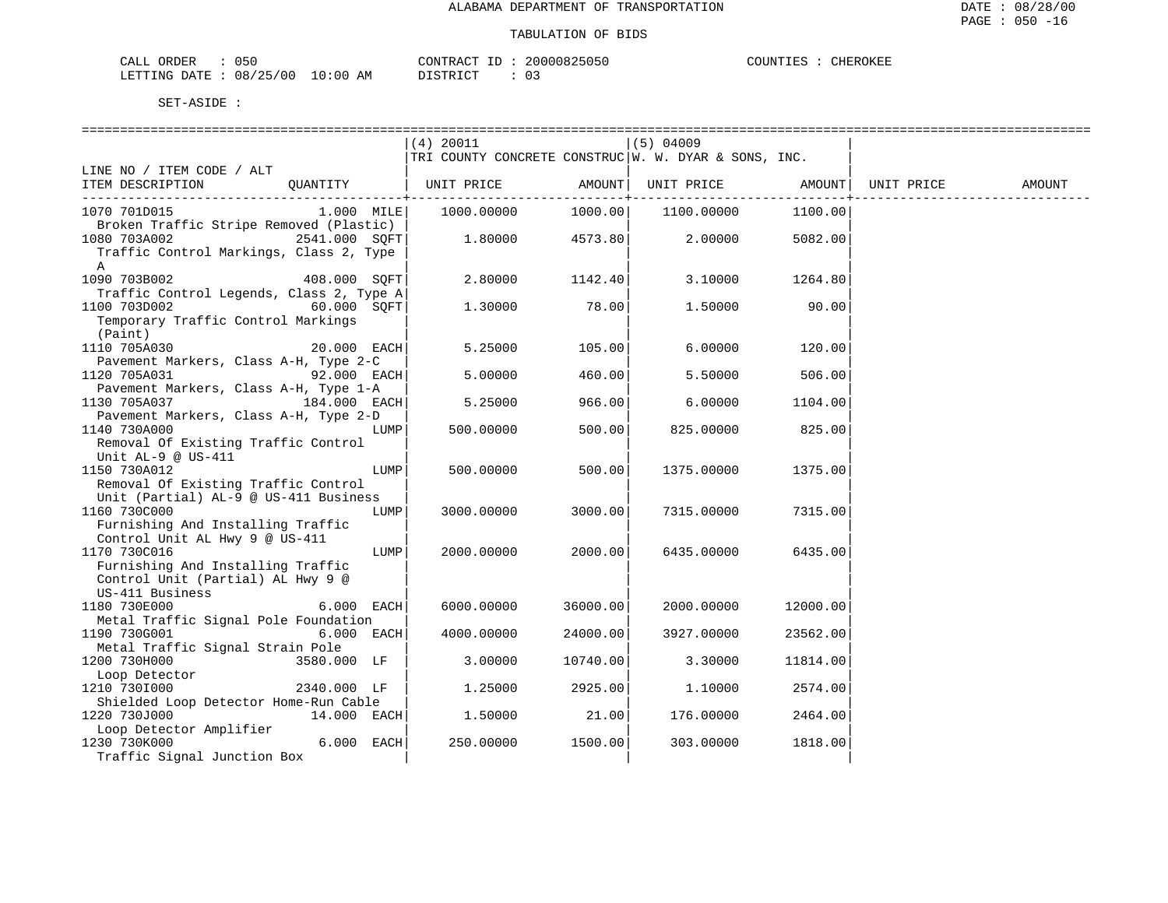| CALL ORDER                      | 050 |          |  | CONTRACT ID: 20000825050 | COUNTIES : Q | CHEROKEE |
|---------------------------------|-----|----------|--|--------------------------|--------------|----------|
| LETTING DATE: 08/25/00 10:00 AM |     | DISTRICT |  | 0 G                      |              |          |

|                                                                   | $(4)$ 20011                                            |          | $(5)$ 04009                              |          |            |        |
|-------------------------------------------------------------------|--------------------------------------------------------|----------|------------------------------------------|----------|------------|--------|
|                                                                   | TRI COUNTY CONCRETE CONSTRUC   W. W. DYAR & SONS, INC. |          |                                          |          |            |        |
| LINE NO / ITEM CODE / ALT                                         |                                                        | AMOUNT   |                                          |          | UNIT PRICE |        |
| OUANTITY<br>ITEM DESCRIPTION                                      | UNIT PRICE                                             |          | UNIT PRICE AMOUNT<br>---------+--------- |          |            | AMOUNT |
| $1.000$ MILE<br>1070 701D015                                      | 1000.00000                                             | 1000.00  | 1100.00000                               | 1100.00  |            |        |
| Broken Traffic Stripe Removed (Plastic)                           |                                                        |          |                                          |          |            |        |
| 1080 703A002<br>2541.000 SQFT                                     | 1.80000                                                | 4573.80  | 2.00000                                  | 5082.00  |            |        |
| Traffic Control Markings, Class 2, Type                           |                                                        |          |                                          |          |            |        |
| $\mathbb{A}$                                                      |                                                        |          |                                          |          |            |        |
| 1090 703B002<br>408.000 SOFT                                      | 2.80000                                                | 1142.40  | 3.10000                                  | 1264.80  |            |        |
| Traffic Control Legends, Class 2, Type A                          |                                                        | 78.00    |                                          |          |            |        |
| 60.000 SOFT<br>1100 703D002<br>Temporary Traffic Control Markings | 1.30000                                                |          | 1.50000                                  | 90.00    |            |        |
| (Paint)                                                           |                                                        |          |                                          |          |            |        |
| 1110 705A030<br>$20.000$ EACH                                     | 5.25000                                                | 105.00   | 6.00000                                  | 120.00   |            |        |
| Pavement Markers, Class A-H, Type 2-C                             |                                                        |          |                                          |          |            |        |
| $92.000$ EACH<br>1120 705A031                                     | 5.00000                                                | 460.00   | 5.50000                                  | 506.00   |            |        |
| Pavement Markers, Class A-H, Type 1-A                             |                                                        |          |                                          |          |            |        |
| $184.000$ EACH<br>1130 705A037                                    | 5.25000                                                | 966.00   | 6.00000                                  | 1104.00  |            |        |
| Pavement Markers, Class A-H, Type 2-D                             |                                                        |          |                                          |          |            |        |
| 1140 730A000<br>LUMP                                              | 500.00000                                              | 500.00   | 825.00000                                | 825.00   |            |        |
| Removal Of Existing Traffic Control                               |                                                        |          |                                          |          |            |        |
| Unit AL-9 @ US-411                                                |                                                        |          |                                          |          |            |        |
| 1150 730A012<br>LUMP<br>Removal Of Existing Traffic Control       | 500.00000                                              | 500.00   | 1375.00000                               | 1375.00  |            |        |
| Unit (Partial) AL-9 @ US-411 Business                             |                                                        |          |                                          |          |            |        |
| 1160 730C000<br>LUMP                                              | 3000.00000                                             | 3000.00  | 7315.00000                               | 7315.00  |            |        |
| Furnishing And Installing Traffic                                 |                                                        |          |                                          |          |            |        |
| Control Unit AL Hwy 9 @ US-411                                    |                                                        |          |                                          |          |            |        |
| 1170 730C016<br>LUMP                                              | 2000.00000                                             | 2000.00  | 6435.00000                               | 6435.00  |            |        |
| Furnishing And Installing Traffic                                 |                                                        |          |                                          |          |            |        |
| Control Unit (Partial) AL Hwy 9 @                                 |                                                        |          |                                          |          |            |        |
| US-411 Business                                                   |                                                        |          |                                          |          |            |        |
| 1180 730E000<br>6.000 EACH                                        | 6000.00000                                             | 36000.00 | 2000.00000                               | 12000.00 |            |        |
| Metal Traffic Signal Pole Foundation                              |                                                        | 24000.00 |                                          |          |            |        |
| 1190 730G001<br>6.000 EACH<br>Metal Traffic Signal Strain Pole    | 4000.00000                                             |          | 3927.00000                               | 23562.00 |            |        |
| 1200 730H000<br>3580.000 LF                                       | 3.00000                                                | 10740.00 | 3.30000                                  | 11814.00 |            |        |
| Loop Detector                                                     |                                                        |          |                                          |          |            |        |
| 1210 7301000<br>2340.000 LF                                       | 1.25000                                                | 2925.00  | 1.10000                                  | 2574.00  |            |        |
| Shielded Loop Detector Home-Run Cable                             |                                                        |          |                                          |          |            |        |
| 1220 730J000<br>$14.000$ EACH                                     | 1,50000                                                | 21.00    | 176.00000                                | 2464.00  |            |        |
| Loop Detector Amplifier                                           |                                                        |          |                                          |          |            |        |
| $6.000$ EACH<br>1230 730K000                                      | 250.00000                                              | 1500.00  | 303.00000                                | 1818.00  |            |        |
| Traffic Signal Junction Box                                       |                                                        |          |                                          |          |            |        |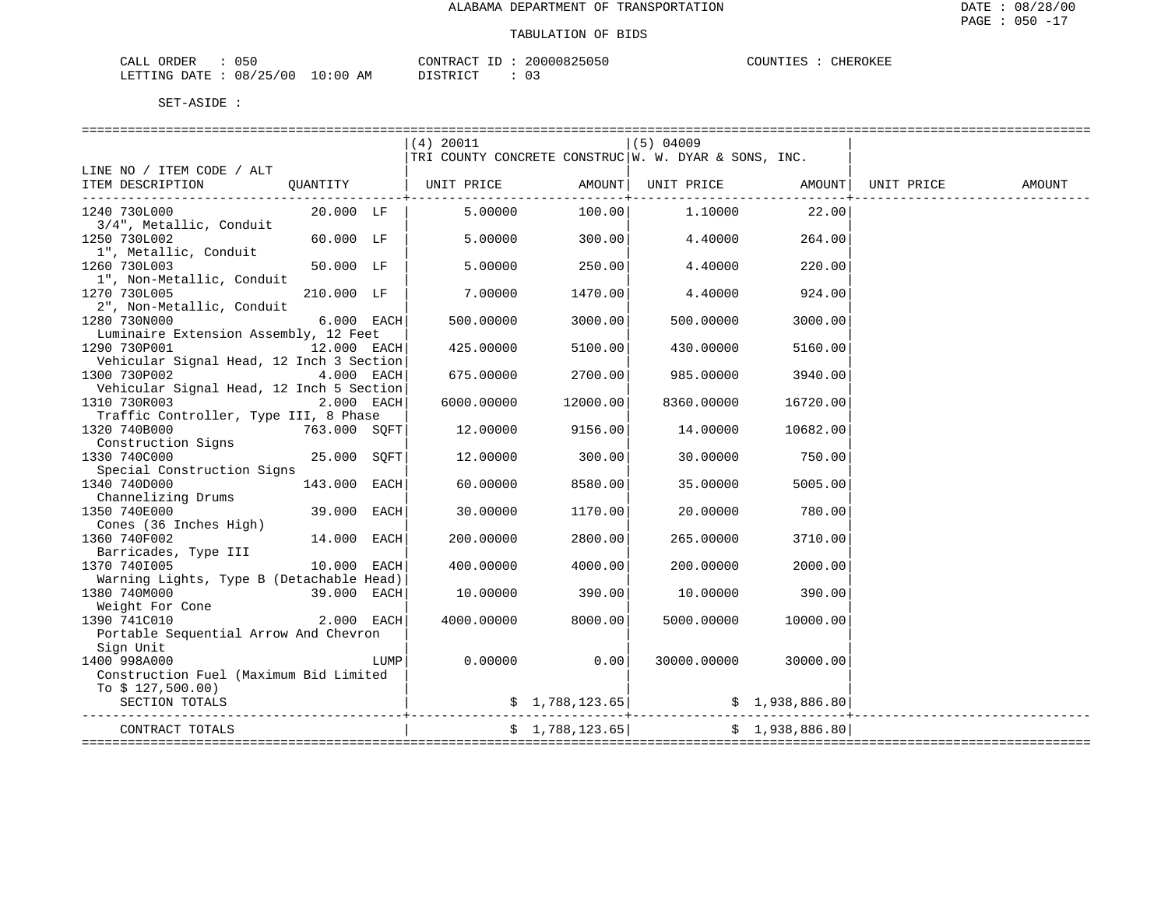| CALL<br>ORDER<br>the contract of the contract of the contract of the contract of the contract of the contract of | 05C<br>. |             | CONTRACT.             | 20000825050 | COUNTIES.<br>ىدىدىد لالەت | CHEROKEF |
|------------------------------------------------------------------------------------------------------------------|----------|-------------|-----------------------|-------------|---------------------------|----------|
| LETTING DATE                                                                                                     | 08/25/00 | 10:00<br>AΜ | $T \cap T$<br>T CTP T |             |                           |          |

|                                                       |              |      | $(4)$ 20011                                                         |                 | $(5)$ 04009 |                |        |
|-------------------------------------------------------|--------------|------|---------------------------------------------------------------------|-----------------|-------------|----------------|--------|
|                                                       |              |      | TRI COUNTY CONCRETE CONSTRUC   W. W. DYAR & SONS, INC.              |                 |             |                |        |
| LINE NO / ITEM CODE / ALT                             |              |      |                                                                     |                 |             |                |        |
| ITEM DESCRIPTION                                      |              |      | QUANTITY   UNIT PRICE     AMOUNT  UNIT PRICE     AMOUNT  UNIT PRICE |                 |             |                | AMOUNT |
|                                                       |              |      |                                                                     |                 |             |                |        |
| 1240 730L000                                          | 20.000 LF    |      | 5.00000                                                             | 100.00          | 1.10000     | 22.00          |        |
| 3/4", Metallic, Conduit                               | 60.000 LF    |      |                                                                     | 300.00          | 4.40000     |                |        |
| 1250 730L002                                          |              |      | 5.00000                                                             |                 |             | 264.00         |        |
| 1", Metallic, Conduit<br>1260 730L003                 | 50.000 LF    |      | 5.00000                                                             | 250.00          | 4.40000     | 220.00         |        |
| 1", Non-Metallic, Conduit                             |              |      |                                                                     |                 |             |                |        |
| 1270 730L005                                          | 210.000 LF   |      | 7.00000                                                             | 1470.00         | 4.40000     | 924.00         |        |
| 2", Non-Metallic, Conduit                             |              |      |                                                                     |                 |             |                |        |
| 1280 730N000                                          | 6.000 EACH   |      | 500.00000                                                           | 3000.00         | 500.00000   | 3000.00        |        |
| Luminaire Extension Assembly, 12 Feet                 |              |      |                                                                     |                 |             |                |        |
| 1290 730P001                                          | 12.000 EACH  |      | 425.00000                                                           | 5100.00         | 430.00000   | 5160.00        |        |
| Vehicular Signal Head, 12 Inch 3 Section              |              |      |                                                                     |                 |             |                |        |
| 1300 730P002                                          | 4.000 EACH   |      | 675.00000                                                           | 2700.00         | 985.00000   | 3940.00        |        |
| Vehicular Signal Head, 12 Inch 5 Section              |              |      |                                                                     |                 |             |                |        |
| 1310 730R003                                          | 2.000 EACH   |      | 6000.00000                                                          | 12000.00        | 8360.00000  | 16720.00       |        |
| Traffic Controller, Type III, 8 Phase                 |              |      |                                                                     |                 |             |                |        |
| 1320 740B000<br>763.000 SQFT                          |              |      | 12.00000                                                            | 9156.00         | 14.00000    | 10682.00       |        |
| Construction Signs                                    |              |      |                                                                     |                 |             |                |        |
| 1330 740C000                                          | 25.000 SOFT  |      | 12.00000                                                            | 300.00          | 30.00000    | 750.00         |        |
| Special Construction Signs                            |              |      |                                                                     |                 |             |                |        |
| 1340 740D000                                          | 143.000 EACH |      | 60.00000                                                            | 8580.00         | 35,00000    | 5005.00        |        |
| Channelizing Drums                                    |              |      |                                                                     |                 |             |                |        |
| 1350 740E000                                          | 39.000 EACH  |      | 30.00000                                                            | 1170.00         | 20.00000    | 780.00         |        |
| Cones (36 Inches High)                                |              |      |                                                                     |                 |             |                |        |
| 1360 740F002                                          | 14.000 EACH  |      | 200.00000                                                           | 2800.00         | 265.00000   | 3710.00        |        |
| Barricades, Type III                                  |              |      |                                                                     |                 |             |                |        |
| 1370 7401005                                          | 10.000 EACH  |      | 400.00000                                                           | 4000.00         | 200.00000   | 2000.00        |        |
| Warning Lights, Type B (Detachable Head)              |              |      |                                                                     |                 |             |                |        |
| 1380 740M000                                          | 39.000 EACH  |      | 10.00000                                                            | 390.00          | 10.00000    | 390.00         |        |
| Weight For Cone                                       |              |      |                                                                     |                 |             |                |        |
| 1390 741C010<br>Portable Sequential Arrow And Chevron | 2.000 EACH   |      | 4000.00000                                                          | 8000.00         | 5000.00000  | 10000.00       |        |
| Sign Unit                                             |              |      |                                                                     |                 |             |                |        |
| 1400 998A000                                          |              | LUMP | 0.00000                                                             | 0.00            | 30000.00000 | 30000.00       |        |
| Construction Fuel (Maximum Bid Limited                |              |      |                                                                     |                 |             |                |        |
| To $$127,500.00)$                                     |              |      |                                                                     |                 |             |                |        |
| SECTION TOTALS                                        |              |      |                                                                     | \$1,788,123.65] |             | \$1,938,886.80 |        |
|                                                       |              |      |                                                                     |                 |             |                |        |
| CONTRACT TOTALS                                       |              |      |                                                                     | \$1,788,123.65  |             | \$1,938,886.80 |        |
|                                                       |              |      |                                                                     |                 |             |                |        |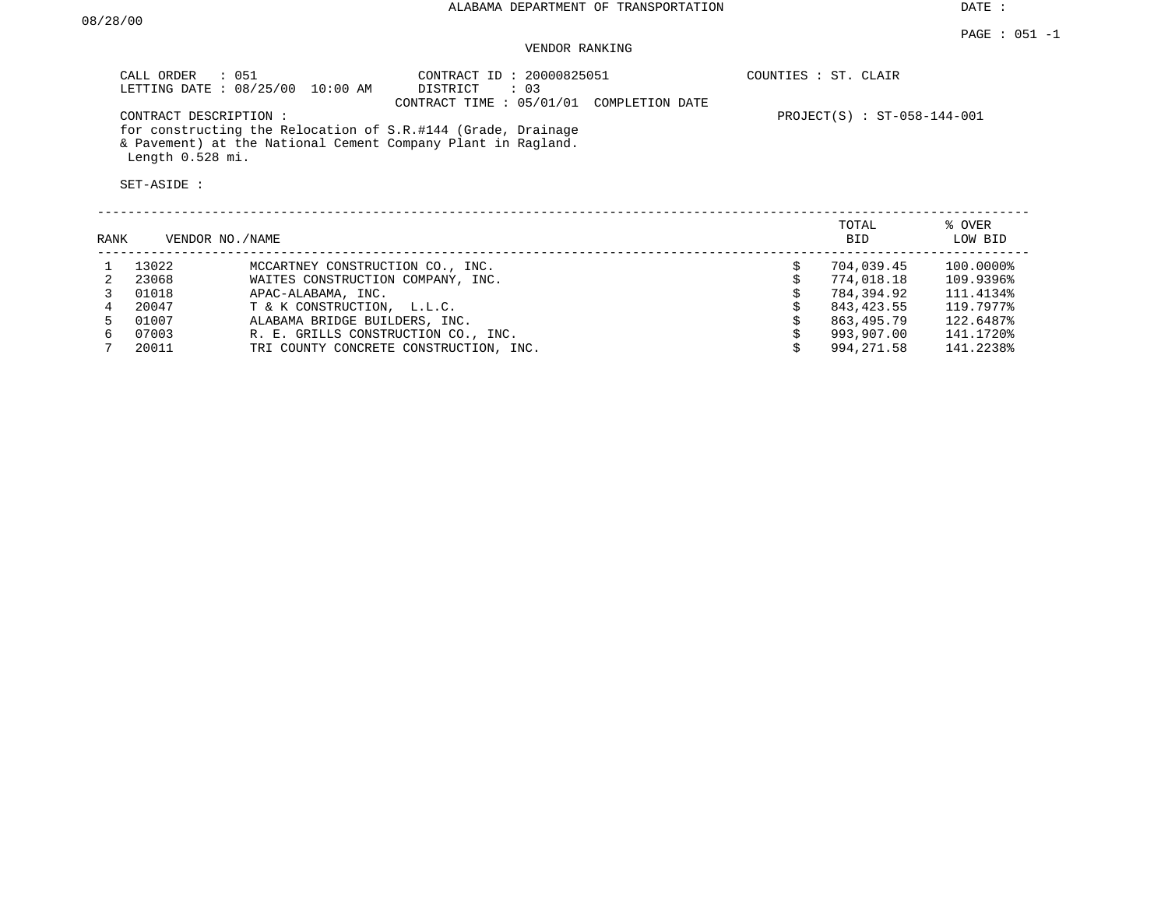DATE :

## VENDOR RANKING

| CALL ORDER : 051<br>LETTING DATE: 08/25/00<br>CONTRACT DESCRIPTION :<br>Length 0.528 mi.<br>SET-ASIDE : | 10:00 AM                         | CONTRACT ID: 20000825051<br>DISTRICT<br>: 03<br>CONTRACT TIME: 05/01/01 COMPLETION DATE<br>for constructing the Relocation of S.R.#144 (Grade, Drainage<br>& Pavement) at the National Cement Company Plant in Ragland. |    | COUNTIES : ST. CLAIR<br>$PROJECT(S) : ST-058-144-001$ |                   |
|---------------------------------------------------------------------------------------------------------|----------------------------------|-------------------------------------------------------------------------------------------------------------------------------------------------------------------------------------------------------------------------|----|-------------------------------------------------------|-------------------|
| RANK                                                                                                    | VENDOR NO./NAME                  |                                                                                                                                                                                                                         |    | TOTAL<br><b>BID</b>                                   | % OVER<br>LOW BID |
| 13022                                                                                                   | MCCARTNEY CONSTRUCTION CO., INC. |                                                                                                                                                                                                                         | Ŝ. | 704,039.45                                            | 100.0000%         |

|    | 13022 | MCCARINEI CONSIRUCIION CO., INC.       | 704,039.45 | LUU.UUUU16 |
|----|-------|----------------------------------------|------------|------------|
|    | 23068 | WAITES CONSTRUCTION COMPANY, INC.      | 774,018.18 | 109.9396%  |
|    | 01018 | APAC-ALABAMA, INC.                     | 784,394.92 | 111.4134%  |
|    | 20047 | T & K CONSTRUCTION, L.L.C.             | 843,423.55 | 119.7977%  |
| Б. | 01007 | ALABAMA BRIDGE BUILDERS, INC.          | 863,495.79 | 122.6487%  |
|    | 07003 | R. E. GRILLS CONSTRUCTION CO., INC.    | 993,907.00 | 141.1720%  |
|    | 20011 | TRI COUNTY CONCRETE CONSTRUCTION, INC. | 994,271.58 | 141.2238%  |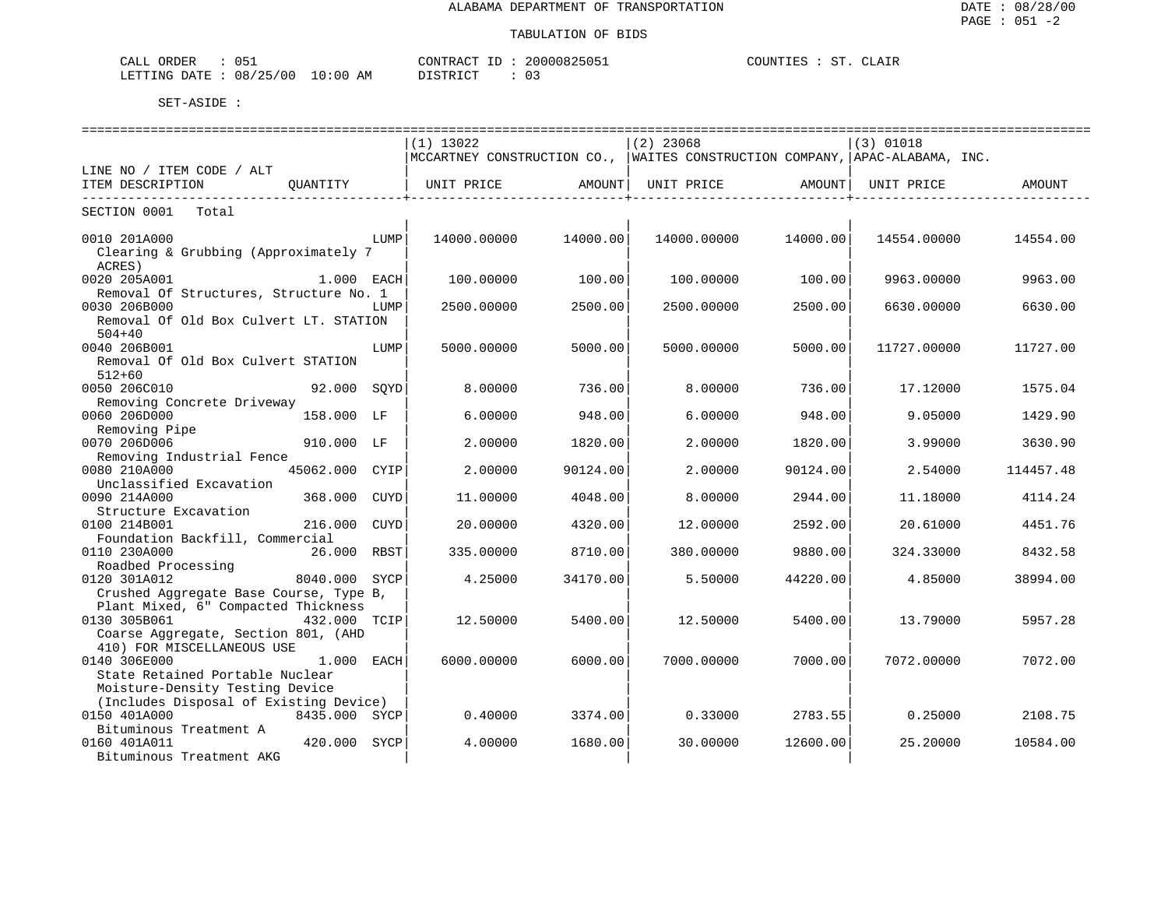| ORDER<br>CALL            |             | CONTRACT<br>TD.          | 2000082505. | SΤ<br>COUNT.<br>E. | $\Delta$ |
|--------------------------|-------------|--------------------------|-------------|--------------------|----------|
| 08/25/00<br>LETTING DATE | 10:00<br>ΆM | DIAMPIAM<br>. ש<br>∸∸∽∸∽ |             |                    |          |

|                                                                   |             |          |                                                                               |          |             | ============================== |
|-------------------------------------------------------------------|-------------|----------|-------------------------------------------------------------------------------|----------|-------------|--------------------------------|
|                                                                   | $(1)$ 13022 |          | $(2)$ 23068                                                                   |          | $(3)$ 01018 |                                |
|                                                                   |             |          | MCCARTNEY CONSTRUCTION CO.,  WAITES CONSTRUCTION COMPANY,  APAC-ALABAMA, INC. |          |             |                                |
| LINE NO / ITEM CODE / ALT                                         |             |          |                                                                               |          |             |                                |
| ITEM DESCRIPTION<br>OUANTITY                                      | UNIT PRICE  | AMOUNT   | UNIT PRICE                                                                    | AMOUNT   | UNIT PRICE  | AMOUNT                         |
| SECTION 0001<br>Total                                             |             |          |                                                                               |          |             |                                |
| 0010 201A000<br>LUMP<br>Clearing & Grubbing (Approximately 7      | 14000.00000 | 14000.00 | 14000.00000                                                                   | 14000.00 | 14554.00000 | 14554.00                       |
| ACRES)                                                            |             |          |                                                                               |          |             |                                |
| 0020 205A001<br>1.000 EACH                                        | 100.00000   | 100.00   | 100.00000                                                                     | 100.00   | 9963.00000  | 9963.00                        |
| Removal Of Structures, Structure No. 1                            |             |          |                                                                               |          |             |                                |
| 0030 206B000<br>LUMP                                              | 2500.00000  | 2500.00  | 2500.00000                                                                    | 2500.00  | 6630.00000  | 6630.00                        |
| Removal Of Old Box Culvert LT. STATION<br>$504 + 40$              |             |          |                                                                               |          |             |                                |
| 0040 206B001<br>LUMP                                              | 5000.00000  | 5000.00  | 5000.00000                                                                    | 5000.00  | 11727.00000 | 11727.00                       |
| Removal Of Old Box Culvert STATION                                |             |          |                                                                               |          |             |                                |
| $512 + 60$                                                        | 8,00000     |          | 8,00000                                                                       |          |             |                                |
| 0050 206C010<br>92.000 SOYD<br>Removing Concrete Driveway         |             | 736.00   |                                                                               | 736.00   | 17.12000    | 1575.04                        |
| 0060 206D000<br>158.000 LF                                        | 6.00000     | 948.00   | 6.00000                                                                       | 948.00   | 9.05000     | 1429.90                        |
| Removing Pipe                                                     |             |          |                                                                               |          |             |                                |
| 0070 206D006<br>910.000 LF                                        | 2.00000     | 1820.00  | 2.00000                                                                       | 1820.00  | 3.99000     | 3630.90                        |
| Removing Industrial Fence                                         |             |          |                                                                               |          |             |                                |
| 0080 210A000<br>45062.000<br>CYIP                                 | 2.00000     | 90124.00 | 2.00000                                                                       | 90124.00 | 2.54000     | 114457.48                      |
| Unclassified Excavation                                           |             |          |                                                                               |          |             |                                |
| 0090 214A000<br>368.000<br>CUYD                                   | 11.00000    | 4048.00  | 8,00000                                                                       | 2944.00  | 11.18000    | 4114.24                        |
| Structure Excavation<br>0100 214B001<br>216.000<br><b>CUYD</b>    | 20,00000    | 4320.00  | 12,00000                                                                      | 2592.00  | 20.61000    | 4451.76                        |
| Foundation Backfill, Commercial                                   |             |          |                                                                               |          |             |                                |
| 0110 230A000<br>26.000 RBST                                       | 335.00000   | 8710.00  | 380.00000                                                                     | 9880.00  | 324.33000   | 8432.58                        |
| Roadbed Processing                                                |             |          |                                                                               |          |             |                                |
| 0120 301A012<br>8040.000 SYCP                                     | 4.25000     | 34170.00 | 5.50000                                                                       | 44220.00 | 4.85000     | 38994.00                       |
| Crushed Aggregate Base Course, Type B,                            |             |          |                                                                               |          |             |                                |
| Plant Mixed, 6" Compacted Thickness                               |             |          |                                                                               |          |             |                                |
| 0130 305B061<br>432.000 TCIP                                      | 12.50000    | 5400.00  | 12.50000                                                                      | 5400.00  | 13.79000    | 5957.28                        |
| Coarse Aggregate, Section 801, (AHD<br>410) FOR MISCELLANEOUS USE |             |          |                                                                               |          |             |                                |
| 0140 306E000<br>1.000 EACH                                        | 6000.00000  | 6000.00  | 7000.00000                                                                    | 7000.00  | 7072.00000  | 7072.00                        |
| State Retained Portable Nuclear                                   |             |          |                                                                               |          |             |                                |
| Moisture-Density Testing Device                                   |             |          |                                                                               |          |             |                                |
| (Includes Disposal of Existing Device)                            |             |          |                                                                               |          |             |                                |
| 0150 401A000<br>8435.000 SYCP                                     | 0.40000     | 3374.00  | 0.33000                                                                       | 2783.55  | 0.25000     | 2108.75                        |
| Bituminous Treatment A                                            |             |          |                                                                               |          |             |                                |
| 0160 401A011<br>420.000 SYCP                                      | 4.00000     | 1680.00  | 30.00000                                                                      | 12600.00 | 25.20000    | 10584.00                       |
| Bituminous Treatment AKG                                          |             |          |                                                                               |          |             |                                |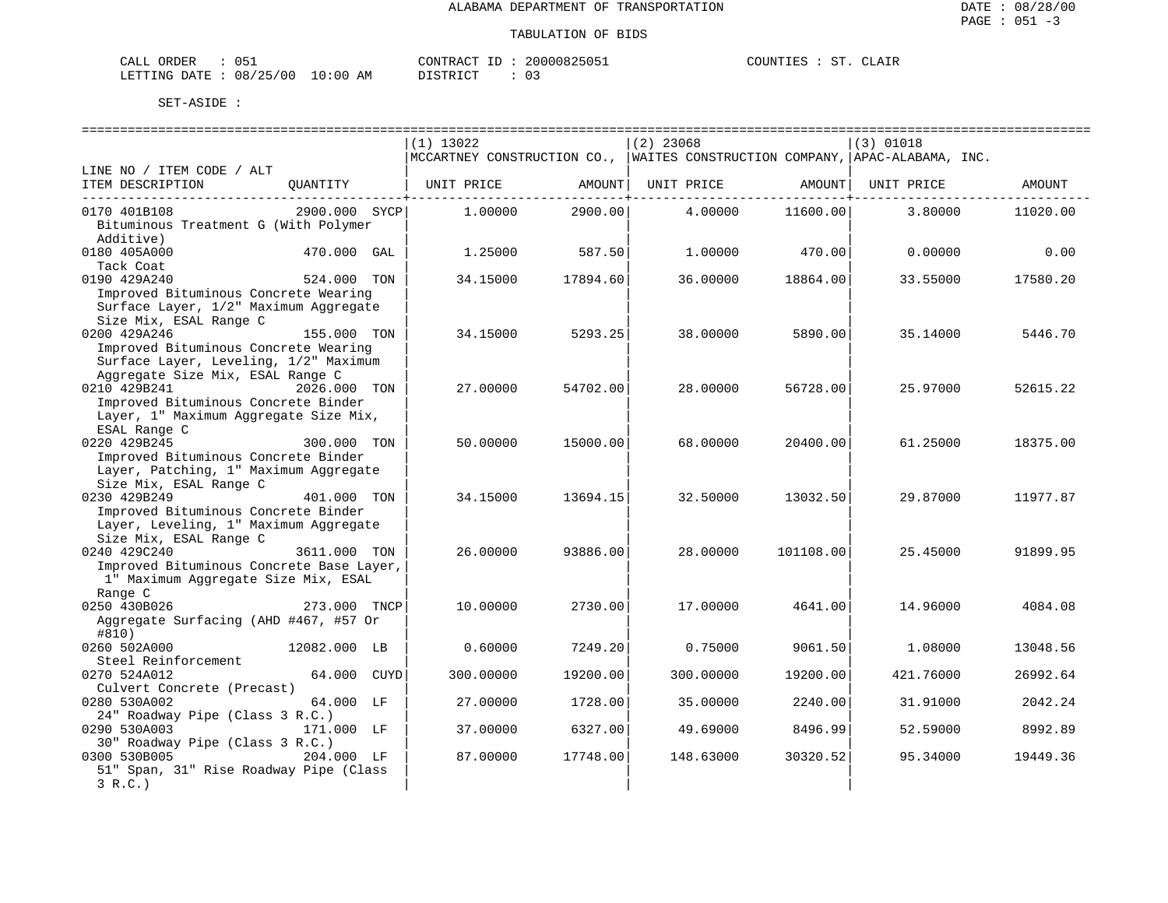| CALL ORDER                       |  | CONTRACT<br>ID | 20000825051 | COUNTIES | cт | CLAIR |
|----------------------------------|--|----------------|-------------|----------|----|-------|
| LETTING DATE : 08/25/00 10:00 AM |  | DI STR TOT     |             |          |    |       |

|                                          |               |             |          | ============================== |           | ========================                                                    |          |
|------------------------------------------|---------------|-------------|----------|--------------------------------|-----------|-----------------------------------------------------------------------------|----------|
|                                          |               | $(1)$ 13022 |          | $(2)$ 23068                    |           | (3) 01018                                                                   |          |
|                                          |               |             |          |                                |           | MCCARTNEY CONSTRUCTION CO., WAITES CONSTRUCTION COMPANY, APAC-ALABAMA, INC. |          |
| LINE NO / ITEM CODE / ALT                |               |             |          |                                |           |                                                                             |          |
| ITEM DESCRIPTION                         | QUANTITY      | UNIT PRICE  | AMOUNT   | UNIT PRICE                     | AMOUNT    | UNIT PRICE                                                                  | AMOUNT   |
| 0170 401B108                             | 2900.000 SYCP | 1,00000     | 2900.00  | 4.00000                        | 11600.00  | 3.80000                                                                     | 11020.00 |
| Bituminous Treatment G (With Polymer     |               |             |          |                                |           |                                                                             |          |
| Additive)                                |               |             |          |                                |           |                                                                             |          |
| 0180 405A000                             | 470.000 GAL   | 1.25000     | 587.50   | 1,00000                        | 470.00    | 0.00000                                                                     | 0.00     |
| Tack Coat                                |               |             |          |                                |           |                                                                             |          |
| 0190 429A240                             | 524.000 TON   | 34.15000    | 17894.60 | 36.00000                       | 18864.00  | 33.55000                                                                    | 17580.20 |
| Improved Bituminous Concrete Wearing     |               |             |          |                                |           |                                                                             |          |
| Surface Layer, 1/2" Maximum Aggregate    |               |             |          |                                |           |                                                                             |          |
| Size Mix, ESAL Range C                   |               |             |          |                                |           |                                                                             |          |
| 0200 429A246                             | 155.000 TON   | 34.15000    | 5293.25  | 38.00000                       | 5890.00   | 35.14000                                                                    | 5446.70  |
| Improved Bituminous Concrete Wearing     |               |             |          |                                |           |                                                                             |          |
| Surface Layer, Leveling, 1/2" Maximum    |               |             |          |                                |           |                                                                             |          |
| Aggregate Size Mix, ESAL Range C         |               |             |          |                                |           |                                                                             |          |
| 0210 429B241                             | 2026.000 TON  | 27.00000    | 54702.00 | 28.00000                       | 56728.00  | 25.97000                                                                    | 52615.22 |
| Improved Bituminous Concrete Binder      |               |             |          |                                |           |                                                                             |          |
| Layer, 1" Maximum Aggregate Size Mix,    |               |             |          |                                |           |                                                                             |          |
| ESAL Range C                             |               |             |          |                                |           |                                                                             |          |
| 0220 429B245                             | 300.000 TON   | 50.00000    | 15000.00 | 68,00000                       | 20400.00  | 61.25000                                                                    | 18375.00 |
| Improved Bituminous Concrete Binder      |               |             |          |                                |           |                                                                             |          |
| Layer, Patching, 1" Maximum Aggregate    |               |             |          |                                |           |                                                                             |          |
| Size Mix, ESAL Range C                   |               |             |          |                                |           |                                                                             |          |
| 0230 429B249                             | 401.000 TON   | 34.15000    | 13694.15 | 32.50000                       | 13032.50  | 29.87000                                                                    | 11977.87 |
| Improved Bituminous Concrete Binder      |               |             |          |                                |           |                                                                             |          |
| Layer, Leveling, 1" Maximum Aggregate    |               |             |          |                                |           |                                                                             |          |
| Size Mix, ESAL Range C                   |               |             |          |                                |           |                                                                             |          |
| 0240 429C240                             | 3611.000 TON  | 26,00000    | 93886.00 | 28.00000                       | 101108.00 | 25.45000                                                                    | 91899.95 |
| Improved Bituminous Concrete Base Layer, |               |             |          |                                |           |                                                                             |          |
| 1" Maximum Aggregate Size Mix, ESAL      |               |             |          |                                |           |                                                                             |          |
| Range C<br>0250 430B026                  | 273.000 TNCP  | 10.00000    | 2730.00  | 17.00000                       | 4641.00   | 14.96000                                                                    | 4084.08  |
| Aggregate Surfacing (AHD #467, #57 Or    |               |             |          |                                |           |                                                                             |          |
| #810)                                    |               |             |          |                                |           |                                                                             |          |
| 0260 502A000                             | 12082.000 LB  | 0.60000     | 7249.20  | 0.75000                        | 9061.50   | 1,08000                                                                     | 13048.56 |
| Steel Reinforcement                      |               |             |          |                                |           |                                                                             |          |
| 0270 524A012                             | 64.000 CUYD   | 300.00000   | 19200.00 | 300.00000                      | 19200.00  | 421.76000                                                                   | 26992.64 |
| Culvert Concrete (Precast)               |               |             |          |                                |           |                                                                             |          |
| 0280 530A002                             | 64.000 LF     | 27.00000    | 1728.00  | 35.00000                       | 2240.00   | 31.91000                                                                    | 2042.24  |
| 24" Roadway Pipe (Class 3 R.C.)          |               |             |          |                                |           |                                                                             |          |
| 0290 530A003                             | 171.000 LF    | 37.00000    | 6327.00  | 49.69000                       | 8496.99   | 52.59000                                                                    | 8992.89  |
| 30" Roadway Pipe (Class 3 R.C.)          |               |             |          |                                |           |                                                                             |          |
| 0300 530B005                             | 204.000 LF    | 87.00000    | 17748.00 | 148.63000                      | 30320.52  | 95.34000                                                                    | 19449.36 |
| 51" Span, 31" Rise Roadway Pipe (Class   |               |             |          |                                |           |                                                                             |          |
| 3 R.C.                                   |               |             |          |                                |           |                                                                             |          |
|                                          |               |             |          |                                |           |                                                                             |          |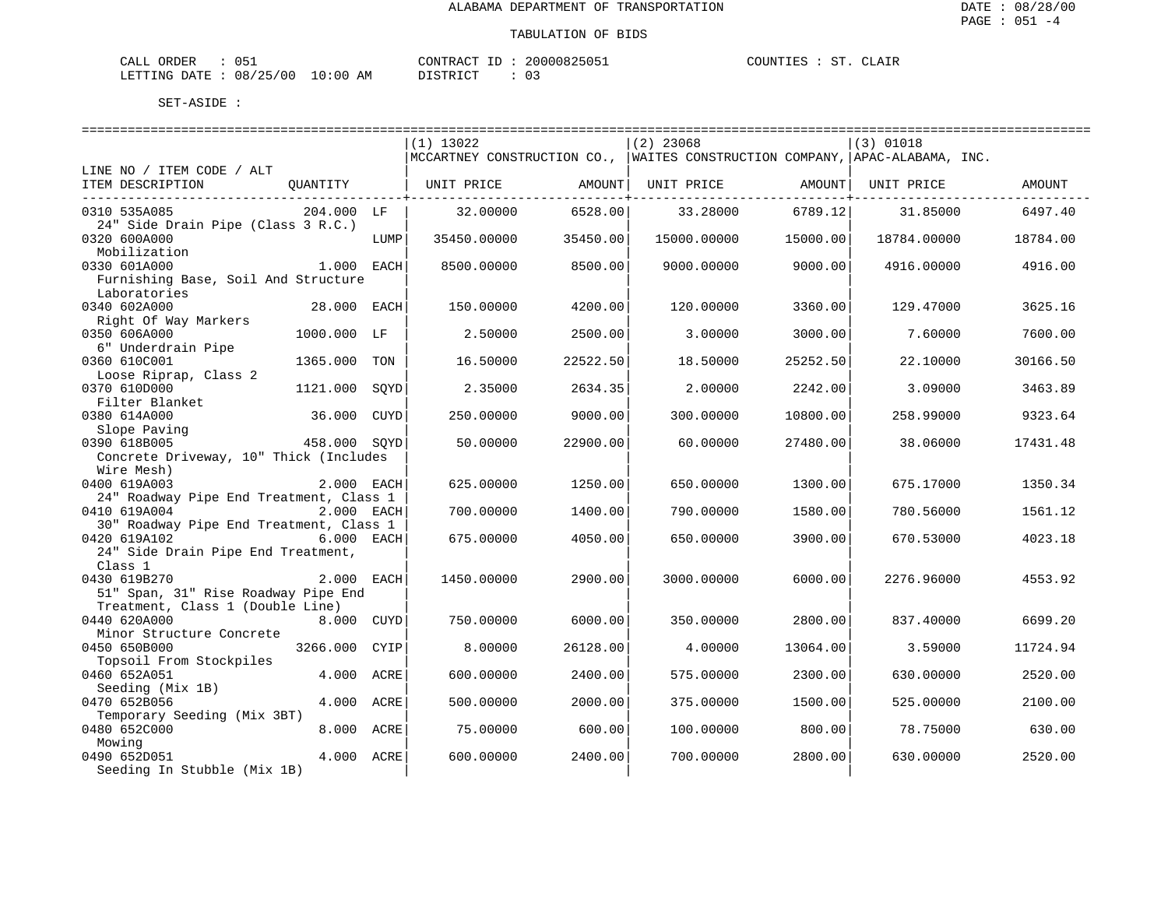| CALL ORDER                       | 051 | CONTRACT ID: | 20000825051 | COUNTIES : ST. CLAIR |  |  |
|----------------------------------|-----|--------------|-------------|----------------------|--|--|
| LETTING DATE : 08/25/00 10:00 AM |     | DISTRICT     |             |                      |  |  |

|                                         |              |      | $(1)$ 13022 |          | $(2)$ 23068                                                                 |          | $(3)$ 01018 |          |
|-----------------------------------------|--------------|------|-------------|----------|-----------------------------------------------------------------------------|----------|-------------|----------|
|                                         |              |      |             |          | MCCARTNEY CONSTRUCTION CO., WAITES CONSTRUCTION COMPANY, APAC-ALABAMA, INC. |          |             |          |
| LINE NO / ITEM CODE / ALT               |              |      |             |          |                                                                             |          |             |          |
| ITEM DESCRIPTION                        | OUANTITY     |      | UNIT PRICE  | AMOUNT   | UNIT PRICE                                                                  | AMOUNT   | UNIT PRICE  | AMOUNT   |
| 0310 535A085                            | 204.000 LF   |      | 32,00000    | 6528.00  | 33.28000                                                                    | 6789.12  | 31.85000    | 6497.40  |
| 24" Side Drain Pipe (Class 3 R.C.)      |              |      |             |          |                                                                             |          |             |          |
| 0320 600A000                            |              | LUMP | 35450.00000 | 35450.00 | 15000.00000                                                                 | 15000.00 | 18784.00000 | 18784.00 |
| Mobilization                            |              |      |             |          |                                                                             |          |             |          |
| 0330 601A000                            | 1.000 EACH   |      | 8500.00000  | 8500.00  | 9000.00000                                                                  | 9000.00  | 4916.00000  | 4916.00  |
| Furnishing Base, Soil And Structure     |              |      |             |          |                                                                             |          |             |          |
| Laboratories                            |              |      |             |          |                                                                             |          |             |          |
| 0340 602A000                            | 28.000 EACH  |      | 150.00000   | 4200.00  | 120.00000                                                                   | 3360.00  | 129.47000   | 3625.16  |
| Right Of Way Markers                    |              |      |             |          |                                                                             |          |             |          |
| 0350 606A000                            | 1000.000 LF  |      | 2.50000     | 2500.00  | 3.00000                                                                     | 3000.00  | 7.60000     | 7600.00  |
| 6" Underdrain Pipe                      |              |      |             |          |                                                                             |          |             |          |
| 0360 610C001                            | 1365.000     | TON  | 16.50000    | 22522.50 | 18.50000                                                                    | 25252.50 | 22.10000    | 30166.50 |
| Loose Riprap, Class 2                   |              |      |             |          |                                                                             |          |             |          |
| 0370 610D000                            | 1121.000     | SOYD | 2.35000     | 2634.35  | 2.00000                                                                     | 2242.00  | 3.09000     | 3463.89  |
| Filter Blanket                          |              |      |             |          |                                                                             |          |             |          |
| 0380 614A000                            | 36.000       | CUYD | 250.00000   | 9000.00  | 300.00000                                                                   | 10800.00 | 258.99000   | 9323.64  |
| Slope Paving                            |              |      |             |          |                                                                             |          |             |          |
| 0390 618B005                            | 458.000 SQYD |      | 50.00000    | 22900.00 | 60.00000                                                                    | 27480.00 | 38.06000    | 17431.48 |
| Concrete Driveway, 10" Thick (Includes  |              |      |             |          |                                                                             |          |             |          |
| Wire Mesh)                              |              |      |             |          |                                                                             |          |             |          |
| 0400 619A003                            | 2.000 EACH   |      | 625.00000   | 1250.00  | 650.00000                                                                   | 1300.00  | 675.17000   | 1350.34  |
| 24" Roadway Pipe End Treatment, Class 1 |              |      |             |          |                                                                             |          |             |          |
| 0410 619A004                            | 2.000 EACH   |      | 700.00000   | 1400.00  | 790.00000                                                                   | 1580.00  | 780.56000   | 1561.12  |
| 30" Roadway Pipe End Treatment, Class 1 |              |      |             |          |                                                                             |          |             |          |
| 0420 619A102                            | 6.000 EACH   |      | 675.00000   | 4050.00  | 650.00000                                                                   | 3900.00  | 670.53000   | 4023.18  |
| 24" Side Drain Pipe End Treatment,      |              |      |             |          |                                                                             |          |             |          |
| Class 1                                 |              |      |             |          |                                                                             |          |             |          |
| 0430 619B270                            | 2.000 EACH   |      | 1450.00000  | 2900.00  | 3000.00000                                                                  | 6000.00  | 2276.96000  | 4553.92  |
| 51" Span, 31" Rise Roadway Pipe End     |              |      |             |          |                                                                             |          |             |          |
| Treatment, Class 1 (Double Line)        |              |      |             |          |                                                                             |          |             |          |
| 0440 620A000                            | 8.000 CUYD   |      | 750.00000   | 6000.00  | 350.00000                                                                   | 2800.00  | 837.40000   | 6699.20  |
| Minor Structure Concrete                |              |      |             |          |                                                                             |          |             |          |
| 0450 650B000                            | 3266.000     | CYIP | 8.00000     | 26128.00 | 4.00000                                                                     | 13064.00 | 3.59000     | 11724.94 |
| Topsoil From Stockpiles                 |              |      |             |          |                                                                             |          |             |          |
| 0460 652A051                            | 4.000 ACRE   |      | 600.00000   | 2400.00  | 575.00000                                                                   | 2300.00  | 630.00000   | 2520.00  |
| Seeding (Mix 1B)                        |              |      |             |          |                                                                             |          |             |          |
| 0470 652B056                            | 4.000 ACRE   |      | 500.00000   | 2000.00  | 375.00000                                                                   | 1500.00  | 525.00000   | 2100.00  |
| Temporary Seeding (Mix 3BT)             |              |      |             |          |                                                                             |          |             |          |
| 0480 652C000                            | 8.000 ACRE   |      | 75.00000    | 600.00   | 100.00000                                                                   | 800.00   | 78.75000    | 630.00   |
| Mowing                                  |              |      |             |          |                                                                             |          |             |          |
| 0490 652D051                            | 4.000 ACRE   |      | 600.00000   | 2400.00  | 700.00000                                                                   | 2800.00  | 630.00000   | 2520.00  |
| Seeding In Stubble (Mix 1B)             |              |      |             |          |                                                                             |          |             |          |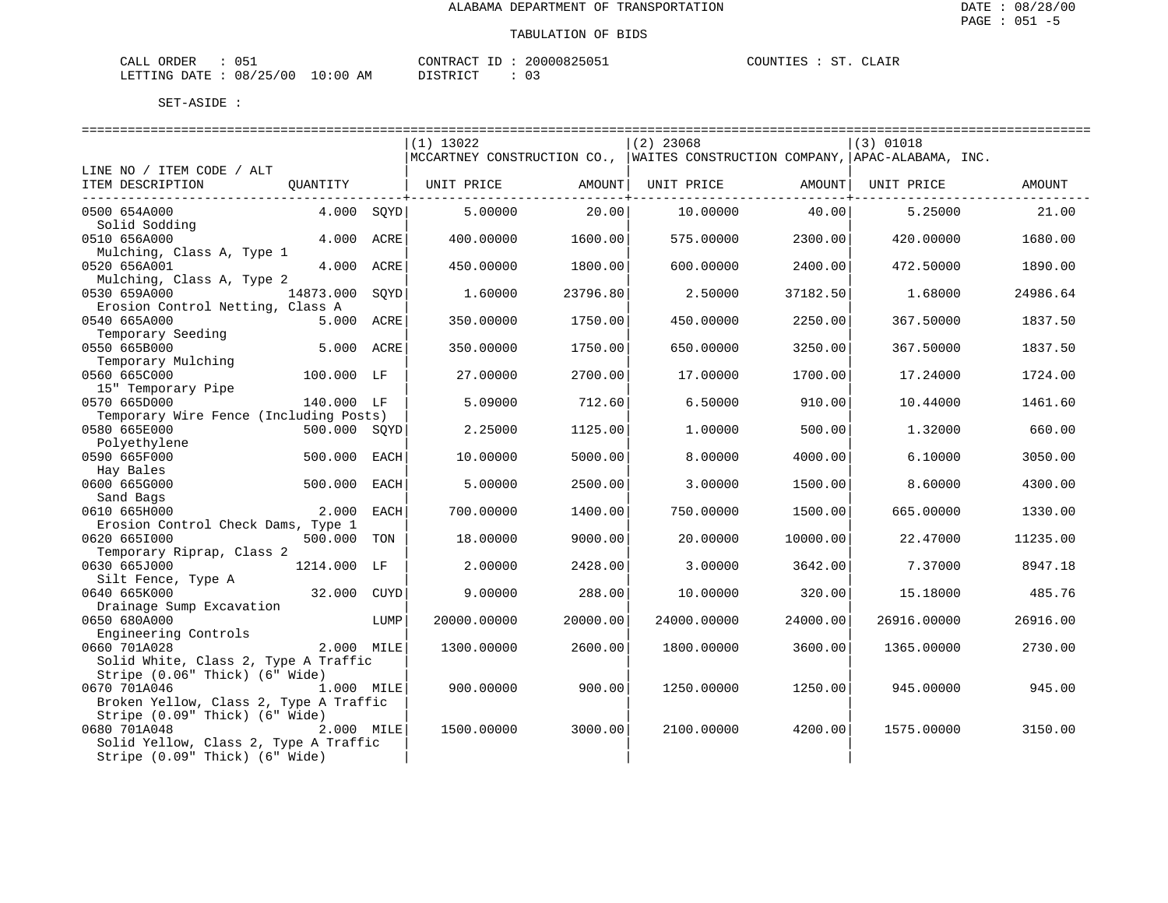| CALL ORDER                       | 051 | CONTRACT ID: | 20000825051 | COUNTIES : ST. CLAIR |  |  |
|----------------------------------|-----|--------------|-------------|----------------------|--|--|
| LETTING DATE : 08/25/00 10:00 AM |     | DISTRICT     |             |                      |  |  |

|                                           |              |      | $(1)$ 13022 |          | $(2)$ 23068                                                                     |          | (3) 01018   |          |
|-------------------------------------------|--------------|------|-------------|----------|---------------------------------------------------------------------------------|----------|-------------|----------|
|                                           |              |      |             |          | MCCARTNEY CONSTRUCTION CO.,   WAITES CONSTRUCTION COMPANY,   APAC-ALABAMA, INC. |          |             |          |
| LINE NO / ITEM CODE / ALT                 |              |      |             |          |                                                                                 |          |             |          |
| ITEM DESCRIPTION                          | QUANTITY     |      | UNIT PRICE  | AMOUNT   | UNIT PRICE                                                                      | AMOUNT   | UNIT PRICE  | AMOUNT   |
| 0500 654A000                              | 4.000 SOYD   |      | 5.00000     | 20.00    | 10.00000                                                                        | 40.00    | 5.25000     | 21.00    |
| Solid Sodding                             |              |      |             |          |                                                                                 |          |             |          |
| 0510 656A000                              | 4.000 ACRE   |      | 400.00000   | 1600.00  | 575.00000                                                                       | 2300.00  | 420.00000   | 1680.00  |
| Mulching, Class A, Type 1<br>0520 656A001 | 4.000 ACRE   |      | 450.00000   | 1800.00  | 600.00000                                                                       | 2400.00  | 472.50000   | 1890.00  |
| Mulching, Class A, Type 2                 |              |      |             |          |                                                                                 |          |             |          |
| 0530 659A000                              | 14873.000    | SQYD | 1.60000     | 23796.80 | 2.50000                                                                         | 37182.50 | 1.68000     | 24986.64 |
| Erosion Control Netting, Class A          |              |      |             |          |                                                                                 |          |             |          |
| 0540 665A000                              | 5.000 ACRE   |      | 350.00000   | 1750.00  | 450.00000                                                                       | 2250.00  | 367.50000   | 1837.50  |
| Temporary Seeding                         |              |      |             |          |                                                                                 |          |             |          |
| 0550 665B000<br>Temporary Mulching        | 5.000 ACRE   |      | 350.00000   | 1750.00  | 650.00000                                                                       | 3250.00  | 367.50000   | 1837.50  |
| 0560 665C000                              | 100.000 LF   |      | 27.00000    | 2700.00  | 17.00000                                                                        | 1700.00  | 17.24000    | 1724.00  |
| 15" Temporary Pipe                        |              |      |             |          |                                                                                 |          |             |          |
| 0570 665D000                              | 140.000 LF   |      | 5.09000     | 712.60   | 6.50000                                                                         | 910.00   | 10.44000    | 1461.60  |
| Temporary Wire Fence (Including Posts)    |              |      |             |          |                                                                                 |          |             |          |
| 0580 665E000                              | 500.000 SQYD |      | 2.25000     | 1125.00  | 1,00000                                                                         | 500.00   | 1.32000     | 660.00   |
| Polyethylene                              |              |      |             |          |                                                                                 |          |             |          |
| 0590 665F000                              | 500.000 EACH |      | 10.00000    | 5000.00  | 8,00000                                                                         | 4000.00  | 6.10000     | 3050.00  |
| Hay Bales<br>0600 665G000                 | 500.000 EACH |      | 5.00000     | 2500.00  | 3.00000                                                                         | 1500.00  | 8.60000     | 4300.00  |
| Sand Bags                                 |              |      |             |          |                                                                                 |          |             |          |
| 0610 665H000                              | 2.000        | EACH | 700.00000   | 1400.00  | 750.00000                                                                       | 1500.00  | 665.00000   | 1330.00  |
| Erosion Control Check Dams, Type 1        |              |      |             |          |                                                                                 |          |             |          |
| 0620 6651000                              | 500.000      | TON  | 18.00000    | 9000.00  | 20.00000                                                                        | 10000.00 | 22.47000    | 11235.00 |
| Temporary Riprap, Class 2                 |              |      |             |          |                                                                                 |          |             |          |
| 0630 665J000                              | 1214.000 LF  |      | 2.00000     | 2428.00  | 3.00000                                                                         | 3642.00  | 7.37000     | 8947.18  |
| Silt Fence, Type A<br>0640 665K000        |              |      | 9,00000     |          |                                                                                 |          |             |          |
| Drainage Sump Excavation                  | 32.000 CUYD  |      |             | 288.00   | 10.00000                                                                        | 320.00   | 15.18000    | 485.76   |
| 0650 680A000                              |              | LUMP | 20000.00000 | 20000.00 | 24000.00000                                                                     | 24000.00 | 26916.00000 | 26916.00 |
| Engineering Controls                      |              |      |             |          |                                                                                 |          |             |          |
| 0660 701A028                              | 2.000 MILE   |      | 1300.00000  | 2600.00  | 1800.00000                                                                      | 3600.00  | 1365.00000  | 2730.00  |
| Solid White, Class 2, Type A Traffic      |              |      |             |          |                                                                                 |          |             |          |
| Stripe (0.06" Thick) (6" Wide)            |              |      |             |          |                                                                                 |          |             |          |
| 0670 701A046<br>1.000 MILE                |              |      | 900.00000   | 900.00   | 1250.00000                                                                      | 1250.00  | 945,00000   | 945.00   |
| Broken Yellow, Class 2, Type A Traffic    |              |      |             |          |                                                                                 |          |             |          |
| Stripe (0.09" Thick) (6" Wide)            |              |      |             |          |                                                                                 |          |             |          |
| 0680 701A048                              | 2.000 MILE   |      | 1500.00000  | 3000.00  | 2100.00000                                                                      | 4200.00  | 1575.00000  | 3150.00  |
| Solid Yellow, Class 2, Type A Traffic     |              |      |             |          |                                                                                 |          |             |          |
| Stripe (0.09" Thick) (6" Wide)            |              |      |             |          |                                                                                 |          |             |          |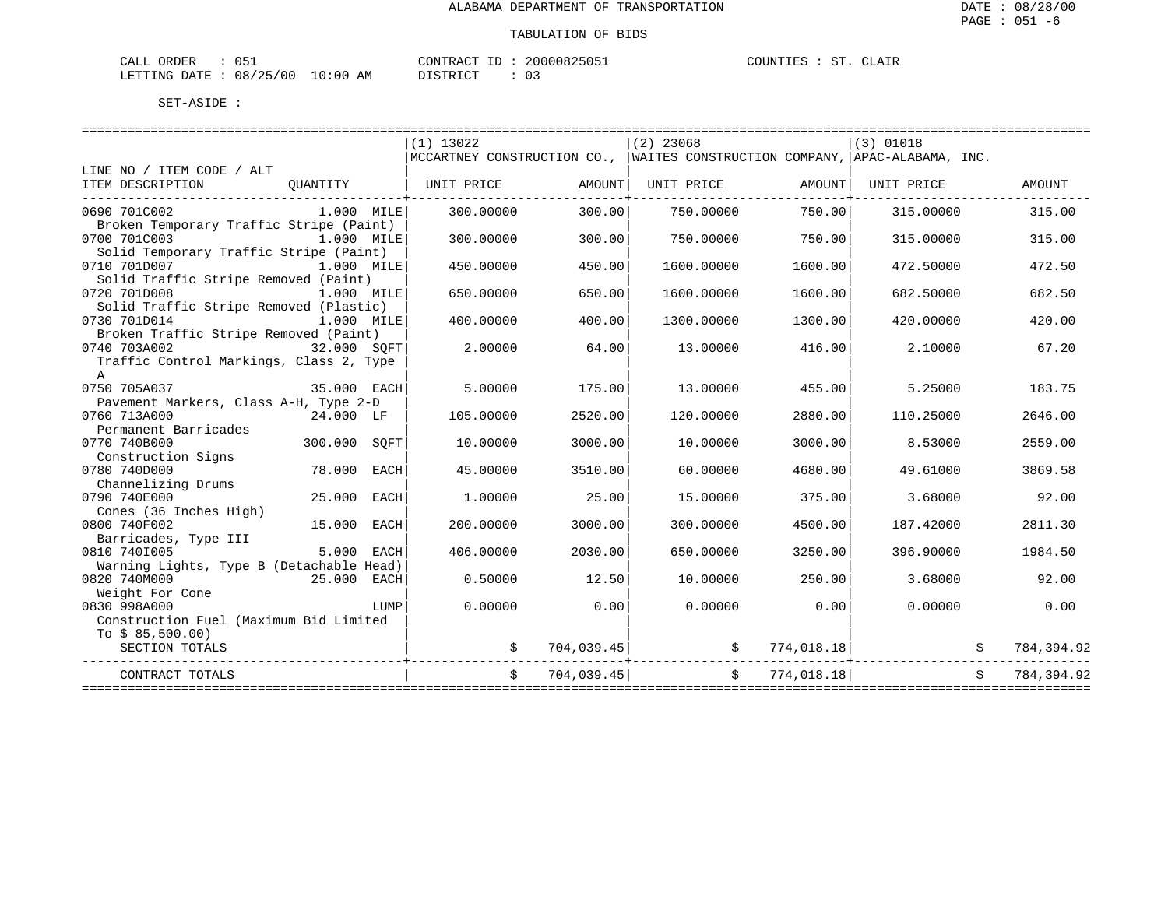| ORDER<br>CALL                   | 051 | 20000825051<br>CONTRACT<br>ID | CLAIR<br>COUNTIES<br>ST. |
|---------------------------------|-----|-------------------------------|--------------------------|
| LETTING DATE: 08/25/00 10:00 AM |     | DISTRICT                      |                          |

|                                                   |              |      | $(1)$ 13022                                                                   |            | $(2)$ 23068                                                                                                                                                                                                                                                                                                                              |                         | $(3)$ 01018 |             |            |
|---------------------------------------------------|--------------|------|-------------------------------------------------------------------------------|------------|------------------------------------------------------------------------------------------------------------------------------------------------------------------------------------------------------------------------------------------------------------------------------------------------------------------------------------------|-------------------------|-------------|-------------|------------|
|                                                   |              |      | MCCARTNEY CONSTRUCTION CO.,   WAITES CONSTRUCTION COMPANY, APAC-ALABAMA, INC. |            |                                                                                                                                                                                                                                                                                                                                          |                         |             |             |            |
| LINE NO / ITEM CODE / ALT                         |              |      |                                                                               |            |                                                                                                                                                                                                                                                                                                                                          |                         |             |             |            |
| ITEM DESCRIPTION<br>----------------------------- |              |      | QUANTITY   UNIT PRICE $\qquad$ AMOUNT  UNIT PRICE $\qquad$ AMOUNT  UNIT PRICE |            |                                                                                                                                                                                                                                                                                                                                          |                         |             |             | AMOUNT     |
| 0690 701C002                                      | $1.000$ MILE |      | 300.00000                                                                     | 300.00     | 750.00000                                                                                                                                                                                                                                                                                                                                | 750.00                  | 315.00000   |             | 315.00     |
| Broken Temporary Traffic Stripe (Paint)           |              |      |                                                                               |            |                                                                                                                                                                                                                                                                                                                                          |                         |             |             |            |
| 0700 701C003<br>1.000 MILE                        |              |      | 300.00000                                                                     | 300.00     | 750.00000                                                                                                                                                                                                                                                                                                                                | 750.00                  | 315.00000   |             | 315.00     |
| Solid Temporary Traffic Stripe (Paint)            |              |      |                                                                               |            |                                                                                                                                                                                                                                                                                                                                          |                         |             |             |            |
| 0710 701D007<br>1.000 MILE                        |              |      | 450.00000                                                                     | 450.00     | 1600.00000                                                                                                                                                                                                                                                                                                                               | 1600.00                 | 472.50000   |             | 472.50     |
| Solid Traffic Stripe Removed (Paint)              |              |      |                                                                               |            |                                                                                                                                                                                                                                                                                                                                          |                         |             |             |            |
| 0720 701D008<br>1.000 MILE                        |              |      | 650.00000                                                                     | 650.00     | 1600.00000                                                                                                                                                                                                                                                                                                                               | 1600.00                 | 682.50000   |             | 682.50     |
| Solid Traffic Stripe Removed (Plastic)            |              |      |                                                                               |            |                                                                                                                                                                                                                                                                                                                                          |                         |             |             |            |
| 0730 701D014                                      | $1.000$ MILE |      | 400.00000                                                                     | 400.00     | 1300.00000                                                                                                                                                                                                                                                                                                                               | 1300.00                 | 420.00000   |             | 420.00     |
| Broken Traffic Stripe Removed (Paint)             |              |      |                                                                               |            |                                                                                                                                                                                                                                                                                                                                          |                         |             |             |            |
| 0740 703A002                                      | 32.000 SOFT  |      | 2.00000                                                                       | 64.00      | 13.00000                                                                                                                                                                                                                                                                                                                                 | 416.00                  | 2.10000     |             | 67.20      |
| Traffic Control Markings, Class 2, Type           |              |      |                                                                               |            |                                                                                                                                                                                                                                                                                                                                          |                         |             |             |            |
| A                                                 |              |      |                                                                               |            |                                                                                                                                                                                                                                                                                                                                          |                         |             |             |            |
| 35.000 EACH<br>0750 705A037                       |              |      | 5.00000                                                                       | 175.00     | 13,00000                                                                                                                                                                                                                                                                                                                                 | 455.00                  | 5.25000     |             | 183.75     |
| Pavement Markers, Class A-H, Type 2-D             |              |      |                                                                               |            |                                                                                                                                                                                                                                                                                                                                          |                         |             |             |            |
| 0760 713A000<br>24.000 LF                         |              |      | 105.00000                                                                     | 2520.00    | 120.00000                                                                                                                                                                                                                                                                                                                                | 2880.00                 | 110.25000   |             | 2646.00    |
| Permanent Barricades                              |              |      |                                                                               |            |                                                                                                                                                                                                                                                                                                                                          |                         |             |             |            |
| 0770 740B000                                      | 300.000 SQFT |      | 10.00000                                                                      | 3000.00    | 10.00000                                                                                                                                                                                                                                                                                                                                 | 3000.00                 | 8.53000     |             | 2559.00    |
| Construction Signs                                |              |      |                                                                               |            |                                                                                                                                                                                                                                                                                                                                          |                         |             |             |            |
| 0780 740D000                                      | 78.000 EACH  |      | 45.00000                                                                      | 3510.00    | 60.00000                                                                                                                                                                                                                                                                                                                                 | 4680.00                 | 49.61000    |             | 3869.58    |
| Channelizing Drums                                |              |      |                                                                               |            |                                                                                                                                                                                                                                                                                                                                          |                         |             |             |            |
| 0790 740E000                                      | 25.000 EACH  |      | 1,00000                                                                       | 25.00      | 15,00000                                                                                                                                                                                                                                                                                                                                 | 375.00                  | 3.68000     |             | 92.00      |
| Cones (36 Inches High)                            |              |      |                                                                               |            |                                                                                                                                                                                                                                                                                                                                          |                         |             |             |            |
| 0800 740F002                                      | 15.000 EACH  |      | 200,00000                                                                     | 3000.00    | 300,00000                                                                                                                                                                                                                                                                                                                                | 4500.00                 | 187.42000   |             | 2811.30    |
| Barricades, Type III                              |              |      |                                                                               |            |                                                                                                                                                                                                                                                                                                                                          |                         |             |             |            |
| 0810 7401005                                      | 5.000 EACH   |      | 406.00000                                                                     | 2030.00    | 650.00000                                                                                                                                                                                                                                                                                                                                | 3250.00                 | 396.90000   |             | 1984.50    |
| Warning Lights, Type B (Detachable Head)          |              |      |                                                                               |            |                                                                                                                                                                                                                                                                                                                                          |                         |             |             |            |
| 0820 740M000<br>25.000 EACH                       |              |      | 0.50000                                                                       | 12.50      | 10.00000                                                                                                                                                                                                                                                                                                                                 | 250.00                  | 3.68000     |             | 92.00      |
| Weight For Cone                                   |              |      |                                                                               |            |                                                                                                                                                                                                                                                                                                                                          |                         |             |             |            |
| 0830 998A000                                      |              | LUMP | 0.00000                                                                       | 0.00       | 0.00000                                                                                                                                                                                                                                                                                                                                  | 0.00                    | 0.00000     |             | 0.00       |
| Construction Fuel (Maximum Bid Limited            |              |      |                                                                               |            |                                                                                                                                                                                                                                                                                                                                          |                         |             |             |            |
| To $$85,500.00)$                                  |              |      |                                                                               |            |                                                                                                                                                                                                                                                                                                                                          |                         |             |             |            |
| SECTION TOTALS                                    |              |      |                                                                               |            | $\begin{array}{ccccccccc} \xi & & 704,039.45 & & & & & \xi & & 774,018.18 & & & & \xi & & 784,394.92 \\ - & & & & & & & & \xi & & 784,394.92 & & & \xi & & 784.994.92 & & & \xi & & 784.994.92 & & & \xi & & 784.994.92 & & & \xi & & 784.994.92 & & & \xi & & 784.994.92 & & & \xi & & 784.994.92 & & & \xi & & 784.994.92 & & & \xi &$ |                         |             |             |            |
| CONTRACT TOTALS                                   |              |      | \$                                                                            | 704,039.45 |                                                                                                                                                                                                                                                                                                                                          | \$774,018.18]           |             | $S$ and $S$ | 784,394.92 |
|                                                   |              |      |                                                                               |            |                                                                                                                                                                                                                                                                                                                                          | ======================= |             |             |            |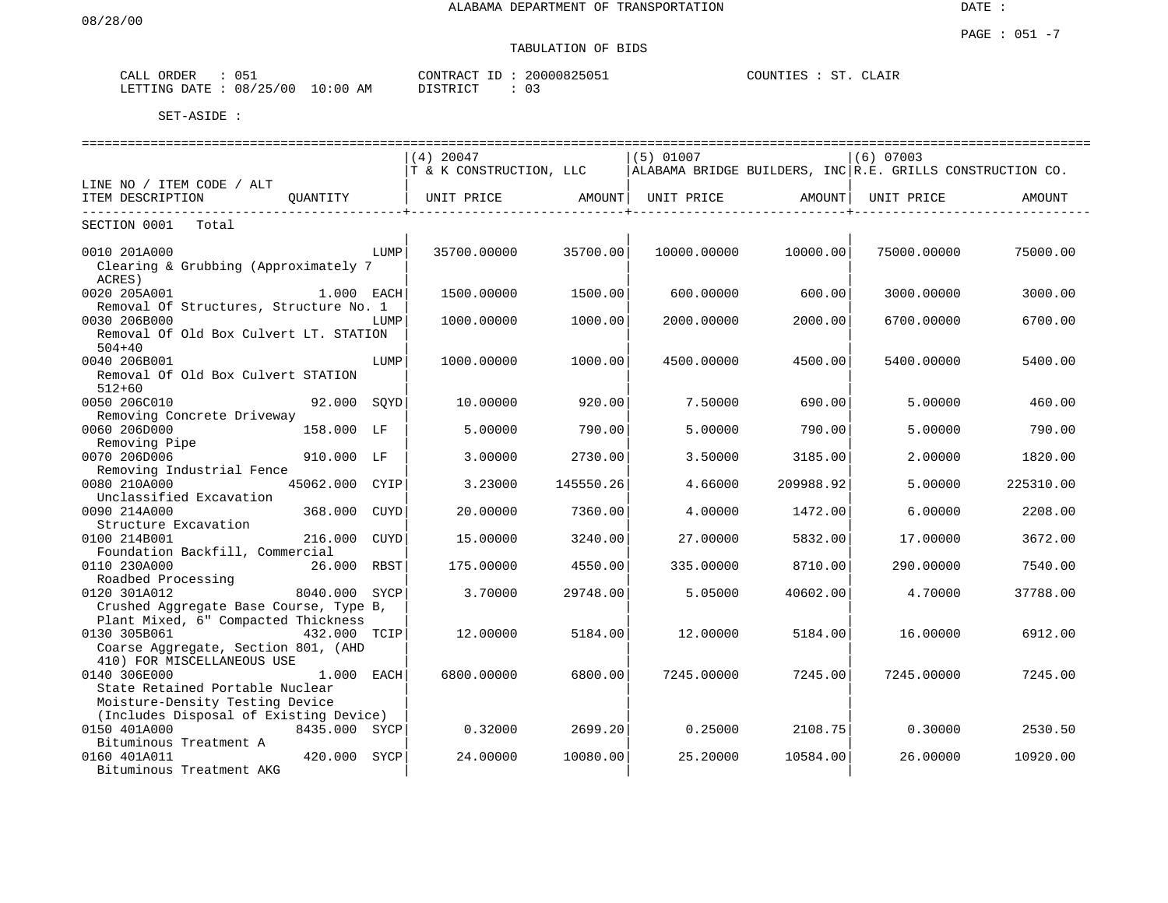# TABULATION OF BIDS

| ORDER<br>CALL      | 051                     | 20000825051<br>CONTRACT<br>רד | 'LAIR<br>רזח־<br>$\sim$<br>$\sim$<br>'IES |
|--------------------|-------------------------|-------------------------------|-------------------------------------------|
| LETTING<br>R ברובת | 10:00<br>08/25/00<br>AΜ | דת לתייף דת<br>$\sim$<br>UB   |                                           |

| ===========================                                    |                |      |                         |           |             |           |                                                           |           |  |  |
|----------------------------------------------------------------|----------------|------|-------------------------|-----------|-------------|-----------|-----------------------------------------------------------|-----------|--|--|
|                                                                |                |      | $(4)$ 20047             |           | $(5)$ 01007 |           | $(6)$ 07003                                               |           |  |  |
|                                                                |                |      | T & K CONSTRUCTION, LLC |           |             |           | ALABAMA BRIDGE BUILDERS, INC R.E. GRILLS CONSTRUCTION CO. |           |  |  |
| LINE NO / ITEM CODE / ALT                                      |                |      |                         |           |             |           |                                                           |           |  |  |
| ITEM DESCRIPTION                                               | OUANTITY       |      | UNIT PRICE              | AMOUNT    | UNIT PRICE  | AMOUNT    | UNIT PRICE                                                | AMOUNT    |  |  |
| SECTION 0001<br>Total                                          |                |      |                         |           |             |           |                                                           |           |  |  |
|                                                                |                |      |                         |           |             |           |                                                           |           |  |  |
| 0010 201A000<br>Clearing & Grubbing (Approximately 7<br>ACRES) |                | LUMP | 35700.00000             | 35700.00  | 10000.00000 | 10000.00  | 75000.00000                                               | 75000.00  |  |  |
| 0020 205A001                                                   | 1.000 EACH     |      | 1500.00000              | 1500.00   | 600.00000   | 600.00    | 3000.00000                                                | 3000.00   |  |  |
| Removal Of Structures, Structure No. 1<br>0030 206B000         |                | LUMP | 1000.00000              | 1000.00   | 2000.00000  | 2000.00   | 6700.00000                                                | 6700.00   |  |  |
| Removal Of Old Box Culvert LT. STATION                         |                |      |                         |           |             |           |                                                           |           |  |  |
| $504 + 40$                                                     |                |      |                         |           |             |           |                                                           |           |  |  |
| 0040 206B001                                                   |                | LUMP | 1000.00000              | 1000.00   | 4500.00000  | 4500.00   | 5400.00000                                                | 5400.00   |  |  |
| Removal Of Old Box Culvert STATION<br>$512 + 60$               |                |      |                         |           |             |           |                                                           |           |  |  |
| 0050 206C010                                                   | 92.000 SOYD    |      | 10.00000                | 920.00    | 7.50000     | 690.001   | 5.00000                                                   | 460.00    |  |  |
| Removing Concrete Driveway                                     |                |      |                         |           |             |           |                                                           |           |  |  |
| 0060 206D000                                                   | 158.000 LF     |      | 5.00000                 | 790.00    | 5.00000     | 790.00    | 5.00000                                                   | 790.00    |  |  |
| Removing Pipe                                                  |                |      |                         |           |             |           |                                                           |           |  |  |
| 0070 206D006                                                   | 910.000 LF     |      | 3.00000                 | 2730.00   | 3.50000     | 3185.00   | 2.00000                                                   | 1820.00   |  |  |
| Removing Industrial Fence                                      |                |      |                         |           |             |           |                                                           |           |  |  |
| 0080 210A000                                                   | 45062.000 CYIP |      | 3.23000                 | 145550.26 | 4.66000     | 209988.92 | 5.00000                                                   | 225310.00 |  |  |
| Unclassified Excavation                                        |                |      |                         |           |             |           |                                                           |           |  |  |
| 0090 214A000                                                   | 368,000        | CUYD | 20,00000                | 7360.00   | 4.00000     | 1472.00   | 6.00000                                                   | 2208.00   |  |  |
| Structure Excavation                                           |                |      |                         |           |             |           |                                                           |           |  |  |
| 0100 214B001                                                   | 216.000        | CUYD | 15,00000                | 3240.00   | 27,00000    | 5832.00   | 17.00000                                                  | 3672.00   |  |  |
| Foundation Backfill, Commercial                                |                |      |                         |           |             |           |                                                           |           |  |  |
| 0110 230A000<br>26.000 RBST                                    |                |      | 175.00000               | 4550.00   | 335.00000   | 8710.00   | 290.00000                                                 | 7540.00   |  |  |
| Roadbed Processing                                             |                |      |                         |           |             |           |                                                           |           |  |  |
| 0120 301A012                                                   | 8040.000       | SYCP | 3.70000                 | 29748.00  | 5.05000     | 40602.00  | 4.70000                                                   | 37788.00  |  |  |
| Crushed Aggregate Base Course, Type B,                         |                |      |                         |           |             |           |                                                           |           |  |  |
| Plant Mixed, 6" Compacted Thickness                            |                |      |                         |           |             |           |                                                           |           |  |  |
| 0130 305B061<br>432.000 TCIP                                   |                |      | 12,00000                | 5184.00   | 12,00000    | 5184.00   | 16.00000                                                  | 6912.00   |  |  |
| Coarse Aggregate, Section 801, (AHD                            |                |      |                         |           |             |           |                                                           |           |  |  |
| 410) FOR MISCELLANEOUS USE<br>0140 306E000                     | 1.000 EACH     |      | 6800.00000              | 6800.00   | 7245.00000  | 7245.00   | 7245.00000                                                | 7245.00   |  |  |
| State Retained Portable Nuclear                                |                |      |                         |           |             |           |                                                           |           |  |  |
| Moisture-Density Testing Device                                |                |      |                         |           |             |           |                                                           |           |  |  |
| (Includes Disposal of Existing Device)                         |                |      |                         |           |             |           |                                                           |           |  |  |
| 0150 401A000                                                   | 8435.000 SYCP  |      | 0.32000                 | 2699.20   | 0.25000     | 2108.75   | 0.30000                                                   | 2530.50   |  |  |
| Bituminous Treatment A                                         |                |      |                         |           |             |           |                                                           |           |  |  |
| 0160 401A011                                                   | 420.000 SYCP   |      | 24.00000                | 10080.00  | 25.20000    | 10584.00  | 26.00000                                                  | 10920.00  |  |  |
| Bituminous Treatment AKG                                       |                |      |                         |           |             |           |                                                           |           |  |  |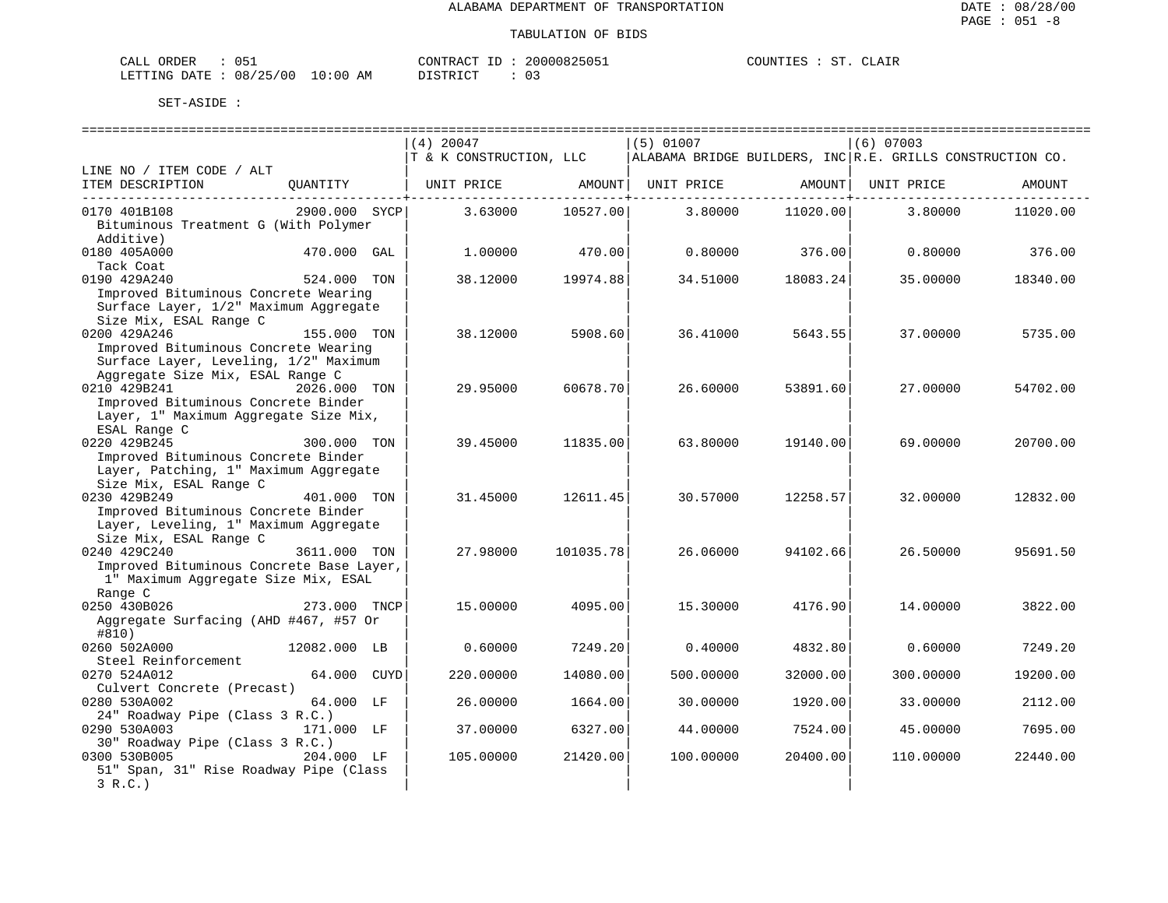| ORDER<br>CALL |          |             | CONTRACT | 20000825051 | COUNTIF <sub>C</sub> |  | CLATR |
|---------------|----------|-------------|----------|-------------|----------------------|--|-------|
| LETTING DATE  | 08/25/00 | 10:00<br>ΆM | DIAMPIAM |             |                      |  |       |

|                                          |               | $(4)$ 20047             |           | $(5)$ 01007 |          | $(6)$ 07003                                               |          |
|------------------------------------------|---------------|-------------------------|-----------|-------------|----------|-----------------------------------------------------------|----------|
|                                          |               | T & K CONSTRUCTION, LLC |           |             |          | ALABAMA BRIDGE BUILDERS, INC R.E. GRILLS CONSTRUCTION CO. |          |
| LINE NO / ITEM CODE / ALT                |               |                         |           |             |          |                                                           |          |
| ITEM DESCRIPTION                         | OUANTITY      | UNIT PRICE              | AMOUNT    | UNIT PRICE  | AMOUNT   | UNIT PRICE                                                | AMOUNT   |
| 0170 401B108                             | 2900.000 SYCP | 3.63000                 | 10527.00  | 3.80000     | 11020.00 | 3.80000                                                   | 11020.00 |
| Bituminous Treatment G (With Polymer     |               |                         |           |             |          |                                                           |          |
| Additive)                                |               |                         |           |             |          |                                                           |          |
| 0180 405A000                             | 470.000 GAL   | 1,00000                 | 470.00    | 0.80000     | 376.00   | 0.80000                                                   | 376.00   |
| Tack Coat                                |               |                         |           |             |          |                                                           |          |
| 0190 429A240                             | 524.000 TON   | 38.12000                | 19974.88  | 34.51000    | 18083.24 | 35.00000                                                  | 18340.00 |
| Improved Bituminous Concrete Wearing     |               |                         |           |             |          |                                                           |          |
| Surface Layer, 1/2" Maximum Aggregate    |               |                         |           |             |          |                                                           |          |
| Size Mix, ESAL Range C                   |               |                         |           |             |          |                                                           |          |
| 0200 429A246                             | 155.000 TON   | 38.12000                | 5908.60   | 36.41000    | 5643.55  | 37.00000                                                  | 5735.00  |
| Improved Bituminous Concrete Wearing     |               |                         |           |             |          |                                                           |          |
| Surface Layer, Leveling, 1/2" Maximum    |               |                         |           |             |          |                                                           |          |
| Aggregate Size Mix, ESAL Range C         |               |                         |           |             |          |                                                           |          |
| 0210 429B241                             | 2026.000 TON  | 29,95000                | 60678.70  | 26.60000    | 53891.60 | 27.00000                                                  | 54702.00 |
| Improved Bituminous Concrete Binder      |               |                         |           |             |          |                                                           |          |
| Layer, 1" Maximum Aggregate Size Mix,    |               |                         |           |             |          |                                                           |          |
| ESAL Range C                             |               |                         |           |             |          |                                                           |          |
| 0220 429B245                             | 300.000 TON   | 39.45000                | 11835.00  | 63.80000    | 19140.00 | 69.00000                                                  | 20700.00 |
| Improved Bituminous Concrete Binder      |               |                         |           |             |          |                                                           |          |
| Layer, Patching, 1" Maximum Aggregate    |               |                         |           |             |          |                                                           |          |
| Size Mix, ESAL Range C                   |               |                         |           |             |          |                                                           |          |
| 0230 429B249                             | 401.000 TON   | 31.45000                | 12611.45  | 30.57000    | 12258.57 | 32.00000                                                  | 12832.00 |
| Improved Bituminous Concrete Binder      |               |                         |           |             |          |                                                           |          |
| Layer, Leveling, 1" Maximum Aggregate    |               |                         |           |             |          |                                                           |          |
| Size Mix, ESAL Range C                   |               |                         |           |             |          |                                                           |          |
| 0240 429C240                             | 3611.000 TON  | 27.98000                | 101035.78 | 26.06000    | 94102.66 | 26.50000                                                  | 95691.50 |
| Improved Bituminous Concrete Base Layer, |               |                         |           |             |          |                                                           |          |
| 1" Maximum Aggregate Size Mix, ESAL      |               |                         |           |             |          |                                                           |          |
| Range C                                  |               |                         |           |             |          |                                                           |          |
| 0250 430B026                             | 273.000 TNCP  | 15.00000                | 4095.00   | 15.30000    | 4176.90  | 14,00000                                                  | 3822.00  |
| Aggregate Surfacing (AHD #467, #57 Or    |               |                         |           |             |          |                                                           |          |
| #810)                                    |               |                         |           |             |          |                                                           |          |
| 0260 502A000                             | 12082.000 LB  | 0.60000                 | 7249.20   | 0.40000     | 4832.80  | 0.60000                                                   | 7249.20  |
| Steel Reinforcement                      |               |                         |           |             |          |                                                           |          |
| 0270 524A012                             | 64.000 CUYD   | 220.00000               | 14080.00  | 500.00000   | 32000.00 | 300.00000                                                 | 19200.00 |
| Culvert Concrete (Precast)               |               |                         |           |             |          |                                                           |          |
| 0280 530A002                             | 64.000 LF     | 26.00000                | 1664.00   | 30.00000    | 1920.00  | 33.00000                                                  | 2112.00  |
| 24" Roadway Pipe (Class 3 R.C.)          |               |                         |           |             |          |                                                           |          |
| 0290 530A003                             | 171.000 LF    | 37.00000                | 6327.00   | 44.00000    | 7524.00  | 45.00000                                                  | 7695.00  |
| 30" Roadway Pipe (Class 3 R.C.)          |               |                         |           |             |          |                                                           |          |
| 0300 530B005                             | 204.000 LF    | 105.00000               | 21420.00  | 100.00000   | 20400.00 | 110.00000                                                 | 22440.00 |
| 51" Span, 31" Rise Roadway Pipe (Class   |               |                         |           |             |          |                                                           |          |
| 3 R.C.                                   |               |                         |           |             |          |                                                           |          |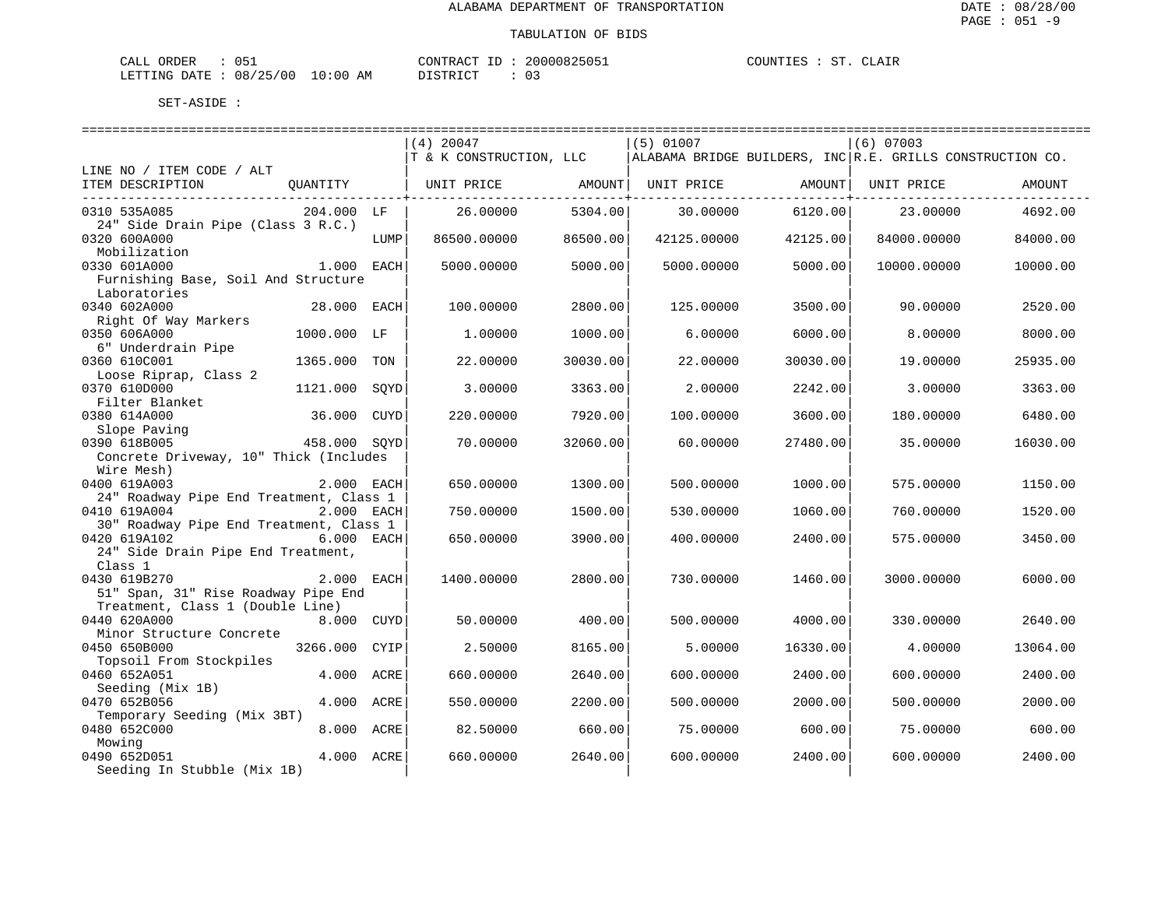| CALL ORDER                       | 051 | CONTRACT ID: | 20000825051 | COUNTIES : ST. CLAIR |  |  |
|----------------------------------|-----|--------------|-------------|----------------------|--|--|
| LETTING DATE : 08/25/00 10:00 AM |     | DISTRICT     |             |                      |  |  |

|                                         |              |             | $(4)$ 20047             |                         | $(5)$ 01007                                               |                                        | $(6)$ 07003 |          |
|-----------------------------------------|--------------|-------------|-------------------------|-------------------------|-----------------------------------------------------------|----------------------------------------|-------------|----------|
|                                         |              |             | T & K CONSTRUCTION, LLC |                         | ALABAMA BRIDGE BUILDERS, INC R.E. GRILLS CONSTRUCTION CO. |                                        |             |          |
| LINE NO / ITEM CODE / ALT               |              |             |                         |                         |                                                           |                                        |             |          |
| ITEM DESCRIPTION                        | QUANTITY     |             | UNIT PRICE              | AMOUNT                  | UNIT PRICE                                                | AMOUNT                                 | UNIT PRICE  | AMOUNT   |
| 0310 535A085                            | 204.000 LF   |             | 26.00000                | ----------+-<br>5304.00 | 30.00000                                                  | . _ _ _ _ _ _ _ _ _ _ _ _ +<br>6120.00 | 23,00000    | 4692.00  |
| 24" Side Drain Pipe (Class 3 R.C.)      |              |             |                         |                         |                                                           |                                        |             |          |
| 0320 600A000                            |              | LUMP        | 86500.00000             | 86500.00                | 42125.00000                                               | 42125.00                               | 84000.00000 | 84000.00 |
| Mobilization                            |              |             |                         |                         |                                                           |                                        |             |          |
| 0330 601A000                            | 1.000 EACH   |             | 5000.00000              | 5000.00                 | 5000.00000                                                | 5000.00                                | 10000.00000 | 10000.00 |
| Furnishing Base, Soil And Structure     |              |             |                         |                         |                                                           |                                        |             |          |
| Laboratories                            |              |             |                         |                         |                                                           |                                        |             |          |
| 0340 602A000                            | 28.000 EACH  |             | 100.00000               | 2800.00                 | 125.00000                                                 | 3500.00                                | 90.00000    | 2520.00  |
| Right Of Way Markers                    |              |             |                         |                         |                                                           |                                        |             |          |
| 0350 606A000                            | 1000.000 LF  |             | 1,00000                 | 1000.00                 | 6.00000                                                   | 6000.00                                | 8.00000     | 8000.00  |
| 6" Underdrain Pipe                      |              |             |                         |                         |                                                           |                                        |             |          |
| 0360 610C001                            | 1365.000     | TON         | 22.00000                | 30030.00                | 22.00000                                                  | 30030.00                               | 19.00000    | 25935.00 |
| Loose Riprap, Class 2                   |              |             |                         |                         |                                                           |                                        |             |          |
| 0370 610D000                            | 1121.000     | SQYD        | 3.00000                 | 3363.00                 | 2.00000                                                   | 2242.00                                | 3.00000     | 3363.00  |
| Filter Blanket                          |              |             |                         |                         |                                                           |                                        |             |          |
| 0380 614A000                            | 36.000       | <b>CUYD</b> | 220.00000               | 7920.00                 | 100.00000                                                 | 3600.00                                | 180.00000   | 6480.00  |
| Slope Paving                            |              |             |                         |                         |                                                           |                                        |             |          |
| 0390 618B005                            | 458.000 SQYD |             | 70.00000                | 32060.00                | 60.00000                                                  | 27480.00                               | 35.00000    | 16030.00 |
| Concrete Driveway, 10" Thick (Includes  |              |             |                         |                         |                                                           |                                        |             |          |
| Wire Mesh)                              |              |             |                         |                         |                                                           |                                        |             |          |
| 0400 619A003                            | 2.000 EACH   |             | 650.00000               | 1300.00                 | 500.00000                                                 | 1000.00                                | 575.00000   | 1150.00  |
| 24" Roadway Pipe End Treatment, Class 1 |              |             |                         |                         |                                                           |                                        |             |          |
| 0410 619A004                            | 2.000 EACH   |             | 750.00000               | 1500.00                 | 530.00000                                                 | 1060.00                                | 760.00000   | 1520.00  |
| 30" Roadway Pipe End Treatment, Class 1 |              |             |                         |                         |                                                           |                                        |             |          |
| 0420 619A102                            | 6.000 EACH   |             | 650.00000               | 3900.00                 | 400.00000                                                 | 2400.00                                | 575.00000   | 3450.00  |
| 24" Side Drain Pipe End Treatment,      |              |             |                         |                         |                                                           |                                        |             |          |
| Class 1                                 |              |             |                         |                         |                                                           |                                        |             |          |
|                                         |              |             |                         |                         |                                                           |                                        |             |          |
| 0430 619B270                            | 2.000 EACH   |             | 1400.00000              | 2800.00                 | 730.00000                                                 | 1460.00                                | 3000.00000  | 6000.00  |
| 51" Span, 31" Rise Roadway Pipe End     |              |             |                         |                         |                                                           |                                        |             |          |
| Treatment, Class 1 (Double Line)        |              |             |                         |                         |                                                           |                                        |             |          |
| 0440 620A000                            | 8.000 CUYD   |             | 50.00000                | 400.00                  | 500.00000                                                 | 4000.00                                | 330.00000   | 2640.00  |
| Minor Structure Concrete                |              |             |                         |                         |                                                           |                                        |             |          |
| 0450 650B000                            | 3266.000     | CYIP        | 2.50000                 | 8165.00                 | 5.00000                                                   | 16330.00                               | 4.00000     | 13064.00 |
| Topsoil From Stockpiles                 |              |             |                         |                         |                                                           |                                        |             |          |
| 0460 652A051                            | 4.000 ACRE   |             | 660.00000               | 2640.00                 | 600.00000                                                 | 2400.00                                | 600.00000   | 2400.00  |
| Seeding (Mix 1B)                        |              |             |                         |                         |                                                           |                                        |             |          |
| 0470 652B056                            | 4.000 ACRE   |             | 550.00000               | 2200.00                 | 500.00000                                                 | 2000.00                                | 500.00000   | 2000.00  |
| Temporary Seeding (Mix 3BT)             |              |             |                         |                         |                                                           |                                        |             |          |
| 0480 652C000<br>8.000 ACRE              |              |             | 82.50000                | 660.00                  | 75.00000                                                  | 600.00                                 | 75.00000    | 600.00   |
| Mowing                                  |              |             |                         |                         |                                                           |                                        |             |          |
| 0490 652D051                            | 4.000 ACRE   |             | 660.00000               | 2640.00                 | 600.00000                                                 | 2400.00                                | 600.00000   | 2400.00  |
| Seeding In Stubble (Mix 1B)             |              |             |                         |                         |                                                           |                                        |             |          |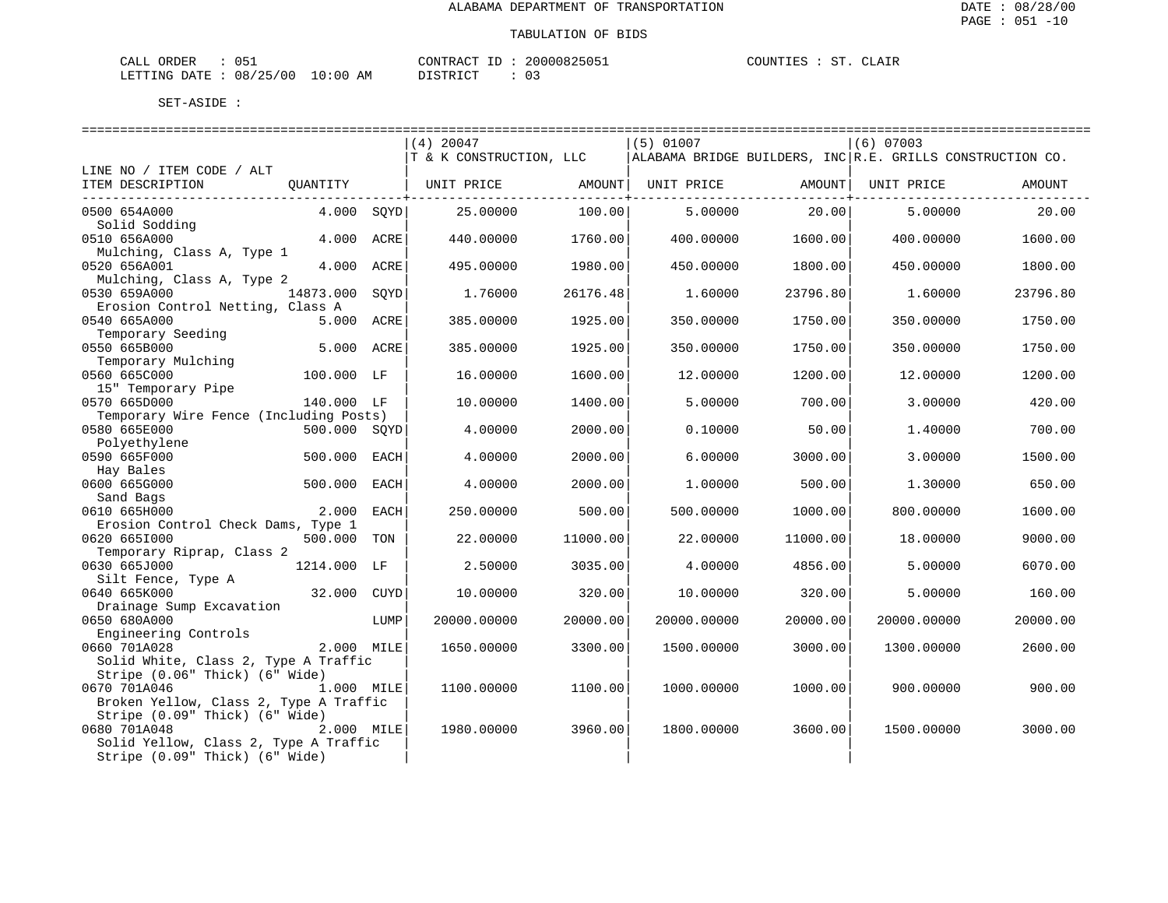| <b>ORDER</b><br>CALL |          |                    | CONTRACT<br>ΙD.              | 20000825051 | COUNTIES | cт | CLAIR |
|----------------------|----------|--------------------|------------------------------|-------------|----------|----|-------|
| LETTING DATE :       | 08/25/00 | 10:00<br>AM<br>___ | <b>חים דמיים ד</b> מ<br>レエヘエ |             |          |    |       |

|                                           |              |      | $(4)$ 20047             |          | $(5)$ 01007 |          | $(6)$ 07003                                                  |          |
|-------------------------------------------|--------------|------|-------------------------|----------|-------------|----------|--------------------------------------------------------------|----------|
|                                           |              |      | T & K CONSTRUCTION, LLC |          |             |          | ALABAMA BRIDGE BUILDERS, INC $ R.E.$ GRILLS CONSTRUCTION CO. |          |
| LINE NO / ITEM CODE / ALT                 |              |      |                         |          |             |          |                                                              |          |
| ITEM DESCRIPTION                          | QUANTITY     |      | UNIT PRICE              | AMOUNT   | UNIT PRICE  | AMOUNT   | UNIT PRICE                                                   | AMOUNT   |
| 0500 654A000                              | 4.000 SOYD   |      | 25,00000                | 100.00   | 5.00000     | 20.00    | 5.00000                                                      | 20.00    |
| Solid Sodding                             |              |      |                         |          |             |          |                                                              |          |
| 0510 656A000                              | 4.000 ACRE   |      | 440.00000               | 1760.00  | 400.00000   | 1600.00  | 400.00000                                                    | 1600.00  |
| Mulching, Class A, Type 1                 |              |      |                         |          |             |          |                                                              |          |
| 0520 656A001                              | 4.000 ACRE   |      | 495.00000               | 1980.00  | 450.00000   | 1800.00  | 450.00000                                                    | 1800.00  |
| Mulching, Class A, Type 2<br>0530 659A000 | 14873.000    | SOYD | 1.76000                 | 26176.48 | 1.60000     | 23796.80 | 1,60000                                                      | 23796.80 |
| Erosion Control Netting, Class A          |              |      |                         |          |             |          |                                                              |          |
| 0540 665A000                              | 5.000 ACRE   |      | 385.00000               | 1925.00  | 350.00000   | 1750.00  | 350.00000                                                    | 1750.00  |
| Temporary Seeding                         |              |      |                         |          |             |          |                                                              |          |
| 0550 665B000                              | 5.000 ACRE   |      | 385.00000               | 1925.00  | 350.00000   | 1750.00  | 350.00000                                                    | 1750.00  |
| Temporary Mulching                        |              |      |                         |          |             |          |                                                              |          |
| 0560 665C000                              | 100.000 LF   |      | 16.00000                | 1600.00  | 12.00000    | 1200.00  | 12.00000                                                     | 1200.00  |
| 15" Temporary Pipe                        |              |      |                         |          |             |          |                                                              |          |
| 0570 665D000                              | 140.000 LF   |      | 10.00000                | 1400.00  | 5.00000     | 700.00   | 3,00000                                                      | 420.00   |
| Temporary Wire Fence (Including Posts)    |              |      |                         |          |             |          |                                                              |          |
| 0580 665E000                              | 500.000 SQYD |      | 4.00000                 | 2000.00  | 0.10000     | 50.00    | 1.40000                                                      | 700.00   |
| Polyethylene<br>0590 665F000              | 500.000 EACH |      | 4.00000                 | 2000.00  | 6.00000     | 3000.00  | 3,00000                                                      | 1500.00  |
| Hay Bales                                 |              |      |                         |          |             |          |                                                              |          |
| 0600 665G000                              | 500.000 EACH |      | 4.00000                 | 2000.00  | 1.00000     | 500.00   | 1.30000                                                      | 650.00   |
| Sand Bags                                 |              |      |                         |          |             |          |                                                              |          |
| 0610 665H000                              | 2.000        | EACH | 250.00000               | 500.00   | 500.00000   | 1000.00  | 800,00000                                                    | 1600.00  |
| Erosion Control Check Dams, Type 1        |              |      |                         |          |             |          |                                                              |          |
| 0620 6651000                              | 500.000      | TON  | 22.00000                | 11000.00 | 22.00000    | 11000.00 | 18.00000                                                     | 9000.00  |
| Temporary Riprap, Class 2                 |              |      |                         |          |             |          |                                                              |          |
| 0630 665J000                              | 1214.000 LF  |      | 2.50000                 | 3035.00  | 4.00000     | 4856.00  | 5.00000                                                      | 6070.00  |
| Silt Fence, Type A                        |              |      |                         |          |             |          |                                                              |          |
| 0640 665K000                              | 32.000 CUYD  |      | 10.00000                | 320.00   | 10.00000    | 320.00   | 5,00000                                                      | 160.00   |
| Drainage Sump Excavation<br>0650 680A000  |              |      |                         |          |             | 20000.00 | 20000.00000                                                  |          |
| Engineering Controls                      |              | LUMP | 20000.00000             | 20000.00 | 20000.00000 |          |                                                              | 20000.00 |
| 0660 701A028                              | 2.000 MILE   |      | 1650.00000              | 3300.00  | 1500.00000  | 3000.00  | 1300.00000                                                   | 2600.00  |
| Solid White, Class 2, Type A Traffic      |              |      |                         |          |             |          |                                                              |          |
| Stripe (0.06" Thick) (6" Wide)            |              |      |                         |          |             |          |                                                              |          |
| 0670 701A046<br>1.000 MILE                |              |      | 1100.00000              | 1100.00  | 1000.00000  | 1000.00  | 900.00000                                                    | 900.00   |
| Broken Yellow, Class 2, Type A Traffic    |              |      |                         |          |             |          |                                                              |          |
| Stripe (0.09" Thick) (6" Wide)            |              |      |                         |          |             |          |                                                              |          |
| 0680 701A048                              | 2.000 MILE   |      | 1980.00000              | 3960.00  | 1800.00000  | 3600.00  | 1500.00000                                                   | 3000.00  |
| Solid Yellow, Class 2, Type A Traffic     |              |      |                         |          |             |          |                                                              |          |
| Stripe (0.09" Thick) (6" Wide)            |              |      |                         |          |             |          |                                                              |          |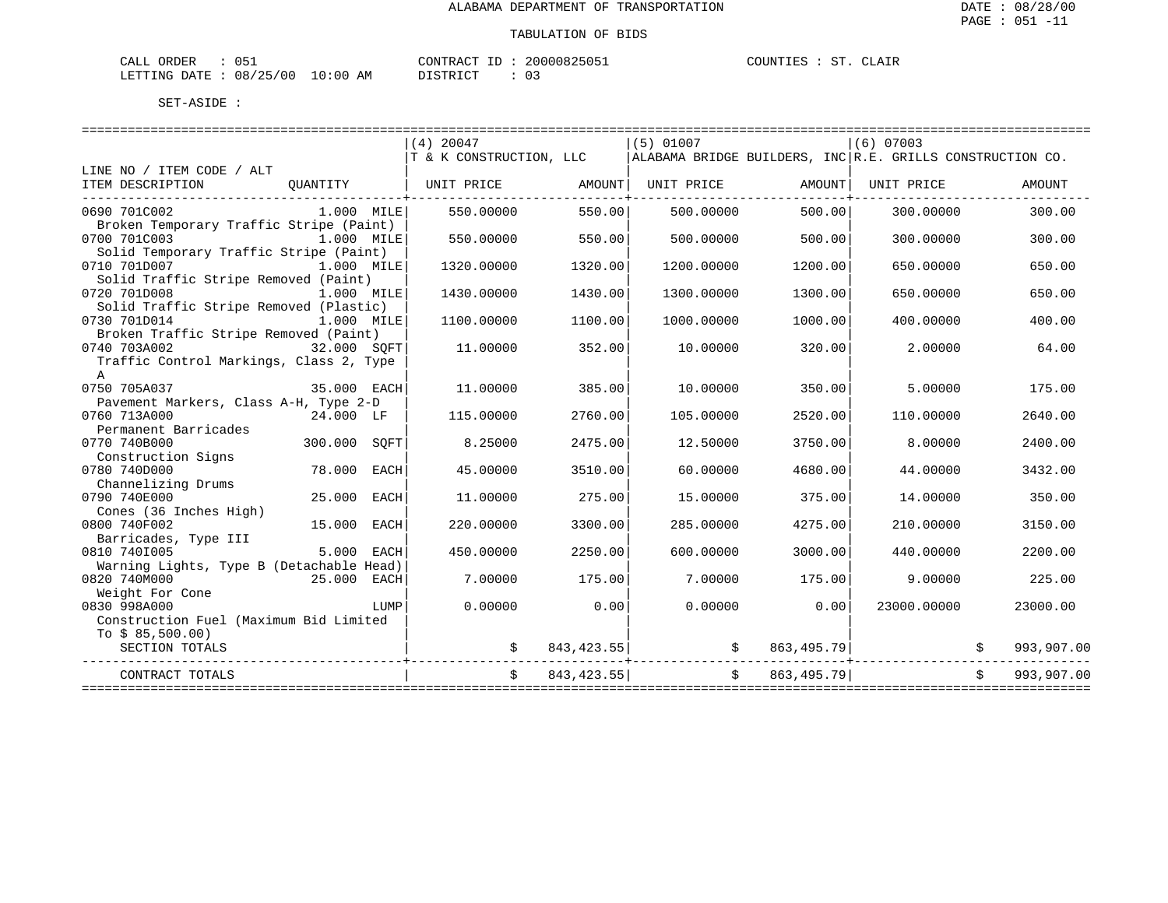| 051<br>ORDER<br>CALL            | 20000825051<br>CONTRACT ID | CLAIR<br>COUNTIES<br>ST. |
|---------------------------------|----------------------------|--------------------------|
| LETTING DATE: 08/25/00 10:00 AM | DISTRICT                   |                          |

|                                          |              |      | $(4)$ 20047<br>T & K CONSTRUCTION, LLC |            | $(5)$ 01007                                    |              | $(6)$ 07003<br>ALABAMA BRIDGE BUILDERS, INC R.E. GRILLS CONSTRUCTION CO. |            |
|------------------------------------------|--------------|------|----------------------------------------|------------|------------------------------------------------|--------------|--------------------------------------------------------------------------|------------|
| LINE NO / ITEM CODE / ALT                |              |      |                                        |            |                                                |              |                                                                          |            |
| ITEM DESCRIPTION                         | OUANTITY     |      | UNIT PRICE AMOUNT UNIT PRICE           |            |                                                | AMOUNT       | UNIT PRICE                                                               | AMOUNT     |
|                                          |              |      |                                        |            |                                                |              |                                                                          |            |
| 0690 701C002                             | $1.000$ MILE |      | 550.00000                              | 550.00     | 500.00000                                      | 500.00       | 300,00000                                                                | 300.00     |
| Broken Temporary Traffic Stripe (Paint)  |              |      |                                        |            |                                                |              |                                                                          |            |
| 0700 701C003                             | 1.000 MILE   |      | 550.00000                              | 550.00     | 500,00000                                      | 500.00       | 300.00000                                                                | 300.00     |
| Solid Temporary Traffic Stripe (Paint)   |              |      |                                        |            |                                                |              |                                                                          |            |
| 0710 701D007<br>1.000 MILE               |              |      | 1320.00000                             | 1320.00    | 1200.00000                                     | 1200.00      | 650.00000                                                                | 650.00     |
| Solid Traffic Stripe Removed (Paint)     |              |      |                                        |            |                                                |              |                                                                          |            |
| 0720 701D008                             | 1.000 MILE   |      | 1430.00000                             | 1430.00    | 1300.00000                                     | 1300.00      | 650.00000                                                                | 650.00     |
| Solid Traffic Stripe Removed (Plastic)   |              |      |                                        |            |                                                |              |                                                                          |            |
| 0730 701D014                             | $1.000$ MILE |      | 1100.00000                             | 1100.00    | 1000.00000                                     | 1000.00      | 400,00000                                                                | 400.00     |
| Broken Traffic Stripe Removed (Paint)    |              |      |                                        |            |                                                |              |                                                                          |            |
| 0740 703A002                             | 32.000 SOFT  |      | 11.00000                               | 352.00     | 10.00000                                       | 320.00       | 2.00000                                                                  | 64.00      |
| Traffic Control Markings, Class 2, Type  |              |      |                                        |            |                                                |              |                                                                          |            |
| $\mathbf{A}$                             |              |      |                                        |            |                                                |              |                                                                          |            |
| 35.000 EACH<br>0750 705A037              |              |      | 11,00000                               | 385.00     | 10.00000                                       | 350.00       | 5.00000                                                                  | 175.00     |
| Pavement Markers, Class A-H, Type 2-D    |              |      |                                        |            |                                                |              |                                                                          |            |
| 0760 713A000                             | 24.000 LF    |      | 115.00000                              | 2760.00    | 105.00000                                      | 2520.00      | 110.00000                                                                | 2640.00    |
| Permanent Barricades                     |              |      |                                        |            |                                                |              |                                                                          |            |
| 0770 740B000                             | 300.000 SOFT |      | 8.25000                                | 2475.00    | 12.50000                                       | 3750.00      | 8.00000                                                                  | 2400.00    |
| Construction Signs                       |              |      |                                        |            |                                                |              |                                                                          |            |
| 0780 740D000                             | 78.000       | EACH | 45.00000                               | 3510.00    | 60.00000                                       | 4680.00      | 44.00000                                                                 | 3432.00    |
| Channelizing Drums                       |              |      |                                        |            |                                                |              |                                                                          |            |
| 0790 740E000                             | 25.000 EACH  |      | 11,00000                               | 275.00     | 15,00000                                       | 375.00       | 14,00000                                                                 | 350.00     |
| Cones (36 Inches High)                   |              |      |                                        |            |                                                |              |                                                                          |            |
| 0800 740F002                             | 15.000 EACH  |      | 220.00000                              | 3300.00    | 285,00000                                      | 4275.00      | 210,00000                                                                | 3150.00    |
| Barricades, Type III                     |              |      |                                        |            |                                                |              |                                                                          |            |
| 0810 7401005                             | 5.000 EACH   |      | 450.00000                              | 2250.00    | 600,00000                                      | 3000.00      | 440.00000                                                                | 2200.00    |
| Warning Lights, Type B (Detachable Head) |              |      |                                        |            |                                                |              |                                                                          |            |
| 0820 740M000                             | 25.000 EACH  |      | 7.00000                                | 175.00     | 7.00000                                        | 175.00       | 9.00000                                                                  | 225.00     |
| Weight For Cone                          |              |      |                                        |            |                                                |              |                                                                          |            |
| 0830 998A000                             |              | LUMP | 0.00000                                | 0.00       | 0.00000                                        | 0.00         | 23000.00000                                                              | 23000.00   |
| Construction Fuel (Maximum Bid Limited   |              |      |                                        |            |                                                |              |                                                                          |            |
| To $$85,500.00$                          |              |      |                                        |            |                                                |              |                                                                          |            |
| SECTION TOTALS                           |              |      |                                        |            | $843, 423.55$ $\uparrow$ $\uparrow$ 863,495.79 |              |                                                                          | 993,907.00 |
| CONTRACT TOTALS                          |              |      |                                        | 843,423.55 |                                                | 863, 495. 79 |                                                                          | 993,907.00 |
|                                          |              |      |                                        |            |                                                |              |                                                                          |            |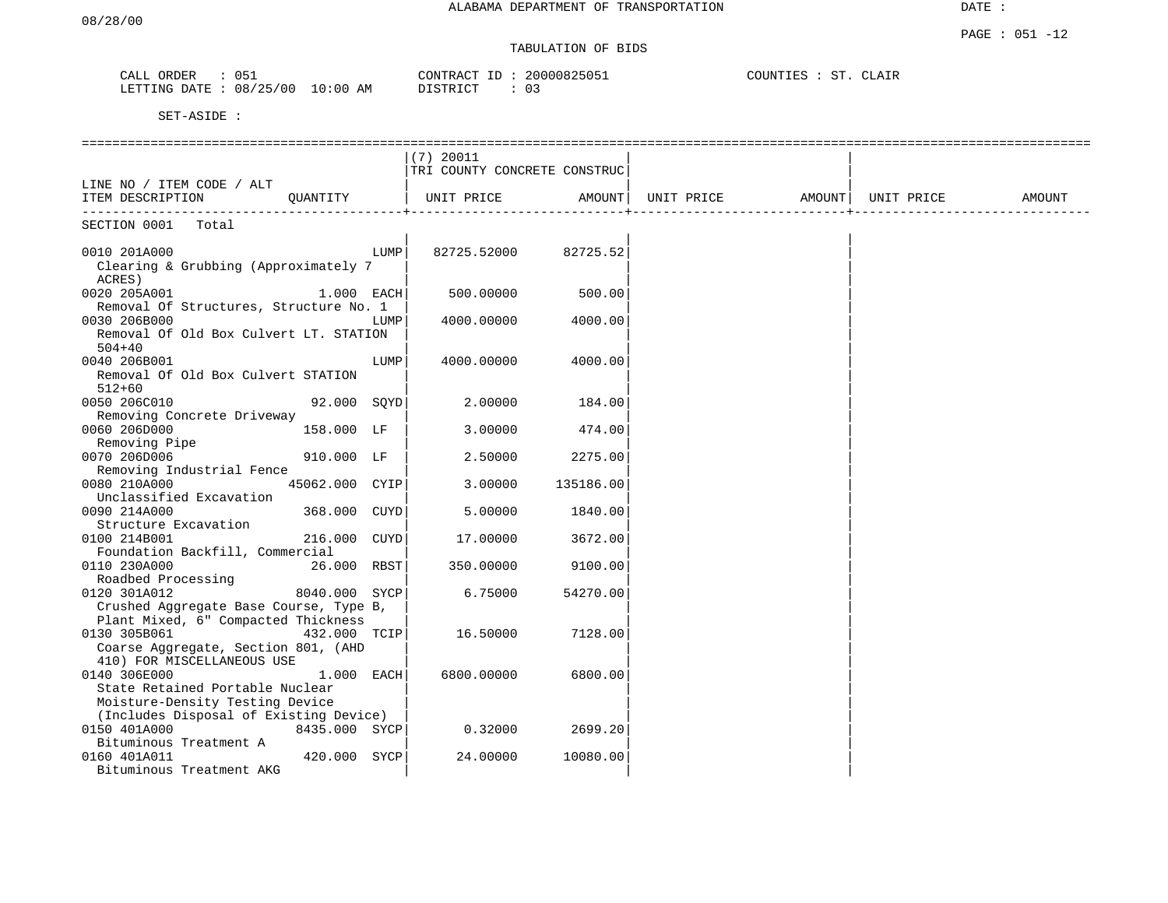DATE :

## TABULATION OF BIDS

| ORDER<br>CALL  | 05⊥      |            | CONTRACT ID: | 20000825051             | COUNTIES | SТ | CTJATR<br>_______ |
|----------------|----------|------------|--------------|-------------------------|----------|----|-------------------|
| LETTING DATE : | 08/25/00 | $10:00$ AM | DISTRICT     | $\cap$ $\cap$<br>- U -- |          |    |                   |

|                                                                | $(7)$ 20011                  |           |                      |                      |  |
|----------------------------------------------------------------|------------------------------|-----------|----------------------|----------------------|--|
|                                                                |                              |           |                      |                      |  |
|                                                                | TRI COUNTY CONCRETE CONSTRUC |           |                      |                      |  |
| LINE NO / ITEM CODE / ALT                                      |                              |           |                      |                      |  |
| ITEM DESCRIPTION<br>OUANTITY                                   | UNIT PRICE                   | AMOUNT    | UNIT PRICE<br>AMOUNT | UNIT PRICE<br>AMOUNT |  |
| SECTION 0001<br>Total                                          |                              |           |                      |                      |  |
|                                                                |                              |           |                      |                      |  |
| 0010 201A000<br>LUMP                                           | 82725.52000                  | 82725.52  |                      |                      |  |
| Clearing & Grubbing (Approximately 7                           |                              |           |                      |                      |  |
| ACRES)                                                         |                              |           |                      |                      |  |
| 0020 205A001<br>1.000 EACH                                     | 500.00000                    | 500.00    |                      |                      |  |
| Removal Of Structures, Structure No. 1                         |                              |           |                      |                      |  |
| 0030 206B000<br>LUMP                                           | 4000.00000                   | 4000.00   |                      |                      |  |
| Removal Of Old Box Culvert LT. STATION                         |                              |           |                      |                      |  |
| $504 + 40$                                                     |                              |           |                      |                      |  |
| 0040 206B001<br>LUMP                                           | 4000.00000                   | 4000.00   |                      |                      |  |
| Removal Of Old Box Culvert STATION                             |                              |           |                      |                      |  |
| $512 + 60$                                                     |                              |           |                      |                      |  |
| 0050 206C010<br>92.000<br>SQYD                                 | 2.00000                      | 184.00    |                      |                      |  |
| Removing Concrete Driveway                                     |                              |           |                      |                      |  |
| 0060 206D000<br>158.000 LF                                     | 3.00000                      | 474.00    |                      |                      |  |
| Removing Pipe                                                  |                              |           |                      |                      |  |
| 0070 206D006<br>910.000 LF                                     | 2.50000                      | 2275.00   |                      |                      |  |
| Removing Industrial Fence                                      |                              |           |                      |                      |  |
| 0080 210A000<br>45062.000 CYIP                                 | 3.00000                      | 135186.00 |                      |                      |  |
| Unclassified Excavation                                        |                              |           |                      |                      |  |
| 0090 214A000<br>368.000<br>CUYD                                | 5.00000                      | 1840.00   |                      |                      |  |
| Structure Excavation                                           |                              |           |                      |                      |  |
| 0100 214B001<br>216.000<br>CUYD                                | 17.00000                     | 3672.00   |                      |                      |  |
|                                                                |                              |           |                      |                      |  |
| Foundation Backfill, Commercial<br>0110 230A000<br>26.000 RBST | 350.00000                    | 9100.00   |                      |                      |  |
| Roadbed Processing                                             |                              |           |                      |                      |  |
|                                                                |                              |           |                      |                      |  |
| 0120 301A012<br>8040.000 SYCP                                  | 6.75000                      | 54270.00  |                      |                      |  |
| Crushed Aggregate Base Course, Type B,                         |                              |           |                      |                      |  |
| Plant Mixed, 6" Compacted Thickness                            |                              |           |                      |                      |  |
| 0130 305B061<br>432.000 TCIP                                   | 16.50000                     | 7128.00   |                      |                      |  |
| Coarse Aggregate, Section 801, (AHD                            |                              |           |                      |                      |  |
| 410) FOR MISCELLANEOUS USE                                     |                              |           |                      |                      |  |
| 0140 306E000<br>1.000 EACH                                     | 6800.00000                   | 6800.00   |                      |                      |  |
| State Retained Portable Nuclear                                |                              |           |                      |                      |  |
| Moisture-Density Testing Device                                |                              |           |                      |                      |  |
| (Includes Disposal of Existing Device)                         |                              |           |                      |                      |  |
| 0150 401A000<br>8435.000 SYCP                                  | 0.32000                      | 2699.20   |                      |                      |  |
| Bituminous Treatment A                                         |                              |           |                      |                      |  |
| 0160 401A011<br>420.000<br>SYCP                                | 24.00000                     | 10080.00  |                      |                      |  |
| Bituminous Treatment AKG                                       |                              |           |                      |                      |  |
|                                                                |                              |           |                      |                      |  |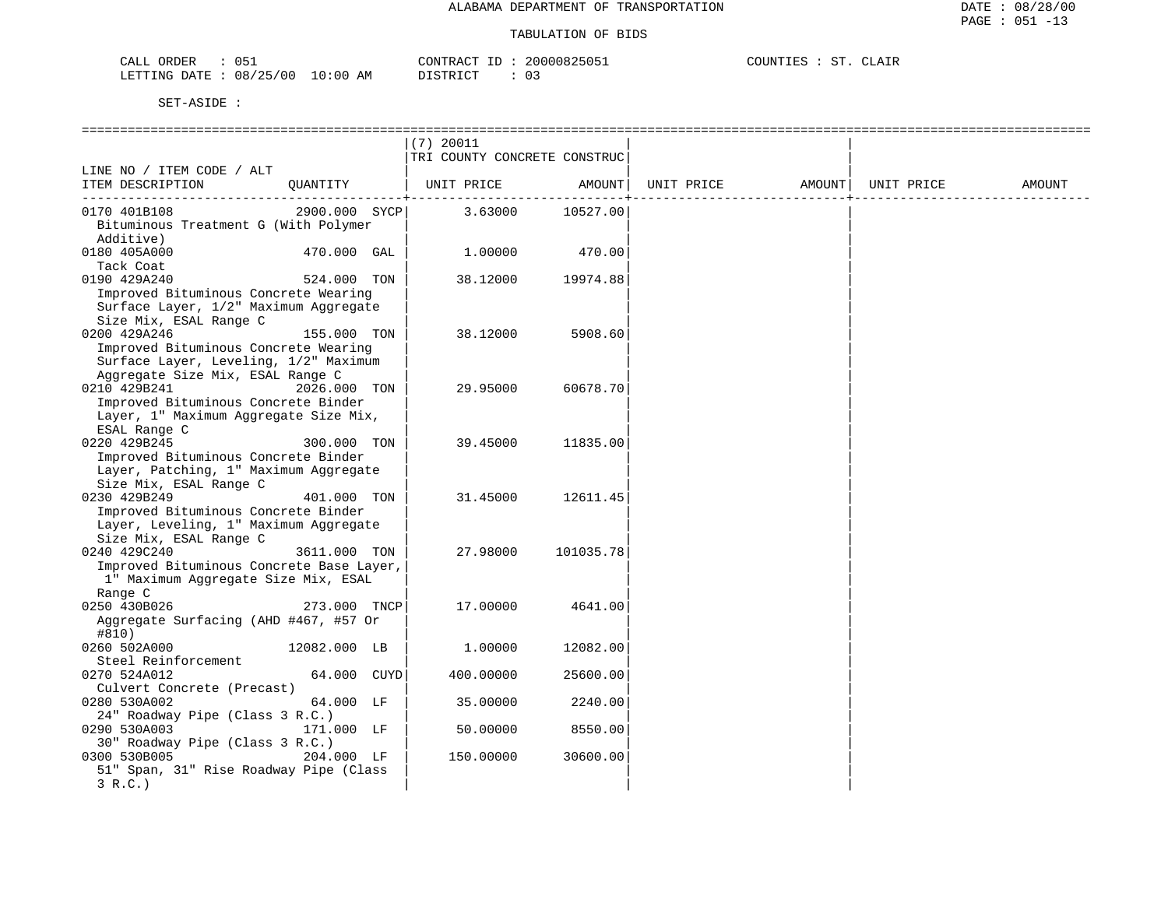| ORDER<br>CALL ( |                   | CONTRACT<br>ID | 20000825051 | COUNTIES<br>CLAIR<br>SТ |
|-----------------|-------------------|----------------|-------------|-------------------------|
| LETTING DATE :  | 08/25/00 10:00 AM | DISTRICT<br>.  |             |                         |

|                                                                                                                                  |               | $(7)$ 20011<br>TRI COUNTY CONCRETE CONSTRUC |           |  |                     |        |
|----------------------------------------------------------------------------------------------------------------------------------|---------------|---------------------------------------------|-----------|--|---------------------|--------|
| LINE NO / ITEM CODE / ALT                                                                                                        |               |                                             |           |  |                     |        |
| ITEM DESCRIPTION                                                                                                                 | OUANTITY      | UNIT PRICE AMOUNT  UNIT PRICE               |           |  | AMOUNT   UNIT PRICE | AMOUNT |
| 0170 401B108<br>Bituminous Treatment G (With Polymer<br>Additive)                                                                |               | 2900.000 SYCP 3.63000 10527.00              |           |  |                     |        |
| 0180 405A000<br>Tack Coat                                                                                                        | $470.000$ GAL | 1.00000                                     | 470.00    |  |                     |        |
| 0190 429A240<br>Improved Bituminous Concrete Wearing<br>Surface Layer, 1/2" Maximum Aggregate<br>Size Mix, ESAL Range C          | 524.000 TON   | 38.12000                                    | 19974.88  |  |                     |        |
| 0200 429A246<br>Improved Bituminous Concrete Wearing<br>Surface Layer, Leveling, 1/2" Maximum                                    | 155.000 TON   | 38.12000                                    | 5908.60   |  |                     |        |
| Aggregate Size Mix, ESAL Range C<br>0210 429B241<br>Improved Bituminous Concrete Binder<br>Layer, 1" Maximum Aggregate Size Mix, | 2026.000 TON  | 29.95000                                    | 60678.70  |  |                     |        |
| ESAL Range C<br>0220 429B245<br>Improved Bituminous Concrete Binder<br>Layer, Patching, 1" Maximum Aggregate                     | 300.000 TON   | 39.45000                                    | 11835.00  |  |                     |        |
| Size Mix, ESAL Range C<br>0230 429B249<br>Improved Bituminous Concrete Binder<br>Layer, Leveling, 1" Maximum Aggregate           | 401.000 TON   | 31.45000                                    | 12611.45  |  |                     |        |
| Size Mix, ESAL Range C<br>0240 429C240<br>Improved Bituminous Concrete Base Layer,<br>1" Maximum Aggregate Size Mix, ESAL        | 3611.000 TON  | 27.98000                                    | 101035.78 |  |                     |        |
| Range C<br>0250 430B026<br>Aggregate Surfacing (AHD #467, #57 Or<br>#810)                                                        | 273.000 TNCP  | 17.00000                                    | 4641.00   |  |                     |        |
| 0260 502A000<br>Steel Reinforcement                                                                                              | 12082.000 LB  | 1.00000                                     | 12082.00  |  |                     |        |
| 0270 524A012                                                                                                                     | 64.000 CUYD   | 400.00000                                   | 25600.00  |  |                     |        |
| Culvert Concrete (Precast)<br>0280 530A002<br>24" Roadway Pipe (Class 3 R.C.)                                                    | 64.000 LF     | 35.00000                                    | 2240.00   |  |                     |        |
| 0290 530A003                                                                                                                     | 171.000 LF    | 50.00000                                    | 8550.00   |  |                     |        |
| 30" Roadway Pipe (Class 3 R.C.)<br>0300 530B005 204.000 LF<br>51" Span, 31" Rise Roadway Pipe (Class<br>3 R.C.                   |               | 150.00000                                   | 30600.00  |  |                     |        |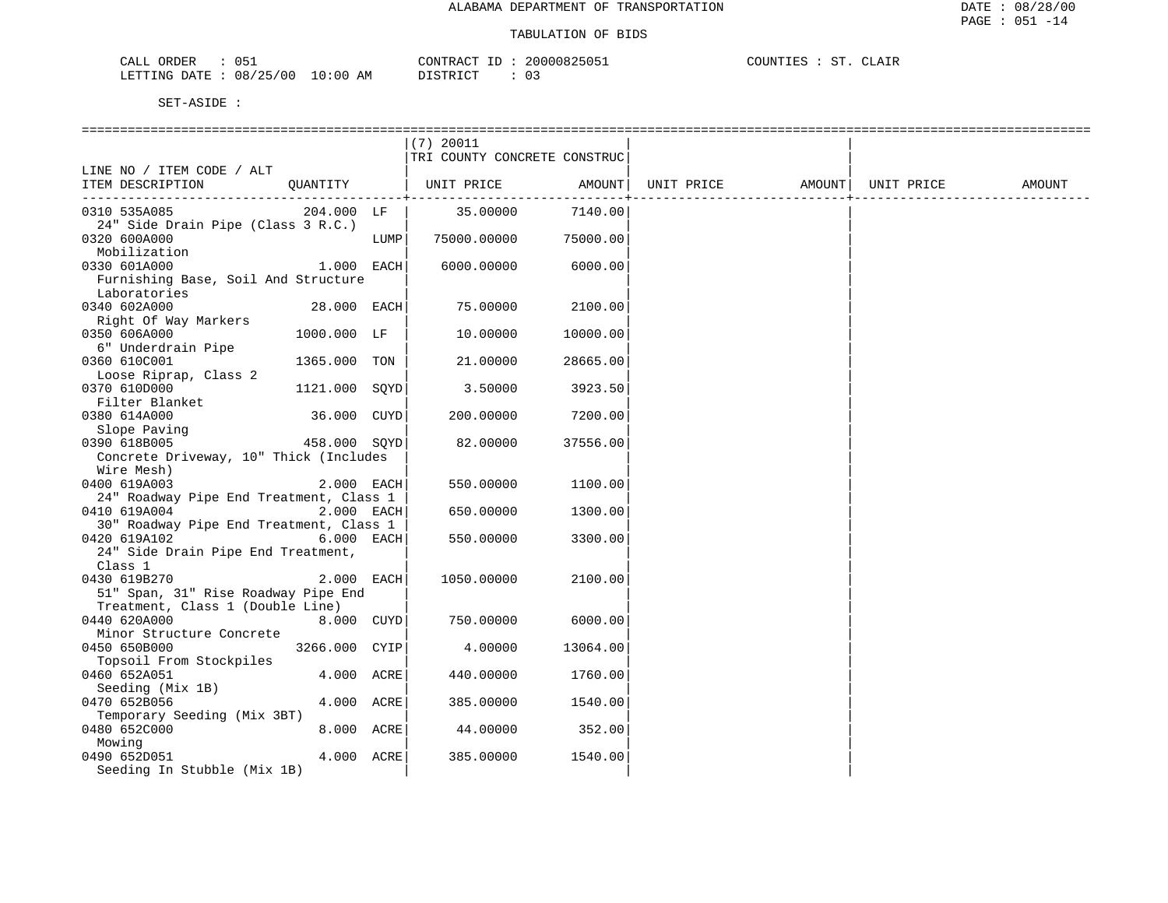| CALL (<br>ORDER                  | CONTRACT<br>ID | 20000825051 | COUNTIES<br>ST<br>CLAIR |
|----------------------------------|----------------|-------------|-------------------------|
| LETTING DATE : 08/25/00 10:00 AM | DISTRICT       |             |                         |

|                                         |               |      | $(7)$ 20011                  |          |                   |            |        |
|-----------------------------------------|---------------|------|------------------------------|----------|-------------------|------------|--------|
|                                         |               |      | TRI COUNTY CONCRETE CONSTRUC |          |                   |            |        |
| LINE NO / ITEM CODE / ALT               |               |      |                              |          |                   |            |        |
| ITEM DESCRIPTION                        |               |      | QUANTITY   UNIT PRICE        | AMOUNT   | UNIT PRICE AMOUNT | UNIT PRICE | AMOUNT |
|                                         |               |      |                              |          |                   |            |        |
| 0310 535A085                            | 204.000 LF    |      | 35.00000                     | 7140.00  |                   |            |        |
| 24" Side Drain Pipe (Class 3 R.C.)      |               |      |                              |          |                   |            |        |
| 0320 600A000                            |               | LUMP | 75000.00000                  | 75000.00 |                   |            |        |
| Mobilization                            |               |      |                              |          |                   |            |        |
| 0330 601A000                            | 1.000 EACH    |      | 6000.00000                   | 6000.00  |                   |            |        |
| Furnishing Base, Soil And Structure     |               |      |                              |          |                   |            |        |
| Laboratories<br>0340 602A000            |               |      |                              |          |                   |            |        |
|                                         | $28.000$ EACH |      | 75.00000                     | 2100.00  |                   |            |        |
| Right Of Way Markers<br>0350 606A000    | 1000.000 LF   |      | 10.00000                     | 10000.00 |                   |            |        |
| 6" Underdrain Pipe                      |               |      |                              |          |                   |            |        |
| 0360 610C001                            | 1365.000 TON  |      | 21.00000                     | 28665.00 |                   |            |        |
| Loose Riprap, Class 2                   |               |      |                              |          |                   |            |        |
| 0370 610D000                            | 1121.000 SQYD |      | 3.50000                      | 3923.50  |                   |            |        |
| Filter Blanket                          |               |      |                              |          |                   |            |        |
| 0380 614A000                            | 36.000 CUYD   |      | 200.00000                    | 7200.00  |                   |            |        |
| Slope Paving                            |               |      |                              |          |                   |            |        |
| 458.000 SQYD<br>0390 618B005            |               |      | 82.00000                     | 37556.00 |                   |            |        |
| Concrete Driveway, 10" Thick (Includes  |               |      |                              |          |                   |            |        |
| Wire Mesh)                              |               |      |                              |          |                   |            |        |
| 0400 619A003                            | 2.000 EACH    |      | 550.00000                    | 1100.00  |                   |            |        |
| 24" Roadway Pipe End Treatment, Class 1 |               |      |                              |          |                   |            |        |
| 0410 619A004                            | 2.000 EACH    |      | 650.00000                    | 1300.00  |                   |            |        |
| 30" Roadway Pipe End Treatment, Class 1 |               |      |                              |          |                   |            |        |
| 0420 619A102                            | 6.000 EACH    |      | 550.00000                    | 3300.00  |                   |            |        |
| 24" Side Drain Pipe End Treatment,      |               |      |                              |          |                   |            |        |
| Class 1                                 |               |      |                              |          |                   |            |        |
| 0430 619B270                            | 2.000 EACH    |      | 1050.00000                   | 2100.00  |                   |            |        |
| 51" Span, 31" Rise Roadway Pipe End     |               |      |                              |          |                   |            |        |
| Treatment, Class 1 (Double Line)        |               |      |                              |          |                   |            |        |
| 0440 620A000                            | 8.000 CUYD    |      | 750.00000                    | 6000.00  |                   |            |        |
| Minor Structure Concrete                |               |      |                              |          |                   |            |        |
| 0450 650B000                            | 3266.000 CYIP |      | 4.00000                      | 13064.00 |                   |            |        |
| Topsoil From Stockpiles                 |               |      |                              |          |                   |            |        |
| 0460 652A051                            | 4.000 ACRE    |      | 440.00000                    | 1760.00  |                   |            |        |
| Seeding (Mix 1B)                        |               |      |                              |          |                   |            |        |
| 0470 652B056                            | 4.000 ACRE    |      | 385.00000                    | 1540.00  |                   |            |        |
| Temporary Seeding (Mix 3BT)             |               |      |                              |          |                   |            |        |
| 0480 652C000                            | 8.000 ACRE    |      | 44.00000                     | 352.00   |                   |            |        |
| Mowing                                  |               |      |                              |          |                   |            |        |
| 0490 652D051                            | 4.000 ACRE    |      | 385.00000                    | 1540.00  |                   |            |        |
| Seeding In Stubble (Mix 1B)             |               |      |                              |          |                   |            |        |
|                                         |               |      |                              |          |                   |            |        |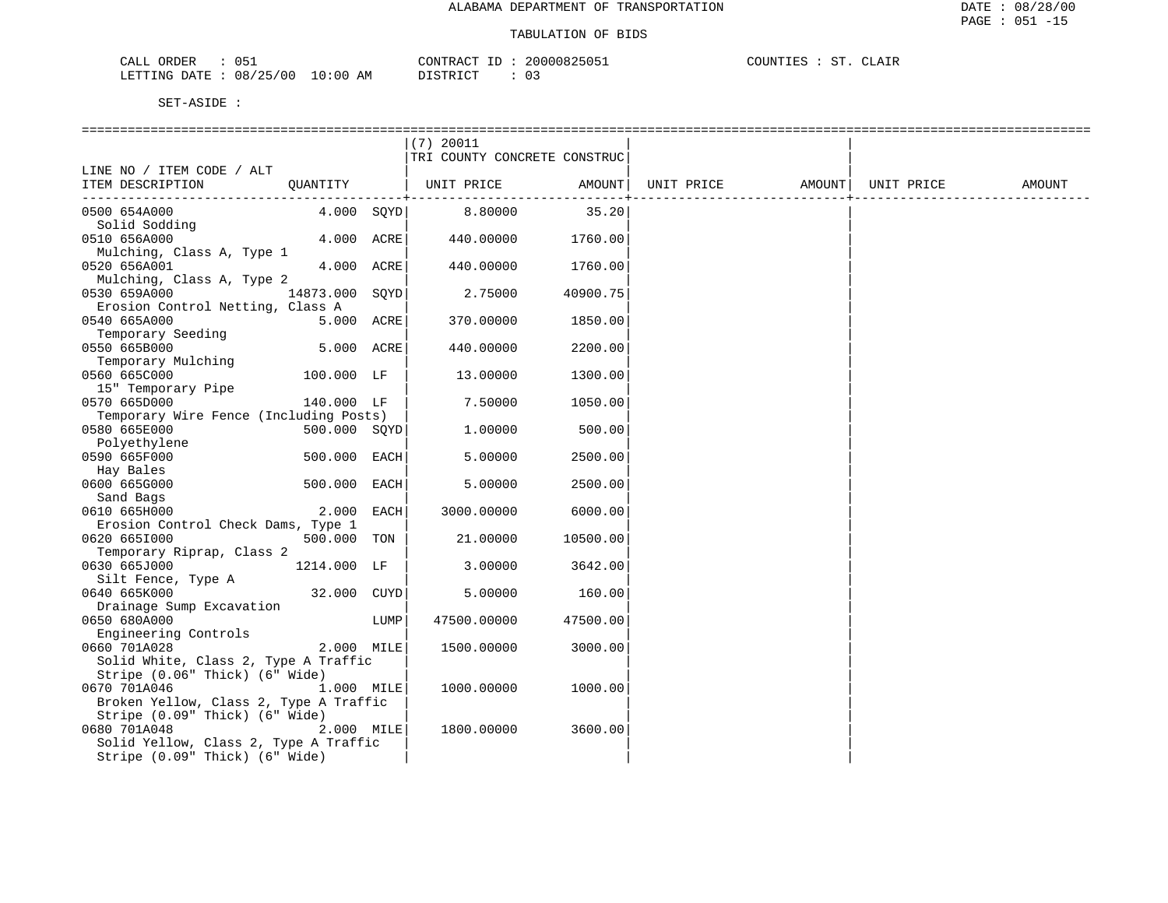| ORDER<br>CALL |          |             | CONTRACT | 20000825051 | COUNTIF <sub>C</sub> |  | CLATR |
|---------------|----------|-------------|----------|-------------|----------------------|--|-------|
| LETTING DATE  | 08/25/00 | 10:00<br>ΆM | DIAMPIAM |             |                      |  |       |

|                                             |      | $(7)$ 20011                  |              |            |        |            |        |
|---------------------------------------------|------|------------------------------|--------------|------------|--------|------------|--------|
|                                             |      | TRI COUNTY CONCRETE CONSTRUC |              |            |        |            |        |
| LINE NO / ITEM CODE / ALT                   |      |                              |              |            |        |            |        |
| ITEM DESCRIPTION<br>OUANTITY                |      | UNIT PRICE                   | AMOUNT       | UNIT PRICE | AMOUNT | UNIT PRICE | AMOUNT |
| --------------------------                  |      |                              | -----------+ |            |        |            |        |
| $4.000$ SOYD<br>0500 654A000                |      | 8.80000                      | 35.20        |            |        |            |        |
| Solid Sodding<br>0510 656A000<br>4.000 ACRE |      | 440.00000                    | 1760.00      |            |        |            |        |
| Mulching, Class A, Type 1                   |      |                              |              |            |        |            |        |
| 4.000 ACRE<br>0520 656A001                  |      | 440.00000                    | 1760.00      |            |        |            |        |
| Mulching, Class A, Type 2                   |      |                              |              |            |        |            |        |
| 0530 659A000<br>14873.000 SOYD              |      | 2.75000                      | 40900.75     |            |        |            |        |
| Erosion Control Netting, Class A            |      |                              |              |            |        |            |        |
| 0540 665A000<br>5.000 ACRE                  |      | 370.00000                    | 1850.00      |            |        |            |        |
| Temporary Seeding                           |      |                              |              |            |        |            |        |
| 0550 665B000<br>5.000 ACRE                  |      | 440.00000                    | 2200.00      |            |        |            |        |
| Temporary Mulching                          |      |                              |              |            |        |            |        |
| 0560 665C000<br>100.000 LF                  |      | 13.00000                     | 1300.00      |            |        |            |        |
| 15" Temporary Pipe                          |      |                              |              |            |        |            |        |
| 0570 665D000<br>140.000 LF                  |      | 7.50000                      | 1050.00      |            |        |            |        |
| Temporary Wire Fence (Including Posts)      |      |                              |              |            |        |            |        |
| 0580 665E000<br>500.000 SOYD                |      | 1,00000                      | 500.00       |            |        |            |        |
| Polyethylene                                |      |                              |              |            |        |            |        |
| 0590 665F000<br>500.000 EACH                |      | 5.00000                      | 2500.00      |            |        |            |        |
| Hay Bales<br>0600 665G000<br>500.000 EACH   |      | 5.00000                      | 2500.00      |            |        |            |        |
| Sand Bags                                   |      |                              |              |            |        |            |        |
| 0610 665H000<br>2.000 EACH                  |      | 3000.00000                   | 6000.00      |            |        |            |        |
| Erosion Control Check Dams, Type 1          |      |                              |              |            |        |            |        |
| 0620 6651000<br>500.000 TON                 |      | 21.00000                     | 10500.00     |            |        |            |        |
| Temporary Riprap, Class 2                   |      |                              |              |            |        |            |        |
| 0630 665J000<br>1214.000 LF                 |      | 3.00000                      | 3642.00      |            |        |            |        |
| Silt Fence, Type A                          |      |                              |              |            |        |            |        |
| 0640 665K000<br>32.000 CUYD                 |      | 5.00000                      | 160.00       |            |        |            |        |
| Drainage Sump Excavation                    |      |                              |              |            |        |            |        |
| 0650 680A000                                | LUMP | 47500.00000                  | 47500.00     |            |        |            |        |
| Engineering Controls                        |      |                              |              |            |        |            |        |
| 0660 701A028<br>2.000 MILE                  |      | 1500.00000                   | 3000.00      |            |        |            |        |
| Solid White, Class 2, Type A Traffic        |      |                              |              |            |        |            |        |
| Stripe (0.06" Thick) (6" Wide)              |      |                              |              |            |        |            |        |
| 0670 701A046<br>1.000 MILE                  |      | 1000.00000                   | 1000.00      |            |        |            |        |
| Broken Yellow, Class 2, Type A Traffic      |      |                              |              |            |        |            |        |
| Stripe (0.09" Thick) (6" Wide)              |      |                              |              |            |        |            |        |
| 0680 701A048<br>2.000 MILE                  |      | 1800.00000                   | 3600.00      |            |        |            |        |
| Solid Yellow, Class 2, Type A Traffic       |      |                              |              |            |        |            |        |
| Stripe (0.09" Thick) (6" Wide)              |      |                              |              |            |        |            |        |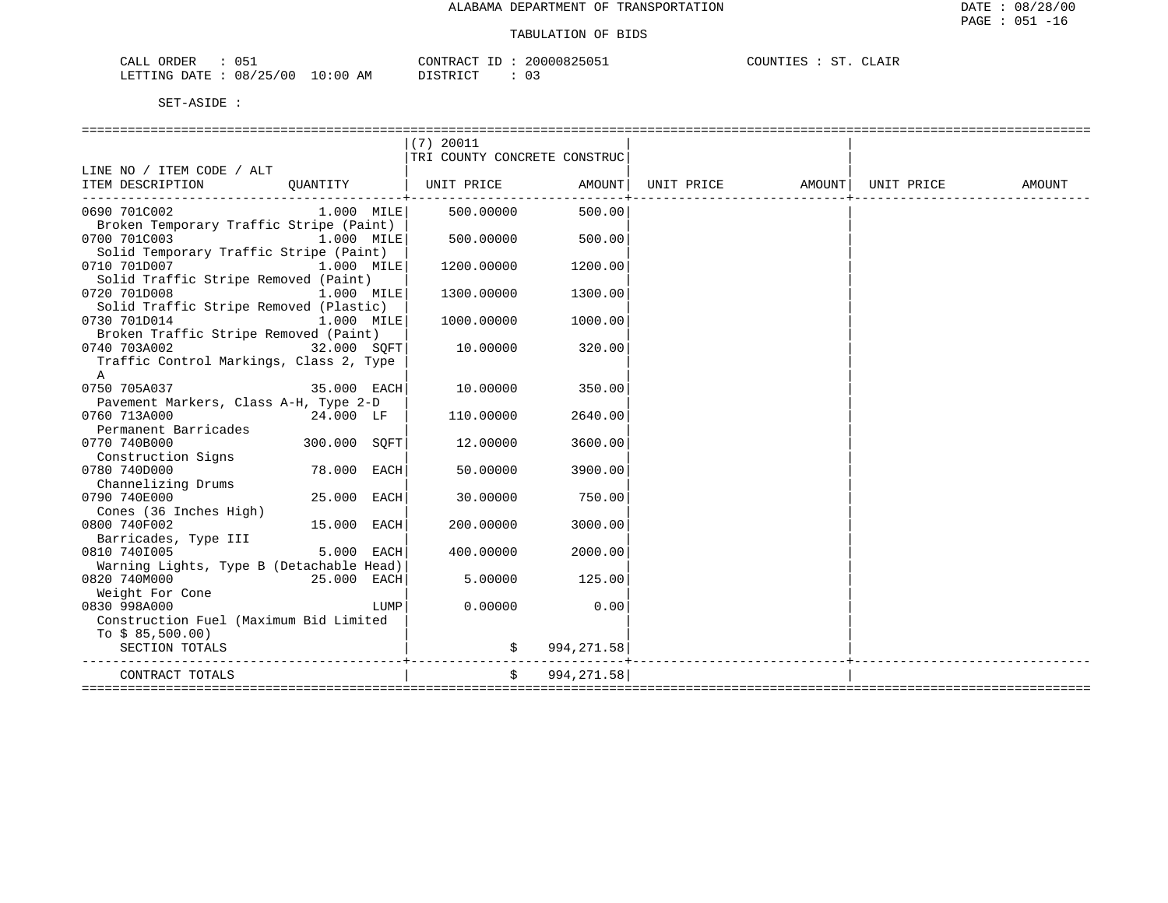| <b>ORDER</b><br>CALL |          |                    | CONTRACT<br>ΙD.              | 20000825051 | COUNTIES | cт | CLAIR |
|----------------------|----------|--------------------|------------------------------|-------------|----------|----|-------|
| LETTING DATE :       | 08/25/00 | 10:00<br>AM<br>___ | <b>חים דמיים ד</b> מ<br>レエヘエ |             |          |    |       |

|                                          |              |      | $(7)$ 20011                  |                          |  |                     |        |
|------------------------------------------|--------------|------|------------------------------|--------------------------|--|---------------------|--------|
|                                          |              |      | TRI COUNTY CONCRETE CONSTRUC |                          |  |                     |        |
| LINE NO / ITEM CODE / ALT                |              |      |                              |                          |  |                     |        |
| ITEM DESCRIPTION                         | QUANTITY     |      | UNIT PRICE AMOUNT UNIT PRICE |                          |  | AMOUNT   UNIT PRICE | AMOUNT |
| 0690 701C002                             |              |      | 1.000 MILE 500.00000 500.00  |                          |  |                     |        |
| Broken Temporary Traffic Stripe (Paint)  |              |      |                              |                          |  |                     |        |
| 0700 701C003                             | $1.000$ MILE |      | 500.00000                    | 500.00                   |  |                     |        |
| Solid Temporary Traffic Stripe (Paint)   |              |      |                              |                          |  |                     |        |
| 0710 701D007                             | 1.000 MILE   |      | 1200.00000                   | 1200.00                  |  |                     |        |
| Solid Traffic Stripe Removed (Paint)     |              |      |                              |                          |  |                     |        |
| 0720 701D008                             | 1.000 MILE   |      | 1300.00000                   | 1300.00                  |  |                     |        |
| Solid Traffic Stripe Removed (Plastic)   |              |      |                              |                          |  |                     |        |
| 0730 701D014                             | 1.000 MILE   |      | 1000.00000                   | 1000.00                  |  |                     |        |
| Broken Traffic Stripe Removed (Paint)    |              |      |                              |                          |  |                     |        |
| 0740 703A002                             | 32.000 SOFT  |      | 10.00000                     | 320.00                   |  |                     |        |
| Traffic Control Markings, Class 2, Type  |              |      |                              |                          |  |                     |        |
| A                                        |              |      |                              |                          |  |                     |        |
| 0750 705A037                             | 35.000 EACH  |      | 10.00000                     | 350.00                   |  |                     |        |
| Pavement Markers, Class A-H, Type 2-D    |              |      |                              |                          |  |                     |        |
| 0760 713A000                             | 24.000 LF    |      | 110.00000                    | 2640.00                  |  |                     |        |
| Permanent Barricades                     |              |      |                              |                          |  |                     |        |
| 0770 740B000                             | 300.000 SOFT |      | 12.00000                     | 3600.00                  |  |                     |        |
| Construction Signs                       |              |      |                              |                          |  |                     |        |
| 0780 740D000                             | 78.000 EACH  |      | 50.00000                     | 3900.00                  |  |                     |        |
| Channelizing Drums                       |              |      |                              |                          |  |                     |        |
| 0790 740E000                             | 25.000 EACH  |      | 30.00000                     | 750.00                   |  |                     |        |
| Cones (36 Inches High)                   |              |      |                              |                          |  |                     |        |
| 0800 740F002                             | 15.000 EACH  |      | 200.00000                    | 3000.00                  |  |                     |        |
| Barricades, Type III                     |              |      |                              |                          |  |                     |        |
| 0810 7401005                             | 5.000 EACH   |      | 400.00000                    | 2000.00                  |  |                     |        |
| Warning Lights, Type B (Detachable Head) |              |      |                              |                          |  |                     |        |
| 0820 740M000                             | 25.000 EACH  |      | 5.00000                      | 125.00                   |  |                     |        |
| Weight For Cone                          |              |      |                              |                          |  |                     |        |
| 0830 998A000                             |              | LUMP | 0.00000                      | 0.00                     |  |                     |        |
| Construction Fuel (Maximum Bid Limited   |              |      |                              |                          |  |                     |        |
| To $$85,500.00)$                         |              |      |                              |                          |  |                     |        |
| SECTION TOTALS                           |              |      |                              | 994,271.58               |  |                     |        |
| CONTRACT TOTALS                          |              |      |                              | ---------<br>994, 271.58 |  |                     |        |
|                                          |              |      |                              |                          |  |                     |        |
|                                          |              |      |                              |                          |  |                     |        |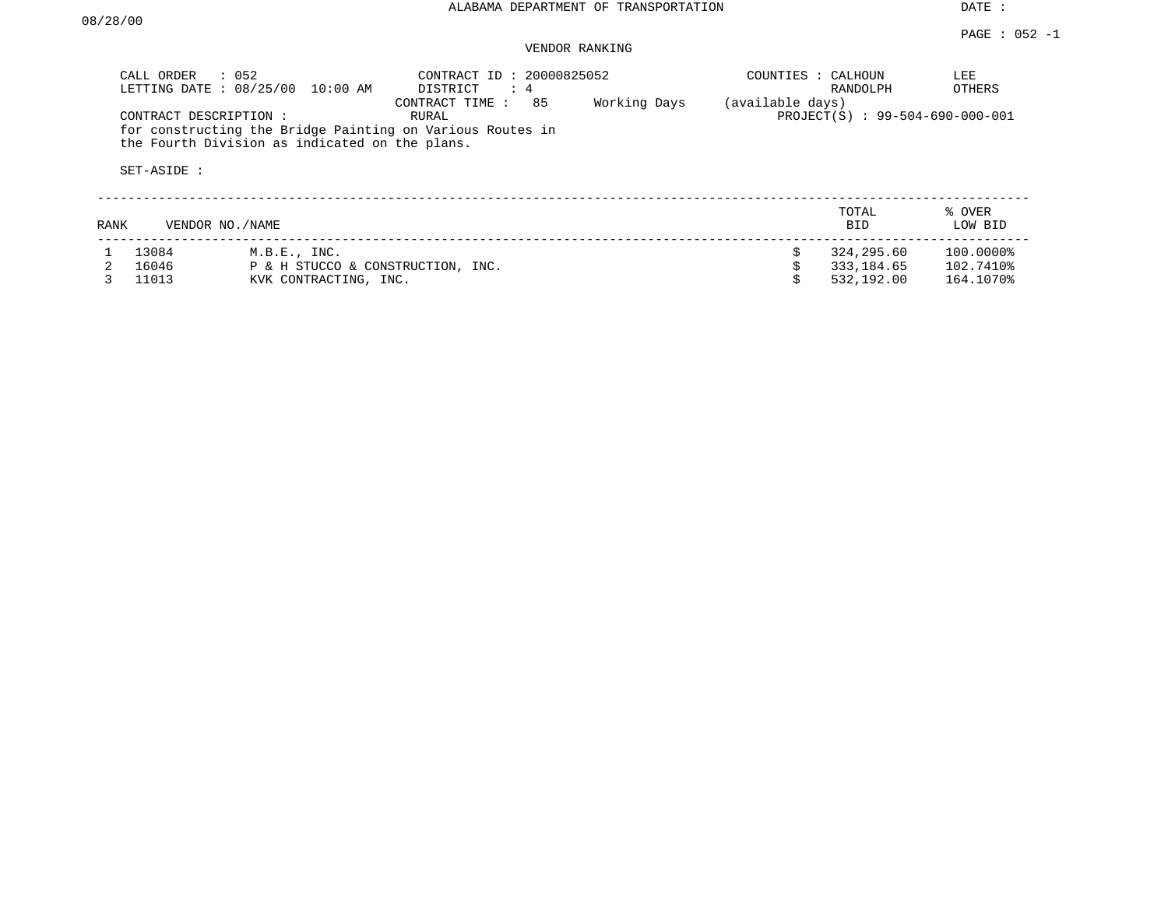DATE :

## VENDOR RANKING

|      | : 052<br>CALL ORDER<br>LETTING DATE: 08/25/00 | 10:00 AM                                       | CONTRACT ID: 20000825052<br>DISTRICT<br>$\therefore$ 4                                     |              | COUNTIES : CALHOUN | RANDOLPH                        | LEE<br>OTHERS     |
|------|-----------------------------------------------|------------------------------------------------|--------------------------------------------------------------------------------------------|--------------|--------------------|---------------------------------|-------------------|
|      | CONTRACT DESCRIPTION:<br>SET-ASIDE :          | the Fourth Division as indicated on the plans. | 85<br>CONTRACT TIME:<br>RURAL<br>for constructing the Bridge Painting on Various Routes in | Working Days | (available days)   | PROJECT(S) : 99-504-690-000-001 |                   |
| RANK | VENDOR NO./NAME                               |                                                |                                                                                            |              |                    | TOTAL<br>BID.                   | % OVER<br>LOW BID |
|      | 13084                                         | M.B.E., INC.                                   |                                                                                            |              |                    | 324,295.60                      | 100.0000%         |
|      | 16046                                         | P & H STUCCO & CONSTRUCTION, INC.              |                                                                                            |              |                    | 333,184.65                      | 102.7410%         |
|      | 11013                                         | KVK CONTRACTING, INC.                          |                                                                                            |              |                    | 532,192.00                      | 164.1070%         |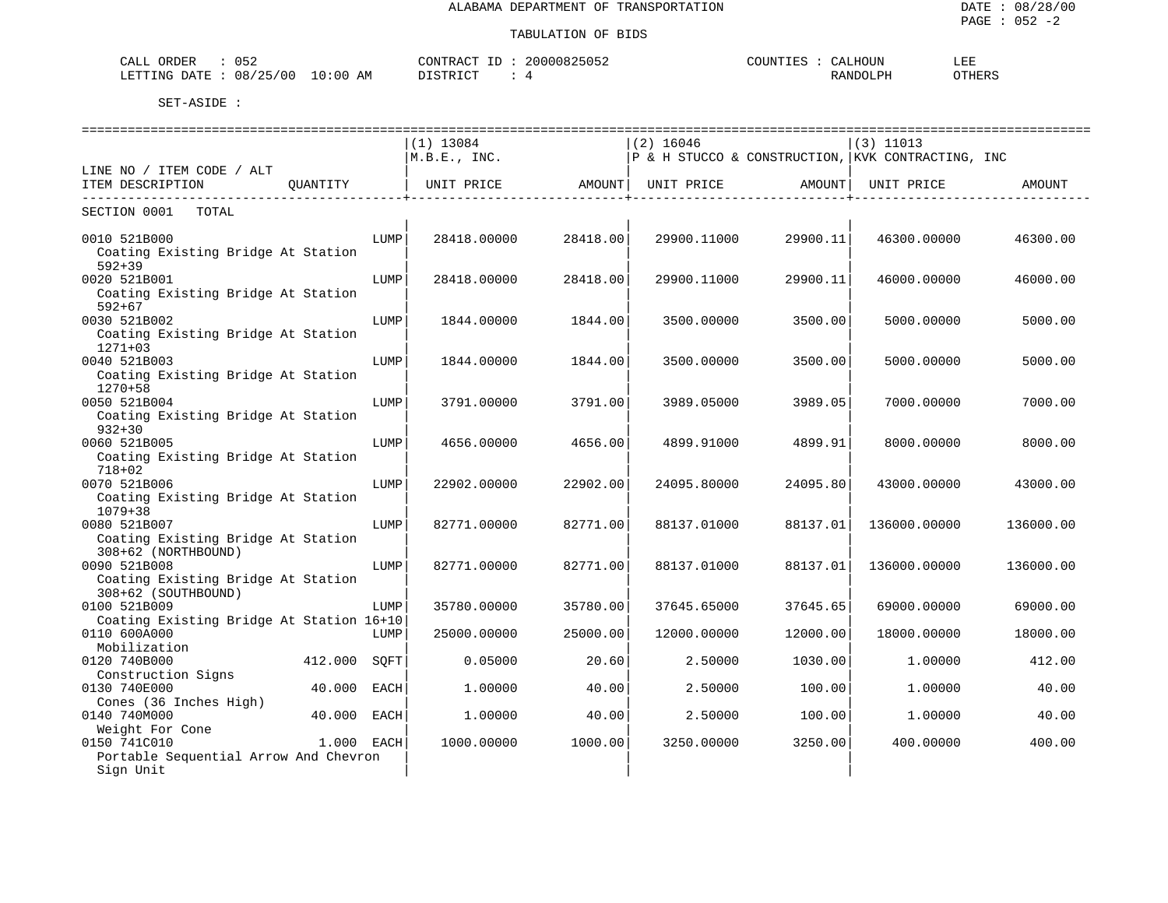#### TABULATION OF BIDS

| 052<br>ORDER<br>CALL                           | 20000825052<br>$ -$<br>CONTRACT | $\alpha$<br>COUNTIES<br>:ALHUUN | 도 고고<br>ᆚᅽ |
|------------------------------------------------|---------------------------------|---------------------------------|------------|
| /25/00<br>08/<br>$10:00$ AM<br>LETTING<br>DATE | DI STRICT                       | RANDOLPH                        | OTHERS     |

|                                          |            | ===============================                                           |          | ============================== |          | =================================                 |           |
|------------------------------------------|------------|---------------------------------------------------------------------------|----------|--------------------------------|----------|---------------------------------------------------|-----------|
|                                          |            | $(1)$ 13084                                                               |          | $(2)$ 16046                    |          | $(3)$ 11013                                       |           |
|                                          |            | M.B.E., INC.                                                              |          |                                |          | P & H STUCCO & CONSTRUCTION, KVK CONTRACTING, INC |           |
| LINE NO / ITEM CODE / ALT                |            |                                                                           |          |                                |          |                                                   |           |
| ITEM DESCRIPTION<br>OUANTITY             |            | UNIT PRICE                  AMOUNT    UNIT PRICE                   AMOUNT |          |                                |          | UNIT PRICE                                        | AMOUNT    |
| TOTAL<br>SECTION 0001                    |            |                                                                           |          |                                |          |                                                   |           |
| 0010 521B000                             | LUMP       | 28418.00000                                                               | 28418.00 | 29900.11000                    | 29900.11 | 46300.00000                                       | 46300.00  |
| Coating Existing Bridge At Station       |            |                                                                           |          |                                |          |                                                   |           |
| $592 + 39$                               |            |                                                                           |          |                                |          |                                                   |           |
| 0020 521B001                             | LUMP       | 28418.00000                                                               | 28418.00 | 29900.11000                    | 29900.11 | 46000.00000                                       | 46000.00  |
| Coating Existing Bridge At Station       |            |                                                                           |          |                                |          |                                                   |           |
| $592 + 67$                               |            |                                                                           |          |                                |          |                                                   |           |
| 0030 521B002                             | LUMP       | 1844.00000                                                                | 1844.00  | 3500.00000                     | 3500.00  | 5000.00000                                        | 5000.00   |
| Coating Existing Bridge At Station       |            |                                                                           |          |                                |          |                                                   |           |
| $1271+03$                                |            |                                                                           |          |                                |          |                                                   |           |
| 0040 521B003                             | LUMP       | 1844.00000                                                                | 1844.00  | 3500.00000                     | 3500.00  | 5000.00000                                        | 5000.00   |
| Coating Existing Bridge At Station       |            |                                                                           |          |                                |          |                                                   |           |
| 1270+58                                  |            |                                                                           |          |                                |          |                                                   |           |
| 0050 521B004                             | LUMP       | 3791.00000                                                                | 3791.00  | 3989.05000                     | 3989.05  | 7000.00000                                        | 7000.00   |
| Coating Existing Bridge At Station       |            |                                                                           |          |                                |          |                                                   |           |
| $932 + 30$                               |            |                                                                           |          |                                |          |                                                   |           |
| 0060 521B005                             | LUMP       | 4656.00000                                                                | 4656.00  | 4899.91000                     | 4899.91  | 8000.00000                                        | 8000.00   |
| Coating Existing Bridge At Station       |            |                                                                           |          |                                |          |                                                   |           |
| $718 + 02$                               |            |                                                                           |          |                                |          |                                                   |           |
| 0070 521B006                             | LUMP       | 22902.00000                                                               | 22902.00 | 24095.80000                    | 24095.80 | 43000.00000                                       | 43000.00  |
| Coating Existing Bridge At Station       |            |                                                                           |          |                                |          |                                                   |           |
| $1079 + 38$                              |            |                                                                           |          |                                |          |                                                   |           |
| 0080 521B007                             | LUMP       | 82771.00000                                                               | 82771.00 | 88137.01000                    | 88137.01 | 136000.00000                                      | 136000.00 |
| Coating Existing Bridge At Station       |            |                                                                           |          |                                |          |                                                   |           |
| 308+62 (NORTHBOUND)                      |            |                                                                           |          |                                |          |                                                   |           |
| 0090 521B008                             | LUMP       | 82771.00000                                                               | 82771.00 | 88137.01000                    | 88137.01 | 136000.00000                                      | 136000.00 |
| Coating Existing Bridge At Station       |            |                                                                           |          |                                |          |                                                   |           |
| 308+62 (SOUTHBOUND)<br>0100 521B009      | LUMP       | 35780.00000                                                               | 35780.00 | 37645.65000                    | 37645.65 | 69000.00000                                       | 69000.00  |
| Coating Existing Bridge At Station 16+10 |            |                                                                           |          |                                |          |                                                   |           |
| 0110 600A000                             | LUMP       | 25000.00000                                                               | 25000.00 | 12000.00000                    | 12000.00 | 18000.00000                                       | 18000.00  |
| Mobilization                             |            |                                                                           |          |                                |          |                                                   |           |
| 0120 740B000<br>412.000                  | SOFT       | 0.05000                                                                   | 20.60    | 2.50000                        | 1030.00  | 1,00000                                           | 412.00    |
| Construction Signs                       |            |                                                                           |          |                                |          |                                                   |           |
| 0130 740E000<br>40.000                   | EACH       | 1,00000                                                                   | 40.00    | 2.50000                        | 100.00   | 1,00000                                           | 40.00     |
| Cones (36 Inches High)                   |            |                                                                           |          |                                |          |                                                   |           |
| 40.000<br>0140 740M000                   | EACH       | 1,00000                                                                   | 40.00    | 2.50000                        | 100.00   | 1.00000                                           | 40.00     |
| Weight For Cone                          |            |                                                                           |          |                                |          |                                                   |           |
| 0150 741C010                             | 1.000 EACH | 1000.00000                                                                | 1000.00  | 3250.00000                     | 3250.00  | 400.00000                                         | 400.00    |
| Portable Sequential Arrow And Chevron    |            |                                                                           |          |                                |          |                                                   |           |
| Sign Unit                                |            |                                                                           |          |                                |          |                                                   |           |